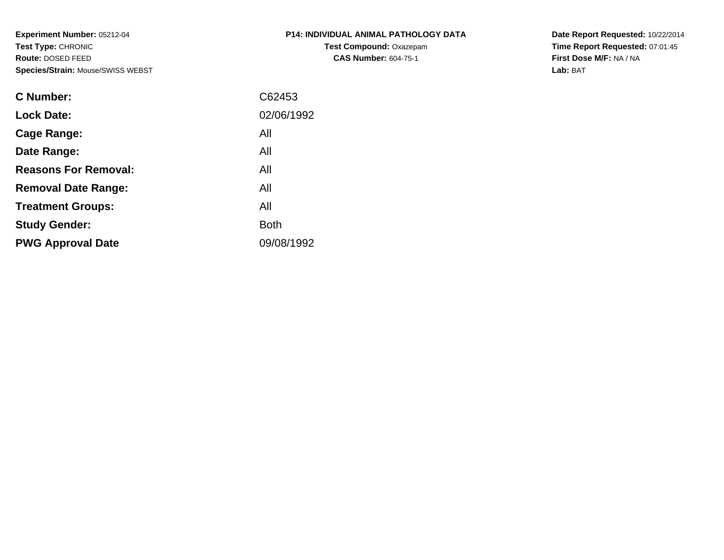**Experiment Number:** 05212-04**Test Type:** CHRONIC **Route:** DOSED FEED**Species/Strain:** Mouse/SWISS WEBST

| P14: INDIVIDUAL ANIMAL PATHOLOGY DATA |
|---------------------------------------|
| <b>Test Compound: Oxazepam</b>        |
| <b>CAS Number: 604-75-1</b>           |

**Date Report Requested:** 10/22/2014 **Time Report Requested:** 07:01:45**First Dose M/F:** NA / NA**Lab:** BAT

| C62453      |
|-------------|
| 02/06/1992  |
| All         |
| All         |
| All         |
| All         |
| All         |
| <b>Both</b> |
| 09/08/1992  |
|             |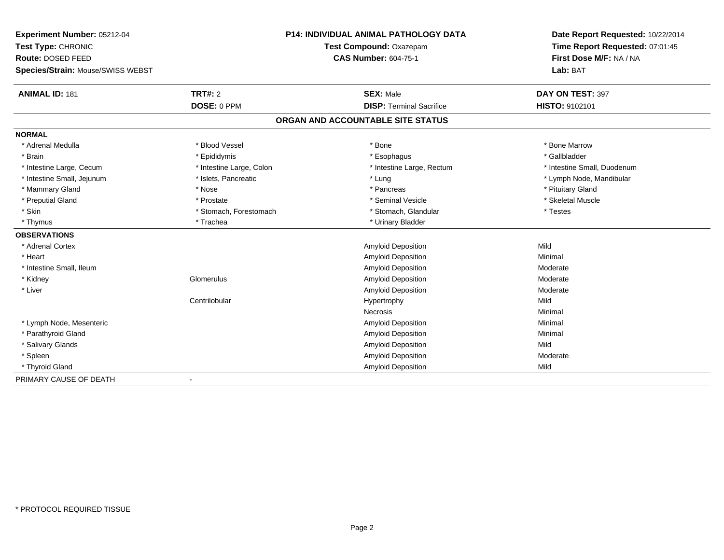| Experiment Number: 05212-04       |                          | <b>P14: INDIVIDUAL ANIMAL PATHOLOGY DATA</b> | Date Report Requested: 10/22/2014 |
|-----------------------------------|--------------------------|----------------------------------------------|-----------------------------------|
| Test Type: CHRONIC                |                          | Test Compound: Oxazepam                      | Time Report Requested: 07:01:45   |
| Route: DOSED FEED                 |                          | <b>CAS Number: 604-75-1</b>                  | First Dose M/F: NA / NA           |
| Species/Strain: Mouse/SWISS WEBST |                          |                                              | Lab: BAT                          |
| <b>ANIMAL ID: 181</b>             | <b>TRT#: 2</b>           | <b>SEX: Male</b>                             | DAY ON TEST: 397                  |
|                                   | DOSE: 0 PPM              | <b>DISP: Terminal Sacrifice</b>              | HISTO: 9102101                    |
|                                   |                          | ORGAN AND ACCOUNTABLE SITE STATUS            |                                   |
| <b>NORMAL</b>                     |                          |                                              |                                   |
| * Adrenal Medulla                 | * Blood Vessel           | * Bone                                       | * Bone Marrow                     |
| * Brain                           | * Epididymis             | * Esophagus                                  | * Gallbladder                     |
| * Intestine Large, Cecum          | * Intestine Large, Colon | * Intestine Large, Rectum                    | * Intestine Small, Duodenum       |
| * Intestine Small, Jejunum        | * Islets, Pancreatic     | * Lung                                       | * Lymph Node, Mandibular          |
| * Mammary Gland                   | * Nose                   | * Pancreas                                   | * Pituitary Gland                 |
| * Preputial Gland                 | * Prostate               | * Seminal Vesicle                            | * Skeletal Muscle                 |
| * Skin                            | * Stomach, Forestomach   | * Stomach, Glandular                         | * Testes                          |
| * Thymus                          | * Trachea                | * Urinary Bladder                            |                                   |
| <b>OBSERVATIONS</b>               |                          |                                              |                                   |
| * Adrenal Cortex                  |                          | <b>Amyloid Deposition</b>                    | Mild                              |
| * Heart                           |                          | Amyloid Deposition                           | Minimal                           |
| * Intestine Small, Ileum          |                          | Amyloid Deposition                           | Moderate                          |
| * Kidney                          | Glomerulus               | Amyloid Deposition                           | Moderate                          |
| * Liver                           |                          | <b>Amyloid Deposition</b>                    | Moderate                          |
|                                   | Centrilobular            | Hypertrophy                                  | Mild                              |
|                                   |                          | <b>Necrosis</b>                              | Minimal                           |
| * Lymph Node, Mesenteric          |                          | Amyloid Deposition                           | Minimal                           |
| * Parathyroid Gland               |                          | <b>Amyloid Deposition</b>                    | Minimal                           |
| * Salivary Glands                 |                          | Amyloid Deposition                           | Mild                              |
| * Spleen                          |                          | <b>Amyloid Deposition</b>                    | Moderate                          |
| * Thyroid Gland                   |                          | Amyloid Deposition                           | Mild                              |
| PRIMARY CAUSE OF DEATH            |                          |                                              |                                   |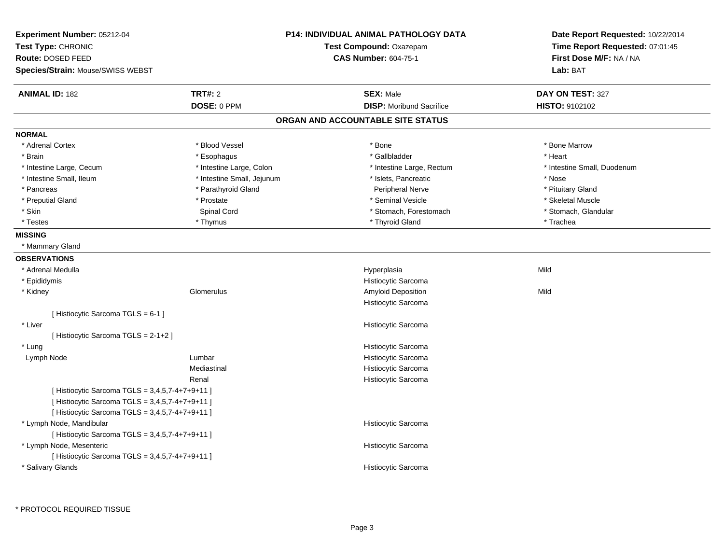| Experiment Number: 05212-04<br>Test Type: CHRONIC<br>Route: DOSED FEED<br>Species/Strain: Mouse/SWISS WEBST |                            | P14: INDIVIDUAL ANIMAL PATHOLOGY DATA<br>Test Compound: Oxazepam<br><b>CAS Number: 604-75-1</b> | Date Report Requested: 10/22/2014<br>Time Report Requested: 07:01:45<br>First Dose M/F: NA / NA<br>Lab: BAT |
|-------------------------------------------------------------------------------------------------------------|----------------------------|-------------------------------------------------------------------------------------------------|-------------------------------------------------------------------------------------------------------------|
| <b>ANIMAL ID: 182</b>                                                                                       | <b>TRT#: 2</b>             | <b>SEX: Male</b>                                                                                | DAY ON TEST: 327                                                                                            |
|                                                                                                             | DOSE: 0 PPM                | <b>DISP:</b> Moribund Sacrifice                                                                 | HISTO: 9102102                                                                                              |
|                                                                                                             |                            | ORGAN AND ACCOUNTABLE SITE STATUS                                                               |                                                                                                             |
| <b>NORMAL</b>                                                                                               |                            |                                                                                                 |                                                                                                             |
| * Adrenal Cortex                                                                                            | * Blood Vessel             | * Bone                                                                                          | * Bone Marrow                                                                                               |
| * Brain                                                                                                     | * Esophagus                | * Gallbladder                                                                                   | * Heart                                                                                                     |
| * Intestine Large, Cecum                                                                                    | * Intestine Large, Colon   | * Intestine Large, Rectum                                                                       | * Intestine Small, Duodenum                                                                                 |
| * Intestine Small, Ileum                                                                                    | * Intestine Small, Jejunum | * Islets, Pancreatic                                                                            | * Nose                                                                                                      |
| * Pancreas                                                                                                  | * Parathyroid Gland        | Peripheral Nerve                                                                                | * Pituitary Gland                                                                                           |
| * Preputial Gland                                                                                           | * Prostate                 | * Seminal Vesicle                                                                               | * Skeletal Muscle                                                                                           |
| * Skin                                                                                                      | Spinal Cord                | * Stomach, Forestomach                                                                          | * Stomach, Glandular                                                                                        |
| * Testes                                                                                                    | * Thymus                   | * Thyroid Gland                                                                                 | * Trachea                                                                                                   |
| <b>MISSING</b>                                                                                              |                            |                                                                                                 |                                                                                                             |
| * Mammary Gland                                                                                             |                            |                                                                                                 |                                                                                                             |
| <b>OBSERVATIONS</b>                                                                                         |                            |                                                                                                 |                                                                                                             |
| * Adrenal Medulla                                                                                           |                            | Hyperplasia                                                                                     | Mild                                                                                                        |
| * Epididymis                                                                                                |                            | Histiocytic Sarcoma                                                                             |                                                                                                             |
| * Kidney                                                                                                    | Glomerulus                 | Amyloid Deposition                                                                              | Mild                                                                                                        |
|                                                                                                             |                            | Histiocytic Sarcoma                                                                             |                                                                                                             |
| [Histiocytic Sarcoma TGLS = 6-1 ]                                                                           |                            |                                                                                                 |                                                                                                             |
| * Liver                                                                                                     |                            | Histiocytic Sarcoma                                                                             |                                                                                                             |
| [Histiocytic Sarcoma TGLS = 2-1+2]                                                                          |                            |                                                                                                 |                                                                                                             |
| * Lung                                                                                                      |                            | Histiocytic Sarcoma                                                                             |                                                                                                             |
| Lymph Node                                                                                                  | Lumbar                     | Histiocytic Sarcoma                                                                             |                                                                                                             |
|                                                                                                             | Mediastinal                | Histiocytic Sarcoma                                                                             |                                                                                                             |
|                                                                                                             | Renal                      | Histiocytic Sarcoma                                                                             |                                                                                                             |
| [Histiocytic Sarcoma TGLS = 3,4,5,7-4+7+9+11]                                                               |                            |                                                                                                 |                                                                                                             |
| [ Histiocytic Sarcoma TGLS = 3,4,5,7-4+7+9+11 ]                                                             |                            |                                                                                                 |                                                                                                             |
| [ Histiocytic Sarcoma TGLS = 3,4,5,7-4+7+9+11 ]                                                             |                            |                                                                                                 |                                                                                                             |
| * Lymph Node, Mandibular                                                                                    |                            | Histiocytic Sarcoma                                                                             |                                                                                                             |
| [ Histiocytic Sarcoma TGLS = 3,4,5,7-4+7+9+11 ]                                                             |                            |                                                                                                 |                                                                                                             |
| * Lymph Node, Mesenteric                                                                                    |                            | Histiocytic Sarcoma                                                                             |                                                                                                             |
| [ Histiocytic Sarcoma TGLS = 3,4,5,7-4+7+9+11 ]                                                             |                            |                                                                                                 |                                                                                                             |
| * Salivary Glands                                                                                           |                            | Histiocytic Sarcoma                                                                             |                                                                                                             |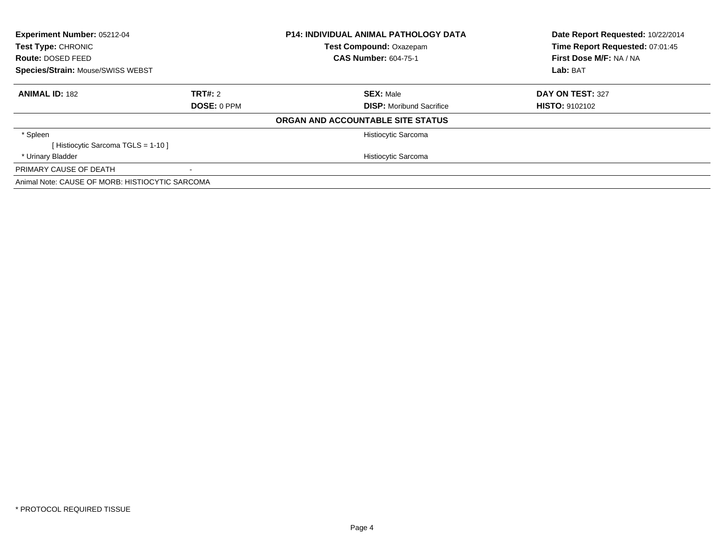| Experiment Number: 05212-04<br>Test Type: CHRONIC |                    | <b>P14: INDIVIDUAL ANIMAL PATHOLOGY DATA</b><br>Test Compound: Oxazepam | Date Report Requested: 10/22/2014<br>Time Report Requested: 07:01:45 |
|---------------------------------------------------|--------------------|-------------------------------------------------------------------------|----------------------------------------------------------------------|
| Route: DOSED FEED                                 |                    | <b>CAS Number: 604-75-1</b>                                             | First Dose M/F: NA / NA                                              |
| <b>Species/Strain: Mouse/SWISS WEBST</b>          |                    |                                                                         | Lab: BAT                                                             |
| <b>ANIMAL ID: 182</b>                             | TRT#: 2            | <b>SEX: Male</b>                                                        | DAY ON TEST: 327                                                     |
|                                                   | <b>DOSE: 0 PPM</b> | <b>DISP:</b> Moribund Sacrifice                                         | <b>HISTO: 9102102</b>                                                |
|                                                   |                    | ORGAN AND ACCOUNTABLE SITE STATUS                                       |                                                                      |
| * Spleen                                          |                    | Histiocytic Sarcoma                                                     |                                                                      |
| [Histiocytic Sarcoma TGLS = 1-10]                 |                    |                                                                         |                                                                      |
| * Urinary Bladder                                 |                    | Histiocytic Sarcoma                                                     |                                                                      |
| PRIMARY CAUSE OF DEATH                            |                    |                                                                         |                                                                      |
| Animal Note: CAUSE OF MORB: HISTIOCYTIC SARCOMA   |                    |                                                                         |                                                                      |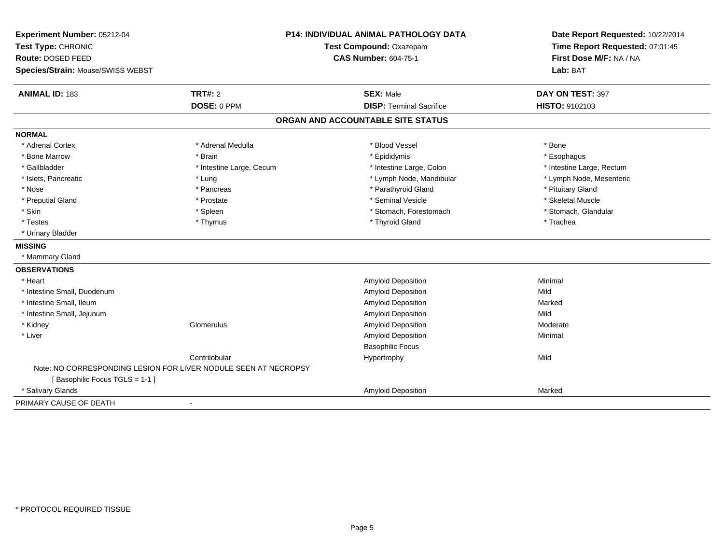| Experiment Number: 05212-04<br>Test Type: CHRONIC<br>Route: DOSED FEED<br>Species/Strain: Mouse/SWISS WEBST |                               | <b>P14: INDIVIDUAL ANIMAL PATHOLOGY DATA</b><br>Test Compound: Oxazepam<br><b>CAS Number: 604-75-1</b> | Date Report Requested: 10/22/2014<br>Time Report Requested: 07:01:45<br>First Dose M/F: NA / NA<br>Lab: BAT |
|-------------------------------------------------------------------------------------------------------------|-------------------------------|--------------------------------------------------------------------------------------------------------|-------------------------------------------------------------------------------------------------------------|
| <b>ANIMAL ID: 183</b>                                                                                       | <b>TRT#: 2</b><br>DOSE: 0 PPM | <b>SEX: Male</b><br><b>DISP: Terminal Sacrifice</b>                                                    | DAY ON TEST: 397<br>HISTO: 9102103                                                                          |
|                                                                                                             |                               | ORGAN AND ACCOUNTABLE SITE STATUS                                                                      |                                                                                                             |
|                                                                                                             |                               |                                                                                                        |                                                                                                             |
| <b>NORMAL</b>                                                                                               |                               |                                                                                                        |                                                                                                             |
| * Adrenal Cortex                                                                                            | * Adrenal Medulla             | * Blood Vessel                                                                                         | * Bone                                                                                                      |
| * Bone Marrow                                                                                               | * Brain                       | * Epididymis                                                                                           | * Esophagus                                                                                                 |
| * Gallbladder                                                                                               | * Intestine Large, Cecum      | * Intestine Large, Colon                                                                               | * Intestine Large, Rectum                                                                                   |
| * Islets, Pancreatic                                                                                        | * Lung                        | * Lymph Node, Mandibular                                                                               | * Lymph Node, Mesenteric                                                                                    |
| * Nose                                                                                                      | * Pancreas                    | * Parathyroid Gland                                                                                    | * Pituitary Gland                                                                                           |
| * Preputial Gland                                                                                           | * Prostate                    | * Seminal Vesicle                                                                                      | * Skeletal Muscle                                                                                           |
| * Skin                                                                                                      | * Spleen                      | * Stomach, Forestomach                                                                                 | * Stomach, Glandular                                                                                        |
| * Testes                                                                                                    | * Thymus                      | * Thyroid Gland                                                                                        | * Trachea                                                                                                   |
| * Urinary Bladder                                                                                           |                               |                                                                                                        |                                                                                                             |
| <b>MISSING</b>                                                                                              |                               |                                                                                                        |                                                                                                             |
| * Mammary Gland                                                                                             |                               |                                                                                                        |                                                                                                             |
| <b>OBSERVATIONS</b>                                                                                         |                               |                                                                                                        |                                                                                                             |
| * Heart                                                                                                     |                               | Amyloid Deposition                                                                                     | Minimal                                                                                                     |
| * Intestine Small, Duodenum                                                                                 |                               | Amyloid Deposition                                                                                     | Mild                                                                                                        |
| * Intestine Small, Ileum                                                                                    |                               | Amyloid Deposition                                                                                     | Marked                                                                                                      |
| * Intestine Small, Jejunum                                                                                  |                               | Amyloid Deposition                                                                                     | Mild                                                                                                        |
| * Kidney                                                                                                    | Glomerulus                    | Amyloid Deposition                                                                                     | Moderate                                                                                                    |
| * Liver                                                                                                     |                               | Amyloid Deposition                                                                                     | Minimal                                                                                                     |
|                                                                                                             |                               | <b>Basophilic Focus</b>                                                                                |                                                                                                             |
|                                                                                                             | Centrilobular                 | Hypertrophy                                                                                            | Mild                                                                                                        |
| Note: NO CORRESPONDING LESION FOR LIVER NODULE SEEN AT NECROPSY                                             |                               |                                                                                                        |                                                                                                             |
| [Basophilic Focus TGLS = 1-1]                                                                               |                               |                                                                                                        |                                                                                                             |
| * Salivary Glands                                                                                           |                               | Amyloid Deposition                                                                                     | Marked                                                                                                      |
| PRIMARY CAUSE OF DEATH                                                                                      | $\blacksquare$                |                                                                                                        |                                                                                                             |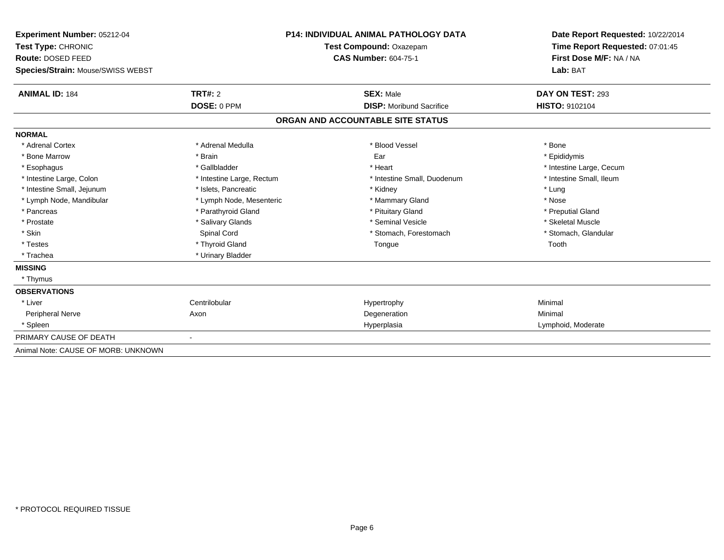| Experiment Number: 05212-04         |                           | <b>P14: INDIVIDUAL ANIMAL PATHOLOGY DATA</b> | Date Report Requested: 10/22/2014 |
|-------------------------------------|---------------------------|----------------------------------------------|-----------------------------------|
| Test Type: CHRONIC                  |                           | Test Compound: Oxazepam                      | Time Report Requested: 07:01:45   |
| Route: DOSED FEED                   |                           | <b>CAS Number: 604-75-1</b>                  | First Dose M/F: NA / NA           |
| Species/Strain: Mouse/SWISS WEBST   |                           |                                              | Lab: BAT                          |
| <b>ANIMAL ID: 184</b>               | <b>TRT#: 2</b>            | <b>SEX: Male</b>                             | DAY ON TEST: 293                  |
|                                     | DOSE: 0 PPM               | <b>DISP:</b> Moribund Sacrifice              | <b>HISTO: 9102104</b>             |
|                                     |                           | ORGAN AND ACCOUNTABLE SITE STATUS            |                                   |
| <b>NORMAL</b>                       |                           |                                              |                                   |
| * Adrenal Cortex                    | * Adrenal Medulla         | * Blood Vessel                               | * Bone                            |
| * Bone Marrow                       | * Brain                   | Ear                                          | * Epididymis                      |
| * Esophagus                         | * Gallbladder             | * Heart                                      | * Intestine Large, Cecum          |
| * Intestine Large, Colon            | * Intestine Large, Rectum | * Intestine Small, Duodenum                  | * Intestine Small, Ileum          |
| * Intestine Small, Jejunum          | * Islets, Pancreatic      | * Kidney                                     | * Lung                            |
| * Lymph Node, Mandibular            | * Lymph Node, Mesenteric  | * Mammary Gland                              | * Nose                            |
| * Pancreas                          | * Parathyroid Gland       | * Pituitary Gland                            | * Preputial Gland                 |
| * Prostate                          | * Salivary Glands         | * Seminal Vesicle                            | * Skeletal Muscle                 |
| * Skin                              | Spinal Cord               | * Stomach, Forestomach                       | * Stomach, Glandular              |
| * Testes                            | * Thyroid Gland           | Tongue                                       | Tooth                             |
| * Trachea                           | * Urinary Bladder         |                                              |                                   |
| <b>MISSING</b>                      |                           |                                              |                                   |
| * Thymus                            |                           |                                              |                                   |
| <b>OBSERVATIONS</b>                 |                           |                                              |                                   |
| * Liver                             | Centrilobular             | Hypertrophy                                  | Minimal                           |
| Peripheral Nerve                    | Axon                      | Degeneration                                 | Minimal                           |
| * Spleen                            |                           | Hyperplasia                                  | Lymphoid, Moderate                |
| PRIMARY CAUSE OF DEATH              |                           |                                              |                                   |
| Animal Note: CAUSE OF MORB: UNKNOWN |                           |                                              |                                   |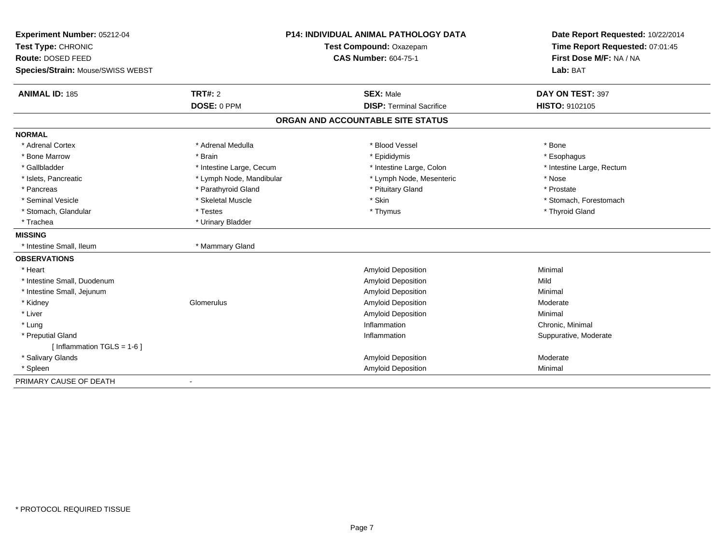| Experiment Number: 05212-04              |                          | <b>P14: INDIVIDUAL ANIMAL PATHOLOGY DATA</b> | Date Report Requested: 10/22/2014 |
|------------------------------------------|--------------------------|----------------------------------------------|-----------------------------------|
| Test Type: CHRONIC                       |                          | Test Compound: Oxazepam                      | Time Report Requested: 07:01:45   |
| Route: DOSED FEED                        |                          | <b>CAS Number: 604-75-1</b>                  | First Dose M/F: NA / NA           |
| <b>Species/Strain: Mouse/SWISS WEBST</b> |                          |                                              | Lab: BAT                          |
| <b>ANIMAL ID: 185</b>                    | TRT#: 2                  | <b>SEX: Male</b>                             | DAY ON TEST: 397                  |
|                                          | DOSE: 0 PPM              | <b>DISP: Terminal Sacrifice</b>              | HISTO: 9102105                    |
|                                          |                          | ORGAN AND ACCOUNTABLE SITE STATUS            |                                   |
| <b>NORMAL</b>                            |                          |                                              |                                   |
| * Adrenal Cortex                         | * Adrenal Medulla        | * Blood Vessel                               | * Bone                            |
| * Bone Marrow                            | * Brain                  | * Epididymis                                 | * Esophagus                       |
| * Gallbladder                            | * Intestine Large, Cecum | * Intestine Large, Colon                     | * Intestine Large, Rectum         |
| * Islets, Pancreatic                     | * Lymph Node, Mandibular | * Lymph Node, Mesenteric                     | * Nose                            |
| * Pancreas                               | * Parathyroid Gland      | * Pituitary Gland                            | * Prostate                        |
| * Seminal Vesicle                        | * Skeletal Muscle        | * Skin                                       | * Stomach, Forestomach            |
| * Stomach, Glandular                     | * Testes                 | * Thymus                                     | * Thyroid Gland                   |
| * Trachea                                | * Urinary Bladder        |                                              |                                   |
| <b>MISSING</b>                           |                          |                                              |                                   |
| * Intestine Small, Ileum                 | * Mammary Gland          |                                              |                                   |
| <b>OBSERVATIONS</b>                      |                          |                                              |                                   |
| * Heart                                  |                          | <b>Amyloid Deposition</b>                    | Minimal                           |
| * Intestine Small, Duodenum              |                          | <b>Amyloid Deposition</b>                    | Mild                              |
| * Intestine Small, Jejunum               |                          | Amyloid Deposition                           | Minimal                           |
| * Kidney                                 | Glomerulus               | <b>Amyloid Deposition</b>                    | Moderate                          |
| * Liver                                  |                          | <b>Amyloid Deposition</b>                    | Minimal                           |
| * Lung                                   |                          | Inflammation                                 | Chronic, Minimal                  |
| * Preputial Gland                        |                          | Inflammation                                 | Suppurative, Moderate             |
| [Inflammation TGLS = $1-6$ ]             |                          |                                              |                                   |
| * Salivary Glands                        |                          | <b>Amyloid Deposition</b>                    | Moderate                          |
| * Spleen                                 |                          | <b>Amyloid Deposition</b>                    | Minimal                           |
| PRIMARY CAUSE OF DEATH                   | $\blacksquare$           |                                              |                                   |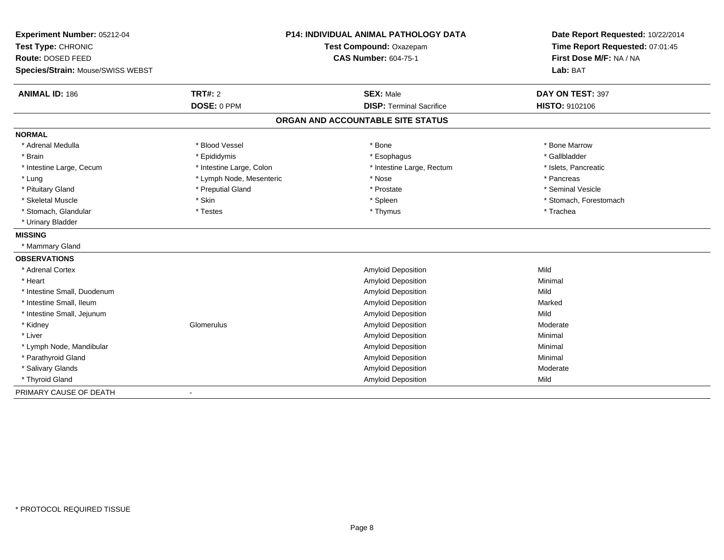| Experiment Number: 05212-04<br>Test Type: CHRONIC |                          | <b>P14: INDIVIDUAL ANIMAL PATHOLOGY DATA</b><br>Test Compound: Oxazepam | Date Report Requested: 10/22/2014<br>Time Report Requested: 07:01:45 |
|---------------------------------------------------|--------------------------|-------------------------------------------------------------------------|----------------------------------------------------------------------|
| Route: DOSED FEED                                 |                          | <b>CAS Number: 604-75-1</b>                                             | First Dose M/F: NA / NA                                              |
| Species/Strain: Mouse/SWISS WEBST                 |                          |                                                                         | Lab: BAT                                                             |
|                                                   |                          |                                                                         |                                                                      |
| <b>ANIMAL ID: 186</b>                             | TRT#: 2                  | <b>SEX: Male</b>                                                        | DAY ON TEST: 397                                                     |
|                                                   | DOSE: 0 PPM              | <b>DISP: Terminal Sacrifice</b>                                         | HISTO: 9102106                                                       |
|                                                   |                          | ORGAN AND ACCOUNTABLE SITE STATUS                                       |                                                                      |
| <b>NORMAL</b>                                     |                          |                                                                         |                                                                      |
| * Adrenal Medulla                                 | * Blood Vessel           | * Bone                                                                  | * Bone Marrow                                                        |
| * Brain                                           | * Epididymis             | * Esophagus                                                             | * Gallbladder                                                        |
| * Intestine Large, Cecum                          | * Intestine Large, Colon | * Intestine Large, Rectum                                               | * Islets, Pancreatic                                                 |
| * Lung                                            | * Lymph Node, Mesenteric | * Nose                                                                  | * Pancreas                                                           |
| * Pituitary Gland                                 | * Preputial Gland        | * Prostate                                                              | * Seminal Vesicle                                                    |
| * Skeletal Muscle                                 | * Skin                   | * Spleen                                                                | * Stomach, Forestomach                                               |
| * Stomach, Glandular                              | * Testes                 | * Thymus                                                                | * Trachea                                                            |
| * Urinary Bladder                                 |                          |                                                                         |                                                                      |
| <b>MISSING</b>                                    |                          |                                                                         |                                                                      |
| * Mammary Gland                                   |                          |                                                                         |                                                                      |
| <b>OBSERVATIONS</b>                               |                          |                                                                         |                                                                      |
| * Adrenal Cortex                                  |                          | <b>Amyloid Deposition</b>                                               | Mild                                                                 |
| * Heart                                           |                          | <b>Amyloid Deposition</b>                                               | Minimal                                                              |
| * Intestine Small, Duodenum                       |                          | <b>Amyloid Deposition</b>                                               | Mild                                                                 |
| * Intestine Small, Ileum                          |                          | <b>Amyloid Deposition</b>                                               | Marked                                                               |
| * Intestine Small, Jejunum                        |                          | <b>Amyloid Deposition</b>                                               | Mild                                                                 |
| * Kidney                                          | Glomerulus               | Amyloid Deposition                                                      | Moderate                                                             |
| * Liver                                           |                          | Amyloid Deposition                                                      | Minimal                                                              |
| * Lymph Node, Mandibular                          |                          | Amyloid Deposition                                                      | Minimal                                                              |
| * Parathyroid Gland                               |                          | Amyloid Deposition                                                      | Minimal                                                              |
| * Salivary Glands                                 |                          | Amyloid Deposition                                                      | Moderate                                                             |
| * Thyroid Gland                                   |                          | <b>Amyloid Deposition</b>                                               | Mild                                                                 |
| PRIMARY CAUSE OF DEATH                            |                          |                                                                         |                                                                      |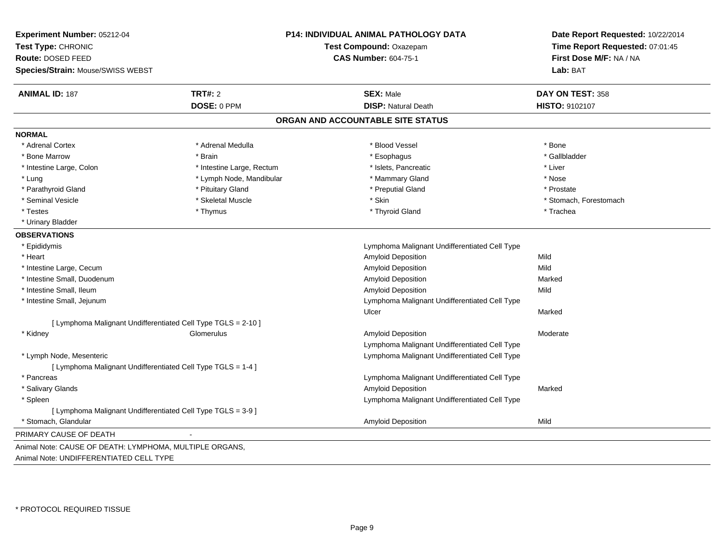| Experiment Number: 05212-04                                   |                           | P14: INDIVIDUAL ANIMAL PATHOLOGY DATA         | Date Report Requested: 10/22/2014 |
|---------------------------------------------------------------|---------------------------|-----------------------------------------------|-----------------------------------|
| Test Type: CHRONIC                                            |                           | Test Compound: Oxazepam                       | Time Report Requested: 07:01:45   |
| Route: DOSED FEED                                             |                           | <b>CAS Number: 604-75-1</b>                   | First Dose M/F: NA / NA           |
| Species/Strain: Mouse/SWISS WEBST                             |                           |                                               | Lab: BAT                          |
| <b>ANIMAL ID: 187</b>                                         | <b>TRT#: 2</b>            | <b>SEX: Male</b>                              | DAY ON TEST: 358                  |
|                                                               | DOSE: 0 PPM               | <b>DISP: Natural Death</b>                    | HISTO: 9102107                    |
|                                                               |                           | ORGAN AND ACCOUNTABLE SITE STATUS             |                                   |
| <b>NORMAL</b>                                                 |                           |                                               |                                   |
| * Adrenal Cortex                                              | * Adrenal Medulla         | * Blood Vessel                                | * Bone                            |
| * Bone Marrow                                                 | * Brain                   | * Esophagus                                   | * Gallbladder                     |
| * Intestine Large, Colon                                      | * Intestine Large, Rectum | * Islets, Pancreatic                          | * Liver                           |
| * Lung                                                        | * Lymph Node, Mandibular  | * Mammary Gland                               | * Nose                            |
| * Parathyroid Gland                                           | * Pituitary Gland         | * Preputial Gland                             | * Prostate                        |
| * Seminal Vesicle                                             | * Skeletal Muscle         | * Skin                                        | * Stomach, Forestomach            |
| * Testes                                                      | * Thymus                  | * Thyroid Gland                               | * Trachea                         |
| * Urinary Bladder                                             |                           |                                               |                                   |
| <b>OBSERVATIONS</b>                                           |                           |                                               |                                   |
| * Epididymis                                                  |                           | Lymphoma Malignant Undifferentiated Cell Type |                                   |
| * Heart                                                       |                           | <b>Amyloid Deposition</b>                     | Mild                              |
| * Intestine Large, Cecum                                      |                           | Amyloid Deposition                            | Mild                              |
| * Intestine Small, Duodenum                                   |                           | <b>Amyloid Deposition</b>                     | Marked                            |
| * Intestine Small, Ileum                                      |                           | <b>Amyloid Deposition</b>                     | Mild                              |
| * Intestine Small, Jejunum                                    |                           | Lymphoma Malignant Undifferentiated Cell Type |                                   |
|                                                               |                           | Ulcer                                         | Marked                            |
| [ Lymphoma Malignant Undifferentiated Cell Type TGLS = 2-10 ] |                           |                                               |                                   |
| * Kidney                                                      | Glomerulus                | <b>Amyloid Deposition</b>                     | Moderate                          |
|                                                               |                           | Lymphoma Malignant Undifferentiated Cell Type |                                   |
| * Lymph Node, Mesenteric                                      |                           | Lymphoma Malignant Undifferentiated Cell Type |                                   |
| [ Lymphoma Malignant Undifferentiated Cell Type TGLS = 1-4 ]  |                           |                                               |                                   |
| * Pancreas                                                    |                           | Lymphoma Malignant Undifferentiated Cell Type |                                   |
| * Salivary Glands                                             |                           | Amyloid Deposition                            | Marked                            |
| * Spleen                                                      |                           | Lymphoma Malignant Undifferentiated Cell Type |                                   |
| [ Lymphoma Malignant Undifferentiated Cell Type TGLS = 3-9 ]  |                           |                                               |                                   |
| * Stomach, Glandular                                          |                           | Amyloid Deposition                            | Mild                              |
| PRIMARY CAUSE OF DEATH                                        |                           |                                               |                                   |
| Animal Note: CAUSE OF DEATH: LYMPHOMA, MULTIPLE ORGANS,       |                           |                                               |                                   |
| Animal Note: UNDIFFERENTIATED CELL TYPE                       |                           |                                               |                                   |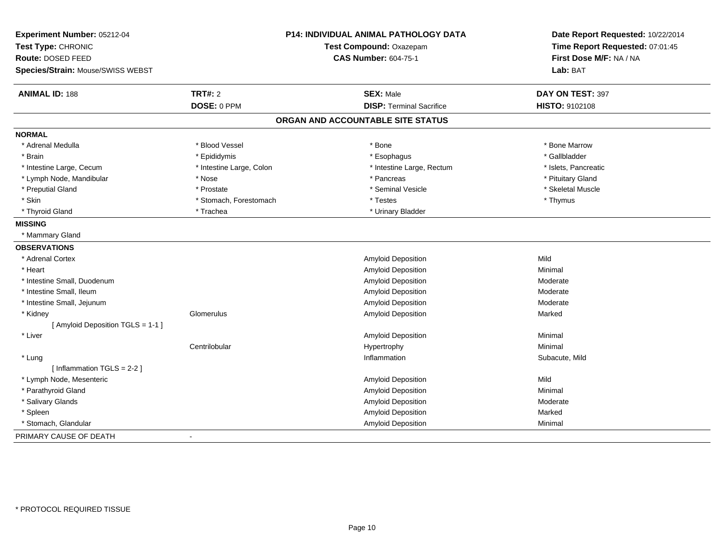| Experiment Number: 05212-04<br>Test Type: CHRONIC |                          | <b>P14: INDIVIDUAL ANIMAL PATHOLOGY DATA</b><br>Test Compound: Oxazepam | Date Report Requested: 10/22/2014<br>Time Report Requested: 07:01:45 |
|---------------------------------------------------|--------------------------|-------------------------------------------------------------------------|----------------------------------------------------------------------|
| Route: DOSED FEED                                 |                          | <b>CAS Number: 604-75-1</b>                                             | First Dose M/F: NA / NA                                              |
| Species/Strain: Mouse/SWISS WEBST                 |                          |                                                                         | Lab: BAT                                                             |
| <b>ANIMAL ID: 188</b>                             | <b>TRT#: 2</b>           | <b>SEX: Male</b>                                                        | DAY ON TEST: 397                                                     |
|                                                   | DOSE: 0 PPM              | <b>DISP: Terminal Sacrifice</b>                                         | HISTO: 9102108                                                       |
|                                                   |                          | ORGAN AND ACCOUNTABLE SITE STATUS                                       |                                                                      |
| <b>NORMAL</b>                                     |                          |                                                                         |                                                                      |
| * Adrenal Medulla                                 | * Blood Vessel           | * Bone                                                                  | * Bone Marrow                                                        |
| * Brain                                           | * Epididymis             | * Esophagus                                                             | * Gallbladder                                                        |
| * Intestine Large, Cecum                          | * Intestine Large, Colon | * Intestine Large, Rectum                                               | * Islets, Pancreatic                                                 |
| * Lymph Node, Mandibular                          | * Nose                   | * Pancreas                                                              | * Pituitary Gland                                                    |
| * Preputial Gland                                 | * Prostate               | * Seminal Vesicle                                                       | * Skeletal Muscle                                                    |
| * Skin                                            | * Stomach, Forestomach   | * Testes                                                                | * Thymus                                                             |
| * Thyroid Gland                                   | * Trachea                | * Urinary Bladder                                                       |                                                                      |
| <b>MISSING</b>                                    |                          |                                                                         |                                                                      |
| * Mammary Gland                                   |                          |                                                                         |                                                                      |
| <b>OBSERVATIONS</b>                               |                          |                                                                         |                                                                      |
| * Adrenal Cortex                                  |                          | <b>Amyloid Deposition</b>                                               | Mild                                                                 |
| * Heart                                           |                          | <b>Amyloid Deposition</b>                                               | Minimal                                                              |
| * Intestine Small, Duodenum                       |                          | Amyloid Deposition                                                      | Moderate                                                             |
| * Intestine Small, Ileum                          |                          | Amyloid Deposition                                                      | Moderate                                                             |
| * Intestine Small, Jejunum                        |                          | <b>Amyloid Deposition</b>                                               | Moderate                                                             |
| * Kidney                                          | Glomerulus               | <b>Amyloid Deposition</b>                                               | Marked                                                               |
| [ Amyloid Deposition TGLS = 1-1 ]                 |                          |                                                                         |                                                                      |
| * Liver                                           |                          | Amyloid Deposition                                                      | Minimal                                                              |
|                                                   | Centrilobular            | Hypertrophy                                                             | Minimal                                                              |
| * Lung                                            |                          | Inflammation                                                            | Subacute, Mild                                                       |
| [ Inflammation TGLS = 2-2 ]                       |                          |                                                                         |                                                                      |
| * Lymph Node, Mesenteric                          |                          | <b>Amyloid Deposition</b>                                               | Mild                                                                 |
| * Parathyroid Gland                               |                          | <b>Amyloid Deposition</b>                                               | Minimal                                                              |
| * Salivary Glands                                 |                          | Amyloid Deposition                                                      | Moderate                                                             |
| * Spleen                                          |                          | Amyloid Deposition                                                      | Marked                                                               |
| * Stomach, Glandular                              |                          | Amyloid Deposition                                                      | Minimal                                                              |
| PRIMARY CAUSE OF DEATH                            |                          |                                                                         |                                                                      |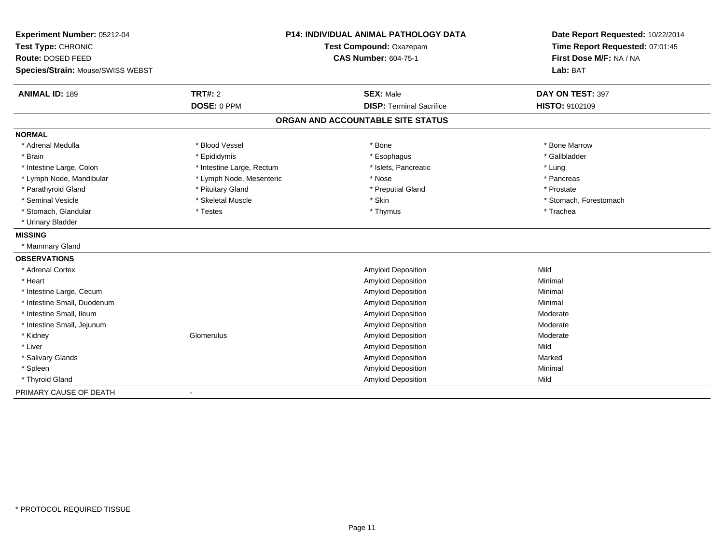| Experiment Number: 05212-04       |                           | <b>P14: INDIVIDUAL ANIMAL PATHOLOGY DATA</b> | Date Report Requested: 10/22/2014 |
|-----------------------------------|---------------------------|----------------------------------------------|-----------------------------------|
| Test Type: CHRONIC                |                           | Test Compound: Oxazepam                      | Time Report Requested: 07:01:45   |
| Route: DOSED FEED                 |                           | <b>CAS Number: 604-75-1</b>                  | First Dose M/F: NA / NA           |
| Species/Strain: Mouse/SWISS WEBST |                           |                                              | Lab: BAT                          |
| <b>ANIMAL ID: 189</b>             | <b>TRT#: 2</b>            | <b>SEX: Male</b>                             | DAY ON TEST: 397                  |
|                                   | DOSE: 0 PPM               | <b>DISP: Terminal Sacrifice</b>              | HISTO: 9102109                    |
|                                   |                           | ORGAN AND ACCOUNTABLE SITE STATUS            |                                   |
| <b>NORMAL</b>                     |                           |                                              |                                   |
| * Adrenal Medulla                 | * Blood Vessel            | * Bone                                       | * Bone Marrow                     |
| * Brain                           | * Epididymis              | * Esophagus                                  | * Gallbladder                     |
| * Intestine Large, Colon          | * Intestine Large, Rectum | * Islets, Pancreatic                         | * Lung                            |
| * Lymph Node, Mandibular          | * Lymph Node, Mesenteric  | * Nose                                       | * Pancreas                        |
| * Parathyroid Gland               | * Pituitary Gland         | * Preputial Gland                            | * Prostate                        |
| * Seminal Vesicle                 | * Skeletal Muscle         | * Skin                                       | * Stomach, Forestomach            |
| * Stomach, Glandular              | * Testes                  | * Thymus                                     | * Trachea                         |
| * Urinary Bladder                 |                           |                                              |                                   |
| <b>MISSING</b>                    |                           |                                              |                                   |
| * Mammary Gland                   |                           |                                              |                                   |
| <b>OBSERVATIONS</b>               |                           |                                              |                                   |
| * Adrenal Cortex                  |                           | Amyloid Deposition                           | Mild                              |
| * Heart                           |                           | Amyloid Deposition                           | Minimal                           |
| * Intestine Large, Cecum          |                           | Amyloid Deposition                           | Minimal                           |
| * Intestine Small, Duodenum       |                           | Amyloid Deposition                           | Minimal                           |
| * Intestine Small, Ileum          |                           | <b>Amyloid Deposition</b>                    | Moderate                          |
| * Intestine Small, Jejunum        |                           | Amyloid Deposition                           | Moderate                          |
| * Kidney                          | Glomerulus                | <b>Amyloid Deposition</b>                    | Moderate                          |
| * Liver                           |                           | <b>Amyloid Deposition</b>                    | Mild                              |
| * Salivary Glands                 |                           | <b>Amyloid Deposition</b>                    | Marked                            |
| * Spleen                          |                           | Amyloid Deposition                           | Minimal                           |
| * Thyroid Gland                   |                           | <b>Amyloid Deposition</b>                    | Mild                              |
| PRIMARY CAUSE OF DEATH            |                           |                                              |                                   |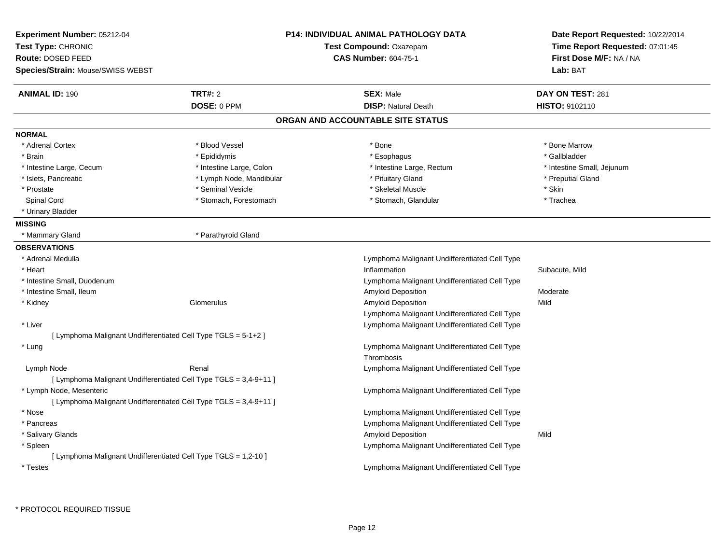|                                                                   | P14: INDIVIDUAL ANIMAL PATHOLOGY DATA                             | Date Report Requested: 10/22/2014                                                                                                                                                                                                                                                                                                  |
|-------------------------------------------------------------------|-------------------------------------------------------------------|------------------------------------------------------------------------------------------------------------------------------------------------------------------------------------------------------------------------------------------------------------------------------------------------------------------------------------|
|                                                                   | Test Compound: Oxazepam                                           | Time Report Requested: 07:01:45                                                                                                                                                                                                                                                                                                    |
|                                                                   | <b>CAS Number: 604-75-1</b>                                       | First Dose M/F: NA / NA                                                                                                                                                                                                                                                                                                            |
|                                                                   |                                                                   | Lab: BAT                                                                                                                                                                                                                                                                                                                           |
| <b>TRT#: 2</b>                                                    | <b>SEX: Male</b>                                                  | DAY ON TEST: 281                                                                                                                                                                                                                                                                                                                   |
| DOSE: 0 PPM                                                       | <b>DISP: Natural Death</b>                                        | HISTO: 9102110                                                                                                                                                                                                                                                                                                                     |
|                                                                   |                                                                   |                                                                                                                                                                                                                                                                                                                                    |
|                                                                   |                                                                   |                                                                                                                                                                                                                                                                                                                                    |
| * Blood Vessel                                                    | * Bone                                                            | * Bone Marrow                                                                                                                                                                                                                                                                                                                      |
| * Epididymis                                                      | * Esophagus                                                       | * Gallbladder                                                                                                                                                                                                                                                                                                                      |
| * Intestine Large, Colon                                          | * Intestine Large, Rectum                                         | * Intestine Small, Jejunum                                                                                                                                                                                                                                                                                                         |
| * Lymph Node, Mandibular                                          | * Pituitary Gland                                                 | * Preputial Gland                                                                                                                                                                                                                                                                                                                  |
| * Seminal Vesicle                                                 | * Skeletal Muscle                                                 | * Skin                                                                                                                                                                                                                                                                                                                             |
| * Stomach, Forestomach                                            | * Stomach, Glandular                                              | * Trachea                                                                                                                                                                                                                                                                                                                          |
|                                                                   |                                                                   |                                                                                                                                                                                                                                                                                                                                    |
|                                                                   |                                                                   |                                                                                                                                                                                                                                                                                                                                    |
| * Parathyroid Gland                                               |                                                                   |                                                                                                                                                                                                                                                                                                                                    |
|                                                                   |                                                                   |                                                                                                                                                                                                                                                                                                                                    |
|                                                                   | Lymphoma Malignant Undifferentiated Cell Type                     |                                                                                                                                                                                                                                                                                                                                    |
|                                                                   | Inflammation                                                      | Subacute, Mild                                                                                                                                                                                                                                                                                                                     |
|                                                                   | Lymphoma Malignant Undifferentiated Cell Type                     |                                                                                                                                                                                                                                                                                                                                    |
|                                                                   | <b>Amyloid Deposition</b>                                         | Moderate                                                                                                                                                                                                                                                                                                                           |
| Glomerulus                                                        |                                                                   | Mild                                                                                                                                                                                                                                                                                                                               |
|                                                                   |                                                                   |                                                                                                                                                                                                                                                                                                                                    |
|                                                                   |                                                                   |                                                                                                                                                                                                                                                                                                                                    |
| [ Lymphoma Malignant Undifferentiated Cell Type TGLS = 5-1+2 ]    |                                                                   |                                                                                                                                                                                                                                                                                                                                    |
|                                                                   | Lymphoma Malignant Undifferentiated Cell Type<br>Thrombosis       |                                                                                                                                                                                                                                                                                                                                    |
| Renal                                                             |                                                                   |                                                                                                                                                                                                                                                                                                                                    |
| [ Lymphoma Malignant Undifferentiated Cell Type TGLS = 3,4-9+11 ] |                                                                   |                                                                                                                                                                                                                                                                                                                                    |
|                                                                   | Lymphoma Malignant Undifferentiated Cell Type                     |                                                                                                                                                                                                                                                                                                                                    |
|                                                                   |                                                                   |                                                                                                                                                                                                                                                                                                                                    |
|                                                                   | Lymphoma Malignant Undifferentiated Cell Type                     |                                                                                                                                                                                                                                                                                                                                    |
|                                                                   |                                                                   |                                                                                                                                                                                                                                                                                                                                    |
|                                                                   |                                                                   | Mild                                                                                                                                                                                                                                                                                                                               |
|                                                                   |                                                                   |                                                                                                                                                                                                                                                                                                                                    |
| [ Lymphoma Malignant Undifferentiated Cell Type TGLS = 1,2-10 ]   |                                                                   |                                                                                                                                                                                                                                                                                                                                    |
|                                                                   | Lymphoma Malignant Undifferentiated Cell Type                     |                                                                                                                                                                                                                                                                                                                                    |
|                                                                   | [ Lymphoma Malignant Undifferentiated Cell Type TGLS = 3,4-9+11 ] | ORGAN AND ACCOUNTABLE SITE STATUS<br>Amyloid Deposition<br>Lymphoma Malignant Undifferentiated Cell Type<br>Lymphoma Malignant Undifferentiated Cell Type<br>Lymphoma Malignant Undifferentiated Cell Type<br>Lymphoma Malignant Undifferentiated Cell Type<br>Amyloid Deposition<br>Lymphoma Malignant Undifferentiated Cell Type |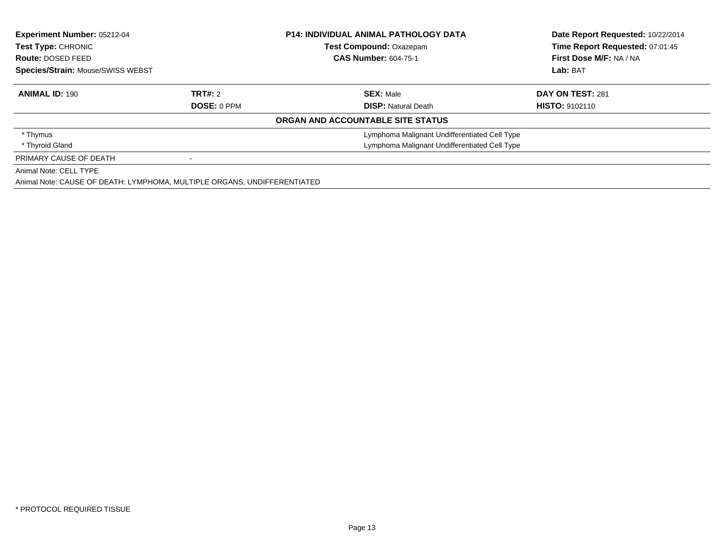| <b>Experiment Number: 05212-04</b><br>Test Type: CHRONIC<br>Route: DOSED FEED |                    | <b>P14: INDIVIDUAL ANIMAL PATHOLOGY DATA</b><br><b>Test Compound: Oxazepam</b><br><b>CAS Number: 604-75-1</b> | Date Report Requested: 10/22/2014<br>Time Report Requested: 07:01:45<br>First Dose M/F: NA / NA |  |
|-------------------------------------------------------------------------------|--------------------|---------------------------------------------------------------------------------------------------------------|-------------------------------------------------------------------------------------------------|--|
| <b>Species/Strain: Mouse/SWISS WEBST</b>                                      |                    |                                                                                                               | Lab: BAT                                                                                        |  |
| <b>ANIMAL ID: 190</b>                                                         | TRT#: 2            | <b>SEX: Male</b>                                                                                              | DAY ON TEST: 281                                                                                |  |
|                                                                               | <b>DOSE: 0 PPM</b> | <b>DISP: Natural Death</b>                                                                                    | <b>HISTO: 9102110</b>                                                                           |  |
|                                                                               |                    | ORGAN AND ACCOUNTABLE SITE STATUS                                                                             |                                                                                                 |  |
| * Thymus                                                                      |                    | Lymphoma Malignant Undifferentiated Cell Type                                                                 |                                                                                                 |  |
| * Thyroid Gland                                                               |                    | Lymphoma Malignant Undifferentiated Cell Type                                                                 |                                                                                                 |  |
| PRIMARY CAUSE OF DEATH                                                        |                    |                                                                                                               |                                                                                                 |  |
| Animal Note: CELL TYPE                                                        |                    |                                                                                                               |                                                                                                 |  |
|                                                                               |                    |                                                                                                               |                                                                                                 |  |

Animal Note: CAUSE OF DEATH: LYMPHOMA, MULTIPLE ORGANS, UNDIFFERENTIATED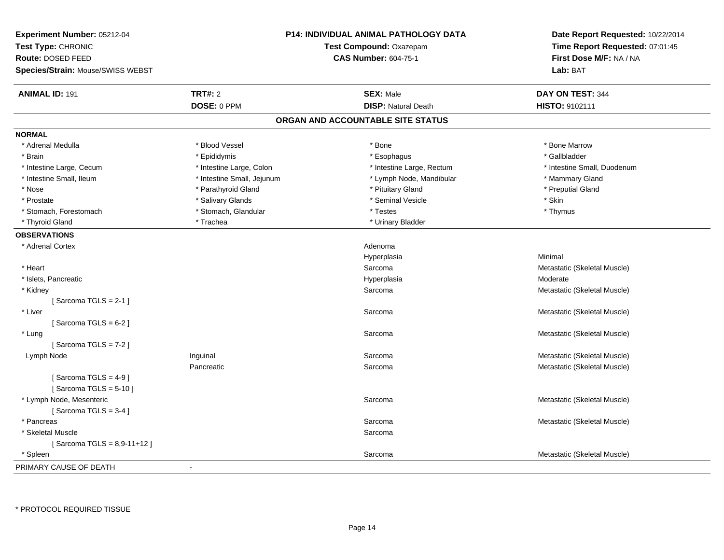| Experiment Number: 05212-04              |                            | <b>P14: INDIVIDUAL ANIMAL PATHOLOGY DATA</b> | Date Report Requested: 10/22/2014   |  |
|------------------------------------------|----------------------------|----------------------------------------------|-------------------------------------|--|
| Test Type: CHRONIC                       | Test Compound: Oxazepam    |                                              | Time Report Requested: 07:01:45     |  |
| Route: DOSED FEED                        |                            | <b>CAS Number: 604-75-1</b>                  | First Dose M/F: NA / NA<br>Lab: BAT |  |
| <b>Species/Strain: Mouse/SWISS WEBST</b> |                            |                                              |                                     |  |
| <b>ANIMAL ID: 191</b>                    | <b>TRT#: 2</b>             | <b>SEX: Male</b>                             | DAY ON TEST: 344                    |  |
|                                          | DOSE: 0 PPM                | <b>DISP: Natural Death</b>                   | HISTO: 9102111                      |  |
|                                          |                            | ORGAN AND ACCOUNTABLE SITE STATUS            |                                     |  |
| <b>NORMAL</b>                            |                            |                                              |                                     |  |
| * Adrenal Medulla                        | * Blood Vessel             | * Bone                                       | * Bone Marrow                       |  |
| * Brain                                  | * Epididymis               | * Esophagus                                  | * Gallbladder                       |  |
| * Intestine Large, Cecum                 | * Intestine Large, Colon   | * Intestine Large, Rectum                    | * Intestine Small, Duodenum         |  |
| * Intestine Small, Ileum                 | * Intestine Small, Jejunum | * Lymph Node, Mandibular                     | * Mammary Gland                     |  |
| * Nose                                   | * Parathyroid Gland        | * Pituitary Gland                            | * Preputial Gland                   |  |
| * Prostate                               | * Salivary Glands          | * Seminal Vesicle                            | * Skin                              |  |
| * Stomach, Forestomach                   | * Stomach, Glandular       | * Testes                                     | * Thymus                            |  |
| * Thyroid Gland                          | * Trachea                  | * Urinary Bladder                            |                                     |  |
| <b>OBSERVATIONS</b>                      |                            |                                              |                                     |  |
| * Adrenal Cortex                         |                            | Adenoma                                      |                                     |  |
|                                          |                            | Hyperplasia                                  | Minimal                             |  |
| * Heart                                  |                            | Sarcoma                                      | Metastatic (Skeletal Muscle)        |  |
| * Islets, Pancreatic                     |                            | Hyperplasia                                  | Moderate                            |  |
| * Kidney                                 |                            | Sarcoma                                      | Metastatic (Skeletal Muscle)        |  |
| [Sarcoma TGLS = $2-1$ ]                  |                            |                                              |                                     |  |
| * Liver                                  |                            | Sarcoma                                      | Metastatic (Skeletal Muscle)        |  |
| [Sarcoma TGLS = $6-2$ ]                  |                            |                                              |                                     |  |
| * Lung                                   |                            | Sarcoma                                      | Metastatic (Skeletal Muscle)        |  |
| [Sarcoma TGLS = $7-2$ ]                  |                            |                                              |                                     |  |
| Lymph Node                               | Inguinal                   | Sarcoma                                      | Metastatic (Skeletal Muscle)        |  |
|                                          | Pancreatic                 | Sarcoma                                      | Metastatic (Skeletal Muscle)        |  |
| [Sarcoma TGLS = $4-9$ ]                  |                            |                                              |                                     |  |
| [Sarcoma TGLS = $5-10$ ]                 |                            |                                              |                                     |  |
| * Lymph Node, Mesenteric                 |                            | Sarcoma                                      | Metastatic (Skeletal Muscle)        |  |
| [Sarcoma TGLS = $3-4$ ]                  |                            |                                              |                                     |  |
| * Pancreas                               |                            | Sarcoma                                      | Metastatic (Skeletal Muscle)        |  |
| * Skeletal Muscle                        |                            | Sarcoma                                      |                                     |  |
| [Sarcoma TGLS = 8,9-11+12]               |                            |                                              |                                     |  |
| * Spleen                                 |                            | Sarcoma                                      | Metastatic (Skeletal Muscle)        |  |
| PRIMARY CAUSE OF DEATH                   |                            |                                              |                                     |  |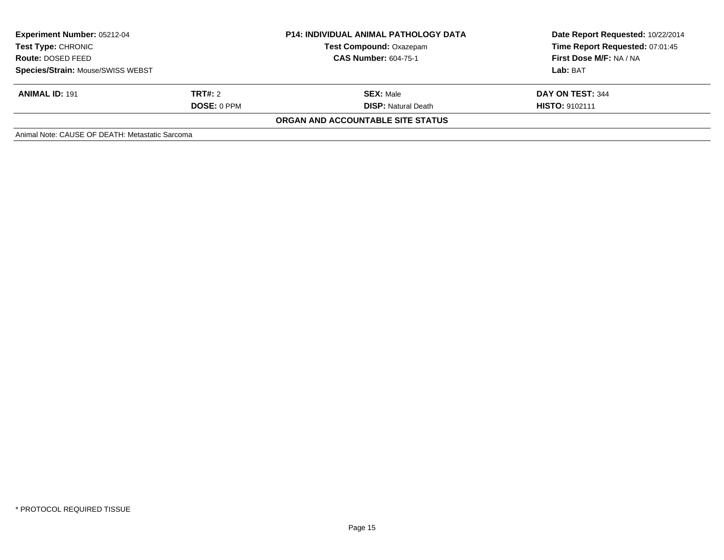| <b>Experiment Number: 05212-04</b><br>Test Type: CHRONIC<br>Route: DOSED FEED<br><b>Species/Strain: Mouse/SWISS WEBST</b> |                    | <b>P14: INDIVIDUAL ANIMAL PATHOLOGY DATA</b> | Date Report Requested: 10/22/2014<br>Time Report Requested: 07:01:45<br>First Dose M/F: NA / NA |
|---------------------------------------------------------------------------------------------------------------------------|--------------------|----------------------------------------------|-------------------------------------------------------------------------------------------------|
|                                                                                                                           |                    | <b>Test Compound: Oxazepam</b>               |                                                                                                 |
|                                                                                                                           |                    | <b>CAS Number: 604-75-1</b>                  |                                                                                                 |
|                                                                                                                           |                    |                                              | Lab: BAT                                                                                        |
| <b>ANIMAL ID: 191</b>                                                                                                     | <b>TRT#:</b> 2     | <b>SEX: Male</b>                             | DAY ON TEST: 344                                                                                |
|                                                                                                                           | <b>DOSE: 0 PPM</b> | <b>DISP:</b> Natural Death                   | <b>HISTO: 9102111</b>                                                                           |
|                                                                                                                           |                    | ORGAN AND ACCOUNTABLE SITE STATUS            |                                                                                                 |
| Animal Note: CAUSE OF DEATH: Metastatic Sarcoma                                                                           |                    |                                              |                                                                                                 |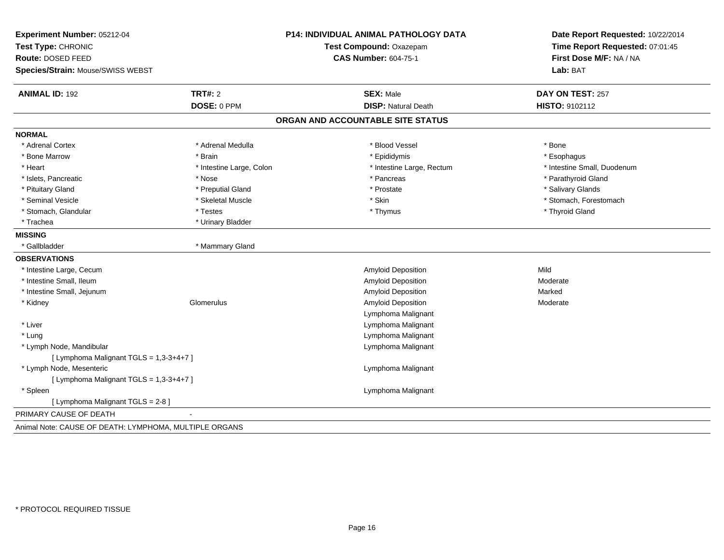| Experiment Number: 05212-04<br>Test Type: CHRONIC      |                          | <b>P14: INDIVIDUAL ANIMAL PATHOLOGY DATA</b><br>Test Compound: Oxazepam | Date Report Requested: 10/22/2014<br>Time Report Requested: 07:01:45 |
|--------------------------------------------------------|--------------------------|-------------------------------------------------------------------------|----------------------------------------------------------------------|
| Route: DOSED FEED                                      |                          | <b>CAS Number: 604-75-1</b>                                             | First Dose M/F: NA / NA                                              |
| Species/Strain: Mouse/SWISS WEBST                      |                          |                                                                         | Lab: BAT                                                             |
| <b>ANIMAL ID: 192</b>                                  | TRT#: 2                  | <b>SEX: Male</b>                                                        | DAY ON TEST: 257                                                     |
|                                                        | DOSE: 0 PPM              | <b>DISP: Natural Death</b>                                              | HISTO: 9102112                                                       |
|                                                        |                          | ORGAN AND ACCOUNTABLE SITE STATUS                                       |                                                                      |
| <b>NORMAL</b>                                          |                          |                                                                         |                                                                      |
| * Adrenal Cortex                                       | * Adrenal Medulla        | * Blood Vessel                                                          | * Bone                                                               |
| * Bone Marrow                                          | * Brain                  | * Epididymis                                                            | * Esophagus                                                          |
| * Heart                                                | * Intestine Large, Colon | * Intestine Large, Rectum                                               | * Intestine Small, Duodenum                                          |
| * Islets, Pancreatic                                   | * Nose                   | * Pancreas                                                              | * Parathyroid Gland                                                  |
| * Pituitary Gland                                      | * Preputial Gland        | * Prostate                                                              | * Salivary Glands                                                    |
| * Seminal Vesicle                                      | * Skeletal Muscle        | * Skin                                                                  | * Stomach, Forestomach                                               |
| * Stomach, Glandular                                   | * Testes                 | * Thymus                                                                | * Thyroid Gland                                                      |
| * Trachea                                              | * Urinary Bladder        |                                                                         |                                                                      |
| <b>MISSING</b>                                         |                          |                                                                         |                                                                      |
| * Gallbladder                                          | * Mammary Gland          |                                                                         |                                                                      |
| <b>OBSERVATIONS</b>                                    |                          |                                                                         |                                                                      |
| * Intestine Large, Cecum                               |                          | Amyloid Deposition                                                      | Mild                                                                 |
| * Intestine Small, Ileum                               |                          | Amyloid Deposition                                                      | Moderate                                                             |
| * Intestine Small, Jejunum                             |                          | Amyloid Deposition                                                      | Marked                                                               |
| * Kidney                                               | Glomerulus               | Amyloid Deposition                                                      | Moderate                                                             |
|                                                        |                          | Lymphoma Malignant                                                      |                                                                      |
| * Liver                                                |                          | Lymphoma Malignant                                                      |                                                                      |
| * Lung                                                 |                          | Lymphoma Malignant                                                      |                                                                      |
| * Lymph Node, Mandibular                               |                          | Lymphoma Malignant                                                      |                                                                      |
| [ Lymphoma Malignant TGLS = 1,3-3+4+7 ]                |                          |                                                                         |                                                                      |
| * Lymph Node, Mesenteric                               |                          | Lymphoma Malignant                                                      |                                                                      |
| [ Lymphoma Malignant TGLS = 1,3-3+4+7 ]                |                          |                                                                         |                                                                      |
| * Spleen                                               |                          | Lymphoma Malignant                                                      |                                                                      |
| [ Lymphoma Malignant TGLS = 2-8 ]                      |                          |                                                                         |                                                                      |
| PRIMARY CAUSE OF DEATH                                 |                          |                                                                         |                                                                      |
| Animal Note: CAUSE OF DEATH: LYMPHOMA, MULTIPLE ORGANS |                          |                                                                         |                                                                      |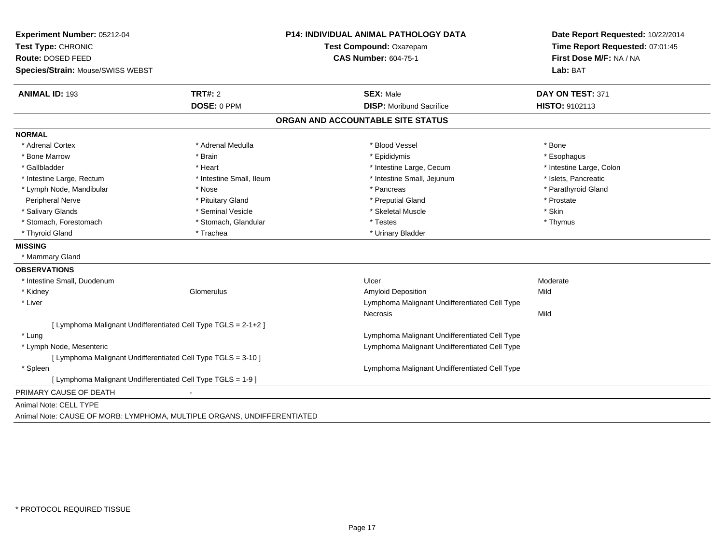| Experiment Number: 05212-04                                             |                          | <b>P14: INDIVIDUAL ANIMAL PATHOLOGY DATA</b>  | Date Report Requested: 10/22/2014 |  |
|-------------------------------------------------------------------------|--------------------------|-----------------------------------------------|-----------------------------------|--|
| Test Type: CHRONIC                                                      |                          | Test Compound: Oxazepam                       | Time Report Requested: 07:01:45   |  |
| Route: DOSED FEED                                                       |                          | <b>CAS Number: 604-75-1</b>                   | First Dose M/F: NA / NA           |  |
| Species/Strain: Mouse/SWISS WEBST                                       |                          |                                               | Lab: BAT                          |  |
| <b>ANIMAL ID: 193</b>                                                   | TRT#: 2                  | <b>SEX: Male</b>                              | DAY ON TEST: 371                  |  |
|                                                                         | DOSE: 0 PPM              | <b>DISP: Moribund Sacrifice</b>               | HISTO: 9102113                    |  |
|                                                                         |                          | ORGAN AND ACCOUNTABLE SITE STATUS             |                                   |  |
| <b>NORMAL</b>                                                           |                          |                                               |                                   |  |
| * Adrenal Cortex                                                        | * Adrenal Medulla        | * Blood Vessel                                | * Bone                            |  |
| * Bone Marrow                                                           | * Brain                  | * Epididymis                                  | * Esophagus                       |  |
| * Gallbladder                                                           | * Heart                  | * Intestine Large, Cecum                      | * Intestine Large, Colon          |  |
| * Intestine Large, Rectum                                               | * Intestine Small, Ileum | * Intestine Small, Jejunum                    | * Islets, Pancreatic              |  |
| * Lymph Node, Mandibular                                                | * Nose                   | * Pancreas                                    | * Parathyroid Gland               |  |
| Peripheral Nerve                                                        | * Pituitary Gland        | * Preputial Gland                             | * Prostate                        |  |
| * Salivary Glands                                                       | * Seminal Vesicle        | * Skeletal Muscle                             | * Skin                            |  |
| * Stomach, Forestomach                                                  | * Stomach, Glandular     | * Testes                                      | * Thymus                          |  |
| * Thyroid Gland                                                         | * Trachea                | * Urinary Bladder                             |                                   |  |
| <b>MISSING</b>                                                          |                          |                                               |                                   |  |
| * Mammary Gland                                                         |                          |                                               |                                   |  |
| <b>OBSERVATIONS</b>                                                     |                          |                                               |                                   |  |
| * Intestine Small, Duodenum                                             |                          | Ulcer                                         | Moderate                          |  |
| * Kidney                                                                | Glomerulus               | <b>Amyloid Deposition</b>                     | Mild                              |  |
| * Liver                                                                 |                          | Lymphoma Malignant Undifferentiated Cell Type |                                   |  |
|                                                                         |                          | <b>Necrosis</b>                               | Mild                              |  |
| [ Lymphoma Malignant Undifferentiated Cell Type TGLS = 2-1+2 ]          |                          |                                               |                                   |  |
| * Lung                                                                  |                          | Lymphoma Malignant Undifferentiated Cell Type |                                   |  |
| * Lymph Node, Mesenteric                                                |                          | Lymphoma Malignant Undifferentiated Cell Type |                                   |  |
| [ Lymphoma Malignant Undifferentiated Cell Type TGLS = 3-10 ]           |                          |                                               |                                   |  |
| * Spleen                                                                |                          | Lymphoma Malignant Undifferentiated Cell Type |                                   |  |
| [ Lymphoma Malignant Undifferentiated Cell Type TGLS = 1-9 ]            |                          |                                               |                                   |  |
| PRIMARY CAUSE OF DEATH                                                  |                          |                                               |                                   |  |
| Animal Note: CELL TYPE                                                  |                          |                                               |                                   |  |
| Animal Note: CAUSE OF MORB: LYMPHOMA, MULTIPLE ORGANS, UNDIFFERENTIATED |                          |                                               |                                   |  |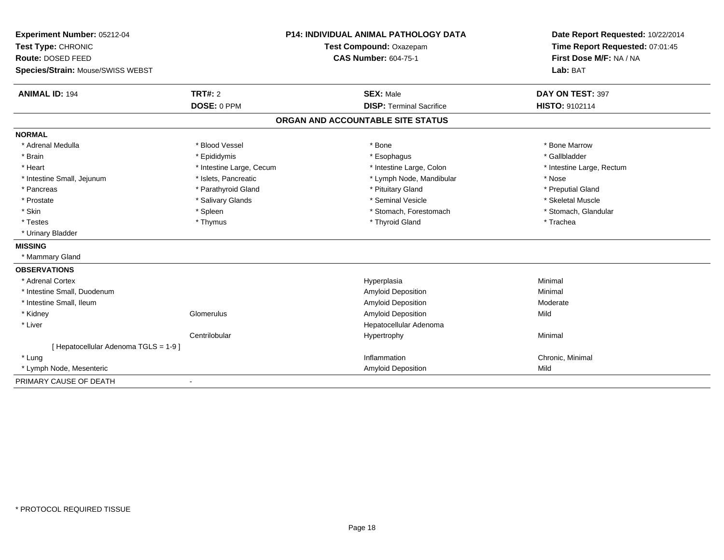| Experiment Number: 05212-04           |                          | <b>P14: INDIVIDUAL ANIMAL PATHOLOGY DATA</b> | Date Report Requested: 10/22/2014 |  |
|---------------------------------------|--------------------------|----------------------------------------------|-----------------------------------|--|
| Test Type: CHRONIC                    |                          | Test Compound: Oxazepam                      | Time Report Requested: 07:01:45   |  |
| Route: DOSED FEED                     |                          | <b>CAS Number: 604-75-1</b>                  | First Dose M/F: NA / NA           |  |
| Species/Strain: Mouse/SWISS WEBST     |                          |                                              | Lab: BAT                          |  |
| <b>ANIMAL ID: 194</b>                 | <b>TRT#: 2</b>           | <b>SEX: Male</b>                             | DAY ON TEST: 397                  |  |
|                                       | DOSE: 0 PPM              | <b>DISP: Terminal Sacrifice</b>              | <b>HISTO: 9102114</b>             |  |
|                                       |                          | ORGAN AND ACCOUNTABLE SITE STATUS            |                                   |  |
| <b>NORMAL</b>                         |                          |                                              |                                   |  |
| * Adrenal Medulla                     | * Blood Vessel           | * Bone                                       | * Bone Marrow                     |  |
| * Brain                               | * Epididymis             | * Esophagus                                  | * Gallbladder                     |  |
| * Heart                               | * Intestine Large, Cecum | * Intestine Large, Colon                     | * Intestine Large, Rectum         |  |
| * Intestine Small, Jejunum            | * Islets, Pancreatic     | * Lymph Node, Mandibular                     | * Nose                            |  |
| * Pancreas                            | * Parathyroid Gland      | * Pituitary Gland                            | * Preputial Gland                 |  |
| * Prostate                            | * Salivary Glands        | * Seminal Vesicle                            | * Skeletal Muscle                 |  |
| * Skin                                | * Spleen                 | * Stomach, Forestomach                       | * Stomach, Glandular              |  |
| * Testes                              | * Thymus                 | * Thyroid Gland                              | * Trachea                         |  |
| * Urinary Bladder                     |                          |                                              |                                   |  |
| <b>MISSING</b>                        |                          |                                              |                                   |  |
| * Mammary Gland                       |                          |                                              |                                   |  |
| <b>OBSERVATIONS</b>                   |                          |                                              |                                   |  |
| * Adrenal Cortex                      |                          | Hyperplasia                                  | Minimal                           |  |
| * Intestine Small, Duodenum           |                          | Amyloid Deposition                           | Minimal                           |  |
| * Intestine Small, Ileum              |                          | Amyloid Deposition                           | Moderate                          |  |
| * Kidney                              | Glomerulus               | Amyloid Deposition                           | Mild                              |  |
| * Liver                               |                          | Hepatocellular Adenoma                       |                                   |  |
|                                       | Centrilobular            | Hypertrophy                                  | Minimal                           |  |
| [ Hepatocellular Adenoma TGLS = 1-9 ] |                          |                                              |                                   |  |
| * Lung                                |                          | Inflammation                                 | Chronic, Minimal                  |  |
| * Lymph Node, Mesenteric              |                          | <b>Amyloid Deposition</b>                    | Mild                              |  |
| PRIMARY CAUSE OF DEATH                |                          |                                              |                                   |  |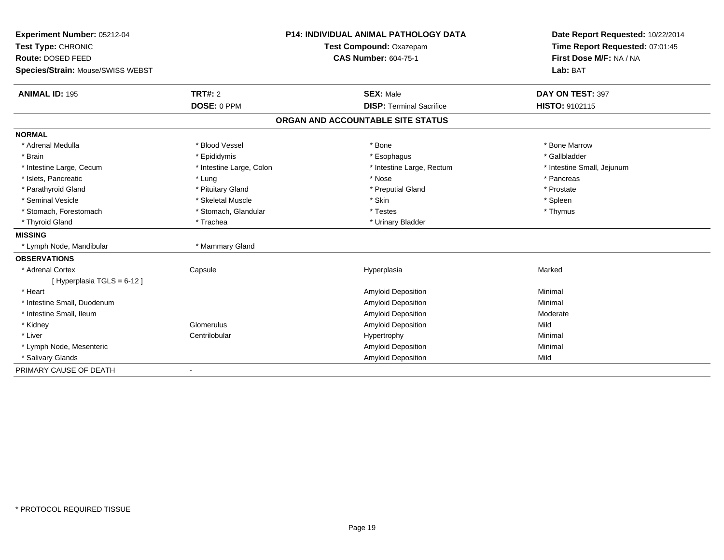| Experiment Number: 05212-04             |                          | <b>P14: INDIVIDUAL ANIMAL PATHOLOGY DATA</b> | Date Report Requested: 10/22/2014 |
|-----------------------------------------|--------------------------|----------------------------------------------|-----------------------------------|
| Test Type: CHRONIC<br>Route: DOSED FEED |                          | Test Compound: Oxazepam                      | Time Report Requested: 07:01:45   |
|                                         |                          | <b>CAS Number: 604-75-1</b>                  | First Dose M/F: NA / NA           |
| Species/Strain: Mouse/SWISS WEBST       |                          |                                              | Lab: BAT                          |
| <b>ANIMAL ID: 195</b>                   | TRT#: 2                  | <b>SEX: Male</b>                             | DAY ON TEST: 397                  |
|                                         | DOSE: 0 PPM              | <b>DISP: Terminal Sacrifice</b>              | HISTO: 9102115                    |
|                                         |                          | ORGAN AND ACCOUNTABLE SITE STATUS            |                                   |
| <b>NORMAL</b>                           |                          |                                              |                                   |
| * Adrenal Medulla                       | * Blood Vessel           | * Bone                                       | * Bone Marrow                     |
| * Brain                                 | * Epididymis             | * Esophagus                                  | * Gallbladder                     |
| * Intestine Large, Cecum                | * Intestine Large, Colon | * Intestine Large, Rectum                    | * Intestine Small, Jejunum        |
| * Islets, Pancreatic                    | * Lung                   | * Nose                                       | * Pancreas                        |
| * Parathyroid Gland                     | * Pituitary Gland        | * Preputial Gland                            | * Prostate                        |
| * Seminal Vesicle                       | * Skeletal Muscle        | * Skin                                       | * Spleen                          |
| * Stomach, Forestomach                  | * Stomach, Glandular     | * Testes                                     | * Thymus                          |
| * Thyroid Gland                         | * Trachea                | * Urinary Bladder                            |                                   |
| <b>MISSING</b>                          |                          |                                              |                                   |
| * Lymph Node, Mandibular                | * Mammary Gland          |                                              |                                   |
| <b>OBSERVATIONS</b>                     |                          |                                              |                                   |
| * Adrenal Cortex                        | Capsule                  | Hyperplasia                                  | Marked                            |
| [Hyperplasia TGLS = 6-12]               |                          |                                              |                                   |
| * Heart                                 |                          | <b>Amyloid Deposition</b>                    | Minimal                           |
| * Intestine Small, Duodenum             |                          | Amyloid Deposition                           | Minimal                           |
| * Intestine Small, Ileum                |                          | Amyloid Deposition                           | Moderate                          |
| * Kidney                                | Glomerulus               | Amyloid Deposition                           | Mild                              |
| * Liver                                 | Centrilobular            | Hypertrophy                                  | Minimal                           |
| * Lymph Node, Mesenteric                |                          | Amyloid Deposition                           | Minimal                           |
| * Salivary Glands                       |                          | Amyloid Deposition                           | Mild                              |
| PRIMARY CAUSE OF DEATH                  |                          |                                              |                                   |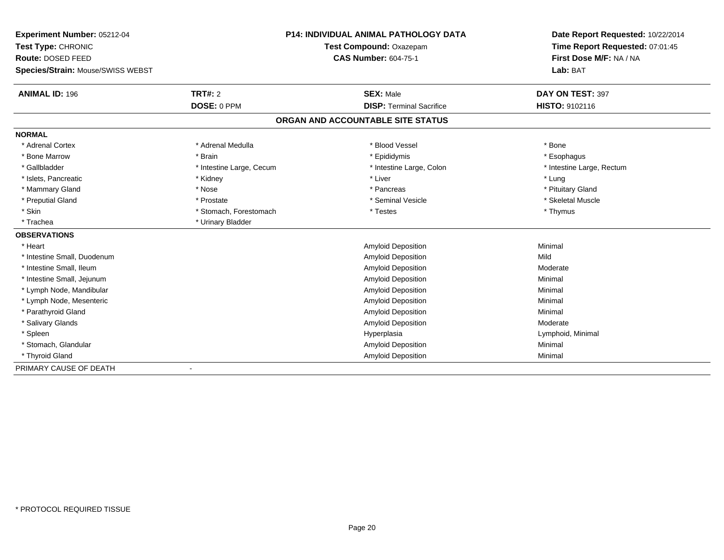| Experiment Number: 05212-04       |                          | <b>P14: INDIVIDUAL ANIMAL PATHOLOGY DATA</b> | Date Report Requested: 10/22/2014 |  |
|-----------------------------------|--------------------------|----------------------------------------------|-----------------------------------|--|
| Test Type: CHRONIC                | Test Compound: Oxazepam  |                                              | Time Report Requested: 07:01:45   |  |
| Route: DOSED FEED                 |                          | <b>CAS Number: 604-75-1</b>                  | First Dose M/F: NA / NA           |  |
| Species/Strain: Mouse/SWISS WEBST |                          |                                              | Lab: BAT                          |  |
| <b>ANIMAL ID: 196</b>             | TRT#: 2                  | <b>SEX: Male</b>                             | DAY ON TEST: 397                  |  |
|                                   | DOSE: 0 PPM              | <b>DISP: Terminal Sacrifice</b>              | HISTO: 9102116                    |  |
|                                   |                          | ORGAN AND ACCOUNTABLE SITE STATUS            |                                   |  |
| <b>NORMAL</b>                     |                          |                                              |                                   |  |
| * Adrenal Cortex                  | * Adrenal Medulla        | * Blood Vessel                               | * Bone                            |  |
| * Bone Marrow                     | * Brain                  | * Epididymis                                 | * Esophagus                       |  |
| * Gallbladder                     | * Intestine Large, Cecum | * Intestine Large, Colon                     | * Intestine Large, Rectum         |  |
| * Islets, Pancreatic              | * Kidney                 | * Liver                                      | * Lung                            |  |
| * Mammary Gland                   | * Nose                   | * Pancreas                                   | * Pituitary Gland                 |  |
| * Preputial Gland                 | * Prostate               | * Seminal Vesicle                            | * Skeletal Muscle                 |  |
| * Skin                            | * Stomach, Forestomach   | * Testes                                     | * Thymus                          |  |
| * Trachea                         | * Urinary Bladder        |                                              |                                   |  |
| <b>OBSERVATIONS</b>               |                          |                                              |                                   |  |
| * Heart                           |                          | Amyloid Deposition                           | Minimal                           |  |
| * Intestine Small, Duodenum       |                          | <b>Amyloid Deposition</b>                    | Mild                              |  |
| * Intestine Small, Ileum          |                          | Amyloid Deposition                           | Moderate                          |  |
| * Intestine Small, Jejunum        |                          | <b>Amyloid Deposition</b>                    | Minimal                           |  |
| * Lymph Node, Mandibular          |                          | Amyloid Deposition                           | Minimal                           |  |
| * Lymph Node, Mesenteric          |                          | Amyloid Deposition                           | Minimal                           |  |
| * Parathyroid Gland               |                          | Amyloid Deposition                           | Minimal                           |  |
| * Salivary Glands                 |                          | Amyloid Deposition                           | Moderate                          |  |
| * Spleen                          |                          | Hyperplasia                                  | Lymphoid, Minimal                 |  |
| * Stomach, Glandular              |                          | Amyloid Deposition                           | Minimal                           |  |
| * Thyroid Gland                   |                          | Amyloid Deposition                           | Minimal                           |  |
| PRIMARY CAUSE OF DEATH            |                          |                                              |                                   |  |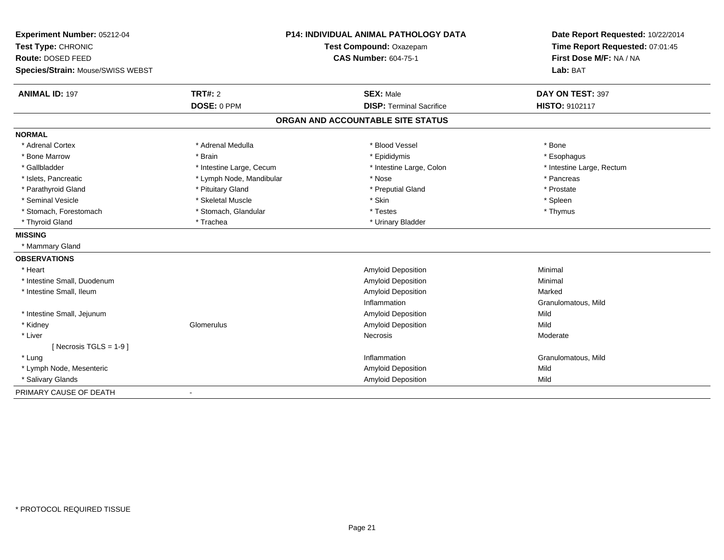| Experiment Number: 05212-04       |                          | <b>P14: INDIVIDUAL ANIMAL PATHOLOGY DATA</b> | Date Report Requested: 10/22/2014 |
|-----------------------------------|--------------------------|----------------------------------------------|-----------------------------------|
| Test Type: CHRONIC                |                          | Test Compound: Oxazepam                      | Time Report Requested: 07:01:45   |
| Route: DOSED FEED                 |                          | <b>CAS Number: 604-75-1</b>                  | First Dose M/F: NA / NA           |
| Species/Strain: Mouse/SWISS WEBST |                          |                                              | Lab: BAT                          |
| <b>ANIMAL ID: 197</b>             | <b>TRT#: 2</b>           | <b>SEX: Male</b>                             | DAY ON TEST: 397                  |
|                                   | DOSE: 0 PPM              | <b>DISP: Terminal Sacrifice</b>              | HISTO: 9102117                    |
|                                   |                          | ORGAN AND ACCOUNTABLE SITE STATUS            |                                   |
| <b>NORMAL</b>                     |                          |                                              |                                   |
| * Adrenal Cortex                  | * Adrenal Medulla        | * Blood Vessel                               | * Bone                            |
| * Bone Marrow                     | * Brain                  | * Epididymis                                 | * Esophagus                       |
| * Gallbladder                     | * Intestine Large, Cecum | * Intestine Large, Colon                     | * Intestine Large, Rectum         |
| * Islets, Pancreatic              | * Lymph Node, Mandibular | * Nose                                       | * Pancreas                        |
| * Parathyroid Gland               | * Pituitary Gland        | * Preputial Gland                            | * Prostate                        |
| * Seminal Vesicle                 | * Skeletal Muscle        | * Skin                                       | * Spleen                          |
| * Stomach, Forestomach            | * Stomach, Glandular     | * Testes                                     | * Thymus                          |
| * Thyroid Gland                   | * Trachea                | * Urinary Bladder                            |                                   |
| <b>MISSING</b>                    |                          |                                              |                                   |
| * Mammary Gland                   |                          |                                              |                                   |
| <b>OBSERVATIONS</b>               |                          |                                              |                                   |
| * Heart                           |                          | Amyloid Deposition                           | Minimal                           |
| * Intestine Small, Duodenum       |                          | <b>Amyloid Deposition</b>                    | Minimal                           |
| * Intestine Small, Ileum          |                          | Amyloid Deposition                           | Marked                            |
|                                   |                          | Inflammation                                 | Granulomatous, Mild               |
| * Intestine Small, Jejunum        |                          | Amyloid Deposition                           | Mild                              |
| * Kidney                          | Glomerulus               | <b>Amyloid Deposition</b>                    | Mild                              |
| * Liver                           |                          | Necrosis                                     | Moderate                          |
| [ Necrosis TGLS = $1-9$ ]         |                          |                                              |                                   |
| * Lung                            |                          | Inflammation                                 | Granulomatous, Mild               |
| * Lymph Node, Mesenteric          |                          | <b>Amyloid Deposition</b>                    | Mild                              |
| * Salivary Glands                 |                          | <b>Amyloid Deposition</b>                    | Mild                              |
| PRIMARY CAUSE OF DEATH            |                          |                                              |                                   |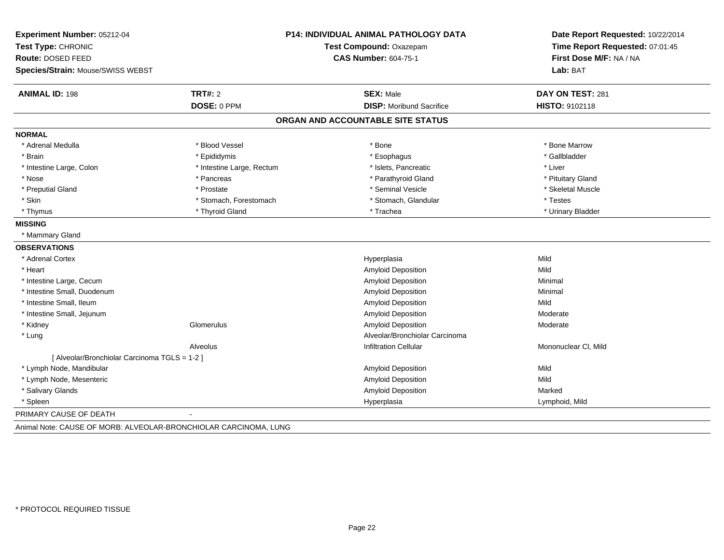| Test Compound: Oxazepam<br>Time Report Requested: 07:01:45<br><b>CAS Number: 604-75-1</b><br>First Dose M/F: NA / NA<br>Lab: BAT<br><b>SEX: Male</b><br>DAY ON TEST: 281<br><b>DISP:</b> Moribund Sacrifice<br>HISTO: 9102118<br>ORGAN AND ACCOUNTABLE SITE STATUS<br>* Bone Marrow<br>* Bone<br>* Esophagus<br>* Gallbladder<br>* Islets, Pancreatic<br>* Liver<br>* Parathyroid Gland<br>* Pituitary Gland |
|--------------------------------------------------------------------------------------------------------------------------------------------------------------------------------------------------------------------------------------------------------------------------------------------------------------------------------------------------------------------------------------------------------------|
|                                                                                                                                                                                                                                                                                                                                                                                                              |
|                                                                                                                                                                                                                                                                                                                                                                                                              |
|                                                                                                                                                                                                                                                                                                                                                                                                              |
|                                                                                                                                                                                                                                                                                                                                                                                                              |
|                                                                                                                                                                                                                                                                                                                                                                                                              |
|                                                                                                                                                                                                                                                                                                                                                                                                              |
|                                                                                                                                                                                                                                                                                                                                                                                                              |
|                                                                                                                                                                                                                                                                                                                                                                                                              |
|                                                                                                                                                                                                                                                                                                                                                                                                              |
|                                                                                                                                                                                                                                                                                                                                                                                                              |
|                                                                                                                                                                                                                                                                                                                                                                                                              |
| * Seminal Vesicle<br>* Skeletal Muscle                                                                                                                                                                                                                                                                                                                                                                       |
| * Stomach, Glandular<br>* Testes                                                                                                                                                                                                                                                                                                                                                                             |
| * Trachea<br>* Urinary Bladder                                                                                                                                                                                                                                                                                                                                                                               |
|                                                                                                                                                                                                                                                                                                                                                                                                              |
|                                                                                                                                                                                                                                                                                                                                                                                                              |
|                                                                                                                                                                                                                                                                                                                                                                                                              |
| Mild<br>Hyperplasia                                                                                                                                                                                                                                                                                                                                                                                          |
| Amyloid Deposition<br>Mild                                                                                                                                                                                                                                                                                                                                                                                   |
| Amyloid Deposition<br>Minimal                                                                                                                                                                                                                                                                                                                                                                                |
| Amyloid Deposition<br>Minimal                                                                                                                                                                                                                                                                                                                                                                                |
| Amyloid Deposition<br>Mild                                                                                                                                                                                                                                                                                                                                                                                   |
| Amyloid Deposition<br>Moderate                                                                                                                                                                                                                                                                                                                                                                               |
| <b>Amyloid Deposition</b><br>Moderate                                                                                                                                                                                                                                                                                                                                                                        |
| Alveolar/Bronchiolar Carcinoma                                                                                                                                                                                                                                                                                                                                                                               |
| <b>Infiltration Cellular</b><br>Mononuclear CI, Mild                                                                                                                                                                                                                                                                                                                                                         |
|                                                                                                                                                                                                                                                                                                                                                                                                              |
| Amyloid Deposition<br>Mild                                                                                                                                                                                                                                                                                                                                                                                   |
| Amyloid Deposition<br>Mild                                                                                                                                                                                                                                                                                                                                                                                   |
| Amyloid Deposition<br>Marked                                                                                                                                                                                                                                                                                                                                                                                 |
| Hyperplasia<br>Lymphoid, Mild                                                                                                                                                                                                                                                                                                                                                                                |
|                                                                                                                                                                                                                                                                                                                                                                                                              |
|                                                                                                                                                                                                                                                                                                                                                                                                              |

Animal Note: CAUSE OF MORB: ALVEOLAR-BRONCHIOLAR CARCINOMA, LUNG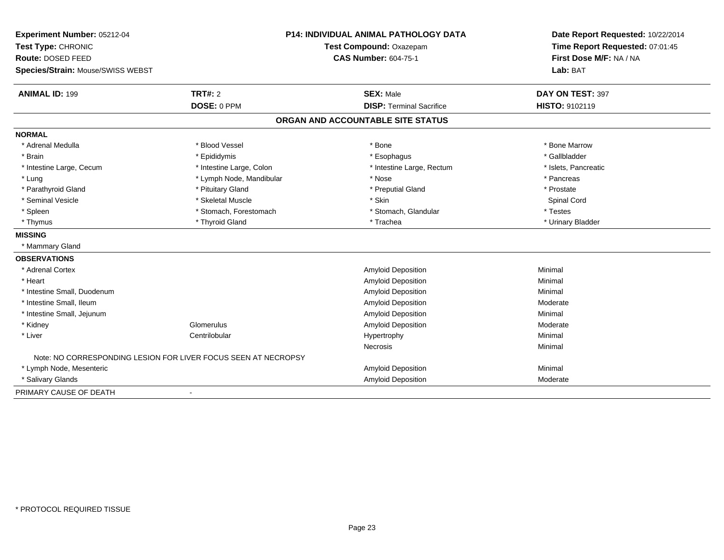| Experiment Number: 05212-04                                    |                          | P14: INDIVIDUAL ANIMAL PATHOLOGY DATA | Date Report Requested: 10/22/2014 |
|----------------------------------------------------------------|--------------------------|---------------------------------------|-----------------------------------|
| Test Type: CHRONIC                                             |                          | Test Compound: Oxazepam               | Time Report Requested: 07:01:45   |
| Route: DOSED FEED                                              |                          | <b>CAS Number: 604-75-1</b>           | First Dose M/F: NA / NA           |
| Species/Strain: Mouse/SWISS WEBST                              |                          |                                       | Lab: BAT                          |
| <b>ANIMAL ID: 199</b>                                          | <b>TRT#: 2</b>           | <b>SEX: Male</b>                      | DAY ON TEST: 397                  |
|                                                                | DOSE: 0 PPM              | <b>DISP: Terminal Sacrifice</b>       | HISTO: 9102119                    |
|                                                                |                          | ORGAN AND ACCOUNTABLE SITE STATUS     |                                   |
| <b>NORMAL</b>                                                  |                          |                                       |                                   |
| * Adrenal Medulla                                              | * Blood Vessel           | * Bone                                | * Bone Marrow                     |
| * Brain                                                        | * Epididymis             | * Esophagus                           | * Gallbladder                     |
| * Intestine Large, Cecum                                       | * Intestine Large, Colon | * Intestine Large, Rectum             | * Islets, Pancreatic              |
| * Lung                                                         | * Lymph Node, Mandibular | * Nose                                | * Pancreas                        |
| * Parathyroid Gland                                            | * Pituitary Gland        | * Preputial Gland                     | * Prostate                        |
| * Seminal Vesicle                                              | * Skeletal Muscle        | * Skin                                | Spinal Cord                       |
| * Spleen                                                       | * Stomach, Forestomach   | * Stomach, Glandular                  | * Testes                          |
| * Thymus                                                       | * Thyroid Gland          | * Trachea                             | * Urinary Bladder                 |
| <b>MISSING</b>                                                 |                          |                                       |                                   |
| * Mammary Gland                                                |                          |                                       |                                   |
| <b>OBSERVATIONS</b>                                            |                          |                                       |                                   |
| * Adrenal Cortex                                               |                          | <b>Amyloid Deposition</b>             | Minimal                           |
| * Heart                                                        |                          | <b>Amyloid Deposition</b>             | Minimal                           |
| * Intestine Small, Duodenum                                    |                          | <b>Amyloid Deposition</b>             | Minimal                           |
| * Intestine Small. Ileum                                       |                          | <b>Amyloid Deposition</b>             | Moderate                          |
| * Intestine Small, Jejunum                                     |                          | <b>Amyloid Deposition</b>             | Minimal                           |
| * Kidney                                                       | Glomerulus               | <b>Amyloid Deposition</b>             | Moderate                          |
| * Liver                                                        | Centrilobular            | Hypertrophy                           | Minimal                           |
|                                                                |                          | Necrosis                              | Minimal                           |
| Note: NO CORRESPONDING LESION FOR LIVER FOCUS SEEN AT NECROPSY |                          |                                       |                                   |
| * Lymph Node, Mesenteric                                       |                          | <b>Amyloid Deposition</b>             | Minimal                           |
| * Salivary Glands                                              |                          | <b>Amyloid Deposition</b>             | Moderate                          |
| PRIMARY CAUSE OF DEATH                                         |                          |                                       |                                   |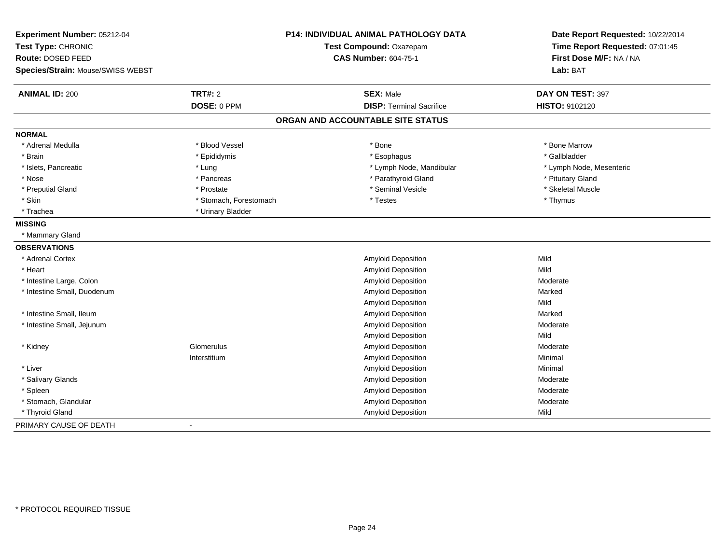| Experiment Number: 05212-04<br>Test Type: CHRONIC<br>Route: DOSED FEED |                        | P14: INDIVIDUAL ANIMAL PATHOLOGY DATA<br>Test Compound: Oxazepam<br><b>CAS Number: 604-75-1</b> | Date Report Requested: 10/22/2014<br>Time Report Requested: 07:01:45<br>First Dose M/F: NA / NA |
|------------------------------------------------------------------------|------------------------|-------------------------------------------------------------------------------------------------|-------------------------------------------------------------------------------------------------|
| Species/Strain: Mouse/SWISS WEBST                                      |                        |                                                                                                 | Lab: BAT                                                                                        |
| <b>ANIMAL ID: 200</b>                                                  | <b>TRT#: 2</b>         | <b>SEX: Male</b>                                                                                | DAY ON TEST: 397                                                                                |
|                                                                        | DOSE: 0 PPM            | <b>DISP: Terminal Sacrifice</b>                                                                 | HISTO: 9102120                                                                                  |
|                                                                        |                        | ORGAN AND ACCOUNTABLE SITE STATUS                                                               |                                                                                                 |
| <b>NORMAL</b>                                                          |                        |                                                                                                 |                                                                                                 |
| * Adrenal Medulla                                                      | * Blood Vessel         | * Bone                                                                                          | * Bone Marrow                                                                                   |
| * Brain                                                                | * Epididymis           | * Esophagus                                                                                     | * Gallbladder                                                                                   |
| * Islets, Pancreatic                                                   | * Lung                 | * Lymph Node, Mandibular                                                                        | * Lymph Node, Mesenteric                                                                        |
| * Nose                                                                 | * Pancreas             | * Parathyroid Gland                                                                             | * Pituitary Gland                                                                               |
| * Preputial Gland                                                      | * Prostate             | * Seminal Vesicle                                                                               | * Skeletal Muscle                                                                               |
| * Skin                                                                 | * Stomach, Forestomach | * Testes                                                                                        | * Thymus                                                                                        |
| * Trachea                                                              | * Urinary Bladder      |                                                                                                 |                                                                                                 |
| <b>MISSING</b>                                                         |                        |                                                                                                 |                                                                                                 |
| * Mammary Gland                                                        |                        |                                                                                                 |                                                                                                 |
| <b>OBSERVATIONS</b>                                                    |                        |                                                                                                 |                                                                                                 |
| * Adrenal Cortex                                                       |                        | Amyloid Deposition                                                                              | Mild                                                                                            |
| * Heart                                                                |                        | Amyloid Deposition                                                                              | Mild                                                                                            |
| * Intestine Large, Colon                                               |                        | <b>Amyloid Deposition</b>                                                                       | Moderate                                                                                        |
| * Intestine Small, Duodenum                                            |                        | <b>Amyloid Deposition</b>                                                                       | Marked                                                                                          |
|                                                                        |                        | <b>Amyloid Deposition</b>                                                                       | Mild                                                                                            |
| * Intestine Small, Ileum                                               |                        | Amyloid Deposition                                                                              | Marked                                                                                          |
| * Intestine Small, Jejunum                                             |                        | Amyloid Deposition                                                                              | Moderate                                                                                        |
|                                                                        |                        | <b>Amyloid Deposition</b>                                                                       | Mild                                                                                            |
| * Kidney                                                               | Glomerulus             | <b>Amyloid Deposition</b>                                                                       | Moderate                                                                                        |
|                                                                        | Interstitium           | Amyloid Deposition                                                                              | Minimal                                                                                         |
| * Liver                                                                |                        | Amyloid Deposition                                                                              | Minimal                                                                                         |
| * Salivary Glands                                                      |                        | Amyloid Deposition                                                                              | Moderate                                                                                        |
| * Spleen                                                               |                        | Amyloid Deposition                                                                              | Moderate                                                                                        |
| * Stomach, Glandular                                                   |                        | Amyloid Deposition                                                                              | Moderate                                                                                        |
| * Thyroid Gland                                                        |                        | Amyloid Deposition                                                                              | Mild                                                                                            |
| PRIMARY CAUSE OF DEATH                                                 |                        |                                                                                                 |                                                                                                 |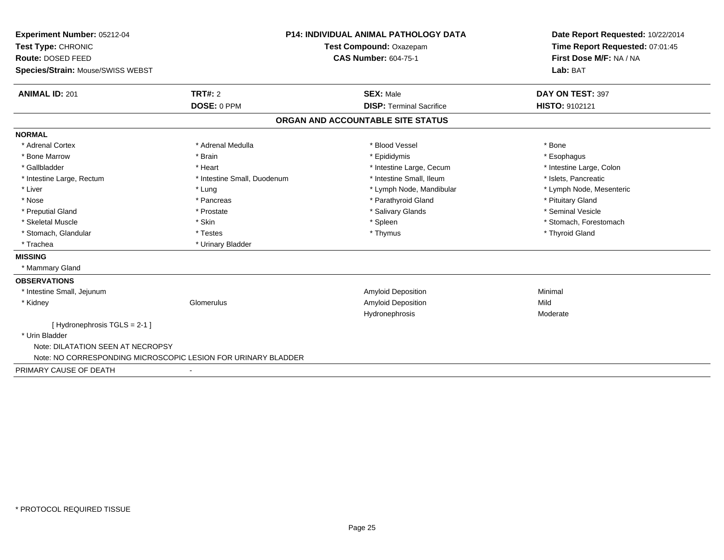| Experiment Number: 05212-04                                   |                             | <b>P14: INDIVIDUAL ANIMAL PATHOLOGY DATA</b> | Date Report Requested: 10/22/2014<br>Time Report Requested: 07:01:45 |  |
|---------------------------------------------------------------|-----------------------------|----------------------------------------------|----------------------------------------------------------------------|--|
| Test Type: CHRONIC                                            |                             | Test Compound: Oxazepam                      |                                                                      |  |
| Route: DOSED FEED                                             |                             | <b>CAS Number: 604-75-1</b>                  | First Dose M/F: NA / NA                                              |  |
| Species/Strain: Mouse/SWISS WEBST                             |                             |                                              | Lab: BAT                                                             |  |
| <b>ANIMAL ID: 201</b>                                         | TRT#: 2                     | <b>SEX: Male</b>                             | DAY ON TEST: 397                                                     |  |
|                                                               | DOSE: 0 PPM                 | <b>DISP: Terminal Sacrifice</b>              | HISTO: 9102121                                                       |  |
|                                                               |                             | ORGAN AND ACCOUNTABLE SITE STATUS            |                                                                      |  |
| <b>NORMAL</b>                                                 |                             |                                              |                                                                      |  |
| * Adrenal Cortex                                              | * Adrenal Medulla           | * Blood Vessel                               | * Bone                                                               |  |
| * Bone Marrow                                                 | * Brain                     | * Epididymis                                 | * Esophagus                                                          |  |
| * Gallbladder                                                 | * Heart                     | * Intestine Large, Cecum                     | * Intestine Large, Colon                                             |  |
| * Intestine Large, Rectum                                     | * Intestine Small, Duodenum | * Intestine Small. Ileum                     | * Islets, Pancreatic                                                 |  |
| * Liver                                                       | * Lung                      | * Lymph Node, Mandibular                     | * Lymph Node, Mesenteric                                             |  |
| * Nose                                                        | * Pancreas                  | * Parathyroid Gland                          | * Pituitary Gland                                                    |  |
| * Preputial Gland                                             | * Prostate                  | * Salivary Glands                            | * Seminal Vesicle                                                    |  |
| * Skeletal Muscle                                             | * Skin                      | * Spleen                                     | * Stomach, Forestomach                                               |  |
| * Stomach, Glandular                                          | * Testes                    | * Thymus                                     | * Thyroid Gland                                                      |  |
| * Trachea                                                     | * Urinary Bladder           |                                              |                                                                      |  |
| <b>MISSING</b>                                                |                             |                                              |                                                                      |  |
| * Mammary Gland                                               |                             |                                              |                                                                      |  |
| <b>OBSERVATIONS</b>                                           |                             |                                              |                                                                      |  |
| * Intestine Small, Jejunum                                    |                             | <b>Amyloid Deposition</b>                    | Minimal                                                              |  |
| * Kidney                                                      | Glomerulus                  | Amyloid Deposition                           | Mild                                                                 |  |
|                                                               |                             | Hydronephrosis                               | Moderate                                                             |  |
| [Hydronephrosis $TGLS = 2-1$ ]                                |                             |                                              |                                                                      |  |
| * Urin Bladder                                                |                             |                                              |                                                                      |  |
| Note: DILATATION SEEN AT NECROPSY                             |                             |                                              |                                                                      |  |
| Note: NO CORRESPONDING MICROSCOPIC LESION FOR URINARY BLADDER |                             |                                              |                                                                      |  |
| PRIMARY CAUSE OF DEATH                                        |                             |                                              |                                                                      |  |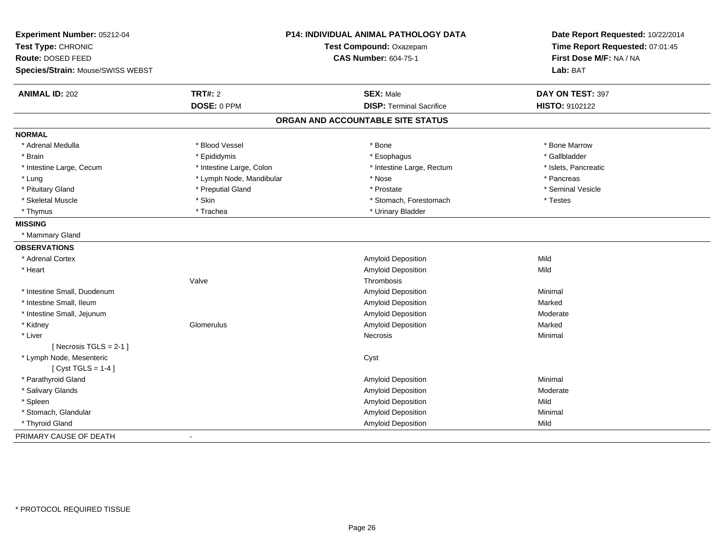| Experiment Number: 05212-04<br>Test Type: CHRONIC |                          | P14: INDIVIDUAL ANIMAL PATHOLOGY DATA<br>Test Compound: Oxazepam | Date Report Requested: 10/22/2014<br>Time Report Requested: 07:01:45 |
|---------------------------------------------------|--------------------------|------------------------------------------------------------------|----------------------------------------------------------------------|
| Route: DOSED FEED                                 |                          | <b>CAS Number: 604-75-1</b>                                      | First Dose M/F: NA / NA                                              |
| Species/Strain: Mouse/SWISS WEBST                 |                          |                                                                  | Lab: BAT                                                             |
| <b>ANIMAL ID: 202</b>                             | <b>TRT#: 2</b>           | <b>SEX: Male</b>                                                 | DAY ON TEST: 397                                                     |
|                                                   | DOSE: 0 PPM              | <b>DISP: Terminal Sacrifice</b>                                  | HISTO: 9102122                                                       |
|                                                   |                          | ORGAN AND ACCOUNTABLE SITE STATUS                                |                                                                      |
| <b>NORMAL</b>                                     |                          |                                                                  |                                                                      |
| * Adrenal Medulla                                 | * Blood Vessel           | * Bone                                                           | * Bone Marrow                                                        |
| * Brain                                           | * Epididymis             | * Esophagus                                                      | * Gallbladder                                                        |
| * Intestine Large, Cecum                          | * Intestine Large, Colon | * Intestine Large, Rectum                                        | * Islets, Pancreatic                                                 |
| * Lung                                            | * Lymph Node, Mandibular | * Nose                                                           | * Pancreas                                                           |
| * Pituitary Gland                                 | * Preputial Gland        | * Prostate                                                       | * Seminal Vesicle                                                    |
| * Skeletal Muscle                                 | * Skin                   | * Stomach, Forestomach                                           | * Testes                                                             |
| * Thymus                                          | * Trachea                | * Urinary Bladder                                                |                                                                      |
| <b>MISSING</b>                                    |                          |                                                                  |                                                                      |
| * Mammary Gland                                   |                          |                                                                  |                                                                      |
| <b>OBSERVATIONS</b>                               |                          |                                                                  |                                                                      |
| * Adrenal Cortex                                  |                          | Amyloid Deposition                                               | Mild                                                                 |
| * Heart                                           |                          | <b>Amyloid Deposition</b>                                        | Mild                                                                 |
|                                                   | Valve                    | Thrombosis                                                       |                                                                      |
| * Intestine Small, Duodenum                       |                          | Amyloid Deposition                                               | Minimal                                                              |
| * Intestine Small, Ileum                          |                          | Amyloid Deposition                                               | Marked                                                               |
| * Intestine Small, Jejunum                        |                          | <b>Amyloid Deposition</b>                                        | Moderate                                                             |
| * Kidney                                          | Glomerulus               | Amyloid Deposition                                               | Marked                                                               |
| * Liver                                           |                          | Necrosis                                                         | Minimal                                                              |
| [Necrosis TGLS = $2-1$ ]                          |                          |                                                                  |                                                                      |
| * Lymph Node, Mesenteric                          |                          | Cyst                                                             |                                                                      |
| [Cyst TGLS = $1-4$ ]                              |                          |                                                                  |                                                                      |
| * Parathyroid Gland                               |                          | Amyloid Deposition                                               | Minimal                                                              |
| * Salivary Glands                                 |                          | <b>Amyloid Deposition</b>                                        | Moderate                                                             |
| * Spleen                                          |                          | <b>Amyloid Deposition</b>                                        | Mild                                                                 |
| * Stomach, Glandular                              |                          | Amyloid Deposition                                               | Minimal                                                              |
| * Thyroid Gland                                   |                          | <b>Amyloid Deposition</b>                                        | Mild                                                                 |
| PRIMARY CAUSE OF DEATH                            | $\blacksquare$           |                                                                  |                                                                      |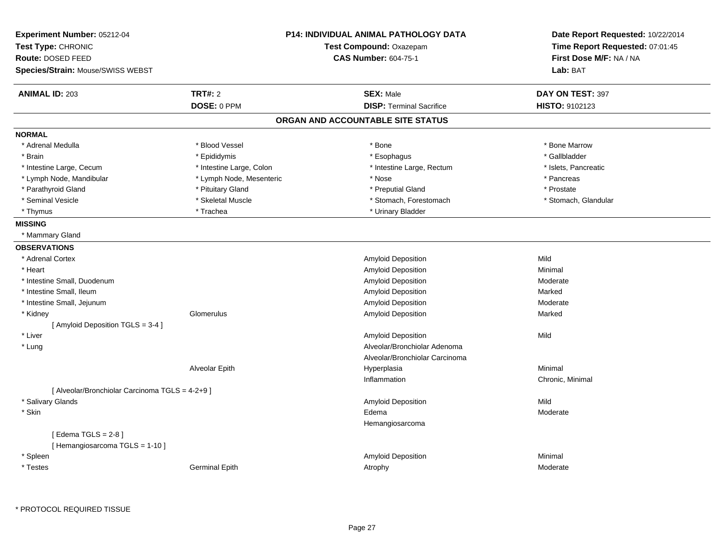| Experiment Number: 05212-04                     |                          | <b>P14: INDIVIDUAL ANIMAL PATHOLOGY DATA</b> | Date Report Requested: 10/22/2014 |
|-------------------------------------------------|--------------------------|----------------------------------------------|-----------------------------------|
| Test Type: CHRONIC                              |                          | Test Compound: Oxazepam                      | Time Report Requested: 07:01:45   |
| Route: DOSED FEED                               |                          | <b>CAS Number: 604-75-1</b>                  | First Dose M/F: NA / NA           |
| Species/Strain: Mouse/SWISS WEBST               |                          |                                              | Lab: BAT                          |
| <b>ANIMAL ID: 203</b>                           | <b>TRT#: 2</b>           | <b>SEX: Male</b>                             | DAY ON TEST: 397                  |
|                                                 | DOSE: 0 PPM              | <b>DISP: Terminal Sacrifice</b>              | HISTO: 9102123                    |
|                                                 |                          | ORGAN AND ACCOUNTABLE SITE STATUS            |                                   |
| <b>NORMAL</b>                                   |                          |                                              |                                   |
| * Adrenal Medulla                               | * Blood Vessel           | * Bone                                       | * Bone Marrow                     |
| * Brain                                         | * Epididymis             | * Esophagus                                  | * Gallbladder                     |
| * Intestine Large, Cecum                        | * Intestine Large, Colon | * Intestine Large, Rectum                    | * Islets, Pancreatic              |
| * Lymph Node, Mandibular                        | * Lymph Node, Mesenteric | * Nose                                       | * Pancreas                        |
| * Parathyroid Gland                             | * Pituitary Gland        | * Preputial Gland                            | * Prostate                        |
| * Seminal Vesicle                               | * Skeletal Muscle        | * Stomach, Forestomach                       | * Stomach, Glandular              |
| * Thymus                                        | * Trachea                | * Urinary Bladder                            |                                   |
| <b>MISSING</b>                                  |                          |                                              |                                   |
| * Mammary Gland                                 |                          |                                              |                                   |
| <b>OBSERVATIONS</b>                             |                          |                                              |                                   |
| * Adrenal Cortex                                |                          | Amyloid Deposition                           | Mild                              |
| * Heart                                         |                          | Amyloid Deposition                           | Minimal                           |
| * Intestine Small, Duodenum                     |                          | Amyloid Deposition                           | Moderate                          |
| * Intestine Small, Ileum                        |                          | Amyloid Deposition                           | Marked                            |
| * Intestine Small, Jejunum                      |                          | Amyloid Deposition                           | Moderate                          |
| * Kidney                                        | Glomerulus               | Amyloid Deposition                           | Marked                            |
| [Amyloid Deposition TGLS = 3-4]                 |                          |                                              |                                   |
| * Liver                                         |                          | Amyloid Deposition                           | Mild                              |
| * Lung                                          |                          | Alveolar/Bronchiolar Adenoma                 |                                   |
|                                                 |                          | Alveolar/Bronchiolar Carcinoma               |                                   |
|                                                 | Alveolar Epith           | Hyperplasia                                  | Minimal                           |
|                                                 |                          | Inflammation                                 | Chronic, Minimal                  |
| [ Alveolar/Bronchiolar Carcinoma TGLS = 4-2+9 ] |                          |                                              |                                   |
| * Salivary Glands                               |                          | Amyloid Deposition                           | Mild                              |
| * Skin                                          |                          | Edema                                        | Moderate                          |
|                                                 |                          | Hemangiosarcoma                              |                                   |
| [Edema TGLS = $2-8$ ]                           |                          |                                              |                                   |
| [Hemangiosarcoma TGLS = 1-10]                   |                          |                                              |                                   |
| * Spleen                                        |                          | Amyloid Deposition                           | Minimal                           |
| * Testes                                        | <b>Germinal Epith</b>    | Atrophy                                      | Moderate                          |
|                                                 |                          |                                              |                                   |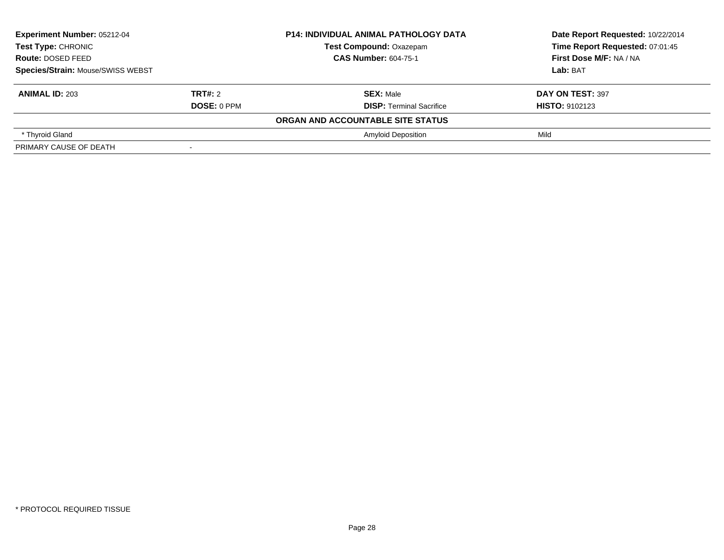| Experiment Number: 05212-04<br><b>Test Type: CHRONIC</b><br>Route: DOSED FEED<br>Species/Strain: Mouse/SWISS WEBST |                    | <b>P14: INDIVIDUAL ANIMAL PATHOLOGY DATA</b> | Date Report Requested: 10/22/2014<br>Time Report Requested: 07:01:45<br><b>First Dose M/F: NA / NA</b> |
|--------------------------------------------------------------------------------------------------------------------|--------------------|----------------------------------------------|--------------------------------------------------------------------------------------------------------|
|                                                                                                                    |                    | <b>Test Compound: Oxazepam</b>               |                                                                                                        |
|                                                                                                                    |                    | <b>CAS Number: 604-75-1</b>                  |                                                                                                        |
|                                                                                                                    |                    |                                              | Lab: BAT                                                                                               |
| <b>ANIMAL ID: 203</b>                                                                                              | <b>TRT#: 2</b>     | <b>SEX: Male</b>                             | DAY ON TEST: 397                                                                                       |
|                                                                                                                    | <b>DOSE: 0 PPM</b> | <b>DISP: Terminal Sacrifice</b>              | <b>HISTO: 9102123</b>                                                                                  |
|                                                                                                                    |                    | ORGAN AND ACCOUNTABLE SITE STATUS            |                                                                                                        |
| * Thyroid Gland                                                                                                    |                    | <b>Amyloid Deposition</b>                    | Mild                                                                                                   |
| PRIMARY CAUSE OF DEATH                                                                                             |                    |                                              |                                                                                                        |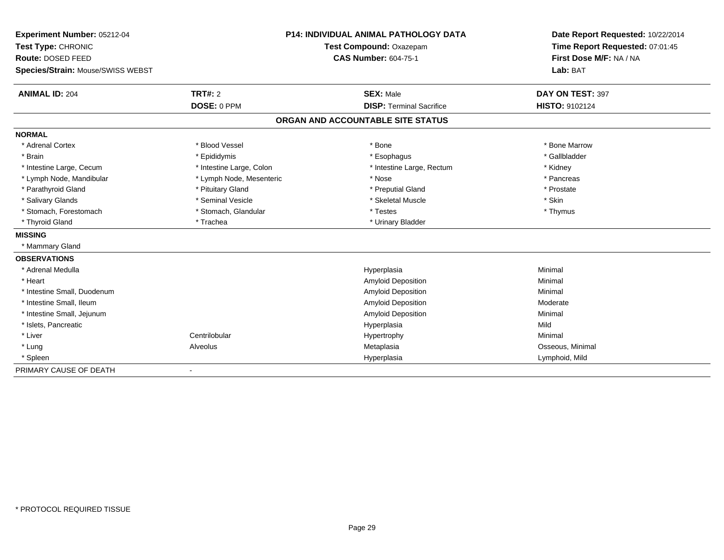| Experiment Number: 05212-04       |                          | <b>P14: INDIVIDUAL ANIMAL PATHOLOGY DATA</b> | Date Report Requested: 10/22/2014 |
|-----------------------------------|--------------------------|----------------------------------------------|-----------------------------------|
| Test Type: CHRONIC                |                          | Test Compound: Oxazepam                      | Time Report Requested: 07:01:45   |
| Route: DOSED FEED                 |                          | <b>CAS Number: 604-75-1</b>                  | First Dose M/F: NA / NA           |
| Species/Strain: Mouse/SWISS WEBST |                          |                                              | Lab: BAT                          |
| <b>ANIMAL ID: 204</b>             | TRT#: 2                  | <b>SEX: Male</b>                             | DAY ON TEST: 397                  |
|                                   | DOSE: 0 PPM              | <b>DISP: Terminal Sacrifice</b>              | <b>HISTO: 9102124</b>             |
|                                   |                          | ORGAN AND ACCOUNTABLE SITE STATUS            |                                   |
| <b>NORMAL</b>                     |                          |                                              |                                   |
| * Adrenal Cortex                  | * Blood Vessel           | * Bone                                       | * Bone Marrow                     |
| * Brain                           | * Epididymis             | * Esophagus                                  | * Gallbladder                     |
| * Intestine Large, Cecum          | * Intestine Large, Colon | * Intestine Large, Rectum                    | * Kidney                          |
| * Lymph Node, Mandibular          | * Lymph Node, Mesenteric | * Nose                                       | * Pancreas                        |
| * Parathyroid Gland               | * Pituitary Gland        | * Preputial Gland                            | * Prostate                        |
| * Salivary Glands                 | * Seminal Vesicle        | * Skeletal Muscle                            | * Skin                            |
| * Stomach, Forestomach            | * Stomach, Glandular     | * Testes                                     | * Thymus                          |
| * Thyroid Gland                   | * Trachea                | * Urinary Bladder                            |                                   |
| <b>MISSING</b>                    |                          |                                              |                                   |
| * Mammary Gland                   |                          |                                              |                                   |
| <b>OBSERVATIONS</b>               |                          |                                              |                                   |
| * Adrenal Medulla                 |                          | Hyperplasia                                  | Minimal                           |
| * Heart                           |                          | <b>Amyloid Deposition</b>                    | Minimal                           |
| * Intestine Small. Duodenum       |                          | Amyloid Deposition                           | Minimal                           |
| * Intestine Small, Ileum          |                          | Amyloid Deposition                           | Moderate                          |
| * Intestine Small, Jejunum        |                          | Amyloid Deposition                           | Minimal                           |
| * Islets, Pancreatic              |                          | Hyperplasia                                  | Mild                              |
| * Liver                           | Centrilobular            | Hypertrophy                                  | Minimal                           |
| * Lung                            | Alveolus                 | Metaplasia                                   | Osseous, Minimal                  |
| * Spleen                          |                          | Hyperplasia                                  | Lymphoid, Mild                    |
| PRIMARY CAUSE OF DEATH            |                          |                                              |                                   |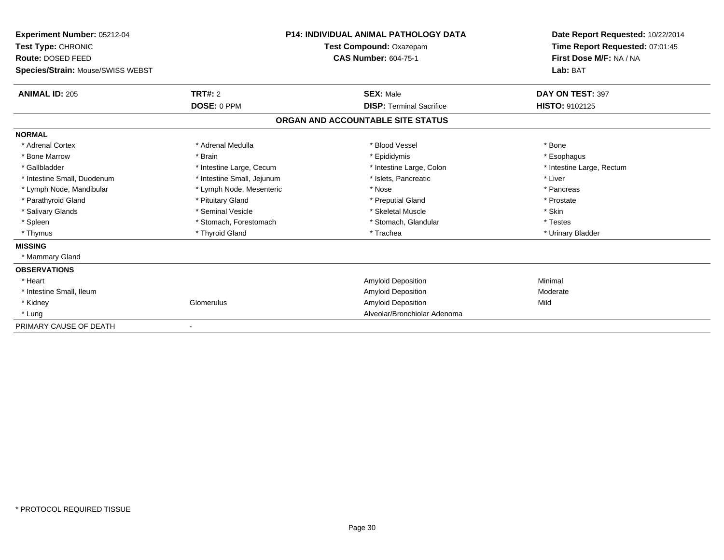| Experiment Number: 05212-04<br>Test Type: CHRONIC |                            | <b>P14: INDIVIDUAL ANIMAL PATHOLOGY DATA</b> | Date Report Requested: 10/22/2014<br>Time Report Requested: 07:01:45 |
|---------------------------------------------------|----------------------------|----------------------------------------------|----------------------------------------------------------------------|
|                                                   |                            | Test Compound: Oxazepam                      |                                                                      |
| <b>Route: DOSED FEED</b>                          |                            | <b>CAS Number: 604-75-1</b>                  | First Dose M/F: NA / NA                                              |
| Species/Strain: Mouse/SWISS WEBST                 |                            |                                              | Lab: BAT                                                             |
| <b>ANIMAL ID: 205</b>                             | TRT#: 2                    | <b>SEX: Male</b>                             | DAY ON TEST: 397                                                     |
|                                                   | DOSE: 0 PPM                | <b>DISP: Terminal Sacrifice</b>              | <b>HISTO: 9102125</b>                                                |
|                                                   |                            | ORGAN AND ACCOUNTABLE SITE STATUS            |                                                                      |
| <b>NORMAL</b>                                     |                            |                                              |                                                                      |
| * Adrenal Cortex                                  | * Adrenal Medulla          | * Blood Vessel                               | * Bone                                                               |
| * Bone Marrow                                     | * Brain                    | * Epididymis                                 | * Esophagus                                                          |
| * Gallbladder                                     | * Intestine Large, Cecum   | * Intestine Large, Colon                     | * Intestine Large, Rectum                                            |
| * Intestine Small, Duodenum                       | * Intestine Small, Jejunum | * Islets, Pancreatic                         | * Liver                                                              |
| * Lymph Node, Mandibular                          | * Lymph Node, Mesenteric   | * Nose                                       | * Pancreas                                                           |
| * Parathyroid Gland                               | * Pituitary Gland          | * Preputial Gland                            | * Prostate                                                           |
| * Salivary Glands                                 | * Seminal Vesicle          | * Skeletal Muscle                            | * Skin                                                               |
| * Spleen                                          | * Stomach, Forestomach     | * Stomach, Glandular                         | * Testes                                                             |
| * Thymus                                          | * Thyroid Gland            | * Trachea                                    | * Urinary Bladder                                                    |
| <b>MISSING</b>                                    |                            |                                              |                                                                      |
| * Mammary Gland                                   |                            |                                              |                                                                      |
| <b>OBSERVATIONS</b>                               |                            |                                              |                                                                      |
| * Heart                                           |                            | <b>Amyloid Deposition</b>                    | Minimal                                                              |
| * Intestine Small, Ileum                          |                            | Amyloid Deposition                           | Moderate                                                             |
| * Kidney                                          | Glomerulus                 | Amyloid Deposition                           | Mild                                                                 |
| * Lung                                            |                            | Alveolar/Bronchiolar Adenoma                 |                                                                      |
| PRIMARY CAUSE OF DEATH                            |                            |                                              |                                                                      |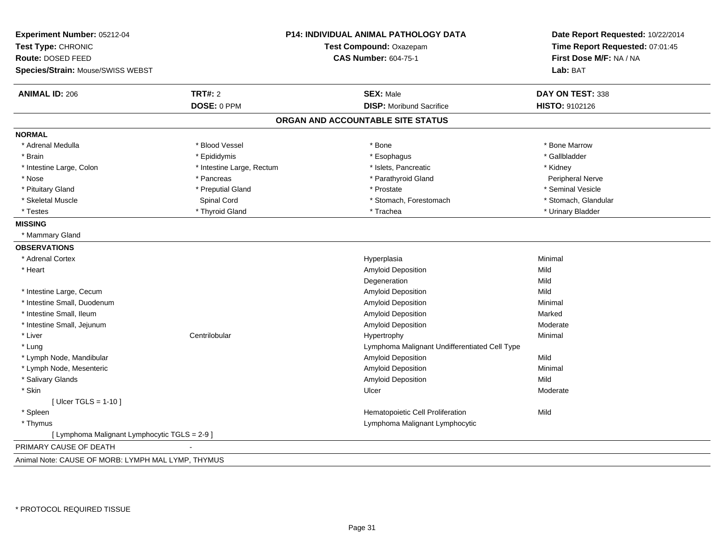| Experiment Number: 05212-04<br>Test Type: CHRONIC<br>Route: DOSED FEED<br>Species/Strain: Mouse/SWISS WEBST | P14: INDIVIDUAL ANIMAL PATHOLOGY DATA<br>Test Compound: Oxazepam<br><b>CAS Number: 604-75-1</b> |                                               | Date Report Requested: 10/22/2014<br>Time Report Requested: 07:01:45<br>First Dose M/F: NA / NA<br>Lab: BAT |
|-------------------------------------------------------------------------------------------------------------|-------------------------------------------------------------------------------------------------|-----------------------------------------------|-------------------------------------------------------------------------------------------------------------|
| <b>ANIMAL ID: 206</b>                                                                                       | <b>TRT#: 2</b>                                                                                  | <b>SEX: Male</b>                              | DAY ON TEST: 338                                                                                            |
|                                                                                                             | DOSE: 0 PPM                                                                                     | <b>DISP:</b> Moribund Sacrifice               | HISTO: 9102126                                                                                              |
|                                                                                                             |                                                                                                 | ORGAN AND ACCOUNTABLE SITE STATUS             |                                                                                                             |
| <b>NORMAL</b>                                                                                               |                                                                                                 |                                               |                                                                                                             |
| * Adrenal Medulla                                                                                           | * Blood Vessel                                                                                  | * Bone                                        | * Bone Marrow                                                                                               |
| * Brain                                                                                                     | * Epididymis                                                                                    | * Esophagus                                   | * Gallbladder                                                                                               |
| * Intestine Large, Colon                                                                                    | * Intestine Large, Rectum                                                                       | * Islets, Pancreatic                          | * Kidney                                                                                                    |
| * Nose                                                                                                      | * Pancreas                                                                                      | * Parathyroid Gland                           | Peripheral Nerve                                                                                            |
| * Pituitary Gland                                                                                           | * Preputial Gland                                                                               | * Prostate                                    | * Seminal Vesicle                                                                                           |
| * Skeletal Muscle                                                                                           | Spinal Cord                                                                                     | * Stomach, Forestomach                        | * Stomach, Glandular                                                                                        |
| * Testes                                                                                                    | * Thyroid Gland                                                                                 | * Trachea                                     | * Urinary Bladder                                                                                           |
| <b>MISSING</b>                                                                                              |                                                                                                 |                                               |                                                                                                             |
| * Mammary Gland                                                                                             |                                                                                                 |                                               |                                                                                                             |
| <b>OBSERVATIONS</b>                                                                                         |                                                                                                 |                                               |                                                                                                             |
| * Adrenal Cortex                                                                                            |                                                                                                 | Hyperplasia                                   | Minimal                                                                                                     |
| * Heart                                                                                                     |                                                                                                 | Amyloid Deposition                            | Mild                                                                                                        |
|                                                                                                             |                                                                                                 | Degeneration                                  | Mild                                                                                                        |
| * Intestine Large, Cecum                                                                                    |                                                                                                 | Amyloid Deposition                            | Mild                                                                                                        |
| * Intestine Small, Duodenum                                                                                 |                                                                                                 | Amyloid Deposition                            | Minimal                                                                                                     |
| * Intestine Small, Ileum                                                                                    |                                                                                                 | Amyloid Deposition                            | Marked                                                                                                      |
| * Intestine Small, Jejunum                                                                                  |                                                                                                 | Amyloid Deposition                            | Moderate                                                                                                    |
| * Liver                                                                                                     | Centrilobular                                                                                   | Hypertrophy                                   | Minimal                                                                                                     |
| * Lung                                                                                                      |                                                                                                 | Lymphoma Malignant Undifferentiated Cell Type |                                                                                                             |
| * Lymph Node, Mandibular                                                                                    |                                                                                                 | Amyloid Deposition                            | Mild                                                                                                        |
| * Lymph Node, Mesenteric                                                                                    |                                                                                                 | Amyloid Deposition                            | Minimal                                                                                                     |
| * Salivary Glands                                                                                           |                                                                                                 | Amyloid Deposition                            | Mild                                                                                                        |
| * Skin                                                                                                      |                                                                                                 | Ulcer                                         | Moderate                                                                                                    |
| [ Ulcer TGLS = $1-10$ ]                                                                                     |                                                                                                 |                                               |                                                                                                             |
| * Spleen                                                                                                    |                                                                                                 | Hematopoietic Cell Proliferation              | Mild                                                                                                        |
| * Thymus                                                                                                    |                                                                                                 | Lymphoma Malignant Lymphocytic                |                                                                                                             |
| [ Lymphoma Malignant Lymphocytic TGLS = 2-9 ]                                                               |                                                                                                 |                                               |                                                                                                             |
| PRIMARY CAUSE OF DEATH                                                                                      |                                                                                                 |                                               |                                                                                                             |
| Animal Note: CAUSE OF MORB: LYMPH MAL LYMP, THYMUS                                                          |                                                                                                 |                                               |                                                                                                             |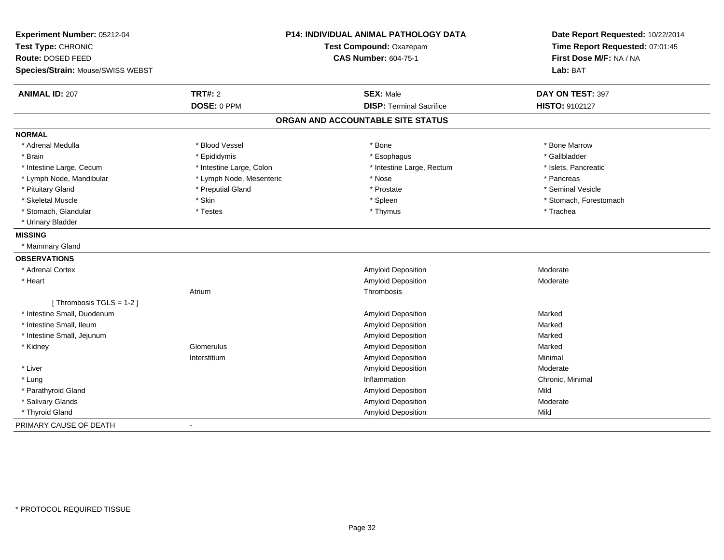| Experiment Number: 05212-04<br>Test Type: CHRONIC      |                          | P14: INDIVIDUAL ANIMAL PATHOLOGY DATA<br>Test Compound: Oxazepam | Date Report Requested: 10/22/2014<br>Time Report Requested: 07:01:45 |
|--------------------------------------------------------|--------------------------|------------------------------------------------------------------|----------------------------------------------------------------------|
| Route: DOSED FEED<br>Species/Strain: Mouse/SWISS WEBST |                          | <b>CAS Number: 604-75-1</b>                                      | First Dose M/F: NA / NA<br>Lab: BAT                                  |
|                                                        |                          |                                                                  |                                                                      |
| <b>ANIMAL ID: 207</b>                                  | <b>TRT#: 2</b>           | <b>SEX: Male</b>                                                 | DAY ON TEST: 397                                                     |
|                                                        | DOSE: 0 PPM              | <b>DISP: Terminal Sacrifice</b>                                  | <b>HISTO: 9102127</b>                                                |
|                                                        |                          | ORGAN AND ACCOUNTABLE SITE STATUS                                |                                                                      |
| <b>NORMAL</b>                                          |                          |                                                                  |                                                                      |
| * Adrenal Medulla                                      | * Blood Vessel           | * Bone                                                           | * Bone Marrow                                                        |
| * Brain                                                | * Epididymis             | * Esophagus                                                      | * Gallbladder                                                        |
| * Intestine Large, Cecum                               | * Intestine Large, Colon | * Intestine Large, Rectum                                        | * Islets, Pancreatic                                                 |
| * Lymph Node, Mandibular                               | * Lymph Node, Mesenteric | * Nose                                                           | * Pancreas                                                           |
| * Pituitary Gland                                      | * Preputial Gland        | * Prostate                                                       | * Seminal Vesicle                                                    |
| * Skeletal Muscle                                      | * Skin                   | * Spleen                                                         | * Stomach, Forestomach                                               |
| * Stomach, Glandular                                   | * Testes                 | * Thymus                                                         | * Trachea                                                            |
| * Urinary Bladder                                      |                          |                                                                  |                                                                      |
| <b>MISSING</b>                                         |                          |                                                                  |                                                                      |
| * Mammary Gland                                        |                          |                                                                  |                                                                      |
| <b>OBSERVATIONS</b>                                    |                          |                                                                  |                                                                      |
| * Adrenal Cortex                                       |                          | <b>Amyloid Deposition</b>                                        | Moderate                                                             |
| * Heart                                                |                          | Amyloid Deposition                                               | Moderate                                                             |
|                                                        | Atrium                   | Thrombosis                                                       |                                                                      |
| [Thrombosis TGLS = 1-2]                                |                          |                                                                  |                                                                      |
| * Intestine Small, Duodenum                            |                          | Amyloid Deposition                                               | Marked                                                               |
| * Intestine Small, Ileum                               |                          | Amyloid Deposition                                               | Marked                                                               |
| * Intestine Small, Jejunum                             |                          | Amyloid Deposition                                               | Marked                                                               |
| * Kidney                                               | Glomerulus               | Amyloid Deposition                                               | Marked                                                               |
|                                                        | Interstitium             | Amyloid Deposition                                               | Minimal                                                              |
| * Liver                                                |                          | <b>Amyloid Deposition</b>                                        | Moderate                                                             |
| * Lung                                                 |                          | Inflammation                                                     | Chronic, Minimal                                                     |
| * Parathyroid Gland                                    |                          | Amyloid Deposition                                               | Mild                                                                 |
| * Salivary Glands                                      |                          | Amyloid Deposition                                               | Moderate                                                             |
| * Thyroid Gland                                        |                          | Amyloid Deposition                                               | Mild                                                                 |
| PRIMARY CAUSE OF DEATH                                 |                          |                                                                  |                                                                      |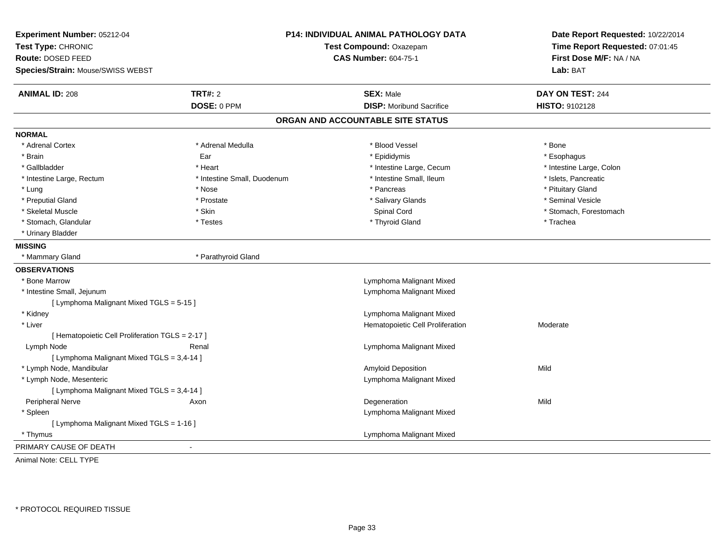| Experiment Number: 05212-04<br>Test Type: CHRONIC<br>Route: DOSED FEED |                             | P14: INDIVIDUAL ANIMAL PATHOLOGY DATA<br>Test Compound: Oxazepam<br><b>CAS Number: 604-75-1</b> | Date Report Requested: 10/22/2014<br>Time Report Requested: 07:01:45<br>First Dose M/F: NA / NA |
|------------------------------------------------------------------------|-----------------------------|-------------------------------------------------------------------------------------------------|-------------------------------------------------------------------------------------------------|
| Species/Strain: Mouse/SWISS WEBST                                      |                             |                                                                                                 | Lab: BAT                                                                                        |
| <b>ANIMAL ID: 208</b>                                                  | <b>TRT#: 2</b>              | <b>SEX: Male</b>                                                                                | DAY ON TEST: 244                                                                                |
|                                                                        | DOSE: 0 PPM                 | <b>DISP:</b> Moribund Sacrifice                                                                 | HISTO: 9102128                                                                                  |
|                                                                        |                             | ORGAN AND ACCOUNTABLE SITE STATUS                                                               |                                                                                                 |
| <b>NORMAL</b>                                                          |                             |                                                                                                 |                                                                                                 |
| * Adrenal Cortex                                                       | * Adrenal Medulla           | * Blood Vessel                                                                                  | * Bone                                                                                          |
| * Brain                                                                | Ear                         | * Epididymis                                                                                    | * Esophagus                                                                                     |
| * Gallbladder                                                          | * Heart                     | * Intestine Large, Cecum                                                                        | * Intestine Large, Colon                                                                        |
| * Intestine Large, Rectum                                              | * Intestine Small, Duodenum | * Intestine Small, Ileum                                                                        | * Islets, Pancreatic                                                                            |
| * Lung                                                                 | * Nose                      | * Pancreas                                                                                      | * Pituitary Gland                                                                               |
| * Preputial Gland                                                      | * Prostate                  | * Salivary Glands                                                                               | * Seminal Vesicle                                                                               |
| * Skeletal Muscle                                                      | * Skin                      | Spinal Cord                                                                                     | * Stomach, Forestomach                                                                          |
| * Stomach, Glandular                                                   | * Testes                    | * Thyroid Gland                                                                                 | * Trachea                                                                                       |
| * Urinary Bladder                                                      |                             |                                                                                                 |                                                                                                 |
| <b>MISSING</b>                                                         |                             |                                                                                                 |                                                                                                 |
| * Mammary Gland                                                        | * Parathyroid Gland         |                                                                                                 |                                                                                                 |
| <b>OBSERVATIONS</b>                                                    |                             |                                                                                                 |                                                                                                 |
| * Bone Marrow                                                          |                             | Lymphoma Malignant Mixed                                                                        |                                                                                                 |
| * Intestine Small, Jejunum                                             |                             | Lymphoma Malignant Mixed                                                                        |                                                                                                 |
| [ Lymphoma Malignant Mixed TGLS = 5-15 ]                               |                             |                                                                                                 |                                                                                                 |
| * Kidney                                                               |                             | Lymphoma Malignant Mixed                                                                        |                                                                                                 |
| * Liver                                                                |                             | Hematopoietic Cell Proliferation                                                                | Moderate                                                                                        |
| [ Hematopoietic Cell Proliferation TGLS = 2-17 ]                       |                             |                                                                                                 |                                                                                                 |
| Lymph Node                                                             | Renal                       | Lymphoma Malignant Mixed                                                                        |                                                                                                 |
| [ Lymphoma Malignant Mixed TGLS = 3,4-14 ]                             |                             |                                                                                                 |                                                                                                 |
| * Lymph Node, Mandibular                                               |                             | Amyloid Deposition                                                                              | Mild                                                                                            |
| * Lymph Node, Mesenteric                                               |                             | Lymphoma Malignant Mixed                                                                        |                                                                                                 |
| [ Lymphoma Malignant Mixed TGLS = 3,4-14 ]                             |                             |                                                                                                 |                                                                                                 |
| Peripheral Nerve                                                       | Axon                        | Degeneration                                                                                    | Mild                                                                                            |
| * Spleen                                                               |                             | Lymphoma Malignant Mixed                                                                        |                                                                                                 |
| [ Lymphoma Malignant Mixed TGLS = 1-16 ]                               |                             |                                                                                                 |                                                                                                 |
| * Thymus                                                               |                             | Lymphoma Malignant Mixed                                                                        |                                                                                                 |
| PRIMARY CAUSE OF DEATH                                                 | $\sim$                      |                                                                                                 |                                                                                                 |

Animal Note: CELL TYPE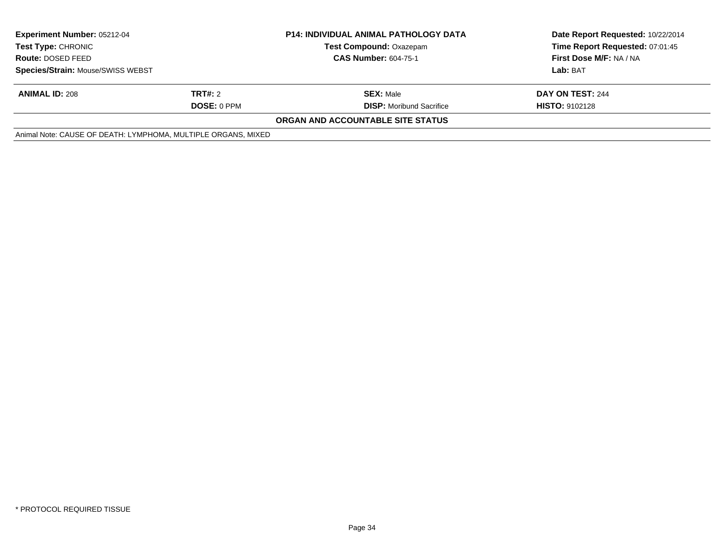| <b>Experiment Number: 05212-04</b><br><b>Test Type: CHRONIC</b> |             | <b>P14: INDIVIDUAL ANIMAL PATHOLOGY DATA</b><br><b>Test Compound: Oxazepam</b> | Date Report Requested: 10/22/2014<br>Time Report Requested: 07:01:45 |
|-----------------------------------------------------------------|-------------|--------------------------------------------------------------------------------|----------------------------------------------------------------------|
| Route: DOSED FEED                                               |             | <b>CAS Number: 604-75-1</b>                                                    | First Dose M/F: NA / NA                                              |
| Species/Strain: Mouse/SWISS WEBST                               |             |                                                                                | Lab: BAT                                                             |
| <b>ANIMAL ID: 208</b>                                           | TRT#: 2     | <b>SEX: Male</b>                                                               | DAY ON TEST: 244                                                     |
|                                                                 | DOSE: 0 PPM | <b>DISP:</b> Moribund Sacrifice                                                | <b>HISTO: 9102128</b>                                                |
|                                                                 |             | <b>ORGAN AND ACCOUNTABLE SITE STATUS</b>                                       |                                                                      |
| Animal Note: CAUSE OF DEATH: LYMPHOMA, MULTIPLE ORGANS, MIXED   |             |                                                                                |                                                                      |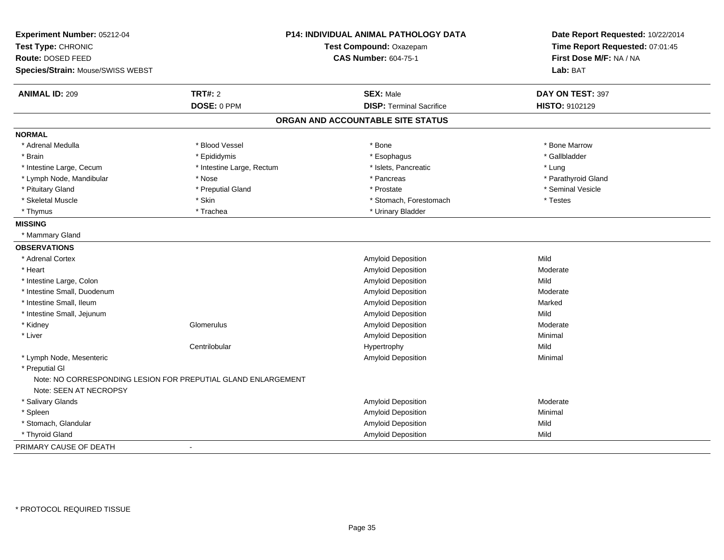| Experiment Number: 05212-04<br>Test Type: CHRONIC      |                                                               | <b>P14: INDIVIDUAL ANIMAL PATHOLOGY DATA</b><br>Test Compound: Oxazepam | Date Report Requested: 10/22/2014<br>Time Report Requested: 07:01:45<br>First Dose M/F: NA / NA |
|--------------------------------------------------------|---------------------------------------------------------------|-------------------------------------------------------------------------|-------------------------------------------------------------------------------------------------|
| Route: DOSED FEED<br>Species/Strain: Mouse/SWISS WEBST |                                                               | <b>CAS Number: 604-75-1</b>                                             | Lab: BAT                                                                                        |
| <b>ANIMAL ID: 209</b>                                  | <b>TRT#: 2</b>                                                | <b>SEX: Male</b>                                                        | DAY ON TEST: 397                                                                                |
|                                                        | DOSE: 0 PPM                                                   | <b>DISP: Terminal Sacrifice</b>                                         | HISTO: 9102129                                                                                  |
|                                                        |                                                               | ORGAN AND ACCOUNTABLE SITE STATUS                                       |                                                                                                 |
| <b>NORMAL</b>                                          |                                                               |                                                                         |                                                                                                 |
| * Adrenal Medulla                                      | * Blood Vessel                                                | * Bone                                                                  | * Bone Marrow                                                                                   |
| * Brain                                                | * Epididymis                                                  | * Esophagus                                                             | * Gallbladder                                                                                   |
| * Intestine Large, Cecum                               | * Intestine Large, Rectum                                     | * Islets, Pancreatic                                                    | * Lung                                                                                          |
| * Lymph Node, Mandibular                               | * Nose                                                        | * Pancreas                                                              | * Parathyroid Gland                                                                             |
| * Pituitary Gland                                      | * Preputial Gland                                             | * Prostate                                                              | * Seminal Vesicle                                                                               |
| * Skeletal Muscle                                      | * Skin                                                        | * Stomach, Forestomach                                                  | * Testes                                                                                        |
| * Thymus                                               | * Trachea                                                     | * Urinary Bladder                                                       |                                                                                                 |
| <b>MISSING</b>                                         |                                                               |                                                                         |                                                                                                 |
| * Mammary Gland                                        |                                                               |                                                                         |                                                                                                 |
| <b>OBSERVATIONS</b>                                    |                                                               |                                                                         |                                                                                                 |
| * Adrenal Cortex                                       |                                                               | Amyloid Deposition                                                      | Mild                                                                                            |
| * Heart                                                |                                                               | Amyloid Deposition                                                      | Moderate                                                                                        |
| * Intestine Large, Colon                               |                                                               | Amyloid Deposition                                                      | Mild                                                                                            |
| * Intestine Small, Duodenum                            |                                                               | Amyloid Deposition                                                      | Moderate                                                                                        |
| * Intestine Small, Ileum                               |                                                               | Amyloid Deposition                                                      | Marked                                                                                          |
| * Intestine Small, Jejunum                             |                                                               | Amyloid Deposition                                                      | Mild                                                                                            |
| * Kidney                                               | Glomerulus                                                    | Amyloid Deposition                                                      | Moderate                                                                                        |
| * Liver                                                |                                                               | Amyloid Deposition                                                      | Minimal                                                                                         |
|                                                        | Centrilobular                                                 | Hypertrophy                                                             | Mild                                                                                            |
| * Lymph Node, Mesenteric                               |                                                               | Amyloid Deposition                                                      | Minimal                                                                                         |
| * Preputial GI                                         |                                                               |                                                                         |                                                                                                 |
| Note: SEEN AT NECROPSY                                 | Note: NO CORRESPONDING LESION FOR PREPUTIAL GLAND ENLARGEMENT |                                                                         |                                                                                                 |
| * Salivary Glands                                      |                                                               | Amyloid Deposition                                                      | Moderate                                                                                        |
| * Spleen                                               |                                                               | Amyloid Deposition                                                      | Minimal                                                                                         |
| * Stomach, Glandular                                   |                                                               | Amyloid Deposition                                                      | Mild                                                                                            |
| * Thyroid Gland                                        |                                                               | <b>Amyloid Deposition</b>                                               | Mild                                                                                            |
| PRIMARY CAUSE OF DEATH                                 |                                                               |                                                                         |                                                                                                 |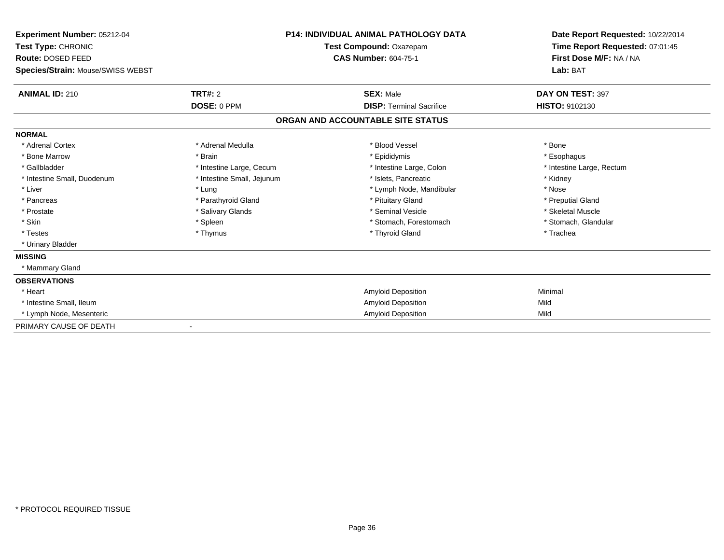| Experiment Number: 05212-04<br>Test Type: CHRONIC<br>Route: DOSED FEED |                            | <b>P14: INDIVIDUAL ANIMAL PATHOLOGY DATA</b><br>Test Compound: Oxazepam<br><b>CAS Number: 604-75-1</b> | Date Report Requested: 10/22/2014<br>Time Report Requested: 07:01:45<br>First Dose M/F: NA / NA |
|------------------------------------------------------------------------|----------------------------|--------------------------------------------------------------------------------------------------------|-------------------------------------------------------------------------------------------------|
| Species/Strain: Mouse/SWISS WEBST                                      |                            |                                                                                                        | Lab: BAT                                                                                        |
| <b>ANIMAL ID: 210</b>                                                  | TRT#: 2                    | <b>SEX: Male</b>                                                                                       | DAY ON TEST: 397                                                                                |
|                                                                        | DOSE: 0 PPM                | <b>DISP: Terminal Sacrifice</b>                                                                        | HISTO: 9102130                                                                                  |
|                                                                        |                            | ORGAN AND ACCOUNTABLE SITE STATUS                                                                      |                                                                                                 |
| <b>NORMAL</b>                                                          |                            |                                                                                                        |                                                                                                 |
| * Adrenal Cortex                                                       | * Adrenal Medulla          | * Blood Vessel                                                                                         | * Bone                                                                                          |
| * Bone Marrow                                                          | * Brain                    | * Epididymis                                                                                           | * Esophagus                                                                                     |
| * Gallbladder                                                          | * Intestine Large, Cecum   | * Intestine Large, Colon                                                                               | * Intestine Large, Rectum                                                                       |
| * Intestine Small, Duodenum                                            | * Intestine Small, Jejunum | * Islets, Pancreatic                                                                                   | * Kidney                                                                                        |
| * Liver                                                                | * Lung                     | * Lymph Node, Mandibular                                                                               | * Nose                                                                                          |
| * Pancreas                                                             | * Parathyroid Gland        | * Pituitary Gland                                                                                      | * Preputial Gland                                                                               |
| * Prostate                                                             | * Salivary Glands          | * Seminal Vesicle                                                                                      | * Skeletal Muscle                                                                               |
| * Skin                                                                 | * Spleen                   | * Stomach, Forestomach                                                                                 | * Stomach, Glandular                                                                            |
| * Testes                                                               | * Thymus                   | * Thyroid Gland                                                                                        | * Trachea                                                                                       |
| * Urinary Bladder                                                      |                            |                                                                                                        |                                                                                                 |
| <b>MISSING</b>                                                         |                            |                                                                                                        |                                                                                                 |
| * Mammary Gland                                                        |                            |                                                                                                        |                                                                                                 |
| <b>OBSERVATIONS</b>                                                    |                            |                                                                                                        |                                                                                                 |
| * Heart                                                                |                            | <b>Amyloid Deposition</b>                                                                              | Minimal                                                                                         |
| * Intestine Small, Ileum                                               |                            | Amyloid Deposition                                                                                     | Mild                                                                                            |
| * Lymph Node, Mesenteric                                               |                            | <b>Amyloid Deposition</b>                                                                              | Mild                                                                                            |
| PRIMARY CAUSE OF DEATH                                                 |                            |                                                                                                        |                                                                                                 |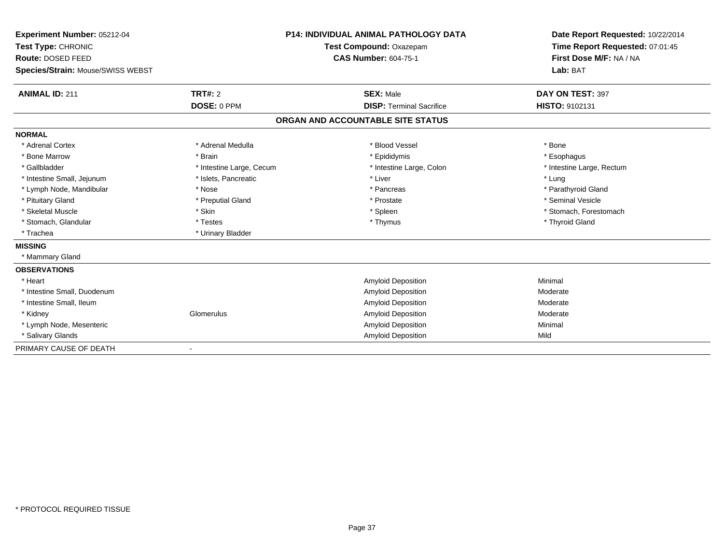| Experiment Number: 05212-04       |                          | <b>P14: INDIVIDUAL ANIMAL PATHOLOGY DATA</b> | Date Report Requested: 10/22/2014 |
|-----------------------------------|--------------------------|----------------------------------------------|-----------------------------------|
| Test Type: CHRONIC                |                          | Test Compound: Oxazepam                      | Time Report Requested: 07:01:45   |
| Route: DOSED FEED                 |                          | <b>CAS Number: 604-75-1</b>                  | First Dose M/F: NA / NA           |
| Species/Strain: Mouse/SWISS WEBST |                          |                                              | Lab: BAT                          |
| <b>ANIMAL ID: 211</b>             | <b>TRT#: 2</b>           | <b>SEX: Male</b>                             | DAY ON TEST: 397                  |
|                                   | DOSE: 0 PPM              | <b>DISP: Terminal Sacrifice</b>              | HISTO: 9102131                    |
|                                   |                          | ORGAN AND ACCOUNTABLE SITE STATUS            |                                   |
| <b>NORMAL</b>                     |                          |                                              |                                   |
| * Adrenal Cortex                  | * Adrenal Medulla        | * Blood Vessel                               | * Bone                            |
| * Bone Marrow                     | * Brain                  | * Epididymis                                 | * Esophagus                       |
| * Gallbladder                     | * Intestine Large, Cecum | * Intestine Large, Colon                     | * Intestine Large, Rectum         |
| * Intestine Small, Jejunum        | * Islets, Pancreatic     | * Liver                                      | * Lung                            |
| * Lymph Node, Mandibular          | * Nose                   | * Pancreas                                   | * Parathyroid Gland               |
| * Pituitary Gland                 | * Preputial Gland        | * Prostate                                   | * Seminal Vesicle                 |
| * Skeletal Muscle                 | * Skin                   | * Spleen                                     | * Stomach, Forestomach            |
| * Stomach, Glandular              | * Testes                 | * Thymus                                     | * Thyroid Gland                   |
| * Trachea                         | * Urinary Bladder        |                                              |                                   |
| <b>MISSING</b>                    |                          |                                              |                                   |
| * Mammary Gland                   |                          |                                              |                                   |
| <b>OBSERVATIONS</b>               |                          |                                              |                                   |
| * Heart                           |                          | Amyloid Deposition                           | Minimal                           |
| * Intestine Small. Duodenum       |                          | Amyloid Deposition                           | Moderate                          |
| * Intestine Small, Ileum          |                          | Amyloid Deposition                           | Moderate                          |
| * Kidney                          | Glomerulus               | Amyloid Deposition                           | Moderate                          |
| * Lymph Node, Mesenteric          |                          | Amyloid Deposition                           | Minimal                           |
| * Salivary Glands                 |                          | Amyloid Deposition                           | Mild                              |
| PRIMARY CAUSE OF DEATH            |                          |                                              |                                   |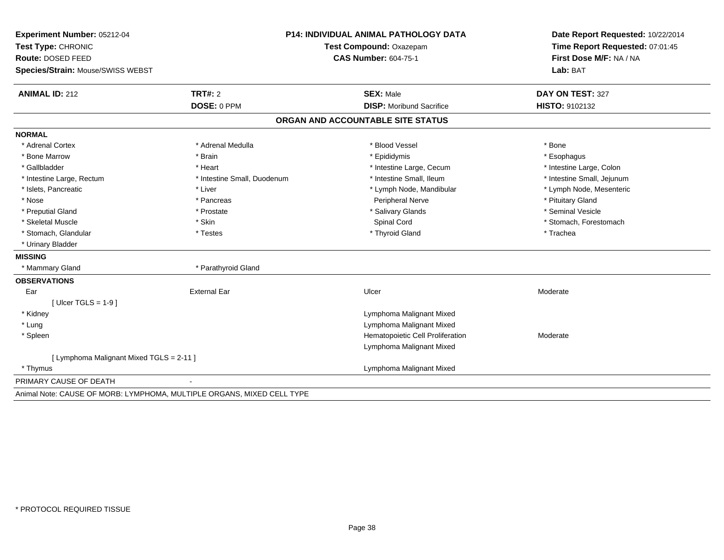| Experiment Number: 05212-04              | <b>P14: INDIVIDUAL ANIMAL PATHOLOGY DATA</b><br>Test Compound: Oxazepam |                                   | Date Report Requested: 10/22/2014<br>Time Report Requested: 07:01:45 |
|------------------------------------------|-------------------------------------------------------------------------|-----------------------------------|----------------------------------------------------------------------|
| Test Type: CHRONIC                       |                                                                         |                                   |                                                                      |
| Route: DOSED FEED                        |                                                                         | <b>CAS Number: 604-75-1</b>       | First Dose M/F: NA / NA                                              |
| Species/Strain: Mouse/SWISS WEBST        |                                                                         |                                   | Lab: BAT                                                             |
| <b>ANIMAL ID: 212</b>                    | <b>TRT#: 2</b>                                                          | <b>SEX: Male</b>                  | DAY ON TEST: 327                                                     |
|                                          | DOSE: 0 PPM                                                             | <b>DISP:</b> Moribund Sacrifice   | HISTO: 9102132                                                       |
|                                          |                                                                         | ORGAN AND ACCOUNTABLE SITE STATUS |                                                                      |
| <b>NORMAL</b>                            |                                                                         |                                   |                                                                      |
| * Adrenal Cortex                         | * Adrenal Medulla                                                       | * Blood Vessel                    | * Bone                                                               |
| * Bone Marrow                            | * Brain                                                                 | * Epididymis                      | * Esophagus                                                          |
| * Gallbladder                            | * Heart                                                                 | * Intestine Large, Cecum          | * Intestine Large, Colon                                             |
| * Intestine Large, Rectum                | * Intestine Small, Duodenum                                             | * Intestine Small, Ileum          | * Intestine Small, Jejunum                                           |
| * Islets, Pancreatic                     | * Liver                                                                 | * Lymph Node, Mandibular          | * Lymph Node, Mesenteric                                             |
| * Nose                                   | * Pancreas                                                              | <b>Peripheral Nerve</b>           | * Pituitary Gland                                                    |
| * Preputial Gland                        | * Prostate                                                              | * Salivary Glands                 | * Seminal Vesicle                                                    |
| * Skeletal Muscle                        | * Skin                                                                  | Spinal Cord                       | * Stomach, Forestomach                                               |
| * Stomach, Glandular                     | * Testes                                                                | * Thyroid Gland                   | * Trachea                                                            |
| * Urinary Bladder                        |                                                                         |                                   |                                                                      |
| <b>MISSING</b>                           |                                                                         |                                   |                                                                      |
| * Mammary Gland                          | * Parathyroid Gland                                                     |                                   |                                                                      |
| <b>OBSERVATIONS</b>                      |                                                                         |                                   |                                                                      |
| Ear                                      | <b>External Ear</b>                                                     | Ulcer                             | Moderate                                                             |
| [ Ulcer TGLS = $1-9$ ]                   |                                                                         |                                   |                                                                      |
| * Kidney                                 |                                                                         | Lymphoma Malignant Mixed          |                                                                      |
| * Lung                                   |                                                                         | Lymphoma Malignant Mixed          |                                                                      |
| * Spleen                                 |                                                                         | Hematopoietic Cell Proliferation  | Moderate                                                             |
|                                          |                                                                         | Lymphoma Malignant Mixed          |                                                                      |
| [ Lymphoma Malignant Mixed TGLS = 2-11 ] |                                                                         |                                   |                                                                      |
| * Thymus                                 |                                                                         | Lymphoma Malignant Mixed          |                                                                      |
| PRIMARY CAUSE OF DEATH                   |                                                                         |                                   |                                                                      |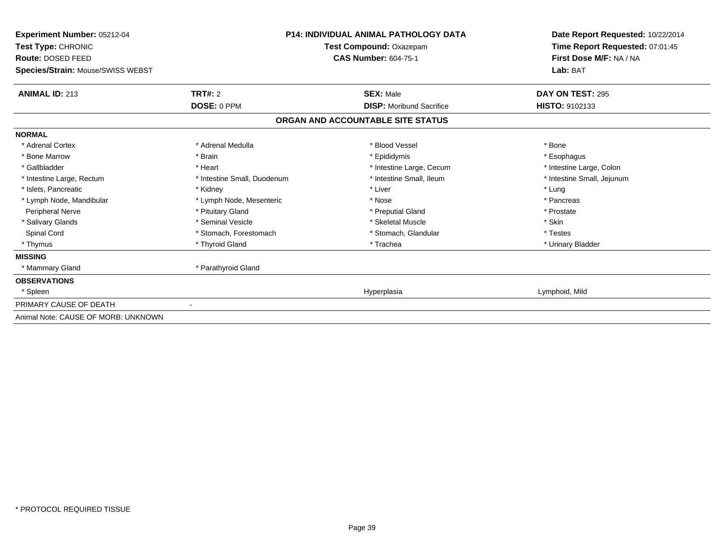| <b>Experiment Number: 05212-04</b><br>Test Type: CHRONIC<br>Route: DOSED FEED | <b>P14: INDIVIDUAL ANIMAL PATHOLOGY DATA</b><br>Test Compound: Oxazepam<br><b>CAS Number: 604-75-1</b> |                                   | Date Report Requested: 10/22/2014<br>Time Report Requested: 07:01:45<br>First Dose M/F: NA / NA |
|-------------------------------------------------------------------------------|--------------------------------------------------------------------------------------------------------|-----------------------------------|-------------------------------------------------------------------------------------------------|
| Species/Strain: Mouse/SWISS WEBST                                             |                                                                                                        |                                   | Lab: BAT                                                                                        |
| <b>ANIMAL ID: 213</b>                                                         | TRT#: 2                                                                                                | <b>SEX: Male</b>                  | DAY ON TEST: 295                                                                                |
|                                                                               | DOSE: 0 PPM                                                                                            | <b>DISP:</b> Moribund Sacrifice   | HISTO: 9102133                                                                                  |
|                                                                               |                                                                                                        | ORGAN AND ACCOUNTABLE SITE STATUS |                                                                                                 |
| <b>NORMAL</b>                                                                 |                                                                                                        |                                   |                                                                                                 |
| * Adrenal Cortex                                                              | * Adrenal Medulla                                                                                      | * Blood Vessel                    | * Bone                                                                                          |
| * Bone Marrow                                                                 | * Brain                                                                                                | * Epididymis                      | * Esophagus                                                                                     |
| * Gallbladder                                                                 | * Heart                                                                                                | * Intestine Large, Cecum          | * Intestine Large, Colon                                                                        |
| * Intestine Large, Rectum                                                     | * Intestine Small, Duodenum                                                                            | * Intestine Small. Ileum          | * Intestine Small, Jejunum                                                                      |
| * Islets, Pancreatic                                                          | * Kidney                                                                                               | * Liver                           | * Lung                                                                                          |
| * Lymph Node, Mandibular                                                      | * Lymph Node, Mesenteric                                                                               | * Nose                            | * Pancreas                                                                                      |
| Peripheral Nerve                                                              | * Pituitary Gland                                                                                      | * Preputial Gland                 | * Prostate                                                                                      |
| * Salivary Glands                                                             | * Seminal Vesicle                                                                                      | * Skeletal Muscle                 | * Skin                                                                                          |
| Spinal Cord                                                                   | * Stomach, Forestomach                                                                                 | * Stomach, Glandular              | * Testes                                                                                        |
| * Thymus                                                                      | * Thyroid Gland                                                                                        | * Trachea                         | * Urinary Bladder                                                                               |
| <b>MISSING</b>                                                                |                                                                                                        |                                   |                                                                                                 |
| * Mammary Gland                                                               | * Parathyroid Gland                                                                                    |                                   |                                                                                                 |
| <b>OBSERVATIONS</b>                                                           |                                                                                                        |                                   |                                                                                                 |
| * Spleen                                                                      |                                                                                                        | Hyperplasia                       | Lymphoid, Mild                                                                                  |
| PRIMARY CAUSE OF DEATH                                                        |                                                                                                        |                                   |                                                                                                 |
| Animal Note: CAUSE OF MORB: UNKNOWN                                           |                                                                                                        |                                   |                                                                                                 |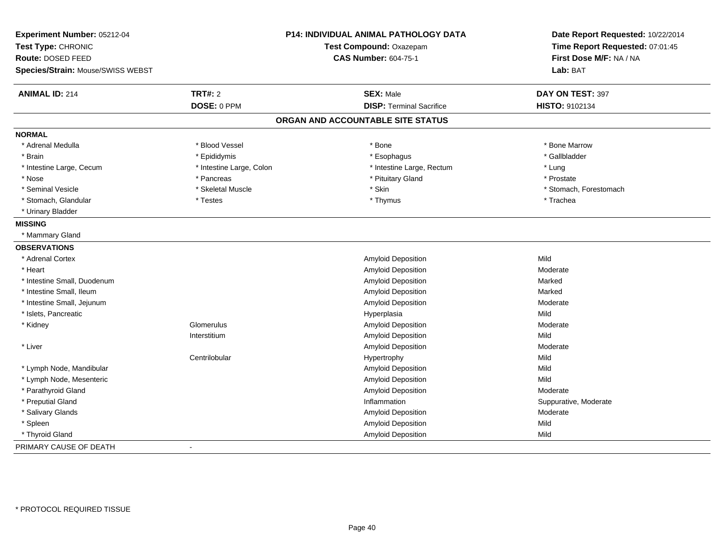| Experiment Number: 05212-04<br>Test Type: CHRONIC<br>Route: DOSED FEED<br>Species/Strain: Mouse/SWISS WEBST | <b>P14: INDIVIDUAL ANIMAL PATHOLOGY DATA</b><br>Test Compound: Oxazepam<br><b>CAS Number: 604-75-1</b> |                                   | Date Report Requested: 10/22/2014<br>Time Report Requested: 07:01:45<br>First Dose M/F: NA / NA<br>Lab: BAT |
|-------------------------------------------------------------------------------------------------------------|--------------------------------------------------------------------------------------------------------|-----------------------------------|-------------------------------------------------------------------------------------------------------------|
|                                                                                                             |                                                                                                        |                                   |                                                                                                             |
| <b>ANIMAL ID: 214</b>                                                                                       | <b>TRT#: 2</b>                                                                                         | <b>SEX: Male</b>                  | DAY ON TEST: 397                                                                                            |
|                                                                                                             | DOSE: 0 PPM                                                                                            | <b>DISP: Terminal Sacrifice</b>   | HISTO: 9102134                                                                                              |
|                                                                                                             |                                                                                                        | ORGAN AND ACCOUNTABLE SITE STATUS |                                                                                                             |
| <b>NORMAL</b>                                                                                               |                                                                                                        |                                   |                                                                                                             |
| * Adrenal Medulla                                                                                           | * Blood Vessel                                                                                         | * Bone                            | * Bone Marrow                                                                                               |
| * Brain                                                                                                     | * Epididymis                                                                                           | * Esophagus                       | * Gallbladder                                                                                               |
| * Intestine Large, Cecum                                                                                    | * Intestine Large, Colon                                                                               | * Intestine Large, Rectum         | * Lung                                                                                                      |
| * Nose                                                                                                      | * Pancreas                                                                                             | * Pituitary Gland                 | * Prostate                                                                                                  |
| * Seminal Vesicle                                                                                           | * Skeletal Muscle                                                                                      | * Skin                            | * Stomach, Forestomach                                                                                      |
| * Stomach, Glandular                                                                                        | * Testes                                                                                               | * Thymus                          | * Trachea                                                                                                   |
| * Urinary Bladder                                                                                           |                                                                                                        |                                   |                                                                                                             |
| <b>MISSING</b>                                                                                              |                                                                                                        |                                   |                                                                                                             |
| * Mammary Gland                                                                                             |                                                                                                        |                                   |                                                                                                             |
| <b>OBSERVATIONS</b>                                                                                         |                                                                                                        |                                   |                                                                                                             |
| * Adrenal Cortex                                                                                            |                                                                                                        | Amyloid Deposition                | Mild                                                                                                        |
| * Heart                                                                                                     |                                                                                                        | Amyloid Deposition                | Moderate                                                                                                    |
| * Intestine Small, Duodenum                                                                                 |                                                                                                        | Amyloid Deposition                | Marked                                                                                                      |
| * Intestine Small, Ileum                                                                                    |                                                                                                        | Amyloid Deposition                | Marked                                                                                                      |
| * Intestine Small, Jejunum                                                                                  |                                                                                                        | Amyloid Deposition                | Moderate                                                                                                    |
| * Islets, Pancreatic                                                                                        |                                                                                                        | Hyperplasia                       | Mild                                                                                                        |
| * Kidney                                                                                                    | Glomerulus                                                                                             | Amyloid Deposition                | Moderate                                                                                                    |
|                                                                                                             | Interstitium                                                                                           | Amyloid Deposition                | Mild                                                                                                        |
| * Liver                                                                                                     |                                                                                                        | Amyloid Deposition                | Moderate                                                                                                    |
|                                                                                                             | Centrilobular                                                                                          | Hypertrophy                       | Mild                                                                                                        |
| * Lymph Node, Mandibular                                                                                    |                                                                                                        | Amyloid Deposition                | Mild                                                                                                        |
| * Lymph Node, Mesenteric                                                                                    |                                                                                                        | Amyloid Deposition                | Mild                                                                                                        |
| * Parathyroid Gland                                                                                         |                                                                                                        | Amyloid Deposition                | Moderate                                                                                                    |
| * Preputial Gland                                                                                           |                                                                                                        | Inflammation                      | Suppurative, Moderate                                                                                       |
| * Salivary Glands                                                                                           |                                                                                                        | Amyloid Deposition                | Moderate                                                                                                    |
| * Spleen                                                                                                    |                                                                                                        | Amyloid Deposition                | Mild                                                                                                        |
| * Thyroid Gland                                                                                             |                                                                                                        | Amyloid Deposition                | Mild                                                                                                        |
| PRIMARY CAUSE OF DEATH                                                                                      |                                                                                                        |                                   |                                                                                                             |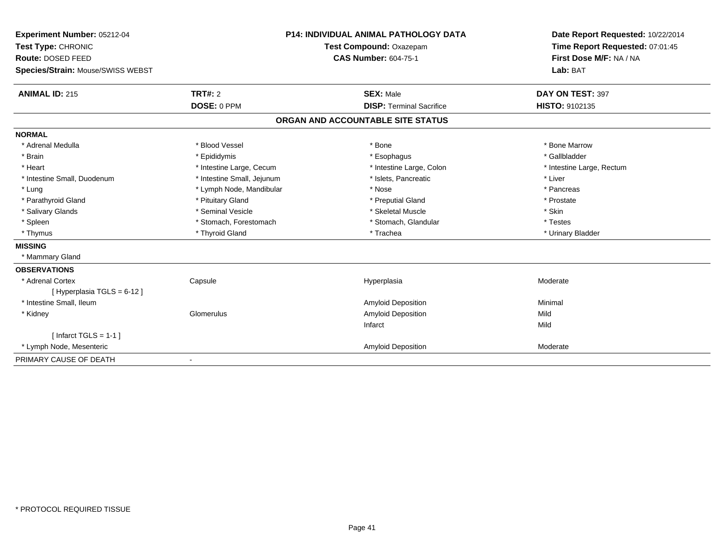| Experiment Number: 05212-04<br>Test Type: CHRONIC |                            | <b>P14: INDIVIDUAL ANIMAL PATHOLOGY DATA</b><br>Test Compound: Oxazepam | Date Report Requested: 10/22/2014<br>Time Report Requested: 07:01:45 |
|---------------------------------------------------|----------------------------|-------------------------------------------------------------------------|----------------------------------------------------------------------|
| Route: DOSED FEED                                 |                            | <b>CAS Number: 604-75-1</b>                                             | First Dose M/F: NA / NA                                              |
| Species/Strain: Mouse/SWISS WEBST                 |                            |                                                                         | Lab: BAT                                                             |
| <b>ANIMAL ID: 215</b>                             | TRT#: 2                    | <b>SEX: Male</b>                                                        | DAY ON TEST: 397                                                     |
|                                                   | DOSE: 0 PPM                | <b>DISP: Terminal Sacrifice</b>                                         | HISTO: 9102135                                                       |
|                                                   |                            | ORGAN AND ACCOUNTABLE SITE STATUS                                       |                                                                      |
| <b>NORMAL</b>                                     |                            |                                                                         |                                                                      |
| * Adrenal Medulla                                 | * Blood Vessel             | * Bone                                                                  | * Bone Marrow                                                        |
| * Brain                                           | * Epididymis               | * Esophagus                                                             | * Gallbladder                                                        |
| * Heart                                           | * Intestine Large, Cecum   | * Intestine Large, Colon                                                | * Intestine Large, Rectum                                            |
| * Intestine Small, Duodenum                       | * Intestine Small, Jejunum | * Islets, Pancreatic                                                    | * Liver                                                              |
| * Lung                                            | * Lymph Node, Mandibular   | * Nose                                                                  | * Pancreas                                                           |
| * Parathyroid Gland                               | * Pituitary Gland          | * Preputial Gland                                                       | * Prostate                                                           |
| * Salivary Glands                                 | * Seminal Vesicle          | * Skeletal Muscle                                                       | * Skin                                                               |
| * Spleen                                          | * Stomach, Forestomach     | * Stomach, Glandular                                                    | * Testes                                                             |
| * Thymus                                          | * Thyroid Gland            | * Trachea                                                               | * Urinary Bladder                                                    |
| <b>MISSING</b>                                    |                            |                                                                         |                                                                      |
| * Mammary Gland                                   |                            |                                                                         |                                                                      |
| <b>OBSERVATIONS</b>                               |                            |                                                                         |                                                                      |
| * Adrenal Cortex                                  | Capsule                    | Hyperplasia                                                             | Moderate                                                             |
| [Hyperplasia TGLS = $6-12$ ]                      |                            |                                                                         |                                                                      |
| * Intestine Small, Ileum                          |                            | Amyloid Deposition                                                      | Minimal                                                              |
| * Kidney                                          | Glomerulus                 | Amyloid Deposition                                                      | Mild                                                                 |
|                                                   |                            | Infarct                                                                 | Mild                                                                 |
| [Infarct TGLS = $1-1$ ]                           |                            |                                                                         |                                                                      |
| * Lymph Node, Mesenteric                          |                            | Amyloid Deposition                                                      | Moderate                                                             |
| PRIMARY CAUSE OF DEATH                            |                            |                                                                         |                                                                      |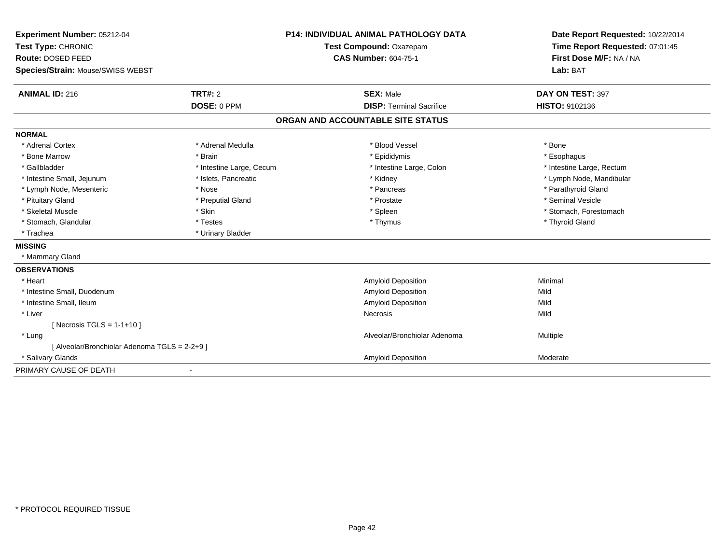| Experiment Number: 05212-04<br>Test Type: CHRONIC<br>Route: DOSED FEED |                          | <b>P14: INDIVIDUAL ANIMAL PATHOLOGY DATA</b> | Date Report Requested: 10/22/2014<br>Time Report Requested: 07:01:45<br>First Dose M/F: NA / NA |
|------------------------------------------------------------------------|--------------------------|----------------------------------------------|-------------------------------------------------------------------------------------------------|
|                                                                        |                          | Test Compound: Oxazepam                      |                                                                                                 |
|                                                                        |                          | <b>CAS Number: 604-75-1</b>                  |                                                                                                 |
| Species/Strain: Mouse/SWISS WEBST                                      |                          |                                              | Lab: BAT                                                                                        |
| <b>ANIMAL ID: 216</b>                                                  | <b>TRT#: 2</b>           | <b>SEX: Male</b>                             | DAY ON TEST: 397                                                                                |
|                                                                        | DOSE: 0 PPM              | <b>DISP: Terminal Sacrifice</b>              | HISTO: 9102136                                                                                  |
|                                                                        |                          | ORGAN AND ACCOUNTABLE SITE STATUS            |                                                                                                 |
| <b>NORMAL</b>                                                          |                          |                                              |                                                                                                 |
| * Adrenal Cortex                                                       | * Adrenal Medulla        | * Blood Vessel                               | * Bone                                                                                          |
| * Bone Marrow                                                          | * Brain                  | * Epididymis                                 | * Esophagus                                                                                     |
| * Gallbladder                                                          | * Intestine Large, Cecum | * Intestine Large, Colon                     | * Intestine Large, Rectum                                                                       |
| * Intestine Small, Jejunum                                             | * Islets, Pancreatic     | * Kidney                                     | * Lymph Node, Mandibular                                                                        |
| * Lymph Node, Mesenteric                                               | * Nose                   | * Pancreas                                   | * Parathyroid Gland                                                                             |
| * Pituitary Gland                                                      | * Preputial Gland        | * Prostate                                   | * Seminal Vesicle                                                                               |
| * Skeletal Muscle                                                      | * Skin                   | * Spleen                                     | * Stomach, Forestomach                                                                          |
| * Stomach, Glandular                                                   | * Testes                 | * Thymus                                     | * Thyroid Gland                                                                                 |
| * Trachea                                                              | * Urinary Bladder        |                                              |                                                                                                 |
| <b>MISSING</b>                                                         |                          |                                              |                                                                                                 |
| * Mammary Gland                                                        |                          |                                              |                                                                                                 |
| <b>OBSERVATIONS</b>                                                    |                          |                                              |                                                                                                 |
| * Heart                                                                |                          | Amyloid Deposition                           | Minimal                                                                                         |
| * Intestine Small, Duodenum                                            |                          | <b>Amyloid Deposition</b>                    | Mild                                                                                            |
| * Intestine Small, Ileum                                               |                          | <b>Amyloid Deposition</b>                    | Mild                                                                                            |
| * Liver                                                                |                          | Necrosis                                     | Mild                                                                                            |
| [Necrosis TGLS = $1-1+10$ ]                                            |                          |                                              |                                                                                                 |
| * Lung                                                                 |                          | Alveolar/Bronchiolar Adenoma                 | Multiple                                                                                        |
| [ Alveolar/Bronchiolar Adenoma TGLS = 2-2+9 ]                          |                          |                                              |                                                                                                 |
| * Salivary Glands                                                      |                          | Amyloid Deposition                           | Moderate                                                                                        |
| PRIMARY CAUSE OF DEATH                                                 |                          |                                              |                                                                                                 |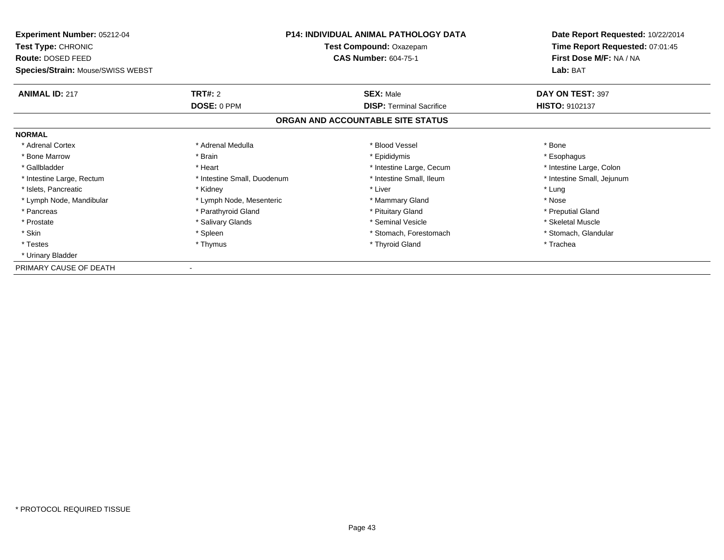| <b>Experiment Number: 05212-04</b><br><b>Test Type: CHRONIC</b><br>Route: DOSED FEED<br>Species/Strain: Mouse/SWISS WEBST | P14: INDIVIDUAL ANIMAL PATHOLOGY DATA<br>Test Compound: Oxazepam<br><b>CAS Number: 604-75-1</b> |                                   | Date Report Requested: 10/22/2014<br>Time Report Requested: 07:01:45<br>First Dose M/F: NA / NA<br>Lab: BAT |
|---------------------------------------------------------------------------------------------------------------------------|-------------------------------------------------------------------------------------------------|-----------------------------------|-------------------------------------------------------------------------------------------------------------|
| <b>ANIMAL ID: 217</b>                                                                                                     | TRT#: 2                                                                                         | <b>SEX: Male</b>                  | DAY ON TEST: 397                                                                                            |
|                                                                                                                           | DOSE: 0 PPM                                                                                     | <b>DISP:</b> Terminal Sacrifice   | <b>HISTO: 9102137</b>                                                                                       |
|                                                                                                                           |                                                                                                 | ORGAN AND ACCOUNTABLE SITE STATUS |                                                                                                             |
| <b>NORMAL</b>                                                                                                             |                                                                                                 |                                   |                                                                                                             |
| * Adrenal Cortex                                                                                                          | * Adrenal Medulla                                                                               | * Blood Vessel                    | * Bone                                                                                                      |
| * Bone Marrow                                                                                                             | * Brain                                                                                         | * Epididymis                      | * Esophagus                                                                                                 |
| * Gallbladder                                                                                                             | * Heart                                                                                         | * Intestine Large, Cecum          | * Intestine Large, Colon                                                                                    |
| * Intestine Large, Rectum                                                                                                 | * Intestine Small, Duodenum                                                                     | * Intestine Small, Ileum          | * Intestine Small, Jejunum                                                                                  |
| * Islets, Pancreatic                                                                                                      | * Kidney                                                                                        | * Liver                           | * Lung                                                                                                      |
| * Lymph Node, Mandibular                                                                                                  | * Lymph Node, Mesenteric                                                                        | * Mammary Gland                   | * Nose                                                                                                      |
| * Pancreas                                                                                                                | * Parathyroid Gland                                                                             | * Pituitary Gland                 | * Preputial Gland                                                                                           |
| * Prostate                                                                                                                | * Salivary Glands                                                                               | * Seminal Vesicle                 | * Skeletal Muscle                                                                                           |
| * Skin                                                                                                                    | * Spleen                                                                                        | * Stomach, Forestomach            | * Stomach, Glandular                                                                                        |
| * Testes                                                                                                                  | * Thymus                                                                                        | * Thyroid Gland                   | * Trachea                                                                                                   |
| * Urinary Bladder                                                                                                         |                                                                                                 |                                   |                                                                                                             |
| PRIMARY CAUSE OF DEATH                                                                                                    |                                                                                                 |                                   |                                                                                                             |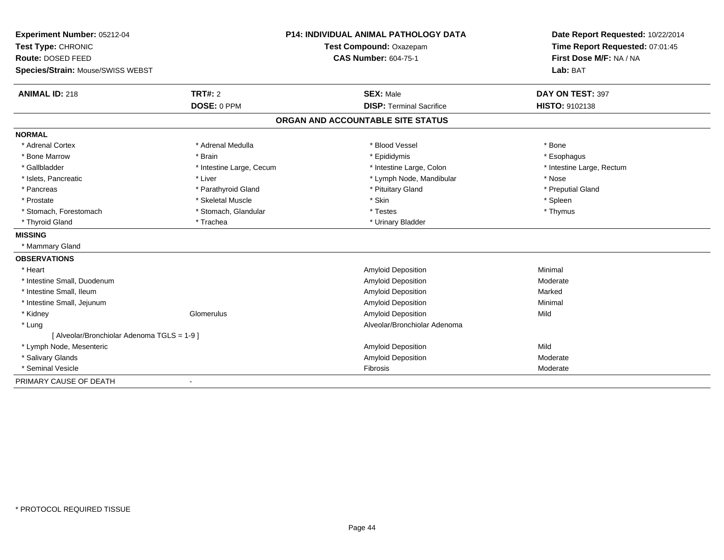| Experiment Number: 05212-04                 |                          | <b>P14: INDIVIDUAL ANIMAL PATHOLOGY DATA</b> | Date Report Requested: 10/22/2014 |
|---------------------------------------------|--------------------------|----------------------------------------------|-----------------------------------|
| Test Type: CHRONIC                          |                          | Test Compound: Oxazepam                      | Time Report Requested: 07:01:45   |
| Route: DOSED FEED                           |                          | <b>CAS Number: 604-75-1</b>                  | First Dose M/F: NA / NA           |
| <b>Species/Strain: Mouse/SWISS WEBST</b>    |                          |                                              | Lab: BAT                          |
| <b>ANIMAL ID: 218</b>                       | TRT#: 2                  | <b>SEX: Male</b>                             | DAY ON TEST: 397                  |
|                                             | DOSE: 0 PPM              | <b>DISP: Terminal Sacrifice</b>              | HISTO: 9102138                    |
|                                             |                          | ORGAN AND ACCOUNTABLE SITE STATUS            |                                   |
| <b>NORMAL</b>                               |                          |                                              |                                   |
| * Adrenal Cortex                            | * Adrenal Medulla        | * Blood Vessel                               | * Bone                            |
| * Bone Marrow                               | * Brain                  | * Epididymis                                 | * Esophagus                       |
| * Gallbladder                               | * Intestine Large, Cecum | * Intestine Large, Colon                     | * Intestine Large, Rectum         |
| * Islets, Pancreatic                        | * Liver                  | * Lymph Node, Mandibular                     | * Nose                            |
| * Pancreas                                  | * Parathyroid Gland      | * Pituitary Gland                            | * Preputial Gland                 |
| * Prostate                                  | * Skeletal Muscle        | * Skin                                       | * Spleen                          |
| * Stomach, Forestomach                      | * Stomach, Glandular     | * Testes                                     | * Thymus                          |
| * Thyroid Gland                             | * Trachea                | * Urinary Bladder                            |                                   |
| <b>MISSING</b>                              |                          |                                              |                                   |
| * Mammary Gland                             |                          |                                              |                                   |
| <b>OBSERVATIONS</b>                         |                          |                                              |                                   |
| * Heart                                     |                          | <b>Amyloid Deposition</b>                    | Minimal                           |
| * Intestine Small, Duodenum                 |                          | <b>Amyloid Deposition</b>                    | Moderate                          |
| * Intestine Small, Ileum                    |                          | Amyloid Deposition                           | Marked                            |
| * Intestine Small, Jejunum                  |                          | <b>Amyloid Deposition</b>                    | Minimal                           |
| * Kidney                                    | Glomerulus               | <b>Amyloid Deposition</b>                    | Mild                              |
| * Lung                                      |                          | Alveolar/Bronchiolar Adenoma                 |                                   |
| [ Alveolar/Bronchiolar Adenoma TGLS = 1-9 ] |                          |                                              |                                   |
| * Lymph Node, Mesenteric                    |                          | <b>Amyloid Deposition</b>                    | Mild                              |
| * Salivary Glands                           |                          | <b>Amyloid Deposition</b>                    | Moderate                          |
| * Seminal Vesicle                           |                          | <b>Fibrosis</b>                              | Moderate                          |
| PRIMARY CAUSE OF DEATH                      |                          |                                              |                                   |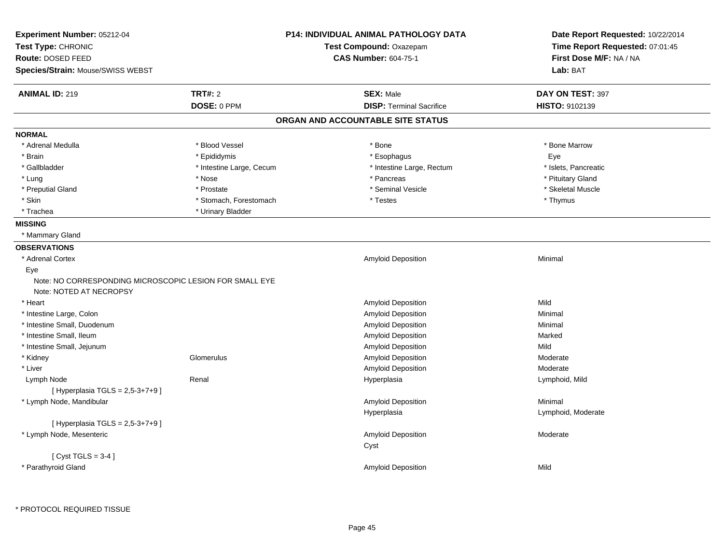| Experiment Number: 05212-04                                                        | <b>P14: INDIVIDUAL ANIMAL PATHOLOGY DATA</b> |                                   | Date Report Requested: 10/22/2014 |
|------------------------------------------------------------------------------------|----------------------------------------------|-----------------------------------|-----------------------------------|
| Test Type: CHRONIC                                                                 |                                              | Test Compound: Oxazepam           | Time Report Requested: 07:01:45   |
| Route: DOSED FEED                                                                  |                                              | <b>CAS Number: 604-75-1</b>       | First Dose M/F: NA / NA           |
| Species/Strain: Mouse/SWISS WEBST                                                  |                                              |                                   | Lab: BAT                          |
| <b>ANIMAL ID: 219</b>                                                              | <b>TRT#: 2</b>                               | <b>SEX: Male</b>                  | DAY ON TEST: 397                  |
|                                                                                    | DOSE: 0 PPM                                  | <b>DISP: Terminal Sacrifice</b>   | HISTO: 9102139                    |
|                                                                                    |                                              | ORGAN AND ACCOUNTABLE SITE STATUS |                                   |
| <b>NORMAL</b>                                                                      |                                              |                                   |                                   |
| * Adrenal Medulla                                                                  | * Blood Vessel                               | * Bone                            | * Bone Marrow                     |
| * Brain                                                                            | * Epididymis                                 | * Esophagus                       | Eye                               |
| * Gallbladder                                                                      | * Intestine Large, Cecum                     | * Intestine Large, Rectum         | * Islets, Pancreatic              |
| * Lung                                                                             | * Nose                                       | * Pancreas                        | * Pituitary Gland                 |
| * Preputial Gland                                                                  | * Prostate                                   | * Seminal Vesicle                 | * Skeletal Muscle                 |
| * Skin                                                                             | * Stomach, Forestomach                       | * Testes                          | * Thymus                          |
| * Trachea                                                                          | * Urinary Bladder                            |                                   |                                   |
| <b>MISSING</b>                                                                     |                                              |                                   |                                   |
| * Mammary Gland                                                                    |                                              |                                   |                                   |
| <b>OBSERVATIONS</b>                                                                |                                              |                                   |                                   |
| * Adrenal Cortex                                                                   |                                              | Amyloid Deposition                | Minimal                           |
| Eye                                                                                |                                              |                                   |                                   |
| Note: NO CORRESPONDING MICROSCOPIC LESION FOR SMALL EYE<br>Note: NOTED AT NECROPSY |                                              |                                   |                                   |
| * Heart                                                                            |                                              | Amyloid Deposition                | Mild                              |
| * Intestine Large, Colon                                                           |                                              | Amyloid Deposition                | Minimal                           |
| * Intestine Small, Duodenum                                                        |                                              | Amyloid Deposition                | Minimal                           |
| * Intestine Small, Ileum                                                           |                                              | Amyloid Deposition                | Marked                            |
| * Intestine Small, Jejunum                                                         |                                              | Amyloid Deposition                | Mild                              |
| * Kidney                                                                           | Glomerulus                                   | Amyloid Deposition                | Moderate                          |
| * Liver                                                                            |                                              | Amyloid Deposition                | Moderate                          |
| Lymph Node                                                                         | Renal                                        | Hyperplasia                       | Lymphoid, Mild                    |
| [ Hyperplasia TGLS = 2,5-3+7+9 ]                                                   |                                              |                                   |                                   |
| * Lymph Node, Mandibular                                                           |                                              | Amyloid Deposition                | Minimal                           |
|                                                                                    |                                              | Hyperplasia                       | Lymphoid, Moderate                |
| [Hyperplasia TGLS = $2,5-3+7+9$ ]                                                  |                                              |                                   |                                   |
| * Lymph Node, Mesenteric                                                           |                                              | Amyloid Deposition                | Moderate                          |
|                                                                                    |                                              | Cyst                              |                                   |
| [Cyst TGLS = $3-4$ ]                                                               |                                              |                                   |                                   |
| * Parathyroid Gland                                                                |                                              | <b>Amyloid Deposition</b>         | Mild                              |
|                                                                                    |                                              |                                   |                                   |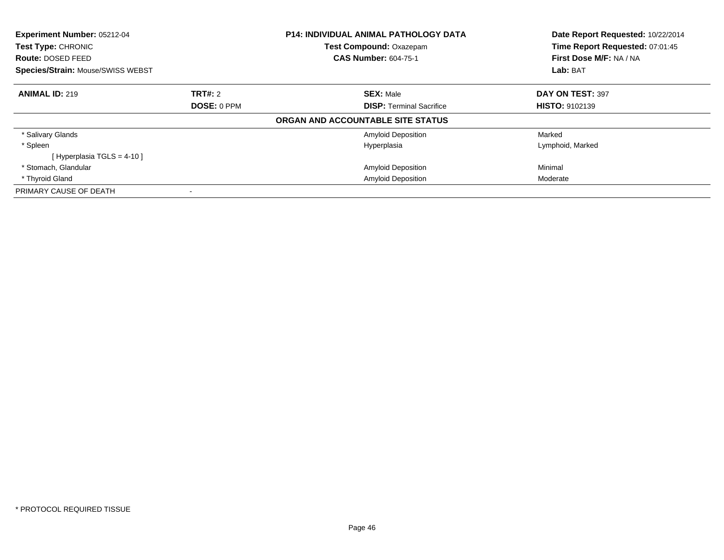| Experiment Number: 05212-04<br><b>Test Type: CHRONIC</b><br>Route: DOSED FEED<br><b>Species/Strain: Mouse/SWISS WEBST</b> |                | <b>P14: INDIVIDUAL ANIMAL PATHOLOGY DATA</b><br>Test Compound: Oxazepam | Date Report Requested: 10/22/2014<br>Time Report Requested: 07:01:45<br>First Dose M/F: NA / NA<br>Lab: BAT |
|---------------------------------------------------------------------------------------------------------------------------|----------------|-------------------------------------------------------------------------|-------------------------------------------------------------------------------------------------------------|
|                                                                                                                           |                | <b>CAS Number: 604-75-1</b>                                             |                                                                                                             |
| <b>ANIMAL ID: 219</b>                                                                                                     | <b>TRT#: 2</b> | <b>SEX: Male</b>                                                        | DAY ON TEST: 397                                                                                            |
|                                                                                                                           | DOSE: 0 PPM    | <b>DISP: Terminal Sacrifice</b>                                         | <b>HISTO: 9102139</b>                                                                                       |
|                                                                                                                           |                | ORGAN AND ACCOUNTABLE SITE STATUS                                       |                                                                                                             |
| * Salivary Glands                                                                                                         |                | <b>Amyloid Deposition</b>                                               | Marked                                                                                                      |
| * Spleen                                                                                                                  |                | Hyperplasia                                                             | Lymphoid, Marked                                                                                            |
| [Hyperplasia TGLS = $4-10$ ]                                                                                              |                |                                                                         |                                                                                                             |
| * Stomach, Glandular                                                                                                      |                | <b>Amyloid Deposition</b>                                               | Minimal                                                                                                     |
| * Thyroid Gland                                                                                                           |                | <b>Amyloid Deposition</b>                                               | Moderate                                                                                                    |
| PRIMARY CAUSE OF DEATH                                                                                                    |                |                                                                         |                                                                                                             |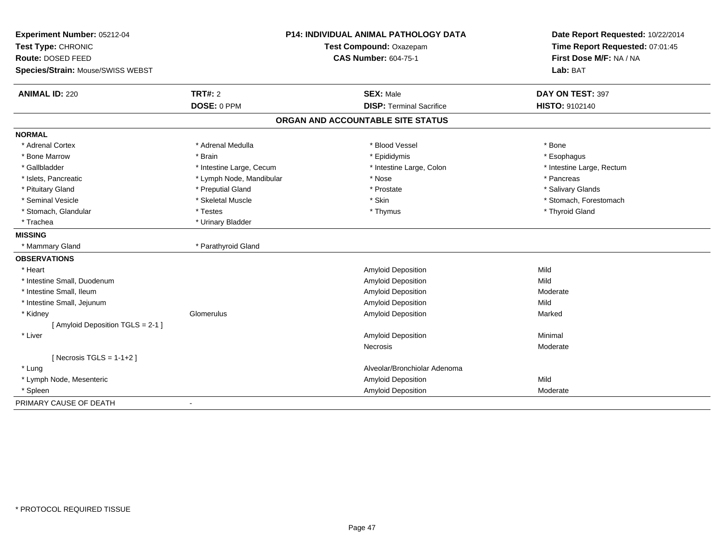| Experiment Number: 05212-04       |                          | P14: INDIVIDUAL ANIMAL PATHOLOGY DATA | Date Report Requested: 10/22/2014 |
|-----------------------------------|--------------------------|---------------------------------------|-----------------------------------|
| Test Type: CHRONIC                | Test Compound: Oxazepam  |                                       | Time Report Requested: 07:01:45   |
| Route: DOSED FEED                 |                          | <b>CAS Number: 604-75-1</b>           | First Dose M/F: NA / NA           |
| Species/Strain: Mouse/SWISS WEBST |                          |                                       | Lab: BAT                          |
| <b>ANIMAL ID: 220</b>             | <b>TRT#: 2</b>           | <b>SEX: Male</b>                      | DAY ON TEST: 397                  |
|                                   | DOSE: 0 PPM              | <b>DISP: Terminal Sacrifice</b>       | <b>HISTO: 9102140</b>             |
|                                   |                          | ORGAN AND ACCOUNTABLE SITE STATUS     |                                   |
| <b>NORMAL</b>                     |                          |                                       |                                   |
| * Adrenal Cortex                  | * Adrenal Medulla        | * Blood Vessel                        | * Bone                            |
| * Bone Marrow                     | * Brain                  | * Epididymis                          | * Esophagus                       |
| * Gallbladder                     | * Intestine Large, Cecum | * Intestine Large, Colon              | * Intestine Large, Rectum         |
| * Islets, Pancreatic              | * Lymph Node, Mandibular | * Nose                                | * Pancreas                        |
| * Pituitary Gland                 | * Preputial Gland        | * Prostate                            | * Salivary Glands                 |
| * Seminal Vesicle                 | * Skeletal Muscle        | * Skin                                | * Stomach, Forestomach            |
| * Stomach, Glandular              | * Testes                 | * Thymus                              | * Thyroid Gland                   |
| * Trachea                         | * Urinary Bladder        |                                       |                                   |
| <b>MISSING</b>                    |                          |                                       |                                   |
| * Mammary Gland                   | * Parathyroid Gland      |                                       |                                   |
| <b>OBSERVATIONS</b>               |                          |                                       |                                   |
| * Heart                           |                          | Amyloid Deposition                    | Mild                              |
| * Intestine Small, Duodenum       |                          | Amyloid Deposition                    | Mild                              |
| * Intestine Small, Ileum          |                          | Amyloid Deposition                    | Moderate                          |
| * Intestine Small, Jejunum        |                          | Amyloid Deposition                    | Mild                              |
| * Kidney                          | Glomerulus               | Amyloid Deposition                    | Marked                            |
| [ Amyloid Deposition TGLS = 2-1 ] |                          |                                       |                                   |
| * Liver                           |                          | Amyloid Deposition                    | Minimal                           |
|                                   |                          | <b>Necrosis</b>                       | Moderate                          |
| [ Necrosis TGLS = $1-1+2$ ]       |                          |                                       |                                   |
| * Lung                            |                          | Alveolar/Bronchiolar Adenoma          |                                   |
| * Lymph Node, Mesenteric          |                          | Amyloid Deposition                    | Mild                              |
| * Spleen                          |                          | Amyloid Deposition                    | Moderate                          |
| PRIMARY CAUSE OF DEATH            |                          |                                       |                                   |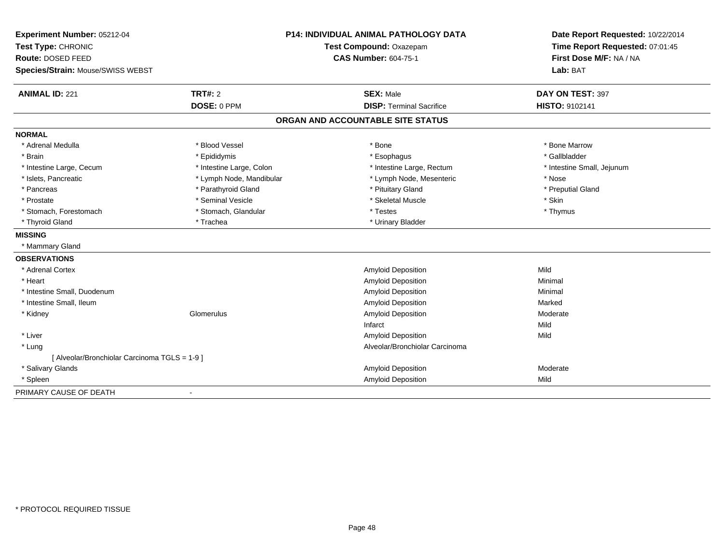| Experiment Number: 05212-04                   |                          | <b>P14: INDIVIDUAL ANIMAL PATHOLOGY DATA</b> | Date Report Requested: 10/22/2014 |
|-----------------------------------------------|--------------------------|----------------------------------------------|-----------------------------------|
| Test Type: CHRONIC                            | Test Compound: Oxazepam  |                                              | Time Report Requested: 07:01:45   |
| Route: DOSED FEED                             |                          | <b>CAS Number: 604-75-1</b>                  | First Dose M/F: NA / NA           |
| Species/Strain: Mouse/SWISS WEBST             |                          |                                              | Lab: BAT                          |
| <b>ANIMAL ID: 221</b>                         | TRT#: 2                  | <b>SEX: Male</b>                             | DAY ON TEST: 397                  |
|                                               | DOSE: 0 PPM              | <b>DISP: Terminal Sacrifice</b>              | HISTO: 9102141                    |
|                                               |                          | ORGAN AND ACCOUNTABLE SITE STATUS            |                                   |
| <b>NORMAL</b>                                 |                          |                                              |                                   |
| * Adrenal Medulla                             | * Blood Vessel           | * Bone                                       | * Bone Marrow                     |
| * Brain                                       | * Epididymis             | * Esophagus                                  | * Gallbladder                     |
| * Intestine Large, Cecum                      | * Intestine Large, Colon | * Intestine Large, Rectum                    | * Intestine Small, Jejunum        |
| * Islets, Pancreatic                          | * Lymph Node, Mandibular | * Lymph Node, Mesenteric                     | * Nose                            |
| * Pancreas                                    | * Parathyroid Gland      | * Pituitary Gland                            | * Preputial Gland                 |
| * Prostate                                    | * Seminal Vesicle        | * Skeletal Muscle                            | * Skin                            |
| * Stomach, Forestomach                        | * Stomach, Glandular     | * Testes                                     | * Thymus                          |
| * Thyroid Gland                               | * Trachea                | * Urinary Bladder                            |                                   |
| <b>MISSING</b>                                |                          |                                              |                                   |
| * Mammary Gland                               |                          |                                              |                                   |
| <b>OBSERVATIONS</b>                           |                          |                                              |                                   |
| * Adrenal Cortex                              |                          | Amyloid Deposition                           | Mild                              |
| * Heart                                       |                          | Amyloid Deposition                           | Minimal                           |
| * Intestine Small, Duodenum                   |                          | Amyloid Deposition                           | Minimal                           |
| * Intestine Small, Ileum                      |                          | Amyloid Deposition                           | Marked                            |
| * Kidney                                      | Glomerulus               | Amyloid Deposition                           | Moderate                          |
|                                               |                          | Infarct                                      | Mild                              |
| * Liver                                       |                          | Amyloid Deposition                           | Mild                              |
| * Lung                                        |                          | Alveolar/Bronchiolar Carcinoma               |                                   |
| [ Alveolar/Bronchiolar Carcinoma TGLS = 1-9 ] |                          |                                              |                                   |
| * Salivary Glands                             |                          | Amyloid Deposition                           | Moderate                          |
| * Spleen                                      |                          | Amyloid Deposition                           | Mild                              |
| PRIMARY CAUSE OF DEATH                        |                          |                                              |                                   |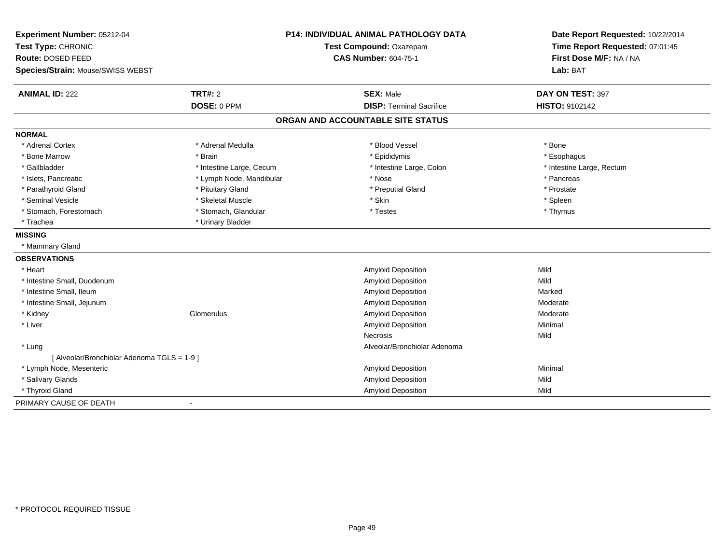| Experiment Number: 05212-04                 |                          | P14: INDIVIDUAL ANIMAL PATHOLOGY DATA | Date Report Requested: 10/22/2014 |
|---------------------------------------------|--------------------------|---------------------------------------|-----------------------------------|
| Test Type: CHRONIC                          | Test Compound: Oxazepam  |                                       | Time Report Requested: 07:01:45   |
| Route: DOSED FEED                           |                          | <b>CAS Number: 604-75-1</b>           | First Dose M/F: NA / NA           |
| Species/Strain: Mouse/SWISS WEBST           |                          |                                       | Lab: BAT                          |
| <b>ANIMAL ID: 222</b>                       | <b>TRT#: 2</b>           | <b>SEX: Male</b>                      | DAY ON TEST: 397                  |
|                                             | DOSE: 0 PPM              | <b>DISP: Terminal Sacrifice</b>       | <b>HISTO: 9102142</b>             |
|                                             |                          | ORGAN AND ACCOUNTABLE SITE STATUS     |                                   |
| <b>NORMAL</b>                               |                          |                                       |                                   |
| * Adrenal Cortex                            | * Adrenal Medulla        | * Blood Vessel                        | * Bone                            |
| * Bone Marrow                               | * Brain                  | * Epididymis                          | * Esophagus                       |
| * Gallbladder                               | * Intestine Large, Cecum | * Intestine Large, Colon              | * Intestine Large, Rectum         |
| * Islets, Pancreatic                        | * Lymph Node, Mandibular | * Nose                                | * Pancreas                        |
| * Parathyroid Gland                         | * Pituitary Gland        | * Preputial Gland                     | * Prostate                        |
| * Seminal Vesicle                           | * Skeletal Muscle        | * Skin                                | * Spleen                          |
| * Stomach, Forestomach                      | * Stomach, Glandular     | * Testes                              | * Thymus                          |
| * Trachea                                   | * Urinary Bladder        |                                       |                                   |
| <b>MISSING</b>                              |                          |                                       |                                   |
| * Mammary Gland                             |                          |                                       |                                   |
| <b>OBSERVATIONS</b>                         |                          |                                       |                                   |
| * Heart                                     |                          | Amyloid Deposition                    | Mild                              |
| * Intestine Small, Duodenum                 |                          | Amyloid Deposition                    | Mild                              |
| * Intestine Small, Ileum                    |                          | Amyloid Deposition                    | Marked                            |
| * Intestine Small, Jejunum                  |                          | Amyloid Deposition                    | Moderate                          |
| * Kidney                                    | Glomerulus               | <b>Amyloid Deposition</b>             | Moderate                          |
| * Liver                                     |                          | <b>Amyloid Deposition</b>             | Minimal                           |
|                                             |                          | <b>Necrosis</b>                       | Mild                              |
| * Lung                                      |                          | Alveolar/Bronchiolar Adenoma          |                                   |
| [ Alveolar/Bronchiolar Adenoma TGLS = 1-9 ] |                          |                                       |                                   |
| * Lymph Node, Mesenteric                    |                          | Amyloid Deposition                    | Minimal                           |
| * Salivary Glands                           |                          | Amyloid Deposition                    | Mild                              |
| * Thyroid Gland                             |                          | Amyloid Deposition                    | Mild                              |
| PRIMARY CAUSE OF DEATH                      |                          |                                       |                                   |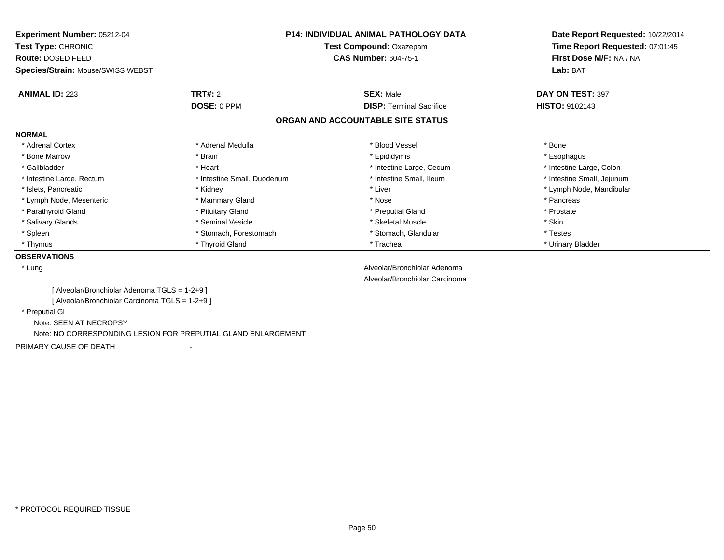| <b>Experiment Number: 05212-04</b>                            | <b>P14: INDIVIDUAL ANIMAL PATHOLOGY DATA</b> |                                   | Date Report Requested: 10/22/2014 |
|---------------------------------------------------------------|----------------------------------------------|-----------------------------------|-----------------------------------|
| Test Type: CHRONIC                                            |                                              | Test Compound: Oxazepam           | Time Report Requested: 07:01:45   |
| Route: DOSED FEED                                             |                                              | <b>CAS Number: 604-75-1</b>       | First Dose M/F: NA / NA           |
| Species/Strain: Mouse/SWISS WEBST                             |                                              |                                   | Lab: BAT                          |
|                                                               |                                              |                                   |                                   |
| <b>ANIMAL ID: 223</b>                                         | <b>TRT#: 2</b>                               | <b>SEX: Male</b>                  | DAY ON TEST: 397                  |
|                                                               | DOSE: 0 PPM                                  | <b>DISP: Terminal Sacrifice</b>   | HISTO: 9102143                    |
|                                                               |                                              | ORGAN AND ACCOUNTABLE SITE STATUS |                                   |
| <b>NORMAL</b>                                                 |                                              |                                   |                                   |
| * Adrenal Cortex                                              | * Adrenal Medulla                            | * Blood Vessel                    | * Bone                            |
| * Bone Marrow                                                 | * Brain                                      | * Epididymis                      | * Esophagus                       |
| * Gallbladder                                                 | * Heart                                      | * Intestine Large, Cecum          | * Intestine Large, Colon          |
| * Intestine Large, Rectum                                     | * Intestine Small, Duodenum                  | * Intestine Small, Ileum          | * Intestine Small, Jejunum        |
| * Islets, Pancreatic                                          | * Kidney                                     | * Liver                           | * Lymph Node, Mandibular          |
| * Lymph Node, Mesenteric                                      | * Mammary Gland                              | * Nose                            | * Pancreas                        |
| * Parathyroid Gland                                           | * Pituitary Gland                            | * Preputial Gland                 | * Prostate                        |
| * Salivary Glands                                             | * Seminal Vesicle                            | * Skeletal Muscle                 | * Skin                            |
| * Spleen                                                      | * Stomach, Forestomach                       | * Stomach, Glandular              | * Testes                          |
| * Thymus                                                      | * Thyroid Gland                              | * Trachea                         | * Urinary Bladder                 |
| <b>OBSERVATIONS</b>                                           |                                              |                                   |                                   |
| * Lung                                                        |                                              | Alveolar/Bronchiolar Adenoma      |                                   |
|                                                               |                                              | Alveolar/Bronchiolar Carcinoma    |                                   |
| [ Alveolar/Bronchiolar Adenoma TGLS = 1-2+9 ]                 |                                              |                                   |                                   |
| [ Alveolar/Bronchiolar Carcinoma TGLS = 1-2+9 ]               |                                              |                                   |                                   |
| * Preputial GI                                                |                                              |                                   |                                   |
| Note: SEEN AT NECROPSY                                        |                                              |                                   |                                   |
| Note: NO CORRESPONDING LESION FOR PREPUTIAL GLAND ENLARGEMENT |                                              |                                   |                                   |
| PRIMARY CAUSE OF DEATH                                        |                                              |                                   |                                   |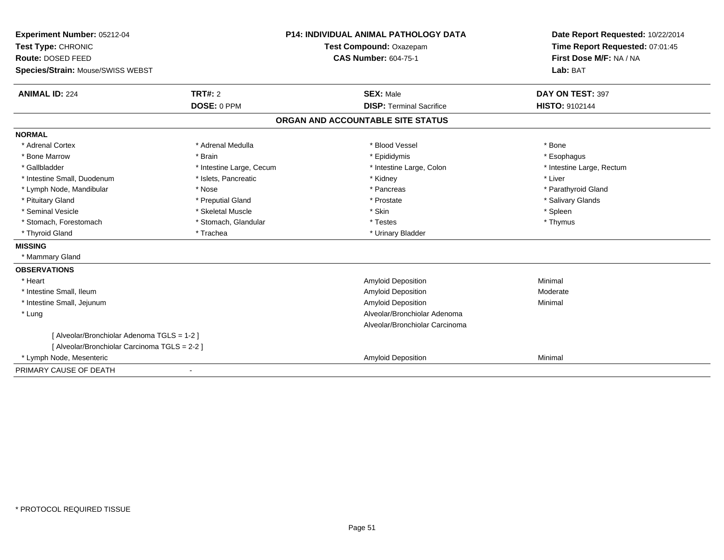| Experiment Number: 05212-04                   |                          | <b>P14: INDIVIDUAL ANIMAL PATHOLOGY DATA</b> | Date Report Requested: 10/22/2014 |
|-----------------------------------------------|--------------------------|----------------------------------------------|-----------------------------------|
| Test Type: CHRONIC                            | Test Compound: Oxazepam  |                                              | Time Report Requested: 07:01:45   |
| Route: DOSED FEED                             |                          | <b>CAS Number: 604-75-1</b>                  | First Dose M/F: NA / NA           |
| Species/Strain: Mouse/SWISS WEBST             |                          |                                              | Lab: BAT                          |
| <b>ANIMAL ID: 224</b>                         | <b>TRT#: 2</b>           | <b>SEX: Male</b>                             | DAY ON TEST: 397                  |
|                                               | DOSE: 0 PPM              | <b>DISP: Terminal Sacrifice</b>              | <b>HISTO: 9102144</b>             |
|                                               |                          | ORGAN AND ACCOUNTABLE SITE STATUS            |                                   |
| <b>NORMAL</b>                                 |                          |                                              |                                   |
| * Adrenal Cortex                              | * Adrenal Medulla        | * Blood Vessel                               | * Bone                            |
| * Bone Marrow                                 | * Brain                  | * Epididymis                                 | * Esophagus                       |
| * Gallbladder                                 | * Intestine Large, Cecum | * Intestine Large, Colon                     | * Intestine Large, Rectum         |
| * Intestine Small, Duodenum                   | * Islets, Pancreatic     | * Kidney                                     | * Liver                           |
| * Lymph Node, Mandibular                      | * Nose                   | * Pancreas                                   | * Parathyroid Gland               |
| * Pituitary Gland                             | * Preputial Gland        | * Prostate                                   | * Salivary Glands                 |
| * Seminal Vesicle                             | * Skeletal Muscle        | * Skin                                       | * Spleen                          |
| * Stomach, Forestomach                        | * Stomach, Glandular     | * Testes                                     | * Thymus                          |
| * Thyroid Gland                               | * Trachea                | * Urinary Bladder                            |                                   |
| <b>MISSING</b>                                |                          |                                              |                                   |
| * Mammary Gland                               |                          |                                              |                                   |
| <b>OBSERVATIONS</b>                           |                          |                                              |                                   |
| * Heart                                       |                          | Amyloid Deposition                           | Minimal                           |
| * Intestine Small, Ileum                      |                          | <b>Amyloid Deposition</b>                    | Moderate                          |
| * Intestine Small, Jejunum                    |                          | <b>Amyloid Deposition</b>                    | Minimal                           |
| * Lung                                        |                          | Alveolar/Bronchiolar Adenoma                 |                                   |
|                                               |                          | Alveolar/Bronchiolar Carcinoma               |                                   |
| [ Alveolar/Bronchiolar Adenoma TGLS = 1-2 ]   |                          |                                              |                                   |
| [ Alveolar/Bronchiolar Carcinoma TGLS = 2-2 ] |                          |                                              |                                   |
| * Lymph Node, Mesenteric                      |                          | <b>Amyloid Deposition</b>                    | Minimal                           |
| PRIMARY CAUSE OF DEATH                        |                          |                                              |                                   |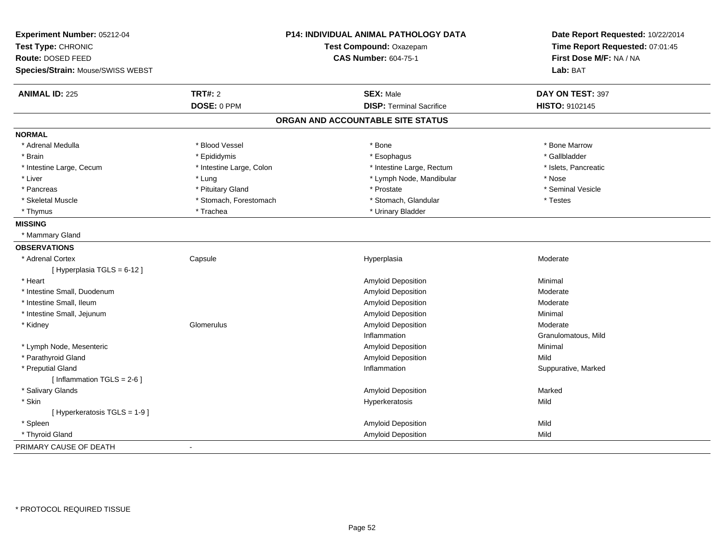| Experiment Number: 05212-04<br>Test Type: CHRONIC<br>Route: DOSED FEED<br>Species/Strain: Mouse/SWISS WEBST |                          | P14: INDIVIDUAL ANIMAL PATHOLOGY DATA<br>Test Compound: Oxazepam<br><b>CAS Number: 604-75-1</b> | Date Report Requested: 10/22/2014<br>Time Report Requested: 07:01:45<br>First Dose M/F: NA / NA<br>Lab: BAT |
|-------------------------------------------------------------------------------------------------------------|--------------------------|-------------------------------------------------------------------------------------------------|-------------------------------------------------------------------------------------------------------------|
| <b>ANIMAL ID: 225</b>                                                                                       | <b>TRT#: 2</b>           | <b>SEX: Male</b>                                                                                | DAY ON TEST: 397                                                                                            |
|                                                                                                             | DOSE: 0 PPM              | <b>DISP: Terminal Sacrifice</b>                                                                 | HISTO: 9102145                                                                                              |
|                                                                                                             |                          | ORGAN AND ACCOUNTABLE SITE STATUS                                                               |                                                                                                             |
| <b>NORMAL</b>                                                                                               |                          |                                                                                                 |                                                                                                             |
| * Adrenal Medulla                                                                                           | * Blood Vessel           | * Bone                                                                                          | * Bone Marrow                                                                                               |
| * Brain                                                                                                     | * Epididymis             | * Esophagus                                                                                     | * Gallbladder                                                                                               |
| * Intestine Large, Cecum                                                                                    | * Intestine Large, Colon | * Intestine Large, Rectum                                                                       | * Islets, Pancreatic                                                                                        |
| * Liver                                                                                                     | * Lung                   | * Lymph Node, Mandibular                                                                        | * Nose                                                                                                      |
| * Pancreas                                                                                                  | * Pituitary Gland        | * Prostate                                                                                      | * Seminal Vesicle                                                                                           |
| * Skeletal Muscle                                                                                           | * Stomach, Forestomach   | * Stomach, Glandular                                                                            | * Testes                                                                                                    |
| * Thymus                                                                                                    | * Trachea                | * Urinary Bladder                                                                               |                                                                                                             |
| <b>MISSING</b>                                                                                              |                          |                                                                                                 |                                                                                                             |
| * Mammary Gland                                                                                             |                          |                                                                                                 |                                                                                                             |
| <b>OBSERVATIONS</b>                                                                                         |                          |                                                                                                 |                                                                                                             |
| * Adrenal Cortex                                                                                            | Capsule                  | Hyperplasia                                                                                     | Moderate                                                                                                    |
| [Hyperplasia TGLS = 6-12]                                                                                   |                          |                                                                                                 |                                                                                                             |
| * Heart                                                                                                     |                          | Amyloid Deposition                                                                              | Minimal                                                                                                     |
| * Intestine Small, Duodenum                                                                                 |                          | Amyloid Deposition                                                                              | Moderate                                                                                                    |
| * Intestine Small, Ileum                                                                                    |                          | Amyloid Deposition                                                                              | Moderate                                                                                                    |
| * Intestine Small, Jejunum                                                                                  |                          | Amyloid Deposition                                                                              | Minimal                                                                                                     |
| * Kidney                                                                                                    | Glomerulus               | Amyloid Deposition                                                                              | Moderate                                                                                                    |
|                                                                                                             |                          | Inflammation                                                                                    | Granulomatous, Mild                                                                                         |
| * Lymph Node, Mesenteric                                                                                    |                          | Amyloid Deposition                                                                              | Minimal                                                                                                     |
| * Parathyroid Gland                                                                                         |                          | <b>Amyloid Deposition</b>                                                                       | Mild                                                                                                        |
| * Preputial Gland                                                                                           |                          | Inflammation                                                                                    | Suppurative, Marked                                                                                         |
| [Inflammation TGLS = $2-6$ ]                                                                                |                          |                                                                                                 |                                                                                                             |
| * Salivary Glands                                                                                           |                          | Amyloid Deposition                                                                              | Marked                                                                                                      |
| * Skin                                                                                                      |                          | Hyperkeratosis                                                                                  | Mild                                                                                                        |
| [ Hyperkeratosis TGLS = 1-9 ]                                                                               |                          |                                                                                                 |                                                                                                             |
| * Spleen                                                                                                    |                          | Amyloid Deposition                                                                              | Mild                                                                                                        |
| * Thyroid Gland                                                                                             |                          | Amyloid Deposition                                                                              | Mild                                                                                                        |
| PRIMARY CAUSE OF DEATH                                                                                      | $\sim$                   |                                                                                                 |                                                                                                             |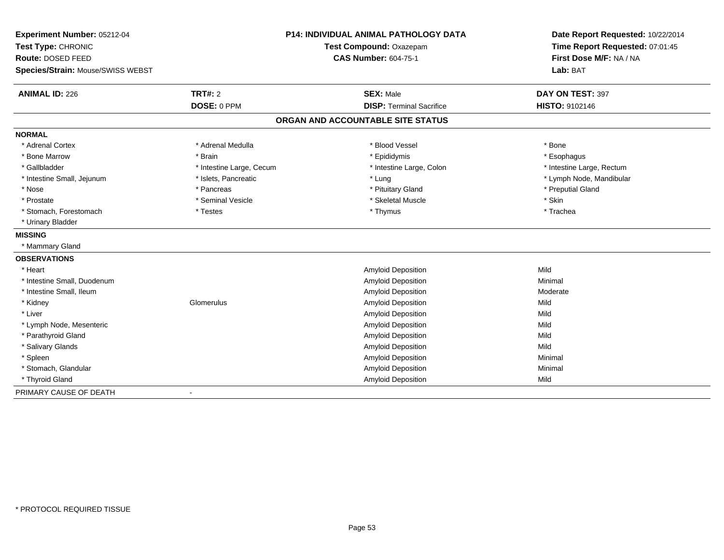| Experiment Number: 05212-04       |                          | <b>P14: INDIVIDUAL ANIMAL PATHOLOGY DATA</b> | Date Report Requested: 10/22/2014 |
|-----------------------------------|--------------------------|----------------------------------------------|-----------------------------------|
| Test Type: CHRONIC                |                          | Test Compound: Oxazepam                      | Time Report Requested: 07:01:45   |
| Route: DOSED FEED                 |                          | <b>CAS Number: 604-75-1</b>                  | First Dose M/F: NA / NA           |
| Species/Strain: Mouse/SWISS WEBST |                          |                                              | Lab: BAT                          |
| <b>ANIMAL ID: 226</b>             | <b>TRT#: 2</b>           | <b>SEX: Male</b>                             | DAY ON TEST: 397                  |
|                                   | DOSE: 0 PPM              | <b>DISP: Terminal Sacrifice</b>              | HISTO: 9102146                    |
|                                   |                          | ORGAN AND ACCOUNTABLE SITE STATUS            |                                   |
| <b>NORMAL</b>                     |                          |                                              |                                   |
| * Adrenal Cortex                  | * Adrenal Medulla        | * Blood Vessel                               | * Bone                            |
| * Bone Marrow                     | * Brain                  | * Epididymis                                 | * Esophagus                       |
| * Gallbladder                     | * Intestine Large, Cecum | * Intestine Large, Colon                     | * Intestine Large, Rectum         |
| * Intestine Small, Jejunum        | * Islets, Pancreatic     | * Lung                                       | * Lymph Node, Mandibular          |
| * Nose                            | * Pancreas               | * Pituitary Gland                            | * Preputial Gland                 |
| * Prostate                        | * Seminal Vesicle        | * Skeletal Muscle                            | * Skin                            |
| * Stomach, Forestomach            | * Testes                 | * Thymus                                     | * Trachea                         |
| * Urinary Bladder                 |                          |                                              |                                   |
| <b>MISSING</b>                    |                          |                                              |                                   |
| * Mammary Gland                   |                          |                                              |                                   |
| <b>OBSERVATIONS</b>               |                          |                                              |                                   |
| * Heart                           |                          | <b>Amyloid Deposition</b>                    | Mild                              |
| * Intestine Small, Duodenum       |                          | Amyloid Deposition                           | Minimal                           |
| * Intestine Small, Ileum          |                          | Amyloid Deposition                           | Moderate                          |
| * Kidney                          | Glomerulus               | Amyloid Deposition                           | Mild                              |
| * Liver                           |                          | Amyloid Deposition                           | Mild                              |
| * Lymph Node, Mesenteric          |                          | <b>Amyloid Deposition</b>                    | Mild                              |
| * Parathyroid Gland               |                          | Amyloid Deposition                           | Mild                              |
| * Salivary Glands                 |                          | Amyloid Deposition                           | Mild                              |
| * Spleen                          |                          | Amyloid Deposition                           | Minimal                           |
| * Stomach, Glandular              |                          | Amyloid Deposition                           | Minimal                           |
| * Thyroid Gland                   |                          | Amyloid Deposition                           | Mild                              |
| PRIMARY CAUSE OF DEATH            |                          |                                              |                                   |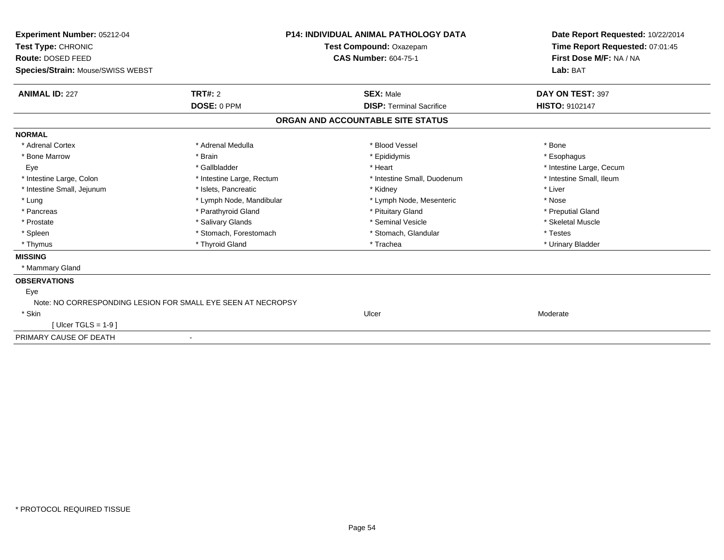| Experiment Number: 05212-04                                  |                           | <b>P14: INDIVIDUAL ANIMAL PATHOLOGY DATA</b> | Date Report Requested: 10/22/2014 |
|--------------------------------------------------------------|---------------------------|----------------------------------------------|-----------------------------------|
| Test Type: CHRONIC                                           |                           | Test Compound: Oxazepam                      | Time Report Requested: 07:01:45   |
| Route: DOSED FEED                                            |                           | <b>CAS Number: 604-75-1</b>                  | First Dose M/F: NA / NA           |
| Species/Strain: Mouse/SWISS WEBST                            |                           |                                              | Lab: BAT                          |
| <b>ANIMAL ID: 227</b>                                        | <b>TRT#: 2</b>            | <b>SEX: Male</b>                             | DAY ON TEST: 397                  |
|                                                              | DOSE: 0 PPM               | <b>DISP: Terminal Sacrifice</b>              | <b>HISTO: 9102147</b>             |
|                                                              |                           | ORGAN AND ACCOUNTABLE SITE STATUS            |                                   |
| <b>NORMAL</b>                                                |                           |                                              |                                   |
| * Adrenal Cortex                                             | * Adrenal Medulla         | * Blood Vessel                               | * Bone                            |
| * Bone Marrow                                                | * Brain                   | * Epididymis                                 | * Esophagus                       |
| Eye                                                          | * Gallbladder             | * Heart                                      | * Intestine Large, Cecum          |
| * Intestine Large, Colon                                     | * Intestine Large, Rectum | * Intestine Small, Duodenum                  | * Intestine Small, Ileum          |
| * Intestine Small, Jejunum                                   | * Islets, Pancreatic      | * Kidney                                     | * Liver                           |
| * Lung                                                       | * Lymph Node, Mandibular  | * Lymph Node, Mesenteric                     | * Nose                            |
| * Pancreas                                                   | * Parathyroid Gland       | * Pituitary Gland                            | * Preputial Gland                 |
| * Prostate                                                   | * Salivary Glands         | * Seminal Vesicle                            | * Skeletal Muscle                 |
| * Spleen                                                     | * Stomach, Forestomach    | * Stomach, Glandular                         | * Testes                          |
| * Thymus                                                     | * Thyroid Gland           | * Trachea                                    | * Urinary Bladder                 |
| <b>MISSING</b>                                               |                           |                                              |                                   |
| * Mammary Gland                                              |                           |                                              |                                   |
| <b>OBSERVATIONS</b>                                          |                           |                                              |                                   |
| Eye                                                          |                           |                                              |                                   |
| Note: NO CORRESPONDING LESION FOR SMALL EYE SEEN AT NECROPSY |                           |                                              |                                   |
| * Skin                                                       |                           | Ulcer                                        | Moderate                          |
| [Ulcer TGLS = $1-9$ ]                                        |                           |                                              |                                   |
| PRIMARY CAUSE OF DEATH                                       | $\blacksquare$            |                                              |                                   |
|                                                              |                           |                                              |                                   |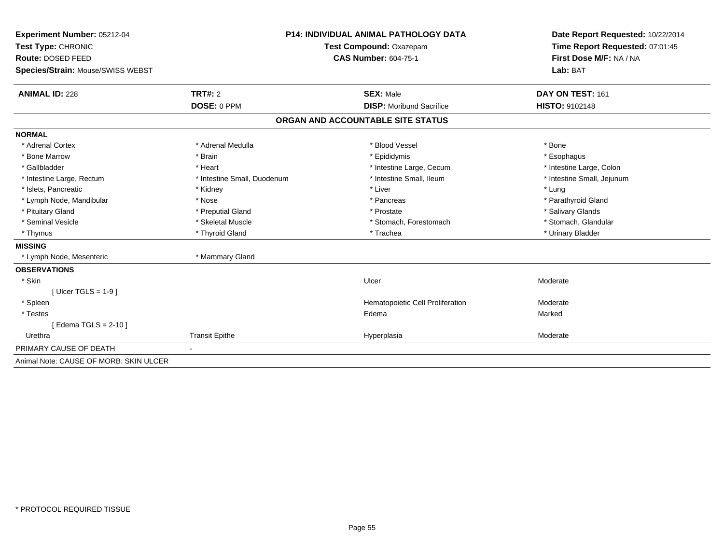| <b>Experiment Number: 05212-04</b>     |                             | <b>P14: INDIVIDUAL ANIMAL PATHOLOGY DATA</b> | Date Report Requested: 10/22/2014 |
|----------------------------------------|-----------------------------|----------------------------------------------|-----------------------------------|
| Test Type: CHRONIC                     |                             | Test Compound: Oxazepam                      | Time Report Requested: 07:01:45   |
| Route: DOSED FEED                      |                             | <b>CAS Number: 604-75-1</b>                  | First Dose M/F: NA / NA           |
| Species/Strain: Mouse/SWISS WEBST      |                             |                                              | Lab: BAT                          |
| <b>ANIMAL ID: 228</b>                  | <b>TRT#: 2</b>              | <b>SEX: Male</b>                             | DAY ON TEST: 161                  |
|                                        | DOSE: 0 PPM                 | <b>DISP:</b> Moribund Sacrifice              | HISTO: 9102148                    |
|                                        |                             | ORGAN AND ACCOUNTABLE SITE STATUS            |                                   |
| <b>NORMAL</b>                          |                             |                                              |                                   |
| * Adrenal Cortex                       | * Adrenal Medulla           | * Blood Vessel                               | * Bone                            |
| * Bone Marrow                          | * Brain                     | * Epididymis                                 | * Esophagus                       |
| * Gallbladder                          | * Heart                     | * Intestine Large, Cecum                     | * Intestine Large, Colon          |
| * Intestine Large, Rectum              | * Intestine Small, Duodenum | * Intestine Small, Ileum                     | * Intestine Small, Jejunum        |
| * Islets, Pancreatic                   | * Kidney                    | * Liver                                      | * Lung                            |
| * Lymph Node, Mandibular               | * Nose                      | * Pancreas                                   | * Parathyroid Gland               |
| * Pituitary Gland                      | * Preputial Gland           | * Prostate                                   | * Salivary Glands                 |
| * Seminal Vesicle                      | * Skeletal Muscle           | * Stomach, Forestomach                       | * Stomach, Glandular              |
| * Thymus                               | * Thyroid Gland             | * Trachea                                    | * Urinary Bladder                 |
| <b>MISSING</b>                         |                             |                                              |                                   |
| * Lymph Node, Mesenteric               | * Mammary Gland             |                                              |                                   |
| <b>OBSERVATIONS</b>                    |                             |                                              |                                   |
| * Skin                                 |                             | Ulcer                                        | Moderate                          |
| [Ulcer TGLS = $1-9$ ]                  |                             |                                              |                                   |
| * Spleen                               |                             | Hematopoietic Cell Proliferation             | Moderate                          |
| * Testes                               |                             | Edema                                        | Marked                            |
| [Edema TGLS = $2-10$ ]                 |                             |                                              |                                   |
| Urethra                                | <b>Transit Epithe</b>       | Hyperplasia                                  | Moderate                          |
| PRIMARY CAUSE OF DEATH                 |                             |                                              |                                   |
| Animal Note: CAUSE OF MORB: SKIN ULCER |                             |                                              |                                   |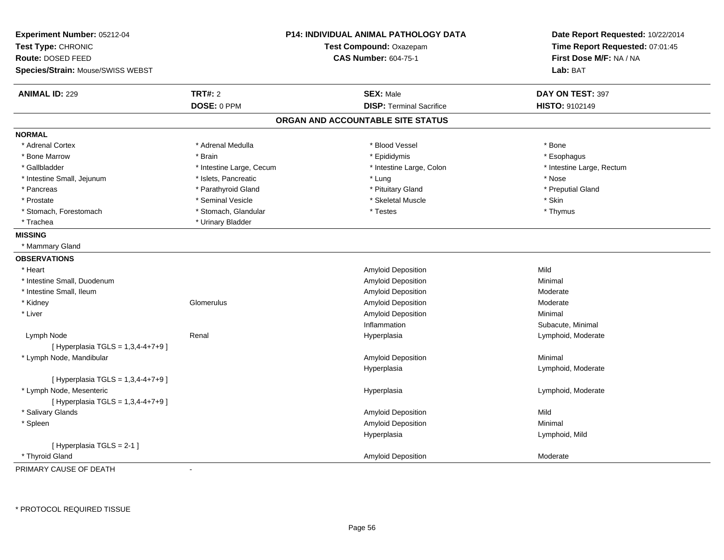| Experiment Number: 05212-04<br>Test Type: CHRONIC<br>Route: DOSED FEED<br>Species/Strain: Mouse/SWISS WEBST |                          | P14: INDIVIDUAL ANIMAL PATHOLOGY DATA<br>Test Compound: Oxazepam<br><b>CAS Number: 604-75-1</b> | Date Report Requested: 10/22/2014<br>Time Report Requested: 07:01:45<br>First Dose M/F: NA / NA<br>Lab: BAT |
|-------------------------------------------------------------------------------------------------------------|--------------------------|-------------------------------------------------------------------------------------------------|-------------------------------------------------------------------------------------------------------------|
| <b>ANIMAL ID: 229</b>                                                                                       | <b>TRT#: 2</b>           | <b>SEX: Male</b>                                                                                | DAY ON TEST: 397                                                                                            |
|                                                                                                             | DOSE: 0 PPM              | <b>DISP: Terminal Sacrifice</b>                                                                 | HISTO: 9102149                                                                                              |
|                                                                                                             |                          | ORGAN AND ACCOUNTABLE SITE STATUS                                                               |                                                                                                             |
| <b>NORMAL</b>                                                                                               |                          |                                                                                                 |                                                                                                             |
| * Adrenal Cortex                                                                                            | * Adrenal Medulla        | * Blood Vessel                                                                                  | * Bone                                                                                                      |
| * Bone Marrow                                                                                               | * Brain                  | * Epididymis                                                                                    | * Esophagus                                                                                                 |
| * Gallbladder                                                                                               | * Intestine Large, Cecum | * Intestine Large, Colon                                                                        | * Intestine Large, Rectum                                                                                   |
| * Intestine Small, Jejunum                                                                                  | * Islets, Pancreatic     | * Lung                                                                                          | * Nose                                                                                                      |
| * Pancreas                                                                                                  | * Parathyroid Gland      | * Pituitary Gland                                                                               | * Preputial Gland                                                                                           |
| * Prostate                                                                                                  | * Seminal Vesicle        | * Skeletal Muscle                                                                               | * Skin                                                                                                      |
| * Stomach, Forestomach                                                                                      | * Stomach, Glandular     | * Testes                                                                                        | * Thymus                                                                                                    |
| * Trachea                                                                                                   | * Urinary Bladder        |                                                                                                 |                                                                                                             |
| <b>MISSING</b>                                                                                              |                          |                                                                                                 |                                                                                                             |
| * Mammary Gland                                                                                             |                          |                                                                                                 |                                                                                                             |
| <b>OBSERVATIONS</b>                                                                                         |                          |                                                                                                 |                                                                                                             |
| * Heart                                                                                                     |                          | Amyloid Deposition                                                                              | Mild                                                                                                        |
| * Intestine Small, Duodenum                                                                                 |                          | Amyloid Deposition                                                                              | Minimal                                                                                                     |
| * Intestine Small, Ileum                                                                                    |                          | Amyloid Deposition                                                                              | Moderate                                                                                                    |
| * Kidney                                                                                                    | Glomerulus               | Amyloid Deposition                                                                              | Moderate                                                                                                    |
| * Liver                                                                                                     |                          | Amyloid Deposition                                                                              | Minimal                                                                                                     |
|                                                                                                             |                          | Inflammation                                                                                    | Subacute, Minimal                                                                                           |
| Lymph Node                                                                                                  | Renal                    | Hyperplasia                                                                                     | Lymphoid, Moderate                                                                                          |
| [ Hyperplasia TGLS = 1,3,4-4+7+9 ]                                                                          |                          |                                                                                                 |                                                                                                             |
| * Lymph Node, Mandibular                                                                                    |                          | Amyloid Deposition                                                                              | Minimal                                                                                                     |
|                                                                                                             |                          | Hyperplasia                                                                                     | Lymphoid, Moderate                                                                                          |
| [ Hyperplasia TGLS = 1,3,4-4+7+9 ]                                                                          |                          |                                                                                                 |                                                                                                             |
| * Lymph Node, Mesenteric                                                                                    |                          | Hyperplasia                                                                                     | Lymphoid, Moderate                                                                                          |
| [ Hyperplasia TGLS = 1,3,4-4+7+9 ]                                                                          |                          |                                                                                                 |                                                                                                             |
| * Salivary Glands                                                                                           |                          | Amyloid Deposition                                                                              | Mild                                                                                                        |
| * Spleen                                                                                                    |                          | Amyloid Deposition                                                                              | Minimal                                                                                                     |
|                                                                                                             |                          | Hyperplasia                                                                                     | Lymphoid, Mild                                                                                              |
| [ Hyperplasia TGLS = 2-1 ]                                                                                  |                          |                                                                                                 |                                                                                                             |
| * Thyroid Gland                                                                                             |                          | Amyloid Deposition                                                                              | Moderate                                                                                                    |

PRIMARY CAUSE OF DEATH-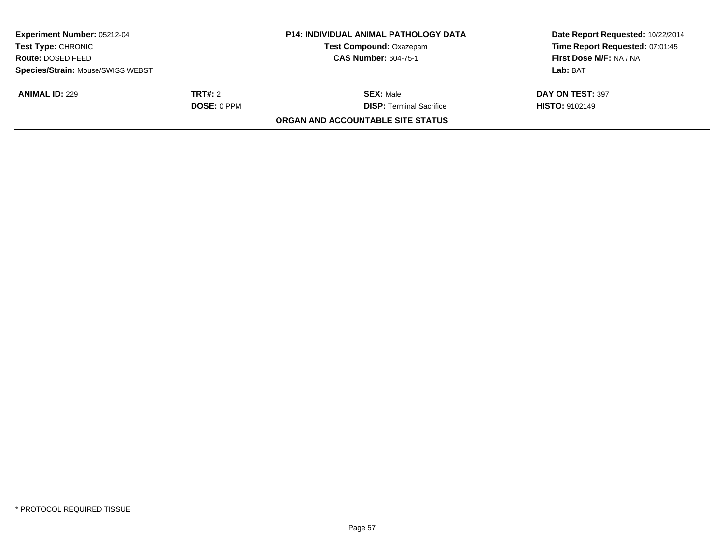| Experiment Number: 05212-04       |                    | <b>P14: INDIVIDUAL ANIMAL PATHOLOGY DATA</b> | Date Report Requested: 10/22/2014 |
|-----------------------------------|--------------------|----------------------------------------------|-----------------------------------|
| Test Type: CHRONIC                |                    | Test Compound: Oxazepam                      | Time Report Requested: 07:01:45   |
| Route: DOSED FEED                 |                    | <b>CAS Number: 604-75-1</b>                  | First Dose M/F: NA / NA           |
| Species/Strain: Mouse/SWISS WEBST |                    |                                              | Lab: BAT                          |
| <b>ANIMAL ID: 229</b>             | <b>TRT#: 2</b>     | <b>SEX: Male</b>                             | DAY ON TEST: 397                  |
|                                   | <b>DOSE: 0 PPM</b> | <b>DISP: Terminal Sacrifice</b>              | <b>HISTO: 9102149</b>             |
|                                   |                    | <b>ORGAN AND ACCOUNTABLE SITE STATUS</b>     |                                   |
|                                   |                    |                                              |                                   |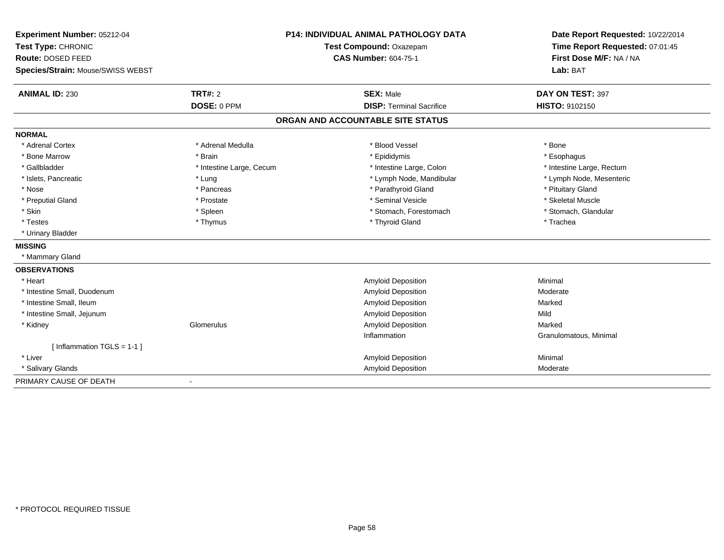| Experiment Number: 05212-04              |                          | <b>P14: INDIVIDUAL ANIMAL PATHOLOGY DATA</b> | Date Report Requested: 10/22/2014 |
|------------------------------------------|--------------------------|----------------------------------------------|-----------------------------------|
| Test Type: CHRONIC                       |                          | Test Compound: Oxazepam                      | Time Report Requested: 07:01:45   |
| Route: DOSED FEED                        |                          | <b>CAS Number: 604-75-1</b>                  | First Dose M/F: NA / NA           |
| <b>Species/Strain: Mouse/SWISS WEBST</b> |                          |                                              | Lab: BAT                          |
| <b>ANIMAL ID: 230</b>                    | TRT#: 2                  | <b>SEX: Male</b>                             | DAY ON TEST: 397                  |
|                                          | DOSE: 0 PPM              | <b>DISP: Terminal Sacrifice</b>              | <b>HISTO: 9102150</b>             |
|                                          |                          | ORGAN AND ACCOUNTABLE SITE STATUS            |                                   |
| <b>NORMAL</b>                            |                          |                                              |                                   |
| * Adrenal Cortex                         | * Adrenal Medulla        | * Blood Vessel                               | * Bone                            |
| * Bone Marrow                            | * Brain                  | * Epididymis                                 | * Esophagus                       |
| * Gallbladder                            | * Intestine Large, Cecum | * Intestine Large, Colon                     | * Intestine Large, Rectum         |
| * Islets, Pancreatic                     | * Lung                   | * Lymph Node, Mandibular                     | * Lymph Node, Mesenteric          |
| * Nose                                   | * Pancreas               | * Parathyroid Gland                          | * Pituitary Gland                 |
| * Preputial Gland                        | * Prostate               | * Seminal Vesicle                            | * Skeletal Muscle                 |
| * Skin                                   | * Spleen                 | * Stomach, Forestomach                       | * Stomach, Glandular              |
| * Testes                                 | * Thymus                 | * Thyroid Gland                              | * Trachea                         |
| * Urinary Bladder                        |                          |                                              |                                   |
| <b>MISSING</b>                           |                          |                                              |                                   |
| * Mammary Gland                          |                          |                                              |                                   |
| <b>OBSERVATIONS</b>                      |                          |                                              |                                   |
| * Heart                                  |                          | <b>Amyloid Deposition</b>                    | Minimal                           |
| * Intestine Small, Duodenum              |                          | Amyloid Deposition                           | Moderate                          |
| * Intestine Small, Ileum                 |                          | <b>Amyloid Deposition</b>                    | Marked                            |
| * Intestine Small, Jejunum               |                          | <b>Amyloid Deposition</b>                    | Mild                              |
| * Kidney                                 | Glomerulus               | <b>Amyloid Deposition</b>                    | Marked                            |
|                                          |                          | Inflammation                                 | Granulomatous, Minimal            |
| [Inflammation TGLS = $1-1$ ]             |                          |                                              |                                   |
| * Liver                                  |                          | <b>Amyloid Deposition</b>                    | Minimal                           |
| * Salivary Glands                        |                          | <b>Amyloid Deposition</b>                    | Moderate                          |
| PRIMARY CAUSE OF DEATH                   | $\blacksquare$           |                                              |                                   |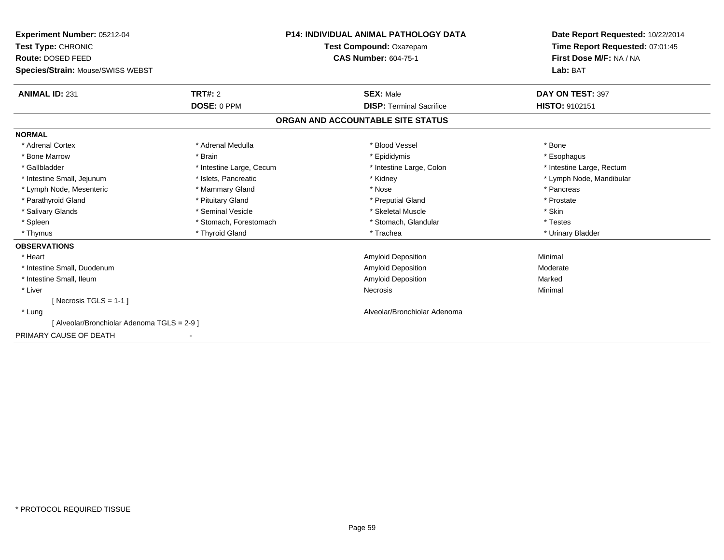| Experiment Number: 05212-04                 |                          | P14: INDIVIDUAL ANIMAL PATHOLOGY DATA | Date Report Requested: 10/22/2014 |
|---------------------------------------------|--------------------------|---------------------------------------|-----------------------------------|
| Test Type: CHRONIC                          |                          | Test Compound: Oxazepam               | Time Report Requested: 07:01:45   |
| Route: DOSED FEED                           |                          | <b>CAS Number: 604-75-1</b>           | First Dose M/F: NA / NA           |
| Species/Strain: Mouse/SWISS WEBST           |                          |                                       | Lab: BAT                          |
| <b>ANIMAL ID: 231</b>                       | TRT#: 2                  | <b>SEX: Male</b>                      | DAY ON TEST: 397                  |
|                                             | DOSE: 0 PPM              | <b>DISP: Terminal Sacrifice</b>       | <b>HISTO: 9102151</b>             |
|                                             |                          | ORGAN AND ACCOUNTABLE SITE STATUS     |                                   |
| <b>NORMAL</b>                               |                          |                                       |                                   |
| * Adrenal Cortex                            | * Adrenal Medulla        | * Blood Vessel                        | * Bone                            |
| * Bone Marrow                               | * Brain                  | * Epididymis                          | * Esophagus                       |
| * Gallbladder                               | * Intestine Large, Cecum | * Intestine Large, Colon              | * Intestine Large, Rectum         |
| * Intestine Small, Jejunum                  | * Islets, Pancreatic     | * Kidney                              | * Lymph Node, Mandibular          |
| * Lymph Node, Mesenteric                    | * Mammary Gland          | * Nose                                | * Pancreas                        |
| * Parathyroid Gland                         | * Pituitary Gland        | * Preputial Gland                     | * Prostate                        |
| * Salivary Glands                           | * Seminal Vesicle        | * Skeletal Muscle                     | * Skin                            |
| * Spleen                                    | * Stomach, Forestomach   | * Stomach, Glandular                  | * Testes                          |
| * Thymus                                    | * Thyroid Gland          | * Trachea                             | * Urinary Bladder                 |
| <b>OBSERVATIONS</b>                         |                          |                                       |                                   |
| * Heart                                     |                          | <b>Amyloid Deposition</b>             | Minimal                           |
| * Intestine Small, Duodenum                 |                          | Amyloid Deposition                    | Moderate                          |
| * Intestine Small, Ileum                    |                          | <b>Amyloid Deposition</b>             | Marked                            |
| * Liver                                     |                          | <b>Necrosis</b>                       | Minimal                           |
| [ Necrosis TGLS = $1-1$ ]                   |                          |                                       |                                   |
| * Lung                                      |                          | Alveolar/Bronchiolar Adenoma          |                                   |
| [ Alveolar/Bronchiolar Adenoma TGLS = 2-9 ] |                          |                                       |                                   |
| PRIMARY CAUSE OF DEATH                      |                          |                                       |                                   |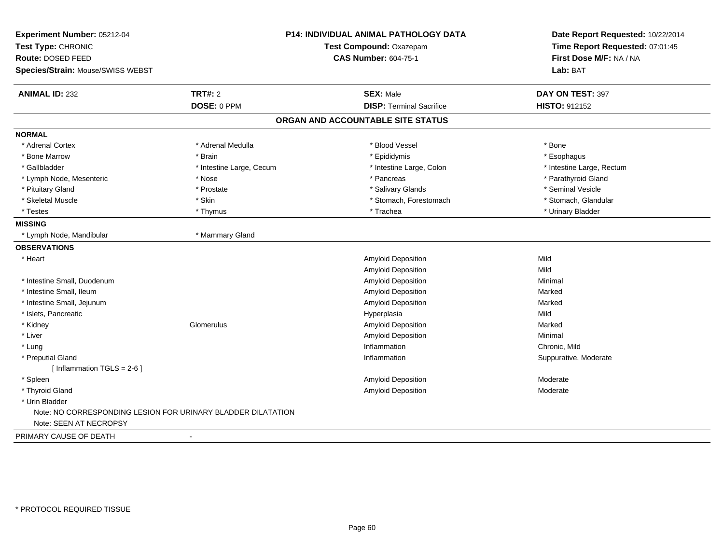| Experiment Number: 05212-04                                  |                          | P14: INDIVIDUAL ANIMAL PATHOLOGY DATA | Date Report Requested: 10/22/2014 |
|--------------------------------------------------------------|--------------------------|---------------------------------------|-----------------------------------|
| Test Type: CHRONIC                                           |                          | Test Compound: Oxazepam               | Time Report Requested: 07:01:45   |
| Route: DOSED FEED                                            |                          | <b>CAS Number: 604-75-1</b>           | First Dose M/F: NA / NA           |
| Species/Strain: Mouse/SWISS WEBST                            |                          |                                       | Lab: BAT                          |
| <b>ANIMAL ID: 232</b>                                        | <b>TRT#: 2</b>           | <b>SEX: Male</b>                      | DAY ON TEST: 397                  |
|                                                              | DOSE: 0 PPM              | <b>DISP: Terminal Sacrifice</b>       | HISTO: 912152                     |
|                                                              |                          | ORGAN AND ACCOUNTABLE SITE STATUS     |                                   |
| <b>NORMAL</b>                                                |                          |                                       |                                   |
| * Adrenal Cortex                                             | * Adrenal Medulla        | * Blood Vessel                        | * Bone                            |
| * Bone Marrow                                                | * Brain                  | * Epididymis                          | * Esophagus                       |
| * Gallbladder                                                | * Intestine Large, Cecum | * Intestine Large, Colon              | * Intestine Large, Rectum         |
| * Lymph Node, Mesenteric                                     | * Nose                   | * Pancreas                            | * Parathyroid Gland               |
| * Pituitary Gland                                            | * Prostate               | * Salivary Glands                     | * Seminal Vesicle                 |
| * Skeletal Muscle                                            | * Skin                   | * Stomach, Forestomach                | * Stomach, Glandular              |
| * Testes                                                     | * Thymus                 | * Trachea                             | * Urinary Bladder                 |
| <b>MISSING</b>                                               |                          |                                       |                                   |
| * Lymph Node, Mandibular                                     | * Mammary Gland          |                                       |                                   |
| <b>OBSERVATIONS</b>                                          |                          |                                       |                                   |
| * Heart                                                      |                          | Amyloid Deposition                    | Mild                              |
|                                                              |                          | Amyloid Deposition                    | Mild                              |
| * Intestine Small, Duodenum                                  |                          | Amyloid Deposition                    | Minimal                           |
| * Intestine Small, Ileum                                     |                          | Amyloid Deposition                    | Marked                            |
| * Intestine Small, Jejunum                                   |                          | Amyloid Deposition                    | Marked                            |
| * Islets, Pancreatic                                         |                          | Hyperplasia                           | Mild                              |
| * Kidney                                                     | Glomerulus               | Amyloid Deposition                    | Marked                            |
| * Liver                                                      |                          | <b>Amyloid Deposition</b>             | Minimal                           |
| * Lung                                                       |                          | Inflammation                          | Chronic, Mild                     |
| * Preputial Gland                                            |                          | Inflammation                          | Suppurative, Moderate             |
| [ Inflammation $TGLS = 2-6$ ]                                |                          |                                       |                                   |
| * Spleen                                                     |                          | Amyloid Deposition                    | Moderate                          |
| * Thyroid Gland                                              |                          | Amyloid Deposition                    | Moderate                          |
| * Urin Bladder                                               |                          |                                       |                                   |
| Note: NO CORRESPONDING LESION FOR URINARY BLADDER DILATATION |                          |                                       |                                   |
| Note: SEEN AT NECROPSY                                       |                          |                                       |                                   |
| PRIMARY CAUSE OF DEATH                                       |                          |                                       |                                   |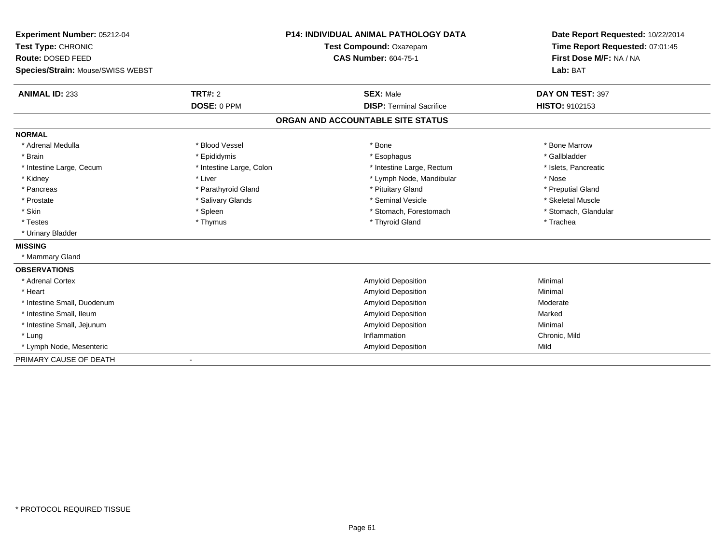| Experiment Number: 05212-04       |                          | <b>P14: INDIVIDUAL ANIMAL PATHOLOGY DATA</b> | Date Report Requested: 10/22/2014 |
|-----------------------------------|--------------------------|----------------------------------------------|-----------------------------------|
| Test Type: CHRONIC                |                          | Test Compound: Oxazepam                      | Time Report Requested: 07:01:45   |
| Route: DOSED FEED                 |                          | <b>CAS Number: 604-75-1</b>                  | First Dose M/F: NA / NA           |
| Species/Strain: Mouse/SWISS WEBST |                          |                                              | Lab: BAT                          |
| <b>ANIMAL ID: 233</b>             | <b>TRT#: 2</b>           | <b>SEX: Male</b>                             | DAY ON TEST: 397                  |
|                                   | DOSE: 0 PPM              | <b>DISP: Terminal Sacrifice</b>              | HISTO: 9102153                    |
|                                   |                          | ORGAN AND ACCOUNTABLE SITE STATUS            |                                   |
| <b>NORMAL</b>                     |                          |                                              |                                   |
| * Adrenal Medulla                 | * Blood Vessel           | * Bone                                       | * Bone Marrow                     |
| * Brain                           | * Epididymis             | * Esophagus                                  | * Gallbladder                     |
| * Intestine Large, Cecum          | * Intestine Large, Colon | * Intestine Large, Rectum                    | * Islets, Pancreatic              |
| * Kidney                          | * Liver                  | * Lymph Node, Mandibular                     | * Nose                            |
| * Pancreas                        | * Parathyroid Gland      | * Pituitary Gland                            | * Preputial Gland                 |
| * Prostate                        | * Salivary Glands        | * Seminal Vesicle                            | * Skeletal Muscle                 |
| * Skin                            | * Spleen                 | * Stomach, Forestomach                       | * Stomach, Glandular              |
| * Testes                          | * Thymus                 | * Thyroid Gland                              | * Trachea                         |
| * Urinary Bladder                 |                          |                                              |                                   |
| <b>MISSING</b>                    |                          |                                              |                                   |
| * Mammary Gland                   |                          |                                              |                                   |
| <b>OBSERVATIONS</b>               |                          |                                              |                                   |
| * Adrenal Cortex                  |                          | Amyloid Deposition                           | Minimal                           |
| * Heart                           |                          | <b>Amyloid Deposition</b>                    | Minimal                           |
| * Intestine Small, Duodenum       |                          | <b>Amyloid Deposition</b>                    | Moderate                          |
| * Intestine Small, Ileum          |                          | <b>Amyloid Deposition</b>                    | Marked                            |
| * Intestine Small, Jejunum        |                          | <b>Amyloid Deposition</b>                    | Minimal                           |
| * Lung                            |                          | Inflammation                                 | Chronic, Mild                     |
| * Lymph Node, Mesenteric          |                          | <b>Amyloid Deposition</b>                    | Mild                              |
| PRIMARY CAUSE OF DEATH            | $\blacksquare$           |                                              |                                   |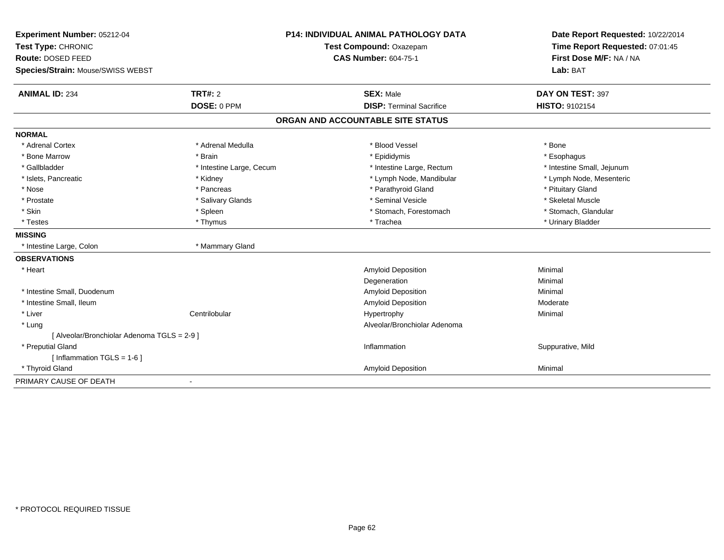| Experiment Number: 05212-04<br>Test Type: CHRONIC |                          | P14: INDIVIDUAL ANIMAL PATHOLOGY DATA<br>Test Compound: Oxazepam | Date Report Requested: 10/22/2014<br>Time Report Requested: 07:01:45 |
|---------------------------------------------------|--------------------------|------------------------------------------------------------------|----------------------------------------------------------------------|
| Route: DOSED FEED                                 |                          | <b>CAS Number: 604-75-1</b>                                      | First Dose M/F: NA / NA                                              |
| Species/Strain: Mouse/SWISS WEBST                 |                          |                                                                  | Lab: BAT                                                             |
| <b>ANIMAL ID: 234</b>                             | <b>TRT#: 2</b>           | <b>SEX: Male</b>                                                 | DAY ON TEST: 397                                                     |
|                                                   | DOSE: 0 PPM              | <b>DISP: Terminal Sacrifice</b>                                  | HISTO: 9102154                                                       |
|                                                   |                          | ORGAN AND ACCOUNTABLE SITE STATUS                                |                                                                      |
| <b>NORMAL</b>                                     |                          |                                                                  |                                                                      |
| * Adrenal Cortex                                  | * Adrenal Medulla        | * Blood Vessel                                                   | * Bone                                                               |
| * Bone Marrow                                     | * Brain                  | * Epididymis                                                     | * Esophagus                                                          |
| * Gallbladder                                     | * Intestine Large, Cecum | * Intestine Large, Rectum                                        | * Intestine Small, Jejunum                                           |
| * Islets, Pancreatic                              | * Kidney                 | * Lymph Node, Mandibular                                         | * Lymph Node, Mesenteric                                             |
| * Nose                                            | * Pancreas               | * Parathyroid Gland                                              | * Pituitary Gland                                                    |
| * Prostate                                        | * Salivary Glands        | * Seminal Vesicle                                                | * Skeletal Muscle                                                    |
| * Skin                                            | * Spleen                 | * Stomach, Forestomach                                           | * Stomach, Glandular                                                 |
| * Testes                                          | * Thymus                 | * Trachea                                                        | * Urinary Bladder                                                    |
| <b>MISSING</b>                                    |                          |                                                                  |                                                                      |
| * Intestine Large, Colon                          | * Mammary Gland          |                                                                  |                                                                      |
| <b>OBSERVATIONS</b>                               |                          |                                                                  |                                                                      |
| * Heart                                           |                          | Amyloid Deposition                                               | Minimal                                                              |
|                                                   |                          | Degeneration                                                     | Minimal                                                              |
| * Intestine Small, Duodenum                       |                          | Amyloid Deposition                                               | Minimal                                                              |
| * Intestine Small, Ileum                          |                          | <b>Amyloid Deposition</b>                                        | Moderate                                                             |
| * Liver                                           | Centrilobular            | Hypertrophy                                                      | Minimal                                                              |
| * Lung                                            |                          | Alveolar/Bronchiolar Adenoma                                     |                                                                      |
| [ Alveolar/Bronchiolar Adenoma TGLS = 2-9 ]       |                          |                                                                  |                                                                      |
| * Preputial Gland                                 |                          | Inflammation                                                     | Suppurative, Mild                                                    |
| [ Inflammation $TGLS = 1-6$ ]                     |                          |                                                                  |                                                                      |
| * Thyroid Gland                                   |                          | Amyloid Deposition                                               | Minimal                                                              |
| PRIMARY CAUSE OF DEATH                            |                          |                                                                  |                                                                      |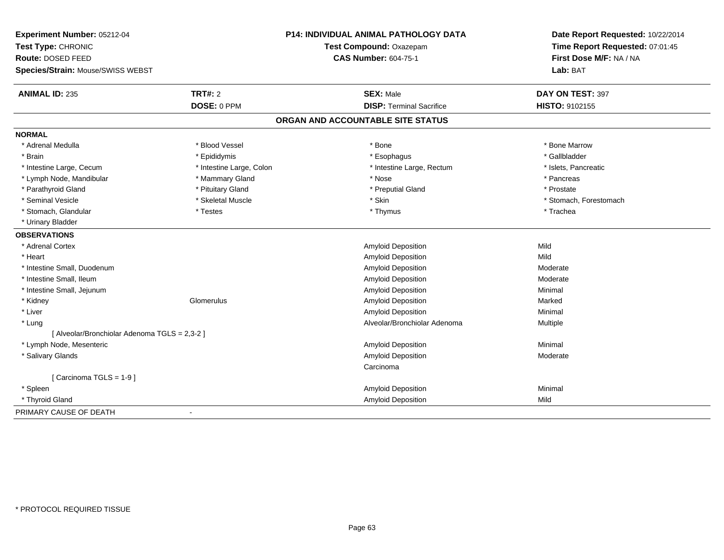| Experiment Number: 05212-04                   |                          | <b>P14: INDIVIDUAL ANIMAL PATHOLOGY DATA</b> | Date Report Requested: 10/22/2014 |
|-----------------------------------------------|--------------------------|----------------------------------------------|-----------------------------------|
| Test Type: CHRONIC                            |                          | Test Compound: Oxazepam                      | Time Report Requested: 07:01:45   |
| Route: DOSED FEED                             |                          | <b>CAS Number: 604-75-1</b>                  | First Dose M/F: NA / NA           |
| Species/Strain: Mouse/SWISS WEBST             |                          |                                              | Lab: BAT                          |
| <b>ANIMAL ID: 235</b>                         | <b>TRT#: 2</b>           | <b>SEX: Male</b>                             | DAY ON TEST: 397                  |
|                                               | DOSE: 0 PPM              | <b>DISP: Terminal Sacrifice</b>              | HISTO: 9102155                    |
|                                               |                          | ORGAN AND ACCOUNTABLE SITE STATUS            |                                   |
| <b>NORMAL</b>                                 |                          |                                              |                                   |
| * Adrenal Medulla                             | * Blood Vessel           | * Bone                                       | * Bone Marrow                     |
| * Brain                                       | * Epididymis             | * Esophagus                                  | * Gallbladder                     |
| * Intestine Large, Cecum                      | * Intestine Large, Colon | * Intestine Large, Rectum                    | * Islets, Pancreatic              |
| * Lymph Node, Mandibular                      | * Mammary Gland          | * Nose                                       | * Pancreas                        |
| * Parathyroid Gland                           | * Pituitary Gland        | * Preputial Gland                            | * Prostate                        |
| * Seminal Vesicle                             | * Skeletal Muscle        | * Skin                                       | * Stomach, Forestomach            |
| * Stomach, Glandular                          | * Testes                 | * Thymus                                     | * Trachea                         |
| * Urinary Bladder                             |                          |                                              |                                   |
| <b>OBSERVATIONS</b>                           |                          |                                              |                                   |
| * Adrenal Cortex                              |                          | <b>Amyloid Deposition</b>                    | Mild                              |
| * Heart                                       |                          | <b>Amyloid Deposition</b>                    | Mild                              |
| * Intestine Small, Duodenum                   |                          | Amyloid Deposition                           | Moderate                          |
| * Intestine Small, Ileum                      |                          | <b>Amyloid Deposition</b>                    | Moderate                          |
| * Intestine Small, Jejunum                    |                          | Amyloid Deposition                           | Minimal                           |
| * Kidney                                      | Glomerulus               | Amyloid Deposition                           | Marked                            |
| * Liver                                       |                          | <b>Amyloid Deposition</b>                    | Minimal                           |
| * Lung                                        |                          | Alveolar/Bronchiolar Adenoma                 | Multiple                          |
| [ Alveolar/Bronchiolar Adenoma TGLS = 2,3-2 ] |                          |                                              |                                   |
| * Lymph Node, Mesenteric                      |                          | <b>Amyloid Deposition</b>                    | Minimal                           |
| * Salivary Glands                             |                          | <b>Amyloid Deposition</b>                    | Moderate                          |
|                                               |                          | Carcinoma                                    |                                   |
| [ Carcinoma TGLS = 1-9 ]                      |                          |                                              |                                   |
| * Spleen                                      |                          | Amyloid Deposition                           | Minimal                           |
| * Thyroid Gland                               |                          | Amyloid Deposition                           | Mild                              |
| PRIMARY CAUSE OF DEATH                        |                          |                                              |                                   |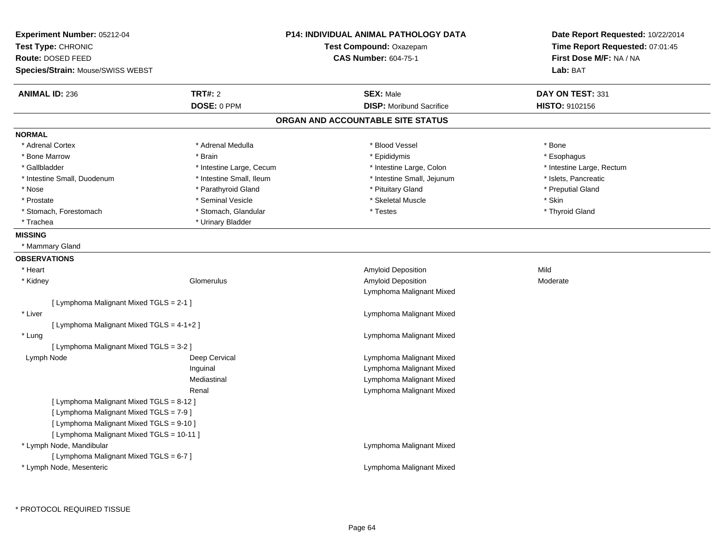| Experiment Number: 05212-04<br>Test Type: CHRONIC<br><b>Route: DOSED FEED</b> | <b>P14: INDIVIDUAL ANIMAL PATHOLOGY DATA</b><br>Test Compound: Oxazepam<br><b>CAS Number: 604-75-1</b> | Date Report Requested: 10/22/2014<br>Time Report Requested: 07:01:45<br>First Dose M/F: NA / NA |
|-------------------------------------------------------------------------------|--------------------------------------------------------------------------------------------------------|-------------------------------------------------------------------------------------------------|
| Species/Strain: Mouse/SWISS WEBST                                             |                                                                                                        | Lab: BAT                                                                                        |
| <b>TRT#: 2</b><br><b>ANIMAL ID: 236</b>                                       | <b>SEX: Male</b>                                                                                       | DAY ON TEST: 331                                                                                |
| DOSE: 0 PPM                                                                   | <b>DISP:</b> Moribund Sacrifice                                                                        | <b>HISTO: 9102156</b>                                                                           |
|                                                                               | ORGAN AND ACCOUNTABLE SITE STATUS                                                                      |                                                                                                 |
| <b>NORMAL</b>                                                                 |                                                                                                        |                                                                                                 |
| * Adrenal Cortex<br>* Adrenal Medulla                                         | * Blood Vessel                                                                                         | * Bone                                                                                          |
| * Bone Marrow<br>* Brain                                                      | * Epididymis                                                                                           | * Esophagus                                                                                     |
| * Gallbladder<br>* Intestine Large, Cecum                                     | * Intestine Large, Colon                                                                               | * Intestine Large, Rectum                                                                       |
| * Intestine Small, Duodenum<br>* Intestine Small, Ileum                       | * Intestine Small, Jejunum                                                                             | * Islets, Pancreatic                                                                            |
| * Nose<br>* Parathyroid Gland                                                 | * Pituitary Gland                                                                                      | * Preputial Gland                                                                               |
| * Seminal Vesicle<br>* Prostate                                               | * Skeletal Muscle                                                                                      | * Skin                                                                                          |
| * Stomach, Glandular<br>* Stomach, Forestomach                                | * Testes                                                                                               | * Thyroid Gland                                                                                 |
| * Trachea<br>* Urinary Bladder                                                |                                                                                                        |                                                                                                 |
| <b>MISSING</b>                                                                |                                                                                                        |                                                                                                 |
| * Mammary Gland                                                               |                                                                                                        |                                                                                                 |
| <b>OBSERVATIONS</b>                                                           |                                                                                                        |                                                                                                 |
| * Heart                                                                       | Amyloid Deposition                                                                                     | Mild                                                                                            |
| * Kidney<br>Glomerulus                                                        | Amyloid Deposition                                                                                     | Moderate                                                                                        |
|                                                                               | Lymphoma Malignant Mixed                                                                               |                                                                                                 |
| [ Lymphoma Malignant Mixed TGLS = 2-1 ]                                       |                                                                                                        |                                                                                                 |
| * Liver                                                                       | Lymphoma Malignant Mixed                                                                               |                                                                                                 |
| [ Lymphoma Malignant Mixed TGLS = 4-1+2 ]                                     |                                                                                                        |                                                                                                 |
| * Lung                                                                        | Lymphoma Malignant Mixed                                                                               |                                                                                                 |
| [ Lymphoma Malignant Mixed TGLS = 3-2 ]                                       |                                                                                                        |                                                                                                 |
| Deep Cervical<br>Lymph Node                                                   | Lymphoma Malignant Mixed                                                                               |                                                                                                 |
| Inguinal                                                                      | Lymphoma Malignant Mixed                                                                               |                                                                                                 |
| Mediastinal                                                                   | Lymphoma Malignant Mixed                                                                               |                                                                                                 |
| Renal                                                                         | Lymphoma Malignant Mixed                                                                               |                                                                                                 |
| [ Lymphoma Malignant Mixed TGLS = 8-12 ]                                      |                                                                                                        |                                                                                                 |
| [ Lymphoma Malignant Mixed TGLS = 7-9 ]                                       |                                                                                                        |                                                                                                 |
| [ Lymphoma Malignant Mixed TGLS = 9-10 ]                                      |                                                                                                        |                                                                                                 |
| [ Lymphoma Malignant Mixed TGLS = 10-11 ]                                     |                                                                                                        |                                                                                                 |
| * Lymph Node, Mandibular                                                      | Lymphoma Malignant Mixed                                                                               |                                                                                                 |
| [ Lymphoma Malignant Mixed TGLS = 6-7 ]                                       |                                                                                                        |                                                                                                 |
| * Lymph Node, Mesenteric                                                      | Lymphoma Malignant Mixed                                                                               |                                                                                                 |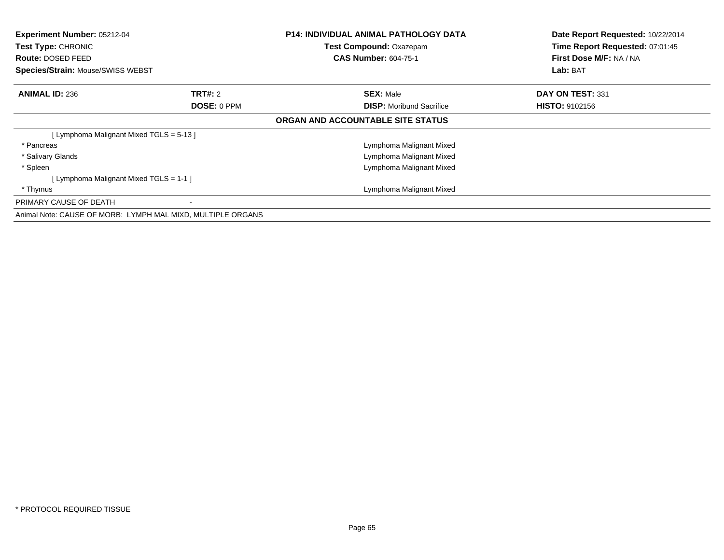| <b>Experiment Number: 05212-04</b><br>Test Type: CHRONIC<br><b>Route: DOSED FEED</b><br>Species/Strain: Mouse/SWISS WEBST |                | <b>P14: INDIVIDUAL ANIMAL PATHOLOGY DATA</b><br>Test Compound: Oxazepam<br><b>CAS Number: 604-75-1</b> | Date Report Requested: 10/22/2014<br>Time Report Requested: 07:01:45<br>First Dose M/F: NA / NA<br>Lab: BAT |
|---------------------------------------------------------------------------------------------------------------------------|----------------|--------------------------------------------------------------------------------------------------------|-------------------------------------------------------------------------------------------------------------|
| <b>ANIMAL ID: 236</b>                                                                                                     | <b>TRT#: 2</b> | <b>SEX: Male</b>                                                                                       | DAY ON TEST: 331                                                                                            |
|                                                                                                                           | DOSE: 0 PPM    | <b>DISP:</b> Moribund Sacrifice                                                                        | <b>HISTO: 9102156</b>                                                                                       |
|                                                                                                                           |                | ORGAN AND ACCOUNTABLE SITE STATUS                                                                      |                                                                                                             |
| [Lymphoma Malignant Mixed TGLS = 5-13]                                                                                    |                |                                                                                                        |                                                                                                             |
| * Pancreas                                                                                                                |                | Lymphoma Malignant Mixed                                                                               |                                                                                                             |
| * Salivary Glands                                                                                                         |                | Lymphoma Malignant Mixed                                                                               |                                                                                                             |
| * Spleen                                                                                                                  |                | Lymphoma Malignant Mixed                                                                               |                                                                                                             |
| [ Lymphoma Malignant Mixed TGLS = 1-1 ]                                                                                   |                |                                                                                                        |                                                                                                             |
| * Thymus                                                                                                                  |                | Lymphoma Malignant Mixed                                                                               |                                                                                                             |
| PRIMARY CAUSE OF DEATH                                                                                                    |                |                                                                                                        |                                                                                                             |
| Animal Note: CAUSE OF MORB: LYMPH MAL MIXD, MULTIPLE ORGANS                                                               |                |                                                                                                        |                                                                                                             |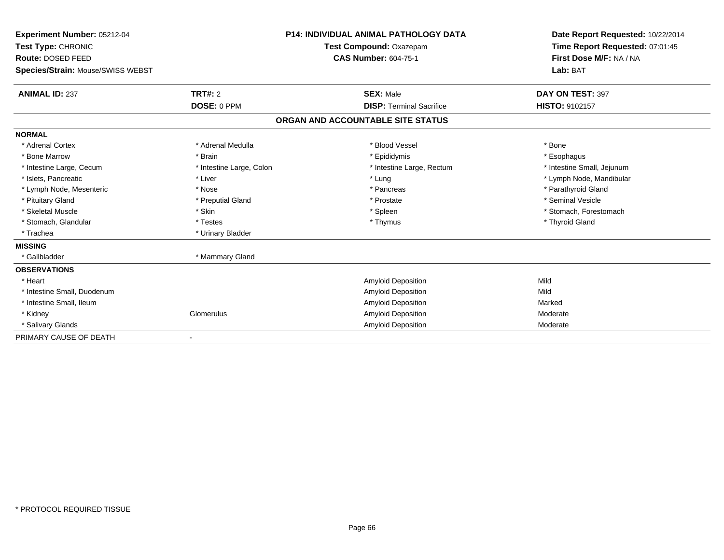| Experiment Number: 05212-04<br>Test Type: CHRONIC |                          | <b>P14: INDIVIDUAL ANIMAL PATHOLOGY DATA</b><br>Test Compound: Oxazepam | Date Report Requested: 10/22/2014<br>Time Report Requested: 07:01:45 |
|---------------------------------------------------|--------------------------|-------------------------------------------------------------------------|----------------------------------------------------------------------|
| Route: DOSED FEED                                 |                          | <b>CAS Number: 604-75-1</b>                                             | First Dose M/F: NA / NA                                              |
| Species/Strain: Mouse/SWISS WEBST                 |                          |                                                                         | Lab: BAT                                                             |
| <b>ANIMAL ID: 237</b>                             | <b>TRT#: 2</b>           | <b>SEX: Male</b>                                                        | DAY ON TEST: 397                                                     |
|                                                   | DOSE: 0 PPM              | <b>DISP: Terminal Sacrifice</b>                                         | HISTO: 9102157                                                       |
|                                                   |                          | ORGAN AND ACCOUNTABLE SITE STATUS                                       |                                                                      |
| <b>NORMAL</b>                                     |                          |                                                                         |                                                                      |
| * Adrenal Cortex                                  | * Adrenal Medulla        | * Blood Vessel                                                          | * Bone                                                               |
| * Bone Marrow                                     | * Brain                  | * Epididymis                                                            | * Esophagus                                                          |
| * Intestine Large, Cecum                          | * Intestine Large, Colon | * Intestine Large, Rectum                                               | * Intestine Small, Jejunum                                           |
| * Islets. Pancreatic                              | * Liver                  | * Lung                                                                  | * Lymph Node, Mandibular                                             |
| * Lymph Node, Mesenteric                          | * Nose                   | * Pancreas                                                              | * Parathyroid Gland                                                  |
| * Pituitary Gland                                 | * Preputial Gland        | * Prostate                                                              | * Seminal Vesicle                                                    |
| * Skeletal Muscle                                 | * Skin                   | * Spleen                                                                | * Stomach, Forestomach                                               |
| * Stomach, Glandular                              | * Testes                 | * Thymus                                                                | * Thyroid Gland                                                      |
| * Trachea                                         | * Urinary Bladder        |                                                                         |                                                                      |
| <b>MISSING</b>                                    |                          |                                                                         |                                                                      |
| * Gallbladder                                     | * Mammary Gland          |                                                                         |                                                                      |
| <b>OBSERVATIONS</b>                               |                          |                                                                         |                                                                      |
| * Heart                                           |                          | <b>Amyloid Deposition</b>                                               | Mild                                                                 |
| * Intestine Small, Duodenum                       |                          | <b>Amyloid Deposition</b>                                               | Mild                                                                 |
| * Intestine Small, Ileum                          |                          | <b>Amyloid Deposition</b>                                               | Marked                                                               |
| * Kidney                                          | Glomerulus               | <b>Amyloid Deposition</b>                                               | Moderate                                                             |
| * Salivary Glands                                 |                          | Amyloid Deposition                                                      | Moderate                                                             |
| PRIMARY CAUSE OF DEATH                            |                          |                                                                         |                                                                      |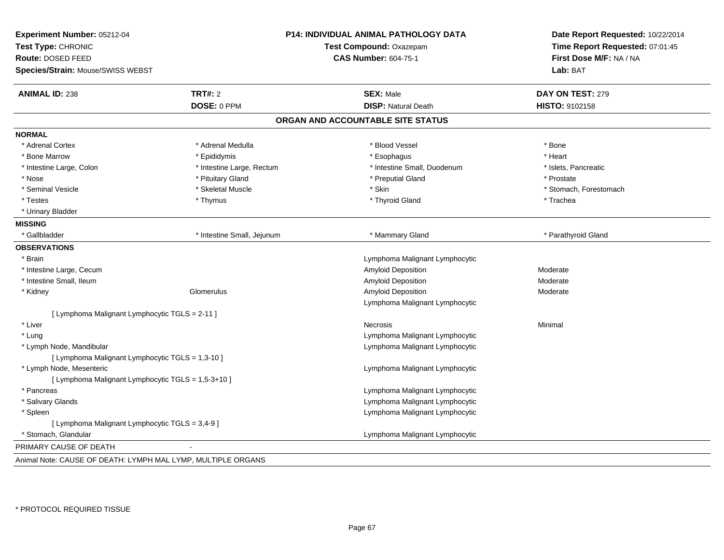| Experiment Number: 05212-04<br>Test Type: CHRONIC<br>Route: DOSED FEED<br>Species/Strain: Mouse/SWISS WEBST |                            | P14: INDIVIDUAL ANIMAL PATHOLOGY DATA<br>Test Compound: Oxazepam<br><b>CAS Number: 604-75-1</b> | Date Report Requested: 10/22/2014<br>Time Report Requested: 07:01:45<br>First Dose M/F: NA / NA<br>Lab: BAT |
|-------------------------------------------------------------------------------------------------------------|----------------------------|-------------------------------------------------------------------------------------------------|-------------------------------------------------------------------------------------------------------------|
| <b>ANIMAL ID: 238</b>                                                                                       | <b>TRT#: 2</b>             | <b>SEX: Male</b>                                                                                | DAY ON TEST: 279                                                                                            |
|                                                                                                             | DOSE: 0 PPM                | <b>DISP: Natural Death</b>                                                                      | HISTO: 9102158                                                                                              |
|                                                                                                             |                            | ORGAN AND ACCOUNTABLE SITE STATUS                                                               |                                                                                                             |
| <b>NORMAL</b>                                                                                               |                            |                                                                                                 |                                                                                                             |
| * Adrenal Cortex                                                                                            | * Adrenal Medulla          | * Blood Vessel                                                                                  | * Bone                                                                                                      |
| * Bone Marrow                                                                                               | * Epididymis               | * Esophagus                                                                                     | * Heart                                                                                                     |
| * Intestine Large, Colon                                                                                    | * Intestine Large, Rectum  | * Intestine Small, Duodenum                                                                     | * Islets, Pancreatic                                                                                        |
| * Nose                                                                                                      | * Pituitary Gland          | * Preputial Gland                                                                               | * Prostate                                                                                                  |
| * Seminal Vesicle                                                                                           | * Skeletal Muscle          | * Skin                                                                                          | * Stomach, Forestomach                                                                                      |
| * Testes                                                                                                    | * Thymus                   | * Thyroid Gland                                                                                 | * Trachea                                                                                                   |
| * Urinary Bladder                                                                                           |                            |                                                                                                 |                                                                                                             |
| <b>MISSING</b>                                                                                              |                            |                                                                                                 |                                                                                                             |
| * Gallbladder                                                                                               | * Intestine Small, Jejunum | * Mammary Gland                                                                                 | * Parathyroid Gland                                                                                         |
| <b>OBSERVATIONS</b>                                                                                         |                            |                                                                                                 |                                                                                                             |
| * Brain                                                                                                     |                            | Lymphoma Malignant Lymphocytic                                                                  |                                                                                                             |
| * Intestine Large, Cecum                                                                                    |                            | <b>Amyloid Deposition</b>                                                                       | Moderate                                                                                                    |
| * Intestine Small. Ileum                                                                                    |                            | Amyloid Deposition                                                                              | Moderate                                                                                                    |
| * Kidney                                                                                                    | Glomerulus                 | Amyloid Deposition                                                                              | Moderate                                                                                                    |
|                                                                                                             |                            | Lymphoma Malignant Lymphocytic                                                                  |                                                                                                             |
| [ Lymphoma Malignant Lymphocytic TGLS = 2-11 ]                                                              |                            |                                                                                                 |                                                                                                             |
| * Liver                                                                                                     |                            | Necrosis                                                                                        | Minimal                                                                                                     |
| * Lung                                                                                                      |                            | Lymphoma Malignant Lymphocytic                                                                  |                                                                                                             |
| * Lymph Node, Mandibular                                                                                    |                            | Lymphoma Malignant Lymphocytic                                                                  |                                                                                                             |
| [ Lymphoma Malignant Lymphocytic TGLS = 1,3-10 ]                                                            |                            |                                                                                                 |                                                                                                             |
| * Lymph Node, Mesenteric                                                                                    |                            | Lymphoma Malignant Lymphocytic                                                                  |                                                                                                             |
| [ Lymphoma Malignant Lymphocytic TGLS = 1,5-3+10 ]                                                          |                            |                                                                                                 |                                                                                                             |
| * Pancreas                                                                                                  |                            | Lymphoma Malignant Lymphocytic                                                                  |                                                                                                             |
| * Salivary Glands                                                                                           |                            | Lymphoma Malignant Lymphocytic                                                                  |                                                                                                             |
| * Spleen                                                                                                    |                            | Lymphoma Malignant Lymphocytic                                                                  |                                                                                                             |
| [ Lymphoma Malignant Lymphocytic TGLS = 3,4-9 ]                                                             |                            |                                                                                                 |                                                                                                             |
| * Stomach, Glandular                                                                                        |                            | Lymphoma Malignant Lymphocytic                                                                  |                                                                                                             |
| PRIMARY CAUSE OF DEATH                                                                                      |                            |                                                                                                 |                                                                                                             |
| Animal Note: CAUSE OF DEATH: LYMPH MAL LYMP, MULTIPLE ORGANS                                                |                            |                                                                                                 |                                                                                                             |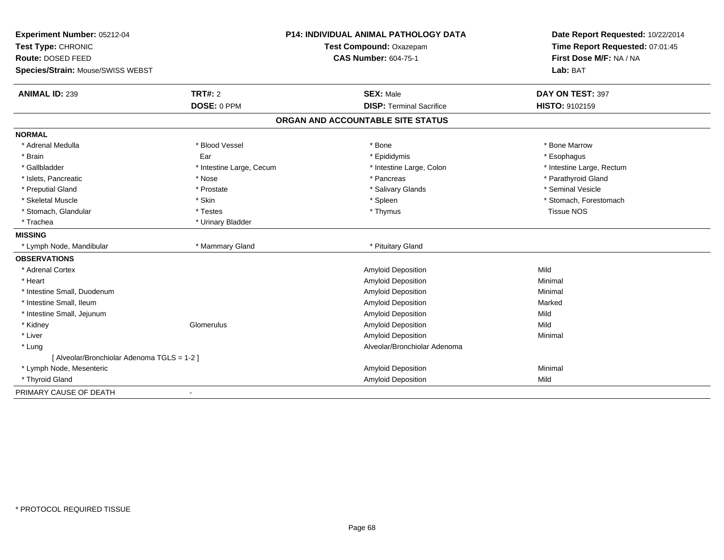| Experiment Number: 05212-04                 |                          | <b>P14: INDIVIDUAL ANIMAL PATHOLOGY DATA</b> | Date Report Requested: 10/22/2014 |
|---------------------------------------------|--------------------------|----------------------------------------------|-----------------------------------|
| Test Type: CHRONIC                          | Test Compound: Oxazepam  |                                              | Time Report Requested: 07:01:45   |
| Route: DOSED FEED                           |                          | <b>CAS Number: 604-75-1</b>                  | First Dose M/F: NA / NA           |
| Species/Strain: Mouse/SWISS WEBST           |                          |                                              | Lab: BAT                          |
| <b>ANIMAL ID: 239</b>                       | TRT#: 2                  | <b>SEX: Male</b>                             | DAY ON TEST: 397                  |
|                                             | DOSE: 0 PPM              | <b>DISP: Terminal Sacrifice</b>              | HISTO: 9102159                    |
|                                             |                          | ORGAN AND ACCOUNTABLE SITE STATUS            |                                   |
| <b>NORMAL</b>                               |                          |                                              |                                   |
| * Adrenal Medulla                           | * Blood Vessel           | * Bone                                       | * Bone Marrow                     |
| * Brain                                     | Ear                      | * Epididymis                                 | * Esophagus                       |
| * Gallbladder                               | * Intestine Large, Cecum | * Intestine Large, Colon                     | * Intestine Large, Rectum         |
| * Islets. Pancreatic                        | * Nose                   | * Pancreas                                   | * Parathyroid Gland               |
| * Preputial Gland                           | * Prostate               | * Salivary Glands                            | * Seminal Vesicle                 |
| * Skeletal Muscle                           | * Skin                   | * Spleen                                     | * Stomach, Forestomach            |
| * Stomach, Glandular                        | * Testes                 | * Thymus                                     | <b>Tissue NOS</b>                 |
| * Trachea                                   | * Urinary Bladder        |                                              |                                   |
| <b>MISSING</b>                              |                          |                                              |                                   |
| * Lymph Node, Mandibular                    | * Mammary Gland          | * Pituitary Gland                            |                                   |
| <b>OBSERVATIONS</b>                         |                          |                                              |                                   |
| * Adrenal Cortex                            |                          | Amyloid Deposition                           | Mild                              |
| * Heart                                     |                          | Amyloid Deposition                           | Minimal                           |
| * Intestine Small, Duodenum                 |                          | Amyloid Deposition                           | Minimal                           |
| * Intestine Small, Ileum                    |                          | Amyloid Deposition                           | Marked                            |
| * Intestine Small, Jejunum                  |                          | Amyloid Deposition                           | Mild                              |
| * Kidney                                    | Glomerulus               | Amyloid Deposition                           | Mild                              |
| * Liver                                     |                          | Amyloid Deposition                           | Minimal                           |
| * Lung                                      |                          | Alveolar/Bronchiolar Adenoma                 |                                   |
| [ Alveolar/Bronchiolar Adenoma TGLS = 1-2 ] |                          |                                              |                                   |
| * Lymph Node, Mesenteric                    |                          | Amyloid Deposition                           | Minimal                           |
| * Thyroid Gland                             |                          | <b>Amyloid Deposition</b>                    | Mild                              |
| PRIMARY CAUSE OF DEATH                      |                          |                                              |                                   |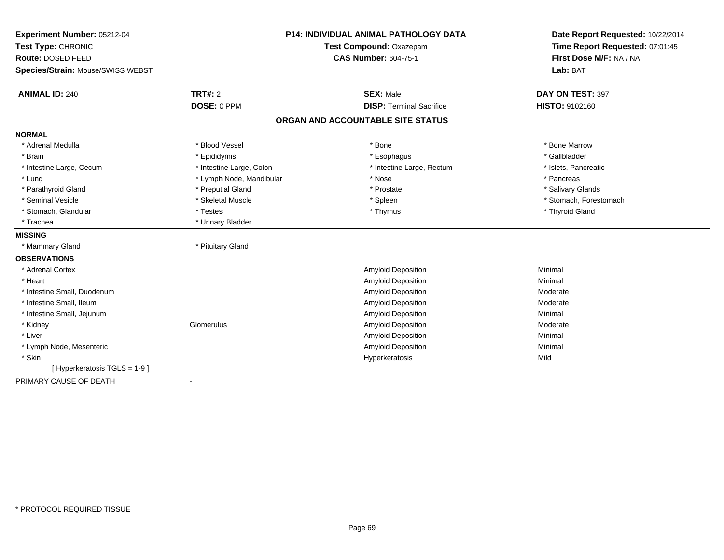| Experiment Number: 05212-04       |                          | <b>P14: INDIVIDUAL ANIMAL PATHOLOGY DATA</b> | Date Report Requested: 10/22/2014 |
|-----------------------------------|--------------------------|----------------------------------------------|-----------------------------------|
| Test Type: CHRONIC                | Test Compound: Oxazepam  |                                              | Time Report Requested: 07:01:45   |
| Route: DOSED FEED                 |                          | <b>CAS Number: 604-75-1</b>                  | First Dose M/F: NA / NA           |
| Species/Strain: Mouse/SWISS WEBST |                          |                                              | Lab: BAT                          |
| <b>ANIMAL ID: 240</b>             | TRT#: 2                  | <b>SEX: Male</b>                             | DAY ON TEST: 397                  |
|                                   | DOSE: 0 PPM              | <b>DISP: Terminal Sacrifice</b>              | HISTO: 9102160                    |
|                                   |                          | ORGAN AND ACCOUNTABLE SITE STATUS            |                                   |
| <b>NORMAL</b>                     |                          |                                              |                                   |
| * Adrenal Medulla                 | * Blood Vessel           | * Bone                                       | * Bone Marrow                     |
| * Brain                           | * Epididymis             | * Esophagus                                  | * Gallbladder                     |
| * Intestine Large, Cecum          | * Intestine Large, Colon | * Intestine Large, Rectum                    | * Islets, Pancreatic              |
| * Lung                            | * Lymph Node, Mandibular | * Nose                                       | * Pancreas                        |
| * Parathyroid Gland               | * Preputial Gland        | * Prostate                                   | * Salivary Glands                 |
| * Seminal Vesicle                 | * Skeletal Muscle        | * Spleen                                     | * Stomach, Forestomach            |
| * Stomach, Glandular              | * Testes                 | * Thymus                                     | * Thyroid Gland                   |
| * Trachea                         | * Urinary Bladder        |                                              |                                   |
| <b>MISSING</b>                    |                          |                                              |                                   |
| * Mammary Gland                   | * Pituitary Gland        |                                              |                                   |
| <b>OBSERVATIONS</b>               |                          |                                              |                                   |
| * Adrenal Cortex                  |                          | <b>Amyloid Deposition</b>                    | Minimal                           |
| * Heart                           |                          | <b>Amyloid Deposition</b>                    | Minimal                           |
| * Intestine Small, Duodenum       |                          | <b>Amyloid Deposition</b>                    | Moderate                          |
| * Intestine Small, Ileum          |                          | <b>Amyloid Deposition</b>                    | Moderate                          |
| * Intestine Small, Jejunum        |                          | <b>Amyloid Deposition</b>                    | Minimal                           |
| * Kidney                          | Glomerulus               | Amyloid Deposition                           | Moderate                          |
| * Liver                           |                          | <b>Amyloid Deposition</b>                    | Minimal                           |
| * Lymph Node, Mesenteric          |                          | <b>Amyloid Deposition</b>                    | Minimal                           |
| * Skin                            |                          | Hyperkeratosis                               | Mild                              |
| [ Hyperkeratosis TGLS = 1-9 ]     |                          |                                              |                                   |
| PRIMARY CAUSE OF DEATH            | $\blacksquare$           |                                              |                                   |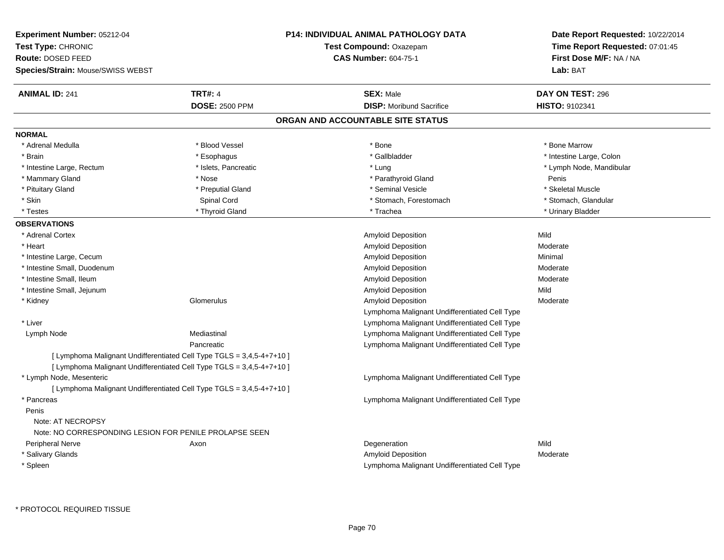| <b>Experiment Number: 05212-04</b><br>Test Type: CHRONIC<br>Route: DOSED FEED<br>Species/Strain: Mouse/SWISS WEBST |                                                                       | <b>P14: INDIVIDUAL ANIMAL PATHOLOGY DATA</b><br>Test Compound: Oxazepam<br><b>CAS Number: 604-75-1</b> | Date Report Requested: 10/22/2014<br>Time Report Requested: 07:01:45<br>First Dose M/F: NA / NA<br>Lab: BAT |
|--------------------------------------------------------------------------------------------------------------------|-----------------------------------------------------------------------|--------------------------------------------------------------------------------------------------------|-------------------------------------------------------------------------------------------------------------|
| <b>ANIMAL ID: 241</b>                                                                                              | <b>TRT#: 4</b>                                                        | <b>SEX: Male</b>                                                                                       | DAY ON TEST: 296                                                                                            |
|                                                                                                                    | <b>DOSE: 2500 PPM</b>                                                 | <b>DISP:</b> Moribund Sacrifice                                                                        | HISTO: 9102341                                                                                              |
|                                                                                                                    |                                                                       | ORGAN AND ACCOUNTABLE SITE STATUS                                                                      |                                                                                                             |
| <b>NORMAL</b>                                                                                                      |                                                                       |                                                                                                        |                                                                                                             |
| * Adrenal Medulla                                                                                                  | * Blood Vessel                                                        | * Bone                                                                                                 | * Bone Marrow                                                                                               |
| * Brain                                                                                                            | * Esophagus                                                           | * Gallbladder                                                                                          | * Intestine Large, Colon                                                                                    |
| * Intestine Large, Rectum                                                                                          | * Islets, Pancreatic                                                  | * Lung                                                                                                 | * Lymph Node, Mandibular                                                                                    |
| * Mammary Gland                                                                                                    | * Nose                                                                | * Parathyroid Gland                                                                                    | Penis                                                                                                       |
| * Pituitary Gland                                                                                                  | * Preputial Gland                                                     | * Seminal Vesicle                                                                                      | * Skeletal Muscle                                                                                           |
| * Skin                                                                                                             | Spinal Cord                                                           | * Stomach, Forestomach                                                                                 | * Stomach, Glandular                                                                                        |
| * Testes                                                                                                           | * Thyroid Gland                                                       | * Trachea                                                                                              | * Urinary Bladder                                                                                           |
| <b>OBSERVATIONS</b>                                                                                                |                                                                       |                                                                                                        |                                                                                                             |
| * Adrenal Cortex                                                                                                   |                                                                       | Amyloid Deposition                                                                                     | Mild                                                                                                        |
| * Heart                                                                                                            |                                                                       | Amyloid Deposition                                                                                     | Moderate                                                                                                    |
| * Intestine Large, Cecum                                                                                           |                                                                       | <b>Amyloid Deposition</b>                                                                              | Minimal                                                                                                     |
| * Intestine Small, Duodenum                                                                                        |                                                                       | Amyloid Deposition                                                                                     | Moderate                                                                                                    |
| * Intestine Small, Ileum                                                                                           |                                                                       | Amyloid Deposition                                                                                     | Moderate                                                                                                    |
| * Intestine Small, Jejunum                                                                                         |                                                                       | Amyloid Deposition                                                                                     | Mild                                                                                                        |
| * Kidney                                                                                                           | Glomerulus                                                            | <b>Amyloid Deposition</b>                                                                              | Moderate                                                                                                    |
|                                                                                                                    |                                                                       | Lymphoma Malignant Undifferentiated Cell Type                                                          |                                                                                                             |
| * Liver                                                                                                            |                                                                       | Lymphoma Malignant Undifferentiated Cell Type                                                          |                                                                                                             |
| Lymph Node                                                                                                         | Mediastinal                                                           | Lymphoma Malignant Undifferentiated Cell Type                                                          |                                                                                                             |
|                                                                                                                    | Pancreatic                                                            | Lymphoma Malignant Undifferentiated Cell Type                                                          |                                                                                                             |
|                                                                                                                    | [ Lymphoma Malignant Undifferentiated Cell Type TGLS = 3,4,5-4+7+10 ] |                                                                                                        |                                                                                                             |
|                                                                                                                    | [ Lymphoma Malignant Undifferentiated Cell Type TGLS = 3,4,5-4+7+10 ] |                                                                                                        |                                                                                                             |
| * Lymph Node, Mesenteric                                                                                           |                                                                       | Lymphoma Malignant Undifferentiated Cell Type                                                          |                                                                                                             |
|                                                                                                                    | [ Lymphoma Malignant Undifferentiated Cell Type TGLS = 3,4,5-4+7+10 ] |                                                                                                        |                                                                                                             |
| * Pancreas                                                                                                         |                                                                       | Lymphoma Malignant Undifferentiated Cell Type                                                          |                                                                                                             |
| Penis                                                                                                              |                                                                       |                                                                                                        |                                                                                                             |
| Note: AT NECROPSY<br>Note: NO CORRESPONDING LESION FOR PENILE PROLAPSE SEEN                                        |                                                                       |                                                                                                        |                                                                                                             |
| Peripheral Nerve                                                                                                   | Axon                                                                  | Degeneration                                                                                           | Mild                                                                                                        |
| * Salivary Glands                                                                                                  |                                                                       | <b>Amyloid Deposition</b>                                                                              | Moderate                                                                                                    |
| * Spleen                                                                                                           |                                                                       | Lymphoma Malignant Undifferentiated Cell Type                                                          |                                                                                                             |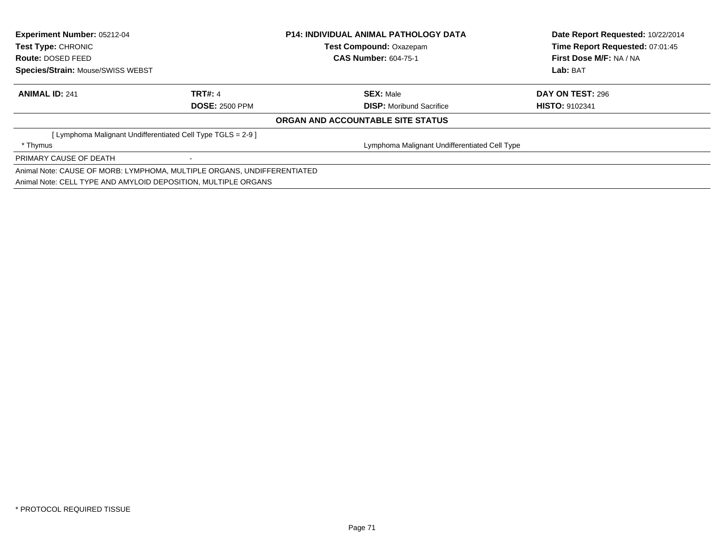| Experiment Number: 05212-04<br><b>Test Type: CHRONIC</b>                |                       | <b>P14: INDIVIDUAL ANIMAL PATHOLOGY DATA</b>  | Date Report Requested: 10/22/2014<br>Time Report Requested: 07:01:45 |
|-------------------------------------------------------------------------|-----------------------|-----------------------------------------------|----------------------------------------------------------------------|
|                                                                         |                       | <b>Test Compound: Oxazepam</b>                |                                                                      |
| Route: DOSED FEED                                                       |                       | <b>CAS Number: 604-75-1</b>                   | First Dose M/F: NA / NA                                              |
| <b>Species/Strain: Mouse/SWISS WEBST</b>                                |                       |                                               | Lab: BAT                                                             |
| <b>ANIMAL ID: 241</b>                                                   | <b>TRT#: 4</b>        | <b>SEX: Male</b>                              | <b>DAY ON TEST: 296</b>                                              |
|                                                                         | <b>DOSE: 2500 PPM</b> | <b>DISP:</b> Moribund Sacrifice               | <b>HISTO: 9102341</b>                                                |
|                                                                         |                       | ORGAN AND ACCOUNTABLE SITE STATUS             |                                                                      |
| [Lymphoma Malignant Undifferentiated Cell Type TGLS = 2-9 ]             |                       |                                               |                                                                      |
| * Thymus                                                                |                       | Lymphoma Malignant Undifferentiated Cell Type |                                                                      |
| PRIMARY CAUSE OF DEATH                                                  |                       |                                               |                                                                      |
| Animal Note: CAUSE OF MORB: LYMPHOMA, MULTIPLE ORGANS, UNDIFFERENTIATED |                       |                                               |                                                                      |
| Animal Note: CELL TYPE AND AMYLOID DEPOSITION, MULTIPLE ORGANS          |                       |                                               |                                                                      |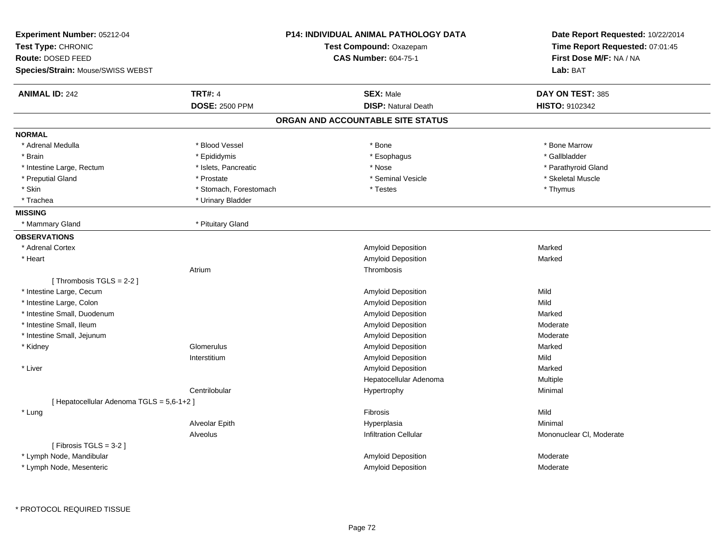| Experiment Number: 05212-04<br>Test Type: CHRONIC<br>Route: DOSED FEED<br>Species/Strain: Mouse/SWISS WEBST |                        | <b>P14: INDIVIDUAL ANIMAL PATHOLOGY DATA</b><br>Test Compound: Oxazepam<br><b>CAS Number: 604-75-1</b> | Date Report Requested: 10/22/2014<br>Time Report Requested: 07:01:45<br>First Dose M/F: NA / NA<br>Lab: BAT |
|-------------------------------------------------------------------------------------------------------------|------------------------|--------------------------------------------------------------------------------------------------------|-------------------------------------------------------------------------------------------------------------|
| <b>ANIMAL ID: 242</b>                                                                                       | <b>TRT#: 4</b>         | <b>SEX: Male</b>                                                                                       | DAY ON TEST: 385                                                                                            |
|                                                                                                             | <b>DOSE: 2500 PPM</b>  | <b>DISP: Natural Death</b>                                                                             | HISTO: 9102342                                                                                              |
|                                                                                                             |                        | ORGAN AND ACCOUNTABLE SITE STATUS                                                                      |                                                                                                             |
| <b>NORMAL</b>                                                                                               |                        |                                                                                                        |                                                                                                             |
| * Adrenal Medulla                                                                                           | * Blood Vessel         | * Bone                                                                                                 | * Bone Marrow                                                                                               |
| * Brain                                                                                                     | * Epididymis           | * Esophagus                                                                                            | * Gallbladder                                                                                               |
| * Intestine Large, Rectum                                                                                   | * Islets, Pancreatic   | * Nose                                                                                                 | * Parathyroid Gland                                                                                         |
| * Preputial Gland                                                                                           | * Prostate             | * Seminal Vesicle                                                                                      | * Skeletal Muscle                                                                                           |
| * Skin                                                                                                      | * Stomach, Forestomach | * Testes                                                                                               | * Thymus                                                                                                    |
| * Trachea                                                                                                   | * Urinary Bladder      |                                                                                                        |                                                                                                             |
| <b>MISSING</b>                                                                                              |                        |                                                                                                        |                                                                                                             |
| * Mammary Gland                                                                                             | * Pituitary Gland      |                                                                                                        |                                                                                                             |
| <b>OBSERVATIONS</b>                                                                                         |                        |                                                                                                        |                                                                                                             |
| * Adrenal Cortex                                                                                            |                        | Amyloid Deposition                                                                                     | Marked                                                                                                      |
| * Heart                                                                                                     |                        | <b>Amyloid Deposition</b>                                                                              | Marked                                                                                                      |
|                                                                                                             | Atrium                 | Thrombosis                                                                                             |                                                                                                             |
| [Thrombosis TGLS = 2-2]                                                                                     |                        |                                                                                                        |                                                                                                             |
| * Intestine Large, Cecum                                                                                    |                        | Amyloid Deposition                                                                                     | Mild                                                                                                        |
| * Intestine Large, Colon                                                                                    |                        | <b>Amyloid Deposition</b>                                                                              | Mild                                                                                                        |
| * Intestine Small, Duodenum                                                                                 |                        | Amyloid Deposition                                                                                     | Marked                                                                                                      |
| * Intestine Small, Ileum                                                                                    |                        | Amyloid Deposition                                                                                     | Moderate                                                                                                    |
| * Intestine Small, Jejunum                                                                                  |                        | Amyloid Deposition                                                                                     | Moderate                                                                                                    |
| * Kidney                                                                                                    | Glomerulus             | <b>Amyloid Deposition</b>                                                                              | Marked                                                                                                      |
|                                                                                                             | Interstitium           | Amyloid Deposition                                                                                     | Mild                                                                                                        |
| * Liver                                                                                                     |                        | Amyloid Deposition                                                                                     | Marked                                                                                                      |
|                                                                                                             |                        | Hepatocellular Adenoma                                                                                 | Multiple                                                                                                    |
|                                                                                                             | Centrilobular          | Hypertrophy                                                                                            | Minimal                                                                                                     |
| [ Hepatocellular Adenoma TGLS = 5,6-1+2 ]                                                                   |                        |                                                                                                        |                                                                                                             |
| * Lung                                                                                                      |                        | Fibrosis                                                                                               | Mild                                                                                                        |
|                                                                                                             | Alveolar Epith         | Hyperplasia                                                                                            | Minimal                                                                                                     |
|                                                                                                             | Alveolus               | <b>Infiltration Cellular</b>                                                                           | Mononuclear CI, Moderate                                                                                    |
| [Fibrosis TGLS = $3-2$ ]                                                                                    |                        |                                                                                                        |                                                                                                             |
| * Lymph Node, Mandibular                                                                                    |                        | Amyloid Deposition                                                                                     | Moderate                                                                                                    |
| * Lymph Node, Mesenteric                                                                                    |                        | Amyloid Deposition                                                                                     | Moderate                                                                                                    |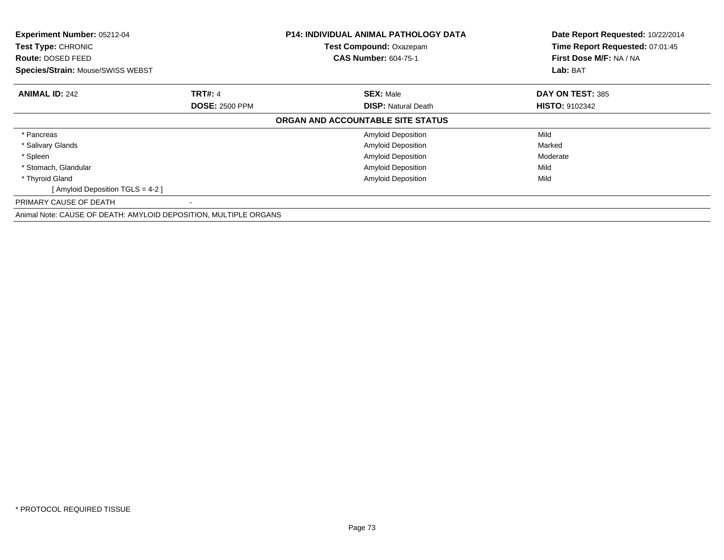| Experiment Number: 05212-04<br><b>Test Type: CHRONIC</b><br><b>Route: DOSED FEED</b><br>Species/Strain: Mouse/SWISS WEBST |                       | <b>P14: INDIVIDUAL ANIMAL PATHOLOGY DATA</b><br>Test Compound: Oxazepam<br><b>CAS Number: 604-75-1</b> | Date Report Requested: 10/22/2014<br>Time Report Requested: 07:01:45<br>First Dose M/F: NA / NA<br>Lab: BAT |
|---------------------------------------------------------------------------------------------------------------------------|-----------------------|--------------------------------------------------------------------------------------------------------|-------------------------------------------------------------------------------------------------------------|
| <b>ANIMAL ID: 242</b>                                                                                                     | <b>TRT#: 4</b>        | <b>SEX: Male</b>                                                                                       | DAY ON TEST: 385                                                                                            |
|                                                                                                                           | <b>DOSE: 2500 PPM</b> | <b>DISP: Natural Death</b>                                                                             | <b>HISTO: 9102342</b>                                                                                       |
|                                                                                                                           |                       | ORGAN AND ACCOUNTABLE SITE STATUS                                                                      |                                                                                                             |
| * Pancreas                                                                                                                |                       | <b>Amyloid Deposition</b>                                                                              | Mild                                                                                                        |
| * Salivary Glands                                                                                                         |                       | <b>Amyloid Deposition</b>                                                                              | Marked                                                                                                      |
| * Spleen                                                                                                                  |                       | <b>Amyloid Deposition</b>                                                                              | Moderate                                                                                                    |
| * Stomach, Glandular                                                                                                      |                       | Amyloid Deposition                                                                                     | Mild                                                                                                        |
| * Thyroid Gland                                                                                                           |                       | <b>Amyloid Deposition</b>                                                                              | Mild                                                                                                        |
| [ Amyloid Deposition TGLS = 4-2 ]                                                                                         |                       |                                                                                                        |                                                                                                             |
| PRIMARY CAUSE OF DEATH                                                                                                    |                       |                                                                                                        |                                                                                                             |
| Animal Note: CAUSE OF DEATH: AMYLOID DEPOSITION, MULTIPLE ORGANS                                                          |                       |                                                                                                        |                                                                                                             |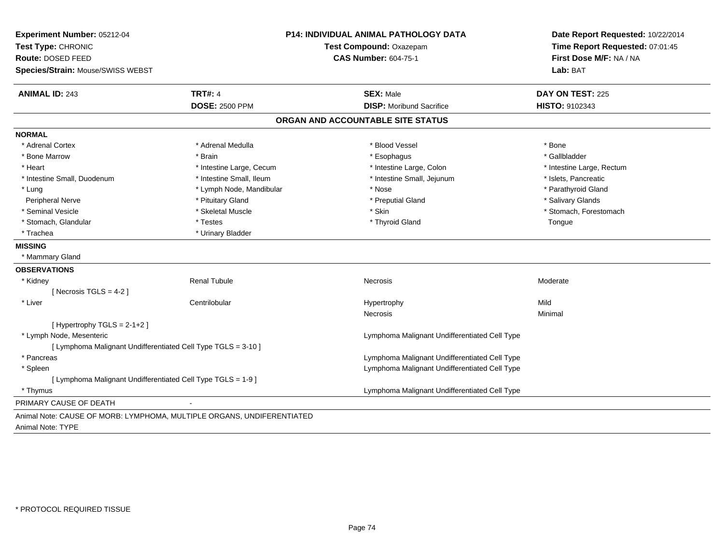| Experiment Number: 05212-04                                            |                          | <b>P14: INDIVIDUAL ANIMAL PATHOLOGY DATA</b>  | Date Report Requested: 10/22/2014 |
|------------------------------------------------------------------------|--------------------------|-----------------------------------------------|-----------------------------------|
| Test Type: CHRONIC                                                     |                          | Test Compound: Oxazepam                       | Time Report Requested: 07:01:45   |
| Route: DOSED FEED                                                      |                          | <b>CAS Number: 604-75-1</b>                   | First Dose M/F: NA / NA           |
| Species/Strain: Mouse/SWISS WEBST                                      |                          |                                               | Lab: BAT                          |
| <b>ANIMAL ID: 243</b>                                                  | <b>TRT#: 4</b>           | <b>SEX: Male</b>                              | DAY ON TEST: 225                  |
|                                                                        | <b>DOSE: 2500 PPM</b>    | <b>DISP:</b> Moribund Sacrifice               | HISTO: 9102343                    |
|                                                                        |                          | ORGAN AND ACCOUNTABLE SITE STATUS             |                                   |
| <b>NORMAL</b>                                                          |                          |                                               |                                   |
| * Adrenal Cortex                                                       | * Adrenal Medulla        | * Blood Vessel                                | * Bone                            |
| * Bone Marrow                                                          | * Brain                  | * Esophagus                                   | * Gallbladder                     |
| * Heart                                                                | * Intestine Large, Cecum | * Intestine Large, Colon                      | * Intestine Large, Rectum         |
| * Intestine Small, Duodenum                                            | * Intestine Small, Ileum | * Intestine Small, Jejunum                    | * Islets, Pancreatic              |
| * Lung                                                                 | * Lymph Node, Mandibular | * Nose                                        | * Parathyroid Gland               |
| Peripheral Nerve                                                       | * Pituitary Gland        | * Preputial Gland                             | * Salivary Glands                 |
| * Seminal Vesicle                                                      | * Skeletal Muscle        | * Skin                                        | * Stomach, Forestomach            |
| * Stomach, Glandular                                                   | * Testes                 | * Thyroid Gland                               | Tongue                            |
| * Trachea                                                              | * Urinary Bladder        |                                               |                                   |
| <b>MISSING</b>                                                         |                          |                                               |                                   |
| * Mammary Gland                                                        |                          |                                               |                                   |
| <b>OBSERVATIONS</b>                                                    |                          |                                               |                                   |
| * Kidney                                                               | <b>Renal Tubule</b>      | Necrosis                                      | Moderate                          |
| [ Necrosis $TGLS = 4-2$ ]                                              |                          |                                               |                                   |
| * Liver                                                                | Centrilobular            | Hypertrophy                                   | Mild                              |
|                                                                        |                          | Necrosis                                      | Minimal                           |
| [Hypertrophy TGLS = $2-1+2$ ]                                          |                          |                                               |                                   |
| * Lymph Node, Mesenteric                                               |                          | Lymphoma Malignant Undifferentiated Cell Type |                                   |
| [ Lymphoma Malignant Undifferentiated Cell Type TGLS = 3-10 ]          |                          |                                               |                                   |
| * Pancreas                                                             |                          | Lymphoma Malignant Undifferentiated Cell Type |                                   |
| * Spleen                                                               |                          | Lymphoma Malignant Undifferentiated Cell Type |                                   |
| [ Lymphoma Malignant Undifferentiated Cell Type TGLS = 1-9 ]           |                          |                                               |                                   |
| * Thymus                                                               |                          | Lymphoma Malignant Undifferentiated Cell Type |                                   |
| PRIMARY CAUSE OF DEATH                                                 |                          |                                               |                                   |
| Animal Note: CAUSE OF MORB: LYMPHOMA, MULTIPLE ORGANS, UNDIFERENTIATED |                          |                                               |                                   |
|                                                                        |                          |                                               |                                   |

Animal Note: TYPE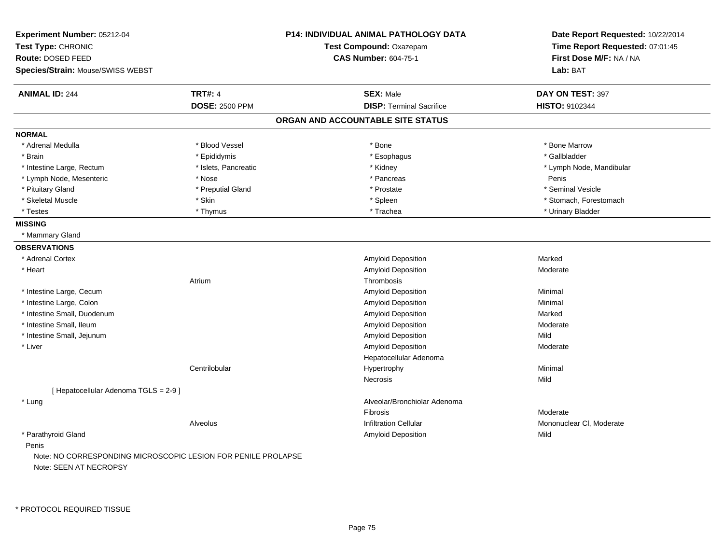| Experiment Number: 05212-04                                                             |                       | <b>P14: INDIVIDUAL ANIMAL PATHOLOGY DATA</b> | Date Report Requested: 10/22/2014 |
|-----------------------------------------------------------------------------------------|-----------------------|----------------------------------------------|-----------------------------------|
| Test Type: CHRONIC                                                                      |                       | Test Compound: Oxazepam                      | Time Report Requested: 07:01:45   |
| Route: DOSED FEED                                                                       |                       | <b>CAS Number: 604-75-1</b>                  | First Dose M/F: NA / NA           |
| Species/Strain: Mouse/SWISS WEBST                                                       |                       |                                              | Lab: BAT                          |
| <b>ANIMAL ID: 244</b>                                                                   | <b>TRT#: 4</b>        | <b>SEX: Male</b>                             | DAY ON TEST: 397                  |
|                                                                                         | <b>DOSE: 2500 PPM</b> | <b>DISP: Terminal Sacrifice</b>              | <b>HISTO: 9102344</b>             |
|                                                                                         |                       | ORGAN AND ACCOUNTABLE SITE STATUS            |                                   |
| <b>NORMAL</b>                                                                           |                       |                                              |                                   |
| * Adrenal Medulla                                                                       | * Blood Vessel        | * Bone                                       | * Bone Marrow                     |
| * Brain                                                                                 | * Epididymis          | * Esophagus                                  | * Gallbladder                     |
| * Intestine Large, Rectum                                                               | * Islets, Pancreatic  | * Kidney                                     | * Lymph Node, Mandibular          |
| * Lymph Node, Mesenteric                                                                | * Nose                | * Pancreas                                   | Penis                             |
| * Pituitary Gland                                                                       | * Preputial Gland     | * Prostate                                   | * Seminal Vesicle                 |
| * Skeletal Muscle                                                                       | * Skin                | * Spleen                                     | * Stomach, Forestomach            |
| * Testes                                                                                | * Thymus              | * Trachea                                    | * Urinary Bladder                 |
| <b>MISSING</b>                                                                          |                       |                                              |                                   |
| * Mammary Gland                                                                         |                       |                                              |                                   |
| <b>OBSERVATIONS</b>                                                                     |                       |                                              |                                   |
| * Adrenal Cortex                                                                        |                       | Amyloid Deposition                           | Marked                            |
| * Heart                                                                                 |                       | Amyloid Deposition                           | Moderate                          |
|                                                                                         | Atrium                | Thrombosis                                   |                                   |
| * Intestine Large, Cecum                                                                |                       | <b>Amyloid Deposition</b>                    | Minimal                           |
| * Intestine Large, Colon                                                                |                       | <b>Amyloid Deposition</b>                    | Minimal                           |
| * Intestine Small, Duodenum                                                             |                       | <b>Amyloid Deposition</b>                    | Marked                            |
| * Intestine Small, Ileum                                                                |                       | Amyloid Deposition                           | Moderate                          |
| * Intestine Small, Jejunum                                                              |                       | Amyloid Deposition                           | Mild                              |
| * Liver                                                                                 |                       | Amyloid Deposition                           | Moderate                          |
|                                                                                         |                       | Hepatocellular Adenoma                       |                                   |
|                                                                                         | Centrilobular         | Hypertrophy                                  | Minimal                           |
|                                                                                         |                       | <b>Necrosis</b>                              | Mild                              |
| [ Hepatocellular Adenoma TGLS = 2-9 ]                                                   |                       |                                              |                                   |
| * Lung                                                                                  |                       | Alveolar/Bronchiolar Adenoma                 |                                   |
|                                                                                         |                       | Fibrosis                                     | Moderate                          |
|                                                                                         | Alveolus              | <b>Infiltration Cellular</b>                 | Mononuclear CI, Moderate          |
| * Parathyroid Gland                                                                     |                       | Amyloid Deposition                           | Mild                              |
| Penis                                                                                   |                       |                                              |                                   |
| Note: NO CORRESPONDING MICROSCOPIC LESION FOR PENILE PROLAPSE<br>Note: SEEN AT NECROPSY |                       |                                              |                                   |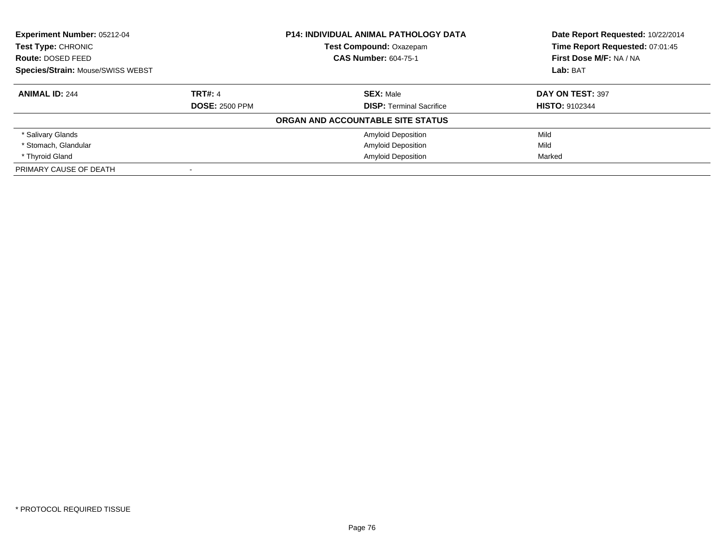| Experiment Number: 05212-04<br>Test Type: CHRONIC |                       | <b>P14: INDIVIDUAL ANIMAL PATHOLOGY DATA</b> | Date Report Requested: 10/22/2014 |
|---------------------------------------------------|-----------------------|----------------------------------------------|-----------------------------------|
|                                                   |                       | <b>Test Compound: Oxazepam</b>               | Time Report Requested: 07:01:45   |
| Route: DOSED FEED                                 |                       | <b>CAS Number: 604-75-1</b>                  | First Dose M/F: NA / NA           |
| <b>Species/Strain: Mouse/SWISS WEBST</b>          |                       |                                              | Lab: BAT                          |
| <b>ANIMAL ID: 244</b>                             | <b>TRT#: 4</b>        | <b>SEX: Male</b>                             | DAY ON TEST: 397                  |
|                                                   | <b>DOSE: 2500 PPM</b> | <b>DISP:</b> Terminal Sacrifice              | <b>HISTO: 9102344</b>             |
|                                                   |                       | ORGAN AND ACCOUNTABLE SITE STATUS            |                                   |
| * Salivary Glands                                 |                       | <b>Amyloid Deposition</b>                    | Mild                              |
| * Stomach, Glandular                              |                       | <b>Amyloid Deposition</b>                    | Mild                              |
| * Thyroid Gland                                   |                       | <b>Amyloid Deposition</b>                    | Marked                            |
| PRIMARY CAUSE OF DEATH                            |                       |                                              |                                   |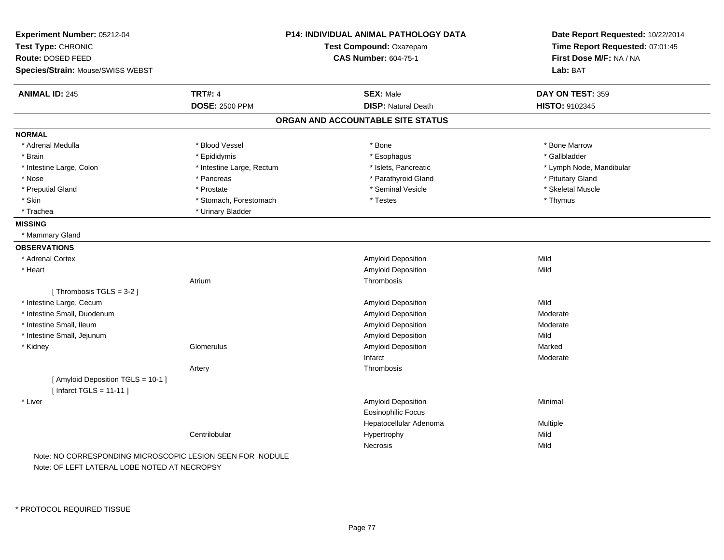| Experiment Number: 05212-04<br>Test Type: CHRONIC<br>Route: DOSED FEED<br>Species/Strain: Mouse/SWISS WEBST |                                         | <b>P14: INDIVIDUAL ANIMAL PATHOLOGY DATA</b><br>Test Compound: Oxazepam<br><b>CAS Number: 604-75-1</b> | Date Report Requested: 10/22/2014<br>Time Report Requested: 07:01:45<br>First Dose M/F: NA / NA<br>Lab: BAT |
|-------------------------------------------------------------------------------------------------------------|-----------------------------------------|--------------------------------------------------------------------------------------------------------|-------------------------------------------------------------------------------------------------------------|
|                                                                                                             |                                         |                                                                                                        |                                                                                                             |
| <b>ANIMAL ID: 245</b>                                                                                       | <b>TRT#: 4</b><br><b>DOSE: 2500 PPM</b> | <b>SEX: Male</b>                                                                                       | DAY ON TEST: 359                                                                                            |
|                                                                                                             |                                         | <b>DISP: Natural Death</b>                                                                             | HISTO: 9102345                                                                                              |
|                                                                                                             |                                         | ORGAN AND ACCOUNTABLE SITE STATUS                                                                      |                                                                                                             |
| <b>NORMAL</b>                                                                                               |                                         |                                                                                                        |                                                                                                             |
| * Adrenal Medulla                                                                                           | * Blood Vessel                          | * Bone                                                                                                 | * Bone Marrow                                                                                               |
| * Brain                                                                                                     | * Epididymis                            | * Esophagus                                                                                            | * Gallbladder                                                                                               |
| * Intestine Large, Colon                                                                                    | * Intestine Large, Rectum               | * Islets, Pancreatic                                                                                   | * Lymph Node, Mandibular                                                                                    |
| * Nose                                                                                                      | * Pancreas                              | * Parathyroid Gland                                                                                    | * Pituitary Gland                                                                                           |
| * Preputial Gland                                                                                           | * Prostate                              | * Seminal Vesicle                                                                                      | * Skeletal Muscle                                                                                           |
| * Skin                                                                                                      | * Stomach, Forestomach                  | * Testes                                                                                               | * Thymus                                                                                                    |
| * Trachea                                                                                                   | * Urinary Bladder                       |                                                                                                        |                                                                                                             |
| <b>MISSING</b>                                                                                              |                                         |                                                                                                        |                                                                                                             |
| * Mammary Gland                                                                                             |                                         |                                                                                                        |                                                                                                             |
| <b>OBSERVATIONS</b>                                                                                         |                                         |                                                                                                        |                                                                                                             |
| * Adrenal Cortex                                                                                            |                                         | Amyloid Deposition                                                                                     | Mild                                                                                                        |
| * Heart                                                                                                     |                                         | Amyloid Deposition                                                                                     | Mild                                                                                                        |
|                                                                                                             | Atrium                                  | Thrombosis                                                                                             |                                                                                                             |
| [Thrombosis $TGLS = 3-2$ ]                                                                                  |                                         |                                                                                                        |                                                                                                             |
| * Intestine Large, Cecum                                                                                    |                                         | Amyloid Deposition                                                                                     | Mild                                                                                                        |
| * Intestine Small, Duodenum                                                                                 |                                         | Amyloid Deposition                                                                                     | Moderate                                                                                                    |
| * Intestine Small, Ileum                                                                                    |                                         | Amyloid Deposition                                                                                     | Moderate                                                                                                    |
| * Intestine Small, Jejunum                                                                                  |                                         | Amyloid Deposition                                                                                     | Mild                                                                                                        |
| * Kidney                                                                                                    | Glomerulus                              | Amyloid Deposition                                                                                     | Marked                                                                                                      |
|                                                                                                             |                                         | Infarct                                                                                                | Moderate                                                                                                    |
|                                                                                                             | Artery                                  | Thrombosis                                                                                             |                                                                                                             |
| [ Amyloid Deposition TGLS = 10-1 ]                                                                          |                                         |                                                                                                        |                                                                                                             |
| [Infarct TGLS = $11-11$ ]                                                                                   |                                         |                                                                                                        |                                                                                                             |
| * Liver                                                                                                     |                                         | Amyloid Deposition                                                                                     | Minimal                                                                                                     |
|                                                                                                             |                                         | <b>Eosinophilic Focus</b>                                                                              |                                                                                                             |
|                                                                                                             |                                         | Hepatocellular Adenoma                                                                                 | Multiple                                                                                                    |
|                                                                                                             | Centrilobular                           | Hypertrophy                                                                                            | Mild                                                                                                        |
|                                                                                                             |                                         | Necrosis                                                                                               | Mild                                                                                                        |
| Note: NO CORRESPONDING MICROSCOPIC LESION SEEN FOR NODULE                                                   |                                         |                                                                                                        |                                                                                                             |

Note: OF LEFT LATERAL LOBE NOTED AT NECROPSY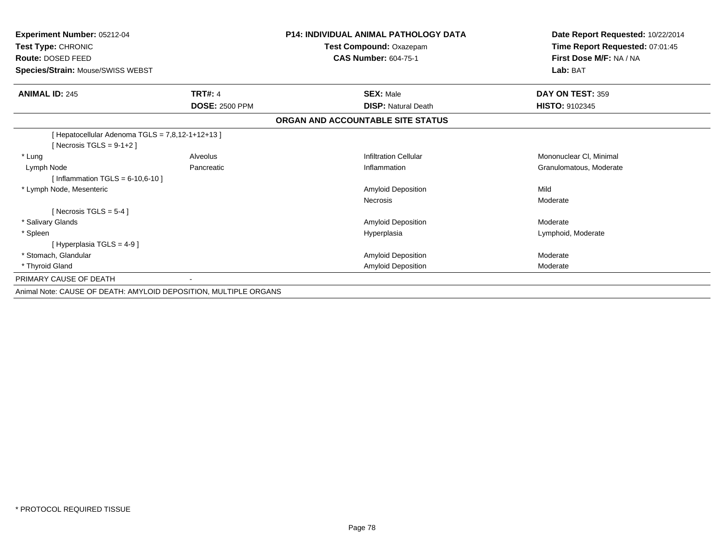| Experiment Number: 05212-04<br>Test Type: CHRONIC<br>Route: DOSED FEED<br>Species/Strain: Mouse/SWISS WEBST |                       | <b>P14: INDIVIDUAL ANIMAL PATHOLOGY DATA</b><br>Test Compound: Oxazepam<br><b>CAS Number: 604-75-1</b> | Date Report Requested: 10/22/2014<br>Time Report Requested: 07:01:45<br>First Dose M/F: NA / NA<br>Lab: BAT |
|-------------------------------------------------------------------------------------------------------------|-----------------------|--------------------------------------------------------------------------------------------------------|-------------------------------------------------------------------------------------------------------------|
| <b>ANIMAL ID: 245</b>                                                                                       | <b>TRT#: 4</b>        | <b>SEX: Male</b>                                                                                       | DAY ON TEST: 359                                                                                            |
|                                                                                                             | <b>DOSE: 2500 PPM</b> | <b>DISP: Natural Death</b>                                                                             | <b>HISTO: 9102345</b>                                                                                       |
|                                                                                                             |                       | ORGAN AND ACCOUNTABLE SITE STATUS                                                                      |                                                                                                             |
| [ Hepatocellular Adenoma TGLS = 7,8,12-1+12+13 ]<br>[Necrosis TGLS = $9-1+2$ ]                              |                       |                                                                                                        |                                                                                                             |
| * Lung                                                                                                      | Alveolus              | <b>Infiltration Cellular</b>                                                                           | Mononuclear CI, Minimal                                                                                     |
| Lymph Node                                                                                                  | Pancreatic            | Inflammation                                                                                           | Granulomatous, Moderate                                                                                     |
| [Inflammation TGLS = $6-10,6-10$ ]                                                                          |                       |                                                                                                        |                                                                                                             |
| * Lymph Node, Mesenteric                                                                                    |                       | Amyloid Deposition                                                                                     | Mild                                                                                                        |
|                                                                                                             |                       | <b>Necrosis</b>                                                                                        | Moderate                                                                                                    |
| [ Necrosis TGLS = $5-4$ ]                                                                                   |                       |                                                                                                        |                                                                                                             |
| * Salivary Glands                                                                                           |                       | Amyloid Deposition                                                                                     | Moderate                                                                                                    |
| * Spleen                                                                                                    |                       | Hyperplasia                                                                                            | Lymphoid, Moderate                                                                                          |
| [Hyperplasia TGLS = $4-9$ ]                                                                                 |                       |                                                                                                        |                                                                                                             |
| * Stomach, Glandular                                                                                        |                       | Amyloid Deposition                                                                                     | Moderate                                                                                                    |
| * Thyroid Gland                                                                                             |                       | Amyloid Deposition                                                                                     | Moderate                                                                                                    |
| PRIMARY CAUSE OF DEATH                                                                                      |                       |                                                                                                        |                                                                                                             |
| Animal Note: CAUSE OF DEATH: AMYLOID DEPOSITION, MULTIPLE ORGANS                                            |                       |                                                                                                        |                                                                                                             |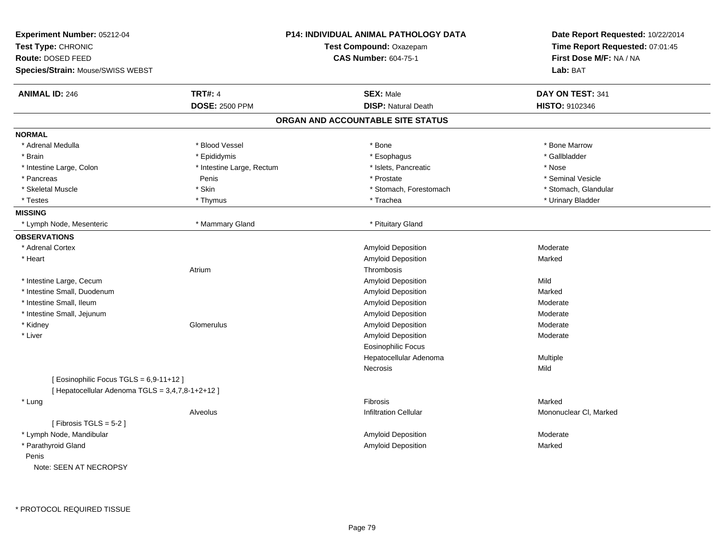| Experiment Number: 05212-04<br>Test Type: CHRONIC<br>Route: DOSED FEED<br>Species/Strain: Mouse/SWISS WEBST |                           | <b>P14: INDIVIDUAL ANIMAL PATHOLOGY DATA</b><br>Test Compound: Oxazepam<br><b>CAS Number: 604-75-1</b> | Date Report Requested: 10/22/2014<br>Time Report Requested: 07:01:45<br>First Dose M/F: NA / NA<br>Lab: BAT |
|-------------------------------------------------------------------------------------------------------------|---------------------------|--------------------------------------------------------------------------------------------------------|-------------------------------------------------------------------------------------------------------------|
| <b>ANIMAL ID: 246</b>                                                                                       | <b>TRT#: 4</b>            | <b>SEX: Male</b>                                                                                       | DAY ON TEST: 341                                                                                            |
|                                                                                                             | <b>DOSE: 2500 PPM</b>     | <b>DISP: Natural Death</b>                                                                             | HISTO: 9102346                                                                                              |
|                                                                                                             |                           | ORGAN AND ACCOUNTABLE SITE STATUS                                                                      |                                                                                                             |
| <b>NORMAL</b>                                                                                               |                           |                                                                                                        |                                                                                                             |
| * Adrenal Medulla                                                                                           | * Blood Vessel            | * Bone                                                                                                 | * Bone Marrow                                                                                               |
| * Brain                                                                                                     | * Epididymis              | * Esophagus                                                                                            | * Gallbladder                                                                                               |
| * Intestine Large, Colon                                                                                    | * Intestine Large, Rectum | * Islets, Pancreatic                                                                                   | * Nose                                                                                                      |
| * Pancreas                                                                                                  | Penis                     | * Prostate                                                                                             | * Seminal Vesicle                                                                                           |
| * Skeletal Muscle                                                                                           | * Skin                    | * Stomach, Forestomach                                                                                 | * Stomach, Glandular                                                                                        |
| * Testes                                                                                                    | * Thymus                  | * Trachea                                                                                              | * Urinary Bladder                                                                                           |
| <b>MISSING</b>                                                                                              |                           |                                                                                                        |                                                                                                             |
| * Lymph Node, Mesenteric                                                                                    | * Mammary Gland           | * Pituitary Gland                                                                                      |                                                                                                             |
| <b>OBSERVATIONS</b>                                                                                         |                           |                                                                                                        |                                                                                                             |
| * Adrenal Cortex                                                                                            |                           | Amyloid Deposition                                                                                     | Moderate                                                                                                    |
| * Heart                                                                                                     |                           | Amyloid Deposition                                                                                     | Marked                                                                                                      |
|                                                                                                             | Atrium                    | Thrombosis                                                                                             |                                                                                                             |
| * Intestine Large, Cecum                                                                                    |                           | Amyloid Deposition                                                                                     | Mild                                                                                                        |
| * Intestine Small, Duodenum                                                                                 |                           | Amyloid Deposition                                                                                     | Marked                                                                                                      |
| * Intestine Small, Ileum                                                                                    |                           | Amyloid Deposition                                                                                     | Moderate                                                                                                    |
| * Intestine Small, Jejunum                                                                                  |                           | Amyloid Deposition                                                                                     | Moderate                                                                                                    |
| * Kidney                                                                                                    | Glomerulus                | Amyloid Deposition                                                                                     | Moderate                                                                                                    |
| * Liver                                                                                                     |                           | Amyloid Deposition                                                                                     | Moderate                                                                                                    |
|                                                                                                             |                           | <b>Eosinophilic Focus</b>                                                                              |                                                                                                             |
|                                                                                                             |                           | Hepatocellular Adenoma                                                                                 | Multiple                                                                                                    |
|                                                                                                             |                           | <b>Necrosis</b>                                                                                        | Mild                                                                                                        |
| [Eosinophilic Focus TGLS = 6,9-11+12]<br>[ Hepatocellular Adenoma TGLS = 3,4,7,8-1+2+12 ]                   |                           |                                                                                                        |                                                                                                             |
| * Lung                                                                                                      |                           | <b>Fibrosis</b>                                                                                        | Marked                                                                                                      |
|                                                                                                             | Alveolus                  | <b>Infiltration Cellular</b>                                                                           | Mononuclear CI, Marked                                                                                      |
| [Fibrosis TGLS = $5-2$ ]                                                                                    |                           |                                                                                                        |                                                                                                             |
| * Lymph Node, Mandibular                                                                                    |                           | Amyloid Deposition                                                                                     | Moderate                                                                                                    |
| * Parathyroid Gland                                                                                         |                           | <b>Amyloid Deposition</b>                                                                              | Marked                                                                                                      |
| Penis                                                                                                       |                           |                                                                                                        |                                                                                                             |
| Note: SEEN AT NECROPSY                                                                                      |                           |                                                                                                        |                                                                                                             |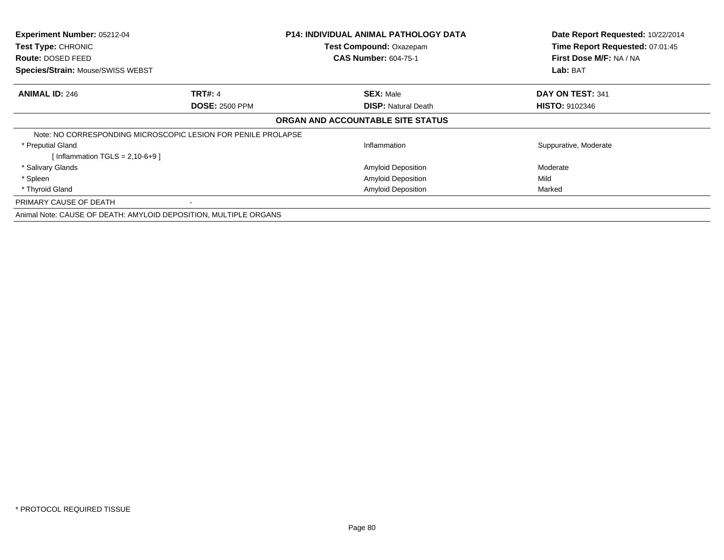| <b>Experiment Number: 05212-04</b>                               |                                                               | <b>P14: INDIVIDUAL ANIMAL PATHOLOGY DATA</b> | Date Report Requested: 10/22/2014 |
|------------------------------------------------------------------|---------------------------------------------------------------|----------------------------------------------|-----------------------------------|
| Test Type: CHRONIC                                               |                                                               | Test Compound: Oxazepam                      | Time Report Requested: 07:01:45   |
| <b>Route: DOSED FEED</b>                                         |                                                               | <b>CAS Number: 604-75-1</b>                  | First Dose M/F: NA / NA           |
| Species/Strain: Mouse/SWISS WEBST                                |                                                               |                                              | Lab: BAT                          |
| <b>ANIMAL ID: 246</b>                                            | <b>TRT#: 4</b>                                                | <b>SEX: Male</b>                             | DAY ON TEST: 341                  |
|                                                                  | <b>DOSE: 2500 PPM</b>                                         | <b>DISP: Natural Death</b>                   | <b>HISTO: 9102346</b>             |
|                                                                  |                                                               | ORGAN AND ACCOUNTABLE SITE STATUS            |                                   |
|                                                                  | Note: NO CORRESPONDING MICROSCOPIC LESION FOR PENILE PROLAPSE |                                              |                                   |
| * Preputial Gland                                                |                                                               | Inflammation                                 | Suppurative, Moderate             |
| Inflammation $TGLS = 2,10-6+9$ ]                                 |                                                               |                                              |                                   |
| * Salivary Glands                                                |                                                               | <b>Amyloid Deposition</b>                    | Moderate                          |
| * Spleen                                                         |                                                               | <b>Amyloid Deposition</b>                    | Mild                              |
| * Thyroid Gland                                                  |                                                               | <b>Amyloid Deposition</b>                    | Marked                            |
| PRIMARY CAUSE OF DEATH                                           |                                                               |                                              |                                   |
| Animal Note: CAUSE OF DEATH: AMYLOID DEPOSITION, MULTIPLE ORGANS |                                                               |                                              |                                   |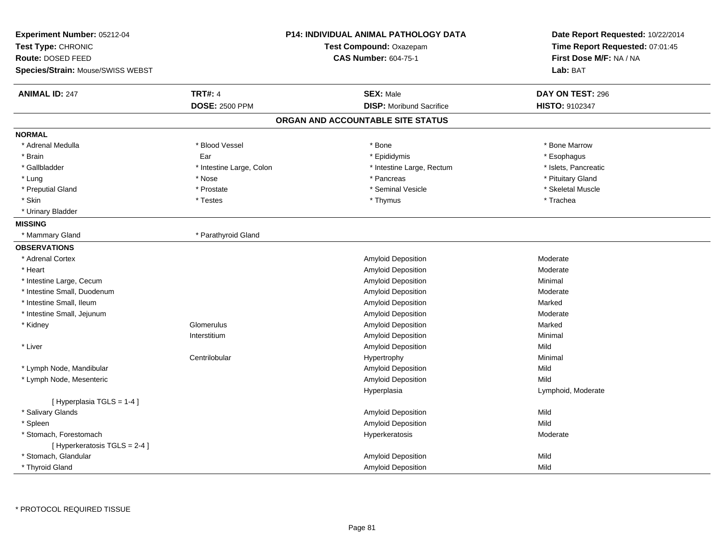| Experiment Number: 05212-04<br>Test Type: CHRONIC<br>Route: DOSED FEED<br>Species/Strain: Mouse/SWISS WEBST |                          | <b>P14: INDIVIDUAL ANIMAL PATHOLOGY DATA</b><br>Test Compound: Oxazepam<br><b>CAS Number: 604-75-1</b> | Date Report Requested: 10/22/2014<br>Time Report Requested: 07:01:45<br>First Dose M/F: NA / NA<br>Lab: BAT |
|-------------------------------------------------------------------------------------------------------------|--------------------------|--------------------------------------------------------------------------------------------------------|-------------------------------------------------------------------------------------------------------------|
| <b>ANIMAL ID: 247</b>                                                                                       | <b>TRT#: 4</b>           | <b>SEX: Male</b>                                                                                       | DAY ON TEST: 296                                                                                            |
|                                                                                                             | <b>DOSE: 2500 PPM</b>    | <b>DISP:</b> Moribund Sacrifice                                                                        | HISTO: 9102347                                                                                              |
|                                                                                                             |                          | ORGAN AND ACCOUNTABLE SITE STATUS                                                                      |                                                                                                             |
| <b>NORMAL</b>                                                                                               |                          |                                                                                                        |                                                                                                             |
| * Adrenal Medulla                                                                                           | * Blood Vessel           | * Bone                                                                                                 | * Bone Marrow                                                                                               |
| * Brain                                                                                                     | Ear                      | * Epididymis                                                                                           | * Esophagus                                                                                                 |
| * Gallbladder                                                                                               | * Intestine Large, Colon | * Intestine Large, Rectum                                                                              | * Islets, Pancreatic                                                                                        |
| * Lung                                                                                                      | * Nose                   | * Pancreas                                                                                             | * Pituitary Gland                                                                                           |
| * Preputial Gland                                                                                           | * Prostate               | * Seminal Vesicle                                                                                      | * Skeletal Muscle                                                                                           |
| * Skin                                                                                                      | * Testes                 | * Thymus                                                                                               | * Trachea                                                                                                   |
| * Urinary Bladder                                                                                           |                          |                                                                                                        |                                                                                                             |
| <b>MISSING</b>                                                                                              |                          |                                                                                                        |                                                                                                             |
| * Mammary Gland                                                                                             | * Parathyroid Gland      |                                                                                                        |                                                                                                             |
| <b>OBSERVATIONS</b>                                                                                         |                          |                                                                                                        |                                                                                                             |
| * Adrenal Cortex                                                                                            |                          | <b>Amyloid Deposition</b>                                                                              | Moderate                                                                                                    |
| * Heart                                                                                                     |                          | Amyloid Deposition                                                                                     | Moderate                                                                                                    |
| * Intestine Large, Cecum                                                                                    |                          | Amyloid Deposition                                                                                     | Minimal                                                                                                     |
| * Intestine Small, Duodenum                                                                                 |                          | Amyloid Deposition                                                                                     | Moderate                                                                                                    |
| * Intestine Small, Ileum                                                                                    |                          | Amyloid Deposition                                                                                     | Marked                                                                                                      |
| * Intestine Small, Jejunum                                                                                  |                          | Amyloid Deposition                                                                                     | Moderate                                                                                                    |
| * Kidney                                                                                                    | Glomerulus               | <b>Amyloid Deposition</b>                                                                              | Marked                                                                                                      |
|                                                                                                             | Interstitium             | Amyloid Deposition                                                                                     | Minimal                                                                                                     |
| * Liver                                                                                                     |                          | Amyloid Deposition                                                                                     | Mild                                                                                                        |
|                                                                                                             | Centrilobular            | Hypertrophy                                                                                            | Minimal                                                                                                     |
| * Lymph Node, Mandibular                                                                                    |                          | Amyloid Deposition                                                                                     | Mild                                                                                                        |
| * Lymph Node, Mesenteric                                                                                    |                          | Amyloid Deposition                                                                                     | Mild                                                                                                        |
|                                                                                                             |                          | Hyperplasia                                                                                            | Lymphoid, Moderate                                                                                          |
| [Hyperplasia TGLS = 1-4]                                                                                    |                          |                                                                                                        |                                                                                                             |
| * Salivary Glands                                                                                           |                          | Amyloid Deposition                                                                                     | Mild                                                                                                        |
| * Spleen                                                                                                    |                          | <b>Amyloid Deposition</b>                                                                              | Mild                                                                                                        |
| * Stomach, Forestomach                                                                                      |                          | Hyperkeratosis                                                                                         | Moderate                                                                                                    |
| [ Hyperkeratosis TGLS = 2-4 ]                                                                               |                          |                                                                                                        |                                                                                                             |
| * Stomach, Glandular                                                                                        |                          | Amyloid Deposition                                                                                     | Mild                                                                                                        |
| * Thyroid Gland                                                                                             |                          | Amyloid Deposition                                                                                     | Mild                                                                                                        |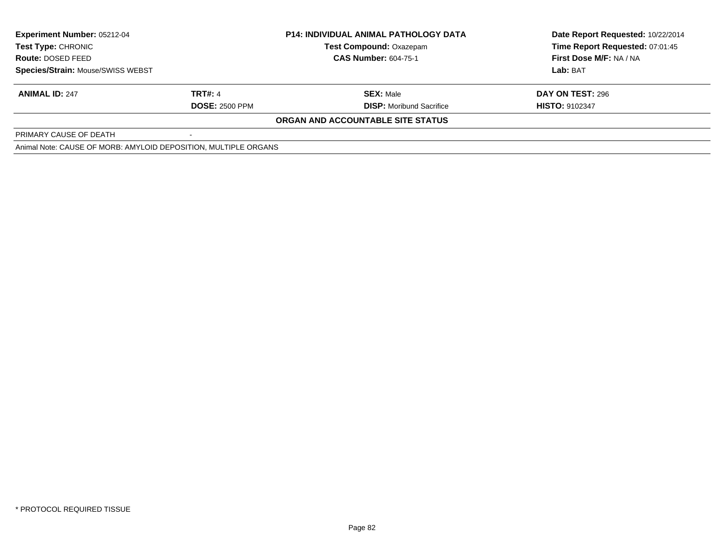| <b>Experiment Number: 05212-04</b><br><b>Test Type: CHRONIC</b><br><b>Route: DOSED FEED</b> |                       | <b>P14: INDIVIDUAL ANIMAL PATHOLOGY DATA</b> | Date Report Requested: 10/22/2014 |  |
|---------------------------------------------------------------------------------------------|-----------------------|----------------------------------------------|-----------------------------------|--|
|                                                                                             |                       | <b>Test Compound: Oxazepam</b>               | Time Report Requested: 07:01:45   |  |
|                                                                                             |                       | <b>CAS Number: 604-75-1</b>                  | First Dose M/F: NA / NA           |  |
| Species/Strain: Mouse/SWISS WEBST                                                           |                       |                                              | Lab: BAT                          |  |
| <b>ANIMAL ID: 247</b>                                                                       | <b>TRT#: 4</b>        | <b>SEX: Male</b>                             | DAY ON TEST: 296                  |  |
|                                                                                             | <b>DOSE: 2500 PPM</b> | <b>DISP:</b> Moribund Sacrifice              | <b>HISTO: 9102347</b>             |  |
|                                                                                             |                       | ORGAN AND ACCOUNTABLE SITE STATUS            |                                   |  |
| PRIMARY CAUSE OF DEATH                                                                      |                       |                                              |                                   |  |
| Animal Note: CAUSE OF MORB: AMYLOID DEPOSITION, MULTIPLE ORGANS                             |                       |                                              |                                   |  |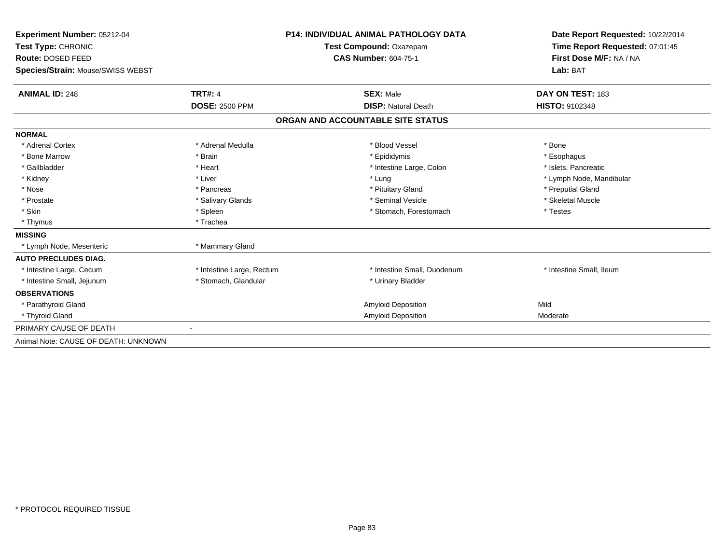| Experiment Number: 05212-04          |                           | <b>P14: INDIVIDUAL ANIMAL PATHOLOGY DATA</b> | Date Report Requested: 10/22/2014 |  |
|--------------------------------------|---------------------------|----------------------------------------------|-----------------------------------|--|
| Test Type: CHRONIC                   |                           | <b>Test Compound: Oxazepam</b>               | Time Report Requested: 07:01:45   |  |
| Route: DOSED FEED                    |                           | <b>CAS Number: 604-75-1</b>                  | First Dose M/F: NA / NA           |  |
| Species/Strain: Mouse/SWISS WEBST    |                           |                                              | Lab: BAT                          |  |
| <b>ANIMAL ID: 248</b>                | <b>TRT#: 4</b>            | <b>SEX: Male</b>                             | DAY ON TEST: 183                  |  |
|                                      | <b>DOSE: 2500 PPM</b>     | <b>DISP: Natural Death</b>                   | <b>HISTO: 9102348</b>             |  |
|                                      |                           | ORGAN AND ACCOUNTABLE SITE STATUS            |                                   |  |
| <b>NORMAL</b>                        |                           |                                              |                                   |  |
| * Adrenal Cortex                     | * Adrenal Medulla         | * Blood Vessel                               | * Bone                            |  |
| * Bone Marrow                        | * Brain                   | * Epididymis                                 | * Esophagus                       |  |
| * Gallbladder                        | * Heart                   | * Intestine Large, Colon                     | * Islets. Pancreatic              |  |
| * Kidney                             | * Liver                   | * Lung                                       | * Lymph Node, Mandibular          |  |
| * Nose                               | * Pancreas                | * Pituitary Gland                            | * Preputial Gland                 |  |
| * Prostate                           | * Salivary Glands         | * Seminal Vesicle                            | * Skeletal Muscle                 |  |
| * Skin                               | * Spleen                  | * Stomach, Forestomach                       | * Testes                          |  |
| * Thymus                             | * Trachea                 |                                              |                                   |  |
| <b>MISSING</b>                       |                           |                                              |                                   |  |
| * Lymph Node, Mesenteric             | * Mammary Gland           |                                              |                                   |  |
| <b>AUTO PRECLUDES DIAG.</b>          |                           |                                              |                                   |  |
| * Intestine Large, Cecum             | * Intestine Large, Rectum | * Intestine Small, Duodenum                  | * Intestine Small, Ileum          |  |
| * Intestine Small, Jejunum           | * Stomach, Glandular      | * Urinary Bladder                            |                                   |  |
| <b>OBSERVATIONS</b>                  |                           |                                              |                                   |  |
| * Parathyroid Gland                  |                           | Amyloid Deposition                           | Mild                              |  |
| * Thyroid Gland                      |                           | <b>Amyloid Deposition</b>                    | Moderate                          |  |
| PRIMARY CAUSE OF DEATH               |                           |                                              |                                   |  |
| Animal Note: CAUSE OF DEATH: UNKNOWN |                           |                                              |                                   |  |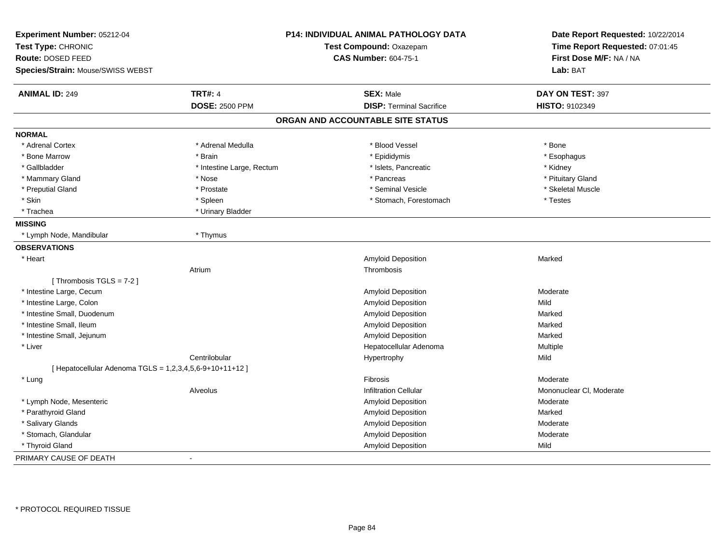| Experiment Number: 05212-04                              |                           | P14: INDIVIDUAL ANIMAL PATHOLOGY DATA | Date Report Requested: 10/22/2014 |
|----------------------------------------------------------|---------------------------|---------------------------------------|-----------------------------------|
| Test Type: CHRONIC                                       | Test Compound: Oxazepam   |                                       | Time Report Requested: 07:01:45   |
| Route: DOSED FEED                                        |                           | <b>CAS Number: 604-75-1</b>           | First Dose M/F: NA / NA           |
| Species/Strain: Mouse/SWISS WEBST                        |                           |                                       | Lab: BAT                          |
| <b>ANIMAL ID: 249</b>                                    | <b>TRT#: 4</b>            | <b>SEX: Male</b>                      | DAY ON TEST: 397                  |
|                                                          | <b>DOSE: 2500 PPM</b>     | <b>DISP: Terminal Sacrifice</b>       | HISTO: 9102349                    |
|                                                          |                           | ORGAN AND ACCOUNTABLE SITE STATUS     |                                   |
| <b>NORMAL</b>                                            |                           |                                       |                                   |
| * Adrenal Cortex                                         | * Adrenal Medulla         | * Blood Vessel                        | * Bone                            |
| * Bone Marrow                                            | * Brain                   | * Epididymis                          | * Esophagus                       |
| * Gallbladder                                            | * Intestine Large, Rectum | * Islets, Pancreatic                  | * Kidney                          |
| * Mammary Gland                                          | * Nose                    | * Pancreas                            | * Pituitary Gland                 |
| * Preputial Gland                                        | * Prostate                | * Seminal Vesicle                     | * Skeletal Muscle                 |
| * Skin                                                   | * Spleen                  | * Stomach, Forestomach                | * Testes                          |
| * Trachea                                                | * Urinary Bladder         |                                       |                                   |
| <b>MISSING</b>                                           |                           |                                       |                                   |
| * Lymph Node, Mandibular                                 | * Thymus                  |                                       |                                   |
| <b>OBSERVATIONS</b>                                      |                           |                                       |                                   |
| * Heart                                                  |                           | Amyloid Deposition                    | Marked                            |
|                                                          | Atrium                    | Thrombosis                            |                                   |
| [Thrombosis TGLS = $7-2$ ]                               |                           |                                       |                                   |
| * Intestine Large, Cecum                                 |                           | Amyloid Deposition                    | Moderate                          |
| * Intestine Large, Colon                                 |                           | <b>Amyloid Deposition</b>             | Mild                              |
| * Intestine Small, Duodenum                              |                           | Amyloid Deposition                    | Marked                            |
| * Intestine Small, Ileum                                 |                           | <b>Amyloid Deposition</b>             | Marked                            |
| * Intestine Small, Jejunum                               |                           | <b>Amyloid Deposition</b>             | Marked                            |
| * Liver                                                  |                           | Hepatocellular Adenoma                | Multiple                          |
|                                                          | Centrilobular             | Hypertrophy                           | Mild                              |
| [ Hepatocellular Adenoma TGLS = 1,2,3,4,5,6-9+10+11+12 ] |                           |                                       |                                   |
| * Lung                                                   |                           | <b>Fibrosis</b>                       | Moderate                          |
|                                                          | Alveolus                  | <b>Infiltration Cellular</b>          | Mononuclear CI, Moderate          |
| * Lymph Node, Mesenteric                                 |                           | Amyloid Deposition                    | Moderate                          |
| * Parathyroid Gland                                      |                           | Amyloid Deposition                    | Marked                            |
| * Salivary Glands                                        |                           | <b>Amyloid Deposition</b>             | Moderate                          |
| * Stomach, Glandular                                     |                           | Amyloid Deposition                    | Moderate                          |
| * Thyroid Gland                                          |                           | Amyloid Deposition                    | Mild                              |
| PRIMARY CAUSE OF DEATH                                   | $\blacksquare$            |                                       |                                   |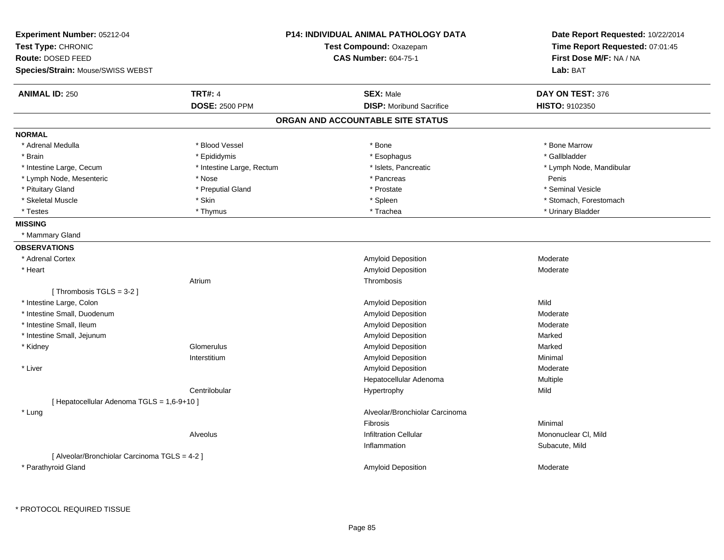| Experiment Number: 05212-04<br>Test Type: CHRONIC<br>Route: DOSED FEED<br>Species/Strain: Mouse/SWISS WEBST |                           | <b>P14: INDIVIDUAL ANIMAL PATHOLOGY DATA</b><br>Test Compound: Oxazepam<br><b>CAS Number: 604-75-1</b> | Date Report Requested: 10/22/2014<br>Time Report Requested: 07:01:45<br>First Dose M/F: NA / NA<br>Lab: BAT |
|-------------------------------------------------------------------------------------------------------------|---------------------------|--------------------------------------------------------------------------------------------------------|-------------------------------------------------------------------------------------------------------------|
|                                                                                                             |                           |                                                                                                        |                                                                                                             |
| <b>ANIMAL ID: 250</b>                                                                                       | <b>TRT#: 4</b>            | <b>SEX: Male</b>                                                                                       | DAY ON TEST: 376                                                                                            |
|                                                                                                             | <b>DOSE: 2500 PPM</b>     | <b>DISP:</b> Moribund Sacrifice                                                                        | HISTO: 9102350                                                                                              |
|                                                                                                             |                           | ORGAN AND ACCOUNTABLE SITE STATUS                                                                      |                                                                                                             |
| <b>NORMAL</b>                                                                                               |                           |                                                                                                        |                                                                                                             |
| * Adrenal Medulla                                                                                           | * Blood Vessel            | * Bone                                                                                                 | * Bone Marrow                                                                                               |
| * Brain                                                                                                     | * Epididymis              | * Esophagus                                                                                            | * Gallbladder                                                                                               |
| * Intestine Large, Cecum                                                                                    | * Intestine Large, Rectum | * Islets, Pancreatic                                                                                   | * Lymph Node, Mandibular                                                                                    |
| * Lymph Node, Mesenteric                                                                                    | * Nose                    | * Pancreas                                                                                             | Penis                                                                                                       |
| * Pituitary Gland                                                                                           | * Preputial Gland         | * Prostate                                                                                             | * Seminal Vesicle                                                                                           |
| * Skeletal Muscle                                                                                           | * Skin                    | * Spleen                                                                                               | * Stomach, Forestomach                                                                                      |
| * Testes                                                                                                    | * Thymus                  | * Trachea                                                                                              | * Urinary Bladder                                                                                           |
| <b>MISSING</b>                                                                                              |                           |                                                                                                        |                                                                                                             |
| * Mammary Gland                                                                                             |                           |                                                                                                        |                                                                                                             |
| <b>OBSERVATIONS</b>                                                                                         |                           |                                                                                                        |                                                                                                             |
| * Adrenal Cortex                                                                                            |                           | Amyloid Deposition                                                                                     | Moderate                                                                                                    |
| * Heart                                                                                                     |                           | Amyloid Deposition                                                                                     | Moderate                                                                                                    |
|                                                                                                             | Atrium                    | Thrombosis                                                                                             |                                                                                                             |
| [Thrombosis TGLS = 3-2]                                                                                     |                           |                                                                                                        |                                                                                                             |
| * Intestine Large, Colon                                                                                    |                           | Amyloid Deposition                                                                                     | Mild                                                                                                        |
| * Intestine Small, Duodenum                                                                                 |                           | Amyloid Deposition                                                                                     | Moderate                                                                                                    |
| * Intestine Small, Ileum                                                                                    |                           | Amyloid Deposition                                                                                     | Moderate                                                                                                    |
| * Intestine Small, Jejunum                                                                                  |                           | Amyloid Deposition                                                                                     | Marked                                                                                                      |
| * Kidney                                                                                                    | Glomerulus                | Amyloid Deposition                                                                                     | Marked                                                                                                      |
|                                                                                                             | Interstitium              | Amyloid Deposition                                                                                     | Minimal                                                                                                     |
| * Liver                                                                                                     |                           | <b>Amyloid Deposition</b>                                                                              | Moderate                                                                                                    |
|                                                                                                             |                           | Hepatocellular Adenoma                                                                                 | Multiple                                                                                                    |
|                                                                                                             | Centrilobular             | Hypertrophy                                                                                            | Mild                                                                                                        |
| [ Hepatocellular Adenoma TGLS = 1,6-9+10 ]                                                                  |                           |                                                                                                        |                                                                                                             |
| * Lung                                                                                                      |                           | Alveolar/Bronchiolar Carcinoma                                                                         |                                                                                                             |
|                                                                                                             |                           | Fibrosis                                                                                               | Minimal                                                                                                     |
|                                                                                                             | Alveolus                  | <b>Infiltration Cellular</b>                                                                           | Mononuclear CI, Mild                                                                                        |
|                                                                                                             |                           | Inflammation                                                                                           | Subacute, Mild                                                                                              |
| [ Alveolar/Bronchiolar Carcinoma TGLS = 4-2 ]                                                               |                           |                                                                                                        |                                                                                                             |
| * Parathyroid Gland                                                                                         |                           | Amyloid Deposition                                                                                     | Moderate                                                                                                    |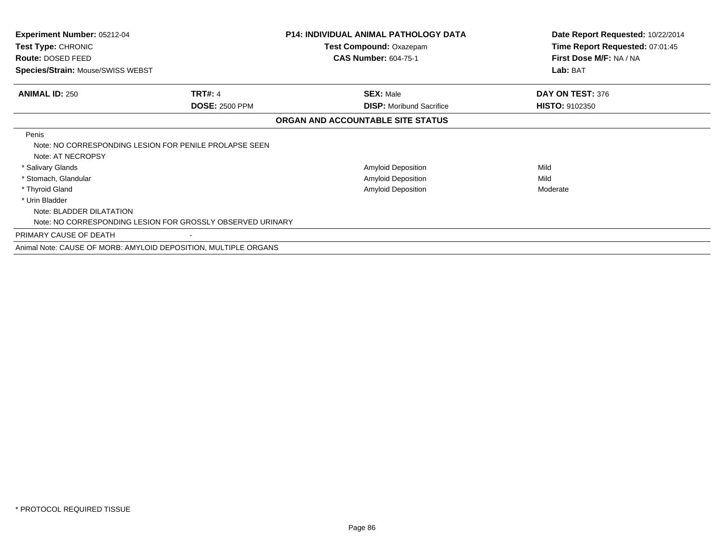| <b>Experiment Number: 05212-04</b><br>Test Type: CHRONIC                             |                       | <b>P14: INDIVIDUAL ANIMAL PATHOLOGY DATA</b><br><b>Test Compound: Oxazepam</b> | Date Report Requested: 10/22/2014<br>Time Report Requested: 07:01:45 |
|--------------------------------------------------------------------------------------|-----------------------|--------------------------------------------------------------------------------|----------------------------------------------------------------------|
| Route: DOSED FEED                                                                    |                       | <b>CAS Number: 604-75-1</b>                                                    | First Dose M/F: NA / NA                                              |
| Species/Strain: Mouse/SWISS WEBST                                                    |                       |                                                                                | Lab: BAT                                                             |
| <b>ANIMAL ID: 250</b>                                                                | <b>TRT#: 4</b>        | <b>SEX: Male</b>                                                               | DAY ON TEST: 376                                                     |
|                                                                                      | <b>DOSE: 2500 PPM</b> | <b>DISP:</b> Moribund Sacrifice                                                | <b>HISTO: 9102350</b>                                                |
|                                                                                      |                       | ORGAN AND ACCOUNTABLE SITE STATUS                                              |                                                                      |
| Penis<br>Note: NO CORRESPONDING LESION FOR PENILE PROLAPSE SEEN<br>Note: AT NECROPSY |                       |                                                                                |                                                                      |
| * Salivary Glands                                                                    |                       | Amyloid Deposition                                                             | Mild                                                                 |
| * Stomach, Glandular                                                                 |                       | Amyloid Deposition                                                             | Mild                                                                 |
| * Thyroid Gland                                                                      |                       | <b>Amyloid Deposition</b>                                                      | Moderate                                                             |
| * Urin Bladder                                                                       |                       |                                                                                |                                                                      |
| Note: BLADDER DILATATION                                                             |                       |                                                                                |                                                                      |
| Note: NO CORRESPONDING LESION FOR GROSSLY OBSERVED URINARY                           |                       |                                                                                |                                                                      |
| PRIMARY CAUSE OF DEATH                                                               |                       |                                                                                |                                                                      |
| Animal Note: CAUSE OF MORB: AMYLOID DEPOSITION, MULTIPLE ORGANS                      |                       |                                                                                |                                                                      |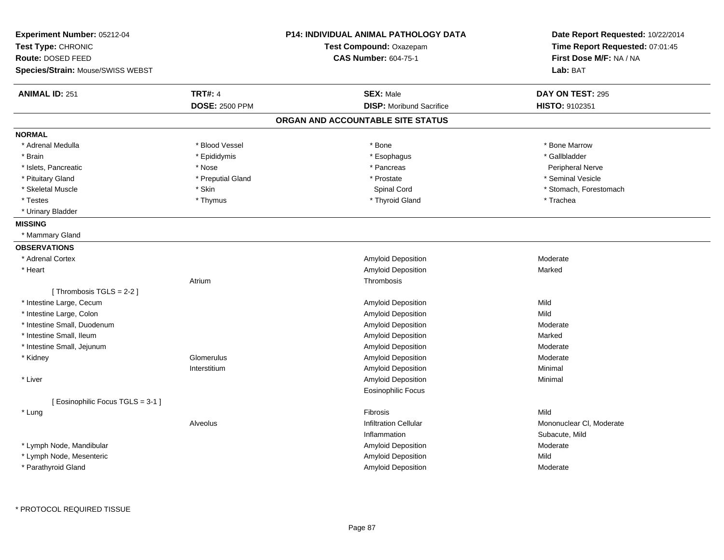| Experiment Number: 05212-04       |                       | <b>P14: INDIVIDUAL ANIMAL PATHOLOGY DATA</b> | Date Report Requested: 10/22/2014 |
|-----------------------------------|-----------------------|----------------------------------------------|-----------------------------------|
| Test Type: CHRONIC                |                       | Test Compound: Oxazepam                      | Time Report Requested: 07:01:45   |
| Route: DOSED FEED                 |                       | <b>CAS Number: 604-75-1</b>                  | First Dose M/F: NA / NA           |
| Species/Strain: Mouse/SWISS WEBST |                       |                                              | Lab: BAT                          |
| <b>ANIMAL ID: 251</b>             | <b>TRT#: 4</b>        | <b>SEX: Male</b>                             | DAY ON TEST: 295                  |
|                                   | <b>DOSE: 2500 PPM</b> | <b>DISP:</b> Moribund Sacrifice              | HISTO: 9102351                    |
|                                   |                       | ORGAN AND ACCOUNTABLE SITE STATUS            |                                   |
| <b>NORMAL</b>                     |                       |                                              |                                   |
| * Adrenal Medulla                 | * Blood Vessel        | * Bone                                       | * Bone Marrow                     |
| * Brain                           | * Epididymis          | * Esophagus                                  | * Gallbladder                     |
| * Islets, Pancreatic              | * Nose                | * Pancreas                                   | Peripheral Nerve                  |
| * Pituitary Gland                 | * Preputial Gland     | * Prostate                                   | * Seminal Vesicle                 |
| * Skeletal Muscle                 | * Skin                | Spinal Cord                                  | * Stomach, Forestomach            |
| $^\star$ Testes                   | * Thymus              | * Thyroid Gland                              | * Trachea                         |
| * Urinary Bladder                 |                       |                                              |                                   |
| <b>MISSING</b>                    |                       |                                              |                                   |
| * Mammary Gland                   |                       |                                              |                                   |
| <b>OBSERVATIONS</b>               |                       |                                              |                                   |
| * Adrenal Cortex                  |                       | Amyloid Deposition                           | Moderate                          |
| * Heart                           |                       | Amyloid Deposition                           | Marked                            |
|                                   | Atrium                | Thrombosis                                   |                                   |
| [Thrombosis TGLS = $2-2$ ]        |                       |                                              |                                   |
| * Intestine Large, Cecum          |                       | Amyloid Deposition                           | Mild                              |
| * Intestine Large, Colon          |                       | Amyloid Deposition                           | Mild                              |
| * Intestine Small, Duodenum       |                       | Amyloid Deposition                           | Moderate                          |
| * Intestine Small, Ileum          |                       | <b>Amyloid Deposition</b>                    | Marked                            |
| * Intestine Small, Jejunum        |                       | Amyloid Deposition                           | Moderate                          |
| * Kidney                          | Glomerulus            | Amyloid Deposition                           | Moderate                          |
|                                   | Interstitium          | Amyloid Deposition                           | Minimal                           |
| * Liver                           |                       | Amyloid Deposition                           | Minimal                           |
|                                   |                       | Eosinophilic Focus                           |                                   |
| [ Eosinophilic Focus TGLS = 3-1 ] |                       |                                              |                                   |
| * Lung                            |                       | <b>Fibrosis</b>                              | Mild                              |
|                                   | Alveolus              | <b>Infiltration Cellular</b>                 | Mononuclear CI, Moderate          |
|                                   |                       | Inflammation                                 | Subacute, Mild                    |
| * Lymph Node, Mandibular          |                       | Amyloid Deposition                           | Moderate                          |
| * Lymph Node, Mesenteric          |                       | Amyloid Deposition                           | Mild                              |
| * Parathyroid Gland               |                       | Amyloid Deposition                           | Moderate                          |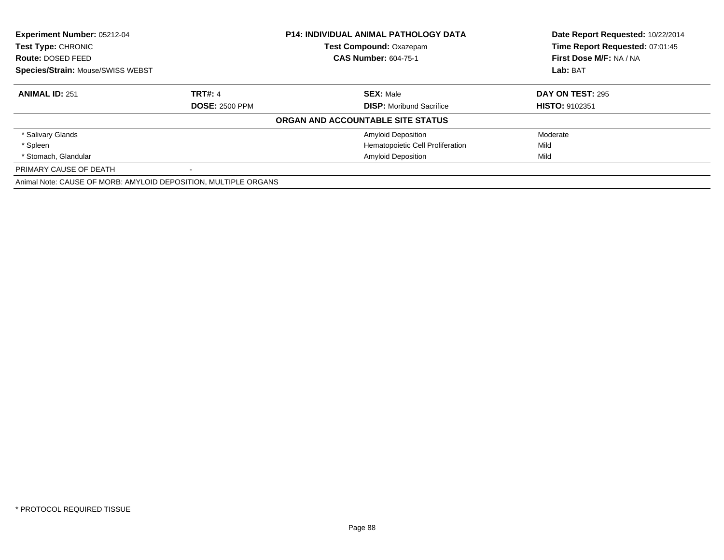| Experiment Number: 05212-04<br>Test Type: CHRONIC               |                       | <b>P14: INDIVIDUAL ANIMAL PATHOLOGY DATA</b> | Date Report Requested: 10/22/2014 |
|-----------------------------------------------------------------|-----------------------|----------------------------------------------|-----------------------------------|
|                                                                 |                       | <b>Test Compound: Oxazepam</b>               | Time Report Requested: 07:01:45   |
| Route: DOSED FEED                                               |                       | <b>CAS Number: 604-75-1</b>                  | First Dose M/F: NA / NA           |
| Species/Strain: Mouse/SWISS WEBST                               |                       |                                              | Lab: BAT                          |
| <b>ANIMAL ID: 251</b>                                           | <b>TRT#: 4</b>        | <b>SEX: Male</b>                             | DAY ON TEST: 295                  |
|                                                                 | <b>DOSE: 2500 PPM</b> | <b>DISP:</b> Moribund Sacrifice              | <b>HISTO: 9102351</b>             |
|                                                                 |                       | ORGAN AND ACCOUNTABLE SITE STATUS            |                                   |
| * Salivary Glands                                               |                       | <b>Amyloid Deposition</b>                    | Moderate                          |
| * Spleen                                                        |                       | Hematopoietic Cell Proliferation             | Mild                              |
| * Stomach, Glandular                                            |                       | <b>Amyloid Deposition</b>                    | Mild                              |
| PRIMARY CAUSE OF DEATH                                          | $\sim$                |                                              |                                   |
| Animal Note: CAUSE OF MORB: AMYLOID DEPOSITION, MULTIPLE ORGANS |                       |                                              |                                   |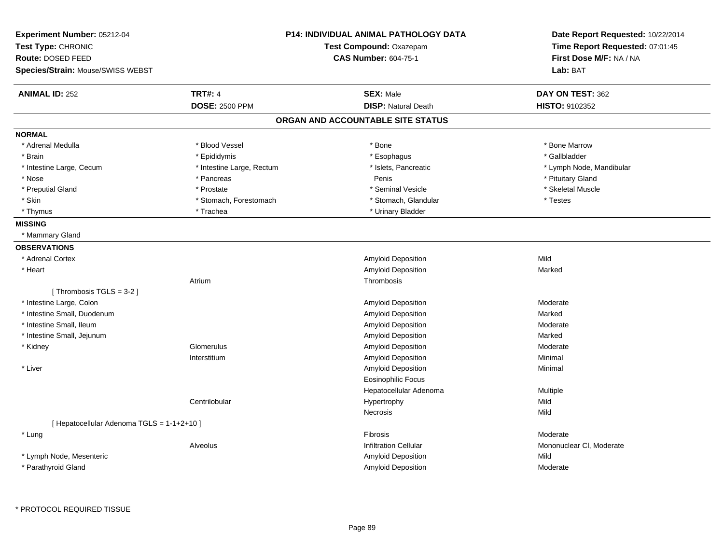| <b>TRT#: 4</b><br><b>ANIMAL ID: 252</b><br><b>SEX: Male</b><br>DAY ON TEST: 362<br><b>DOSE: 2500 PPM</b><br><b>DISP: Natural Death</b><br>HISTO: 9102352<br>ORGAN AND ACCOUNTABLE SITE STATUS<br><b>NORMAL</b><br>* Blood Vessel<br>* Bone<br>* Bone Marrow<br>* Adrenal Medulla<br>* Gallbladder<br>* Brain<br>* Epididymis<br>* Esophagus<br>* Islets, Pancreatic<br>* Intestine Large, Cecum<br>* Intestine Large, Rectum<br>* Lymph Node, Mandibular<br>* Nose<br>* Pancreas<br>Penis<br>* Pituitary Gland<br>* Preputial Gland<br>* Prostate<br>* Seminal Vesicle<br>* Skeletal Muscle<br>* Skin<br>* Stomach, Forestomach<br>* Stomach, Glandular<br>* Testes<br>* Thymus<br>* Trachea<br>* Urinary Bladder<br><b>MISSING</b><br>* Mammary Gland<br><b>OBSERVATIONS</b><br>* Adrenal Cortex<br>Amyloid Deposition<br>Mild<br>* Heart<br>Amyloid Deposition<br>Marked<br>Thrombosis<br>Atrium<br>[Thrombosis TGLS = 3-2]<br>* Intestine Large, Colon<br>Amyloid Deposition<br>Moderate<br>* Intestine Small, Duodenum<br>Amyloid Deposition<br>Marked<br>* Intestine Small, Ileum<br>Amyloid Deposition<br>Moderate<br>* Intestine Small, Jejunum<br>Amyloid Deposition<br>Marked<br>* Kidney<br>Glomerulus<br>Amyloid Deposition<br>Moderate<br>Amyloid Deposition<br>Interstitium<br>Minimal<br>Amyloid Deposition<br>* Liver<br>Minimal<br><b>Eosinophilic Focus</b><br>Hepatocellular Adenoma<br>Multiple<br>Mild<br>Centrilobular<br>Hypertrophy<br>Necrosis<br>Mild<br>[ Hepatocellular Adenoma TGLS = 1-1+2+10 ]<br>Fibrosis<br>Moderate<br>* Lung<br><b>Infiltration Cellular</b><br>Mononuclear CI, Moderate<br>Alveolus<br>* Lymph Node, Mesenteric<br>Amyloid Deposition<br>Mild<br>* Parathyroid Gland<br><b>Amyloid Deposition</b><br>Moderate | Experiment Number: 05212-04<br>Test Type: CHRONIC<br>Route: DOSED FEED<br>Species/Strain: Mouse/SWISS WEBST | <b>P14: INDIVIDUAL ANIMAL PATHOLOGY DATA</b><br>Test Compound: Oxazepam<br><b>CAS Number: 604-75-1</b> | Date Report Requested: 10/22/2014<br>Time Report Requested: 07:01:45<br>First Dose M/F: NA / NA<br>Lab: BAT |
|------------------------------------------------------------------------------------------------------------------------------------------------------------------------------------------------------------------------------------------------------------------------------------------------------------------------------------------------------------------------------------------------------------------------------------------------------------------------------------------------------------------------------------------------------------------------------------------------------------------------------------------------------------------------------------------------------------------------------------------------------------------------------------------------------------------------------------------------------------------------------------------------------------------------------------------------------------------------------------------------------------------------------------------------------------------------------------------------------------------------------------------------------------------------------------------------------------------------------------------------------------------------------------------------------------------------------------------------------------------------------------------------------------------------------------------------------------------------------------------------------------------------------------------------------------------------------------------------------------------------------------------------------------------------------------------------------------------------------------------------------------------|-------------------------------------------------------------------------------------------------------------|--------------------------------------------------------------------------------------------------------|-------------------------------------------------------------------------------------------------------------|
|                                                                                                                                                                                                                                                                                                                                                                                                                                                                                                                                                                                                                                                                                                                                                                                                                                                                                                                                                                                                                                                                                                                                                                                                                                                                                                                                                                                                                                                                                                                                                                                                                                                                                                                                                                  |                                                                                                             |                                                                                                        |                                                                                                             |
|                                                                                                                                                                                                                                                                                                                                                                                                                                                                                                                                                                                                                                                                                                                                                                                                                                                                                                                                                                                                                                                                                                                                                                                                                                                                                                                                                                                                                                                                                                                                                                                                                                                                                                                                                                  |                                                                                                             |                                                                                                        |                                                                                                             |
|                                                                                                                                                                                                                                                                                                                                                                                                                                                                                                                                                                                                                                                                                                                                                                                                                                                                                                                                                                                                                                                                                                                                                                                                                                                                                                                                                                                                                                                                                                                                                                                                                                                                                                                                                                  |                                                                                                             |                                                                                                        |                                                                                                             |
|                                                                                                                                                                                                                                                                                                                                                                                                                                                                                                                                                                                                                                                                                                                                                                                                                                                                                                                                                                                                                                                                                                                                                                                                                                                                                                                                                                                                                                                                                                                                                                                                                                                                                                                                                                  |                                                                                                             |                                                                                                        |                                                                                                             |
|                                                                                                                                                                                                                                                                                                                                                                                                                                                                                                                                                                                                                                                                                                                                                                                                                                                                                                                                                                                                                                                                                                                                                                                                                                                                                                                                                                                                                                                                                                                                                                                                                                                                                                                                                                  |                                                                                                             |                                                                                                        |                                                                                                             |
|                                                                                                                                                                                                                                                                                                                                                                                                                                                                                                                                                                                                                                                                                                                                                                                                                                                                                                                                                                                                                                                                                                                                                                                                                                                                                                                                                                                                                                                                                                                                                                                                                                                                                                                                                                  |                                                                                                             |                                                                                                        |                                                                                                             |
|                                                                                                                                                                                                                                                                                                                                                                                                                                                                                                                                                                                                                                                                                                                                                                                                                                                                                                                                                                                                                                                                                                                                                                                                                                                                                                                                                                                                                                                                                                                                                                                                                                                                                                                                                                  |                                                                                                             |                                                                                                        |                                                                                                             |
|                                                                                                                                                                                                                                                                                                                                                                                                                                                                                                                                                                                                                                                                                                                                                                                                                                                                                                                                                                                                                                                                                                                                                                                                                                                                                                                                                                                                                                                                                                                                                                                                                                                                                                                                                                  |                                                                                                             |                                                                                                        |                                                                                                             |
|                                                                                                                                                                                                                                                                                                                                                                                                                                                                                                                                                                                                                                                                                                                                                                                                                                                                                                                                                                                                                                                                                                                                                                                                                                                                                                                                                                                                                                                                                                                                                                                                                                                                                                                                                                  |                                                                                                             |                                                                                                        |                                                                                                             |
|                                                                                                                                                                                                                                                                                                                                                                                                                                                                                                                                                                                                                                                                                                                                                                                                                                                                                                                                                                                                                                                                                                                                                                                                                                                                                                                                                                                                                                                                                                                                                                                                                                                                                                                                                                  |                                                                                                             |                                                                                                        |                                                                                                             |
|                                                                                                                                                                                                                                                                                                                                                                                                                                                                                                                                                                                                                                                                                                                                                                                                                                                                                                                                                                                                                                                                                                                                                                                                                                                                                                                                                                                                                                                                                                                                                                                                                                                                                                                                                                  |                                                                                                             |                                                                                                        |                                                                                                             |
|                                                                                                                                                                                                                                                                                                                                                                                                                                                                                                                                                                                                                                                                                                                                                                                                                                                                                                                                                                                                                                                                                                                                                                                                                                                                                                                                                                                                                                                                                                                                                                                                                                                                                                                                                                  |                                                                                                             |                                                                                                        |                                                                                                             |
|                                                                                                                                                                                                                                                                                                                                                                                                                                                                                                                                                                                                                                                                                                                                                                                                                                                                                                                                                                                                                                                                                                                                                                                                                                                                                                                                                                                                                                                                                                                                                                                                                                                                                                                                                                  |                                                                                                             |                                                                                                        |                                                                                                             |
|                                                                                                                                                                                                                                                                                                                                                                                                                                                                                                                                                                                                                                                                                                                                                                                                                                                                                                                                                                                                                                                                                                                                                                                                                                                                                                                                                                                                                                                                                                                                                                                                                                                                                                                                                                  |                                                                                                             |                                                                                                        |                                                                                                             |
|                                                                                                                                                                                                                                                                                                                                                                                                                                                                                                                                                                                                                                                                                                                                                                                                                                                                                                                                                                                                                                                                                                                                                                                                                                                                                                                                                                                                                                                                                                                                                                                                                                                                                                                                                                  |                                                                                                             |                                                                                                        |                                                                                                             |
|                                                                                                                                                                                                                                                                                                                                                                                                                                                                                                                                                                                                                                                                                                                                                                                                                                                                                                                                                                                                                                                                                                                                                                                                                                                                                                                                                                                                                                                                                                                                                                                                                                                                                                                                                                  |                                                                                                             |                                                                                                        |                                                                                                             |
|                                                                                                                                                                                                                                                                                                                                                                                                                                                                                                                                                                                                                                                                                                                                                                                                                                                                                                                                                                                                                                                                                                                                                                                                                                                                                                                                                                                                                                                                                                                                                                                                                                                                                                                                                                  |                                                                                                             |                                                                                                        |                                                                                                             |
|                                                                                                                                                                                                                                                                                                                                                                                                                                                                                                                                                                                                                                                                                                                                                                                                                                                                                                                                                                                                                                                                                                                                                                                                                                                                                                                                                                                                                                                                                                                                                                                                                                                                                                                                                                  |                                                                                                             |                                                                                                        |                                                                                                             |
|                                                                                                                                                                                                                                                                                                                                                                                                                                                                                                                                                                                                                                                                                                                                                                                                                                                                                                                                                                                                                                                                                                                                                                                                                                                                                                                                                                                                                                                                                                                                                                                                                                                                                                                                                                  |                                                                                                             |                                                                                                        |                                                                                                             |
|                                                                                                                                                                                                                                                                                                                                                                                                                                                                                                                                                                                                                                                                                                                                                                                                                                                                                                                                                                                                                                                                                                                                                                                                                                                                                                                                                                                                                                                                                                                                                                                                                                                                                                                                                                  |                                                                                                             |                                                                                                        |                                                                                                             |
|                                                                                                                                                                                                                                                                                                                                                                                                                                                                                                                                                                                                                                                                                                                                                                                                                                                                                                                                                                                                                                                                                                                                                                                                                                                                                                                                                                                                                                                                                                                                                                                                                                                                                                                                                                  |                                                                                                             |                                                                                                        |                                                                                                             |
|                                                                                                                                                                                                                                                                                                                                                                                                                                                                                                                                                                                                                                                                                                                                                                                                                                                                                                                                                                                                                                                                                                                                                                                                                                                                                                                                                                                                                                                                                                                                                                                                                                                                                                                                                                  |                                                                                                             |                                                                                                        |                                                                                                             |
|                                                                                                                                                                                                                                                                                                                                                                                                                                                                                                                                                                                                                                                                                                                                                                                                                                                                                                                                                                                                                                                                                                                                                                                                                                                                                                                                                                                                                                                                                                                                                                                                                                                                                                                                                                  |                                                                                                             |                                                                                                        |                                                                                                             |
|                                                                                                                                                                                                                                                                                                                                                                                                                                                                                                                                                                                                                                                                                                                                                                                                                                                                                                                                                                                                                                                                                                                                                                                                                                                                                                                                                                                                                                                                                                                                                                                                                                                                                                                                                                  |                                                                                                             |                                                                                                        |                                                                                                             |
|                                                                                                                                                                                                                                                                                                                                                                                                                                                                                                                                                                                                                                                                                                                                                                                                                                                                                                                                                                                                                                                                                                                                                                                                                                                                                                                                                                                                                                                                                                                                                                                                                                                                                                                                                                  |                                                                                                             |                                                                                                        |                                                                                                             |
|                                                                                                                                                                                                                                                                                                                                                                                                                                                                                                                                                                                                                                                                                                                                                                                                                                                                                                                                                                                                                                                                                                                                                                                                                                                                                                                                                                                                                                                                                                                                                                                                                                                                                                                                                                  |                                                                                                             |                                                                                                        |                                                                                                             |
|                                                                                                                                                                                                                                                                                                                                                                                                                                                                                                                                                                                                                                                                                                                                                                                                                                                                                                                                                                                                                                                                                                                                                                                                                                                                                                                                                                                                                                                                                                                                                                                                                                                                                                                                                                  |                                                                                                             |                                                                                                        |                                                                                                             |
|                                                                                                                                                                                                                                                                                                                                                                                                                                                                                                                                                                                                                                                                                                                                                                                                                                                                                                                                                                                                                                                                                                                                                                                                                                                                                                                                                                                                                                                                                                                                                                                                                                                                                                                                                                  |                                                                                                             |                                                                                                        |                                                                                                             |
|                                                                                                                                                                                                                                                                                                                                                                                                                                                                                                                                                                                                                                                                                                                                                                                                                                                                                                                                                                                                                                                                                                                                                                                                                                                                                                                                                                                                                                                                                                                                                                                                                                                                                                                                                                  |                                                                                                             |                                                                                                        |                                                                                                             |
|                                                                                                                                                                                                                                                                                                                                                                                                                                                                                                                                                                                                                                                                                                                                                                                                                                                                                                                                                                                                                                                                                                                                                                                                                                                                                                                                                                                                                                                                                                                                                                                                                                                                                                                                                                  |                                                                                                             |                                                                                                        |                                                                                                             |
|                                                                                                                                                                                                                                                                                                                                                                                                                                                                                                                                                                                                                                                                                                                                                                                                                                                                                                                                                                                                                                                                                                                                                                                                                                                                                                                                                                                                                                                                                                                                                                                                                                                                                                                                                                  |                                                                                                             |                                                                                                        |                                                                                                             |
|                                                                                                                                                                                                                                                                                                                                                                                                                                                                                                                                                                                                                                                                                                                                                                                                                                                                                                                                                                                                                                                                                                                                                                                                                                                                                                                                                                                                                                                                                                                                                                                                                                                                                                                                                                  |                                                                                                             |                                                                                                        |                                                                                                             |
|                                                                                                                                                                                                                                                                                                                                                                                                                                                                                                                                                                                                                                                                                                                                                                                                                                                                                                                                                                                                                                                                                                                                                                                                                                                                                                                                                                                                                                                                                                                                                                                                                                                                                                                                                                  |                                                                                                             |                                                                                                        |                                                                                                             |
|                                                                                                                                                                                                                                                                                                                                                                                                                                                                                                                                                                                                                                                                                                                                                                                                                                                                                                                                                                                                                                                                                                                                                                                                                                                                                                                                                                                                                                                                                                                                                                                                                                                                                                                                                                  |                                                                                                             |                                                                                                        |                                                                                                             |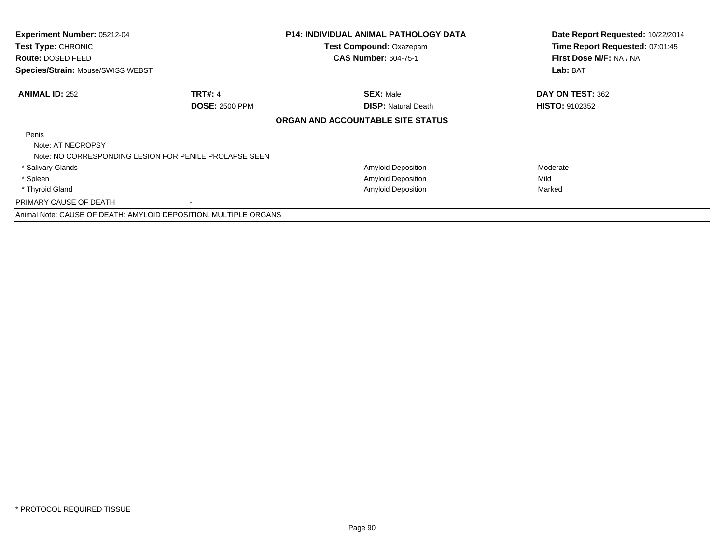| Experiment Number: 05212-04<br>Test Type: CHRONIC<br><b>Route: DOSED FEED</b><br>Species/Strain: Mouse/SWISS WEBST |                                                                  | <b>P14: INDIVIDUAL ANIMAL PATHOLOGY DATA</b><br>Test Compound: Oxazepam<br><b>CAS Number: 604-75-1</b> | Date Report Requested: 10/22/2014<br>Time Report Requested: 07:01:45<br>First Dose M/F: NA / NA<br>Lab: BAT |
|--------------------------------------------------------------------------------------------------------------------|------------------------------------------------------------------|--------------------------------------------------------------------------------------------------------|-------------------------------------------------------------------------------------------------------------|
|                                                                                                                    |                                                                  |                                                                                                        |                                                                                                             |
| <b>ANIMAL ID: 252</b>                                                                                              | <b>TRT#: 4</b>                                                   | <b>SEX: Male</b>                                                                                       | DAY ON TEST: 362                                                                                            |
|                                                                                                                    | <b>DOSE: 2500 PPM</b>                                            | <b>DISP: Natural Death</b>                                                                             | <b>HISTO: 9102352</b>                                                                                       |
|                                                                                                                    |                                                                  | ORGAN AND ACCOUNTABLE SITE STATUS                                                                      |                                                                                                             |
| Penis                                                                                                              |                                                                  |                                                                                                        |                                                                                                             |
| Note: AT NECROPSY                                                                                                  | Note: NO CORRESPONDING LESION FOR PENILE PROLAPSE SEEN           |                                                                                                        |                                                                                                             |
| * Salivary Glands                                                                                                  |                                                                  | <b>Amyloid Deposition</b>                                                                              | Moderate                                                                                                    |
| * Spleen                                                                                                           |                                                                  | Amyloid Deposition                                                                                     | Mild                                                                                                        |
| * Thyroid Gland                                                                                                    |                                                                  | <b>Amyloid Deposition</b>                                                                              | Marked                                                                                                      |
| PRIMARY CAUSE OF DEATH                                                                                             |                                                                  |                                                                                                        |                                                                                                             |
|                                                                                                                    | Animal Note: CAUSE OF DEATH: AMYLOID DEPOSITION, MULTIPLE ORGANS |                                                                                                        |                                                                                                             |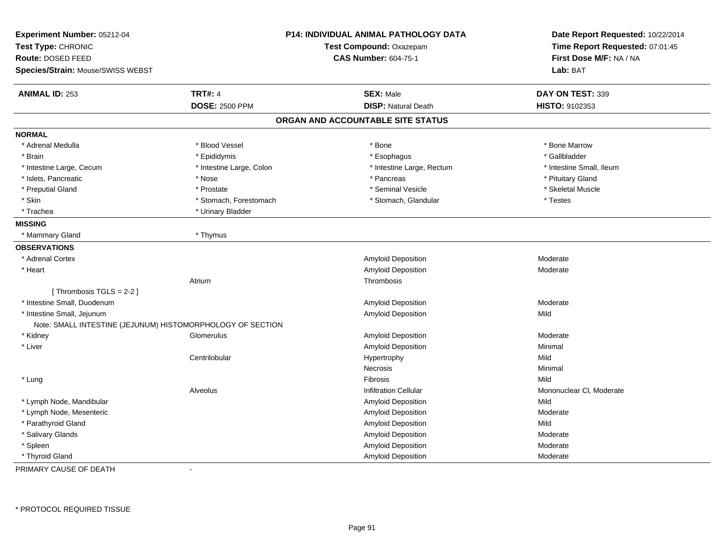| Experiment Number: 05212-04<br>Test Type: CHRONIC<br>Route: DOSED FEED<br>Species/Strain: Mouse/SWISS WEBST |                          | P14: INDIVIDUAL ANIMAL PATHOLOGY DATA<br>Test Compound: Oxazepam<br><b>CAS Number: 604-75-1</b> | Date Report Requested: 10/22/2014<br>Time Report Requested: 07:01:45<br>First Dose M/F: NA / NA<br>Lab: BAT |
|-------------------------------------------------------------------------------------------------------------|--------------------------|-------------------------------------------------------------------------------------------------|-------------------------------------------------------------------------------------------------------------|
| <b>ANIMAL ID: 253</b>                                                                                       | <b>TRT#: 4</b>           | <b>SEX: Male</b>                                                                                | DAY ON TEST: 339                                                                                            |
|                                                                                                             | <b>DOSE: 2500 PPM</b>    | <b>DISP: Natural Death</b>                                                                      | HISTO: 9102353                                                                                              |
|                                                                                                             |                          | ORGAN AND ACCOUNTABLE SITE STATUS                                                               |                                                                                                             |
| <b>NORMAL</b>                                                                                               |                          |                                                                                                 |                                                                                                             |
| * Adrenal Medulla                                                                                           | * Blood Vessel           | * Bone                                                                                          | * Bone Marrow                                                                                               |
| * Brain                                                                                                     | * Epididymis             | * Esophagus                                                                                     | * Gallbladder                                                                                               |
| * Intestine Large, Cecum                                                                                    | * Intestine Large, Colon | * Intestine Large, Rectum                                                                       | * Intestine Small, Ileum                                                                                    |
| * Islets, Pancreatic                                                                                        | * Nose                   | * Pancreas                                                                                      | * Pituitary Gland                                                                                           |
| * Preputial Gland                                                                                           | * Prostate               | * Seminal Vesicle                                                                               | * Skeletal Muscle                                                                                           |
| * Skin                                                                                                      | * Stomach, Forestomach   | * Stomach, Glandular                                                                            | * Testes                                                                                                    |
| * Trachea                                                                                                   | * Urinary Bladder        |                                                                                                 |                                                                                                             |
| <b>MISSING</b>                                                                                              |                          |                                                                                                 |                                                                                                             |
| * Mammary Gland                                                                                             | * Thymus                 |                                                                                                 |                                                                                                             |
| <b>OBSERVATIONS</b>                                                                                         |                          |                                                                                                 |                                                                                                             |
| * Adrenal Cortex                                                                                            |                          | <b>Amyloid Deposition</b>                                                                       | Moderate                                                                                                    |
| * Heart                                                                                                     |                          | Amyloid Deposition                                                                              | Moderate                                                                                                    |
|                                                                                                             | Atrium                   | Thrombosis                                                                                      |                                                                                                             |
| [Thrombosis TGLS = 2-2]                                                                                     |                          |                                                                                                 |                                                                                                             |
| * Intestine Small, Duodenum                                                                                 |                          | Amyloid Deposition                                                                              | Moderate                                                                                                    |
| * Intestine Small, Jejunum                                                                                  |                          | <b>Amyloid Deposition</b>                                                                       | Mild                                                                                                        |
| Note: SMALL INTESTINE (JEJUNUM) HISTOMORPHOLOGY OF SECTION                                                  |                          |                                                                                                 |                                                                                                             |
| * Kidney                                                                                                    | Glomerulus               | Amyloid Deposition                                                                              | Moderate                                                                                                    |
| * Liver                                                                                                     |                          | Amyloid Deposition                                                                              | Minimal                                                                                                     |
|                                                                                                             | Centrilobular            | Hypertrophy                                                                                     | Mild                                                                                                        |
|                                                                                                             |                          | Necrosis                                                                                        | Minimal                                                                                                     |
| * Lung                                                                                                      |                          | Fibrosis                                                                                        | Mild                                                                                                        |
|                                                                                                             | Alveolus                 | <b>Infiltration Cellular</b>                                                                    | Mononuclear CI, Moderate                                                                                    |
| * Lymph Node, Mandibular                                                                                    |                          | Amyloid Deposition                                                                              | Mild                                                                                                        |
| * Lymph Node, Mesenteric                                                                                    |                          | Amyloid Deposition                                                                              | Moderate                                                                                                    |
| * Parathyroid Gland                                                                                         |                          | Amyloid Deposition                                                                              | Mild                                                                                                        |
| * Salivary Glands                                                                                           |                          | Amyloid Deposition                                                                              | Moderate                                                                                                    |
| * Spleen                                                                                                    |                          | Amyloid Deposition                                                                              | Moderate                                                                                                    |
| * Thyroid Gland                                                                                             |                          | Amyloid Deposition                                                                              | Moderate                                                                                                    |

PRIMARY CAUSE OF DEATH-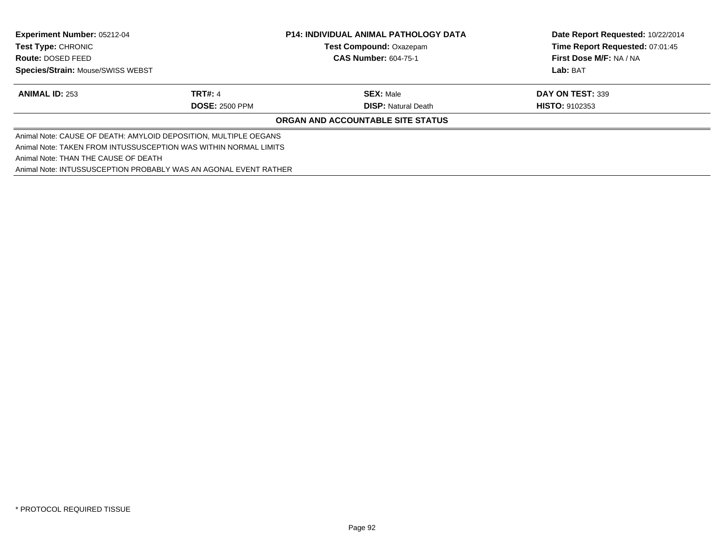| <b>Experiment Number: 05212-04</b><br><b>Test Type: CHRONIC</b><br><b>Route: DOSED FEED</b> |                       | <b>P14: INDIVIDUAL ANIMAL PATHOLOGY DATA</b><br><b>Test Compound: Oxazepam</b> | Date Report Requested: 10/22/2014<br>Time Report Requested: 07:01:45 |
|---------------------------------------------------------------------------------------------|-----------------------|--------------------------------------------------------------------------------|----------------------------------------------------------------------|
|                                                                                             |                       | <b>CAS Number: 604-75-1</b>                                                    | First Dose M/F: NA / NA                                              |
| <b>Species/Strain: Mouse/SWISS WEBST</b>                                                    |                       |                                                                                | Lab: BAT                                                             |
| <b>ANIMAL ID: 253</b>                                                                       | <b>TRT#: 4</b>        | <b>SEX: Male</b>                                                               | DAY ON TEST: 339                                                     |
|                                                                                             | <b>DOSE: 2500 PPM</b> | <b>DISP: Natural Death</b>                                                     | <b>HISTO: 9102353</b>                                                |
|                                                                                             |                       | ORGAN AND ACCOUNTABLE SITE STATUS                                              |                                                                      |
| Animal Note: CAUSE OF DEATH: AMYLOID DEPOSITION, MULTIPLE OEGANS                            |                       |                                                                                |                                                                      |
| Animal Note: TAKEN FROM INTUSSUSCEPTION WAS WITHIN NORMAL LIMITS                            |                       |                                                                                |                                                                      |
| Animal Note: THAN THE CAUSE OF DEATH                                                        |                       |                                                                                |                                                                      |
| Animal Note: INTUSSUSCEPTION PROBABLY WAS AN AGONAL EVENT RATHER                            |                       |                                                                                |                                                                      |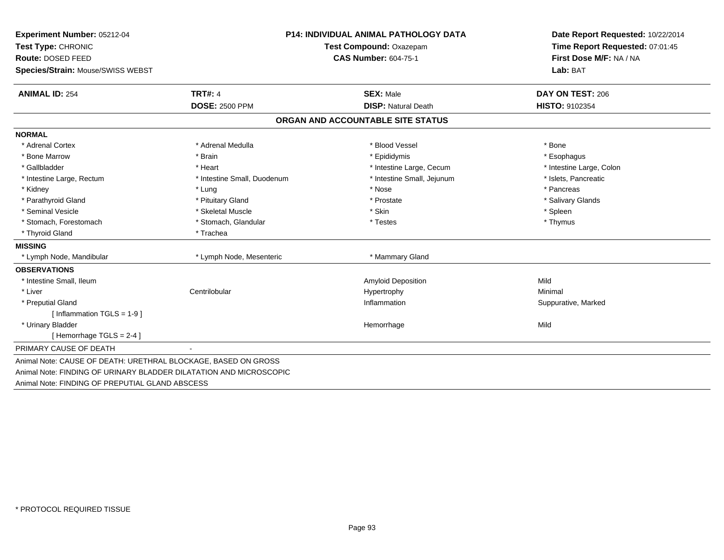| Experiment Number: 05212-04                                        |                             | P14: INDIVIDUAL ANIMAL PATHOLOGY DATA | Date Report Requested: 10/22/2014 |  |
|--------------------------------------------------------------------|-----------------------------|---------------------------------------|-----------------------------------|--|
| Test Type: CHRONIC                                                 | Test Compound: Oxazepam     |                                       | Time Report Requested: 07:01:45   |  |
| Route: DOSED FEED                                                  |                             | <b>CAS Number: 604-75-1</b>           | First Dose M/F: NA / NA           |  |
| Species/Strain: Mouse/SWISS WEBST                                  |                             |                                       | Lab: BAT                          |  |
| <b>ANIMAL ID: 254</b>                                              | <b>TRT#: 4</b>              | <b>SEX: Male</b>                      | DAY ON TEST: 206                  |  |
|                                                                    | <b>DOSE: 2500 PPM</b>       | <b>DISP: Natural Death</b>            | HISTO: 9102354                    |  |
|                                                                    |                             | ORGAN AND ACCOUNTABLE SITE STATUS     |                                   |  |
| <b>NORMAL</b>                                                      |                             |                                       |                                   |  |
| * Adrenal Cortex                                                   | * Adrenal Medulla           | * Blood Vessel                        | * Bone                            |  |
| * Bone Marrow                                                      | * Brain                     | * Epididymis                          | * Esophagus                       |  |
| * Gallbladder                                                      | * Heart                     | * Intestine Large, Cecum              | * Intestine Large, Colon          |  |
| * Intestine Large, Rectum                                          | * Intestine Small, Duodenum | * Intestine Small, Jejunum            | * Islets, Pancreatic              |  |
| * Kidney                                                           | * Lung                      | * Nose                                | * Pancreas                        |  |
| * Parathyroid Gland                                                | * Pituitary Gland           | * Prostate                            | * Salivary Glands                 |  |
| * Seminal Vesicle                                                  | * Skeletal Muscle           | * Skin                                | * Spleen                          |  |
| * Stomach, Forestomach                                             | * Stomach, Glandular        | * Testes                              | * Thymus                          |  |
| * Thyroid Gland                                                    | * Trachea                   |                                       |                                   |  |
| <b>MISSING</b>                                                     |                             |                                       |                                   |  |
| * Lymph Node, Mandibular                                           | * Lymph Node, Mesenteric    | * Mammary Gland                       |                                   |  |
| <b>OBSERVATIONS</b>                                                |                             |                                       |                                   |  |
| * Intestine Small, Ileum                                           |                             | <b>Amyloid Deposition</b>             | Mild                              |  |
| * Liver                                                            | Centrilobular               | Hypertrophy                           | Minimal                           |  |
| * Preputial Gland                                                  |                             | Inflammation                          | Suppurative, Marked               |  |
| [ Inflammation TGLS = 1-9 ]                                        |                             |                                       |                                   |  |
| * Urinary Bladder                                                  |                             | Hemorrhage                            | Mild                              |  |
| [Hemorrhage TGLS = $2-4$ ]                                         |                             |                                       |                                   |  |
| PRIMARY CAUSE OF DEATH                                             |                             |                                       |                                   |  |
| Animal Note: CAUSE OF DEATH: URETHRAL BLOCKAGE, BASED ON GROSS     |                             |                                       |                                   |  |
| Animal Note: FINDING OF URINARY BLADDER DILATATION AND MICROSCOPIC |                             |                                       |                                   |  |
| Animal Note: FINDING OF PREPUTIAL GLAND ABSCESS                    |                             |                                       |                                   |  |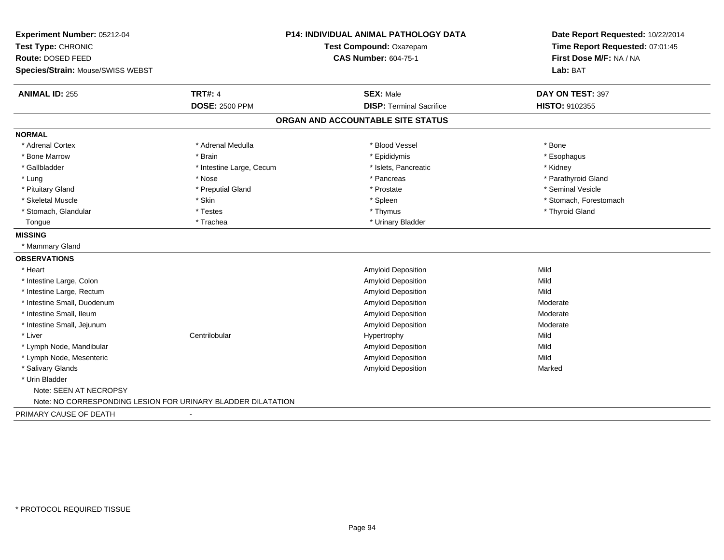| Experiment Number: 05212-04                                  |                          | <b>P14: INDIVIDUAL ANIMAL PATHOLOGY DATA</b> | Date Report Requested: 10/22/2014 |
|--------------------------------------------------------------|--------------------------|----------------------------------------------|-----------------------------------|
| Test Type: CHRONIC                                           |                          | Test Compound: Oxazepam                      | Time Report Requested: 07:01:45   |
| Route: DOSED FEED                                            |                          | <b>CAS Number: 604-75-1</b>                  | First Dose M/F: NA / NA           |
| Species/Strain: Mouse/SWISS WEBST                            |                          |                                              | Lab: BAT                          |
| <b>ANIMAL ID: 255</b>                                        | <b>TRT#: 4</b>           | <b>SEX: Male</b>                             | DAY ON TEST: 397                  |
|                                                              | <b>DOSE: 2500 PPM</b>    | <b>DISP: Terminal Sacrifice</b>              | HISTO: 9102355                    |
|                                                              |                          | ORGAN AND ACCOUNTABLE SITE STATUS            |                                   |
| <b>NORMAL</b>                                                |                          |                                              |                                   |
| * Adrenal Cortex                                             | * Adrenal Medulla        | * Blood Vessel                               | * Bone                            |
| * Bone Marrow                                                | * Brain                  | * Epididymis                                 | * Esophagus                       |
| * Gallbladder                                                | * Intestine Large, Cecum | * Islets, Pancreatic                         | * Kidney                          |
| * Lung                                                       | * Nose                   | * Pancreas                                   | * Parathyroid Gland               |
| * Pituitary Gland                                            | * Preputial Gland        | * Prostate                                   | * Seminal Vesicle                 |
| * Skeletal Muscle                                            | * Skin                   | * Spleen                                     | * Stomach, Forestomach            |
| * Stomach, Glandular                                         | * Testes                 | * Thymus                                     | * Thyroid Gland                   |
| Tongue                                                       | * Trachea                | * Urinary Bladder                            |                                   |
| <b>MISSING</b>                                               |                          |                                              |                                   |
| * Mammary Gland                                              |                          |                                              |                                   |
| <b>OBSERVATIONS</b>                                          |                          |                                              |                                   |
| * Heart                                                      |                          | Amyloid Deposition                           | Mild                              |
| * Intestine Large, Colon                                     |                          | <b>Amyloid Deposition</b>                    | Mild                              |
| * Intestine Large, Rectum                                    |                          | <b>Amyloid Deposition</b>                    | Mild                              |
| * Intestine Small, Duodenum                                  |                          | Amyloid Deposition                           | Moderate                          |
| * Intestine Small, Ileum                                     |                          | Amyloid Deposition                           | Moderate                          |
| * Intestine Small, Jejunum                                   |                          | <b>Amyloid Deposition</b>                    | Moderate                          |
| * Liver                                                      | Centrilobular            | Hypertrophy                                  | Mild                              |
| * Lymph Node, Mandibular                                     |                          | Amyloid Deposition                           | Mild                              |
| * Lymph Node, Mesenteric                                     |                          | Amyloid Deposition                           | Mild                              |
| * Salivary Glands                                            |                          | Amyloid Deposition                           | Marked                            |
| * Urin Bladder                                               |                          |                                              |                                   |
| Note: SEEN AT NECROPSY                                       |                          |                                              |                                   |
| Note: NO CORRESPONDING LESION FOR URINARY BLADDER DILATATION |                          |                                              |                                   |
| PRIMARY CAUSE OF DEATH                                       | $\blacksquare$           |                                              |                                   |
|                                                              |                          |                                              |                                   |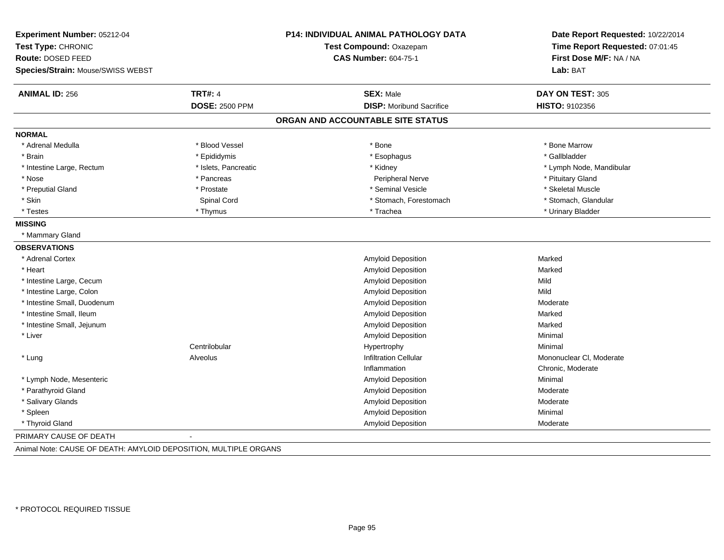| Experiment Number: 05212-04<br>Test Type: CHRONIC<br>Route: DOSED FEED<br>Species/Strain: Mouse/SWISS WEBST |                       | P14: INDIVIDUAL ANIMAL PATHOLOGY DATA<br>Test Compound: Oxazepam<br><b>CAS Number: 604-75-1</b> | Date Report Requested: 10/22/2014<br>Time Report Requested: 07:01:45<br>First Dose M/F: NA / NA<br>Lab: BAT |
|-------------------------------------------------------------------------------------------------------------|-----------------------|-------------------------------------------------------------------------------------------------|-------------------------------------------------------------------------------------------------------------|
| <b>ANIMAL ID: 256</b>                                                                                       | <b>TRT#: 4</b>        | <b>SEX: Male</b>                                                                                | DAY ON TEST: 305                                                                                            |
|                                                                                                             | <b>DOSE: 2500 PPM</b> | <b>DISP:</b> Moribund Sacrifice                                                                 | HISTO: 9102356                                                                                              |
|                                                                                                             |                       | ORGAN AND ACCOUNTABLE SITE STATUS                                                               |                                                                                                             |
| <b>NORMAL</b>                                                                                               |                       |                                                                                                 |                                                                                                             |
| * Adrenal Medulla                                                                                           | * Blood Vessel        | * Bone                                                                                          | * Bone Marrow                                                                                               |
| * Brain                                                                                                     | * Epididymis          | * Esophagus                                                                                     | * Gallbladder                                                                                               |
| * Intestine Large, Rectum                                                                                   | * Islets, Pancreatic  | * Kidney                                                                                        | * Lymph Node, Mandibular                                                                                    |
| * Nose                                                                                                      | * Pancreas            | Peripheral Nerve                                                                                | * Pituitary Gland                                                                                           |
| * Preputial Gland                                                                                           | * Prostate            | * Seminal Vesicle                                                                               | * Skeletal Muscle                                                                                           |
| * Skin                                                                                                      | Spinal Cord           | * Stomach, Forestomach                                                                          | * Stomach, Glandular                                                                                        |
| * Testes                                                                                                    | * Thymus              | * Trachea                                                                                       | * Urinary Bladder                                                                                           |
| <b>MISSING</b>                                                                                              |                       |                                                                                                 |                                                                                                             |
| * Mammary Gland                                                                                             |                       |                                                                                                 |                                                                                                             |
| <b>OBSERVATIONS</b>                                                                                         |                       |                                                                                                 |                                                                                                             |
| * Adrenal Cortex                                                                                            |                       | Amyloid Deposition                                                                              | Marked                                                                                                      |
| * Heart                                                                                                     |                       | Amyloid Deposition                                                                              | Marked                                                                                                      |
| * Intestine Large, Cecum                                                                                    |                       | Amyloid Deposition                                                                              | Mild                                                                                                        |
| * Intestine Large, Colon                                                                                    |                       | Amyloid Deposition                                                                              | Mild                                                                                                        |
| * Intestine Small, Duodenum                                                                                 |                       | Amyloid Deposition                                                                              | Moderate                                                                                                    |
| * Intestine Small, Ileum                                                                                    |                       | Amyloid Deposition                                                                              | Marked                                                                                                      |
| * Intestine Small, Jejunum                                                                                  |                       | Amyloid Deposition                                                                              | Marked                                                                                                      |
| * Liver                                                                                                     |                       | Amyloid Deposition                                                                              | Minimal                                                                                                     |
|                                                                                                             | Centrilobular         | Hypertrophy                                                                                     | Minimal                                                                                                     |
| * Lung                                                                                                      | Alveolus              | <b>Infiltration Cellular</b>                                                                    | Mononuclear CI, Moderate                                                                                    |
|                                                                                                             |                       | Inflammation                                                                                    | Chronic, Moderate                                                                                           |
| * Lymph Node, Mesenteric                                                                                    |                       | Amyloid Deposition                                                                              | Minimal                                                                                                     |
| * Parathyroid Gland                                                                                         |                       | Amyloid Deposition                                                                              | Moderate                                                                                                    |
| * Salivary Glands                                                                                           |                       | Amyloid Deposition                                                                              | Moderate                                                                                                    |
| * Spleen                                                                                                    |                       | Amyloid Deposition                                                                              | Minimal                                                                                                     |
| * Thyroid Gland                                                                                             |                       | Amyloid Deposition                                                                              | Moderate                                                                                                    |
| PRIMARY CAUSE OF DEATH                                                                                      |                       |                                                                                                 |                                                                                                             |

Animal Note: CAUSE OF DEATH: AMYLOID DEPOSITION, MULTIPLE ORGANS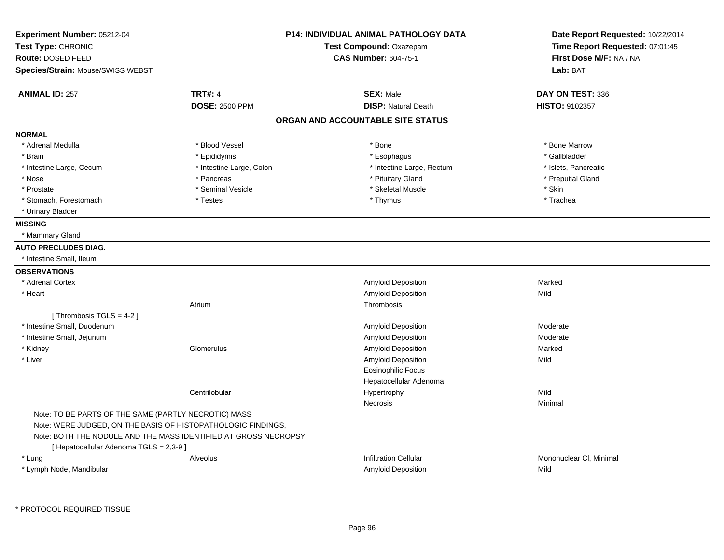| Experiment Number: 05212-04                                     |                          | <b>P14: INDIVIDUAL ANIMAL PATHOLOGY DATA</b> | Date Report Requested: 10/22/2014<br>Time Report Requested: 07:01:45 |
|-----------------------------------------------------------------|--------------------------|----------------------------------------------|----------------------------------------------------------------------|
| Test Type: CHRONIC                                              |                          | Test Compound: Oxazepam                      |                                                                      |
| Route: DOSED FEED                                               |                          | <b>CAS Number: 604-75-1</b>                  | First Dose M/F: NA / NA                                              |
| Species/Strain: Mouse/SWISS WEBST                               |                          |                                              | Lab: BAT                                                             |
| <b>ANIMAL ID: 257</b>                                           | <b>TRT#: 4</b>           | <b>SEX: Male</b>                             | DAY ON TEST: 336                                                     |
|                                                                 | <b>DOSE: 2500 PPM</b>    | <b>DISP: Natural Death</b>                   | HISTO: 9102357                                                       |
|                                                                 |                          | ORGAN AND ACCOUNTABLE SITE STATUS            |                                                                      |
| <b>NORMAL</b>                                                   |                          |                                              |                                                                      |
| * Adrenal Medulla                                               | * Blood Vessel           | * Bone                                       | * Bone Marrow                                                        |
| * Brain                                                         | * Epididymis             | * Esophagus                                  | * Gallbladder                                                        |
| * Intestine Large, Cecum                                        | * Intestine Large, Colon | * Intestine Large, Rectum                    | * Islets, Pancreatic                                                 |
| * Nose                                                          | * Pancreas               | * Pituitary Gland                            | * Preputial Gland                                                    |
| * Prostate                                                      | * Seminal Vesicle        | * Skeletal Muscle                            | * Skin                                                               |
| * Stomach, Forestomach                                          | * Testes                 | * Thymus                                     | * Trachea                                                            |
| * Urinary Bladder                                               |                          |                                              |                                                                      |
| <b>MISSING</b>                                                  |                          |                                              |                                                                      |
| * Mammary Gland                                                 |                          |                                              |                                                                      |
| <b>AUTO PRECLUDES DIAG.</b>                                     |                          |                                              |                                                                      |
| * Intestine Small, Ileum                                        |                          |                                              |                                                                      |
| <b>OBSERVATIONS</b>                                             |                          |                                              |                                                                      |
| * Adrenal Cortex                                                |                          | Amyloid Deposition                           | Marked                                                               |
| * Heart                                                         |                          | Amyloid Deposition                           | Mild                                                                 |
|                                                                 | Atrium                   | Thrombosis                                   |                                                                      |
| [Thrombosis TGLS = 4-2]                                         |                          |                                              |                                                                      |
| * Intestine Small, Duodenum                                     |                          | Amyloid Deposition                           | Moderate                                                             |
| * Intestine Small, Jejunum                                      |                          | <b>Amyloid Deposition</b>                    | Moderate                                                             |
| * Kidney                                                        | Glomerulus               | Amyloid Deposition                           | Marked                                                               |
| * Liver                                                         |                          | Amyloid Deposition                           | Mild                                                                 |
|                                                                 |                          | <b>Eosinophilic Focus</b>                    |                                                                      |
|                                                                 |                          | Hepatocellular Adenoma                       |                                                                      |
|                                                                 | Centrilobular            | Hypertrophy                                  | Mild                                                                 |
|                                                                 |                          | <b>Necrosis</b>                              | Minimal                                                              |
| Note: TO BE PARTS OF THE SAME (PARTLY NECROTIC) MASS            |                          |                                              |                                                                      |
| Note: WERE JUDGED, ON THE BASIS OF HISTOPATHOLOGIC FINDINGS,    |                          |                                              |                                                                      |
| Note: BOTH THE NODULE AND THE MASS IDENTIFIED AT GROSS NECROPSY |                          |                                              |                                                                      |
| [ Hepatocellular Adenoma TGLS = 2,3-9 ]                         |                          |                                              |                                                                      |
| * Lung                                                          | Alveolus                 | <b>Infiltration Cellular</b>                 | Mononuclear CI, Minimal                                              |
| * Lymph Node, Mandibular                                        |                          | Amyloid Deposition                           | Mild                                                                 |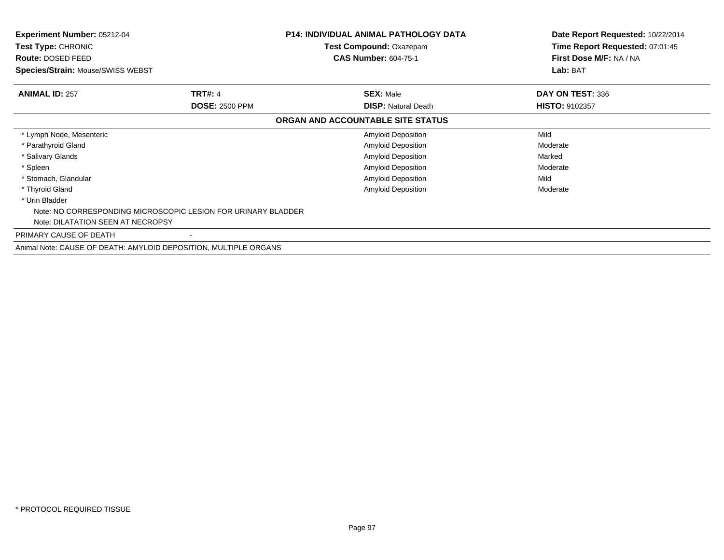| <b>Experiment Number: 05212-04</b><br>Test Type: CHRONIC<br>Route: DOSED FEED<br><b>Species/Strain: Mouse/SWISS WEBST</b> |                                                               | <b>P14: INDIVIDUAL ANIMAL PATHOLOGY DATA</b><br>Test Compound: Oxazepam<br><b>CAS Number: 604-75-1</b> | Date Report Requested: 10/22/2014<br>Time Report Requested: 07:01:45<br>First Dose M/F: NA / NA<br>Lab: BAT |
|---------------------------------------------------------------------------------------------------------------------------|---------------------------------------------------------------|--------------------------------------------------------------------------------------------------------|-------------------------------------------------------------------------------------------------------------|
| <b>ANIMAL ID: 257</b>                                                                                                     | <b>TRT#: 4</b>                                                | <b>SEX: Male</b>                                                                                       | DAY ON TEST: 336                                                                                            |
|                                                                                                                           | <b>DOSE: 2500 PPM</b>                                         | <b>DISP: Natural Death</b>                                                                             | <b>HISTO: 9102357</b>                                                                                       |
|                                                                                                                           |                                                               | ORGAN AND ACCOUNTABLE SITE STATUS                                                                      |                                                                                                             |
| * Lymph Node, Mesenteric                                                                                                  |                                                               | Amyloid Deposition                                                                                     | Mild                                                                                                        |
| * Parathyroid Gland                                                                                                       |                                                               | Amyloid Deposition                                                                                     | Moderate                                                                                                    |
| * Salivary Glands                                                                                                         |                                                               | <b>Amyloid Deposition</b>                                                                              | Marked                                                                                                      |
| * Spleen                                                                                                                  |                                                               | <b>Amyloid Deposition</b>                                                                              | Moderate                                                                                                    |
| * Stomach, Glandular                                                                                                      |                                                               | <b>Amyloid Deposition</b>                                                                              | Mild                                                                                                        |
| * Thyroid Gland                                                                                                           |                                                               | Amyloid Deposition                                                                                     | Moderate                                                                                                    |
| * Urin Bladder                                                                                                            |                                                               |                                                                                                        |                                                                                                             |
|                                                                                                                           | Note: NO CORRESPONDING MICROSCOPIC LESION FOR URINARY BLADDER |                                                                                                        |                                                                                                             |
| Note: DILATATION SEEN AT NECROPSY                                                                                         |                                                               |                                                                                                        |                                                                                                             |
| PRIMARY CAUSE OF DEATH                                                                                                    |                                                               |                                                                                                        |                                                                                                             |
|                                                                                                                           |                                                               |                                                                                                        |                                                                                                             |

Animal Note: CAUSE OF DEATH: AMYLOID DEPOSITION, MULTIPLE ORGANS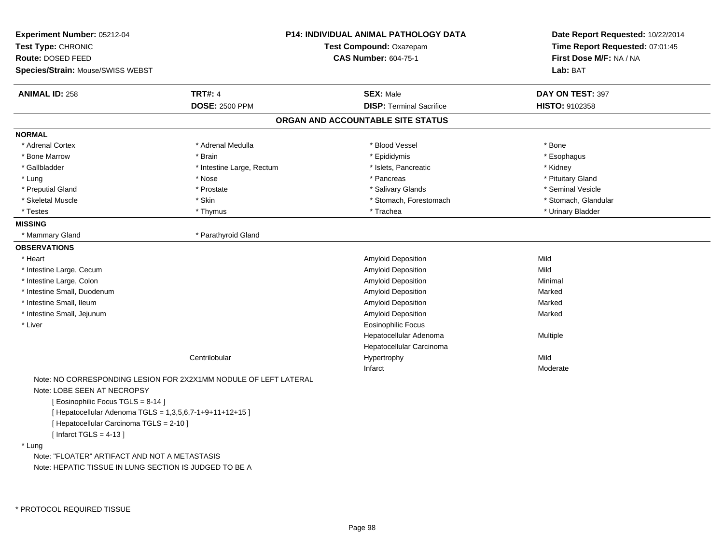| Experiment Number: 05212-04                                      |                           | <b>P14: INDIVIDUAL ANIMAL PATHOLOGY DATA</b> | Date Report Requested: 10/22/2014 |
|------------------------------------------------------------------|---------------------------|----------------------------------------------|-----------------------------------|
| Test Type: CHRONIC                                               | Test Compound: Oxazepam   |                                              | Time Report Requested: 07:01:45   |
| Route: DOSED FEED                                                |                           | <b>CAS Number: 604-75-1</b>                  | First Dose M/F: NA / NA           |
| <b>Species/Strain: Mouse/SWISS WEBST</b>                         |                           |                                              | Lab: BAT                          |
| <b>ANIMAL ID: 258</b>                                            | <b>TRT#: 4</b>            | <b>SEX: Male</b>                             | DAY ON TEST: 397                  |
|                                                                  | <b>DOSE: 2500 PPM</b>     | <b>DISP: Terminal Sacrifice</b>              | HISTO: 9102358                    |
|                                                                  |                           | ORGAN AND ACCOUNTABLE SITE STATUS            |                                   |
| <b>NORMAL</b>                                                    |                           |                                              |                                   |
| * Adrenal Cortex                                                 | * Adrenal Medulla         | * Blood Vessel                               | * Bone                            |
| * Bone Marrow                                                    | * Brain                   | * Epididymis                                 | * Esophagus                       |
| * Gallbladder                                                    | * Intestine Large, Rectum | * Islets, Pancreatic                         | * Kidney                          |
| * Lung                                                           | * Nose                    | * Pancreas                                   | * Pituitary Gland                 |
| * Preputial Gland                                                | * Prostate                | * Salivary Glands                            | * Seminal Vesicle                 |
| * Skeletal Muscle                                                | * Skin                    | * Stomach, Forestomach                       | * Stomach, Glandular              |
| * Testes                                                         | * Thymus                  | * Trachea                                    | * Urinary Bladder                 |
| <b>MISSING</b>                                                   |                           |                                              |                                   |
| * Mammary Gland                                                  | * Parathyroid Gland       |                                              |                                   |
| <b>OBSERVATIONS</b>                                              |                           |                                              |                                   |
| * Heart                                                          |                           | Amyloid Deposition                           | Mild                              |
| * Intestine Large, Cecum                                         |                           | Amyloid Deposition                           | Mild                              |
| * Intestine Large, Colon                                         |                           | Amyloid Deposition                           | Minimal                           |
| * Intestine Small, Duodenum                                      |                           | Amyloid Deposition                           | Marked                            |
| * Intestine Small, Ileum                                         |                           | Amyloid Deposition                           | Marked                            |
| * Intestine Small, Jejunum                                       |                           | Amyloid Deposition                           | Marked                            |
| * Liver                                                          |                           | Eosinophilic Focus                           |                                   |
|                                                                  |                           | Hepatocellular Adenoma                       | Multiple                          |
|                                                                  |                           | Hepatocellular Carcinoma                     |                                   |
|                                                                  | Centrilobular             | Hypertrophy                                  | Mild                              |
|                                                                  |                           | Infarct                                      | Moderate                          |
| Note: NO CORRESPONDING LESION FOR 2X2X1MM NODULE OF LEFT LATERAL |                           |                                              |                                   |
| Note: LOBE SEEN AT NECROPSY                                      |                           |                                              |                                   |
| [ Eosinophilic Focus TGLS = 8-14 ]                               |                           |                                              |                                   |
| [ Hepatocellular Adenoma TGLS = 1,3,5,6,7-1+9+11+12+15 ]         |                           |                                              |                                   |
| [ Hepatocellular Carcinoma TGLS = 2-10 ]                         |                           |                                              |                                   |

[ Infarct TGLS = 4-13 ]

## \* Lung

 Note: "FLOATER" ARTIFACT AND NOT A METASTASISNote: HEPATIC TISSUE IN LUNG SECTION IS JUDGED TO BE A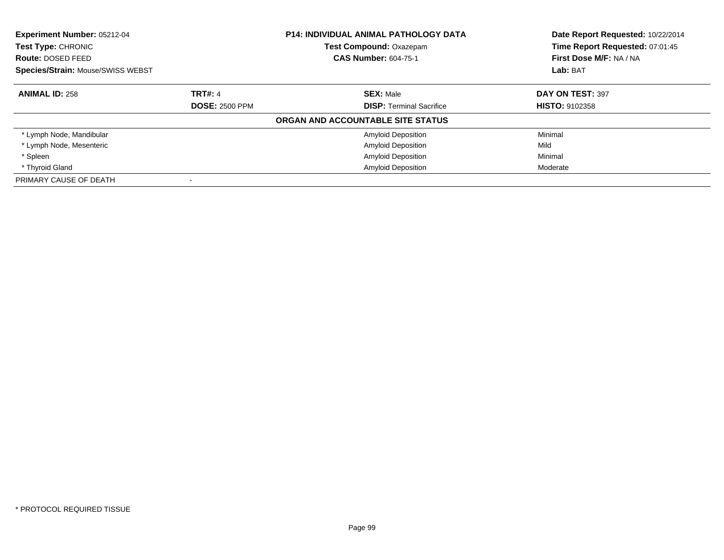| <b>Experiment Number: 05212-04</b><br><b>Test Type: CHRONIC</b> |                       | <b>P14: INDIVIDUAL ANIMAL PATHOLOGY DATA</b> | Date Report Requested: 10/22/2014<br>Time Report Requested: 07:01:45 |
|-----------------------------------------------------------------|-----------------------|----------------------------------------------|----------------------------------------------------------------------|
|                                                                 |                       | <b>Test Compound: Oxazepam</b>               |                                                                      |
| Route: DOSED FEED                                               |                       | <b>CAS Number: 604-75-1</b>                  | First Dose M/F: NA / NA                                              |
| <b>Species/Strain: Mouse/SWISS WEBST</b>                        |                       |                                              | Lab: BAT                                                             |
| <b>ANIMAL ID: 258</b>                                           | <b>TRT#: 4</b>        | <b>SEX: Male</b>                             | DAY ON TEST: 397                                                     |
|                                                                 | <b>DOSE: 2500 PPM</b> | <b>DISP:</b> Terminal Sacrifice              | <b>HISTO: 9102358</b>                                                |
|                                                                 |                       | ORGAN AND ACCOUNTABLE SITE STATUS            |                                                                      |
| * Lymph Node, Mandibular                                        |                       | <b>Amyloid Deposition</b>                    | Minimal                                                              |
| * Lymph Node, Mesenteric                                        |                       | <b>Amyloid Deposition</b>                    | Mild                                                                 |
| * Spleen                                                        |                       | <b>Amyloid Deposition</b>                    | Minimal                                                              |
| * Thyroid Gland                                                 |                       | <b>Amyloid Deposition</b>                    | Moderate                                                             |
| PRIMARY CAUSE OF DEATH                                          |                       |                                              |                                                                      |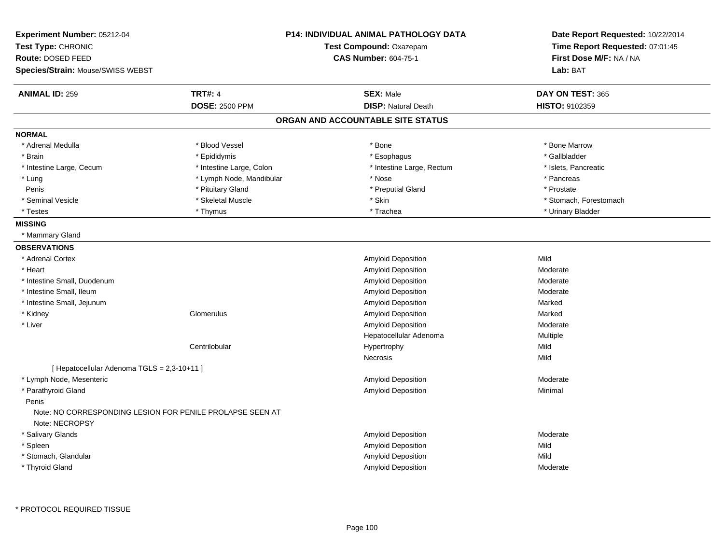|                                                           |                             | Date Report Requested: 10/22/2014                                                                                                                   |  |
|-----------------------------------------------------------|-----------------------------|-----------------------------------------------------------------------------------------------------------------------------------------------------|--|
|                                                           | Test Compound: Oxazepam     | Time Report Requested: 07:01:45                                                                                                                     |  |
|                                                           | <b>CAS Number: 604-75-1</b> | First Dose M/F: NA / NA                                                                                                                             |  |
|                                                           |                             | Lab: BAT                                                                                                                                            |  |
| <b>TRT#: 4</b>                                            | <b>SEX: Male</b>            | DAY ON TEST: 365                                                                                                                                    |  |
| <b>DOSE: 2500 PPM</b>                                     | <b>DISP: Natural Death</b>  | <b>HISTO: 9102359</b>                                                                                                                               |  |
|                                                           |                             |                                                                                                                                                     |  |
|                                                           |                             |                                                                                                                                                     |  |
| * Blood Vessel                                            | * Bone                      | * Bone Marrow                                                                                                                                       |  |
| * Epididymis                                              | * Esophagus                 | * Gallbladder                                                                                                                                       |  |
| * Intestine Large, Colon                                  | * Intestine Large, Rectum   | * Islets, Pancreatic                                                                                                                                |  |
|                                                           | * Nose                      | * Pancreas                                                                                                                                          |  |
| * Pituitary Gland                                         | * Preputial Gland           | * Prostate                                                                                                                                          |  |
| * Skeletal Muscle                                         | * Skin                      | * Stomach, Forestomach                                                                                                                              |  |
| * Thymus                                                  | * Trachea                   | * Urinary Bladder                                                                                                                                   |  |
|                                                           |                             |                                                                                                                                                     |  |
|                                                           |                             |                                                                                                                                                     |  |
|                                                           |                             |                                                                                                                                                     |  |
|                                                           | <b>Amyloid Deposition</b>   | Mild                                                                                                                                                |  |
|                                                           | Amyloid Deposition          | Moderate                                                                                                                                            |  |
|                                                           | Amyloid Deposition          | Moderate                                                                                                                                            |  |
|                                                           | Amyloid Deposition          | Moderate                                                                                                                                            |  |
|                                                           | Amyloid Deposition          | Marked                                                                                                                                              |  |
| Glomerulus                                                | Amyloid Deposition          | Marked                                                                                                                                              |  |
|                                                           | Amyloid Deposition          | Moderate                                                                                                                                            |  |
|                                                           | Hepatocellular Adenoma      | Multiple                                                                                                                                            |  |
| Centrilobular                                             | Hypertrophy                 | Mild                                                                                                                                                |  |
|                                                           | Necrosis                    | Mild                                                                                                                                                |  |
| [ Hepatocellular Adenoma TGLS = 2,3-10+11 ]               |                             |                                                                                                                                                     |  |
|                                                           | Amyloid Deposition          | Moderate                                                                                                                                            |  |
|                                                           | Amyloid Deposition          | Minimal                                                                                                                                             |  |
| Note: NO CORRESPONDING LESION FOR PENILE PROLAPSE SEEN AT |                             |                                                                                                                                                     |  |
|                                                           |                             | Moderate                                                                                                                                            |  |
|                                                           |                             | Mild                                                                                                                                                |  |
|                                                           |                             | Mild                                                                                                                                                |  |
|                                                           |                             |                                                                                                                                                     |  |
|                                                           | * Lymph Node, Mandibular    | <b>P14: INDIVIDUAL ANIMAL PATHOLOGY DATA</b><br>ORGAN AND ACCOUNTABLE SITE STATUS<br>Amyloid Deposition<br>Amyloid Deposition<br>Amyloid Deposition |  |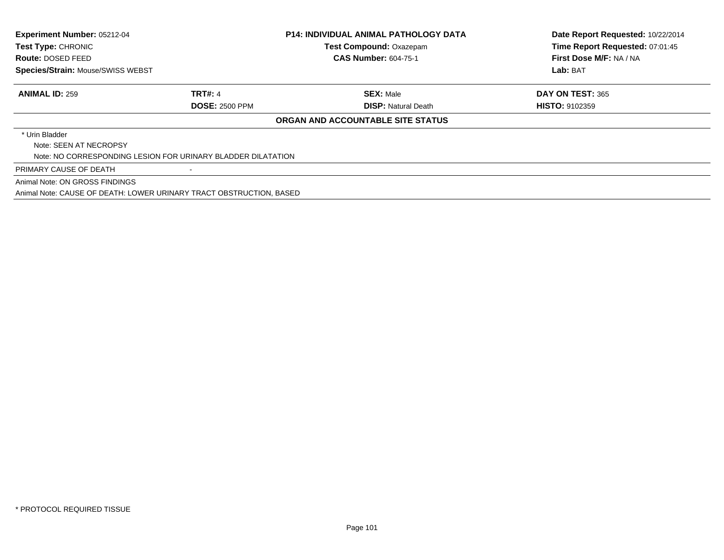| Experiment Number: 05212-04<br>Test Type: CHRONIC<br>Route: DOSED FEED<br>Species/Strain: Mouse/SWISS WEBST |                       | <b>P14: INDIVIDUAL ANIMAL PATHOLOGY DATA</b><br><b>Test Compound: Oxazepam</b><br><b>CAS Number: 604-75-1</b> | Date Report Requested: 10/22/2014<br>Time Report Requested: 07:01:45<br>First Dose M/F: NA / NA<br>Lab: BAT |
|-------------------------------------------------------------------------------------------------------------|-----------------------|---------------------------------------------------------------------------------------------------------------|-------------------------------------------------------------------------------------------------------------|
| <b>ANIMAL ID: 259</b>                                                                                       | <b>TRT#: 4</b>        | <b>SEX: Male</b>                                                                                              | DAY ON TEST: 365                                                                                            |
|                                                                                                             | <b>DOSE: 2500 PPM</b> | <b>DISP: Natural Death</b>                                                                                    | <b>HISTO: 9102359</b>                                                                                       |
|                                                                                                             |                       | ORGAN AND ACCOUNTABLE SITE STATUS                                                                             |                                                                                                             |
| * Urin Bladder                                                                                              |                       |                                                                                                               |                                                                                                             |
| Note: SEEN AT NECROPSY                                                                                      |                       |                                                                                                               |                                                                                                             |
| Note: NO CORRESPONDING LESION FOR URINARY BLADDER DILATATION                                                |                       |                                                                                                               |                                                                                                             |
| PRIMARY CAUSE OF DEATH                                                                                      |                       |                                                                                                               |                                                                                                             |
| Animal Note: ON GROSS FINDINGS                                                                              |                       |                                                                                                               |                                                                                                             |
| Animal Note: CAUSE OF DEATH: LOWER URINARY TRACT OBSTRUCTION, BASED                                         |                       |                                                                                                               |                                                                                                             |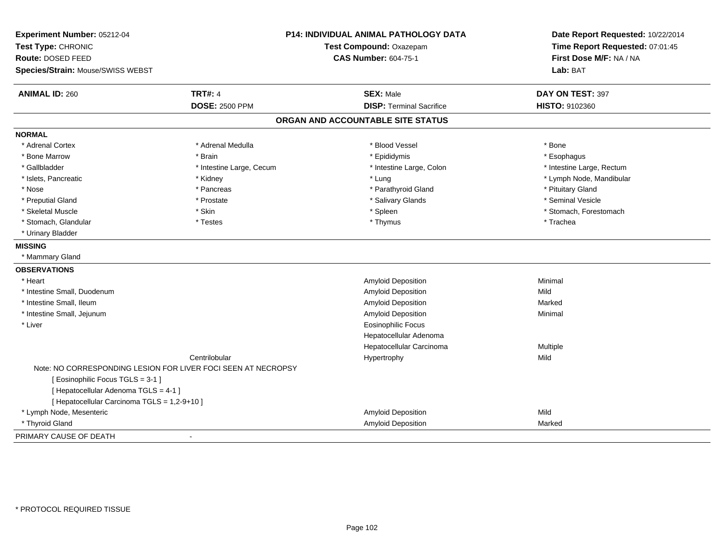| Experiment Number: 05212-04<br>Test Type: CHRONIC<br>Route: DOSED FEED<br>Species/Strain: Mouse/SWISS WEBST |                          | P14: INDIVIDUAL ANIMAL PATHOLOGY DATA<br>Test Compound: Oxazepam<br><b>CAS Number: 604-75-1</b> | Date Report Requested: 10/22/2014<br>Time Report Requested: 07:01:45<br>First Dose M/F: NA / NA<br>Lab: BAT |
|-------------------------------------------------------------------------------------------------------------|--------------------------|-------------------------------------------------------------------------------------------------|-------------------------------------------------------------------------------------------------------------|
| <b>ANIMAL ID: 260</b>                                                                                       | <b>TRT#: 4</b>           | <b>SEX: Male</b>                                                                                | DAY ON TEST: 397                                                                                            |
|                                                                                                             | <b>DOSE: 2500 PPM</b>    | <b>DISP: Terminal Sacrifice</b>                                                                 | HISTO: 9102360                                                                                              |
|                                                                                                             |                          | ORGAN AND ACCOUNTABLE SITE STATUS                                                               |                                                                                                             |
| <b>NORMAL</b>                                                                                               |                          |                                                                                                 |                                                                                                             |
| * Adrenal Cortex                                                                                            | * Adrenal Medulla        | * Blood Vessel                                                                                  | * Bone                                                                                                      |
| * Bone Marrow                                                                                               | * Brain                  | * Epididymis                                                                                    | * Esophagus                                                                                                 |
| * Gallbladder                                                                                               | * Intestine Large, Cecum | * Intestine Large, Colon                                                                        | * Intestine Large, Rectum                                                                                   |
| * Islets, Pancreatic                                                                                        | * Kidney                 | * Lung                                                                                          | * Lymph Node, Mandibular                                                                                    |
| * Nose                                                                                                      | * Pancreas               | * Parathyroid Gland                                                                             | * Pituitary Gland                                                                                           |
| * Preputial Gland                                                                                           | * Prostate               | * Salivary Glands                                                                               | * Seminal Vesicle                                                                                           |
| * Skeletal Muscle                                                                                           | * Skin                   | * Spleen                                                                                        | * Stomach, Forestomach                                                                                      |
| * Stomach, Glandular                                                                                        | * Testes                 | * Thymus                                                                                        | * Trachea                                                                                                   |
| * Urinary Bladder                                                                                           |                          |                                                                                                 |                                                                                                             |
| <b>MISSING</b>                                                                                              |                          |                                                                                                 |                                                                                                             |
| * Mammary Gland                                                                                             |                          |                                                                                                 |                                                                                                             |
| <b>OBSERVATIONS</b>                                                                                         |                          |                                                                                                 |                                                                                                             |
| * Heart                                                                                                     |                          | Amyloid Deposition                                                                              | Minimal                                                                                                     |
| * Intestine Small, Duodenum                                                                                 |                          | <b>Amyloid Deposition</b>                                                                       | Mild                                                                                                        |
| * Intestine Small, Ileum                                                                                    |                          | <b>Amyloid Deposition</b>                                                                       | Marked                                                                                                      |
| * Intestine Small, Jejunum                                                                                  |                          | Amyloid Deposition                                                                              | Minimal                                                                                                     |
| * Liver                                                                                                     |                          | <b>Eosinophilic Focus</b>                                                                       |                                                                                                             |
|                                                                                                             |                          | Hepatocellular Adenoma                                                                          |                                                                                                             |
|                                                                                                             |                          | Hepatocellular Carcinoma                                                                        | Multiple                                                                                                    |
|                                                                                                             | Centrilobular            | Hypertrophy                                                                                     | Mild                                                                                                        |
| Note: NO CORRESPONDING LESION FOR LIVER FOCI SEEN AT NECROPSY                                               |                          |                                                                                                 |                                                                                                             |
| [Eosinophilic Focus TGLS = 3-1]                                                                             |                          |                                                                                                 |                                                                                                             |
| [ Hepatocellular Adenoma TGLS = 4-1 ]                                                                       |                          |                                                                                                 |                                                                                                             |
| [ Hepatocellular Carcinoma TGLS = 1,2-9+10 ]                                                                |                          |                                                                                                 |                                                                                                             |
| * Lymph Node, Mesenteric                                                                                    |                          | Amyloid Deposition                                                                              | Mild                                                                                                        |
| * Thyroid Gland                                                                                             |                          | Amyloid Deposition                                                                              | Marked                                                                                                      |
| PRIMARY CAUSE OF DEATH                                                                                      | $\blacksquare$           |                                                                                                 |                                                                                                             |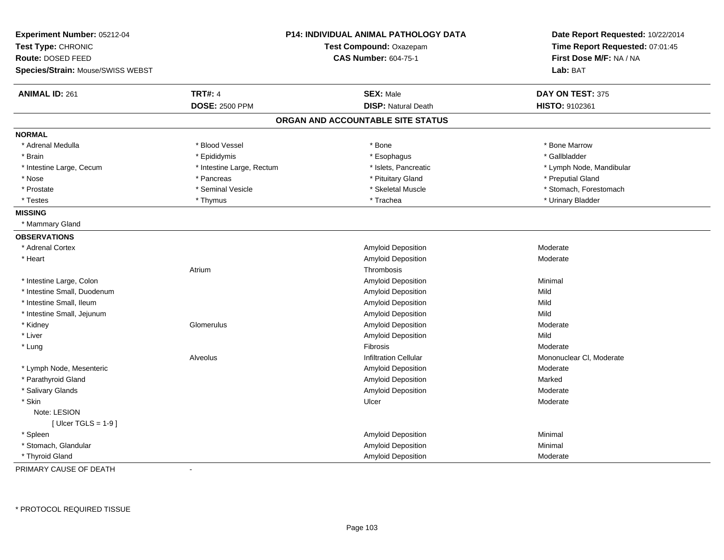| Experiment Number: 05212-04<br>Test Type: CHRONIC<br>Route: DOSED FEED<br>Species/Strain: Mouse/SWISS WEBST |                           | <b>P14: INDIVIDUAL ANIMAL PATHOLOGY DATA</b><br>Test Compound: Oxazepam<br><b>CAS Number: 604-75-1</b> | Date Report Requested: 10/22/2014<br>Time Report Requested: 07:01:45<br>First Dose M/F: NA / NA<br>Lab: BAT |
|-------------------------------------------------------------------------------------------------------------|---------------------------|--------------------------------------------------------------------------------------------------------|-------------------------------------------------------------------------------------------------------------|
|                                                                                                             |                           |                                                                                                        |                                                                                                             |
| <b>ANIMAL ID: 261</b>                                                                                       | <b>TRT#: 4</b>            | <b>SEX: Male</b>                                                                                       | DAY ON TEST: 375                                                                                            |
|                                                                                                             | <b>DOSE: 2500 PPM</b>     | <b>DISP: Natural Death</b>                                                                             | HISTO: 9102361                                                                                              |
|                                                                                                             |                           | ORGAN AND ACCOUNTABLE SITE STATUS                                                                      |                                                                                                             |
| <b>NORMAL</b>                                                                                               |                           |                                                                                                        |                                                                                                             |
| * Adrenal Medulla                                                                                           | * Blood Vessel            | * Bone                                                                                                 | * Bone Marrow                                                                                               |
| * Brain                                                                                                     | * Epididymis              | * Esophagus                                                                                            | * Gallbladder                                                                                               |
| * Intestine Large, Cecum                                                                                    | * Intestine Large, Rectum | * Islets, Pancreatic                                                                                   | * Lymph Node, Mandibular                                                                                    |
| * Nose                                                                                                      | * Pancreas                | * Pituitary Gland                                                                                      | * Preputial Gland                                                                                           |
| * Prostate                                                                                                  | * Seminal Vesicle         | * Skeletal Muscle                                                                                      | * Stomach, Forestomach                                                                                      |
| * Testes                                                                                                    | * Thymus                  | * Trachea                                                                                              | * Urinary Bladder                                                                                           |
| <b>MISSING</b>                                                                                              |                           |                                                                                                        |                                                                                                             |
| * Mammary Gland                                                                                             |                           |                                                                                                        |                                                                                                             |
| <b>OBSERVATIONS</b>                                                                                         |                           |                                                                                                        |                                                                                                             |
| * Adrenal Cortex                                                                                            |                           | Amyloid Deposition                                                                                     | Moderate                                                                                                    |
| * Heart                                                                                                     |                           | <b>Amyloid Deposition</b>                                                                              | Moderate                                                                                                    |
|                                                                                                             | Atrium                    | Thrombosis                                                                                             |                                                                                                             |
| * Intestine Large, Colon                                                                                    |                           | Amyloid Deposition                                                                                     | Minimal                                                                                                     |
| * Intestine Small, Duodenum                                                                                 |                           | Amyloid Deposition                                                                                     | Mild                                                                                                        |
| * Intestine Small, Ileum                                                                                    |                           | Amyloid Deposition                                                                                     | Mild                                                                                                        |
| * Intestine Small, Jejunum                                                                                  |                           | <b>Amyloid Deposition</b>                                                                              | Mild                                                                                                        |
| * Kidney                                                                                                    | Glomerulus                | Amyloid Deposition                                                                                     | Moderate                                                                                                    |
| * Liver                                                                                                     |                           | <b>Amyloid Deposition</b>                                                                              | Mild                                                                                                        |
| * Lung                                                                                                      |                           | Fibrosis                                                                                               | Moderate                                                                                                    |
|                                                                                                             | Alveolus                  | <b>Infiltration Cellular</b>                                                                           | Mononuclear CI, Moderate                                                                                    |
| * Lymph Node, Mesenteric                                                                                    |                           | Amyloid Deposition                                                                                     | Moderate                                                                                                    |
| * Parathyroid Gland                                                                                         |                           | Amyloid Deposition                                                                                     | Marked                                                                                                      |
| * Salivary Glands                                                                                           |                           | Amyloid Deposition                                                                                     | Moderate                                                                                                    |
| * Skin                                                                                                      |                           | Ulcer                                                                                                  | Moderate                                                                                                    |
| Note: LESION                                                                                                |                           |                                                                                                        |                                                                                                             |
| [ Ulcer TGLS = $1-9$ ]                                                                                      |                           |                                                                                                        |                                                                                                             |
| * Spleen                                                                                                    |                           | <b>Amyloid Deposition</b>                                                                              | Minimal                                                                                                     |
| * Stomach, Glandular                                                                                        |                           | <b>Amyloid Deposition</b>                                                                              | Minimal                                                                                                     |
| * Thyroid Gland                                                                                             |                           | <b>Amyloid Deposition</b>                                                                              | Moderate                                                                                                    |

PRIMARY CAUSE OF DEATH-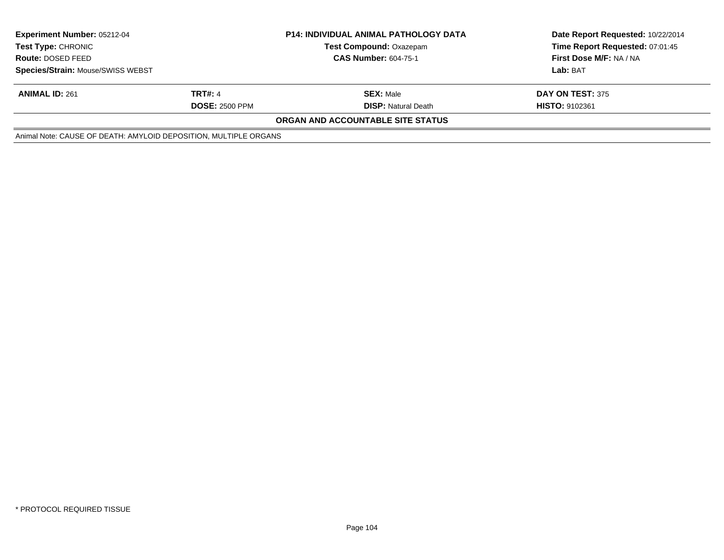| <b>Experiment Number: 05212-04</b>                               |                       | <b>P14: INDIVIDUAL ANIMAL PATHOLOGY DATA</b> | Date Report Requested: 10/22/2014 |  |
|------------------------------------------------------------------|-----------------------|----------------------------------------------|-----------------------------------|--|
| <b>Test Type: CHRONIC</b>                                        |                       | <b>Test Compound: Oxazepam</b>               | Time Report Requested: 07:01:45   |  |
| <b>Route: DOSED FEED</b>                                         |                       | <b>CAS Number: 604-75-1</b>                  | First Dose M/F: NA / NA           |  |
| Species/Strain: Mouse/SWISS WEBST                                |                       |                                              | Lab: BAT                          |  |
| <b>ANIMAL ID: 261</b>                                            | <b>TRT#: 4</b>        | <b>SEX: Male</b>                             | DAY ON TEST: 375                  |  |
|                                                                  | <b>DOSE: 2500 PPM</b> | <b>DISP:</b> Natural Death                   | <b>HISTO: 9102361</b>             |  |
|                                                                  |                       | <b>ORGAN AND ACCOUNTABLE SITE STATUS</b>     |                                   |  |
| Animal Note: CAUSE OF DEATH: AMYLOID DEPOSITION, MULTIPLE ORGANS |                       |                                              |                                   |  |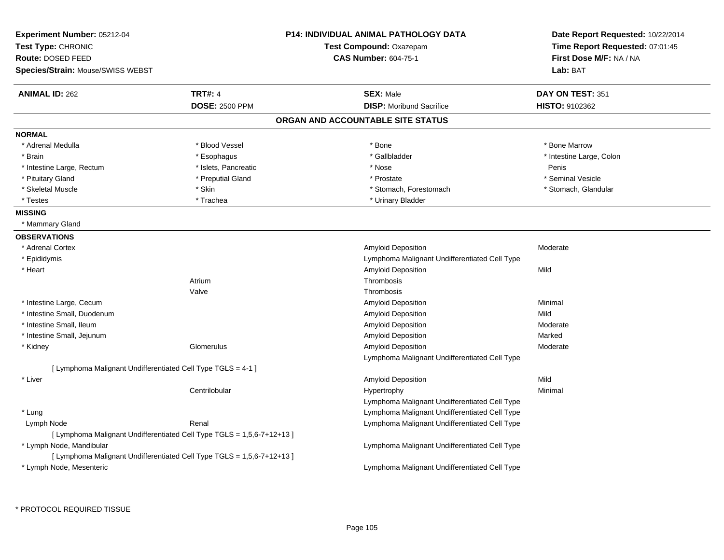| Experiment Number: 05212-04                                  |                                                                        | <b>P14: INDIVIDUAL ANIMAL PATHOLOGY DATA</b>  | Date Report Requested: 10/22/2014 |
|--------------------------------------------------------------|------------------------------------------------------------------------|-----------------------------------------------|-----------------------------------|
| Test Type: CHRONIC                                           |                                                                        | Test Compound: Oxazepam                       | Time Report Requested: 07:01:45   |
| Route: DOSED FEED                                            |                                                                        | <b>CAS Number: 604-75-1</b>                   | First Dose M/F: NA / NA           |
| Species/Strain: Mouse/SWISS WEBST                            |                                                                        |                                               | Lab: BAT                          |
| <b>ANIMAL ID: 262</b>                                        | <b>TRT#: 4</b>                                                         | <b>SEX: Male</b>                              | DAY ON TEST: 351                  |
|                                                              | <b>DOSE: 2500 PPM</b>                                                  | <b>DISP:</b> Moribund Sacrifice               | HISTO: 9102362                    |
|                                                              |                                                                        | ORGAN AND ACCOUNTABLE SITE STATUS             |                                   |
| <b>NORMAL</b>                                                |                                                                        |                                               |                                   |
| * Adrenal Medulla                                            | * Blood Vessel                                                         | $*$ Bone                                      | * Bone Marrow                     |
| * Brain                                                      | * Esophagus                                                            | * Gallbladder                                 | * Intestine Large, Colon          |
| * Intestine Large, Rectum                                    | * Islets, Pancreatic                                                   | * Nose                                        | Penis                             |
| * Pituitary Gland                                            | * Preputial Gland                                                      | * Prostate                                    | * Seminal Vesicle                 |
| * Skeletal Muscle                                            | * Skin                                                                 | * Stomach, Forestomach                        | * Stomach, Glandular              |
| * Testes                                                     | * Trachea                                                              | * Urinary Bladder                             |                                   |
| <b>MISSING</b>                                               |                                                                        |                                               |                                   |
| * Mammary Gland                                              |                                                                        |                                               |                                   |
| <b>OBSERVATIONS</b>                                          |                                                                        |                                               |                                   |
| * Adrenal Cortex                                             |                                                                        | Amyloid Deposition                            | Moderate                          |
| * Epididymis                                                 |                                                                        | Lymphoma Malignant Undifferentiated Cell Type |                                   |
| * Heart                                                      |                                                                        | Amyloid Deposition                            | Mild                              |
|                                                              | Atrium                                                                 | Thrombosis                                    |                                   |
|                                                              | Valve                                                                  | Thrombosis                                    |                                   |
| * Intestine Large, Cecum                                     |                                                                        | <b>Amyloid Deposition</b>                     | Minimal                           |
| * Intestine Small, Duodenum                                  |                                                                        | Amyloid Deposition                            | Mild                              |
| * Intestine Small, Ileum                                     |                                                                        | Amyloid Deposition                            | Moderate                          |
| * Intestine Small, Jejunum                                   |                                                                        | Amyloid Deposition                            | Marked                            |
| * Kidney                                                     | Glomerulus                                                             | Amyloid Deposition                            | Moderate                          |
|                                                              |                                                                        | Lymphoma Malignant Undifferentiated Cell Type |                                   |
| [ Lymphoma Malignant Undifferentiated Cell Type TGLS = 4-1 ] |                                                                        |                                               |                                   |
| * Liver                                                      |                                                                        | Amyloid Deposition                            | Mild                              |
|                                                              | Centrilobular                                                          | Hypertrophy                                   | Minimal                           |
|                                                              |                                                                        | Lymphoma Malignant Undifferentiated Cell Type |                                   |
| * Lung                                                       |                                                                        | Lymphoma Malignant Undifferentiated Cell Type |                                   |
| Lymph Node                                                   | Renal                                                                  | Lymphoma Malignant Undifferentiated Cell Type |                                   |
|                                                              | [ Lymphoma Malignant Undifferentiated Cell Type TGLS = 1,5,6-7+12+13 ] |                                               |                                   |
| * Lymph Node, Mandibular                                     |                                                                        | Lymphoma Malignant Undifferentiated Cell Type |                                   |
|                                                              | [ Lymphoma Malignant Undifferentiated Cell Type TGLS = 1,5,6-7+12+13 ] |                                               |                                   |
| * Lymph Node, Mesenteric                                     |                                                                        | Lymphoma Malignant Undifferentiated Cell Type |                                   |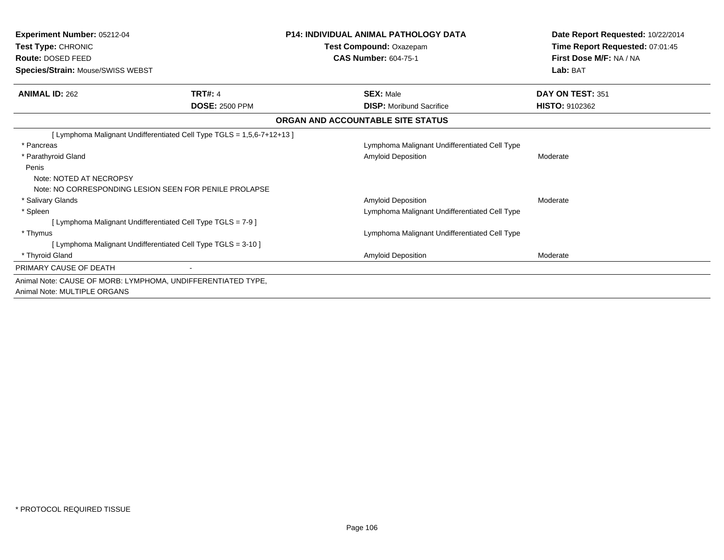| <b>Experiment Number: 05212-04</b><br>Test Type: CHRONIC<br><b>Route: DOSED FEED</b><br>Species/Strain: Mouse/SWISS WEBST |                       | <b>P14: INDIVIDUAL ANIMAL PATHOLOGY DATA</b><br>Test Compound: Oxazepam<br><b>CAS Number: 604-75-1</b> | Date Report Requested: 10/22/2014<br>Time Report Requested: 07:01:45<br>First Dose M/F: NA / NA<br>Lab: BAT |
|---------------------------------------------------------------------------------------------------------------------------|-----------------------|--------------------------------------------------------------------------------------------------------|-------------------------------------------------------------------------------------------------------------|
| <b>ANIMAL ID: 262</b>                                                                                                     | <b>TRT#: 4</b>        | <b>SEX: Male</b>                                                                                       | DAY ON TEST: 351                                                                                            |
|                                                                                                                           | <b>DOSE: 2500 PPM</b> | <b>DISP:</b> Moribund Sacrifice                                                                        | <b>HISTO: 9102362</b>                                                                                       |
|                                                                                                                           |                       | ORGAN AND ACCOUNTABLE SITE STATUS                                                                      |                                                                                                             |
| [ Lymphoma Malignant Undifferentiated Cell Type TGLS = 1,5,6-7+12+13 ]                                                    |                       |                                                                                                        |                                                                                                             |
| * Pancreas                                                                                                                |                       | Lymphoma Malignant Undifferentiated Cell Type                                                          |                                                                                                             |
| * Parathyroid Gland                                                                                                       |                       | <b>Amyloid Deposition</b>                                                                              | Moderate                                                                                                    |
| Penis                                                                                                                     |                       |                                                                                                        |                                                                                                             |
| Note: NOTED AT NECROPSY                                                                                                   |                       |                                                                                                        |                                                                                                             |
| Note: NO CORRESPONDING LESION SEEN FOR PENILE PROLAPSE                                                                    |                       |                                                                                                        |                                                                                                             |
| * Salivary Glands                                                                                                         |                       | <b>Amyloid Deposition</b>                                                                              | Moderate                                                                                                    |
| * Spleen                                                                                                                  |                       | Lymphoma Malignant Undifferentiated Cell Type                                                          |                                                                                                             |
| [ Lymphoma Malignant Undifferentiated Cell Type TGLS = 7-9 ]                                                              |                       |                                                                                                        |                                                                                                             |
| * Thymus                                                                                                                  |                       | Lymphoma Malignant Undifferentiated Cell Type                                                          |                                                                                                             |
| [ Lymphoma Malignant Undifferentiated Cell Type TGLS = 3-10 ]                                                             |                       |                                                                                                        |                                                                                                             |
| * Thyroid Gland                                                                                                           |                       | <b>Amyloid Deposition</b>                                                                              | Moderate                                                                                                    |
| PRIMARY CAUSE OF DEATH                                                                                                    |                       |                                                                                                        |                                                                                                             |
| Animal Note: CAUSE OF MORB: LYMPHOMA, UNDIFFERENTIATED TYPE,                                                              |                       |                                                                                                        |                                                                                                             |
| Animal Note: MULTIPLE ORGANS                                                                                              |                       |                                                                                                        |                                                                                                             |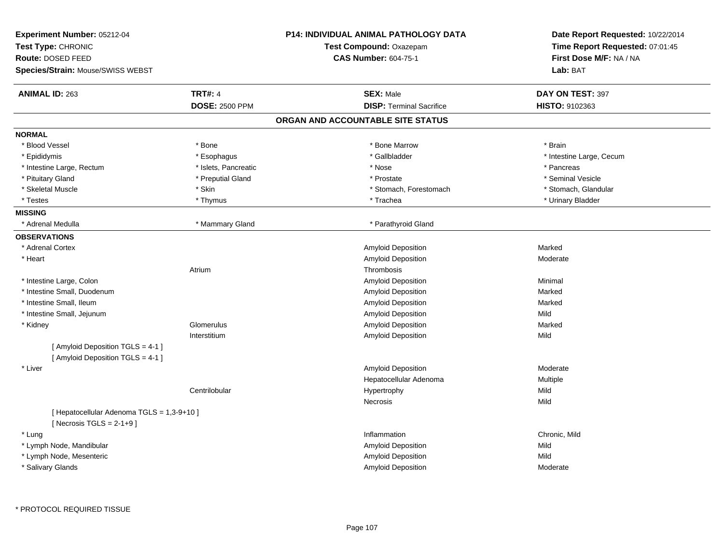| Experiment Number: 05212-04<br>Test Type: CHRONIC<br>Route: DOSED FEED<br>Species/Strain: Mouse/SWISS WEBST | P14: INDIVIDUAL ANIMAL PATHOLOGY DATA<br>Test Compound: Oxazepam<br><b>CAS Number: 604-75-1</b> | Date Report Requested: 10/22/2014<br>Time Report Requested: 07:01:45<br>First Dose M/F: NA / NA<br>Lab: BAT |
|-------------------------------------------------------------------------------------------------------------|-------------------------------------------------------------------------------------------------|-------------------------------------------------------------------------------------------------------------|
| <b>TRT#: 4</b><br><b>ANIMAL ID: 263</b>                                                                     | <b>SEX: Male</b>                                                                                | DAY ON TEST: 397                                                                                            |
| <b>DOSE: 2500 PPM</b>                                                                                       | <b>DISP: Terminal Sacrifice</b>                                                                 | <b>HISTO: 9102363</b>                                                                                       |
|                                                                                                             | ORGAN AND ACCOUNTABLE SITE STATUS                                                               |                                                                                                             |
| <b>NORMAL</b>                                                                                               |                                                                                                 |                                                                                                             |
| * Blood Vessel<br>* Bone                                                                                    | * Bone Marrow                                                                                   | * Brain                                                                                                     |
| * Epididymis<br>* Esophagus                                                                                 | * Gallbladder                                                                                   | * Intestine Large, Cecum                                                                                    |
| * Islets, Pancreatic<br>* Intestine Large, Rectum                                                           | * Nose                                                                                          | * Pancreas                                                                                                  |
| * Pituitary Gland<br>* Preputial Gland                                                                      | * Prostate                                                                                      | * Seminal Vesicle                                                                                           |
| * Skeletal Muscle<br>* Skin                                                                                 | * Stomach, Forestomach                                                                          | * Stomach, Glandular                                                                                        |
| * Testes<br>* Thymus                                                                                        | * Trachea                                                                                       | * Urinary Bladder                                                                                           |
| <b>MISSING</b>                                                                                              |                                                                                                 |                                                                                                             |
| * Mammary Gland<br>* Adrenal Medulla                                                                        | * Parathyroid Gland                                                                             |                                                                                                             |
| <b>OBSERVATIONS</b>                                                                                         |                                                                                                 |                                                                                                             |
| * Adrenal Cortex                                                                                            | Amyloid Deposition                                                                              | Marked                                                                                                      |
| * Heart                                                                                                     | Amyloid Deposition                                                                              | Moderate                                                                                                    |
| Atrium                                                                                                      | Thrombosis                                                                                      |                                                                                                             |
| * Intestine Large, Colon                                                                                    | Amyloid Deposition                                                                              | Minimal                                                                                                     |
| * Intestine Small, Duodenum                                                                                 | Amyloid Deposition                                                                              | Marked                                                                                                      |
| * Intestine Small, Ileum                                                                                    | Amyloid Deposition                                                                              | Marked                                                                                                      |
| * Intestine Small, Jejunum                                                                                  | Amyloid Deposition                                                                              | Mild                                                                                                        |
| * Kidney<br>Glomerulus                                                                                      | Amyloid Deposition                                                                              | Marked                                                                                                      |
| Interstitium                                                                                                | Amyloid Deposition                                                                              | Mild                                                                                                        |
| [ Amyloid Deposition TGLS = 4-1 ]<br>[ Amyloid Deposition TGLS = 4-1 ]                                      |                                                                                                 |                                                                                                             |
| * Liver                                                                                                     | Amyloid Deposition                                                                              | Moderate                                                                                                    |
|                                                                                                             | Hepatocellular Adenoma                                                                          | Multiple                                                                                                    |
| Centrilobular                                                                                               | Hypertrophy                                                                                     | Mild                                                                                                        |
|                                                                                                             | Necrosis                                                                                        | Mild                                                                                                        |
| [ Hepatocellular Adenoma TGLS = 1,3-9+10 ]<br>[Necrosis TGLS = $2-1+9$ ]                                    |                                                                                                 |                                                                                                             |
| * Lung                                                                                                      | Inflammation                                                                                    | Chronic, Mild                                                                                               |
| * Lymph Node, Mandibular                                                                                    | Amyloid Deposition                                                                              | Mild                                                                                                        |
| * Lymph Node, Mesenteric                                                                                    | Amyloid Deposition                                                                              | Mild                                                                                                        |
| * Salivary Glands                                                                                           | Amyloid Deposition                                                                              | Moderate                                                                                                    |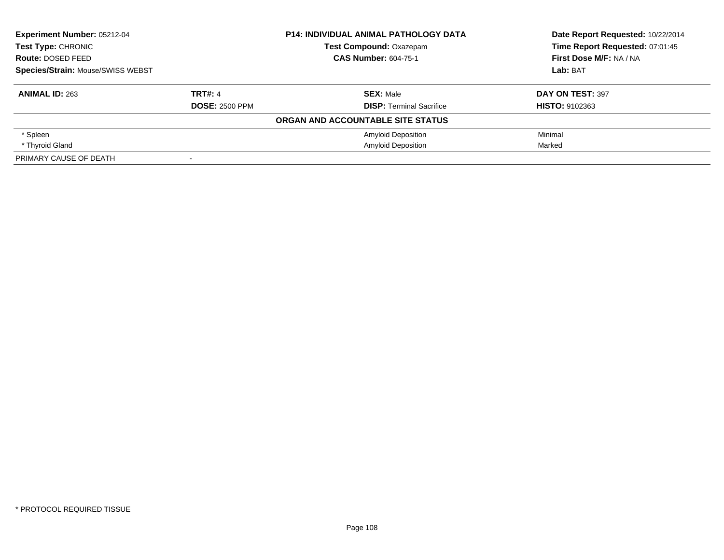| <b>Experiment Number: 05212-04</b>             |                       | <b>P14: INDIVIDUAL ANIMAL PATHOLOGY DATA</b> | Date Report Requested: 10/22/2014 |
|------------------------------------------------|-----------------------|----------------------------------------------|-----------------------------------|
| <b>Test Type: CHRONIC</b><br>Route: DOSED FEED |                       | <b>Test Compound: Oxazepam</b>               | Time Report Requested: 07:01:45   |
|                                                |                       | <b>CAS Number: 604-75-1</b>                  | First Dose M/F: NA / NA           |
| <b>Species/Strain: Mouse/SWISS WEBST</b>       |                       |                                              | Lab: BAT                          |
| <b>ANIMAL ID: 263</b>                          | <b>TRT#: 4</b>        | <b>SEX: Male</b>                             | DAY ON TEST: 397                  |
|                                                | <b>DOSE: 2500 PPM</b> | <b>DISP:</b> Terminal Sacrifice              | <b>HISTO: 9102363</b>             |
|                                                |                       | ORGAN AND ACCOUNTABLE SITE STATUS            |                                   |
| * Spleen                                       |                       | <b>Amyloid Deposition</b>                    | Minimal                           |
| * Thyroid Gland                                |                       | <b>Amyloid Deposition</b>                    | Marked                            |
| PRIMARY CAUSE OF DEATH                         |                       |                                              |                                   |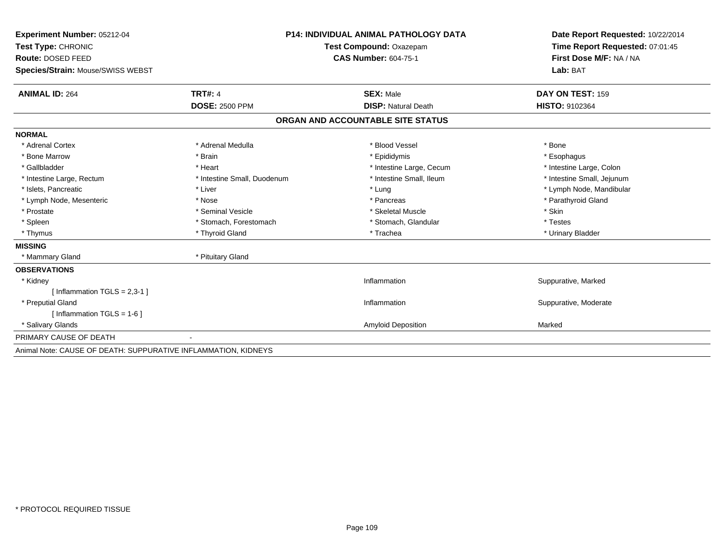| Experiment Number: 05212-04                                    |                             | <b>P14: INDIVIDUAL ANIMAL PATHOLOGY DATA</b> | Date Report Requested: 10/22/2014 |
|----------------------------------------------------------------|-----------------------------|----------------------------------------------|-----------------------------------|
| Test Type: CHRONIC                                             | Test Compound: Oxazepam     |                                              | Time Report Requested: 07:01:45   |
| Route: DOSED FEED                                              |                             | <b>CAS Number: 604-75-1</b>                  | First Dose M/F: NA / NA           |
| Species/Strain: Mouse/SWISS WEBST                              |                             |                                              | Lab: BAT                          |
| <b>ANIMAL ID: 264</b>                                          | <b>TRT#: 4</b>              | <b>SEX: Male</b>                             | DAY ON TEST: 159                  |
|                                                                | <b>DOSE: 2500 PPM</b>       | <b>DISP: Natural Death</b>                   | <b>HISTO: 9102364</b>             |
|                                                                |                             | ORGAN AND ACCOUNTABLE SITE STATUS            |                                   |
| <b>NORMAL</b>                                                  |                             |                                              |                                   |
| * Adrenal Cortex                                               | * Adrenal Medulla           | * Blood Vessel                               | * Bone                            |
| * Bone Marrow                                                  | * Brain                     | * Epididymis                                 | * Esophagus                       |
| * Gallbladder                                                  | * Heart                     | * Intestine Large, Cecum                     | * Intestine Large, Colon          |
| * Intestine Large, Rectum                                      | * Intestine Small, Duodenum | * Intestine Small, Ileum                     | * Intestine Small, Jejunum        |
| * Islets, Pancreatic                                           | * Liver                     | * Lung                                       | * Lymph Node, Mandibular          |
| * Lymph Node, Mesenteric                                       | * Nose                      | * Pancreas                                   | * Parathyroid Gland               |
| * Prostate                                                     | * Seminal Vesicle           | * Skeletal Muscle                            | * Skin                            |
| * Spleen                                                       | * Stomach, Forestomach      | * Stomach, Glandular                         | * Testes                          |
| * Thymus                                                       | * Thyroid Gland             | * Trachea                                    | * Urinary Bladder                 |
| <b>MISSING</b>                                                 |                             |                                              |                                   |
| * Mammary Gland                                                | * Pituitary Gland           |                                              |                                   |
| <b>OBSERVATIONS</b>                                            |                             |                                              |                                   |
| * Kidney                                                       |                             | Inflammation                                 | Suppurative, Marked               |
| [Inflammation TGLS = $2,3-1$ ]                                 |                             |                                              |                                   |
| * Preputial Gland                                              |                             | Inflammation                                 | Suppurative, Moderate             |
| [Inflammation TGLS = $1-6$ ]                                   |                             |                                              |                                   |
| * Salivary Glands                                              |                             | <b>Amyloid Deposition</b>                    | Marked                            |
| PRIMARY CAUSE OF DEATH                                         |                             |                                              |                                   |
| Animal Note: CAUSE OF DEATH: SUPPURATIVE INFLAMMATION, KIDNEYS |                             |                                              |                                   |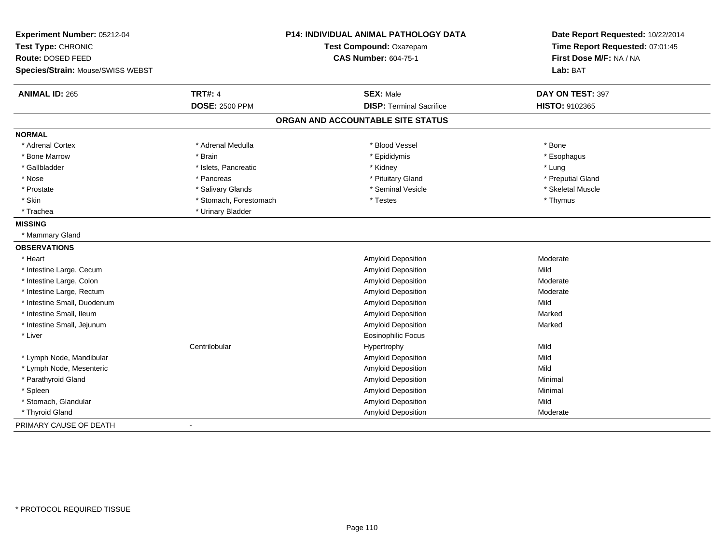| Experiment Number: 05212-04<br>Test Type: CHRONIC<br>Route: DOSED FEED<br>Species/Strain: Mouse/SWISS WEBST |                        | <b>P14: INDIVIDUAL ANIMAL PATHOLOGY DATA</b><br>Test Compound: Oxazepam<br><b>CAS Number: 604-75-1</b> | Date Report Requested: 10/22/2014<br>Time Report Requested: 07:01:45<br>First Dose M/F: NA / NA<br>Lab: BAT |
|-------------------------------------------------------------------------------------------------------------|------------------------|--------------------------------------------------------------------------------------------------------|-------------------------------------------------------------------------------------------------------------|
| <b>ANIMAL ID: 265</b>                                                                                       | <b>TRT#: 4</b>         | <b>SEX: Male</b>                                                                                       | DAY ON TEST: 397                                                                                            |
|                                                                                                             | <b>DOSE: 2500 PPM</b>  | <b>DISP: Terminal Sacrifice</b>                                                                        | HISTO: 9102365                                                                                              |
|                                                                                                             |                        | ORGAN AND ACCOUNTABLE SITE STATUS                                                                      |                                                                                                             |
| <b>NORMAL</b>                                                                                               |                        |                                                                                                        |                                                                                                             |
| * Adrenal Cortex                                                                                            | * Adrenal Medulla      | * Blood Vessel                                                                                         | * Bone                                                                                                      |
| * Bone Marrow                                                                                               | * Brain                | * Epididymis                                                                                           | * Esophagus                                                                                                 |
| * Gallbladder                                                                                               | * Islets, Pancreatic   | * Kidney                                                                                               | * Lung                                                                                                      |
| * Nose                                                                                                      | * Pancreas             | * Pituitary Gland                                                                                      | * Preputial Gland                                                                                           |
| * Prostate                                                                                                  | * Salivary Glands      | * Seminal Vesicle                                                                                      | * Skeletal Muscle                                                                                           |
| * Skin                                                                                                      | * Stomach, Forestomach | * Testes                                                                                               | * Thymus                                                                                                    |
| * Trachea                                                                                                   | * Urinary Bladder      |                                                                                                        |                                                                                                             |
| <b>MISSING</b>                                                                                              |                        |                                                                                                        |                                                                                                             |
| * Mammary Gland                                                                                             |                        |                                                                                                        |                                                                                                             |
| <b>OBSERVATIONS</b>                                                                                         |                        |                                                                                                        |                                                                                                             |
| * Heart                                                                                                     |                        | Amyloid Deposition                                                                                     | Moderate                                                                                                    |
| * Intestine Large, Cecum                                                                                    |                        | <b>Amyloid Deposition</b>                                                                              | Mild                                                                                                        |
| * Intestine Large, Colon                                                                                    |                        | <b>Amyloid Deposition</b>                                                                              | Moderate                                                                                                    |
| * Intestine Large, Rectum                                                                                   |                        | <b>Amyloid Deposition</b>                                                                              | Moderate                                                                                                    |
| * Intestine Small, Duodenum                                                                                 |                        | Amyloid Deposition                                                                                     | Mild                                                                                                        |
| * Intestine Small, Ileum                                                                                    |                        | <b>Amyloid Deposition</b>                                                                              | Marked                                                                                                      |
| * Intestine Small, Jejunum                                                                                  |                        | <b>Amyloid Deposition</b>                                                                              | Marked                                                                                                      |
| * Liver                                                                                                     |                        | <b>Eosinophilic Focus</b>                                                                              |                                                                                                             |
|                                                                                                             | Centrilobular          | Hypertrophy                                                                                            | Mild                                                                                                        |
| * Lymph Node, Mandibular                                                                                    |                        | Amyloid Deposition                                                                                     | Mild                                                                                                        |
| * Lymph Node, Mesenteric                                                                                    |                        | Amyloid Deposition                                                                                     | Mild                                                                                                        |
| * Parathyroid Gland                                                                                         |                        | <b>Amyloid Deposition</b>                                                                              | Minimal                                                                                                     |
| * Spleen                                                                                                    |                        | Amyloid Deposition                                                                                     | Minimal                                                                                                     |
| * Stomach, Glandular                                                                                        |                        | Amyloid Deposition                                                                                     | Mild                                                                                                        |
| * Thyroid Gland                                                                                             |                        | Amyloid Deposition                                                                                     | Moderate                                                                                                    |
| PRIMARY CAUSE OF DEATH                                                                                      | $\blacksquare$         |                                                                                                        |                                                                                                             |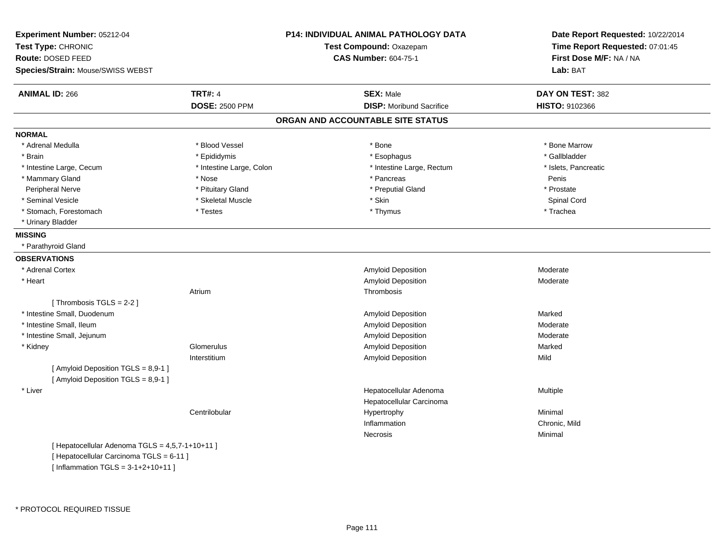| Experiment Number: 05212-04<br>Test Type: CHRONIC |                          | <b>P14: INDIVIDUAL ANIMAL PATHOLOGY DATA</b><br>Test Compound: Oxazepam | Date Report Requested: 10/22/2014<br>Time Report Requested: 07:01:45 |
|---------------------------------------------------|--------------------------|-------------------------------------------------------------------------|----------------------------------------------------------------------|
| Route: DOSED FEED                                 |                          | <b>CAS Number: 604-75-1</b>                                             | First Dose M/F: NA / NA                                              |
| Species/Strain: Mouse/SWISS WEBST                 |                          |                                                                         | Lab: BAT                                                             |
| <b>ANIMAL ID: 266</b>                             | <b>TRT#: 4</b>           | <b>SEX: Male</b>                                                        | DAY ON TEST: 382                                                     |
|                                                   | <b>DOSE: 2500 PPM</b>    | <b>DISP:</b> Moribund Sacrifice                                         | HISTO: 9102366                                                       |
|                                                   |                          | ORGAN AND ACCOUNTABLE SITE STATUS                                       |                                                                      |
| <b>NORMAL</b>                                     |                          |                                                                         |                                                                      |
| * Adrenal Medulla                                 | * Blood Vessel           | * Bone                                                                  | * Bone Marrow                                                        |
| * Brain                                           | * Epididymis             | * Esophagus                                                             | * Gallbladder                                                        |
| * Intestine Large, Cecum                          | * Intestine Large, Colon | * Intestine Large, Rectum                                               | * Islets, Pancreatic                                                 |
| * Mammary Gland                                   | * Nose                   | * Pancreas                                                              | Penis                                                                |
| Peripheral Nerve                                  | * Pituitary Gland        | * Preputial Gland                                                       | * Prostate                                                           |
| * Seminal Vesicle                                 | * Skeletal Muscle        | * Skin                                                                  | Spinal Cord                                                          |
| * Stomach, Forestomach                            | * Testes                 | * Thymus                                                                | * Trachea                                                            |
| * Urinary Bladder                                 |                          |                                                                         |                                                                      |
| <b>MISSING</b>                                    |                          |                                                                         |                                                                      |
| * Parathyroid Gland                               |                          |                                                                         |                                                                      |
| <b>OBSERVATIONS</b>                               |                          |                                                                         |                                                                      |
| * Adrenal Cortex                                  |                          | Amyloid Deposition                                                      | Moderate                                                             |
| * Heart                                           |                          | Amyloid Deposition                                                      | Moderate                                                             |
|                                                   | Atrium                   | Thrombosis                                                              |                                                                      |
| [Thrombosis TGLS = 2-2]                           |                          |                                                                         |                                                                      |
| * Intestine Small, Duodenum                       |                          | Amyloid Deposition                                                      | Marked                                                               |
| * Intestine Small, Ileum                          |                          | Amyloid Deposition                                                      | Moderate                                                             |
| * Intestine Small, Jejunum                        |                          | Amyloid Deposition                                                      | Moderate                                                             |
| * Kidney                                          | Glomerulus               | Amyloid Deposition                                                      | Marked                                                               |
|                                                   | Interstitium             | <b>Amyloid Deposition</b>                                               | Mild                                                                 |
| [Amyloid Deposition TGLS = 8,9-1]                 |                          |                                                                         |                                                                      |
| [Amyloid Deposition TGLS = 8,9-1]                 |                          |                                                                         |                                                                      |
| * Liver                                           |                          | Hepatocellular Adenoma                                                  | Multiple                                                             |
|                                                   |                          | Hepatocellular Carcinoma                                                |                                                                      |
|                                                   | Centrilobular            | Hypertrophy                                                             | Minimal                                                              |
|                                                   |                          | Inflammation                                                            | Chronic, Mild                                                        |
|                                                   |                          | <b>Necrosis</b>                                                         | Minimal                                                              |
| [ Hepatocellular Adenoma TGLS = 4,5,7-1+10+11 ]   |                          |                                                                         |                                                                      |
| [ Hepatocellular Carcinoma TGLS = 6-11 ]          |                          |                                                                         |                                                                      |

 $[$  Inflammation TGLS = 3-1+2+10+11  $]$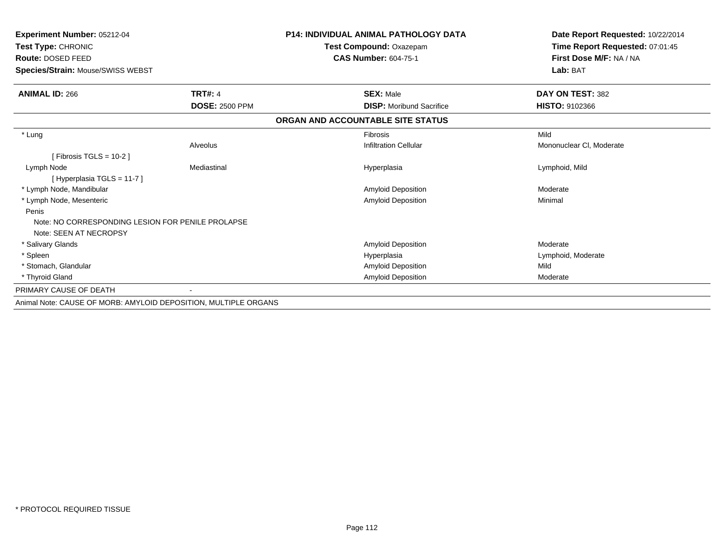| Experiment Number: 05212-04<br>Test Type: CHRONIC<br>Route: DOSED FEED<br>Species/Strain: Mouse/SWISS WEBST |                       | <b>P14: INDIVIDUAL ANIMAL PATHOLOGY DATA</b><br>Test Compound: Oxazepam<br><b>CAS Number: 604-75-1</b> | Date Report Requested: 10/22/2014<br>Time Report Requested: 07:01:45<br>First Dose M/F: NA / NA<br>Lab: BAT |
|-------------------------------------------------------------------------------------------------------------|-----------------------|--------------------------------------------------------------------------------------------------------|-------------------------------------------------------------------------------------------------------------|
|                                                                                                             |                       |                                                                                                        |                                                                                                             |
| <b>ANIMAL ID: 266</b>                                                                                       | <b>TRT#: 4</b>        | <b>SEX: Male</b>                                                                                       | DAY ON TEST: 382                                                                                            |
|                                                                                                             | <b>DOSE: 2500 PPM</b> | <b>DISP:</b> Moribund Sacrifice                                                                        | <b>HISTO: 9102366</b>                                                                                       |
|                                                                                                             |                       | ORGAN AND ACCOUNTABLE SITE STATUS                                                                      |                                                                                                             |
| * Lung                                                                                                      |                       | Fibrosis                                                                                               | Mild                                                                                                        |
|                                                                                                             | Alveolus              | <b>Infiltration Cellular</b>                                                                           | Mononuclear CI, Moderate                                                                                    |
| [ Fibrosis TGLS = 10-2 ]                                                                                    |                       |                                                                                                        |                                                                                                             |
| Lymph Node                                                                                                  | Mediastinal           | Hyperplasia                                                                                            | Lymphoid, Mild                                                                                              |
| [Hyperplasia TGLS = 11-7]                                                                                   |                       |                                                                                                        |                                                                                                             |
| * Lymph Node, Mandibular                                                                                    |                       | Amyloid Deposition                                                                                     | Moderate                                                                                                    |
| * Lymph Node, Mesenteric                                                                                    |                       | <b>Amyloid Deposition</b>                                                                              | Minimal                                                                                                     |
| Penis                                                                                                       |                       |                                                                                                        |                                                                                                             |
| Note: NO CORRESPONDING LESION FOR PENILE PROLAPSE                                                           |                       |                                                                                                        |                                                                                                             |
| Note: SEEN AT NECROPSY                                                                                      |                       |                                                                                                        |                                                                                                             |
| * Salivary Glands                                                                                           |                       | Amyloid Deposition                                                                                     | Moderate                                                                                                    |
| * Spleen                                                                                                    |                       | Hyperplasia                                                                                            | Lymphoid, Moderate                                                                                          |
| * Stomach, Glandular                                                                                        |                       | Amyloid Deposition                                                                                     | Mild                                                                                                        |
| * Thyroid Gland                                                                                             |                       | Amyloid Deposition                                                                                     | Moderate                                                                                                    |
| PRIMARY CAUSE OF DEATH                                                                                      |                       |                                                                                                        |                                                                                                             |
| Animal Note: CAUSE OF MORB: AMYLOID DEPOSITION, MULTIPLE ORGANS                                             |                       |                                                                                                        |                                                                                                             |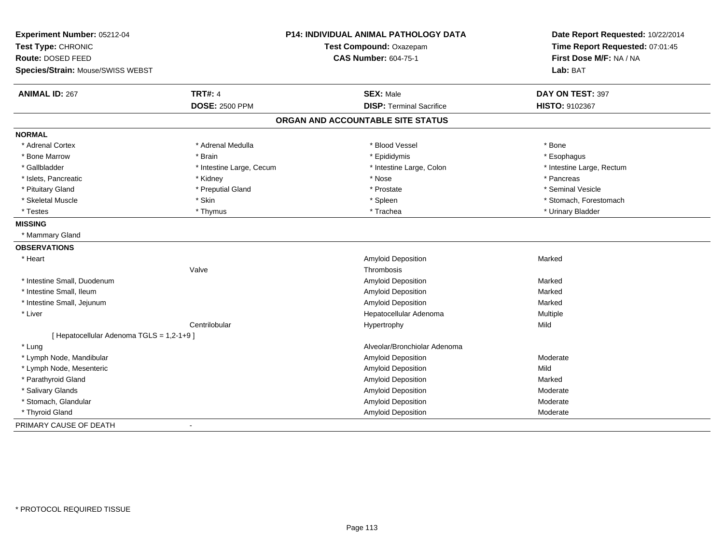| Experiment Number: 05212-04<br>Test Type: CHRONIC |                          | P14: INDIVIDUAL ANIMAL PATHOLOGY DATA<br>Test Compound: Oxazepam | Date Report Requested: 10/22/2014<br>Time Report Requested: 07:01:45 |
|---------------------------------------------------|--------------------------|------------------------------------------------------------------|----------------------------------------------------------------------|
| Route: DOSED FEED                                 |                          | <b>CAS Number: 604-75-1</b>                                      | First Dose M/F: NA / NA                                              |
| Species/Strain: Mouse/SWISS WEBST                 |                          |                                                                  | Lab: BAT                                                             |
| <b>ANIMAL ID: 267</b>                             | <b>TRT#: 4</b>           | <b>SEX: Male</b>                                                 | DAY ON TEST: 397                                                     |
|                                                   | <b>DOSE: 2500 PPM</b>    | <b>DISP: Terminal Sacrifice</b>                                  | HISTO: 9102367                                                       |
|                                                   |                          | ORGAN AND ACCOUNTABLE SITE STATUS                                |                                                                      |
| <b>NORMAL</b>                                     |                          |                                                                  |                                                                      |
| * Adrenal Cortex                                  | * Adrenal Medulla        | * Blood Vessel                                                   | * Bone                                                               |
| * Bone Marrow                                     | * Brain                  | * Epididymis                                                     | * Esophagus                                                          |
| * Gallbladder                                     | * Intestine Large, Cecum | * Intestine Large, Colon                                         | * Intestine Large, Rectum                                            |
| * Islets, Pancreatic                              | * Kidney                 | * Nose                                                           | * Pancreas                                                           |
| * Pituitary Gland                                 | * Preputial Gland        | * Prostate                                                       | * Seminal Vesicle                                                    |
| * Skeletal Muscle                                 | * Skin                   | * Spleen                                                         | * Stomach, Forestomach                                               |
| * Testes                                          | * Thymus                 | * Trachea                                                        | * Urinary Bladder                                                    |
| <b>MISSING</b>                                    |                          |                                                                  |                                                                      |
| * Mammary Gland                                   |                          |                                                                  |                                                                      |
| <b>OBSERVATIONS</b>                               |                          |                                                                  |                                                                      |
| * Heart                                           |                          | <b>Amyloid Deposition</b>                                        | Marked                                                               |
|                                                   | Valve                    | Thrombosis                                                       |                                                                      |
| * Intestine Small, Duodenum                       |                          | <b>Amyloid Deposition</b>                                        | Marked                                                               |
| * Intestine Small, Ileum                          |                          | Amyloid Deposition                                               | Marked                                                               |
| * Intestine Small, Jejunum                        |                          | Amyloid Deposition                                               | Marked                                                               |
| * Liver                                           |                          | Hepatocellular Adenoma                                           | Multiple                                                             |
|                                                   | Centrilobular            | Hypertrophy                                                      | Mild                                                                 |
| [ Hepatocellular Adenoma TGLS = 1,2-1+9 ]         |                          |                                                                  |                                                                      |
| * Lung                                            |                          | Alveolar/Bronchiolar Adenoma                                     |                                                                      |
| * Lymph Node, Mandibular                          |                          | Amyloid Deposition                                               | Moderate                                                             |
| * Lymph Node, Mesenteric                          |                          | Amyloid Deposition                                               | Mild                                                                 |
| * Parathyroid Gland                               |                          | Amyloid Deposition                                               | Marked                                                               |
| * Salivary Glands                                 |                          | Amyloid Deposition                                               | Moderate                                                             |
| * Stomach, Glandular                              |                          | Amyloid Deposition                                               | Moderate                                                             |
| * Thyroid Gland                                   |                          | Amyloid Deposition                                               | Moderate                                                             |
| PRIMARY CAUSE OF DEATH                            |                          |                                                                  |                                                                      |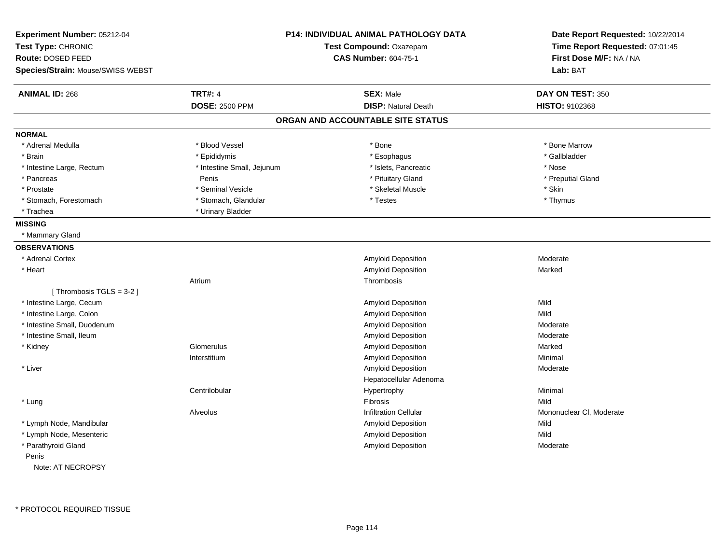| Experiment Number: 05212-04       |                            | <b>P14: INDIVIDUAL ANIMAL PATHOLOGY DATA</b> | Date Report Requested: 10/22/2014 |
|-----------------------------------|----------------------------|----------------------------------------------|-----------------------------------|
| Test Type: CHRONIC                |                            | Test Compound: Oxazepam                      | Time Report Requested: 07:01:45   |
| <b>Route: DOSED FEED</b>          |                            | <b>CAS Number: 604-75-1</b>                  | First Dose M/F: NA / NA           |
| Species/Strain: Mouse/SWISS WEBST |                            |                                              | Lab: BAT                          |
| <b>ANIMAL ID: 268</b>             | <b>TRT#: 4</b>             | <b>SEX: Male</b>                             | DAY ON TEST: 350                  |
|                                   | <b>DOSE: 2500 PPM</b>      | <b>DISP: Natural Death</b>                   | HISTO: 9102368                    |
|                                   |                            | ORGAN AND ACCOUNTABLE SITE STATUS            |                                   |
| <b>NORMAL</b>                     |                            |                                              |                                   |
| * Adrenal Medulla                 | * Blood Vessel             | * Bone                                       | * Bone Marrow                     |
| * Brain                           | * Epididymis               | * Esophagus                                  | * Gallbladder                     |
| * Intestine Large, Rectum         | * Intestine Small, Jejunum | * Islets, Pancreatic                         | * Nose                            |
| * Pancreas                        | Penis                      | * Pituitary Gland                            | * Preputial Gland                 |
| * Prostate                        | * Seminal Vesicle          | * Skeletal Muscle                            | * Skin                            |
| * Stomach, Forestomach            | * Stomach, Glandular       | * Testes                                     | * Thymus                          |
| * Trachea                         | * Urinary Bladder          |                                              |                                   |
| <b>MISSING</b>                    |                            |                                              |                                   |
| * Mammary Gland                   |                            |                                              |                                   |
| <b>OBSERVATIONS</b>               |                            |                                              |                                   |
| * Adrenal Cortex                  |                            | <b>Amyloid Deposition</b>                    | Moderate                          |
| * Heart                           |                            | <b>Amyloid Deposition</b>                    | Marked                            |
|                                   | Atrium                     | Thrombosis                                   |                                   |
| [Thrombosis TGLS = $3-2$ ]        |                            |                                              |                                   |
| * Intestine Large, Cecum          |                            | Amyloid Deposition                           | Mild                              |
| * Intestine Large, Colon          |                            | Amyloid Deposition                           | Mild                              |
| * Intestine Small, Duodenum       |                            | <b>Amyloid Deposition</b>                    | Moderate                          |
| * Intestine Small, Ileum          |                            | Amyloid Deposition                           | Moderate                          |
| * Kidney                          | Glomerulus                 | Amyloid Deposition                           | Marked                            |
|                                   | Interstitium               | <b>Amyloid Deposition</b>                    | Minimal                           |
| * Liver                           |                            | Amyloid Deposition                           | Moderate                          |
|                                   |                            | Hepatocellular Adenoma                       |                                   |
|                                   | Centrilobular              | Hypertrophy                                  | Minimal                           |
| * Lung                            |                            | Fibrosis                                     | Mild                              |
|                                   | Alveolus                   | <b>Infiltration Cellular</b>                 | Mononuclear CI, Moderate          |
| * Lymph Node, Mandibular          |                            | <b>Amyloid Deposition</b>                    | Mild                              |
| * Lymph Node, Mesenteric          |                            | <b>Amyloid Deposition</b>                    | Mild                              |
| * Parathyroid Gland               |                            | <b>Amyloid Deposition</b>                    | Moderate                          |
| Penis                             |                            |                                              |                                   |
| Note: AT NECROPSY                 |                            |                                              |                                   |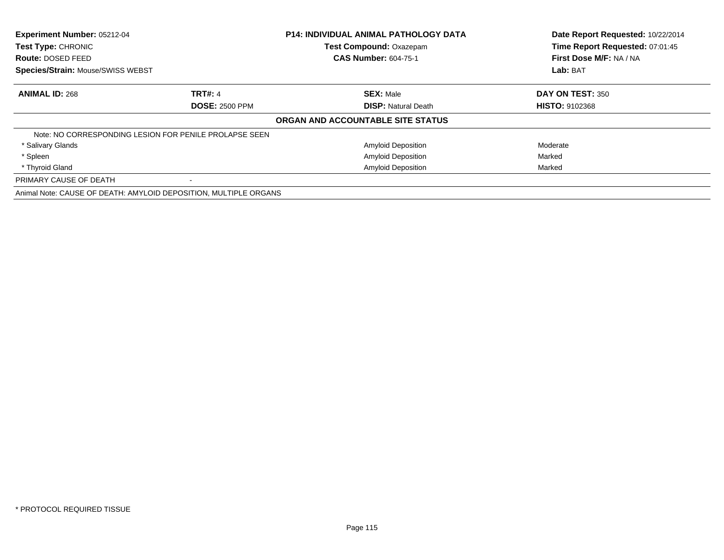| Experiment Number: 05212-04<br>Test Type: CHRONIC                |                       | <b>P14: INDIVIDUAL ANIMAL PATHOLOGY DATA</b> | Date Report Requested: 10/22/2014<br>Time Report Requested: 07:01:45 |
|------------------------------------------------------------------|-----------------------|----------------------------------------------|----------------------------------------------------------------------|
|                                                                  |                       | Test Compound: Oxazepam                      |                                                                      |
| Route: DOSED FEED                                                |                       | <b>CAS Number: 604-75-1</b>                  | First Dose M/F: NA / NA                                              |
| Species/Strain: Mouse/SWISS WEBST                                |                       |                                              | Lab: BAT                                                             |
| <b>ANIMAL ID: 268</b>                                            | <b>TRT#: 4</b>        | <b>SEX: Male</b>                             | DAY ON TEST: 350                                                     |
|                                                                  | <b>DOSE: 2500 PPM</b> | <b>DISP: Natural Death</b>                   | <b>HISTO: 9102368</b>                                                |
|                                                                  |                       | ORGAN AND ACCOUNTABLE SITE STATUS            |                                                                      |
| Note: NO CORRESPONDING LESION FOR PENILE PROLAPSE SEEN           |                       |                                              |                                                                      |
| * Salivary Glands                                                |                       | <b>Amyloid Deposition</b>                    | Moderate                                                             |
| * Spleen                                                         |                       | <b>Amyloid Deposition</b>                    | Marked                                                               |
| * Thyroid Gland                                                  |                       | <b>Amyloid Deposition</b>                    | Marked                                                               |
| PRIMARY CAUSE OF DEATH                                           |                       |                                              |                                                                      |
| Animal Note: CAUSE OF DEATH: AMYLOID DEPOSITION, MULTIPLE ORGANS |                       |                                              |                                                                      |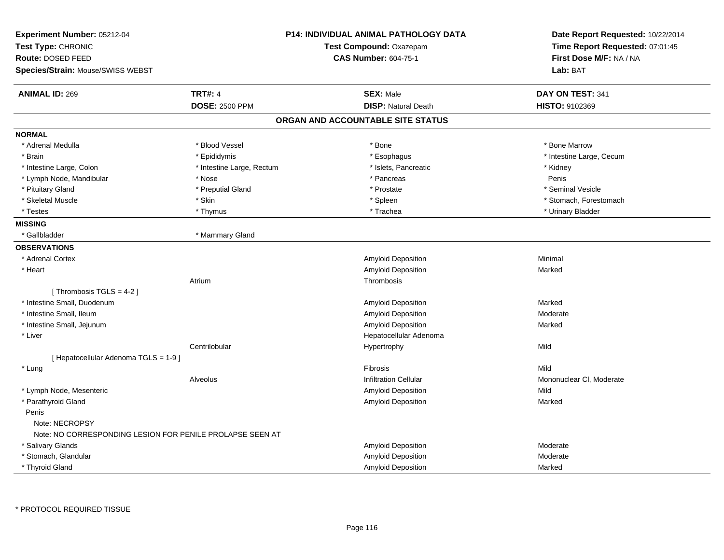| Experiment Number: 05212-04<br>Test Type: CHRONIC<br>Route: DOSED FEED<br>Species/Strain: Mouse/SWISS WEBST |                           | <b>P14: INDIVIDUAL ANIMAL PATHOLOGY DATA</b><br>Test Compound: Oxazepam<br><b>CAS Number: 604-75-1</b> | Date Report Requested: 10/22/2014<br>Time Report Requested: 07:01:45<br>First Dose M/F: NA / NA<br>Lab: BAT |
|-------------------------------------------------------------------------------------------------------------|---------------------------|--------------------------------------------------------------------------------------------------------|-------------------------------------------------------------------------------------------------------------|
| <b>ANIMAL ID: 269</b>                                                                                       | <b>TRT#: 4</b>            | <b>SEX: Male</b>                                                                                       | DAY ON TEST: 341                                                                                            |
|                                                                                                             | <b>DOSE: 2500 PPM</b>     | <b>DISP: Natural Death</b>                                                                             | HISTO: 9102369                                                                                              |
|                                                                                                             |                           | ORGAN AND ACCOUNTABLE SITE STATUS                                                                      |                                                                                                             |
| <b>NORMAL</b>                                                                                               |                           |                                                                                                        |                                                                                                             |
| * Adrenal Medulla                                                                                           | * Blood Vessel            | $*$ Bone                                                                                               | * Bone Marrow                                                                                               |
| * Brain                                                                                                     | * Epididymis              | * Esophagus                                                                                            | * Intestine Large, Cecum                                                                                    |
| * Intestine Large, Colon                                                                                    | * Intestine Large, Rectum | * Islets, Pancreatic                                                                                   | * Kidney                                                                                                    |
| * Lymph Node, Mandibular                                                                                    | * Nose                    | * Pancreas                                                                                             | Penis                                                                                                       |
| * Pituitary Gland                                                                                           | * Preputial Gland         | * Prostate                                                                                             | * Seminal Vesicle                                                                                           |
| * Skeletal Muscle                                                                                           | * Skin                    | * Spleen                                                                                               | * Stomach, Forestomach                                                                                      |
| * Testes                                                                                                    | * Thymus                  | * Trachea                                                                                              | * Urinary Bladder                                                                                           |
| <b>MISSING</b>                                                                                              |                           |                                                                                                        |                                                                                                             |
| * Gallbladder                                                                                               | * Mammary Gland           |                                                                                                        |                                                                                                             |
| <b>OBSERVATIONS</b>                                                                                         |                           |                                                                                                        |                                                                                                             |
| * Adrenal Cortex                                                                                            |                           | Amyloid Deposition                                                                                     | Minimal                                                                                                     |
| * Heart                                                                                                     |                           | <b>Amyloid Deposition</b>                                                                              | Marked                                                                                                      |
|                                                                                                             | Atrium                    | Thrombosis                                                                                             |                                                                                                             |
| [Thrombosis TGLS = 4-2]                                                                                     |                           |                                                                                                        |                                                                                                             |
| * Intestine Small, Duodenum                                                                                 |                           | Amyloid Deposition                                                                                     | Marked                                                                                                      |
| * Intestine Small, Ileum                                                                                    |                           | Amyloid Deposition                                                                                     | Moderate                                                                                                    |
| * Intestine Small, Jejunum                                                                                  |                           | Amyloid Deposition                                                                                     | Marked                                                                                                      |
| * Liver                                                                                                     |                           | Hepatocellular Adenoma                                                                                 |                                                                                                             |
|                                                                                                             | Centrilobular             | Hypertrophy                                                                                            | Mild                                                                                                        |
| [ Hepatocellular Adenoma TGLS = 1-9 ]                                                                       |                           |                                                                                                        |                                                                                                             |
| * Lung                                                                                                      |                           | <b>Fibrosis</b>                                                                                        | Mild                                                                                                        |
|                                                                                                             | Alveolus                  | Infiltration Cellular                                                                                  | Mononuclear CI, Moderate                                                                                    |
| * Lymph Node, Mesenteric                                                                                    |                           | Amyloid Deposition                                                                                     | Mild                                                                                                        |
| * Parathyroid Gland                                                                                         |                           | Amyloid Deposition                                                                                     | Marked                                                                                                      |
| Penis                                                                                                       |                           |                                                                                                        |                                                                                                             |
| Note: NECROPSY                                                                                              |                           |                                                                                                        |                                                                                                             |
| Note: NO CORRESPONDING LESION FOR PENILE PROLAPSE SEEN AT                                                   |                           |                                                                                                        |                                                                                                             |
| * Salivary Glands                                                                                           |                           | Amyloid Deposition                                                                                     | Moderate                                                                                                    |
| * Stomach, Glandular                                                                                        |                           | Amyloid Deposition                                                                                     | Moderate                                                                                                    |
| * Thyroid Gland                                                                                             |                           | Amyloid Deposition                                                                                     | Marked                                                                                                      |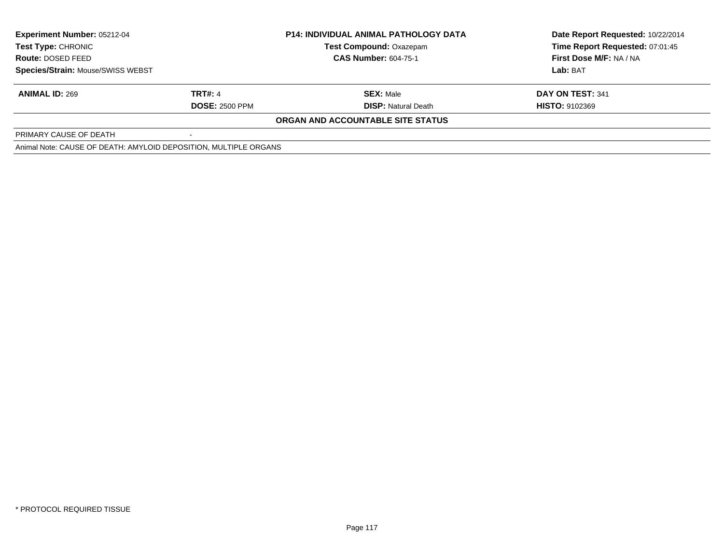| <b>Experiment Number: 05212-04</b>                               |                       | <b>P14: INDIVIDUAL ANIMAL PATHOLOGY DATA</b> | Date Report Requested: 10/22/2014 |  |
|------------------------------------------------------------------|-----------------------|----------------------------------------------|-----------------------------------|--|
| Test Type: CHRONIC<br><b>Route: DOSED FEED</b>                   |                       | <b>Test Compound: Oxazepam</b>               | Time Report Requested: 07:01:45   |  |
|                                                                  |                       | <b>CAS Number: 604-75-1</b>                  | First Dose M/F: NA / NA           |  |
| <b>Species/Strain: Mouse/SWISS WEBST</b>                         |                       |                                              | Lab: BAT                          |  |
| <b>ANIMAL ID: 269</b>                                            | TRT#: 4               | <b>SEX: Male</b>                             | DAY ON TEST: 341                  |  |
|                                                                  | <b>DOSE: 2500 PPM</b> | <b>DISP:</b> Natural Death                   | <b>HISTO: 9102369</b>             |  |
|                                                                  |                       | ORGAN AND ACCOUNTABLE SITE STATUS            |                                   |  |
| PRIMARY CAUSE OF DEATH                                           |                       |                                              |                                   |  |
| Animal Note: CAUSE OF DEATH: AMYLOID DEPOSITION, MULTIPLE ORGANS |                       |                                              |                                   |  |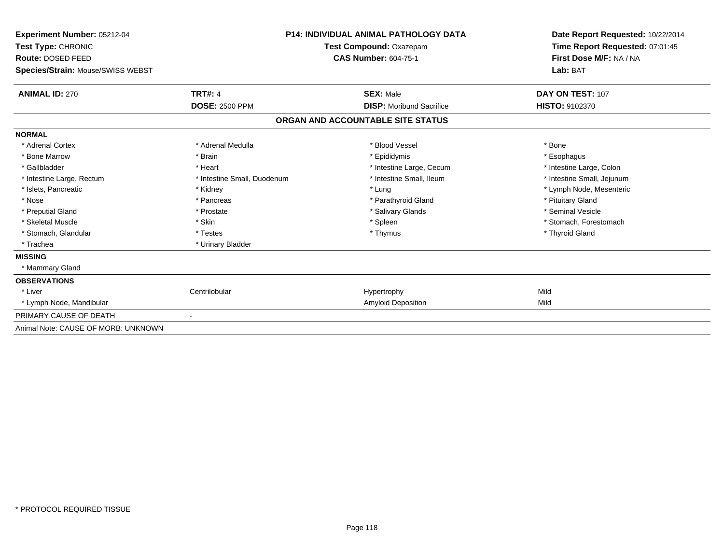| <b>Experiment Number: 05212-04</b><br>Test Type: CHRONIC<br><b>Route: DOSED FEED</b><br>Species/Strain: Mouse/SWISS WEBST |                             | <b>P14: INDIVIDUAL ANIMAL PATHOLOGY DATA</b><br>Test Compound: Oxazepam<br><b>CAS Number: 604-75-1</b> | Date Report Requested: 10/22/2014<br>Time Report Requested: 07:01:45<br>First Dose M/F: NA / NA<br>Lab: BAT |
|---------------------------------------------------------------------------------------------------------------------------|-----------------------------|--------------------------------------------------------------------------------------------------------|-------------------------------------------------------------------------------------------------------------|
| <b>ANIMAL ID: 270</b>                                                                                                     | <b>TRT#: 4</b>              | <b>SEX: Male</b>                                                                                       | DAY ON TEST: 107                                                                                            |
|                                                                                                                           | <b>DOSE: 2500 PPM</b>       | <b>DISP:</b> Moribund Sacrifice                                                                        | <b>HISTO: 9102370</b>                                                                                       |
|                                                                                                                           |                             | ORGAN AND ACCOUNTABLE SITE STATUS                                                                      |                                                                                                             |
| <b>NORMAL</b>                                                                                                             |                             |                                                                                                        |                                                                                                             |
| * Adrenal Cortex                                                                                                          | * Adrenal Medulla           | * Blood Vessel                                                                                         | * Bone                                                                                                      |
| * Bone Marrow                                                                                                             | * Brain                     | * Epididymis                                                                                           | * Esophagus                                                                                                 |
| * Gallbladder                                                                                                             | * Heart                     | * Intestine Large, Cecum                                                                               | * Intestine Large, Colon                                                                                    |
| * Intestine Large, Rectum                                                                                                 | * Intestine Small, Duodenum | * Intestine Small, Ileum                                                                               | * Intestine Small, Jejunum                                                                                  |
| * Islets, Pancreatic                                                                                                      | * Kidney                    | * Lung                                                                                                 | * Lymph Node, Mesenteric                                                                                    |
| * Nose                                                                                                                    | * Pancreas                  | * Parathyroid Gland                                                                                    | * Pituitary Gland                                                                                           |
| * Preputial Gland                                                                                                         | * Prostate                  | * Salivary Glands                                                                                      | * Seminal Vesicle                                                                                           |
| * Skeletal Muscle                                                                                                         | * Skin                      | * Spleen                                                                                               | * Stomach, Forestomach                                                                                      |
| * Stomach, Glandular                                                                                                      | * Testes                    | * Thymus                                                                                               | * Thyroid Gland                                                                                             |
| * Trachea                                                                                                                 | * Urinary Bladder           |                                                                                                        |                                                                                                             |
| <b>MISSING</b>                                                                                                            |                             |                                                                                                        |                                                                                                             |
| * Mammary Gland                                                                                                           |                             |                                                                                                        |                                                                                                             |
| <b>OBSERVATIONS</b>                                                                                                       |                             |                                                                                                        |                                                                                                             |
| * Liver                                                                                                                   | Centrilobular               | Hypertrophy                                                                                            | Mild                                                                                                        |
| * Lymph Node, Mandibular                                                                                                  |                             | <b>Amyloid Deposition</b>                                                                              | Mild                                                                                                        |
| PRIMARY CAUSE OF DEATH                                                                                                    |                             |                                                                                                        |                                                                                                             |
| Animal Note: CAUSE OF MORB: UNKNOWN                                                                                       |                             |                                                                                                        |                                                                                                             |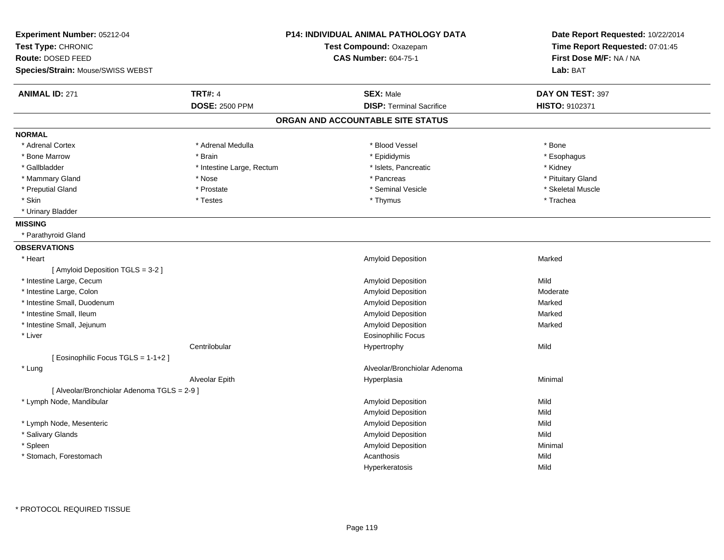| Experiment Number: 05212-04                 |                           | P14: INDIVIDUAL ANIMAL PATHOLOGY DATA | Date Report Requested: 10/22/2014 |
|---------------------------------------------|---------------------------|---------------------------------------|-----------------------------------|
| Test Type: CHRONIC                          |                           | Test Compound: Oxazepam               | Time Report Requested: 07:01:45   |
| Route: DOSED FEED                           |                           | <b>CAS Number: 604-75-1</b>           | First Dose M/F: NA / NA           |
| Species/Strain: Mouse/SWISS WEBST           |                           |                                       | Lab: BAT                          |
| <b>ANIMAL ID: 271</b>                       | <b>TRT#: 4</b>            | <b>SEX: Male</b>                      | DAY ON TEST: 397                  |
|                                             | <b>DOSE: 2500 PPM</b>     | <b>DISP: Terminal Sacrifice</b>       | HISTO: 9102371                    |
|                                             |                           | ORGAN AND ACCOUNTABLE SITE STATUS     |                                   |
| <b>NORMAL</b>                               |                           |                                       |                                   |
| * Adrenal Cortex                            | * Adrenal Medulla         | * Blood Vessel                        | * Bone                            |
| * Bone Marrow                               | * Brain                   | * Epididymis                          | * Esophagus                       |
| * Gallbladder                               | * Intestine Large, Rectum | * Islets, Pancreatic                  | * Kidney                          |
| * Mammary Gland                             | * Nose                    | * Pancreas                            | * Pituitary Gland                 |
| * Preputial Gland                           | * Prostate                | * Seminal Vesicle                     | * Skeletal Muscle                 |
| * Skin                                      | * Testes                  | * Thymus                              | * Trachea                         |
| * Urinary Bladder                           |                           |                                       |                                   |
| <b>MISSING</b>                              |                           |                                       |                                   |
| * Parathyroid Gland                         |                           |                                       |                                   |
| <b>OBSERVATIONS</b>                         |                           |                                       |                                   |
| * Heart                                     |                           | <b>Amyloid Deposition</b>             | Marked                            |
| [Amyloid Deposition TGLS = 3-2]             |                           |                                       |                                   |
| * Intestine Large, Cecum                    |                           | Amyloid Deposition                    | Mild                              |
| * Intestine Large, Colon                    |                           | Amyloid Deposition                    | Moderate                          |
| * Intestine Small, Duodenum                 |                           | Amyloid Deposition                    | Marked                            |
| * Intestine Small, Ileum                    |                           | Amyloid Deposition                    | Marked                            |
| * Intestine Small, Jejunum                  |                           | Amyloid Deposition                    | Marked                            |
| * Liver                                     |                           | <b>Eosinophilic Focus</b>             |                                   |
|                                             | Centrilobular             | Hypertrophy                           | Mild                              |
| [ Eosinophilic Focus TGLS = 1-1+2 ]         |                           |                                       |                                   |
| * Lung                                      |                           | Alveolar/Bronchiolar Adenoma          |                                   |
|                                             | Alveolar Epith            | Hyperplasia                           | Minimal                           |
| [ Alveolar/Bronchiolar Adenoma TGLS = 2-9 ] |                           |                                       |                                   |
| * Lymph Node, Mandibular                    |                           | Amyloid Deposition                    | Mild                              |
|                                             |                           | Amyloid Deposition                    | Mild                              |
| * Lymph Node, Mesenteric                    |                           | Amyloid Deposition                    | Mild                              |
| * Salivary Glands                           |                           | Amyloid Deposition                    | Mild                              |
| * Spleen                                    |                           | Amyloid Deposition                    | Minimal                           |
| * Stomach, Forestomach                      |                           | Acanthosis                            | Mild                              |
|                                             |                           | Hyperkeratosis                        | Mild                              |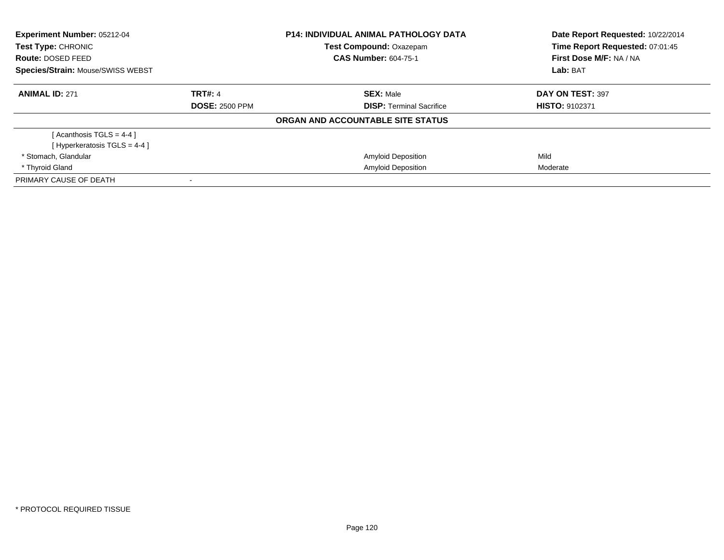| Experiment Number: 05212-04<br>Test Type: CHRONIC<br>Route: DOSED FEED<br>Species/Strain: Mouse/SWISS WEBST |                       | <b>P14: INDIVIDUAL ANIMAL PATHOLOGY DATA</b><br>Test Compound: Oxazepam<br><b>CAS Number: 604-75-1</b> | Date Report Requested: 10/22/2014<br>Time Report Requested: 07:01:45<br>First Dose M/F: NA / NA<br>Lab: BAT |
|-------------------------------------------------------------------------------------------------------------|-----------------------|--------------------------------------------------------------------------------------------------------|-------------------------------------------------------------------------------------------------------------|
|                                                                                                             |                       |                                                                                                        |                                                                                                             |
| <b>ANIMAL ID: 271</b>                                                                                       | <b>TRT#: 4</b>        | <b>SEX: Male</b>                                                                                       | DAY ON TEST: 397                                                                                            |
|                                                                                                             | <b>DOSE: 2500 PPM</b> | <b>DISP:</b> Terminal Sacrifice                                                                        | HISTO: 9102371                                                                                              |
|                                                                                                             |                       | ORGAN AND ACCOUNTABLE SITE STATUS                                                                      |                                                                                                             |
| [Acanthosis TGLS = $4-4$ ]                                                                                  |                       |                                                                                                        |                                                                                                             |
| [Hyperkeratosis $TGLS = 4-4$ ]                                                                              |                       |                                                                                                        |                                                                                                             |
| * Stomach, Glandular                                                                                        |                       | <b>Amyloid Deposition</b>                                                                              | Mild                                                                                                        |
| * Thyroid Gland                                                                                             |                       | <b>Amyloid Deposition</b>                                                                              | Moderate                                                                                                    |
| PRIMARY CAUSE OF DEATH                                                                                      |                       |                                                                                                        |                                                                                                             |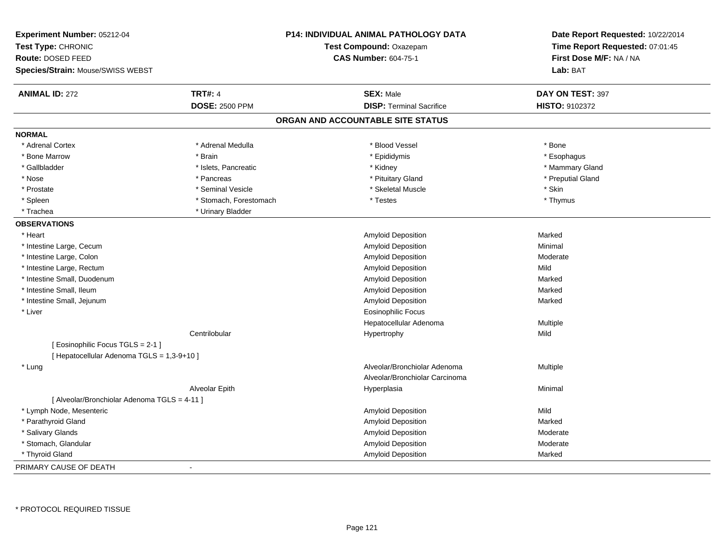| Experiment Number: 05212-04<br>Test Type: CHRONIC<br>Route: DOSED FEED<br>Species/Strain: Mouse/SWISS WEBST |                        | <b>P14: INDIVIDUAL ANIMAL PATHOLOGY DATA</b><br>Test Compound: Oxazepam<br><b>CAS Number: 604-75-1</b> | Date Report Requested: 10/22/2014<br>Time Report Requested: 07:01:45<br>First Dose M/F: NA / NA<br>Lab: BAT |
|-------------------------------------------------------------------------------------------------------------|------------------------|--------------------------------------------------------------------------------------------------------|-------------------------------------------------------------------------------------------------------------|
| <b>ANIMAL ID: 272</b>                                                                                       | <b>TRT#: 4</b>         | <b>SEX: Male</b>                                                                                       | DAY ON TEST: 397                                                                                            |
|                                                                                                             | <b>DOSE: 2500 PPM</b>  | <b>DISP: Terminal Sacrifice</b>                                                                        | HISTO: 9102372                                                                                              |
|                                                                                                             |                        | ORGAN AND ACCOUNTABLE SITE STATUS                                                                      |                                                                                                             |
| <b>NORMAL</b>                                                                                               |                        |                                                                                                        |                                                                                                             |
| * Adrenal Cortex                                                                                            | * Adrenal Medulla      | * Blood Vessel                                                                                         | * Bone                                                                                                      |
| * Bone Marrow                                                                                               | * Brain                | * Epididymis                                                                                           | * Esophagus                                                                                                 |
| * Gallbladder                                                                                               | * Islets, Pancreatic   | * Kidney                                                                                               | * Mammary Gland                                                                                             |
| * Nose                                                                                                      | * Pancreas             | * Pituitary Gland                                                                                      | * Preputial Gland                                                                                           |
| * Prostate                                                                                                  | * Seminal Vesicle      | * Skeletal Muscle                                                                                      | * Skin                                                                                                      |
| * Spleen                                                                                                    | * Stomach, Forestomach | * Testes                                                                                               | * Thymus                                                                                                    |
| * Trachea                                                                                                   | * Urinary Bladder      |                                                                                                        |                                                                                                             |
| <b>OBSERVATIONS</b>                                                                                         |                        |                                                                                                        |                                                                                                             |
| * Heart                                                                                                     |                        | Amyloid Deposition                                                                                     | Marked                                                                                                      |
| * Intestine Large, Cecum                                                                                    |                        | Amyloid Deposition                                                                                     | Minimal                                                                                                     |
| * Intestine Large, Colon                                                                                    |                        | <b>Amyloid Deposition</b>                                                                              | Moderate                                                                                                    |
| * Intestine Large, Rectum                                                                                   |                        | Amyloid Deposition                                                                                     | Mild                                                                                                        |
| * Intestine Small, Duodenum                                                                                 |                        | Amyloid Deposition                                                                                     | Marked                                                                                                      |
| * Intestine Small, Ileum                                                                                    |                        | Amyloid Deposition                                                                                     | Marked                                                                                                      |
| * Intestine Small, Jejunum                                                                                  |                        | Amyloid Deposition                                                                                     | Marked                                                                                                      |
| * Liver                                                                                                     |                        | <b>Eosinophilic Focus</b>                                                                              |                                                                                                             |
|                                                                                                             |                        | Hepatocellular Adenoma                                                                                 | Multiple                                                                                                    |
|                                                                                                             | Centrilobular          | Hypertrophy                                                                                            | Mild                                                                                                        |
| [ Eosinophilic Focus TGLS = 2-1 ]                                                                           |                        |                                                                                                        |                                                                                                             |
| [ Hepatocellular Adenoma TGLS = 1,3-9+10 ]                                                                  |                        |                                                                                                        |                                                                                                             |
| * Lung                                                                                                      |                        | Alveolar/Bronchiolar Adenoma                                                                           | Multiple                                                                                                    |
|                                                                                                             |                        | Alveolar/Bronchiolar Carcinoma                                                                         |                                                                                                             |
|                                                                                                             | Alveolar Epith         | Hyperplasia                                                                                            | Minimal                                                                                                     |
| [ Alveolar/Bronchiolar Adenoma TGLS = 4-11 ]                                                                |                        |                                                                                                        |                                                                                                             |
| * Lymph Node, Mesenteric                                                                                    |                        | Amyloid Deposition                                                                                     | Mild                                                                                                        |
| * Parathyroid Gland                                                                                         |                        | <b>Amyloid Deposition</b>                                                                              | Marked                                                                                                      |
| * Salivary Glands                                                                                           |                        | Amyloid Deposition                                                                                     | Moderate                                                                                                    |
| * Stomach, Glandular                                                                                        |                        | Amyloid Deposition                                                                                     | Moderate                                                                                                    |
| * Thyroid Gland                                                                                             |                        | Amyloid Deposition                                                                                     | Marked                                                                                                      |
| PRIMARY CAUSE OF DEATH                                                                                      | $\blacksquare$         |                                                                                                        |                                                                                                             |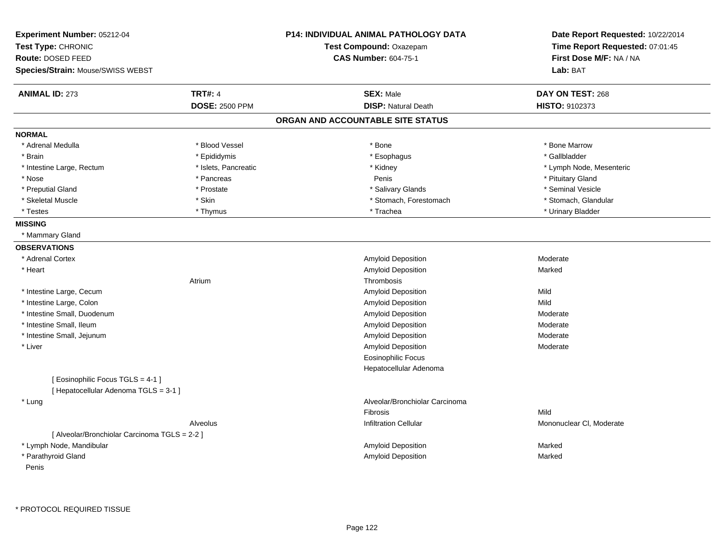| Experiment Number: 05212-04                                              |                       | <b>P14: INDIVIDUAL ANIMAL PATHOLOGY DATA</b> | Date Report Requested: 10/22/2014 |
|--------------------------------------------------------------------------|-----------------------|----------------------------------------------|-----------------------------------|
| Test Type: CHRONIC                                                       |                       | Test Compound: Oxazepam                      | Time Report Requested: 07:01:45   |
| <b>Route: DOSED FEED</b>                                                 |                       | <b>CAS Number: 604-75-1</b>                  | First Dose M/F: NA / NA           |
| Species/Strain: Mouse/SWISS WEBST                                        |                       |                                              | Lab: BAT                          |
| <b>ANIMAL ID: 273</b>                                                    | <b>TRT#: 4</b>        | <b>SEX: Male</b>                             | DAY ON TEST: 268                  |
|                                                                          | <b>DOSE: 2500 PPM</b> | <b>DISP: Natural Death</b>                   | HISTO: 9102373                    |
|                                                                          |                       | ORGAN AND ACCOUNTABLE SITE STATUS            |                                   |
| <b>NORMAL</b>                                                            |                       |                                              |                                   |
| * Adrenal Medulla                                                        | * Blood Vessel        | * Bone                                       | * Bone Marrow                     |
| * Brain                                                                  | * Epididymis          | * Esophagus                                  | * Gallbladder                     |
| * Intestine Large, Rectum                                                | * Islets, Pancreatic  | * Kidney                                     | * Lymph Node, Mesenteric          |
| * Nose                                                                   | * Pancreas            | Penis                                        | * Pituitary Gland                 |
| * Preputial Gland                                                        | * Prostate            | * Salivary Glands                            | * Seminal Vesicle                 |
| * Skeletal Muscle                                                        | * Skin                | * Stomach, Forestomach                       | * Stomach, Glandular              |
| * Testes                                                                 | * Thymus              | * Trachea                                    | * Urinary Bladder                 |
| <b>MISSING</b>                                                           |                       |                                              |                                   |
| * Mammary Gland                                                          |                       |                                              |                                   |
| <b>OBSERVATIONS</b>                                                      |                       |                                              |                                   |
| * Adrenal Cortex                                                         |                       | Amyloid Deposition                           | Moderate                          |
| * Heart                                                                  |                       | Amyloid Deposition                           | Marked                            |
|                                                                          | Atrium                | Thrombosis                                   |                                   |
| * Intestine Large, Cecum                                                 |                       | Amyloid Deposition                           | Mild                              |
| * Intestine Large, Colon                                                 |                       | Amyloid Deposition                           | Mild                              |
| * Intestine Small, Duodenum                                              |                       | Amyloid Deposition                           | Moderate                          |
| * Intestine Small, Ileum                                                 |                       | Amyloid Deposition                           | Moderate                          |
| * Intestine Small, Jejunum                                               |                       | Amyloid Deposition                           | Moderate                          |
| * Liver                                                                  |                       | Amyloid Deposition                           | Moderate                          |
|                                                                          |                       | <b>Eosinophilic Focus</b>                    |                                   |
|                                                                          |                       | Hepatocellular Adenoma                       |                                   |
| [Eosinophilic Focus TGLS = 4-1]<br>[ Hepatocellular Adenoma TGLS = 3-1 ] |                       |                                              |                                   |
| * Lung                                                                   |                       | Alveolar/Bronchiolar Carcinoma               |                                   |
|                                                                          |                       | Fibrosis                                     | Mild                              |
|                                                                          | Alveolus              | <b>Infiltration Cellular</b>                 | Mononuclear CI, Moderate          |
|                                                                          |                       |                                              |                                   |
| [ Alveolar/Bronchiolar Carcinoma TGLS = 2-2 ]                            |                       |                                              |                                   |
| * Lymph Node, Mandibular                                                 |                       | Amyloid Deposition                           | Marked                            |
| * Parathyroid Gland                                                      |                       | Amyloid Deposition                           | Marked                            |
| Penis                                                                    |                       |                                              |                                   |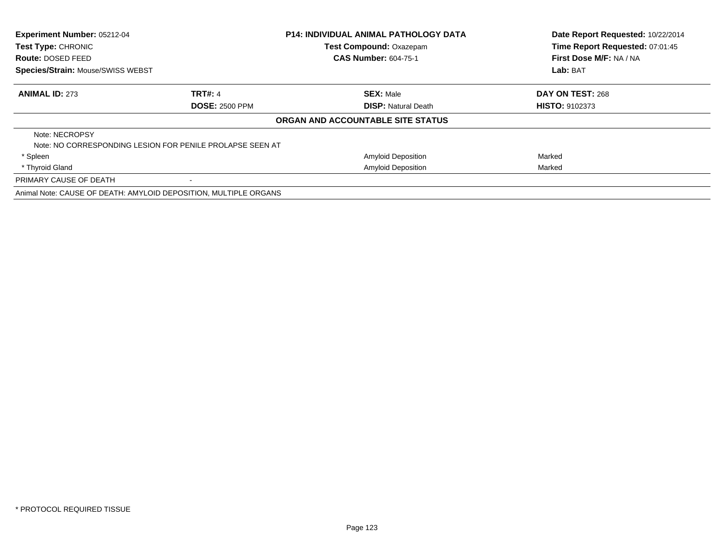| <b>Experiment Number: 05212-04</b><br>Test Type: CHRONIC |                                                                  | <b>P14: INDIVIDUAL ANIMAL PATHOLOGY DATA</b> | Date Report Requested: 10/22/2014 |
|----------------------------------------------------------|------------------------------------------------------------------|----------------------------------------------|-----------------------------------|
|                                                          |                                                                  | Test Compound: Oxazepam                      | Time Report Requested: 07:01:45   |
| Route: DOSED FEED                                        |                                                                  | <b>CAS Number: 604-75-1</b>                  | First Dose M/F: NA / NA           |
| Species/Strain: Mouse/SWISS WEBST                        |                                                                  |                                              | Lab: BAT                          |
| <b>ANIMAL ID: 273</b>                                    | <b>TRT#: 4</b>                                                   | <b>SEX: Male</b>                             | DAY ON TEST: 268                  |
|                                                          | <b>DOSE: 2500 PPM</b>                                            | <b>DISP:</b> Natural Death                   | <b>HISTO: 9102373</b>             |
|                                                          |                                                                  | ORGAN AND ACCOUNTABLE SITE STATUS            |                                   |
| Note: NECROPSY                                           |                                                                  |                                              |                                   |
|                                                          | Note: NO CORRESPONDING LESION FOR PENILE PROLAPSE SEEN AT        |                                              |                                   |
| * Spleen                                                 |                                                                  | Amyloid Deposition                           | Marked                            |
| * Thyroid Gland                                          |                                                                  | <b>Amyloid Deposition</b>                    | Marked                            |
| PRIMARY CAUSE OF DEATH                                   |                                                                  |                                              |                                   |
|                                                          | Animal Note: CAUSE OF DEATH: AMYLOID DEPOSITION, MULTIPLE ORGANS |                                              |                                   |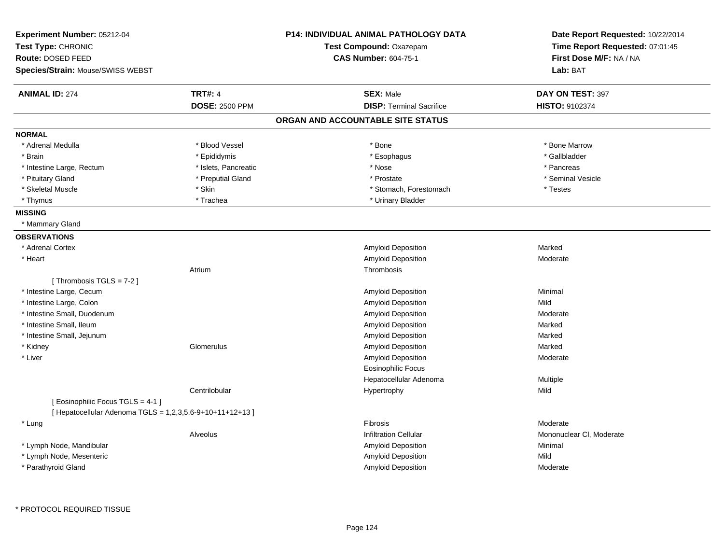| Experiment Number: 05212-04<br>Test Type: CHRONIC<br>Route: DOSED FEED<br>Species/Strain: Mouse/SWISS WEBST |                       | P14: INDIVIDUAL ANIMAL PATHOLOGY DATA<br>Test Compound: Oxazepam<br><b>CAS Number: 604-75-1</b> | Date Report Requested: 10/22/2014<br>Time Report Requested: 07:01:45<br>First Dose M/F: NA / NA<br>Lab: BAT |
|-------------------------------------------------------------------------------------------------------------|-----------------------|-------------------------------------------------------------------------------------------------|-------------------------------------------------------------------------------------------------------------|
| <b>ANIMAL ID: 274</b>                                                                                       | <b>TRT#: 4</b>        | <b>SEX: Male</b>                                                                                | DAY ON TEST: 397                                                                                            |
|                                                                                                             | <b>DOSE: 2500 PPM</b> | <b>DISP: Terminal Sacrifice</b>                                                                 | HISTO: 9102374                                                                                              |
|                                                                                                             |                       | ORGAN AND ACCOUNTABLE SITE STATUS                                                               |                                                                                                             |
| <b>NORMAL</b>                                                                                               |                       |                                                                                                 |                                                                                                             |
| * Adrenal Medulla                                                                                           | * Blood Vessel        | * Bone                                                                                          | * Bone Marrow                                                                                               |
| * Brain                                                                                                     | * Epididymis          | * Esophagus                                                                                     | * Gallbladder                                                                                               |
| * Intestine Large, Rectum                                                                                   | * Islets, Pancreatic  | * Nose                                                                                          | * Pancreas                                                                                                  |
| * Pituitary Gland                                                                                           | * Preputial Gland     | * Prostate                                                                                      | * Seminal Vesicle                                                                                           |
| * Skeletal Muscle                                                                                           | $*$ Skin              | * Stomach, Forestomach                                                                          | * Testes                                                                                                    |
| * Thymus                                                                                                    | * Trachea             | * Urinary Bladder                                                                               |                                                                                                             |
| <b>MISSING</b>                                                                                              |                       |                                                                                                 |                                                                                                             |
| * Mammary Gland                                                                                             |                       |                                                                                                 |                                                                                                             |
| <b>OBSERVATIONS</b>                                                                                         |                       |                                                                                                 |                                                                                                             |
| * Adrenal Cortex                                                                                            |                       | Amyloid Deposition                                                                              | Marked                                                                                                      |
| * Heart                                                                                                     |                       | Amyloid Deposition                                                                              | Moderate                                                                                                    |
|                                                                                                             | Atrium                | Thrombosis                                                                                      |                                                                                                             |
| [Thrombosis TGLS = $7-2$ ]                                                                                  |                       |                                                                                                 |                                                                                                             |
| * Intestine Large, Cecum                                                                                    |                       | Amyloid Deposition                                                                              | Minimal                                                                                                     |
| * Intestine Large, Colon                                                                                    |                       | <b>Amyloid Deposition</b>                                                                       | Mild                                                                                                        |
| * Intestine Small, Duodenum                                                                                 |                       | Amyloid Deposition                                                                              | Moderate                                                                                                    |
| * Intestine Small, Ileum                                                                                    |                       | Amyloid Deposition                                                                              | Marked                                                                                                      |
| * Intestine Small, Jejunum                                                                                  |                       | Amyloid Deposition                                                                              | Marked                                                                                                      |
| * Kidney                                                                                                    | Glomerulus            | Amyloid Deposition                                                                              | Marked                                                                                                      |
| * Liver                                                                                                     |                       | <b>Amyloid Deposition</b>                                                                       | Moderate                                                                                                    |
|                                                                                                             |                       | <b>Eosinophilic Focus</b>                                                                       |                                                                                                             |
|                                                                                                             |                       | Hepatocellular Adenoma                                                                          | Multiple                                                                                                    |
|                                                                                                             | Centrilobular         | Hypertrophy                                                                                     | Mild                                                                                                        |
| [ Eosinophilic Focus TGLS = 4-1 ]                                                                           |                       |                                                                                                 |                                                                                                             |
| [ Hepatocellular Adenoma TGLS = 1,2,3,5,6-9+10+11+12+13 ]                                                   |                       |                                                                                                 |                                                                                                             |
| * Lung                                                                                                      |                       | Fibrosis                                                                                        | Moderate                                                                                                    |
|                                                                                                             | Alveolus              | <b>Infiltration Cellular</b>                                                                    | Mononuclear CI, Moderate                                                                                    |
| * Lymph Node, Mandibular                                                                                    |                       | <b>Amyloid Deposition</b>                                                                       | Minimal                                                                                                     |
| * Lymph Node, Mesenteric                                                                                    |                       | Amyloid Deposition                                                                              | Mild                                                                                                        |
| * Parathyroid Gland                                                                                         |                       | <b>Amyloid Deposition</b>                                                                       | Moderate                                                                                                    |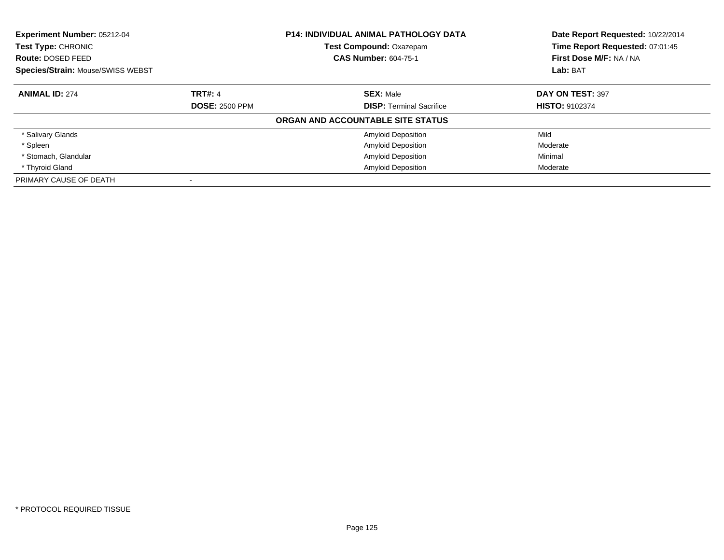| <b>Experiment Number: 05212-04</b><br>Test Type: CHRONIC<br><b>Route: DOSED FEED</b> |                       | <b>P14: INDIVIDUAL ANIMAL PATHOLOGY DATA</b><br>Test Compound: Oxazepam<br><b>CAS Number: 604-75-1</b> | Date Report Requested: 10/22/2014<br>Time Report Requested: 07:01:45<br>First Dose M/F: NA / NA |
|--------------------------------------------------------------------------------------|-----------------------|--------------------------------------------------------------------------------------------------------|-------------------------------------------------------------------------------------------------|
| <b>Species/Strain: Mouse/SWISS WEBST</b>                                             |                       |                                                                                                        | Lab: BAT                                                                                        |
| <b>ANIMAL ID: 274</b>                                                                | <b>TRT#: 4</b>        | <b>SEX: Male</b>                                                                                       | DAY ON TEST: 397                                                                                |
|                                                                                      | <b>DOSE: 2500 PPM</b> | <b>DISP:</b> Terminal Sacrifice                                                                        | <b>HISTO: 9102374</b>                                                                           |
|                                                                                      |                       | ORGAN AND ACCOUNTABLE SITE STATUS                                                                      |                                                                                                 |
| * Salivary Glands                                                                    |                       | <b>Amyloid Deposition</b>                                                                              | Mild                                                                                            |
| * Spleen                                                                             |                       | <b>Amyloid Deposition</b>                                                                              | Moderate                                                                                        |
| * Stomach, Glandular                                                                 |                       | <b>Amyloid Deposition</b>                                                                              | Minimal                                                                                         |
| * Thyroid Gland                                                                      |                       | <b>Amyloid Deposition</b>                                                                              | Moderate                                                                                        |
| PRIMARY CAUSE OF DEATH                                                               |                       |                                                                                                        |                                                                                                 |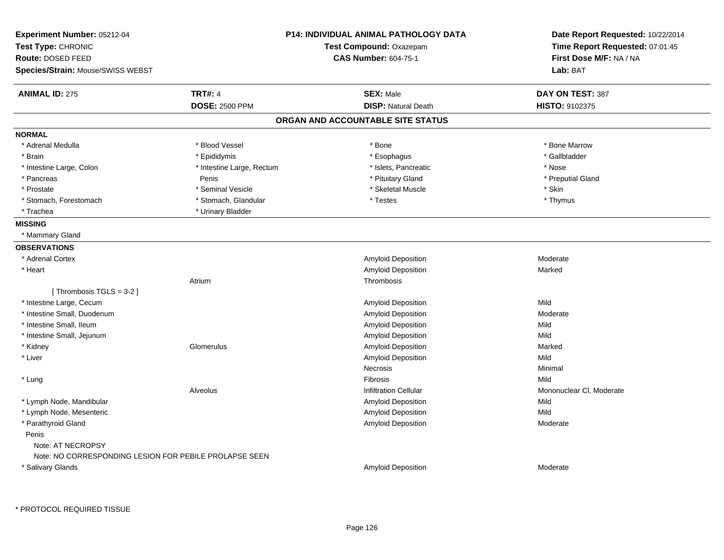| Experiment Number: 05212-04                            |                           | <b>P14: INDIVIDUAL ANIMAL PATHOLOGY DATA</b> | Date Report Requested: 10/22/2014 |
|--------------------------------------------------------|---------------------------|----------------------------------------------|-----------------------------------|
| Test Type: CHRONIC                                     | Test Compound: Oxazepam   |                                              | Time Report Requested: 07:01:45   |
| Route: DOSED FEED                                      |                           | <b>CAS Number: 604-75-1</b>                  | First Dose M/F: NA / NA           |
| Species/Strain: Mouse/SWISS WEBST                      |                           |                                              | Lab: BAT                          |
| <b>ANIMAL ID: 275</b>                                  | <b>TRT#: 4</b>            | <b>SEX: Male</b>                             | DAY ON TEST: 387                  |
|                                                        | <b>DOSE: 2500 PPM</b>     | <b>DISP: Natural Death</b>                   | HISTO: 9102375                    |
|                                                        |                           | ORGAN AND ACCOUNTABLE SITE STATUS            |                                   |
| <b>NORMAL</b>                                          |                           |                                              |                                   |
| * Adrenal Medulla                                      | * Blood Vessel            | * Bone                                       | * Bone Marrow                     |
| * Brain                                                | * Epididymis              | * Esophagus                                  | * Gallbladder                     |
| * Intestine Large, Colon                               | * Intestine Large, Rectum | * Islets, Pancreatic                         | * Nose                            |
| * Pancreas                                             | Penis                     | * Pituitary Gland                            | * Preputial Gland                 |
| * Prostate                                             | * Seminal Vesicle         | * Skeletal Muscle                            | * Skin                            |
| * Stomach, Forestomach                                 | * Stomach, Glandular      | * Testes                                     | * Thymus                          |
| * Trachea                                              | * Urinary Bladder         |                                              |                                   |
| <b>MISSING</b>                                         |                           |                                              |                                   |
| * Mammary Gland                                        |                           |                                              |                                   |
| <b>OBSERVATIONS</b>                                    |                           |                                              |                                   |
| * Adrenal Cortex                                       |                           | Amyloid Deposition                           | Moderate                          |
| * Heart                                                |                           | Amyloid Deposition                           | Marked                            |
|                                                        | Atrium                    | Thrombosis                                   |                                   |
| [Thrombosis TGLS = 3-2]                                |                           |                                              |                                   |
| * Intestine Large, Cecum                               |                           | Amyloid Deposition                           | Mild                              |
| * Intestine Small, Duodenum                            |                           | Amyloid Deposition                           | Moderate                          |
| * Intestine Small, Ileum                               |                           | Amyloid Deposition                           | Mild                              |
| * Intestine Small, Jejunum                             |                           | Amyloid Deposition                           | Mild                              |
| * Kidney                                               | Glomerulus                | Amyloid Deposition                           | Marked                            |
| * Liver                                                |                           | Amyloid Deposition                           | Mild                              |
|                                                        |                           | Necrosis                                     | Minimal                           |
| * Lung                                                 |                           | Fibrosis                                     | Mild                              |
|                                                        | Alveolus                  | <b>Infiltration Cellular</b>                 | Mononuclear CI, Moderate          |
| * Lymph Node, Mandibular                               |                           | Amyloid Deposition                           | Mild                              |
| * Lymph Node, Mesenteric                               |                           | Amyloid Deposition                           | Mild                              |
| * Parathyroid Gland                                    |                           | <b>Amyloid Deposition</b>                    | Moderate                          |
| Penis                                                  |                           |                                              |                                   |
| Note: AT NECROPSY                                      |                           |                                              |                                   |
| Note: NO CORRESPONDING LESION FOR PEBILE PROLAPSE SEEN |                           |                                              |                                   |
| * Salivary Glands                                      |                           | Amyloid Deposition                           | Moderate                          |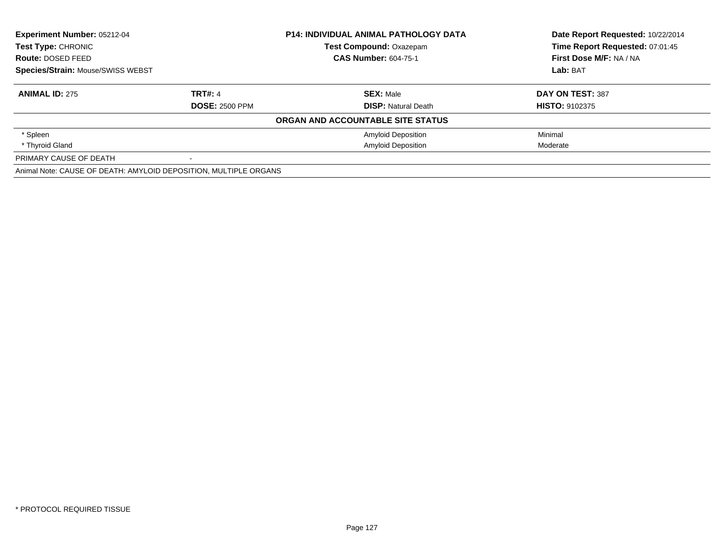| Experiment Number: 05212-04                                      |                       | <b>P14: INDIVIDUAL ANIMAL PATHOLOGY DATA</b> | Date Report Requested: 10/22/2014 |
|------------------------------------------------------------------|-----------------------|----------------------------------------------|-----------------------------------|
| <b>Test Type: CHRONIC</b>                                        |                       | <b>Test Compound: Oxazepam</b>               | Time Report Requested: 07:01:45   |
| Route: DOSED FEED                                                |                       | <b>CAS Number: 604-75-1</b>                  | First Dose M/F: NA / NA           |
| <b>Species/Strain: Mouse/SWISS WEBST</b>                         |                       |                                              | Lab: BAT                          |
| <b>ANIMAL ID: 275</b>                                            | <b>TRT#: 4</b>        | <b>SEX: Male</b>                             | DAY ON TEST: 387                  |
|                                                                  | <b>DOSE: 2500 PPM</b> | <b>DISP: Natural Death</b>                   | <b>HISTO: 9102375</b>             |
|                                                                  |                       | ORGAN AND ACCOUNTABLE SITE STATUS            |                                   |
| * Spleen                                                         |                       | <b>Amyloid Deposition</b>                    | Minimal                           |
| * Thyroid Gland                                                  |                       | <b>Amyloid Deposition</b>                    | Moderate                          |
| PRIMARY CAUSE OF DEATH                                           | $\blacksquare$        |                                              |                                   |
| Animal Note: CAUSE OF DEATH: AMYLOID DEPOSITION, MULTIPLE ORGANS |                       |                                              |                                   |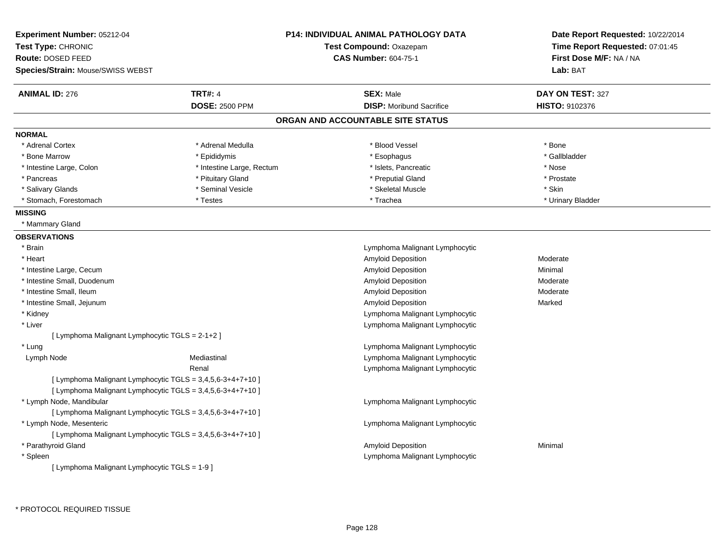| <b>Experiment Number: 05212-04</b><br>Test Type: CHRONIC   |                           | <b>P14: INDIVIDUAL ANIMAL PATHOLOGY DATA</b><br>Test Compound: Oxazepam | Date Report Requested: 10/22/2014<br>Time Report Requested: 07:01:45 |
|------------------------------------------------------------|---------------------------|-------------------------------------------------------------------------|----------------------------------------------------------------------|
| Route: DOSED FEED                                          |                           | <b>CAS Number: 604-75-1</b>                                             | First Dose M/F: NA / NA                                              |
| Species/Strain: Mouse/SWISS WEBST                          |                           |                                                                         | Lab: BAT                                                             |
| <b>ANIMAL ID: 276</b>                                      | <b>TRT#: 4</b>            | <b>SEX: Male</b>                                                        | DAY ON TEST: 327                                                     |
|                                                            | <b>DOSE: 2500 PPM</b>     | <b>DISP:</b> Moribund Sacrifice                                         | HISTO: 9102376                                                       |
|                                                            |                           | ORGAN AND ACCOUNTABLE SITE STATUS                                       |                                                                      |
| <b>NORMAL</b>                                              |                           |                                                                         |                                                                      |
| * Adrenal Cortex                                           | * Adrenal Medulla         | * Blood Vessel                                                          | * Bone                                                               |
| * Bone Marrow                                              | * Epididymis              | * Esophagus                                                             | * Gallbladder                                                        |
| * Intestine Large, Colon                                   | * Intestine Large, Rectum | * Islets, Pancreatic                                                    | * Nose                                                               |
| * Pancreas                                                 | * Pituitary Gland         | * Preputial Gland                                                       | * Prostate                                                           |
| * Salivary Glands                                          | * Seminal Vesicle         | * Skeletal Muscle                                                       | * Skin                                                               |
| * Stomach, Forestomach                                     | * Testes                  | * Trachea                                                               | * Urinary Bladder                                                    |
| <b>MISSING</b>                                             |                           |                                                                         |                                                                      |
| * Mammary Gland                                            |                           |                                                                         |                                                                      |
| <b>OBSERVATIONS</b>                                        |                           |                                                                         |                                                                      |
| * Brain                                                    |                           | Lymphoma Malignant Lymphocytic                                          |                                                                      |
| * Heart                                                    |                           | Amyloid Deposition                                                      | Moderate                                                             |
| * Intestine Large, Cecum                                   |                           | Amyloid Deposition                                                      | Minimal                                                              |
| * Intestine Small, Duodenum                                |                           | Amyloid Deposition                                                      | Moderate                                                             |
| * Intestine Small, Ileum                                   |                           | Amyloid Deposition                                                      | Moderate                                                             |
| * Intestine Small, Jejunum                                 |                           | Amyloid Deposition                                                      | Marked                                                               |
| * Kidney                                                   |                           | Lymphoma Malignant Lymphocytic                                          |                                                                      |
| * Liver                                                    |                           | Lymphoma Malignant Lymphocytic                                          |                                                                      |
| [ Lymphoma Malignant Lymphocytic TGLS = 2-1+2 ]            |                           |                                                                         |                                                                      |
| * Lung                                                     |                           | Lymphoma Malignant Lymphocytic                                          |                                                                      |
| Lymph Node                                                 | Mediastinal               | Lymphoma Malignant Lymphocytic                                          |                                                                      |
|                                                            | Renal                     | Lymphoma Malignant Lymphocytic                                          |                                                                      |
| [ Lymphoma Malignant Lymphocytic TGLS = 3,4,5,6-3+4+7+10 ] |                           |                                                                         |                                                                      |
| [ Lymphoma Malignant Lymphocytic TGLS = 3,4,5,6-3+4+7+10 ] |                           |                                                                         |                                                                      |
| * Lymph Node, Mandibular                                   |                           | Lymphoma Malignant Lymphocytic                                          |                                                                      |
| [ Lymphoma Malignant Lymphocytic TGLS = 3,4,5,6-3+4+7+10 ] |                           |                                                                         |                                                                      |
| * Lymph Node, Mesenteric                                   |                           | Lymphoma Malignant Lymphocytic                                          |                                                                      |
| [ Lymphoma Malignant Lymphocytic TGLS = 3,4,5,6-3+4+7+10 ] |                           |                                                                         |                                                                      |
| * Parathyroid Gland                                        |                           | Amyloid Deposition                                                      | Minimal                                                              |
| * Spleen                                                   |                           | Lymphoma Malignant Lymphocytic                                          |                                                                      |
| [ Lymphoma Malignant Lymphocytic TGLS = 1-9 ]              |                           |                                                                         |                                                                      |

\* PROTOCOL REQUIRED TISSUE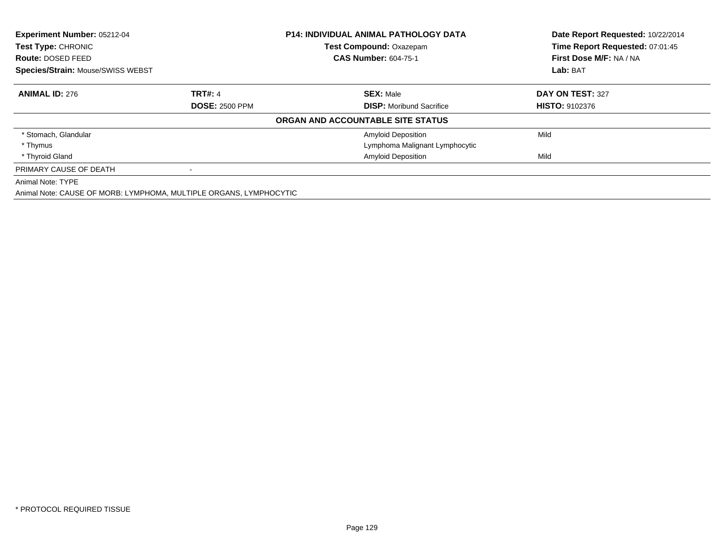| <b>Experiment Number: 05212-04</b><br>Test Type: CHRONIC           |                       | <b>P14: INDIVIDUAL ANIMAL PATHOLOGY DATA</b> | Date Report Requested: 10/22/2014 |  |
|--------------------------------------------------------------------|-----------------------|----------------------------------------------|-----------------------------------|--|
|                                                                    |                       | <b>Test Compound: Oxazepam</b>               | Time Report Requested: 07:01:45   |  |
| Route: DOSED FEED                                                  |                       | <b>CAS Number: 604-75-1</b>                  | First Dose M/F: NA / NA           |  |
| <b>Species/Strain: Mouse/SWISS WEBST</b>                           |                       |                                              | Lab: BAT                          |  |
| <b>ANIMAL ID: 276</b>                                              | <b>TRT#: 4</b>        | <b>SEX: Male</b>                             | DAY ON TEST: 327                  |  |
|                                                                    | <b>DOSE: 2500 PPM</b> | <b>DISP:</b> Moribund Sacrifice              | <b>HISTO: 9102376</b>             |  |
|                                                                    |                       | ORGAN AND ACCOUNTABLE SITE STATUS            |                                   |  |
| * Stomach, Glandular                                               |                       | Amyloid Deposition                           | Mild                              |  |
| * Thymus                                                           |                       | Lymphoma Malignant Lymphocytic               |                                   |  |
| * Thyroid Gland                                                    |                       | <b>Amyloid Deposition</b>                    | Mild                              |  |
| PRIMARY CAUSE OF DEATH                                             |                       |                                              |                                   |  |
| Animal Note: TYPE                                                  |                       |                                              |                                   |  |
| Animal Note: CAUSE OF MORB: LYMPHOMA, MULTIPLE ORGANS, LYMPHOCYTIC |                       |                                              |                                   |  |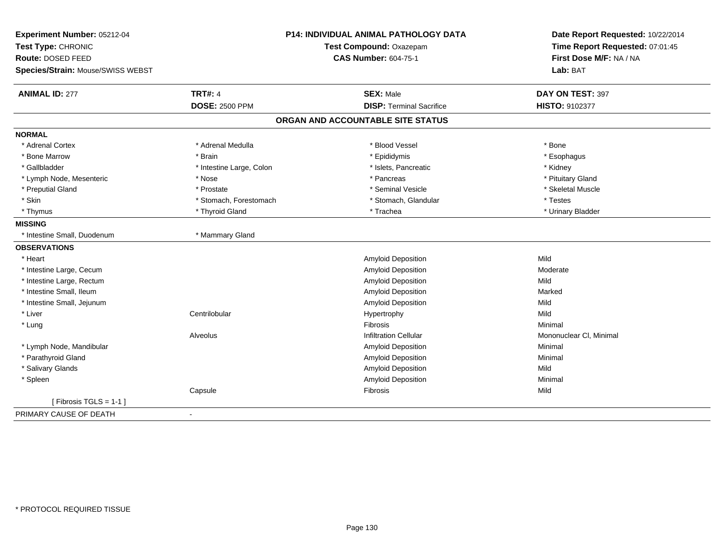| Experiment Number: 05212-04       |                          | <b>P14: INDIVIDUAL ANIMAL PATHOLOGY DATA</b> | Date Report Requested: 10/22/2014 |
|-----------------------------------|--------------------------|----------------------------------------------|-----------------------------------|
| Test Type: CHRONIC                |                          | Test Compound: Oxazepam                      | Time Report Requested: 07:01:45   |
| Route: DOSED FEED                 |                          | <b>CAS Number: 604-75-1</b>                  | First Dose M/F: NA / NA           |
| Species/Strain: Mouse/SWISS WEBST |                          |                                              | Lab: BAT                          |
| <b>ANIMAL ID: 277</b>             | <b>TRT#: 4</b>           | <b>SEX: Male</b>                             | DAY ON TEST: 397                  |
|                                   | <b>DOSE: 2500 PPM</b>    | <b>DISP: Terminal Sacrifice</b>              | HISTO: 9102377                    |
|                                   |                          | ORGAN AND ACCOUNTABLE SITE STATUS            |                                   |
| <b>NORMAL</b>                     |                          |                                              |                                   |
| * Adrenal Cortex                  | * Adrenal Medulla        | * Blood Vessel                               | * Bone                            |
| * Bone Marrow                     | * Brain                  | * Epididymis                                 | * Esophagus                       |
| * Gallbladder                     | * Intestine Large, Colon | * Islets, Pancreatic                         | * Kidney                          |
| * Lymph Node, Mesenteric          | * Nose                   | * Pancreas                                   | * Pituitary Gland                 |
| * Preputial Gland                 | * Prostate               | * Seminal Vesicle                            | * Skeletal Muscle                 |
| * Skin                            | * Stomach, Forestomach   | * Stomach, Glandular                         | * Testes                          |
| * Thymus                          | * Thyroid Gland          | * Trachea                                    | * Urinary Bladder                 |
| <b>MISSING</b>                    |                          |                                              |                                   |
| * Intestine Small, Duodenum       | * Mammary Gland          |                                              |                                   |
| <b>OBSERVATIONS</b>               |                          |                                              |                                   |
| * Heart                           |                          | Amyloid Deposition                           | Mild                              |
| * Intestine Large, Cecum          |                          | Amyloid Deposition                           | Moderate                          |
| * Intestine Large, Rectum         |                          | Amyloid Deposition                           | Mild                              |
| * Intestine Small, Ileum          |                          | Amyloid Deposition                           | Marked                            |
| * Intestine Small, Jejunum        |                          | Amyloid Deposition                           | Mild                              |
| * Liver                           | Centrilobular            | Hypertrophy                                  | Mild                              |
| * Lung                            |                          | Fibrosis                                     | Minimal                           |
|                                   | Alveolus                 | <b>Infiltration Cellular</b>                 | Mononuclear CI, Minimal           |
| * Lymph Node, Mandibular          |                          | <b>Amyloid Deposition</b>                    | Minimal                           |
| * Parathyroid Gland               |                          | Amyloid Deposition                           | Minimal                           |
| * Salivary Glands                 |                          | Amyloid Deposition                           | Mild                              |
| * Spleen                          |                          | Amyloid Deposition                           | Minimal                           |
|                                   | Capsule                  | Fibrosis                                     | Mild                              |
| [Fibrosis TGLS = $1-1$ ]          |                          |                                              |                                   |
| PRIMARY CAUSE OF DEATH            |                          |                                              |                                   |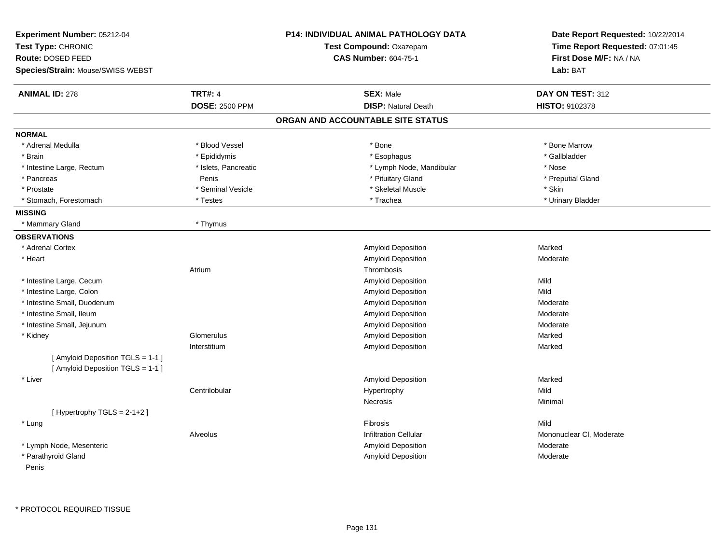| Experiment Number: 05212-04<br>Test Type: CHRONIC<br>Route: DOSED FEED<br>Species/Strain: Mouse/SWISS WEBST |                       | <b>P14: INDIVIDUAL ANIMAL PATHOLOGY DATA</b><br>Test Compound: Oxazepam<br><b>CAS Number: 604-75-1</b> | Date Report Requested: 10/22/2014<br>Time Report Requested: 07:01:45<br>First Dose M/F: NA / NA<br>Lab: BAT |
|-------------------------------------------------------------------------------------------------------------|-----------------------|--------------------------------------------------------------------------------------------------------|-------------------------------------------------------------------------------------------------------------|
| <b>ANIMAL ID: 278</b>                                                                                       | <b>TRT#: 4</b>        | <b>SEX: Male</b>                                                                                       | DAY ON TEST: 312                                                                                            |
|                                                                                                             | <b>DOSE: 2500 PPM</b> | <b>DISP: Natural Death</b>                                                                             | HISTO: 9102378                                                                                              |
|                                                                                                             |                       | ORGAN AND ACCOUNTABLE SITE STATUS                                                                      |                                                                                                             |
| <b>NORMAL</b>                                                                                               |                       |                                                                                                        |                                                                                                             |
| * Adrenal Medulla                                                                                           | * Blood Vessel        | * Bone                                                                                                 | * Bone Marrow                                                                                               |
| * Brain                                                                                                     | * Epididymis          | * Esophagus                                                                                            | * Gallbladder                                                                                               |
| * Intestine Large, Rectum                                                                                   | * Islets, Pancreatic  | * Lymph Node, Mandibular                                                                               | * Nose                                                                                                      |
| * Pancreas                                                                                                  | Penis                 | * Pituitary Gland                                                                                      | * Preputial Gland                                                                                           |
| * Prostate                                                                                                  | * Seminal Vesicle     | * Skeletal Muscle                                                                                      | * Skin                                                                                                      |
| * Stomach, Forestomach                                                                                      | * Testes              | * Trachea                                                                                              | * Urinary Bladder                                                                                           |
| <b>MISSING</b>                                                                                              |                       |                                                                                                        |                                                                                                             |
| * Mammary Gland                                                                                             | * Thymus              |                                                                                                        |                                                                                                             |
| <b>OBSERVATIONS</b>                                                                                         |                       |                                                                                                        |                                                                                                             |
| * Adrenal Cortex                                                                                            |                       | <b>Amyloid Deposition</b>                                                                              | Marked                                                                                                      |
| * Heart                                                                                                     |                       | <b>Amyloid Deposition</b>                                                                              | Moderate                                                                                                    |
|                                                                                                             | Atrium                | Thrombosis                                                                                             |                                                                                                             |
| * Intestine Large, Cecum                                                                                    |                       | Amyloid Deposition                                                                                     | Mild                                                                                                        |
| * Intestine Large, Colon                                                                                    |                       | <b>Amyloid Deposition</b>                                                                              | Mild                                                                                                        |
| * Intestine Small, Duodenum                                                                                 |                       | Amyloid Deposition                                                                                     | Moderate                                                                                                    |
| * Intestine Small, Ileum                                                                                    |                       | Amyloid Deposition                                                                                     | Moderate                                                                                                    |
| * Intestine Small, Jejunum                                                                                  |                       | Amyloid Deposition                                                                                     | Moderate                                                                                                    |
| * Kidney                                                                                                    | Glomerulus            | <b>Amyloid Deposition</b>                                                                              | Marked                                                                                                      |
|                                                                                                             | Interstitium          | Amyloid Deposition                                                                                     | Marked                                                                                                      |
| [ Amyloid Deposition TGLS = 1-1 ]                                                                           |                       |                                                                                                        |                                                                                                             |
| [ Amyloid Deposition TGLS = 1-1 ]                                                                           |                       |                                                                                                        |                                                                                                             |
| * Liver                                                                                                     |                       | Amyloid Deposition                                                                                     | Marked                                                                                                      |
|                                                                                                             | Centrilobular         | Hypertrophy                                                                                            | Mild                                                                                                        |
|                                                                                                             |                       | Necrosis                                                                                               | Minimal                                                                                                     |
| [Hypertrophy TGLS = 2-1+2]                                                                                  |                       |                                                                                                        |                                                                                                             |
| * Lung                                                                                                      |                       | Fibrosis                                                                                               | Mild                                                                                                        |
|                                                                                                             | Alveolus              | <b>Infiltration Cellular</b>                                                                           | Mononuclear CI, Moderate                                                                                    |
| * Lymph Node, Mesenteric                                                                                    |                       | Amyloid Deposition                                                                                     | Moderate                                                                                                    |
| * Parathyroid Gland<br>Penis                                                                                |                       | Amyloid Deposition                                                                                     | Moderate                                                                                                    |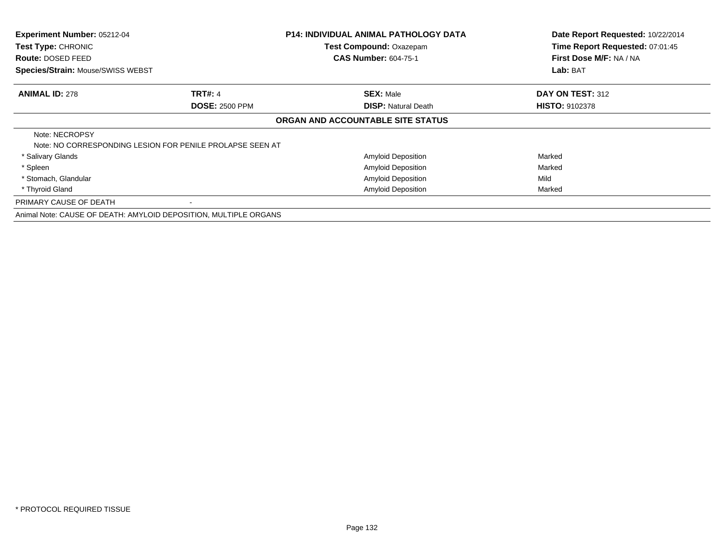| Experiment Number: 05212-04             |                                                                  | <b>P14: INDIVIDUAL ANIMAL PATHOLOGY DATA</b><br>Test Compound: Oxazepam | Date Report Requested: 10/22/2014                          |
|-----------------------------------------|------------------------------------------------------------------|-------------------------------------------------------------------------|------------------------------------------------------------|
| Test Type: CHRONIC<br>Route: DOSED FEED |                                                                  | <b>CAS Number: 604-75-1</b>                                             | Time Report Requested: 07:01:45<br>First Dose M/F: NA / NA |
| Species/Strain: Mouse/SWISS WEBST       |                                                                  |                                                                         | Lab: BAT                                                   |
| <b>ANIMAL ID: 278</b>                   | <b>TRT#: 4</b>                                                   | <b>SEX: Male</b>                                                        | DAY ON TEST: 312                                           |
|                                         | <b>DOSE: 2500 PPM</b>                                            | <b>DISP: Natural Death</b>                                              | <b>HISTO: 9102378</b>                                      |
|                                         |                                                                  | ORGAN AND ACCOUNTABLE SITE STATUS                                       |                                                            |
| Note: NECROPSY                          | Note: NO CORRESPONDING LESION FOR PENILE PROLAPSE SEEN AT        |                                                                         |                                                            |
| * Salivary Glands                       |                                                                  | <b>Amyloid Deposition</b>                                               | Marked                                                     |
| * Spleen                                |                                                                  | <b>Amyloid Deposition</b>                                               | Marked                                                     |
| * Stomach, Glandular                    |                                                                  | <b>Amyloid Deposition</b>                                               | Mild                                                       |
| * Thyroid Gland                         |                                                                  | <b>Amyloid Deposition</b>                                               | Marked                                                     |
| PRIMARY CAUSE OF DEATH                  |                                                                  |                                                                         |                                                            |
|                                         | Animal Note: CAUSE OF DEATH: AMYLOID DEPOSITION, MULTIPLE ORGANS |                                                                         |                                                            |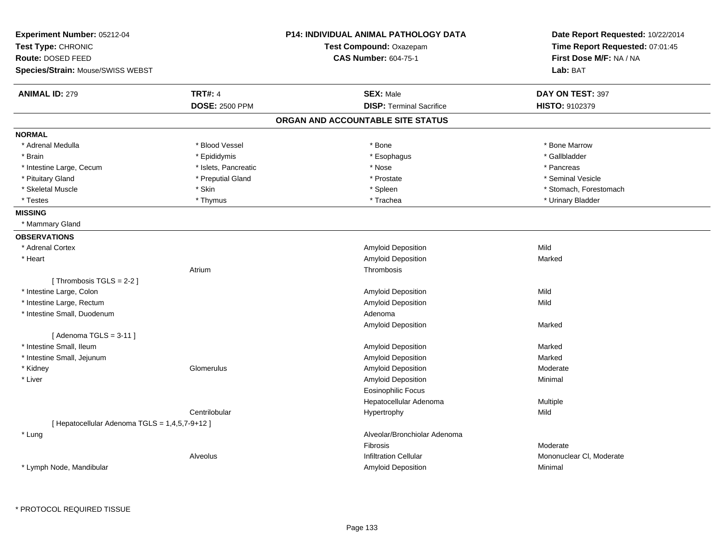| <b>Experiment Number: 05212-04</b>             |                       | <b>P14: INDIVIDUAL ANIMAL PATHOLOGY DATA</b> | Date Report Requested: 10/22/2014 |
|------------------------------------------------|-----------------------|----------------------------------------------|-----------------------------------|
| Test Type: CHRONIC                             |                       | Test Compound: Oxazepam                      | Time Report Requested: 07:01:45   |
| Route: DOSED FEED                              |                       | <b>CAS Number: 604-75-1</b>                  | First Dose M/F: NA / NA           |
| <b>Species/Strain: Mouse/SWISS WEBST</b>       |                       |                                              | Lab: BAT                          |
| <b>ANIMAL ID: 279</b>                          | <b>TRT#: 4</b>        | <b>SEX: Male</b>                             | DAY ON TEST: 397                  |
|                                                | <b>DOSE: 2500 PPM</b> | <b>DISP: Terminal Sacrifice</b>              | <b>HISTO: 9102379</b>             |
|                                                |                       | ORGAN AND ACCOUNTABLE SITE STATUS            |                                   |
| <b>NORMAL</b>                                  |                       |                                              |                                   |
| * Adrenal Medulla                              | * Blood Vessel        | * Bone                                       | * Bone Marrow                     |
| * Brain                                        | * Epididymis          | * Esophagus                                  | * Gallbladder                     |
| * Intestine Large, Cecum                       | * Islets, Pancreatic  | * Nose                                       | * Pancreas                        |
| * Pituitary Gland                              | * Preputial Gland     | * Prostate                                   | * Seminal Vesicle                 |
| * Skeletal Muscle                              | * Skin                | * Spleen                                     | * Stomach, Forestomach            |
| * Testes                                       | * Thymus              | * Trachea                                    | * Urinary Bladder                 |
| <b>MISSING</b>                                 |                       |                                              |                                   |
| * Mammary Gland                                |                       |                                              |                                   |
| <b>OBSERVATIONS</b>                            |                       |                                              |                                   |
| * Adrenal Cortex                               |                       | Amyloid Deposition                           | Mild                              |
| * Heart                                        |                       | Amyloid Deposition                           | Marked                            |
|                                                | Atrium                | Thrombosis                                   |                                   |
| [Thrombosis TGLS = $2-2$ ]                     |                       |                                              |                                   |
| * Intestine Large, Colon                       |                       | Amyloid Deposition                           | Mild                              |
| * Intestine Large, Rectum                      |                       | Amyloid Deposition                           | Mild                              |
| * Intestine Small, Duodenum                    |                       | Adenoma                                      |                                   |
|                                                |                       | Amyloid Deposition                           | Marked                            |
| [Adenoma TGLS = $3-11$ ]                       |                       |                                              |                                   |
| * Intestine Small, Ileum                       |                       | Amyloid Deposition                           | Marked                            |
| * Intestine Small, Jejunum                     |                       | Amyloid Deposition                           | Marked                            |
| * Kidney                                       | Glomerulus            | Amyloid Deposition                           | Moderate                          |
| * Liver                                        |                       | Amyloid Deposition                           | Minimal                           |
|                                                |                       | <b>Eosinophilic Focus</b>                    |                                   |
|                                                |                       | Hepatocellular Adenoma                       | Multiple                          |
|                                                | Centrilobular         | Hypertrophy                                  | Mild                              |
| [ Hepatocellular Adenoma TGLS = 1,4,5,7-9+12 ] |                       |                                              |                                   |
| * Lung                                         |                       | Alveolar/Bronchiolar Adenoma                 |                                   |
|                                                |                       | <b>Fibrosis</b>                              | Moderate                          |
|                                                | Alveolus              | <b>Infiltration Cellular</b>                 | Mononuclear CI, Moderate          |
| * Lymph Node, Mandibular                       |                       | Amyloid Deposition                           | Minimal                           |
|                                                |                       |                                              |                                   |

\* PROTOCOL REQUIRED TISSUE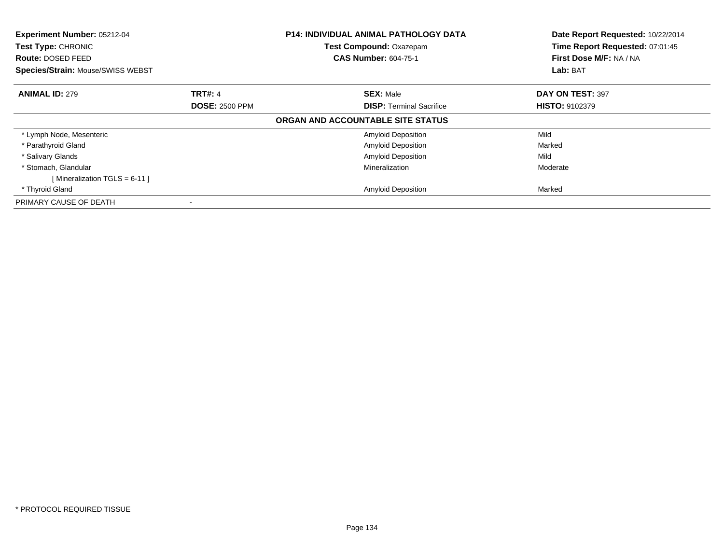| <b>Experiment Number: 05212-04</b><br><b>Test Type: CHRONIC</b><br><b>Route: DOSED FEED</b><br><b>Species/Strain: Mouse/SWISS WEBST</b> |                       | <b>P14: INDIVIDUAL ANIMAL PATHOLOGY DATA</b><br>Test Compound: Oxazepam<br><b>CAS Number: 604-75-1</b> | Date Report Requested: 10/22/2014<br>Time Report Requested: 07:01:45<br>First Dose M/F: NA / NA<br>Lab: BAT |
|-----------------------------------------------------------------------------------------------------------------------------------------|-----------------------|--------------------------------------------------------------------------------------------------------|-------------------------------------------------------------------------------------------------------------|
| <b>ANIMAL ID: 279</b>                                                                                                                   | <b>TRT#: 4</b>        | <b>SEX: Male</b>                                                                                       | DAY ON TEST: 397                                                                                            |
|                                                                                                                                         | <b>DOSE: 2500 PPM</b> | <b>DISP:</b> Terminal Sacrifice                                                                        | <b>HISTO: 9102379</b>                                                                                       |
|                                                                                                                                         |                       | ORGAN AND ACCOUNTABLE SITE STATUS                                                                      |                                                                                                             |
| * Lymph Node, Mesenteric                                                                                                                |                       | Amyloid Deposition                                                                                     | Mild                                                                                                        |
| * Parathyroid Gland                                                                                                                     |                       | <b>Amyloid Deposition</b>                                                                              | Marked                                                                                                      |
| * Salivary Glands                                                                                                                       |                       | <b>Amyloid Deposition</b>                                                                              | Mild                                                                                                        |
| * Stomach, Glandular                                                                                                                    |                       | Mineralization                                                                                         | Moderate                                                                                                    |
| [Mineralization TGLS = 6-11]                                                                                                            |                       |                                                                                                        |                                                                                                             |
| * Thyroid Gland                                                                                                                         |                       | <b>Amyloid Deposition</b>                                                                              | Marked                                                                                                      |
| PRIMARY CAUSE OF DEATH                                                                                                                  |                       |                                                                                                        |                                                                                                             |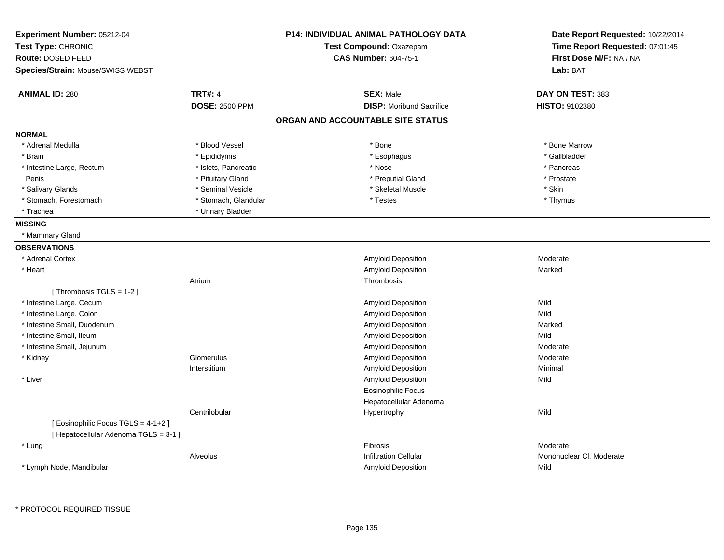| Experiment Number: 05212-04           |                         | P14: INDIVIDUAL ANIMAL PATHOLOGY DATA | Date Report Requested: 10/22/2014 |
|---------------------------------------|-------------------------|---------------------------------------|-----------------------------------|
| Test Type: CHRONIC                    | Test Compound: Oxazepam |                                       | Time Report Requested: 07:01:45   |
| <b>Route: DOSED FEED</b>              |                         | <b>CAS Number: 604-75-1</b>           | First Dose M/F: NA / NA           |
| Species/Strain: Mouse/SWISS WEBST     |                         |                                       | Lab: BAT                          |
| <b>ANIMAL ID: 280</b>                 | <b>TRT#: 4</b>          | <b>SEX: Male</b>                      | DAY ON TEST: 383                  |
|                                       | <b>DOSE: 2500 PPM</b>   | <b>DISP:</b> Moribund Sacrifice       | <b>HISTO: 9102380</b>             |
|                                       |                         | ORGAN AND ACCOUNTABLE SITE STATUS     |                                   |
| <b>NORMAL</b>                         |                         |                                       |                                   |
| * Adrenal Medulla                     | * Blood Vessel          | * Bone                                | * Bone Marrow                     |
| * Brain                               | * Epididymis            | * Esophagus                           | * Gallbladder                     |
| * Intestine Large, Rectum             | * Islets, Pancreatic    | * Nose                                | * Pancreas                        |
| Penis                                 | * Pituitary Gland       | * Preputial Gland                     | * Prostate                        |
| * Salivary Glands                     | * Seminal Vesicle       | * Skeletal Muscle                     | * Skin                            |
| * Stomach, Forestomach                | * Stomach, Glandular    | * Testes                              | * Thymus                          |
| * Trachea                             | * Urinary Bladder       |                                       |                                   |
| <b>MISSING</b>                        |                         |                                       |                                   |
| * Mammary Gland                       |                         |                                       |                                   |
| <b>OBSERVATIONS</b>                   |                         |                                       |                                   |
| * Adrenal Cortex                      |                         | <b>Amyloid Deposition</b>             | Moderate                          |
| * Heart                               |                         | Amyloid Deposition                    | Marked                            |
|                                       | Atrium                  | Thrombosis                            |                                   |
| [Thrombosis TGLS = $1-2$ ]            |                         |                                       |                                   |
| * Intestine Large, Cecum              |                         | <b>Amyloid Deposition</b>             | Mild                              |
| * Intestine Large, Colon              |                         | <b>Amyloid Deposition</b>             | Mild                              |
| * Intestine Small, Duodenum           |                         | <b>Amyloid Deposition</b>             | Marked                            |
| * Intestine Small, Ileum              |                         | <b>Amyloid Deposition</b>             | Mild                              |
| * Intestine Small, Jejunum            |                         | Amyloid Deposition                    | Moderate                          |
| * Kidney                              | Glomerulus              | <b>Amyloid Deposition</b>             | Moderate                          |
|                                       | Interstitium            | <b>Amyloid Deposition</b>             | Minimal                           |
| * Liver                               |                         | <b>Amyloid Deposition</b>             | Mild                              |
|                                       |                         | Eosinophilic Focus                    |                                   |
|                                       |                         | Hepatocellular Adenoma                |                                   |
|                                       | Centrilobular           | Hypertrophy                           | Mild                              |
| [Eosinophilic Focus TGLS = 4-1+2]     |                         |                                       |                                   |
| [ Hepatocellular Adenoma TGLS = 3-1 ] |                         |                                       |                                   |
| * Lung                                |                         | Fibrosis                              | Moderate                          |
|                                       | Alveolus                | <b>Infiltration Cellular</b>          | Mononuclear CI, Moderate          |
| * Lymph Node, Mandibular              |                         | Amyloid Deposition                    | Mild                              |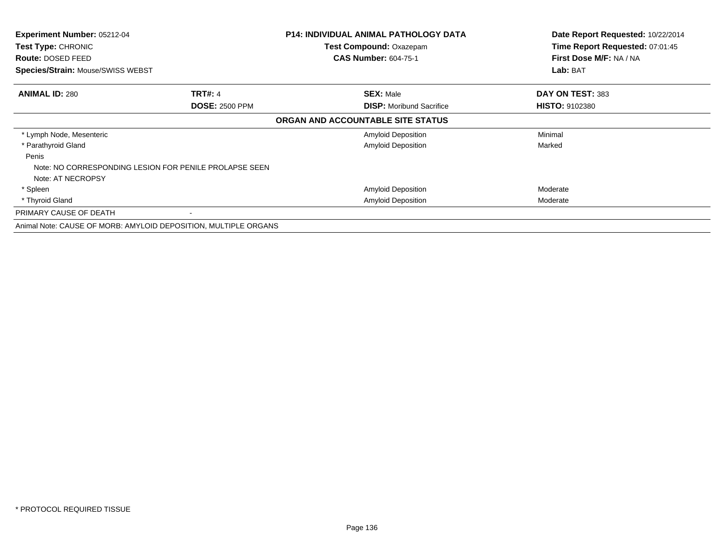| Experiment Number: 05212-04<br><b>Test Type: CHRONIC</b>        |                                                        | <b>P14: INDIVIDUAL ANIMAL PATHOLOGY DATA</b><br><b>Test Compound: Oxazepam</b> | Date Report Requested: 10/22/2014<br>Time Report Requested: 07:01:45 |
|-----------------------------------------------------------------|--------------------------------------------------------|--------------------------------------------------------------------------------|----------------------------------------------------------------------|
| Route: DOSED FEED                                               |                                                        | <b>CAS Number: 604-75-1</b>                                                    | First Dose M/F: NA / NA                                              |
| <b>Species/Strain: Mouse/SWISS WEBST</b>                        |                                                        |                                                                                | Lab: BAT                                                             |
| <b>ANIMAL ID: 280</b>                                           | <b>TRT#: 4</b>                                         | <b>SEX: Male</b>                                                               | DAY ON TEST: 383                                                     |
|                                                                 | <b>DOSE: 2500 PPM</b>                                  | <b>DISP:</b> Moribund Sacrifice                                                | <b>HISTO: 9102380</b>                                                |
|                                                                 |                                                        | ORGAN AND ACCOUNTABLE SITE STATUS                                              |                                                                      |
| * Lymph Node, Mesenteric                                        |                                                        | <b>Amyloid Deposition</b>                                                      | Minimal                                                              |
| * Parathyroid Gland                                             |                                                        | <b>Amyloid Deposition</b>                                                      | Marked                                                               |
| Penis<br>Note: AT NECROPSY                                      | Note: NO CORRESPONDING LESION FOR PENILE PROLAPSE SEEN |                                                                                |                                                                      |
| * Spleen                                                        |                                                        | <b>Amyloid Deposition</b>                                                      | Moderate                                                             |
| * Thyroid Gland                                                 |                                                        | <b>Amyloid Deposition</b>                                                      | Moderate                                                             |
| PRIMARY CAUSE OF DEATH                                          |                                                        |                                                                                |                                                                      |
| Animal Note: CAUSE OF MORB: AMYLOID DEPOSITION, MULTIPLE ORGANS |                                                        |                                                                                |                                                                      |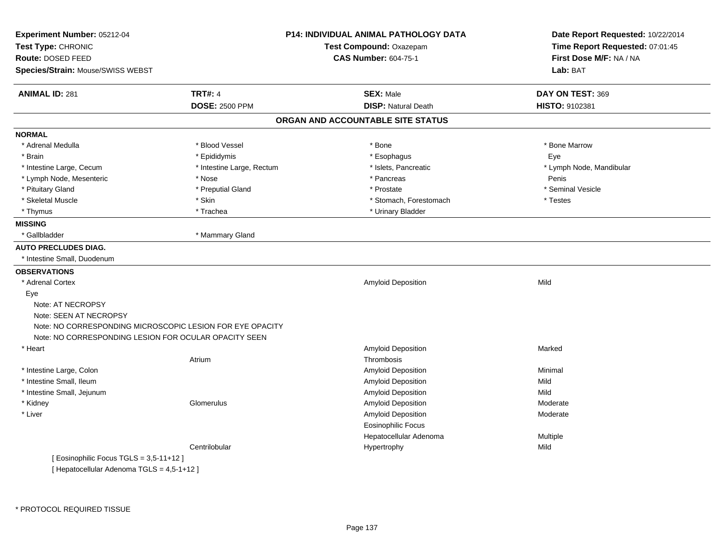| Experiment Number: 05212-04<br>Test Type: CHRONIC<br>Route: DOSED FEED |                           | <b>P14: INDIVIDUAL ANIMAL PATHOLOGY DATA</b><br>Test Compound: Oxazepam<br><b>CAS Number: 604-75-1</b> | Date Report Requested: 10/22/2014<br>Time Report Requested: 07:01:45<br>First Dose M/F: NA / NA |
|------------------------------------------------------------------------|---------------------------|--------------------------------------------------------------------------------------------------------|-------------------------------------------------------------------------------------------------|
| Species/Strain: Mouse/SWISS WEBST                                      |                           |                                                                                                        | Lab: BAT                                                                                        |
| <b>ANIMAL ID: 281</b>                                                  | <b>TRT#: 4</b>            | <b>SEX: Male</b>                                                                                       | DAY ON TEST: 369                                                                                |
|                                                                        | <b>DOSE: 2500 PPM</b>     | <b>DISP: Natural Death</b>                                                                             | HISTO: 9102381                                                                                  |
|                                                                        |                           | ORGAN AND ACCOUNTABLE SITE STATUS                                                                      |                                                                                                 |
| <b>NORMAL</b>                                                          |                           |                                                                                                        |                                                                                                 |
| * Adrenal Medulla                                                      | * Blood Vessel            | * Bone                                                                                                 | * Bone Marrow                                                                                   |
| * Brain                                                                | * Epididymis              | * Esophagus                                                                                            | Eye                                                                                             |
| * Intestine Large, Cecum                                               | * Intestine Large, Rectum | * Islets, Pancreatic                                                                                   | * Lymph Node, Mandibular                                                                        |
| * Lymph Node, Mesenteric                                               | * Nose                    | * Pancreas                                                                                             | Penis                                                                                           |
| * Pituitary Gland                                                      | * Preputial Gland         | * Prostate                                                                                             | * Seminal Vesicle                                                                               |
| * Skeletal Muscle                                                      | * Skin                    | * Stomach, Forestomach                                                                                 | * Testes                                                                                        |
| * Thymus                                                               | * Trachea                 | * Urinary Bladder                                                                                      |                                                                                                 |
| <b>MISSING</b>                                                         |                           |                                                                                                        |                                                                                                 |
| * Gallbladder                                                          | * Mammary Gland           |                                                                                                        |                                                                                                 |
| <b>AUTO PRECLUDES DIAG.</b>                                            |                           |                                                                                                        |                                                                                                 |
| * Intestine Small, Duodenum                                            |                           |                                                                                                        |                                                                                                 |
| <b>OBSERVATIONS</b>                                                    |                           |                                                                                                        |                                                                                                 |
| * Adrenal Cortex                                                       |                           | Amyloid Deposition                                                                                     | Mild                                                                                            |
| Eye                                                                    |                           |                                                                                                        |                                                                                                 |
| Note: AT NECROPSY                                                      |                           |                                                                                                        |                                                                                                 |
| Note: SEEN AT NECROPSY                                                 |                           |                                                                                                        |                                                                                                 |
| Note: NO CORRESPONDING MICROSCOPIC LESION FOR EYE OPACITY              |                           |                                                                                                        |                                                                                                 |
| Note: NO CORRESPONDING LESION FOR OCULAR OPACITY SEEN                  |                           |                                                                                                        |                                                                                                 |
| * Heart                                                                |                           | Amyloid Deposition                                                                                     | Marked                                                                                          |
|                                                                        | Atrium                    | Thrombosis                                                                                             |                                                                                                 |
| * Intestine Large, Colon                                               |                           | Amyloid Deposition                                                                                     | Minimal                                                                                         |
| * Intestine Small, Ileum                                               |                           | Amyloid Deposition                                                                                     | Mild                                                                                            |
| * Intestine Small, Jejunum                                             |                           | Amyloid Deposition                                                                                     | Mild                                                                                            |
| * Kidney                                                               | Glomerulus                | Amyloid Deposition                                                                                     | Moderate                                                                                        |
| * Liver                                                                |                           | Amyloid Deposition                                                                                     | Moderate                                                                                        |
|                                                                        |                           | <b>Eosinophilic Focus</b>                                                                              |                                                                                                 |
|                                                                        |                           | Hepatocellular Adenoma                                                                                 | Multiple                                                                                        |
|                                                                        | Centrilobular             | Hypertrophy                                                                                            | Mild                                                                                            |
| Eosinophilic Focus TGLS = $3.5-11+12$ ]                                |                           |                                                                                                        |                                                                                                 |

[ Hepatocellular Adenoma TGLS = 4,5-1+12 ]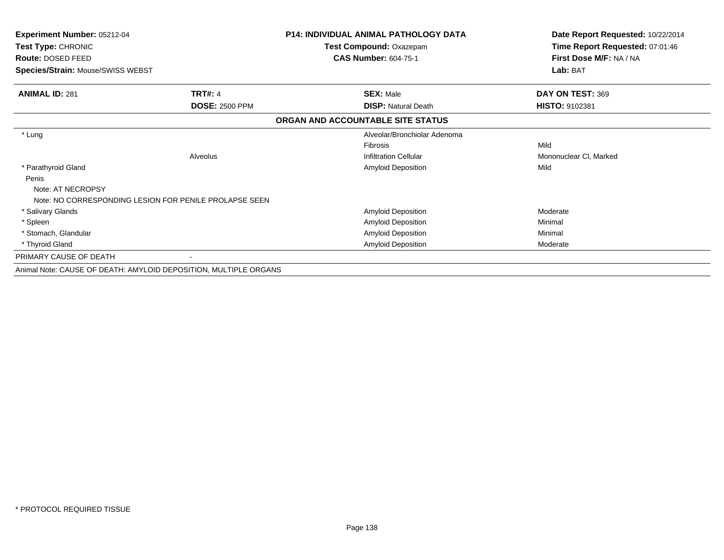| <b>Experiment Number: 05212-04</b><br>Test Type: CHRONIC<br>Route: DOSED FEED |                                                                  | <b>P14: INDIVIDUAL ANIMAL PATHOLOGY DATA</b><br>Test Compound: Oxazepam<br><b>CAS Number: 604-75-1</b> | Date Report Requested: 10/22/2014<br>Time Report Requested: 07:01:46<br>First Dose M/F: NA / NA |
|-------------------------------------------------------------------------------|------------------------------------------------------------------|--------------------------------------------------------------------------------------------------------|-------------------------------------------------------------------------------------------------|
| Species/Strain: Mouse/SWISS WEBST                                             |                                                                  |                                                                                                        | Lab: BAT                                                                                        |
| <b>ANIMAL ID: 281</b>                                                         | <b>TRT#: 4</b>                                                   | <b>SEX: Male</b>                                                                                       | DAY ON TEST: 369                                                                                |
|                                                                               | <b>DOSE: 2500 PPM</b>                                            | <b>DISP: Natural Death</b>                                                                             | HISTO: 9102381                                                                                  |
|                                                                               |                                                                  | ORGAN AND ACCOUNTABLE SITE STATUS                                                                      |                                                                                                 |
| * Lung                                                                        |                                                                  | Alveolar/Bronchiolar Adenoma                                                                           |                                                                                                 |
|                                                                               |                                                                  | <b>Fibrosis</b>                                                                                        | Mild                                                                                            |
|                                                                               | Alveolus                                                         | <b>Infiltration Cellular</b>                                                                           | Mononuclear CI, Marked                                                                          |
| * Parathyroid Gland                                                           |                                                                  | <b>Amyloid Deposition</b>                                                                              | Mild                                                                                            |
| Penis                                                                         |                                                                  |                                                                                                        |                                                                                                 |
| Note: AT NECROPSY                                                             |                                                                  |                                                                                                        |                                                                                                 |
|                                                                               | Note: NO CORRESPONDING LESION FOR PENILE PROLAPSE SEEN           |                                                                                                        |                                                                                                 |
| * Salivary Glands                                                             |                                                                  | Amyloid Deposition                                                                                     | Moderate                                                                                        |
| * Spleen                                                                      |                                                                  | Amyloid Deposition                                                                                     | Minimal                                                                                         |
| * Stomach, Glandular                                                          |                                                                  | Amyloid Deposition                                                                                     | Minimal                                                                                         |
| * Thyroid Gland                                                               |                                                                  | <b>Amyloid Deposition</b>                                                                              | Moderate                                                                                        |
| PRIMARY CAUSE OF DEATH                                                        |                                                                  |                                                                                                        |                                                                                                 |
|                                                                               | Animal Note: CAUSE OF DEATH: AMYLOID DEPOSITION, MULTIPLE ORGANS |                                                                                                        |                                                                                                 |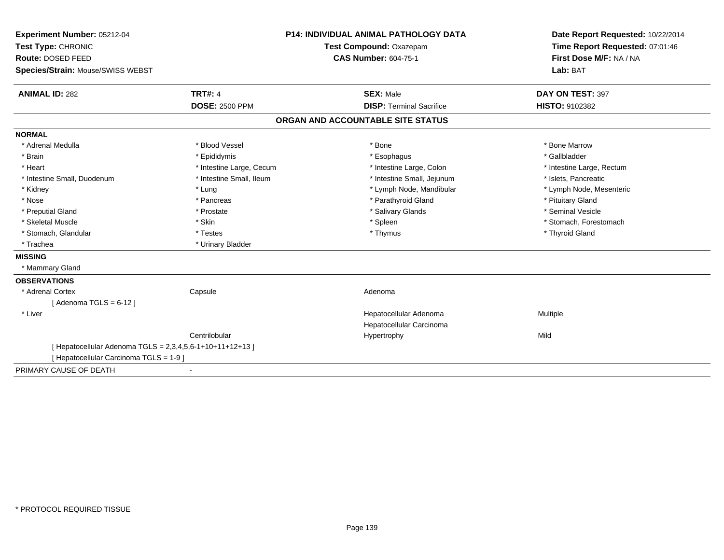| Experiment Number: 05212-04                             |                          | <b>P14: INDIVIDUAL ANIMAL PATHOLOGY DATA</b> | Date Report Requested: 10/22/2014                          |
|---------------------------------------------------------|--------------------------|----------------------------------------------|------------------------------------------------------------|
| Test Type: CHRONIC                                      |                          | Test Compound: Oxazepam                      | Time Report Requested: 07:01:46<br>First Dose M/F: NA / NA |
| Route: DOSED FEED                                       |                          | <b>CAS Number: 604-75-1</b>                  |                                                            |
| Species/Strain: Mouse/SWISS WEBST                       |                          |                                              | Lab: BAT                                                   |
| <b>ANIMAL ID: 282</b>                                   | <b>TRT#: 4</b>           | <b>SEX: Male</b>                             | DAY ON TEST: 397                                           |
|                                                         | <b>DOSE: 2500 PPM</b>    | <b>DISP: Terminal Sacrifice</b>              | HISTO: 9102382                                             |
|                                                         |                          | ORGAN AND ACCOUNTABLE SITE STATUS            |                                                            |
| <b>NORMAL</b>                                           |                          |                                              |                                                            |
| * Adrenal Medulla                                       | * Blood Vessel           | * Bone                                       | * Bone Marrow                                              |
| * Brain                                                 | * Epididymis             | * Esophagus                                  | * Gallbladder                                              |
| * Heart                                                 | * Intestine Large, Cecum | * Intestine Large, Colon                     | * Intestine Large, Rectum                                  |
| * Intestine Small, Duodenum                             | * Intestine Small, Ileum | * Intestine Small, Jejunum                   | * Islets, Pancreatic                                       |
| * Kidney                                                | * Lung                   | * Lymph Node, Mandibular                     | * Lymph Node, Mesenteric                                   |
| * Nose                                                  | * Pancreas               | * Parathyroid Gland                          | * Pituitary Gland                                          |
| * Preputial Gland                                       | * Prostate               | * Salivary Glands                            | * Seminal Vesicle                                          |
| * Skeletal Muscle                                       | * Skin                   | * Spleen                                     | * Stomach, Forestomach                                     |
| * Stomach, Glandular                                    | * Testes                 | * Thymus                                     | * Thyroid Gland                                            |
| * Trachea                                               | * Urinary Bladder        |                                              |                                                            |
| <b>MISSING</b>                                          |                          |                                              |                                                            |
| * Mammary Gland                                         |                          |                                              |                                                            |
| <b>OBSERVATIONS</b>                                     |                          |                                              |                                                            |
| * Adrenal Cortex                                        | Capsule                  | Adenoma                                      |                                                            |
| [Adenoma TGLS = $6-12$ ]                                |                          |                                              |                                                            |
| * Liver                                                 |                          | Hepatocellular Adenoma                       | Multiple                                                   |
|                                                         |                          | Hepatocellular Carcinoma                     |                                                            |
|                                                         | Centrilobular            | Hypertrophy                                  | Mild                                                       |
| [Hepatocellular Adenoma TGLS = 2,3,4,5,6-1+10+11+12+13] |                          |                                              |                                                            |
| [ Hepatocellular Carcinoma TGLS = 1-9 ]                 |                          |                                              |                                                            |
| PRIMARY CAUSE OF DEATH                                  |                          |                                              |                                                            |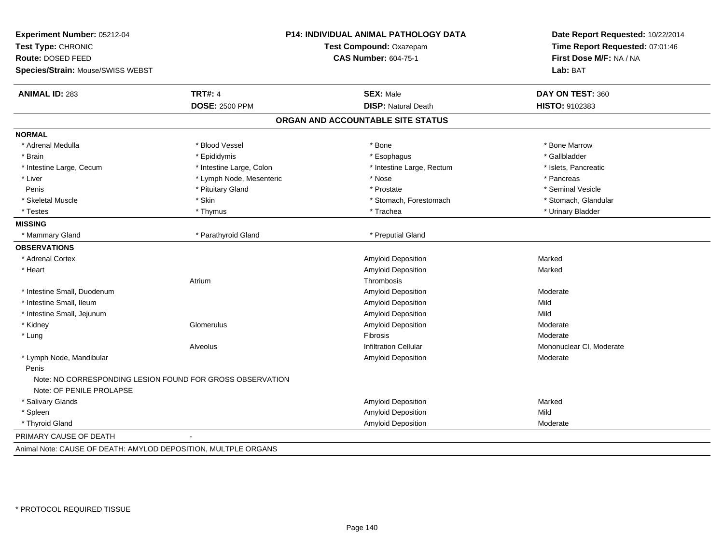| Experiment Number: 05212-04<br>Test Type: CHRONIC<br>Route: DOSED FEED                |                          | P14: INDIVIDUAL ANIMAL PATHOLOGY DATA<br>Test Compound: Oxazepam<br><b>CAS Number: 604-75-1</b> | Date Report Requested: 10/22/2014<br>Time Report Requested: 07:01:46<br>First Dose M/F: NA / NA |
|---------------------------------------------------------------------------------------|--------------------------|-------------------------------------------------------------------------------------------------|-------------------------------------------------------------------------------------------------|
| Species/Strain: Mouse/SWISS WEBST                                                     |                          |                                                                                                 | Lab: BAT                                                                                        |
| <b>ANIMAL ID: 283</b>                                                                 | <b>TRT#: 4</b>           | <b>SEX: Male</b>                                                                                | DAY ON TEST: 360                                                                                |
|                                                                                       | <b>DOSE: 2500 PPM</b>    | <b>DISP: Natural Death</b>                                                                      | HISTO: 9102383                                                                                  |
|                                                                                       |                          | ORGAN AND ACCOUNTABLE SITE STATUS                                                               |                                                                                                 |
| <b>NORMAL</b>                                                                         |                          |                                                                                                 |                                                                                                 |
| * Adrenal Medulla                                                                     | * Blood Vessel           | * Bone                                                                                          | * Bone Marrow                                                                                   |
| * Brain                                                                               | * Epididymis             | * Esophagus                                                                                     | * Gallbladder                                                                                   |
| * Intestine Large, Cecum                                                              | * Intestine Large, Colon | * Intestine Large, Rectum                                                                       | * Islets, Pancreatic                                                                            |
| * Liver                                                                               | * Lymph Node, Mesenteric | * Nose                                                                                          | * Pancreas                                                                                      |
| Penis                                                                                 | * Pituitary Gland        | * Prostate                                                                                      | * Seminal Vesicle                                                                               |
| * Skeletal Muscle                                                                     | * Skin                   | * Stomach, Forestomach                                                                          | * Stomach, Glandular                                                                            |
| * Testes                                                                              | * Thymus                 | * Trachea                                                                                       | * Urinary Bladder                                                                               |
| <b>MISSING</b>                                                                        |                          |                                                                                                 |                                                                                                 |
| * Mammary Gland                                                                       | * Parathyroid Gland      | * Preputial Gland                                                                               |                                                                                                 |
| <b>OBSERVATIONS</b>                                                                   |                          |                                                                                                 |                                                                                                 |
| * Adrenal Cortex                                                                      |                          | <b>Amyloid Deposition</b>                                                                       | Marked                                                                                          |
| * Heart                                                                               |                          | Amyloid Deposition                                                                              | Marked                                                                                          |
|                                                                                       | Atrium                   | Thrombosis                                                                                      |                                                                                                 |
| * Intestine Small, Duodenum                                                           |                          | Amyloid Deposition                                                                              | Moderate                                                                                        |
| * Intestine Small, Ileum                                                              |                          | <b>Amyloid Deposition</b>                                                                       | Mild                                                                                            |
| * Intestine Small, Jejunum                                                            |                          | Amyloid Deposition                                                                              | Mild                                                                                            |
| * Kidney                                                                              | Glomerulus               | Amyloid Deposition                                                                              | Moderate                                                                                        |
| * Lung                                                                                |                          | <b>Fibrosis</b>                                                                                 | Moderate                                                                                        |
|                                                                                       | Alveolus                 | <b>Infiltration Cellular</b>                                                                    | Mononuclear CI, Moderate                                                                        |
| * Lymph Node, Mandibular                                                              |                          | Amyloid Deposition                                                                              | Moderate                                                                                        |
| Penis                                                                                 |                          |                                                                                                 |                                                                                                 |
| Note: NO CORRESPONDING LESION FOUND FOR GROSS OBSERVATION<br>Note: OF PENILE PROLAPSE |                          |                                                                                                 |                                                                                                 |
| * Salivary Glands                                                                     |                          | Amyloid Deposition                                                                              | Marked                                                                                          |
| * Spleen                                                                              |                          | <b>Amyloid Deposition</b>                                                                       | Mild                                                                                            |
| * Thyroid Gland                                                                       |                          | <b>Amyloid Deposition</b>                                                                       | Moderate                                                                                        |
| PRIMARY CAUSE OF DEATH                                                                |                          |                                                                                                 |                                                                                                 |
| Animal Note: CAUSE OF DEATH: AMYLOD DEPOSITION, MULTPLE ORGANS                        |                          |                                                                                                 |                                                                                                 |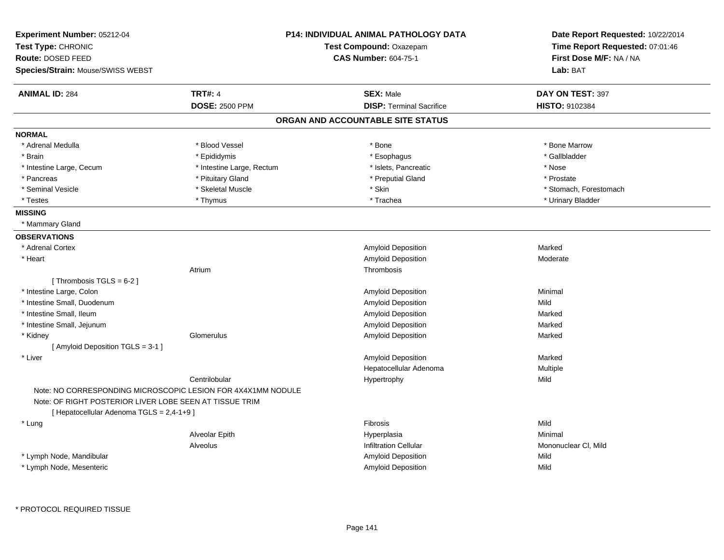| Experiment Number: 05212-04<br>Test Type: CHRONIC<br>Route: DOSED FEED                                                  |                           | <b>P14: INDIVIDUAL ANIMAL PATHOLOGY DATA</b><br>Test Compound: Oxazepam<br>CAS Number: 604-75-1 | Date Report Requested: 10/22/2014<br>Time Report Requested: 07:01:46<br>First Dose M/F: NA / NA |
|-------------------------------------------------------------------------------------------------------------------------|---------------------------|-------------------------------------------------------------------------------------------------|-------------------------------------------------------------------------------------------------|
| <b>Species/Strain: Mouse/SWISS WEBST</b>                                                                                |                           |                                                                                                 | Lab: BAT                                                                                        |
| <b>ANIMAL ID: 284</b>                                                                                                   | <b>TRT#: 4</b>            | <b>SEX: Male</b>                                                                                | DAY ON TEST: 397                                                                                |
|                                                                                                                         | <b>DOSE: 2500 PPM</b>     | <b>DISP: Terminal Sacrifice</b>                                                                 | <b>HISTO: 9102384</b>                                                                           |
|                                                                                                                         |                           | ORGAN AND ACCOUNTABLE SITE STATUS                                                               |                                                                                                 |
| <b>NORMAL</b>                                                                                                           |                           |                                                                                                 |                                                                                                 |
| * Adrenal Medulla                                                                                                       | * Blood Vessel            | * Bone                                                                                          | * Bone Marrow                                                                                   |
| * Brain                                                                                                                 | * Epididymis              | * Esophagus                                                                                     | * Gallbladder                                                                                   |
| * Intestine Large, Cecum                                                                                                | * Intestine Large, Rectum | * Islets, Pancreatic                                                                            | * Nose                                                                                          |
| * Pancreas                                                                                                              | * Pituitary Gland         | * Preputial Gland                                                                               | * Prostate                                                                                      |
| * Seminal Vesicle                                                                                                       | * Skeletal Muscle         | * Skin                                                                                          | * Stomach, Forestomach                                                                          |
| * Testes                                                                                                                | * Thymus                  | * Trachea                                                                                       | * Urinary Bladder                                                                               |
| <b>MISSING</b>                                                                                                          |                           |                                                                                                 |                                                                                                 |
| * Mammary Gland                                                                                                         |                           |                                                                                                 |                                                                                                 |
| <b>OBSERVATIONS</b>                                                                                                     |                           |                                                                                                 |                                                                                                 |
| * Adrenal Cortex                                                                                                        |                           | Amyloid Deposition                                                                              | Marked                                                                                          |
| * Heart                                                                                                                 |                           | Amyloid Deposition                                                                              | Moderate                                                                                        |
|                                                                                                                         | Atrium                    | Thrombosis                                                                                      |                                                                                                 |
| [Thrombosis TGLS = $6-2$ ]                                                                                              |                           |                                                                                                 |                                                                                                 |
| * Intestine Large, Colon                                                                                                |                           | Amyloid Deposition                                                                              | Minimal                                                                                         |
| * Intestine Small, Duodenum                                                                                             |                           | Amyloid Deposition                                                                              | Mild                                                                                            |
| * Intestine Small, Ileum                                                                                                |                           | Amyloid Deposition                                                                              | Marked                                                                                          |
| * Intestine Small, Jejunum                                                                                              |                           | Amyloid Deposition                                                                              | Marked                                                                                          |
| * Kidney                                                                                                                | Glomerulus                | Amyloid Deposition                                                                              | Marked                                                                                          |
| [ Amyloid Deposition TGLS = 3-1 ]                                                                                       |                           |                                                                                                 |                                                                                                 |
| * Liver                                                                                                                 |                           | Amyloid Deposition                                                                              | Marked                                                                                          |
|                                                                                                                         |                           | Hepatocellular Adenoma                                                                          | Multiple                                                                                        |
|                                                                                                                         | Centrilobular             | Hypertrophy                                                                                     | Mild                                                                                            |
| Note: NO CORRESPONDING MICROSCOPIC LESION FOR 4X4X1MM NODULE<br>Note: OF RIGHT POSTERIOR LIVER LOBE SEEN AT TISSUE TRIM |                           |                                                                                                 |                                                                                                 |
| [ Hepatocellular Adenoma TGLS = 2,4-1+9 ]                                                                               |                           |                                                                                                 |                                                                                                 |
| * Lung                                                                                                                  |                           | <b>Fibrosis</b>                                                                                 | Mild                                                                                            |
|                                                                                                                         | Alveolar Epith            | Hyperplasia                                                                                     | Minimal                                                                                         |
|                                                                                                                         | Alveolus                  | <b>Infiltration Cellular</b>                                                                    | Mononuclear CI, Mild                                                                            |
| * Lymph Node, Mandibular                                                                                                |                           | Amyloid Deposition                                                                              | Mild                                                                                            |
| * Lymph Node, Mesenteric                                                                                                |                           | Amyloid Deposition                                                                              | Mild                                                                                            |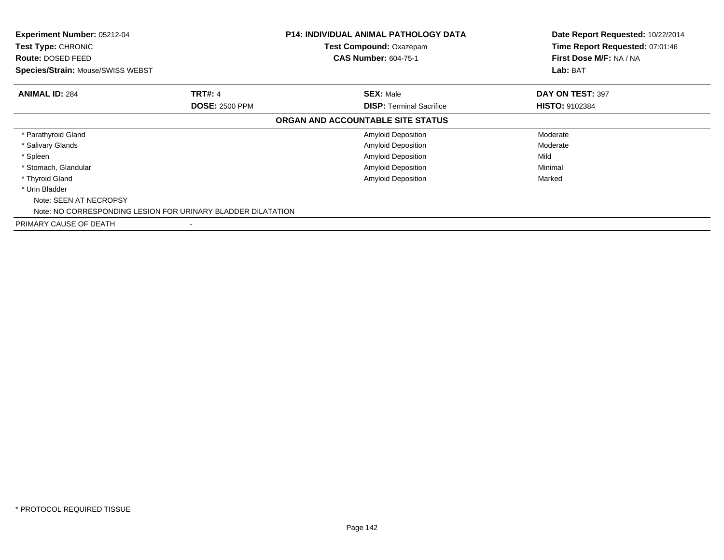| Experiment Number: 05212-04<br><b>Test Type: CHRONIC</b><br><b>Route: DOSED FEED</b><br><b>Species/Strain: Mouse/SWISS WEBST</b> |                       | <b>P14: INDIVIDUAL ANIMAL PATHOLOGY DATA</b><br>Test Compound: Oxazepam<br><b>CAS Number: 604-75-1</b> | Date Report Requested: 10/22/2014<br>Time Report Requested: 07:01:46<br>First Dose M/F: NA / NA<br>Lab: BAT |
|----------------------------------------------------------------------------------------------------------------------------------|-----------------------|--------------------------------------------------------------------------------------------------------|-------------------------------------------------------------------------------------------------------------|
| <b>ANIMAL ID: 284</b>                                                                                                            | <b>TRT#: 4</b>        | <b>SEX: Male</b>                                                                                       | DAY ON TEST: 397                                                                                            |
|                                                                                                                                  | <b>DOSE: 2500 PPM</b> | <b>DISP: Terminal Sacrifice</b>                                                                        | <b>HISTO: 9102384</b>                                                                                       |
|                                                                                                                                  |                       | ORGAN AND ACCOUNTABLE SITE STATUS                                                                      |                                                                                                             |
| * Parathyroid Gland                                                                                                              |                       | <b>Amyloid Deposition</b>                                                                              | Moderate                                                                                                    |
| * Salivary Glands                                                                                                                |                       | <b>Amyloid Deposition</b>                                                                              | Moderate                                                                                                    |
| * Spleen                                                                                                                         |                       | <b>Amyloid Deposition</b>                                                                              | Mild                                                                                                        |
| * Stomach, Glandular                                                                                                             |                       | <b>Amyloid Deposition</b>                                                                              | Minimal                                                                                                     |
| * Thyroid Gland                                                                                                                  |                       | <b>Amyloid Deposition</b>                                                                              | Marked                                                                                                      |
| * Urin Bladder<br>Note: SEEN AT NECROPSY<br>Note: NO CORRESPONDING LESION FOR URINARY BLADDER DILATATION                         |                       |                                                                                                        |                                                                                                             |
| PRIMARY CAUSE OF DEATH                                                                                                           |                       |                                                                                                        |                                                                                                             |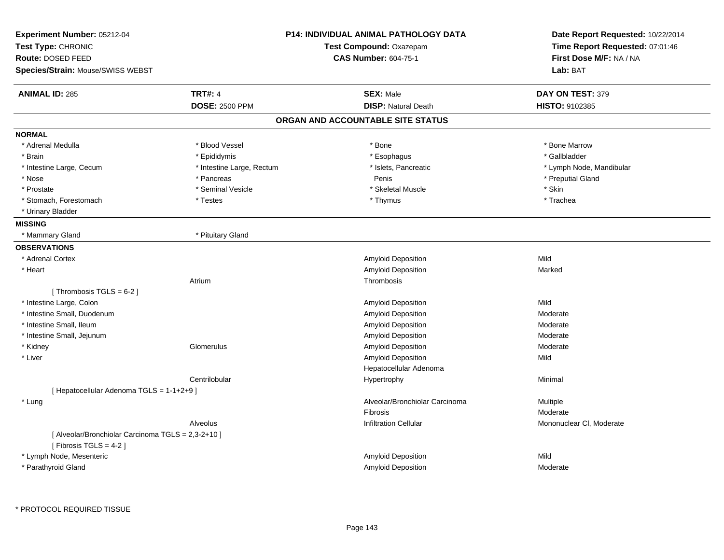| Experiment Number: 05212-04<br>Test Type: CHRONIC<br>Route: DOSED FEED |                           | <b>P14: INDIVIDUAL ANIMAL PATHOLOGY DATA</b><br>Test Compound: Oxazepam<br><b>CAS Number: 604-75-1</b> | Date Report Requested: 10/22/2014<br>Time Report Requested: 07:01:46<br>First Dose M/F: NA / NA |
|------------------------------------------------------------------------|---------------------------|--------------------------------------------------------------------------------------------------------|-------------------------------------------------------------------------------------------------|
| Species/Strain: Mouse/SWISS WEBST                                      |                           |                                                                                                        | Lab: BAT                                                                                        |
| <b>ANIMAL ID: 285</b>                                                  | <b>TRT#: 4</b>            | <b>SEX: Male</b>                                                                                       | DAY ON TEST: 379                                                                                |
|                                                                        | <b>DOSE: 2500 PPM</b>     | <b>DISP: Natural Death</b>                                                                             | HISTO: 9102385                                                                                  |
|                                                                        |                           | ORGAN AND ACCOUNTABLE SITE STATUS                                                                      |                                                                                                 |
| <b>NORMAL</b>                                                          |                           |                                                                                                        |                                                                                                 |
| * Adrenal Medulla                                                      | * Blood Vessel            | * Bone                                                                                                 | * Bone Marrow                                                                                   |
| * Brain                                                                | * Epididymis              | * Esophagus                                                                                            | * Gallbladder                                                                                   |
| * Intestine Large, Cecum                                               | * Intestine Large, Rectum | * Islets, Pancreatic                                                                                   | * Lymph Node, Mandibular                                                                        |
| * Nose                                                                 | * Pancreas                | Penis                                                                                                  | * Preputial Gland                                                                               |
| * Prostate                                                             | * Seminal Vesicle         | * Skeletal Muscle                                                                                      | * Skin                                                                                          |
| * Stomach, Forestomach                                                 | * Testes                  | * Thymus                                                                                               | * Trachea                                                                                       |
| * Urinary Bladder                                                      |                           |                                                                                                        |                                                                                                 |
| <b>MISSING</b>                                                         |                           |                                                                                                        |                                                                                                 |
| * Mammary Gland                                                        | * Pituitary Gland         |                                                                                                        |                                                                                                 |
| <b>OBSERVATIONS</b>                                                    |                           |                                                                                                        |                                                                                                 |
| * Adrenal Cortex                                                       |                           | <b>Amyloid Deposition</b>                                                                              | Mild                                                                                            |
| * Heart                                                                |                           | Amyloid Deposition                                                                                     | Marked                                                                                          |
|                                                                        | Atrium                    | Thrombosis                                                                                             |                                                                                                 |
| [Thrombosis TGLS = $6-2$ ]                                             |                           |                                                                                                        |                                                                                                 |
| * Intestine Large, Colon                                               |                           | <b>Amyloid Deposition</b>                                                                              | Mild                                                                                            |
| * Intestine Small, Duodenum                                            |                           | Amyloid Deposition                                                                                     | Moderate                                                                                        |
| * Intestine Small, Ileum                                               |                           | Amyloid Deposition                                                                                     | Moderate                                                                                        |
| * Intestine Small, Jejunum                                             |                           | <b>Amyloid Deposition</b>                                                                              | Moderate                                                                                        |
| * Kidney                                                               | Glomerulus                | Amyloid Deposition                                                                                     | Moderate                                                                                        |
| * Liver                                                                |                           | Amyloid Deposition                                                                                     | Mild                                                                                            |
|                                                                        |                           | Hepatocellular Adenoma                                                                                 |                                                                                                 |
|                                                                        | Centrilobular             | Hypertrophy                                                                                            | Minimal                                                                                         |
| [ Hepatocellular Adenoma TGLS = 1-1+2+9 ]                              |                           |                                                                                                        |                                                                                                 |
| * Lung                                                                 |                           | Alveolar/Bronchiolar Carcinoma                                                                         | <b>Multiple</b>                                                                                 |
|                                                                        |                           | Fibrosis                                                                                               | Moderate                                                                                        |
|                                                                        | Alveolus                  | <b>Infiltration Cellular</b>                                                                           | Mononuclear CI, Moderate                                                                        |
| [ Alveolar/Bronchiolar Carcinoma TGLS = 2,3-2+10 ]                     |                           |                                                                                                        |                                                                                                 |
| [Fibrosis TGLS = $4-2$ ]                                               |                           |                                                                                                        |                                                                                                 |
| * Lymph Node, Mesenteric                                               |                           | <b>Amyloid Deposition</b>                                                                              | Mild                                                                                            |
| * Parathyroid Gland                                                    |                           | Amyloid Deposition                                                                                     | Moderate                                                                                        |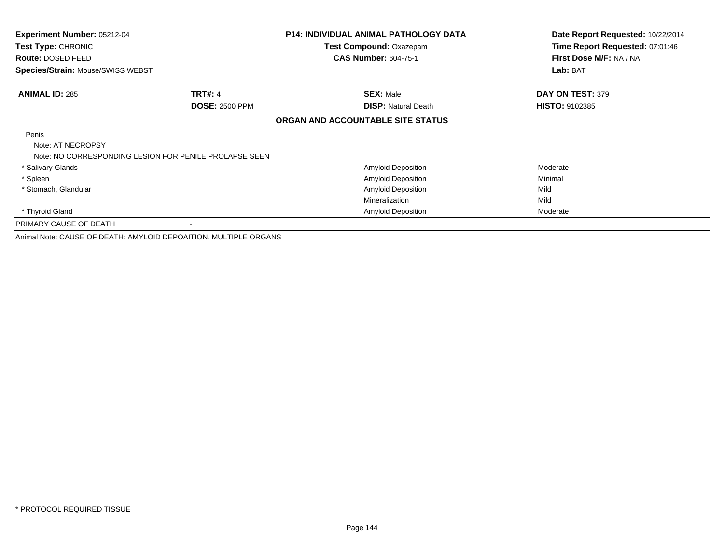| <b>Experiment Number: 05212-04</b><br>Test Type: CHRONIC<br><b>Route: DOSED FEED</b><br>Species/Strain: Mouse/SWISS WEBST |                                                                  | <b>P14: INDIVIDUAL ANIMAL PATHOLOGY DATA</b><br><b>Test Compound: Oxazepam</b><br><b>CAS Number: 604-75-1</b> | Date Report Requested: 10/22/2014<br>Time Report Requested: 07:01:46<br>First Dose M/F: NA / NA<br>Lab: BAT |
|---------------------------------------------------------------------------------------------------------------------------|------------------------------------------------------------------|---------------------------------------------------------------------------------------------------------------|-------------------------------------------------------------------------------------------------------------|
| <b>ANIMAL ID: 285</b>                                                                                                     | <b>TRT#: 4</b>                                                   | <b>SEX: Male</b>                                                                                              | DAY ON TEST: 379                                                                                            |
|                                                                                                                           | <b>DOSE: 2500 PPM</b>                                            | <b>DISP: Natural Death</b>                                                                                    | <b>HISTO: 9102385</b>                                                                                       |
|                                                                                                                           |                                                                  | ORGAN AND ACCOUNTABLE SITE STATUS                                                                             |                                                                                                             |
| Penis<br>Note: AT NECROPSY                                                                                                | Note: NO CORRESPONDING LESION FOR PENILE PROLAPSE SEEN           |                                                                                                               |                                                                                                             |
| * Salivary Glands                                                                                                         |                                                                  | <b>Amyloid Deposition</b>                                                                                     | Moderate                                                                                                    |
| * Spleen                                                                                                                  |                                                                  | <b>Amyloid Deposition</b>                                                                                     | Minimal                                                                                                     |
| * Stomach, Glandular                                                                                                      |                                                                  | Amyloid Deposition                                                                                            | Mild                                                                                                        |
|                                                                                                                           |                                                                  | Mineralization                                                                                                | Mild                                                                                                        |
| * Thyroid Gland                                                                                                           |                                                                  | Amyloid Deposition                                                                                            | Moderate                                                                                                    |
| PRIMARY CAUSE OF DEATH                                                                                                    |                                                                  |                                                                                                               |                                                                                                             |
|                                                                                                                           | Animal Note: CAUSE OF DEATH: AMYLOID DEPOAITION, MULTIPLE ORGANS |                                                                                                               |                                                                                                             |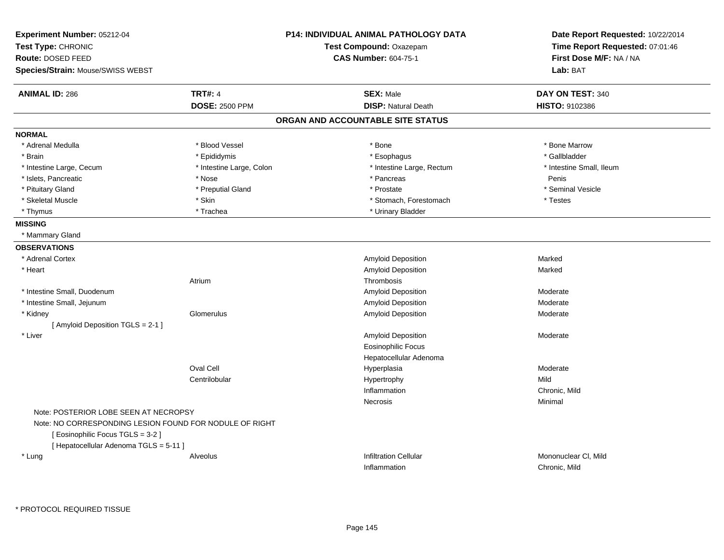| Experiment Number: 05212-04<br>Test Type: CHRONIC<br>Route: DOSED FEED |                          | <b>P14: INDIVIDUAL ANIMAL PATHOLOGY DATA</b><br>Test Compound: Oxazepam<br><b>CAS Number: 604-75-1</b> | Date Report Requested: 10/22/2014<br>Time Report Requested: 07:01:46<br>First Dose M/F: NA / NA |
|------------------------------------------------------------------------|--------------------------|--------------------------------------------------------------------------------------------------------|-------------------------------------------------------------------------------------------------|
| Species/Strain: Mouse/SWISS WEBST                                      |                          |                                                                                                        | Lab: BAT                                                                                        |
| <b>ANIMAL ID: 286</b>                                                  | <b>TRT#: 4</b>           | <b>SEX: Male</b>                                                                                       | DAY ON TEST: 340                                                                                |
|                                                                        | <b>DOSE: 2500 PPM</b>    | <b>DISP: Natural Death</b>                                                                             | HISTO: 9102386                                                                                  |
|                                                                        |                          | ORGAN AND ACCOUNTABLE SITE STATUS                                                                      |                                                                                                 |
| <b>NORMAL</b>                                                          |                          |                                                                                                        |                                                                                                 |
| * Adrenal Medulla                                                      | * Blood Vessel           | * Bone                                                                                                 | * Bone Marrow                                                                                   |
| * Brain                                                                | * Epididymis             | * Esophagus                                                                                            | * Gallbladder                                                                                   |
| * Intestine Large, Cecum                                               | * Intestine Large, Colon | * Intestine Large, Rectum                                                                              | * Intestine Small, Ileum                                                                        |
| * Islets, Pancreatic                                                   | * Nose                   | * Pancreas                                                                                             | Penis                                                                                           |
| * Pituitary Gland                                                      | * Preputial Gland        | * Prostate                                                                                             | * Seminal Vesicle                                                                               |
| * Skeletal Muscle                                                      | * Skin                   | * Stomach, Forestomach                                                                                 | * Testes                                                                                        |
| * Thymus                                                               | * Trachea                | * Urinary Bladder                                                                                      |                                                                                                 |
| <b>MISSING</b>                                                         |                          |                                                                                                        |                                                                                                 |
| * Mammary Gland                                                        |                          |                                                                                                        |                                                                                                 |
| <b>OBSERVATIONS</b>                                                    |                          |                                                                                                        |                                                                                                 |
| * Adrenal Cortex                                                       |                          | Amyloid Deposition                                                                                     | Marked                                                                                          |
| * Heart                                                                |                          | Amyloid Deposition                                                                                     | Marked                                                                                          |
|                                                                        | Atrium                   | Thrombosis                                                                                             |                                                                                                 |
| * Intestine Small, Duodenum                                            |                          | <b>Amyloid Deposition</b>                                                                              | Moderate                                                                                        |
| * Intestine Small, Jejunum                                             |                          | Amyloid Deposition                                                                                     | Moderate                                                                                        |
| * Kidney                                                               | Glomerulus               | Amyloid Deposition                                                                                     | Moderate                                                                                        |
| [ Amyloid Deposition TGLS = 2-1 ]                                      |                          |                                                                                                        |                                                                                                 |
| * Liver                                                                |                          | <b>Amyloid Deposition</b>                                                                              | Moderate                                                                                        |
|                                                                        |                          | <b>Eosinophilic Focus</b>                                                                              |                                                                                                 |
|                                                                        |                          | Hepatocellular Adenoma                                                                                 |                                                                                                 |
|                                                                        | Oval Cell                | Hyperplasia                                                                                            | Moderate                                                                                        |
|                                                                        | Centrilobular            | Hypertrophy                                                                                            | Mild                                                                                            |
|                                                                        |                          | Inflammation                                                                                           | Chronic, Mild                                                                                   |
|                                                                        |                          | Necrosis                                                                                               | Minimal                                                                                         |
| Note: POSTERIOR LOBE SEEN AT NECROPSY                                  |                          |                                                                                                        |                                                                                                 |
| Note: NO CORRESPONDING LESION FOUND FOR NODULE OF RIGHT                |                          |                                                                                                        |                                                                                                 |
| [ Eosinophilic Focus TGLS = 3-2 ]                                      |                          |                                                                                                        |                                                                                                 |
| [ Hepatocellular Adenoma TGLS = 5-11 ]                                 |                          |                                                                                                        |                                                                                                 |
| * Lung                                                                 | Alveolus                 | <b>Infiltration Cellular</b>                                                                           | Mononuclear CI, Mild                                                                            |
|                                                                        |                          | Inflammation                                                                                           | Chronic, Mild                                                                                   |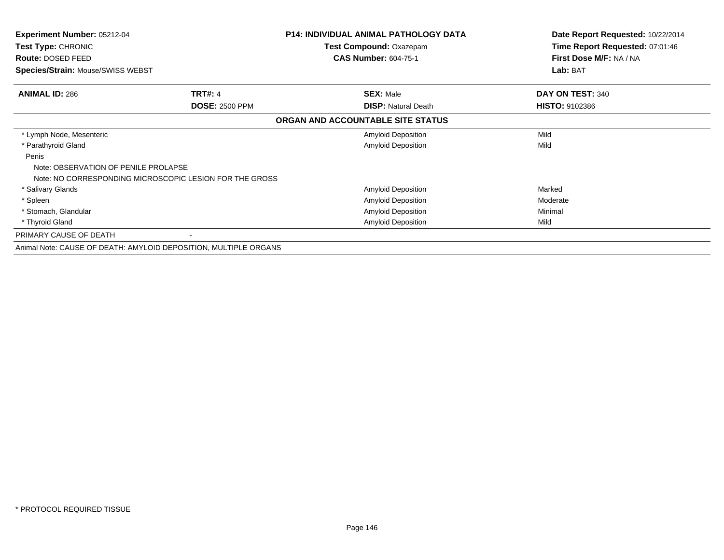| <b>Experiment Number: 05212-04</b>      |                                                                  | <b>P14: INDIVIDUAL ANIMAL PATHOLOGY DATA</b><br>Test Compound: Oxazepam | Date Report Requested: 10/22/2014<br>Time Report Requested: 07:01:46 |  |
|-----------------------------------------|------------------------------------------------------------------|-------------------------------------------------------------------------|----------------------------------------------------------------------|--|
| Test Type: CHRONIC<br>Route: DOSED FEED |                                                                  | <b>CAS Number: 604-75-1</b>                                             | First Dose M/F: NA / NA                                              |  |
| Species/Strain: Mouse/SWISS WEBST       |                                                                  |                                                                         | Lab: BAT                                                             |  |
| <b>ANIMAL ID: 286</b>                   | <b>TRT#: 4</b>                                                   | <b>SEX: Male</b>                                                        | DAY ON TEST: 340                                                     |  |
|                                         | <b>DOSE: 2500 PPM</b>                                            | <b>DISP: Natural Death</b>                                              | <b>HISTO: 9102386</b>                                                |  |
|                                         |                                                                  | ORGAN AND ACCOUNTABLE SITE STATUS                                       |                                                                      |  |
| * Lymph Node, Mesenteric                |                                                                  | <b>Amyloid Deposition</b>                                               | Mild                                                                 |  |
| * Parathyroid Gland                     |                                                                  | <b>Amyloid Deposition</b>                                               | Mild                                                                 |  |
| Penis                                   |                                                                  |                                                                         |                                                                      |  |
| Note: OBSERVATION OF PENILE PROLAPSE    |                                                                  |                                                                         |                                                                      |  |
|                                         | Note: NO CORRESPONDING MICROSCOPIC LESION FOR THE GROSS          |                                                                         |                                                                      |  |
| * Salivary Glands                       |                                                                  | <b>Amyloid Deposition</b>                                               | Marked                                                               |  |
| * Spleen                                |                                                                  | Amyloid Deposition                                                      | Moderate                                                             |  |
| * Stomach, Glandular                    |                                                                  | <b>Amyloid Deposition</b>                                               | Minimal                                                              |  |
| * Thyroid Gland                         |                                                                  | <b>Amyloid Deposition</b>                                               | Mild                                                                 |  |
| PRIMARY CAUSE OF DEATH                  |                                                                  |                                                                         |                                                                      |  |
|                                         | Animal Note: CAUSE OF DEATH: AMYLOID DEPOSITION, MULTIPLE ORGANS |                                                                         |                                                                      |  |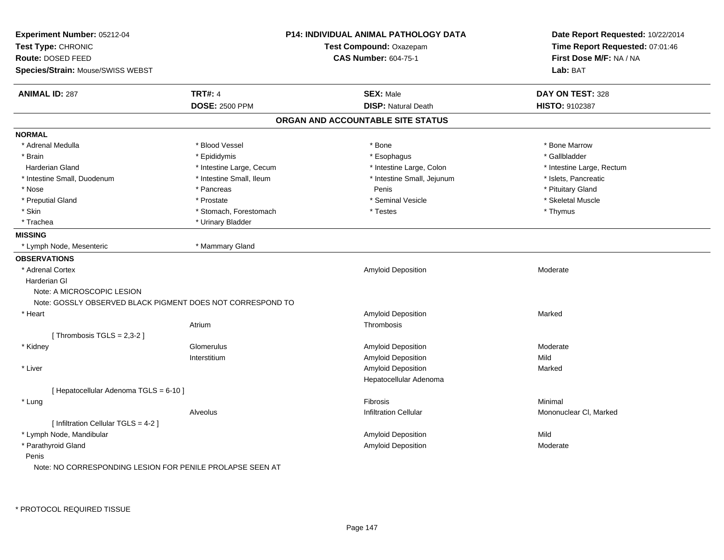| Experiment Number: 05212-04<br>Test Type: CHRONIC<br>Route: DOSED FEED<br>Species/Strain: Mouse/SWISS WEBST |                          | <b>P14: INDIVIDUAL ANIMAL PATHOLOGY DATA</b><br>Test Compound: Oxazepam<br><b>CAS Number: 604-75-1</b> | Date Report Requested: 10/22/2014<br>Time Report Requested: 07:01:46<br>First Dose M/F: NA / NA<br>Lab: BAT |
|-------------------------------------------------------------------------------------------------------------|--------------------------|--------------------------------------------------------------------------------------------------------|-------------------------------------------------------------------------------------------------------------|
| <b>ANIMAL ID: 287</b>                                                                                       | <b>TRT#: 4</b>           | <b>SEX: Male</b>                                                                                       | DAY ON TEST: 328                                                                                            |
|                                                                                                             | <b>DOSE: 2500 PPM</b>    | <b>DISP: Natural Death</b>                                                                             | HISTO: 9102387                                                                                              |
|                                                                                                             |                          | ORGAN AND ACCOUNTABLE SITE STATUS                                                                      |                                                                                                             |
| <b>NORMAL</b>                                                                                               |                          |                                                                                                        |                                                                                                             |
| * Adrenal Medulla                                                                                           | * Blood Vessel           | * Bone                                                                                                 | * Bone Marrow                                                                                               |
| * Brain                                                                                                     | * Epididymis             | * Esophagus                                                                                            | * Gallbladder                                                                                               |
| Harderian Gland                                                                                             | * Intestine Large, Cecum | * Intestine Large, Colon                                                                               | * Intestine Large, Rectum                                                                                   |
| * Intestine Small, Duodenum                                                                                 | * Intestine Small, Ileum | * Intestine Small, Jejunum                                                                             | * Islets, Pancreatic                                                                                        |
| * Nose                                                                                                      | * Pancreas               | Penis                                                                                                  | * Pituitary Gland                                                                                           |
| * Preputial Gland                                                                                           | * Prostate               | * Seminal Vesicle                                                                                      | * Skeletal Muscle                                                                                           |
| * Skin                                                                                                      | * Stomach, Forestomach   | * Testes                                                                                               | * Thymus                                                                                                    |
| * Trachea                                                                                                   | * Urinary Bladder        |                                                                                                        |                                                                                                             |
| <b>MISSING</b>                                                                                              |                          |                                                                                                        |                                                                                                             |
| * Lymph Node, Mesenteric                                                                                    | * Mammary Gland          |                                                                                                        |                                                                                                             |
| <b>OBSERVATIONS</b>                                                                                         |                          |                                                                                                        |                                                                                                             |
| * Adrenal Cortex                                                                                            |                          | Amyloid Deposition                                                                                     | Moderate                                                                                                    |
| Harderian GI                                                                                                |                          |                                                                                                        |                                                                                                             |
| Note: A MICROSCOPIC LESION                                                                                  |                          |                                                                                                        |                                                                                                             |
| Note: GOSSLY OBSERVED BLACK PIGMENT DOES NOT CORRESPOND TO                                                  |                          |                                                                                                        |                                                                                                             |
| * Heart                                                                                                     |                          | Amyloid Deposition                                                                                     | Marked                                                                                                      |
|                                                                                                             | Atrium                   | Thrombosis                                                                                             |                                                                                                             |
| [Thrombosis $TGLS = 2,3-2$ ]                                                                                |                          |                                                                                                        |                                                                                                             |
| * Kidney                                                                                                    | Glomerulus               | Amyloid Deposition                                                                                     | Moderate                                                                                                    |
|                                                                                                             | Interstitium             | Amyloid Deposition                                                                                     | Mild                                                                                                        |
| * Liver                                                                                                     |                          | Amyloid Deposition                                                                                     | Marked                                                                                                      |
|                                                                                                             |                          | Hepatocellular Adenoma                                                                                 |                                                                                                             |
| [ Hepatocellular Adenoma TGLS = 6-10 ]                                                                      |                          |                                                                                                        |                                                                                                             |
| * Lung                                                                                                      |                          | Fibrosis                                                                                               | Minimal                                                                                                     |
|                                                                                                             | Alveolus                 | Infiltration Cellular                                                                                  | Mononuclear CI, Marked                                                                                      |
| [ Infiltration Cellular TGLS = 4-2 ]                                                                        |                          |                                                                                                        |                                                                                                             |
| * Lymph Node, Mandibular                                                                                    |                          | Amyloid Deposition                                                                                     | Mild                                                                                                        |
| * Parathyroid Gland                                                                                         |                          | Amyloid Deposition                                                                                     | Moderate                                                                                                    |
| Penis                                                                                                       |                          |                                                                                                        |                                                                                                             |
| Note: NO CORRESPONDING LESION FOR PENILE PROLAPSE SEEN AT                                                   |                          |                                                                                                        |                                                                                                             |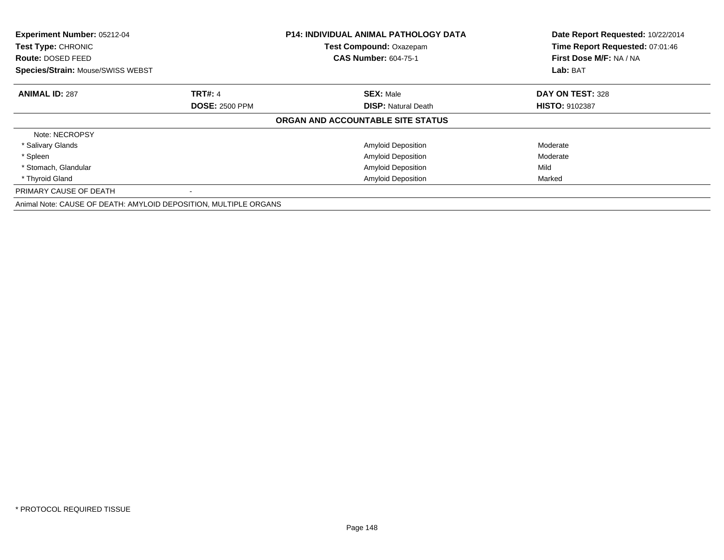| Experiment Number: 05212-04<br>Test Type: CHRONIC<br>Route: DOSED FEED |                       | <b>P14: INDIVIDUAL ANIMAL PATHOLOGY DATA</b><br>Test Compound: Oxazepam<br><b>CAS Number: 604-75-1</b> | Date Report Requested: 10/22/2014<br>Time Report Requested: 07:01:46<br>First Dose M/F: NA / NA |
|------------------------------------------------------------------------|-----------------------|--------------------------------------------------------------------------------------------------------|-------------------------------------------------------------------------------------------------|
| <b>Species/Strain: Mouse/SWISS WEBST</b>                               |                       |                                                                                                        | Lab: BAT                                                                                        |
| <b>ANIMAL ID: 287</b>                                                  | <b>TRT#: 4</b>        | <b>SEX: Male</b>                                                                                       | DAY ON TEST: 328                                                                                |
|                                                                        | <b>DOSE: 2500 PPM</b> | <b>DISP: Natural Death</b>                                                                             | <b>HISTO: 9102387</b>                                                                           |
|                                                                        |                       | ORGAN AND ACCOUNTABLE SITE STATUS                                                                      |                                                                                                 |
| Note: NECROPSY                                                         |                       |                                                                                                        |                                                                                                 |
| * Salivary Glands                                                      |                       | Amyloid Deposition                                                                                     | Moderate                                                                                        |
| * Spleen                                                               |                       | <b>Amyloid Deposition</b>                                                                              | Moderate                                                                                        |
| * Stomach, Glandular                                                   |                       | <b>Amyloid Deposition</b>                                                                              | Mild                                                                                            |
| * Thyroid Gland                                                        |                       | <b>Amyloid Deposition</b>                                                                              | Marked                                                                                          |
| PRIMARY CAUSE OF DEATH                                                 |                       |                                                                                                        |                                                                                                 |
| Animal Note: CAUSE OF DEATH: AMYLOID DEPOSITION, MULTIPLE ORGANS       |                       |                                                                                                        |                                                                                                 |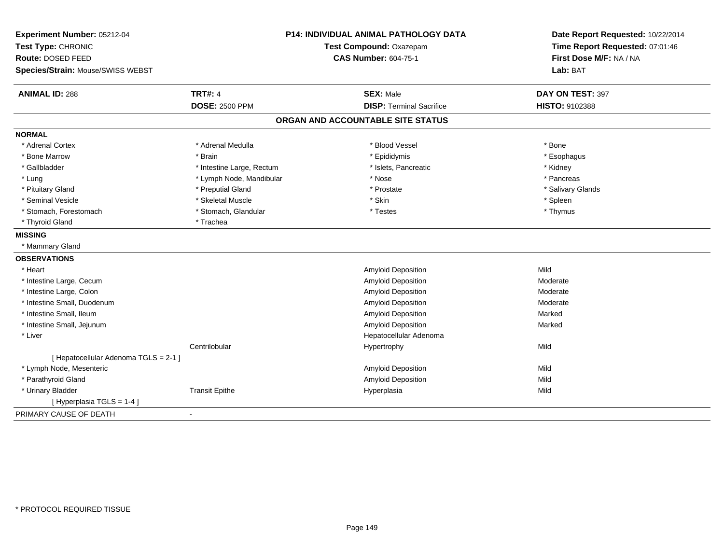| Experiment Number: 05212-04           |                           | <b>P14: INDIVIDUAL ANIMAL PATHOLOGY DATA</b> | Date Report Requested: 10/22/2014 |
|---------------------------------------|---------------------------|----------------------------------------------|-----------------------------------|
| Test Type: CHRONIC                    | Test Compound: Oxazepam   |                                              | Time Report Requested: 07:01:46   |
| Route: DOSED FEED                     |                           | <b>CAS Number: 604-75-1</b>                  | First Dose M/F: NA / NA           |
| Species/Strain: Mouse/SWISS WEBST     |                           |                                              | Lab: BAT                          |
| <b>ANIMAL ID: 288</b>                 | <b>TRT#: 4</b>            | <b>SEX: Male</b>                             | DAY ON TEST: 397                  |
|                                       | <b>DOSE: 2500 PPM</b>     | <b>DISP: Terminal Sacrifice</b>              | HISTO: 9102388                    |
|                                       |                           | ORGAN AND ACCOUNTABLE SITE STATUS            |                                   |
| <b>NORMAL</b>                         |                           |                                              |                                   |
| * Adrenal Cortex                      | * Adrenal Medulla         | * Blood Vessel                               | * Bone                            |
| * Bone Marrow                         | * Brain                   | * Epididymis                                 | * Esophagus                       |
| * Gallbladder                         | * Intestine Large, Rectum | * Islets, Pancreatic                         | * Kidney                          |
| * Lung                                | * Lymph Node, Mandibular  | * Nose                                       | * Pancreas                        |
| * Pituitary Gland                     | * Preputial Gland         | * Prostate                                   | * Salivary Glands                 |
| * Seminal Vesicle                     | * Skeletal Muscle         | * Skin                                       | * Spleen                          |
| * Stomach, Forestomach                | * Stomach, Glandular      | * Testes                                     | * Thymus                          |
| * Thyroid Gland                       | * Trachea                 |                                              |                                   |
| <b>MISSING</b>                        |                           |                                              |                                   |
| * Mammary Gland                       |                           |                                              |                                   |
| <b>OBSERVATIONS</b>                   |                           |                                              |                                   |
| * Heart                               |                           | Amyloid Deposition                           | Mild                              |
| * Intestine Large, Cecum              |                           | Amyloid Deposition                           | Moderate                          |
| * Intestine Large, Colon              |                           | Amyloid Deposition                           | Moderate                          |
| * Intestine Small, Duodenum           |                           | <b>Amyloid Deposition</b>                    | Moderate                          |
| * Intestine Small, Ileum              |                           | Amyloid Deposition                           | Marked                            |
| * Intestine Small, Jejunum            |                           | Amyloid Deposition                           | Marked                            |
| * Liver                               |                           | Hepatocellular Adenoma                       |                                   |
|                                       | Centrilobular             | Hypertrophy                                  | Mild                              |
| [ Hepatocellular Adenoma TGLS = 2-1 ] |                           |                                              |                                   |
| * Lymph Node, Mesenteric              |                           | <b>Amyloid Deposition</b>                    | Mild                              |
| * Parathyroid Gland                   |                           | Amyloid Deposition                           | Mild                              |
| * Urinary Bladder                     | <b>Transit Epithe</b>     | Hyperplasia                                  | Mild                              |
| [ Hyperplasia TGLS = 1-4 ]            |                           |                                              |                                   |
| PRIMARY CAUSE OF DEATH                | $\blacksquare$            |                                              |                                   |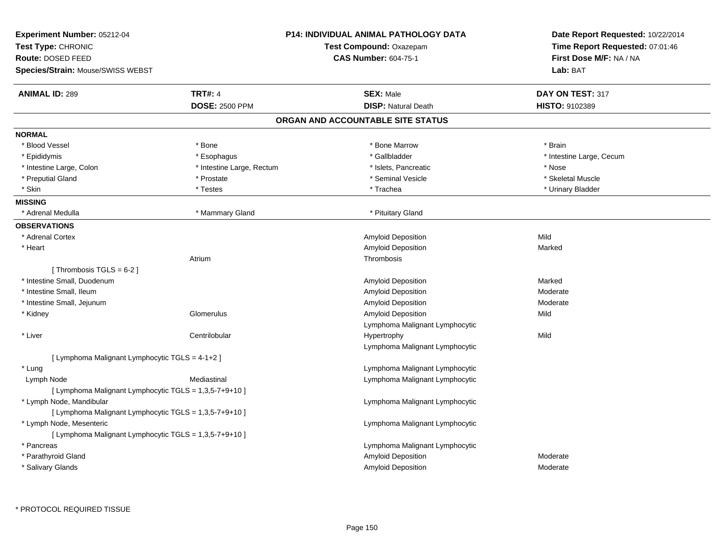| Experiment Number: 05212-04<br>Test Type: CHRONIC<br>Route: DOSED FEED<br>Species/Strain: Mouse/SWISS WEBST |                           | <b>P14: INDIVIDUAL ANIMAL PATHOLOGY DATA</b><br>Test Compound: Oxazepam<br><b>CAS Number: 604-75-1</b> | Date Report Requested: 10/22/2014<br>Time Report Requested: 07:01:46<br>First Dose M/F: NA / NA<br>Lab: BAT |
|-------------------------------------------------------------------------------------------------------------|---------------------------|--------------------------------------------------------------------------------------------------------|-------------------------------------------------------------------------------------------------------------|
| <b>ANIMAL ID: 289</b>                                                                                       | <b>TRT#: 4</b>            | <b>SEX: Male</b>                                                                                       | DAY ON TEST: 317                                                                                            |
|                                                                                                             | <b>DOSE: 2500 PPM</b>     | <b>DISP: Natural Death</b>                                                                             | <b>HISTO: 9102389</b>                                                                                       |
|                                                                                                             |                           | ORGAN AND ACCOUNTABLE SITE STATUS                                                                      |                                                                                                             |
| <b>NORMAL</b>                                                                                               |                           |                                                                                                        |                                                                                                             |
| * Blood Vessel                                                                                              | * Bone                    | * Bone Marrow                                                                                          | * Brain                                                                                                     |
| * Epididymis                                                                                                | * Esophagus               | * Gallbladder                                                                                          | * Intestine Large, Cecum                                                                                    |
| * Intestine Large, Colon                                                                                    | * Intestine Large, Rectum | * Islets, Pancreatic                                                                                   | * Nose                                                                                                      |
| * Preputial Gland                                                                                           | * Prostate                | * Seminal Vesicle                                                                                      | * Skeletal Muscle                                                                                           |
| * Skin                                                                                                      | * Testes                  | * Trachea                                                                                              | * Urinary Bladder                                                                                           |
| <b>MISSING</b>                                                                                              |                           |                                                                                                        |                                                                                                             |
| * Adrenal Medulla                                                                                           | * Mammary Gland           | * Pituitary Gland                                                                                      |                                                                                                             |
| <b>OBSERVATIONS</b>                                                                                         |                           |                                                                                                        |                                                                                                             |
| * Adrenal Cortex                                                                                            |                           | Amyloid Deposition                                                                                     | Mild                                                                                                        |
| * Heart                                                                                                     |                           | Amyloid Deposition                                                                                     | Marked                                                                                                      |
|                                                                                                             | Atrium                    | Thrombosis                                                                                             |                                                                                                             |
| [Thrombosis TGLS = $6-2$ ]                                                                                  |                           |                                                                                                        |                                                                                                             |
| * Intestine Small, Duodenum                                                                                 |                           | Amyloid Deposition                                                                                     | Marked                                                                                                      |
| * Intestine Small, Ileum                                                                                    |                           | Amyloid Deposition                                                                                     | Moderate                                                                                                    |
| * Intestine Small, Jejunum                                                                                  |                           | <b>Amyloid Deposition</b>                                                                              | Moderate                                                                                                    |
| * Kidney                                                                                                    | Glomerulus                | Amyloid Deposition                                                                                     | Mild                                                                                                        |
|                                                                                                             |                           | Lymphoma Malignant Lymphocytic                                                                         |                                                                                                             |
| * Liver                                                                                                     | Centrilobular             | Hypertrophy                                                                                            | Mild                                                                                                        |
|                                                                                                             |                           | Lymphoma Malignant Lymphocytic                                                                         |                                                                                                             |
| [ Lymphoma Malignant Lymphocytic TGLS = 4-1+2 ]                                                             |                           |                                                                                                        |                                                                                                             |
| * Lung                                                                                                      |                           | Lymphoma Malignant Lymphocytic                                                                         |                                                                                                             |
| Lymph Node                                                                                                  | Mediastinal               | Lymphoma Malignant Lymphocytic                                                                         |                                                                                                             |
| [ Lymphoma Malignant Lymphocytic TGLS = 1,3,5-7+9+10 ]                                                      |                           |                                                                                                        |                                                                                                             |
| * Lymph Node, Mandibular                                                                                    |                           | Lymphoma Malignant Lymphocytic                                                                         |                                                                                                             |
| [ Lymphoma Malignant Lymphocytic TGLS = 1,3,5-7+9+10 ]                                                      |                           |                                                                                                        |                                                                                                             |
| * Lymph Node, Mesenteric                                                                                    |                           | Lymphoma Malignant Lymphocytic                                                                         |                                                                                                             |
| [ Lymphoma Malignant Lymphocytic TGLS = 1,3,5-7+9+10 ]                                                      |                           |                                                                                                        |                                                                                                             |
| * Pancreas                                                                                                  |                           | Lymphoma Malignant Lymphocytic                                                                         |                                                                                                             |
| * Parathyroid Gland                                                                                         |                           | Amyloid Deposition                                                                                     | Moderate                                                                                                    |
| * Salivary Glands                                                                                           |                           | Amyloid Deposition                                                                                     | Moderate                                                                                                    |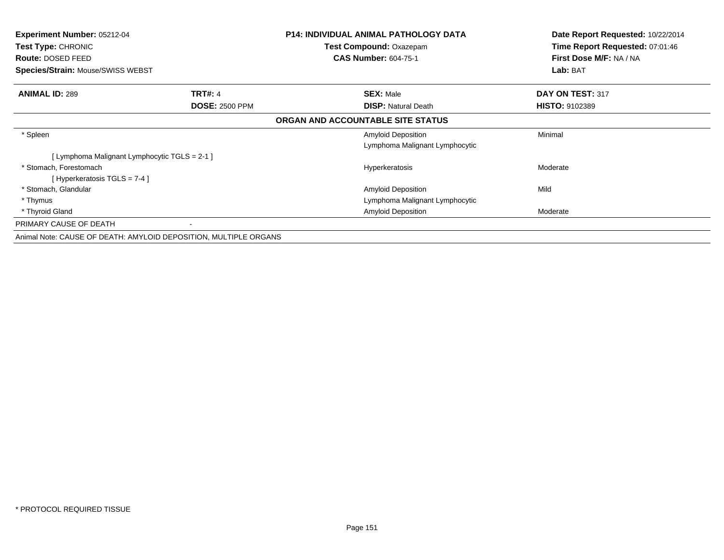| <b>Experiment Number: 05212-04</b><br><b>Test Type: CHRONIC</b>  |                       | <b>P14: INDIVIDUAL ANIMAL PATHOLOGY DATA</b><br><b>Test Compound: Oxazepam</b> | Date Report Requested: 10/22/2014<br>Time Report Requested: 07:01:46 |
|------------------------------------------------------------------|-----------------------|--------------------------------------------------------------------------------|----------------------------------------------------------------------|
| <b>Route: DOSED FEED</b>                                         |                       | <b>CAS Number: 604-75-1</b>                                                    | First Dose M/F: NA / NA                                              |
| <b>Species/Strain: Mouse/SWISS WEBST</b>                         |                       |                                                                                | Lab: BAT                                                             |
| <b>ANIMAL ID: 289</b>                                            | <b>TRT#: 4</b>        | <b>SEX: Male</b>                                                               | DAY ON TEST: 317                                                     |
|                                                                  | <b>DOSE: 2500 PPM</b> | <b>DISP: Natural Death</b>                                                     | <b>HISTO: 9102389</b>                                                |
|                                                                  |                       | ORGAN AND ACCOUNTABLE SITE STATUS                                              |                                                                      |
| * Spleen                                                         |                       | <b>Amyloid Deposition</b>                                                      | Minimal                                                              |
|                                                                  |                       | Lymphoma Malignant Lymphocytic                                                 |                                                                      |
| [ Lymphoma Malignant Lymphocytic TGLS = 2-1 ]                    |                       |                                                                                |                                                                      |
| * Stomach, Forestomach                                           |                       | Hyperkeratosis                                                                 | Moderate                                                             |
| [Hyperkeratosis $TGLS = 7-4$ ]                                   |                       |                                                                                |                                                                      |
| * Stomach, Glandular                                             |                       | <b>Amyloid Deposition</b>                                                      | Mild                                                                 |
| * Thymus                                                         |                       | Lymphoma Malignant Lymphocytic                                                 |                                                                      |
| * Thyroid Gland                                                  |                       | <b>Amyloid Deposition</b>                                                      | Moderate                                                             |
| PRIMARY CAUSE OF DEATH                                           |                       |                                                                                |                                                                      |
| Animal Note: CAUSE OF DEATH: AMYLOID DEPOSITION, MULTIPLE ORGANS |                       |                                                                                |                                                                      |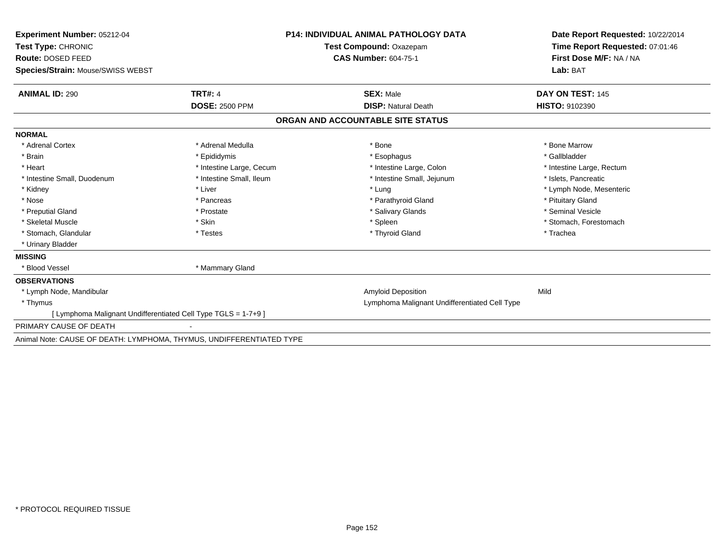| <b>Experiment Number: 05212-04</b><br>Test Type: CHRONIC             |                          | <b>P14: INDIVIDUAL ANIMAL PATHOLOGY DATA</b>  | Date Report Requested: 10/22/2014<br>Time Report Requested: 07:01:46 |
|----------------------------------------------------------------------|--------------------------|-----------------------------------------------|----------------------------------------------------------------------|
|                                                                      |                          | Test Compound: Oxazepam                       |                                                                      |
| Route: DOSED FEED                                                    |                          | <b>CAS Number: 604-75-1</b>                   | First Dose M/F: NA / NA                                              |
| Species/Strain: Mouse/SWISS WEBST                                    |                          |                                               | Lab: BAT                                                             |
| <b>ANIMAL ID: 290</b>                                                | <b>TRT#: 4</b>           | <b>SEX: Male</b>                              | DAY ON TEST: 145                                                     |
|                                                                      | <b>DOSE: 2500 PPM</b>    | <b>DISP: Natural Death</b>                    | <b>HISTO: 9102390</b>                                                |
|                                                                      |                          | ORGAN AND ACCOUNTABLE SITE STATUS             |                                                                      |
| <b>NORMAL</b>                                                        |                          |                                               |                                                                      |
| * Adrenal Cortex                                                     | * Adrenal Medulla        | * Bone                                        | * Bone Marrow                                                        |
| * Brain                                                              | * Epididymis             | * Esophagus                                   | * Gallbladder                                                        |
| * Heart                                                              | * Intestine Large, Cecum | * Intestine Large, Colon                      | * Intestine Large, Rectum                                            |
| * Intestine Small, Duodenum                                          | * Intestine Small, Ileum | * Intestine Small, Jejunum                    | * Islets, Pancreatic                                                 |
| * Kidney                                                             | * Liver                  | * Lung                                        | * Lymph Node, Mesenteric                                             |
| * Nose                                                               | * Pancreas               | * Parathyroid Gland                           | * Pituitary Gland                                                    |
| * Preputial Gland                                                    | * Prostate               | * Salivary Glands                             | * Seminal Vesicle                                                    |
| * Skeletal Muscle                                                    | * Skin                   | * Spleen                                      | * Stomach, Forestomach                                               |
| * Stomach, Glandular                                                 | * Testes                 | * Thyroid Gland                               | * Trachea                                                            |
| * Urinary Bladder                                                    |                          |                                               |                                                                      |
| <b>MISSING</b>                                                       |                          |                                               |                                                                      |
| * Blood Vessel                                                       | * Mammary Gland          |                                               |                                                                      |
| <b>OBSERVATIONS</b>                                                  |                          |                                               |                                                                      |
| * Lymph Node, Mandibular                                             |                          | <b>Amyloid Deposition</b>                     | Mild                                                                 |
| * Thymus                                                             |                          | Lymphoma Malignant Undifferentiated Cell Type |                                                                      |
| [ Lymphoma Malignant Undifferentiated Cell Type TGLS = 1-7+9 ]       |                          |                                               |                                                                      |
| PRIMARY CAUSE OF DEATH                                               |                          |                                               |                                                                      |
| Animal Note: CAUSE OF DEATH: LYMPHOMA, THYMUS, UNDIFFERENTIATED TYPE |                          |                                               |                                                                      |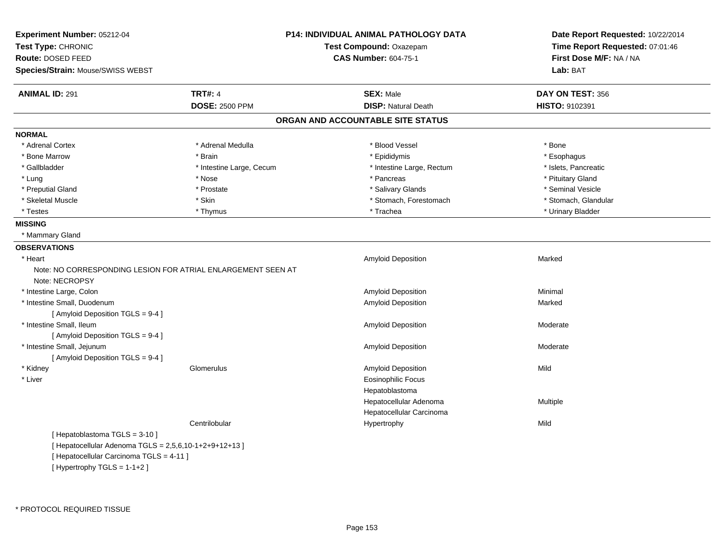| Experiment Number: 05212-04<br>Test Type: CHRONIC<br>Route: DOSED FEED | P14: INDIVIDUAL ANIMAL PATHOLOGY DATA<br>Test Compound: Oxazepam<br><b>CAS Number: 604-75-1</b> |                                   | Date Report Requested: 10/22/2014<br>Time Report Requested: 07:01:46<br>First Dose M/F: NA / NA |
|------------------------------------------------------------------------|-------------------------------------------------------------------------------------------------|-----------------------------------|-------------------------------------------------------------------------------------------------|
| Species/Strain: Mouse/SWISS WEBST                                      |                                                                                                 |                                   | Lab: BAT                                                                                        |
| <b>ANIMAL ID: 291</b>                                                  | <b>TRT#: 4</b>                                                                                  | <b>SEX: Male</b>                  | DAY ON TEST: 356                                                                                |
|                                                                        | <b>DOSE: 2500 PPM</b>                                                                           | <b>DISP: Natural Death</b>        | HISTO: 9102391                                                                                  |
|                                                                        |                                                                                                 | ORGAN AND ACCOUNTABLE SITE STATUS |                                                                                                 |
| <b>NORMAL</b>                                                          |                                                                                                 |                                   |                                                                                                 |
| * Adrenal Cortex                                                       | * Adrenal Medulla                                                                               | * Blood Vessel                    | * Bone                                                                                          |
| * Bone Marrow                                                          | * Brain                                                                                         | * Epididymis                      | * Esophagus                                                                                     |
| * Gallbladder                                                          | * Intestine Large, Cecum                                                                        | * Intestine Large, Rectum         | * Islets, Pancreatic                                                                            |
| * Lung                                                                 | * Nose                                                                                          | * Pancreas                        | * Pituitary Gland                                                                               |
| * Preputial Gland                                                      | * Prostate                                                                                      | * Salivary Glands                 | * Seminal Vesicle                                                                               |
| * Skeletal Muscle                                                      | * Skin                                                                                          | * Stomach, Forestomach            | * Stomach, Glandular                                                                            |
| * Testes                                                               | * Thymus                                                                                        | * Trachea                         | * Urinary Bladder                                                                               |
| <b>MISSING</b>                                                         |                                                                                                 |                                   |                                                                                                 |
| * Mammary Gland                                                        |                                                                                                 |                                   |                                                                                                 |
| <b>OBSERVATIONS</b>                                                    |                                                                                                 |                                   |                                                                                                 |
| * Heart                                                                |                                                                                                 | <b>Amyloid Deposition</b>         | Marked                                                                                          |
| Note: NO CORRESPONDING LESION FOR ATRIAL ENLARGEMENT SEEN AT           |                                                                                                 |                                   |                                                                                                 |
| Note: NECROPSY                                                         |                                                                                                 |                                   |                                                                                                 |
| * Intestine Large, Colon                                               |                                                                                                 | Amyloid Deposition                | Minimal                                                                                         |
| * Intestine Small, Duodenum                                            |                                                                                                 | Amyloid Deposition                | Marked                                                                                          |
| [ Amyloid Deposition TGLS = 9-4 ]                                      |                                                                                                 |                                   |                                                                                                 |
| * Intestine Small, Ileum                                               |                                                                                                 | Amyloid Deposition                | Moderate                                                                                        |
| [ Amyloid Deposition TGLS = 9-4 ]                                      |                                                                                                 |                                   |                                                                                                 |
| * Intestine Small, Jejunum                                             |                                                                                                 | Amyloid Deposition                | Moderate                                                                                        |
| [ Amyloid Deposition TGLS = 9-4 ]                                      |                                                                                                 |                                   |                                                                                                 |
| * Kidney                                                               | Glomerulus                                                                                      | Amyloid Deposition                | Mild                                                                                            |
| * Liver                                                                |                                                                                                 | <b>Eosinophilic Focus</b>         |                                                                                                 |
|                                                                        |                                                                                                 | Hepatoblastoma                    |                                                                                                 |
|                                                                        |                                                                                                 | Hepatocellular Adenoma            | Multiple                                                                                        |
|                                                                        |                                                                                                 | Hepatocellular Carcinoma          |                                                                                                 |
|                                                                        | Centrilobular                                                                                   | Hypertrophy                       | Mild                                                                                            |
| [Hepatoblastoma TGLS = 3-10]                                           |                                                                                                 |                                   |                                                                                                 |
| [ Hepatocellular Adenoma TGLS = 2,5,6,10-1+2+9+12+13 ]                 |                                                                                                 |                                   |                                                                                                 |
| Literates allular Caroinama TCLC 4441                                  |                                                                                                 |                                   |                                                                                                 |

[ Hepatocellular Carcinoma TGLS = 4-11 ] [ Hypertrophy TGLS = 1-1+2 ]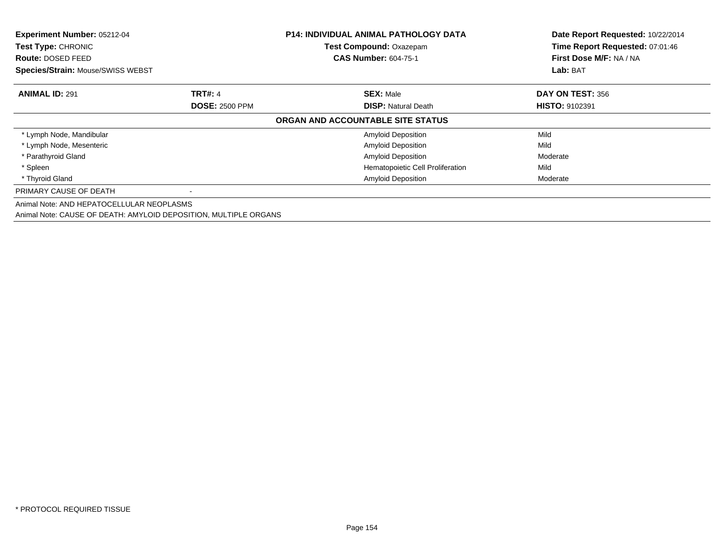| Experiment Number: 05212-04<br>Test Type: CHRONIC<br><b>Route: DOSED FEED</b><br>Species/Strain: Mouse/SWISS WEBST |                       | <b>P14: INDIVIDUAL ANIMAL PATHOLOGY DATA</b><br><b>Test Compound: Oxazepam</b><br><b>CAS Number: 604-75-1</b> | Date Report Requested: 10/22/2014<br>Time Report Requested: 07:01:46<br>First Dose M/F: NA / NA<br>Lab: BAT |
|--------------------------------------------------------------------------------------------------------------------|-----------------------|---------------------------------------------------------------------------------------------------------------|-------------------------------------------------------------------------------------------------------------|
| <b>ANIMAL ID: 291</b>                                                                                              | <b>TRT#: 4</b>        | <b>SEX: Male</b>                                                                                              | DAY ON TEST: 356                                                                                            |
|                                                                                                                    | <b>DOSE: 2500 PPM</b> | <b>DISP:</b> Natural Death                                                                                    | <b>HISTO: 9102391</b>                                                                                       |
|                                                                                                                    |                       | ORGAN AND ACCOUNTABLE SITE STATUS                                                                             |                                                                                                             |
| * Lymph Node, Mandibular                                                                                           |                       | <b>Amyloid Deposition</b>                                                                                     | Mild                                                                                                        |
| * Lymph Node, Mesenteric                                                                                           |                       | <b>Amyloid Deposition</b>                                                                                     | Mild                                                                                                        |
| * Parathyroid Gland                                                                                                |                       | <b>Amyloid Deposition</b>                                                                                     | Moderate                                                                                                    |
| * Spleen                                                                                                           |                       | Hematopoietic Cell Proliferation                                                                              | Mild                                                                                                        |
| * Thyroid Gland                                                                                                    |                       | <b>Amyloid Deposition</b>                                                                                     | Moderate                                                                                                    |
| PRIMARY CAUSE OF DEATH                                                                                             |                       |                                                                                                               |                                                                                                             |
| Animal Note: AND HEPATOCELLULAR NEOPLASMS                                                                          |                       |                                                                                                               |                                                                                                             |
| Animal Note: CAUSE OF DEATH: AMYLOID DEPOSITION, MULTIPLE ORGANS                                                   |                       |                                                                                                               |                                                                                                             |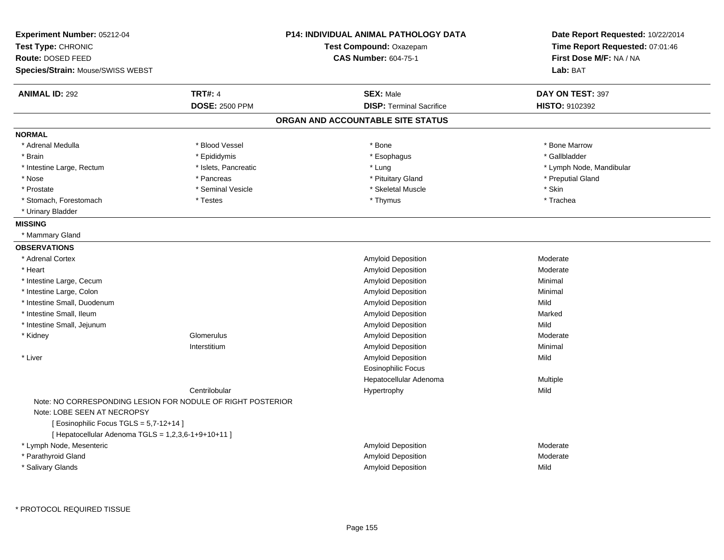| Experiment Number: 05212-04<br>Test Type: CHRONIC           |                       | <b>P14: INDIVIDUAL ANIMAL PATHOLOGY DATA</b><br>Test Compound: Oxazepam | Date Report Requested: 10/22/2014<br>Time Report Requested: 07:01:46 |  |
|-------------------------------------------------------------|-----------------------|-------------------------------------------------------------------------|----------------------------------------------------------------------|--|
| Route: DOSED FEED                                           |                       | <b>CAS Number: 604-75-1</b>                                             | First Dose M/F: NA / NA                                              |  |
| Species/Strain: Mouse/SWISS WEBST                           |                       |                                                                         | Lab: BAT                                                             |  |
| <b>ANIMAL ID: 292</b>                                       | <b>TRT#: 4</b>        | <b>SEX: Male</b>                                                        | DAY ON TEST: 397                                                     |  |
|                                                             | <b>DOSE: 2500 PPM</b> | <b>DISP: Terminal Sacrifice</b>                                         | <b>HISTO: 9102392</b>                                                |  |
|                                                             |                       | ORGAN AND ACCOUNTABLE SITE STATUS                                       |                                                                      |  |
| <b>NORMAL</b>                                               |                       |                                                                         |                                                                      |  |
| * Adrenal Medulla                                           | * Blood Vessel        | * Bone                                                                  | * Bone Marrow                                                        |  |
| * Brain                                                     | * Epididymis          | * Esophagus                                                             | * Gallbladder                                                        |  |
| * Intestine Large, Rectum                                   | * Islets, Pancreatic  | * Lung                                                                  | * Lymph Node, Mandibular                                             |  |
| * Nose                                                      | * Pancreas            | * Pituitary Gland                                                       | * Preputial Gland                                                    |  |
| * Prostate                                                  | * Seminal Vesicle     | * Skeletal Muscle                                                       | * Skin                                                               |  |
| * Stomach, Forestomach                                      | * Testes              | * Thymus                                                                | * Trachea                                                            |  |
| * Urinary Bladder                                           |                       |                                                                         |                                                                      |  |
| <b>MISSING</b>                                              |                       |                                                                         |                                                                      |  |
| * Mammary Gland                                             |                       |                                                                         |                                                                      |  |
| <b>OBSERVATIONS</b>                                         |                       |                                                                         |                                                                      |  |
| * Adrenal Cortex                                            |                       | Amyloid Deposition                                                      | Moderate                                                             |  |
| * Heart                                                     |                       | Amyloid Deposition                                                      | Moderate                                                             |  |
| * Intestine Large, Cecum                                    |                       | Amyloid Deposition                                                      | Minimal                                                              |  |
| * Intestine Large, Colon                                    |                       | Amyloid Deposition                                                      | Minimal                                                              |  |
| * Intestine Small, Duodenum                                 |                       | Amyloid Deposition                                                      | Mild                                                                 |  |
| * Intestine Small, Ileum                                    |                       | Amyloid Deposition                                                      | Marked                                                               |  |
| * Intestine Small, Jejunum                                  |                       | Amyloid Deposition                                                      | Mild                                                                 |  |
| * Kidney                                                    | Glomerulus            | Amyloid Deposition                                                      | Moderate                                                             |  |
|                                                             | Interstitium          | Amyloid Deposition                                                      | Minimal                                                              |  |
| * Liver                                                     |                       | Amyloid Deposition                                                      | Mild                                                                 |  |
|                                                             |                       | Eosinophilic Focus                                                      |                                                                      |  |
|                                                             |                       | Hepatocellular Adenoma                                                  | Multiple                                                             |  |
|                                                             | Centrilobular         | Hypertrophy                                                             | Mild                                                                 |  |
| Note: NO CORRESPONDING LESION FOR NODULE OF RIGHT POSTERIOR |                       |                                                                         |                                                                      |  |
| Note: LOBE SEEN AT NECROPSY                                 |                       |                                                                         |                                                                      |  |
| [ Eosinophilic Focus TGLS = 5,7-12+14 ]                     |                       |                                                                         |                                                                      |  |
| [ Hepatocellular Adenoma TGLS = 1,2,3,6-1+9+10+11 ]         |                       |                                                                         |                                                                      |  |
| * Lymph Node, Mesenteric                                    |                       | Amyloid Deposition                                                      | Moderate                                                             |  |
| * Parathyroid Gland                                         |                       | Amyloid Deposition                                                      | Moderate                                                             |  |
| * Salivary Glands                                           |                       | Amyloid Deposition                                                      | Mild                                                                 |  |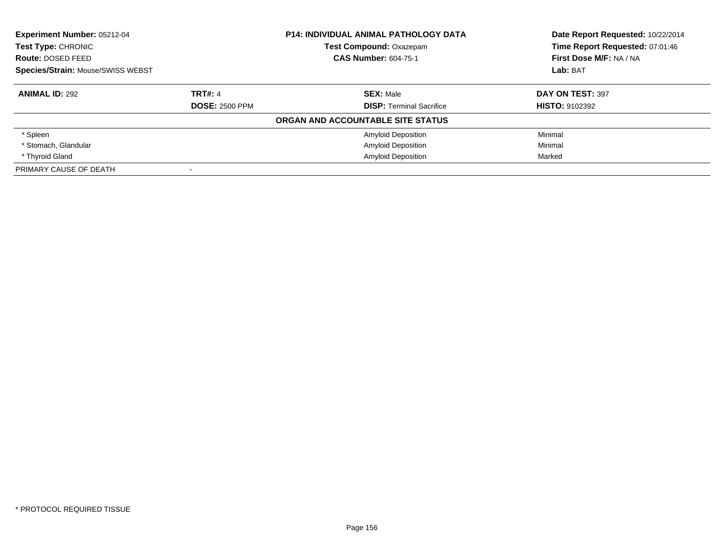| <b>Experiment Number: 05212-04</b><br>Test Type: CHRONIC |                       | <b>P14: INDIVIDUAL ANIMAL PATHOLOGY DATA</b> | Date Report Requested: 10/22/2014<br>Time Report Requested: 07:01:46 |
|----------------------------------------------------------|-----------------------|----------------------------------------------|----------------------------------------------------------------------|
|                                                          |                       | <b>Test Compound: Oxazepam</b>               |                                                                      |
| Route: DOSED FEED                                        |                       | <b>CAS Number: 604-75-1</b>                  | First Dose M/F: NA / NA                                              |
| Species/Strain: Mouse/SWISS WEBST                        |                       |                                              | Lab: BAT                                                             |
| <b>ANIMAL ID: 292</b>                                    | <b>TRT#: 4</b>        | <b>SEX: Male</b>                             | DAY ON TEST: 397                                                     |
|                                                          | <b>DOSE: 2500 PPM</b> | <b>DISP:</b> Terminal Sacrifice              | <b>HISTO: 9102392</b>                                                |
|                                                          |                       | ORGAN AND ACCOUNTABLE SITE STATUS            |                                                                      |
| * Spleen                                                 |                       | <b>Amyloid Deposition</b>                    | Minimal                                                              |
| * Stomach, Glandular                                     |                       | <b>Amyloid Deposition</b>                    | Minimal                                                              |
| * Thyroid Gland                                          |                       | <b>Amyloid Deposition</b>                    | Marked                                                               |
| PRIMARY CAUSE OF DEATH                                   |                       |                                              |                                                                      |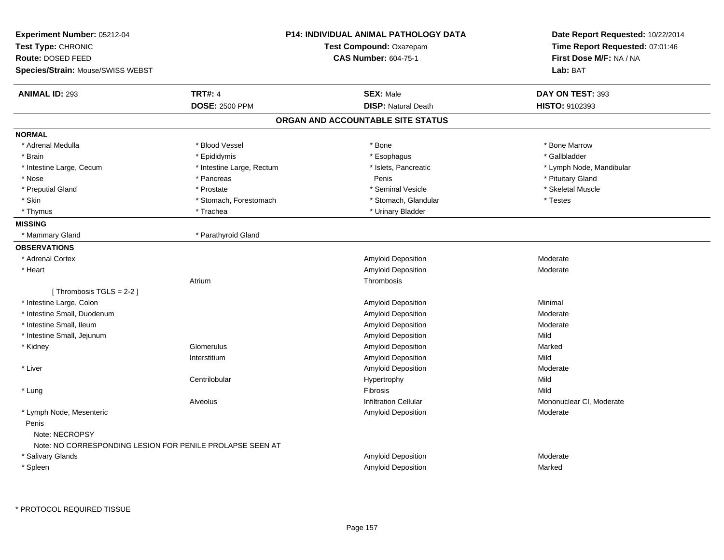| Experiment Number: 05212-04<br>Test Type: CHRONIC<br><b>Route: DOSED FEED</b><br>Species/Strain: Mouse/SWISS WEBST |                           | P14: INDIVIDUAL ANIMAL PATHOLOGY DATA<br>Test Compound: Oxazepam<br><b>CAS Number: 604-75-1</b> | Date Report Requested: 10/22/2014<br>Time Report Requested: 07:01:46<br>First Dose M/F: NA / NA<br>Lab: BAT |
|--------------------------------------------------------------------------------------------------------------------|---------------------------|-------------------------------------------------------------------------------------------------|-------------------------------------------------------------------------------------------------------------|
| <b>ANIMAL ID: 293</b>                                                                                              | <b>TRT#: 4</b>            | <b>SEX: Male</b>                                                                                | DAY ON TEST: 393                                                                                            |
|                                                                                                                    | <b>DOSE: 2500 PPM</b>     | <b>DISP: Natural Death</b>                                                                      | HISTO: 9102393                                                                                              |
|                                                                                                                    |                           | ORGAN AND ACCOUNTABLE SITE STATUS                                                               |                                                                                                             |
| <b>NORMAL</b>                                                                                                      |                           |                                                                                                 |                                                                                                             |
| * Adrenal Medulla                                                                                                  | * Blood Vessel            | * Bone                                                                                          | * Bone Marrow                                                                                               |
| * Brain                                                                                                            | * Epididymis              | * Esophagus                                                                                     | * Gallbladder                                                                                               |
| * Intestine Large, Cecum                                                                                           | * Intestine Large, Rectum | * Islets, Pancreatic                                                                            | * Lymph Node, Mandibular                                                                                    |
| * Nose                                                                                                             | * Pancreas                | Penis                                                                                           | * Pituitary Gland                                                                                           |
| * Preputial Gland                                                                                                  | * Prostate                | * Seminal Vesicle                                                                               | * Skeletal Muscle                                                                                           |
| * Skin                                                                                                             | * Stomach, Forestomach    | * Stomach, Glandular                                                                            | * Testes                                                                                                    |
| * Thymus                                                                                                           | * Trachea                 | * Urinary Bladder                                                                               |                                                                                                             |
| <b>MISSING</b>                                                                                                     |                           |                                                                                                 |                                                                                                             |
| * Mammary Gland                                                                                                    | * Parathyroid Gland       |                                                                                                 |                                                                                                             |
| <b>OBSERVATIONS</b>                                                                                                |                           |                                                                                                 |                                                                                                             |
| * Adrenal Cortex                                                                                                   |                           | <b>Amyloid Deposition</b>                                                                       | Moderate                                                                                                    |
| * Heart                                                                                                            |                           | <b>Amyloid Deposition</b>                                                                       | Moderate                                                                                                    |
|                                                                                                                    | Atrium                    | Thrombosis                                                                                      |                                                                                                             |
| [Thrombosis TGLS = 2-2]                                                                                            |                           |                                                                                                 |                                                                                                             |
| * Intestine Large, Colon                                                                                           |                           | <b>Amyloid Deposition</b>                                                                       | Minimal                                                                                                     |
| * Intestine Small, Duodenum                                                                                        |                           | Amyloid Deposition                                                                              | Moderate                                                                                                    |
| * Intestine Small, Ileum                                                                                           |                           | Amyloid Deposition                                                                              | Moderate                                                                                                    |
| * Intestine Small, Jejunum                                                                                         |                           | <b>Amyloid Deposition</b>                                                                       | Mild                                                                                                        |
| * Kidney                                                                                                           | Glomerulus                | Amyloid Deposition                                                                              | Marked                                                                                                      |
|                                                                                                                    | Interstitium              | Amyloid Deposition                                                                              | Mild                                                                                                        |
| * Liver                                                                                                            |                           | Amyloid Deposition                                                                              | Moderate                                                                                                    |
|                                                                                                                    | Centrilobular             | Hypertrophy                                                                                     | Mild                                                                                                        |
| * Lung                                                                                                             |                           | <b>Fibrosis</b>                                                                                 | Mild                                                                                                        |
|                                                                                                                    | Alveolus                  | <b>Infiltration Cellular</b>                                                                    | Mononuclear CI, Moderate                                                                                    |
| * Lymph Node, Mesenteric                                                                                           |                           | Amyloid Deposition                                                                              | Moderate                                                                                                    |
| Penis                                                                                                              |                           |                                                                                                 |                                                                                                             |
| Note: NECROPSY                                                                                                     |                           |                                                                                                 |                                                                                                             |
| Note: NO CORRESPONDING LESION FOR PENILE PROLAPSE SEEN AT                                                          |                           |                                                                                                 |                                                                                                             |
| * Salivary Glands                                                                                                  |                           | <b>Amyloid Deposition</b>                                                                       | Moderate                                                                                                    |
| * Spleen                                                                                                           |                           | <b>Amyloid Deposition</b>                                                                       | Marked                                                                                                      |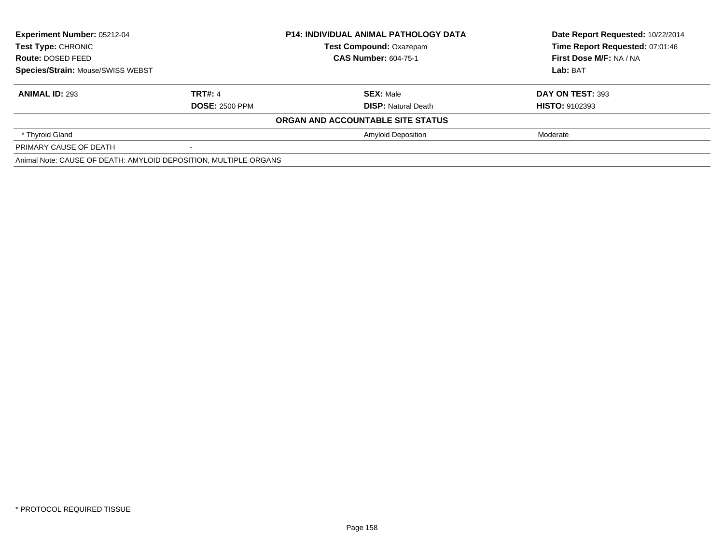| <b>Experiment Number: 05212-04</b><br>Test Type: CHRONIC<br>Route: DOSED FEED<br>Species/Strain: Mouse/SWISS WEBST |                       | <b>P14: INDIVIDUAL ANIMAL PATHOLOGY DATA</b> | Date Report Requested: 10/22/2014 |
|--------------------------------------------------------------------------------------------------------------------|-----------------------|----------------------------------------------|-----------------------------------|
|                                                                                                                    |                       | <b>Test Compound: Oxazepam</b>               | Time Report Requested: 07:01:46   |
|                                                                                                                    |                       | <b>CAS Number: 604-75-1</b>                  | First Dose M/F: NA / NA           |
|                                                                                                                    |                       |                                              | Lab: BAT                          |
| <b>ANIMAL ID: 293</b>                                                                                              | <b>TRT#: 4</b>        | <b>SEX: Male</b>                             | DAY ON TEST: 393                  |
|                                                                                                                    | <b>DOSE: 2500 PPM</b> | <b>DISP:</b> Natural Death                   | <b>HISTO: 9102393</b>             |
|                                                                                                                    |                       | ORGAN AND ACCOUNTABLE SITE STATUS            |                                   |
| * Thyroid Gland                                                                                                    |                       | <b>Amyloid Deposition</b>                    | Moderate                          |
| PRIMARY CAUSE OF DEATH                                                                                             |                       |                                              |                                   |
| Animal Note: CAUSE OF DEATH: AMYLOID DEPOSITION, MULTIPLE ORGANS                                                   |                       |                                              |                                   |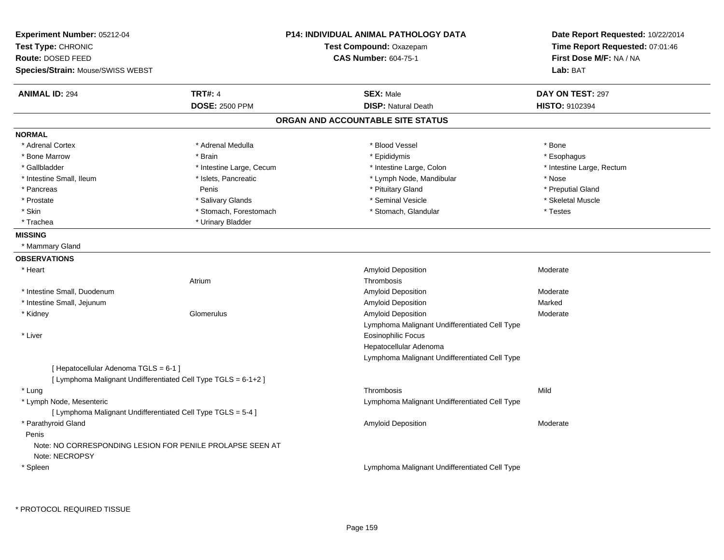| Experiment Number: 05212-04                                    |                          | <b>P14: INDIVIDUAL ANIMAL PATHOLOGY DATA</b>  | Date Report Requested: 10/22/2014 |
|----------------------------------------------------------------|--------------------------|-----------------------------------------------|-----------------------------------|
| Test Type: CHRONIC                                             |                          | Test Compound: Oxazepam                       | Time Report Requested: 07:01:46   |
| Route: DOSED FEED                                              |                          | <b>CAS Number: 604-75-1</b>                   | First Dose M/F: NA / NA           |
| Species/Strain: Mouse/SWISS WEBST                              |                          |                                               | Lab: BAT                          |
| <b>ANIMAL ID: 294</b>                                          | <b>TRT#: 4</b>           | <b>SEX: Male</b>                              | DAY ON TEST: 297                  |
|                                                                | <b>DOSE: 2500 PPM</b>    | <b>DISP: Natural Death</b>                    | <b>HISTO: 9102394</b>             |
|                                                                |                          | ORGAN AND ACCOUNTABLE SITE STATUS             |                                   |
| <b>NORMAL</b>                                                  |                          |                                               |                                   |
| * Adrenal Cortex                                               | * Adrenal Medulla        | * Blood Vessel                                | * Bone                            |
| * Bone Marrow                                                  | * Brain                  | * Epididymis                                  | * Esophagus                       |
| * Gallbladder                                                  | * Intestine Large, Cecum | * Intestine Large, Colon                      | * Intestine Large, Rectum         |
| * Intestine Small, Ileum                                       | * Islets, Pancreatic     | * Lymph Node, Mandibular                      | * Nose                            |
| * Pancreas                                                     | Penis                    | * Pituitary Gland                             | * Preputial Gland                 |
| * Prostate                                                     | * Salivary Glands        | * Seminal Vesicle                             | * Skeletal Muscle                 |
| $^\star$ Skin                                                  | * Stomach, Forestomach   | * Stomach, Glandular                          | * Testes                          |
| * Trachea                                                      | * Urinary Bladder        |                                               |                                   |
| <b>MISSING</b>                                                 |                          |                                               |                                   |
| * Mammary Gland                                                |                          |                                               |                                   |
| <b>OBSERVATIONS</b>                                            |                          |                                               |                                   |
| * Heart                                                        |                          | Amyloid Deposition                            | Moderate                          |
|                                                                | Atrium                   | Thrombosis                                    |                                   |
| * Intestine Small, Duodenum                                    |                          | <b>Amyloid Deposition</b>                     | Moderate                          |
| * Intestine Small, Jejunum                                     |                          | <b>Amyloid Deposition</b>                     | Marked                            |
| * Kidney                                                       | Glomerulus               | <b>Amyloid Deposition</b>                     | Moderate                          |
|                                                                |                          | Lymphoma Malignant Undifferentiated Cell Type |                                   |
| * Liver                                                        |                          | Eosinophilic Focus                            |                                   |
|                                                                |                          | Hepatocellular Adenoma                        |                                   |
|                                                                |                          | Lymphoma Malignant Undifferentiated Cell Type |                                   |
| [ Hepatocellular Adenoma TGLS = 6-1 ]                          |                          |                                               |                                   |
| [ Lymphoma Malignant Undifferentiated Cell Type TGLS = 6-1+2 ] |                          |                                               |                                   |
| * Lung                                                         |                          | Thrombosis                                    | Mild                              |
| * Lymph Node, Mesenteric                                       |                          | Lymphoma Malignant Undifferentiated Cell Type |                                   |
| [ Lymphoma Malignant Undifferentiated Cell Type TGLS = 5-4 ]   |                          |                                               |                                   |
| * Parathyroid Gland                                            |                          | Amyloid Deposition                            | Moderate                          |
| Penis                                                          |                          |                                               |                                   |
| Note: NO CORRESPONDING LESION FOR PENILE PROLAPSE SEEN AT      |                          |                                               |                                   |
| Note: NECROPSY                                                 |                          |                                               |                                   |
| * Spleen                                                       |                          | Lymphoma Malignant Undifferentiated Cell Type |                                   |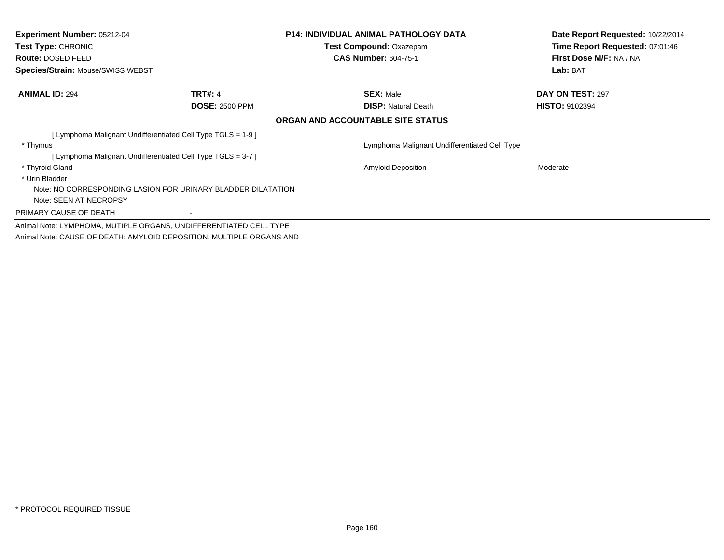| <b>Experiment Number: 05212-04</b><br><b>Test Type: CHRONIC</b><br>Route: DOSED FEED<br>Species/Strain: Mouse/SWISS WEBST |                                                                      | <b>P14: INDIVIDUAL ANIMAL PATHOLOGY DATA</b><br><b>Test Compound: Oxazepam</b><br><b>CAS Number: 604-75-1</b> | Date Report Requested: 10/22/2014<br>Time Report Requested: 07:01:46<br>First Dose M/F: NA / NA<br>Lab: BAT |
|---------------------------------------------------------------------------------------------------------------------------|----------------------------------------------------------------------|---------------------------------------------------------------------------------------------------------------|-------------------------------------------------------------------------------------------------------------|
|                                                                                                                           |                                                                      |                                                                                                               |                                                                                                             |
| <b>ANIMAL ID: 294</b>                                                                                                     | <b>TRT#: 4</b>                                                       | <b>SEX: Male</b>                                                                                              | DAY ON TEST: 297                                                                                            |
|                                                                                                                           | <b>DOSE: 2500 PPM</b>                                                | <b>DISP:</b> Natural Death                                                                                    | <b>HISTO: 9102394</b>                                                                                       |
|                                                                                                                           |                                                                      | ORGAN AND ACCOUNTABLE SITE STATUS                                                                             |                                                                                                             |
|                                                                                                                           | [Lymphoma Malignant Undifferentiated Cell Type TGLS = 1-9 ]          |                                                                                                               |                                                                                                             |
| * Thymus                                                                                                                  |                                                                      | Lymphoma Malignant Undifferentiated Cell Type                                                                 |                                                                                                             |
|                                                                                                                           | [Lymphoma Malignant Undifferentiated Cell Type TGLS = 3-7 ]          |                                                                                                               |                                                                                                             |
| * Thyroid Gland                                                                                                           |                                                                      | <b>Amyloid Deposition</b>                                                                                     | Moderate                                                                                                    |
| * Urin Bladder                                                                                                            |                                                                      |                                                                                                               |                                                                                                             |
|                                                                                                                           | Note: NO CORRESPONDING LASION FOR URINARY BLADDER DILATATION         |                                                                                                               |                                                                                                             |
| Note: SEEN AT NECROPSY                                                                                                    |                                                                      |                                                                                                               |                                                                                                             |
| PRIMARY CAUSE OF DEATH                                                                                                    |                                                                      |                                                                                                               |                                                                                                             |
|                                                                                                                           | Animal Note: LYMPHOMA, MUTIPLE ORGANS, UNDIFFERENTIATED CELL TYPE    |                                                                                                               |                                                                                                             |
|                                                                                                                           | Animal Note: CAUSE OF DEATH: AMYLOID DEPOSITION, MULTIPLE ORGANS AND |                                                                                                               |                                                                                                             |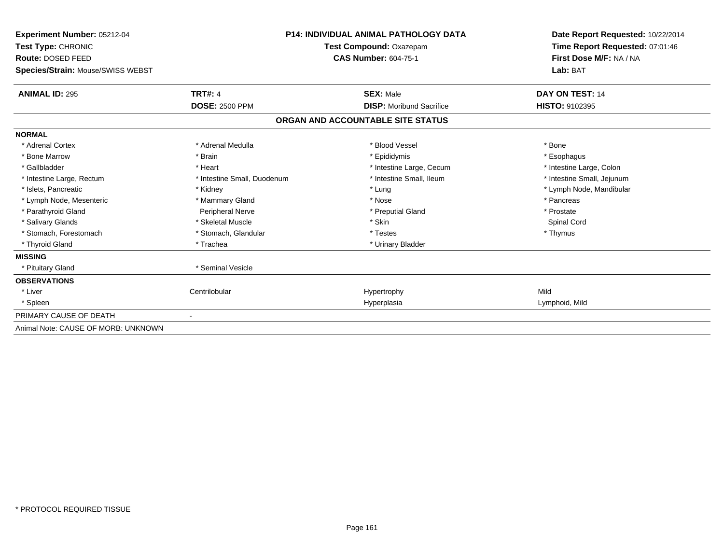| <b>Experiment Number: 05212-04</b><br>Test Type: CHRONIC<br>Route: DOSED FEED |                             | <b>P14: INDIVIDUAL ANIMAL PATHOLOGY DATA</b><br><b>Test Compound: Oxazepam</b><br><b>CAS Number: 604-75-1</b> | Date Report Requested: 10/22/2014<br>Time Report Requested: 07:01:46<br>First Dose M/F: NA / NA |  |
|-------------------------------------------------------------------------------|-----------------------------|---------------------------------------------------------------------------------------------------------------|-------------------------------------------------------------------------------------------------|--|
| Species/Strain: Mouse/SWISS WEBST                                             |                             |                                                                                                               | Lab: BAT                                                                                        |  |
| <b>ANIMAL ID: 295</b>                                                         | <b>TRT#: 4</b>              | <b>SEX: Male</b>                                                                                              | DAY ON TEST: 14                                                                                 |  |
|                                                                               | <b>DOSE: 2500 PPM</b>       | <b>DISP:</b> Moribund Sacrifice                                                                               | HISTO: 9102395                                                                                  |  |
|                                                                               |                             | ORGAN AND ACCOUNTABLE SITE STATUS                                                                             |                                                                                                 |  |
| <b>NORMAL</b>                                                                 |                             |                                                                                                               |                                                                                                 |  |
| * Adrenal Cortex                                                              | * Adrenal Medulla           | * Blood Vessel                                                                                                | * Bone                                                                                          |  |
| * Bone Marrow                                                                 | * Brain                     | * Epididymis                                                                                                  | * Esophagus                                                                                     |  |
| * Gallbladder                                                                 | * Heart                     | * Intestine Large, Cecum                                                                                      | * Intestine Large, Colon                                                                        |  |
| * Intestine Large, Rectum                                                     | * Intestine Small, Duodenum | * Intestine Small, Ileum                                                                                      | * Intestine Small, Jejunum                                                                      |  |
| * Islets. Pancreatic                                                          | * Kidney                    | * Lung                                                                                                        | * Lymph Node, Mandibular                                                                        |  |
| * Lymph Node, Mesenteric                                                      | * Mammary Gland             | * Nose                                                                                                        | * Pancreas                                                                                      |  |
| * Parathyroid Gland                                                           | <b>Peripheral Nerve</b>     | * Preputial Gland                                                                                             | * Prostate                                                                                      |  |
| * Salivary Glands                                                             | * Skeletal Muscle           | * Skin                                                                                                        | Spinal Cord                                                                                     |  |
| * Stomach. Forestomach                                                        | * Stomach, Glandular        | * Testes                                                                                                      | * Thymus                                                                                        |  |
| * Thyroid Gland                                                               | * Trachea                   | * Urinary Bladder                                                                                             |                                                                                                 |  |
| <b>MISSING</b>                                                                |                             |                                                                                                               |                                                                                                 |  |
| * Pituitary Gland                                                             | * Seminal Vesicle           |                                                                                                               |                                                                                                 |  |
| <b>OBSERVATIONS</b>                                                           |                             |                                                                                                               |                                                                                                 |  |
| * Liver                                                                       | Centrilobular               | Hypertrophy                                                                                                   | Mild                                                                                            |  |
| * Spleen                                                                      |                             | Hyperplasia                                                                                                   | Lymphoid, Mild                                                                                  |  |
| PRIMARY CAUSE OF DEATH                                                        |                             |                                                                                                               |                                                                                                 |  |
| Animal Note: CAUSE OF MORB: UNKNOWN                                           |                             |                                                                                                               |                                                                                                 |  |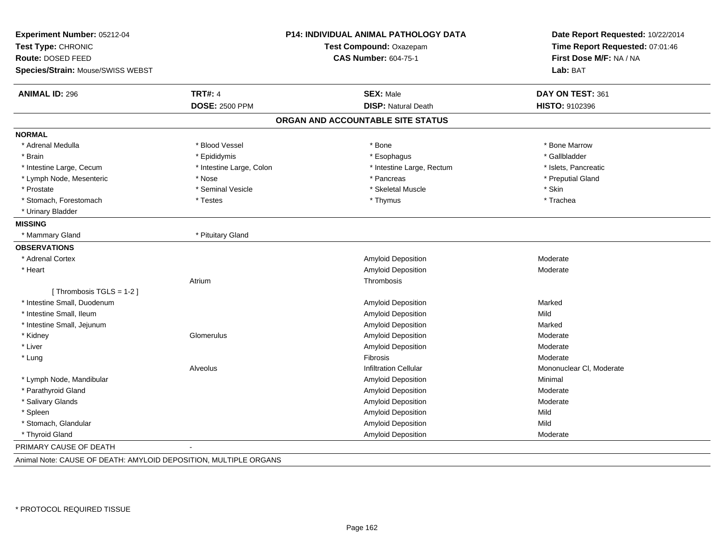| Experiment Number: 05212-04<br>Test Type: CHRONIC<br>Route: DOSED FEED<br>Species/Strain: Mouse/SWISS WEBST | P14: INDIVIDUAL ANIMAL PATHOLOGY DATA<br>Test Compound: Oxazepam<br><b>CAS Number: 604-75-1</b> |                                   | Date Report Requested: 10/22/2014<br>Time Report Requested: 07:01:46<br>First Dose M/F: NA / NA<br>Lab: BAT |
|-------------------------------------------------------------------------------------------------------------|-------------------------------------------------------------------------------------------------|-----------------------------------|-------------------------------------------------------------------------------------------------------------|
|                                                                                                             |                                                                                                 |                                   |                                                                                                             |
| <b>ANIMAL ID: 296</b>                                                                                       | <b>TRT#: 4</b>                                                                                  | <b>SEX: Male</b>                  | DAY ON TEST: 361                                                                                            |
|                                                                                                             | <b>DOSE: 2500 PPM</b>                                                                           | <b>DISP: Natural Death</b>        | HISTO: 9102396                                                                                              |
|                                                                                                             |                                                                                                 | ORGAN AND ACCOUNTABLE SITE STATUS |                                                                                                             |
| <b>NORMAL</b>                                                                                               |                                                                                                 |                                   |                                                                                                             |
| * Adrenal Medulla                                                                                           | * Blood Vessel                                                                                  | * Bone                            | * Bone Marrow                                                                                               |
| * Brain                                                                                                     | * Epididymis                                                                                    | * Esophagus                       | * Gallbladder                                                                                               |
| * Intestine Large, Cecum                                                                                    | * Intestine Large, Colon                                                                        | * Intestine Large, Rectum         | * Islets, Pancreatic                                                                                        |
| * Lymph Node, Mesenteric                                                                                    | * Nose                                                                                          | * Pancreas                        | * Preputial Gland                                                                                           |
| * Prostate                                                                                                  | * Seminal Vesicle                                                                               | * Skeletal Muscle                 | * Skin                                                                                                      |
| * Stomach, Forestomach                                                                                      | * Testes                                                                                        | * Thymus                          | * Trachea                                                                                                   |
| * Urinary Bladder                                                                                           |                                                                                                 |                                   |                                                                                                             |
| <b>MISSING</b>                                                                                              |                                                                                                 |                                   |                                                                                                             |
| * Mammary Gland                                                                                             | * Pituitary Gland                                                                               |                                   |                                                                                                             |
| <b>OBSERVATIONS</b>                                                                                         |                                                                                                 |                                   |                                                                                                             |
| * Adrenal Cortex                                                                                            |                                                                                                 | Amyloid Deposition                | Moderate                                                                                                    |
| * Heart                                                                                                     |                                                                                                 | Amyloid Deposition                | Moderate                                                                                                    |
|                                                                                                             | Atrium                                                                                          | Thrombosis                        |                                                                                                             |
| [Thrombosis TGLS = 1-2]                                                                                     |                                                                                                 |                                   |                                                                                                             |
| * Intestine Small, Duodenum                                                                                 |                                                                                                 | Amyloid Deposition                | Marked                                                                                                      |
| * Intestine Small, Ileum                                                                                    |                                                                                                 | Amyloid Deposition                | Mild                                                                                                        |
| * Intestine Small, Jejunum                                                                                  |                                                                                                 | Amyloid Deposition                | Marked                                                                                                      |
| * Kidney                                                                                                    | Glomerulus                                                                                      | Amyloid Deposition                | Moderate                                                                                                    |
| * Liver                                                                                                     |                                                                                                 | <b>Amyloid Deposition</b>         | Moderate                                                                                                    |
| * Lung                                                                                                      |                                                                                                 | <b>Fibrosis</b>                   | Moderate                                                                                                    |
|                                                                                                             | Alveolus                                                                                        | <b>Infiltration Cellular</b>      | Mononuclear CI, Moderate                                                                                    |
| * Lymph Node, Mandibular                                                                                    |                                                                                                 | <b>Amyloid Deposition</b>         | Minimal                                                                                                     |
| * Parathyroid Gland                                                                                         |                                                                                                 | Amyloid Deposition                | Moderate                                                                                                    |
| * Salivary Glands                                                                                           |                                                                                                 | Amyloid Deposition                | Moderate                                                                                                    |
| * Spleen                                                                                                    |                                                                                                 | <b>Amyloid Deposition</b>         | Mild                                                                                                        |
| * Stomach, Glandular                                                                                        |                                                                                                 | Amyloid Deposition                | Mild                                                                                                        |
| * Thyroid Gland                                                                                             |                                                                                                 | <b>Amyloid Deposition</b>         | Moderate                                                                                                    |
| PRIMARY CAUSE OF DEATH                                                                                      |                                                                                                 |                                   |                                                                                                             |

Animal Note: CAUSE OF DEATH: AMYLOID DEPOSITION, MULTIPLE ORGANS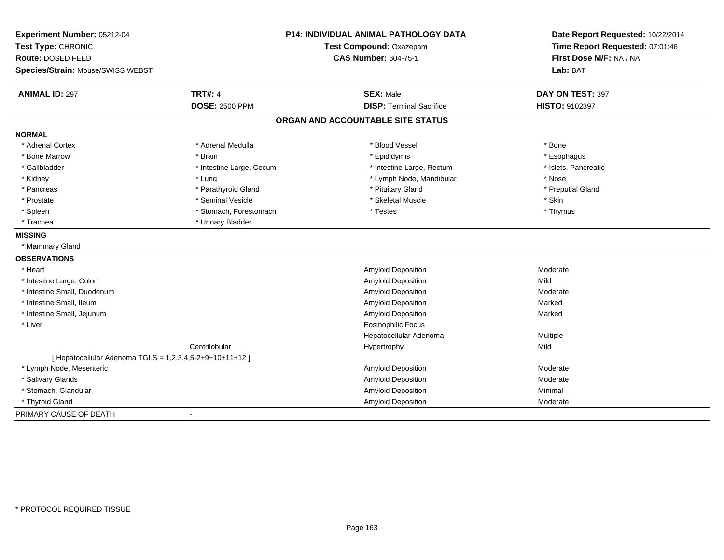| <b>TRT#: 4</b><br><b>ANIMAL ID: 297</b><br><b>SEX: Male</b><br>DAY ON TEST: 397<br><b>DISP: Terminal Sacrifice</b><br><b>DOSE: 2500 PPM</b><br>HISTO: 9102397<br>ORGAN AND ACCOUNTABLE SITE STATUS<br><b>NORMAL</b><br>* Adrenal Cortex<br>* Adrenal Medulla<br>* Blood Vessel<br>* Bone<br>* Bone Marrow<br>* Brain<br>* Epididymis<br>* Esophagus<br>* Gallbladder<br>* Intestine Large, Cecum<br>* Intestine Large, Rectum<br>* Islets, Pancreatic<br>* Lymph Node, Mandibular<br>* Lung<br>* Nose<br>* Kidney<br>* Parathyroid Gland<br>* Pituitary Gland<br>* Preputial Gland<br>* Pancreas<br>* Skeletal Muscle<br>* Seminal Vesicle<br>* Skin<br>* Prostate<br>* Stomach, Forestomach<br>* Testes<br>* Thymus<br>* Spleen<br>* Urinary Bladder<br>* Trachea<br>* Mammary Gland<br>* Heart<br><b>Amyloid Deposition</b><br>Moderate<br>Mild<br>* Intestine Large, Colon<br><b>Amyloid Deposition</b><br>* Intestine Small, Duodenum<br><b>Amyloid Deposition</b><br>Moderate<br>* Intestine Small, Ileum<br><b>Amyloid Deposition</b><br>Marked<br>* Intestine Small, Jejunum<br><b>Amyloid Deposition</b><br>Marked<br>* Liver<br><b>Eosinophilic Focus</b><br>Hepatocellular Adenoma<br>Multiple<br>Centrilobular<br>Mild<br>Hypertrophy<br>[ Hepatocellular Adenoma TGLS = 1,2,3,4,5-2+9+10+11+12 ]<br>* Lymph Node, Mesenteric<br>Amyloid Deposition<br>Moderate<br>* Salivary Glands<br>Amyloid Deposition<br>Moderate<br>* Stomach, Glandular<br>Amyloid Deposition<br>Minimal<br>* Thyroid Gland<br>Amyloid Deposition<br>Moderate<br>$\overline{a}$ | Experiment Number: 05212-04<br>Test Type: CHRONIC<br><b>Route: DOSED FEED</b><br>Species/Strain: Mouse/SWISS WEBST | P14: INDIVIDUAL ANIMAL PATHOLOGY DATA<br>Test Compound: Oxazepam<br><b>CAS Number: 604-75-1</b> |  | Date Report Requested: 10/22/2014<br>Time Report Requested: 07:01:46<br>First Dose M/F: NA / NA<br>Lab: BAT |
|-------------------------------------------------------------------------------------------------------------------------------------------------------------------------------------------------------------------------------------------------------------------------------------------------------------------------------------------------------------------------------------------------------------------------------------------------------------------------------------------------------------------------------------------------------------------------------------------------------------------------------------------------------------------------------------------------------------------------------------------------------------------------------------------------------------------------------------------------------------------------------------------------------------------------------------------------------------------------------------------------------------------------------------------------------------------------------------------------------------------------------------------------------------------------------------------------------------------------------------------------------------------------------------------------------------------------------------------------------------------------------------------------------------------------------------------------------------------------------------------------------------------------------------------------------------------|--------------------------------------------------------------------------------------------------------------------|-------------------------------------------------------------------------------------------------|--|-------------------------------------------------------------------------------------------------------------|
|                                                                                                                                                                                                                                                                                                                                                                                                                                                                                                                                                                                                                                                                                                                                                                                                                                                                                                                                                                                                                                                                                                                                                                                                                                                                                                                                                                                                                                                                                                                                                                   |                                                                                                                    |                                                                                                 |  |                                                                                                             |
|                                                                                                                                                                                                                                                                                                                                                                                                                                                                                                                                                                                                                                                                                                                                                                                                                                                                                                                                                                                                                                                                                                                                                                                                                                                                                                                                                                                                                                                                                                                                                                   |                                                                                                                    |                                                                                                 |  |                                                                                                             |
|                                                                                                                                                                                                                                                                                                                                                                                                                                                                                                                                                                                                                                                                                                                                                                                                                                                                                                                                                                                                                                                                                                                                                                                                                                                                                                                                                                                                                                                                                                                                                                   |                                                                                                                    |                                                                                                 |  |                                                                                                             |
|                                                                                                                                                                                                                                                                                                                                                                                                                                                                                                                                                                                                                                                                                                                                                                                                                                                                                                                                                                                                                                                                                                                                                                                                                                                                                                                                                                                                                                                                                                                                                                   |                                                                                                                    |                                                                                                 |  |                                                                                                             |
|                                                                                                                                                                                                                                                                                                                                                                                                                                                                                                                                                                                                                                                                                                                                                                                                                                                                                                                                                                                                                                                                                                                                                                                                                                                                                                                                                                                                                                                                                                                                                                   |                                                                                                                    |                                                                                                 |  |                                                                                                             |
|                                                                                                                                                                                                                                                                                                                                                                                                                                                                                                                                                                                                                                                                                                                                                                                                                                                                                                                                                                                                                                                                                                                                                                                                                                                                                                                                                                                                                                                                                                                                                                   |                                                                                                                    |                                                                                                 |  |                                                                                                             |
|                                                                                                                                                                                                                                                                                                                                                                                                                                                                                                                                                                                                                                                                                                                                                                                                                                                                                                                                                                                                                                                                                                                                                                                                                                                                                                                                                                                                                                                                                                                                                                   |                                                                                                                    |                                                                                                 |  |                                                                                                             |
|                                                                                                                                                                                                                                                                                                                                                                                                                                                                                                                                                                                                                                                                                                                                                                                                                                                                                                                                                                                                                                                                                                                                                                                                                                                                                                                                                                                                                                                                                                                                                                   |                                                                                                                    |                                                                                                 |  |                                                                                                             |
|                                                                                                                                                                                                                                                                                                                                                                                                                                                                                                                                                                                                                                                                                                                                                                                                                                                                                                                                                                                                                                                                                                                                                                                                                                                                                                                                                                                                                                                                                                                                                                   |                                                                                                                    |                                                                                                 |  |                                                                                                             |
|                                                                                                                                                                                                                                                                                                                                                                                                                                                                                                                                                                                                                                                                                                                                                                                                                                                                                                                                                                                                                                                                                                                                                                                                                                                                                                                                                                                                                                                                                                                                                                   |                                                                                                                    |                                                                                                 |  |                                                                                                             |
|                                                                                                                                                                                                                                                                                                                                                                                                                                                                                                                                                                                                                                                                                                                                                                                                                                                                                                                                                                                                                                                                                                                                                                                                                                                                                                                                                                                                                                                                                                                                                                   |                                                                                                                    |                                                                                                 |  |                                                                                                             |
|                                                                                                                                                                                                                                                                                                                                                                                                                                                                                                                                                                                                                                                                                                                                                                                                                                                                                                                                                                                                                                                                                                                                                                                                                                                                                                                                                                                                                                                                                                                                                                   |                                                                                                                    |                                                                                                 |  |                                                                                                             |
|                                                                                                                                                                                                                                                                                                                                                                                                                                                                                                                                                                                                                                                                                                                                                                                                                                                                                                                                                                                                                                                                                                                                                                                                                                                                                                                                                                                                                                                                                                                                                                   | <b>MISSING</b>                                                                                                     |                                                                                                 |  |                                                                                                             |
|                                                                                                                                                                                                                                                                                                                                                                                                                                                                                                                                                                                                                                                                                                                                                                                                                                                                                                                                                                                                                                                                                                                                                                                                                                                                                                                                                                                                                                                                                                                                                                   |                                                                                                                    |                                                                                                 |  |                                                                                                             |
|                                                                                                                                                                                                                                                                                                                                                                                                                                                                                                                                                                                                                                                                                                                                                                                                                                                                                                                                                                                                                                                                                                                                                                                                                                                                                                                                                                                                                                                                                                                                                                   | <b>OBSERVATIONS</b>                                                                                                |                                                                                                 |  |                                                                                                             |
|                                                                                                                                                                                                                                                                                                                                                                                                                                                                                                                                                                                                                                                                                                                                                                                                                                                                                                                                                                                                                                                                                                                                                                                                                                                                                                                                                                                                                                                                                                                                                                   |                                                                                                                    |                                                                                                 |  |                                                                                                             |
|                                                                                                                                                                                                                                                                                                                                                                                                                                                                                                                                                                                                                                                                                                                                                                                                                                                                                                                                                                                                                                                                                                                                                                                                                                                                                                                                                                                                                                                                                                                                                                   |                                                                                                                    |                                                                                                 |  |                                                                                                             |
|                                                                                                                                                                                                                                                                                                                                                                                                                                                                                                                                                                                                                                                                                                                                                                                                                                                                                                                                                                                                                                                                                                                                                                                                                                                                                                                                                                                                                                                                                                                                                                   |                                                                                                                    |                                                                                                 |  |                                                                                                             |
|                                                                                                                                                                                                                                                                                                                                                                                                                                                                                                                                                                                                                                                                                                                                                                                                                                                                                                                                                                                                                                                                                                                                                                                                                                                                                                                                                                                                                                                                                                                                                                   |                                                                                                                    |                                                                                                 |  |                                                                                                             |
|                                                                                                                                                                                                                                                                                                                                                                                                                                                                                                                                                                                                                                                                                                                                                                                                                                                                                                                                                                                                                                                                                                                                                                                                                                                                                                                                                                                                                                                                                                                                                                   |                                                                                                                    |                                                                                                 |  |                                                                                                             |
|                                                                                                                                                                                                                                                                                                                                                                                                                                                                                                                                                                                                                                                                                                                                                                                                                                                                                                                                                                                                                                                                                                                                                                                                                                                                                                                                                                                                                                                                                                                                                                   |                                                                                                                    |                                                                                                 |  |                                                                                                             |
|                                                                                                                                                                                                                                                                                                                                                                                                                                                                                                                                                                                                                                                                                                                                                                                                                                                                                                                                                                                                                                                                                                                                                                                                                                                                                                                                                                                                                                                                                                                                                                   |                                                                                                                    |                                                                                                 |  |                                                                                                             |
|                                                                                                                                                                                                                                                                                                                                                                                                                                                                                                                                                                                                                                                                                                                                                                                                                                                                                                                                                                                                                                                                                                                                                                                                                                                                                                                                                                                                                                                                                                                                                                   |                                                                                                                    |                                                                                                 |  |                                                                                                             |
|                                                                                                                                                                                                                                                                                                                                                                                                                                                                                                                                                                                                                                                                                                                                                                                                                                                                                                                                                                                                                                                                                                                                                                                                                                                                                                                                                                                                                                                                                                                                                                   |                                                                                                                    |                                                                                                 |  |                                                                                                             |
|                                                                                                                                                                                                                                                                                                                                                                                                                                                                                                                                                                                                                                                                                                                                                                                                                                                                                                                                                                                                                                                                                                                                                                                                                                                                                                                                                                                                                                                                                                                                                                   |                                                                                                                    |                                                                                                 |  |                                                                                                             |
|                                                                                                                                                                                                                                                                                                                                                                                                                                                                                                                                                                                                                                                                                                                                                                                                                                                                                                                                                                                                                                                                                                                                                                                                                                                                                                                                                                                                                                                                                                                                                                   |                                                                                                                    |                                                                                                 |  |                                                                                                             |
|                                                                                                                                                                                                                                                                                                                                                                                                                                                                                                                                                                                                                                                                                                                                                                                                                                                                                                                                                                                                                                                                                                                                                                                                                                                                                                                                                                                                                                                                                                                                                                   |                                                                                                                    |                                                                                                 |  |                                                                                                             |
|                                                                                                                                                                                                                                                                                                                                                                                                                                                                                                                                                                                                                                                                                                                                                                                                                                                                                                                                                                                                                                                                                                                                                                                                                                                                                                                                                                                                                                                                                                                                                                   |                                                                                                                    |                                                                                                 |  |                                                                                                             |
|                                                                                                                                                                                                                                                                                                                                                                                                                                                                                                                                                                                                                                                                                                                                                                                                                                                                                                                                                                                                                                                                                                                                                                                                                                                                                                                                                                                                                                                                                                                                                                   | PRIMARY CAUSE OF DEATH                                                                                             |                                                                                                 |  |                                                                                                             |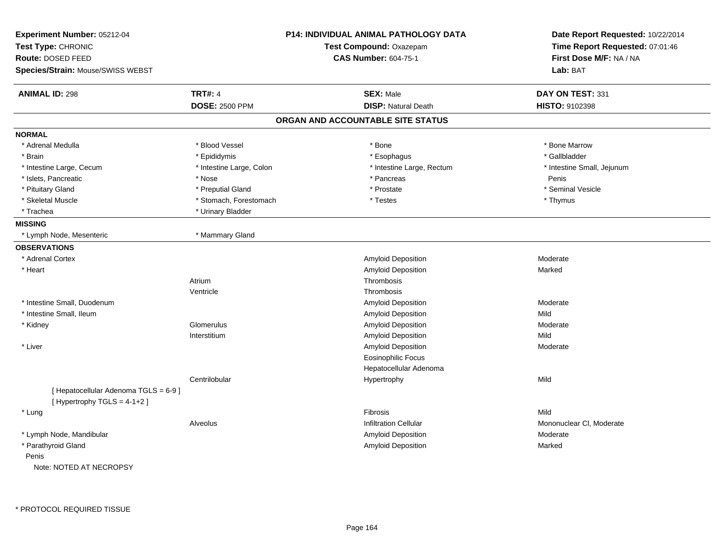| Experiment Number: 05212-04<br>Test Type: CHRONIC<br>Route: DOSED FEED<br>Species/Strain: Mouse/SWISS WEBST |                          | <b>P14: INDIVIDUAL ANIMAL PATHOLOGY DATA</b><br>Test Compound: Oxazepam<br><b>CAS Number: 604-75-1</b> | Date Report Requested: 10/22/2014<br>Time Report Requested: 07:01:46<br>First Dose M/F: NA / NA<br>Lab: BAT |
|-------------------------------------------------------------------------------------------------------------|--------------------------|--------------------------------------------------------------------------------------------------------|-------------------------------------------------------------------------------------------------------------|
|                                                                                                             |                          |                                                                                                        |                                                                                                             |
| <b>ANIMAL ID: 298</b>                                                                                       | <b>TRT#: 4</b>           | <b>SEX: Male</b>                                                                                       | DAY ON TEST: 331                                                                                            |
|                                                                                                             | <b>DOSE: 2500 PPM</b>    | <b>DISP: Natural Death</b>                                                                             | HISTO: 9102398                                                                                              |
|                                                                                                             |                          | ORGAN AND ACCOUNTABLE SITE STATUS                                                                      |                                                                                                             |
| <b>NORMAL</b>                                                                                               |                          |                                                                                                        |                                                                                                             |
| * Adrenal Medulla                                                                                           | * Blood Vessel           | * Bone                                                                                                 | * Bone Marrow                                                                                               |
| * Brain                                                                                                     | * Epididymis             | * Esophagus                                                                                            | * Gallbladder                                                                                               |
| * Intestine Large, Cecum                                                                                    | * Intestine Large, Colon | * Intestine Large, Rectum                                                                              | * Intestine Small, Jejunum                                                                                  |
| * Islets, Pancreatic                                                                                        | * Nose                   | * Pancreas                                                                                             | Penis                                                                                                       |
| * Pituitary Gland                                                                                           | * Preputial Gland        | * Prostate                                                                                             | * Seminal Vesicle                                                                                           |
| * Skeletal Muscle                                                                                           | * Stomach, Forestomach   | * Testes                                                                                               | * Thymus                                                                                                    |
| * Trachea                                                                                                   | * Urinary Bladder        |                                                                                                        |                                                                                                             |
| <b>MISSING</b>                                                                                              |                          |                                                                                                        |                                                                                                             |
| * Lymph Node, Mesenteric                                                                                    | * Mammary Gland          |                                                                                                        |                                                                                                             |
| <b>OBSERVATIONS</b>                                                                                         |                          |                                                                                                        |                                                                                                             |
| * Adrenal Cortex                                                                                            |                          | <b>Amyloid Deposition</b>                                                                              | Moderate                                                                                                    |
| * Heart                                                                                                     |                          | <b>Amyloid Deposition</b>                                                                              | Marked                                                                                                      |
|                                                                                                             | Atrium                   | Thrombosis                                                                                             |                                                                                                             |
|                                                                                                             | Ventricle                | Thrombosis                                                                                             |                                                                                                             |
| * Intestine Small, Duodenum                                                                                 |                          | <b>Amyloid Deposition</b>                                                                              | Moderate                                                                                                    |
| * Intestine Small, Ileum                                                                                    |                          | <b>Amyloid Deposition</b>                                                                              | Mild                                                                                                        |
| * Kidney                                                                                                    | Glomerulus               | <b>Amyloid Deposition</b>                                                                              | Moderate                                                                                                    |
|                                                                                                             | Interstitium             | <b>Amyloid Deposition</b>                                                                              | Mild                                                                                                        |
| * Liver                                                                                                     |                          | <b>Amyloid Deposition</b>                                                                              | Moderate                                                                                                    |
|                                                                                                             |                          | <b>Eosinophilic Focus</b>                                                                              |                                                                                                             |
|                                                                                                             |                          | Hepatocellular Adenoma                                                                                 |                                                                                                             |
|                                                                                                             | Centrilobular            | Hypertrophy                                                                                            | Mild                                                                                                        |
| [ Hepatocellular Adenoma TGLS = 6-9]<br>[Hypertrophy TGLS = $4-1+2$ ]                                       |                          |                                                                                                        |                                                                                                             |
| * Lung                                                                                                      |                          | <b>Fibrosis</b>                                                                                        | Mild                                                                                                        |
|                                                                                                             | Alveolus                 | <b>Infiltration Cellular</b>                                                                           | Mononuclear CI, Moderate                                                                                    |
| * Lymph Node, Mandibular                                                                                    |                          | <b>Amyloid Deposition</b>                                                                              | Moderate                                                                                                    |
| * Parathyroid Gland                                                                                         |                          | Amyloid Deposition                                                                                     | Marked                                                                                                      |
| Penis                                                                                                       |                          |                                                                                                        |                                                                                                             |
| Note: NOTED AT NECROPSY                                                                                     |                          |                                                                                                        |                                                                                                             |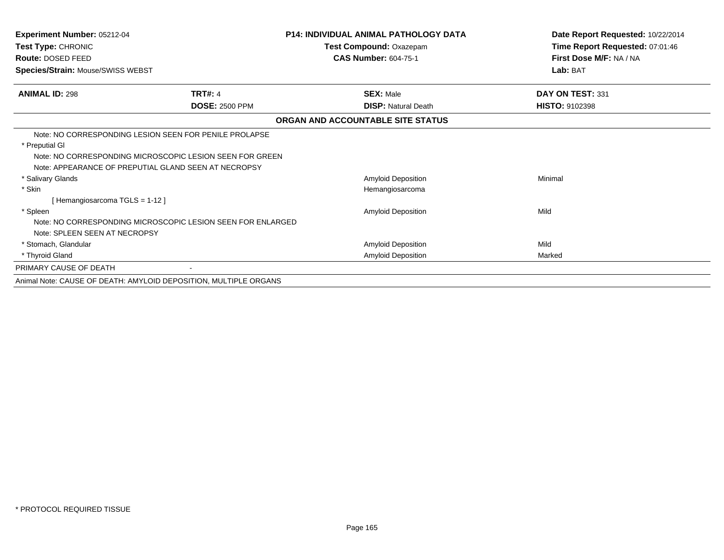| Experiment Number: 05212-04<br>Test Type: CHRONIC<br>Route: DOSED FEED<br>Species/Strain: Mouse/SWISS WEBST                                                                                  |                       | <b>P14: INDIVIDUAL ANIMAL PATHOLOGY DATA</b><br>Test Compound: Oxazepam<br><b>CAS Number: 604-75-1</b> | Date Report Requested: 10/22/2014<br>Time Report Requested: 07:01:46<br>First Dose M/F: NA / NA<br>Lab: BAT |
|----------------------------------------------------------------------------------------------------------------------------------------------------------------------------------------------|-----------------------|--------------------------------------------------------------------------------------------------------|-------------------------------------------------------------------------------------------------------------|
| <b>ANIMAL ID: 298</b>                                                                                                                                                                        | <b>TRT#: 4</b>        | <b>SEX: Male</b>                                                                                       | DAY ON TEST: 331                                                                                            |
|                                                                                                                                                                                              | <b>DOSE: 2500 PPM</b> | <b>DISP: Natural Death</b>                                                                             | <b>HISTO: 9102398</b>                                                                                       |
|                                                                                                                                                                                              |                       | ORGAN AND ACCOUNTABLE SITE STATUS                                                                      |                                                                                                             |
| Note: NO CORRESPONDING LESION SEEN FOR PENILE PROLAPSE<br>* Preputial GI<br>Note: NO CORRESPONDING MICROSCOPIC LESION SEEN FOR GREEN<br>Note: APPEARANCE OF PREPUTIAL GLAND SEEN AT NECROPSY |                       |                                                                                                        |                                                                                                             |
| * Salivary Glands<br>* Skin<br>[Hemangiosarcoma TGLS = 1-12]                                                                                                                                 |                       | Amyloid Deposition<br>Hemangiosarcoma                                                                  | Minimal                                                                                                     |
| * Spleen<br>Note: NO CORRESPONDING MICROSCOPIC LESION SEEN FOR ENLARGED<br>Note: SPLEEN SEEN AT NECROPSY                                                                                     |                       | <b>Amyloid Deposition</b>                                                                              | Mild                                                                                                        |
| * Stomach, Glandular                                                                                                                                                                         |                       | Amyloid Deposition                                                                                     | Mild                                                                                                        |
| * Thyroid Gland                                                                                                                                                                              |                       | <b>Amyloid Deposition</b>                                                                              | Marked                                                                                                      |
| PRIMARY CAUSE OF DEATH                                                                                                                                                                       |                       |                                                                                                        |                                                                                                             |
| Animal Note: CAUSE OF DEATH: AMYLOID DEPOSITION, MULTIPLE ORGANS                                                                                                                             |                       |                                                                                                        |                                                                                                             |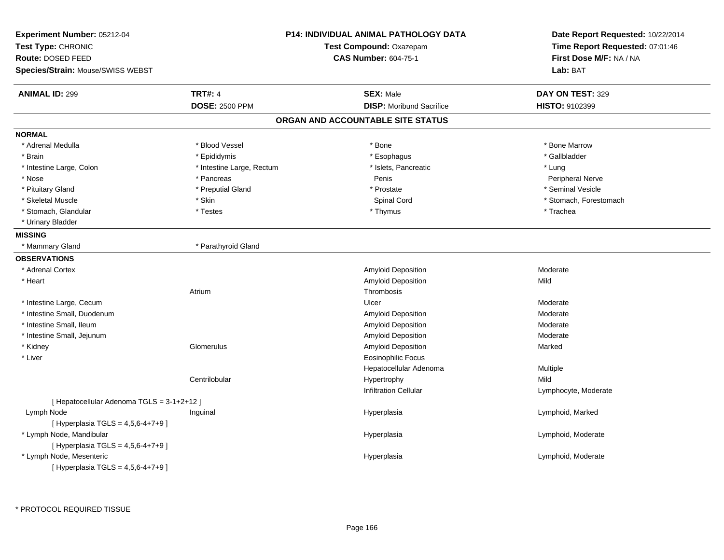| Experiment Number: 05212-04<br>Test Type: CHRONIC<br>Route: DOSED FEED<br>Species/Strain: Mouse/SWISS WEBST |                           | <b>P14: INDIVIDUAL ANIMAL PATHOLOGY DATA</b><br>Test Compound: Oxazepam<br><b>CAS Number: 604-75-1</b> | Date Report Requested: 10/22/2014<br>Time Report Requested: 07:01:46<br>First Dose M/F: NA / NA<br>Lab: BAT |
|-------------------------------------------------------------------------------------------------------------|---------------------------|--------------------------------------------------------------------------------------------------------|-------------------------------------------------------------------------------------------------------------|
| <b>ANIMAL ID: 299</b>                                                                                       | <b>TRT#: 4</b>            | <b>SEX: Male</b>                                                                                       | DAY ON TEST: 329                                                                                            |
|                                                                                                             | <b>DOSE: 2500 PPM</b>     | <b>DISP:</b> Moribund Sacrifice                                                                        | <b>HISTO: 9102399</b>                                                                                       |
|                                                                                                             |                           | ORGAN AND ACCOUNTABLE SITE STATUS                                                                      |                                                                                                             |
| <b>NORMAL</b>                                                                                               |                           |                                                                                                        |                                                                                                             |
| * Adrenal Medulla                                                                                           | * Blood Vessel            | * Bone                                                                                                 | * Bone Marrow                                                                                               |
| * Brain                                                                                                     | * Epididymis              | * Esophagus                                                                                            | * Gallbladder                                                                                               |
| * Intestine Large, Colon                                                                                    | * Intestine Large, Rectum | * Islets, Pancreatic                                                                                   | * Lung                                                                                                      |
| * Nose                                                                                                      | * Pancreas                | Penis                                                                                                  | Peripheral Nerve                                                                                            |
| * Pituitary Gland                                                                                           | * Preputial Gland         | * Prostate                                                                                             | * Seminal Vesicle                                                                                           |
| * Skeletal Muscle                                                                                           | $*$ Skin                  | Spinal Cord                                                                                            | * Stomach, Forestomach                                                                                      |
| * Stomach, Glandular                                                                                        | * Testes                  | * Thymus                                                                                               | * Trachea                                                                                                   |
| * Urinary Bladder                                                                                           |                           |                                                                                                        |                                                                                                             |
| <b>MISSING</b>                                                                                              |                           |                                                                                                        |                                                                                                             |
| * Mammary Gland                                                                                             | * Parathyroid Gland       |                                                                                                        |                                                                                                             |
| <b>OBSERVATIONS</b>                                                                                         |                           |                                                                                                        |                                                                                                             |
| * Adrenal Cortex                                                                                            |                           | Amyloid Deposition                                                                                     | Moderate                                                                                                    |
| * Heart                                                                                                     |                           | Amyloid Deposition                                                                                     | Mild                                                                                                        |
|                                                                                                             | Atrium                    | Thrombosis                                                                                             |                                                                                                             |
| * Intestine Large, Cecum                                                                                    |                           | Ulcer                                                                                                  | Moderate                                                                                                    |
| * Intestine Small, Duodenum                                                                                 |                           | Amyloid Deposition                                                                                     | Moderate                                                                                                    |
| * Intestine Small, Ileum                                                                                    |                           | Amyloid Deposition                                                                                     | Moderate                                                                                                    |
| * Intestine Small, Jejunum                                                                                  |                           | Amyloid Deposition                                                                                     | Moderate                                                                                                    |
| * Kidney                                                                                                    | Glomerulus                | Amyloid Deposition                                                                                     | Marked                                                                                                      |
| * Liver                                                                                                     |                           | Eosinophilic Focus                                                                                     |                                                                                                             |
|                                                                                                             |                           | Hepatocellular Adenoma                                                                                 | Multiple                                                                                                    |
|                                                                                                             | Centrilobular             | Hypertrophy                                                                                            | Mild                                                                                                        |
|                                                                                                             |                           | <b>Infiltration Cellular</b>                                                                           | Lymphocyte, Moderate                                                                                        |
| [ Hepatocellular Adenoma TGLS = 3-1+2+12 ]                                                                  |                           |                                                                                                        |                                                                                                             |
| Lymph Node                                                                                                  | Inguinal                  | Hyperplasia                                                                                            | Lymphoid, Marked                                                                                            |
| [ Hyperplasia TGLS = $4,5,6 - 4 + 7 + 9$ ]                                                                  |                           |                                                                                                        |                                                                                                             |
| * Lymph Node, Mandibular                                                                                    |                           | Hyperplasia                                                                                            | Lymphoid, Moderate                                                                                          |
| [ Hyperplasia TGLS = 4,5,6-4+7+9 ]                                                                          |                           |                                                                                                        |                                                                                                             |
| * Lymph Node, Mesenteric                                                                                    |                           | Hyperplasia                                                                                            | Lymphoid, Moderate                                                                                          |
| [Hyperplasia TGLS = $4,5,6 - 4 + 7 + 9$ ]                                                                   |                           |                                                                                                        |                                                                                                             |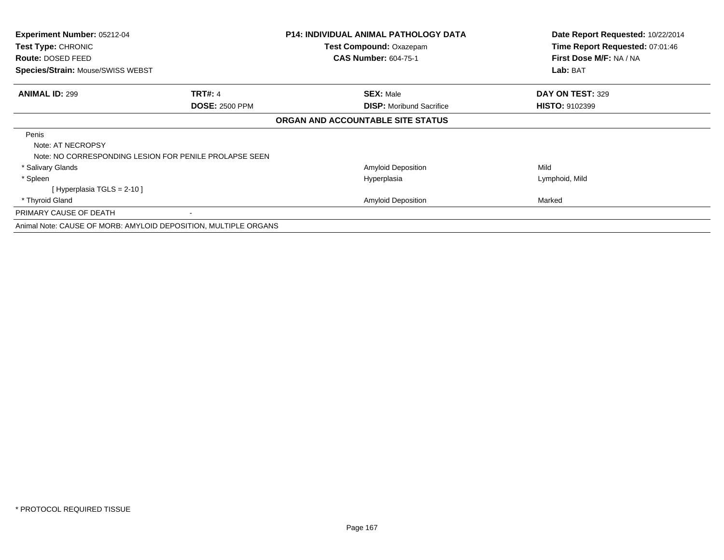| <b>Experiment Number: 05212-04</b><br><b>Test Type: CHRONIC</b><br>Route: DOSED FEED<br>Species/Strain: Mouse/SWISS WEBST |                       | <b>P14: INDIVIDUAL ANIMAL PATHOLOGY DATA</b><br><b>Test Compound: Oxazepam</b><br><b>CAS Number: 604-75-1</b> | Date Report Requested: 10/22/2014<br>Time Report Requested: 07:01:46<br>First Dose M/F: NA / NA<br>Lab: BAT |
|---------------------------------------------------------------------------------------------------------------------------|-----------------------|---------------------------------------------------------------------------------------------------------------|-------------------------------------------------------------------------------------------------------------|
| <b>ANIMAL ID: 299</b>                                                                                                     | <b>TRT#: 4</b>        | <b>SEX: Male</b>                                                                                              | DAY ON TEST: 329                                                                                            |
|                                                                                                                           | <b>DOSE: 2500 PPM</b> | <b>DISP:</b> Moribund Sacrifice                                                                               | <b>HISTO: 9102399</b>                                                                                       |
|                                                                                                                           |                       | ORGAN AND ACCOUNTABLE SITE STATUS                                                                             |                                                                                                             |
| Penis<br>Note: AT NECROPSY<br>Note: NO CORRESPONDING LESION FOR PENILE PROLAPSE SEEN                                      |                       |                                                                                                               |                                                                                                             |
| * Salivary Glands                                                                                                         |                       | <b>Amyloid Deposition</b>                                                                                     | Mild                                                                                                        |
| * Spleen                                                                                                                  |                       | Hyperplasia                                                                                                   | Lymphoid, Mild                                                                                              |
| [Hyperplasia TGLS = $2-10$ ]                                                                                              |                       |                                                                                                               |                                                                                                             |
| * Thyroid Gland                                                                                                           |                       | <b>Amyloid Deposition</b>                                                                                     | Marked                                                                                                      |
| PRIMARY CAUSE OF DEATH                                                                                                    |                       |                                                                                                               |                                                                                                             |
| Animal Note: CAUSE OF MORB: AMYLOID DEPOSITION, MULTIPLE ORGANS                                                           |                       |                                                                                                               |                                                                                                             |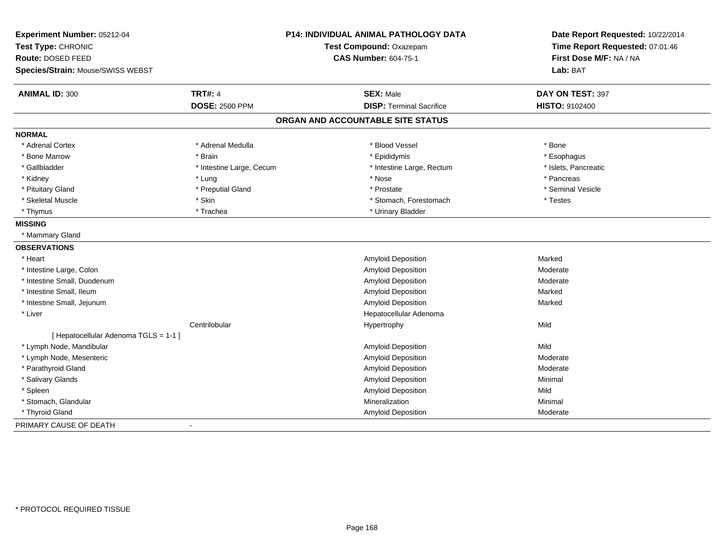| Experiment Number: 05212-04<br>Test Type: CHRONIC<br>Route: DOSED FEED<br>Species/Strain: Mouse/SWISS WEBST |                          | P14: INDIVIDUAL ANIMAL PATHOLOGY DATA<br>Test Compound: Oxazepam<br><b>CAS Number: 604-75-1</b> | Date Report Requested: 10/22/2014<br>Time Report Requested: 07:01:46<br>First Dose M/F: NA / NA<br>Lab: BAT |
|-------------------------------------------------------------------------------------------------------------|--------------------------|-------------------------------------------------------------------------------------------------|-------------------------------------------------------------------------------------------------------------|
|                                                                                                             | <b>TRT#: 4</b>           | <b>SEX: Male</b>                                                                                |                                                                                                             |
| <b>ANIMAL ID: 300</b>                                                                                       | <b>DOSE: 2500 PPM</b>    | <b>DISP: Terminal Sacrifice</b>                                                                 | DAY ON TEST: 397<br><b>HISTO: 9102400</b>                                                                   |
|                                                                                                             |                          | ORGAN AND ACCOUNTABLE SITE STATUS                                                               |                                                                                                             |
| <b>NORMAL</b>                                                                                               |                          |                                                                                                 |                                                                                                             |
| * Adrenal Cortex                                                                                            | * Adrenal Medulla        | * Blood Vessel                                                                                  | * Bone                                                                                                      |
| * Bone Marrow                                                                                               | * Brain                  | * Epididymis                                                                                    | * Esophagus                                                                                                 |
| * Gallbladder                                                                                               | * Intestine Large, Cecum | * Intestine Large, Rectum                                                                       | * Islets, Pancreatic                                                                                        |
| * Kidney                                                                                                    | * Lung                   | * Nose                                                                                          | * Pancreas                                                                                                  |
| * Pituitary Gland                                                                                           | * Preputial Gland        | * Prostate                                                                                      | * Seminal Vesicle                                                                                           |
| * Skeletal Muscle                                                                                           | * Skin                   | * Stomach, Forestomach                                                                          | * Testes                                                                                                    |
| * Thymus                                                                                                    | * Trachea                | * Urinary Bladder                                                                               |                                                                                                             |
| <b>MISSING</b>                                                                                              |                          |                                                                                                 |                                                                                                             |
| * Mammary Gland                                                                                             |                          |                                                                                                 |                                                                                                             |
| <b>OBSERVATIONS</b>                                                                                         |                          |                                                                                                 |                                                                                                             |
| * Heart                                                                                                     |                          | Amyloid Deposition                                                                              | Marked                                                                                                      |
| * Intestine Large, Colon                                                                                    |                          | Amyloid Deposition                                                                              | Moderate                                                                                                    |
| * Intestine Small, Duodenum                                                                                 |                          | <b>Amyloid Deposition</b>                                                                       | Moderate                                                                                                    |
| * Intestine Small, Ileum                                                                                    |                          | <b>Amyloid Deposition</b>                                                                       | Marked                                                                                                      |
| * Intestine Small, Jejunum                                                                                  |                          | <b>Amyloid Deposition</b>                                                                       | Marked                                                                                                      |
| * Liver                                                                                                     |                          | Hepatocellular Adenoma                                                                          |                                                                                                             |
|                                                                                                             | Centrilobular            | Hypertrophy                                                                                     | Mild                                                                                                        |
| [ Hepatocellular Adenoma TGLS = 1-1 ]                                                                       |                          |                                                                                                 |                                                                                                             |
| * Lymph Node, Mandibular                                                                                    |                          | Amyloid Deposition                                                                              | Mild                                                                                                        |
| * Lymph Node, Mesenteric                                                                                    |                          | Amyloid Deposition                                                                              | Moderate                                                                                                    |
| * Parathyroid Gland                                                                                         |                          | Amyloid Deposition                                                                              | Moderate                                                                                                    |
| * Salivary Glands                                                                                           |                          | Amyloid Deposition                                                                              | Minimal                                                                                                     |
| * Spleen                                                                                                    |                          | Amyloid Deposition                                                                              | Mild                                                                                                        |
| * Stomach, Glandular                                                                                        |                          | Mineralization                                                                                  | Minimal                                                                                                     |
| * Thyroid Gland                                                                                             |                          | Amyloid Deposition                                                                              | Moderate                                                                                                    |
| PRIMARY CAUSE OF DEATH                                                                                      |                          |                                                                                                 |                                                                                                             |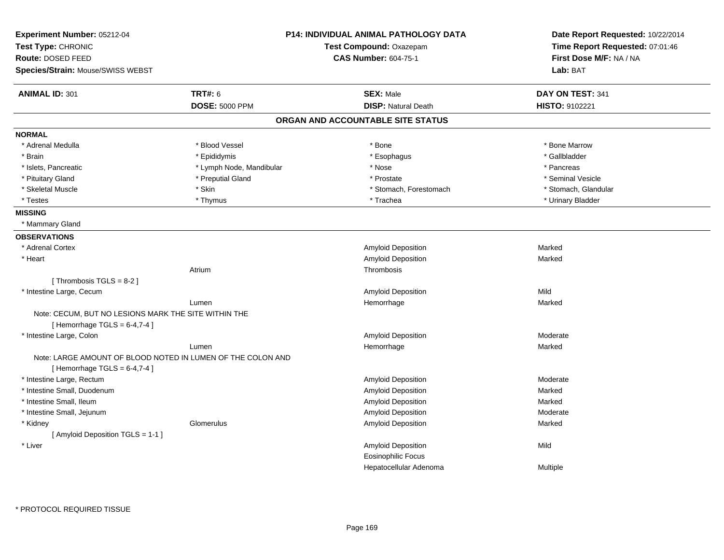| Experiment Number: 05212-04<br>Test Type: CHRONIC                                             |                          | P14: INDIVIDUAL ANIMAL PATHOLOGY DATA<br>Test Compound: Oxazepam | Date Report Requested: 10/22/2014<br>Time Report Requested: 07:01:46 |
|-----------------------------------------------------------------------------------------------|--------------------------|------------------------------------------------------------------|----------------------------------------------------------------------|
| Route: DOSED FEED                                                                             |                          | <b>CAS Number: 604-75-1</b>                                      | First Dose M/F: NA / NA                                              |
| Species/Strain: Mouse/SWISS WEBST                                                             |                          |                                                                  | Lab: BAT                                                             |
| <b>ANIMAL ID: 301</b>                                                                         | <b>TRT#: 6</b>           | <b>SEX: Male</b>                                                 | DAY ON TEST: 341                                                     |
|                                                                                               | <b>DOSE: 5000 PPM</b>    | <b>DISP: Natural Death</b>                                       | HISTO: 9102221                                                       |
|                                                                                               |                          | ORGAN AND ACCOUNTABLE SITE STATUS                                |                                                                      |
| <b>NORMAL</b>                                                                                 |                          |                                                                  |                                                                      |
| * Adrenal Medulla                                                                             | * Blood Vessel           | * Bone                                                           | * Bone Marrow                                                        |
| * Brain                                                                                       | * Epididymis             | * Esophagus                                                      | * Gallbladder                                                        |
| * Islets, Pancreatic                                                                          | * Lymph Node, Mandibular | * Nose                                                           | * Pancreas                                                           |
| * Pituitary Gland                                                                             | * Preputial Gland        | * Prostate                                                       | * Seminal Vesicle                                                    |
| * Skeletal Muscle                                                                             | * Skin                   | * Stomach, Forestomach                                           | * Stomach, Glandular                                                 |
| * Testes                                                                                      | * Thymus                 | * Trachea                                                        | * Urinary Bladder                                                    |
| <b>MISSING</b>                                                                                |                          |                                                                  |                                                                      |
| * Mammary Gland                                                                               |                          |                                                                  |                                                                      |
| <b>OBSERVATIONS</b>                                                                           |                          |                                                                  |                                                                      |
| * Adrenal Cortex                                                                              |                          | Amyloid Deposition                                               | Marked                                                               |
| * Heart                                                                                       |                          | Amyloid Deposition                                               | Marked                                                               |
|                                                                                               | Atrium                   | Thrombosis                                                       |                                                                      |
| [Thrombosis TGLS = $8-2$ ]                                                                    |                          |                                                                  |                                                                      |
| * Intestine Large, Cecum                                                                      |                          | Amyloid Deposition                                               | Mild                                                                 |
|                                                                                               | Lumen                    | Hemorrhage                                                       | Marked                                                               |
| Note: CECUM, BUT NO LESIONS MARK THE SITE WITHIN THE                                          |                          |                                                                  |                                                                      |
| [Hemorrhage TGLS = $6-4,7-4$ ]                                                                |                          |                                                                  |                                                                      |
| * Intestine Large, Colon                                                                      |                          | Amyloid Deposition                                               | Moderate                                                             |
|                                                                                               | Lumen                    | Hemorrhage                                                       | Marked                                                               |
| Note: LARGE AMOUNT OF BLOOD NOTED IN LUMEN OF THE COLON AND<br>[Hemorrhage TGLS = $6-4,7-4$ ] |                          |                                                                  |                                                                      |
| * Intestine Large, Rectum                                                                     |                          | Amyloid Deposition                                               | Moderate                                                             |
| * Intestine Small, Duodenum                                                                   |                          | Amyloid Deposition                                               | Marked                                                               |
| * Intestine Small, Ileum                                                                      |                          | Amyloid Deposition                                               | Marked                                                               |
| * Intestine Small, Jejunum                                                                    |                          | Amyloid Deposition                                               | Moderate                                                             |
| * Kidney                                                                                      | Glomerulus               | <b>Amyloid Deposition</b>                                        | Marked                                                               |
| [Amyloid Deposition TGLS = 1-1]                                                               |                          |                                                                  |                                                                      |
| * Liver                                                                                       |                          | Amyloid Deposition                                               | Mild                                                                 |
|                                                                                               |                          | <b>Eosinophilic Focus</b>                                        |                                                                      |
|                                                                                               |                          | Hepatocellular Adenoma                                           | <b>Multiple</b>                                                      |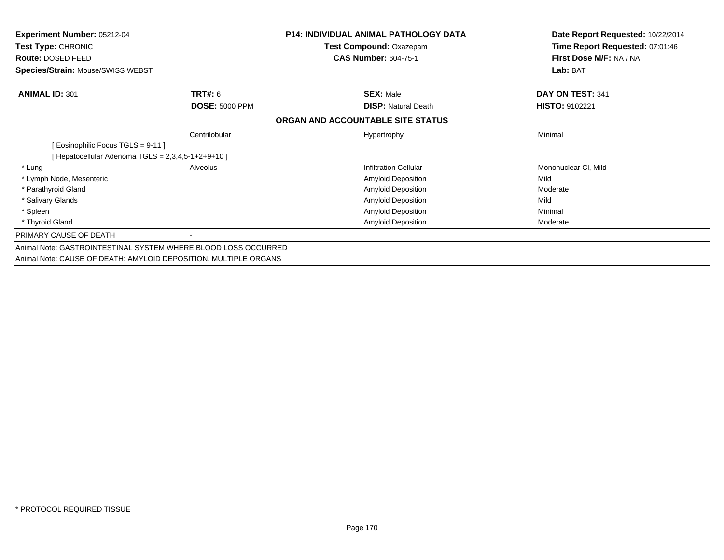| <b>Experiment Number: 05212-04</b>                               |                       | P14: INDIVIDUAL ANIMAL PATHOLOGY DATA | Date Report Requested: 10/22/2014 |
|------------------------------------------------------------------|-----------------------|---------------------------------------|-----------------------------------|
| Test Type: CHRONIC                                               |                       | Test Compound: Oxazepam               | Time Report Requested: 07:01:46   |
| Route: DOSED FEED                                                |                       | <b>CAS Number: 604-75-1</b>           | First Dose M/F: NA / NA           |
| Species/Strain: Mouse/SWISS WEBST                                |                       |                                       | Lab: BAT                          |
| <b>ANIMAL ID: 301</b>                                            | <b>TRT#: 6</b>        | <b>SEX: Male</b>                      | DAY ON TEST: 341                  |
|                                                                  | <b>DOSE: 5000 PPM</b> | <b>DISP: Natural Death</b>            | <b>HISTO: 9102221</b>             |
|                                                                  |                       | ORGAN AND ACCOUNTABLE SITE STATUS     |                                   |
|                                                                  | Centrilobular         | Hypertrophy                           | Minimal                           |
| Eosinophilic Focus TGLS = 9-11 ]                                 |                       |                                       |                                   |
| [Hepatocellular Adenoma TGLS = $2,3,4,5-1+2+9+10$ ]              |                       |                                       |                                   |
| * Lung                                                           | Alveolus              | <b>Infiltration Cellular</b>          | Mononuclear CI, Mild              |
| * Lymph Node, Mesenteric                                         |                       | Amyloid Deposition                    | Mild                              |
| * Parathyroid Gland                                              |                       | <b>Amyloid Deposition</b>             | Moderate                          |
| * Salivary Glands                                                |                       | Amyloid Deposition                    | Mild                              |
| * Spleen                                                         |                       | Amyloid Deposition                    | Minimal                           |
| * Thyroid Gland                                                  |                       | Amyloid Deposition                    | Moderate                          |
| PRIMARY CAUSE OF DEATH                                           |                       |                                       |                                   |
| Animal Note: GASTROINTESTINAL SYSTEM WHERE BLOOD LOSS OCCURRED   |                       |                                       |                                   |
| Animal Note: CAUSE OF DEATH: AMYLOID DEPOSITION, MULTIPLE ORGANS |                       |                                       |                                   |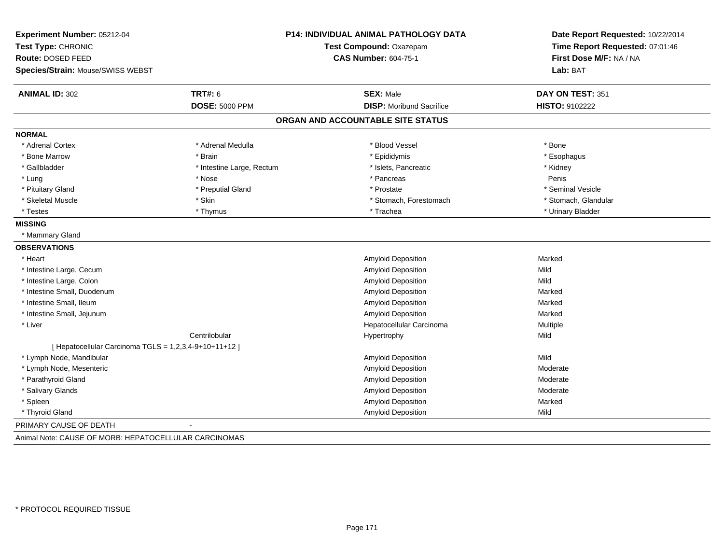| Experiment Number: 05212-04<br>Test Type: CHRONIC<br><b>Route: DOSED FEED</b><br>Species/Strain: Mouse/SWISS WEBST | <b>P14: INDIVIDUAL ANIMAL PATHOLOGY DATA</b><br>Test Compound: Oxazepam<br><b>CAS Number: 604-75-1</b> |                                   | Date Report Requested: 10/22/2014<br>Time Report Requested: 07:01:46<br>First Dose M/F: NA / NA<br>Lab: BAT |
|--------------------------------------------------------------------------------------------------------------------|--------------------------------------------------------------------------------------------------------|-----------------------------------|-------------------------------------------------------------------------------------------------------------|
| <b>ANIMAL ID: 302</b>                                                                                              | <b>TRT#: 6</b>                                                                                         | <b>SEX: Male</b>                  | DAY ON TEST: 351                                                                                            |
|                                                                                                                    | <b>DOSE: 5000 PPM</b>                                                                                  | <b>DISP:</b> Moribund Sacrifice   | HISTO: 9102222                                                                                              |
|                                                                                                                    |                                                                                                        | ORGAN AND ACCOUNTABLE SITE STATUS |                                                                                                             |
| <b>NORMAL</b>                                                                                                      |                                                                                                        |                                   |                                                                                                             |
| * Adrenal Cortex                                                                                                   | * Adrenal Medulla                                                                                      | * Blood Vessel                    | * Bone                                                                                                      |
| * Bone Marrow                                                                                                      | * Brain                                                                                                | * Epididymis                      | * Esophagus                                                                                                 |
| * Gallbladder                                                                                                      | * Intestine Large, Rectum                                                                              | * Islets, Pancreatic              | * Kidney                                                                                                    |
| * Lung                                                                                                             | * Nose                                                                                                 | * Pancreas                        | Penis                                                                                                       |
| * Pituitary Gland                                                                                                  | * Preputial Gland                                                                                      | * Prostate                        | * Seminal Vesicle                                                                                           |
| * Skeletal Muscle                                                                                                  | * Skin                                                                                                 | * Stomach, Forestomach            | * Stomach, Glandular                                                                                        |
| * Testes                                                                                                           | * Thymus                                                                                               | * Trachea                         | * Urinary Bladder                                                                                           |
| <b>MISSING</b>                                                                                                     |                                                                                                        |                                   |                                                                                                             |
| * Mammary Gland                                                                                                    |                                                                                                        |                                   |                                                                                                             |
| <b>OBSERVATIONS</b>                                                                                                |                                                                                                        |                                   |                                                                                                             |
| * Heart                                                                                                            |                                                                                                        | Amyloid Deposition                | Marked                                                                                                      |
| * Intestine Large, Cecum                                                                                           |                                                                                                        | Amyloid Deposition                | Mild                                                                                                        |
| * Intestine Large, Colon                                                                                           |                                                                                                        | Amyloid Deposition                | Mild                                                                                                        |
| * Intestine Small, Duodenum                                                                                        |                                                                                                        | <b>Amyloid Deposition</b>         | Marked                                                                                                      |
| * Intestine Small, Ileum                                                                                           |                                                                                                        | Amyloid Deposition                | Marked                                                                                                      |
| * Intestine Small, Jejunum                                                                                         |                                                                                                        | Amyloid Deposition                | Marked                                                                                                      |
| * Liver                                                                                                            |                                                                                                        | Hepatocellular Carcinoma          | Multiple                                                                                                    |
|                                                                                                                    | Centrilobular                                                                                          | Hypertrophy                       | Mild                                                                                                        |
| [ Hepatocellular Carcinoma TGLS = 1,2,3,4-9+10+11+12 ]                                                             |                                                                                                        |                                   |                                                                                                             |
| * Lymph Node, Mandibular                                                                                           |                                                                                                        | Amyloid Deposition                | Mild                                                                                                        |
| * Lymph Node, Mesenteric                                                                                           |                                                                                                        | Amyloid Deposition                | Moderate                                                                                                    |
| * Parathyroid Gland                                                                                                |                                                                                                        | Amyloid Deposition                | Moderate                                                                                                    |
| * Salivary Glands                                                                                                  |                                                                                                        | Amyloid Deposition                | Moderate                                                                                                    |
| * Spleen                                                                                                           |                                                                                                        | Amyloid Deposition                | Marked                                                                                                      |
| * Thyroid Gland                                                                                                    |                                                                                                        | <b>Amyloid Deposition</b>         | Mild                                                                                                        |
| PRIMARY CAUSE OF DEATH                                                                                             |                                                                                                        |                                   |                                                                                                             |
| Animal Note: CAUSE OF MORB: HEPATOCELLULAR CARCINOMAS                                                              |                                                                                                        |                                   |                                                                                                             |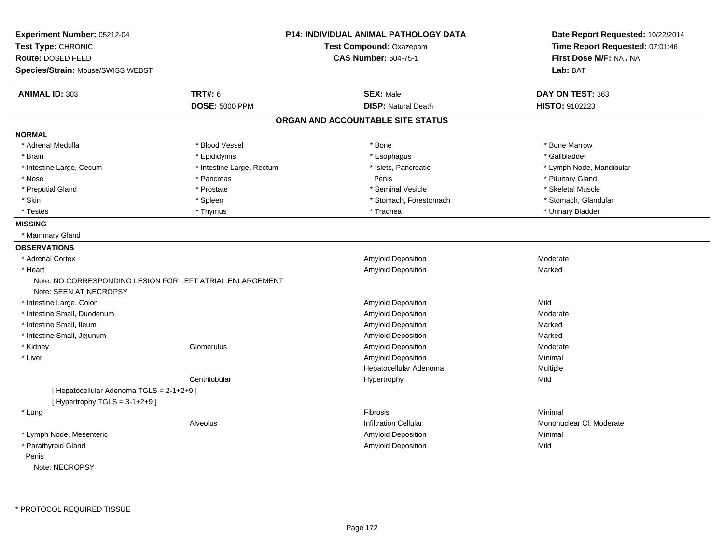| Experiment Number: 05212-04                                                         |                           | P14: INDIVIDUAL ANIMAL PATHOLOGY DATA | Date Report Requested: 10/22/2014<br>Time Report Requested: 07:01:46 |
|-------------------------------------------------------------------------------------|---------------------------|---------------------------------------|----------------------------------------------------------------------|
| Test Type: CHRONIC                                                                  |                           | Test Compound: Oxazepam               |                                                                      |
| <b>Route: DOSED FEED</b>                                                            |                           | <b>CAS Number: 604-75-1</b>           | First Dose M/F: NA / NA                                              |
| Species/Strain: Mouse/SWISS WEBST                                                   |                           |                                       | Lab: BAT                                                             |
| <b>ANIMAL ID: 303</b>                                                               | <b>TRT#: 6</b>            | <b>SEX: Male</b>                      | DAY ON TEST: 363                                                     |
|                                                                                     | <b>DOSE: 5000 PPM</b>     | <b>DISP: Natural Death</b>            | HISTO: 9102223                                                       |
|                                                                                     |                           | ORGAN AND ACCOUNTABLE SITE STATUS     |                                                                      |
| <b>NORMAL</b>                                                                       |                           |                                       |                                                                      |
| * Adrenal Medulla                                                                   | * Blood Vessel            | * Bone                                | * Bone Marrow                                                        |
| * Brain                                                                             | * Epididymis              | * Esophagus                           | * Gallbladder                                                        |
| * Intestine Large, Cecum                                                            | * Intestine Large, Rectum | * Islets, Pancreatic                  | * Lymph Node, Mandibular                                             |
| * Nose                                                                              | * Pancreas                | Penis                                 | * Pituitary Gland                                                    |
| * Preputial Gland                                                                   | * Prostate                | * Seminal Vesicle                     | * Skeletal Muscle                                                    |
| * Skin                                                                              | * Spleen                  | * Stomach, Forestomach                | * Stomach, Glandular                                                 |
| * Testes                                                                            | * Thymus                  | * Trachea                             | * Urinary Bladder                                                    |
| <b>MISSING</b>                                                                      |                           |                                       |                                                                      |
| * Mammary Gland                                                                     |                           |                                       |                                                                      |
| <b>OBSERVATIONS</b>                                                                 |                           |                                       |                                                                      |
| * Adrenal Cortex                                                                    |                           | Amyloid Deposition                    | Moderate                                                             |
| * Heart                                                                             |                           | <b>Amyloid Deposition</b>             | Marked                                                               |
| Note: NO CORRESPONDING LESION FOR LEFT ATRIAL ENLARGEMENT<br>Note: SEEN AT NECROPSY |                           |                                       |                                                                      |
| * Intestine Large, Colon                                                            |                           | Amyloid Deposition                    | Mild                                                                 |
| * Intestine Small, Duodenum                                                         |                           | <b>Amyloid Deposition</b>             | Moderate                                                             |
| * Intestine Small, Ileum                                                            |                           | Amyloid Deposition                    | Marked                                                               |
| * Intestine Small, Jejunum                                                          |                           | Amyloid Deposition                    | Marked                                                               |
| * Kidney                                                                            | Glomerulus                | <b>Amyloid Deposition</b>             | Moderate                                                             |
| * Liver                                                                             |                           | Amyloid Deposition                    | Minimal                                                              |
|                                                                                     |                           | Hepatocellular Adenoma                | Multiple                                                             |
|                                                                                     | Centrilobular             | Hypertrophy                           | Mild                                                                 |
| [ Hepatocellular Adenoma TGLS = 2-1+2+9 ]<br>[Hypertrophy TGLS = $3-1+2+9$ ]        |                           |                                       |                                                                      |
| * Lung                                                                              |                           | Fibrosis                              | Minimal                                                              |
|                                                                                     | Alveolus                  | <b>Infiltration Cellular</b>          | Mononuclear CI, Moderate                                             |
| * Lymph Node, Mesenteric                                                            |                           | Amyloid Deposition                    | Minimal                                                              |
| * Parathyroid Gland                                                                 |                           | <b>Amyloid Deposition</b>             | Mild                                                                 |
| Penis                                                                               |                           |                                       |                                                                      |
|                                                                                     |                           |                                       |                                                                      |

Note: NECROPSY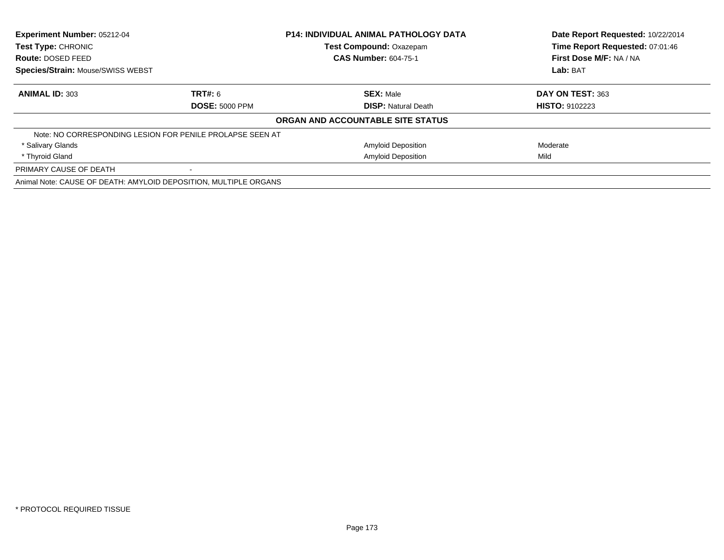| Experiment Number: 05212-04<br>Test Type: CHRONIC                |                       | <b>P14: INDIVIDUAL ANIMAL PATHOLOGY DATA</b> | Date Report Requested: 10/22/2014<br>Time Report Requested: 07:01:46 |  |
|------------------------------------------------------------------|-----------------------|----------------------------------------------|----------------------------------------------------------------------|--|
|                                                                  |                       | Test Compound: Oxazepam                      |                                                                      |  |
| Route: DOSED FEED                                                |                       | <b>CAS Number: 604-75-1</b>                  | <b>First Dose M/F: NA / NA</b>                                       |  |
| <b>Species/Strain: Mouse/SWISS WEBST</b>                         |                       |                                              | Lab: BAT                                                             |  |
| <b>ANIMAL ID: 303</b>                                            | <b>TRT#: 6</b>        | <b>SEX: Male</b>                             | DAY ON TEST: 363                                                     |  |
|                                                                  | <b>DOSE: 5000 PPM</b> | <b>DISP: Natural Death</b>                   | <b>HISTO: 9102223</b>                                                |  |
|                                                                  |                       | ORGAN AND ACCOUNTABLE SITE STATUS            |                                                                      |  |
| Note: NO CORRESPONDING LESION FOR PENILE PROLAPSE SEEN AT        |                       |                                              |                                                                      |  |
| * Salivary Glands                                                |                       | <b>Amyloid Deposition</b>                    | Moderate                                                             |  |
| * Thyroid Gland                                                  |                       | <b>Amyloid Deposition</b>                    | Mild                                                                 |  |
| PRIMARY CAUSE OF DEATH                                           | $\,$                  |                                              |                                                                      |  |
| Animal Note: CAUSE OF DEATH: AMYLOID DEPOSITION, MULTIPLE ORGANS |                       |                                              |                                                                      |  |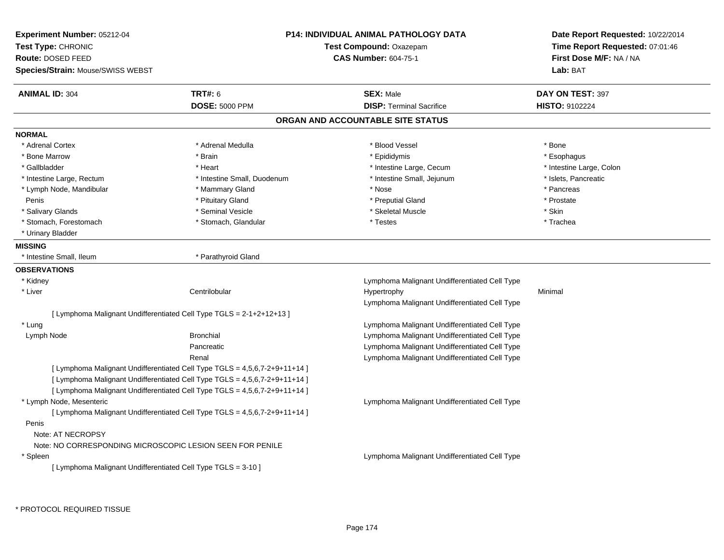| <b>Experiment Number: 05212-04</b>                            |                                                                            | <b>P14: INDIVIDUAL ANIMAL PATHOLOGY DATA</b>  |                                 |  |
|---------------------------------------------------------------|----------------------------------------------------------------------------|-----------------------------------------------|---------------------------------|--|
| Test Type: CHRONIC                                            |                                                                            | Test Compound: Oxazepam                       | Time Report Requested: 07:01:46 |  |
| Route: DOSED FEED                                             |                                                                            | <b>CAS Number: 604-75-1</b>                   | First Dose M/F: NA / NA         |  |
| <b>Species/Strain: Mouse/SWISS WEBST</b>                      |                                                                            |                                               | Lab: BAT                        |  |
| <b>ANIMAL ID: 304</b>                                         | <b>TRT#: 6</b>                                                             | <b>SEX: Male</b>                              | DAY ON TEST: 397                |  |
|                                                               | <b>DOSE: 5000 PPM</b>                                                      | <b>DISP: Terminal Sacrifice</b>               | <b>HISTO: 9102224</b>           |  |
|                                                               |                                                                            | ORGAN AND ACCOUNTABLE SITE STATUS             |                                 |  |
| <b>NORMAL</b>                                                 |                                                                            |                                               |                                 |  |
| * Adrenal Cortex                                              | * Adrenal Medulla                                                          | * Blood Vessel                                | * Bone                          |  |
| * Bone Marrow                                                 | * Brain                                                                    | * Epididymis                                  | * Esophagus                     |  |
| * Gallbladder                                                 | * Heart                                                                    | * Intestine Large, Cecum                      | * Intestine Large, Colon        |  |
| * Intestine Large, Rectum                                     | * Intestine Small, Duodenum                                                | * Intestine Small, Jejunum                    | * Islets, Pancreatic            |  |
| * Lymph Node, Mandibular                                      | * Mammary Gland                                                            | * Nose                                        | * Pancreas                      |  |
| Penis                                                         | * Pituitary Gland                                                          | * Preputial Gland                             | * Prostate                      |  |
| * Salivary Glands                                             | * Seminal Vesicle                                                          | * Skeletal Muscle                             | * Skin                          |  |
| * Stomach, Forestomach                                        | * Stomach, Glandular                                                       | * Testes                                      | * Trachea                       |  |
| * Urinary Bladder                                             |                                                                            |                                               |                                 |  |
| <b>MISSING</b>                                                |                                                                            |                                               |                                 |  |
| * Intestine Small, Ileum                                      | * Parathyroid Gland                                                        |                                               |                                 |  |
| <b>OBSERVATIONS</b>                                           |                                                                            |                                               |                                 |  |
| * Kidney                                                      |                                                                            | Lymphoma Malignant Undifferentiated Cell Type |                                 |  |
| * Liver                                                       | Centrilobular                                                              | Hypertrophy                                   | Minimal                         |  |
|                                                               |                                                                            | Lymphoma Malignant Undifferentiated Cell Type |                                 |  |
|                                                               | [ Lymphoma Malignant Undifferentiated Cell Type TGLS = 2-1+2+12+13 ]       |                                               |                                 |  |
| * Lung                                                        |                                                                            | Lymphoma Malignant Undifferentiated Cell Type |                                 |  |
| Lymph Node                                                    | <b>Bronchial</b>                                                           | Lymphoma Malignant Undifferentiated Cell Type |                                 |  |
|                                                               | Pancreatic                                                                 | Lymphoma Malignant Undifferentiated Cell Type |                                 |  |
|                                                               | Renal                                                                      | Lymphoma Malignant Undifferentiated Cell Type |                                 |  |
|                                                               | [ Lymphoma Malignant Undifferentiated Cell Type TGLS = 4,5,6,7-2+9+11+14 ] |                                               |                                 |  |
|                                                               | [ Lymphoma Malignant Undifferentiated Cell Type TGLS = 4,5,6,7-2+9+11+14 ] |                                               |                                 |  |
|                                                               | [ Lymphoma Malignant Undifferentiated Cell Type TGLS = 4,5,6,7-2+9+11+14 ] |                                               |                                 |  |
| * Lymph Node, Mesenteric                                      |                                                                            | Lymphoma Malignant Undifferentiated Cell Type |                                 |  |
|                                                               | [ Lymphoma Malignant Undifferentiated Cell Type TGLS = 4,5,6,7-2+9+11+14 ] |                                               |                                 |  |
| Penis                                                         |                                                                            |                                               |                                 |  |
| Note: AT NECROPSY                                             |                                                                            |                                               |                                 |  |
| Note: NO CORRESPONDING MICROSCOPIC LESION SEEN FOR PENILE     |                                                                            |                                               |                                 |  |
| $*$ Spleen                                                    |                                                                            | Lymphoma Malignant Undifferentiated Cell Type |                                 |  |
| [ Lymphoma Malignant Undifferentiated Cell Type TGLS = 3-10 ] |                                                                            |                                               |                                 |  |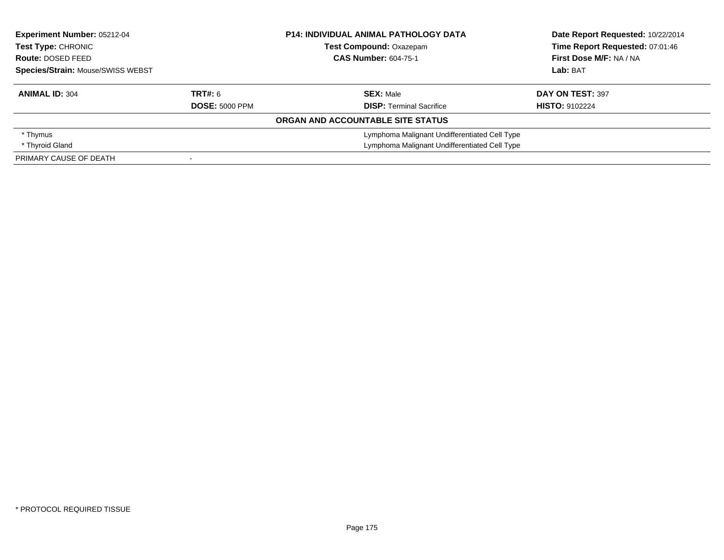| Experiment Number: 05212-04<br><b>Test Type: CHRONIC</b><br>Route: DOSED FEED<br>Species/Strain: Mouse/SWISS WEBST |                       | <b>P14: INDIVIDUAL ANIMAL PATHOLOGY DATA</b>  | Date Report Requested: 10/22/2014 |  |
|--------------------------------------------------------------------------------------------------------------------|-----------------------|-----------------------------------------------|-----------------------------------|--|
|                                                                                                                    |                       | <b>Test Compound: Oxazepam</b>                | Time Report Requested: 07:01:46   |  |
|                                                                                                                    |                       | <b>CAS Number: 604-75-1</b>                   | First Dose M/F: NA / NA           |  |
|                                                                                                                    |                       |                                               | Lab: BAT                          |  |
| <b>ANIMAL ID: 304</b>                                                                                              | <b>TRT#: 6</b>        | <b>SEX: Male</b>                              | DAY ON TEST: 397                  |  |
|                                                                                                                    | <b>DOSE: 5000 PPM</b> | <b>DISP:</b> Terminal Sacrifice               | <b>HISTO: 9102224</b>             |  |
|                                                                                                                    |                       | ORGAN AND ACCOUNTABLE SITE STATUS             |                                   |  |
| * Thymus                                                                                                           |                       | Lymphoma Malignant Undifferentiated Cell Type |                                   |  |
| * Thyroid Gland                                                                                                    |                       | Lymphoma Malignant Undifferentiated Cell Type |                                   |  |
| PRIMARY CAUSE OF DEATH                                                                                             |                       |                                               |                                   |  |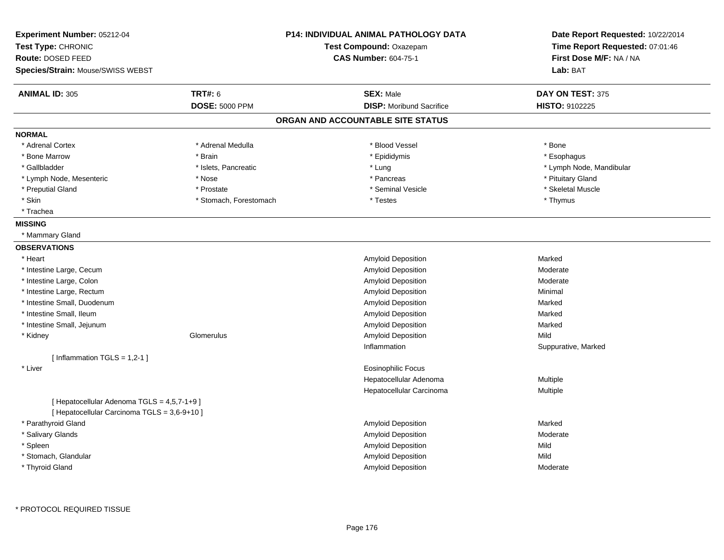| Experiment Number: 05212-04<br>Test Type: CHRONIC |                        | <b>P14: INDIVIDUAL ANIMAL PATHOLOGY DATA</b><br>Test Compound: Oxazepam | Date Report Requested: 10/22/2014<br>Time Report Requested: 07:01:46 |
|---------------------------------------------------|------------------------|-------------------------------------------------------------------------|----------------------------------------------------------------------|
| Route: DOSED FEED                                 |                        | <b>CAS Number: 604-75-1</b>                                             |                                                                      |
|                                                   |                        |                                                                         | First Dose M/F: NA / NA                                              |
| <b>Species/Strain: Mouse/SWISS WEBST</b>          |                        |                                                                         | Lab: BAT                                                             |
| <b>ANIMAL ID: 305</b>                             | TRT#: 6                | <b>SEX: Male</b>                                                        | DAY ON TEST: 375                                                     |
|                                                   | <b>DOSE: 5000 PPM</b>  | <b>DISP:</b> Moribund Sacrifice                                         | HISTO: 9102225                                                       |
|                                                   |                        | ORGAN AND ACCOUNTABLE SITE STATUS                                       |                                                                      |
| <b>NORMAL</b>                                     |                        |                                                                         |                                                                      |
| * Adrenal Cortex                                  | * Adrenal Medulla      | * Blood Vessel                                                          | * Bone                                                               |
| * Bone Marrow                                     | * Brain                | * Epididymis                                                            | * Esophagus                                                          |
| * Gallbladder                                     | * Islets, Pancreatic   | * Lung                                                                  | * Lymph Node, Mandibular                                             |
| * Lymph Node, Mesenteric                          | * Nose                 | * Pancreas                                                              | * Pituitary Gland                                                    |
| * Preputial Gland                                 | * Prostate             | * Seminal Vesicle                                                       | * Skeletal Muscle                                                    |
| * Skin                                            | * Stomach, Forestomach | * Testes                                                                | * Thymus                                                             |
| * Trachea                                         |                        |                                                                         |                                                                      |
| <b>MISSING</b>                                    |                        |                                                                         |                                                                      |
| * Mammary Gland                                   |                        |                                                                         |                                                                      |
| <b>OBSERVATIONS</b>                               |                        |                                                                         |                                                                      |
| * Heart                                           |                        | Amyloid Deposition                                                      | Marked                                                               |
| * Intestine Large, Cecum                          |                        | Amyloid Deposition                                                      | Moderate                                                             |
| * Intestine Large, Colon                          |                        | <b>Amyloid Deposition</b>                                               | Moderate                                                             |
| * Intestine Large, Rectum                         |                        | <b>Amyloid Deposition</b>                                               | Minimal                                                              |
| * Intestine Small, Duodenum                       |                        | <b>Amyloid Deposition</b>                                               | Marked                                                               |
| * Intestine Small, Ileum                          |                        | <b>Amyloid Deposition</b>                                               | Marked                                                               |
| * Intestine Small, Jejunum                        |                        | <b>Amyloid Deposition</b>                                               | Marked                                                               |
| * Kidney                                          | Glomerulus             | Amyloid Deposition                                                      | Mild                                                                 |
|                                                   |                        | Inflammation                                                            | Suppurative, Marked                                                  |
| [Inflammation TGLS = $1,2-1$ ]                    |                        |                                                                         |                                                                      |
| * Liver                                           |                        | Eosinophilic Focus                                                      |                                                                      |
|                                                   |                        | Hepatocellular Adenoma                                                  | Multiple                                                             |
|                                                   |                        | Hepatocellular Carcinoma                                                | Multiple                                                             |
| [ Hepatocellular Adenoma TGLS = 4,5,7-1+9 ]       |                        |                                                                         |                                                                      |
| [ Hepatocellular Carcinoma TGLS = 3,6-9+10 ]      |                        |                                                                         |                                                                      |
| * Parathyroid Gland                               |                        | Amyloid Deposition                                                      | Marked                                                               |
| * Salivary Glands                                 |                        | Amyloid Deposition                                                      | Moderate                                                             |
| * Spleen                                          |                        | Amyloid Deposition                                                      | Mild                                                                 |
| * Stomach, Glandular                              |                        | Amyloid Deposition                                                      | Mild                                                                 |
| * Thyroid Gland                                   |                        | Amyloid Deposition                                                      | Moderate                                                             |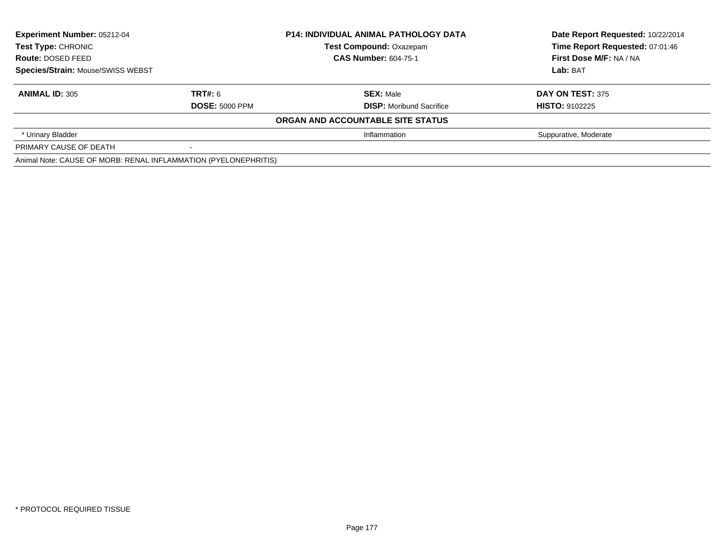| <b>Experiment Number: 05212-04</b><br>Test Type: CHRONIC<br>Route: DOSED FEED<br>Species/Strain: Mouse/SWISS WEBST |                       | <b>P14: INDIVIDUAL ANIMAL PATHOLOGY DATA</b> | Date Report Requested: 10/22/2014 |  |
|--------------------------------------------------------------------------------------------------------------------|-----------------------|----------------------------------------------|-----------------------------------|--|
|                                                                                                                    |                       | <b>Test Compound: Oxazepam</b>               | Time Report Requested: 07:01:46   |  |
|                                                                                                                    |                       | <b>CAS Number: 604-75-1</b>                  | First Dose M/F: NA / NA           |  |
|                                                                                                                    |                       |                                              | Lab: BAT                          |  |
| <b>ANIMAL ID: 305</b>                                                                                              | TRT#: 6               | <b>SEX: Male</b>                             | <b>DAY ON TEST: 375</b>           |  |
|                                                                                                                    | <b>DOSE: 5000 PPM</b> | <b>DISP:</b> Moribund Sacrifice              | <b>HISTO: 9102225</b>             |  |
|                                                                                                                    |                       | ORGAN AND ACCOUNTABLE SITE STATUS            |                                   |  |
| * Urinary Bladder                                                                                                  |                       | Inflammation                                 | Suppurative, Moderate             |  |
| PRIMARY CAUSE OF DEATH                                                                                             |                       |                                              |                                   |  |
| Animal Note: CAUSE OF MORB: RENAL INFLAMMATION (PYELONEPHRITIS)                                                    |                       |                                              |                                   |  |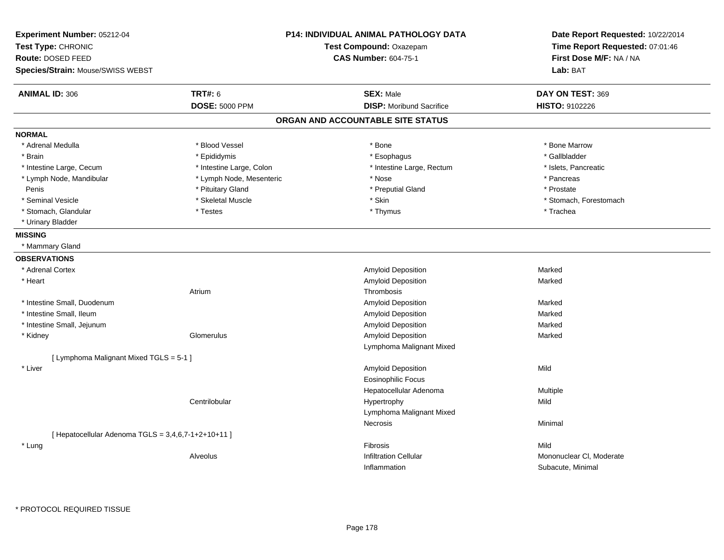| Experiment Number: 05212-04<br>Test Type: CHRONIC<br><b>Route: DOSED FEED</b><br><b>Species/Strain: Mouse/SWISS WEBST</b> |                          | <b>P14: INDIVIDUAL ANIMAL PATHOLOGY DATA</b><br>Test Compound: Oxazepam<br><b>CAS Number: 604-75-1</b> | Date Report Requested: 10/22/2014<br>Time Report Requested: 07:01:46<br>First Dose M/F: NA / NA<br>Lab: BAT |
|---------------------------------------------------------------------------------------------------------------------------|--------------------------|--------------------------------------------------------------------------------------------------------|-------------------------------------------------------------------------------------------------------------|
| <b>ANIMAL ID: 306</b>                                                                                                     | <b>TRT#: 6</b>           | <b>SEX: Male</b>                                                                                       | DAY ON TEST: 369                                                                                            |
|                                                                                                                           | <b>DOSE: 5000 PPM</b>    | <b>DISP:</b> Moribund Sacrifice                                                                        | <b>HISTO: 9102226</b>                                                                                       |
|                                                                                                                           |                          | ORGAN AND ACCOUNTABLE SITE STATUS                                                                      |                                                                                                             |
| <b>NORMAL</b>                                                                                                             |                          |                                                                                                        |                                                                                                             |
| * Adrenal Medulla                                                                                                         | * Blood Vessel           | * Bone                                                                                                 | * Bone Marrow                                                                                               |
| * Brain                                                                                                                   | * Epididymis             | * Esophagus                                                                                            | * Gallbladder                                                                                               |
| * Intestine Large, Cecum                                                                                                  | * Intestine Large, Colon | * Intestine Large, Rectum                                                                              | * Islets, Pancreatic                                                                                        |
| * Lymph Node, Mandibular                                                                                                  | * Lymph Node, Mesenteric | * Nose                                                                                                 | * Pancreas                                                                                                  |
| Penis                                                                                                                     | * Pituitary Gland        | * Preputial Gland                                                                                      | * Prostate                                                                                                  |
| * Seminal Vesicle                                                                                                         | * Skeletal Muscle        | * Skin                                                                                                 | * Stomach, Forestomach                                                                                      |
| * Stomach, Glandular                                                                                                      | * Testes                 | * Thymus                                                                                               | * Trachea                                                                                                   |
| * Urinary Bladder                                                                                                         |                          |                                                                                                        |                                                                                                             |
| <b>MISSING</b>                                                                                                            |                          |                                                                                                        |                                                                                                             |
| * Mammary Gland                                                                                                           |                          |                                                                                                        |                                                                                                             |
| <b>OBSERVATIONS</b>                                                                                                       |                          |                                                                                                        |                                                                                                             |
| * Adrenal Cortex                                                                                                          |                          | Amyloid Deposition                                                                                     | Marked                                                                                                      |
| * Heart                                                                                                                   |                          | Amyloid Deposition                                                                                     | Marked                                                                                                      |
|                                                                                                                           | Atrium                   | Thrombosis                                                                                             |                                                                                                             |
| * Intestine Small, Duodenum                                                                                               |                          | <b>Amyloid Deposition</b>                                                                              | Marked                                                                                                      |
| * Intestine Small, Ileum                                                                                                  |                          | Amyloid Deposition                                                                                     | Marked                                                                                                      |
| * Intestine Small, Jejunum                                                                                                |                          | Amyloid Deposition                                                                                     | Marked                                                                                                      |
| * Kidney                                                                                                                  | Glomerulus               | Amyloid Deposition                                                                                     | Marked                                                                                                      |
|                                                                                                                           |                          | Lymphoma Malignant Mixed                                                                               |                                                                                                             |
| [ Lymphoma Malignant Mixed TGLS = 5-1 ]                                                                                   |                          |                                                                                                        |                                                                                                             |
| * Liver                                                                                                                   |                          | Amyloid Deposition                                                                                     | Mild                                                                                                        |
|                                                                                                                           |                          | <b>Eosinophilic Focus</b>                                                                              |                                                                                                             |
|                                                                                                                           |                          | Hepatocellular Adenoma                                                                                 | Multiple                                                                                                    |
|                                                                                                                           | Centrilobular            | Hypertrophy                                                                                            | Mild                                                                                                        |
|                                                                                                                           |                          | Lymphoma Malignant Mixed                                                                               |                                                                                                             |
|                                                                                                                           |                          | Necrosis                                                                                               | Minimal                                                                                                     |
| [ Hepatocellular Adenoma TGLS = $3,4,6,7-1+2+10+11$ ]                                                                     |                          |                                                                                                        |                                                                                                             |
| * Lung                                                                                                                    |                          | Fibrosis                                                                                               | Mild                                                                                                        |
|                                                                                                                           | Alveolus                 | <b>Infiltration Cellular</b>                                                                           | Mononuclear CI, Moderate                                                                                    |
|                                                                                                                           |                          | Inflammation                                                                                           | Subacute, Minimal                                                                                           |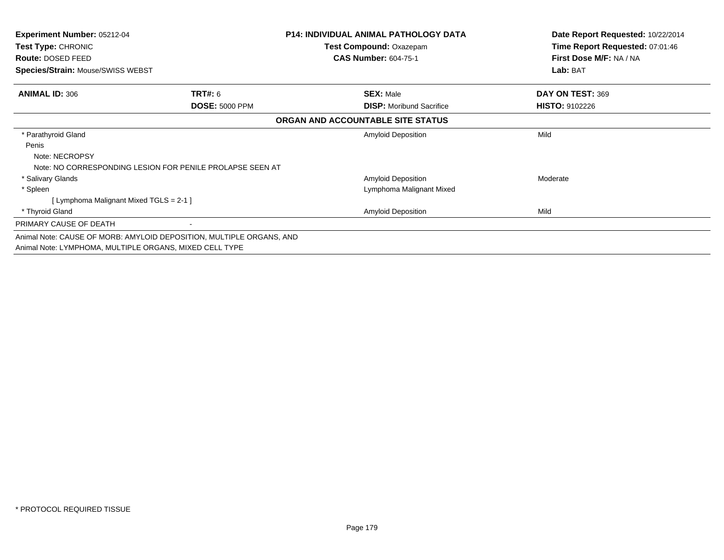| <b>Experiment Number: 05212-04</b><br>Test Type: CHRONIC |                                                                      | <b>P14: INDIVIDUAL ANIMAL PATHOLOGY DATA</b> | Date Report Requested: 10/22/2014<br>Time Report Requested: 07:01:46 |
|----------------------------------------------------------|----------------------------------------------------------------------|----------------------------------------------|----------------------------------------------------------------------|
|                                                          |                                                                      | Test Compound: Oxazepam                      |                                                                      |
| Route: DOSED FEED                                        |                                                                      | <b>CAS Number: 604-75-1</b>                  | First Dose M/F: NA / NA                                              |
| <b>Species/Strain: Mouse/SWISS WEBST</b>                 |                                                                      |                                              | Lab: BAT                                                             |
| <b>ANIMAL ID: 306</b>                                    | TRT#: 6                                                              | <b>SEX: Male</b>                             | DAY ON TEST: 369                                                     |
|                                                          | <b>DOSE: 5000 PPM</b>                                                | <b>DISP:</b> Moribund Sacrifice              | <b>HISTO: 9102226</b>                                                |
|                                                          |                                                                      | ORGAN AND ACCOUNTABLE SITE STATUS            |                                                                      |
| * Parathyroid Gland                                      |                                                                      | <b>Amyloid Deposition</b>                    | Mild                                                                 |
| Penis                                                    |                                                                      |                                              |                                                                      |
| Note: NECROPSY                                           |                                                                      |                                              |                                                                      |
|                                                          | Note: NO CORRESPONDING LESION FOR PENILE PROLAPSE SEEN AT            |                                              |                                                                      |
| * Salivary Glands                                        |                                                                      | Amyloid Deposition                           | Moderate                                                             |
| * Spleen                                                 |                                                                      | Lymphoma Malignant Mixed                     |                                                                      |
| [ Lymphoma Malignant Mixed TGLS = 2-1 ]                  |                                                                      |                                              |                                                                      |
| * Thyroid Gland                                          |                                                                      | <b>Amyloid Deposition</b>                    | Mild                                                                 |
| PRIMARY CAUSE OF DEATH                                   |                                                                      |                                              |                                                                      |
|                                                          | Animal Note: CAUSE OF MORB: AMYLOID DEPOSITION, MULTIPLE ORGANS, AND |                                              |                                                                      |
| Animal Note: LYMPHOMA, MULTIPLE ORGANS, MIXED CELL TYPE  |                                                                      |                                              |                                                                      |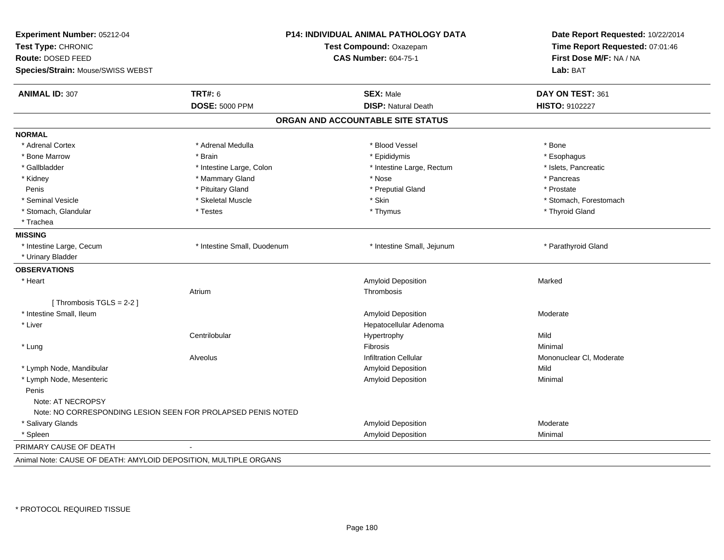| Experiment Number: 05212-04<br>Test Type: CHRONIC<br>Route: DOSED FEED<br>Species/Strain: Mouse/SWISS WEBST | <b>P14: INDIVIDUAL ANIMAL PATHOLOGY DATA</b><br>Test Compound: Oxazepam<br><b>CAS Number: 604-75-1</b> |                                   | Date Report Requested: 10/22/2014<br>Time Report Requested: 07:01:46<br>First Dose M/F: NA / NA<br>Lab: BAT |
|-------------------------------------------------------------------------------------------------------------|--------------------------------------------------------------------------------------------------------|-----------------------------------|-------------------------------------------------------------------------------------------------------------|
| <b>ANIMAL ID: 307</b>                                                                                       | <b>TRT#: 6</b>                                                                                         | <b>SEX: Male</b>                  | DAY ON TEST: 361                                                                                            |
|                                                                                                             | <b>DOSE: 5000 PPM</b>                                                                                  | <b>DISP: Natural Death</b>        | HISTO: 9102227                                                                                              |
|                                                                                                             |                                                                                                        | ORGAN AND ACCOUNTABLE SITE STATUS |                                                                                                             |
| <b>NORMAL</b>                                                                                               |                                                                                                        |                                   |                                                                                                             |
| * Adrenal Cortex                                                                                            | * Adrenal Medulla                                                                                      | * Blood Vessel                    | * Bone                                                                                                      |
| * Bone Marrow                                                                                               | * Brain                                                                                                | * Epididymis                      | * Esophagus                                                                                                 |
| * Gallbladder                                                                                               | * Intestine Large, Colon                                                                               | * Intestine Large, Rectum         | * Islets, Pancreatic                                                                                        |
| * Kidney                                                                                                    | * Mammary Gland                                                                                        | * Nose                            | * Pancreas                                                                                                  |
| Penis                                                                                                       | * Pituitary Gland                                                                                      | * Preputial Gland                 | * Prostate                                                                                                  |
| * Seminal Vesicle                                                                                           | * Skeletal Muscle                                                                                      | * Skin                            | * Stomach, Forestomach                                                                                      |
| * Stomach, Glandular                                                                                        | * Testes                                                                                               | * Thymus                          | * Thyroid Gland                                                                                             |
| * Trachea                                                                                                   |                                                                                                        |                                   |                                                                                                             |
| <b>MISSING</b>                                                                                              |                                                                                                        |                                   |                                                                                                             |
| * Intestine Large, Cecum                                                                                    | * Intestine Small, Duodenum                                                                            | * Intestine Small, Jejunum        | * Parathyroid Gland                                                                                         |
| * Urinary Bladder                                                                                           |                                                                                                        |                                   |                                                                                                             |
| <b>OBSERVATIONS</b>                                                                                         |                                                                                                        |                                   |                                                                                                             |
| * Heart                                                                                                     |                                                                                                        | <b>Amyloid Deposition</b>         | Marked                                                                                                      |
|                                                                                                             | Atrium                                                                                                 | Thrombosis                        |                                                                                                             |
| [Thrombosis TGLS = $2-2$ ]                                                                                  |                                                                                                        |                                   |                                                                                                             |
| * Intestine Small, Ileum                                                                                    |                                                                                                        | Amyloid Deposition                | Moderate                                                                                                    |
| * Liver                                                                                                     |                                                                                                        | Hepatocellular Adenoma            |                                                                                                             |
|                                                                                                             | Centrilobular                                                                                          | Hypertrophy                       | Mild                                                                                                        |
| * Lung                                                                                                      |                                                                                                        | Fibrosis                          | Minimal                                                                                                     |
|                                                                                                             | Alveolus                                                                                               | <b>Infiltration Cellular</b>      | Mononuclear CI, Moderate                                                                                    |
| * Lymph Node, Mandibular                                                                                    |                                                                                                        | Amyloid Deposition                | Mild                                                                                                        |
| * Lymph Node, Mesenteric                                                                                    |                                                                                                        | Amyloid Deposition                | Minimal                                                                                                     |
| Penis                                                                                                       |                                                                                                        |                                   |                                                                                                             |
| Note: AT NECROPSY                                                                                           |                                                                                                        |                                   |                                                                                                             |
| Note: NO CORRESPONDING LESION SEEN FOR PROLAPSED PENIS NOTED                                                |                                                                                                        |                                   |                                                                                                             |
| * Salivary Glands                                                                                           |                                                                                                        | Amyloid Deposition                | Moderate                                                                                                    |
| * Spleen                                                                                                    |                                                                                                        | <b>Amyloid Deposition</b>         | Minimal                                                                                                     |
| PRIMARY CAUSE OF DEATH                                                                                      |                                                                                                        |                                   |                                                                                                             |
| Animal Note: CAUSE OF DEATH: AMYLOID DEPOSITION, MULTIPLE ORGANS                                            |                                                                                                        |                                   |                                                                                                             |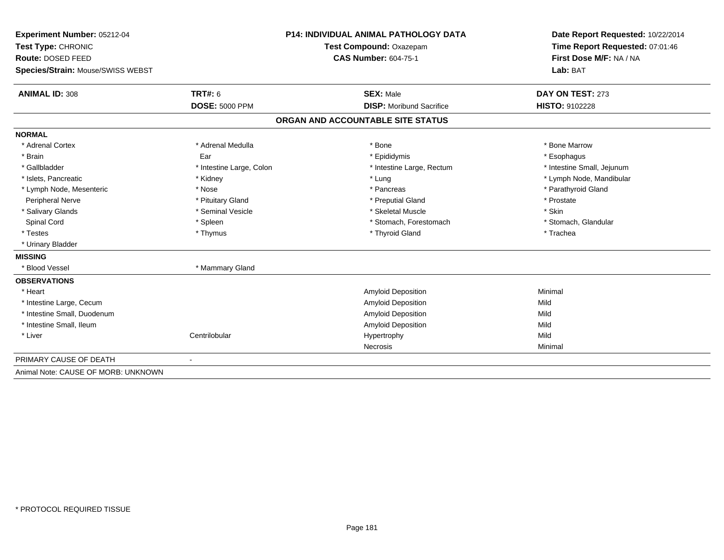| Experiment Number: 05212-04         | <b>P14: INDIVIDUAL ANIMAL PATHOLOGY DATA</b><br>Test Compound: Oxazepam |                                   | Date Report Requested: 10/22/2014 |  |
|-------------------------------------|-------------------------------------------------------------------------|-----------------------------------|-----------------------------------|--|
| Test Type: CHRONIC                  |                                                                         |                                   | Time Report Requested: 07:01:46   |  |
| Route: DOSED FEED                   |                                                                         | <b>CAS Number: 604-75-1</b>       | First Dose M/F: NA / NA           |  |
| Species/Strain: Mouse/SWISS WEBST   |                                                                         |                                   | Lab: BAT                          |  |
| <b>ANIMAL ID: 308</b>               | TRT#: 6                                                                 | <b>SEX: Male</b>                  | DAY ON TEST: 273                  |  |
|                                     | <b>DOSE: 5000 PPM</b>                                                   | <b>DISP:</b> Moribund Sacrifice   | <b>HISTO: 9102228</b>             |  |
|                                     |                                                                         | ORGAN AND ACCOUNTABLE SITE STATUS |                                   |  |
| <b>NORMAL</b>                       |                                                                         |                                   |                                   |  |
| * Adrenal Cortex                    | * Adrenal Medulla                                                       | * Bone                            | * Bone Marrow                     |  |
| * Brain                             | Ear                                                                     | * Epididymis                      | * Esophagus                       |  |
| * Gallbladder                       | * Intestine Large, Colon                                                | * Intestine Large, Rectum         | * Intestine Small, Jejunum        |  |
| * Islets, Pancreatic                | * Kidney                                                                | * Lung                            | * Lymph Node, Mandibular          |  |
| * Lymph Node, Mesenteric            | * Nose                                                                  | * Pancreas                        | * Parathyroid Gland               |  |
| Peripheral Nerve                    | * Pituitary Gland                                                       | * Preputial Gland                 | * Prostate                        |  |
| * Salivary Glands                   | * Seminal Vesicle                                                       | * Skeletal Muscle                 | * Skin                            |  |
| <b>Spinal Cord</b>                  | * Spleen                                                                | * Stomach, Forestomach            | * Stomach, Glandular              |  |
| * Testes                            | * Thymus                                                                | * Thyroid Gland                   | * Trachea                         |  |
| * Urinary Bladder                   |                                                                         |                                   |                                   |  |
| <b>MISSING</b>                      |                                                                         |                                   |                                   |  |
| * Blood Vessel                      | * Mammary Gland                                                         |                                   |                                   |  |
| <b>OBSERVATIONS</b>                 |                                                                         |                                   |                                   |  |
| * Heart                             |                                                                         | <b>Amyloid Deposition</b>         | Minimal                           |  |
| * Intestine Large, Cecum            |                                                                         | Amyloid Deposition                | Mild                              |  |
| * Intestine Small, Duodenum         |                                                                         | <b>Amyloid Deposition</b>         | Mild                              |  |
| * Intestine Small, Ileum            |                                                                         | <b>Amyloid Deposition</b>         | Mild                              |  |
| * Liver                             | Centrilobular                                                           | Hypertrophy                       | Mild                              |  |
|                                     |                                                                         | Necrosis                          | Minimal                           |  |
| PRIMARY CAUSE OF DEATH              |                                                                         |                                   |                                   |  |
| Animal Note: CAUSE OF MORB: UNKNOWN |                                                                         |                                   |                                   |  |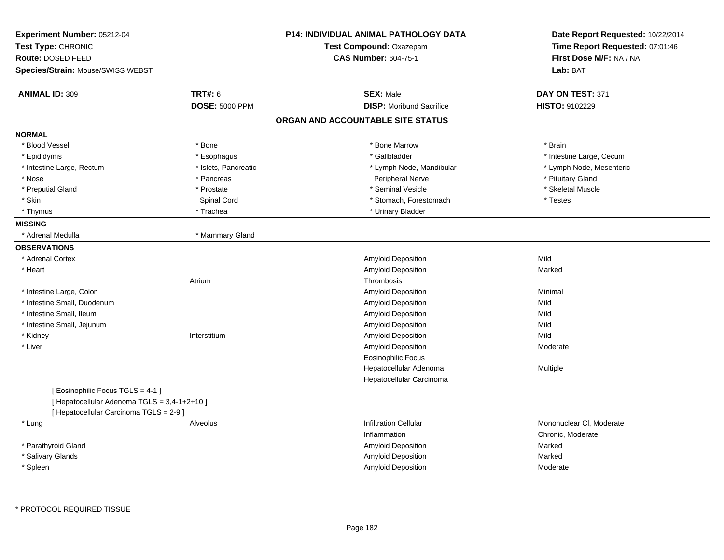| <b>Experiment Number: 05212-04</b><br>Test Type: CHRONIC<br>Route: DOSED FEED<br>Species/Strain: Mouse/SWISS WEBST           |                       | P14: INDIVIDUAL ANIMAL PATHOLOGY DATA<br>Test Compound: Oxazepam<br><b>CAS Number: 604-75-1</b> | Date Report Requested: 10/22/2014<br>Time Report Requested: 07:01:46<br>First Dose M/F: NA / NA<br>Lab: BAT |
|------------------------------------------------------------------------------------------------------------------------------|-----------------------|-------------------------------------------------------------------------------------------------|-------------------------------------------------------------------------------------------------------------|
| <b>ANIMAL ID: 309</b>                                                                                                        | <b>TRT#: 6</b>        | <b>SEX: Male</b>                                                                                | DAY ON TEST: 371                                                                                            |
|                                                                                                                              | <b>DOSE: 5000 PPM</b> | <b>DISP:</b> Moribund Sacrifice                                                                 | HISTO: 9102229                                                                                              |
|                                                                                                                              |                       | ORGAN AND ACCOUNTABLE SITE STATUS                                                               |                                                                                                             |
| <b>NORMAL</b>                                                                                                                |                       |                                                                                                 |                                                                                                             |
| * Blood Vessel                                                                                                               | * Bone                | * Bone Marrow                                                                                   | * Brain                                                                                                     |
| * Epididymis                                                                                                                 | * Esophagus           | * Gallbladder                                                                                   | * Intestine Large, Cecum                                                                                    |
| * Intestine Large, Rectum                                                                                                    | * Islets, Pancreatic  | * Lymph Node, Mandibular                                                                        | * Lymph Node, Mesenteric                                                                                    |
| * Nose                                                                                                                       | * Pancreas            | Peripheral Nerve                                                                                | * Pituitary Gland                                                                                           |
| * Preputial Gland                                                                                                            | * Prostate            | * Seminal Vesicle                                                                               | * Skeletal Muscle                                                                                           |
| * Skin                                                                                                                       | Spinal Cord           | * Stomach, Forestomach                                                                          | * Testes                                                                                                    |
| * Thymus                                                                                                                     | * Trachea             | * Urinary Bladder                                                                               |                                                                                                             |
| <b>MISSING</b>                                                                                                               |                       |                                                                                                 |                                                                                                             |
| * Adrenal Medulla                                                                                                            | * Mammary Gland       |                                                                                                 |                                                                                                             |
| <b>OBSERVATIONS</b>                                                                                                          |                       |                                                                                                 |                                                                                                             |
| * Adrenal Cortex                                                                                                             |                       | Amyloid Deposition                                                                              | Mild                                                                                                        |
| * Heart                                                                                                                      |                       | Amyloid Deposition                                                                              | Marked                                                                                                      |
|                                                                                                                              | Atrium                | Thrombosis                                                                                      |                                                                                                             |
| * Intestine Large, Colon                                                                                                     |                       | <b>Amyloid Deposition</b>                                                                       | Minimal                                                                                                     |
| * Intestine Small, Duodenum                                                                                                  |                       | Amyloid Deposition                                                                              | Mild                                                                                                        |
| * Intestine Small, Ileum                                                                                                     |                       | Amyloid Deposition                                                                              | Mild                                                                                                        |
| * Intestine Small, Jejunum                                                                                                   |                       | Amyloid Deposition                                                                              | Mild                                                                                                        |
| * Kidney                                                                                                                     | Interstitium          | Amyloid Deposition                                                                              | Mild                                                                                                        |
| * Liver                                                                                                                      |                       | Amyloid Deposition                                                                              | Moderate                                                                                                    |
|                                                                                                                              |                       | <b>Eosinophilic Focus</b>                                                                       |                                                                                                             |
|                                                                                                                              |                       | Hepatocellular Adenoma                                                                          | Multiple                                                                                                    |
|                                                                                                                              |                       | Hepatocellular Carcinoma                                                                        |                                                                                                             |
| [ Eosinophilic Focus TGLS = 4-1 ]<br>[ Hepatocellular Adenoma TGLS = 3,4-1+2+10 ]<br>[ Hepatocellular Carcinoma TGLS = 2-9 ] |                       |                                                                                                 |                                                                                                             |
| * Lung                                                                                                                       | Alveolus              | <b>Infiltration Cellular</b>                                                                    | Mononuclear CI, Moderate                                                                                    |
|                                                                                                                              |                       | Inflammation                                                                                    | Chronic, Moderate                                                                                           |
| * Parathyroid Gland                                                                                                          |                       | Amyloid Deposition                                                                              | Marked                                                                                                      |
| * Salivary Glands                                                                                                            |                       | Amyloid Deposition                                                                              | Marked                                                                                                      |
| * Spleen                                                                                                                     |                       | <b>Amyloid Deposition</b>                                                                       | Moderate                                                                                                    |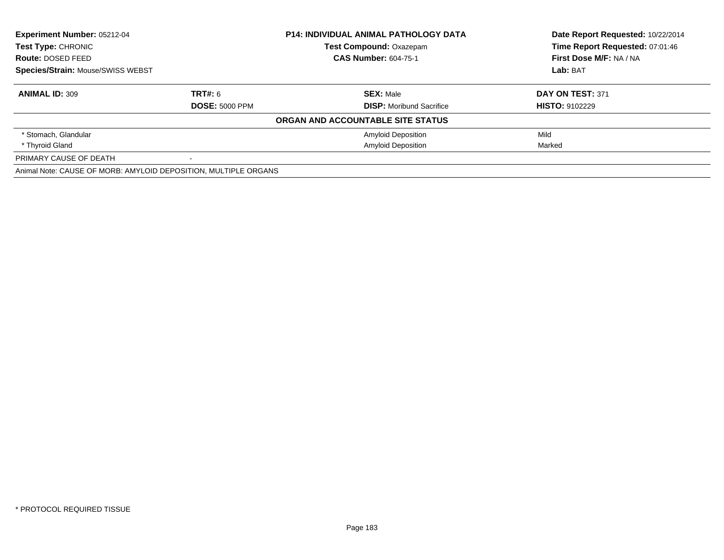| <b>Experiment Number: 05212-04</b>                              |                       | <b>P14: INDIVIDUAL ANIMAL PATHOLOGY DATA</b> | Date Report Requested: 10/22/2014 |
|-----------------------------------------------------------------|-----------------------|----------------------------------------------|-----------------------------------|
| <b>Test Type: CHRONIC</b>                                       |                       | <b>Test Compound: Oxazepam</b>               | Time Report Requested: 07:01:46   |
| Route: DOSED FEED                                               |                       | <b>CAS Number: 604-75-1</b>                  | First Dose M/F: NA / NA           |
| <b>Species/Strain: Mouse/SWISS WEBST</b>                        |                       |                                              | Lab: BAT                          |
| <b>ANIMAL ID: 309</b>                                           | <b>TRT#: 6</b>        | <b>SEX: Male</b>                             | DAY ON TEST: 371                  |
|                                                                 | <b>DOSE: 5000 PPM</b> | <b>DISP:</b> Moribund Sacrifice              | <b>HISTO: 9102229</b>             |
|                                                                 |                       | ORGAN AND ACCOUNTABLE SITE STATUS            |                                   |
| * Stomach, Glandular                                            |                       | <b>Amyloid Deposition</b>                    | Mild                              |
| * Thyroid Gland                                                 |                       | <b>Amyloid Deposition</b>                    | Marked                            |
| PRIMARY CAUSE OF DEATH                                          |                       |                                              |                                   |
| Animal Note: CAUSE OF MORB: AMYLOID DEPOSITION, MULTIPLE ORGANS |                       |                                              |                                   |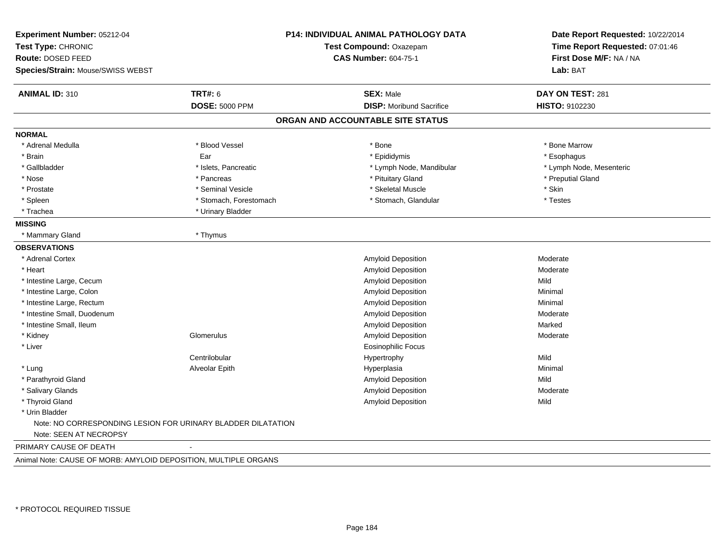| Experiment Number: 05212-04<br>Test Type: CHRONIC<br>Route: DOSED FEED<br>Species/Strain: Mouse/SWISS WEBST |                        | P14: INDIVIDUAL ANIMAL PATHOLOGY DATA<br>Test Compound: Oxazepam<br><b>CAS Number: 604-75-1</b> | Date Report Requested: 10/22/2014<br>Time Report Requested: 07:01:46<br>First Dose M/F: NA / NA<br>Lab: BAT |
|-------------------------------------------------------------------------------------------------------------|------------------------|-------------------------------------------------------------------------------------------------|-------------------------------------------------------------------------------------------------------------|
| <b>ANIMAL ID: 310</b>                                                                                       | <b>TRT#: 6</b>         | <b>SEX: Male</b>                                                                                | DAY ON TEST: 281                                                                                            |
|                                                                                                             | <b>DOSE: 5000 PPM</b>  | <b>DISP:</b> Moribund Sacrifice                                                                 | HISTO: 9102230                                                                                              |
|                                                                                                             |                        | ORGAN AND ACCOUNTABLE SITE STATUS                                                               |                                                                                                             |
| <b>NORMAL</b>                                                                                               |                        |                                                                                                 |                                                                                                             |
| * Adrenal Medulla                                                                                           | * Blood Vessel         | * Bone                                                                                          | * Bone Marrow                                                                                               |
| * Brain                                                                                                     | Ear                    | * Epididymis                                                                                    | * Esophagus                                                                                                 |
| * Gallbladder                                                                                               | * Islets, Pancreatic   | * Lymph Node, Mandibular                                                                        | * Lymph Node, Mesenteric                                                                                    |
| * Nose                                                                                                      | * Pancreas             | * Pituitary Gland                                                                               | * Preputial Gland                                                                                           |
| * Prostate                                                                                                  | * Seminal Vesicle      | * Skeletal Muscle                                                                               | * Skin                                                                                                      |
| * Spleen                                                                                                    | * Stomach, Forestomach | * Stomach, Glandular                                                                            | * Testes                                                                                                    |
| * Trachea                                                                                                   | * Urinary Bladder      |                                                                                                 |                                                                                                             |
| <b>MISSING</b>                                                                                              |                        |                                                                                                 |                                                                                                             |
| * Mammary Gland                                                                                             | * Thymus               |                                                                                                 |                                                                                                             |
| <b>OBSERVATIONS</b>                                                                                         |                        |                                                                                                 |                                                                                                             |
| * Adrenal Cortex                                                                                            |                        | Amyloid Deposition                                                                              | Moderate                                                                                                    |
| * Heart                                                                                                     |                        | Amyloid Deposition                                                                              | Moderate                                                                                                    |
| * Intestine Large, Cecum                                                                                    |                        | Amyloid Deposition                                                                              | Mild                                                                                                        |
| * Intestine Large, Colon                                                                                    |                        | Amyloid Deposition                                                                              | Minimal                                                                                                     |
| * Intestine Large, Rectum                                                                                   |                        | Amyloid Deposition                                                                              | Minimal                                                                                                     |
| * Intestine Small, Duodenum                                                                                 |                        | Amyloid Deposition                                                                              | Moderate                                                                                                    |
| * Intestine Small, Ileum                                                                                    |                        | Amyloid Deposition                                                                              | Marked                                                                                                      |
| * Kidney                                                                                                    | Glomerulus             | Amyloid Deposition                                                                              | Moderate                                                                                                    |
| * Liver                                                                                                     |                        | Eosinophilic Focus                                                                              |                                                                                                             |
|                                                                                                             | Centrilobular          | Hypertrophy                                                                                     | Mild                                                                                                        |
| * Lung                                                                                                      | Alveolar Epith         | Hyperplasia                                                                                     | Minimal                                                                                                     |
| * Parathyroid Gland                                                                                         |                        | Amyloid Deposition                                                                              | Mild                                                                                                        |
| * Salivary Glands                                                                                           |                        | Amyloid Deposition                                                                              | Moderate                                                                                                    |
| * Thyroid Gland                                                                                             |                        | <b>Amyloid Deposition</b>                                                                       | Mild                                                                                                        |
| * Urin Bladder                                                                                              |                        |                                                                                                 |                                                                                                             |
| Note: NO CORRESPONDING LESION FOR URINARY BLADDER DILATATION                                                |                        |                                                                                                 |                                                                                                             |
| Note: SEEN AT NECROPSY                                                                                      |                        |                                                                                                 |                                                                                                             |
| PRIMARY CAUSE OF DEATH                                                                                      |                        |                                                                                                 |                                                                                                             |
| Animal Note: CAUSE OF MORB: AMYLOID DEPOSITION, MULTIPLE ORGANS                                             |                        |                                                                                                 |                                                                                                             |
|                                                                                                             |                        |                                                                                                 |                                                                                                             |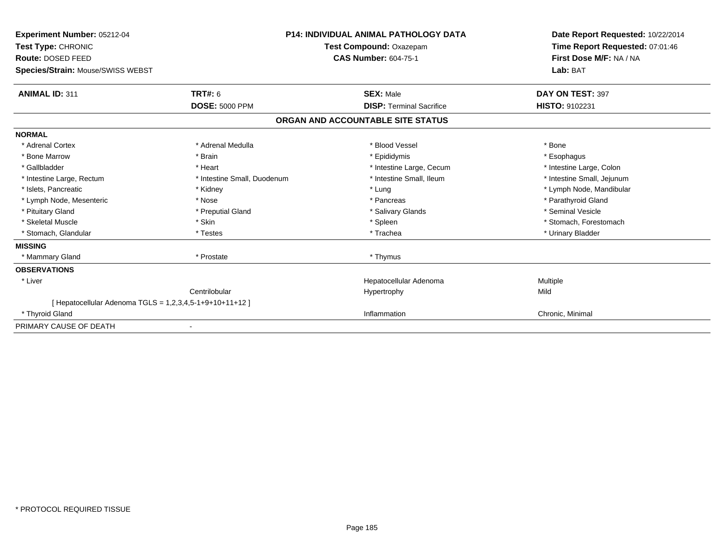| <b>Experiment Number: 05212-04</b><br>Test Type: CHRONIC<br>Route: DOSED FEED<br>Species/Strain: Mouse/SWISS WEBST | <b>P14: INDIVIDUAL ANIMAL PATHOLOGY DATA</b><br>Test Compound: Oxazepam<br><b>CAS Number: 604-75-1</b> |                                   | Date Report Requested: 10/22/2014<br>Time Report Requested: 07:01:46<br>First Dose M/F: NA / NA<br>Lab: BAT |
|--------------------------------------------------------------------------------------------------------------------|--------------------------------------------------------------------------------------------------------|-----------------------------------|-------------------------------------------------------------------------------------------------------------|
| <b>ANIMAL ID: 311</b>                                                                                              | TRT#: 6                                                                                                | <b>SEX: Male</b>                  | DAY ON TEST: 397                                                                                            |
|                                                                                                                    | <b>DOSE: 5000 PPM</b>                                                                                  | <b>DISP: Terminal Sacrifice</b>   | HISTO: 9102231                                                                                              |
|                                                                                                                    |                                                                                                        | ORGAN AND ACCOUNTABLE SITE STATUS |                                                                                                             |
| <b>NORMAL</b>                                                                                                      |                                                                                                        |                                   |                                                                                                             |
| * Adrenal Cortex                                                                                                   | * Adrenal Medulla                                                                                      | * Blood Vessel                    | * Bone                                                                                                      |
| * Bone Marrow                                                                                                      | * Brain                                                                                                | * Epididymis                      | * Esophagus                                                                                                 |
| * Gallbladder                                                                                                      | * Heart                                                                                                | * Intestine Large, Cecum          | * Intestine Large, Colon                                                                                    |
| * Intestine Large, Rectum                                                                                          | * Intestine Small, Duodenum                                                                            | * Intestine Small, Ileum          | * Intestine Small, Jejunum                                                                                  |
| * Islets, Pancreatic                                                                                               | * Kidney                                                                                               | * Lung                            | * Lymph Node, Mandibular                                                                                    |
| * Lymph Node, Mesenteric                                                                                           | * Nose                                                                                                 | * Pancreas                        | * Parathyroid Gland                                                                                         |
| * Pituitary Gland                                                                                                  | * Preputial Gland                                                                                      | * Salivary Glands                 | * Seminal Vesicle                                                                                           |
| * Skeletal Muscle                                                                                                  | * Skin                                                                                                 | * Spleen                          | * Stomach, Forestomach                                                                                      |
| * Stomach, Glandular                                                                                               | * Testes                                                                                               | * Trachea                         | * Urinary Bladder                                                                                           |
| <b>MISSING</b>                                                                                                     |                                                                                                        |                                   |                                                                                                             |
| * Mammary Gland                                                                                                    | * Prostate                                                                                             | * Thymus                          |                                                                                                             |
| <b>OBSERVATIONS</b>                                                                                                |                                                                                                        |                                   |                                                                                                             |
| * Liver                                                                                                            |                                                                                                        | Hepatocellular Adenoma            | Multiple                                                                                                    |
|                                                                                                                    | Centrilobular                                                                                          | Hypertrophy                       | Mild                                                                                                        |
| [ Hepatocellular Adenoma TGLS = 1,2,3,4,5-1+9+10+11+12 ]                                                           |                                                                                                        |                                   |                                                                                                             |
| * Thyroid Gland                                                                                                    |                                                                                                        | Inflammation                      | Chronic, Minimal                                                                                            |
| PRIMARY CAUSE OF DEATH                                                                                             |                                                                                                        |                                   |                                                                                                             |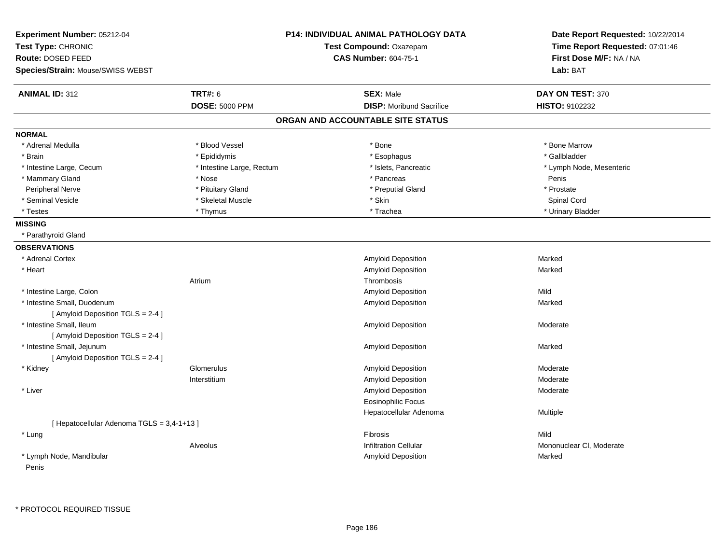| Experiment Number: 05212-04                |                           | <b>P14: INDIVIDUAL ANIMAL PATHOLOGY DATA</b> | Date Report Requested: 10/22/2014<br>Time Report Requested: 07:01:46 |
|--------------------------------------------|---------------------------|----------------------------------------------|----------------------------------------------------------------------|
| Test Type: CHRONIC                         |                           | Test Compound: Oxazepam                      |                                                                      |
| Route: DOSED FEED                          |                           | <b>CAS Number: 604-75-1</b>                  | First Dose M/F: NA / NA                                              |
| Species/Strain: Mouse/SWISS WEBST          |                           |                                              | Lab: BAT                                                             |
| <b>ANIMAL ID: 312</b>                      | <b>TRT#: 6</b>            | <b>SEX: Male</b>                             | DAY ON TEST: 370                                                     |
|                                            | <b>DOSE: 5000 PPM</b>     | <b>DISP:</b> Moribund Sacrifice              | <b>HISTO: 9102232</b>                                                |
|                                            |                           | ORGAN AND ACCOUNTABLE SITE STATUS            |                                                                      |
| <b>NORMAL</b>                              |                           |                                              |                                                                      |
| * Adrenal Medulla                          | * Blood Vessel            | * Bone                                       | * Bone Marrow                                                        |
| * Brain                                    | * Epididymis              | * Esophagus                                  | * Gallbladder                                                        |
| * Intestine Large, Cecum                   | * Intestine Large, Rectum | * Islets, Pancreatic                         | * Lymph Node, Mesenteric                                             |
| * Mammary Gland                            | * Nose                    | * Pancreas                                   | Penis                                                                |
| Peripheral Nerve                           | * Pituitary Gland         | * Preputial Gland                            | * Prostate                                                           |
| * Seminal Vesicle                          | * Skeletal Muscle         | * Skin                                       | Spinal Cord                                                          |
| * Testes                                   | * Thymus                  | * Trachea                                    | * Urinary Bladder                                                    |
| <b>MISSING</b>                             |                           |                                              |                                                                      |
| * Parathyroid Gland                        |                           |                                              |                                                                      |
| <b>OBSERVATIONS</b>                        |                           |                                              |                                                                      |
| * Adrenal Cortex                           |                           | Amyloid Deposition                           | Marked                                                               |
| * Heart                                    |                           | Amyloid Deposition                           | Marked                                                               |
|                                            | Atrium                    | Thrombosis                                   |                                                                      |
| * Intestine Large, Colon                   |                           | <b>Amyloid Deposition</b>                    | Mild                                                                 |
| * Intestine Small, Duodenum                |                           | Amyloid Deposition                           | Marked                                                               |
| [Amyloid Deposition TGLS = 2-4]            |                           |                                              |                                                                      |
| * Intestine Small, Ileum                   |                           | Amyloid Deposition                           | Moderate                                                             |
| [ Amyloid Deposition TGLS = 2-4 ]          |                           |                                              |                                                                      |
| * Intestine Small, Jejunum                 |                           | Amyloid Deposition                           | Marked                                                               |
| [Amyloid Deposition TGLS = 2-4]            |                           |                                              |                                                                      |
| * Kidney                                   | Glomerulus                | Amyloid Deposition                           | Moderate                                                             |
|                                            | Interstitium              | Amyloid Deposition                           | Moderate                                                             |
| * Liver                                    |                           | Amyloid Deposition                           | Moderate                                                             |
|                                            |                           | <b>Eosinophilic Focus</b>                    |                                                                      |
|                                            |                           | Hepatocellular Adenoma                       | Multiple                                                             |
| [ Hepatocellular Adenoma TGLS = 3,4-1+13 ] |                           |                                              |                                                                      |
| * Lung                                     |                           | <b>Fibrosis</b>                              | Mild                                                                 |
|                                            | Alveolus                  | <b>Infiltration Cellular</b>                 | Mononuclear CI, Moderate                                             |
| * Lymph Node, Mandibular                   |                           | <b>Amyloid Deposition</b>                    | Marked                                                               |
| Penis                                      |                           |                                              |                                                                      |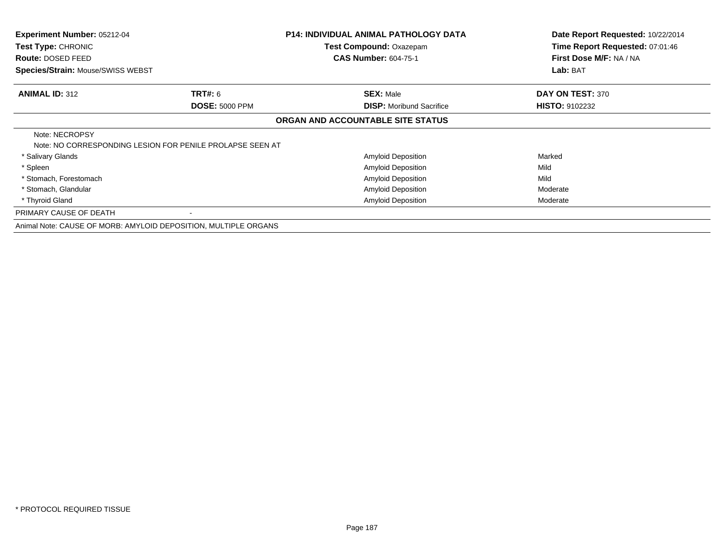| Experiment Number: 05212-04<br>Test Type: CHRONIC               |                                                           | <b>P14: INDIVIDUAL ANIMAL PATHOLOGY DATA</b><br>Test Compound: Oxazepam | Date Report Requested: 10/22/2014<br>Time Report Requested: 07:01:46 |
|-----------------------------------------------------------------|-----------------------------------------------------------|-------------------------------------------------------------------------|----------------------------------------------------------------------|
| <b>Route: DOSED FEED</b>                                        |                                                           | <b>CAS Number: 604-75-1</b>                                             | First Dose M/F: NA / NA                                              |
| Species/Strain: Mouse/SWISS WEBST                               |                                                           |                                                                         | Lab: BAT                                                             |
| <b>ANIMAL ID: 312</b>                                           | <b>TRT#: 6</b>                                            | <b>SEX: Male</b>                                                        | DAY ON TEST: 370                                                     |
|                                                                 | <b>DOSE: 5000 PPM</b>                                     | <b>DISP:</b> Moribund Sacrifice                                         | <b>HISTO: 9102232</b>                                                |
|                                                                 |                                                           | ORGAN AND ACCOUNTABLE SITE STATUS                                       |                                                                      |
| Note: NECROPSY                                                  | Note: NO CORRESPONDING LESION FOR PENILE PROLAPSE SEEN AT |                                                                         |                                                                      |
| * Salivary Glands                                               |                                                           | Amyloid Deposition                                                      | Marked                                                               |
| * Spleen                                                        |                                                           | <b>Amyloid Deposition</b>                                               | Mild                                                                 |
| * Stomach, Forestomach                                          |                                                           | <b>Amyloid Deposition</b>                                               | Mild                                                                 |
| * Stomach, Glandular                                            |                                                           | Amyloid Deposition                                                      | Moderate                                                             |
| * Thyroid Gland                                                 |                                                           | <b>Amyloid Deposition</b>                                               | Moderate                                                             |
| PRIMARY CAUSE OF DEATH                                          |                                                           |                                                                         |                                                                      |
| Animal Note: CAUSE OF MORB: AMYLOID DEPOSITION, MULTIPLE ORGANS |                                                           |                                                                         |                                                                      |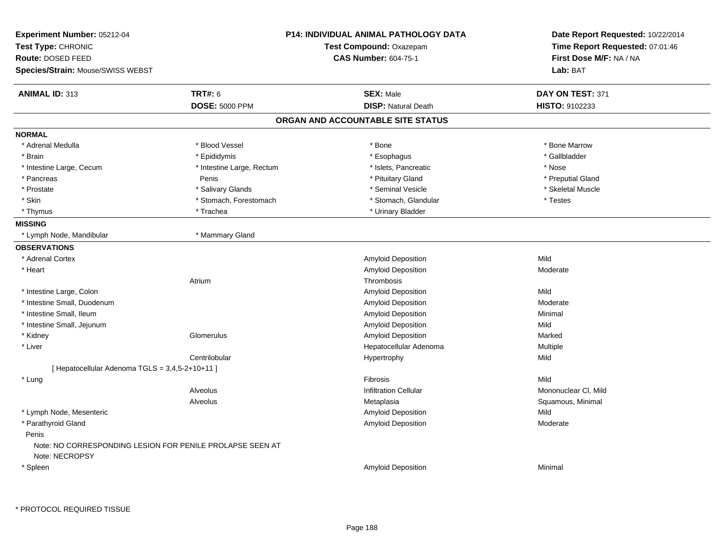| Experiment Number: 05212-04<br>Test Type: CHRONIC<br>Route: DOSED FEED<br>Species/Strain: Mouse/SWISS WEBST | <b>P14: INDIVIDUAL ANIMAL PATHOLOGY DATA</b><br>Test Compound: Oxazepam<br><b>CAS Number: 604-75-1</b> |                                   | Date Report Requested: 10/22/2014<br>Time Report Requested: 07:01:46<br>First Dose M/F: NA / NA<br>Lab: BAT |
|-------------------------------------------------------------------------------------------------------------|--------------------------------------------------------------------------------------------------------|-----------------------------------|-------------------------------------------------------------------------------------------------------------|
| <b>ANIMAL ID: 313</b>                                                                                       | <b>TRT#: 6</b>                                                                                         | <b>SEX: Male</b>                  | DAY ON TEST: 371                                                                                            |
|                                                                                                             | <b>DOSE: 5000 PPM</b>                                                                                  | <b>DISP: Natural Death</b>        | HISTO: 9102233                                                                                              |
|                                                                                                             |                                                                                                        | ORGAN AND ACCOUNTABLE SITE STATUS |                                                                                                             |
| <b>NORMAL</b>                                                                                               |                                                                                                        |                                   |                                                                                                             |
| * Adrenal Medulla                                                                                           | * Blood Vessel                                                                                         | * Bone                            | * Bone Marrow                                                                                               |
| * Brain                                                                                                     | * Epididymis                                                                                           | * Esophagus                       | * Gallbladder                                                                                               |
| * Intestine Large, Cecum                                                                                    | * Intestine Large, Rectum                                                                              | * Islets, Pancreatic              | * Nose                                                                                                      |
| * Pancreas                                                                                                  | Penis                                                                                                  | * Pituitary Gland                 | * Preputial Gland                                                                                           |
| * Prostate                                                                                                  | * Salivary Glands                                                                                      | * Seminal Vesicle                 | * Skeletal Muscle                                                                                           |
| * Skin                                                                                                      | * Stomach, Forestomach                                                                                 | * Stomach, Glandular              | * Testes                                                                                                    |
| * Thymus                                                                                                    | * Trachea                                                                                              | * Urinary Bladder                 |                                                                                                             |
| <b>MISSING</b>                                                                                              |                                                                                                        |                                   |                                                                                                             |
| * Lymph Node, Mandibular                                                                                    | * Mammary Gland                                                                                        |                                   |                                                                                                             |
| <b>OBSERVATIONS</b>                                                                                         |                                                                                                        |                                   |                                                                                                             |
| * Adrenal Cortex                                                                                            |                                                                                                        | <b>Amyloid Deposition</b>         | Mild                                                                                                        |
| * Heart                                                                                                     |                                                                                                        | Amyloid Deposition                | Moderate                                                                                                    |
|                                                                                                             | Atrium                                                                                                 | Thrombosis                        |                                                                                                             |
| * Intestine Large, Colon                                                                                    |                                                                                                        | Amyloid Deposition                | Mild                                                                                                        |
| * Intestine Small, Duodenum                                                                                 |                                                                                                        | Amyloid Deposition                | Moderate                                                                                                    |
| * Intestine Small, Ileum                                                                                    |                                                                                                        | Amyloid Deposition                | Minimal                                                                                                     |
| * Intestine Small, Jejunum                                                                                  |                                                                                                        | Amyloid Deposition                | Mild                                                                                                        |
| * Kidney                                                                                                    | Glomerulus                                                                                             | Amyloid Deposition                | Marked                                                                                                      |
| * Liver                                                                                                     |                                                                                                        | Hepatocellular Adenoma            | Multiple                                                                                                    |
|                                                                                                             | Centrilobular                                                                                          | Hypertrophy                       | Mild                                                                                                        |
| [ Hepatocellular Adenoma TGLS = 3,4,5-2+10+11 ]                                                             |                                                                                                        |                                   |                                                                                                             |
| * Lung                                                                                                      |                                                                                                        | Fibrosis                          | Mild                                                                                                        |
|                                                                                                             | Alveolus                                                                                               | <b>Infiltration Cellular</b>      | Mononuclear CI, Mild                                                                                        |
|                                                                                                             | Alveolus                                                                                               | Metaplasia                        | Squamous, Minimal                                                                                           |
| * Lymph Node, Mesenteric                                                                                    |                                                                                                        | Amyloid Deposition                | Mild                                                                                                        |
| * Parathyroid Gland                                                                                         |                                                                                                        | Amyloid Deposition                | Moderate                                                                                                    |
| Penis<br>Note: NO CORRESPONDING LESION FOR PENILE PROLAPSE SEEN AT<br>Note: NECROPSY                        |                                                                                                        |                                   |                                                                                                             |
| * Spleen                                                                                                    |                                                                                                        | <b>Amyloid Deposition</b>         | Minimal                                                                                                     |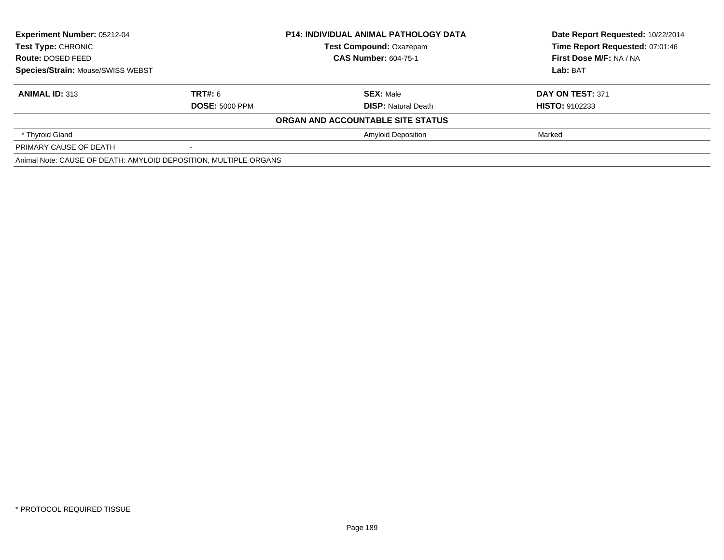| <b>Experiment Number: 05212-04</b><br>Test Type: CHRONIC<br>Route: DOSED FEED<br>Species/Strain: Mouse/SWISS WEBST |                       | <b>P14: INDIVIDUAL ANIMAL PATHOLOGY DATA</b> | Date Report Requested: 10/22/2014 |  |
|--------------------------------------------------------------------------------------------------------------------|-----------------------|----------------------------------------------|-----------------------------------|--|
|                                                                                                                    |                       | <b>Test Compound: Oxazepam</b>               | Time Report Requested: 07:01:46   |  |
|                                                                                                                    |                       | <b>CAS Number: 604-75-1</b>                  | First Dose M/F: NA / NA           |  |
|                                                                                                                    |                       |                                              | Lab: BAT                          |  |
| <b>ANIMAL ID: 313</b>                                                                                              | TRT#: 6               | <b>SEX: Male</b>                             | DAY ON TEST: 371                  |  |
|                                                                                                                    | <b>DOSE: 5000 PPM</b> | <b>DISP:</b> Natural Death                   | <b>HISTO: 9102233</b>             |  |
|                                                                                                                    |                       | ORGAN AND ACCOUNTABLE SITE STATUS            |                                   |  |
| * Thyroid Gland                                                                                                    |                       | <b>Amyloid Deposition</b>                    | Marked                            |  |
| PRIMARY CAUSE OF DEATH                                                                                             |                       |                                              |                                   |  |
| Animal Note: CAUSE OF DEATH: AMYLOID DEPOSITION, MULTIPLE ORGANS                                                   |                       |                                              |                                   |  |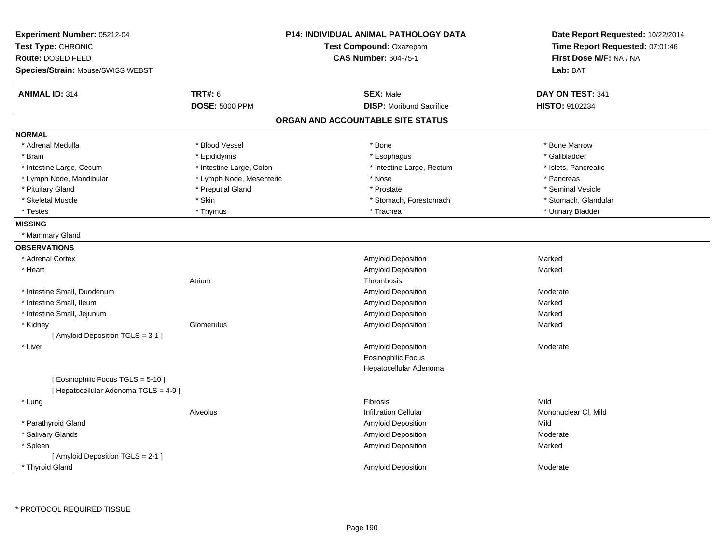| Experiment Number: 05212-04<br>Test Type: CHRONIC<br><b>Route: DOSED FEED</b><br>Species/Strain: Mouse/SWISS WEBST |                          | <b>P14: INDIVIDUAL ANIMAL PATHOLOGY DATA</b><br>Test Compound: Oxazepam<br><b>CAS Number: 604-75-1</b> | Date Report Requested: 10/22/2014<br>Time Report Requested: 07:01:46<br>First Dose M/F: NA / NA<br>Lab: BAT |
|--------------------------------------------------------------------------------------------------------------------|--------------------------|--------------------------------------------------------------------------------------------------------|-------------------------------------------------------------------------------------------------------------|
| <b>ANIMAL ID: 314</b>                                                                                              | <b>TRT#: 6</b>           | <b>SEX: Male</b>                                                                                       | DAY ON TEST: 341                                                                                            |
|                                                                                                                    | <b>DOSE: 5000 PPM</b>    | <b>DISP:</b> Moribund Sacrifice                                                                        | <b>HISTO: 9102234</b>                                                                                       |
|                                                                                                                    |                          | ORGAN AND ACCOUNTABLE SITE STATUS                                                                      |                                                                                                             |
| <b>NORMAL</b>                                                                                                      |                          |                                                                                                        |                                                                                                             |
| * Adrenal Medulla                                                                                                  | * Blood Vessel           | * Bone                                                                                                 | * Bone Marrow                                                                                               |
| * Brain                                                                                                            | * Epididymis             | * Esophagus                                                                                            | * Gallbladder                                                                                               |
| * Intestine Large, Cecum                                                                                           | * Intestine Large, Colon | * Intestine Large, Rectum                                                                              | * Islets, Pancreatic                                                                                        |
| * Lymph Node, Mandibular                                                                                           | * Lymph Node, Mesenteric | * Nose                                                                                                 | * Pancreas                                                                                                  |
| * Pituitary Gland                                                                                                  | * Preputial Gland        | * Prostate                                                                                             | * Seminal Vesicle                                                                                           |
| * Skeletal Muscle                                                                                                  | * Skin                   | * Stomach, Forestomach                                                                                 | * Stomach, Glandular                                                                                        |
| * Testes                                                                                                           | * Thymus                 | * Trachea                                                                                              | * Urinary Bladder                                                                                           |
| <b>MISSING</b>                                                                                                     |                          |                                                                                                        |                                                                                                             |
| * Mammary Gland                                                                                                    |                          |                                                                                                        |                                                                                                             |
| <b>OBSERVATIONS</b>                                                                                                |                          |                                                                                                        |                                                                                                             |
| * Adrenal Cortex                                                                                                   |                          | Amyloid Deposition                                                                                     | Marked                                                                                                      |
| * Heart                                                                                                            |                          | Amyloid Deposition                                                                                     | Marked                                                                                                      |
|                                                                                                                    | Atrium                   | Thrombosis                                                                                             |                                                                                                             |
| * Intestine Small, Duodenum                                                                                        |                          | Amyloid Deposition                                                                                     | Moderate                                                                                                    |
| * Intestine Small, Ileum                                                                                           |                          | Amyloid Deposition                                                                                     | Marked                                                                                                      |
| * Intestine Small, Jejunum                                                                                         |                          | Amyloid Deposition                                                                                     | Marked                                                                                                      |
| * Kidney                                                                                                           | Glomerulus               | <b>Amyloid Deposition</b>                                                                              | Marked                                                                                                      |
| [Amyloid Deposition TGLS = 3-1 ]                                                                                   |                          |                                                                                                        |                                                                                                             |
| * Liver                                                                                                            |                          | Amyloid Deposition                                                                                     | Moderate                                                                                                    |
|                                                                                                                    |                          | Eosinophilic Focus                                                                                     |                                                                                                             |
|                                                                                                                    |                          | Hepatocellular Adenoma                                                                                 |                                                                                                             |
| [ Eosinophilic Focus TGLS = 5-10 ]<br>[ Hepatocellular Adenoma TGLS = 4-9 ]                                        |                          |                                                                                                        |                                                                                                             |
| * Lung                                                                                                             |                          | Fibrosis                                                                                               | Mild                                                                                                        |
|                                                                                                                    | Alveolus                 | <b>Infiltration Cellular</b>                                                                           | Mononuclear CI, Mild                                                                                        |
| * Parathyroid Gland                                                                                                |                          | Amyloid Deposition                                                                                     | Mild                                                                                                        |
| * Salivary Glands                                                                                                  |                          | Amyloid Deposition                                                                                     | Moderate                                                                                                    |
| * Spleen                                                                                                           |                          | Amyloid Deposition                                                                                     | Marked                                                                                                      |
| [ Amyloid Deposition TGLS = 2-1 ]                                                                                  |                          |                                                                                                        |                                                                                                             |
| * Thyroid Gland                                                                                                    |                          | Amyloid Deposition                                                                                     | Moderate                                                                                                    |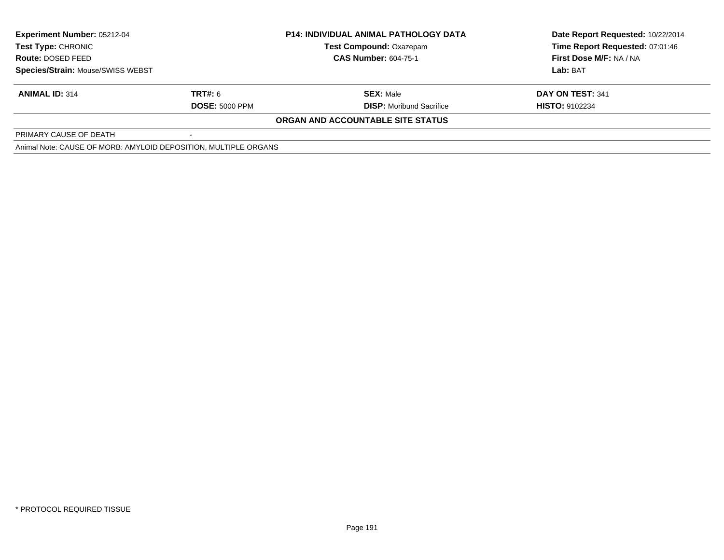| <b>Experiment Number: 05212-04</b><br>Test Type: CHRONIC<br>Route: DOSED FEED |                       | <b>P14: INDIVIDUAL ANIMAL PATHOLOGY DATA</b> | Date Report Requested: 10/22/2014 |  |
|-------------------------------------------------------------------------------|-----------------------|----------------------------------------------|-----------------------------------|--|
|                                                                               |                       | <b>Test Compound: Oxazepam</b>               | Time Report Requested: 07:01:46   |  |
|                                                                               |                       | <b>CAS Number: 604-75-1</b>                  | First Dose M/F: NA / NA           |  |
| <b>Species/Strain: Mouse/SWISS WEBST</b>                                      |                       |                                              | Lab: BAT                          |  |
| <b>ANIMAL ID: 314</b>                                                         | TRT#: 6               | <b>SEX: Male</b>                             | DAY ON TEST: 341                  |  |
|                                                                               | <b>DOSE: 5000 PPM</b> | <b>DISP:</b> Moribund Sacrifice              | <b>HISTO: 9102234</b>             |  |
|                                                                               |                       | ORGAN AND ACCOUNTABLE SITE STATUS            |                                   |  |
| PRIMARY CAUSE OF DEATH                                                        |                       |                                              |                                   |  |
| Animal Nata: CALICE OF MODD: AMVLOID DEDOCITION MILILTIDLE ODCANIC            |                       |                                              |                                   |  |

Animal Note: CAUSE OF MORB: AMYLOID DEPOSITION, MULTIPLE ORGANS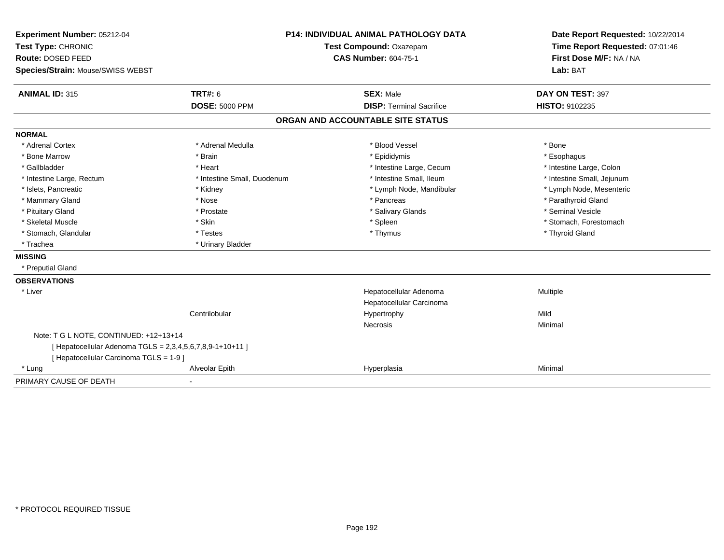| Experiment Number: 05212-04                               |                             | <b>P14: INDIVIDUAL ANIMAL PATHOLOGY DATA</b>       | Date Report Requested: 10/22/2014                          |
|-----------------------------------------------------------|-----------------------------|----------------------------------------------------|------------------------------------------------------------|
| Test Type: CHRONIC                                        |                             | Test Compound: Oxazepam                            | Time Report Requested: 07:01:46<br>First Dose M/F: NA / NA |
| Route: DOSED FEED                                         |                             | <b>CAS Number: 604-75-1</b>                        |                                                            |
| Species/Strain: Mouse/SWISS WEBST                         |                             |                                                    | Lab: BAT                                                   |
| <b>ANIMAL ID: 315</b>                                     | TRT#: 6                     | <b>SEX: Male</b>                                   | DAY ON TEST: 397                                           |
|                                                           | <b>DOSE: 5000 PPM</b>       | <b>DISP: Terminal Sacrifice</b>                    | <b>HISTO: 9102235</b>                                      |
|                                                           |                             | ORGAN AND ACCOUNTABLE SITE STATUS                  |                                                            |
| <b>NORMAL</b>                                             |                             |                                                    |                                                            |
| * Adrenal Cortex                                          | * Adrenal Medulla           | * Blood Vessel                                     | * Bone                                                     |
| * Bone Marrow                                             | * Brain                     | * Epididymis                                       | * Esophagus                                                |
| * Gallbladder                                             | * Heart                     | * Intestine Large, Cecum                           | * Intestine Large, Colon                                   |
| * Intestine Large, Rectum                                 | * Intestine Small, Duodenum | * Intestine Small, Ileum                           | * Intestine Small, Jejunum                                 |
| * Islets, Pancreatic                                      | * Kidney                    | * Lymph Node, Mandibular                           | * Lymph Node, Mesenteric                                   |
| * Mammary Gland                                           | * Nose                      | * Pancreas                                         | * Parathyroid Gland                                        |
| * Pituitary Gland                                         | * Prostate                  | * Salivary Glands                                  | * Seminal Vesicle                                          |
| * Skeletal Muscle                                         | * Skin                      | * Spleen                                           | * Stomach, Forestomach                                     |
| * Stomach, Glandular                                      | * Testes                    | * Thymus                                           | * Thyroid Gland                                            |
| * Trachea                                                 | * Urinary Bladder           |                                                    |                                                            |
| <b>MISSING</b>                                            |                             |                                                    |                                                            |
| * Preputial Gland                                         |                             |                                                    |                                                            |
| <b>OBSERVATIONS</b>                                       |                             |                                                    |                                                            |
| * Liver                                                   |                             | Hepatocellular Adenoma<br>Hepatocellular Carcinoma | Multiple                                                   |
|                                                           | Centrilobular               | Hypertrophy                                        | Mild                                                       |
|                                                           |                             | <b>Necrosis</b>                                    | Minimal                                                    |
| Note: T G L NOTE, CONTINUED: +12+13+14                    |                             |                                                    |                                                            |
| [ Hepatocellular Adenoma TGLS = 2,3,4,5,6,7,8,9-1+10+11 ] |                             |                                                    |                                                            |
| [ Hepatocellular Carcinoma TGLS = 1-9 ]                   |                             |                                                    |                                                            |
| * Lung                                                    | Alveolar Epith              | Hyperplasia                                        | Minimal                                                    |
| PRIMARY CAUSE OF DEATH                                    |                             |                                                    |                                                            |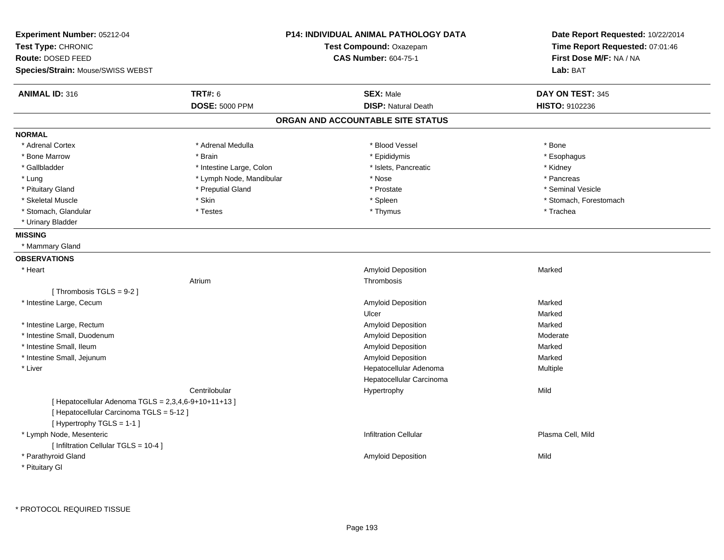| Experiment Number: 05212-04<br>Test Type: CHRONIC<br>Route: DOSED FEED<br>Species/Strain: Mouse/SWISS WEBST                  |                          | <b>P14: INDIVIDUAL ANIMAL PATHOLOGY DATA</b><br>Test Compound: Oxazepam<br><b>CAS Number: 604-75-1</b> | Date Report Requested: 10/22/2014<br>Time Report Requested: 07:01:46<br>First Dose M/F: NA / NA<br>Lab: BAT |
|------------------------------------------------------------------------------------------------------------------------------|--------------------------|--------------------------------------------------------------------------------------------------------|-------------------------------------------------------------------------------------------------------------|
| <b>ANIMAL ID: 316</b>                                                                                                        | <b>TRT#: 6</b>           | <b>SEX: Male</b>                                                                                       | DAY ON TEST: 345                                                                                            |
|                                                                                                                              | <b>DOSE: 5000 PPM</b>    | <b>DISP: Natural Death</b>                                                                             | HISTO: 9102236                                                                                              |
|                                                                                                                              |                          | ORGAN AND ACCOUNTABLE SITE STATUS                                                                      |                                                                                                             |
| <b>NORMAL</b>                                                                                                                |                          |                                                                                                        |                                                                                                             |
| * Adrenal Cortex                                                                                                             | * Adrenal Medulla        | * Blood Vessel                                                                                         | * Bone                                                                                                      |
| * Bone Marrow                                                                                                                | * Brain                  | * Epididymis                                                                                           | * Esophagus                                                                                                 |
| * Gallbladder                                                                                                                | * Intestine Large, Colon | * Islets, Pancreatic                                                                                   | * Kidney                                                                                                    |
| * Lung                                                                                                                       | * Lymph Node, Mandibular | * Nose                                                                                                 | * Pancreas                                                                                                  |
| * Pituitary Gland                                                                                                            | * Preputial Gland        | * Prostate                                                                                             | * Seminal Vesicle                                                                                           |
| * Skeletal Muscle                                                                                                            | * Skin                   | * Spleen                                                                                               | * Stomach, Forestomach                                                                                      |
| * Stomach, Glandular                                                                                                         | * Testes                 | * Thymus                                                                                               | * Trachea                                                                                                   |
| * Urinary Bladder                                                                                                            |                          |                                                                                                        |                                                                                                             |
| <b>MISSING</b>                                                                                                               |                          |                                                                                                        |                                                                                                             |
| * Mammary Gland                                                                                                              |                          |                                                                                                        |                                                                                                             |
| <b>OBSERVATIONS</b>                                                                                                          |                          |                                                                                                        |                                                                                                             |
| * Heart                                                                                                                      |                          | Amyloid Deposition                                                                                     | Marked                                                                                                      |
|                                                                                                                              | Atrium                   | Thrombosis                                                                                             |                                                                                                             |
| [Thrombosis TGLS = 9-2]                                                                                                      |                          |                                                                                                        |                                                                                                             |
| * Intestine Large, Cecum                                                                                                     |                          | Amyloid Deposition                                                                                     | Marked                                                                                                      |
|                                                                                                                              |                          | Ulcer                                                                                                  | Marked                                                                                                      |
| * Intestine Large, Rectum                                                                                                    |                          | Amyloid Deposition                                                                                     | Marked                                                                                                      |
| * Intestine Small, Duodenum                                                                                                  |                          | Amyloid Deposition                                                                                     | Moderate                                                                                                    |
| * Intestine Small, Ileum                                                                                                     |                          | Amyloid Deposition                                                                                     | Marked                                                                                                      |
| * Intestine Small, Jejunum                                                                                                   |                          | Amyloid Deposition                                                                                     | Marked                                                                                                      |
| * Liver                                                                                                                      |                          | Hepatocellular Adenoma                                                                                 | Multiple                                                                                                    |
|                                                                                                                              |                          | Hepatocellular Carcinoma                                                                               |                                                                                                             |
|                                                                                                                              | Centrilobular            | Hypertrophy                                                                                            | Mild                                                                                                        |
| [ Hepatocellular Adenoma TGLS = 2,3,4,6-9+10+11+13 ]<br>[ Hepatocellular Carcinoma TGLS = 5-12 ]<br>[Hypertrophy TGLS = 1-1] |                          |                                                                                                        |                                                                                                             |
| * Lymph Node, Mesenteric<br>[ Infiltration Cellular TGLS = 10-4 ]                                                            |                          | <b>Infiltration Cellular</b>                                                                           | Plasma Cell, Mild                                                                                           |
| * Parathyroid Gland                                                                                                          |                          | Amyloid Deposition                                                                                     | Mild                                                                                                        |
| * Pituitary Gl                                                                                                               |                          |                                                                                                        |                                                                                                             |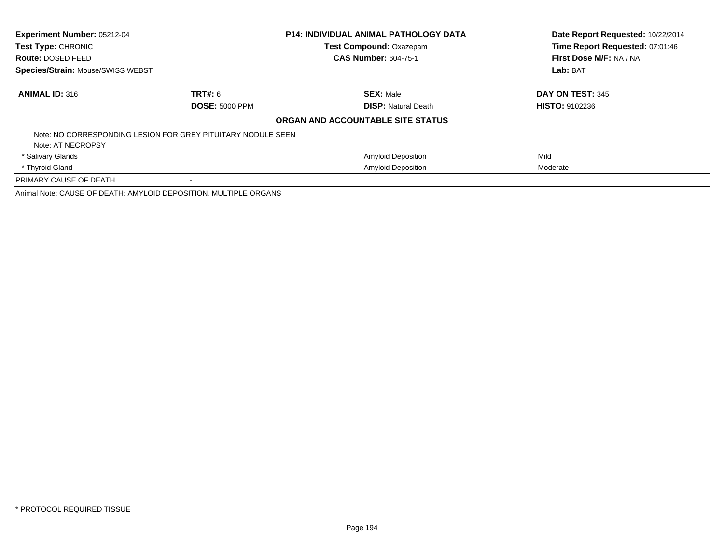| Experiment Number: 05212-04<br>Test Type: CHRONIC                |                       | <b>P14: INDIVIDUAL ANIMAL PATHOLOGY DATA</b> | Date Report Requested: 10/22/2014<br>Time Report Requested: 07:01:46 |  |
|------------------------------------------------------------------|-----------------------|----------------------------------------------|----------------------------------------------------------------------|--|
|                                                                  |                       | <b>Test Compound: Oxazepam</b>               |                                                                      |  |
| Route: DOSED FEED                                                |                       | <b>CAS Number: 604-75-1</b>                  | First Dose M/F: NA / NA                                              |  |
| <b>Species/Strain: Mouse/SWISS WEBST</b>                         |                       |                                              | Lab: BAT                                                             |  |
| <b>ANIMAL ID: 316</b>                                            | <b>TRT#:</b> 6        | <b>SEX: Male</b>                             | DAY ON TEST: 345                                                     |  |
|                                                                  | <b>DOSE: 5000 PPM</b> | <b>DISP: Natural Death</b>                   | <b>HISTO: 9102236</b>                                                |  |
|                                                                  |                       | ORGAN AND ACCOUNTABLE SITE STATUS            |                                                                      |  |
| Note: NO CORRESPONDING LESION FOR GREY PITUITARY NODULE SEEN     |                       |                                              |                                                                      |  |
| Note: AT NECROPSY                                                |                       |                                              |                                                                      |  |
| * Salivary Glands                                                |                       | <b>Amyloid Deposition</b>                    | Mild                                                                 |  |
| * Thyroid Gland                                                  |                       | <b>Amyloid Deposition</b>                    | Moderate                                                             |  |
| PRIMARY CAUSE OF DEATH                                           |                       |                                              |                                                                      |  |
| Animal Note: CAUSE OF DEATH: AMYLOID DEPOSITION, MULTIPLE ORGANS |                       |                                              |                                                                      |  |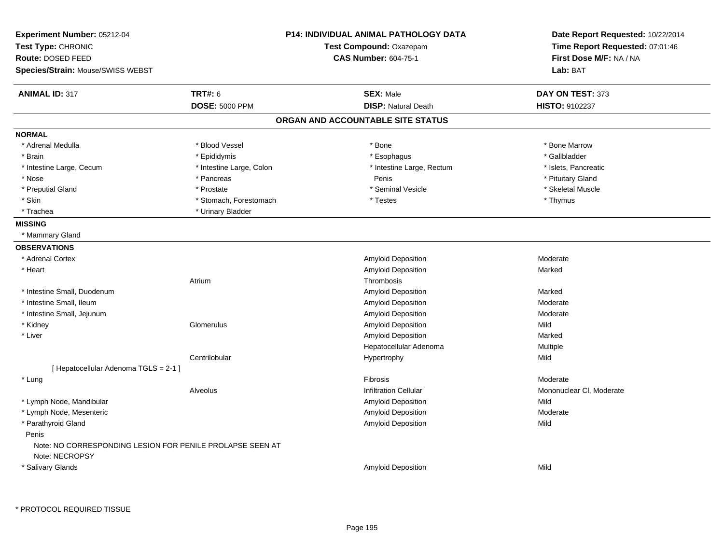| Experiment Number: 05212-04<br>Test Type: CHRONIC<br>Route: DOSED FEED<br>Species/Strain: Mouse/SWISS WEBST |                          | <b>P14: INDIVIDUAL ANIMAL PATHOLOGY DATA</b><br>Test Compound: Oxazepam<br><b>CAS Number: 604-75-1</b> | Date Report Requested: 10/22/2014<br>Time Report Requested: 07:01:46<br>First Dose M/F: NA / NA<br>Lab: BAT |
|-------------------------------------------------------------------------------------------------------------|--------------------------|--------------------------------------------------------------------------------------------------------|-------------------------------------------------------------------------------------------------------------|
| <b>ANIMAL ID: 317</b>                                                                                       | <b>TRT#: 6</b>           | <b>SEX: Male</b>                                                                                       | DAY ON TEST: 373                                                                                            |
|                                                                                                             | <b>DOSE: 5000 PPM</b>    | <b>DISP: Natural Death</b>                                                                             | HISTO: 9102237                                                                                              |
|                                                                                                             |                          | ORGAN AND ACCOUNTABLE SITE STATUS                                                                      |                                                                                                             |
| <b>NORMAL</b>                                                                                               |                          |                                                                                                        |                                                                                                             |
| * Adrenal Medulla                                                                                           | * Blood Vessel           | * Bone                                                                                                 | * Bone Marrow                                                                                               |
| * Brain                                                                                                     | * Epididymis             | * Esophagus                                                                                            | * Gallbladder                                                                                               |
| * Intestine Large, Cecum                                                                                    | * Intestine Large, Colon | * Intestine Large, Rectum                                                                              | * Islets, Pancreatic                                                                                        |
| * Nose                                                                                                      | * Pancreas               | Penis                                                                                                  | * Pituitary Gland                                                                                           |
| * Preputial Gland                                                                                           | * Prostate               | * Seminal Vesicle                                                                                      | * Skeletal Muscle                                                                                           |
| * Skin                                                                                                      | * Stomach, Forestomach   | * Testes                                                                                               | * Thymus                                                                                                    |
| * Trachea                                                                                                   | * Urinary Bladder        |                                                                                                        |                                                                                                             |
| <b>MISSING</b>                                                                                              |                          |                                                                                                        |                                                                                                             |
| * Mammary Gland                                                                                             |                          |                                                                                                        |                                                                                                             |
| <b>OBSERVATIONS</b>                                                                                         |                          |                                                                                                        |                                                                                                             |
| * Adrenal Cortex                                                                                            |                          | Amyloid Deposition                                                                                     | Moderate                                                                                                    |
| * Heart                                                                                                     |                          | Amyloid Deposition                                                                                     | Marked                                                                                                      |
|                                                                                                             | Atrium                   | Thrombosis                                                                                             |                                                                                                             |
| * Intestine Small, Duodenum                                                                                 |                          | Amyloid Deposition                                                                                     | Marked                                                                                                      |
| * Intestine Small, Ileum                                                                                    |                          | Amyloid Deposition                                                                                     | Moderate                                                                                                    |
| * Intestine Small, Jejunum                                                                                  |                          | Amyloid Deposition                                                                                     | Moderate                                                                                                    |
| * Kidney                                                                                                    | Glomerulus               | Amyloid Deposition                                                                                     | Mild                                                                                                        |
| * Liver                                                                                                     |                          | Amyloid Deposition                                                                                     | Marked                                                                                                      |
|                                                                                                             |                          | Hepatocellular Adenoma                                                                                 | Multiple                                                                                                    |
|                                                                                                             | Centrilobular            | Hypertrophy                                                                                            | Mild                                                                                                        |
| [ Hepatocellular Adenoma TGLS = 2-1 ]                                                                       |                          |                                                                                                        |                                                                                                             |
| * Lung                                                                                                      |                          | Fibrosis                                                                                               | Moderate                                                                                                    |
|                                                                                                             | Alveolus                 | <b>Infiltration Cellular</b>                                                                           | Mononuclear CI, Moderate                                                                                    |
| * Lymph Node, Mandibular                                                                                    |                          | Amyloid Deposition                                                                                     | Mild                                                                                                        |
| * Lymph Node, Mesenteric                                                                                    |                          | Amyloid Deposition                                                                                     | Moderate                                                                                                    |
| * Parathyroid Gland                                                                                         |                          | Amyloid Deposition                                                                                     | Mild                                                                                                        |
| Penis                                                                                                       |                          |                                                                                                        |                                                                                                             |
| Note: NO CORRESPONDING LESION FOR PENILE PROLAPSE SEEN AT                                                   |                          |                                                                                                        |                                                                                                             |
| Note: NECROPSY                                                                                              |                          |                                                                                                        |                                                                                                             |
| * Salivary Glands                                                                                           |                          | Amyloid Deposition                                                                                     | Mild                                                                                                        |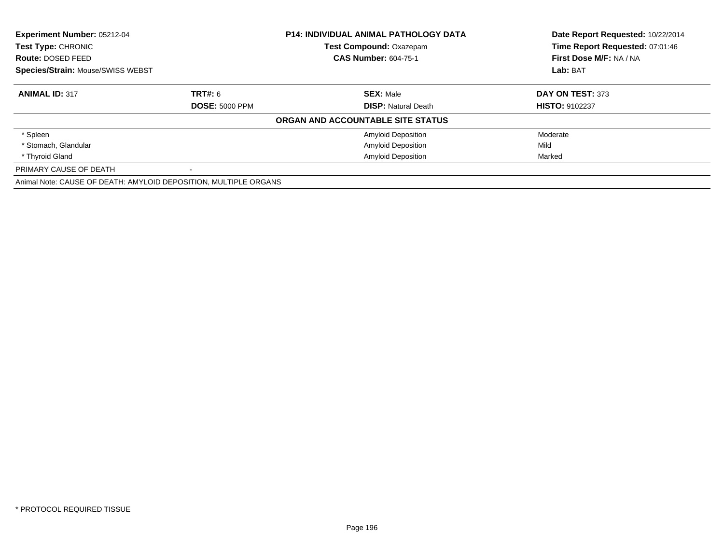| <b>Experiment Number: 05212-04</b><br>Test Type: CHRONIC         |                       | <b>P14: INDIVIDUAL ANIMAL PATHOLOGY DATA</b> | Date Report Requested: 10/22/2014 |
|------------------------------------------------------------------|-----------------------|----------------------------------------------|-----------------------------------|
|                                                                  |                       | Test Compound: Oxazepam                      | Time Report Requested: 07:01:46   |
| Route: DOSED FEED                                                |                       | <b>CAS Number: 604-75-1</b>                  | First Dose M/F: NA / NA           |
| Species/Strain: Mouse/SWISS WEBST                                |                       |                                              | Lab: BAT                          |
| <b>ANIMAL ID: 317</b>                                            | <b>TRT#: 6</b>        | <b>SEX: Male</b>                             | DAY ON TEST: 373                  |
|                                                                  | <b>DOSE: 5000 PPM</b> | <b>DISP:</b> Natural Death                   | <b>HISTO: 9102237</b>             |
|                                                                  |                       | ORGAN AND ACCOUNTABLE SITE STATUS            |                                   |
| * Spleen                                                         |                       | <b>Amyloid Deposition</b>                    | Moderate                          |
| * Stomach, Glandular                                             |                       | <b>Amyloid Deposition</b>                    | Mild                              |
| * Thyroid Gland                                                  |                       | <b>Amyloid Deposition</b>                    | Marked                            |
| PRIMARY CAUSE OF DEATH                                           |                       |                                              |                                   |
| Animal Note: CAUSE OF DEATH: AMYLOID DEPOSITION, MULTIPLE ORGANS |                       |                                              |                                   |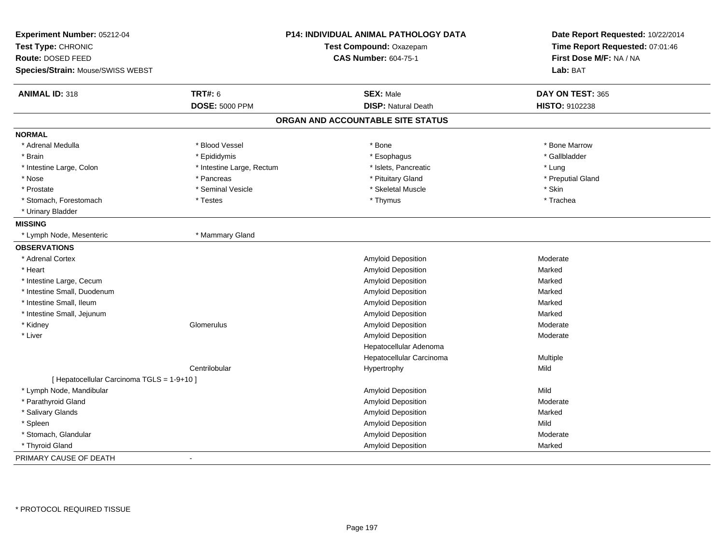| Experiment Number: 05212-04<br>Test Type: CHRONIC<br>Route: DOSED FEED<br>Species/Strain: Mouse/SWISS WEBST |                           | P14: INDIVIDUAL ANIMAL PATHOLOGY DATA<br>Test Compound: Oxazepam<br><b>CAS Number: 604-75-1</b> | Date Report Requested: 10/22/2014<br>Time Report Requested: 07:01:46<br>First Dose M/F: NA / NA<br>Lab: BAT |
|-------------------------------------------------------------------------------------------------------------|---------------------------|-------------------------------------------------------------------------------------------------|-------------------------------------------------------------------------------------------------------------|
|                                                                                                             |                           |                                                                                                 |                                                                                                             |
| <b>ANIMAL ID: 318</b>                                                                                       | <b>TRT#: 6</b>            | <b>SEX: Male</b>                                                                                | DAY ON TEST: 365                                                                                            |
|                                                                                                             | <b>DOSE: 5000 PPM</b>     | <b>DISP: Natural Death</b>                                                                      | <b>HISTO: 9102238</b>                                                                                       |
|                                                                                                             |                           | ORGAN AND ACCOUNTABLE SITE STATUS                                                               |                                                                                                             |
| <b>NORMAL</b>                                                                                               |                           |                                                                                                 |                                                                                                             |
| * Adrenal Medulla                                                                                           | * Blood Vessel            | * Bone                                                                                          | * Bone Marrow                                                                                               |
| * Brain                                                                                                     | * Epididymis              | * Esophagus                                                                                     | * Gallbladder                                                                                               |
| * Intestine Large, Colon                                                                                    | * Intestine Large, Rectum | * Islets, Pancreatic                                                                            | * Lung                                                                                                      |
| * Nose                                                                                                      | * Pancreas                | * Pituitary Gland                                                                               | * Preputial Gland                                                                                           |
| * Prostate                                                                                                  | * Seminal Vesicle         | * Skeletal Muscle                                                                               | * Skin                                                                                                      |
| * Stomach, Forestomach                                                                                      | * Testes                  | * Thymus                                                                                        | * Trachea                                                                                                   |
| * Urinary Bladder                                                                                           |                           |                                                                                                 |                                                                                                             |
| <b>MISSING</b>                                                                                              |                           |                                                                                                 |                                                                                                             |
| * Lymph Node, Mesenteric                                                                                    | * Mammary Gland           |                                                                                                 |                                                                                                             |
| <b>OBSERVATIONS</b>                                                                                         |                           |                                                                                                 |                                                                                                             |
| * Adrenal Cortex                                                                                            |                           | Amyloid Deposition                                                                              | Moderate                                                                                                    |
| * Heart                                                                                                     |                           | Amyloid Deposition                                                                              | Marked                                                                                                      |
| * Intestine Large, Cecum                                                                                    |                           | Amyloid Deposition                                                                              | Marked                                                                                                      |
| * Intestine Small, Duodenum                                                                                 |                           | <b>Amyloid Deposition</b>                                                                       | Marked                                                                                                      |
| * Intestine Small, Ileum                                                                                    |                           | <b>Amyloid Deposition</b>                                                                       | Marked                                                                                                      |
| * Intestine Small, Jejunum                                                                                  |                           | Amyloid Deposition                                                                              | Marked                                                                                                      |
| * Kidney                                                                                                    | Glomerulus                | Amyloid Deposition                                                                              | Moderate                                                                                                    |
| * Liver                                                                                                     |                           | Amyloid Deposition                                                                              | Moderate                                                                                                    |
|                                                                                                             |                           | Hepatocellular Adenoma                                                                          |                                                                                                             |
|                                                                                                             |                           | Hepatocellular Carcinoma                                                                        | Multiple                                                                                                    |
|                                                                                                             | Centrilobular             | Hypertrophy                                                                                     | Mild                                                                                                        |
| [ Hepatocellular Carcinoma TGLS = 1-9+10 ]                                                                  |                           |                                                                                                 |                                                                                                             |
| * Lymph Node, Mandibular                                                                                    |                           | Amyloid Deposition                                                                              | Mild                                                                                                        |
| * Parathyroid Gland                                                                                         |                           | Amyloid Deposition                                                                              | Moderate                                                                                                    |
| * Salivary Glands                                                                                           |                           | <b>Amyloid Deposition</b>                                                                       | Marked                                                                                                      |
| * Spleen                                                                                                    |                           | Amyloid Deposition                                                                              | Mild                                                                                                        |
| * Stomach, Glandular                                                                                        |                           | Amyloid Deposition                                                                              | Moderate                                                                                                    |
| * Thyroid Gland                                                                                             |                           | Amyloid Deposition                                                                              | Marked                                                                                                      |
| PRIMARY CAUSE OF DEATH                                                                                      |                           |                                                                                                 |                                                                                                             |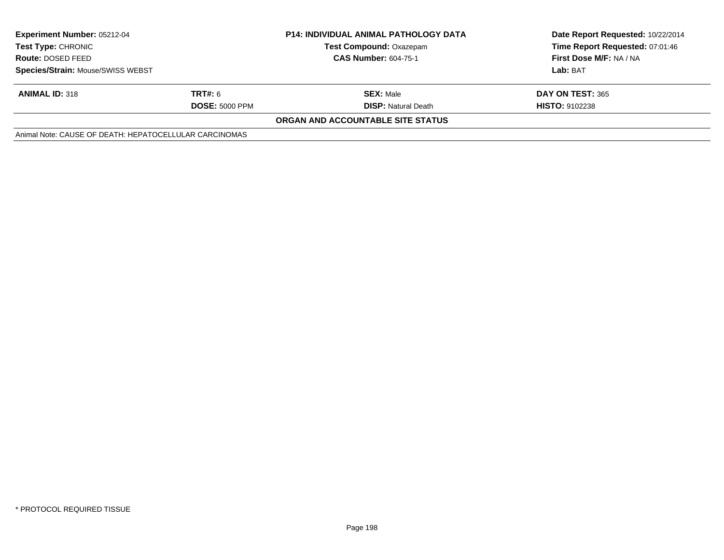| <b>Experiment Number: 05212-04</b><br>Test Type: CHRONIC<br><b>Route: DOSED FEED</b> | <b>P14: INDIVIDUAL ANIMAL PATHOLOGY DATA</b><br><b>Test Compound: Oxazepam</b><br><b>CAS Number: 604-75-1</b> |                                          | Date Report Requested: 10/22/2014<br>Time Report Requested: 07:01:46<br>First Dose M/F: NA / NA |
|--------------------------------------------------------------------------------------|---------------------------------------------------------------------------------------------------------------|------------------------------------------|-------------------------------------------------------------------------------------------------|
| Species/Strain: Mouse/SWISS WEBST                                                    |                                                                                                               |                                          | Lab: BAT                                                                                        |
| <b>ANIMAL ID: 318</b>                                                                | <b>TRT#:</b> 6                                                                                                | <b>SEX: Male</b>                         | DAY ON TEST: 365                                                                                |
|                                                                                      | <b>DOSE: 5000 PPM</b>                                                                                         | <b>DISP:</b> Natural Death               | <b>HISTO: 9102238</b>                                                                           |
|                                                                                      |                                                                                                               | <b>ORGAN AND ACCOUNTABLE SITE STATUS</b> |                                                                                                 |
| Animal Note: CAUSE OF DEATH: HEPATOCELLULAR CARCINOMAS                               |                                                                                                               |                                          |                                                                                                 |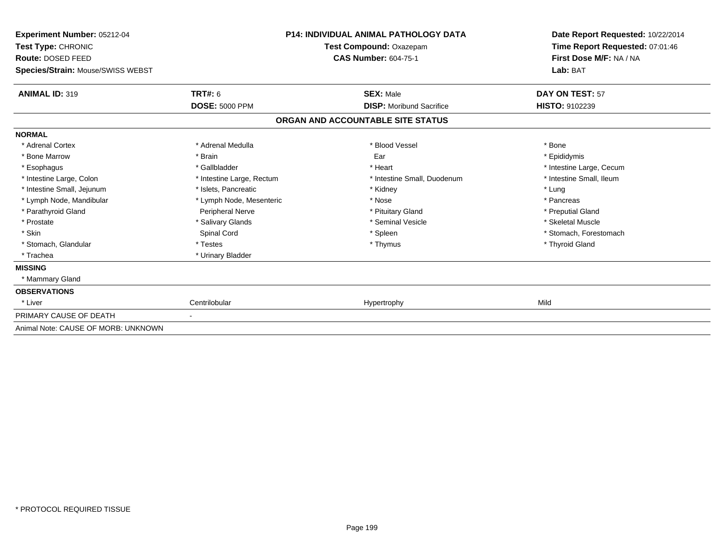| Experiment Number: 05212-04         | <b>P14: INDIVIDUAL ANIMAL PATHOLOGY DATA</b> |                                   | Date Report Requested: 10/22/2014 |  |
|-------------------------------------|----------------------------------------------|-----------------------------------|-----------------------------------|--|
| Test Type: CHRONIC                  |                                              | Test Compound: Oxazepam           | Time Report Requested: 07:01:46   |  |
| Route: DOSED FEED                   |                                              | <b>CAS Number: 604-75-1</b>       | First Dose M/F: NA / NA           |  |
| Species/Strain: Mouse/SWISS WEBST   |                                              |                                   | Lab: BAT                          |  |
| <b>ANIMAL ID: 319</b>               | TRT#: 6                                      | <b>SEX: Male</b>                  | DAY ON TEST: 57                   |  |
|                                     | <b>DOSE: 5000 PPM</b>                        | <b>DISP:</b> Moribund Sacrifice   | <b>HISTO: 9102239</b>             |  |
|                                     |                                              | ORGAN AND ACCOUNTABLE SITE STATUS |                                   |  |
| <b>NORMAL</b>                       |                                              |                                   |                                   |  |
| * Adrenal Cortex                    | * Adrenal Medulla                            | * Blood Vessel                    | * Bone                            |  |
| * Bone Marrow                       | * Brain                                      | Ear                               | * Epididymis                      |  |
| * Esophagus                         | * Gallbladder                                | * Heart                           | * Intestine Large, Cecum          |  |
| * Intestine Large, Colon            | * Intestine Large, Rectum                    | * Intestine Small, Duodenum       | * Intestine Small, Ileum          |  |
| * Intestine Small, Jejunum          | * Islets, Pancreatic                         | * Kidney                          | * Lung                            |  |
| * Lymph Node, Mandibular            | * Lymph Node, Mesenteric                     | * Nose                            | * Pancreas                        |  |
| * Parathyroid Gland                 | Peripheral Nerve                             | * Pituitary Gland                 | * Preputial Gland                 |  |
| * Prostate                          | * Salivary Glands                            | * Seminal Vesicle                 | * Skeletal Muscle                 |  |
| * Skin                              | Spinal Cord                                  | * Spleen                          | * Stomach, Forestomach            |  |
| * Stomach, Glandular                | * Testes                                     | * Thymus                          | * Thyroid Gland                   |  |
| * Trachea                           | * Urinary Bladder                            |                                   |                                   |  |
| <b>MISSING</b>                      |                                              |                                   |                                   |  |
| * Mammary Gland                     |                                              |                                   |                                   |  |
| <b>OBSERVATIONS</b>                 |                                              |                                   |                                   |  |
| * Liver                             | Centrilobular                                | Hypertrophy                       | Mild                              |  |
| PRIMARY CAUSE OF DEATH              |                                              |                                   |                                   |  |
| Animal Note: CAUSE OF MORB: UNKNOWN |                                              |                                   |                                   |  |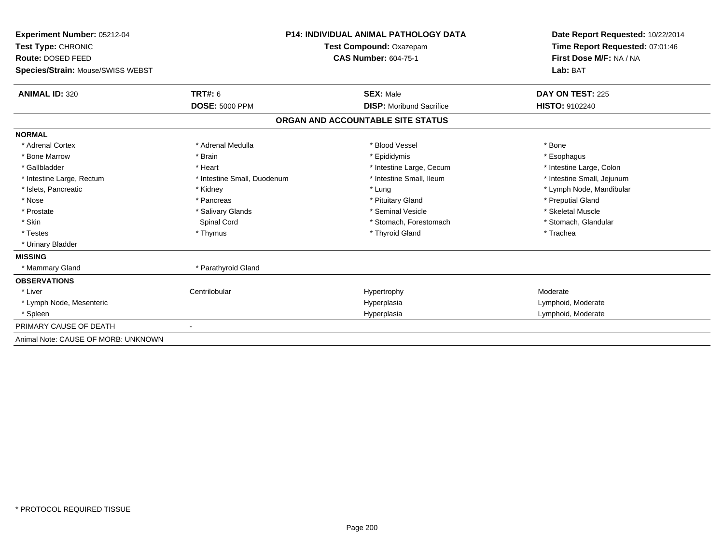| Experiment Number: 05212-04             | <b>P14: INDIVIDUAL ANIMAL PATHOLOGY DATA</b> |                                   | Date Report Requested: 10/22/2014<br>Time Report Requested: 07:01:46<br>First Dose M/F: NA / NA |  |
|-----------------------------------------|----------------------------------------------|-----------------------------------|-------------------------------------------------------------------------------------------------|--|
| Test Type: CHRONIC<br>Route: DOSED FEED |                                              | Test Compound: Oxazepam           |                                                                                                 |  |
|                                         |                                              | <b>CAS Number: 604-75-1</b>       |                                                                                                 |  |
| Species/Strain: Mouse/SWISS WEBST       |                                              |                                   | Lab: BAT                                                                                        |  |
| <b>ANIMAL ID: 320</b>                   | TRT#: 6                                      | <b>SEX: Male</b>                  | DAY ON TEST: 225                                                                                |  |
|                                         | <b>DOSE: 5000 PPM</b>                        | <b>DISP:</b> Moribund Sacrifice   | <b>HISTO: 9102240</b>                                                                           |  |
|                                         |                                              | ORGAN AND ACCOUNTABLE SITE STATUS |                                                                                                 |  |
| <b>NORMAL</b>                           |                                              |                                   |                                                                                                 |  |
| * Adrenal Cortex                        | * Adrenal Medulla                            | * Blood Vessel                    | * Bone                                                                                          |  |
| * Bone Marrow                           | * Brain                                      | * Epididymis                      | * Esophagus                                                                                     |  |
| * Gallbladder                           | * Heart                                      | * Intestine Large, Cecum          | * Intestine Large, Colon                                                                        |  |
| * Intestine Large, Rectum               | * Intestine Small, Duodenum                  | * Intestine Small, Ileum          | * Intestine Small, Jejunum                                                                      |  |
| * Islets, Pancreatic                    | * Kidney                                     | * Lung                            | * Lymph Node, Mandibular                                                                        |  |
| * Nose                                  | * Pancreas                                   | * Pituitary Gland                 | * Preputial Gland                                                                               |  |
| * Prostate                              | * Salivary Glands                            | * Seminal Vesicle                 | * Skeletal Muscle                                                                               |  |
| * Skin                                  | Spinal Cord                                  | * Stomach, Forestomach            | * Stomach, Glandular                                                                            |  |
| * Testes                                | * Thymus                                     | * Thyroid Gland                   | * Trachea                                                                                       |  |
| * Urinary Bladder                       |                                              |                                   |                                                                                                 |  |
| <b>MISSING</b>                          |                                              |                                   |                                                                                                 |  |
| * Mammary Gland                         | * Parathyroid Gland                          |                                   |                                                                                                 |  |
| <b>OBSERVATIONS</b>                     |                                              |                                   |                                                                                                 |  |
| * Liver                                 | Centrilobular                                | Hypertrophy                       | Moderate                                                                                        |  |
| * Lymph Node, Mesenteric                |                                              | Hyperplasia                       | Lymphoid, Moderate                                                                              |  |
| * Spleen                                |                                              | Hyperplasia                       | Lymphoid, Moderate                                                                              |  |
| PRIMARY CAUSE OF DEATH                  |                                              |                                   |                                                                                                 |  |
| Animal Note: CAUSE OF MORB: UNKNOWN     |                                              |                                   |                                                                                                 |  |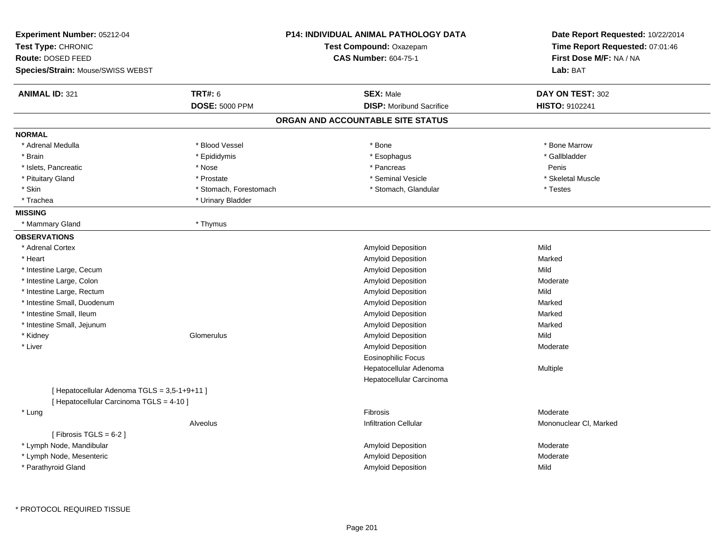| Experiment Number: 05212-04<br>Test Type: CHRONIC<br>Route: DOSED FEED<br>Species/Strain: Mouse/SWISS WEBST |                        | P14: INDIVIDUAL ANIMAL PATHOLOGY DATA<br>Test Compound: Oxazepam<br><b>CAS Number: 604-75-1</b> | Date Report Requested: 10/22/2014<br>Time Report Requested: 07:01:46<br>First Dose M/F: NA / NA<br>Lab: BAT |
|-------------------------------------------------------------------------------------------------------------|------------------------|-------------------------------------------------------------------------------------------------|-------------------------------------------------------------------------------------------------------------|
| <b>ANIMAL ID: 321</b>                                                                                       | <b>TRT#: 6</b>         | <b>SEX: Male</b>                                                                                | DAY ON TEST: 302                                                                                            |
|                                                                                                             | <b>DOSE: 5000 PPM</b>  | <b>DISP:</b> Moribund Sacrifice                                                                 | <b>HISTO: 9102241</b>                                                                                       |
|                                                                                                             |                        | ORGAN AND ACCOUNTABLE SITE STATUS                                                               |                                                                                                             |
| <b>NORMAL</b>                                                                                               |                        |                                                                                                 |                                                                                                             |
| * Adrenal Medulla                                                                                           | * Blood Vessel         | * Bone                                                                                          | * Bone Marrow                                                                                               |
| * Brain                                                                                                     | * Epididymis           | * Esophagus                                                                                     | * Gallbladder                                                                                               |
| * Islets, Pancreatic                                                                                        | * Nose                 | * Pancreas                                                                                      | Penis                                                                                                       |
| * Pituitary Gland                                                                                           | * Prostate             | * Seminal Vesicle                                                                               | * Skeletal Muscle                                                                                           |
| * Skin                                                                                                      | * Stomach, Forestomach | * Stomach, Glandular                                                                            | * Testes                                                                                                    |
| * Trachea                                                                                                   | * Urinary Bladder      |                                                                                                 |                                                                                                             |
| <b>MISSING</b>                                                                                              |                        |                                                                                                 |                                                                                                             |
| * Mammary Gland                                                                                             | * Thymus               |                                                                                                 |                                                                                                             |
| <b>OBSERVATIONS</b>                                                                                         |                        |                                                                                                 |                                                                                                             |
| * Adrenal Cortex                                                                                            |                        | Amyloid Deposition                                                                              | Mild                                                                                                        |
| * Heart                                                                                                     |                        | Amyloid Deposition                                                                              | Marked                                                                                                      |
| * Intestine Large, Cecum                                                                                    |                        | Amyloid Deposition                                                                              | Mild                                                                                                        |
| * Intestine Large, Colon                                                                                    |                        | Amyloid Deposition                                                                              | Moderate                                                                                                    |
| * Intestine Large, Rectum                                                                                   |                        | Amyloid Deposition                                                                              | Mild                                                                                                        |
| * Intestine Small, Duodenum                                                                                 |                        | Amyloid Deposition                                                                              | Marked                                                                                                      |
| * Intestine Small, Ileum                                                                                    |                        | Amyloid Deposition                                                                              | Marked                                                                                                      |
| * Intestine Small, Jejunum                                                                                  |                        | Amyloid Deposition                                                                              | Marked                                                                                                      |
| * Kidney                                                                                                    | Glomerulus             | Amyloid Deposition                                                                              | Mild                                                                                                        |
| * Liver                                                                                                     |                        | Amyloid Deposition                                                                              | Moderate                                                                                                    |
|                                                                                                             |                        | <b>Eosinophilic Focus</b>                                                                       |                                                                                                             |
|                                                                                                             |                        | Hepatocellular Adenoma                                                                          | Multiple                                                                                                    |
|                                                                                                             |                        | Hepatocellular Carcinoma                                                                        |                                                                                                             |
| [Hepatocellular Adenoma TGLS = 3,5-1+9+11]                                                                  |                        |                                                                                                 |                                                                                                             |
| [ Hepatocellular Carcinoma TGLS = 4-10 ]                                                                    |                        |                                                                                                 |                                                                                                             |
| * Lung                                                                                                      |                        | <b>Fibrosis</b>                                                                                 | Moderate                                                                                                    |
|                                                                                                             | Alveolus               | <b>Infiltration Cellular</b>                                                                    | Mononuclear CI, Marked                                                                                      |
| [Fibrosis TGLS = $6-2$ ]                                                                                    |                        |                                                                                                 |                                                                                                             |
| * Lymph Node, Mandibular                                                                                    |                        | Amyloid Deposition                                                                              | Moderate                                                                                                    |
| * Lymph Node, Mesenteric                                                                                    |                        | Amyloid Deposition                                                                              | Moderate                                                                                                    |
| * Parathyroid Gland                                                                                         |                        | <b>Amyloid Deposition</b>                                                                       | Mild                                                                                                        |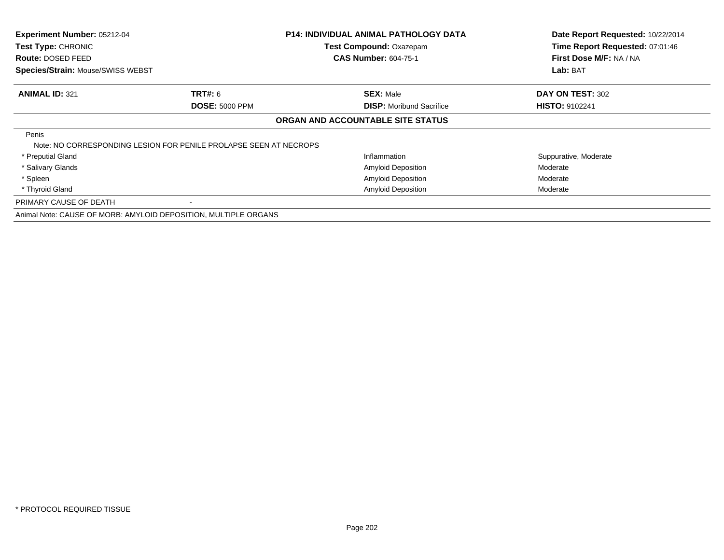| <b>Experiment Number: 05212-04</b><br>Test Type: CHRONIC<br>Route: DOSED FEED<br>Species/Strain: Mouse/SWISS WEBST |                                                                   | <b>P14: INDIVIDUAL ANIMAL PATHOLOGY DATA</b><br><b>Test Compound: Oxazepam</b><br><b>CAS Number: 604-75-1</b> | Date Report Requested: 10/22/2014<br>Time Report Requested: 07:01:46<br>First Dose M/F: NA / NA<br>Lab: BAT |
|--------------------------------------------------------------------------------------------------------------------|-------------------------------------------------------------------|---------------------------------------------------------------------------------------------------------------|-------------------------------------------------------------------------------------------------------------|
| <b>ANIMAL ID: 321</b>                                                                                              | <b>TRT#: 6</b>                                                    | <b>SEX: Male</b>                                                                                              | DAY ON TEST: 302                                                                                            |
|                                                                                                                    | <b>DOSE: 5000 PPM</b>                                             | <b>DISP:</b> Moribund Sacrifice                                                                               | <b>HISTO: 9102241</b>                                                                                       |
|                                                                                                                    |                                                                   | ORGAN AND ACCOUNTABLE SITE STATUS                                                                             |                                                                                                             |
| Penis                                                                                                              | Note: NO CORRESPONDING LESION FOR PENILE PROLAPSE SEEN AT NECROPS |                                                                                                               |                                                                                                             |
| * Preputial Gland                                                                                                  |                                                                   | Inflammation                                                                                                  | Suppurative, Moderate                                                                                       |
| * Salivary Glands                                                                                                  |                                                                   | <b>Amyloid Deposition</b>                                                                                     | Moderate                                                                                                    |
| * Spleen                                                                                                           |                                                                   | <b>Amyloid Deposition</b>                                                                                     | Moderate                                                                                                    |
| * Thyroid Gland                                                                                                    |                                                                   | Amyloid Deposition                                                                                            | Moderate                                                                                                    |
| PRIMARY CAUSE OF DEATH                                                                                             |                                                                   |                                                                                                               |                                                                                                             |
|                                                                                                                    | Animal Note: CAUSE OF MORB: AMYLOID DEPOSITION, MULTIPLE ORGANS   |                                                                                                               |                                                                                                             |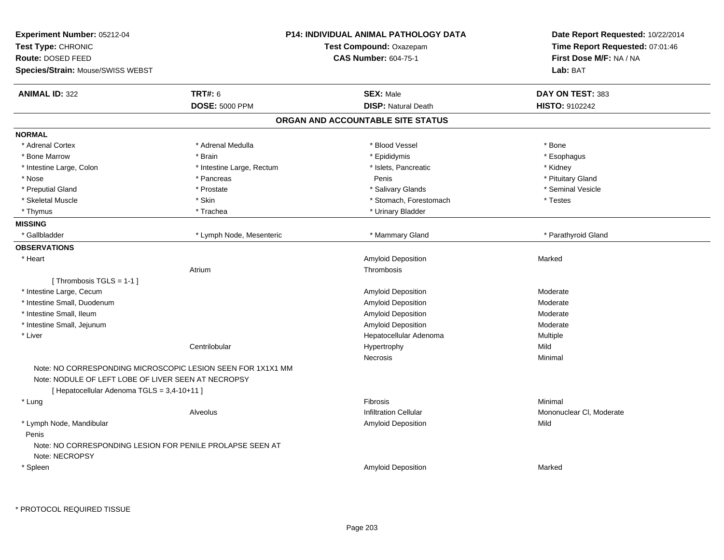| Experiment Number: 05212-04<br>Test Type: CHRONIC<br>Route: DOSED FEED<br>Species/Strain: Mouse/SWISS WEBST |                                                             | <b>P14: INDIVIDUAL ANIMAL PATHOLOGY DATA</b><br>Test Compound: Oxazepam<br><b>CAS Number: 604-75-1</b> | Date Report Requested: 10/22/2014<br>Time Report Requested: 07:01:46<br>First Dose M/F: NA / NA<br>Lab: BAT |
|-------------------------------------------------------------------------------------------------------------|-------------------------------------------------------------|--------------------------------------------------------------------------------------------------------|-------------------------------------------------------------------------------------------------------------|
|                                                                                                             |                                                             |                                                                                                        |                                                                                                             |
| <b>ANIMAL ID: 322</b>                                                                                       | <b>TRT#: 6</b>                                              | <b>SEX: Male</b>                                                                                       | DAY ON TEST: 383                                                                                            |
|                                                                                                             | <b>DOSE: 5000 PPM</b>                                       | <b>DISP: Natural Death</b>                                                                             | HISTO: 9102242                                                                                              |
|                                                                                                             |                                                             | ORGAN AND ACCOUNTABLE SITE STATUS                                                                      |                                                                                                             |
| <b>NORMAL</b>                                                                                               |                                                             |                                                                                                        |                                                                                                             |
| * Adrenal Cortex                                                                                            | * Adrenal Medulla                                           | * Blood Vessel                                                                                         | * Bone                                                                                                      |
| * Bone Marrow                                                                                               | * Brain                                                     | * Epididymis                                                                                           | * Esophagus                                                                                                 |
| * Intestine Large, Colon                                                                                    | * Intestine Large, Rectum                                   | * Islets, Pancreatic                                                                                   | * Kidney                                                                                                    |
| * Nose                                                                                                      | * Pancreas                                                  | Penis                                                                                                  | * Pituitary Gland                                                                                           |
| * Preputial Gland                                                                                           | * Prostate                                                  | * Salivary Glands                                                                                      | * Seminal Vesicle                                                                                           |
| * Skeletal Muscle                                                                                           | * Skin                                                      | * Stomach, Forestomach                                                                                 | * Testes                                                                                                    |
| * Thymus                                                                                                    | * Trachea                                                   | * Urinary Bladder                                                                                      |                                                                                                             |
| <b>MISSING</b>                                                                                              |                                                             |                                                                                                        |                                                                                                             |
| * Gallbladder                                                                                               | * Lymph Node, Mesenteric                                    | * Mammary Gland                                                                                        | * Parathyroid Gland                                                                                         |
| <b>OBSERVATIONS</b>                                                                                         |                                                             |                                                                                                        |                                                                                                             |
| * Heart                                                                                                     |                                                             | <b>Amyloid Deposition</b>                                                                              | Marked                                                                                                      |
|                                                                                                             | Atrium                                                      | Thrombosis                                                                                             |                                                                                                             |
| [Thrombosis TGLS = $1-1$ ]                                                                                  |                                                             |                                                                                                        |                                                                                                             |
| * Intestine Large, Cecum                                                                                    |                                                             | <b>Amyloid Deposition</b>                                                                              | Moderate                                                                                                    |
| * Intestine Small, Duodenum                                                                                 |                                                             | Amyloid Deposition                                                                                     | Moderate                                                                                                    |
| * Intestine Small, Ileum                                                                                    |                                                             | Amyloid Deposition                                                                                     | Moderate                                                                                                    |
| * Intestine Small, Jejunum                                                                                  |                                                             | <b>Amyloid Deposition</b>                                                                              | Moderate                                                                                                    |
| * Liver                                                                                                     |                                                             | Hepatocellular Adenoma                                                                                 | Multiple                                                                                                    |
|                                                                                                             | Centrilobular                                               | Hypertrophy                                                                                            | Mild                                                                                                        |
|                                                                                                             |                                                             | Necrosis                                                                                               | Minimal                                                                                                     |
| Note: NODULE OF LEFT LOBE OF LIVER SEEN AT NECROPSY<br>[ Hepatocellular Adenoma TGLS = 3,4-10+11 ]          | Note: NO CORRESPONDING MICROSCOPIC LESION SEEN FOR 1X1X1 MM |                                                                                                        |                                                                                                             |
| * Lung                                                                                                      |                                                             | <b>Fibrosis</b>                                                                                        | Minimal                                                                                                     |
|                                                                                                             | Alveolus                                                    | <b>Infiltration Cellular</b>                                                                           | Mononuclear CI, Moderate                                                                                    |
| * Lymph Node, Mandibular                                                                                    |                                                             | <b>Amyloid Deposition</b>                                                                              | Mild                                                                                                        |
| Penis<br>Note: NO CORRESPONDING LESION FOR PENILE PROLAPSE SEEN AT<br>Note: NECROPSY                        |                                                             |                                                                                                        |                                                                                                             |
|                                                                                                             |                                                             | <b>Amyloid Deposition</b>                                                                              | Marked                                                                                                      |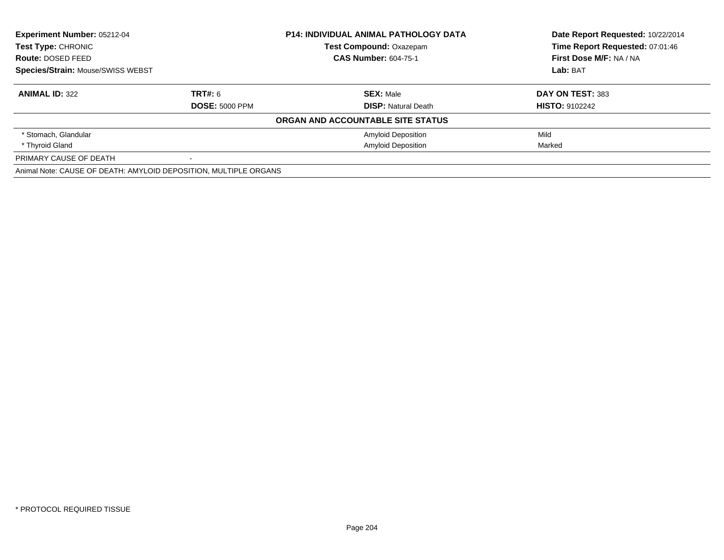| <b>Experiment Number: 05212-04</b><br><b>Test Type: CHRONIC</b>  |                       | <b>P14: INDIVIDUAL ANIMAL PATHOLOGY DATA</b> | Date Report Requested: 10/22/2014<br>Time Report Requested: 07:01:46 |
|------------------------------------------------------------------|-----------------------|----------------------------------------------|----------------------------------------------------------------------|
|                                                                  |                       | <b>Test Compound: Oxazepam</b>               |                                                                      |
| Route: DOSED FEED                                                |                       | <b>CAS Number: 604-75-1</b>                  | First Dose M/F: NA / NA                                              |
| <b>Species/Strain: Mouse/SWISS WEBST</b>                         |                       |                                              | Lab: BAT                                                             |
| <b>ANIMAL ID: 322</b>                                            | <b>TRT#: 6</b>        | <b>SEX: Male</b>                             | DAY ON TEST: 383                                                     |
|                                                                  | <b>DOSE: 5000 PPM</b> | <b>DISP:</b> Natural Death                   | <b>HISTO: 9102242</b>                                                |
|                                                                  |                       | ORGAN AND ACCOUNTABLE SITE STATUS            |                                                                      |
| * Stomach, Glandular                                             |                       | <b>Amyloid Deposition</b>                    | Mild                                                                 |
| * Thyroid Gland                                                  |                       | <b>Amyloid Deposition</b>                    | Marked                                                               |
| PRIMARY CAUSE OF DEATH                                           |                       |                                              |                                                                      |
| Animal Note: CAUSE OF DEATH: AMYLOID DEPOSITION, MULTIPLE ORGANS |                       |                                              |                                                                      |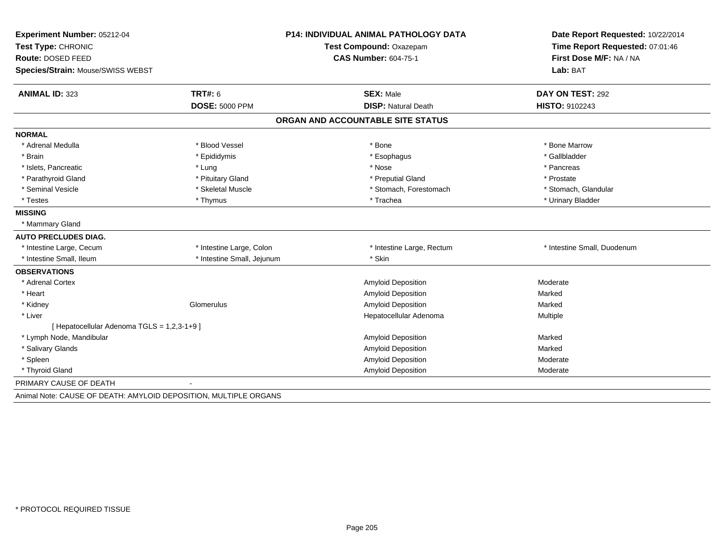| Experiment Number: 05212-04                                      |                            | P14: INDIVIDUAL ANIMAL PATHOLOGY DATA | Date Report Requested: 10/22/2014 |
|------------------------------------------------------------------|----------------------------|---------------------------------------|-----------------------------------|
| Test Type: CHRONIC                                               | Test Compound: Oxazepam    |                                       | Time Report Requested: 07:01:46   |
| Route: DOSED FEED                                                |                            | <b>CAS Number: 604-75-1</b>           | First Dose M/F: NA / NA           |
| <b>Species/Strain: Mouse/SWISS WEBST</b>                         |                            |                                       | Lab: BAT                          |
| <b>ANIMAL ID: 323</b>                                            | <b>TRT#: 6</b>             | <b>SEX: Male</b>                      | DAY ON TEST: 292                  |
|                                                                  | <b>DOSE: 5000 PPM</b>      | <b>DISP: Natural Death</b>            | <b>HISTO: 9102243</b>             |
|                                                                  |                            | ORGAN AND ACCOUNTABLE SITE STATUS     |                                   |
| <b>NORMAL</b>                                                    |                            |                                       |                                   |
| * Adrenal Medulla                                                | * Blood Vessel             | * Bone                                | * Bone Marrow                     |
| * Brain                                                          | * Epididymis               | * Esophagus                           | * Gallbladder                     |
| * Islets, Pancreatic                                             | * Lung                     | * Nose                                | * Pancreas                        |
| * Parathyroid Gland                                              | * Pituitary Gland          | * Preputial Gland                     | * Prostate                        |
| * Seminal Vesicle                                                | * Skeletal Muscle          | * Stomach, Forestomach                | * Stomach, Glandular              |
| * Testes                                                         | * Thymus                   | * Trachea                             | * Urinary Bladder                 |
| <b>MISSING</b>                                                   |                            |                                       |                                   |
| * Mammary Gland                                                  |                            |                                       |                                   |
| <b>AUTO PRECLUDES DIAG.</b>                                      |                            |                                       |                                   |
| * Intestine Large, Cecum                                         | * Intestine Large, Colon   | * Intestine Large, Rectum             | * Intestine Small, Duodenum       |
| * Intestine Small, Ileum                                         | * Intestine Small, Jejunum | * Skin                                |                                   |
| <b>OBSERVATIONS</b>                                              |                            |                                       |                                   |
| * Adrenal Cortex                                                 |                            | Amyloid Deposition                    | Moderate                          |
| * Heart                                                          |                            | Amyloid Deposition                    | Marked                            |
| * Kidney                                                         | Glomerulus                 | Amyloid Deposition                    | Marked                            |
| * Liver                                                          |                            | Hepatocellular Adenoma                | Multiple                          |
| [ Hepatocellular Adenoma TGLS = 1,2,3-1+9 ]                      |                            |                                       |                                   |
| * Lymph Node, Mandibular                                         |                            | Amyloid Deposition                    | Marked                            |
| * Salivary Glands                                                |                            | Amyloid Deposition                    | Marked                            |
| * Spleen                                                         |                            | Amyloid Deposition                    | Moderate                          |
| * Thyroid Gland                                                  |                            | Amyloid Deposition                    | Moderate                          |
| PRIMARY CAUSE OF DEATH                                           |                            |                                       |                                   |
| Animal Note: CAUSE OF DEATH: AMYLOID DEPOSITION, MULTIPLE ORGANS |                            |                                       |                                   |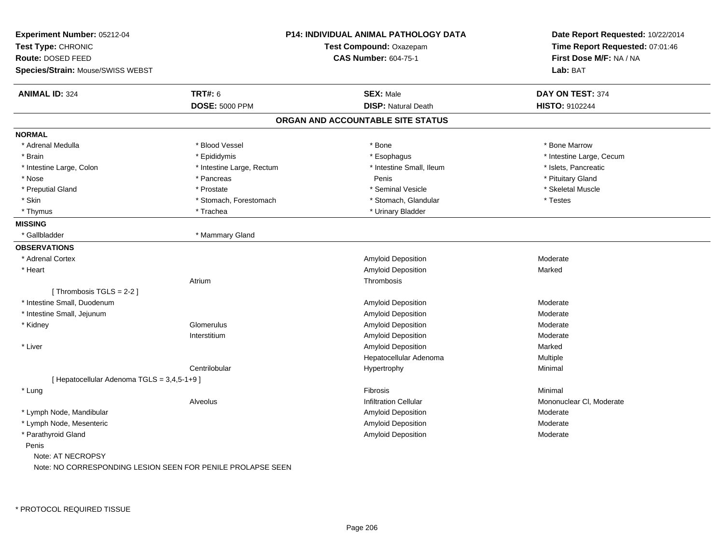| Experiment Number: 05212-04<br>Test Type: CHRONIC<br><b>Route: DOSED FEED</b><br>Species/Strain: Mouse/SWISS WEBST |                           | <b>P14: INDIVIDUAL ANIMAL PATHOLOGY DATA</b><br>Test Compound: Oxazepam<br><b>CAS Number: 604-75-1</b> | Date Report Requested: 10/22/2014<br>Time Report Requested: 07:01:46<br>First Dose M/F: NA / NA<br>Lab: BAT |
|--------------------------------------------------------------------------------------------------------------------|---------------------------|--------------------------------------------------------------------------------------------------------|-------------------------------------------------------------------------------------------------------------|
| <b>ANIMAL ID: 324</b>                                                                                              | <b>TRT#: 6</b>            | <b>SEX: Male</b>                                                                                       | DAY ON TEST: 374                                                                                            |
|                                                                                                                    | <b>DOSE: 5000 PPM</b>     | <b>DISP: Natural Death</b>                                                                             | HISTO: 9102244                                                                                              |
|                                                                                                                    |                           | ORGAN AND ACCOUNTABLE SITE STATUS                                                                      |                                                                                                             |
| <b>NORMAL</b>                                                                                                      |                           |                                                                                                        |                                                                                                             |
| * Adrenal Medulla                                                                                                  | * Blood Vessel            | * Bone                                                                                                 | * Bone Marrow                                                                                               |
| * Brain                                                                                                            | * Epididymis              | * Esophagus                                                                                            | * Intestine Large, Cecum                                                                                    |
| * Intestine Large, Colon                                                                                           | * Intestine Large, Rectum | * Intestine Small, Ileum                                                                               | * Islets, Pancreatic                                                                                        |
| * Nose                                                                                                             | * Pancreas                | Penis                                                                                                  | * Pituitary Gland                                                                                           |
| * Preputial Gland                                                                                                  | * Prostate                | * Seminal Vesicle                                                                                      | * Skeletal Muscle                                                                                           |
| * Skin                                                                                                             | * Stomach, Forestomach    | * Stomach, Glandular                                                                                   | * Testes                                                                                                    |
| * Thymus                                                                                                           | * Trachea                 | * Urinary Bladder                                                                                      |                                                                                                             |
| <b>MISSING</b>                                                                                                     |                           |                                                                                                        |                                                                                                             |
| * Gallbladder                                                                                                      | * Mammary Gland           |                                                                                                        |                                                                                                             |
| <b>OBSERVATIONS</b>                                                                                                |                           |                                                                                                        |                                                                                                             |
| * Adrenal Cortex                                                                                                   |                           | Amyloid Deposition                                                                                     | Moderate                                                                                                    |
| * Heart                                                                                                            |                           | Amyloid Deposition                                                                                     | Marked                                                                                                      |
|                                                                                                                    | Atrium                    | Thrombosis                                                                                             |                                                                                                             |
| [Thrombosis TGLS = 2-2]                                                                                            |                           |                                                                                                        |                                                                                                             |
| * Intestine Small, Duodenum                                                                                        |                           | Amyloid Deposition                                                                                     | Moderate                                                                                                    |
| * Intestine Small, Jejunum                                                                                         |                           | Amyloid Deposition                                                                                     | Moderate                                                                                                    |
| * Kidney                                                                                                           | Glomerulus                | Amyloid Deposition                                                                                     | Moderate                                                                                                    |
|                                                                                                                    | Interstitium              | Amyloid Deposition                                                                                     | Moderate                                                                                                    |
| * Liver                                                                                                            |                           | Amyloid Deposition                                                                                     | Marked                                                                                                      |
|                                                                                                                    |                           | Hepatocellular Adenoma                                                                                 | Multiple                                                                                                    |
|                                                                                                                    | Centrilobular             | Hypertrophy                                                                                            | Minimal                                                                                                     |
| [ Hepatocellular Adenoma TGLS = 3,4,5-1+9 ]                                                                        |                           |                                                                                                        |                                                                                                             |
| * Lung                                                                                                             |                           | Fibrosis                                                                                               | Minimal                                                                                                     |
|                                                                                                                    | Alveolus                  | <b>Infiltration Cellular</b>                                                                           | Mononuclear CI, Moderate                                                                                    |
| * Lymph Node, Mandibular                                                                                           |                           | Amyloid Deposition                                                                                     | Moderate                                                                                                    |
| * Lymph Node, Mesenteric                                                                                           |                           | Amyloid Deposition                                                                                     | Moderate                                                                                                    |
| * Parathyroid Gland                                                                                                |                           | Amyloid Deposition                                                                                     | Moderate                                                                                                    |
| Penis                                                                                                              |                           |                                                                                                        |                                                                                                             |
| Note: AT NECROPSY                                                                                                  |                           |                                                                                                        |                                                                                                             |
| Note: NO CORRESPONDING LESION SEEN FOR PENILE PROLAPSE SEEN                                                        |                           |                                                                                                        |                                                                                                             |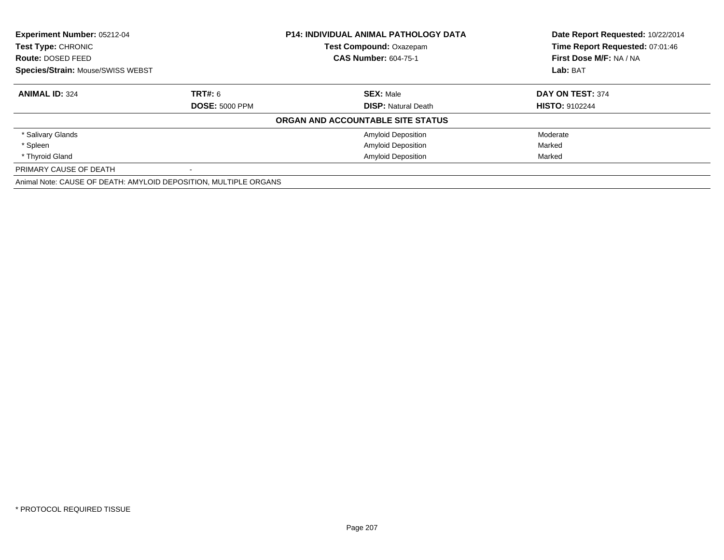| Experiment Number: 05212-04<br>Test Type: CHRONIC                |                       | <b>P14: INDIVIDUAL ANIMAL PATHOLOGY DATA</b> | Date Report Requested: 10/22/2014 |
|------------------------------------------------------------------|-----------------------|----------------------------------------------|-----------------------------------|
|                                                                  |                       | Test Compound: Oxazepam                      | Time Report Requested: 07:01:46   |
| <b>Route: DOSED FEED</b>                                         |                       | <b>CAS Number: 604-75-1</b>                  | First Dose M/F: NA / NA           |
| Species/Strain: Mouse/SWISS WEBST                                |                       |                                              | Lab: BAT                          |
| <b>ANIMAL ID: 324</b>                                            | <b>TRT#: 6</b>        | <b>SEX: Male</b>                             | DAY ON TEST: 374                  |
|                                                                  | <b>DOSE: 5000 PPM</b> | <b>DISP:</b> Natural Death                   | <b>HISTO: 9102244</b>             |
|                                                                  |                       | ORGAN AND ACCOUNTABLE SITE STATUS            |                                   |
| * Salivary Glands                                                |                       | <b>Amyloid Deposition</b>                    | Moderate                          |
| * Spleen                                                         |                       | <b>Amyloid Deposition</b>                    | Marked                            |
| * Thyroid Gland                                                  |                       | <b>Amyloid Deposition</b>                    | Marked                            |
| PRIMARY CAUSE OF DEATH                                           |                       |                                              |                                   |
| Animal Note: CAUSE OF DEATH: AMYLOID DEPOSITION, MULTIPLE ORGANS |                       |                                              |                                   |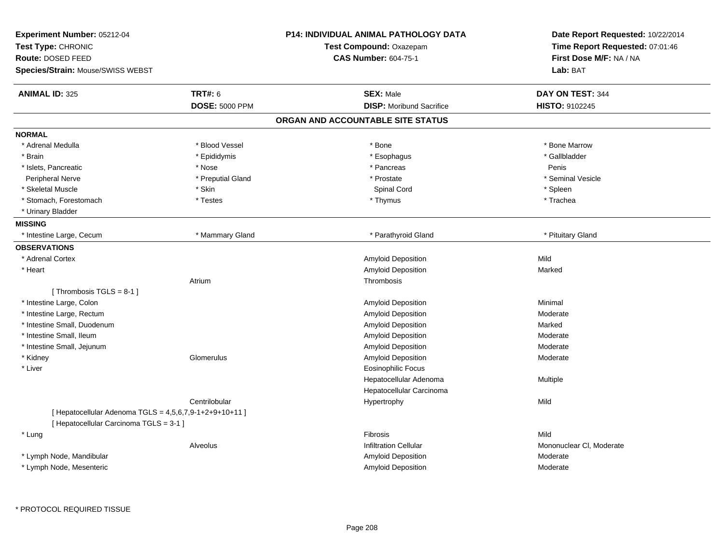| <b>ANIMAL ID: 325</b><br><b>TRT#: 6</b><br><b>SEX: Male</b><br>DAY ON TEST: 344<br><b>DOSE: 5000 PPM</b><br><b>DISP:</b> Moribund Sacrifice<br>HISTO: 9102245<br>ORGAN AND ACCOUNTABLE SITE STATUS<br>* Blood Vessel<br>* Bone Marrow<br>* Adrenal Medulla<br>* Bone<br>* Esophagus<br>* Gallbladder<br>* Brain<br>* Epididymis<br>* Nose<br>* Pancreas<br>* Islets, Pancreatic<br>Penis<br>* Preputial Gland<br>* Prostate<br>* Seminal Vesicle<br><b>Peripheral Nerve</b><br>Spinal Cord<br>* Spleen<br>* Skeletal Muscle<br>* Skin<br>* Stomach, Forestomach<br>* Testes<br>* Thymus<br>* Trachea<br>* Urinary Bladder<br>* Intestine Large, Cecum<br>* Mammary Gland<br>* Parathyroid Gland<br>* Pituitary Gland<br>Mild<br>* Adrenal Cortex<br>Amyloid Deposition<br>* Heart<br>Amyloid Deposition<br>Marked<br>Atrium<br>Thrombosis<br>[Thrombosis TGLS = $8-1$ ]<br>* Intestine Large, Colon<br>Amyloid Deposition<br>Minimal<br>* Intestine Large, Rectum<br>Amyloid Deposition<br>Moderate<br>* Intestine Small, Duodenum<br>Amyloid Deposition<br>Marked<br>* Intestine Small, Ileum<br>Amyloid Deposition<br>Moderate<br>* Intestine Small, Jejunum<br>Amyloid Deposition<br>Moderate<br>* Kidney<br>Amyloid Deposition<br>Glomerulus<br>Moderate<br>* Liver<br><b>Eosinophilic Focus</b><br>Hepatocellular Adenoma<br>Multiple<br>Hepatocellular Carcinoma<br>Centrilobular<br>Hypertrophy<br>Mild<br>[ Hepatocellular Adenoma TGLS = 4,5,6,7,9-1+2+9+10+11 ]<br>[ Hepatocellular Carcinoma TGLS = 3-1 ]<br>Mild<br>* Lung<br>Fibrosis<br><b>Infiltration Cellular</b><br>Mononuclear CI, Moderate<br>Alveolus<br>* Lymph Node, Mandibular<br>Amyloid Deposition<br>Moderate<br>* Lymph Node, Mesenteric<br>Amyloid Deposition<br>Moderate | Experiment Number: 05212-04<br>Test Type: CHRONIC<br>Route: DOSED FEED<br>Species/Strain: Mouse/SWISS WEBST | P14: INDIVIDUAL ANIMAL PATHOLOGY DATA<br><b>Test Compound: Oxazepam</b><br><b>CAS Number: 604-75-1</b> | Date Report Requested: 10/22/2014<br>Time Report Requested: 07:01:46<br>First Dose M/F: NA / NA<br>Lab: BAT |
|--------------------------------------------------------------------------------------------------------------------------------------------------------------------------------------------------------------------------------------------------------------------------------------------------------------------------------------------------------------------------------------------------------------------------------------------------------------------------------------------------------------------------------------------------------------------------------------------------------------------------------------------------------------------------------------------------------------------------------------------------------------------------------------------------------------------------------------------------------------------------------------------------------------------------------------------------------------------------------------------------------------------------------------------------------------------------------------------------------------------------------------------------------------------------------------------------------------------------------------------------------------------------------------------------------------------------------------------------------------------------------------------------------------------------------------------------------------------------------------------------------------------------------------------------------------------------------------------------------------------------------------------------------------------------------------------------------------------------------------------------------|-------------------------------------------------------------------------------------------------------------|--------------------------------------------------------------------------------------------------------|-------------------------------------------------------------------------------------------------------------|
|                                                                                                                                                                                                                                                                                                                                                                                                                                                                                                                                                                                                                                                                                                                                                                                                                                                                                                                                                                                                                                                                                                                                                                                                                                                                                                                                                                                                                                                                                                                                                                                                                                                                                                                                                        |                                                                                                             |                                                                                                        |                                                                                                             |
|                                                                                                                                                                                                                                                                                                                                                                                                                                                                                                                                                                                                                                                                                                                                                                                                                                                                                                                                                                                                                                                                                                                                                                                                                                                                                                                                                                                                                                                                                                                                                                                                                                                                                                                                                        |                                                                                                             |                                                                                                        |                                                                                                             |
|                                                                                                                                                                                                                                                                                                                                                                                                                                                                                                                                                                                                                                                                                                                                                                                                                                                                                                                                                                                                                                                                                                                                                                                                                                                                                                                                                                                                                                                                                                                                                                                                                                                                                                                                                        |                                                                                                             |                                                                                                        |                                                                                                             |
|                                                                                                                                                                                                                                                                                                                                                                                                                                                                                                                                                                                                                                                                                                                                                                                                                                                                                                                                                                                                                                                                                                                                                                                                                                                                                                                                                                                                                                                                                                                                                                                                                                                                                                                                                        | <b>NORMAL</b>                                                                                               |                                                                                                        |                                                                                                             |
|                                                                                                                                                                                                                                                                                                                                                                                                                                                                                                                                                                                                                                                                                                                                                                                                                                                                                                                                                                                                                                                                                                                                                                                                                                                                                                                                                                                                                                                                                                                                                                                                                                                                                                                                                        |                                                                                                             |                                                                                                        |                                                                                                             |
|                                                                                                                                                                                                                                                                                                                                                                                                                                                                                                                                                                                                                                                                                                                                                                                                                                                                                                                                                                                                                                                                                                                                                                                                                                                                                                                                                                                                                                                                                                                                                                                                                                                                                                                                                        |                                                                                                             |                                                                                                        |                                                                                                             |
|                                                                                                                                                                                                                                                                                                                                                                                                                                                                                                                                                                                                                                                                                                                                                                                                                                                                                                                                                                                                                                                                                                                                                                                                                                                                                                                                                                                                                                                                                                                                                                                                                                                                                                                                                        |                                                                                                             |                                                                                                        |                                                                                                             |
|                                                                                                                                                                                                                                                                                                                                                                                                                                                                                                                                                                                                                                                                                                                                                                                                                                                                                                                                                                                                                                                                                                                                                                                                                                                                                                                                                                                                                                                                                                                                                                                                                                                                                                                                                        |                                                                                                             |                                                                                                        |                                                                                                             |
|                                                                                                                                                                                                                                                                                                                                                                                                                                                                                                                                                                                                                                                                                                                                                                                                                                                                                                                                                                                                                                                                                                                                                                                                                                                                                                                                                                                                                                                                                                                                                                                                                                                                                                                                                        |                                                                                                             |                                                                                                        |                                                                                                             |
|                                                                                                                                                                                                                                                                                                                                                                                                                                                                                                                                                                                                                                                                                                                                                                                                                                                                                                                                                                                                                                                                                                                                                                                                                                                                                                                                                                                                                                                                                                                                                                                                                                                                                                                                                        |                                                                                                             |                                                                                                        |                                                                                                             |
|                                                                                                                                                                                                                                                                                                                                                                                                                                                                                                                                                                                                                                                                                                                                                                                                                                                                                                                                                                                                                                                                                                                                                                                                                                                                                                                                                                                                                                                                                                                                                                                                                                                                                                                                                        |                                                                                                             |                                                                                                        |                                                                                                             |
|                                                                                                                                                                                                                                                                                                                                                                                                                                                                                                                                                                                                                                                                                                                                                                                                                                                                                                                                                                                                                                                                                                                                                                                                                                                                                                                                                                                                                                                                                                                                                                                                                                                                                                                                                        | <b>MISSING</b>                                                                                              |                                                                                                        |                                                                                                             |
|                                                                                                                                                                                                                                                                                                                                                                                                                                                                                                                                                                                                                                                                                                                                                                                                                                                                                                                                                                                                                                                                                                                                                                                                                                                                                                                                                                                                                                                                                                                                                                                                                                                                                                                                                        |                                                                                                             |                                                                                                        |                                                                                                             |
|                                                                                                                                                                                                                                                                                                                                                                                                                                                                                                                                                                                                                                                                                                                                                                                                                                                                                                                                                                                                                                                                                                                                                                                                                                                                                                                                                                                                                                                                                                                                                                                                                                                                                                                                                        | <b>OBSERVATIONS</b>                                                                                         |                                                                                                        |                                                                                                             |
|                                                                                                                                                                                                                                                                                                                                                                                                                                                                                                                                                                                                                                                                                                                                                                                                                                                                                                                                                                                                                                                                                                                                                                                                                                                                                                                                                                                                                                                                                                                                                                                                                                                                                                                                                        |                                                                                                             |                                                                                                        |                                                                                                             |
|                                                                                                                                                                                                                                                                                                                                                                                                                                                                                                                                                                                                                                                                                                                                                                                                                                                                                                                                                                                                                                                                                                                                                                                                                                                                                                                                                                                                                                                                                                                                                                                                                                                                                                                                                        |                                                                                                             |                                                                                                        |                                                                                                             |
|                                                                                                                                                                                                                                                                                                                                                                                                                                                                                                                                                                                                                                                                                                                                                                                                                                                                                                                                                                                                                                                                                                                                                                                                                                                                                                                                                                                                                                                                                                                                                                                                                                                                                                                                                        |                                                                                                             |                                                                                                        |                                                                                                             |
|                                                                                                                                                                                                                                                                                                                                                                                                                                                                                                                                                                                                                                                                                                                                                                                                                                                                                                                                                                                                                                                                                                                                                                                                                                                                                                                                                                                                                                                                                                                                                                                                                                                                                                                                                        |                                                                                                             |                                                                                                        |                                                                                                             |
|                                                                                                                                                                                                                                                                                                                                                                                                                                                                                                                                                                                                                                                                                                                                                                                                                                                                                                                                                                                                                                                                                                                                                                                                                                                                                                                                                                                                                                                                                                                                                                                                                                                                                                                                                        |                                                                                                             |                                                                                                        |                                                                                                             |
|                                                                                                                                                                                                                                                                                                                                                                                                                                                                                                                                                                                                                                                                                                                                                                                                                                                                                                                                                                                                                                                                                                                                                                                                                                                                                                                                                                                                                                                                                                                                                                                                                                                                                                                                                        |                                                                                                             |                                                                                                        |                                                                                                             |
|                                                                                                                                                                                                                                                                                                                                                                                                                                                                                                                                                                                                                                                                                                                                                                                                                                                                                                                                                                                                                                                                                                                                                                                                                                                                                                                                                                                                                                                                                                                                                                                                                                                                                                                                                        |                                                                                                             |                                                                                                        |                                                                                                             |
|                                                                                                                                                                                                                                                                                                                                                                                                                                                                                                                                                                                                                                                                                                                                                                                                                                                                                                                                                                                                                                                                                                                                                                                                                                                                                                                                                                                                                                                                                                                                                                                                                                                                                                                                                        |                                                                                                             |                                                                                                        |                                                                                                             |
|                                                                                                                                                                                                                                                                                                                                                                                                                                                                                                                                                                                                                                                                                                                                                                                                                                                                                                                                                                                                                                                                                                                                                                                                                                                                                                                                                                                                                                                                                                                                                                                                                                                                                                                                                        |                                                                                                             |                                                                                                        |                                                                                                             |
|                                                                                                                                                                                                                                                                                                                                                                                                                                                                                                                                                                                                                                                                                                                                                                                                                                                                                                                                                                                                                                                                                                                                                                                                                                                                                                                                                                                                                                                                                                                                                                                                                                                                                                                                                        |                                                                                                             |                                                                                                        |                                                                                                             |
|                                                                                                                                                                                                                                                                                                                                                                                                                                                                                                                                                                                                                                                                                                                                                                                                                                                                                                                                                                                                                                                                                                                                                                                                                                                                                                                                                                                                                                                                                                                                                                                                                                                                                                                                                        |                                                                                                             |                                                                                                        |                                                                                                             |
|                                                                                                                                                                                                                                                                                                                                                                                                                                                                                                                                                                                                                                                                                                                                                                                                                                                                                                                                                                                                                                                                                                                                                                                                                                                                                                                                                                                                                                                                                                                                                                                                                                                                                                                                                        |                                                                                                             |                                                                                                        |                                                                                                             |
|                                                                                                                                                                                                                                                                                                                                                                                                                                                                                                                                                                                                                                                                                                                                                                                                                                                                                                                                                                                                                                                                                                                                                                                                                                                                                                                                                                                                                                                                                                                                                                                                                                                                                                                                                        |                                                                                                             |                                                                                                        |                                                                                                             |
|                                                                                                                                                                                                                                                                                                                                                                                                                                                                                                                                                                                                                                                                                                                                                                                                                                                                                                                                                                                                                                                                                                                                                                                                                                                                                                                                                                                                                                                                                                                                                                                                                                                                                                                                                        |                                                                                                             |                                                                                                        |                                                                                                             |
|                                                                                                                                                                                                                                                                                                                                                                                                                                                                                                                                                                                                                                                                                                                                                                                                                                                                                                                                                                                                                                                                                                                                                                                                                                                                                                                                                                                                                                                                                                                                                                                                                                                                                                                                                        |                                                                                                             |                                                                                                        |                                                                                                             |
|                                                                                                                                                                                                                                                                                                                                                                                                                                                                                                                                                                                                                                                                                                                                                                                                                                                                                                                                                                                                                                                                                                                                                                                                                                                                                                                                                                                                                                                                                                                                                                                                                                                                                                                                                        |                                                                                                             |                                                                                                        |                                                                                                             |
|                                                                                                                                                                                                                                                                                                                                                                                                                                                                                                                                                                                                                                                                                                                                                                                                                                                                                                                                                                                                                                                                                                                                                                                                                                                                                                                                                                                                                                                                                                                                                                                                                                                                                                                                                        |                                                                                                             |                                                                                                        |                                                                                                             |
|                                                                                                                                                                                                                                                                                                                                                                                                                                                                                                                                                                                                                                                                                                                                                                                                                                                                                                                                                                                                                                                                                                                                                                                                                                                                                                                                                                                                                                                                                                                                                                                                                                                                                                                                                        |                                                                                                             |                                                                                                        |                                                                                                             |
|                                                                                                                                                                                                                                                                                                                                                                                                                                                                                                                                                                                                                                                                                                                                                                                                                                                                                                                                                                                                                                                                                                                                                                                                                                                                                                                                                                                                                                                                                                                                                                                                                                                                                                                                                        |                                                                                                             |                                                                                                        |                                                                                                             |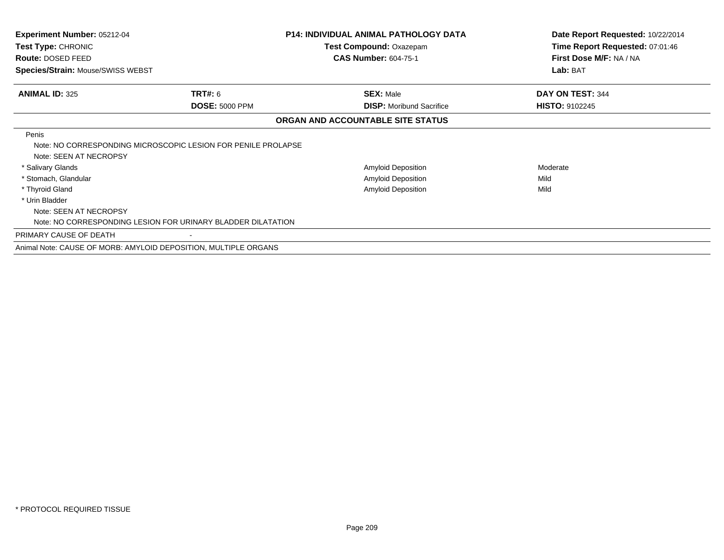| <b>Experiment Number: 05212-04</b><br>Test Type: CHRONIC |                                                                 | <b>P14: INDIVIDUAL ANIMAL PATHOLOGY DATA</b><br>Test Compound: Oxazepam | Date Report Requested: 10/22/2014<br>Time Report Requested: 07:01:46 |
|----------------------------------------------------------|-----------------------------------------------------------------|-------------------------------------------------------------------------|----------------------------------------------------------------------|
| <b>Route: DOSED FEED</b>                                 |                                                                 | <b>CAS Number: 604-75-1</b>                                             | First Dose M/F: NA / NA                                              |
| Species/Strain: Mouse/SWISS WEBST                        |                                                                 |                                                                         | Lab: BAT                                                             |
| <b>ANIMAL ID: 325</b>                                    | TRT#: 6                                                         | <b>SEX: Male</b>                                                        | DAY ON TEST: 344                                                     |
|                                                          | <b>DOSE: 5000 PPM</b>                                           | <b>DISP:</b> Moribund Sacrifice                                         | <b>HISTO: 9102245</b>                                                |
|                                                          |                                                                 | ORGAN AND ACCOUNTABLE SITE STATUS                                       |                                                                      |
| Penis<br>Note: SEEN AT NECROPSY                          | Note: NO CORRESPONDING MICROSCOPIC LESION FOR PENILE PROLAPSE   |                                                                         |                                                                      |
| * Salivary Glands                                        |                                                                 | Amyloid Deposition                                                      | Moderate                                                             |
| * Stomach, Glandular                                     |                                                                 | Amyloid Deposition                                                      | Mild                                                                 |
| * Thyroid Gland                                          |                                                                 | <b>Amyloid Deposition</b>                                               | Mild                                                                 |
| * Urin Bladder                                           |                                                                 |                                                                         |                                                                      |
| Note: SEEN AT NECROPSY                                   |                                                                 |                                                                         |                                                                      |
|                                                          | Note: NO CORRESPONDING LESION FOR URINARY BLADDER DILATATION    |                                                                         |                                                                      |
| PRIMARY CAUSE OF DEATH                                   |                                                                 |                                                                         |                                                                      |
|                                                          | Animal Note: CAUSE OF MORB: AMYLOID DEPOSITION, MULTIPLE ORGANS |                                                                         |                                                                      |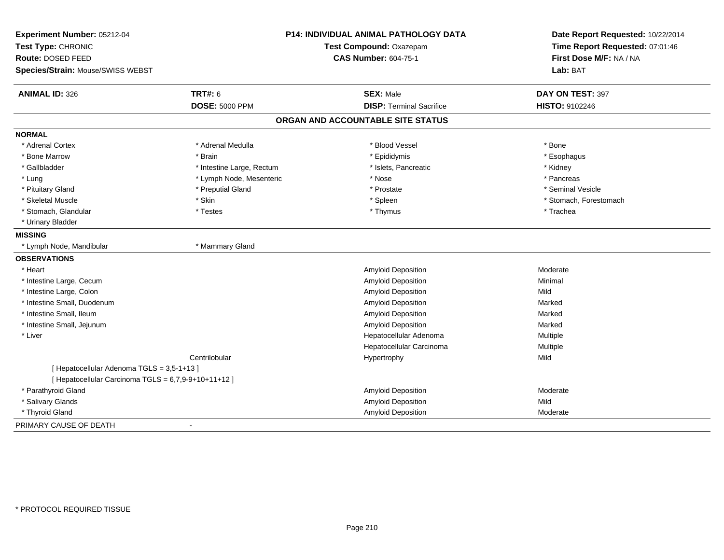| Experiment Number: 05212-04<br>Test Type: CHRONIC<br>Route: DOSED FEED<br>Species/Strain: Mouse/SWISS WEBST |                           | P14: INDIVIDUAL ANIMAL PATHOLOGY DATA<br>Test Compound: Oxazepam<br><b>CAS Number: 604-75-1</b> | Date Report Requested: 10/22/2014<br>Time Report Requested: 07:01:46<br>First Dose M/F: NA / NA<br>Lab: BAT |
|-------------------------------------------------------------------------------------------------------------|---------------------------|-------------------------------------------------------------------------------------------------|-------------------------------------------------------------------------------------------------------------|
| <b>ANIMAL ID: 326</b>                                                                                       | <b>TRT#: 6</b>            | <b>SEX: Male</b>                                                                                | DAY ON TEST: 397                                                                                            |
|                                                                                                             | <b>DOSE: 5000 PPM</b>     | <b>DISP: Terminal Sacrifice</b>                                                                 | HISTO: 9102246                                                                                              |
|                                                                                                             |                           | ORGAN AND ACCOUNTABLE SITE STATUS                                                               |                                                                                                             |
| <b>NORMAL</b>                                                                                               |                           |                                                                                                 |                                                                                                             |
| * Adrenal Cortex                                                                                            | * Adrenal Medulla         | * Blood Vessel                                                                                  | * Bone                                                                                                      |
| * Bone Marrow                                                                                               | * Brain                   | * Epididymis                                                                                    | * Esophagus                                                                                                 |
| * Gallbladder                                                                                               | * Intestine Large, Rectum | * Islets, Pancreatic                                                                            | * Kidney                                                                                                    |
| * Lung                                                                                                      | * Lymph Node, Mesenteric  | * Nose                                                                                          | * Pancreas                                                                                                  |
| * Pituitary Gland                                                                                           | * Preputial Gland         | * Prostate                                                                                      | * Seminal Vesicle                                                                                           |
| * Skeletal Muscle                                                                                           | * Skin                    | * Spleen                                                                                        | * Stomach, Forestomach                                                                                      |
| * Stomach, Glandular                                                                                        | * Testes                  | * Thymus                                                                                        | * Trachea                                                                                                   |
| * Urinary Bladder                                                                                           |                           |                                                                                                 |                                                                                                             |
| <b>MISSING</b>                                                                                              |                           |                                                                                                 |                                                                                                             |
| * Lymph Node, Mandibular                                                                                    | * Mammary Gland           |                                                                                                 |                                                                                                             |
| <b>OBSERVATIONS</b>                                                                                         |                           |                                                                                                 |                                                                                                             |
| * Heart                                                                                                     |                           | Amyloid Deposition                                                                              | Moderate                                                                                                    |
| * Intestine Large, Cecum                                                                                    |                           | Amyloid Deposition                                                                              | Minimal                                                                                                     |
| * Intestine Large, Colon                                                                                    |                           | Amyloid Deposition                                                                              | Mild                                                                                                        |
| * Intestine Small. Duodenum                                                                                 |                           | <b>Amyloid Deposition</b>                                                                       | Marked                                                                                                      |
| * Intestine Small. Ileum                                                                                    |                           | <b>Amyloid Deposition</b>                                                                       | Marked                                                                                                      |
| * Intestine Small, Jejunum                                                                                  |                           | Amyloid Deposition                                                                              | Marked                                                                                                      |
| * Liver                                                                                                     |                           | Hepatocellular Adenoma                                                                          | Multiple                                                                                                    |
|                                                                                                             |                           | Hepatocellular Carcinoma                                                                        | Multiple                                                                                                    |
|                                                                                                             | Centrilobular             | Hypertrophy                                                                                     | Mild                                                                                                        |
| [ Hepatocellular Adenoma TGLS = 3,5-1+13 ]                                                                  |                           |                                                                                                 |                                                                                                             |
| [ Hepatocellular Carcinoma TGLS = 6,7,9-9+10+11+12 ]                                                        |                           |                                                                                                 |                                                                                                             |
| * Parathyroid Gland                                                                                         |                           | Amyloid Deposition                                                                              | Moderate                                                                                                    |
| * Salivary Glands                                                                                           |                           | Amyloid Deposition                                                                              | Mild                                                                                                        |
| * Thyroid Gland                                                                                             |                           | Amyloid Deposition                                                                              | Moderate                                                                                                    |
| PRIMARY CAUSE OF DEATH                                                                                      |                           |                                                                                                 |                                                                                                             |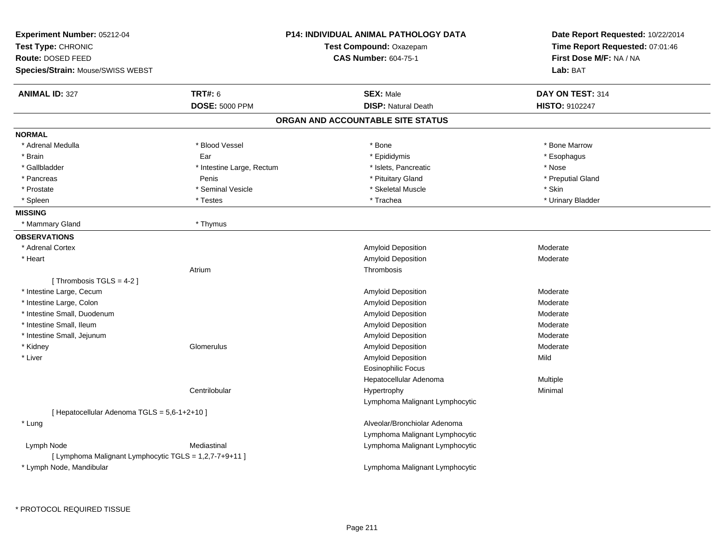| Experiment Number: 05212-04<br>Test Type: CHRONIC<br>Route: DOSED FEED<br>Species/Strain: Mouse/SWISS WEBST |                           | <b>P14: INDIVIDUAL ANIMAL PATHOLOGY DATA</b><br>Test Compound: Oxazepam<br><b>CAS Number: 604-75-1</b> | Date Report Requested: 10/22/2014<br>Time Report Requested: 07:01:46<br>First Dose M/F: NA / NA<br>Lab: BAT |
|-------------------------------------------------------------------------------------------------------------|---------------------------|--------------------------------------------------------------------------------------------------------|-------------------------------------------------------------------------------------------------------------|
|                                                                                                             |                           |                                                                                                        |                                                                                                             |
| <b>ANIMAL ID: 327</b>                                                                                       | <b>TRT#: 6</b>            | <b>SEX: Male</b><br><b>DISP: Natural Death</b>                                                         | DAY ON TEST: 314                                                                                            |
|                                                                                                             | <b>DOSE: 5000 PPM</b>     |                                                                                                        | <b>HISTO: 9102247</b>                                                                                       |
|                                                                                                             |                           | ORGAN AND ACCOUNTABLE SITE STATUS                                                                      |                                                                                                             |
| <b>NORMAL</b>                                                                                               |                           |                                                                                                        |                                                                                                             |
| * Adrenal Medulla                                                                                           | * Blood Vessel            | * Bone                                                                                                 | * Bone Marrow                                                                                               |
| * Brain                                                                                                     | Ear                       | * Epididymis                                                                                           | * Esophagus                                                                                                 |
| * Gallbladder                                                                                               | * Intestine Large, Rectum | * Islets, Pancreatic                                                                                   | * Nose                                                                                                      |
| * Pancreas                                                                                                  | Penis                     | * Pituitary Gland                                                                                      | * Preputial Gland                                                                                           |
| * Prostate                                                                                                  | * Seminal Vesicle         | * Skeletal Muscle                                                                                      | * Skin                                                                                                      |
| * Spleen                                                                                                    | * Testes                  | * Trachea                                                                                              | * Urinary Bladder                                                                                           |
| <b>MISSING</b>                                                                                              |                           |                                                                                                        |                                                                                                             |
| * Mammary Gland                                                                                             | * Thymus                  |                                                                                                        |                                                                                                             |
| <b>OBSERVATIONS</b>                                                                                         |                           |                                                                                                        |                                                                                                             |
| * Adrenal Cortex                                                                                            |                           | <b>Amyloid Deposition</b>                                                                              | Moderate                                                                                                    |
| * Heart                                                                                                     |                           | <b>Amyloid Deposition</b>                                                                              | Moderate                                                                                                    |
|                                                                                                             | Atrium                    | Thrombosis                                                                                             |                                                                                                             |
| [Thrombosis TGLS = $4-2$ ]                                                                                  |                           |                                                                                                        |                                                                                                             |
| * Intestine Large, Cecum                                                                                    |                           | <b>Amyloid Deposition</b>                                                                              | Moderate                                                                                                    |
| * Intestine Large, Colon                                                                                    |                           | <b>Amyloid Deposition</b>                                                                              | Moderate                                                                                                    |
| * Intestine Small, Duodenum                                                                                 |                           | Amyloid Deposition                                                                                     | Moderate                                                                                                    |
| * Intestine Small, Ileum                                                                                    |                           | <b>Amyloid Deposition</b>                                                                              | Moderate                                                                                                    |
| * Intestine Small, Jejunum                                                                                  |                           | Amyloid Deposition                                                                                     | Moderate                                                                                                    |
| * Kidney                                                                                                    | Glomerulus                | <b>Amyloid Deposition</b>                                                                              | Moderate                                                                                                    |
| * Liver                                                                                                     |                           | <b>Amyloid Deposition</b>                                                                              | Mild                                                                                                        |
|                                                                                                             |                           | <b>Eosinophilic Focus</b>                                                                              |                                                                                                             |
|                                                                                                             |                           | Hepatocellular Adenoma                                                                                 | Multiple                                                                                                    |
|                                                                                                             | Centrilobular             | Hypertrophy                                                                                            | Minimal                                                                                                     |
|                                                                                                             |                           | Lymphoma Malignant Lymphocytic                                                                         |                                                                                                             |
| [ Hepatocellular Adenoma TGLS = 5,6-1+2+10 ]                                                                |                           |                                                                                                        |                                                                                                             |
| * Lung                                                                                                      |                           | Alveolar/Bronchiolar Adenoma                                                                           |                                                                                                             |
|                                                                                                             |                           | Lymphoma Malignant Lymphocytic                                                                         |                                                                                                             |
| Lymph Node                                                                                                  | Mediastinal               | Lymphoma Malignant Lymphocytic                                                                         |                                                                                                             |
| [ Lymphoma Malignant Lymphocytic TGLS = 1,2,7-7+9+11 ]                                                      |                           |                                                                                                        |                                                                                                             |
| * Lymph Node, Mandibular                                                                                    |                           | Lymphoma Malignant Lymphocytic                                                                         |                                                                                                             |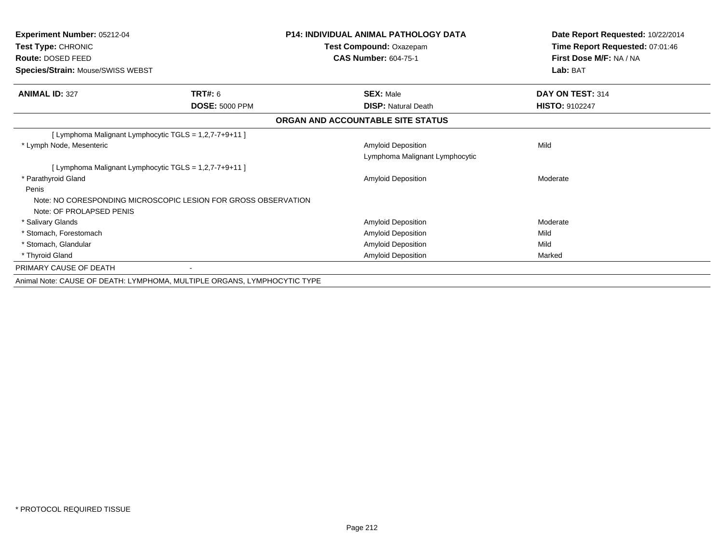| <b>Experiment Number: 05212-04</b><br>Test Type: CHRONIC<br><b>Route: DOSED FEED</b><br>Species/Strain: Mouse/SWISS WEBST |                       | <b>P14: INDIVIDUAL ANIMAL PATHOLOGY DATA</b><br>Test Compound: Oxazepam<br><b>CAS Number: 604-75-1</b> | Date Report Requested: 10/22/2014<br>Time Report Requested: 07:01:46<br>First Dose M/F: NA / NA<br>Lab: BAT |
|---------------------------------------------------------------------------------------------------------------------------|-----------------------|--------------------------------------------------------------------------------------------------------|-------------------------------------------------------------------------------------------------------------|
| <b>ANIMAL ID: 327</b>                                                                                                     | TRT#: 6               | <b>SEX: Male</b>                                                                                       | DAY ON TEST: 314                                                                                            |
|                                                                                                                           | <b>DOSE: 5000 PPM</b> | <b>DISP: Natural Death</b>                                                                             | <b>HISTO: 9102247</b>                                                                                       |
|                                                                                                                           |                       | ORGAN AND ACCOUNTABLE SITE STATUS                                                                      |                                                                                                             |
| [ Lymphoma Malignant Lymphocytic TGLS = 1,2,7-7+9+11 ]                                                                    |                       |                                                                                                        |                                                                                                             |
| * Lymph Node, Mesenteric                                                                                                  |                       | <b>Amyloid Deposition</b>                                                                              | Mild                                                                                                        |
|                                                                                                                           |                       | Lymphoma Malignant Lymphocytic                                                                         |                                                                                                             |
| [ Lymphoma Malignant Lymphocytic TGLS = 1,2,7-7+9+11 ]                                                                    |                       |                                                                                                        |                                                                                                             |
| * Parathyroid Gland                                                                                                       |                       | <b>Amyloid Deposition</b>                                                                              | Moderate                                                                                                    |
| Penis                                                                                                                     |                       |                                                                                                        |                                                                                                             |
| Note: NO CORESPONDING MICROSCOPIC LESION FOR GROSS OBSERVATION                                                            |                       |                                                                                                        |                                                                                                             |
| Note: OF PROLAPSED PENIS                                                                                                  |                       |                                                                                                        |                                                                                                             |
| * Salivary Glands                                                                                                         |                       | Amyloid Deposition                                                                                     | Moderate                                                                                                    |
| * Stomach, Forestomach                                                                                                    |                       | Amyloid Deposition                                                                                     | Mild                                                                                                        |
| * Stomach, Glandular                                                                                                      |                       | Amyloid Deposition                                                                                     | Mild                                                                                                        |
| * Thyroid Gland                                                                                                           |                       | <b>Amyloid Deposition</b>                                                                              | Marked                                                                                                      |
| PRIMARY CAUSE OF DEATH                                                                                                    |                       |                                                                                                        |                                                                                                             |
| Animal Note: CAUSE OF DEATH: LYMPHOMA, MULTIPLE ORGANS, LYMPHOCYTIC TYPE                                                  |                       |                                                                                                        |                                                                                                             |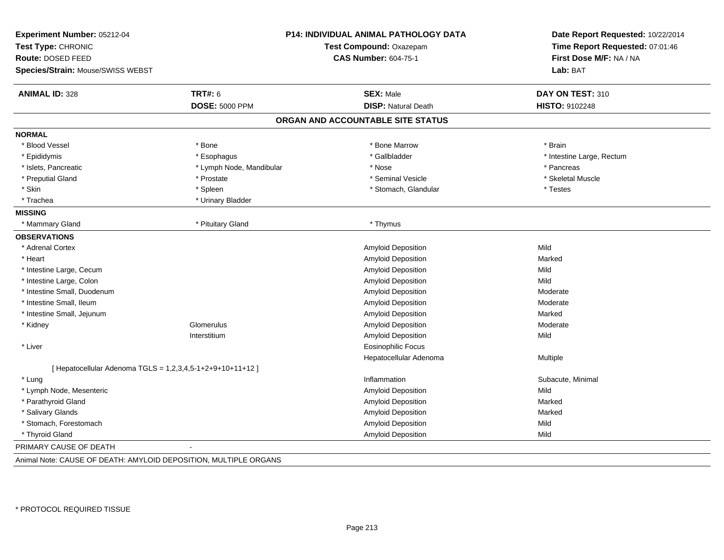| Experiment Number: 05212-04<br>Test Type: CHRONIC<br>Route: DOSED FEED<br>Species/Strain: Mouse/SWISS WEBST |                          | P14: INDIVIDUAL ANIMAL PATHOLOGY DATA<br>Test Compound: Oxazepam<br><b>CAS Number: 604-75-1</b> | Date Report Requested: 10/22/2014<br>Time Report Requested: 07:01:46<br>First Dose M/F: NA / NA<br>Lab: BAT |
|-------------------------------------------------------------------------------------------------------------|--------------------------|-------------------------------------------------------------------------------------------------|-------------------------------------------------------------------------------------------------------------|
|                                                                                                             |                          |                                                                                                 |                                                                                                             |
| <b>ANIMAL ID: 328</b>                                                                                       | <b>TRT#: 6</b>           | <b>SEX: Male</b>                                                                                | DAY ON TEST: 310                                                                                            |
|                                                                                                             | <b>DOSE: 5000 PPM</b>    | <b>DISP: Natural Death</b>                                                                      | HISTO: 9102248                                                                                              |
|                                                                                                             |                          | ORGAN AND ACCOUNTABLE SITE STATUS                                                               |                                                                                                             |
| <b>NORMAL</b>                                                                                               |                          |                                                                                                 |                                                                                                             |
| * Blood Vessel                                                                                              | * Bone                   | * Bone Marrow                                                                                   | * Brain                                                                                                     |
| * Epididymis                                                                                                | * Esophagus              | * Gallbladder                                                                                   | * Intestine Large, Rectum                                                                                   |
| * Islets, Pancreatic                                                                                        | * Lymph Node, Mandibular | * Nose                                                                                          | * Pancreas                                                                                                  |
| * Preputial Gland                                                                                           | * Prostate               | * Seminal Vesicle                                                                               | * Skeletal Muscle                                                                                           |
| * Skin                                                                                                      | * Spleen                 | * Stomach, Glandular                                                                            | * Testes                                                                                                    |
| * Trachea                                                                                                   | * Urinary Bladder        |                                                                                                 |                                                                                                             |
| <b>MISSING</b>                                                                                              |                          |                                                                                                 |                                                                                                             |
| * Mammary Gland                                                                                             | * Pituitary Gland        | * Thymus                                                                                        |                                                                                                             |
| <b>OBSERVATIONS</b>                                                                                         |                          |                                                                                                 |                                                                                                             |
| * Adrenal Cortex                                                                                            |                          | Amyloid Deposition                                                                              | Mild                                                                                                        |
| * Heart                                                                                                     |                          | Amyloid Deposition                                                                              | Marked                                                                                                      |
| * Intestine Large, Cecum                                                                                    |                          | <b>Amyloid Deposition</b>                                                                       | Mild                                                                                                        |
| * Intestine Large, Colon                                                                                    |                          | Amyloid Deposition                                                                              | Mild                                                                                                        |
| * Intestine Small, Duodenum                                                                                 |                          | Amyloid Deposition                                                                              | Moderate                                                                                                    |
| * Intestine Small, Ileum                                                                                    |                          | Amyloid Deposition                                                                              | Moderate                                                                                                    |
| * Intestine Small, Jejunum                                                                                  |                          | Amyloid Deposition                                                                              | Marked                                                                                                      |
| * Kidney                                                                                                    | Glomerulus               | Amyloid Deposition                                                                              | Moderate                                                                                                    |
|                                                                                                             | Interstitium             | <b>Amyloid Deposition</b>                                                                       | Mild                                                                                                        |
| * Liver                                                                                                     |                          | <b>Eosinophilic Focus</b>                                                                       |                                                                                                             |
|                                                                                                             |                          | Hepatocellular Adenoma                                                                          | Multiple                                                                                                    |
| [ Hepatocellular Adenoma TGLS = 1,2,3,4,5-1+2+9+10+11+12 ]                                                  |                          |                                                                                                 |                                                                                                             |
| * Lung                                                                                                      |                          | Inflammation                                                                                    | Subacute, Minimal                                                                                           |
| * Lymph Node, Mesenteric                                                                                    |                          | Amyloid Deposition                                                                              | Mild                                                                                                        |
| * Parathyroid Gland                                                                                         |                          | Amyloid Deposition                                                                              | Marked                                                                                                      |
| * Salivary Glands                                                                                           |                          | Amyloid Deposition                                                                              | Marked                                                                                                      |
| * Stomach, Forestomach                                                                                      |                          | Amyloid Deposition                                                                              | Mild                                                                                                        |
| * Thyroid Gland                                                                                             |                          | <b>Amyloid Deposition</b>                                                                       | Mild                                                                                                        |
| PRIMARY CAUSE OF DEATH                                                                                      |                          |                                                                                                 |                                                                                                             |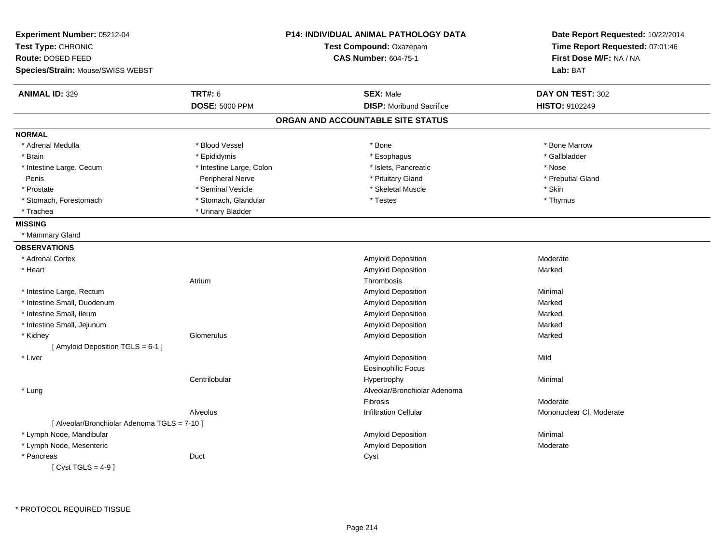| Experiment Number: 05212-04<br>Test Type: CHRONIC<br>Route: DOSED FEED<br>Species/Strain: Mouse/SWISS WEBST |                          | <b>P14: INDIVIDUAL ANIMAL PATHOLOGY DATA</b><br>Test Compound: Oxazepam<br><b>CAS Number: 604-75-1</b> | Date Report Requested: 10/22/2014<br>Time Report Requested: 07:01:46<br>First Dose M/F: NA / NA<br>Lab: BAT |
|-------------------------------------------------------------------------------------------------------------|--------------------------|--------------------------------------------------------------------------------------------------------|-------------------------------------------------------------------------------------------------------------|
|                                                                                                             |                          |                                                                                                        |                                                                                                             |
| <b>ANIMAL ID: 329</b>                                                                                       | <b>TRT#: 6</b>           | <b>SEX: Male</b>                                                                                       | DAY ON TEST: 302                                                                                            |
|                                                                                                             | <b>DOSE: 5000 PPM</b>    | <b>DISP:</b> Moribund Sacrifice                                                                        | HISTO: 9102249                                                                                              |
|                                                                                                             |                          | ORGAN AND ACCOUNTABLE SITE STATUS                                                                      |                                                                                                             |
| <b>NORMAL</b>                                                                                               |                          |                                                                                                        |                                                                                                             |
| * Adrenal Medulla                                                                                           | * Blood Vessel           | * Bone                                                                                                 | * Bone Marrow                                                                                               |
| * Brain                                                                                                     | * Epididymis             | * Esophagus                                                                                            | * Gallbladder                                                                                               |
| * Intestine Large, Cecum                                                                                    | * Intestine Large, Colon | * Islets, Pancreatic                                                                                   | * Nose                                                                                                      |
| Penis                                                                                                       | <b>Peripheral Nerve</b>  | * Pituitary Gland                                                                                      | * Preputial Gland                                                                                           |
| * Prostate                                                                                                  | * Seminal Vesicle        | * Skeletal Muscle                                                                                      | * Skin                                                                                                      |
| * Stomach, Forestomach                                                                                      | * Stomach, Glandular     | * Testes                                                                                               | * Thymus                                                                                                    |
| * Trachea                                                                                                   | * Urinary Bladder        |                                                                                                        |                                                                                                             |
| <b>MISSING</b>                                                                                              |                          |                                                                                                        |                                                                                                             |
| * Mammary Gland                                                                                             |                          |                                                                                                        |                                                                                                             |
| <b>OBSERVATIONS</b>                                                                                         |                          |                                                                                                        |                                                                                                             |
| * Adrenal Cortex                                                                                            |                          | Amyloid Deposition                                                                                     | Moderate                                                                                                    |
| * Heart                                                                                                     |                          | Amyloid Deposition                                                                                     | Marked                                                                                                      |
|                                                                                                             | Atrium                   | Thrombosis                                                                                             |                                                                                                             |
| * Intestine Large, Rectum                                                                                   |                          | Amyloid Deposition                                                                                     | Minimal                                                                                                     |
| * Intestine Small, Duodenum                                                                                 |                          | Amyloid Deposition                                                                                     | Marked                                                                                                      |
| * Intestine Small, Ileum                                                                                    |                          | Amyloid Deposition                                                                                     | Marked                                                                                                      |
| * Intestine Small, Jejunum                                                                                  |                          | Amyloid Deposition                                                                                     | Marked                                                                                                      |
| * Kidney                                                                                                    | Glomerulus               | Amyloid Deposition                                                                                     | Marked                                                                                                      |
| [ Amyloid Deposition TGLS = 6-1 ]                                                                           |                          |                                                                                                        |                                                                                                             |
| * Liver                                                                                                     |                          | Amyloid Deposition                                                                                     | Mild                                                                                                        |
|                                                                                                             |                          | <b>Eosinophilic Focus</b>                                                                              |                                                                                                             |
|                                                                                                             | Centrilobular            | Hypertrophy                                                                                            | Minimal                                                                                                     |
| * Lung                                                                                                      |                          | Alveolar/Bronchiolar Adenoma                                                                           |                                                                                                             |
|                                                                                                             |                          | Fibrosis                                                                                               | Moderate                                                                                                    |
|                                                                                                             | Alveolus                 | <b>Infiltration Cellular</b>                                                                           | Mononuclear CI, Moderate                                                                                    |
| [ Alveolar/Bronchiolar Adenoma TGLS = 7-10 ]                                                                |                          |                                                                                                        |                                                                                                             |
| * Lymph Node, Mandibular                                                                                    |                          | <b>Amyloid Deposition</b>                                                                              | Minimal                                                                                                     |
| * Lymph Node, Mesenteric                                                                                    |                          | Amyloid Deposition                                                                                     | Moderate                                                                                                    |
| * Pancreas                                                                                                  | Duct                     | Cyst                                                                                                   |                                                                                                             |
| [Cyst TGLS = $4-9$ ]                                                                                        |                          |                                                                                                        |                                                                                                             |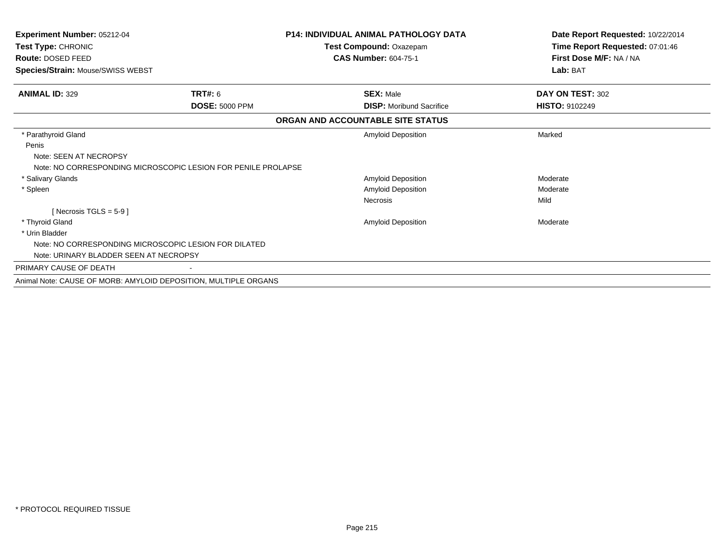| Experiment Number: 05212-04<br>Test Type: CHRONIC               |                       | <b>P14: INDIVIDUAL ANIMAL PATHOLOGY DATA</b><br>Test Compound: Oxazepam | Date Report Requested: 10/22/2014<br>Time Report Requested: 07:01:46 |
|-----------------------------------------------------------------|-----------------------|-------------------------------------------------------------------------|----------------------------------------------------------------------|
| Route: DOSED FEED                                               |                       | <b>CAS Number: 604-75-1</b>                                             | First Dose M/F: NA / NA                                              |
| Species/Strain: Mouse/SWISS WEBST                               |                       |                                                                         | Lab: BAT                                                             |
| <b>ANIMAL ID: 329</b>                                           | <b>TRT#: 6</b>        | <b>SEX: Male</b>                                                        | DAY ON TEST: 302                                                     |
|                                                                 | <b>DOSE: 5000 PPM</b> | <b>DISP:</b> Moribund Sacrifice                                         | <b>HISTO: 9102249</b>                                                |
|                                                                 |                       | ORGAN AND ACCOUNTABLE SITE STATUS                                       |                                                                      |
| * Parathyroid Gland                                             |                       | <b>Amyloid Deposition</b>                                               | Marked                                                               |
| Penis<br>Note: SEEN AT NECROPSY                                 |                       |                                                                         |                                                                      |
| Note: NO CORRESPONDING MICROSCOPIC LESION FOR PENILE PROLAPSE   |                       |                                                                         | Moderate                                                             |
| * Salivary Glands                                               |                       | Amyloid Deposition                                                      | Moderate                                                             |
| * Spleen                                                        |                       | Amyloid Deposition<br><b>Necrosis</b>                                   | Mild                                                                 |
| [ Necrosis TGLS = $5-9$ ]                                       |                       |                                                                         |                                                                      |
| * Thyroid Gland                                                 |                       | Amyloid Deposition                                                      | Moderate                                                             |
| * Urin Bladder                                                  |                       |                                                                         |                                                                      |
| Note: NO CORRESPONDING MICROSCOPIC LESION FOR DILATED           |                       |                                                                         |                                                                      |
| Note: URINARY BLADDER SEEN AT NECROPSY                          |                       |                                                                         |                                                                      |
| PRIMARY CAUSE OF DEATH                                          |                       |                                                                         |                                                                      |
| Animal Note: CAUSE OF MORB: AMYLOID DEPOSITION, MULTIPLE ORGANS |                       |                                                                         |                                                                      |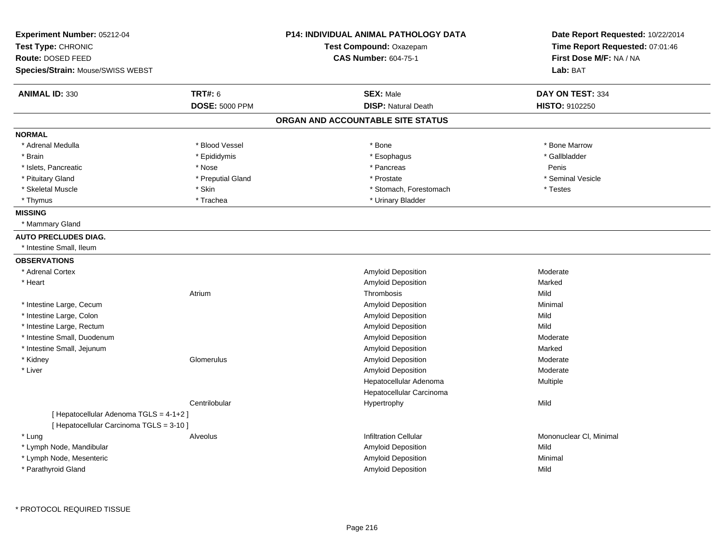| Experiment Number: 05212-04                                                       |                       | <b>P14: INDIVIDUAL ANIMAL PATHOLOGY DATA</b> | Date Report Requested: 10/22/2014 |
|-----------------------------------------------------------------------------------|-----------------------|----------------------------------------------|-----------------------------------|
| Test Type: CHRONIC                                                                |                       | Test Compound: Oxazepam                      | Time Report Requested: 07:01:46   |
| Route: DOSED FEED                                                                 |                       | <b>CAS Number: 604-75-1</b>                  | First Dose M/F: NA / NA           |
| Species/Strain: Mouse/SWISS WEBST                                                 |                       |                                              | Lab: BAT                          |
| <b>ANIMAL ID: 330</b>                                                             | <b>TRT#: 6</b>        | <b>SEX: Male</b>                             | DAY ON TEST: 334                  |
|                                                                                   | <b>DOSE: 5000 PPM</b> | <b>DISP: Natural Death</b>                   | <b>HISTO: 9102250</b>             |
|                                                                                   |                       | ORGAN AND ACCOUNTABLE SITE STATUS            |                                   |
| <b>NORMAL</b>                                                                     |                       |                                              |                                   |
| * Adrenal Medulla                                                                 | * Blood Vessel        | * Bone                                       | * Bone Marrow                     |
| * Brain                                                                           | * Epididymis          | * Esophagus                                  | * Gallbladder                     |
| * Islets, Pancreatic                                                              | * Nose                | * Pancreas                                   | Penis                             |
| * Pituitary Gland                                                                 | * Preputial Gland     | * Prostate                                   | * Seminal Vesicle                 |
| * Skeletal Muscle                                                                 | $*$ Skin              | * Stomach, Forestomach                       | * Testes                          |
| * Thymus                                                                          | * Trachea             | * Urinary Bladder                            |                                   |
| <b>MISSING</b>                                                                    |                       |                                              |                                   |
| * Mammary Gland                                                                   |                       |                                              |                                   |
| <b>AUTO PRECLUDES DIAG.</b>                                                       |                       |                                              |                                   |
| * Intestine Small, Ileum                                                          |                       |                                              |                                   |
| <b>OBSERVATIONS</b>                                                               |                       |                                              |                                   |
| * Adrenal Cortex                                                                  |                       | Amyloid Deposition                           | Moderate                          |
| * Heart                                                                           |                       | Amyloid Deposition                           | Marked                            |
|                                                                                   | Atrium                | Thrombosis                                   | Mild                              |
| * Intestine Large, Cecum                                                          |                       | Amyloid Deposition                           | Minimal                           |
| * Intestine Large, Colon                                                          |                       | Amyloid Deposition                           | Mild                              |
| * Intestine Large, Rectum                                                         |                       | Amyloid Deposition                           | Mild                              |
| * Intestine Small, Duodenum                                                       |                       | Amyloid Deposition                           | Moderate                          |
| * Intestine Small, Jejunum                                                        |                       | Amyloid Deposition                           | Marked                            |
| * Kidney                                                                          | Glomerulus            | Amyloid Deposition                           | Moderate                          |
| * Liver                                                                           |                       | Amyloid Deposition                           | Moderate                          |
|                                                                                   |                       | Hepatocellular Adenoma                       | Multiple                          |
|                                                                                   |                       | Hepatocellular Carcinoma                     |                                   |
|                                                                                   | Centrilobular         | Hypertrophy                                  | Mild                              |
| [Hepatocellular Adenoma TGLS = 4-1+2]<br>[ Hepatocellular Carcinoma TGLS = 3-10 ] |                       |                                              |                                   |
| * Lung                                                                            | Alveolus              | <b>Infiltration Cellular</b>                 | Mononuclear CI, Minimal           |
| * Lymph Node, Mandibular                                                          |                       | Amyloid Deposition                           | Mild                              |
| * Lymph Node, Mesenteric                                                          |                       | Amyloid Deposition                           | Minimal                           |
| * Parathyroid Gland                                                               |                       | Amyloid Deposition                           | Mild                              |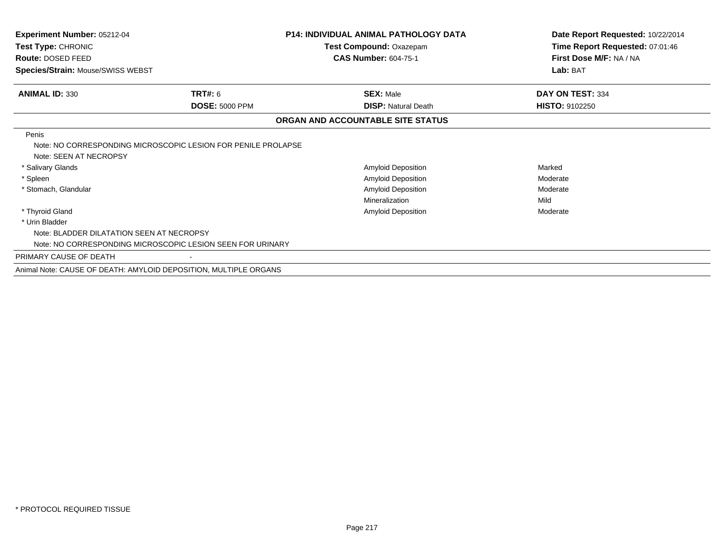| Experiment Number: 05212-04<br>Test Type: CHRONIC<br>Route: DOSED FEED<br>Species/Strain: Mouse/SWISS WEBST                                               |                                         | <b>P14: INDIVIDUAL ANIMAL PATHOLOGY DATA</b><br>Test Compound: Oxazepam<br><b>CAS Number: 604-75-1</b> | Date Report Requested: 10/22/2014<br>Time Report Requested: 07:01:46<br>First Dose M/F: NA / NA<br>Lab: BAT |
|-----------------------------------------------------------------------------------------------------------------------------------------------------------|-----------------------------------------|--------------------------------------------------------------------------------------------------------|-------------------------------------------------------------------------------------------------------------|
| <b>ANIMAL ID: 330</b>                                                                                                                                     | <b>TRT#: 6</b><br><b>DOSE: 5000 PPM</b> | <b>SEX: Male</b><br><b>DISP: Natural Death</b>                                                         | DAY ON TEST: 334<br><b>HISTO: 9102250</b>                                                                   |
|                                                                                                                                                           |                                         | ORGAN AND ACCOUNTABLE SITE STATUS                                                                      |                                                                                                             |
| Penis<br>Note: NO CORRESPONDING MICROSCOPIC LESION FOR PENILE PROLAPSE<br>Note: SEEN AT NECROPSY<br>* Salivary Glands<br>* Spleen<br>* Stomach, Glandular |                                         | Amyloid Deposition<br>Amyloid Deposition<br><b>Amyloid Deposition</b><br>Mineralization                | Marked<br>Moderate<br>Moderate<br>Mild                                                                      |
| * Thyroid Gland                                                                                                                                           |                                         | Amyloid Deposition                                                                                     | Moderate                                                                                                    |
| * Urin Bladder<br>Note: BLADDER DILATATION SEEN AT NECROPSY<br>Note: NO CORRESPONDING MICROSCOPIC LESION SEEN FOR URINARY                                 |                                         |                                                                                                        |                                                                                                             |
| PRIMARY CAUSE OF DEATH                                                                                                                                    |                                         |                                                                                                        |                                                                                                             |
| Animal Note: CAUSE OF DEATH: AMYLOID DEPOSITION, MULTIPLE ORGANS                                                                                          |                                         |                                                                                                        |                                                                                                             |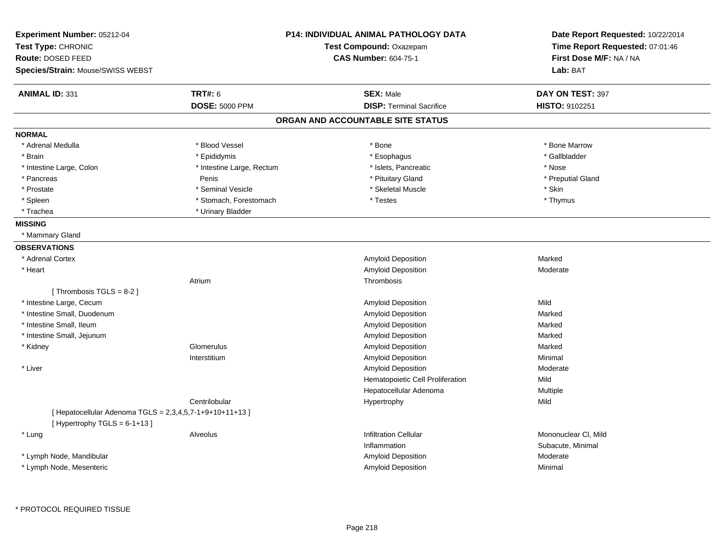| Experiment Number: 05212-04<br>Test Type: CHRONIC<br>Route: DOSED FEED                      |                           | <b>P14: INDIVIDUAL ANIMAL PATHOLOGY DATA</b><br>Test Compound: Oxazepam<br><b>CAS Number: 604-75-1</b> | Date Report Requested: 10/22/2014<br>Time Report Requested: 07:01:46<br>First Dose M/F: NA / NA |
|---------------------------------------------------------------------------------------------|---------------------------|--------------------------------------------------------------------------------------------------------|-------------------------------------------------------------------------------------------------|
| Species/Strain: Mouse/SWISS WEBST                                                           |                           |                                                                                                        | Lab: BAT                                                                                        |
| <b>ANIMAL ID: 331</b>                                                                       | <b>TRT#: 6</b>            | <b>SEX: Male</b>                                                                                       | DAY ON TEST: 397                                                                                |
|                                                                                             | <b>DOSE: 5000 PPM</b>     | <b>DISP: Terminal Sacrifice</b>                                                                        | HISTO: 9102251                                                                                  |
|                                                                                             |                           | ORGAN AND ACCOUNTABLE SITE STATUS                                                                      |                                                                                                 |
| <b>NORMAL</b>                                                                               |                           |                                                                                                        |                                                                                                 |
| * Adrenal Medulla                                                                           | * Blood Vessel            | * Bone                                                                                                 | * Bone Marrow                                                                                   |
| * Brain                                                                                     | * Epididymis              | * Esophagus                                                                                            | * Gallbladder                                                                                   |
| * Intestine Large, Colon                                                                    | * Intestine Large, Rectum | * Islets, Pancreatic                                                                                   | * Nose                                                                                          |
| * Pancreas                                                                                  | Penis                     | * Pituitary Gland                                                                                      | * Preputial Gland                                                                               |
| * Prostate                                                                                  | * Seminal Vesicle         | * Skeletal Muscle                                                                                      | * Skin                                                                                          |
| * Spleen                                                                                    | * Stomach, Forestomach    | * Testes                                                                                               | * Thymus                                                                                        |
| * Trachea                                                                                   | * Urinary Bladder         |                                                                                                        |                                                                                                 |
| <b>MISSING</b>                                                                              |                           |                                                                                                        |                                                                                                 |
| * Mammary Gland                                                                             |                           |                                                                                                        |                                                                                                 |
| <b>OBSERVATIONS</b>                                                                         |                           |                                                                                                        |                                                                                                 |
| * Adrenal Cortex                                                                            |                           | Amyloid Deposition                                                                                     | Marked                                                                                          |
| * Heart                                                                                     |                           | Amyloid Deposition                                                                                     | Moderate                                                                                        |
|                                                                                             | Atrium                    | Thrombosis                                                                                             |                                                                                                 |
| [Thrombosis TGLS = $8-2$ ]                                                                  |                           |                                                                                                        |                                                                                                 |
| * Intestine Large, Cecum                                                                    |                           | Amyloid Deposition                                                                                     | Mild                                                                                            |
| * Intestine Small, Duodenum                                                                 |                           | Amyloid Deposition                                                                                     | Marked                                                                                          |
| * Intestine Small, Ileum                                                                    |                           | Amyloid Deposition                                                                                     | Marked                                                                                          |
| * Intestine Small, Jejunum                                                                  |                           | <b>Amyloid Deposition</b>                                                                              | Marked                                                                                          |
| * Kidney                                                                                    | Glomerulus                | Amyloid Deposition                                                                                     | Marked                                                                                          |
|                                                                                             | Interstitium              | Amyloid Deposition                                                                                     | Minimal                                                                                         |
| * Liver                                                                                     |                           | Amyloid Deposition                                                                                     | Moderate                                                                                        |
|                                                                                             |                           | Hematopoietic Cell Proliferation                                                                       | Mild                                                                                            |
|                                                                                             |                           | Hepatocellular Adenoma                                                                                 | Multiple                                                                                        |
|                                                                                             | Centrilobular             | Hypertrophy                                                                                            | Mild                                                                                            |
| [Hepatocellular Adenoma TGLS = $2,3,4,5,7-1+9+10+11+13$ ]<br>[Hypertrophy TGLS = $6-1+13$ ] |                           |                                                                                                        |                                                                                                 |
| * Lung                                                                                      | Alveolus                  | <b>Infiltration Cellular</b>                                                                           | Mononuclear CI, Mild                                                                            |
|                                                                                             |                           | Inflammation                                                                                           | Subacute, Minimal                                                                               |
| * Lymph Node, Mandibular                                                                    |                           | Amyloid Deposition                                                                                     | Moderate                                                                                        |
| * Lymph Node, Mesenteric                                                                    |                           | Amyloid Deposition                                                                                     | Minimal                                                                                         |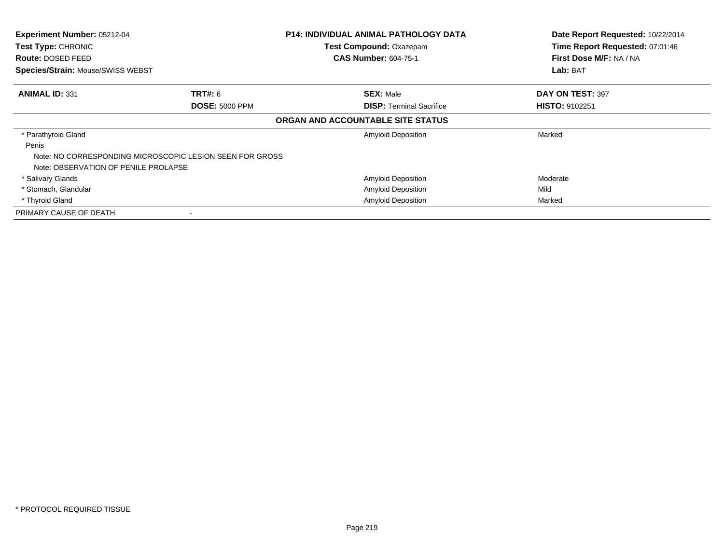| <b>Experiment Number: 05212-04</b>   |                                                          | <b>P14: INDIVIDUAL ANIMAL PATHOLOGY DATA</b> | Date Report Requested: 10/22/2014 |
|--------------------------------------|----------------------------------------------------------|----------------------------------------------|-----------------------------------|
| Test Type: CHRONIC                   |                                                          | Test Compound: Oxazepam                      | Time Report Requested: 07:01:46   |
| <b>Route: DOSED FEED</b>             |                                                          | <b>CAS Number: 604-75-1</b>                  | First Dose M/F: NA / NA           |
| Species/Strain: Mouse/SWISS WEBST    |                                                          |                                              | Lab: BAT                          |
| <b>ANIMAL ID: 331</b>                | <b>TRT#:</b> 6                                           | <b>SEX: Male</b>                             | DAY ON TEST: 397                  |
|                                      | <b>DOSE: 5000 PPM</b>                                    | <b>DISP: Terminal Sacrifice</b>              | <b>HISTO: 9102251</b>             |
|                                      |                                                          | ORGAN AND ACCOUNTABLE SITE STATUS            |                                   |
| * Parathyroid Gland                  |                                                          | <b>Amyloid Deposition</b>                    | Marked                            |
| Penis                                |                                                          |                                              |                                   |
|                                      | Note: NO CORRESPONDING MICROSCOPIC LESION SEEN FOR GROSS |                                              |                                   |
| Note: OBSERVATION OF PENILE PROLAPSE |                                                          |                                              |                                   |
| * Salivary Glands                    |                                                          | <b>Amyloid Deposition</b>                    | Moderate                          |
| * Stomach, Glandular                 |                                                          | <b>Amyloid Deposition</b>                    | Mild                              |
| * Thyroid Gland                      |                                                          | <b>Amyloid Deposition</b>                    | Marked                            |
| PRIMARY CAUSE OF DEATH               | $\blacksquare$                                           |                                              |                                   |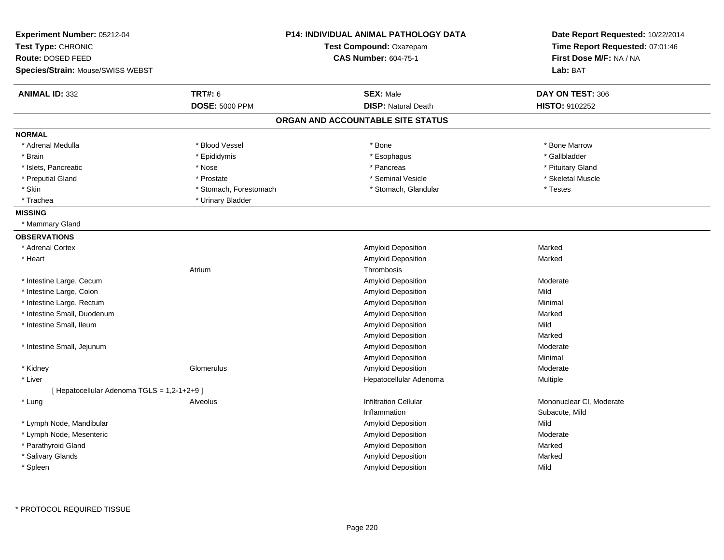| Experiment Number: 05212-04<br>Test Type: CHRONIC<br>Route: DOSED FEED<br><b>Species/Strain: Mouse/SWISS WEBST</b> |                        | <b>P14: INDIVIDUAL ANIMAL PATHOLOGY DATA</b><br>Test Compound: Oxazepam<br><b>CAS Number: 604-75-1</b> | Date Report Requested: 10/22/2014<br>Time Report Requested: 07:01:46<br>First Dose M/F: NA / NA<br>Lab: BAT |
|--------------------------------------------------------------------------------------------------------------------|------------------------|--------------------------------------------------------------------------------------------------------|-------------------------------------------------------------------------------------------------------------|
| <b>ANIMAL ID: 332</b>                                                                                              | <b>TRT#: 6</b>         | <b>SEX: Male</b>                                                                                       | DAY ON TEST: 306                                                                                            |
|                                                                                                                    | <b>DOSE: 5000 PPM</b>  | <b>DISP: Natural Death</b>                                                                             | HISTO: 9102252                                                                                              |
|                                                                                                                    |                        | ORGAN AND ACCOUNTABLE SITE STATUS                                                                      |                                                                                                             |
| <b>NORMAL</b>                                                                                                      |                        |                                                                                                        |                                                                                                             |
| * Adrenal Medulla                                                                                                  | * Blood Vessel         | * Bone                                                                                                 | * Bone Marrow                                                                                               |
| * Brain                                                                                                            | * Epididymis           | * Esophagus                                                                                            | * Gallbladder                                                                                               |
| * Islets, Pancreatic                                                                                               | * Nose                 | * Pancreas                                                                                             | * Pituitary Gland                                                                                           |
| * Preputial Gland                                                                                                  | * Prostate             | * Seminal Vesicle                                                                                      | * Skeletal Muscle                                                                                           |
| * Skin                                                                                                             | * Stomach, Forestomach | * Stomach, Glandular                                                                                   | * Testes                                                                                                    |
| * Trachea                                                                                                          | * Urinary Bladder      |                                                                                                        |                                                                                                             |
| <b>MISSING</b>                                                                                                     |                        |                                                                                                        |                                                                                                             |
| * Mammary Gland                                                                                                    |                        |                                                                                                        |                                                                                                             |
| <b>OBSERVATIONS</b>                                                                                                |                        |                                                                                                        |                                                                                                             |
| * Adrenal Cortex                                                                                                   |                        | Amyloid Deposition                                                                                     | Marked                                                                                                      |
| * Heart                                                                                                            |                        | Amyloid Deposition                                                                                     | Marked                                                                                                      |
|                                                                                                                    | Atrium                 | Thrombosis                                                                                             |                                                                                                             |
| * Intestine Large, Cecum                                                                                           |                        | Amyloid Deposition                                                                                     | Moderate                                                                                                    |
| * Intestine Large, Colon                                                                                           |                        | Amyloid Deposition                                                                                     | Mild                                                                                                        |
| * Intestine Large, Rectum                                                                                          |                        | <b>Amyloid Deposition</b>                                                                              | Minimal                                                                                                     |
| * Intestine Small, Duodenum                                                                                        |                        | Amyloid Deposition                                                                                     | Marked                                                                                                      |
| * Intestine Small, Ileum                                                                                           |                        | Amyloid Deposition                                                                                     | Mild                                                                                                        |
|                                                                                                                    |                        | Amyloid Deposition                                                                                     | Marked                                                                                                      |
| * Intestine Small, Jejunum                                                                                         |                        | Amyloid Deposition                                                                                     | Moderate                                                                                                    |
|                                                                                                                    |                        | Amyloid Deposition                                                                                     | Minimal                                                                                                     |
| * Kidney                                                                                                           | Glomerulus             | Amyloid Deposition                                                                                     | Moderate                                                                                                    |
| * Liver                                                                                                            |                        | Hepatocellular Adenoma                                                                                 | Multiple                                                                                                    |
| [ Hepatocellular Adenoma TGLS = 1,2-1+2+9 ]                                                                        |                        |                                                                                                        |                                                                                                             |
| * Lung                                                                                                             | Alveolus               | <b>Infiltration Cellular</b>                                                                           | Mononuclear CI, Moderate                                                                                    |
|                                                                                                                    |                        | Inflammation                                                                                           | Subacute, Mild                                                                                              |
| * Lymph Node, Mandibular                                                                                           |                        | <b>Amyloid Deposition</b>                                                                              | Mild                                                                                                        |
| * Lymph Node, Mesenteric                                                                                           |                        | Amyloid Deposition                                                                                     | Moderate                                                                                                    |
| * Parathyroid Gland                                                                                                |                        | Amyloid Deposition                                                                                     | Marked                                                                                                      |
| * Salivary Glands                                                                                                  |                        | Amyloid Deposition                                                                                     | Marked                                                                                                      |
| * Spleen                                                                                                           |                        | Amyloid Deposition                                                                                     | Mild                                                                                                        |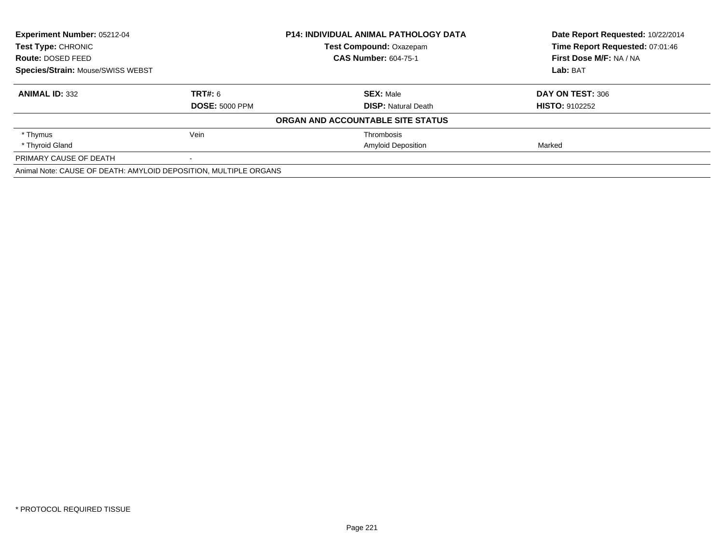| Experiment Number: 05212-04                                      |                       | <b>P14: INDIVIDUAL ANIMAL PATHOLOGY DATA</b> | Date Report Requested: 10/22/2014 |
|------------------------------------------------------------------|-----------------------|----------------------------------------------|-----------------------------------|
| <b>Test Type: CHRONIC</b>                                        |                       | <b>Test Compound: Oxazepam</b>               | Time Report Requested: 07:01:46   |
| Route: DOSED FEED                                                |                       | <b>CAS Number: 604-75-1</b>                  | First Dose M/F: NA / NA           |
| <b>Species/Strain: Mouse/SWISS WEBST</b>                         |                       |                                              | Lab: BAT                          |
| <b>ANIMAL ID: 332</b>                                            | <b>TRT#: 6</b>        | <b>SEX: Male</b>                             | DAY ON TEST: 306                  |
|                                                                  | <b>DOSE: 5000 PPM</b> | <b>DISP:</b> Natural Death                   | <b>HISTO: 9102252</b>             |
|                                                                  |                       | ORGAN AND ACCOUNTABLE SITE STATUS            |                                   |
| * Thymus                                                         | Vein                  | Thrombosis                                   |                                   |
| * Thyroid Gland                                                  |                       | <b>Amyloid Deposition</b>                    | Marked                            |
| PRIMARY CAUSE OF DEATH                                           |                       |                                              |                                   |
| Animal Note: CAUSE OF DEATH: AMYLOID DEPOSITION, MULTIPLE ORGANS |                       |                                              |                                   |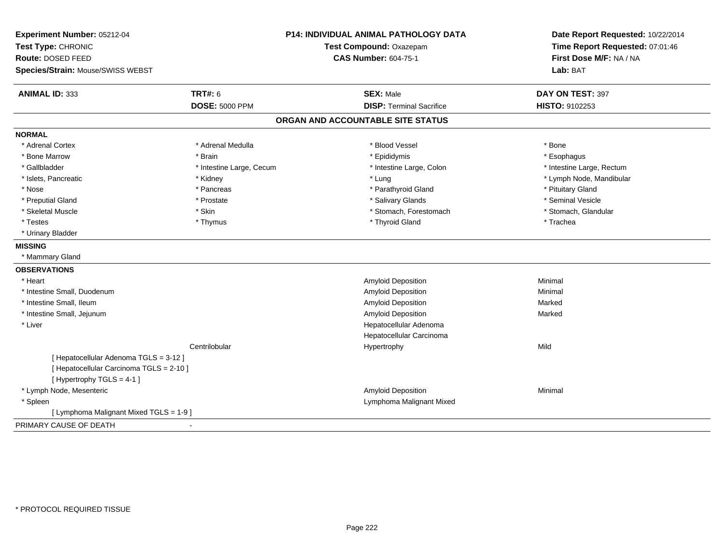| Experiment Number: 05212-04<br>Test Type: CHRONIC<br>Route: DOSED FEED<br>Species/Strain: Mouse/SWISS WEBST |                                  | <b>P14: INDIVIDUAL ANIMAL PATHOLOGY DATA</b><br>Test Compound: Oxazepam<br><b>CAS Number: 604-75-1</b> | Date Report Requested: 10/22/2014<br>Time Report Requested: 07:01:46<br>First Dose M/F: NA / NA<br>Lab: BAT |
|-------------------------------------------------------------------------------------------------------------|----------------------------------|--------------------------------------------------------------------------------------------------------|-------------------------------------------------------------------------------------------------------------|
| <b>ANIMAL ID: 333</b>                                                                                       | TRT#: 6<br><b>DOSE: 5000 PPM</b> | <b>SEX: Male</b><br><b>DISP: Terminal Sacrifice</b>                                                    | DAY ON TEST: 397<br>HISTO: 9102253                                                                          |
|                                                                                                             |                                  |                                                                                                        |                                                                                                             |
|                                                                                                             |                                  | ORGAN AND ACCOUNTABLE SITE STATUS                                                                      |                                                                                                             |
| <b>NORMAL</b>                                                                                               |                                  |                                                                                                        |                                                                                                             |
| * Adrenal Cortex                                                                                            | * Adrenal Medulla                | * Blood Vessel                                                                                         | * Bone                                                                                                      |
| * Bone Marrow                                                                                               | * Brain                          | * Epididymis                                                                                           | * Esophagus                                                                                                 |
| * Gallbladder                                                                                               | * Intestine Large, Cecum         | * Intestine Large, Colon                                                                               | * Intestine Large, Rectum                                                                                   |
| * Islets, Pancreatic                                                                                        | * Kidney                         | * Lung                                                                                                 | * Lymph Node, Mandibular                                                                                    |
| * Nose                                                                                                      | * Pancreas                       | * Parathyroid Gland                                                                                    | * Pituitary Gland                                                                                           |
| * Preputial Gland                                                                                           | * Prostate                       | * Salivary Glands                                                                                      | * Seminal Vesicle                                                                                           |
| * Skeletal Muscle                                                                                           | * Skin                           | * Stomach, Forestomach                                                                                 | * Stomach, Glandular                                                                                        |
| * Testes                                                                                                    | * Thymus                         | * Thyroid Gland                                                                                        | * Trachea                                                                                                   |
| * Urinary Bladder                                                                                           |                                  |                                                                                                        |                                                                                                             |
| <b>MISSING</b>                                                                                              |                                  |                                                                                                        |                                                                                                             |
| * Mammary Gland                                                                                             |                                  |                                                                                                        |                                                                                                             |
| <b>OBSERVATIONS</b>                                                                                         |                                  |                                                                                                        |                                                                                                             |
| * Heart                                                                                                     |                                  | Amyloid Deposition                                                                                     | Minimal                                                                                                     |
| * Intestine Small, Duodenum                                                                                 |                                  | <b>Amyloid Deposition</b>                                                                              | Minimal                                                                                                     |
| * Intestine Small, Ileum                                                                                    |                                  | Amyloid Deposition                                                                                     | Marked                                                                                                      |
| * Intestine Small, Jejunum                                                                                  |                                  | Amyloid Deposition                                                                                     | Marked                                                                                                      |
| * Liver                                                                                                     |                                  | Hepatocellular Adenoma                                                                                 |                                                                                                             |
|                                                                                                             |                                  | Hepatocellular Carcinoma                                                                               |                                                                                                             |
|                                                                                                             | Centrilobular                    | Hypertrophy                                                                                            | Mild                                                                                                        |
| [ Hepatocellular Adenoma TGLS = 3-12 ]                                                                      |                                  |                                                                                                        |                                                                                                             |
| [ Hepatocellular Carcinoma TGLS = 2-10 ]                                                                    |                                  |                                                                                                        |                                                                                                             |
| [Hypertrophy TGLS = 4-1]                                                                                    |                                  |                                                                                                        |                                                                                                             |
| * Lymph Node, Mesenteric                                                                                    |                                  | <b>Amyloid Deposition</b>                                                                              | Minimal                                                                                                     |
| * Spleen                                                                                                    |                                  | Lymphoma Malignant Mixed                                                                               |                                                                                                             |
| [ Lymphoma Malignant Mixed TGLS = 1-9 ]                                                                     |                                  |                                                                                                        |                                                                                                             |
| PRIMARY CAUSE OF DEATH                                                                                      | $\blacksquare$                   |                                                                                                        |                                                                                                             |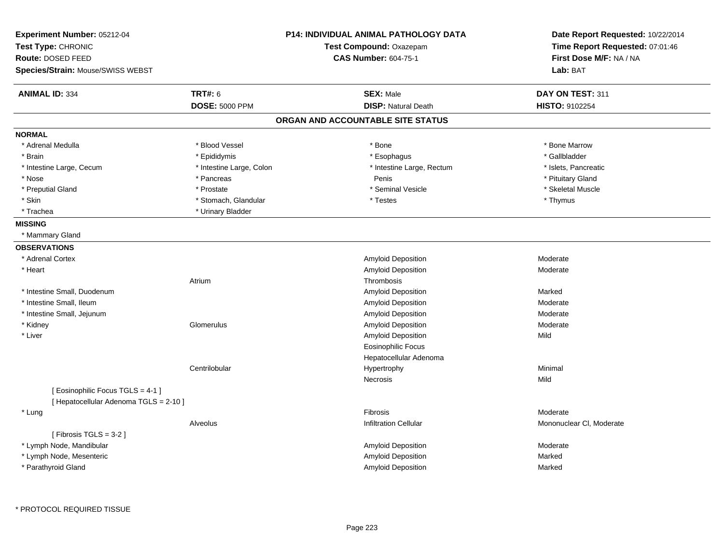| <b>TRT#: 6</b><br><b>ANIMAL ID: 334</b><br><b>SEX: Male</b><br>DAY ON TEST: 311<br><b>DOSE: 5000 PPM</b><br><b>DISP: Natural Death</b><br>HISTO: 9102254<br>ORGAN AND ACCOUNTABLE SITE STATUS<br><b>NORMAL</b><br>* Adrenal Medulla<br>* Blood Vessel<br>* Bone Marrow<br>* Bone<br>* Epididymis<br>* Esophagus<br>* Gallbladder<br>* Brain<br>* Intestine Large, Cecum<br>* Intestine Large, Colon<br>* Intestine Large, Rectum<br>* Islets, Pancreatic<br>Penis<br>* Pituitary Gland<br>* Nose<br>* Pancreas<br>* Preputial Gland<br>* Seminal Vesicle<br>* Skeletal Muscle<br>* Prostate<br>* Skin<br>* Stomach, Glandular<br>* Testes<br>* Thymus<br>* Trachea<br>* Urinary Bladder<br><b>MISSING</b><br>* Mammary Gland<br><b>OBSERVATIONS</b><br>Amyloid Deposition<br>* Adrenal Cortex<br>Moderate<br>Amyloid Deposition<br>* Heart<br>Moderate<br>Thrombosis<br>Atrium<br>* Intestine Small, Duodenum<br>Amyloid Deposition<br>Marked<br>* Intestine Small, Ileum<br>Amyloid Deposition<br>Moderate<br>* Intestine Small, Jejunum<br>Amyloid Deposition<br>Moderate<br>* Kidney<br>Glomerulus<br>Amyloid Deposition<br>Moderate<br>* Liver<br>Amyloid Deposition<br>Mild<br><b>Eosinophilic Focus</b><br>Hepatocellular Adenoma<br>Centrilobular<br>Minimal<br>Hypertrophy<br>Necrosis<br>Mild<br>[ Eosinophilic Focus TGLS = 4-1 ]<br>[ Hepatocellular Adenoma TGLS = 2-10 ]<br>* Lung<br>Fibrosis<br>Moderate<br>Alveolus<br><b>Infiltration Cellular</b><br>Mononuclear CI, Moderate<br>[Fibrosis TGLS = $3-2$ ]<br>* Lymph Node, Mandibular<br>Amyloid Deposition<br>Moderate<br>* Lymph Node, Mesenteric<br>Amyloid Deposition<br>Marked<br>* Parathyroid Gland<br><b>Amyloid Deposition</b><br>Marked | Experiment Number: 05212-04<br>Test Type: CHRONIC<br>Route: DOSED FEED<br>Species/Strain: Mouse/SWISS WEBST | <b>P14: INDIVIDUAL ANIMAL PATHOLOGY DATA</b><br>Test Compound: Oxazepam<br><b>CAS Number: 604-75-1</b> | Date Report Requested: 10/22/2014<br>Time Report Requested: 07:01:46<br>First Dose M/F: NA / NA<br>Lab: BAT |
|---------------------------------------------------------------------------------------------------------------------------------------------------------------------------------------------------------------------------------------------------------------------------------------------------------------------------------------------------------------------------------------------------------------------------------------------------------------------------------------------------------------------------------------------------------------------------------------------------------------------------------------------------------------------------------------------------------------------------------------------------------------------------------------------------------------------------------------------------------------------------------------------------------------------------------------------------------------------------------------------------------------------------------------------------------------------------------------------------------------------------------------------------------------------------------------------------------------------------------------------------------------------------------------------------------------------------------------------------------------------------------------------------------------------------------------------------------------------------------------------------------------------------------------------------------------------------------------------------------------------------------------------------------------------------------------------------------------------|-------------------------------------------------------------------------------------------------------------|--------------------------------------------------------------------------------------------------------|-------------------------------------------------------------------------------------------------------------|
|                                                                                                                                                                                                                                                                                                                                                                                                                                                                                                                                                                                                                                                                                                                                                                                                                                                                                                                                                                                                                                                                                                                                                                                                                                                                                                                                                                                                                                                                                                                                                                                                                                                                                                                     |                                                                                                             |                                                                                                        |                                                                                                             |
|                                                                                                                                                                                                                                                                                                                                                                                                                                                                                                                                                                                                                                                                                                                                                                                                                                                                                                                                                                                                                                                                                                                                                                                                                                                                                                                                                                                                                                                                                                                                                                                                                                                                                                                     |                                                                                                             |                                                                                                        |                                                                                                             |
|                                                                                                                                                                                                                                                                                                                                                                                                                                                                                                                                                                                                                                                                                                                                                                                                                                                                                                                                                                                                                                                                                                                                                                                                                                                                                                                                                                                                                                                                                                                                                                                                                                                                                                                     |                                                                                                             |                                                                                                        |                                                                                                             |
|                                                                                                                                                                                                                                                                                                                                                                                                                                                                                                                                                                                                                                                                                                                                                                                                                                                                                                                                                                                                                                                                                                                                                                                                                                                                                                                                                                                                                                                                                                                                                                                                                                                                                                                     |                                                                                                             |                                                                                                        |                                                                                                             |
|                                                                                                                                                                                                                                                                                                                                                                                                                                                                                                                                                                                                                                                                                                                                                                                                                                                                                                                                                                                                                                                                                                                                                                                                                                                                                                                                                                                                                                                                                                                                                                                                                                                                                                                     |                                                                                                             |                                                                                                        |                                                                                                             |
|                                                                                                                                                                                                                                                                                                                                                                                                                                                                                                                                                                                                                                                                                                                                                                                                                                                                                                                                                                                                                                                                                                                                                                                                                                                                                                                                                                                                                                                                                                                                                                                                                                                                                                                     |                                                                                                             |                                                                                                        |                                                                                                             |
|                                                                                                                                                                                                                                                                                                                                                                                                                                                                                                                                                                                                                                                                                                                                                                                                                                                                                                                                                                                                                                                                                                                                                                                                                                                                                                                                                                                                                                                                                                                                                                                                                                                                                                                     |                                                                                                             |                                                                                                        |                                                                                                             |
|                                                                                                                                                                                                                                                                                                                                                                                                                                                                                                                                                                                                                                                                                                                                                                                                                                                                                                                                                                                                                                                                                                                                                                                                                                                                                                                                                                                                                                                                                                                                                                                                                                                                                                                     |                                                                                                             |                                                                                                        |                                                                                                             |
|                                                                                                                                                                                                                                                                                                                                                                                                                                                                                                                                                                                                                                                                                                                                                                                                                                                                                                                                                                                                                                                                                                                                                                                                                                                                                                                                                                                                                                                                                                                                                                                                                                                                                                                     |                                                                                                             |                                                                                                        |                                                                                                             |
|                                                                                                                                                                                                                                                                                                                                                                                                                                                                                                                                                                                                                                                                                                                                                                                                                                                                                                                                                                                                                                                                                                                                                                                                                                                                                                                                                                                                                                                                                                                                                                                                                                                                                                                     |                                                                                                             |                                                                                                        |                                                                                                             |
|                                                                                                                                                                                                                                                                                                                                                                                                                                                                                                                                                                                                                                                                                                                                                                                                                                                                                                                                                                                                                                                                                                                                                                                                                                                                                                                                                                                                                                                                                                                                                                                                                                                                                                                     |                                                                                                             |                                                                                                        |                                                                                                             |
|                                                                                                                                                                                                                                                                                                                                                                                                                                                                                                                                                                                                                                                                                                                                                                                                                                                                                                                                                                                                                                                                                                                                                                                                                                                                                                                                                                                                                                                                                                                                                                                                                                                                                                                     |                                                                                                             |                                                                                                        |                                                                                                             |
|                                                                                                                                                                                                                                                                                                                                                                                                                                                                                                                                                                                                                                                                                                                                                                                                                                                                                                                                                                                                                                                                                                                                                                                                                                                                                                                                                                                                                                                                                                                                                                                                                                                                                                                     |                                                                                                             |                                                                                                        |                                                                                                             |
|                                                                                                                                                                                                                                                                                                                                                                                                                                                                                                                                                                                                                                                                                                                                                                                                                                                                                                                                                                                                                                                                                                                                                                                                                                                                                                                                                                                                                                                                                                                                                                                                                                                                                                                     |                                                                                                             |                                                                                                        |                                                                                                             |
|                                                                                                                                                                                                                                                                                                                                                                                                                                                                                                                                                                                                                                                                                                                                                                                                                                                                                                                                                                                                                                                                                                                                                                                                                                                                                                                                                                                                                                                                                                                                                                                                                                                                                                                     |                                                                                                             |                                                                                                        |                                                                                                             |
|                                                                                                                                                                                                                                                                                                                                                                                                                                                                                                                                                                                                                                                                                                                                                                                                                                                                                                                                                                                                                                                                                                                                                                                                                                                                                                                                                                                                                                                                                                                                                                                                                                                                                                                     |                                                                                                             |                                                                                                        |                                                                                                             |
|                                                                                                                                                                                                                                                                                                                                                                                                                                                                                                                                                                                                                                                                                                                                                                                                                                                                                                                                                                                                                                                                                                                                                                                                                                                                                                                                                                                                                                                                                                                                                                                                                                                                                                                     |                                                                                                             |                                                                                                        |                                                                                                             |
|                                                                                                                                                                                                                                                                                                                                                                                                                                                                                                                                                                                                                                                                                                                                                                                                                                                                                                                                                                                                                                                                                                                                                                                                                                                                                                                                                                                                                                                                                                                                                                                                                                                                                                                     |                                                                                                             |                                                                                                        |                                                                                                             |
|                                                                                                                                                                                                                                                                                                                                                                                                                                                                                                                                                                                                                                                                                                                                                                                                                                                                                                                                                                                                                                                                                                                                                                                                                                                                                                                                                                                                                                                                                                                                                                                                                                                                                                                     |                                                                                                             |                                                                                                        |                                                                                                             |
|                                                                                                                                                                                                                                                                                                                                                                                                                                                                                                                                                                                                                                                                                                                                                                                                                                                                                                                                                                                                                                                                                                                                                                                                                                                                                                                                                                                                                                                                                                                                                                                                                                                                                                                     |                                                                                                             |                                                                                                        |                                                                                                             |
|                                                                                                                                                                                                                                                                                                                                                                                                                                                                                                                                                                                                                                                                                                                                                                                                                                                                                                                                                                                                                                                                                                                                                                                                                                                                                                                                                                                                                                                                                                                                                                                                                                                                                                                     |                                                                                                             |                                                                                                        |                                                                                                             |
|                                                                                                                                                                                                                                                                                                                                                                                                                                                                                                                                                                                                                                                                                                                                                                                                                                                                                                                                                                                                                                                                                                                                                                                                                                                                                                                                                                                                                                                                                                                                                                                                                                                                                                                     |                                                                                                             |                                                                                                        |                                                                                                             |
|                                                                                                                                                                                                                                                                                                                                                                                                                                                                                                                                                                                                                                                                                                                                                                                                                                                                                                                                                                                                                                                                                                                                                                                                                                                                                                                                                                                                                                                                                                                                                                                                                                                                                                                     |                                                                                                             |                                                                                                        |                                                                                                             |
|                                                                                                                                                                                                                                                                                                                                                                                                                                                                                                                                                                                                                                                                                                                                                                                                                                                                                                                                                                                                                                                                                                                                                                                                                                                                                                                                                                                                                                                                                                                                                                                                                                                                                                                     |                                                                                                             |                                                                                                        |                                                                                                             |
|                                                                                                                                                                                                                                                                                                                                                                                                                                                                                                                                                                                                                                                                                                                                                                                                                                                                                                                                                                                                                                                                                                                                                                                                                                                                                                                                                                                                                                                                                                                                                                                                                                                                                                                     |                                                                                                             |                                                                                                        |                                                                                                             |
|                                                                                                                                                                                                                                                                                                                                                                                                                                                                                                                                                                                                                                                                                                                                                                                                                                                                                                                                                                                                                                                                                                                                                                                                                                                                                                                                                                                                                                                                                                                                                                                                                                                                                                                     |                                                                                                             |                                                                                                        |                                                                                                             |
|                                                                                                                                                                                                                                                                                                                                                                                                                                                                                                                                                                                                                                                                                                                                                                                                                                                                                                                                                                                                                                                                                                                                                                                                                                                                                                                                                                                                                                                                                                                                                                                                                                                                                                                     |                                                                                                             |                                                                                                        |                                                                                                             |
|                                                                                                                                                                                                                                                                                                                                                                                                                                                                                                                                                                                                                                                                                                                                                                                                                                                                                                                                                                                                                                                                                                                                                                                                                                                                                                                                                                                                                                                                                                                                                                                                                                                                                                                     |                                                                                                             |                                                                                                        |                                                                                                             |
|                                                                                                                                                                                                                                                                                                                                                                                                                                                                                                                                                                                                                                                                                                                                                                                                                                                                                                                                                                                                                                                                                                                                                                                                                                                                                                                                                                                                                                                                                                                                                                                                                                                                                                                     |                                                                                                             |                                                                                                        |                                                                                                             |
|                                                                                                                                                                                                                                                                                                                                                                                                                                                                                                                                                                                                                                                                                                                                                                                                                                                                                                                                                                                                                                                                                                                                                                                                                                                                                                                                                                                                                                                                                                                                                                                                                                                                                                                     |                                                                                                             |                                                                                                        |                                                                                                             |
|                                                                                                                                                                                                                                                                                                                                                                                                                                                                                                                                                                                                                                                                                                                                                                                                                                                                                                                                                                                                                                                                                                                                                                                                                                                                                                                                                                                                                                                                                                                                                                                                                                                                                                                     |                                                                                                             |                                                                                                        |                                                                                                             |
|                                                                                                                                                                                                                                                                                                                                                                                                                                                                                                                                                                                                                                                                                                                                                                                                                                                                                                                                                                                                                                                                                                                                                                                                                                                                                                                                                                                                                                                                                                                                                                                                                                                                                                                     |                                                                                                             |                                                                                                        |                                                                                                             |
|                                                                                                                                                                                                                                                                                                                                                                                                                                                                                                                                                                                                                                                                                                                                                                                                                                                                                                                                                                                                                                                                                                                                                                                                                                                                                                                                                                                                                                                                                                                                                                                                                                                                                                                     |                                                                                                             |                                                                                                        |                                                                                                             |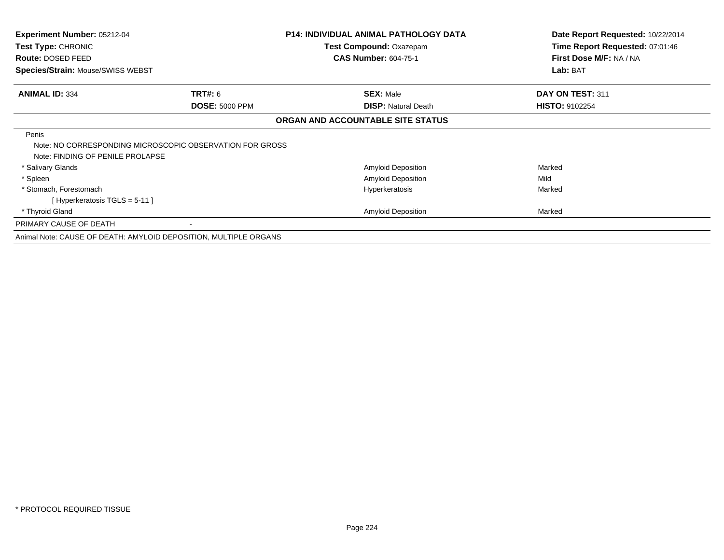| <b>Experiment Number: 05212-04</b><br><b>Test Type: CHRONIC</b><br>Route: DOSED FEED                  |                       | <b>P14: INDIVIDUAL ANIMAL PATHOLOGY DATA</b><br>Test Compound: Oxazepam<br><b>CAS Number: 604-75-1</b> | Date Report Requested: 10/22/2014<br>Time Report Requested: 07:01:46<br>First Dose M/F: NA / NA |
|-------------------------------------------------------------------------------------------------------|-----------------------|--------------------------------------------------------------------------------------------------------|-------------------------------------------------------------------------------------------------|
| <b>Species/Strain: Mouse/SWISS WEBST</b>                                                              |                       |                                                                                                        | Lab: BAT                                                                                        |
| <b>ANIMAL ID: 334</b>                                                                                 | <b>TRT#: 6</b>        | <b>SEX: Male</b>                                                                                       | DAY ON TEST: 311                                                                                |
|                                                                                                       | <b>DOSE: 5000 PPM</b> | <b>DISP: Natural Death</b>                                                                             | <b>HISTO: 9102254</b>                                                                           |
|                                                                                                       |                       | ORGAN AND ACCOUNTABLE SITE STATUS                                                                      |                                                                                                 |
| Penis<br>Note: NO CORRESPONDING MICROSCOPIC OBSERVATION FOR GROSS<br>Note: FINDING OF PENILE PROLAPSE |                       |                                                                                                        |                                                                                                 |
| * Salivary Glands                                                                                     |                       | Amyloid Deposition                                                                                     | Marked                                                                                          |
| * Spleen                                                                                              |                       | Amyloid Deposition                                                                                     | Mild                                                                                            |
| * Stomach, Forestomach<br>[Hyperkeratosis $TGLS = 5-11$ ]                                             |                       | Hyperkeratosis                                                                                         | Marked                                                                                          |
| * Thyroid Gland                                                                                       |                       | <b>Amyloid Deposition</b>                                                                              | Marked                                                                                          |
| PRIMARY CAUSE OF DEATH                                                                                |                       |                                                                                                        |                                                                                                 |
| Animal Note: CAUSE OF DEATH: AMYLOID DEPOSITION, MULTIPLE ORGANS                                      |                       |                                                                                                        |                                                                                                 |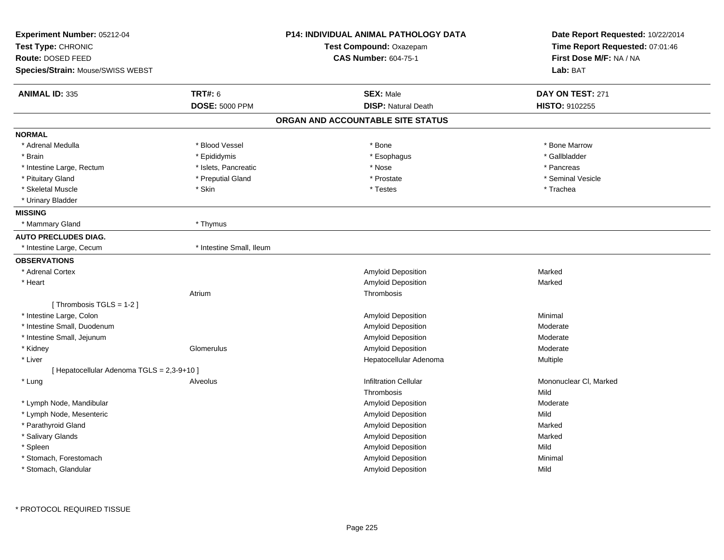| Experiment Number: 05212-04<br>Test Type: CHRONIC |                          | <b>P14: INDIVIDUAL ANIMAL PATHOLOGY DATA</b><br>Test Compound: Oxazepam | Date Report Requested: 10/22/2014<br>Time Report Requested: 07:01:46 |
|---------------------------------------------------|--------------------------|-------------------------------------------------------------------------|----------------------------------------------------------------------|
| Route: DOSED FEED                                 |                          | <b>CAS Number: 604-75-1</b>                                             | First Dose M/F: NA / NA                                              |
| Species/Strain: Mouse/SWISS WEBST                 |                          |                                                                         | Lab: BAT                                                             |
| <b>ANIMAL ID: 335</b>                             | <b>TRT#: 6</b>           | <b>SEX: Male</b>                                                        | DAY ON TEST: 271                                                     |
|                                                   | <b>DOSE: 5000 PPM</b>    | <b>DISP: Natural Death</b>                                              | HISTO: 9102255                                                       |
|                                                   |                          | ORGAN AND ACCOUNTABLE SITE STATUS                                       |                                                                      |
| <b>NORMAL</b>                                     |                          |                                                                         |                                                                      |
| * Adrenal Medulla                                 | * Blood Vessel           | * Bone                                                                  | * Bone Marrow                                                        |
| * Brain                                           | * Epididymis             | * Esophagus                                                             | * Gallbladder                                                        |
| * Intestine Large, Rectum                         | * Islets, Pancreatic     | * Nose                                                                  | * Pancreas                                                           |
| * Pituitary Gland                                 | * Preputial Gland        | * Prostate                                                              | * Seminal Vesicle                                                    |
| * Skeletal Muscle                                 | * Skin                   | * Testes                                                                | * Trachea                                                            |
| * Urinary Bladder                                 |                          |                                                                         |                                                                      |
| <b>MISSING</b>                                    |                          |                                                                         |                                                                      |
| * Mammary Gland                                   | * Thymus                 |                                                                         |                                                                      |
| <b>AUTO PRECLUDES DIAG.</b>                       |                          |                                                                         |                                                                      |
| * Intestine Large, Cecum                          | * Intestine Small, Ileum |                                                                         |                                                                      |
| <b>OBSERVATIONS</b>                               |                          |                                                                         |                                                                      |
| * Adrenal Cortex                                  |                          | Amyloid Deposition                                                      | Marked                                                               |
| * Heart                                           |                          | Amyloid Deposition                                                      | Marked                                                               |
|                                                   | Atrium                   | Thrombosis                                                              |                                                                      |
| [Thrombosis TGLS = $1-2$ ]                        |                          |                                                                         |                                                                      |
| * Intestine Large, Colon                          |                          | Amyloid Deposition                                                      | Minimal                                                              |
| * Intestine Small, Duodenum                       |                          | Amyloid Deposition                                                      | Moderate                                                             |
| * Intestine Small, Jejunum                        |                          | Amyloid Deposition                                                      | Moderate                                                             |
| * Kidney                                          | Glomerulus               | Amyloid Deposition                                                      | Moderate                                                             |
| * Liver                                           |                          | Hepatocellular Adenoma                                                  | Multiple                                                             |
| [ Hepatocellular Adenoma TGLS = 2,3-9+10 ]        |                          |                                                                         |                                                                      |
| * Lung                                            | Alveolus                 | <b>Infiltration Cellular</b>                                            | Mononuclear CI, Marked                                               |
|                                                   |                          | Thrombosis                                                              | Mild                                                                 |
| * Lymph Node, Mandibular                          |                          | Amyloid Deposition                                                      | Moderate                                                             |
| * Lymph Node, Mesenteric                          |                          | Amyloid Deposition                                                      | Mild                                                                 |
| * Parathyroid Gland                               |                          | Amyloid Deposition                                                      | Marked                                                               |
| * Salivary Glands                                 |                          | Amyloid Deposition                                                      | Marked                                                               |
| * Spleen                                          |                          | Amyloid Deposition                                                      | Mild                                                                 |
| * Stomach, Forestomach                            |                          | Amyloid Deposition                                                      | Minimal                                                              |
| * Stomach, Glandular                              |                          | <b>Amyloid Deposition</b>                                               | Mild                                                                 |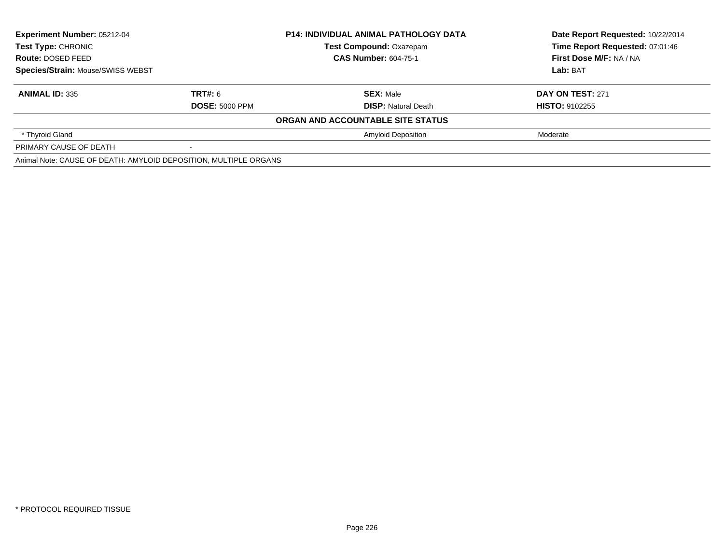| <b>Experiment Number: 05212-04</b>                                           |                       | <b>P14: INDIVIDUAL ANIMAL PATHOLOGY DATA</b> | Date Report Requested: 10/22/2014 |
|------------------------------------------------------------------------------|-----------------------|----------------------------------------------|-----------------------------------|
| Test Type: CHRONIC<br>Route: DOSED FEED<br>Species/Strain: Mouse/SWISS WEBST |                       | <b>Test Compound: Oxazepam</b>               | Time Report Requested: 07:01:46   |
|                                                                              |                       | <b>CAS Number: 604-75-1</b>                  | First Dose M/F: NA / NA           |
|                                                                              |                       |                                              | Lab: BAT                          |
| <b>ANIMAL ID: 335</b>                                                        | TRT#: 6               | <b>SEX: Male</b>                             | <b>DAY ON TEST: 271</b>           |
|                                                                              | <b>DOSE: 5000 PPM</b> | <b>DISP:</b> Natural Death                   | <b>HISTO: 9102255</b>             |
|                                                                              |                       | ORGAN AND ACCOUNTABLE SITE STATUS            |                                   |
| * Thyroid Gland                                                              |                       | <b>Amyloid Deposition</b>                    | Moderate                          |
| PRIMARY CAUSE OF DEATH                                                       |                       |                                              |                                   |
| Animal Note: CAUSE OF DEATH: AMYLOID DEPOSITION, MULTIPLE ORGANS             |                       |                                              |                                   |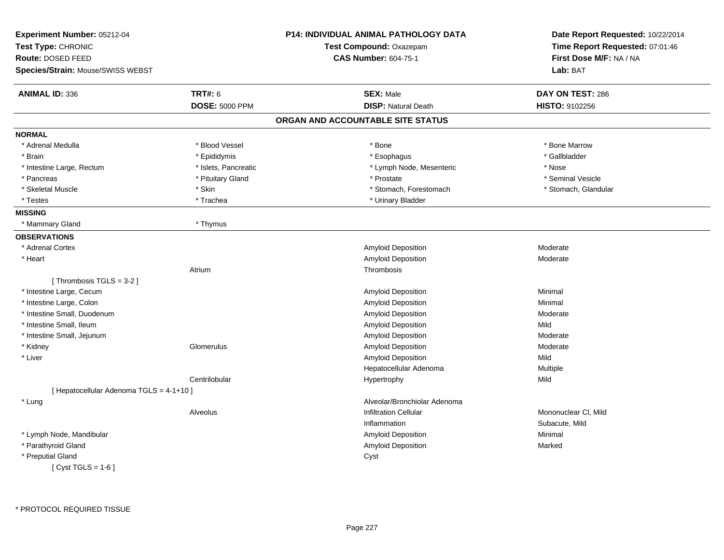| Experiment Number: 05212-04<br>Test Type: CHRONIC<br>Route: DOSED FEED |                       | <b>P14: INDIVIDUAL ANIMAL PATHOLOGY DATA</b><br>Test Compound: Oxazepam<br><b>CAS Number: 604-75-1</b> | Date Report Requested: 10/22/2014<br>Time Report Requested: 07:01:46<br>First Dose M/F: NA / NA |
|------------------------------------------------------------------------|-----------------------|--------------------------------------------------------------------------------------------------------|-------------------------------------------------------------------------------------------------|
| Species/Strain: Mouse/SWISS WEBST                                      |                       |                                                                                                        | Lab: BAT                                                                                        |
| <b>ANIMAL ID: 336</b>                                                  | <b>TRT#: 6</b>        | <b>SEX: Male</b>                                                                                       | DAY ON TEST: 286                                                                                |
|                                                                        | <b>DOSE: 5000 PPM</b> | <b>DISP: Natural Death</b>                                                                             | HISTO: 9102256                                                                                  |
|                                                                        |                       | ORGAN AND ACCOUNTABLE SITE STATUS                                                                      |                                                                                                 |
| <b>NORMAL</b>                                                          |                       |                                                                                                        |                                                                                                 |
| * Adrenal Medulla                                                      | * Blood Vessel        | * Bone                                                                                                 | * Bone Marrow                                                                                   |
| * Brain                                                                | * Epididymis          | * Esophagus                                                                                            | * Gallbladder                                                                                   |
| * Intestine Large, Rectum                                              | * Islets, Pancreatic  | * Lymph Node, Mesenteric                                                                               | * Nose                                                                                          |
| * Pancreas                                                             | * Pituitary Gland     | * Prostate                                                                                             | * Seminal Vesicle                                                                               |
| * Skeletal Muscle                                                      | * Skin                | * Stomach, Forestomach                                                                                 | * Stomach, Glandular                                                                            |
| * Testes                                                               | * Trachea             | * Urinary Bladder                                                                                      |                                                                                                 |
| <b>MISSING</b>                                                         |                       |                                                                                                        |                                                                                                 |
| * Mammary Gland                                                        | * Thymus              |                                                                                                        |                                                                                                 |
| <b>OBSERVATIONS</b>                                                    |                       |                                                                                                        |                                                                                                 |
| * Adrenal Cortex                                                       |                       | Amyloid Deposition                                                                                     | Moderate                                                                                        |
| * Heart                                                                |                       | Amyloid Deposition                                                                                     | Moderate                                                                                        |
|                                                                        | Atrium                | Thrombosis                                                                                             |                                                                                                 |
| [Thrombosis TGLS = $3-2$ ]                                             |                       |                                                                                                        |                                                                                                 |
| * Intestine Large, Cecum                                               |                       | Amyloid Deposition                                                                                     | Minimal                                                                                         |
| * Intestine Large, Colon                                               |                       | Amyloid Deposition                                                                                     | Minimal                                                                                         |
| * Intestine Small, Duodenum                                            |                       | Amyloid Deposition                                                                                     | Moderate                                                                                        |
| * Intestine Small, Ileum                                               |                       | Amyloid Deposition                                                                                     | Mild                                                                                            |
| * Intestine Small, Jejunum                                             |                       | Amyloid Deposition                                                                                     | Moderate                                                                                        |
| * Kidney                                                               | Glomerulus            | Amyloid Deposition                                                                                     | Moderate                                                                                        |
| * Liver                                                                |                       | Amyloid Deposition                                                                                     | Mild                                                                                            |
|                                                                        |                       | Hepatocellular Adenoma                                                                                 | Multiple                                                                                        |
|                                                                        | Centrilobular         | Hypertrophy                                                                                            | Mild                                                                                            |
| [ Hepatocellular Adenoma TGLS = 4-1+10 ]                               |                       |                                                                                                        |                                                                                                 |
| * Lung                                                                 |                       | Alveolar/Bronchiolar Adenoma                                                                           |                                                                                                 |
|                                                                        | Alveolus              | <b>Infiltration Cellular</b>                                                                           | Mononuclear CI, Mild                                                                            |
|                                                                        |                       | Inflammation                                                                                           | Subacute, Mild                                                                                  |
| * Lymph Node, Mandibular                                               |                       | Amyloid Deposition                                                                                     | Minimal                                                                                         |
| * Parathyroid Gland                                                    |                       | Amyloid Deposition                                                                                     | Marked                                                                                          |
| * Preputial Gland                                                      |                       | Cyst                                                                                                   |                                                                                                 |
| [Cyst TGLS = $1-6$ ]                                                   |                       |                                                                                                        |                                                                                                 |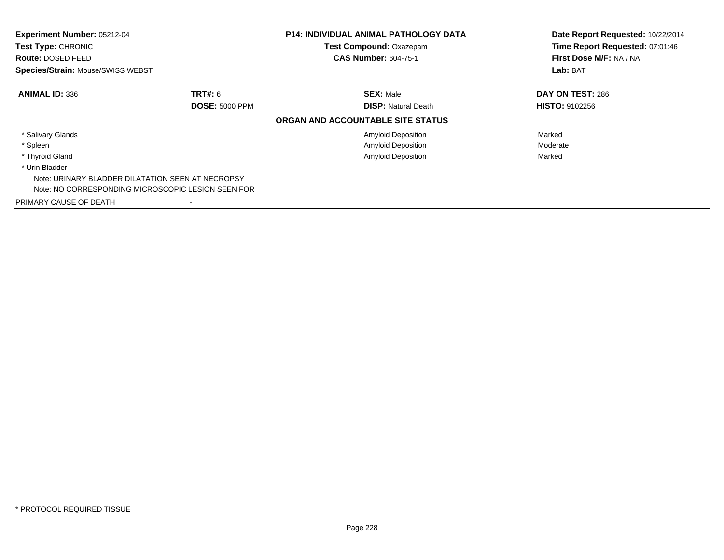| Experiment Number: 05212-04<br>Test Type: CHRONIC                    |                                                    | <b>P14: INDIVIDUAL ANIMAL PATHOLOGY DATA</b><br>Test Compound: Oxazepam<br><b>CAS Number: 604-75-1</b> | Date Report Requested: 10/22/2014<br>Time Report Requested: 07:01:46<br>First Dose M/F: NA / NA |
|----------------------------------------------------------------------|----------------------------------------------------|--------------------------------------------------------------------------------------------------------|-------------------------------------------------------------------------------------------------|
| <b>Route: DOSED FEED</b><br><b>Species/Strain: Mouse/SWISS WEBST</b> |                                                    |                                                                                                        | Lab: BAT                                                                                        |
| <b>ANIMAL ID: 336</b>                                                | <b>TRT#: 6</b>                                     | <b>SEX: Male</b>                                                                                       | DAY ON TEST: 286                                                                                |
|                                                                      | <b>DOSE: 5000 PPM</b>                              | <b>DISP:</b> Natural Death                                                                             | <b>HISTO: 9102256</b>                                                                           |
|                                                                      |                                                    | ORGAN AND ACCOUNTABLE SITE STATUS                                                                      |                                                                                                 |
| * Salivary Glands                                                    |                                                    | <b>Amyloid Deposition</b>                                                                              | Marked                                                                                          |
| * Spleen                                                             |                                                    | <b>Amyloid Deposition</b>                                                                              | Moderate                                                                                        |
| * Thyroid Gland                                                      |                                                    | <b>Amyloid Deposition</b>                                                                              | Marked                                                                                          |
| * Urin Bladder                                                       |                                                    |                                                                                                        |                                                                                                 |
|                                                                      | Note: URINARY BLADDER DILATATION SEEN AT NECROPSY  |                                                                                                        |                                                                                                 |
|                                                                      | Note: NO CORRESPONDING MICROSCOPIC LESION SEEN FOR |                                                                                                        |                                                                                                 |
| PRIMARY CAUSE OF DEATH                                               |                                                    |                                                                                                        |                                                                                                 |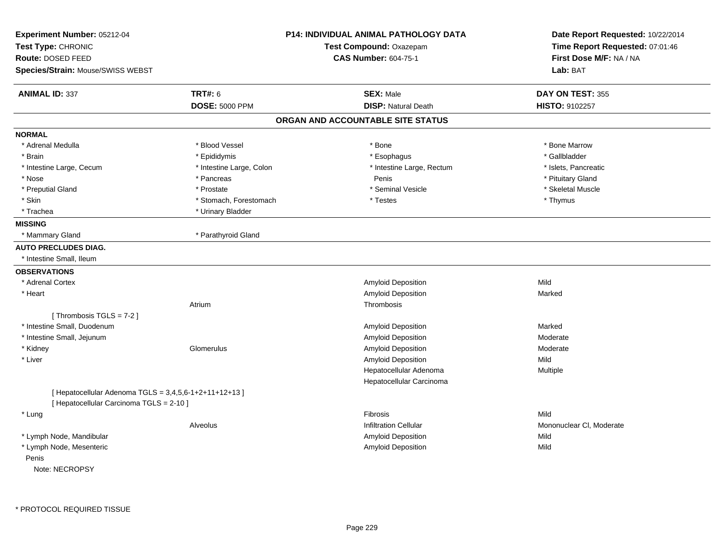| Experiment Number: 05212-04<br>Test Type: CHRONIC<br>Route: DOSED FEED |                          | <b>P14: INDIVIDUAL ANIMAL PATHOLOGY DATA</b><br>Test Compound: Oxazepam<br><b>CAS Number: 604-75-1</b> | Date Report Requested: 10/22/2014<br>Time Report Requested: 07:01:46<br>First Dose M/F: NA / NA |
|------------------------------------------------------------------------|--------------------------|--------------------------------------------------------------------------------------------------------|-------------------------------------------------------------------------------------------------|
| Species/Strain: Mouse/SWISS WEBST                                      |                          |                                                                                                        | Lab: BAT                                                                                        |
| <b>ANIMAL ID: 337</b>                                                  | <b>TRT#: 6</b>           | <b>SEX: Male</b>                                                                                       | DAY ON TEST: 355                                                                                |
|                                                                        | <b>DOSE: 5000 PPM</b>    | <b>DISP: Natural Death</b>                                                                             | HISTO: 9102257                                                                                  |
|                                                                        |                          | ORGAN AND ACCOUNTABLE SITE STATUS                                                                      |                                                                                                 |
| <b>NORMAL</b>                                                          |                          |                                                                                                        |                                                                                                 |
| * Adrenal Medulla                                                      | * Blood Vessel           | * Bone                                                                                                 | * Bone Marrow                                                                                   |
| * Brain                                                                | * Epididymis             | * Esophagus                                                                                            | * Gallbladder                                                                                   |
| * Intestine Large, Cecum                                               | * Intestine Large, Colon | * Intestine Large, Rectum                                                                              | * Islets, Pancreatic                                                                            |
| * Nose                                                                 | * Pancreas               | Penis                                                                                                  | * Pituitary Gland                                                                               |
| * Preputial Gland                                                      | * Prostate               | * Seminal Vesicle                                                                                      | * Skeletal Muscle                                                                               |
| * Skin                                                                 | * Stomach, Forestomach   | * Testes                                                                                               | * Thymus                                                                                        |
| * Trachea                                                              | * Urinary Bladder        |                                                                                                        |                                                                                                 |
| <b>MISSING</b>                                                         |                          |                                                                                                        |                                                                                                 |
| * Mammary Gland                                                        | * Parathyroid Gland      |                                                                                                        |                                                                                                 |
| <b>AUTO PRECLUDES DIAG.</b>                                            |                          |                                                                                                        |                                                                                                 |
| * Intestine Small, Ileum                                               |                          |                                                                                                        |                                                                                                 |
| <b>OBSERVATIONS</b>                                                    |                          |                                                                                                        |                                                                                                 |
| * Adrenal Cortex                                                       |                          | Amyloid Deposition                                                                                     | Mild                                                                                            |
| * Heart                                                                |                          | Amyloid Deposition                                                                                     | Marked                                                                                          |
|                                                                        | Atrium                   | Thrombosis                                                                                             |                                                                                                 |
| [Thrombosis TGLS = 7-2]                                                |                          |                                                                                                        |                                                                                                 |
| * Intestine Small, Duodenum                                            |                          | Amyloid Deposition                                                                                     | Marked                                                                                          |
| * Intestine Small, Jejunum                                             |                          | Amyloid Deposition                                                                                     | Moderate                                                                                        |
| * Kidney                                                               | Glomerulus               | Amyloid Deposition                                                                                     | Moderate                                                                                        |
| * Liver                                                                |                          | Amyloid Deposition                                                                                     | Mild                                                                                            |
|                                                                        |                          | Hepatocellular Adenoma                                                                                 | Multiple                                                                                        |
|                                                                        |                          | Hepatocellular Carcinoma                                                                               |                                                                                                 |
| [ Hepatocellular Adenoma TGLS = 3,4,5,6-1+2+11+12+13 ]                 |                          |                                                                                                        |                                                                                                 |
| [ Hepatocellular Carcinoma TGLS = 2-10 ]                               |                          |                                                                                                        |                                                                                                 |
| * Lung                                                                 |                          | <b>Fibrosis</b>                                                                                        | Mild                                                                                            |
|                                                                        | Alveolus                 | <b>Infiltration Cellular</b>                                                                           | Mononuclear CI, Moderate                                                                        |
| * Lymph Node, Mandibular                                               |                          | Amyloid Deposition                                                                                     | Mild                                                                                            |
| * Lymph Node, Mesenteric                                               |                          | Amyloid Deposition                                                                                     | Mild                                                                                            |
| Penis                                                                  |                          |                                                                                                        |                                                                                                 |
| Note: NECROPSY                                                         |                          |                                                                                                        |                                                                                                 |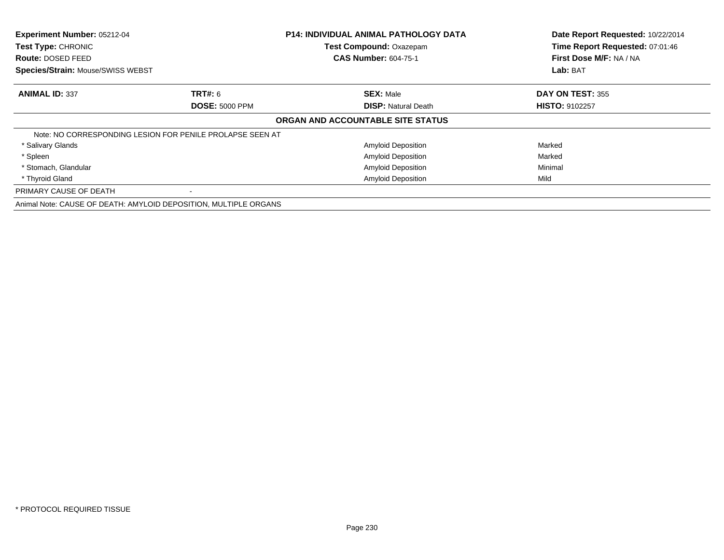| Experiment Number: 05212-04                                      |                                                           | <b>P14: INDIVIDUAL ANIMAL PATHOLOGY DATA</b> | Date Report Requested: 10/22/2014 |
|------------------------------------------------------------------|-----------------------------------------------------------|----------------------------------------------|-----------------------------------|
| Test Type: CHRONIC                                               |                                                           | Test Compound: Oxazepam                      | Time Report Requested: 07:01:46   |
| <b>Route: DOSED FEED</b>                                         |                                                           | <b>CAS Number: 604-75-1</b>                  | First Dose M/F: NA / NA           |
| Species/Strain: Mouse/SWISS WEBST                                |                                                           |                                              | Lab: BAT                          |
| <b>ANIMAL ID: 337</b>                                            | <b>TRT#: 6</b>                                            | <b>SEX: Male</b>                             | <b>DAY ON TEST: 355</b>           |
|                                                                  | <b>DOSE: 5000 PPM</b>                                     | <b>DISP: Natural Death</b>                   | <b>HISTO: 9102257</b>             |
|                                                                  |                                                           | ORGAN AND ACCOUNTABLE SITE STATUS            |                                   |
|                                                                  | Note: NO CORRESPONDING LESION FOR PENILE PROLAPSE SEEN AT |                                              |                                   |
| * Salivary Glands                                                |                                                           | <b>Amyloid Deposition</b>                    | Marked                            |
| * Spleen                                                         |                                                           | <b>Amyloid Deposition</b>                    | Marked                            |
| * Stomach, Glandular                                             |                                                           | <b>Amyloid Deposition</b>                    | Minimal                           |
| * Thyroid Gland                                                  |                                                           | <b>Amyloid Deposition</b>                    | Mild                              |
| PRIMARY CAUSE OF DEATH                                           |                                                           |                                              |                                   |
| Animal Note: CAUSE OF DEATH: AMYLOID DEPOSITION, MULTIPLE ORGANS |                                                           |                                              |                                   |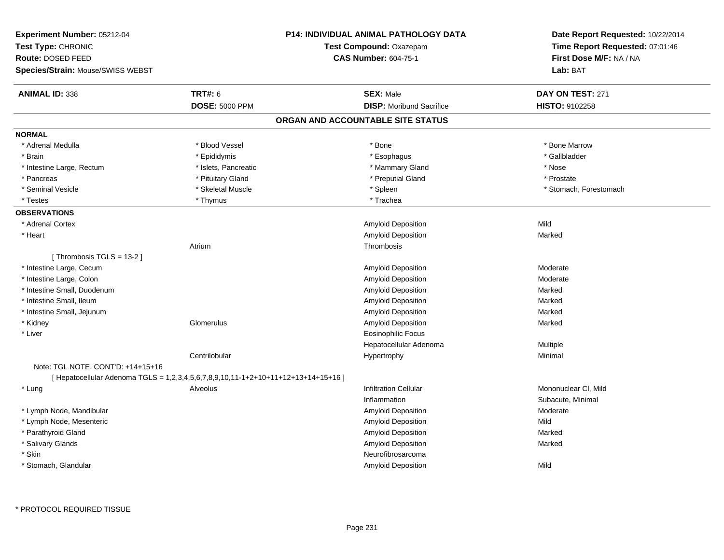| Experiment Number: 05212-04<br>Test Type: CHRONIC<br>Route: DOSED FEED<br>Species/Strain: Mouse/SWISS WEBST |                       | <b>P14: INDIVIDUAL ANIMAL PATHOLOGY DATA</b><br>Test Compound: Oxazepam<br><b>CAS Number: 604-75-1</b> | Date Report Requested: 10/22/2014<br>Time Report Requested: 07:01:46<br>First Dose M/F: NA / NA<br>Lab: BAT |
|-------------------------------------------------------------------------------------------------------------|-----------------------|--------------------------------------------------------------------------------------------------------|-------------------------------------------------------------------------------------------------------------|
| <b>ANIMAL ID: 338</b>                                                                                       | <b>TRT#: 6</b>        | <b>SEX: Male</b>                                                                                       | DAY ON TEST: 271                                                                                            |
|                                                                                                             | <b>DOSE: 5000 PPM</b> | <b>DISP:</b> Moribund Sacrifice                                                                        | HISTO: 9102258                                                                                              |
|                                                                                                             |                       | ORGAN AND ACCOUNTABLE SITE STATUS                                                                      |                                                                                                             |
| <b>NORMAL</b>                                                                                               |                       |                                                                                                        |                                                                                                             |
| * Adrenal Medulla                                                                                           | * Blood Vessel        | * Bone                                                                                                 | * Bone Marrow                                                                                               |
| * Brain                                                                                                     | * Epididymis          | * Esophagus                                                                                            | * Gallbladder                                                                                               |
| * Intestine Large, Rectum                                                                                   | * Islets, Pancreatic  | * Mammary Gland                                                                                        | * Nose                                                                                                      |
| * Pancreas                                                                                                  | * Pituitary Gland     | * Preputial Gland                                                                                      | * Prostate                                                                                                  |
| * Seminal Vesicle                                                                                           | * Skeletal Muscle     | * Spleen                                                                                               | * Stomach, Forestomach                                                                                      |
| * Testes                                                                                                    | * Thymus              | * Trachea                                                                                              |                                                                                                             |
| <b>OBSERVATIONS</b>                                                                                         |                       |                                                                                                        |                                                                                                             |
| * Adrenal Cortex                                                                                            |                       | Amyloid Deposition                                                                                     | Mild                                                                                                        |
| * Heart                                                                                                     |                       | Amyloid Deposition                                                                                     | Marked                                                                                                      |
|                                                                                                             | Atrium                | Thrombosis                                                                                             |                                                                                                             |
| [Thrombosis TGLS = 13-2]                                                                                    |                       |                                                                                                        |                                                                                                             |
| * Intestine Large, Cecum                                                                                    |                       | Amyloid Deposition                                                                                     | Moderate                                                                                                    |
| * Intestine Large, Colon                                                                                    |                       | Amyloid Deposition                                                                                     | Moderate                                                                                                    |
| * Intestine Small, Duodenum                                                                                 |                       | Amyloid Deposition                                                                                     | Marked                                                                                                      |
| * Intestine Small, Ileum                                                                                    |                       | Amyloid Deposition                                                                                     | Marked                                                                                                      |
| * Intestine Small, Jejunum                                                                                  |                       | Amyloid Deposition                                                                                     | Marked                                                                                                      |
| * Kidney                                                                                                    | Glomerulus            | Amyloid Deposition                                                                                     | Marked                                                                                                      |
| * Liver                                                                                                     |                       | <b>Eosinophilic Focus</b>                                                                              |                                                                                                             |
|                                                                                                             |                       | Hepatocellular Adenoma                                                                                 | Multiple                                                                                                    |
|                                                                                                             | Centrilobular         | Hypertrophy                                                                                            | Minimal                                                                                                     |
| Note: TGL NOTE, CONT'D: +14+15+16                                                                           |                       |                                                                                                        |                                                                                                             |
| [Hepatocellular Adenoma TGLS = 1,2,3,4,5,6,7,8,9,10,11-1+2+10+11+12+13+14+15+16]                            |                       |                                                                                                        |                                                                                                             |
| * Lung                                                                                                      | Alveolus              | <b>Infiltration Cellular</b>                                                                           | Mononuclear CI, Mild                                                                                        |
|                                                                                                             |                       | Inflammation                                                                                           | Subacute, Minimal                                                                                           |
| * Lymph Node, Mandibular                                                                                    |                       | Amyloid Deposition                                                                                     | Moderate                                                                                                    |
| * Lymph Node, Mesenteric                                                                                    |                       | Amyloid Deposition                                                                                     | Mild                                                                                                        |
| * Parathyroid Gland                                                                                         |                       | Amyloid Deposition                                                                                     | Marked                                                                                                      |
| * Salivary Glands                                                                                           |                       | Amyloid Deposition                                                                                     | Marked                                                                                                      |
| * Skin                                                                                                      |                       | Neurofibrosarcoma                                                                                      |                                                                                                             |
| * Stomach, Glandular                                                                                        |                       | <b>Amyloid Deposition</b>                                                                              | Mild                                                                                                        |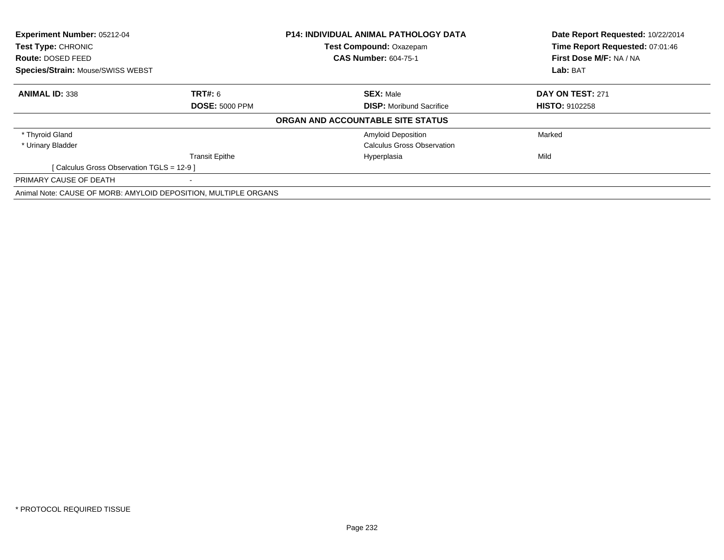| <b>Experiment Number: 05212-04</b>                              |                       | <b>P14: INDIVIDUAL ANIMAL PATHOLOGY DATA</b> | Date Report Requested: 10/22/2014 |
|-----------------------------------------------------------------|-----------------------|----------------------------------------------|-----------------------------------|
| Test Type: CHRONIC<br>Route: DOSED FEED                         |                       | <b>Test Compound: Oxazepam</b>               | Time Report Requested: 07:01:46   |
|                                                                 |                       | <b>CAS Number: 604-75-1</b>                  | First Dose M/F: NA / NA           |
| <b>Species/Strain: Mouse/SWISS WEBST</b>                        |                       |                                              | Lab: BAT                          |
| <b>ANIMAL ID: 338</b>                                           | <b>TRT#: 6</b>        | <b>SEX: Male</b>                             | <b>DAY ON TEST: 271</b>           |
|                                                                 | <b>DOSE: 5000 PPM</b> | <b>DISP:</b> Moribund Sacrifice              | <b>HISTO: 9102258</b>             |
|                                                                 |                       | ORGAN AND ACCOUNTABLE SITE STATUS            |                                   |
| * Thyroid Gland                                                 |                       | <b>Amyloid Deposition</b>                    | Marked                            |
| * Urinary Bladder                                               |                       | Calculus Gross Observation                   |                                   |
|                                                                 | <b>Transit Epithe</b> | Hyperplasia                                  | Mild                              |
| [Calculus Gross Observation TGLS = 12-9 ]                       |                       |                                              |                                   |
| PRIMARY CAUSE OF DEATH                                          |                       |                                              |                                   |
| Animal Note: CAUSE OF MORB: AMYLOID DEPOSITION, MULTIPLE ORGANS |                       |                                              |                                   |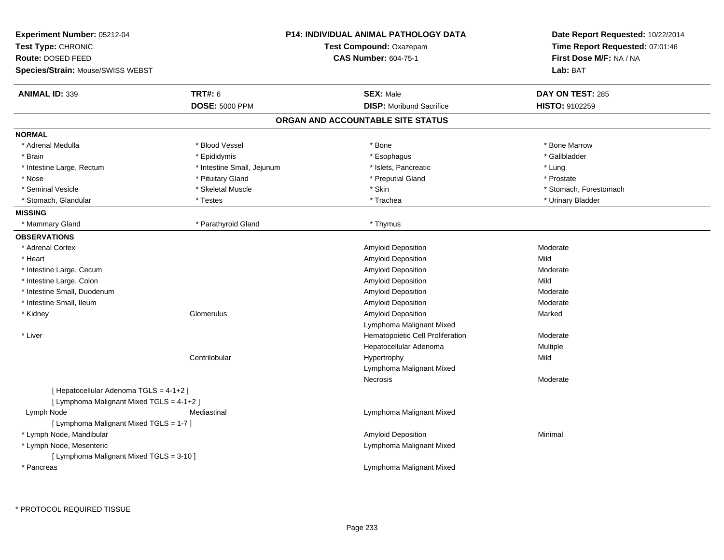| Experiment Number: 05212-04<br>Test Type: CHRONIC<br>Route: DOSED FEED<br>Species/Strain: Mouse/SWISS WEBST |                            | <b>P14: INDIVIDUAL ANIMAL PATHOLOGY DATA</b><br><b>Test Compound: Oxazepam</b><br><b>CAS Number: 604-75-1</b> | Date Report Requested: 10/22/2014<br>Time Report Requested: 07:01:46<br>First Dose M/F: NA / NA<br>Lab: BAT |
|-------------------------------------------------------------------------------------------------------------|----------------------------|---------------------------------------------------------------------------------------------------------------|-------------------------------------------------------------------------------------------------------------|
| <b>ANIMAL ID: 339</b>                                                                                       | <b>TRT#: 6</b>             | <b>SEX: Male</b>                                                                                              | DAY ON TEST: 285                                                                                            |
|                                                                                                             | <b>DOSE: 5000 PPM</b>      | <b>DISP:</b> Moribund Sacrifice                                                                               | HISTO: 9102259                                                                                              |
|                                                                                                             |                            | ORGAN AND ACCOUNTABLE SITE STATUS                                                                             |                                                                                                             |
| <b>NORMAL</b>                                                                                               |                            |                                                                                                               |                                                                                                             |
| * Adrenal Medulla                                                                                           | * Blood Vessel             | * Bone                                                                                                        | * Bone Marrow                                                                                               |
| * Brain                                                                                                     | * Epididymis               | * Esophagus                                                                                                   | * Gallbladder                                                                                               |
| * Intestine Large, Rectum                                                                                   | * Intestine Small, Jejunum | * Islets, Pancreatic                                                                                          | * Lung                                                                                                      |
| * Nose                                                                                                      | * Pituitary Gland          | * Preputial Gland                                                                                             | * Prostate                                                                                                  |
| * Seminal Vesicle                                                                                           | * Skeletal Muscle          | * Skin                                                                                                        | * Stomach, Forestomach                                                                                      |
| * Stomach, Glandular                                                                                        | * Testes                   | * Trachea                                                                                                     | * Urinary Bladder                                                                                           |
| <b>MISSING</b>                                                                                              |                            |                                                                                                               |                                                                                                             |
| * Mammary Gland                                                                                             | * Parathyroid Gland        | * Thymus                                                                                                      |                                                                                                             |
| <b>OBSERVATIONS</b>                                                                                         |                            |                                                                                                               |                                                                                                             |
| * Adrenal Cortex                                                                                            |                            | Amyloid Deposition                                                                                            | Moderate                                                                                                    |
| * Heart                                                                                                     |                            | Amyloid Deposition                                                                                            | Mild                                                                                                        |
| * Intestine Large, Cecum                                                                                    |                            | Amyloid Deposition                                                                                            | Moderate                                                                                                    |
| * Intestine Large, Colon                                                                                    |                            | Amyloid Deposition                                                                                            | Mild                                                                                                        |
| * Intestine Small, Duodenum                                                                                 |                            | Amyloid Deposition                                                                                            | Moderate                                                                                                    |
| * Intestine Small, Ileum                                                                                    |                            | <b>Amyloid Deposition</b>                                                                                     | Moderate                                                                                                    |
| * Kidney                                                                                                    | Glomerulus                 | Amyloid Deposition                                                                                            | Marked                                                                                                      |
|                                                                                                             |                            | Lymphoma Malignant Mixed                                                                                      |                                                                                                             |
| * Liver                                                                                                     |                            | Hematopoietic Cell Proliferation                                                                              | Moderate                                                                                                    |
|                                                                                                             |                            | Hepatocellular Adenoma                                                                                        | Multiple                                                                                                    |
|                                                                                                             | Centrilobular              | Hypertrophy                                                                                                   | Mild                                                                                                        |
|                                                                                                             |                            | Lymphoma Malignant Mixed                                                                                      |                                                                                                             |
|                                                                                                             |                            | Necrosis                                                                                                      | Moderate                                                                                                    |
| [ Hepatocellular Adenoma TGLS = 4-1+2 ]                                                                     |                            |                                                                                                               |                                                                                                             |
| [ Lymphoma Malignant Mixed TGLS = 4-1+2 ]                                                                   |                            |                                                                                                               |                                                                                                             |
| Lymph Node                                                                                                  | Mediastinal                | Lymphoma Malignant Mixed                                                                                      |                                                                                                             |
| [ Lymphoma Malignant Mixed TGLS = 1-7 ]                                                                     |                            |                                                                                                               |                                                                                                             |
| * Lymph Node, Mandibular                                                                                    |                            | Amyloid Deposition                                                                                            | Minimal                                                                                                     |
| * Lymph Node, Mesenteric                                                                                    |                            | Lymphoma Malignant Mixed                                                                                      |                                                                                                             |
| [ Lymphoma Malignant Mixed TGLS = 3-10 ]                                                                    |                            |                                                                                                               |                                                                                                             |
| * Pancreas                                                                                                  |                            | Lymphoma Malignant Mixed                                                                                      |                                                                                                             |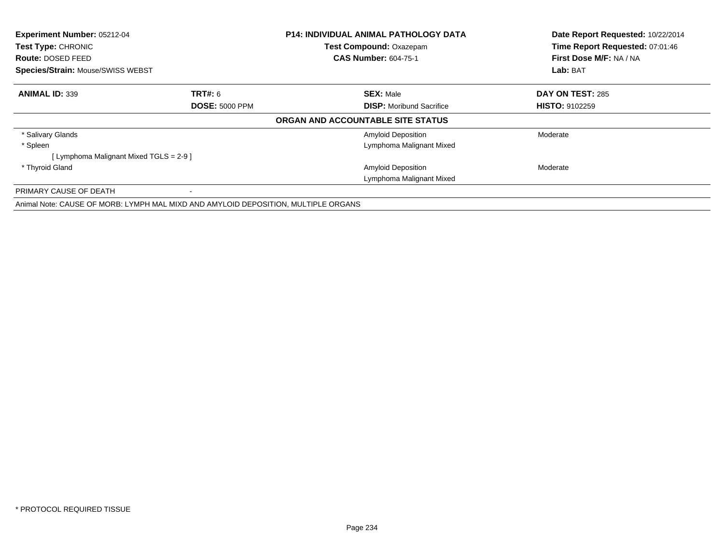| Experiment Number: 05212-04              |                                                                                    | <b>P14: INDIVIDUAL ANIMAL PATHOLOGY DATA</b> | Date Report Requested: 10/22/2014 |
|------------------------------------------|------------------------------------------------------------------------------------|----------------------------------------------|-----------------------------------|
| Test Type: CHRONIC                       |                                                                                    | <b>Test Compound: Oxazepam</b>               | Time Report Requested: 07:01:46   |
| <b>Route: DOSED FEED</b>                 |                                                                                    | <b>CAS Number: 604-75-1</b>                  | First Dose M/F: NA / NA           |
| <b>Species/Strain: Mouse/SWISS WEBST</b> |                                                                                    |                                              | Lab: BAT                          |
| <b>ANIMAL ID: 339</b>                    | <b>TRT#: 6</b>                                                                     | <b>SEX: Male</b>                             | DAY ON TEST: 285                  |
|                                          | <b>DOSE: 5000 PPM</b>                                                              | <b>DISP:</b> Moribund Sacrifice              | <b>HISTO: 9102259</b>             |
|                                          |                                                                                    | ORGAN AND ACCOUNTABLE SITE STATUS            |                                   |
| * Salivary Glands                        |                                                                                    | <b>Amyloid Deposition</b>                    | Moderate                          |
| * Spleen                                 |                                                                                    | Lymphoma Malignant Mixed                     |                                   |
| [ Lymphoma Malignant Mixed TGLS = 2-9 ]  |                                                                                    |                                              |                                   |
| * Thyroid Gland                          |                                                                                    | <b>Amyloid Deposition</b>                    | Moderate                          |
|                                          |                                                                                    | Lymphoma Malignant Mixed                     |                                   |
| PRIMARY CAUSE OF DEATH                   |                                                                                    |                                              |                                   |
|                                          | Animal Note: CAUSE OF MORB: LYMPH MAL MIXD AND AMYLOID DEPOSITION, MULTIPLE ORGANS |                                              |                                   |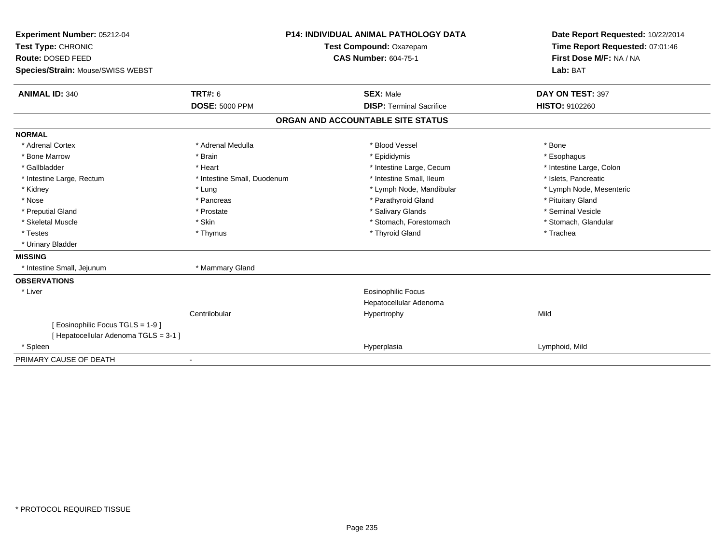| Experiment Number: 05212-04           |                             | <b>P14: INDIVIDUAL ANIMAL PATHOLOGY DATA</b> | Date Report Requested: 10/22/2014 |
|---------------------------------------|-----------------------------|----------------------------------------------|-----------------------------------|
| Test Type: CHRONIC                    | Test Compound: Oxazepam     |                                              | Time Report Requested: 07:01:46   |
| Route: DOSED FEED                     |                             | <b>CAS Number: 604-75-1</b>                  | First Dose M/F: NA / NA           |
| Species/Strain: Mouse/SWISS WEBST     |                             |                                              | Lab: BAT                          |
| <b>ANIMAL ID: 340</b>                 | TRT#: 6                     | <b>SEX: Male</b>                             | DAY ON TEST: 397                  |
|                                       | <b>DOSE: 5000 PPM</b>       | <b>DISP: Terminal Sacrifice</b>              | <b>HISTO: 9102260</b>             |
|                                       |                             | ORGAN AND ACCOUNTABLE SITE STATUS            |                                   |
| <b>NORMAL</b>                         |                             |                                              |                                   |
| * Adrenal Cortex                      | * Adrenal Medulla           | * Blood Vessel                               | * Bone                            |
| * Bone Marrow                         | * Brain                     | * Epididymis                                 | * Esophagus                       |
| * Gallbladder                         | * Heart                     | * Intestine Large, Cecum                     | * Intestine Large, Colon          |
| * Intestine Large, Rectum             | * Intestine Small, Duodenum | * Intestine Small, Ileum                     | * Islets, Pancreatic              |
| * Kidney                              | * Lung                      | * Lymph Node, Mandibular                     | * Lymph Node, Mesenteric          |
| * Nose                                | * Pancreas                  | * Parathyroid Gland                          | * Pituitary Gland                 |
| * Preputial Gland                     | * Prostate                  | * Salivary Glands                            | * Seminal Vesicle                 |
| * Skeletal Muscle                     | * Skin                      | * Stomach, Forestomach                       | * Stomach, Glandular              |
| * Testes                              | * Thymus                    | * Thyroid Gland                              | * Trachea                         |
| * Urinary Bladder                     |                             |                                              |                                   |
| <b>MISSING</b>                        |                             |                                              |                                   |
| * Intestine Small, Jejunum            | * Mammary Gland             |                                              |                                   |
| <b>OBSERVATIONS</b>                   |                             |                                              |                                   |
| * Liver                               |                             | <b>Eosinophilic Focus</b>                    |                                   |
|                                       |                             | Hepatocellular Adenoma                       |                                   |
|                                       | Centrilobular               | Hypertrophy                                  | Mild                              |
| [Eosinophilic Focus TGLS = 1-9]       |                             |                                              |                                   |
| [ Hepatocellular Adenoma TGLS = 3-1 ] |                             |                                              |                                   |
| * Spleen                              |                             | Hyperplasia                                  | Lymphoid, Mild                    |
| PRIMARY CAUSE OF DEATH                | $\blacksquare$              |                                              |                                   |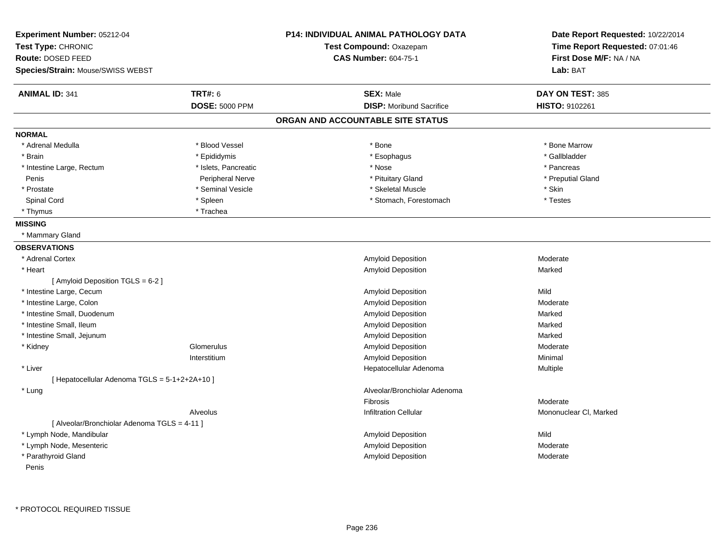| Experiment Number: 05212-04                   |                       | <b>P14: INDIVIDUAL ANIMAL PATHOLOGY DATA</b> | Date Report Requested: 10/22/2014 |
|-----------------------------------------------|-----------------------|----------------------------------------------|-----------------------------------|
| Test Type: CHRONIC                            |                       | Test Compound: Oxazepam                      | Time Report Requested: 07:01:46   |
| <b>Route: DOSED FEED</b>                      |                       | <b>CAS Number: 604-75-1</b>                  | First Dose M/F: NA / NA           |
| Species/Strain: Mouse/SWISS WEBST             |                       |                                              | Lab: BAT                          |
| <b>ANIMAL ID: 341</b>                         | <b>TRT#: 6</b>        | <b>SEX: Male</b>                             | DAY ON TEST: 385                  |
|                                               | <b>DOSE: 5000 PPM</b> | <b>DISP:</b> Moribund Sacrifice              | HISTO: 9102261                    |
|                                               |                       | ORGAN AND ACCOUNTABLE SITE STATUS            |                                   |
| <b>NORMAL</b>                                 |                       |                                              |                                   |
| * Adrenal Medulla                             | * Blood Vessel        | $*$ Bone                                     | * Bone Marrow                     |
| * Brain                                       | * Epididymis          | * Esophagus                                  | * Gallbladder                     |
| * Intestine Large, Rectum                     | * Islets, Pancreatic  | * Nose                                       | * Pancreas                        |
| Penis                                         | Peripheral Nerve      | * Pituitary Gland                            | * Preputial Gland                 |
| * Prostate                                    | * Seminal Vesicle     | * Skeletal Muscle                            | * Skin                            |
| Spinal Cord                                   | * Spleen              | * Stomach, Forestomach                       | * Testes                          |
| * Thymus                                      | * Trachea             |                                              |                                   |
| <b>MISSING</b>                                |                       |                                              |                                   |
| * Mammary Gland                               |                       |                                              |                                   |
| <b>OBSERVATIONS</b>                           |                       |                                              |                                   |
| * Adrenal Cortex                              |                       | Amyloid Deposition                           | Moderate                          |
| * Heart                                       |                       | Amyloid Deposition                           | Marked                            |
| [Amyloid Deposition TGLS = 6-2]               |                       |                                              |                                   |
| * Intestine Large, Cecum                      |                       | Amyloid Deposition                           | Mild                              |
| * Intestine Large, Colon                      |                       | Amyloid Deposition                           | Moderate                          |
| * Intestine Small, Duodenum                   |                       | Amyloid Deposition                           | Marked                            |
| * Intestine Small, Ileum                      |                       | Amyloid Deposition                           | Marked                            |
| * Intestine Small, Jejunum                    |                       | Amyloid Deposition                           | Marked                            |
| * Kidney                                      | Glomerulus            | Amyloid Deposition                           | Moderate                          |
|                                               | Interstitium          | Amyloid Deposition                           | Minimal                           |
| * Liver                                       |                       | Hepatocellular Adenoma                       | Multiple                          |
| [ Hepatocellular Adenoma TGLS = 5-1+2+2A+10 ] |                       |                                              |                                   |
| * Lung                                        |                       | Alveolar/Bronchiolar Adenoma                 |                                   |
|                                               |                       | <b>Fibrosis</b>                              | Moderate                          |
|                                               | <b>Alveolus</b>       | <b>Infiltration Cellular</b>                 | Mononuclear CI, Marked            |
| [ Alveolar/Bronchiolar Adenoma TGLS = 4-11 ]  |                       |                                              |                                   |
| * Lymph Node, Mandibular                      |                       | Amyloid Deposition                           | Mild                              |
| * Lymph Node, Mesenteric                      |                       | Amyloid Deposition                           | Moderate                          |
| * Parathyroid Gland                           |                       | <b>Amyloid Deposition</b>                    | Moderate                          |
| Penis                                         |                       |                                              |                                   |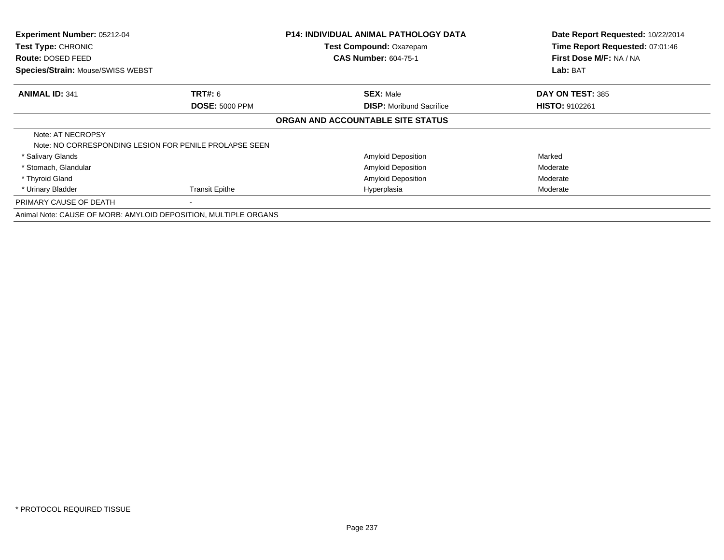| Experiment Number: 05212-04<br>Test Type: CHRONIC<br><b>Route: DOSED FEED</b> |                       | <b>P14: INDIVIDUAL ANIMAL PATHOLOGY DATA</b><br>Test Compound: Oxazepam<br><b>CAS Number: 604-75-1</b> | Date Report Requested: 10/22/2014<br>Time Report Requested: 07:01:46<br>First Dose M/F: NA / NA |
|-------------------------------------------------------------------------------|-----------------------|--------------------------------------------------------------------------------------------------------|-------------------------------------------------------------------------------------------------|
| Species/Strain: Mouse/SWISS WEBST                                             |                       |                                                                                                        | Lab: BAT                                                                                        |
| <b>ANIMAL ID: 341</b>                                                         | <b>TRT#: 6</b>        | <b>SEX: Male</b>                                                                                       | DAY ON TEST: 385                                                                                |
|                                                                               | <b>DOSE: 5000 PPM</b> | <b>DISP:</b> Moribund Sacrifice                                                                        | <b>HISTO: 9102261</b>                                                                           |
|                                                                               |                       | ORGAN AND ACCOUNTABLE SITE STATUS                                                                      |                                                                                                 |
| Note: AT NECROPSY<br>Note: NO CORRESPONDING LESION FOR PENILE PROLAPSE SEEN   |                       |                                                                                                        |                                                                                                 |
| * Salivary Glands                                                             |                       | <b>Amyloid Deposition</b>                                                                              | Marked                                                                                          |
| * Stomach, Glandular                                                          |                       | <b>Amyloid Deposition</b>                                                                              | Moderate                                                                                        |
| * Thyroid Gland                                                               |                       | <b>Amyloid Deposition</b>                                                                              | Moderate                                                                                        |
| * Urinary Bladder                                                             | Transit Epithe        | Hyperplasia                                                                                            | Moderate                                                                                        |
| PRIMARY CAUSE OF DEATH                                                        |                       |                                                                                                        |                                                                                                 |
| Animal Note: CAUSE OF MORB: AMYLOID DEPOSITION, MULTIPLE ORGANS               |                       |                                                                                                        |                                                                                                 |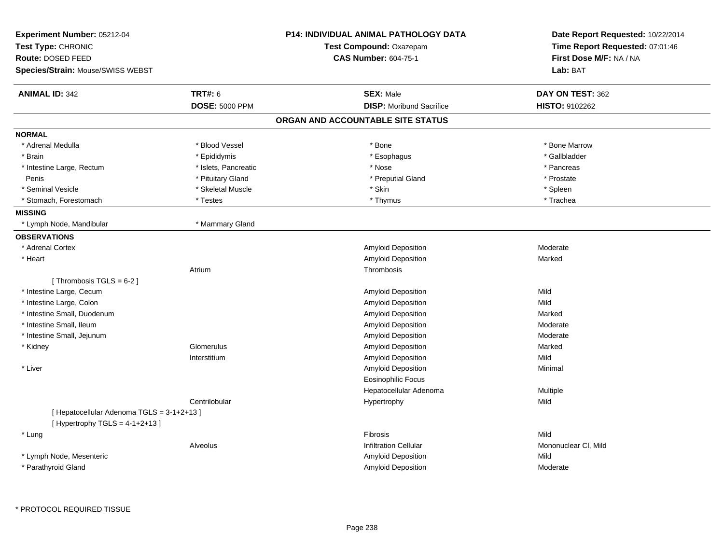| Test Compound: Oxazepam<br><b>CAS Number: 604-75-1</b><br><b>SEX: Male</b><br><b>DISP:</b> Moribund Sacrifice<br>ORGAN AND ACCOUNTABLE SITE STATUS<br>* Bone<br>* Esophagus | Time Report Requested: 07:01:46<br>First Dose M/F: NA / NA<br>Lab: BAT<br>DAY ON TEST: 362<br><b>HISTO: 9102262</b><br>* Bone Marrow                                        |
|-----------------------------------------------------------------------------------------------------------------------------------------------------------------------------|-----------------------------------------------------------------------------------------------------------------------------------------------------------------------------|
|                                                                                                                                                                             |                                                                                                                                                                             |
|                                                                                                                                                                             |                                                                                                                                                                             |
|                                                                                                                                                                             |                                                                                                                                                                             |
|                                                                                                                                                                             |                                                                                                                                                                             |
|                                                                                                                                                                             |                                                                                                                                                                             |
|                                                                                                                                                                             |                                                                                                                                                                             |
|                                                                                                                                                                             |                                                                                                                                                                             |
|                                                                                                                                                                             |                                                                                                                                                                             |
|                                                                                                                                                                             | * Gallbladder                                                                                                                                                               |
|                                                                                                                                                                             | * Pancreas                                                                                                                                                                  |
| * Preputial Gland                                                                                                                                                           | * Prostate                                                                                                                                                                  |
| * Skin                                                                                                                                                                      | * Spleen                                                                                                                                                                    |
| * Thymus                                                                                                                                                                    | * Trachea                                                                                                                                                                   |
|                                                                                                                                                                             |                                                                                                                                                                             |
|                                                                                                                                                                             |                                                                                                                                                                             |
|                                                                                                                                                                             |                                                                                                                                                                             |
| Amyloid Deposition                                                                                                                                                          | Moderate                                                                                                                                                                    |
| Amyloid Deposition                                                                                                                                                          | Marked                                                                                                                                                                      |
| Thrombosis                                                                                                                                                                  |                                                                                                                                                                             |
|                                                                                                                                                                             |                                                                                                                                                                             |
| Amyloid Deposition                                                                                                                                                          | Mild                                                                                                                                                                        |
| Amyloid Deposition                                                                                                                                                          | Mild                                                                                                                                                                        |
| <b>Amyloid Deposition</b>                                                                                                                                                   | Marked                                                                                                                                                                      |
| Amyloid Deposition                                                                                                                                                          | Moderate                                                                                                                                                                    |
| Amyloid Deposition                                                                                                                                                          | Moderate                                                                                                                                                                    |
| Amyloid Deposition                                                                                                                                                          | Marked                                                                                                                                                                      |
|                                                                                                                                                                             | Mild                                                                                                                                                                        |
|                                                                                                                                                                             | Minimal                                                                                                                                                                     |
|                                                                                                                                                                             |                                                                                                                                                                             |
|                                                                                                                                                                             | <b>Multiple</b>                                                                                                                                                             |
|                                                                                                                                                                             | Mild                                                                                                                                                                        |
|                                                                                                                                                                             |                                                                                                                                                                             |
|                                                                                                                                                                             |                                                                                                                                                                             |
| <b>Fibrosis</b>                                                                                                                                                             | Mild                                                                                                                                                                        |
| <b>Infiltration Cellular</b>                                                                                                                                                | Mononuclear CI, Mild                                                                                                                                                        |
|                                                                                                                                                                             | Mild                                                                                                                                                                        |
|                                                                                                                                                                             | Moderate                                                                                                                                                                    |
|                                                                                                                                                                             | * Nose<br>Amyloid Deposition<br>Amyloid Deposition<br><b>Eosinophilic Focus</b><br>Hepatocellular Adenoma<br>Hypertrophy<br><b>Amyloid Deposition</b><br>Amyloid Deposition |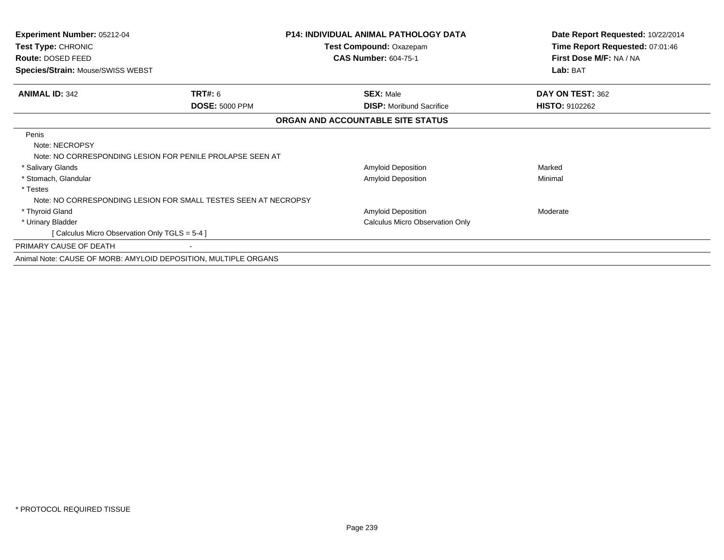| Experiment Number: 05212-04                                     |                                                                 | <b>P14: INDIVIDUAL ANIMAL PATHOLOGY DATA</b> | Date Report Requested: 10/22/2014 |
|-----------------------------------------------------------------|-----------------------------------------------------------------|----------------------------------------------|-----------------------------------|
| Test Type: CHRONIC                                              |                                                                 | Test Compound: Oxazepam                      | Time Report Requested: 07:01:46   |
| Route: DOSED FEED                                               |                                                                 | <b>CAS Number: 604-75-1</b>                  | First Dose M/F: NA / NA           |
| <b>Species/Strain: Mouse/SWISS WEBST</b>                        |                                                                 |                                              | Lab: BAT                          |
| <b>ANIMAL ID: 342</b>                                           | <b>TRT#: 6</b>                                                  | <b>SEX: Male</b>                             | DAY ON TEST: 362                  |
|                                                                 | <b>DOSE: 5000 PPM</b>                                           | <b>DISP:</b> Moribund Sacrifice              | <b>HISTO: 9102262</b>             |
|                                                                 |                                                                 | ORGAN AND ACCOUNTABLE SITE STATUS            |                                   |
| Penis                                                           |                                                                 |                                              |                                   |
| Note: NECROPSY                                                  |                                                                 |                                              |                                   |
|                                                                 | Note: NO CORRESPONDING LESION FOR PENILE PROLAPSE SEEN AT       |                                              |                                   |
| * Salivary Glands                                               |                                                                 | Amyloid Deposition                           | Marked                            |
| * Stomach, Glandular                                            |                                                                 | Amyloid Deposition                           | Minimal                           |
| * Testes                                                        |                                                                 |                                              |                                   |
|                                                                 | Note: NO CORRESPONDING LESION FOR SMALL TESTES SEEN AT NECROPSY |                                              |                                   |
| * Thyroid Gland                                                 |                                                                 | Amyloid Deposition                           | Moderate                          |
| * Urinary Bladder                                               |                                                                 | Calculus Micro Observation Only              |                                   |
| [ Calculus Micro Observation Only TGLS = 5-4 ]                  |                                                                 |                                              |                                   |
| PRIMARY CAUSE OF DEATH                                          |                                                                 |                                              |                                   |
| Animal Note: CAUSE OF MORB: AMYLOID DEPOSITION, MULTIPLE ORGANS |                                                                 |                                              |                                   |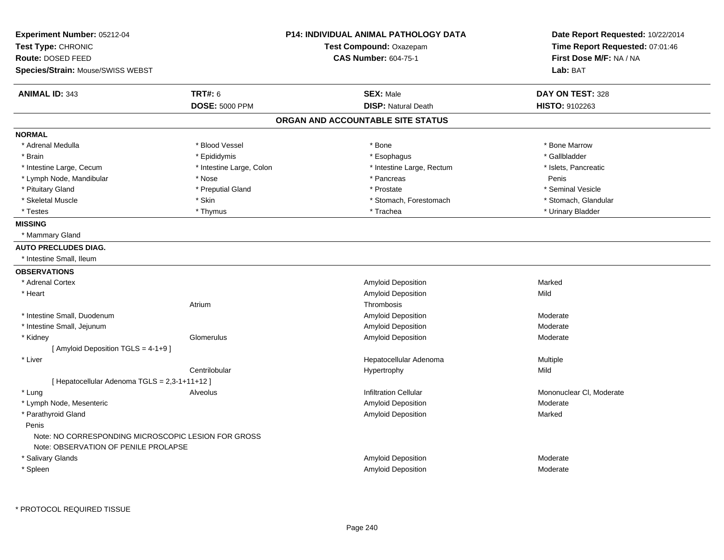| Experiment Number: 05212-04<br>Test Type: CHRONIC<br>Route: DOSED FEED                      |                          | <b>P14: INDIVIDUAL ANIMAL PATHOLOGY DATA</b><br>Test Compound: Oxazepam<br><b>CAS Number: 604-75-1</b> | Date Report Requested: 10/22/2014<br>Time Report Requested: 07:01:46<br>First Dose M/F: NA / NA |
|---------------------------------------------------------------------------------------------|--------------------------|--------------------------------------------------------------------------------------------------------|-------------------------------------------------------------------------------------------------|
| Species/Strain: Mouse/SWISS WEBST                                                           |                          |                                                                                                        | Lab: BAT                                                                                        |
| <b>ANIMAL ID: 343</b>                                                                       | <b>TRT#: 6</b>           | <b>SEX: Male</b>                                                                                       | DAY ON TEST: 328                                                                                |
|                                                                                             | <b>DOSE: 5000 PPM</b>    | <b>DISP: Natural Death</b>                                                                             | HISTO: 9102263                                                                                  |
|                                                                                             |                          | ORGAN AND ACCOUNTABLE SITE STATUS                                                                      |                                                                                                 |
| <b>NORMAL</b>                                                                               |                          |                                                                                                        |                                                                                                 |
| * Adrenal Medulla                                                                           | * Blood Vessel           | * Bone                                                                                                 | * Bone Marrow                                                                                   |
| * Brain                                                                                     | * Epididymis             | * Esophagus                                                                                            | * Gallbladder                                                                                   |
| * Intestine Large, Cecum                                                                    | * Intestine Large, Colon | * Intestine Large, Rectum                                                                              | * Islets, Pancreatic                                                                            |
| * Lymph Node, Mandibular                                                                    | * Nose                   | * Pancreas                                                                                             | Penis                                                                                           |
| * Pituitary Gland                                                                           | * Preputial Gland        | * Prostate                                                                                             | * Seminal Vesicle                                                                               |
| * Skeletal Muscle                                                                           | * Skin                   | * Stomach, Forestomach                                                                                 | * Stomach, Glandular                                                                            |
| * Testes                                                                                    | * Thymus                 | * Trachea                                                                                              | * Urinary Bladder                                                                               |
| <b>MISSING</b>                                                                              |                          |                                                                                                        |                                                                                                 |
| * Mammary Gland                                                                             |                          |                                                                                                        |                                                                                                 |
| <b>AUTO PRECLUDES DIAG.</b>                                                                 |                          |                                                                                                        |                                                                                                 |
| * Intestine Small, Ileum                                                                    |                          |                                                                                                        |                                                                                                 |
| <b>OBSERVATIONS</b>                                                                         |                          |                                                                                                        |                                                                                                 |
| * Adrenal Cortex                                                                            |                          | Amyloid Deposition                                                                                     | Marked                                                                                          |
| * Heart                                                                                     |                          | Amyloid Deposition                                                                                     | Mild                                                                                            |
|                                                                                             | Atrium                   | Thrombosis                                                                                             |                                                                                                 |
| * Intestine Small, Duodenum                                                                 |                          | <b>Amyloid Deposition</b>                                                                              | Moderate                                                                                        |
| * Intestine Small, Jejunum                                                                  |                          | Amyloid Deposition                                                                                     | Moderate                                                                                        |
| * Kidney                                                                                    | Glomerulus               | Amyloid Deposition                                                                                     | Moderate                                                                                        |
| [ Amyloid Deposition TGLS = 4-1+9 ]                                                         |                          |                                                                                                        |                                                                                                 |
| * Liver                                                                                     |                          | Hepatocellular Adenoma                                                                                 | Multiple                                                                                        |
|                                                                                             | Centrilobular            | Hypertrophy                                                                                            | Mild                                                                                            |
| [ Hepatocellular Adenoma TGLS = 2,3-1+11+12 ]                                               |                          |                                                                                                        |                                                                                                 |
| * Lung                                                                                      | Alveolus                 | <b>Infiltration Cellular</b>                                                                           | Mononuclear CI, Moderate                                                                        |
| * Lymph Node, Mesenteric                                                                    |                          | <b>Amyloid Deposition</b>                                                                              | Moderate                                                                                        |
| * Parathyroid Gland                                                                         |                          | <b>Amyloid Deposition</b>                                                                              | Marked                                                                                          |
| Penis                                                                                       |                          |                                                                                                        |                                                                                                 |
| Note: NO CORRESPONDING MICROSCOPIC LESION FOR GROSS<br>Note: OBSERVATION OF PENILE PROLAPSE |                          |                                                                                                        |                                                                                                 |
| * Salivary Glands                                                                           |                          | <b>Amyloid Deposition</b>                                                                              | Moderate                                                                                        |
| * Spleen                                                                                    |                          | Amyloid Deposition                                                                                     | Moderate                                                                                        |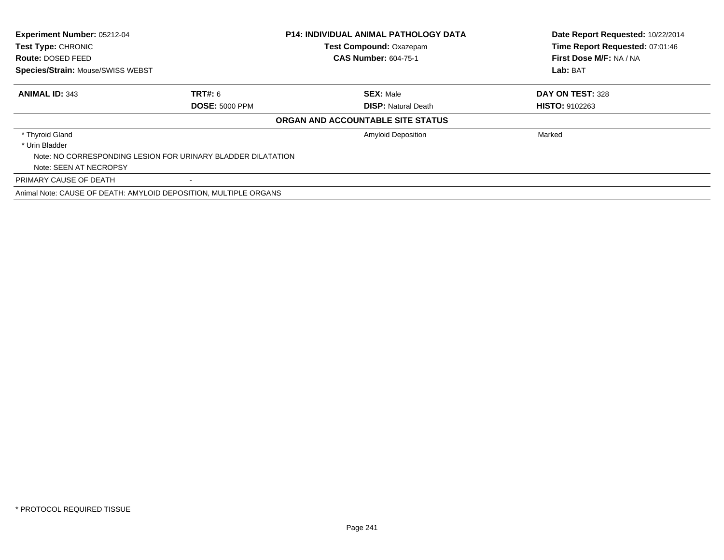| <b>Experiment Number: 05212-04</b><br>Test Type: CHRONIC         |                       | <b>P14: INDIVIDUAL ANIMAL PATHOLOGY DATA</b><br><b>Test Compound: Oxazepam</b> | Date Report Requested: 10/22/2014<br>Time Report Requested: 07:01:46 |
|------------------------------------------------------------------|-----------------------|--------------------------------------------------------------------------------|----------------------------------------------------------------------|
| Route: DOSED FEED                                                |                       | <b>CAS Number: 604-75-1</b>                                                    | First Dose M/F: NA / NA                                              |
| <b>Species/Strain: Mouse/SWISS WEBST</b>                         |                       |                                                                                | Lab: BAT                                                             |
| <b>ANIMAL ID: 343</b>                                            | <b>TRT#: 6</b>        | <b>SEX: Male</b>                                                               | DAY ON TEST: 328                                                     |
|                                                                  | <b>DOSE: 5000 PPM</b> | <b>DISP: Natural Death</b>                                                     | <b>HISTO: 9102263</b>                                                |
|                                                                  |                       | ORGAN AND ACCOUNTABLE SITE STATUS                                              |                                                                      |
| * Thyroid Gland                                                  |                       | <b>Amyloid Deposition</b>                                                      | Marked                                                               |
| * Urin Bladder                                                   |                       |                                                                                |                                                                      |
| Note: NO CORRESPONDING LESION FOR URINARY BLADDER DILATATION     |                       |                                                                                |                                                                      |
| Note: SEEN AT NECROPSY                                           |                       |                                                                                |                                                                      |
| PRIMARY CAUSE OF DEATH                                           |                       |                                                                                |                                                                      |
| Animal Note: CAUSE OF DEATH: AMYLOID DEPOSITION, MULTIPLE ORGANS |                       |                                                                                |                                                                      |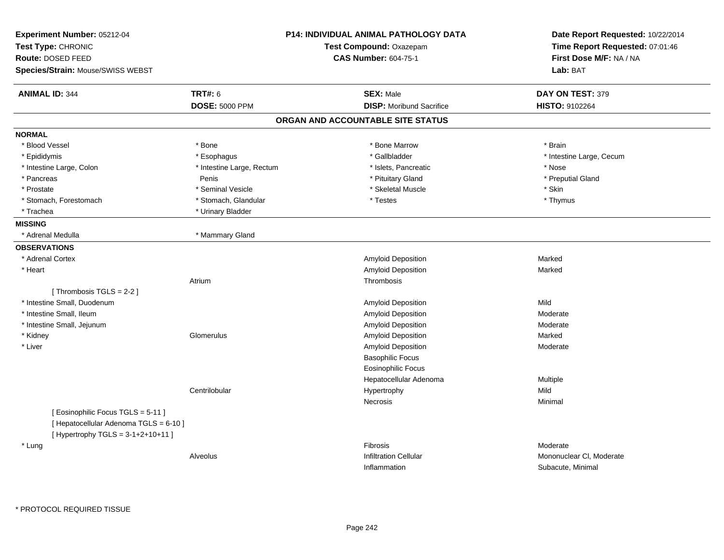| Experiment Number: 05212-04<br>Test Type: CHRONIC<br>Route: DOSED FEED<br>Species/Strain: Mouse/SWISS WEBST |                           | <b>P14: INDIVIDUAL ANIMAL PATHOLOGY DATA</b><br>Test Compound: Oxazepam<br><b>CAS Number: 604-75-1</b> | Date Report Requested: 10/22/2014<br>Time Report Requested: 07:01:46<br>First Dose M/F: NA / NA<br>Lab: BAT |
|-------------------------------------------------------------------------------------------------------------|---------------------------|--------------------------------------------------------------------------------------------------------|-------------------------------------------------------------------------------------------------------------|
| <b>ANIMAL ID: 344</b>                                                                                       | <b>TRT#: 6</b>            | <b>SEX: Male</b>                                                                                       | DAY ON TEST: 379                                                                                            |
|                                                                                                             | <b>DOSE: 5000 PPM</b>     | <b>DISP: Moribund Sacrifice</b>                                                                        | <b>HISTO: 9102264</b>                                                                                       |
|                                                                                                             |                           | ORGAN AND ACCOUNTABLE SITE STATUS                                                                      |                                                                                                             |
| <b>NORMAL</b>                                                                                               |                           |                                                                                                        |                                                                                                             |
| * Blood Vessel                                                                                              | * Bone                    | * Bone Marrow                                                                                          | * Brain                                                                                                     |
| * Epididymis                                                                                                | * Esophagus               | * Gallbladder                                                                                          | * Intestine Large, Cecum                                                                                    |
| * Intestine Large, Colon                                                                                    | * Intestine Large, Rectum | * Islets, Pancreatic                                                                                   | * Nose                                                                                                      |
| * Pancreas                                                                                                  | Penis                     | * Pituitary Gland                                                                                      | * Preputial Gland                                                                                           |
| * Prostate                                                                                                  | * Seminal Vesicle         | * Skeletal Muscle                                                                                      | * Skin                                                                                                      |
| * Stomach, Forestomach                                                                                      | * Stomach, Glandular      | * Testes                                                                                               | * Thymus                                                                                                    |
| * Trachea                                                                                                   | * Urinary Bladder         |                                                                                                        |                                                                                                             |
| <b>MISSING</b>                                                                                              |                           |                                                                                                        |                                                                                                             |
| * Adrenal Medulla                                                                                           | * Mammary Gland           |                                                                                                        |                                                                                                             |
| <b>OBSERVATIONS</b>                                                                                         |                           |                                                                                                        |                                                                                                             |
| * Adrenal Cortex                                                                                            |                           | <b>Amyloid Deposition</b>                                                                              | Marked                                                                                                      |
| * Heart                                                                                                     |                           | <b>Amyloid Deposition</b>                                                                              | Marked                                                                                                      |
|                                                                                                             | Atrium                    | Thrombosis                                                                                             |                                                                                                             |
| [Thrombosis TGLS = 2-2]                                                                                     |                           |                                                                                                        |                                                                                                             |
| * Intestine Small, Duodenum                                                                                 |                           | Amyloid Deposition                                                                                     | Mild                                                                                                        |
| * Intestine Small, Ileum                                                                                    |                           | Amyloid Deposition                                                                                     | Moderate                                                                                                    |
| * Intestine Small, Jejunum                                                                                  |                           | Amyloid Deposition                                                                                     | Moderate                                                                                                    |
| * Kidney                                                                                                    | Glomerulus                | Amyloid Deposition                                                                                     | Marked                                                                                                      |
| * Liver                                                                                                     |                           | Amyloid Deposition                                                                                     | Moderate                                                                                                    |
|                                                                                                             |                           | <b>Basophilic Focus</b>                                                                                |                                                                                                             |
|                                                                                                             |                           | <b>Eosinophilic Focus</b>                                                                              |                                                                                                             |
|                                                                                                             |                           | Hepatocellular Adenoma                                                                                 | Multiple                                                                                                    |
|                                                                                                             | Centrilobular             | Hypertrophy                                                                                            | Mild                                                                                                        |
|                                                                                                             |                           | Necrosis                                                                                               | Minimal                                                                                                     |
| [Eosinophilic Focus TGLS = 5-11]<br>[ Hepatocellular Adenoma TGLS = 6-10 ]                                  |                           |                                                                                                        |                                                                                                             |
| [Hypertrophy TGLS = $3-1+2+10+11$ ]                                                                         |                           |                                                                                                        |                                                                                                             |
| * Lung                                                                                                      |                           | Fibrosis                                                                                               | Moderate                                                                                                    |
|                                                                                                             | Alveolus                  | <b>Infiltration Cellular</b><br>Inflammation                                                           | Mononuclear CI, Moderate<br>Subacute, Minimal                                                               |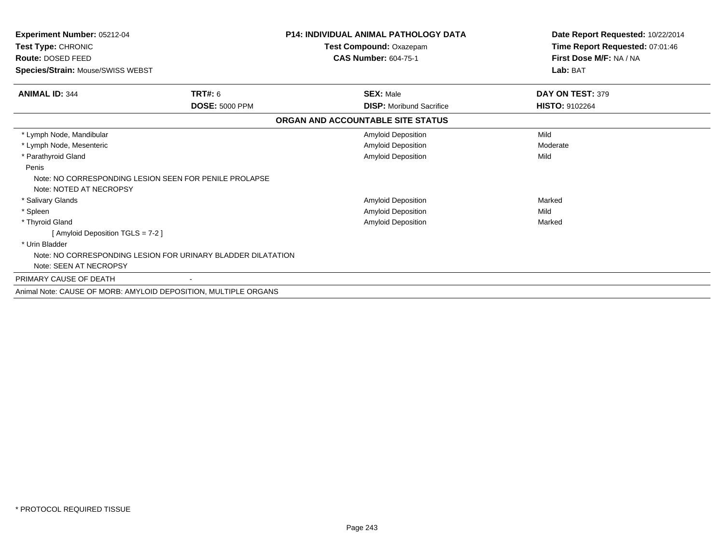| Experiment Number: 05212-04                                                       |                       | P14: INDIVIDUAL ANIMAL PATHOLOGY DATA | Date Report Requested: 10/22/2014 |
|-----------------------------------------------------------------------------------|-----------------------|---------------------------------------|-----------------------------------|
| Test Type: CHRONIC                                                                |                       | Test Compound: Oxazepam               | Time Report Requested: 07:01:46   |
| Route: DOSED FEED                                                                 |                       | <b>CAS Number: 604-75-1</b>           | First Dose M/F: NA / NA           |
| <b>Species/Strain: Mouse/SWISS WEBST</b>                                          |                       |                                       | Lab: BAT                          |
| <b>ANIMAL ID: 344</b>                                                             | <b>TRT#: 6</b>        | <b>SEX: Male</b>                      | DAY ON TEST: 379                  |
|                                                                                   | <b>DOSE: 5000 PPM</b> | <b>DISP:</b> Moribund Sacrifice       | <b>HISTO: 9102264</b>             |
|                                                                                   |                       | ORGAN AND ACCOUNTABLE SITE STATUS     |                                   |
| * Lymph Node, Mandibular                                                          |                       | Amyloid Deposition                    | Mild                              |
| * Lymph Node, Mesenteric                                                          |                       | Amyloid Deposition                    | Moderate                          |
| * Parathyroid Gland                                                               |                       | Amyloid Deposition                    | Mild                              |
| Penis                                                                             |                       |                                       |                                   |
| Note: NO CORRESPONDING LESION SEEN FOR PENILE PROLAPSE<br>Note: NOTED AT NECROPSY |                       |                                       |                                   |
| * Salivary Glands                                                                 |                       | Amyloid Deposition                    | Marked                            |
| * Spleen                                                                          |                       | Amyloid Deposition                    | Mild                              |
| * Thyroid Gland                                                                   |                       | Amyloid Deposition                    | Marked                            |
| [Amyloid Deposition TGLS = 7-2]                                                   |                       |                                       |                                   |
| * Urin Bladder                                                                    |                       |                                       |                                   |
| Note: NO CORRESPONDING LESION FOR URINARY BLADDER DILATATION                      |                       |                                       |                                   |
| Note: SEEN AT NECROPSY                                                            |                       |                                       |                                   |
| PRIMARY CAUSE OF DEATH                                                            |                       |                                       |                                   |
| Animal Note: CAUSE OF MORB: AMYLOID DEPOSITION, MULTIPLE ORGANS                   |                       |                                       |                                   |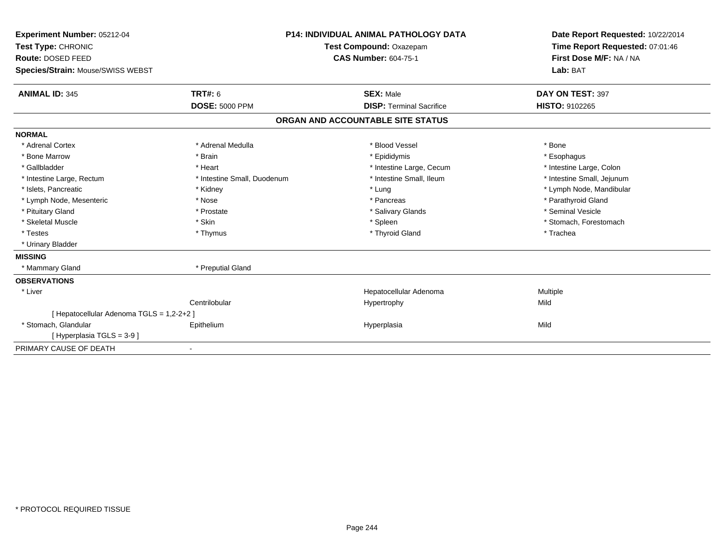| Experiment Number: 05212-04<br>Test Type: CHRONIC<br>Route: DOSED FEED<br>Species/Strain: Mouse/SWISS WEBST |                             | <b>P14: INDIVIDUAL ANIMAL PATHOLOGY DATA</b><br>Test Compound: Oxazepam<br><b>CAS Number: 604-75-1</b> | Date Report Requested: 10/22/2014<br>Time Report Requested: 07:01:46<br>First Dose M/F: NA / NA<br>Lab: BAT |
|-------------------------------------------------------------------------------------------------------------|-----------------------------|--------------------------------------------------------------------------------------------------------|-------------------------------------------------------------------------------------------------------------|
| <b>ANIMAL ID: 345</b>                                                                                       | <b>TRT#: 6</b>              | <b>SEX: Male</b>                                                                                       | DAY ON TEST: 397                                                                                            |
|                                                                                                             | <b>DOSE: 5000 PPM</b>       | <b>DISP: Terminal Sacrifice</b>                                                                        | <b>HISTO: 9102265</b>                                                                                       |
|                                                                                                             |                             | ORGAN AND ACCOUNTABLE SITE STATUS                                                                      |                                                                                                             |
| <b>NORMAL</b>                                                                                               |                             |                                                                                                        |                                                                                                             |
| * Adrenal Cortex                                                                                            | * Adrenal Medulla           | * Blood Vessel                                                                                         | * Bone                                                                                                      |
| * Bone Marrow                                                                                               | * Brain                     | * Epididymis                                                                                           | * Esophagus                                                                                                 |
| * Gallbladder                                                                                               | * Heart                     | * Intestine Large, Cecum                                                                               | * Intestine Large, Colon                                                                                    |
| * Intestine Large, Rectum                                                                                   | * Intestine Small, Duodenum | * Intestine Small, Ileum                                                                               | * Intestine Small, Jejunum                                                                                  |
| * Islets, Pancreatic                                                                                        | * Kidney                    | * Lung                                                                                                 | * Lymph Node, Mandibular                                                                                    |
| * Lymph Node, Mesenteric                                                                                    | * Nose                      | * Pancreas                                                                                             | * Parathyroid Gland                                                                                         |
| * Pituitary Gland                                                                                           | * Prostate                  | * Salivary Glands                                                                                      | * Seminal Vesicle                                                                                           |
| * Skeletal Muscle                                                                                           | * Skin                      | * Spleen                                                                                               | * Stomach, Forestomach                                                                                      |
| * Testes                                                                                                    | * Thymus                    | * Thyroid Gland                                                                                        | * Trachea                                                                                                   |
| * Urinary Bladder                                                                                           |                             |                                                                                                        |                                                                                                             |
| <b>MISSING</b>                                                                                              |                             |                                                                                                        |                                                                                                             |
| * Mammary Gland                                                                                             | * Preputial Gland           |                                                                                                        |                                                                                                             |
| <b>OBSERVATIONS</b>                                                                                         |                             |                                                                                                        |                                                                                                             |
| * Liver                                                                                                     |                             | Hepatocellular Adenoma                                                                                 | Multiple                                                                                                    |
|                                                                                                             | Centrilobular               | Hypertrophy                                                                                            | Mild                                                                                                        |
| [ Hepatocellular Adenoma TGLS = 1,2-2+2 ]                                                                   |                             |                                                                                                        |                                                                                                             |
| * Stomach, Glandular                                                                                        | Epithelium                  | Hyperplasia                                                                                            | Mild                                                                                                        |
| [Hyperplasia TGLS = $3-9$ ]                                                                                 |                             |                                                                                                        |                                                                                                             |
| PRIMARY CAUSE OF DEATH                                                                                      |                             |                                                                                                        |                                                                                                             |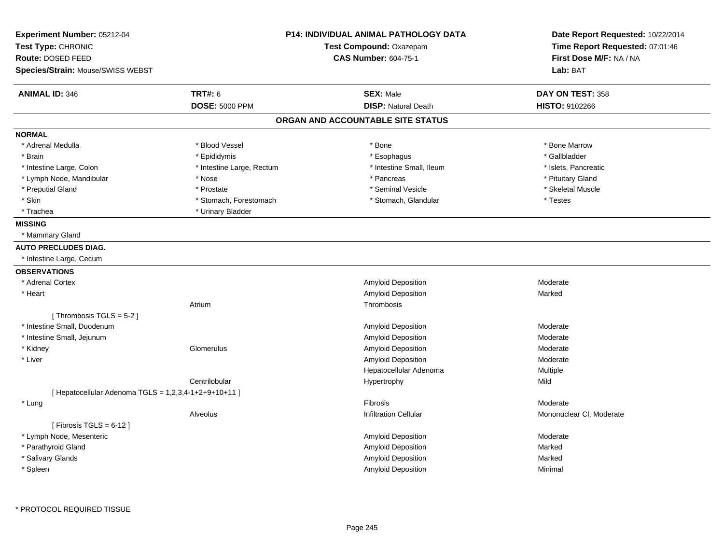|                        |                                                                                    | Date Report Requested: 10/22/2014                                                                                                                                                                                                                                                                                                    |  |
|------------------------|------------------------------------------------------------------------------------|--------------------------------------------------------------------------------------------------------------------------------------------------------------------------------------------------------------------------------------------------------------------------------------------------------------------------------------|--|
|                        |                                                                                    | Time Report Requested: 07:01:46                                                                                                                                                                                                                                                                                                      |  |
|                        |                                                                                    | First Dose M/F: NA / NA                                                                                                                                                                                                                                                                                                              |  |
|                        |                                                                                    | Lab: BAT                                                                                                                                                                                                                                                                                                                             |  |
| <b>TRT#: 6</b>         | <b>SEX: Male</b>                                                                   | DAY ON TEST: 358                                                                                                                                                                                                                                                                                                                     |  |
| <b>DOSE: 5000 PPM</b>  | <b>DISP: Natural Death</b>                                                         | HISTO: 9102266                                                                                                                                                                                                                                                                                                                       |  |
|                        |                                                                                    |                                                                                                                                                                                                                                                                                                                                      |  |
|                        |                                                                                    |                                                                                                                                                                                                                                                                                                                                      |  |
| * Blood Vessel         | * Bone                                                                             | * Bone Marrow                                                                                                                                                                                                                                                                                                                        |  |
| * Epididymis           | * Esophagus                                                                        | * Gallbladder                                                                                                                                                                                                                                                                                                                        |  |
|                        | * Intestine Small, Ileum                                                           | * Islets, Pancreatic                                                                                                                                                                                                                                                                                                                 |  |
| * Nose                 | * Pancreas                                                                         | * Pituitary Gland                                                                                                                                                                                                                                                                                                                    |  |
| * Prostate             | * Seminal Vesicle                                                                  | * Skeletal Muscle                                                                                                                                                                                                                                                                                                                    |  |
| * Stomach, Forestomach | * Stomach, Glandular                                                               | * Testes                                                                                                                                                                                                                                                                                                                             |  |
| * Urinary Bladder      |                                                                                    |                                                                                                                                                                                                                                                                                                                                      |  |
|                        |                                                                                    |                                                                                                                                                                                                                                                                                                                                      |  |
|                        |                                                                                    |                                                                                                                                                                                                                                                                                                                                      |  |
|                        |                                                                                    |                                                                                                                                                                                                                                                                                                                                      |  |
|                        |                                                                                    |                                                                                                                                                                                                                                                                                                                                      |  |
|                        |                                                                                    |                                                                                                                                                                                                                                                                                                                                      |  |
|                        | Amyloid Deposition                                                                 | Moderate                                                                                                                                                                                                                                                                                                                             |  |
|                        | Amyloid Deposition                                                                 | Marked                                                                                                                                                                                                                                                                                                                               |  |
| Atrium                 | Thrombosis                                                                         |                                                                                                                                                                                                                                                                                                                                      |  |
|                        |                                                                                    |                                                                                                                                                                                                                                                                                                                                      |  |
|                        |                                                                                    | Moderate                                                                                                                                                                                                                                                                                                                             |  |
|                        |                                                                                    | Moderate                                                                                                                                                                                                                                                                                                                             |  |
| Glomerulus             |                                                                                    | Moderate                                                                                                                                                                                                                                                                                                                             |  |
|                        | Amyloid Deposition                                                                 | Moderate                                                                                                                                                                                                                                                                                                                             |  |
|                        |                                                                                    | Multiple                                                                                                                                                                                                                                                                                                                             |  |
| Centrilobular          |                                                                                    | Mild                                                                                                                                                                                                                                                                                                                                 |  |
|                        |                                                                                    |                                                                                                                                                                                                                                                                                                                                      |  |
|                        |                                                                                    | Moderate                                                                                                                                                                                                                                                                                                                             |  |
| Alveolus               | <b>Infiltration Cellular</b>                                                       | Mononuclear CI, Moderate                                                                                                                                                                                                                                                                                                             |  |
|                        |                                                                                    |                                                                                                                                                                                                                                                                                                                                      |  |
|                        |                                                                                    | Moderate                                                                                                                                                                                                                                                                                                                             |  |
|                        |                                                                                    | Marked                                                                                                                                                                                                                                                                                                                               |  |
|                        |                                                                                    | Marked                                                                                                                                                                                                                                                                                                                               |  |
|                        | Amyloid Deposition                                                                 | Minimal                                                                                                                                                                                                                                                                                                                              |  |
|                        | * Intestine Large, Rectum<br>[ Hepatocellular Adenoma TGLS = 1,2,3,4-1+2+9+10+11 ] | <b>P14: INDIVIDUAL ANIMAL PATHOLOGY DATA</b><br>Test Compound: Oxazepam<br><b>CAS Number: 604-75-1</b><br>ORGAN AND ACCOUNTABLE SITE STATUS<br>Amyloid Deposition<br>Amyloid Deposition<br>Amyloid Deposition<br>Hepatocellular Adenoma<br>Hypertrophy<br>Fibrosis<br>Amyloid Deposition<br>Amyloid Deposition<br>Amyloid Deposition |  |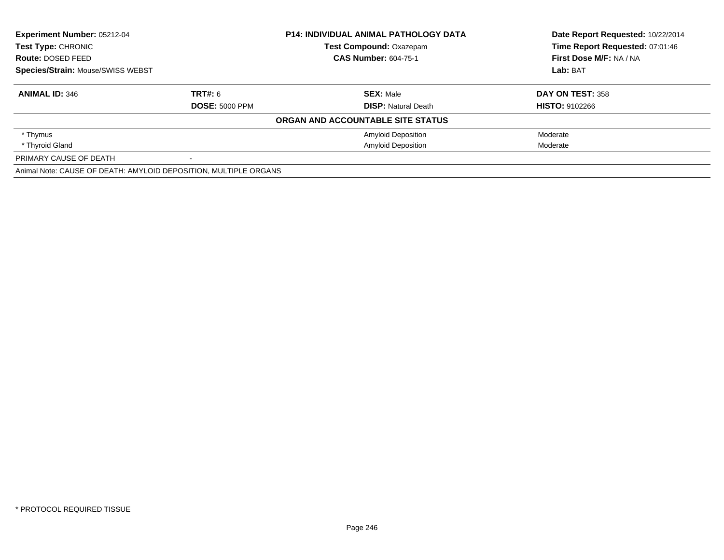| Experiment Number: 05212-04<br>Test Type: CHRONIC<br>Route: DOSED FEED |                       | <b>P14: INDIVIDUAL ANIMAL PATHOLOGY DATA</b> | Date Report Requested: 10/22/2014<br>Time Report Requested: 07:01:46 |
|------------------------------------------------------------------------|-----------------------|----------------------------------------------|----------------------------------------------------------------------|
|                                                                        |                       | <b>Test Compound: Oxazepam</b>               |                                                                      |
|                                                                        |                       | <b>CAS Number: 604-75-1</b>                  | First Dose M/F: NA / NA                                              |
| Species/Strain: Mouse/SWISS WEBST                                      |                       |                                              | Lab: BAT                                                             |
| <b>ANIMAL ID: 346</b>                                                  | <b>TRT#: 6</b>        | <b>SEX: Male</b>                             | DAY ON TEST: 358                                                     |
|                                                                        | <b>DOSE: 5000 PPM</b> | <b>DISP:</b> Natural Death                   | <b>HISTO: 9102266</b>                                                |
|                                                                        |                       | ORGAN AND ACCOUNTABLE SITE STATUS            |                                                                      |
| * Thymus                                                               |                       | <b>Amyloid Deposition</b>                    | Moderate                                                             |
| * Thyroid Gland                                                        |                       | <b>Amyloid Deposition</b>                    | Moderate                                                             |
| PRIMARY CAUSE OF DEATH                                                 |                       |                                              |                                                                      |
| Animal Note: CAUSE OF DEATH: AMYLOID DEPOSITION, MULTIPLE ORGANS       |                       |                                              |                                                                      |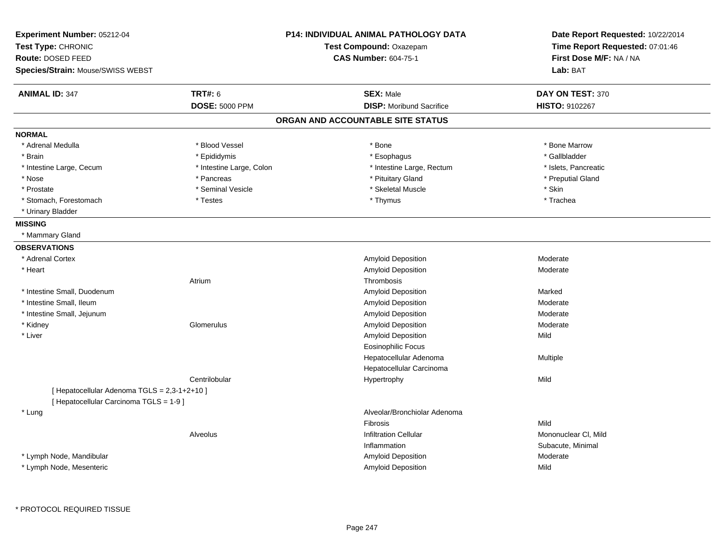| Experiment Number: 05212-04<br>Test Type: CHRONIC |                             | P14: INDIVIDUAL ANIMAL PATHOLOGY DATA<br>Test Compound: Oxazepam | Date Report Requested: 10/22/2014<br>Time Report Requested: 07:01:46 |
|---------------------------------------------------|-----------------------------|------------------------------------------------------------------|----------------------------------------------------------------------|
| Route: DOSED FEED                                 | <b>CAS Number: 604-75-1</b> |                                                                  | First Dose M/F: NA / NA                                              |
| Species/Strain: Mouse/SWISS WEBST                 |                             |                                                                  | Lab: BAT                                                             |
| <b>ANIMAL ID: 347</b>                             | <b>TRT#: 6</b>              | <b>SEX: Male</b>                                                 | DAY ON TEST: 370                                                     |
|                                                   | <b>DOSE: 5000 PPM</b>       | <b>DISP:</b> Moribund Sacrifice                                  | HISTO: 9102267                                                       |
|                                                   |                             | ORGAN AND ACCOUNTABLE SITE STATUS                                |                                                                      |
| <b>NORMAL</b>                                     |                             |                                                                  |                                                                      |
| * Adrenal Medulla                                 | * Blood Vessel              | * Bone                                                           | * Bone Marrow                                                        |
| * Brain                                           | * Epididymis                | * Esophagus                                                      | * Gallbladder                                                        |
| * Intestine Large, Cecum                          | * Intestine Large, Colon    | * Intestine Large, Rectum                                        | * Islets, Pancreatic                                                 |
| * Nose                                            | * Pancreas                  | * Pituitary Gland                                                | * Preputial Gland                                                    |
| * Prostate                                        | * Seminal Vesicle           | * Skeletal Muscle                                                | * Skin                                                               |
| * Stomach, Forestomach                            | * Testes                    | * Thymus                                                         | * Trachea                                                            |
| * Urinary Bladder                                 |                             |                                                                  |                                                                      |
| <b>MISSING</b>                                    |                             |                                                                  |                                                                      |
| * Mammary Gland                                   |                             |                                                                  |                                                                      |
| <b>OBSERVATIONS</b>                               |                             |                                                                  |                                                                      |
| * Adrenal Cortex                                  |                             | Amyloid Deposition                                               | Moderate                                                             |
| * Heart                                           |                             | Amyloid Deposition                                               | Moderate                                                             |
|                                                   | Atrium                      | Thrombosis                                                       |                                                                      |
| * Intestine Small, Duodenum                       |                             | Amyloid Deposition                                               | Marked                                                               |
| * Intestine Small, Ileum                          |                             | Amyloid Deposition                                               | Moderate                                                             |
| * Intestine Small, Jejunum                        |                             | Amyloid Deposition                                               | Moderate                                                             |
| * Kidney                                          | Glomerulus                  | Amyloid Deposition                                               | Moderate                                                             |
| * Liver                                           |                             | Amyloid Deposition                                               | Mild                                                                 |
|                                                   |                             | <b>Eosinophilic Focus</b>                                        |                                                                      |
|                                                   |                             | Hepatocellular Adenoma                                           | Multiple                                                             |
|                                                   |                             | Hepatocellular Carcinoma                                         |                                                                      |
|                                                   | Centrilobular               | Hypertrophy                                                      | Mild                                                                 |
| [ Hepatocellular Adenoma TGLS = 2,3-1+2+10 ]      |                             |                                                                  |                                                                      |
| [ Hepatocellular Carcinoma TGLS = 1-9 ]           |                             |                                                                  |                                                                      |
| * Lung                                            |                             | Alveolar/Bronchiolar Adenoma                                     |                                                                      |
|                                                   |                             | <b>Fibrosis</b>                                                  | Mild                                                                 |
|                                                   | Alveolus                    | <b>Infiltration Cellular</b>                                     | Mononuclear CI, Mild                                                 |
|                                                   |                             | Inflammation                                                     | Subacute, Minimal                                                    |
| * Lymph Node, Mandibular                          |                             | Amyloid Deposition                                               | Moderate                                                             |
| * Lymph Node, Mesenteric                          |                             | Amyloid Deposition                                               | Mild                                                                 |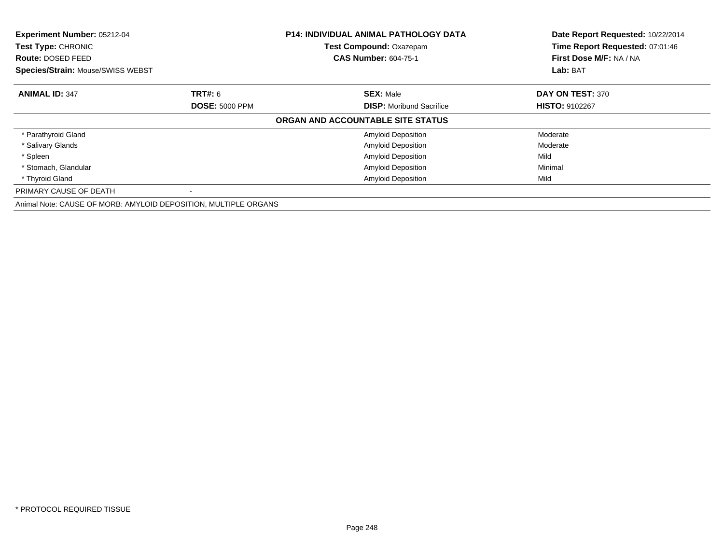| Experiment Number: 05212-04<br>Test Type: CHRONIC<br><b>Route: DOSED FEED</b> |                       | <b>P14: INDIVIDUAL ANIMAL PATHOLOGY DATA</b><br>Test Compound: Oxazepam<br><b>CAS Number: 604-75-1</b> | Date Report Requested: 10/22/2014<br>Time Report Requested: 07:01:46<br>First Dose M/F: NA / NA |
|-------------------------------------------------------------------------------|-----------------------|--------------------------------------------------------------------------------------------------------|-------------------------------------------------------------------------------------------------|
| <b>Species/Strain: Mouse/SWISS WEBST</b>                                      |                       |                                                                                                        | Lab: BAT                                                                                        |
| <b>ANIMAL ID: 347</b>                                                         | <b>TRT#: 6</b>        | <b>SEX: Male</b>                                                                                       | DAY ON TEST: 370                                                                                |
|                                                                               | <b>DOSE: 5000 PPM</b> | <b>DISP:</b> Moribund Sacrifice                                                                        | <b>HISTO: 9102267</b>                                                                           |
|                                                                               |                       | ORGAN AND ACCOUNTABLE SITE STATUS                                                                      |                                                                                                 |
| * Parathyroid Gland                                                           |                       | <b>Amyloid Deposition</b>                                                                              | Moderate                                                                                        |
| * Salivary Glands                                                             |                       | <b>Amyloid Deposition</b>                                                                              | Moderate                                                                                        |
| * Spleen                                                                      |                       | <b>Amyloid Deposition</b>                                                                              | Mild                                                                                            |
| * Stomach, Glandular                                                          |                       | <b>Amyloid Deposition</b>                                                                              | Minimal                                                                                         |
| * Thyroid Gland                                                               |                       | <b>Amyloid Deposition</b>                                                                              | Mild                                                                                            |
| PRIMARY CAUSE OF DEATH                                                        |                       |                                                                                                        |                                                                                                 |
| Animal Note: CAUSE OF MORB: AMYLOID DEPOSITION, MULTIPLE ORGANS               |                       |                                                                                                        |                                                                                                 |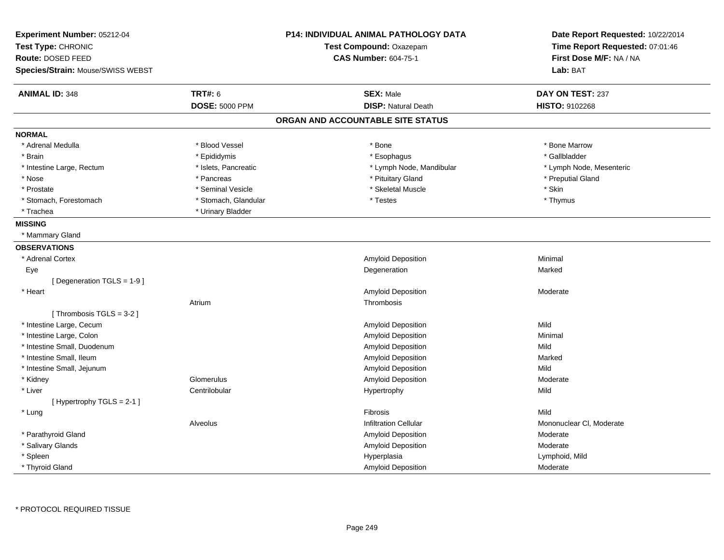| Experiment Number: 05212-04<br>Test Type: CHRONIC<br>Route: DOSED FEED<br>Species/Strain: Mouse/SWISS WEBST |                       | <b>P14: INDIVIDUAL ANIMAL PATHOLOGY DATA</b><br>Test Compound: Oxazepam<br><b>CAS Number: 604-75-1</b> | Date Report Requested: 10/22/2014<br>Time Report Requested: 07:01:46<br>First Dose M/F: NA / NA<br>Lab: BAT |
|-------------------------------------------------------------------------------------------------------------|-----------------------|--------------------------------------------------------------------------------------------------------|-------------------------------------------------------------------------------------------------------------|
| <b>ANIMAL ID: 348</b>                                                                                       | <b>TRT#: 6</b>        | <b>SEX: Male</b>                                                                                       | DAY ON TEST: 237                                                                                            |
|                                                                                                             | <b>DOSE: 5000 PPM</b> | <b>DISP: Natural Death</b>                                                                             | HISTO: 9102268                                                                                              |
|                                                                                                             |                       | ORGAN AND ACCOUNTABLE SITE STATUS                                                                      |                                                                                                             |
| <b>NORMAL</b>                                                                                               |                       |                                                                                                        |                                                                                                             |
| * Adrenal Medulla                                                                                           | * Blood Vessel        | * Bone                                                                                                 | * Bone Marrow                                                                                               |
| * Brain                                                                                                     | * Epididymis          | * Esophagus                                                                                            | * Gallbladder                                                                                               |
| * Intestine Large, Rectum                                                                                   | * Islets, Pancreatic  | * Lymph Node, Mandibular                                                                               | * Lymph Node, Mesenteric                                                                                    |
| $*$ Nose                                                                                                    | * Pancreas            | * Pituitary Gland                                                                                      | * Preputial Gland                                                                                           |
| * Prostate                                                                                                  | * Seminal Vesicle     | * Skeletal Muscle                                                                                      | * Skin                                                                                                      |
| * Stomach, Forestomach                                                                                      | * Stomach, Glandular  | * Testes                                                                                               | * Thymus                                                                                                    |
| * Trachea                                                                                                   | * Urinary Bladder     |                                                                                                        |                                                                                                             |
| <b>MISSING</b>                                                                                              |                       |                                                                                                        |                                                                                                             |
| * Mammary Gland                                                                                             |                       |                                                                                                        |                                                                                                             |
| <b>OBSERVATIONS</b>                                                                                         |                       |                                                                                                        |                                                                                                             |
| * Adrenal Cortex                                                                                            |                       | Amyloid Deposition                                                                                     | Minimal                                                                                                     |
| Eye                                                                                                         |                       | Degeneration                                                                                           | Marked                                                                                                      |
| [ Degeneration TGLS = 1-9 ]                                                                                 |                       |                                                                                                        |                                                                                                             |
| * Heart                                                                                                     |                       | Amyloid Deposition                                                                                     | Moderate                                                                                                    |
|                                                                                                             | Atrium                | Thrombosis                                                                                             |                                                                                                             |
| [Thrombosis TGLS = $3-2$ ]                                                                                  |                       |                                                                                                        |                                                                                                             |
| * Intestine Large, Cecum                                                                                    |                       | Amyloid Deposition                                                                                     | Mild                                                                                                        |
| * Intestine Large, Colon                                                                                    |                       | Amyloid Deposition                                                                                     | Minimal                                                                                                     |
| * Intestine Small, Duodenum                                                                                 |                       | Amyloid Deposition                                                                                     | Mild                                                                                                        |
| * Intestine Small, Ileum                                                                                    |                       | Amyloid Deposition                                                                                     | Marked                                                                                                      |
| * Intestine Small, Jejunum                                                                                  |                       | Amyloid Deposition                                                                                     | Mild                                                                                                        |
| * Kidney                                                                                                    | Glomerulus            | <b>Amyloid Deposition</b>                                                                              | Moderate                                                                                                    |
| * Liver                                                                                                     | Centrilobular         | Hypertrophy                                                                                            | Mild                                                                                                        |
| [Hypertrophy TGLS = 2-1]                                                                                    |                       |                                                                                                        |                                                                                                             |
| * Lung                                                                                                      |                       | Fibrosis                                                                                               | Mild                                                                                                        |
|                                                                                                             | Alveolus              | <b>Infiltration Cellular</b>                                                                           | Mononuclear CI, Moderate                                                                                    |
| * Parathyroid Gland                                                                                         |                       | <b>Amyloid Deposition</b>                                                                              | Moderate                                                                                                    |
| * Salivary Glands                                                                                           |                       | Amyloid Deposition                                                                                     | Moderate                                                                                                    |
| * Spleen                                                                                                    |                       | Hyperplasia                                                                                            | Lymphoid, Mild                                                                                              |
| * Thyroid Gland                                                                                             |                       | Amyloid Deposition                                                                                     | Moderate                                                                                                    |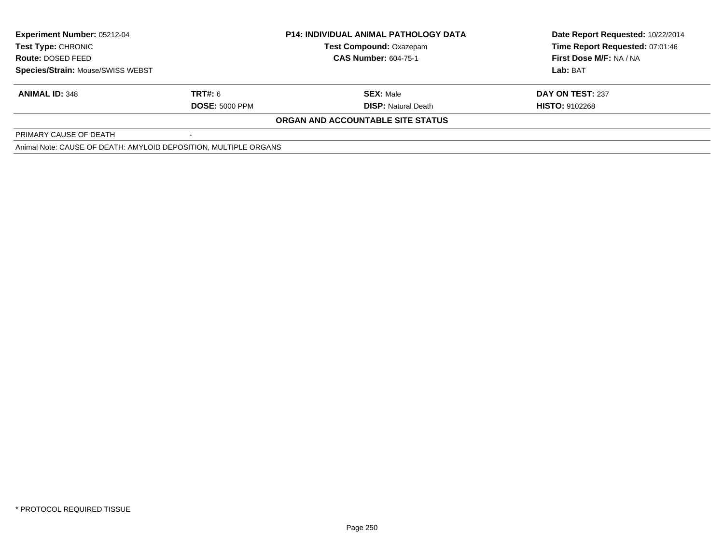| <b>Experiment Number: 05212-04</b>                               |                       | <b>P14: INDIVIDUAL ANIMAL PATHOLOGY DATA</b> | Date Report Requested: 10/22/2014 |
|------------------------------------------------------------------|-----------------------|----------------------------------------------|-----------------------------------|
| <b>Test Type: CHRONIC</b>                                        |                       | <b>Test Compound: Oxazepam</b>               | Time Report Requested: 07:01:46   |
| <b>Route: DOSED FEED</b>                                         |                       | <b>CAS Number: 604-75-1</b>                  | First Dose M/F: NA / NA           |
| <b>Species/Strain: Mouse/SWISS WEBST</b>                         |                       |                                              | Lab: BAT                          |
| <b>ANIMAL ID: 348</b>                                            | <b>TRT#: 6</b>        | <b>SEX: Male</b>                             | DAY ON TEST: 237                  |
|                                                                  | <b>DOSE: 5000 PPM</b> | <b>DISP: Natural Death</b>                   | <b>HISTO: 9102268</b>             |
|                                                                  |                       | <b>ORGAN AND ACCOUNTABLE SITE STATUS</b>     |                                   |
| PRIMARY CAUSE OF DEATH                                           |                       |                                              |                                   |
| Animal Note: CAUSE OF DEATH: AMYLOID DEPOSITION, MULTIPLE ORGANS |                       |                                              |                                   |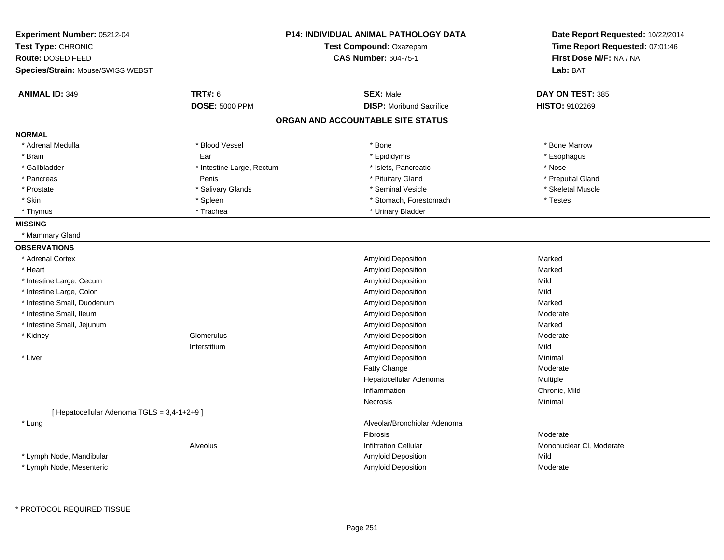| Experiment Number: 05212-04<br>Test Type: CHRONIC |                           | <b>P14: INDIVIDUAL ANIMAL PATHOLOGY DATA</b><br>Test Compound: Oxazepam | Date Report Requested: 10/22/2014<br>Time Report Requested: 07:01:46 |
|---------------------------------------------------|---------------------------|-------------------------------------------------------------------------|----------------------------------------------------------------------|
| Route: DOSED FEED                                 |                           | <b>CAS Number: 604-75-1</b>                                             | First Dose M/F: NA / NA                                              |
| Species/Strain: Mouse/SWISS WEBST                 |                           |                                                                         | Lab: BAT                                                             |
| <b>ANIMAL ID: 349</b>                             | <b>TRT#: 6</b>            | <b>SEX: Male</b>                                                        | DAY ON TEST: 385                                                     |
|                                                   | <b>DOSE: 5000 PPM</b>     | <b>DISP:</b> Moribund Sacrifice                                         | HISTO: 9102269                                                       |
|                                                   |                           | ORGAN AND ACCOUNTABLE SITE STATUS                                       |                                                                      |
| <b>NORMAL</b>                                     |                           |                                                                         |                                                                      |
| * Adrenal Medulla                                 | * Blood Vessel            | * Bone                                                                  | * Bone Marrow                                                        |
| * Brain                                           | Ear                       | * Epididymis                                                            | * Esophagus                                                          |
| * Gallbladder                                     | * Intestine Large, Rectum | * Islets, Pancreatic                                                    | * Nose                                                               |
| * Pancreas                                        | Penis                     | * Pituitary Gland                                                       | * Preputial Gland                                                    |
| * Prostate                                        | * Salivary Glands         | * Seminal Vesicle                                                       | * Skeletal Muscle                                                    |
| * Skin                                            | * Spleen                  | * Stomach, Forestomach                                                  | * Testes                                                             |
| * Thymus                                          | * Trachea                 | * Urinary Bladder                                                       |                                                                      |
| <b>MISSING</b>                                    |                           |                                                                         |                                                                      |
| * Mammary Gland                                   |                           |                                                                         |                                                                      |
| <b>OBSERVATIONS</b>                               |                           |                                                                         |                                                                      |
| * Adrenal Cortex                                  |                           | Amyloid Deposition                                                      | Marked                                                               |
| * Heart                                           |                           | Amyloid Deposition                                                      | Marked                                                               |
| * Intestine Large, Cecum                          |                           | Amyloid Deposition                                                      | Mild                                                                 |
| * Intestine Large, Colon                          |                           | Amyloid Deposition                                                      | Mild                                                                 |
| * Intestine Small, Duodenum                       |                           | <b>Amyloid Deposition</b>                                               | Marked                                                               |
| * Intestine Small, Ileum                          |                           | Amyloid Deposition                                                      | Moderate                                                             |
| * Intestine Small, Jejunum                        |                           | Amyloid Deposition                                                      | Marked                                                               |
| * Kidney                                          | Glomerulus                | Amyloid Deposition                                                      | Moderate                                                             |
|                                                   | Interstitium              | Amyloid Deposition                                                      | Mild                                                                 |
| * Liver                                           |                           | Amyloid Deposition                                                      | Minimal                                                              |
|                                                   |                           | Fatty Change                                                            | Moderate                                                             |
|                                                   |                           | Hepatocellular Adenoma                                                  | Multiple                                                             |
|                                                   |                           | Inflammation                                                            | Chronic, Mild                                                        |
|                                                   |                           | Necrosis                                                                | Minimal                                                              |
| [ Hepatocellular Adenoma TGLS = 3,4-1+2+9 ]       |                           |                                                                         |                                                                      |
| * Lung                                            |                           | Alveolar/Bronchiolar Adenoma                                            |                                                                      |
|                                                   |                           | Fibrosis                                                                | Moderate                                                             |
|                                                   | Alveolus                  | <b>Infiltration Cellular</b>                                            | Mononuclear CI, Moderate                                             |
| * Lymph Node, Mandibular                          |                           | Amyloid Deposition                                                      | Mild                                                                 |
| * Lymph Node, Mesenteric                          |                           | Amyloid Deposition                                                      | Moderate                                                             |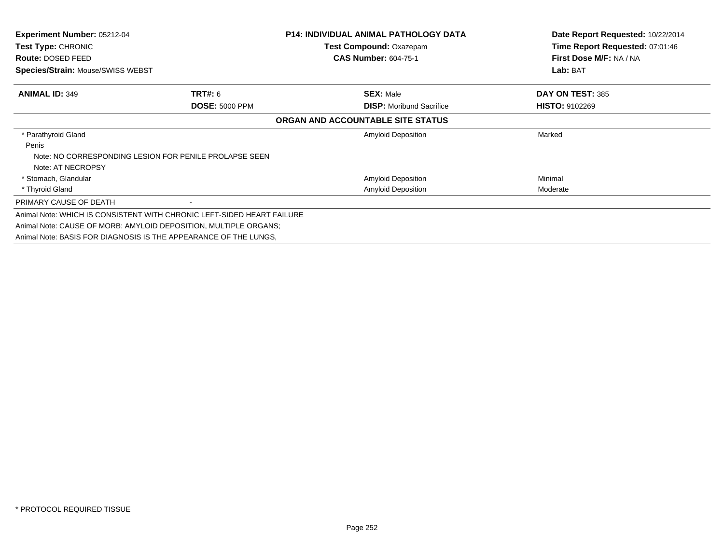| <b>Experiment Number: 05212-04</b><br>Test Type: CHRONIC |                                                                        | <b>P14: INDIVIDUAL ANIMAL PATHOLOGY DATA</b><br><b>Test Compound: Oxazepam</b> | Date Report Requested: 10/22/2014<br>Time Report Requested: 07:01:46 |
|----------------------------------------------------------|------------------------------------------------------------------------|--------------------------------------------------------------------------------|----------------------------------------------------------------------|
| Route: DOSED FEED                                        |                                                                        | <b>CAS Number: 604-75-1</b>                                                    | First Dose M/F: NA / NA                                              |
| <b>Species/Strain: Mouse/SWISS WEBST</b>                 |                                                                        |                                                                                | Lab: BAT                                                             |
| <b>ANIMAL ID: 349</b>                                    | <b>TRT#: 6</b>                                                         | <b>SEX: Male</b>                                                               | DAY ON TEST: 385                                                     |
|                                                          | <b>DOSE: 5000 PPM</b>                                                  | <b>DISP:</b> Moribund Sacrifice                                                | <b>HISTO: 9102269</b>                                                |
|                                                          |                                                                        | ORGAN AND ACCOUNTABLE SITE STATUS                                              |                                                                      |
| * Parathyroid Gland                                      |                                                                        | Amyloid Deposition                                                             | Marked                                                               |
| Penis                                                    |                                                                        |                                                                                |                                                                      |
|                                                          | Note: NO CORRESPONDING LESION FOR PENILE PROLAPSE SEEN                 |                                                                                |                                                                      |
| Note: AT NECROPSY                                        |                                                                        |                                                                                |                                                                      |
| * Stomach, Glandular                                     |                                                                        | <b>Amyloid Deposition</b>                                                      | Minimal                                                              |
| * Thyroid Gland                                          |                                                                        | <b>Amyloid Deposition</b>                                                      | Moderate                                                             |
| PRIMARY CAUSE OF DEATH                                   |                                                                        |                                                                                |                                                                      |
|                                                          | Animal Note: WHICH IS CONSISTENT WITH CHRONIC LEFT-SIDED HEART FAILURE |                                                                                |                                                                      |
|                                                          | Animal Note: CAUSE OF MORB: AMYLOID DEPOSITION, MULTIPLE ORGANS;       |                                                                                |                                                                      |
|                                                          | Animal Note: BASIS FOR DIAGNOSIS IS THE APPEARANCE OF THE LUNGS.       |                                                                                |                                                                      |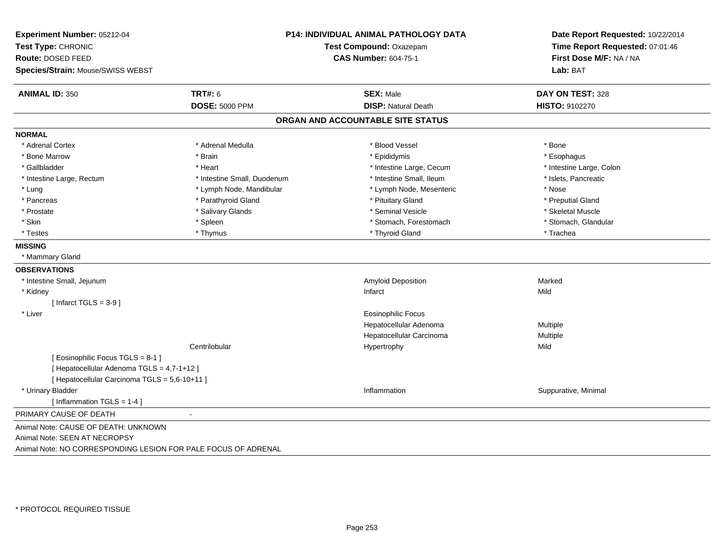| Experiment Number: 05212-04<br>Test Type: CHRONIC<br>Route: DOSED FEED<br>Species/Strain: Mouse/SWISS WEBST |                             | P14: INDIVIDUAL ANIMAL PATHOLOGY DATA<br>Test Compound: Oxazepam<br><b>CAS Number: 604-75-1</b> | Date Report Requested: 10/22/2014<br>Time Report Requested: 07:01:46<br>First Dose M/F: NA / NA<br>Lab: BAT |
|-------------------------------------------------------------------------------------------------------------|-----------------------------|-------------------------------------------------------------------------------------------------|-------------------------------------------------------------------------------------------------------------|
| <b>ANIMAL ID: 350</b>                                                                                       | <b>TRT#: 6</b>              | <b>SEX: Male</b>                                                                                | DAY ON TEST: 328                                                                                            |
|                                                                                                             | <b>DOSE: 5000 PPM</b>       | <b>DISP: Natural Death</b>                                                                      | HISTO: 9102270                                                                                              |
|                                                                                                             |                             | ORGAN AND ACCOUNTABLE SITE STATUS                                                               |                                                                                                             |
| <b>NORMAL</b>                                                                                               |                             |                                                                                                 |                                                                                                             |
| * Adrenal Cortex                                                                                            | * Adrenal Medulla           | * Blood Vessel                                                                                  | * Bone                                                                                                      |
| * Bone Marrow                                                                                               | * Brain                     | * Epididymis                                                                                    | * Esophagus                                                                                                 |
| * Gallbladder                                                                                               | * Heart                     | * Intestine Large, Cecum                                                                        | * Intestine Large, Colon                                                                                    |
| * Intestine Large, Rectum                                                                                   | * Intestine Small, Duodenum | * Intestine Small, Ileum                                                                        | * Islets, Pancreatic                                                                                        |
| * Lung                                                                                                      | * Lymph Node, Mandibular    | * Lymph Node, Mesenteric                                                                        | * Nose                                                                                                      |
| * Pancreas                                                                                                  | * Parathyroid Gland         | * Pituitary Gland                                                                               | * Preputial Gland                                                                                           |
| * Prostate                                                                                                  | * Salivary Glands           | * Seminal Vesicle                                                                               | * Skeletal Muscle                                                                                           |
| * Skin                                                                                                      | * Spleen                    | * Stomach, Forestomach                                                                          | * Stomach, Glandular                                                                                        |
| * Testes                                                                                                    | * Thymus                    | * Thyroid Gland                                                                                 | * Trachea                                                                                                   |
| <b>MISSING</b>                                                                                              |                             |                                                                                                 |                                                                                                             |
| * Mammary Gland                                                                                             |                             |                                                                                                 |                                                                                                             |
| <b>OBSERVATIONS</b>                                                                                         |                             |                                                                                                 |                                                                                                             |
| * Intestine Small, Jejunum                                                                                  |                             | Amyloid Deposition                                                                              | Marked                                                                                                      |
| * Kidney                                                                                                    |                             | Infarct                                                                                         | Mild                                                                                                        |
| [Infarct TGLS = $3-9$ ]                                                                                     |                             |                                                                                                 |                                                                                                             |
| * Liver                                                                                                     |                             | <b>Eosinophilic Focus</b>                                                                       |                                                                                                             |
|                                                                                                             |                             | Hepatocellular Adenoma                                                                          | Multiple                                                                                                    |
|                                                                                                             |                             | Hepatocellular Carcinoma                                                                        | Multiple                                                                                                    |
|                                                                                                             | Centrilobular               | Hypertrophy                                                                                     | Mild                                                                                                        |
| [Eosinophilic Focus TGLS = 8-1]                                                                             |                             |                                                                                                 |                                                                                                             |
| [ Hepatocellular Adenoma TGLS = 4,7-1+12 ]                                                                  |                             |                                                                                                 |                                                                                                             |
| [ Hepatocellular Carcinoma TGLS = 5,6-10+11 ]                                                               |                             |                                                                                                 |                                                                                                             |
| * Urinary Bladder                                                                                           |                             | Inflammation                                                                                    | Suppurative, Minimal                                                                                        |
| [Inflammation TGLS = $1-4$ ]                                                                                |                             |                                                                                                 |                                                                                                             |
| PRIMARY CAUSE OF DEATH                                                                                      | $\blacksquare$              |                                                                                                 |                                                                                                             |
| Animal Note: CAUSE OF DEATH: UNKNOWN                                                                        |                             |                                                                                                 |                                                                                                             |
| Animal Note: SEEN AT NECROPSY                                                                               |                             |                                                                                                 |                                                                                                             |
| Animal Note: NO CORRESPONDING LESION FOR PALE FOCUS OF ADRENAL                                              |                             |                                                                                                 |                                                                                                             |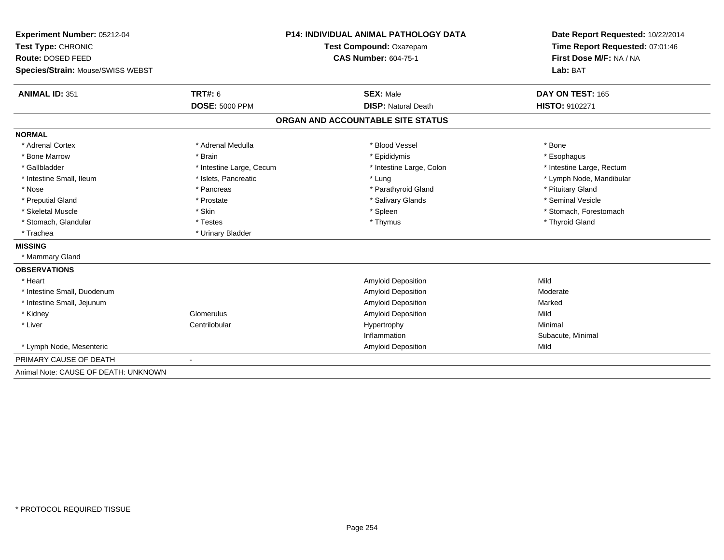| Experiment Number: 05212-04          |                          | <b>P14: INDIVIDUAL ANIMAL PATHOLOGY DATA</b> | Date Report Requested: 10/22/2014 |
|--------------------------------------|--------------------------|----------------------------------------------|-----------------------------------|
| Test Type: CHRONIC                   | Test Compound: Oxazepam  |                                              | Time Report Requested: 07:01:46   |
| Route: DOSED FEED                    |                          | <b>CAS Number: 604-75-1</b>                  | First Dose M/F: NA / NA           |
| Species/Strain: Mouse/SWISS WEBST    |                          |                                              | Lab: BAT                          |
| <b>ANIMAL ID: 351</b>                | TRT#: 6                  | <b>SEX: Male</b>                             | DAY ON TEST: 165                  |
|                                      | <b>DOSE: 5000 PPM</b>    | <b>DISP: Natural Death</b>                   | <b>HISTO: 9102271</b>             |
|                                      |                          | ORGAN AND ACCOUNTABLE SITE STATUS            |                                   |
| <b>NORMAL</b>                        |                          |                                              |                                   |
| * Adrenal Cortex                     | * Adrenal Medulla        | * Blood Vessel                               | * Bone                            |
| * Bone Marrow                        | * Brain                  | * Epididymis                                 | * Esophagus                       |
| * Gallbladder                        | * Intestine Large, Cecum | * Intestine Large, Colon                     | * Intestine Large, Rectum         |
| * Intestine Small, Ileum             | * Islets, Pancreatic     | * Lung                                       | * Lymph Node, Mandibular          |
| * Nose                               | * Pancreas               | * Parathyroid Gland                          | * Pituitary Gland                 |
| * Preputial Gland                    | * Prostate               | * Salivary Glands                            | * Seminal Vesicle                 |
| * Skeletal Muscle                    | * Skin                   | * Spleen                                     | * Stomach, Forestomach            |
| * Stomach, Glandular                 | * Testes                 | * Thymus                                     | * Thyroid Gland                   |
| * Trachea                            | * Urinary Bladder        |                                              |                                   |
| <b>MISSING</b>                       |                          |                                              |                                   |
| * Mammary Gland                      |                          |                                              |                                   |
| <b>OBSERVATIONS</b>                  |                          |                                              |                                   |
| * Heart                              |                          | Amyloid Deposition                           | Mild                              |
| * Intestine Small, Duodenum          |                          | Amyloid Deposition                           | Moderate                          |
| * Intestine Small, Jejunum           |                          | Amyloid Deposition                           | Marked                            |
| * Kidney                             | Glomerulus               | Amyloid Deposition                           | Mild                              |
| * Liver                              | Centrilobular            | Hypertrophy                                  | Minimal                           |
|                                      |                          | Inflammation                                 | Subacute, Minimal                 |
| * Lymph Node, Mesenteric             |                          | Amyloid Deposition                           | Mild                              |
| PRIMARY CAUSE OF DEATH               |                          |                                              |                                   |
| Animal Note: CAUSE OF DEATH: UNKNOWN |                          |                                              |                                   |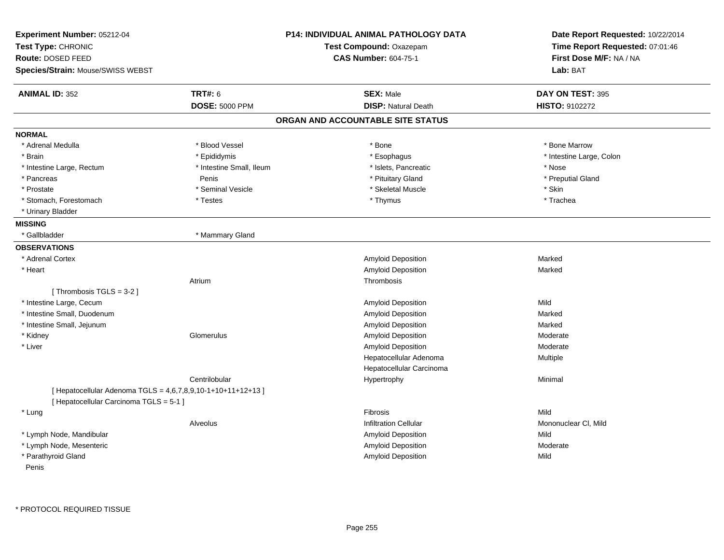| Experiment Number: 05212-04<br>Test Type: CHRONIC<br><b>Route: DOSED FEED</b><br>Species/Strain: Mouse/SWISS WEBST |                          | <b>P14: INDIVIDUAL ANIMAL PATHOLOGY DATA</b><br>Test Compound: Oxazepam<br><b>CAS Number: 604-75-1</b> | Date Report Requested: 10/22/2014<br>Time Report Requested: 07:01:46<br>First Dose M/F: NA / NA<br>Lab: BAT |
|--------------------------------------------------------------------------------------------------------------------|--------------------------|--------------------------------------------------------------------------------------------------------|-------------------------------------------------------------------------------------------------------------|
| <b>ANIMAL ID: 352</b>                                                                                              | <b>TRT#: 6</b>           | <b>SEX: Male</b>                                                                                       | DAY ON TEST: 395                                                                                            |
|                                                                                                                    | <b>DOSE: 5000 PPM</b>    | <b>DISP: Natural Death</b>                                                                             | HISTO: 9102272                                                                                              |
|                                                                                                                    |                          | ORGAN AND ACCOUNTABLE SITE STATUS                                                                      |                                                                                                             |
| <b>NORMAL</b>                                                                                                      |                          |                                                                                                        |                                                                                                             |
| * Adrenal Medulla                                                                                                  | * Blood Vessel           | * Bone                                                                                                 | * Bone Marrow                                                                                               |
| * Brain                                                                                                            | * Epididymis             | * Esophagus                                                                                            | * Intestine Large, Colon                                                                                    |
| * Intestine Large, Rectum                                                                                          | * Intestine Small, Ileum | * Islets, Pancreatic                                                                                   | * Nose                                                                                                      |
| * Pancreas                                                                                                         | Penis                    | * Pituitary Gland                                                                                      | * Preputial Gland                                                                                           |
| * Prostate                                                                                                         | * Seminal Vesicle        | * Skeletal Muscle                                                                                      | * Skin                                                                                                      |
| * Stomach, Forestomach                                                                                             | * Testes                 | * Thymus                                                                                               | * Trachea                                                                                                   |
| * Urinary Bladder                                                                                                  |                          |                                                                                                        |                                                                                                             |
| <b>MISSING</b>                                                                                                     |                          |                                                                                                        |                                                                                                             |
| * Gallbladder                                                                                                      | * Mammary Gland          |                                                                                                        |                                                                                                             |
| <b>OBSERVATIONS</b>                                                                                                |                          |                                                                                                        |                                                                                                             |
| * Adrenal Cortex                                                                                                   |                          | Amyloid Deposition                                                                                     | Marked                                                                                                      |
| * Heart                                                                                                            |                          | Amyloid Deposition                                                                                     | Marked                                                                                                      |
|                                                                                                                    | Atrium                   | <b>Thrombosis</b>                                                                                      |                                                                                                             |
| [Thrombosis TGLS = 3-2]                                                                                            |                          |                                                                                                        |                                                                                                             |
| * Intestine Large, Cecum                                                                                           |                          | Amyloid Deposition                                                                                     | Mild                                                                                                        |
| * Intestine Small, Duodenum                                                                                        |                          | Amyloid Deposition                                                                                     | Marked                                                                                                      |
| * Intestine Small, Jejunum                                                                                         |                          | <b>Amyloid Deposition</b>                                                                              | Marked                                                                                                      |
| * Kidney                                                                                                           | Glomerulus               | Amyloid Deposition                                                                                     | Moderate                                                                                                    |
| * Liver                                                                                                            |                          | Amyloid Deposition                                                                                     | Moderate                                                                                                    |
|                                                                                                                    |                          | Hepatocellular Adenoma                                                                                 | Multiple                                                                                                    |
|                                                                                                                    |                          | Hepatocellular Carcinoma                                                                               |                                                                                                             |
|                                                                                                                    | Centrilobular            | Hypertrophy                                                                                            | Minimal                                                                                                     |
| [ Hepatocellular Adenoma TGLS = 4,6,7,8,9,10-1+10+11+12+13 ]                                                       |                          |                                                                                                        |                                                                                                             |
| [ Hepatocellular Carcinoma TGLS = 5-1 ]                                                                            |                          |                                                                                                        |                                                                                                             |
| * Lung                                                                                                             |                          | Fibrosis                                                                                               | Mild                                                                                                        |
|                                                                                                                    | Alveolus                 | <b>Infiltration Cellular</b>                                                                           | Mononuclear CI, Mild                                                                                        |
| * Lymph Node, Mandibular                                                                                           |                          | Amyloid Deposition                                                                                     | Mild                                                                                                        |
| * Lymph Node, Mesenteric                                                                                           |                          | Amyloid Deposition                                                                                     | Moderate                                                                                                    |
| * Parathyroid Gland<br>Penis                                                                                       |                          | Amyloid Deposition                                                                                     | Mild                                                                                                        |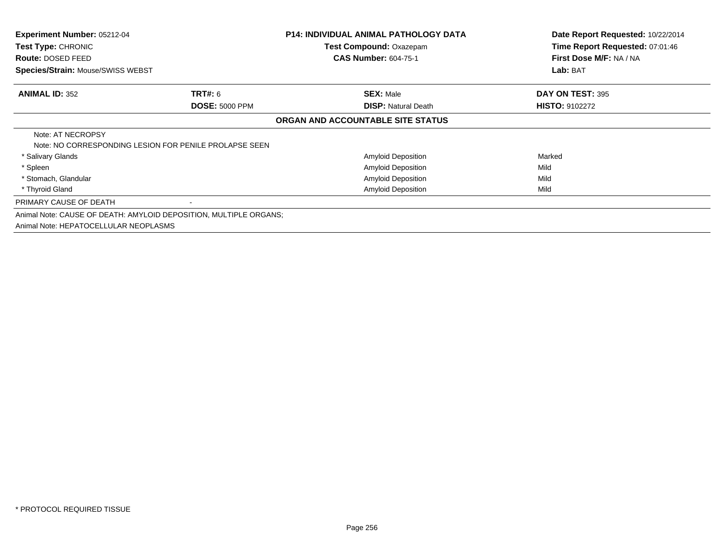| <b>Experiment Number: 05212-04</b>    |                                                                   | <b>P14: INDIVIDUAL ANIMAL PATHOLOGY DATA</b> | Date Report Requested: 10/22/2014 |
|---------------------------------------|-------------------------------------------------------------------|----------------------------------------------|-----------------------------------|
| Test Type: CHRONIC                    |                                                                   | Test Compound: Oxazepam                      | Time Report Requested: 07:01:46   |
| <b>Route: DOSED FEED</b>              |                                                                   | <b>CAS Number: 604-75-1</b>                  | First Dose M/F: NA / NA           |
| Species/Strain: Mouse/SWISS WEBST     |                                                                   |                                              | Lab: BAT                          |
| <b>ANIMAL ID: 352</b>                 | <b>TRT#: 6</b>                                                    | <b>SEX: Male</b>                             | DAY ON TEST: 395                  |
|                                       | <b>DOSE: 5000 PPM</b>                                             | <b>DISP:</b> Natural Death                   | <b>HISTO: 9102272</b>             |
|                                       |                                                                   | ORGAN AND ACCOUNTABLE SITE STATUS            |                                   |
| Note: AT NECROPSY                     |                                                                   |                                              |                                   |
|                                       | Note: NO CORRESPONDING LESION FOR PENILE PROLAPSE SEEN            |                                              |                                   |
| * Salivary Glands                     |                                                                   | <b>Amyloid Deposition</b>                    | Marked                            |
| * Spleen                              |                                                                   | Amyloid Deposition                           | Mild                              |
| * Stomach, Glandular                  |                                                                   | Amyloid Deposition                           | Mild                              |
| * Thyroid Gland                       |                                                                   | <b>Amyloid Deposition</b>                    | Mild                              |
| PRIMARY CAUSE OF DEATH                |                                                                   |                                              |                                   |
|                                       | Animal Note: CAUSE OF DEATH: AMYLOID DEPOSITION, MULTIPLE ORGANS; |                                              |                                   |
| Animal Note: HEPATOCELLULAR NEOPLASMS |                                                                   |                                              |                                   |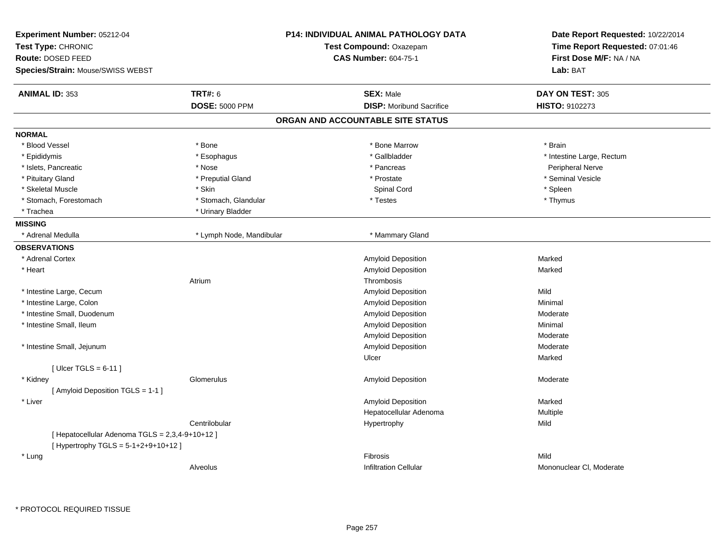| Experiment Number: 05212-04<br>Test Type: CHRONIC<br>Route: DOSED FEED |                          | <b>P14: INDIVIDUAL ANIMAL PATHOLOGY DATA</b><br>Test Compound: Oxazepam<br><b>CAS Number: 604-75-1</b> | Date Report Requested: 10/22/2014<br>Time Report Requested: 07:01:46<br>First Dose M/F: NA / NA |
|------------------------------------------------------------------------|--------------------------|--------------------------------------------------------------------------------------------------------|-------------------------------------------------------------------------------------------------|
| Species/Strain: Mouse/SWISS WEBST                                      |                          |                                                                                                        | Lab: BAT                                                                                        |
| <b>ANIMAL ID: 353</b>                                                  | <b>TRT#: 6</b>           | <b>SEX: Male</b>                                                                                       | DAY ON TEST: 305                                                                                |
|                                                                        | <b>DOSE: 5000 PPM</b>    | <b>DISP:</b> Moribund Sacrifice                                                                        | HISTO: 9102273                                                                                  |
|                                                                        |                          | ORGAN AND ACCOUNTABLE SITE STATUS                                                                      |                                                                                                 |
| <b>NORMAL</b>                                                          |                          |                                                                                                        |                                                                                                 |
| * Blood Vessel                                                         | * Bone                   | * Bone Marrow                                                                                          | * Brain                                                                                         |
| * Epididymis                                                           | * Esophagus              | * Gallbladder                                                                                          | * Intestine Large, Rectum                                                                       |
| * Islets, Pancreatic                                                   | * Nose                   | * Pancreas                                                                                             | <b>Peripheral Nerve</b>                                                                         |
| * Pituitary Gland                                                      | * Preputial Gland        | * Prostate                                                                                             | * Seminal Vesicle                                                                               |
| * Skeletal Muscle                                                      | * Skin                   | Spinal Cord                                                                                            | * Spleen                                                                                        |
| * Stomach, Forestomach                                                 | * Stomach, Glandular     | * Testes                                                                                               | * Thymus                                                                                        |
| * Trachea                                                              | * Urinary Bladder        |                                                                                                        |                                                                                                 |
| <b>MISSING</b>                                                         |                          |                                                                                                        |                                                                                                 |
| * Adrenal Medulla                                                      | * Lymph Node, Mandibular | * Mammary Gland                                                                                        |                                                                                                 |
| <b>OBSERVATIONS</b>                                                    |                          |                                                                                                        |                                                                                                 |
| * Adrenal Cortex                                                       |                          | Amyloid Deposition                                                                                     | Marked                                                                                          |
| * Heart                                                                |                          | Amyloid Deposition                                                                                     | Marked                                                                                          |
|                                                                        | Atrium                   | Thrombosis                                                                                             |                                                                                                 |
| * Intestine Large, Cecum                                               |                          | Amyloid Deposition                                                                                     | Mild                                                                                            |
| * Intestine Large, Colon                                               |                          | Amyloid Deposition                                                                                     | Minimal                                                                                         |
| * Intestine Small, Duodenum                                            |                          | Amyloid Deposition                                                                                     | Moderate                                                                                        |
| * Intestine Small, Ileum                                               |                          | Amyloid Deposition                                                                                     | Minimal                                                                                         |
|                                                                        |                          | Amyloid Deposition                                                                                     | Moderate                                                                                        |
| * Intestine Small, Jejunum                                             |                          | Amyloid Deposition                                                                                     | Moderate                                                                                        |
|                                                                        |                          | Ulcer                                                                                                  | Marked                                                                                          |
| [Ulcer TGLS = $6-11$ ]                                                 |                          |                                                                                                        |                                                                                                 |
| * Kidney                                                               | Glomerulus               | Amyloid Deposition                                                                                     | Moderate                                                                                        |
| [ Amyloid Deposition TGLS = 1-1 ]                                      |                          |                                                                                                        |                                                                                                 |
| * Liver                                                                |                          | Amyloid Deposition                                                                                     | Marked                                                                                          |
|                                                                        |                          | Hepatocellular Adenoma                                                                                 | Multiple                                                                                        |
|                                                                        | Centrilobular            | Hypertrophy                                                                                            | Mild                                                                                            |
| [ Hepatocellular Adenoma TGLS = 2,3,4-9+10+12 ]                        |                          |                                                                                                        |                                                                                                 |
| [ Hypertrophy TGLS = 5-1+2+9+10+12 ]                                   |                          |                                                                                                        |                                                                                                 |
| * Lung                                                                 |                          | Fibrosis                                                                                               | Mild                                                                                            |
|                                                                        | Alveolus                 | <b>Infiltration Cellular</b>                                                                           | Mononuclear CI, Moderate                                                                        |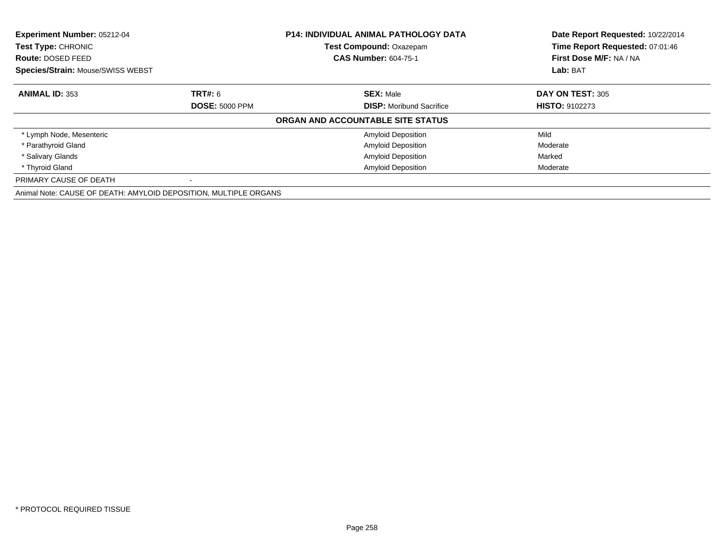| Experiment Number: 05212-04<br>Test Type: CHRONIC<br>Route: DOSED FEED |                       | <b>P14: INDIVIDUAL ANIMAL PATHOLOGY DATA</b> | Date Report Requested: 10/22/2014                          |
|------------------------------------------------------------------------|-----------------------|----------------------------------------------|------------------------------------------------------------|
|                                                                        |                       | <b>Test Compound: Oxazepam</b>               | Time Report Requested: 07:01:46<br>First Dose M/F: NA / NA |
|                                                                        |                       | <b>CAS Number: 604-75-1</b>                  |                                                            |
| Species/Strain: Mouse/SWISS WEBST                                      |                       |                                              | Lab: BAT                                                   |
| <b>ANIMAL ID: 353</b>                                                  | <b>TRT#: 6</b>        | <b>SEX: Male</b>                             | DAY ON TEST: 305                                           |
|                                                                        | <b>DOSE: 5000 PPM</b> | <b>DISP:</b> Moribund Sacrifice              | <b>HISTO: 9102273</b>                                      |
|                                                                        |                       | ORGAN AND ACCOUNTABLE SITE STATUS            |                                                            |
| * Lymph Node, Mesenteric                                               |                       | <b>Amyloid Deposition</b>                    | Mild                                                       |
| * Parathyroid Gland                                                    |                       | <b>Amyloid Deposition</b>                    | Moderate                                                   |
| * Salivary Glands                                                      |                       | <b>Amyloid Deposition</b>                    | Marked                                                     |
| * Thyroid Gland                                                        |                       | <b>Amyloid Deposition</b>                    | Moderate                                                   |
| PRIMARY CAUSE OF DEATH                                                 |                       |                                              |                                                            |
| Animal Note: CAUSE OF DEATH: AMYLOID DEPOSITION, MULTIPLE ORGANS       |                       |                                              |                                                            |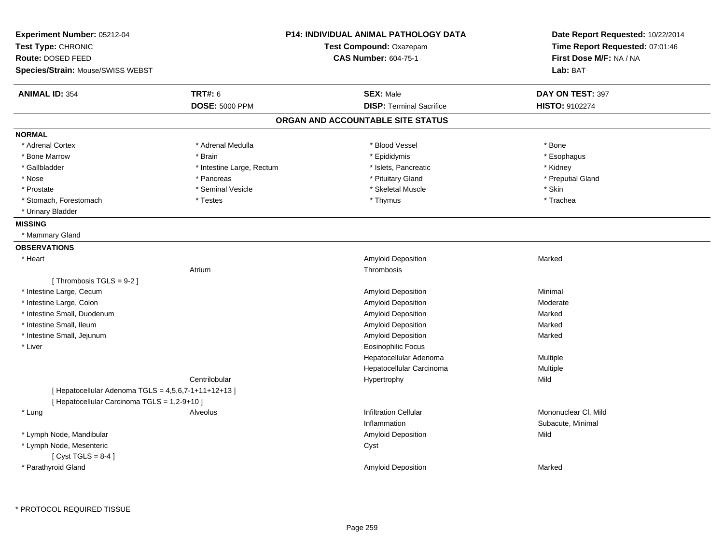| Experiment Number: 05212-04<br>Test Type: CHRONIC<br>Route: DOSED FEED | <b>P14: INDIVIDUAL ANIMAL PATHOLOGY DATA</b><br>Test Compound: Oxazepam |                                   | Date Report Requested: 10/22/2014<br>Time Report Requested: 07:01:46<br>First Dose M/F: NA / NA |
|------------------------------------------------------------------------|-------------------------------------------------------------------------|-----------------------------------|-------------------------------------------------------------------------------------------------|
| Species/Strain: Mouse/SWISS WEBST                                      |                                                                         | <b>CAS Number: 604-75-1</b>       | Lab: BAT                                                                                        |
|                                                                        |                                                                         |                                   |                                                                                                 |
| <b>ANIMAL ID: 354</b>                                                  | <b>TRT#: 6</b>                                                          | <b>SEX: Male</b>                  | DAY ON TEST: 397                                                                                |
|                                                                        | <b>DOSE: 5000 PPM</b>                                                   | <b>DISP: Terminal Sacrifice</b>   | HISTO: 9102274                                                                                  |
|                                                                        |                                                                         | ORGAN AND ACCOUNTABLE SITE STATUS |                                                                                                 |
| <b>NORMAL</b>                                                          |                                                                         |                                   |                                                                                                 |
| * Adrenal Cortex                                                       | * Adrenal Medulla                                                       | * Blood Vessel                    | * Bone                                                                                          |
| * Bone Marrow                                                          | * Brain                                                                 | * Epididymis                      | * Esophagus                                                                                     |
| * Gallbladder                                                          | * Intestine Large, Rectum                                               | * Islets, Pancreatic              | * Kidney                                                                                        |
| * Nose                                                                 | * Pancreas                                                              | * Pituitary Gland                 | * Preputial Gland                                                                               |
| * Prostate                                                             | * Seminal Vesicle                                                       | * Skeletal Muscle                 | * Skin                                                                                          |
| * Stomach, Forestomach                                                 | * Testes                                                                | * Thymus                          | * Trachea                                                                                       |
| * Urinary Bladder                                                      |                                                                         |                                   |                                                                                                 |
| <b>MISSING</b>                                                         |                                                                         |                                   |                                                                                                 |
| * Mammary Gland                                                        |                                                                         |                                   |                                                                                                 |
| <b>OBSERVATIONS</b>                                                    |                                                                         |                                   |                                                                                                 |
| * Heart                                                                |                                                                         | Amyloid Deposition                | Marked                                                                                          |
|                                                                        | Atrium                                                                  | Thrombosis                        |                                                                                                 |
| [Thrombosis TGLS = 9-2]                                                |                                                                         |                                   |                                                                                                 |
| * Intestine Large, Cecum                                               |                                                                         | Amyloid Deposition                | Minimal                                                                                         |
| * Intestine Large, Colon                                               |                                                                         | Amyloid Deposition                | Moderate                                                                                        |
| * Intestine Small, Duodenum                                            |                                                                         | Amyloid Deposition                | Marked                                                                                          |
| * Intestine Small, Ileum                                               |                                                                         | Amyloid Deposition                | Marked                                                                                          |
| * Intestine Small, Jejunum                                             |                                                                         | Amyloid Deposition                | Marked                                                                                          |
| * Liver                                                                |                                                                         | Eosinophilic Focus                |                                                                                                 |
|                                                                        |                                                                         | Hepatocellular Adenoma            | Multiple                                                                                        |
|                                                                        |                                                                         | Hepatocellular Carcinoma          | Multiple                                                                                        |
|                                                                        | Centrilobular                                                           | Hypertrophy                       | Mild                                                                                            |
| [ Hepatocellular Adenoma TGLS = 4,5,6,7-1+11+12+13 ]                   |                                                                         |                                   |                                                                                                 |
| [ Hepatocellular Carcinoma TGLS = 1,2-9+10 ]                           |                                                                         |                                   |                                                                                                 |
| * Lung                                                                 | Alveolus                                                                | <b>Infiltration Cellular</b>      | Mononuclear CI, Mild                                                                            |
|                                                                        |                                                                         | Inflammation                      | Subacute, Minimal                                                                               |
| * Lymph Node, Mandibular                                               |                                                                         | Amyloid Deposition                | Mild                                                                                            |
| * Lymph Node, Mesenteric                                               |                                                                         | Cyst                              |                                                                                                 |
| [Cyst TGLS = $8-4$ ]                                                   |                                                                         |                                   |                                                                                                 |
| * Parathyroid Gland                                                    |                                                                         | <b>Amyloid Deposition</b>         | Marked                                                                                          |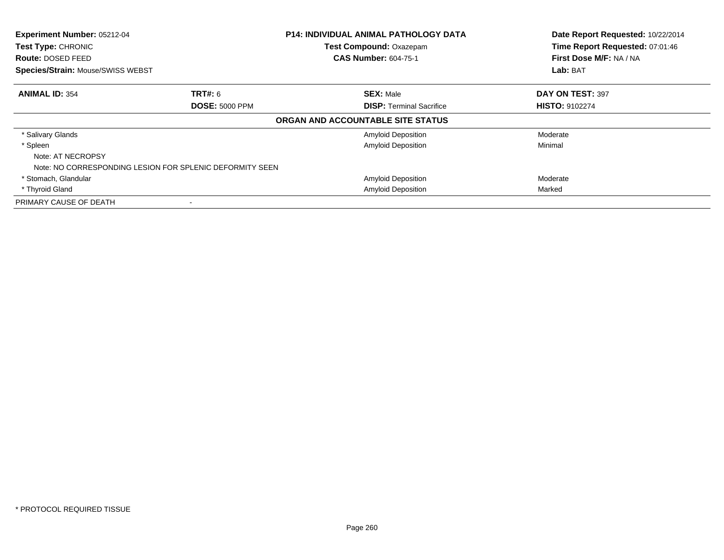| Experiment Number: 05212-04       |                                                          | <b>P14: INDIVIDUAL ANIMAL PATHOLOGY DATA</b> | Date Report Requested: 10/22/2014 |
|-----------------------------------|----------------------------------------------------------|----------------------------------------------|-----------------------------------|
| Test Type: CHRONIC                |                                                          | Test Compound: Oxazepam                      | Time Report Requested: 07:01:46   |
| <b>Route: DOSED FEED</b>          |                                                          | <b>CAS Number: 604-75-1</b>                  | First Dose M/F: NA / NA           |
| Species/Strain: Mouse/SWISS WEBST |                                                          |                                              | Lab: BAT                          |
| <b>ANIMAL ID: 354</b>             | <b>TRT#:</b> 6                                           | <b>SEX: Male</b>                             | DAY ON TEST: 397                  |
|                                   | <b>DOSE: 5000 PPM</b>                                    | <b>DISP: Terminal Sacrifice</b>              | <b>HISTO: 9102274</b>             |
|                                   |                                                          | ORGAN AND ACCOUNTABLE SITE STATUS            |                                   |
| * Salivary Glands                 |                                                          | Amyloid Deposition                           | Moderate                          |
| * Spleen                          |                                                          | <b>Amyloid Deposition</b>                    | Minimal                           |
| Note: AT NECROPSY                 |                                                          |                                              |                                   |
|                                   | Note: NO CORRESPONDING LESION FOR SPLENIC DEFORMITY SEEN |                                              |                                   |
| * Stomach, Glandular              |                                                          | <b>Amyloid Deposition</b>                    | Moderate                          |
| * Thyroid Gland                   |                                                          | <b>Amyloid Deposition</b>                    | Marked                            |
| PRIMARY CAUSE OF DEATH            |                                                          |                                              |                                   |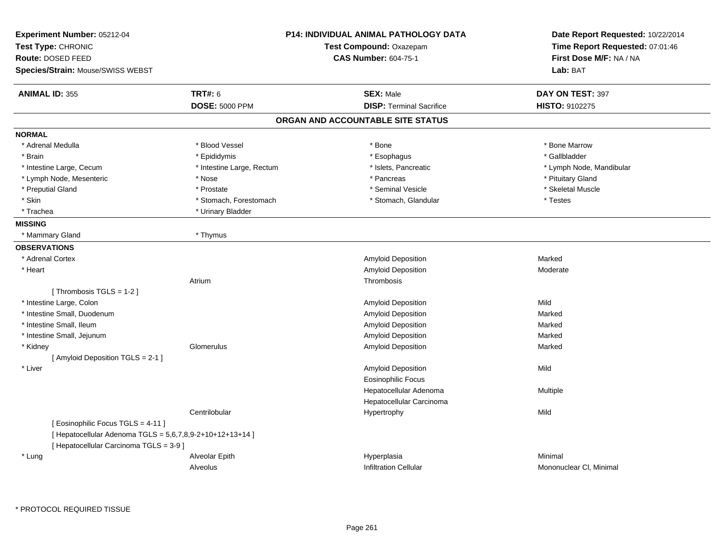| Experiment Number: 05212-04<br>Test Type: CHRONIC<br><b>Route: DOSED FEED</b><br>Species/Strain: Mouse/SWISS WEBST |                           | P14: INDIVIDUAL ANIMAL PATHOLOGY DATA<br>Test Compound: Oxazepam<br>CAS Number: 604-75-1 | Date Report Requested: 10/22/2014<br>Time Report Requested: 07:01:46<br>First Dose M/F: NA / NA<br>Lab: BAT |
|--------------------------------------------------------------------------------------------------------------------|---------------------------|------------------------------------------------------------------------------------------|-------------------------------------------------------------------------------------------------------------|
| <b>ANIMAL ID: 355</b>                                                                                              | <b>TRT#: 6</b>            | <b>SEX: Male</b>                                                                         | DAY ON TEST: 397                                                                                            |
|                                                                                                                    | <b>DOSE: 5000 PPM</b>     | <b>DISP: Terminal Sacrifice</b>                                                          | HISTO: 9102275                                                                                              |
|                                                                                                                    |                           | ORGAN AND ACCOUNTABLE SITE STATUS                                                        |                                                                                                             |
| <b>NORMAL</b>                                                                                                      |                           |                                                                                          |                                                                                                             |
| * Adrenal Medulla                                                                                                  | * Blood Vessel            | * Bone                                                                                   | * Bone Marrow                                                                                               |
| * Brain                                                                                                            | * Epididymis              | * Esophagus                                                                              | * Gallbladder                                                                                               |
| * Intestine Large, Cecum                                                                                           | * Intestine Large, Rectum | * Islets, Pancreatic                                                                     | * Lymph Node, Mandibular                                                                                    |
| * Lymph Node, Mesenteric                                                                                           | * Nose                    | * Pancreas                                                                               | * Pituitary Gland                                                                                           |
| * Preputial Gland                                                                                                  | * Prostate                | * Seminal Vesicle                                                                        | * Skeletal Muscle                                                                                           |
| * Skin                                                                                                             | * Stomach, Forestomach    | * Stomach, Glandular                                                                     | * Testes                                                                                                    |
| * Trachea                                                                                                          | * Urinary Bladder         |                                                                                          |                                                                                                             |
| <b>MISSING</b>                                                                                                     |                           |                                                                                          |                                                                                                             |
| * Mammary Gland                                                                                                    | * Thymus                  |                                                                                          |                                                                                                             |
| <b>OBSERVATIONS</b>                                                                                                |                           |                                                                                          |                                                                                                             |
| * Adrenal Cortex                                                                                                   |                           | Amyloid Deposition                                                                       | Marked                                                                                                      |
| * Heart                                                                                                            |                           | Amyloid Deposition                                                                       | Moderate                                                                                                    |
|                                                                                                                    | Atrium                    | Thrombosis                                                                               |                                                                                                             |
| [Thrombosis TGLS = $1-2$ ]                                                                                         |                           |                                                                                          |                                                                                                             |
| * Intestine Large, Colon                                                                                           |                           | <b>Amyloid Deposition</b>                                                                | Mild                                                                                                        |
| * Intestine Small, Duodenum                                                                                        |                           | <b>Amyloid Deposition</b>                                                                | Marked                                                                                                      |
| * Intestine Small, Ileum                                                                                           |                           | Amyloid Deposition                                                                       | Marked                                                                                                      |
| * Intestine Small, Jejunum                                                                                         |                           | Amyloid Deposition                                                                       | Marked                                                                                                      |
| * Kidney                                                                                                           | Glomerulus                | Amyloid Deposition                                                                       | Marked                                                                                                      |
| [ Amyloid Deposition TGLS = 2-1 ]                                                                                  |                           |                                                                                          |                                                                                                             |
| * Liver                                                                                                            |                           | <b>Amyloid Deposition</b>                                                                | Mild                                                                                                        |
|                                                                                                                    |                           | <b>Eosinophilic Focus</b>                                                                |                                                                                                             |
|                                                                                                                    |                           | Hepatocellular Adenoma                                                                   | Multiple                                                                                                    |
|                                                                                                                    |                           | Hepatocellular Carcinoma                                                                 |                                                                                                             |
|                                                                                                                    | Centrilobular             | Hypertrophy                                                                              | Mild                                                                                                        |
| [ Eosinophilic Focus TGLS = 4-11 ]                                                                                 |                           |                                                                                          |                                                                                                             |
| [ Hepatocellular Adenoma TGLS = 5,6,7,8,9-2+10+12+13+14 ]                                                          |                           |                                                                                          |                                                                                                             |
| [ Hepatocellular Carcinoma TGLS = 3-9 ]                                                                            |                           |                                                                                          |                                                                                                             |
| * Lung                                                                                                             | Alveolar Epith            | Hyperplasia                                                                              | Minimal                                                                                                     |
|                                                                                                                    | Alveolus                  | <b>Infiltration Cellular</b>                                                             | Mononuclear CI, Minimal                                                                                     |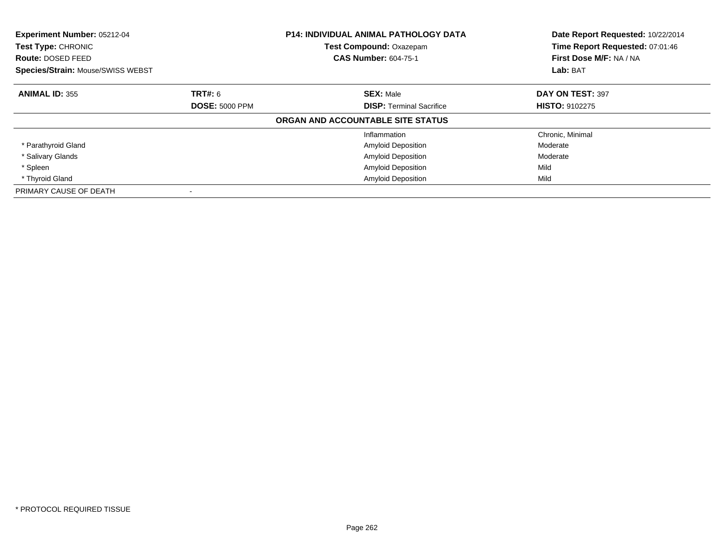| Experiment Number: 05212-04<br>Test Type: CHRONIC<br>Route: DOSED FEED |                       | <b>P14: INDIVIDUAL ANIMAL PATHOLOGY DATA</b><br><b>Test Compound: Oxazepam</b><br><b>CAS Number: 604-75-1</b> | Date Report Requested: 10/22/2014<br>Time Report Requested: 07:01:46<br>First Dose M/F: NA / NA |
|------------------------------------------------------------------------|-----------------------|---------------------------------------------------------------------------------------------------------------|-------------------------------------------------------------------------------------------------|
| <b>Species/Strain: Mouse/SWISS WEBST</b>                               |                       |                                                                                                               | Lab: BAT                                                                                        |
| <b>ANIMAL ID: 355</b>                                                  | TRT#: 6               | <b>SEX: Male</b>                                                                                              | DAY ON TEST: 397                                                                                |
|                                                                        | <b>DOSE: 5000 PPM</b> | <b>DISP:</b> Terminal Sacrifice                                                                               | <b>HISTO: 9102275</b>                                                                           |
|                                                                        |                       | ORGAN AND ACCOUNTABLE SITE STATUS                                                                             |                                                                                                 |
|                                                                        |                       | Inflammation                                                                                                  | Chronic, Minimal                                                                                |
| * Parathyroid Gland                                                    |                       | <b>Amyloid Deposition</b>                                                                                     | Moderate                                                                                        |
| * Salivary Glands                                                      |                       | <b>Amyloid Deposition</b>                                                                                     | Moderate                                                                                        |
| * Spleen                                                               |                       | <b>Amyloid Deposition</b>                                                                                     | Mild                                                                                            |
| * Thyroid Gland                                                        |                       | <b>Amyloid Deposition</b>                                                                                     | Mild                                                                                            |
| PRIMARY CAUSE OF DEATH                                                 |                       |                                                                                                               |                                                                                                 |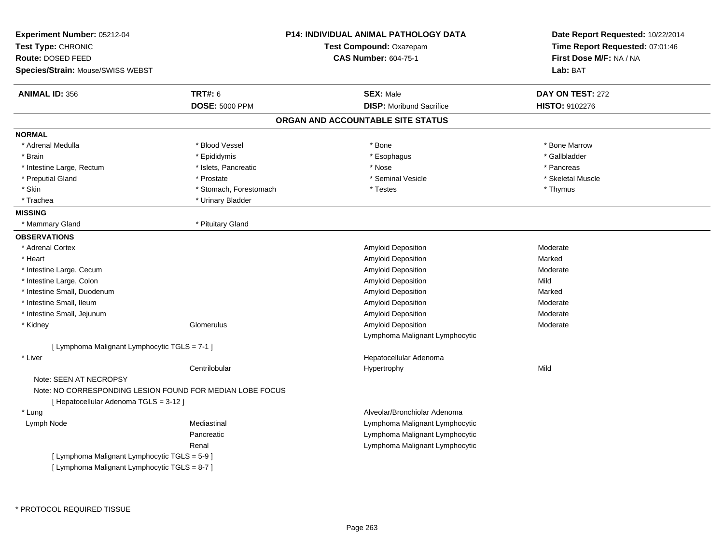| Experiment Number: 05212-04<br>Test Type: CHRONIC<br>Route: DOSED FEED<br>Species/Strain: Mouse/SWISS WEBST |                        | <b>P14: INDIVIDUAL ANIMAL PATHOLOGY DATA</b><br>Test Compound: Oxazepam<br><b>CAS Number: 604-75-1</b> | Date Report Requested: 10/22/2014<br>Time Report Requested: 07:01:46<br>First Dose M/F: NA / NA<br>Lab: BAT |
|-------------------------------------------------------------------------------------------------------------|------------------------|--------------------------------------------------------------------------------------------------------|-------------------------------------------------------------------------------------------------------------|
| <b>ANIMAL ID: 356</b>                                                                                       | <b>TRT#: 6</b>         | <b>SEX: Male</b>                                                                                       | DAY ON TEST: 272                                                                                            |
|                                                                                                             | <b>DOSE: 5000 PPM</b>  | <b>DISP:</b> Moribund Sacrifice                                                                        | <b>HISTO: 9102276</b>                                                                                       |
|                                                                                                             |                        | ORGAN AND ACCOUNTABLE SITE STATUS                                                                      |                                                                                                             |
| <b>NORMAL</b>                                                                                               |                        |                                                                                                        |                                                                                                             |
| * Adrenal Medulla                                                                                           | * Blood Vessel         | * Bone                                                                                                 | * Bone Marrow                                                                                               |
| * Brain                                                                                                     | * Epididymis           | * Esophagus                                                                                            | * Gallbladder                                                                                               |
| * Intestine Large, Rectum                                                                                   | * Islets, Pancreatic   | * Nose                                                                                                 | * Pancreas                                                                                                  |
| * Preputial Gland                                                                                           | * Prostate             | * Seminal Vesicle                                                                                      | * Skeletal Muscle                                                                                           |
| * Skin                                                                                                      | * Stomach, Forestomach | * Testes                                                                                               | * Thymus                                                                                                    |
| * Trachea                                                                                                   | * Urinary Bladder      |                                                                                                        |                                                                                                             |
| <b>MISSING</b>                                                                                              |                        |                                                                                                        |                                                                                                             |
| * Mammary Gland                                                                                             | * Pituitary Gland      |                                                                                                        |                                                                                                             |
| <b>OBSERVATIONS</b>                                                                                         |                        |                                                                                                        |                                                                                                             |
| * Adrenal Cortex                                                                                            |                        | Amyloid Deposition                                                                                     | Moderate                                                                                                    |
| * Heart                                                                                                     |                        | <b>Amyloid Deposition</b>                                                                              | Marked                                                                                                      |
| * Intestine Large, Cecum                                                                                    |                        | Amyloid Deposition                                                                                     | Moderate                                                                                                    |
| * Intestine Large, Colon                                                                                    |                        | Amyloid Deposition                                                                                     | Mild                                                                                                        |
| * Intestine Small, Duodenum                                                                                 |                        | Amyloid Deposition                                                                                     | Marked                                                                                                      |
| * Intestine Small, Ileum                                                                                    |                        | Amyloid Deposition                                                                                     | Moderate                                                                                                    |
| * Intestine Small, Jejunum                                                                                  |                        | Amyloid Deposition                                                                                     | Moderate                                                                                                    |
| * Kidney                                                                                                    | Glomerulus             | <b>Amyloid Deposition</b>                                                                              | Moderate                                                                                                    |
|                                                                                                             |                        | Lymphoma Malignant Lymphocytic                                                                         |                                                                                                             |
| [ Lymphoma Malignant Lymphocytic TGLS = 7-1 ]                                                               |                        |                                                                                                        |                                                                                                             |
| * Liver                                                                                                     |                        | Hepatocellular Adenoma                                                                                 |                                                                                                             |
|                                                                                                             | Centrilobular          | Hypertrophy                                                                                            | Mild                                                                                                        |
| Note: SEEN AT NECROPSY                                                                                      |                        |                                                                                                        |                                                                                                             |
| Note: NO CORRESPONDING LESION FOUND FOR MEDIAN LOBE FOCUS                                                   |                        |                                                                                                        |                                                                                                             |
| [ Hepatocellular Adenoma TGLS = 3-12 ]                                                                      |                        |                                                                                                        |                                                                                                             |
| * Lung                                                                                                      |                        | Alveolar/Bronchiolar Adenoma                                                                           |                                                                                                             |
| Lymph Node                                                                                                  | Mediastinal            | Lymphoma Malignant Lymphocytic                                                                         |                                                                                                             |
|                                                                                                             | Pancreatic             | Lymphoma Malignant Lymphocytic                                                                         |                                                                                                             |
|                                                                                                             | Renal                  | Lymphoma Malignant Lymphocytic                                                                         |                                                                                                             |
| [ Lymphoma Malignant Lymphocytic TGLS = 5-9 ]                                                               |                        |                                                                                                        |                                                                                                             |
| [ Lymphoma Malignant Lymphocytic TGLS = 8-7 ]                                                               |                        |                                                                                                        |                                                                                                             |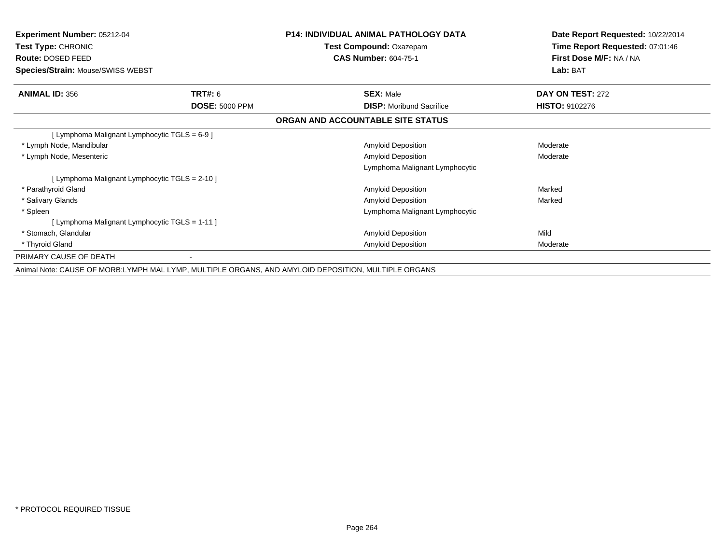| <b>Experiment Number: 05212-04</b><br>Test Type: CHRONIC<br>Route: DOSED FEED<br>Species/Strain: Mouse/SWISS WEBST |                                         | <b>P14: INDIVIDUAL ANIMAL PATHOLOGY DATA</b><br>Test Compound: Oxazepam<br><b>CAS Number: 604-75-1</b> | Date Report Requested: 10/22/2014<br>Time Report Requested: 07:01:46<br>First Dose M/F: NA / NA<br>Lab: BAT |
|--------------------------------------------------------------------------------------------------------------------|-----------------------------------------|--------------------------------------------------------------------------------------------------------|-------------------------------------------------------------------------------------------------------------|
| <b>ANIMAL ID: 356</b>                                                                                              | <b>TRT#: 6</b><br><b>DOSE: 5000 PPM</b> | <b>SEX: Male</b><br><b>DISP:</b> Moribund Sacrifice                                                    | DAY ON TEST: 272<br><b>HISTO: 9102276</b>                                                                   |
|                                                                                                                    |                                         | ORGAN AND ACCOUNTABLE SITE STATUS                                                                      |                                                                                                             |
| [ Lymphoma Malignant Lymphocytic TGLS = 6-9 ]                                                                      |                                         |                                                                                                        |                                                                                                             |
| * Lymph Node, Mandibular                                                                                           |                                         | <b>Amyloid Deposition</b>                                                                              | Moderate                                                                                                    |
| * Lymph Node, Mesenteric                                                                                           |                                         | <b>Amyloid Deposition</b>                                                                              | Moderate                                                                                                    |
|                                                                                                                    |                                         | Lymphoma Malignant Lymphocytic                                                                         |                                                                                                             |
| [ Lymphoma Malignant Lymphocytic TGLS = 2-10 ]                                                                     |                                         |                                                                                                        |                                                                                                             |
| * Parathyroid Gland                                                                                                |                                         | <b>Amyloid Deposition</b>                                                                              | Marked                                                                                                      |
| * Salivary Glands                                                                                                  |                                         | Amyloid Deposition                                                                                     | Marked                                                                                                      |
| * Spleen                                                                                                           |                                         | Lymphoma Malignant Lymphocytic                                                                         |                                                                                                             |
| [ Lymphoma Malignant Lymphocytic TGLS = 1-11 ]                                                                     |                                         |                                                                                                        |                                                                                                             |
| * Stomach, Glandular                                                                                               |                                         | Amyloid Deposition                                                                                     | Mild                                                                                                        |
| * Thyroid Gland                                                                                                    |                                         | <b>Amyloid Deposition</b>                                                                              | Moderate                                                                                                    |
| PRIMARY CAUSE OF DEATH                                                                                             |                                         |                                                                                                        |                                                                                                             |
|                                                                                                                    |                                         | Animal Note: CAUSE OF MORB:LYMPH MAL LYMP, MULTIPLE ORGANS, AND AMYLOID DEPOSITION, MULTIPLE ORGANS    |                                                                                                             |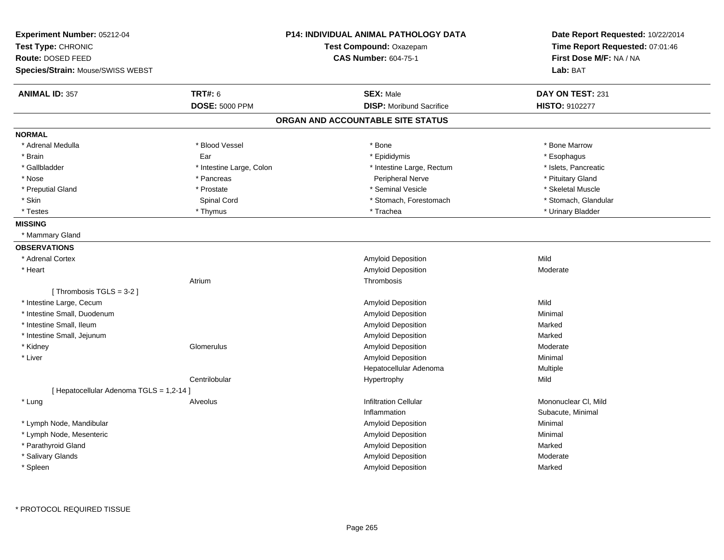| Experiment Number: 05212-04<br>Test Type: CHRONIC<br>Route: DOSED FEED<br>Species/Strain: Mouse/SWISS WEBST | <b>P14: INDIVIDUAL ANIMAL PATHOLOGY DATA</b><br>Test Compound: Oxazepam<br><b>CAS Number: 604-75-1</b> | Date Report Requested: 10/22/2014<br>Time Report Requested: 07:01:46<br>First Dose M/F: NA / NA<br>Lab: BAT |
|-------------------------------------------------------------------------------------------------------------|--------------------------------------------------------------------------------------------------------|-------------------------------------------------------------------------------------------------------------|
| <b>TRT#: 6</b><br><b>ANIMAL ID: 357</b>                                                                     | <b>SEX: Male</b>                                                                                       | DAY ON TEST: 231                                                                                            |
| <b>DOSE: 5000 PPM</b>                                                                                       | <b>DISP:</b> Moribund Sacrifice                                                                        | HISTO: 9102277                                                                                              |
|                                                                                                             | ORGAN AND ACCOUNTABLE SITE STATUS                                                                      |                                                                                                             |
| <b>NORMAL</b>                                                                                               |                                                                                                        |                                                                                                             |
| * Blood Vessel<br>* Adrenal Medulla                                                                         | * Bone                                                                                                 | * Bone Marrow                                                                                               |
| * Brain<br>Ear                                                                                              | * Epididymis                                                                                           | * Esophagus                                                                                                 |
| * Gallbladder                                                                                               | * Intestine Large, Colon<br>* Intestine Large, Rectum                                                  | * Islets, Pancreatic                                                                                        |
| * Nose<br>* Pancreas                                                                                        | <b>Peripheral Nerve</b>                                                                                | * Pituitary Gland                                                                                           |
| * Preputial Gland<br>* Prostate                                                                             | * Seminal Vesicle                                                                                      | * Skeletal Muscle                                                                                           |
| * Skin<br>Spinal Cord                                                                                       | * Stomach, Forestomach                                                                                 | * Stomach, Glandular                                                                                        |
| * Thymus<br>* Testes                                                                                        | * Trachea                                                                                              | * Urinary Bladder                                                                                           |
| <b>MISSING</b>                                                                                              |                                                                                                        |                                                                                                             |
| * Mammary Gland                                                                                             |                                                                                                        |                                                                                                             |
| <b>OBSERVATIONS</b>                                                                                         |                                                                                                        |                                                                                                             |
| * Adrenal Cortex                                                                                            | <b>Amyloid Deposition</b>                                                                              | Mild                                                                                                        |
| * Heart                                                                                                     | Amyloid Deposition                                                                                     | Moderate                                                                                                    |
| Atrium                                                                                                      | Thrombosis                                                                                             |                                                                                                             |
| [Thrombosis $TGLS = 3-2$ ]                                                                                  |                                                                                                        |                                                                                                             |
| * Intestine Large, Cecum                                                                                    | Amyloid Deposition                                                                                     | Mild                                                                                                        |
| * Intestine Small, Duodenum                                                                                 | Amyloid Deposition                                                                                     | Minimal                                                                                                     |
| * Intestine Small, Ileum                                                                                    | Amyloid Deposition                                                                                     | Marked                                                                                                      |
| * Intestine Small, Jejunum                                                                                  | Amyloid Deposition                                                                                     | Marked                                                                                                      |
| * Kidney<br>Glomerulus                                                                                      | Amyloid Deposition                                                                                     | Moderate                                                                                                    |
| * Liver                                                                                                     | Amyloid Deposition                                                                                     | Minimal                                                                                                     |
|                                                                                                             | Hepatocellular Adenoma                                                                                 | Multiple                                                                                                    |
| Centrilobular                                                                                               | Hypertrophy                                                                                            | Mild                                                                                                        |
| [ Hepatocellular Adenoma TGLS = 1,2-14 ]                                                                    |                                                                                                        |                                                                                                             |
| * Lung<br>Alveolus                                                                                          | Infiltration Cellular                                                                                  | Mononuclear CI, Mild                                                                                        |
|                                                                                                             | Inflammation                                                                                           | Subacute, Minimal                                                                                           |
| * Lymph Node, Mandibular                                                                                    | Amyloid Deposition                                                                                     | Minimal                                                                                                     |
| * Lymph Node, Mesenteric                                                                                    | Amyloid Deposition                                                                                     | Minimal                                                                                                     |
| * Parathyroid Gland                                                                                         | Amyloid Deposition                                                                                     | Marked                                                                                                      |
| * Salivary Glands                                                                                           | Amyloid Deposition                                                                                     | Moderate                                                                                                    |
| * Spleen                                                                                                    |                                                                                                        |                                                                                                             |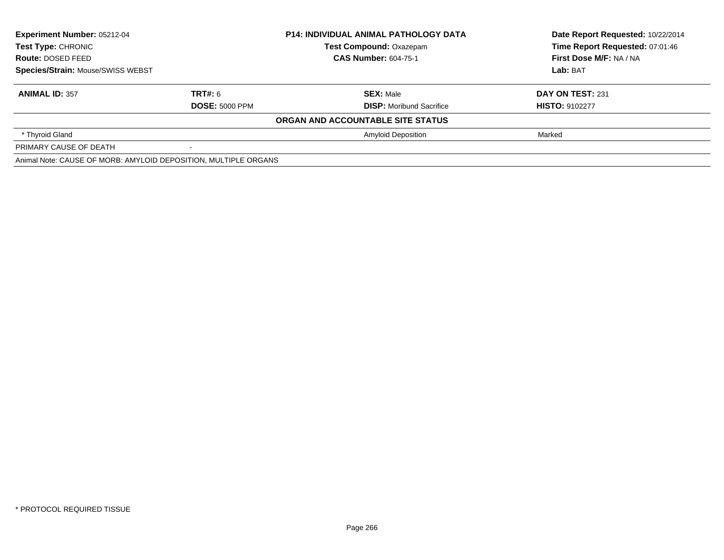| <b>Experiment Number: 05212-04</b><br><b>Test Type: CHRONIC</b><br>Route: DOSED FEED<br><b>Species/Strain: Mouse/SWISS WEBST</b> |                       | <b>P14: INDIVIDUAL ANIMAL PATHOLOGY DATA</b> | Date Report Requested: 10/22/2014 |
|----------------------------------------------------------------------------------------------------------------------------------|-----------------------|----------------------------------------------|-----------------------------------|
|                                                                                                                                  |                       | <b>Test Compound: Oxazepam</b>               | Time Report Requested: 07:01:46   |
|                                                                                                                                  |                       | <b>CAS Number: 604-75-1</b>                  | First Dose M/F: NA / NA           |
|                                                                                                                                  |                       |                                              | Lab: BAT                          |
| <b>ANIMAL ID: 357</b>                                                                                                            | <b>TRT#: 6</b>        | <b>SEX: Male</b>                             | DAY ON TEST: 231                  |
|                                                                                                                                  | <b>DOSE: 5000 PPM</b> | <b>DISP:</b> Moribund Sacrifice              | <b>HISTO: 9102277</b>             |
|                                                                                                                                  |                       | ORGAN AND ACCOUNTABLE SITE STATUS            |                                   |
| * Thyroid Gland                                                                                                                  |                       | <b>Amyloid Deposition</b>                    | Marked                            |
| PRIMARY CAUSE OF DEATH                                                                                                           |                       |                                              |                                   |
| Animal Note: CAUSE OF MORB: AMYLOID DEPOSITION, MULTIPLE ORGANS                                                                  |                       |                                              |                                   |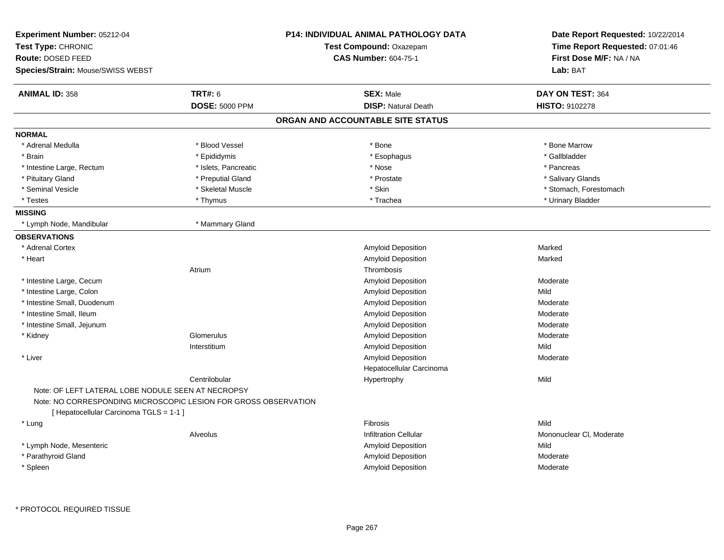| <b>Experiment Number: 05212-04</b><br>Test Type: CHRONIC<br>Route: DOSED FEED<br><b>Species/Strain: Mouse/SWISS WEBST</b>                                        |                       | <b>P14: INDIVIDUAL ANIMAL PATHOLOGY DATA</b><br>Test Compound: Oxazepam<br><b>CAS Number: 604-75-1</b> | Date Report Requested: 10/22/2014<br>Time Report Requested: 07:01:46<br>First Dose M/F: NA / NA<br>Lab: BAT |
|------------------------------------------------------------------------------------------------------------------------------------------------------------------|-----------------------|--------------------------------------------------------------------------------------------------------|-------------------------------------------------------------------------------------------------------------|
| <b>ANIMAL ID: 358</b>                                                                                                                                            | <b>TRT#: 6</b>        | <b>SEX: Male</b>                                                                                       | DAY ON TEST: 364                                                                                            |
|                                                                                                                                                                  | <b>DOSE: 5000 PPM</b> | <b>DISP: Natural Death</b>                                                                             | <b>HISTO: 9102278</b>                                                                                       |
|                                                                                                                                                                  |                       | ORGAN AND ACCOUNTABLE SITE STATUS                                                                      |                                                                                                             |
| <b>NORMAL</b>                                                                                                                                                    |                       |                                                                                                        |                                                                                                             |
| * Adrenal Medulla                                                                                                                                                | * Blood Vessel        | * Bone                                                                                                 | * Bone Marrow                                                                                               |
| * Brain                                                                                                                                                          | * Epididymis          | * Esophagus                                                                                            | * Gallbladder                                                                                               |
| * Intestine Large, Rectum                                                                                                                                        | * Islets, Pancreatic  | * Nose                                                                                                 | * Pancreas                                                                                                  |
| * Pituitary Gland                                                                                                                                                | * Preputial Gland     | * Prostate                                                                                             | * Salivary Glands                                                                                           |
| * Seminal Vesicle                                                                                                                                                | * Skeletal Muscle     | * Skin                                                                                                 | * Stomach, Forestomach                                                                                      |
| * Testes                                                                                                                                                         | * Thymus              | * Trachea                                                                                              | * Urinary Bladder                                                                                           |
| <b>MISSING</b>                                                                                                                                                   |                       |                                                                                                        |                                                                                                             |
| * Lymph Node, Mandibular                                                                                                                                         | * Mammary Gland       |                                                                                                        |                                                                                                             |
| <b>OBSERVATIONS</b>                                                                                                                                              |                       |                                                                                                        |                                                                                                             |
| * Adrenal Cortex                                                                                                                                                 |                       | Amyloid Deposition                                                                                     | Marked                                                                                                      |
| * Heart                                                                                                                                                          |                       | Amyloid Deposition                                                                                     | Marked                                                                                                      |
|                                                                                                                                                                  | Atrium                | Thrombosis                                                                                             |                                                                                                             |
| * Intestine Large, Cecum                                                                                                                                         |                       | Amyloid Deposition                                                                                     | Moderate                                                                                                    |
| * Intestine Large, Colon                                                                                                                                         |                       | <b>Amyloid Deposition</b>                                                                              | Mild                                                                                                        |
| * Intestine Small, Duodenum                                                                                                                                      |                       | <b>Amyloid Deposition</b>                                                                              | Moderate                                                                                                    |
| * Intestine Small, Ileum                                                                                                                                         |                       | Amyloid Deposition                                                                                     | Moderate                                                                                                    |
| * Intestine Small, Jejunum                                                                                                                                       |                       | Amyloid Deposition                                                                                     | Moderate                                                                                                    |
| * Kidney                                                                                                                                                         | Glomerulus            | Amyloid Deposition                                                                                     | Moderate                                                                                                    |
|                                                                                                                                                                  | Interstitium          | Amyloid Deposition                                                                                     | Mild                                                                                                        |
| * Liver                                                                                                                                                          |                       | Amyloid Deposition                                                                                     | Moderate                                                                                                    |
|                                                                                                                                                                  |                       | Hepatocellular Carcinoma                                                                               |                                                                                                             |
|                                                                                                                                                                  | Centrilobular         | Hypertrophy                                                                                            | Mild                                                                                                        |
| Note: OF LEFT LATERAL LOBE NODULE SEEN AT NECROPSY<br>Note: NO CORRESPONDING MICROSCOPIC LESION FOR GROSS OBSERVATION<br>[ Hepatocellular Carcinoma TGLS = 1-1 ] |                       |                                                                                                        |                                                                                                             |
| * Lung                                                                                                                                                           |                       | <b>Fibrosis</b>                                                                                        | Mild                                                                                                        |
|                                                                                                                                                                  | Alveolus              | <b>Infiltration Cellular</b>                                                                           | Mononuclear CI, Moderate                                                                                    |
| * Lymph Node, Mesenteric                                                                                                                                         |                       | Amyloid Deposition                                                                                     | Mild                                                                                                        |
| * Parathyroid Gland                                                                                                                                              |                       | Amyloid Deposition                                                                                     | Moderate                                                                                                    |
| * Spleen                                                                                                                                                         |                       | Amyloid Deposition                                                                                     | Moderate                                                                                                    |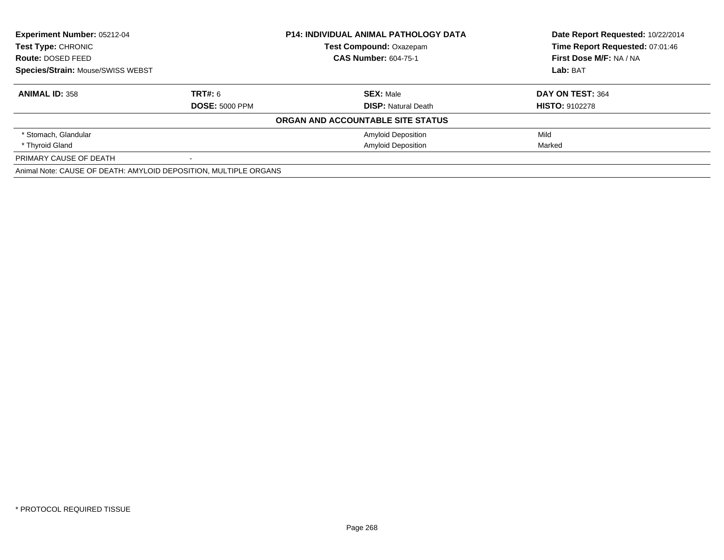| <b>Experiment Number: 05212-04</b><br><b>P14: INDIVIDUAL ANIMAL PATHOLOGY DATA</b><br><b>Test Type: CHRONIC</b><br><b>Test Compound: Oxazepam</b><br><b>CAS Number: 604-75-1</b><br>Route: DOSED FEED |                       |                                   | Date Report Requested: 10/22/2014<br>Time Report Requested: 07:01:46 |
|-------------------------------------------------------------------------------------------------------------------------------------------------------------------------------------------------------|-----------------------|-----------------------------------|----------------------------------------------------------------------|
|                                                                                                                                                                                                       |                       |                                   |                                                                      |
|                                                                                                                                                                                                       |                       |                                   | First Dose M/F: NA / NA                                              |
| <b>Species/Strain: Mouse/SWISS WEBST</b>                                                                                                                                                              |                       |                                   | Lab: BAT                                                             |
| <b>ANIMAL ID: 358</b>                                                                                                                                                                                 | TRT#: 6               | <b>SEX: Male</b>                  | DAY ON TEST: 364                                                     |
|                                                                                                                                                                                                       | <b>DOSE: 5000 PPM</b> | <b>DISP:</b> Natural Death        | <b>HISTO: 9102278</b>                                                |
|                                                                                                                                                                                                       |                       | ORGAN AND ACCOUNTABLE SITE STATUS |                                                                      |
| * Stomach, Glandular                                                                                                                                                                                  |                       | <b>Amyloid Deposition</b>         | Mild                                                                 |
| * Thyroid Gland                                                                                                                                                                                       |                       | <b>Amyloid Deposition</b>         | Marked                                                               |
| PRIMARY CAUSE OF DEATH                                                                                                                                                                                |                       |                                   |                                                                      |
| Animal Note: CAUSE OF DEATH: AMYLOID DEPOSITION, MULTIPLE ORGANS                                                                                                                                      |                       |                                   |                                                                      |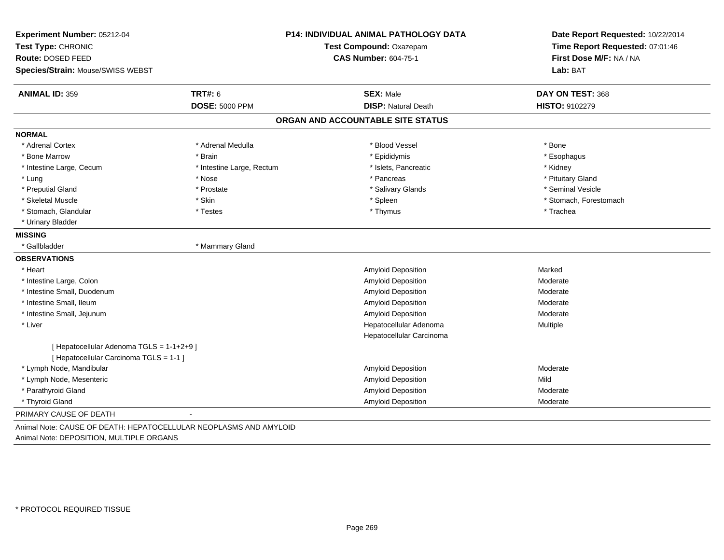| Experiment Number: 05212-04<br>Test Type: CHRONIC<br>Route: DOSED FEED               |                           | <b>P14: INDIVIDUAL ANIMAL PATHOLOGY DATA</b><br>Test Compound: Oxazepam<br><b>CAS Number: 604-75-1</b> | Date Report Requested: 10/22/2014<br>Time Report Requested: 07:01:46<br>First Dose M/F: NA / NA |  |
|--------------------------------------------------------------------------------------|---------------------------|--------------------------------------------------------------------------------------------------------|-------------------------------------------------------------------------------------------------|--|
| Species/Strain: Mouse/SWISS WEBST                                                    |                           |                                                                                                        | Lab: BAT                                                                                        |  |
| <b>ANIMAL ID: 359</b>                                                                | <b>TRT#: 6</b>            | <b>SEX: Male</b>                                                                                       | DAY ON TEST: 368                                                                                |  |
|                                                                                      | <b>DOSE: 5000 PPM</b>     | <b>DISP: Natural Death</b>                                                                             | HISTO: 9102279                                                                                  |  |
|                                                                                      |                           | ORGAN AND ACCOUNTABLE SITE STATUS                                                                      |                                                                                                 |  |
| <b>NORMAL</b>                                                                        |                           |                                                                                                        |                                                                                                 |  |
| * Adrenal Cortex                                                                     | * Adrenal Medulla         | * Blood Vessel                                                                                         | * Bone                                                                                          |  |
| * Bone Marrow                                                                        | * Brain                   | * Epididymis                                                                                           | * Esophagus                                                                                     |  |
| * Intestine Large, Cecum                                                             | * Intestine Large, Rectum | * Islets, Pancreatic                                                                                   | * Kidney                                                                                        |  |
| * Lung                                                                               | * Nose                    | * Pancreas                                                                                             | * Pituitary Gland                                                                               |  |
| * Preputial Gland                                                                    | * Prostate                | * Salivary Glands                                                                                      | * Seminal Vesicle                                                                               |  |
| * Skeletal Muscle                                                                    | * Skin                    | * Spleen                                                                                               | * Stomach, Forestomach                                                                          |  |
| * Stomach, Glandular                                                                 | * Testes                  | * Thymus                                                                                               | * Trachea                                                                                       |  |
| * Urinary Bladder                                                                    |                           |                                                                                                        |                                                                                                 |  |
| <b>MISSING</b>                                                                       |                           |                                                                                                        |                                                                                                 |  |
| * Gallbladder                                                                        | * Mammary Gland           |                                                                                                        |                                                                                                 |  |
| <b>OBSERVATIONS</b>                                                                  |                           |                                                                                                        |                                                                                                 |  |
| * Heart                                                                              |                           | Amyloid Deposition                                                                                     | Marked                                                                                          |  |
| * Intestine Large, Colon                                                             |                           | Amyloid Deposition                                                                                     | Moderate                                                                                        |  |
| * Intestine Small, Duodenum                                                          |                           | <b>Amyloid Deposition</b>                                                                              | Moderate                                                                                        |  |
| * Intestine Small, Ileum                                                             |                           | Amyloid Deposition                                                                                     | Moderate                                                                                        |  |
| * Intestine Small, Jejunum                                                           |                           | <b>Amyloid Deposition</b>                                                                              | Moderate                                                                                        |  |
| * Liver                                                                              |                           | Hepatocellular Adenoma                                                                                 | Multiple                                                                                        |  |
|                                                                                      |                           | Hepatocellular Carcinoma                                                                               |                                                                                                 |  |
| [ Hepatocellular Adenoma TGLS = 1-1+2+9 ]<br>[ Hepatocellular Carcinoma TGLS = 1-1 ] |                           |                                                                                                        |                                                                                                 |  |
| * Lymph Node, Mandibular                                                             |                           | Amyloid Deposition                                                                                     | Moderate                                                                                        |  |
| * Lymph Node, Mesenteric                                                             |                           | Amyloid Deposition                                                                                     | Mild                                                                                            |  |
| * Parathyroid Gland                                                                  |                           | Amyloid Deposition                                                                                     | Moderate                                                                                        |  |
| * Thyroid Gland                                                                      |                           | <b>Amyloid Deposition</b>                                                                              | Moderate                                                                                        |  |
| PRIMARY CAUSE OF DEATH                                                               |                           |                                                                                                        |                                                                                                 |  |
| Animal Note: CAUSE OF DEATH: HEPATOCELLULAR NEOPLASMS AND AMYLOID                    |                           |                                                                                                        |                                                                                                 |  |

Animal Note: DEPOSITION, MULTIPLE ORGANS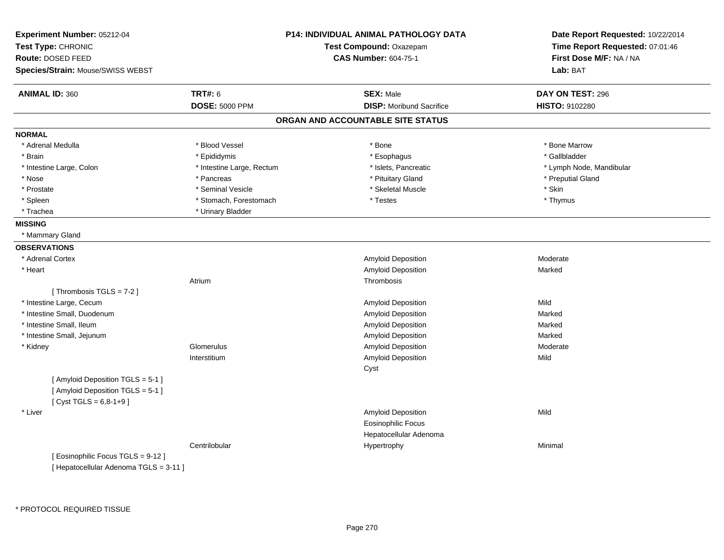| Experiment Number: 05212-04<br>Test Type: CHRONIC<br>Route: DOSED FEED |                           | <b>P14: INDIVIDUAL ANIMAL PATHOLOGY DATA</b><br>Test Compound: Oxazepam<br><b>CAS Number: 604-75-1</b> | Date Report Requested: 10/22/2014<br>Time Report Requested: 07:01:46<br>First Dose M/F: NA / NA |
|------------------------------------------------------------------------|---------------------------|--------------------------------------------------------------------------------------------------------|-------------------------------------------------------------------------------------------------|
| Species/Strain: Mouse/SWISS WEBST                                      |                           |                                                                                                        | Lab: BAT                                                                                        |
| <b>ANIMAL ID: 360</b>                                                  | <b>TRT#: 6</b>            | <b>SEX: Male</b>                                                                                       | DAY ON TEST: 296                                                                                |
|                                                                        | <b>DOSE: 5000 PPM</b>     | <b>DISP:</b> Moribund Sacrifice                                                                        | <b>HISTO: 9102280</b>                                                                           |
|                                                                        |                           | ORGAN AND ACCOUNTABLE SITE STATUS                                                                      |                                                                                                 |
| <b>NORMAL</b>                                                          |                           |                                                                                                        |                                                                                                 |
| * Adrenal Medulla                                                      | * Blood Vessel            | * Bone                                                                                                 | * Bone Marrow                                                                                   |
| * Brain                                                                | * Epididymis              | * Esophagus                                                                                            | * Gallbladder                                                                                   |
| * Intestine Large, Colon                                               | * Intestine Large, Rectum | * Islets, Pancreatic                                                                                   | * Lymph Node, Mandibular                                                                        |
| * Nose                                                                 | * Pancreas                | * Pituitary Gland                                                                                      | * Preputial Gland                                                                               |
| * Prostate                                                             | * Seminal Vesicle         | * Skeletal Muscle                                                                                      | * Skin                                                                                          |
| * Spleen                                                               | * Stomach, Forestomach    | * Testes                                                                                               | * Thymus                                                                                        |
| * Trachea                                                              | * Urinary Bladder         |                                                                                                        |                                                                                                 |
| <b>MISSING</b>                                                         |                           |                                                                                                        |                                                                                                 |
| * Mammary Gland                                                        |                           |                                                                                                        |                                                                                                 |
| <b>OBSERVATIONS</b>                                                    |                           |                                                                                                        |                                                                                                 |
| * Adrenal Cortex                                                       |                           | <b>Amyloid Deposition</b>                                                                              | Moderate                                                                                        |
| * Heart                                                                |                           | <b>Amyloid Deposition</b>                                                                              | Marked                                                                                          |
|                                                                        | Atrium                    | Thrombosis                                                                                             |                                                                                                 |
| [Thrombosis TGLS = 7-2]                                                |                           |                                                                                                        |                                                                                                 |
| * Intestine Large, Cecum                                               |                           | Amyloid Deposition                                                                                     | Mild                                                                                            |
| * Intestine Small, Duodenum                                            |                           | Amyloid Deposition                                                                                     | Marked                                                                                          |
| * Intestine Small, Ileum                                               |                           | Amyloid Deposition                                                                                     | Marked                                                                                          |
| * Intestine Small, Jejunum                                             |                           | Amyloid Deposition                                                                                     | Marked                                                                                          |
| * Kidney                                                               | Glomerulus                | Amyloid Deposition                                                                                     | Moderate                                                                                        |
|                                                                        | Interstitium              | <b>Amyloid Deposition</b>                                                                              | Mild                                                                                            |
|                                                                        |                           | Cyst                                                                                                   |                                                                                                 |
| [ Amyloid Deposition TGLS = 5-1 ]                                      |                           |                                                                                                        |                                                                                                 |
| [ Amyloid Deposition TGLS = 5-1 ]                                      |                           |                                                                                                        |                                                                                                 |
| [Cyst TGLS = $6,8-1+9$ ]                                               |                           |                                                                                                        |                                                                                                 |
| * Liver                                                                |                           | <b>Amyloid Deposition</b>                                                                              | Mild                                                                                            |
|                                                                        |                           | <b>Eosinophilic Focus</b>                                                                              |                                                                                                 |
|                                                                        |                           | Hepatocellular Adenoma                                                                                 |                                                                                                 |
|                                                                        | Centrilobular             | Hypertrophy                                                                                            | Minimal                                                                                         |
| [ Eosinophilic Focus TGLS = 9-12 ]                                     |                           |                                                                                                        |                                                                                                 |
| [ Hepatocellular Adenoma TGLS = 3-11 ]                                 |                           |                                                                                                        |                                                                                                 |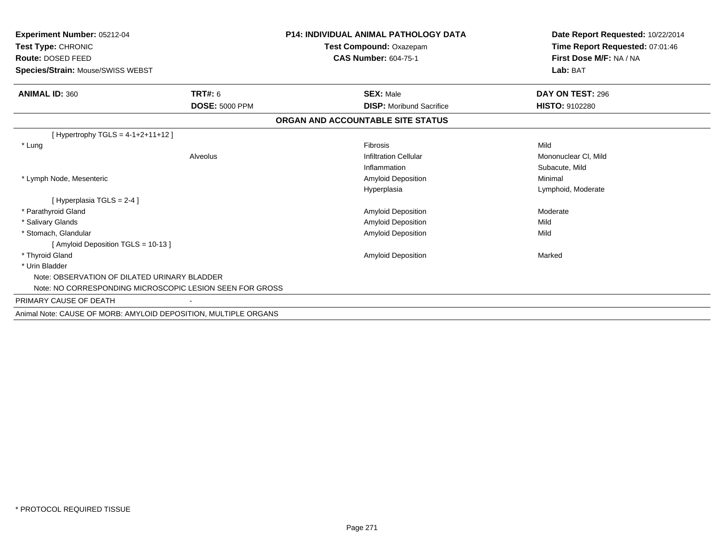| <b>Experiment Number: 05212-04</b><br>Test Type: CHRONIC<br>Route: DOSED FEED<br><b>Species/Strain: Mouse/SWISS WEBST</b> |                       | <b>P14: INDIVIDUAL ANIMAL PATHOLOGY DATA</b><br>Test Compound: Oxazepam<br><b>CAS Number: 604-75-1</b> | Date Report Requested: 10/22/2014<br>Time Report Requested: 07:01:46<br>First Dose M/F: NA / NA<br>Lab: BAT |
|---------------------------------------------------------------------------------------------------------------------------|-----------------------|--------------------------------------------------------------------------------------------------------|-------------------------------------------------------------------------------------------------------------|
| <b>ANIMAL ID: 360</b>                                                                                                     | TRT#: 6               | <b>SEX: Male</b>                                                                                       | DAY ON TEST: 296                                                                                            |
|                                                                                                                           | <b>DOSE: 5000 PPM</b> | <b>DISP:</b> Moribund Sacrifice                                                                        | <b>HISTO: 9102280</b>                                                                                       |
|                                                                                                                           |                       | ORGAN AND ACCOUNTABLE SITE STATUS                                                                      |                                                                                                             |
| [Hypertrophy TGLS = $4-1+2+11+12$ ]                                                                                       |                       |                                                                                                        |                                                                                                             |
| * Lung                                                                                                                    |                       | <b>Fibrosis</b>                                                                                        | Mild                                                                                                        |
|                                                                                                                           | Alveolus              | <b>Infiltration Cellular</b>                                                                           | Mononuclear CI, Mild                                                                                        |
|                                                                                                                           |                       | Inflammation                                                                                           | Subacute, Mild                                                                                              |
| * Lymph Node, Mesenteric                                                                                                  |                       | Amyloid Deposition                                                                                     | Minimal                                                                                                     |
|                                                                                                                           |                       | Hyperplasia                                                                                            | Lymphoid, Moderate                                                                                          |
| [Hyperplasia TGLS = $2-4$ ]                                                                                               |                       |                                                                                                        |                                                                                                             |
| * Parathyroid Gland                                                                                                       |                       | <b>Amyloid Deposition</b>                                                                              | Moderate                                                                                                    |
| * Salivary Glands                                                                                                         |                       | Amyloid Deposition                                                                                     | Mild                                                                                                        |
| * Stomach, Glandular                                                                                                      |                       | <b>Amyloid Deposition</b>                                                                              | Mild                                                                                                        |
| [Amyloid Deposition TGLS = 10-13]                                                                                         |                       |                                                                                                        |                                                                                                             |
| * Thyroid Gland                                                                                                           |                       | <b>Amyloid Deposition</b>                                                                              | Marked                                                                                                      |
| * Urin Bladder                                                                                                            |                       |                                                                                                        |                                                                                                             |
| Note: OBSERVATION OF DILATED URINARY BLADDER                                                                              |                       |                                                                                                        |                                                                                                             |
| Note: NO CORRESPONDING MICROSCOPIC LESION SEEN FOR GROSS                                                                  |                       |                                                                                                        |                                                                                                             |
| PRIMARY CAUSE OF DEATH                                                                                                    |                       |                                                                                                        |                                                                                                             |
| Animal Note: CAUSE OF MORB: AMYLOID DEPOSITION, MULTIPLE ORGANS                                                           |                       |                                                                                                        |                                                                                                             |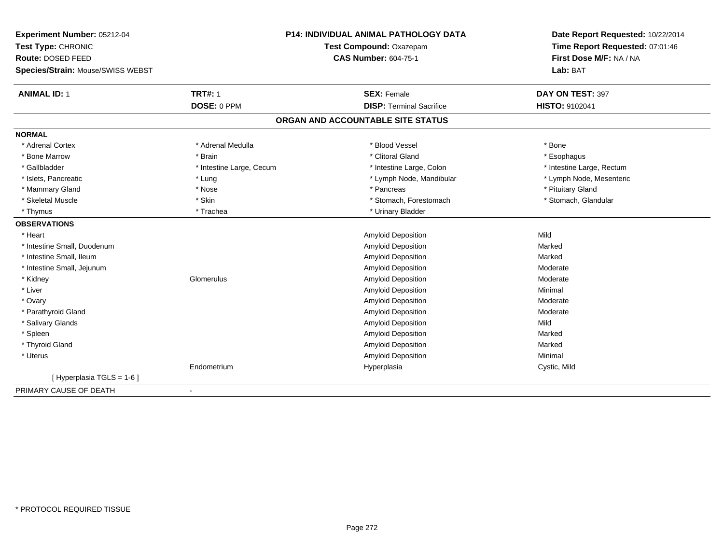| Experiment Number: 05212-04       | <b>P14: INDIVIDUAL ANIMAL PATHOLOGY DATA</b> |                                   | Date Report Requested: 10/22/2014 |  |
|-----------------------------------|----------------------------------------------|-----------------------------------|-----------------------------------|--|
| Test Type: CHRONIC                |                                              | Test Compound: Oxazepam           | Time Report Requested: 07:01:46   |  |
| Route: DOSED FEED                 |                                              | <b>CAS Number: 604-75-1</b>       | First Dose M/F: NA / NA           |  |
| Species/Strain: Mouse/SWISS WEBST |                                              |                                   | Lab: BAT                          |  |
| <b>ANIMAL ID: 1</b>               | <b>TRT#: 1</b>                               | <b>SEX: Female</b>                | DAY ON TEST: 397                  |  |
|                                   | DOSE: 0 PPM                                  | <b>DISP: Terminal Sacrifice</b>   | <b>HISTO: 9102041</b>             |  |
|                                   |                                              | ORGAN AND ACCOUNTABLE SITE STATUS |                                   |  |
| <b>NORMAL</b>                     |                                              |                                   |                                   |  |
| * Adrenal Cortex                  | * Adrenal Medulla                            | * Blood Vessel                    | * Bone                            |  |
| * Bone Marrow                     | * Brain                                      | * Clitoral Gland                  | * Esophagus                       |  |
| * Gallbladder                     | * Intestine Large, Cecum                     | * Intestine Large, Colon          | * Intestine Large, Rectum         |  |
| * Islets, Pancreatic              | * Lung                                       | * Lymph Node, Mandibular          | * Lymph Node, Mesenteric          |  |
| * Mammary Gland                   | * Nose                                       | * Pancreas                        | * Pituitary Gland                 |  |
| * Skeletal Muscle                 | * Skin                                       | * Stomach, Forestomach            | * Stomach, Glandular              |  |
| * Thymus                          | * Trachea                                    | * Urinary Bladder                 |                                   |  |
| <b>OBSERVATIONS</b>               |                                              |                                   |                                   |  |
| * Heart                           |                                              | Amyloid Deposition                | Mild                              |  |
| * Intestine Small, Duodenum       |                                              | Amyloid Deposition                | Marked                            |  |
| * Intestine Small, Ileum          |                                              | <b>Amyloid Deposition</b>         | Marked                            |  |
| * Intestine Small, Jejunum        |                                              | Amyloid Deposition                | Moderate                          |  |
| * Kidney                          | Glomerulus                                   | Amyloid Deposition                | Moderate                          |  |
| * Liver                           |                                              | Amyloid Deposition                | Minimal                           |  |
| * Ovary                           |                                              | Amyloid Deposition                | Moderate                          |  |
| * Parathyroid Gland               |                                              | <b>Amyloid Deposition</b>         | Moderate                          |  |
| * Salivary Glands                 |                                              | Amyloid Deposition                | Mild                              |  |
| * Spleen                          |                                              | <b>Amyloid Deposition</b>         | Marked                            |  |
| * Thyroid Gland                   |                                              | Amyloid Deposition                | Marked                            |  |
| * Uterus                          |                                              | Amyloid Deposition                | Minimal                           |  |
|                                   | Endometrium                                  | Hyperplasia                       | Cystic, Mild                      |  |
| [Hyperplasia TGLS = $1-6$ ]       |                                              |                                   |                                   |  |
| PRIMARY CAUSE OF DEATH            |                                              |                                   |                                   |  |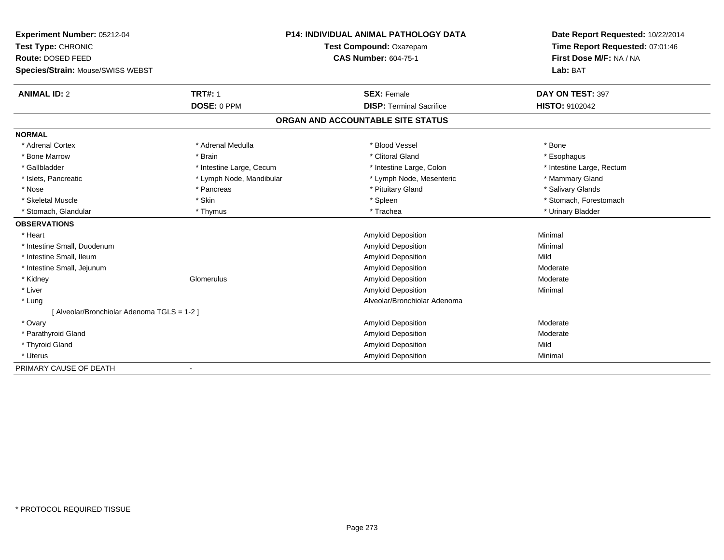| Experiment Number: 05212-04                 | <b>P14: INDIVIDUAL ANIMAL PATHOLOGY DATA</b><br>Test Compound: Oxazepam |                                   | Date Report Requested: 10/22/2014 |  |
|---------------------------------------------|-------------------------------------------------------------------------|-----------------------------------|-----------------------------------|--|
| Test Type: CHRONIC                          |                                                                         |                                   | Time Report Requested: 07:01:46   |  |
| Route: DOSED FEED                           |                                                                         | <b>CAS Number: 604-75-1</b>       | First Dose M/F: NA / NA           |  |
| Species/Strain: Mouse/SWISS WEBST           |                                                                         |                                   | Lab: BAT                          |  |
| <b>ANIMAL ID: 2</b>                         | <b>TRT#: 1</b>                                                          | <b>SEX: Female</b>                | DAY ON TEST: 397                  |  |
|                                             | DOSE: 0 PPM                                                             | <b>DISP: Terminal Sacrifice</b>   | <b>HISTO: 9102042</b>             |  |
|                                             |                                                                         | ORGAN AND ACCOUNTABLE SITE STATUS |                                   |  |
| <b>NORMAL</b>                               |                                                                         |                                   |                                   |  |
| * Adrenal Cortex                            | * Adrenal Medulla                                                       | * Blood Vessel                    | * Bone                            |  |
| * Bone Marrow                               | * Brain                                                                 | * Clitoral Gland                  | * Esophagus                       |  |
| * Gallbladder                               | * Intestine Large, Cecum                                                | * Intestine Large, Colon          | * Intestine Large, Rectum         |  |
| * Islets, Pancreatic                        | * Lymph Node, Mandibular                                                | * Lymph Node, Mesenteric          | * Mammary Gland                   |  |
| * Nose                                      | * Pancreas                                                              | * Pituitary Gland                 | * Salivary Glands                 |  |
| * Skeletal Muscle                           | * Skin                                                                  | * Spleen                          | * Stomach, Forestomach            |  |
| * Stomach, Glandular                        | * Thymus                                                                | * Trachea                         | * Urinary Bladder                 |  |
| <b>OBSERVATIONS</b>                         |                                                                         |                                   |                                   |  |
| * Heart                                     |                                                                         | Amyloid Deposition                | Minimal                           |  |
| * Intestine Small, Duodenum                 |                                                                         | Amyloid Deposition                | Minimal                           |  |
| * Intestine Small, Ileum                    |                                                                         | <b>Amyloid Deposition</b>         | Mild                              |  |
| * Intestine Small, Jejunum                  |                                                                         | Amyloid Deposition                | Moderate                          |  |
| * Kidney                                    | Glomerulus                                                              | Amyloid Deposition                | Moderate                          |  |
| * Liver                                     |                                                                         | <b>Amyloid Deposition</b>         | Minimal                           |  |
| * Lung                                      |                                                                         | Alveolar/Bronchiolar Adenoma      |                                   |  |
| [ Alveolar/Bronchiolar Adenoma TGLS = 1-2 ] |                                                                         |                                   |                                   |  |
| * Ovary                                     |                                                                         | <b>Amyloid Deposition</b>         | Moderate                          |  |
| * Parathyroid Gland                         |                                                                         | Amyloid Deposition                | Moderate                          |  |
| * Thyroid Gland                             |                                                                         | Amyloid Deposition                | Mild                              |  |
| * Uterus                                    |                                                                         | Amyloid Deposition                | Minimal                           |  |
| PRIMARY CAUSE OF DEATH                      |                                                                         |                                   |                                   |  |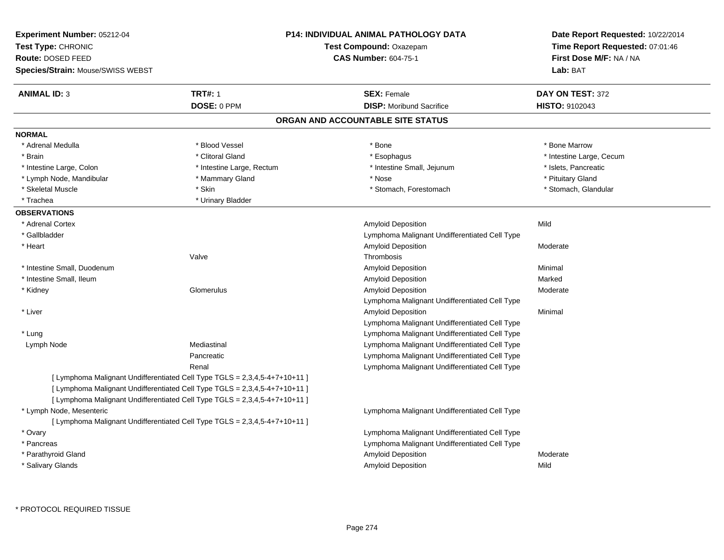| Experiment Number: 05212-04<br>Test Type: CHRONIC<br>Route: DOSED FEED<br><b>Species/Strain: Mouse/SWISS WEBST</b> |                                                                                                                                                                                                                                        | <b>P14: INDIVIDUAL ANIMAL PATHOLOGY DATA</b><br>Test Compound: Oxazepam<br><b>CAS Number: 604-75-1</b> | Date Report Requested: 10/22/2014<br>Time Report Requested: 07:01:46<br>First Dose M/F: NA / NA<br>Lab: BAT |
|--------------------------------------------------------------------------------------------------------------------|----------------------------------------------------------------------------------------------------------------------------------------------------------------------------------------------------------------------------------------|--------------------------------------------------------------------------------------------------------|-------------------------------------------------------------------------------------------------------------|
| <b>ANIMAL ID: 3</b>                                                                                                | <b>TRT#: 1</b>                                                                                                                                                                                                                         | <b>SEX: Female</b>                                                                                     | DAY ON TEST: 372                                                                                            |
|                                                                                                                    | DOSE: 0 PPM                                                                                                                                                                                                                            | <b>DISP:</b> Moribund Sacrifice                                                                        | HISTO: 9102043                                                                                              |
|                                                                                                                    |                                                                                                                                                                                                                                        | ORGAN AND ACCOUNTABLE SITE STATUS                                                                      |                                                                                                             |
| <b>NORMAL</b>                                                                                                      |                                                                                                                                                                                                                                        |                                                                                                        |                                                                                                             |
| * Adrenal Medulla                                                                                                  | * Blood Vessel                                                                                                                                                                                                                         | * Bone                                                                                                 | * Bone Marrow                                                                                               |
| * Brain                                                                                                            | * Clitoral Gland                                                                                                                                                                                                                       | * Esophagus                                                                                            | * Intestine Large, Cecum                                                                                    |
| * Intestine Large, Colon                                                                                           | * Intestine Large, Rectum                                                                                                                                                                                                              | * Intestine Small, Jejunum                                                                             | * Islets, Pancreatic                                                                                        |
| * Lymph Node, Mandibular                                                                                           | * Mammary Gland                                                                                                                                                                                                                        | * Nose                                                                                                 | * Pituitary Gland                                                                                           |
| * Skeletal Muscle                                                                                                  | * Skin                                                                                                                                                                                                                                 | * Stomach, Forestomach                                                                                 | * Stomach, Glandular                                                                                        |
| * Trachea                                                                                                          | * Urinary Bladder                                                                                                                                                                                                                      |                                                                                                        |                                                                                                             |
| <b>OBSERVATIONS</b>                                                                                                |                                                                                                                                                                                                                                        |                                                                                                        |                                                                                                             |
| * Adrenal Cortex                                                                                                   |                                                                                                                                                                                                                                        | <b>Amyloid Deposition</b>                                                                              | Mild                                                                                                        |
| * Gallbladder                                                                                                      |                                                                                                                                                                                                                                        | Lymphoma Malignant Undifferentiated Cell Type                                                          |                                                                                                             |
| * Heart                                                                                                            |                                                                                                                                                                                                                                        | <b>Amyloid Deposition</b>                                                                              | Moderate                                                                                                    |
|                                                                                                                    | Valve                                                                                                                                                                                                                                  | Thrombosis                                                                                             |                                                                                                             |
| * Intestine Small, Duodenum                                                                                        |                                                                                                                                                                                                                                        | <b>Amyloid Deposition</b>                                                                              | Minimal                                                                                                     |
| * Intestine Small, Ileum                                                                                           |                                                                                                                                                                                                                                        | Amyloid Deposition                                                                                     | Marked                                                                                                      |
| * Kidney                                                                                                           | Glomerulus                                                                                                                                                                                                                             | <b>Amyloid Deposition</b>                                                                              | Moderate                                                                                                    |
|                                                                                                                    |                                                                                                                                                                                                                                        | Lymphoma Malignant Undifferentiated Cell Type                                                          |                                                                                                             |
| * Liver                                                                                                            |                                                                                                                                                                                                                                        | Amyloid Deposition                                                                                     | Minimal                                                                                                     |
|                                                                                                                    |                                                                                                                                                                                                                                        | Lymphoma Malignant Undifferentiated Cell Type                                                          |                                                                                                             |
| * Lung                                                                                                             |                                                                                                                                                                                                                                        | Lymphoma Malignant Undifferentiated Cell Type                                                          |                                                                                                             |
| Lymph Node                                                                                                         | Mediastinal                                                                                                                                                                                                                            | Lymphoma Malignant Undifferentiated Cell Type                                                          |                                                                                                             |
|                                                                                                                    | Pancreatic                                                                                                                                                                                                                             | Lymphoma Malignant Undifferentiated Cell Type                                                          |                                                                                                             |
|                                                                                                                    | Renal                                                                                                                                                                                                                                  | Lymphoma Malignant Undifferentiated Cell Type                                                          |                                                                                                             |
|                                                                                                                    | [ Lymphoma Malignant Undifferentiated Cell Type TGLS = 2,3,4,5-4+7+10+11 ]<br>[ Lymphoma Malignant Undifferentiated Cell Type TGLS = 2,3,4,5-4+7+10+11 ]<br>[ Lymphoma Malignant Undifferentiated Cell Type TGLS = 2,3,4,5-4+7+10+11 ] |                                                                                                        |                                                                                                             |
| * Lymph Node, Mesenteric                                                                                           |                                                                                                                                                                                                                                        | Lymphoma Malignant Undifferentiated Cell Type                                                          |                                                                                                             |
|                                                                                                                    | [ Lymphoma Malignant Undifferentiated Cell Type TGLS = 2,3,4,5-4+7+10+11 ]                                                                                                                                                             |                                                                                                        |                                                                                                             |
| * Ovary                                                                                                            |                                                                                                                                                                                                                                        | Lymphoma Malignant Undifferentiated Cell Type                                                          |                                                                                                             |
| * Pancreas                                                                                                         |                                                                                                                                                                                                                                        | Lymphoma Malignant Undifferentiated Cell Type                                                          |                                                                                                             |
| * Parathyroid Gland                                                                                                |                                                                                                                                                                                                                                        | Amyloid Deposition                                                                                     | Moderate                                                                                                    |
| * Salivary Glands                                                                                                  |                                                                                                                                                                                                                                        | <b>Amyloid Deposition</b>                                                                              | Mild                                                                                                        |
|                                                                                                                    |                                                                                                                                                                                                                                        |                                                                                                        |                                                                                                             |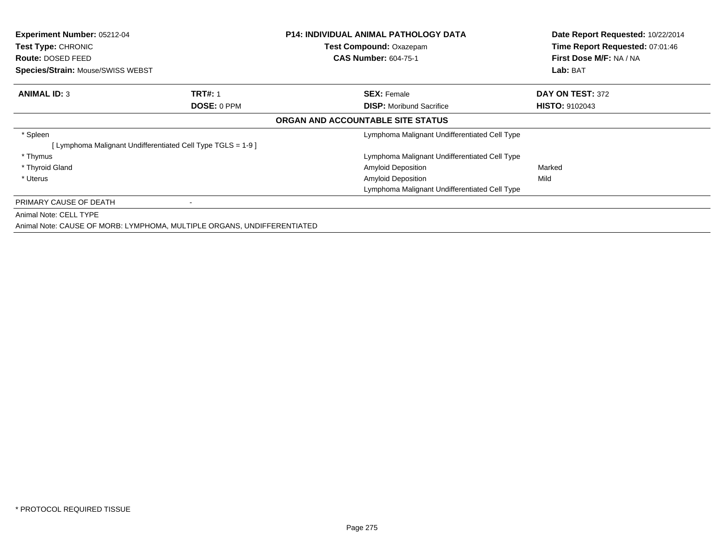| <b>Experiment Number: 05212-04</b><br><b>Test Type: CHRONIC</b><br>Route: DOSED FEED<br>Species/Strain: Mouse/SWISS WEBST |                                                                         | <b>P14: INDIVIDUAL ANIMAL PATHOLOGY DATA</b><br><b>Test Compound: Oxazepam</b><br><b>CAS Number: 604-75-1</b> | Date Report Requested: 10/22/2014<br>Time Report Requested: 07:01:46<br>First Dose M/F: NA / NA<br>Lab: BAT |
|---------------------------------------------------------------------------------------------------------------------------|-------------------------------------------------------------------------|---------------------------------------------------------------------------------------------------------------|-------------------------------------------------------------------------------------------------------------|
| <b>ANIMAL ID: 3</b>                                                                                                       | <b>TRT#: 1</b>                                                          | <b>SEX: Female</b>                                                                                            | DAY ON TEST: 372                                                                                            |
|                                                                                                                           | DOSE: 0 PPM                                                             | <b>DISP:</b> Moribund Sacrifice                                                                               | <b>HISTO: 9102043</b>                                                                                       |
|                                                                                                                           |                                                                         | ORGAN AND ACCOUNTABLE SITE STATUS                                                                             |                                                                                                             |
| * Spleen                                                                                                                  |                                                                         | Lymphoma Malignant Undifferentiated Cell Type                                                                 |                                                                                                             |
|                                                                                                                           | [Lymphoma Malignant Undifferentiated Cell Type TGLS = 1-9 ]             |                                                                                                               |                                                                                                             |
| * Thymus                                                                                                                  |                                                                         | Lymphoma Malignant Undifferentiated Cell Type                                                                 |                                                                                                             |
| * Thyroid Gland                                                                                                           |                                                                         | <b>Amyloid Deposition</b>                                                                                     | Marked                                                                                                      |
| * Uterus                                                                                                                  |                                                                         | <b>Amyloid Deposition</b>                                                                                     | Mild                                                                                                        |
|                                                                                                                           |                                                                         | Lymphoma Malignant Undifferentiated Cell Type                                                                 |                                                                                                             |
| PRIMARY CAUSE OF DEATH                                                                                                    |                                                                         |                                                                                                               |                                                                                                             |
| Animal Note: CELL TYPE                                                                                                    |                                                                         |                                                                                                               |                                                                                                             |
|                                                                                                                           | Animal Note: CAUSE OF MORB: LYMPHOMA, MULTIPLE ORGANS, UNDIFFERENTIATED |                                                                                                               |                                                                                                             |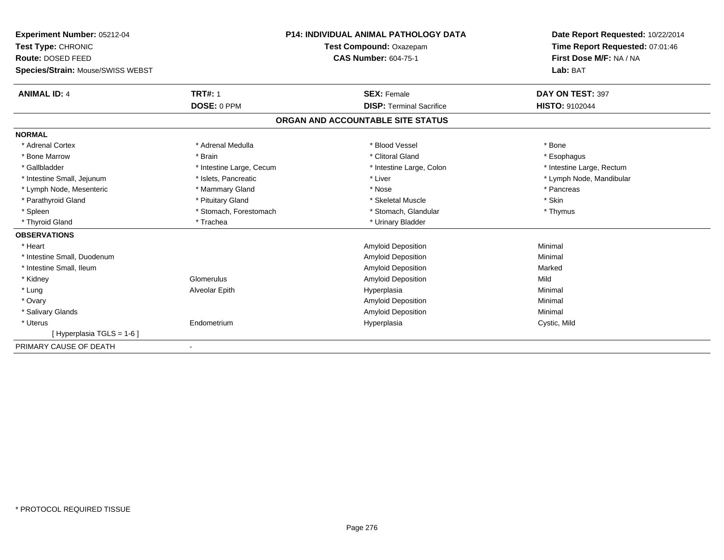| Experiment Number: 05212-04<br>Test Type: CHRONIC |                          | <b>P14: INDIVIDUAL ANIMAL PATHOLOGY DATA</b> | Date Report Requested: 10/22/2014<br>Time Report Requested: 07:01:46 |
|---------------------------------------------------|--------------------------|----------------------------------------------|----------------------------------------------------------------------|
|                                                   |                          | Test Compound: Oxazepam                      |                                                                      |
| Route: DOSED FEED                                 |                          | <b>CAS Number: 604-75-1</b>                  | First Dose M/F: NA / NA                                              |
| Species/Strain: Mouse/SWISS WEBST                 |                          |                                              | Lab: BAT                                                             |
| <b>ANIMAL ID: 4</b>                               | <b>TRT#: 1</b>           | <b>SEX: Female</b>                           | DAY ON TEST: 397                                                     |
|                                                   | DOSE: 0 PPM              | <b>DISP: Terminal Sacrifice</b>              | <b>HISTO: 9102044</b>                                                |
|                                                   |                          | ORGAN AND ACCOUNTABLE SITE STATUS            |                                                                      |
| <b>NORMAL</b>                                     |                          |                                              |                                                                      |
| * Adrenal Cortex                                  | * Adrenal Medulla        | * Blood Vessel                               | * Bone                                                               |
| * Bone Marrow                                     | * Brain                  | * Clitoral Gland                             | * Esophagus                                                          |
| * Gallbladder                                     | * Intestine Large, Cecum | * Intestine Large, Colon                     | * Intestine Large, Rectum                                            |
| * Intestine Small, Jejunum                        | * Islets, Pancreatic     | * Liver                                      | * Lymph Node, Mandibular                                             |
| * Lymph Node, Mesenteric                          | * Mammary Gland          | * Nose                                       | * Pancreas                                                           |
| * Parathyroid Gland                               | * Pituitary Gland        | * Skeletal Muscle                            | * Skin                                                               |
| * Spleen                                          | * Stomach, Forestomach   | * Stomach, Glandular                         | * Thymus                                                             |
| * Thyroid Gland                                   | * Trachea                | * Urinary Bladder                            |                                                                      |
| <b>OBSERVATIONS</b>                               |                          |                                              |                                                                      |
| * Heart                                           |                          | Amyloid Deposition                           | Minimal                                                              |
| * Intestine Small, Duodenum                       |                          | Amyloid Deposition                           | Minimal                                                              |
| * Intestine Small, Ileum                          |                          | Amyloid Deposition                           | Marked                                                               |
| * Kidney                                          | Glomerulus               | Amyloid Deposition                           | Mild                                                                 |
| * Lung                                            | Alveolar Epith           | Hyperplasia                                  | Minimal                                                              |
| * Ovary                                           |                          | Amyloid Deposition                           | Minimal                                                              |
| * Salivary Glands                                 |                          | Amyloid Deposition                           | Minimal                                                              |
| * Uterus                                          | Endometrium              | Hyperplasia                                  | Cystic, Mild                                                         |
| [Hyperplasia TGLS = 1-6]                          |                          |                                              |                                                                      |
| PRIMARY CAUSE OF DEATH                            |                          |                                              |                                                                      |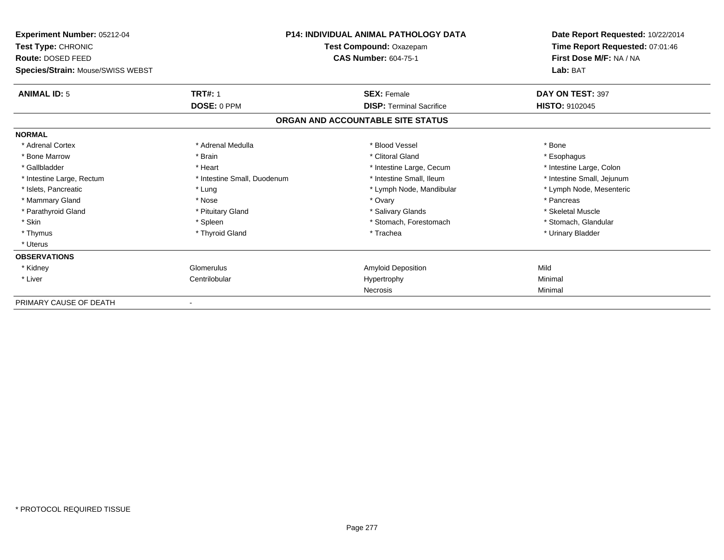| Experiment Number: 05212-04       |                             | <b>P14: INDIVIDUAL ANIMAL PATHOLOGY DATA</b> | Date Report Requested: 10/22/2014 |
|-----------------------------------|-----------------------------|----------------------------------------------|-----------------------------------|
| <b>Test Type: CHRONIC</b>         |                             | Test Compound: Oxazepam                      | Time Report Requested: 07:01:46   |
| <b>Route: DOSED FEED</b>          |                             | <b>CAS Number: 604-75-1</b>                  | First Dose M/F: NA / NA           |
| Species/Strain: Mouse/SWISS WEBST |                             |                                              | Lab: BAT                          |
| <b>ANIMAL ID: 5</b>               | <b>TRT#: 1</b>              | <b>SEX: Female</b>                           | DAY ON TEST: 397                  |
|                                   | DOSE: 0 PPM                 | <b>DISP: Terminal Sacrifice</b>              | <b>HISTO: 9102045</b>             |
|                                   |                             | ORGAN AND ACCOUNTABLE SITE STATUS            |                                   |
| <b>NORMAL</b>                     |                             |                                              |                                   |
| * Adrenal Cortex                  | * Adrenal Medulla           | * Blood Vessel                               | * Bone                            |
| * Bone Marrow                     | * Brain                     | * Clitoral Gland                             | * Esophagus                       |
| * Gallbladder                     | * Heart                     | * Intestine Large, Cecum                     | * Intestine Large, Colon          |
| * Intestine Large, Rectum         | * Intestine Small, Duodenum | * Intestine Small, Ileum                     | * Intestine Small, Jejunum        |
| * Islets, Pancreatic              | * Lung                      | * Lymph Node, Mandibular                     | * Lymph Node, Mesenteric          |
| * Mammary Gland                   | * Nose                      | * Ovary                                      | * Pancreas                        |
| * Parathyroid Gland               | * Pituitary Gland           | * Salivary Glands                            | * Skeletal Muscle                 |
| * Skin                            | * Spleen                    | * Stomach, Forestomach                       | * Stomach, Glandular              |
| * Thymus                          | * Thyroid Gland             | * Trachea                                    | * Urinary Bladder                 |
| * Uterus                          |                             |                                              |                                   |
| <b>OBSERVATIONS</b>               |                             |                                              |                                   |
| * Kidney                          | Glomerulus                  | Amyloid Deposition                           | Mild                              |
| * Liver                           | Centrilobular               | Hypertrophy                                  | Minimal                           |
|                                   |                             | Necrosis                                     | Minimal                           |
| PRIMARY CAUSE OF DEATH            |                             |                                              |                                   |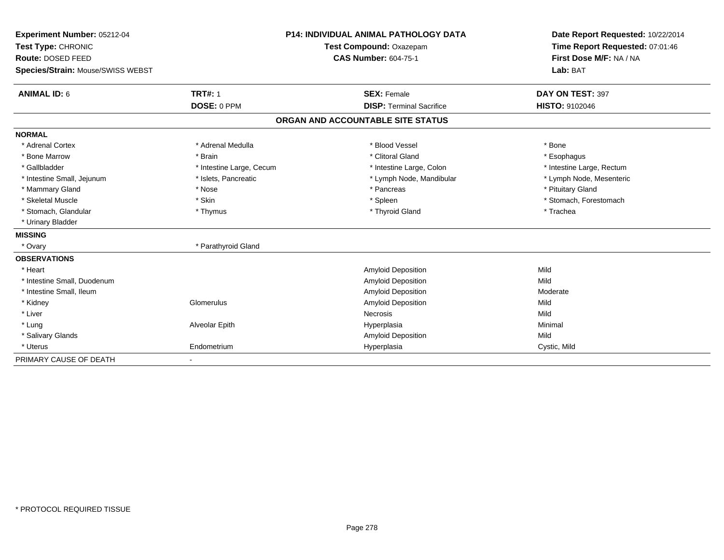| Experiment Number: 05212-04             |                          | <b>P14: INDIVIDUAL ANIMAL PATHOLOGY DATA</b> | Date Report Requested: 10/22/2014 |
|-----------------------------------------|--------------------------|----------------------------------------------|-----------------------------------|
| Test Type: CHRONIC<br>Route: DOSED FEED |                          | Test Compound: Oxazepam                      | Time Report Requested: 07:01:46   |
|                                         |                          | <b>CAS Number: 604-75-1</b>                  | First Dose M/F: NA / NA           |
| Species/Strain: Mouse/SWISS WEBST       |                          |                                              | Lab: BAT                          |
| <b>ANIMAL ID: 6</b>                     | <b>TRT#: 1</b>           | <b>SEX: Female</b>                           | DAY ON TEST: 397                  |
|                                         | DOSE: 0 PPM              | <b>DISP: Terminal Sacrifice</b>              | <b>HISTO: 9102046</b>             |
|                                         |                          | ORGAN AND ACCOUNTABLE SITE STATUS            |                                   |
|                                         |                          |                                              |                                   |
| <b>NORMAL</b>                           |                          |                                              |                                   |
| * Adrenal Cortex                        | * Adrenal Medulla        | * Blood Vessel                               | * Bone                            |
| * Bone Marrow                           | * Brain                  | * Clitoral Gland                             | * Esophagus                       |
| * Gallbladder                           | * Intestine Large, Cecum | * Intestine Large, Colon                     | * Intestine Large, Rectum         |
| * Intestine Small, Jejunum              | * Islets, Pancreatic     | * Lymph Node, Mandibular                     | * Lymph Node, Mesenteric          |
| * Mammary Gland                         | * Nose                   | * Pancreas                                   | * Pituitary Gland                 |
| * Skeletal Muscle                       | * Skin                   | * Spleen                                     | * Stomach, Forestomach            |
| * Stomach, Glandular                    | * Thymus                 | * Thyroid Gland                              | * Trachea                         |
| * Urinary Bladder                       |                          |                                              |                                   |
| <b>MISSING</b>                          |                          |                                              |                                   |
| * Ovary                                 | * Parathyroid Gland      |                                              |                                   |
| <b>OBSERVATIONS</b>                     |                          |                                              |                                   |
| * Heart                                 |                          | <b>Amyloid Deposition</b>                    | Mild                              |
| * Intestine Small, Duodenum             |                          | <b>Amyloid Deposition</b>                    | Mild                              |
| * Intestine Small, Ileum                |                          | <b>Amyloid Deposition</b>                    | Moderate                          |
| * Kidney                                | Glomerulus               | <b>Amyloid Deposition</b>                    | Mild                              |
| * Liver                                 |                          | <b>Necrosis</b>                              | Mild                              |
| * Lung                                  | Alveolar Epith           | Hyperplasia                                  | Minimal                           |
| * Salivary Glands                       |                          | Amyloid Deposition                           | Mild                              |
| * Uterus                                | Endometrium              | Hyperplasia                                  | Cystic, Mild                      |
| PRIMARY CAUSE OF DEATH                  |                          |                                              |                                   |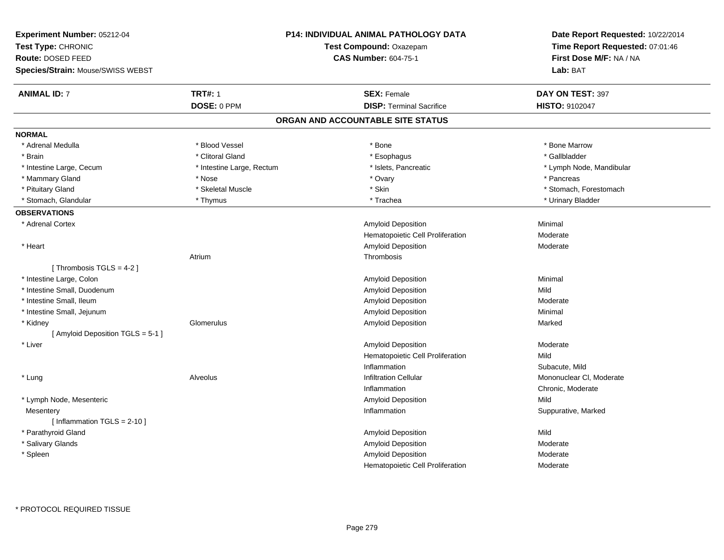| Experiment Number: 05212-04<br>Test Type: CHRONIC<br>Route: DOSED FEED<br>Species/Strain: Mouse/SWISS WEBST |                           | P14: INDIVIDUAL ANIMAL PATHOLOGY DATA<br>Test Compound: Oxazepam<br><b>CAS Number: 604-75-1</b> | Date Report Requested: 10/22/2014<br>Time Report Requested: 07:01:46<br>First Dose M/F: NA / NA<br>Lab: BAT |
|-------------------------------------------------------------------------------------------------------------|---------------------------|-------------------------------------------------------------------------------------------------|-------------------------------------------------------------------------------------------------------------|
| <b>ANIMAL ID: 7</b>                                                                                         | <b>TRT#: 1</b>            | <b>SEX: Female</b>                                                                              | DAY ON TEST: 397                                                                                            |
|                                                                                                             | DOSE: 0 PPM               | <b>DISP: Terminal Sacrifice</b>                                                                 | HISTO: 9102047                                                                                              |
|                                                                                                             |                           | ORGAN AND ACCOUNTABLE SITE STATUS                                                               |                                                                                                             |
| <b>NORMAL</b>                                                                                               |                           |                                                                                                 |                                                                                                             |
| * Adrenal Medulla                                                                                           | * Blood Vessel            | * Bone                                                                                          | * Bone Marrow                                                                                               |
| * Brain                                                                                                     | * Clitoral Gland          | * Esophagus                                                                                     | * Gallbladder                                                                                               |
| * Intestine Large, Cecum                                                                                    | * Intestine Large, Rectum | * Islets, Pancreatic                                                                            | * Lymph Node, Mandibular                                                                                    |
| * Mammary Gland                                                                                             | * Nose                    | * Ovary                                                                                         | * Pancreas                                                                                                  |
| * Pituitary Gland                                                                                           | * Skeletal Muscle         | * Skin                                                                                          | * Stomach, Forestomach                                                                                      |
| * Stomach, Glandular                                                                                        | * Thymus                  | * Trachea                                                                                       | * Urinary Bladder                                                                                           |
| <b>OBSERVATIONS</b>                                                                                         |                           |                                                                                                 |                                                                                                             |
| * Adrenal Cortex                                                                                            |                           | Amyloid Deposition                                                                              | Minimal                                                                                                     |
|                                                                                                             |                           | Hematopoietic Cell Proliferation                                                                | Moderate                                                                                                    |
| * Heart                                                                                                     |                           | <b>Amyloid Deposition</b>                                                                       | Moderate                                                                                                    |
|                                                                                                             | Atrium                    | Thrombosis                                                                                      |                                                                                                             |
| [Thrombosis TGLS = 4-2]                                                                                     |                           |                                                                                                 |                                                                                                             |
| * Intestine Large, Colon                                                                                    |                           | Amyloid Deposition                                                                              | Minimal                                                                                                     |
| * Intestine Small, Duodenum                                                                                 |                           | Amyloid Deposition                                                                              | Mild                                                                                                        |
| * Intestine Small, Ileum                                                                                    |                           | <b>Amyloid Deposition</b>                                                                       | Moderate                                                                                                    |
| * Intestine Small, Jejunum                                                                                  |                           | Amyloid Deposition                                                                              | Minimal                                                                                                     |
| * Kidney                                                                                                    | Glomerulus                | Amyloid Deposition                                                                              | Marked                                                                                                      |
| [ Amyloid Deposition TGLS = 5-1 ]                                                                           |                           |                                                                                                 |                                                                                                             |
| * Liver                                                                                                     |                           | Amyloid Deposition                                                                              | Moderate                                                                                                    |
|                                                                                                             |                           | Hematopoietic Cell Proliferation                                                                | Mild                                                                                                        |
|                                                                                                             |                           | Inflammation                                                                                    | Subacute, Mild                                                                                              |
| * Lung                                                                                                      | Alveolus                  | <b>Infiltration Cellular</b>                                                                    | Mononuclear CI, Moderate                                                                                    |
|                                                                                                             |                           | Inflammation                                                                                    | Chronic, Moderate                                                                                           |
| * Lymph Node, Mesenteric                                                                                    |                           | <b>Amyloid Deposition</b>                                                                       | Mild                                                                                                        |
| Mesentery                                                                                                   |                           | Inflammation                                                                                    | Suppurative, Marked                                                                                         |
| [Inflammation TGLS = $2-10$ ]                                                                               |                           |                                                                                                 |                                                                                                             |
| * Parathyroid Gland                                                                                         |                           | Amyloid Deposition                                                                              | Mild                                                                                                        |
| * Salivary Glands                                                                                           |                           | Amyloid Deposition                                                                              | Moderate                                                                                                    |
| * Spleen                                                                                                    |                           | Amyloid Deposition                                                                              | Moderate                                                                                                    |
|                                                                                                             |                           | Hematopoietic Cell Proliferation                                                                | Moderate                                                                                                    |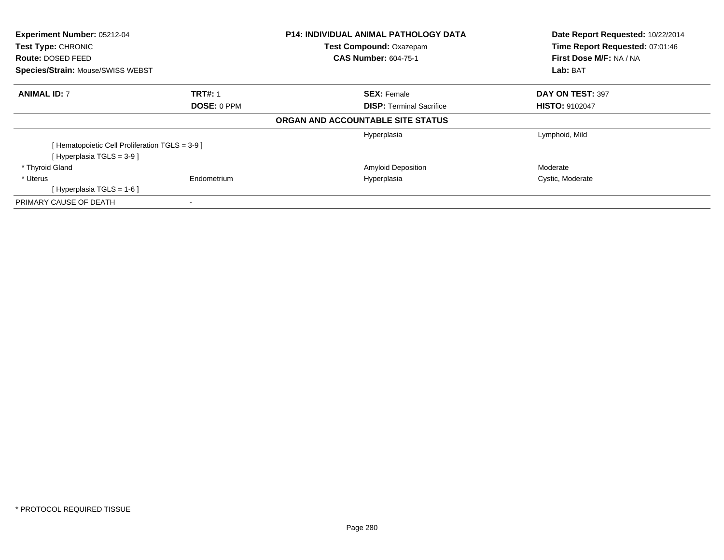| <b>Experiment Number: 05212-04</b>             |                    | <b>P14: INDIVIDUAL ANIMAL PATHOLOGY DATA</b> | Date Report Requested: 10/22/2014 |
|------------------------------------------------|--------------------|----------------------------------------------|-----------------------------------|
| Test Type: CHRONIC                             |                    | Test Compound: Oxazepam                      | Time Report Requested: 07:01:46   |
| Route: DOSED FEED                              |                    | <b>CAS Number: 604-75-1</b>                  | First Dose M/F: NA / NA           |
| <b>Species/Strain: Mouse/SWISS WEBST</b>       |                    |                                              | Lab: BAT                          |
| <b>ANIMAL ID: 7</b>                            | <b>TRT#: 1</b>     | <b>SEX: Female</b>                           | DAY ON TEST: 397                  |
|                                                | <b>DOSE: 0 PPM</b> | <b>DISP:</b> Terminal Sacrifice              | <b>HISTO: 9102047</b>             |
|                                                |                    | ORGAN AND ACCOUNTABLE SITE STATUS            |                                   |
|                                                |                    | Hyperplasia                                  | Lymphoid, Mild                    |
| [Hematopoietic Cell Proliferation TGLS = 3-9 ] |                    |                                              |                                   |
| [Hyperplasia TGLS = $3-9$ ]                    |                    |                                              |                                   |
| * Thyroid Gland                                |                    | <b>Amyloid Deposition</b>                    | Moderate                          |
| * Uterus                                       | Endometrium        | Hyperplasia                                  | Cystic, Moderate                  |
| [Hyperplasia TGLS = $1-6$ ]                    |                    |                                              |                                   |
| PRIMARY CAUSE OF DEATH                         |                    |                                              |                                   |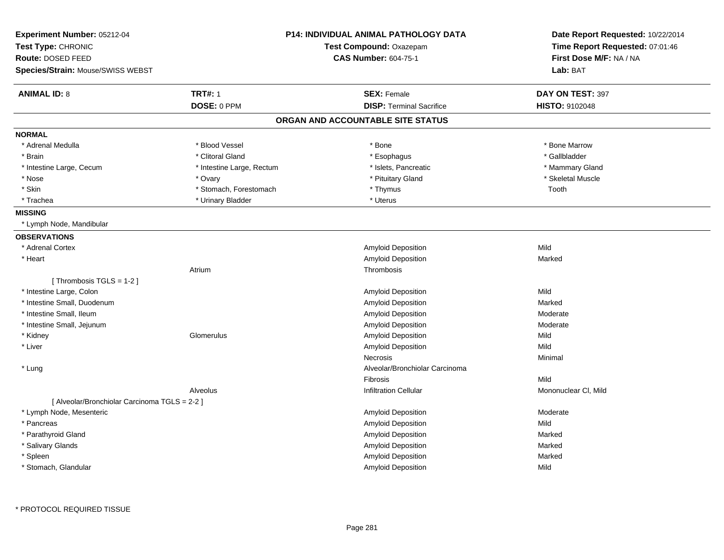| Experiment Number: 05212-04<br>Test Type: CHRONIC |                           | <b>P14: INDIVIDUAL ANIMAL PATHOLOGY DATA</b><br>Test Compound: Oxazepam | Date Report Requested: 10/22/2014<br>Time Report Requested: 07:01:46 |
|---------------------------------------------------|---------------------------|-------------------------------------------------------------------------|----------------------------------------------------------------------|
| Route: DOSED FEED                                 |                           | <b>CAS Number: 604-75-1</b>                                             | First Dose M/F: NA / NA                                              |
| Species/Strain: Mouse/SWISS WEBST                 |                           |                                                                         | Lab: BAT                                                             |
| <b>ANIMAL ID: 8</b>                               | <b>TRT#: 1</b>            | <b>SEX: Female</b>                                                      | DAY ON TEST: 397                                                     |
|                                                   | DOSE: 0 PPM               | <b>DISP: Terminal Sacrifice</b>                                         | <b>HISTO: 9102048</b>                                                |
|                                                   |                           | ORGAN AND ACCOUNTABLE SITE STATUS                                       |                                                                      |
| <b>NORMAL</b>                                     |                           |                                                                         |                                                                      |
| * Adrenal Medulla                                 | * Blood Vessel            | * Bone                                                                  | * Bone Marrow                                                        |
| * Brain                                           | * Clitoral Gland          | * Esophagus                                                             | * Gallbladder                                                        |
| * Intestine Large, Cecum                          | * Intestine Large, Rectum | * Islets. Pancreatic                                                    | * Mammary Gland                                                      |
| * Nose                                            | * Ovary                   | * Pituitary Gland                                                       | * Skeletal Muscle                                                    |
| * Skin                                            | * Stomach, Forestomach    | * Thymus                                                                | Tooth                                                                |
| * Trachea                                         | * Urinary Bladder         | * Uterus                                                                |                                                                      |
| <b>MISSING</b>                                    |                           |                                                                         |                                                                      |
| * Lymph Node, Mandibular                          |                           |                                                                         |                                                                      |
| <b>OBSERVATIONS</b>                               |                           |                                                                         |                                                                      |
| * Adrenal Cortex                                  |                           | Amyloid Deposition                                                      | Mild                                                                 |
| * Heart                                           |                           | Amyloid Deposition                                                      | Marked                                                               |
|                                                   | Atrium                    | Thrombosis                                                              |                                                                      |
| [Thrombosis TGLS = 1-2]                           |                           |                                                                         |                                                                      |
| * Intestine Large, Colon                          |                           | Amyloid Deposition                                                      | Mild                                                                 |
| * Intestine Small, Duodenum                       |                           | Amyloid Deposition                                                      | Marked                                                               |
| * Intestine Small, Ileum                          |                           | Amyloid Deposition                                                      | Moderate                                                             |
| * Intestine Small, Jejunum                        |                           | Amyloid Deposition                                                      | Moderate                                                             |
| * Kidney                                          | Glomerulus                | Amyloid Deposition                                                      | Mild                                                                 |
| * Liver                                           |                           | Amyloid Deposition                                                      | Mild                                                                 |
|                                                   |                           | Necrosis                                                                | Minimal                                                              |
| * Lung                                            |                           | Alveolar/Bronchiolar Carcinoma                                          |                                                                      |
|                                                   |                           | Fibrosis                                                                | Mild                                                                 |
|                                                   | Alveolus                  | <b>Infiltration Cellular</b>                                            | Mononuclear CI, Mild                                                 |
| [ Alveolar/Bronchiolar Carcinoma TGLS = 2-2 ]     |                           |                                                                         |                                                                      |
| * Lymph Node, Mesenteric                          |                           | Amyloid Deposition                                                      | Moderate                                                             |
| * Pancreas                                        |                           | Amyloid Deposition                                                      | Mild                                                                 |
| * Parathyroid Gland                               |                           | <b>Amyloid Deposition</b>                                               | Marked                                                               |
| * Salivary Glands                                 |                           | Amyloid Deposition                                                      | Marked                                                               |
| * Spleen                                          |                           | Amyloid Deposition                                                      | Marked                                                               |
| * Stomach, Glandular                              |                           | <b>Amyloid Deposition</b>                                               | Mild                                                                 |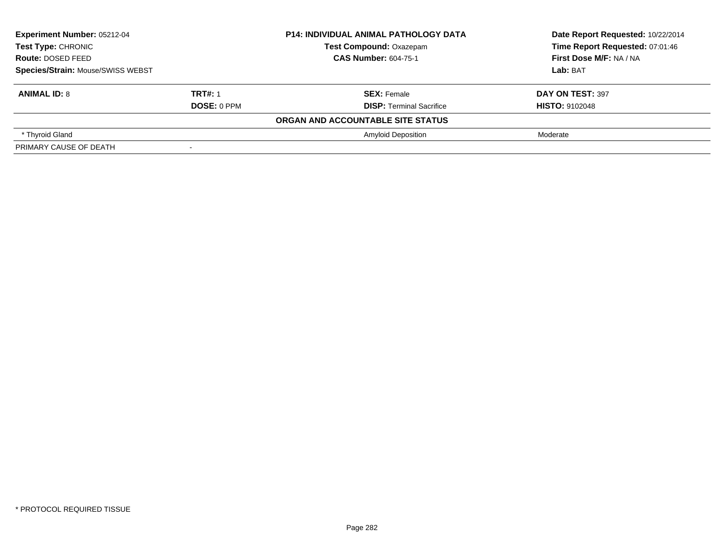| Experiment Number: 05212-04<br><b>Test Type: CHRONIC</b><br>Route: DOSED FEED<br><b>Species/Strain: Mouse/SWISS WEBST</b> |                    | <b>P14: INDIVIDUAL ANIMAL PATHOLOGY DATA</b> | Date Report Requested: 10/22/2014 |
|---------------------------------------------------------------------------------------------------------------------------|--------------------|----------------------------------------------|-----------------------------------|
|                                                                                                                           |                    | <b>Test Compound: Oxazepam</b>               | Time Report Requested: 07:01:46   |
|                                                                                                                           |                    | <b>CAS Number: 604-75-1</b>                  | First Dose M/F: NA / NA           |
|                                                                                                                           |                    |                                              | Lab: BAT                          |
| <b>ANIMAL ID: 8</b>                                                                                                       | <b>TRT#: 1</b>     | <b>SEX: Female</b>                           | DAY ON TEST: 397                  |
|                                                                                                                           | <b>DOSE: 0 PPM</b> | <b>DISP: Terminal Sacrifice</b>              | <b>HISTO: 9102048</b>             |
|                                                                                                                           |                    | ORGAN AND ACCOUNTABLE SITE STATUS            |                                   |
| * Thyroid Gland                                                                                                           |                    | <b>Amyloid Deposition</b>                    | Moderate                          |
| PRIMARY CAUSE OF DEATH                                                                                                    |                    |                                              |                                   |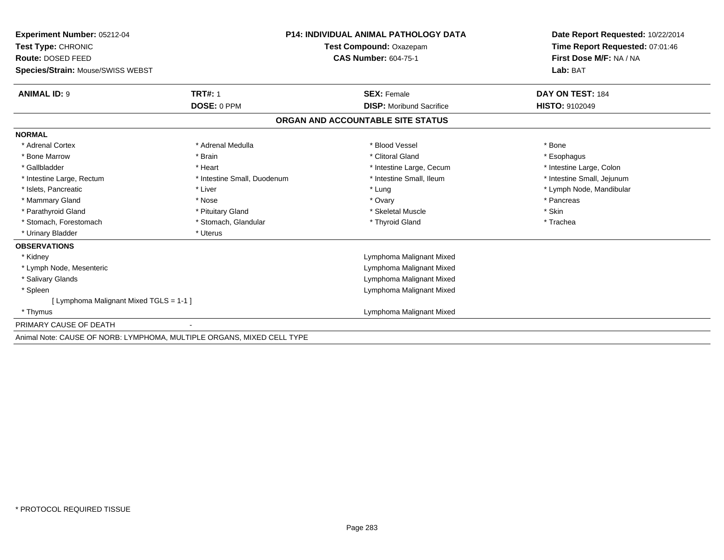| Experiment Number: 05212-04                                            | <b>P14: INDIVIDUAL ANIMAL PATHOLOGY DATA</b> |                                   | Date Report Requested: 10/22/2014<br>Time Report Requested: 07:01:46 |
|------------------------------------------------------------------------|----------------------------------------------|-----------------------------------|----------------------------------------------------------------------|
| Test Type: CHRONIC                                                     |                                              | Test Compound: Oxazepam           |                                                                      |
| Route: DOSED FEED                                                      |                                              | <b>CAS Number: 604-75-1</b>       | First Dose M/F: NA / NA<br>Lab: BAT                                  |
| Species/Strain: Mouse/SWISS WEBST                                      |                                              |                                   |                                                                      |
| <b>ANIMAL ID: 9</b>                                                    | <b>TRT#: 1</b>                               | <b>SEX: Female</b>                | DAY ON TEST: 184                                                     |
|                                                                        | DOSE: 0 PPM                                  | <b>DISP:</b> Moribund Sacrifice   | <b>HISTO: 9102049</b>                                                |
|                                                                        |                                              | ORGAN AND ACCOUNTABLE SITE STATUS |                                                                      |
| <b>NORMAL</b>                                                          |                                              |                                   |                                                                      |
| * Adrenal Cortex                                                       | * Adrenal Medulla                            | * Blood Vessel                    | * Bone                                                               |
| * Bone Marrow                                                          | * Brain                                      | * Clitoral Gland                  | * Esophagus                                                          |
| * Gallbladder                                                          | * Heart                                      | * Intestine Large, Cecum          | * Intestine Large, Colon                                             |
| * Intestine Large, Rectum                                              | * Intestine Small, Duodenum                  | * Intestine Small, Ileum          | * Intestine Small, Jejunum                                           |
| * Islets, Pancreatic                                                   | * Liver                                      | * Lung                            | * Lymph Node, Mandibular                                             |
| * Mammary Gland                                                        | * Nose                                       | * Ovary                           | * Pancreas                                                           |
| * Parathyroid Gland                                                    | * Pituitary Gland                            | * Skeletal Muscle                 | * Skin                                                               |
| * Stomach, Forestomach                                                 | * Stomach, Glandular                         | * Thyroid Gland                   | * Trachea                                                            |
| * Urinary Bladder                                                      | * Uterus                                     |                                   |                                                                      |
| <b>OBSERVATIONS</b>                                                    |                                              |                                   |                                                                      |
| * Kidney                                                               |                                              | Lymphoma Malignant Mixed          |                                                                      |
| * Lymph Node, Mesenteric                                               |                                              | Lymphoma Malignant Mixed          |                                                                      |
| * Salivary Glands                                                      |                                              | Lymphoma Malignant Mixed          |                                                                      |
| * Spleen                                                               |                                              | Lymphoma Malignant Mixed          |                                                                      |
| [ Lymphoma Malignant Mixed TGLS = 1-1 ]                                |                                              |                                   |                                                                      |
| * Thymus                                                               |                                              | Lymphoma Malignant Mixed          |                                                                      |
| PRIMARY CAUSE OF DEATH                                                 |                                              |                                   |                                                                      |
| Animal Note: CAUSE OF NORB: LYMPHOMA, MULTIPLE ORGANS, MIXED CELL TYPE |                                              |                                   |                                                                      |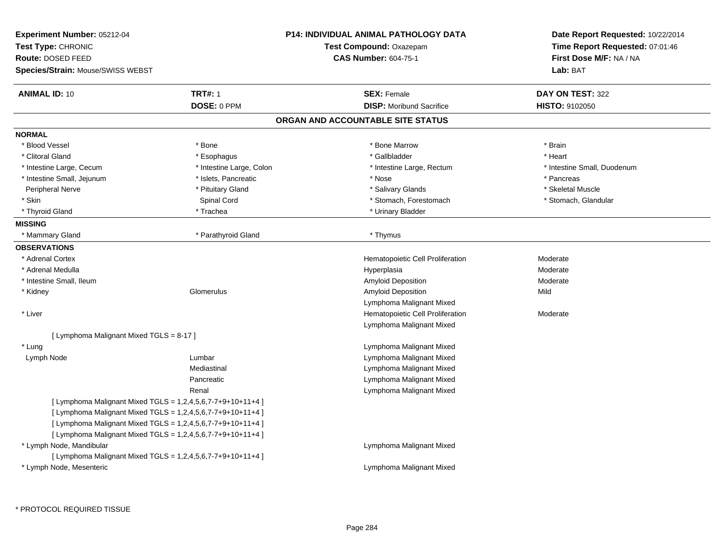| Experiment Number: 05212-04              |                                                             | <b>P14: INDIVIDUAL ANIMAL PATHOLOGY DATA</b> | Date Report Requested: 10/22/2014 |
|------------------------------------------|-------------------------------------------------------------|----------------------------------------------|-----------------------------------|
| Test Type: CHRONIC                       |                                                             | Test Compound: Oxazepam                      | Time Report Requested: 07:01:46   |
| Route: DOSED FEED                        |                                                             | <b>CAS Number: 604-75-1</b>                  | First Dose M/F: NA / NA           |
| <b>Species/Strain: Mouse/SWISS WEBST</b> |                                                             |                                              | Lab: BAT                          |
| <b>ANIMAL ID: 10</b>                     | <b>TRT#: 1</b>                                              | <b>SEX: Female</b>                           | DAY ON TEST: 322                  |
|                                          | DOSE: 0 PPM                                                 | <b>DISP:</b> Moribund Sacrifice              | <b>HISTO: 9102050</b>             |
|                                          |                                                             | ORGAN AND ACCOUNTABLE SITE STATUS            |                                   |
| <b>NORMAL</b>                            |                                                             |                                              |                                   |
| * Blood Vessel                           | * Bone                                                      | * Bone Marrow                                | * Brain                           |
| * Clitoral Gland                         | * Esophagus                                                 | * Gallbladder                                | * Heart                           |
| * Intestine Large, Cecum                 | * Intestine Large, Colon                                    | * Intestine Large, Rectum                    | * Intestine Small, Duodenum       |
| * Intestine Small, Jejunum               | * Islets, Pancreatic                                        | * Nose                                       | * Pancreas                        |
| Peripheral Nerve                         | * Pituitary Gland                                           | * Salivary Glands                            | * Skeletal Muscle                 |
| * Skin                                   | Spinal Cord                                                 | * Stomach, Forestomach                       | * Stomach, Glandular              |
| * Thyroid Gland                          | * Trachea                                                   | * Urinary Bladder                            |                                   |
| <b>MISSING</b>                           |                                                             |                                              |                                   |
| * Mammary Gland                          | * Parathyroid Gland                                         | * Thymus                                     |                                   |
| <b>OBSERVATIONS</b>                      |                                                             |                                              |                                   |
| * Adrenal Cortex                         |                                                             | Hematopoietic Cell Proliferation             | Moderate                          |
| * Adrenal Medulla                        |                                                             | Hyperplasia                                  | Moderate                          |
| * Intestine Small, Ileum                 |                                                             | Amyloid Deposition                           | Moderate                          |
| * Kidney                                 | Glomerulus                                                  | Amyloid Deposition                           | Mild                              |
|                                          |                                                             | Lymphoma Malignant Mixed                     |                                   |
| * Liver                                  |                                                             | Hematopoietic Cell Proliferation             | Moderate                          |
|                                          |                                                             | Lymphoma Malignant Mixed                     |                                   |
| [ Lymphoma Malignant Mixed TGLS = 8-17 ] |                                                             |                                              |                                   |
| * Lung                                   |                                                             | Lymphoma Malignant Mixed                     |                                   |
| Lymph Node                               | Lumbar                                                      | Lymphoma Malignant Mixed                     |                                   |
|                                          | Mediastinal                                                 | Lymphoma Malignant Mixed                     |                                   |
|                                          | Pancreatic                                                  | Lymphoma Malignant Mixed                     |                                   |
|                                          | Renal                                                       | Lymphoma Malignant Mixed                     |                                   |
|                                          | [ Lymphoma Malignant Mixed TGLS = 1,2,4,5,6,7-7+9+10+11+4 ] |                                              |                                   |
|                                          | [ Lymphoma Malignant Mixed TGLS = 1,2,4,5,6,7-7+9+10+11+4 ] |                                              |                                   |
|                                          | [ Lymphoma Malignant Mixed TGLS = 1,2,4,5,6,7-7+9+10+11+4 ] |                                              |                                   |
|                                          | [ Lymphoma Malignant Mixed TGLS = 1,2,4,5,6,7-7+9+10+11+4 ] |                                              |                                   |
| * Lymph Node, Mandibular                 |                                                             | Lymphoma Malignant Mixed                     |                                   |
|                                          | [ Lymphoma Malignant Mixed TGLS = 1,2,4,5,6,7-7+9+10+11+4 ] |                                              |                                   |
| * Lymph Node, Mesenteric                 |                                                             | Lymphoma Malignant Mixed                     |                                   |
|                                          |                                                             |                                              |                                   |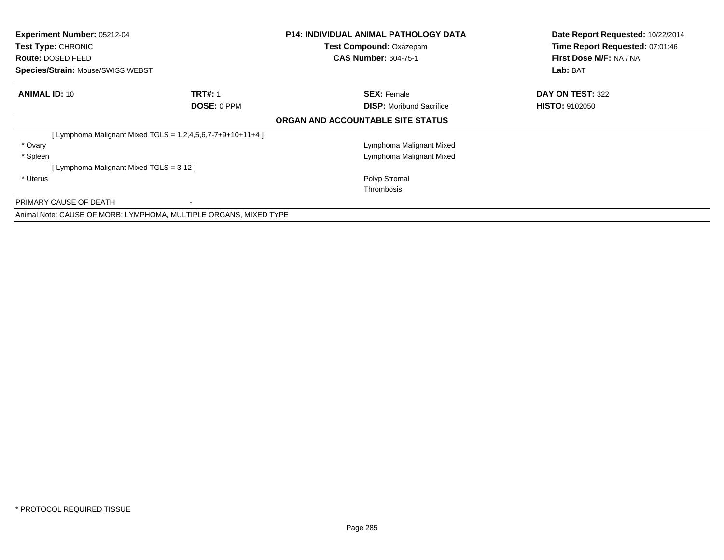| Experiment Number: 05212-04<br>Test Type: CHRONIC<br><b>Route: DOSED FEED</b><br>Species/Strain: Mouse/SWISS WEBST |                                                               | <b>P14: INDIVIDUAL ANIMAL PATHOLOGY DATA</b><br>Test Compound: Oxazepam<br><b>CAS Number: 604-75-1</b> | Date Report Requested: 10/22/2014<br>Time Report Requested: 07:01:46<br>First Dose M/F: NA / NA<br>Lab: BAT |
|--------------------------------------------------------------------------------------------------------------------|---------------------------------------------------------------|--------------------------------------------------------------------------------------------------------|-------------------------------------------------------------------------------------------------------------|
| <b>ANIMAL ID: 10</b>                                                                                               | <b>TRT#: 1</b>                                                | <b>SEX: Female</b>                                                                                     | DAY ON TEST: 322                                                                                            |
|                                                                                                                    | <b>DOSE: 0 PPM</b>                                            | <b>DISP:</b> Moribund Sacrifice                                                                        | <b>HISTO: 9102050</b>                                                                                       |
|                                                                                                                    |                                                               | ORGAN AND ACCOUNTABLE SITE STATUS                                                                      |                                                                                                             |
|                                                                                                                    | [ Lymphoma Malignant Mixed TGLS = $1,2,4,5,6,7-7+9+10+11+4$ ] |                                                                                                        |                                                                                                             |
| * Ovary                                                                                                            |                                                               | Lymphoma Malignant Mixed                                                                               |                                                                                                             |
| * Spleen                                                                                                           |                                                               | Lymphoma Malignant Mixed                                                                               |                                                                                                             |
| [ Lymphoma Malignant Mixed TGLS = 3-12 ]                                                                           |                                                               |                                                                                                        |                                                                                                             |
| * Uterus                                                                                                           |                                                               | Polyp Stromal                                                                                          |                                                                                                             |
|                                                                                                                    |                                                               | Thrombosis                                                                                             |                                                                                                             |
| PRIMARY CAUSE OF DEATH                                                                                             |                                                               |                                                                                                        |                                                                                                             |
| Animal Note: CAUSE OF MORB: LYMPHOMA, MULTIPLE ORGANS, MIXED TYPE                                                  |                                                               |                                                                                                        |                                                                                                             |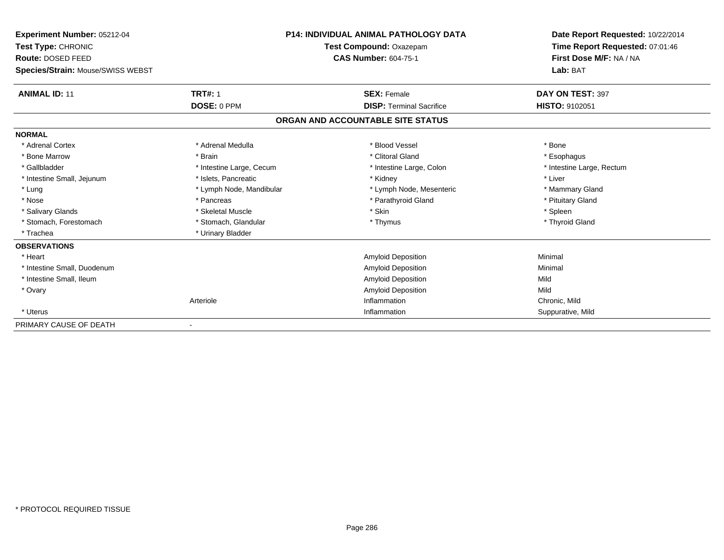| <b>Experiment Number: 05212-04</b><br>Test Type: CHRONIC<br><b>Route: DOSED FEED</b><br>Species/Strain: Mouse/SWISS WEBST |                          | <b>P14: INDIVIDUAL ANIMAL PATHOLOGY DATA</b><br>Test Compound: Oxazepam<br><b>CAS Number: 604-75-1</b> | Date Report Requested: 10/22/2014<br>Time Report Requested: 07:01:46<br>First Dose M/F: NA / NA<br>Lab: BAT |
|---------------------------------------------------------------------------------------------------------------------------|--------------------------|--------------------------------------------------------------------------------------------------------|-------------------------------------------------------------------------------------------------------------|
|                                                                                                                           |                          |                                                                                                        |                                                                                                             |
| <b>ANIMAL ID: 11</b>                                                                                                      | <b>TRT#: 1</b>           | <b>SEX: Female</b>                                                                                     | DAY ON TEST: 397                                                                                            |
|                                                                                                                           | DOSE: 0 PPM              | <b>DISP: Terminal Sacrifice</b>                                                                        | HISTO: 9102051                                                                                              |
|                                                                                                                           |                          | ORGAN AND ACCOUNTABLE SITE STATUS                                                                      |                                                                                                             |
| <b>NORMAL</b>                                                                                                             |                          |                                                                                                        |                                                                                                             |
| * Adrenal Cortex                                                                                                          | * Adrenal Medulla        | * Blood Vessel                                                                                         | * Bone                                                                                                      |
| * Bone Marrow                                                                                                             | * Brain                  | * Clitoral Gland                                                                                       | * Esophagus                                                                                                 |
| * Gallbladder                                                                                                             | * Intestine Large, Cecum | * Intestine Large, Colon                                                                               | * Intestine Large, Rectum                                                                                   |
| * Intestine Small, Jejunum                                                                                                | * Islets, Pancreatic     | * Kidney                                                                                               | * Liver                                                                                                     |
| * Lung                                                                                                                    | * Lymph Node, Mandibular | * Lymph Node, Mesenteric                                                                               | * Mammary Gland                                                                                             |
| * Nose                                                                                                                    | * Pancreas               | * Parathyroid Gland                                                                                    | * Pituitary Gland                                                                                           |
| * Salivary Glands                                                                                                         | * Skeletal Muscle        | * Skin                                                                                                 | * Spleen                                                                                                    |
| * Stomach, Forestomach                                                                                                    | * Stomach, Glandular     | * Thymus                                                                                               | * Thyroid Gland                                                                                             |
| * Trachea                                                                                                                 | * Urinary Bladder        |                                                                                                        |                                                                                                             |
| <b>OBSERVATIONS</b>                                                                                                       |                          |                                                                                                        |                                                                                                             |
| * Heart                                                                                                                   |                          | <b>Amyloid Deposition</b>                                                                              | Minimal                                                                                                     |
| * Intestine Small, Duodenum                                                                                               |                          | <b>Amyloid Deposition</b>                                                                              | Minimal                                                                                                     |
| * Intestine Small, Ileum                                                                                                  |                          | <b>Amyloid Deposition</b>                                                                              | Mild                                                                                                        |
| * Ovary                                                                                                                   |                          | <b>Amyloid Deposition</b>                                                                              | Mild                                                                                                        |
|                                                                                                                           | Arteriole                | Inflammation                                                                                           | Chronic, Mild                                                                                               |
| * Uterus                                                                                                                  |                          | Inflammation                                                                                           | Suppurative, Mild                                                                                           |
| PRIMARY CAUSE OF DEATH                                                                                                    |                          |                                                                                                        |                                                                                                             |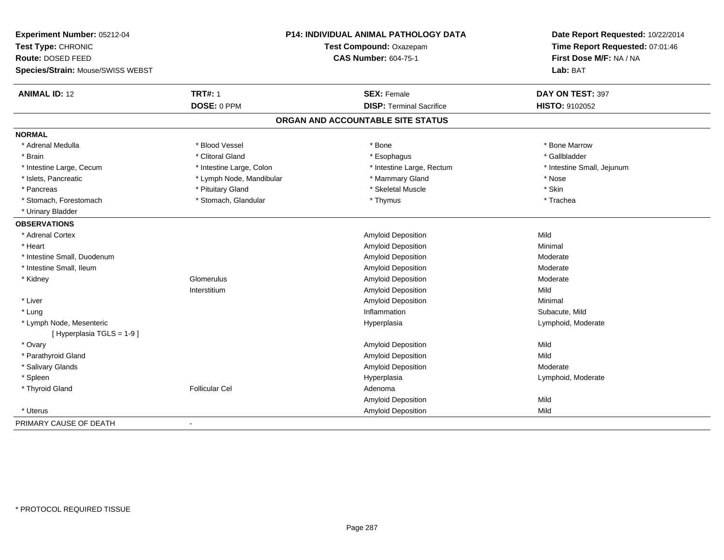| Experiment Number: 05212-04                          |                          | P14: INDIVIDUAL ANIMAL PATHOLOGY DATA | Date Report Requested: 10/22/2014 |
|------------------------------------------------------|--------------------------|---------------------------------------|-----------------------------------|
| Test Type: CHRONIC                                   | Test Compound: Oxazepam  |                                       | Time Report Requested: 07:01:46   |
| Route: DOSED FEED                                    |                          | <b>CAS Number: 604-75-1</b>           | First Dose M/F: NA / NA           |
| Species/Strain: Mouse/SWISS WEBST                    |                          |                                       | Lab: BAT                          |
| <b>ANIMAL ID: 12</b>                                 | <b>TRT#: 1</b>           | <b>SEX: Female</b>                    | DAY ON TEST: 397                  |
|                                                      | DOSE: 0 PPM              | <b>DISP: Terminal Sacrifice</b>       | <b>HISTO: 9102052</b>             |
|                                                      |                          | ORGAN AND ACCOUNTABLE SITE STATUS     |                                   |
| <b>NORMAL</b>                                        |                          |                                       |                                   |
| * Adrenal Medulla                                    | * Blood Vessel           | * Bone                                | * Bone Marrow                     |
| * Brain                                              | * Clitoral Gland         | * Esophagus                           | * Gallbladder                     |
| * Intestine Large, Cecum                             | * Intestine Large, Colon | * Intestine Large, Rectum             | * Intestine Small, Jejunum        |
| * Islets, Pancreatic                                 | * Lymph Node, Mandibular | * Mammary Gland                       | * Nose                            |
| * Pancreas                                           | * Pituitary Gland        | * Skeletal Muscle                     | * Skin                            |
| * Stomach, Forestomach                               | * Stomach, Glandular     | * Thymus                              | * Trachea                         |
| * Urinary Bladder                                    |                          |                                       |                                   |
| <b>OBSERVATIONS</b>                                  |                          |                                       |                                   |
| * Adrenal Cortex                                     |                          | Amyloid Deposition                    | Mild                              |
| * Heart                                              |                          | Amyloid Deposition                    | Minimal                           |
| * Intestine Small, Duodenum                          |                          | Amyloid Deposition                    | Moderate                          |
| * Intestine Small, Ileum                             |                          | Amyloid Deposition                    | Moderate                          |
| * Kidney                                             | Glomerulus               | Amyloid Deposition                    | Moderate                          |
|                                                      | Interstitium             | Amyloid Deposition                    | Mild                              |
| * Liver                                              |                          | Amyloid Deposition                    | Minimal                           |
| * Lung                                               |                          | Inflammation                          | Subacute, Mild                    |
| * Lymph Node, Mesenteric<br>[Hyperplasia TGLS = 1-9] |                          | Hyperplasia                           | Lymphoid, Moderate                |
| * Ovary                                              |                          | Amyloid Deposition                    | Mild                              |
| * Parathyroid Gland                                  |                          | <b>Amyloid Deposition</b>             | Mild                              |
| * Salivary Glands                                    |                          | <b>Amyloid Deposition</b>             | Moderate                          |
| * Spleen                                             |                          | Hyperplasia                           | Lymphoid, Moderate                |
| * Thyroid Gland                                      | <b>Follicular Cel</b>    | Adenoma                               |                                   |
|                                                      |                          | Amyloid Deposition                    | Mild                              |
| * Uterus                                             |                          | Amyloid Deposition                    | Mild                              |
| PRIMARY CAUSE OF DEATH                               | $\blacksquare$           |                                       |                                   |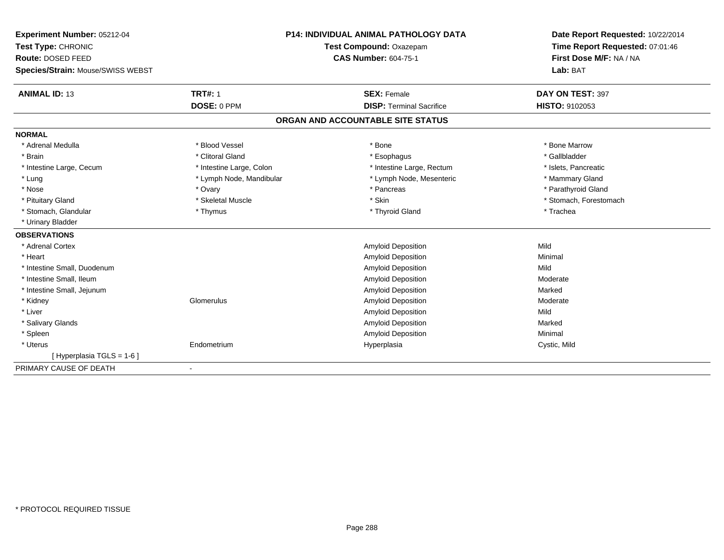| Experiment Number: 05212-04       | <b>P14: INDIVIDUAL ANIMAL PATHOLOGY DATA</b> |                                   | Date Report Requested: 10/22/2014 |
|-----------------------------------|----------------------------------------------|-----------------------------------|-----------------------------------|
| Test Type: CHRONIC                |                                              | Test Compound: Oxazepam           | Time Report Requested: 07:01:46   |
| Route: DOSED FEED                 |                                              | <b>CAS Number: 604-75-1</b>       | First Dose M/F: NA / NA           |
| Species/Strain: Mouse/SWISS WEBST |                                              |                                   | Lab: BAT                          |
| <b>ANIMAL ID: 13</b>              | <b>TRT#: 1</b>                               | <b>SEX: Female</b>                | DAY ON TEST: 397                  |
|                                   | DOSE: 0 PPM                                  | <b>DISP: Terminal Sacrifice</b>   | <b>HISTO: 9102053</b>             |
|                                   |                                              | ORGAN AND ACCOUNTABLE SITE STATUS |                                   |
| <b>NORMAL</b>                     |                                              |                                   |                                   |
| * Adrenal Medulla                 | * Blood Vessel                               | * Bone                            | * Bone Marrow                     |
| * Brain                           | * Clitoral Gland                             | * Esophagus                       | * Gallbladder                     |
| * Intestine Large, Cecum          | * Intestine Large, Colon                     | * Intestine Large, Rectum         | * Islets, Pancreatic              |
| * Lung                            | * Lymph Node, Mandibular                     | * Lymph Node, Mesenteric          | * Mammary Gland                   |
| * Nose                            | * Ovary                                      | * Pancreas                        | * Parathyroid Gland               |
| * Pituitary Gland                 | * Skeletal Muscle                            | * Skin                            | * Stomach, Forestomach            |
| * Stomach, Glandular              | * Thymus                                     | * Thyroid Gland                   | * Trachea                         |
| * Urinary Bladder                 |                                              |                                   |                                   |
| <b>OBSERVATIONS</b>               |                                              |                                   |                                   |
| * Adrenal Cortex                  |                                              | Amyloid Deposition                | Mild                              |
| * Heart                           |                                              | Amyloid Deposition                | Minimal                           |
| * Intestine Small, Duodenum       |                                              | Amyloid Deposition                | Mild                              |
| * Intestine Small, Ileum          |                                              | Amyloid Deposition                | Moderate                          |
| * Intestine Small, Jejunum        |                                              | Amyloid Deposition                | Marked                            |
| * Kidney                          | Glomerulus                                   | Amyloid Deposition                | Moderate                          |
| * Liver                           |                                              | <b>Amyloid Deposition</b>         | Mild                              |
| * Salivary Glands                 |                                              | Amyloid Deposition                | Marked                            |
| * Spleen                          |                                              | <b>Amyloid Deposition</b>         | Minimal                           |
| * Uterus                          | Endometrium                                  | Hyperplasia                       | Cystic, Mild                      |
| [Hyperplasia TGLS = 1-6]          |                                              |                                   |                                   |
| PRIMARY CAUSE OF DEATH            |                                              |                                   |                                   |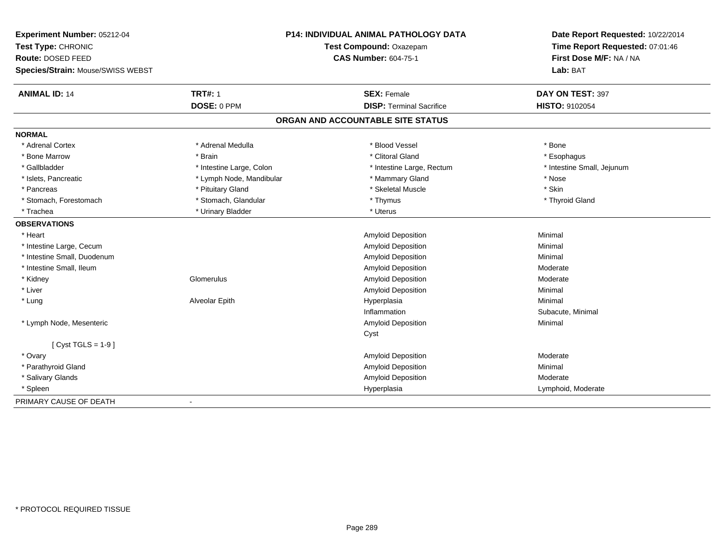| Experiment Number: 05212-04       |                          | P14: INDIVIDUAL ANIMAL PATHOLOGY DATA | Date Report Requested: 10/22/2014 |  |
|-----------------------------------|--------------------------|---------------------------------------|-----------------------------------|--|
| Test Type: CHRONIC                | Test Compound: Oxazepam  |                                       | Time Report Requested: 07:01:46   |  |
| Route: DOSED FEED                 |                          | <b>CAS Number: 604-75-1</b>           | First Dose M/F: NA / NA           |  |
| Species/Strain: Mouse/SWISS WEBST |                          |                                       | Lab: BAT                          |  |
| <b>ANIMAL ID: 14</b>              | <b>TRT#: 1</b>           | <b>SEX: Female</b>                    | DAY ON TEST: 397                  |  |
|                                   | DOSE: 0 PPM              | <b>DISP: Terminal Sacrifice</b>       | HISTO: 9102054                    |  |
|                                   |                          | ORGAN AND ACCOUNTABLE SITE STATUS     |                                   |  |
| <b>NORMAL</b>                     |                          |                                       |                                   |  |
| * Adrenal Cortex                  | * Adrenal Medulla        | * Blood Vessel                        | * Bone                            |  |
| * Bone Marrow                     | * Brain                  | * Clitoral Gland                      | * Esophagus                       |  |
| * Gallbladder                     | * Intestine Large, Colon | * Intestine Large, Rectum             | * Intestine Small, Jejunum        |  |
| * Islets, Pancreatic              | * Lymph Node, Mandibular | * Mammary Gland                       | * Nose                            |  |
| * Pancreas                        | * Pituitary Gland        | * Skeletal Muscle                     | * Skin                            |  |
| * Stomach, Forestomach            | * Stomach, Glandular     | * Thymus                              | * Thyroid Gland                   |  |
| * Trachea                         | * Urinary Bladder        | * Uterus                              |                                   |  |
| <b>OBSERVATIONS</b>               |                          |                                       |                                   |  |
| * Heart                           |                          | <b>Amyloid Deposition</b>             | Minimal                           |  |
| * Intestine Large, Cecum          |                          | <b>Amyloid Deposition</b>             | Minimal                           |  |
| * Intestine Small, Duodenum       |                          | <b>Amyloid Deposition</b>             | Minimal                           |  |
| * Intestine Small, Ileum          |                          | <b>Amyloid Deposition</b>             | Moderate                          |  |
| * Kidney                          | Glomerulus               | Amyloid Deposition                    | Moderate                          |  |
| * Liver                           |                          | <b>Amyloid Deposition</b>             | Minimal                           |  |
| * Lung                            | Alveolar Epith           | Hyperplasia                           | Minimal                           |  |
|                                   |                          | Inflammation                          | Subacute, Minimal                 |  |
| * Lymph Node, Mesenteric          |                          | <b>Amyloid Deposition</b>             | Minimal                           |  |
|                                   |                          | Cyst                                  |                                   |  |
| [ $Cyst TGLS = 1-9$ ]             |                          |                                       |                                   |  |
| * Ovary                           |                          | <b>Amyloid Deposition</b>             | Moderate                          |  |
| * Parathyroid Gland               |                          | Amyloid Deposition                    | Minimal                           |  |
| * Salivary Glands                 |                          | Amyloid Deposition                    | Moderate                          |  |
| * Spleen                          |                          | Hyperplasia                           | Lymphoid, Moderate                |  |
| PRIMARY CAUSE OF DEATH            | $\blacksquare$           |                                       |                                   |  |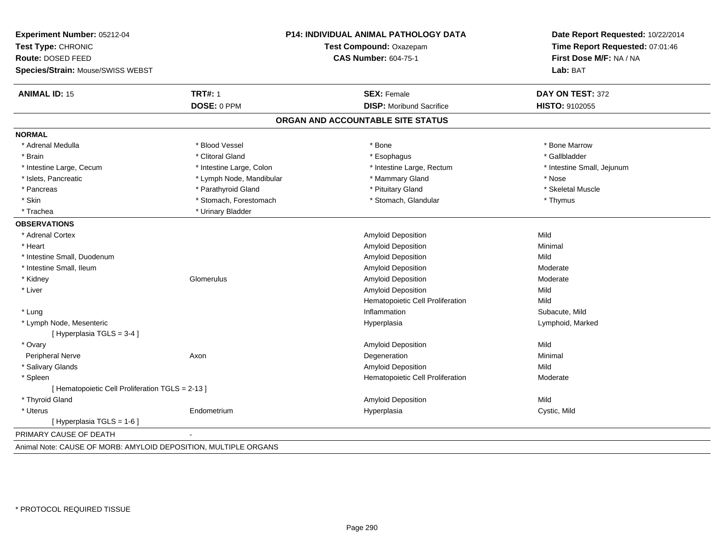| Experiment Number: 05212-04<br>Test Type: CHRONIC<br>Route: DOSED FEED<br>Species/Strain: Mouse/SWISS WEBST | <b>P14: INDIVIDUAL ANIMAL PATHOLOGY DATA</b><br>Test Compound: Oxazepam<br><b>CAS Number: 604-75-1</b> |                                   | Date Report Requested: 10/22/2014<br>Time Report Requested: 07:01:46<br>First Dose M/F: NA / NA<br>Lab: BAT |
|-------------------------------------------------------------------------------------------------------------|--------------------------------------------------------------------------------------------------------|-----------------------------------|-------------------------------------------------------------------------------------------------------------|
| <b>ANIMAL ID: 15</b>                                                                                        | <b>TRT#: 1</b>                                                                                         | <b>SEX: Female</b>                | DAY ON TEST: 372                                                                                            |
|                                                                                                             | DOSE: 0 PPM                                                                                            | <b>DISP:</b> Moribund Sacrifice   | <b>HISTO: 9102055</b>                                                                                       |
|                                                                                                             |                                                                                                        | ORGAN AND ACCOUNTABLE SITE STATUS |                                                                                                             |
| <b>NORMAL</b>                                                                                               |                                                                                                        |                                   |                                                                                                             |
| * Adrenal Medulla                                                                                           | * Blood Vessel                                                                                         | * Bone                            | * Bone Marrow                                                                                               |
| * Brain                                                                                                     | * Clitoral Gland                                                                                       | * Esophagus                       | * Gallbladder                                                                                               |
| * Intestine Large, Cecum                                                                                    | * Intestine Large, Colon                                                                               | * Intestine Large, Rectum         | * Intestine Small, Jejunum                                                                                  |
| * Islets, Pancreatic                                                                                        | * Lymph Node, Mandibular                                                                               | * Mammary Gland                   | * Nose                                                                                                      |
| * Pancreas                                                                                                  | * Parathyroid Gland                                                                                    | * Pituitary Gland                 | * Skeletal Muscle                                                                                           |
| * Skin                                                                                                      | * Stomach, Forestomach                                                                                 | * Stomach, Glandular              | * Thymus                                                                                                    |
| * Trachea                                                                                                   | * Urinary Bladder                                                                                      |                                   |                                                                                                             |
| <b>OBSERVATIONS</b>                                                                                         |                                                                                                        |                                   |                                                                                                             |
| * Adrenal Cortex                                                                                            |                                                                                                        | Amyloid Deposition                | Mild                                                                                                        |
| * Heart                                                                                                     |                                                                                                        | <b>Amyloid Deposition</b>         | Minimal                                                                                                     |
| * Intestine Small, Duodenum                                                                                 |                                                                                                        | Amyloid Deposition                | Mild                                                                                                        |
| * Intestine Small, Ileum                                                                                    |                                                                                                        | Amyloid Deposition                | Moderate                                                                                                    |
| * Kidney                                                                                                    | Glomerulus                                                                                             | Amyloid Deposition                | Moderate                                                                                                    |
| * Liver                                                                                                     |                                                                                                        | <b>Amyloid Deposition</b>         | Mild                                                                                                        |
|                                                                                                             |                                                                                                        | Hematopoietic Cell Proliferation  | Mild                                                                                                        |
| * Lung                                                                                                      |                                                                                                        | Inflammation                      | Subacute, Mild                                                                                              |
| * Lymph Node, Mesenteric                                                                                    |                                                                                                        | Hyperplasia                       | Lymphoid, Marked                                                                                            |
| [Hyperplasia TGLS = 3-4]                                                                                    |                                                                                                        |                                   |                                                                                                             |
| * Ovary                                                                                                     |                                                                                                        | Amyloid Deposition                | Mild                                                                                                        |
| Peripheral Nerve                                                                                            | Axon                                                                                                   | Degeneration                      | Minimal                                                                                                     |
| * Salivary Glands                                                                                           |                                                                                                        | Amyloid Deposition                | Mild                                                                                                        |
| * Spleen                                                                                                    |                                                                                                        | Hematopoietic Cell Proliferation  | Moderate                                                                                                    |
| [ Hematopoietic Cell Proliferation TGLS = 2-13 ]                                                            |                                                                                                        |                                   |                                                                                                             |
| * Thyroid Gland                                                                                             |                                                                                                        | Amyloid Deposition                | Mild                                                                                                        |
| * Uterus                                                                                                    | Endometrium                                                                                            | Hyperplasia                       | Cystic, Mild                                                                                                |
| [ Hyperplasia TGLS = 1-6 ]                                                                                  |                                                                                                        |                                   |                                                                                                             |
| PRIMARY CAUSE OF DEATH                                                                                      |                                                                                                        |                                   |                                                                                                             |
|                                                                                                             |                                                                                                        |                                   |                                                                                                             |

Animal Note: CAUSE OF MORB: AMYLOID DEPOSITION, MULTIPLE ORGANS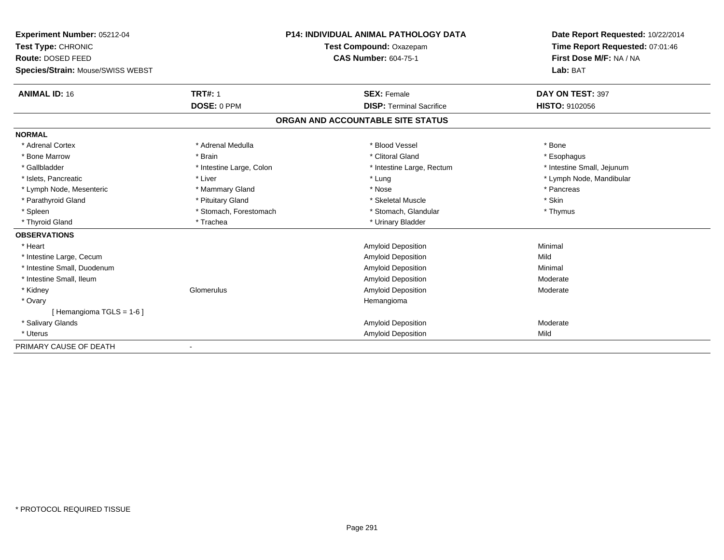| Experiment Number: 05212-04             | <b>P14: INDIVIDUAL ANIMAL PATHOLOGY DATA</b> |                                   | Date Report Requested: 10/22/2014                          |  |
|-----------------------------------------|----------------------------------------------|-----------------------------------|------------------------------------------------------------|--|
| Test Type: CHRONIC<br>Route: DOSED FEED |                                              | Test Compound: Oxazepam           | Time Report Requested: 07:01:46<br>First Dose M/F: NA / NA |  |
|                                         |                                              | <b>CAS Number: 604-75-1</b>       |                                                            |  |
| Species/Strain: Mouse/SWISS WEBST       |                                              |                                   | Lab: BAT                                                   |  |
| <b>ANIMAL ID: 16</b>                    | <b>TRT#: 1</b>                               | <b>SEX: Female</b>                | DAY ON TEST: 397                                           |  |
|                                         | DOSE: 0 PPM                                  | <b>DISP: Terminal Sacrifice</b>   | <b>HISTO: 9102056</b>                                      |  |
|                                         |                                              | ORGAN AND ACCOUNTABLE SITE STATUS |                                                            |  |
| <b>NORMAL</b>                           |                                              |                                   |                                                            |  |
| * Adrenal Cortex                        | * Adrenal Medulla                            | * Blood Vessel                    | * Bone                                                     |  |
| * Bone Marrow                           | * Brain                                      | * Clitoral Gland                  | * Esophagus                                                |  |
| * Gallbladder                           | * Intestine Large, Colon                     | * Intestine Large, Rectum         | * Intestine Small, Jejunum                                 |  |
| * Islets, Pancreatic                    | * Liver                                      | * Lung                            | * Lymph Node, Mandibular                                   |  |
| * Lymph Node, Mesenteric                | * Mammary Gland                              | * Nose                            | * Pancreas                                                 |  |
| * Parathyroid Gland                     | * Pituitary Gland                            | * Skeletal Muscle                 | * Skin                                                     |  |
| * Spleen                                | * Stomach, Forestomach                       | * Stomach, Glandular              | * Thymus                                                   |  |
| * Thyroid Gland                         | * Trachea                                    | * Urinary Bladder                 |                                                            |  |
| <b>OBSERVATIONS</b>                     |                                              |                                   |                                                            |  |
| * Heart                                 |                                              | Amyloid Deposition                | Minimal                                                    |  |
| * Intestine Large, Cecum                |                                              | Amyloid Deposition                | Mild                                                       |  |
| * Intestine Small, Duodenum             |                                              | Amyloid Deposition                | Minimal                                                    |  |
| * Intestine Small, Ileum                |                                              | Amyloid Deposition                | Moderate                                                   |  |
| * Kidney                                | Glomerulus                                   | <b>Amyloid Deposition</b>         | Moderate                                                   |  |
| * Ovary                                 |                                              | Hemangioma                        |                                                            |  |
| [Hemangioma TGLS = 1-6]                 |                                              |                                   |                                                            |  |
| * Salivary Glands                       |                                              | Amyloid Deposition                | Moderate                                                   |  |
| * Uterus                                |                                              | Amyloid Deposition                | Mild                                                       |  |
| PRIMARY CAUSE OF DEATH                  |                                              |                                   |                                                            |  |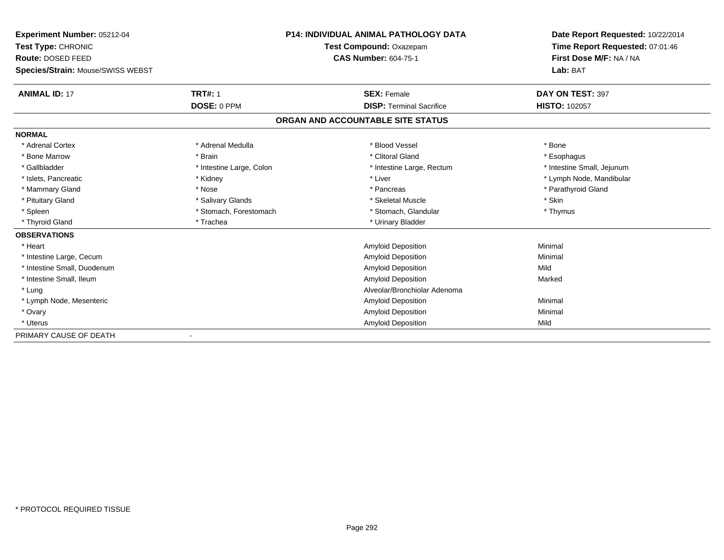| Experiment Number: 05212-04       | P14: INDIVIDUAL ANIMAL PATHOLOGY DATA<br>Test Compound: Oxazepam<br><b>CAS Number: 604-75-1</b> |                                   | Date Report Requested: 10/22/2014                          |  |
|-----------------------------------|-------------------------------------------------------------------------------------------------|-----------------------------------|------------------------------------------------------------|--|
| Test Type: CHRONIC                |                                                                                                 |                                   | Time Report Requested: 07:01:46<br>First Dose M/F: NA / NA |  |
| Route: DOSED FEED                 |                                                                                                 |                                   |                                                            |  |
| Species/Strain: Mouse/SWISS WEBST |                                                                                                 |                                   | Lab: BAT                                                   |  |
| <b>ANIMAL ID: 17</b>              | <b>TRT#: 1</b>                                                                                  | <b>SEX: Female</b>                | DAY ON TEST: 397                                           |  |
|                                   | DOSE: 0 PPM                                                                                     | <b>DISP: Terminal Sacrifice</b>   | <b>HISTO: 102057</b>                                       |  |
|                                   |                                                                                                 | ORGAN AND ACCOUNTABLE SITE STATUS |                                                            |  |
| <b>NORMAL</b>                     |                                                                                                 |                                   |                                                            |  |
| * Adrenal Cortex                  | * Adrenal Medulla                                                                               | * Blood Vessel                    | * Bone                                                     |  |
| * Bone Marrow                     | * Brain                                                                                         | * Clitoral Gland                  | * Esophagus                                                |  |
| * Gallbladder                     | * Intestine Large, Colon                                                                        | * Intestine Large, Rectum         | * Intestine Small, Jejunum                                 |  |
| * Islets, Pancreatic              | * Kidney                                                                                        | * Liver                           | * Lymph Node, Mandibular                                   |  |
| * Mammary Gland                   | * Nose                                                                                          | * Pancreas                        | * Parathyroid Gland                                        |  |
| * Pituitary Gland                 | * Salivary Glands                                                                               | * Skeletal Muscle                 | * Skin                                                     |  |
| * Spleen                          | * Stomach, Forestomach                                                                          | * Stomach, Glandular              | * Thymus                                                   |  |
| * Thyroid Gland                   | * Trachea                                                                                       | * Urinary Bladder                 |                                                            |  |
| <b>OBSERVATIONS</b>               |                                                                                                 |                                   |                                                            |  |
| * Heart                           |                                                                                                 | Amyloid Deposition                | Minimal                                                    |  |
| * Intestine Large, Cecum          |                                                                                                 | Amyloid Deposition                | Minimal                                                    |  |
| * Intestine Small, Duodenum       |                                                                                                 | <b>Amyloid Deposition</b>         | Mild                                                       |  |
| * Intestine Small, Ileum          |                                                                                                 | <b>Amyloid Deposition</b>         | Marked                                                     |  |
| * Lung                            |                                                                                                 | Alveolar/Bronchiolar Adenoma      |                                                            |  |
| * Lymph Node, Mesenteric          |                                                                                                 | <b>Amyloid Deposition</b>         | Minimal                                                    |  |
| * Ovary                           |                                                                                                 | Amyloid Deposition                | Minimal                                                    |  |
| * Uterus                          |                                                                                                 | <b>Amyloid Deposition</b>         | Mild                                                       |  |
| PRIMARY CAUSE OF DEATH            |                                                                                                 |                                   |                                                            |  |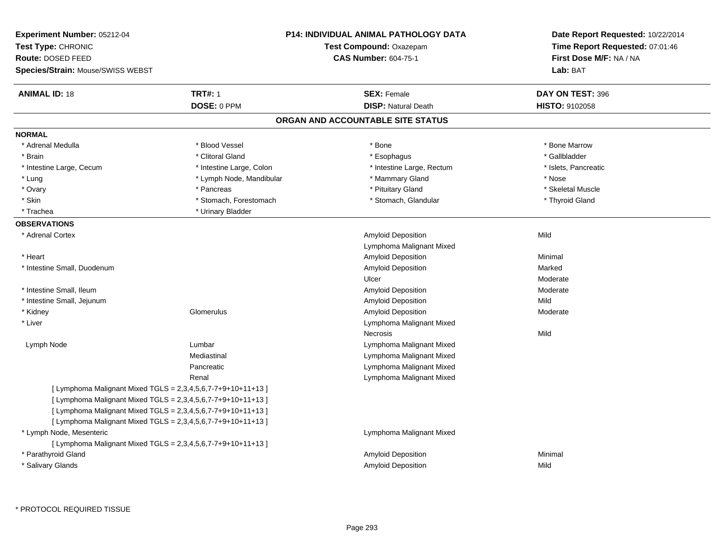| Experiment Number: 05212-04<br>Test Type: CHRONIC<br>Route: DOSED FEED<br><b>Species/Strain: Mouse/SWISS WEBST</b> |                          | <b>P14: INDIVIDUAL ANIMAL PATHOLOGY DATA</b><br>Test Compound: Oxazepam<br><b>CAS Number: 604-75-1</b> | Date Report Requested: 10/22/2014<br>Time Report Requested: 07:01:46<br>First Dose M/F: NA / NA<br>Lab: BAT |
|--------------------------------------------------------------------------------------------------------------------|--------------------------|--------------------------------------------------------------------------------------------------------|-------------------------------------------------------------------------------------------------------------|
| <b>ANIMAL ID: 18</b>                                                                                               | <b>TRT#: 1</b>           | <b>SEX: Female</b>                                                                                     | DAY ON TEST: 396                                                                                            |
|                                                                                                                    | DOSE: 0 PPM              | <b>DISP: Natural Death</b>                                                                             | <b>HISTO: 9102058</b>                                                                                       |
|                                                                                                                    |                          | ORGAN AND ACCOUNTABLE SITE STATUS                                                                      |                                                                                                             |
| <b>NORMAL</b>                                                                                                      |                          |                                                                                                        |                                                                                                             |
| * Adrenal Medulla                                                                                                  | * Blood Vessel           | * Bone                                                                                                 | * Bone Marrow                                                                                               |
| * Brain                                                                                                            | * Clitoral Gland         | * Esophagus                                                                                            | * Gallbladder                                                                                               |
| * Intestine Large, Cecum                                                                                           | * Intestine Large, Colon | * Intestine Large, Rectum                                                                              | * Islets, Pancreatic                                                                                        |
| * Lung                                                                                                             | * Lymph Node, Mandibular | * Mammary Gland                                                                                        | * Nose                                                                                                      |
| * Ovary                                                                                                            | * Pancreas               | * Pituitary Gland                                                                                      | * Skeletal Muscle                                                                                           |
| * Skin                                                                                                             | * Stomach, Forestomach   | * Stomach, Glandular                                                                                   | * Thyroid Gland                                                                                             |
| * Trachea                                                                                                          | * Urinary Bladder        |                                                                                                        |                                                                                                             |
| <b>OBSERVATIONS</b>                                                                                                |                          |                                                                                                        |                                                                                                             |
| * Adrenal Cortex                                                                                                   |                          | <b>Amyloid Deposition</b><br>Lymphoma Malignant Mixed                                                  | Mild                                                                                                        |
| * Heart                                                                                                            |                          | <b>Amyloid Deposition</b>                                                                              | Minimal                                                                                                     |
| * Intestine Small, Duodenum                                                                                        |                          | Amyloid Deposition                                                                                     | Marked                                                                                                      |
|                                                                                                                    |                          | Ulcer                                                                                                  | Moderate                                                                                                    |
| * Intestine Small, Ileum                                                                                           |                          | Amyloid Deposition                                                                                     | Moderate                                                                                                    |
| * Intestine Small, Jejunum                                                                                         |                          | Amyloid Deposition                                                                                     | Mild                                                                                                        |
| * Kidney                                                                                                           | Glomerulus               | Amyloid Deposition                                                                                     | Moderate                                                                                                    |
| * Liver                                                                                                            |                          | Lymphoma Malignant Mixed                                                                               |                                                                                                             |
|                                                                                                                    |                          | Necrosis                                                                                               | Mild                                                                                                        |
| Lymph Node                                                                                                         | Lumbar                   | Lymphoma Malignant Mixed                                                                               |                                                                                                             |
|                                                                                                                    | Mediastinal              | Lymphoma Malignant Mixed                                                                               |                                                                                                             |
|                                                                                                                    | Pancreatic               | Lymphoma Malignant Mixed                                                                               |                                                                                                             |
|                                                                                                                    | Renal                    | Lymphoma Malignant Mixed                                                                               |                                                                                                             |
| [ Lymphoma Malignant Mixed TGLS = 2,3,4,5,6,7-7+9+10+11+13 ]                                                       |                          |                                                                                                        |                                                                                                             |
| [ Lymphoma Malignant Mixed TGLS = 2,3,4,5,6,7-7+9+10+11+13 ]                                                       |                          |                                                                                                        |                                                                                                             |
| [ Lymphoma Malignant Mixed TGLS = 2,3,4,5,6,7-7+9+10+11+13 ]                                                       |                          |                                                                                                        |                                                                                                             |
| [ Lymphoma Malignant Mixed TGLS = 2,3,4,5,6,7-7+9+10+11+13 ]                                                       |                          |                                                                                                        |                                                                                                             |
| * Lymph Node, Mesenteric                                                                                           |                          | Lymphoma Malignant Mixed                                                                               |                                                                                                             |
| [ Lymphoma Malignant Mixed TGLS = 2,3,4,5,6,7-7+9+10+11+13 ]                                                       |                          |                                                                                                        |                                                                                                             |
| * Parathyroid Gland                                                                                                |                          | Amyloid Deposition                                                                                     | Minimal                                                                                                     |
| * Salivary Glands                                                                                                  |                          | <b>Amyloid Deposition</b>                                                                              | Mild                                                                                                        |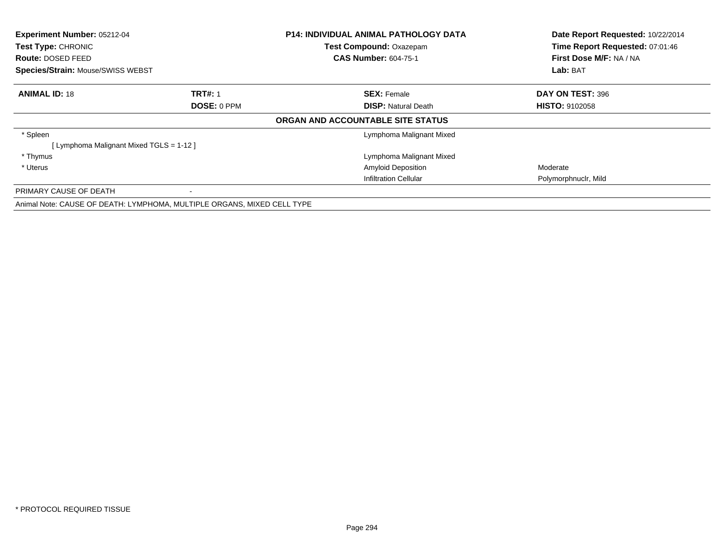| Experiment Number: 05212-04<br>Test Type: CHRONIC |                                                                         | <b>P14: INDIVIDUAL ANIMAL PATHOLOGY DATA</b> | Date Report Requested: 10/22/2014 |  |
|---------------------------------------------------|-------------------------------------------------------------------------|----------------------------------------------|-----------------------------------|--|
|                                                   |                                                                         | <b>Test Compound: Oxazepam</b>               | Time Report Requested: 07:01:46   |  |
| Route: DOSED FEED                                 |                                                                         | <b>CAS Number: 604-75-1</b>                  | First Dose M/F: NA / NA           |  |
| <b>Species/Strain: Mouse/SWISS WEBST</b>          |                                                                         |                                              | Lab: BAT                          |  |
| <b>ANIMAL ID: 18</b>                              | <b>TRT#: 1</b>                                                          | <b>SEX: Female</b>                           | DAY ON TEST: 396                  |  |
|                                                   | DOSE: 0 PPM                                                             | <b>DISP: Natural Death</b>                   | <b>HISTO: 9102058</b>             |  |
|                                                   |                                                                         | ORGAN AND ACCOUNTABLE SITE STATUS            |                                   |  |
| * Spleen                                          |                                                                         | Lymphoma Malignant Mixed                     |                                   |  |
| [ Lymphoma Malignant Mixed TGLS = 1-12 ]          |                                                                         |                                              |                                   |  |
| * Thymus                                          |                                                                         | Lymphoma Malignant Mixed                     |                                   |  |
| * Uterus                                          |                                                                         | <b>Amyloid Deposition</b>                    | Moderate                          |  |
|                                                   |                                                                         | <b>Infiltration Cellular</b>                 | Polymorphnuclr, Mild              |  |
| PRIMARY CAUSE OF DEATH                            |                                                                         |                                              |                                   |  |
|                                                   | Animal Note: CAUSE OF DEATH: LYMPHOMA, MULTIPLE ORGANS, MIXED CELL TYPE |                                              |                                   |  |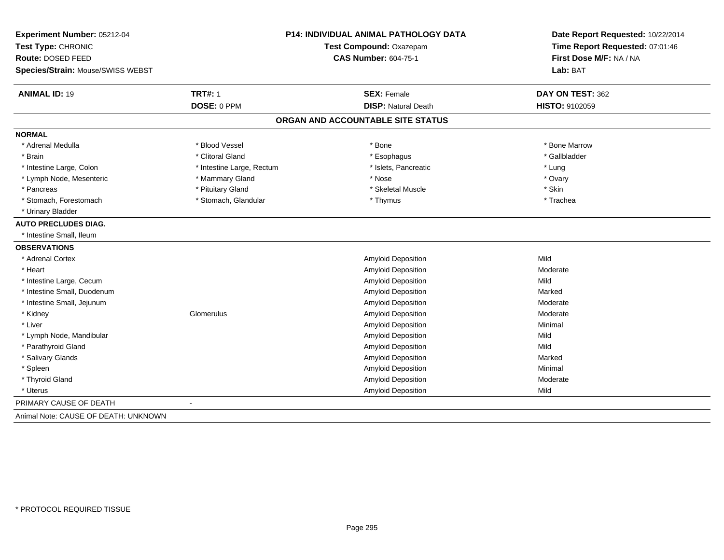|                           |                             | Date Report Requested: 10/22/2014<br>Time Report Requested: 07:01:46<br>First Dose M/F: NA / NA |  |
|---------------------------|-----------------------------|-------------------------------------------------------------------------------------------------|--|
|                           | Test Compound: Oxazepam     |                                                                                                 |  |
|                           | <b>CAS Number: 604-75-1</b> |                                                                                                 |  |
|                           |                             | Lab: BAT                                                                                        |  |
| <b>TRT#: 1</b>            | <b>SEX: Female</b>          | DAY ON TEST: 362                                                                                |  |
| DOSE: 0 PPM               | <b>DISP: Natural Death</b>  | HISTO: 9102059                                                                                  |  |
|                           |                             |                                                                                                 |  |
|                           |                             |                                                                                                 |  |
| * Blood Vessel            | * Bone                      | * Bone Marrow                                                                                   |  |
| * Clitoral Gland          | * Esophagus                 | * Gallbladder                                                                                   |  |
| * Intestine Large, Rectum | * Islets, Pancreatic        | * Lung                                                                                          |  |
| * Mammary Gland           | * Nose                      | * Ovary                                                                                         |  |
| * Pituitary Gland         | * Skeletal Muscle           | * Skin                                                                                          |  |
| * Stomach, Glandular      | * Thymus                    | * Trachea                                                                                       |  |
|                           |                             |                                                                                                 |  |
|                           |                             |                                                                                                 |  |
|                           |                             |                                                                                                 |  |
|                           |                             |                                                                                                 |  |
|                           | Amyloid Deposition          | Mild                                                                                            |  |
|                           | <b>Amyloid Deposition</b>   | Moderate                                                                                        |  |
|                           | <b>Amyloid Deposition</b>   | Mild                                                                                            |  |
|                           | <b>Amyloid Deposition</b>   | Marked                                                                                          |  |
|                           | <b>Amyloid Deposition</b>   | Moderate                                                                                        |  |
| Glomerulus                | Amyloid Deposition          | Moderate                                                                                        |  |
|                           | Amyloid Deposition          | Minimal                                                                                         |  |
|                           | <b>Amyloid Deposition</b>   | Mild                                                                                            |  |
|                           | Amyloid Deposition          | Mild                                                                                            |  |
|                           | Amyloid Deposition          | Marked                                                                                          |  |
|                           | Amyloid Deposition          | Minimal                                                                                         |  |
|                           | Amyloid Deposition          | Moderate                                                                                        |  |
|                           | Amyloid Deposition          | Mild                                                                                            |  |
|                           |                             |                                                                                                 |  |
|                           |                             | <b>P14: INDIVIDUAL ANIMAL PATHOLOGY DATA</b><br>ORGAN AND ACCOUNTABLE SITE STATUS               |  |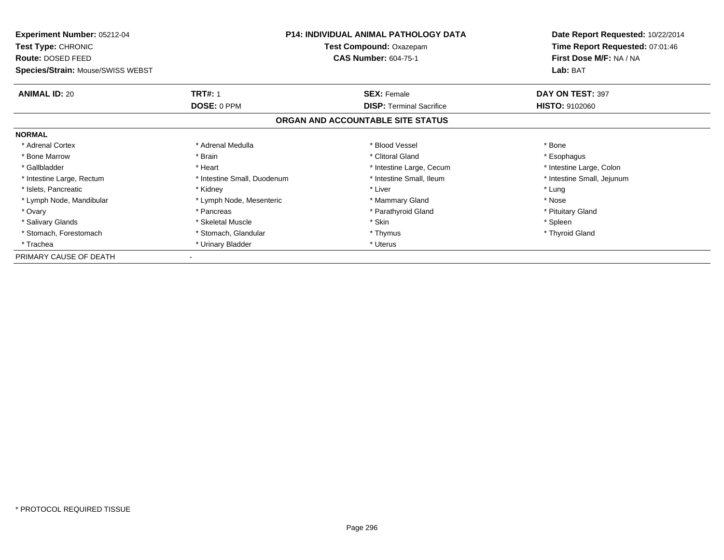| <b>Experiment Number: 05212-04</b><br><b>Test Type: CHRONIC</b><br>Route: DOSED FEED | <b>P14: INDIVIDUAL ANIMAL PATHOLOGY DATA</b><br>Test Compound: Oxazepam<br><b>CAS Number: 604-75-1</b> |                                   | Date Report Requested: 10/22/2014<br>Time Report Requested: 07:01:46<br>First Dose M/F: NA / NA |  |
|--------------------------------------------------------------------------------------|--------------------------------------------------------------------------------------------------------|-----------------------------------|-------------------------------------------------------------------------------------------------|--|
| Species/Strain: Mouse/SWISS WEBST                                                    |                                                                                                        | Lab: BAT                          |                                                                                                 |  |
| <b>ANIMAL ID: 20</b>                                                                 | <b>TRT#: 1</b>                                                                                         | <b>SEX: Female</b>                | DAY ON TEST: 397                                                                                |  |
|                                                                                      | DOSE: 0 PPM                                                                                            | <b>DISP:</b> Terminal Sacrifice   | <b>HISTO: 9102060</b>                                                                           |  |
|                                                                                      |                                                                                                        | ORGAN AND ACCOUNTABLE SITE STATUS |                                                                                                 |  |
| <b>NORMAL</b>                                                                        |                                                                                                        |                                   |                                                                                                 |  |
| * Adrenal Cortex                                                                     | * Adrenal Medulla                                                                                      | * Blood Vessel                    | * Bone                                                                                          |  |
| * Bone Marrow                                                                        | * Brain                                                                                                | * Clitoral Gland                  | * Esophagus                                                                                     |  |
| * Gallbladder                                                                        | * Heart                                                                                                | * Intestine Large, Cecum          | * Intestine Large, Colon                                                                        |  |
| * Intestine Large, Rectum                                                            | * Intestine Small, Duodenum                                                                            | * Intestine Small, Ileum          | * Intestine Small, Jejunum                                                                      |  |
| * Islets, Pancreatic                                                                 | * Kidney                                                                                               | * Liver                           | * Lung                                                                                          |  |
| * Lymph Node, Mandibular                                                             | * Lymph Node, Mesenteric                                                                               | * Mammary Gland                   | * Nose                                                                                          |  |
| * Ovary                                                                              | * Pancreas                                                                                             | * Parathyroid Gland               | * Pituitary Gland                                                                               |  |
| * Salivary Glands                                                                    | * Skeletal Muscle                                                                                      | * Skin                            | * Spleen                                                                                        |  |
| * Stomach, Forestomach                                                               | * Stomach, Glandular                                                                                   | * Thymus                          | * Thyroid Gland                                                                                 |  |
| * Trachea                                                                            | * Urinary Bladder                                                                                      | * Uterus                          |                                                                                                 |  |
| PRIMARY CAUSE OF DEATH                                                               |                                                                                                        |                                   |                                                                                                 |  |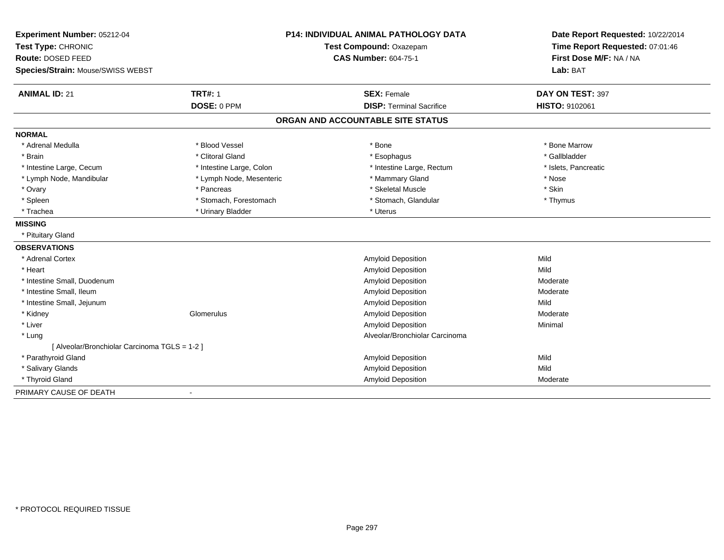| Experiment Number: 05212-04                   |                          | <b>P14: INDIVIDUAL ANIMAL PATHOLOGY DATA</b> | Date Report Requested: 10/22/2014                          |
|-----------------------------------------------|--------------------------|----------------------------------------------|------------------------------------------------------------|
| Test Type: CHRONIC                            |                          | Test Compound: Oxazepam                      | Time Report Requested: 07:01:46<br>First Dose M/F: NA / NA |
| Route: DOSED FEED                             |                          | <b>CAS Number: 604-75-1</b>                  |                                                            |
| Species/Strain: Mouse/SWISS WEBST             |                          |                                              | Lab: BAT                                                   |
| <b>ANIMAL ID: 21</b>                          | <b>TRT#: 1</b>           | <b>SEX: Female</b>                           | DAY ON TEST: 397                                           |
|                                               | DOSE: 0 PPM              | <b>DISP: Terminal Sacrifice</b>              | <b>HISTO: 9102061</b>                                      |
|                                               |                          | ORGAN AND ACCOUNTABLE SITE STATUS            |                                                            |
| <b>NORMAL</b>                                 |                          |                                              |                                                            |
| * Adrenal Medulla                             | * Blood Vessel           | * Bone                                       | * Bone Marrow                                              |
| * Brain                                       | * Clitoral Gland         | * Esophagus                                  | * Gallbladder                                              |
| * Intestine Large, Cecum                      | * Intestine Large, Colon | * Intestine Large, Rectum                    | * Islets, Pancreatic                                       |
| * Lymph Node, Mandibular                      | * Lymph Node, Mesenteric | * Mammary Gland                              | * Nose                                                     |
| * Ovary                                       | * Pancreas               | * Skeletal Muscle                            | * Skin                                                     |
| * Spleen                                      | * Stomach, Forestomach   | * Stomach, Glandular                         | * Thymus                                                   |
| * Trachea                                     | * Urinary Bladder        | * Uterus                                     |                                                            |
| <b>MISSING</b>                                |                          |                                              |                                                            |
| * Pituitary Gland                             |                          |                                              |                                                            |
| <b>OBSERVATIONS</b>                           |                          |                                              |                                                            |
| * Adrenal Cortex                              |                          | Amyloid Deposition                           | Mild                                                       |
| * Heart                                       |                          | Amyloid Deposition                           | Mild                                                       |
| * Intestine Small, Duodenum                   |                          | <b>Amyloid Deposition</b>                    | Moderate                                                   |
| * Intestine Small, Ileum                      |                          | <b>Amyloid Deposition</b>                    | Moderate                                                   |
| * Intestine Small, Jejunum                    |                          | Amyloid Deposition                           | Mild                                                       |
| * Kidney                                      | Glomerulus               | Amyloid Deposition                           | Moderate                                                   |
| * Liver                                       |                          | <b>Amyloid Deposition</b>                    | Minimal                                                    |
| * Lung                                        |                          | Alveolar/Bronchiolar Carcinoma               |                                                            |
| [ Alveolar/Bronchiolar Carcinoma TGLS = 1-2 ] |                          |                                              |                                                            |
| * Parathyroid Gland                           |                          | Amyloid Deposition                           | Mild                                                       |
| * Salivary Glands                             |                          | Amyloid Deposition                           | Mild                                                       |
| * Thyroid Gland                               |                          | <b>Amyloid Deposition</b>                    | Moderate                                                   |
| PRIMARY CAUSE OF DEATH                        |                          |                                              |                                                            |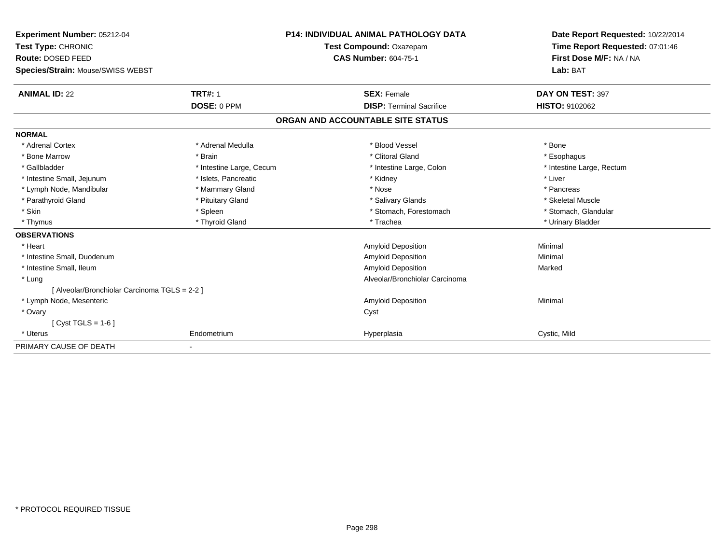| Experiment Number: 05212-04<br>Test Type: CHRONIC<br>Route: DOSED FEED |                          | <b>P14: INDIVIDUAL ANIMAL PATHOLOGY DATA</b> | Date Report Requested: 10/22/2014<br>Time Report Requested: 07:01:46<br>First Dose M/F: NA / NA |
|------------------------------------------------------------------------|--------------------------|----------------------------------------------|-------------------------------------------------------------------------------------------------|
|                                                                        |                          | Test Compound: Oxazepam                      |                                                                                                 |
|                                                                        |                          | <b>CAS Number: 604-75-1</b>                  |                                                                                                 |
| Species/Strain: Mouse/SWISS WEBST                                      |                          |                                              | Lab: BAT                                                                                        |
| <b>ANIMAL ID: 22</b>                                                   | <b>TRT#: 1</b>           | <b>SEX: Female</b>                           | DAY ON TEST: 397                                                                                |
|                                                                        | DOSE: 0 PPM              | <b>DISP: Terminal Sacrifice</b>              | <b>HISTO: 9102062</b>                                                                           |
|                                                                        |                          | ORGAN AND ACCOUNTABLE SITE STATUS            |                                                                                                 |
| <b>NORMAL</b>                                                          |                          |                                              |                                                                                                 |
| * Adrenal Cortex                                                       | * Adrenal Medulla        | * Blood Vessel                               | * Bone                                                                                          |
| * Bone Marrow                                                          | * Brain                  | * Clitoral Gland                             | * Esophagus                                                                                     |
| * Gallbladder                                                          | * Intestine Large, Cecum | * Intestine Large, Colon                     | * Intestine Large, Rectum                                                                       |
| * Intestine Small, Jejunum                                             | * Islets, Pancreatic     | * Kidney                                     | * Liver                                                                                         |
| * Lymph Node, Mandibular                                               | * Mammary Gland          | * Nose                                       | * Pancreas                                                                                      |
| * Parathyroid Gland                                                    | * Pituitary Gland        | * Salivary Glands                            | * Skeletal Muscle                                                                               |
| * Skin                                                                 | * Spleen                 | * Stomach, Forestomach                       | * Stomach, Glandular                                                                            |
| * Thymus                                                               | * Thyroid Gland          | * Trachea                                    | * Urinary Bladder                                                                               |
| <b>OBSERVATIONS</b>                                                    |                          |                                              |                                                                                                 |
| * Heart                                                                |                          | Amyloid Deposition                           | Minimal                                                                                         |
| * Intestine Small, Duodenum                                            |                          | Amyloid Deposition                           | Minimal                                                                                         |
| * Intestine Small, Ileum                                               |                          | <b>Amyloid Deposition</b>                    | Marked                                                                                          |
| * Lung                                                                 |                          | Alveolar/Bronchiolar Carcinoma               |                                                                                                 |
| [ Alveolar/Bronchiolar Carcinoma TGLS = 2-2 ]                          |                          |                                              |                                                                                                 |
| * Lymph Node, Mesenteric                                               |                          | Amyloid Deposition                           | Minimal                                                                                         |
| * Ovary                                                                |                          | Cyst                                         |                                                                                                 |
| $Cvst TGLS = 1-6$                                                      |                          |                                              |                                                                                                 |
| * Uterus                                                               | Endometrium              | Hyperplasia                                  | Cystic, Mild                                                                                    |
| PRIMARY CAUSE OF DEATH                                                 |                          |                                              |                                                                                                 |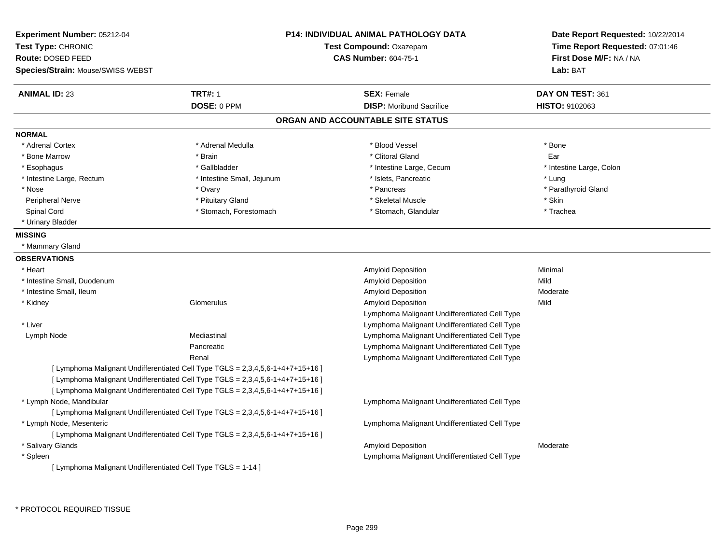| Experiment Number: 05212-04<br>Test Type: CHRONIC<br>Route: DOSED FEED<br><b>Species/Strain: Mouse/SWISS WEBST</b> |                                                                                                                                                                                                                                                    | <b>P14: INDIVIDUAL ANIMAL PATHOLOGY DATA</b><br><b>Test Compound: Oxazepam</b><br><b>CAS Number: 604-75-1</b> | Date Report Requested: 10/22/2014<br>Time Report Requested: 07:01:46<br>First Dose M/F: NA / NA<br>Lab: BAT |
|--------------------------------------------------------------------------------------------------------------------|----------------------------------------------------------------------------------------------------------------------------------------------------------------------------------------------------------------------------------------------------|---------------------------------------------------------------------------------------------------------------|-------------------------------------------------------------------------------------------------------------|
| <b>ANIMAL ID: 23</b>                                                                                               | <b>TRT#: 1</b>                                                                                                                                                                                                                                     | <b>SEX: Female</b>                                                                                            | DAY ON TEST: 361                                                                                            |
|                                                                                                                    | DOSE: 0 PPM                                                                                                                                                                                                                                        | <b>DISP:</b> Moribund Sacrifice                                                                               | HISTO: 9102063                                                                                              |
|                                                                                                                    |                                                                                                                                                                                                                                                    | ORGAN AND ACCOUNTABLE SITE STATUS                                                                             |                                                                                                             |
| <b>NORMAL</b>                                                                                                      |                                                                                                                                                                                                                                                    |                                                                                                               |                                                                                                             |
| * Adrenal Cortex                                                                                                   | * Adrenal Medulla                                                                                                                                                                                                                                  | * Blood Vessel                                                                                                | * Bone                                                                                                      |
| * Bone Marrow                                                                                                      | * Brain                                                                                                                                                                                                                                            | * Clitoral Gland                                                                                              | Ear                                                                                                         |
| * Esophagus                                                                                                        | * Gallbladder                                                                                                                                                                                                                                      | * Intestine Large, Cecum                                                                                      | * Intestine Large, Colon                                                                                    |
| * Intestine Large, Rectum                                                                                          | * Intestine Small, Jejunum                                                                                                                                                                                                                         | * Islets, Pancreatic                                                                                          | * Lung                                                                                                      |
| * Nose                                                                                                             | * Ovary                                                                                                                                                                                                                                            | * Pancreas                                                                                                    | * Parathyroid Gland                                                                                         |
| Peripheral Nerve                                                                                                   | * Pituitary Gland                                                                                                                                                                                                                                  | * Skeletal Muscle                                                                                             | * Skin                                                                                                      |
| Spinal Cord                                                                                                        | * Stomach, Forestomach                                                                                                                                                                                                                             | * Stomach, Glandular                                                                                          | * Trachea                                                                                                   |
| * Urinary Bladder                                                                                                  |                                                                                                                                                                                                                                                    |                                                                                                               |                                                                                                             |
| <b>MISSING</b>                                                                                                     |                                                                                                                                                                                                                                                    |                                                                                                               |                                                                                                             |
| * Mammary Gland                                                                                                    |                                                                                                                                                                                                                                                    |                                                                                                               |                                                                                                             |
| <b>OBSERVATIONS</b>                                                                                                |                                                                                                                                                                                                                                                    |                                                                                                               |                                                                                                             |
| * Heart                                                                                                            |                                                                                                                                                                                                                                                    | <b>Amyloid Deposition</b>                                                                                     | Minimal                                                                                                     |
| * Intestine Small, Duodenum                                                                                        |                                                                                                                                                                                                                                                    | Amyloid Deposition                                                                                            | Mild                                                                                                        |
| * Intestine Small, Ileum                                                                                           |                                                                                                                                                                                                                                                    | Amyloid Deposition                                                                                            | Moderate                                                                                                    |
| * Kidney                                                                                                           | Glomerulus                                                                                                                                                                                                                                         | <b>Amyloid Deposition</b>                                                                                     | Mild                                                                                                        |
|                                                                                                                    |                                                                                                                                                                                                                                                    | Lymphoma Malignant Undifferentiated Cell Type                                                                 |                                                                                                             |
| * Liver                                                                                                            |                                                                                                                                                                                                                                                    | Lymphoma Malignant Undifferentiated Cell Type                                                                 |                                                                                                             |
| Lymph Node                                                                                                         | Mediastinal                                                                                                                                                                                                                                        | Lymphoma Malignant Undifferentiated Cell Type                                                                 |                                                                                                             |
|                                                                                                                    | Pancreatic                                                                                                                                                                                                                                         | Lymphoma Malignant Undifferentiated Cell Type                                                                 |                                                                                                             |
|                                                                                                                    | Renal                                                                                                                                                                                                                                              | Lymphoma Malignant Undifferentiated Cell Type                                                                 |                                                                                                             |
|                                                                                                                    | [ Lymphoma Malignant Undifferentiated Cell Type TGLS = 2,3,4,5,6-1+4+7+15+16 ]<br>[ Lymphoma Malignant Undifferentiated Cell Type TGLS = 2,3,4,5,6-1+4+7+15+16 ]<br>[ Lymphoma Malignant Undifferentiated Cell Type TGLS = 2,3,4,5,6-1+4+7+15+16 ] |                                                                                                               |                                                                                                             |
| * Lymph Node, Mandibular                                                                                           |                                                                                                                                                                                                                                                    | Lymphoma Malignant Undifferentiated Cell Type                                                                 |                                                                                                             |
|                                                                                                                    | [ Lymphoma Malignant Undifferentiated Cell Type TGLS = 2,3,4,5,6-1+4+7+15+16 ]                                                                                                                                                                     |                                                                                                               |                                                                                                             |
| * Lymph Node, Mesenteric                                                                                           |                                                                                                                                                                                                                                                    | Lymphoma Malignant Undifferentiated Cell Type                                                                 |                                                                                                             |
|                                                                                                                    | [ Lymphoma Malignant Undifferentiated Cell Type TGLS = 2,3,4,5,6-1+4+7+15+16 ]                                                                                                                                                                     |                                                                                                               |                                                                                                             |
| * Salivary Glands                                                                                                  |                                                                                                                                                                                                                                                    | Amyloid Deposition                                                                                            | Moderate                                                                                                    |
| * Spleen                                                                                                           |                                                                                                                                                                                                                                                    | Lymphoma Malignant Undifferentiated Cell Type                                                                 |                                                                                                             |
| [ Lymphoma Malignant Undifferentiated Cell Type TGLS = 1-14 ]                                                      |                                                                                                                                                                                                                                                    |                                                                                                               |                                                                                                             |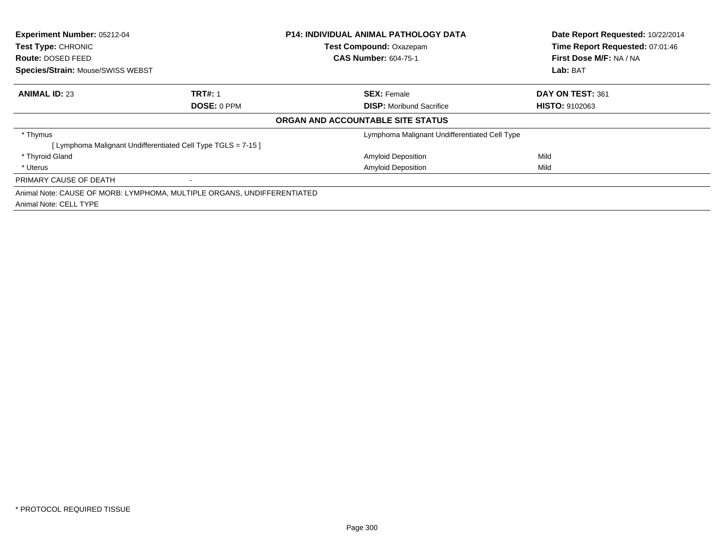| Experiment Number: 05212-04<br><b>Test Type: CHRONIC</b><br><b>Route: DOSED FEED</b> |                                                                         | <b>P14: INDIVIDUAL ANIMAL PATHOLOGY DATA</b><br><b>Test Compound: Oxazepam</b><br><b>CAS Number: 604-75-1</b> | Date Report Requested: 10/22/2014<br>Time Report Requested: 07:01:46<br>First Dose M/F: NA / NA |
|--------------------------------------------------------------------------------------|-------------------------------------------------------------------------|---------------------------------------------------------------------------------------------------------------|-------------------------------------------------------------------------------------------------|
| <b>Species/Strain: Mouse/SWISS WEBST</b>                                             |                                                                         |                                                                                                               | Lab: BAT                                                                                        |
| <b>ANIMAL ID: 23</b>                                                                 | <b>TRT#: 1</b>                                                          | <b>SEX: Female</b>                                                                                            | DAY ON TEST: 361                                                                                |
|                                                                                      | DOSE: 0 PPM                                                             | <b>DISP:</b> Moribund Sacrifice                                                                               | <b>HISTO: 9102063</b>                                                                           |
|                                                                                      |                                                                         | ORGAN AND ACCOUNTABLE SITE STATUS                                                                             |                                                                                                 |
| * Thymus                                                                             |                                                                         | Lymphoma Malignant Undifferentiated Cell Type                                                                 |                                                                                                 |
|                                                                                      | [Lymphoma Malignant Undifferentiated Cell Type TGLS = 7-15]             |                                                                                                               |                                                                                                 |
| * Thyroid Gland                                                                      |                                                                         | <b>Amyloid Deposition</b>                                                                                     | Mild                                                                                            |
| * Uterus                                                                             |                                                                         | <b>Amyloid Deposition</b>                                                                                     | Mild                                                                                            |
| PRIMARY CAUSE OF DEATH                                                               | ۰                                                                       |                                                                                                               |                                                                                                 |
|                                                                                      | Animal Note: CAUSE OF MORB: LYMPHOMA, MULTIPLE ORGANS, UNDIFFERENTIATED |                                                                                                               |                                                                                                 |
| Animal Note: CELL TYPE                                                               |                                                                         |                                                                                                               |                                                                                                 |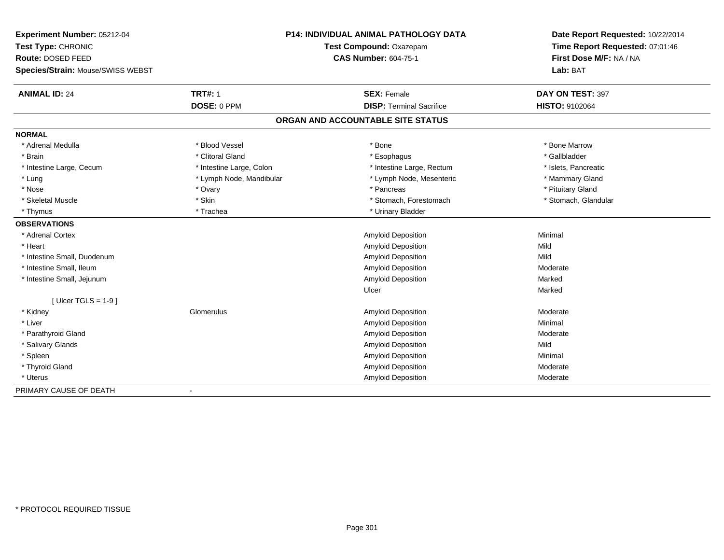| Experiment Number: 05212-04       |                                                        | <b>P14: INDIVIDUAL ANIMAL PATHOLOGY DATA</b> | Date Report Requested: 10/22/2014                          |
|-----------------------------------|--------------------------------------------------------|----------------------------------------------|------------------------------------------------------------|
| Test Type: CHRONIC                | Test Compound: Oxazepam<br><b>CAS Number: 604-75-1</b> |                                              | Time Report Requested: 07:01:46<br>First Dose M/F: NA / NA |
| Route: DOSED FEED                 |                                                        |                                              |                                                            |
| Species/Strain: Mouse/SWISS WEBST |                                                        |                                              | Lab: BAT                                                   |
| <b>ANIMAL ID: 24</b>              | <b>TRT#: 1</b>                                         | <b>SEX: Female</b>                           | DAY ON TEST: 397                                           |
|                                   | DOSE: 0 PPM                                            | <b>DISP: Terminal Sacrifice</b>              | <b>HISTO: 9102064</b>                                      |
|                                   |                                                        | ORGAN AND ACCOUNTABLE SITE STATUS            |                                                            |
| <b>NORMAL</b>                     |                                                        |                                              |                                                            |
| * Adrenal Medulla                 | * Blood Vessel                                         | * Bone                                       | * Bone Marrow                                              |
| * Brain                           | * Clitoral Gland                                       | * Esophagus                                  | * Gallbladder                                              |
| * Intestine Large, Cecum          | * Intestine Large, Colon                               | * Intestine Large, Rectum                    | * Islets, Pancreatic                                       |
| * Lung                            | * Lymph Node, Mandibular                               | * Lymph Node, Mesenteric                     | * Mammary Gland                                            |
| * Nose                            | * Ovary                                                | * Pancreas                                   | * Pituitary Gland                                          |
| * Skeletal Muscle                 | * Skin                                                 | * Stomach, Forestomach                       | * Stomach, Glandular                                       |
| * Thymus                          | * Trachea                                              | * Urinary Bladder                            |                                                            |
| <b>OBSERVATIONS</b>               |                                                        |                                              |                                                            |
| * Adrenal Cortex                  |                                                        | <b>Amyloid Deposition</b>                    | Minimal                                                    |
| * Heart                           |                                                        | Amyloid Deposition                           | Mild                                                       |
| * Intestine Small, Duodenum       |                                                        | Amyloid Deposition                           | Mild                                                       |
| * Intestine Small, Ileum          |                                                        | Amyloid Deposition                           | Moderate                                                   |
| * Intestine Small, Jejunum        |                                                        | Amyloid Deposition                           | Marked                                                     |
|                                   |                                                        | Ulcer                                        | Marked                                                     |
| [ Ulcer TGLS = $1-9$ ]            |                                                        |                                              |                                                            |
| * Kidney                          | Glomerulus                                             | Amyloid Deposition                           | Moderate                                                   |
| * Liver                           |                                                        | Amyloid Deposition                           | Minimal                                                    |
| * Parathyroid Gland               |                                                        | <b>Amyloid Deposition</b>                    | Moderate                                                   |
| * Salivary Glands                 |                                                        | Amyloid Deposition                           | Mild                                                       |
| * Spleen                          |                                                        | <b>Amyloid Deposition</b>                    | Minimal                                                    |
| * Thyroid Gland                   |                                                        | Amyloid Deposition                           | Moderate                                                   |
| * Uterus                          |                                                        | Amyloid Deposition                           | Moderate                                                   |
| PRIMARY CAUSE OF DEATH            |                                                        |                                              |                                                            |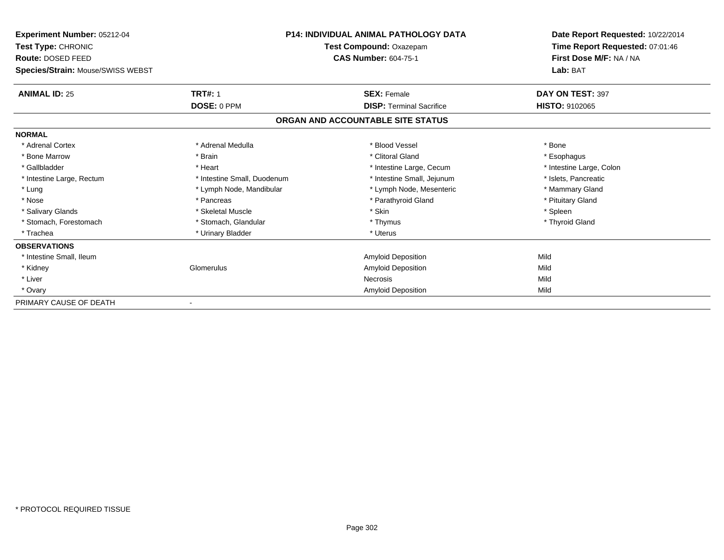| Experiment Number: 05212-04       |                             | <b>P14: INDIVIDUAL ANIMAL PATHOLOGY DATA</b> | Date Report Requested: 10/22/2014 |
|-----------------------------------|-----------------------------|----------------------------------------------|-----------------------------------|
| <b>Test Type: CHRONIC</b>         | Test Compound: Oxazepam     |                                              | Time Report Requested: 07:01:46   |
| Route: DOSED FEED                 |                             | <b>CAS Number: 604-75-1</b>                  | First Dose M/F: NA / NA           |
| Species/Strain: Mouse/SWISS WEBST |                             |                                              | Lab: BAT                          |
| <b>ANIMAL ID: 25</b>              | <b>TRT#: 1</b>              | <b>SEX: Female</b>                           | DAY ON TEST: 397                  |
|                                   | DOSE: 0 PPM                 | <b>DISP: Terminal Sacrifice</b>              | <b>HISTO: 9102065</b>             |
|                                   |                             | ORGAN AND ACCOUNTABLE SITE STATUS            |                                   |
| <b>NORMAL</b>                     |                             |                                              |                                   |
| * Adrenal Cortex                  | * Adrenal Medulla           | * Blood Vessel                               | * Bone                            |
| * Bone Marrow                     | * Brain                     | * Clitoral Gland                             | * Esophagus                       |
| * Gallbladder                     | * Heart                     | * Intestine Large, Cecum                     | * Intestine Large, Colon          |
| * Intestine Large, Rectum         | * Intestine Small, Duodenum | * Intestine Small, Jejunum                   | * Islets, Pancreatic              |
| * Lung                            | * Lymph Node, Mandibular    | * Lymph Node, Mesenteric                     | * Mammary Gland                   |
| * Nose                            | * Pancreas                  | * Parathyroid Gland                          | * Pituitary Gland                 |
| * Salivary Glands                 | * Skeletal Muscle           | * Skin                                       | * Spleen                          |
| * Stomach, Forestomach            | * Stomach, Glandular        | * Thymus                                     | * Thyroid Gland                   |
| * Trachea                         | * Urinary Bladder           | * Uterus                                     |                                   |
| <b>OBSERVATIONS</b>               |                             |                                              |                                   |
| * Intestine Small, Ileum          |                             | Amyloid Deposition                           | Mild                              |
| * Kidney                          | Glomerulus                  | <b>Amyloid Deposition</b>                    | Mild                              |
| * Liver                           |                             | Necrosis                                     | Mild                              |
| * Ovary                           |                             | <b>Amyloid Deposition</b>                    | Mild                              |
| PRIMARY CAUSE OF DEATH            |                             |                                              |                                   |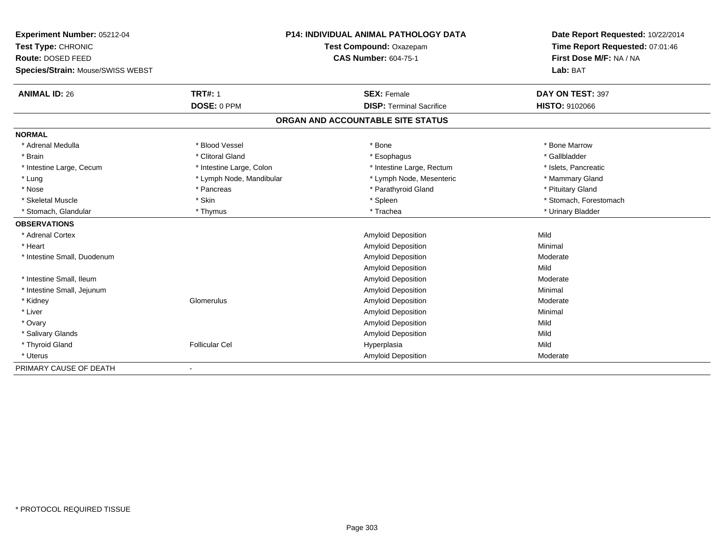| Experiment Number: 05212-04       | P14: INDIVIDUAL ANIMAL PATHOLOGY DATA<br>Test Compound: Oxazepam |                                   | Date Report Requested: 10/22/2014<br>Time Report Requested: 07:01:46 |
|-----------------------------------|------------------------------------------------------------------|-----------------------------------|----------------------------------------------------------------------|
| Test Type: CHRONIC                |                                                                  |                                   |                                                                      |
| Route: DOSED FEED                 |                                                                  | <b>CAS Number: 604-75-1</b>       | First Dose M/F: NA / NA                                              |
| Species/Strain: Mouse/SWISS WEBST |                                                                  |                                   | Lab: BAT                                                             |
| <b>ANIMAL ID: 26</b>              | <b>TRT#: 1</b>                                                   | <b>SEX: Female</b>                | DAY ON TEST: 397                                                     |
|                                   | DOSE: 0 PPM                                                      | <b>DISP: Terminal Sacrifice</b>   | HISTO: 9102066                                                       |
|                                   |                                                                  | ORGAN AND ACCOUNTABLE SITE STATUS |                                                                      |
| <b>NORMAL</b>                     |                                                                  |                                   |                                                                      |
| * Adrenal Medulla                 | * Blood Vessel                                                   | * Bone                            | * Bone Marrow                                                        |
| * Brain                           | * Clitoral Gland                                                 | * Esophagus                       | * Gallbladder                                                        |
| * Intestine Large, Cecum          | * Intestine Large, Colon                                         | * Intestine Large, Rectum         | * Islets, Pancreatic                                                 |
| * Lung                            | * Lymph Node, Mandibular                                         | * Lymph Node, Mesenteric          | * Mammary Gland                                                      |
| * Nose                            | * Pancreas                                                       | * Parathyroid Gland               | * Pituitary Gland                                                    |
| * Skeletal Muscle                 | * Skin                                                           | * Spleen                          | * Stomach, Forestomach                                               |
| * Stomach, Glandular              | * Thymus                                                         | * Trachea                         | * Urinary Bladder                                                    |
| <b>OBSERVATIONS</b>               |                                                                  |                                   |                                                                      |
| * Adrenal Cortex                  |                                                                  | Amyloid Deposition                | Mild                                                                 |
| * Heart                           |                                                                  | <b>Amyloid Deposition</b>         | Minimal                                                              |
| * Intestine Small, Duodenum       |                                                                  | <b>Amyloid Deposition</b>         | Moderate                                                             |
|                                   |                                                                  | <b>Amyloid Deposition</b>         | Mild                                                                 |
| * Intestine Small, Ileum          |                                                                  | Amyloid Deposition                | Moderate                                                             |
| * Intestine Small, Jejunum        |                                                                  | <b>Amyloid Deposition</b>         | Minimal                                                              |
| * Kidney                          | Glomerulus                                                       | <b>Amyloid Deposition</b>         | Moderate                                                             |
| * Liver                           |                                                                  | Amyloid Deposition                | Minimal                                                              |
| * Ovary                           |                                                                  | <b>Amyloid Deposition</b>         | Mild                                                                 |
| * Salivary Glands                 |                                                                  | <b>Amyloid Deposition</b>         | Mild                                                                 |
| * Thyroid Gland                   | <b>Follicular Cel</b>                                            | Hyperplasia                       | Mild                                                                 |
| * Uterus                          |                                                                  | <b>Amyloid Deposition</b>         | Moderate                                                             |
| PRIMARY CAUSE OF DEATH            |                                                                  |                                   |                                                                      |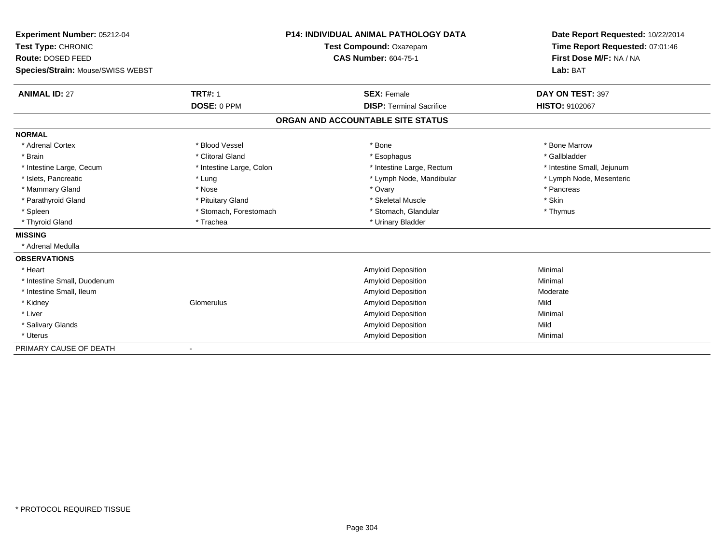| Experiment Number: 05212-04       |                          | <b>P14: INDIVIDUAL ANIMAL PATHOLOGY DATA</b> | Date Report Requested: 10/22/2014 |
|-----------------------------------|--------------------------|----------------------------------------------|-----------------------------------|
| Test Type: CHRONIC                |                          | Test Compound: Oxazepam                      | Time Report Requested: 07:01:46   |
| Route: DOSED FEED                 |                          | <b>CAS Number: 604-75-1</b>                  | First Dose M/F: NA / NA           |
| Species/Strain: Mouse/SWISS WEBST |                          |                                              | Lab: BAT                          |
| <b>ANIMAL ID: 27</b>              | <b>TRT#: 1</b>           | <b>SEX: Female</b>                           | DAY ON TEST: 397                  |
|                                   | DOSE: 0 PPM              | <b>DISP: Terminal Sacrifice</b>              | <b>HISTO: 9102067</b>             |
|                                   |                          | ORGAN AND ACCOUNTABLE SITE STATUS            |                                   |
| <b>NORMAL</b>                     |                          |                                              |                                   |
| * Adrenal Cortex                  | * Blood Vessel           | * Bone                                       | * Bone Marrow                     |
| * Brain                           | * Clitoral Gland         | * Esophagus                                  | * Gallbladder                     |
| * Intestine Large, Cecum          | * Intestine Large, Colon | * Intestine Large, Rectum                    | * Intestine Small, Jejunum        |
| * Islets, Pancreatic              | * Lung                   | * Lymph Node, Mandibular                     | * Lymph Node, Mesenteric          |
| * Mammary Gland                   | * Nose                   | * Ovary                                      | * Pancreas                        |
| * Parathyroid Gland               | * Pituitary Gland        | * Skeletal Muscle                            | * Skin                            |
| * Spleen                          | * Stomach, Forestomach   | * Stomach, Glandular                         | * Thymus                          |
| * Thyroid Gland                   | * Trachea                | * Urinary Bladder                            |                                   |
| <b>MISSING</b>                    |                          |                                              |                                   |
| * Adrenal Medulla                 |                          |                                              |                                   |
| <b>OBSERVATIONS</b>               |                          |                                              |                                   |
| * Heart                           |                          | <b>Amyloid Deposition</b>                    | Minimal                           |
| * Intestine Small, Duodenum       |                          | <b>Amyloid Deposition</b>                    | Minimal                           |
| * Intestine Small, Ileum          |                          | <b>Amyloid Deposition</b>                    | Moderate                          |
| * Kidney                          | Glomerulus               | <b>Amyloid Deposition</b>                    | Mild                              |
| * Liver                           |                          | <b>Amyloid Deposition</b>                    | Minimal                           |
| * Salivary Glands                 |                          | <b>Amyloid Deposition</b>                    | Mild                              |
| * Uterus                          |                          | Amyloid Deposition                           | Minimal                           |
| PRIMARY CAUSE OF DEATH            |                          |                                              |                                   |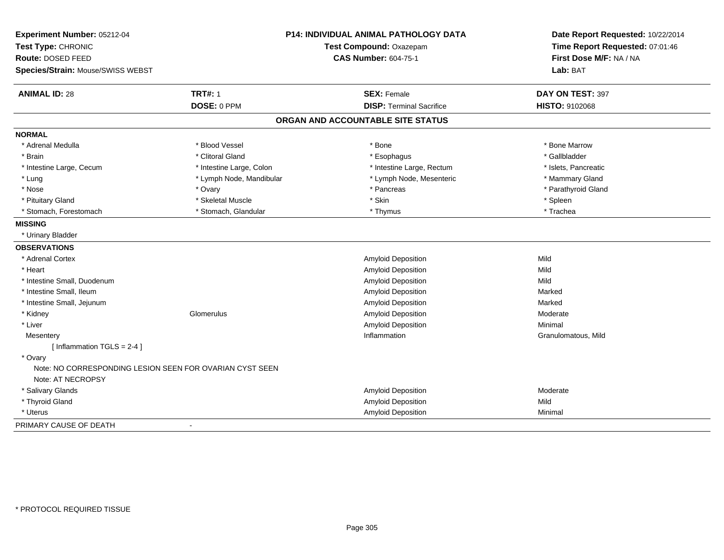| Experiment Number: 05212-04<br>Test Type: CHRONIC<br>Route: DOSED FEED<br>Species/Strain: Mouse/SWISS WEBST |                          | P14: INDIVIDUAL ANIMAL PATHOLOGY DATA<br>Test Compound: Oxazepam<br><b>CAS Number: 604-75-1</b> | Date Report Requested: 10/22/2014<br>Time Report Requested: 07:01:46<br>First Dose M/F: NA / NA<br>Lab: BAT |
|-------------------------------------------------------------------------------------------------------------|--------------------------|-------------------------------------------------------------------------------------------------|-------------------------------------------------------------------------------------------------------------|
| <b>ANIMAL ID: 28</b>                                                                                        | <b>TRT#: 1</b>           | <b>SEX: Female</b>                                                                              | DAY ON TEST: 397                                                                                            |
|                                                                                                             | DOSE: 0 PPM              | <b>DISP: Terminal Sacrifice</b>                                                                 | <b>HISTO: 9102068</b>                                                                                       |
|                                                                                                             |                          | ORGAN AND ACCOUNTABLE SITE STATUS                                                               |                                                                                                             |
| <b>NORMAL</b>                                                                                               |                          |                                                                                                 |                                                                                                             |
| * Adrenal Medulla                                                                                           | * Blood Vessel           | * Bone                                                                                          | * Bone Marrow                                                                                               |
| * Brain                                                                                                     | * Clitoral Gland         | * Esophagus                                                                                     | * Gallbladder                                                                                               |
| * Intestine Large, Cecum                                                                                    | * Intestine Large, Colon | * Intestine Large, Rectum                                                                       | * Islets, Pancreatic                                                                                        |
| * Lung                                                                                                      | * Lymph Node, Mandibular | * Lymph Node, Mesenteric                                                                        | * Mammary Gland                                                                                             |
| * Nose                                                                                                      | * Ovary                  | * Pancreas                                                                                      | * Parathyroid Gland                                                                                         |
| * Pituitary Gland                                                                                           | * Skeletal Muscle        | * Skin                                                                                          | * Spleen                                                                                                    |
| * Stomach, Forestomach                                                                                      | * Stomach, Glandular     | * Thymus                                                                                        | * Trachea                                                                                                   |
| <b>MISSING</b>                                                                                              |                          |                                                                                                 |                                                                                                             |
| * Urinary Bladder                                                                                           |                          |                                                                                                 |                                                                                                             |
| <b>OBSERVATIONS</b>                                                                                         |                          |                                                                                                 |                                                                                                             |
| * Adrenal Cortex                                                                                            |                          | Amyloid Deposition                                                                              | Mild                                                                                                        |
| * Heart                                                                                                     |                          | Amyloid Deposition                                                                              | Mild                                                                                                        |
| * Intestine Small, Duodenum                                                                                 |                          | Amyloid Deposition                                                                              | Mild                                                                                                        |
| * Intestine Small, Ileum                                                                                    |                          | Amyloid Deposition                                                                              | Marked                                                                                                      |
| * Intestine Small, Jejunum                                                                                  |                          | Amyloid Deposition                                                                              | Marked                                                                                                      |
| * Kidney                                                                                                    | Glomerulus               | Amyloid Deposition                                                                              | Moderate                                                                                                    |
| * Liver                                                                                                     |                          | Amyloid Deposition                                                                              | Minimal                                                                                                     |
| Mesentery                                                                                                   |                          | Inflammation                                                                                    | Granulomatous, Mild                                                                                         |
| [Inflammation TGLS = $2-4$ ]                                                                                |                          |                                                                                                 |                                                                                                             |
| * Ovary<br>Note: NO CORRESPONDING LESION SEEN FOR OVARIAN CYST SEEN                                         |                          |                                                                                                 |                                                                                                             |
| Note: AT NECROPSY                                                                                           |                          |                                                                                                 |                                                                                                             |
| * Salivary Glands                                                                                           |                          | Amyloid Deposition                                                                              | Moderate                                                                                                    |
| * Thyroid Gland                                                                                             |                          | Amyloid Deposition                                                                              | Mild<br>Minimal                                                                                             |
| * Uterus                                                                                                    |                          | Amyloid Deposition                                                                              |                                                                                                             |
| PRIMARY CAUSE OF DEATH                                                                                      |                          |                                                                                                 |                                                                                                             |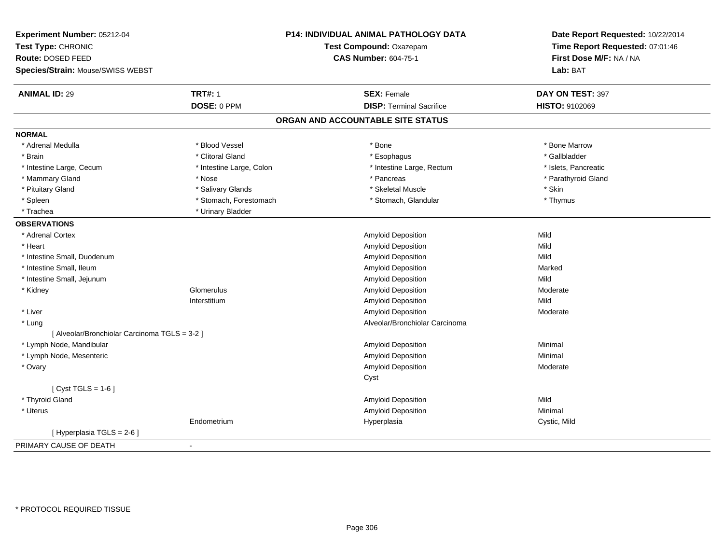| Experiment Number: 05212-04<br>Test Type: CHRONIC<br>Route: DOSED FEED<br>Species/Strain: Mouse/SWISS WEBST |                          | P14: INDIVIDUAL ANIMAL PATHOLOGY DATA<br>Test Compound: Oxazepam<br><b>CAS Number: 604-75-1</b> | Date Report Requested: 10/22/2014<br>Time Report Requested: 07:01:46<br>First Dose M/F: NA / NA<br>Lab: BAT |
|-------------------------------------------------------------------------------------------------------------|--------------------------|-------------------------------------------------------------------------------------------------|-------------------------------------------------------------------------------------------------------------|
| <b>ANIMAL ID: 29</b>                                                                                        | <b>TRT#: 1</b>           | <b>SEX: Female</b>                                                                              | DAY ON TEST: 397                                                                                            |
|                                                                                                             | DOSE: 0 PPM              | <b>DISP: Terminal Sacrifice</b>                                                                 | HISTO: 9102069                                                                                              |
|                                                                                                             |                          | ORGAN AND ACCOUNTABLE SITE STATUS                                                               |                                                                                                             |
| <b>NORMAL</b>                                                                                               |                          |                                                                                                 |                                                                                                             |
| * Adrenal Medulla                                                                                           | * Blood Vessel           | * Bone                                                                                          | * Bone Marrow                                                                                               |
| * Brain                                                                                                     | * Clitoral Gland         | * Esophagus                                                                                     | * Gallbladder                                                                                               |
| * Intestine Large, Cecum                                                                                    | * Intestine Large, Colon | * Intestine Large, Rectum                                                                       | * Islets, Pancreatic                                                                                        |
| * Mammary Gland                                                                                             | * Nose                   | * Pancreas                                                                                      | * Parathyroid Gland                                                                                         |
| * Pituitary Gland                                                                                           | * Salivary Glands        | * Skeletal Muscle                                                                               | * Skin                                                                                                      |
| * Spleen                                                                                                    | * Stomach, Forestomach   | * Stomach, Glandular                                                                            | * Thymus                                                                                                    |
| * Trachea                                                                                                   | * Urinary Bladder        |                                                                                                 |                                                                                                             |
| <b>OBSERVATIONS</b>                                                                                         |                          |                                                                                                 |                                                                                                             |
| * Adrenal Cortex                                                                                            |                          | <b>Amyloid Deposition</b>                                                                       | Mild                                                                                                        |
| * Heart                                                                                                     |                          | Amyloid Deposition                                                                              | Mild                                                                                                        |
| * Intestine Small, Duodenum                                                                                 |                          | Amyloid Deposition                                                                              | Mild                                                                                                        |
| * Intestine Small, Ileum                                                                                    |                          | Amyloid Deposition                                                                              | Marked                                                                                                      |
| * Intestine Small, Jejunum                                                                                  |                          | Amyloid Deposition                                                                              | Mild                                                                                                        |
| * Kidney                                                                                                    | Glomerulus               | Amyloid Deposition                                                                              | Moderate                                                                                                    |
|                                                                                                             | Interstitium             | Amyloid Deposition                                                                              | Mild                                                                                                        |
| * Liver                                                                                                     |                          | <b>Amyloid Deposition</b>                                                                       | Moderate                                                                                                    |
| * Lung                                                                                                      |                          | Alveolar/Bronchiolar Carcinoma                                                                  |                                                                                                             |
| [ Alveolar/Bronchiolar Carcinoma TGLS = 3-2 ]                                                               |                          |                                                                                                 |                                                                                                             |
| * Lymph Node, Mandibular                                                                                    |                          | Amyloid Deposition                                                                              | Minimal                                                                                                     |
| * Lymph Node, Mesenteric                                                                                    |                          | Amyloid Deposition                                                                              | Minimal                                                                                                     |
| * Ovary                                                                                                     |                          | Amyloid Deposition                                                                              | Moderate                                                                                                    |
|                                                                                                             |                          | Cyst                                                                                            |                                                                                                             |
| [ $Cyst TGLS = 1-6$ ]                                                                                       |                          |                                                                                                 |                                                                                                             |
| * Thyroid Gland                                                                                             |                          | Amyloid Deposition                                                                              | Mild                                                                                                        |
| * Uterus                                                                                                    |                          | Amyloid Deposition                                                                              | Minimal                                                                                                     |
|                                                                                                             | Endometrium              | Hyperplasia                                                                                     | Cystic, Mild                                                                                                |
| [ Hyperplasia TGLS = 2-6 ]                                                                                  |                          |                                                                                                 |                                                                                                             |
| PRIMARY CAUSE OF DEATH                                                                                      | $\blacksquare$           |                                                                                                 |                                                                                                             |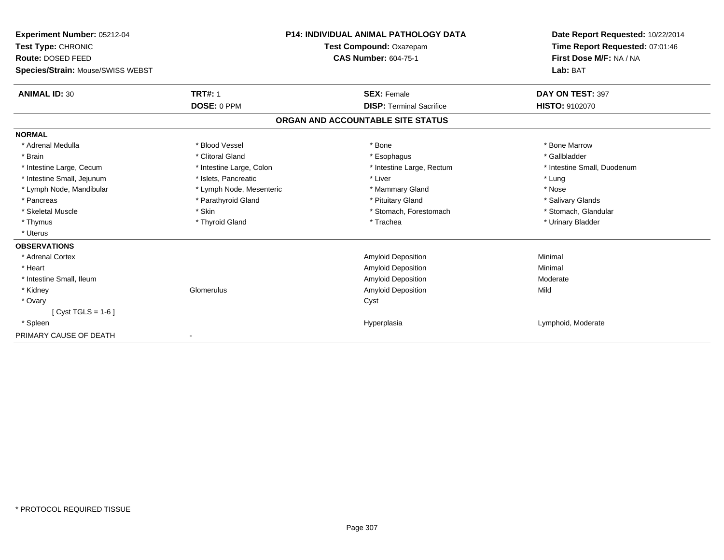| <b>Experiment Number: 05212-04</b><br>Test Type: CHRONIC |                          | <b>P14: INDIVIDUAL ANIMAL PATHOLOGY DATA</b><br>Test Compound: Oxazepam | Date Report Requested: 10/22/2014<br>Time Report Requested: 07:01:46<br>First Dose M/F: NA / NA<br>Lab: BAT |
|----------------------------------------------------------|--------------------------|-------------------------------------------------------------------------|-------------------------------------------------------------------------------------------------------------|
| Route: DOSED FEED                                        |                          | <b>CAS Number: 604-75-1</b>                                             |                                                                                                             |
| Species/Strain: Mouse/SWISS WEBST                        |                          |                                                                         |                                                                                                             |
| <b>ANIMAL ID: 30</b>                                     | <b>TRT#: 1</b>           | <b>SEX: Female</b>                                                      | DAY ON TEST: 397                                                                                            |
|                                                          | DOSE: 0 PPM              | <b>DISP: Terminal Sacrifice</b>                                         | <b>HISTO: 9102070</b>                                                                                       |
|                                                          |                          | ORGAN AND ACCOUNTABLE SITE STATUS                                       |                                                                                                             |
| <b>NORMAL</b>                                            |                          |                                                                         |                                                                                                             |
| * Adrenal Medulla                                        | * Blood Vessel           | * Bone                                                                  | * Bone Marrow                                                                                               |
| * Brain                                                  | * Clitoral Gland         | * Esophagus                                                             | * Gallbladder                                                                                               |
| * Intestine Large, Cecum                                 | * Intestine Large, Colon | * Intestine Large, Rectum                                               | * Intestine Small, Duodenum                                                                                 |
| * Intestine Small, Jejunum                               | * Islets. Pancreatic     | * Liver                                                                 | * Lung                                                                                                      |
| * Lymph Node, Mandibular                                 | * Lymph Node, Mesenteric | * Mammary Gland                                                         | * Nose                                                                                                      |
| * Pancreas                                               | * Parathyroid Gland      | * Pituitary Gland                                                       | * Salivary Glands                                                                                           |
| * Skeletal Muscle                                        | * Skin                   | * Stomach, Forestomach                                                  | * Stomach, Glandular                                                                                        |
| * Thymus                                                 | * Thyroid Gland          | * Trachea                                                               | * Urinary Bladder                                                                                           |
| * Uterus                                                 |                          |                                                                         |                                                                                                             |
| <b>OBSERVATIONS</b>                                      |                          |                                                                         |                                                                                                             |
| * Adrenal Cortex                                         |                          | <b>Amyloid Deposition</b>                                               | Minimal                                                                                                     |
| * Heart                                                  |                          | Amyloid Deposition                                                      | Minimal                                                                                                     |
| * Intestine Small, Ileum                                 |                          | Amyloid Deposition                                                      | Moderate                                                                                                    |
| * Kidney                                                 | Glomerulus               | <b>Amyloid Deposition</b>                                               | Mild                                                                                                        |
| * Ovary                                                  |                          | Cyst                                                                    |                                                                                                             |
| [ $Cyst TGLS = 1-6$ ]                                    |                          |                                                                         |                                                                                                             |
| * Spleen                                                 |                          | Hyperplasia                                                             | Lymphoid, Moderate                                                                                          |
| PRIMARY CAUSE OF DEATH                                   |                          |                                                                         |                                                                                                             |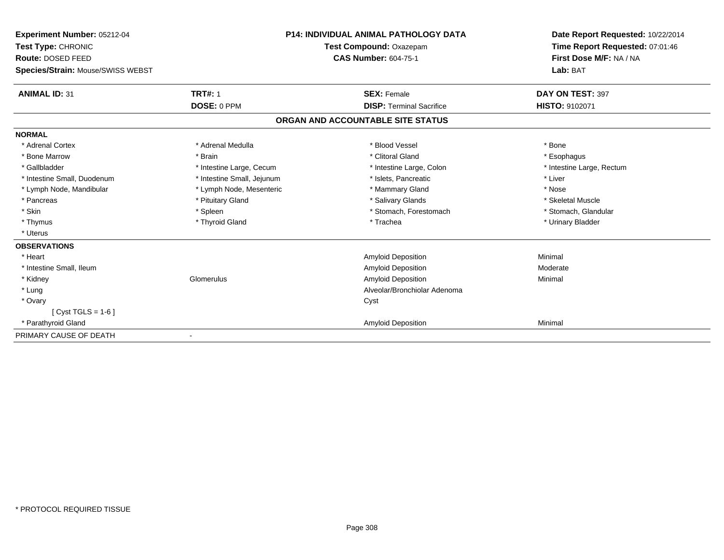| Experiment Number: 05212-04<br>Test Type: CHRONIC<br>Route: DOSED FEED |                            | <b>P14: INDIVIDUAL ANIMAL PATHOLOGY DATA</b> | Date Report Requested: 10/22/2014<br>Time Report Requested: 07:01:46<br>First Dose M/F: NA / NA |
|------------------------------------------------------------------------|----------------------------|----------------------------------------------|-------------------------------------------------------------------------------------------------|
|                                                                        |                            | Test Compound: Oxazepam                      |                                                                                                 |
|                                                                        |                            | <b>CAS Number: 604-75-1</b>                  |                                                                                                 |
| Species/Strain: Mouse/SWISS WEBST                                      |                            |                                              | Lab: BAT                                                                                        |
| <b>ANIMAL ID: 31</b>                                                   | <b>TRT#: 1</b>             | <b>SEX: Female</b>                           | DAY ON TEST: 397                                                                                |
|                                                                        | DOSE: 0 PPM                | <b>DISP: Terminal Sacrifice</b>              | <b>HISTO: 9102071</b>                                                                           |
|                                                                        |                            | ORGAN AND ACCOUNTABLE SITE STATUS            |                                                                                                 |
| <b>NORMAL</b>                                                          |                            |                                              |                                                                                                 |
| * Adrenal Cortex                                                       | * Adrenal Medulla          | * Blood Vessel                               | * Bone                                                                                          |
| * Bone Marrow                                                          | * Brain                    | * Clitoral Gland                             | * Esophagus                                                                                     |
| * Gallbladder                                                          | * Intestine Large, Cecum   | * Intestine Large, Colon                     | * Intestine Large, Rectum                                                                       |
| * Intestine Small, Duodenum                                            | * Intestine Small, Jejunum | * Islets, Pancreatic                         | * Liver                                                                                         |
| * Lymph Node, Mandibular                                               | * Lymph Node, Mesenteric   | * Mammary Gland                              | * Nose                                                                                          |
| * Pancreas                                                             | * Pituitary Gland          | * Salivary Glands                            | * Skeletal Muscle                                                                               |
| * Skin                                                                 | * Spleen                   | * Stomach, Forestomach                       | * Stomach, Glandular                                                                            |
| * Thymus                                                               | * Thyroid Gland            | * Trachea                                    | * Urinary Bladder                                                                               |
| * Uterus                                                               |                            |                                              |                                                                                                 |
| <b>OBSERVATIONS</b>                                                    |                            |                                              |                                                                                                 |
| * Heart                                                                |                            | <b>Amyloid Deposition</b>                    | Minimal                                                                                         |
| * Intestine Small, Ileum                                               |                            | Amyloid Deposition                           | Moderate                                                                                        |
| * Kidney                                                               | Glomerulus                 | <b>Amyloid Deposition</b>                    | Minimal                                                                                         |
| * Lung                                                                 |                            | Alveolar/Bronchiolar Adenoma                 |                                                                                                 |
| * Ovary                                                                |                            | Cyst                                         |                                                                                                 |
| [ Cyst TGLS = $1-6$ ]                                                  |                            |                                              |                                                                                                 |
| * Parathyroid Gland                                                    |                            | <b>Amyloid Deposition</b>                    | Minimal                                                                                         |
| PRIMARY CAUSE OF DEATH                                                 |                            |                                              |                                                                                                 |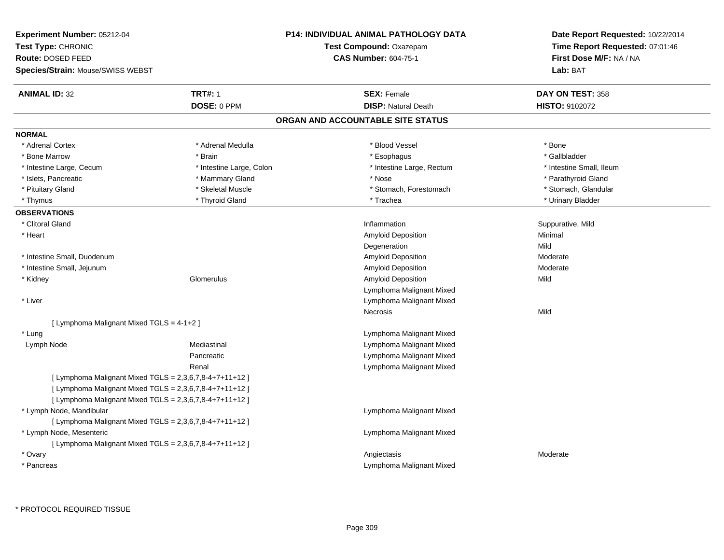| <b>Experiment Number: 05212-04</b>                      | <b>P14: INDIVIDUAL ANIMAL PATHOLOGY DATA</b> | Date Report Requested: 10/22/2014 |  |
|---------------------------------------------------------|----------------------------------------------|-----------------------------------|--|
| Test Type: CHRONIC                                      | Test Compound: Oxazepam                      | Time Report Requested: 07:01:46   |  |
| Route: DOSED FEED                                       | <b>CAS Number: 604-75-1</b>                  | First Dose M/F: NA / NA           |  |
| Species/Strain: Mouse/SWISS WEBST                       |                                              | Lab: BAT                          |  |
| <b>TRT#: 1</b><br><b>ANIMAL ID: 32</b>                  | <b>SEX: Female</b>                           | DAY ON TEST: 358                  |  |
| DOSE: 0 PPM                                             | <b>DISP: Natural Death</b>                   | HISTO: 9102072                    |  |
|                                                         | ORGAN AND ACCOUNTABLE SITE STATUS            |                                   |  |
| <b>NORMAL</b>                                           |                                              |                                   |  |
| * Adrenal Cortex<br>* Adrenal Medulla                   | * Blood Vessel                               | * Bone                            |  |
| * Bone Marrow<br>* Brain                                | * Esophagus                                  | * Gallbladder                     |  |
| * Intestine Large, Colon<br>* Intestine Large, Cecum    | * Intestine Large, Rectum                    | * Intestine Small, Ileum          |  |
| * Islets, Pancreatic<br>* Mammary Gland                 | * Nose                                       | * Parathyroid Gland               |  |
| * Pituitary Gland<br>* Skeletal Muscle                  | * Stomach, Forestomach                       | * Stomach, Glandular              |  |
| * Thyroid Gland<br>* Thymus                             | * Trachea                                    | * Urinary Bladder                 |  |
| <b>OBSERVATIONS</b>                                     |                                              |                                   |  |
| * Clitoral Gland                                        | Inflammation                                 | Suppurative, Mild                 |  |
| * Heart                                                 | Amyloid Deposition                           | Minimal                           |  |
|                                                         | Degeneration                                 | Mild                              |  |
| * Intestine Small, Duodenum                             | Amyloid Deposition                           | Moderate                          |  |
| * Intestine Small, Jejunum                              | Amyloid Deposition                           | Moderate                          |  |
| Glomerulus<br>* Kidney                                  | Amyloid Deposition                           | Mild                              |  |
|                                                         | Lymphoma Malignant Mixed                     |                                   |  |
| * Liver                                                 | Lymphoma Malignant Mixed                     |                                   |  |
|                                                         | Necrosis                                     | Mild                              |  |
| [ Lymphoma Malignant Mixed TGLS = $4-1+2$ ]             |                                              |                                   |  |
| * Lung                                                  | Lymphoma Malignant Mixed                     |                                   |  |
| Lymph Node<br>Mediastinal                               | Lymphoma Malignant Mixed                     |                                   |  |
| Pancreatic                                              | Lymphoma Malignant Mixed                     |                                   |  |
| Renal                                                   | Lymphoma Malignant Mixed                     |                                   |  |
| [ Lymphoma Malignant Mixed TGLS = 2,3,6,7,8-4+7+11+12 ] |                                              |                                   |  |
| [ Lymphoma Malignant Mixed TGLS = 2,3,6,7,8-4+7+11+12 ] |                                              |                                   |  |
| [ Lymphoma Malignant Mixed TGLS = 2,3,6,7,8-4+7+11+12 ] |                                              |                                   |  |
| * Lymph Node, Mandibular                                | Lymphoma Malignant Mixed                     |                                   |  |
| [ Lymphoma Malignant Mixed TGLS = 2,3,6,7,8-4+7+11+12 ] |                                              |                                   |  |
| * Lymph Node, Mesenteric                                | Lymphoma Malignant Mixed                     |                                   |  |
| [ Lymphoma Malignant Mixed TGLS = 2,3,6,7,8-4+7+11+12 ] |                                              |                                   |  |
| * Ovary                                                 | Angiectasis                                  | Moderate                          |  |
| * Pancreas                                              | Lymphoma Malignant Mixed                     |                                   |  |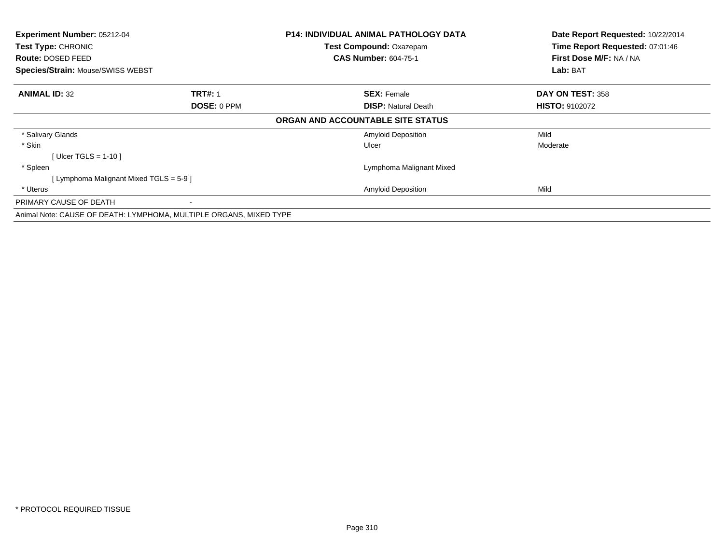| Experiment Number: 05212-04<br>Test Type: CHRONIC |                                                                    | <b>P14: INDIVIDUAL ANIMAL PATHOLOGY DATA</b> | Date Report Requested: 10/22/2014 |
|---------------------------------------------------|--------------------------------------------------------------------|----------------------------------------------|-----------------------------------|
|                                                   |                                                                    | <b>Test Compound: Oxazepam</b>               | Time Report Requested: 07:01:46   |
| <b>Route: DOSED FEED</b>                          |                                                                    | <b>CAS Number: 604-75-1</b>                  | First Dose M/F: NA / NA           |
| <b>Species/Strain: Mouse/SWISS WEBST</b>          |                                                                    |                                              | Lab: BAT                          |
| <b>ANIMAL ID: 32</b>                              | <b>TRT#: 1</b>                                                     | <b>SEX: Female</b>                           | DAY ON TEST: 358                  |
|                                                   | <b>DOSE: 0 PPM</b>                                                 | <b>DISP: Natural Death</b>                   | <b>HISTO: 9102072</b>             |
|                                                   |                                                                    | ORGAN AND ACCOUNTABLE SITE STATUS            |                                   |
| * Salivary Glands                                 |                                                                    | <b>Amyloid Deposition</b>                    | Mild                              |
| * Skin                                            |                                                                    | Ulcer                                        | Moderate                          |
| [ Ulcer TGLS = $1-10$ ]                           |                                                                    |                                              |                                   |
| * Spleen                                          |                                                                    | Lymphoma Malignant Mixed                     |                                   |
| [ Lymphoma Malignant Mixed TGLS = 5-9 ]           |                                                                    |                                              |                                   |
| * Uterus                                          |                                                                    | <b>Amyloid Deposition</b>                    | Mild                              |
| PRIMARY CAUSE OF DEATH                            |                                                                    |                                              |                                   |
|                                                   | Animal Note: CAUSE OF DEATH: LYMPHOMA, MULTIPLE ORGANS, MIXED TYPE |                                              |                                   |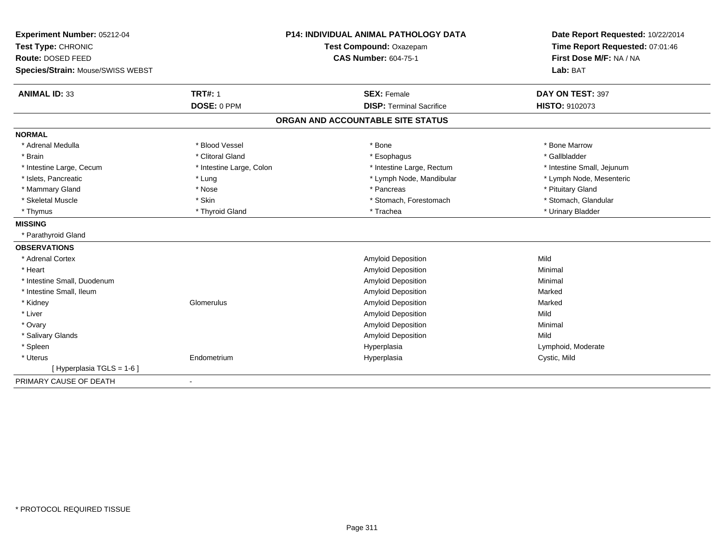| Experiment Number: 05212-04<br>Test Type: CHRONIC | <b>P14: INDIVIDUAL ANIMAL PATHOLOGY DATA</b><br>Test Compound: Oxazepam |                                   | Date Report Requested: 10/22/2014<br>Time Report Requested: 07:01:46 |
|---------------------------------------------------|-------------------------------------------------------------------------|-----------------------------------|----------------------------------------------------------------------|
| Route: DOSED FEED                                 |                                                                         | <b>CAS Number: 604-75-1</b>       | First Dose M/F: NA / NA                                              |
| Species/Strain: Mouse/SWISS WEBST                 |                                                                         |                                   | Lab: BAT                                                             |
|                                                   |                                                                         |                                   |                                                                      |
| <b>ANIMAL ID: 33</b>                              | <b>TRT#: 1</b>                                                          | <b>SEX: Female</b>                | DAY ON TEST: 397                                                     |
|                                                   | DOSE: 0 PPM                                                             | <b>DISP: Terminal Sacrifice</b>   | HISTO: 9102073                                                       |
|                                                   |                                                                         | ORGAN AND ACCOUNTABLE SITE STATUS |                                                                      |
| <b>NORMAL</b>                                     |                                                                         |                                   |                                                                      |
| * Adrenal Medulla                                 | * Blood Vessel                                                          | * Bone                            | * Bone Marrow                                                        |
| * Brain                                           | * Clitoral Gland                                                        | * Esophagus                       | * Gallbladder                                                        |
| * Intestine Large, Cecum                          | * Intestine Large, Colon                                                | * Intestine Large, Rectum         | * Intestine Small, Jejunum                                           |
| * Islets, Pancreatic                              | * Lung                                                                  | * Lymph Node, Mandibular          | * Lymph Node, Mesenteric                                             |
| * Mammary Gland                                   | * Nose                                                                  | * Pancreas                        | * Pituitary Gland                                                    |
| * Skeletal Muscle                                 | * Skin                                                                  | * Stomach, Forestomach            | * Stomach, Glandular                                                 |
| * Thymus                                          | * Thyroid Gland                                                         | * Trachea                         | * Urinary Bladder                                                    |
| <b>MISSING</b>                                    |                                                                         |                                   |                                                                      |
| * Parathyroid Gland                               |                                                                         |                                   |                                                                      |
| <b>OBSERVATIONS</b>                               |                                                                         |                                   |                                                                      |
| * Adrenal Cortex                                  |                                                                         | Amyloid Deposition                | Mild                                                                 |
| * Heart                                           |                                                                         | <b>Amyloid Deposition</b>         | Minimal                                                              |
| * Intestine Small, Duodenum                       |                                                                         | Amyloid Deposition                | Minimal                                                              |
| * Intestine Small, Ileum                          |                                                                         | Amyloid Deposition                | Marked                                                               |
| * Kidney                                          | Glomerulus                                                              | Amyloid Deposition                | Marked                                                               |
| * Liver                                           |                                                                         | <b>Amyloid Deposition</b>         | Mild                                                                 |
| * Ovary                                           |                                                                         | <b>Amyloid Deposition</b>         | Minimal                                                              |
| * Salivary Glands                                 |                                                                         | <b>Amyloid Deposition</b>         | Mild                                                                 |
| * Spleen                                          |                                                                         | Hyperplasia                       | Lymphoid, Moderate                                                   |
| * Uterus                                          | Endometrium                                                             | Hyperplasia                       | Cystic, Mild                                                         |
| [ Hyperplasia TGLS = 1-6 ]                        |                                                                         |                                   |                                                                      |
| PRIMARY CAUSE OF DEATH                            |                                                                         |                                   |                                                                      |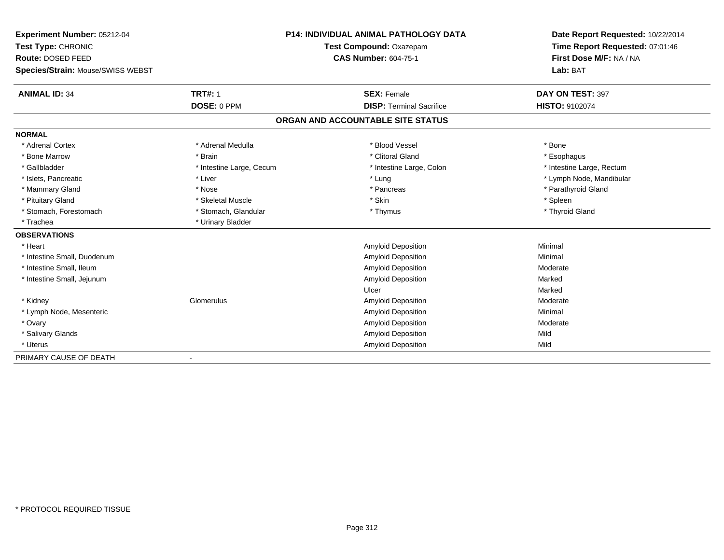| Experiment Number: 05212-04       |                          | <b>P14: INDIVIDUAL ANIMAL PATHOLOGY DATA</b> | Date Report Requested: 10/22/2014 |
|-----------------------------------|--------------------------|----------------------------------------------|-----------------------------------|
| Test Type: CHRONIC                |                          | Test Compound: Oxazepam                      | Time Report Requested: 07:01:46   |
| Route: DOSED FEED                 |                          | <b>CAS Number: 604-75-1</b>                  | First Dose M/F: NA / NA           |
| Species/Strain: Mouse/SWISS WEBST |                          |                                              | Lab: BAT                          |
| <b>ANIMAL ID: 34</b>              | <b>TRT#: 1</b>           | <b>SEX: Female</b>                           | DAY ON TEST: 397                  |
|                                   | DOSE: 0 PPM              | <b>DISP: Terminal Sacrifice</b>              | HISTO: 9102074                    |
|                                   |                          | ORGAN AND ACCOUNTABLE SITE STATUS            |                                   |
| <b>NORMAL</b>                     |                          |                                              |                                   |
| * Adrenal Cortex                  | * Adrenal Medulla        | * Blood Vessel                               | * Bone                            |
| * Bone Marrow                     | * Brain                  | * Clitoral Gland                             | * Esophagus                       |
| * Gallbladder                     | * Intestine Large, Cecum | * Intestine Large, Colon                     | * Intestine Large, Rectum         |
| * Islets, Pancreatic              | * Liver                  | * Lung                                       | * Lymph Node, Mandibular          |
| * Mammary Gland                   | * Nose                   | * Pancreas                                   | * Parathyroid Gland               |
| * Pituitary Gland                 | * Skeletal Muscle        | * Skin                                       | * Spleen                          |
| * Stomach, Forestomach            | * Stomach, Glandular     | * Thymus                                     | * Thyroid Gland                   |
| * Trachea                         | * Urinary Bladder        |                                              |                                   |
| <b>OBSERVATIONS</b>               |                          |                                              |                                   |
| * Heart                           |                          | Amyloid Deposition                           | Minimal                           |
| * Intestine Small, Duodenum       |                          | Amyloid Deposition                           | Minimal                           |
| * Intestine Small, Ileum          |                          | Amyloid Deposition                           | Moderate                          |
| * Intestine Small, Jejunum        |                          | Amyloid Deposition                           | Marked                            |
|                                   |                          | Ulcer                                        | Marked                            |
| * Kidney                          | Glomerulus               | <b>Amyloid Deposition</b>                    | Moderate                          |
| * Lymph Node, Mesenteric          |                          | Amyloid Deposition                           | Minimal                           |
| * Ovary                           |                          | Amyloid Deposition                           | Moderate                          |
| * Salivary Glands                 |                          | Amyloid Deposition                           | Mild                              |
| * Uterus                          |                          | Amyloid Deposition                           | Mild                              |
| PRIMARY CAUSE OF DEATH            |                          |                                              |                                   |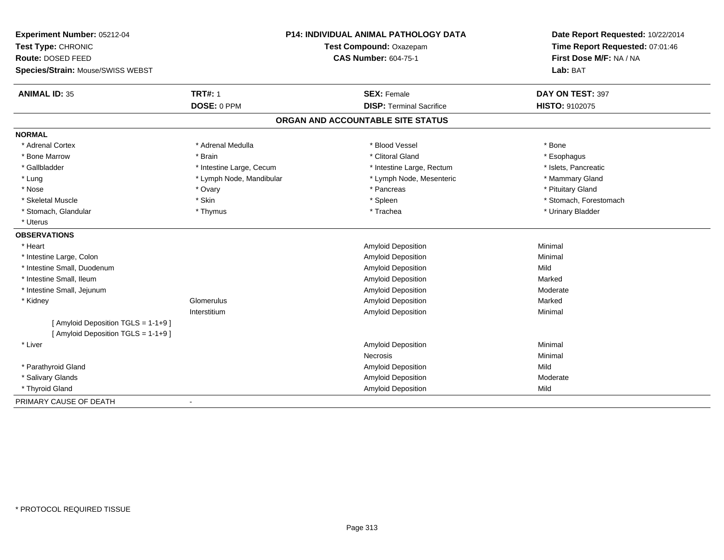| Experiment Number: 05212-04                                                |                          | P14: INDIVIDUAL ANIMAL PATHOLOGY DATA | Date Report Requested: 10/22/2014 |
|----------------------------------------------------------------------------|--------------------------|---------------------------------------|-----------------------------------|
| Test Type: CHRONIC                                                         | Test Compound: Oxazepam  |                                       | Time Report Requested: 07:01:46   |
| Route: DOSED FEED                                                          |                          | <b>CAS Number: 604-75-1</b>           | First Dose M/F: NA / NA           |
| Species/Strain: Mouse/SWISS WEBST                                          |                          |                                       | Lab: BAT                          |
| <b>ANIMAL ID: 35</b>                                                       | <b>TRT#: 1</b>           | <b>SEX: Female</b>                    | DAY ON TEST: 397                  |
|                                                                            | DOSE: 0 PPM              | <b>DISP: Terminal Sacrifice</b>       | HISTO: 9102075                    |
|                                                                            |                          | ORGAN AND ACCOUNTABLE SITE STATUS     |                                   |
| <b>NORMAL</b>                                                              |                          |                                       |                                   |
| * Adrenal Cortex                                                           | * Adrenal Medulla        | * Blood Vessel                        | * Bone                            |
| * Bone Marrow                                                              | * Brain                  | * Clitoral Gland                      | * Esophagus                       |
| * Gallbladder                                                              | * Intestine Large, Cecum | * Intestine Large, Rectum             | * Islets, Pancreatic              |
| * Lung                                                                     | * Lymph Node, Mandibular | * Lymph Node, Mesenteric              | * Mammary Gland                   |
| * Nose                                                                     | * Ovary                  | * Pancreas                            | * Pituitary Gland                 |
| * Skeletal Muscle                                                          | * Skin                   | * Spleen                              | * Stomach, Forestomach            |
| * Stomach, Glandular                                                       | * Thymus                 | * Trachea                             | * Urinary Bladder                 |
| * Uterus                                                                   |                          |                                       |                                   |
| <b>OBSERVATIONS</b>                                                        |                          |                                       |                                   |
| * Heart                                                                    |                          | <b>Amyloid Deposition</b>             | Minimal                           |
| * Intestine Large, Colon                                                   |                          | Amyloid Deposition                    | Minimal                           |
| * Intestine Small, Duodenum                                                |                          | Amyloid Deposition                    | Mild                              |
| * Intestine Small, Ileum                                                   |                          | Amyloid Deposition                    | Marked                            |
| * Intestine Small, Jejunum                                                 |                          | Amyloid Deposition                    | Moderate                          |
| * Kidney                                                                   | Glomerulus               | Amyloid Deposition                    | Marked                            |
|                                                                            | Interstitium             | <b>Amyloid Deposition</b>             | Minimal                           |
| [ Amyloid Deposition TGLS = 1-1+9 ]<br>[ Amyloid Deposition TGLS = 1-1+9 ] |                          |                                       |                                   |
| * Liver                                                                    |                          | <b>Amyloid Deposition</b>             | Minimal                           |
|                                                                            |                          | <b>Necrosis</b>                       | Minimal                           |
| * Parathyroid Gland                                                        |                          | Amyloid Deposition                    | Mild                              |
| * Salivary Glands                                                          |                          | Amyloid Deposition                    | Moderate                          |
| * Thyroid Gland                                                            |                          | Amyloid Deposition                    | Mild                              |
| PRIMARY CAUSE OF DEATH                                                     | $\blacksquare$           |                                       |                                   |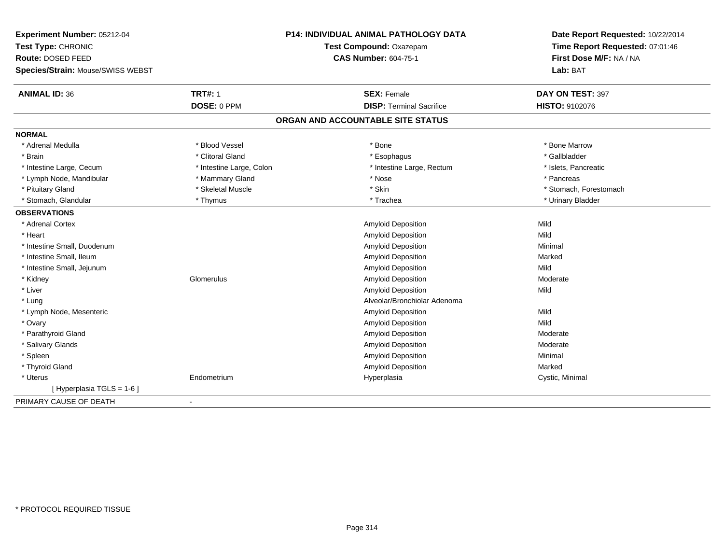| Experiment Number: 05212-04       |                                                        | <b>P14: INDIVIDUAL ANIMAL PATHOLOGY DATA</b> | Date Report Requested: 10/22/2014                          |
|-----------------------------------|--------------------------------------------------------|----------------------------------------------|------------------------------------------------------------|
| Test Type: CHRONIC                | Test Compound: Oxazepam<br><b>CAS Number: 604-75-1</b> |                                              | Time Report Requested: 07:01:46<br>First Dose M/F: NA / NA |
| Route: DOSED FEED                 |                                                        |                                              |                                                            |
| Species/Strain: Mouse/SWISS WEBST |                                                        |                                              | Lab: BAT                                                   |
| <b>ANIMAL ID: 36</b>              | <b>TRT#: 1</b>                                         | <b>SEX: Female</b>                           | DAY ON TEST: 397                                           |
|                                   | DOSE: 0 PPM                                            | <b>DISP: Terminal Sacrifice</b>              | HISTO: 9102076                                             |
|                                   |                                                        | ORGAN AND ACCOUNTABLE SITE STATUS            |                                                            |
| <b>NORMAL</b>                     |                                                        |                                              |                                                            |
| * Adrenal Medulla                 | * Blood Vessel                                         | * Bone                                       | * Bone Marrow                                              |
| * Brain                           | * Clitoral Gland                                       | * Esophagus                                  | * Gallbladder                                              |
| * Intestine Large, Cecum          | * Intestine Large, Colon                               | * Intestine Large, Rectum                    | * Islets, Pancreatic                                       |
| * Lymph Node, Mandibular          | * Mammary Gland                                        | * Nose                                       | * Pancreas                                                 |
| * Pituitary Gland                 | * Skeletal Muscle                                      | * Skin                                       | * Stomach, Forestomach                                     |
| * Stomach, Glandular              | * Thymus                                               | * Trachea                                    | * Urinary Bladder                                          |
| <b>OBSERVATIONS</b>               |                                                        |                                              |                                                            |
| * Adrenal Cortex                  |                                                        | Amyloid Deposition                           | Mild                                                       |
| * Heart                           |                                                        | Amyloid Deposition                           | Mild                                                       |
| * Intestine Small, Duodenum       |                                                        | Amyloid Deposition                           | Minimal                                                    |
| * Intestine Small, Ileum          |                                                        | Amyloid Deposition                           | Marked                                                     |
| * Intestine Small, Jejunum        |                                                        | Amyloid Deposition                           | Mild                                                       |
| * Kidney                          | Glomerulus                                             | Amyloid Deposition                           | Moderate                                                   |
| * Liver                           |                                                        | Amyloid Deposition                           | Mild                                                       |
| * Lung                            |                                                        | Alveolar/Bronchiolar Adenoma                 |                                                            |
| * Lymph Node, Mesenteric          |                                                        | Amyloid Deposition                           | Mild                                                       |
| * Ovary                           |                                                        | <b>Amyloid Deposition</b>                    | Mild                                                       |
| * Parathyroid Gland               |                                                        | Amyloid Deposition                           | Moderate                                                   |
| * Salivary Glands                 |                                                        | Amyloid Deposition                           | Moderate                                                   |
| * Spleen                          |                                                        | Amyloid Deposition                           | Minimal                                                    |
| * Thyroid Gland                   |                                                        | Amyloid Deposition                           | Marked                                                     |
| * Uterus                          | Endometrium                                            | Hyperplasia                                  | Cystic, Minimal                                            |
| [Hyperplasia TGLS = 1-6]          |                                                        |                                              |                                                            |
| PRIMARY CAUSE OF DEATH            |                                                        |                                              |                                                            |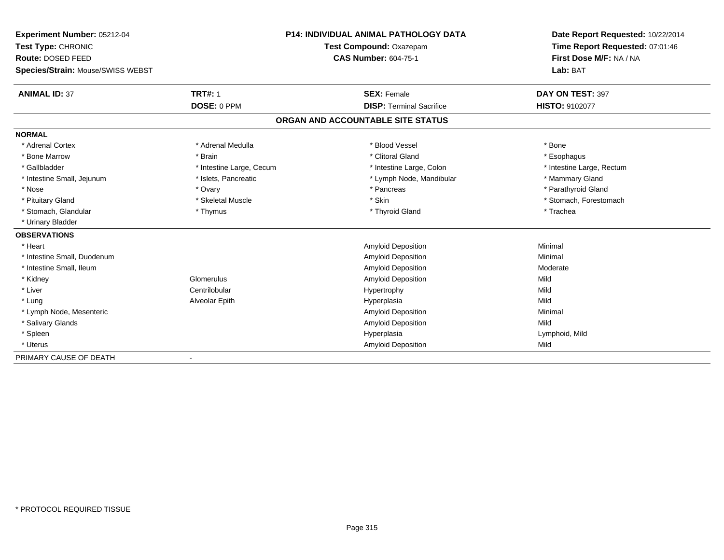| Experiment Number: 05212-04       |                          | <b>P14: INDIVIDUAL ANIMAL PATHOLOGY DATA</b> | Date Report Requested: 10/22/2014 |
|-----------------------------------|--------------------------|----------------------------------------------|-----------------------------------|
| Test Type: CHRONIC                |                          | Test Compound: Oxazepam                      | Time Report Requested: 07:01:46   |
| Route: DOSED FEED                 |                          | <b>CAS Number: 604-75-1</b>                  | First Dose M/F: NA / NA           |
| Species/Strain: Mouse/SWISS WEBST |                          |                                              | Lab: BAT                          |
| <b>ANIMAL ID: 37</b>              | <b>TRT#: 1</b>           | <b>SEX: Female</b>                           | DAY ON TEST: 397                  |
|                                   | DOSE: 0 PPM              | <b>DISP: Terminal Sacrifice</b>              | HISTO: 9102077                    |
|                                   |                          | ORGAN AND ACCOUNTABLE SITE STATUS            |                                   |
| <b>NORMAL</b>                     |                          |                                              |                                   |
| * Adrenal Cortex                  | * Adrenal Medulla        | * Blood Vessel                               | * Bone                            |
| * Bone Marrow                     | * Brain                  | * Clitoral Gland                             | * Esophagus                       |
| * Gallbladder                     | * Intestine Large, Cecum | * Intestine Large, Colon                     | * Intestine Large, Rectum         |
| * Intestine Small, Jejunum        | * Islets, Pancreatic     | * Lymph Node, Mandibular                     | * Mammary Gland                   |
| * Nose                            | * Ovary                  | * Pancreas                                   | * Parathyroid Gland               |
| * Pituitary Gland                 | * Skeletal Muscle        | * Skin                                       | * Stomach, Forestomach            |
| * Stomach, Glandular              | * Thymus                 | * Thyroid Gland                              | * Trachea                         |
| * Urinary Bladder                 |                          |                                              |                                   |
| <b>OBSERVATIONS</b>               |                          |                                              |                                   |
| * Heart                           |                          | <b>Amyloid Deposition</b>                    | Minimal                           |
| * Intestine Small, Duodenum       |                          | <b>Amyloid Deposition</b>                    | Minimal                           |
| * Intestine Small, Ileum          |                          | <b>Amyloid Deposition</b>                    | Moderate                          |
| * Kidney                          | Glomerulus               | <b>Amyloid Deposition</b>                    | Mild                              |
| * Liver                           | Centrilobular            | Hypertrophy                                  | Mild                              |
| * Lung                            | Alveolar Epith           | Hyperplasia                                  | Mild                              |
| * Lymph Node, Mesenteric          |                          | <b>Amyloid Deposition</b>                    | Minimal                           |
| * Salivary Glands                 |                          | Amyloid Deposition                           | Mild                              |
| * Spleen                          |                          | Hyperplasia                                  | Lymphoid, Mild                    |
| * Uterus                          |                          | <b>Amyloid Deposition</b>                    | Mild                              |
| PRIMARY CAUSE OF DEATH            |                          |                                              |                                   |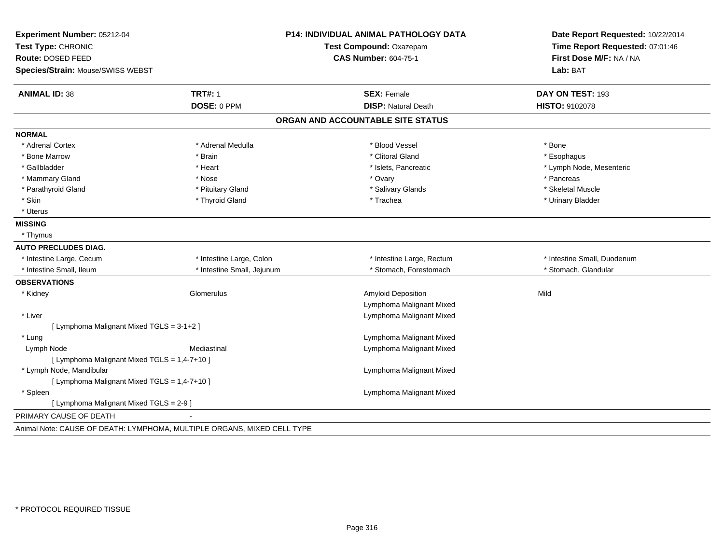|                            |                                                                                                                                                                                      | Date Report Requested: 10/22/2014                                                 |
|----------------------------|--------------------------------------------------------------------------------------------------------------------------------------------------------------------------------------|-----------------------------------------------------------------------------------|
|                            | Test Compound: Oxazepam                                                                                                                                                              | Time Report Requested: 07:01:46                                                   |
|                            | <b>CAS Number: 604-75-1</b>                                                                                                                                                          | First Dose M/F: NA / NA                                                           |
|                            |                                                                                                                                                                                      | Lab: BAT                                                                          |
| <b>TRT#: 1</b>             | <b>SEX: Female</b>                                                                                                                                                                   | DAY ON TEST: 193                                                                  |
| DOSE: 0 PPM                | <b>DISP: Natural Death</b>                                                                                                                                                           | HISTO: 9102078                                                                    |
|                            |                                                                                                                                                                                      |                                                                                   |
|                            |                                                                                                                                                                                      |                                                                                   |
| * Adrenal Medulla          | * Blood Vessel                                                                                                                                                                       | * Bone                                                                            |
| * Brain                    | * Clitoral Gland                                                                                                                                                                     | * Esophagus                                                                       |
| * Heart                    | * Islets, Pancreatic                                                                                                                                                                 | * Lymph Node, Mesenteric                                                          |
| * Nose                     | * Ovary                                                                                                                                                                              | * Pancreas                                                                        |
| * Pituitary Gland          | * Salivary Glands                                                                                                                                                                    | * Skeletal Muscle                                                                 |
| * Thyroid Gland            | * Trachea                                                                                                                                                                            | * Urinary Bladder                                                                 |
|                            |                                                                                                                                                                                      |                                                                                   |
|                            |                                                                                                                                                                                      |                                                                                   |
|                            |                                                                                                                                                                                      |                                                                                   |
|                            |                                                                                                                                                                                      |                                                                                   |
| * Intestine Large, Colon   | * Intestine Large, Rectum                                                                                                                                                            | * Intestine Small, Duodenum                                                       |
| * Intestine Small, Jejunum | * Stomach, Forestomach                                                                                                                                                               | * Stomach, Glandular                                                              |
|                            |                                                                                                                                                                                      |                                                                                   |
| Glomerulus                 | <b>Amyloid Deposition</b>                                                                                                                                                            | Mild                                                                              |
|                            | Lymphoma Malignant Mixed                                                                                                                                                             |                                                                                   |
|                            | Lymphoma Malignant Mixed                                                                                                                                                             |                                                                                   |
|                            |                                                                                                                                                                                      |                                                                                   |
|                            | Lymphoma Malignant Mixed                                                                                                                                                             |                                                                                   |
| Mediastinal                | Lymphoma Malignant Mixed                                                                                                                                                             |                                                                                   |
|                            |                                                                                                                                                                                      |                                                                                   |
|                            | Lymphoma Malignant Mixed                                                                                                                                                             |                                                                                   |
|                            |                                                                                                                                                                                      |                                                                                   |
|                            | Lymphoma Malignant Mixed                                                                                                                                                             |                                                                                   |
|                            |                                                                                                                                                                                      |                                                                                   |
|                            |                                                                                                                                                                                      |                                                                                   |
|                            | [ Lymphoma Malignant Mixed TGLS = 3-1+2 ]<br>[ Lymphoma Malignant Mixed TGLS = 1,4-7+10 ]<br>[ Lymphoma Malignant Mixed TGLS = 1,4-7+10 ]<br>[ Lymphoma Malignant Mixed TGLS = 2-9 ] | <b>P14: INDIVIDUAL ANIMAL PATHOLOGY DATA</b><br>ORGAN AND ACCOUNTABLE SITE STATUS |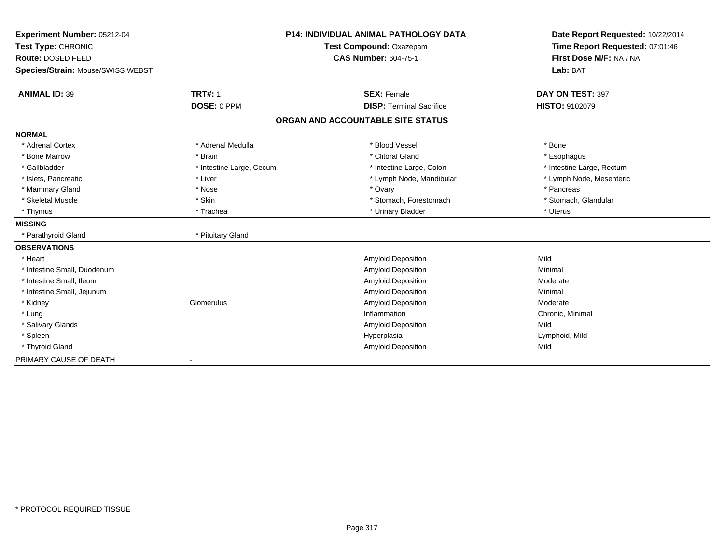| <b>Experiment Number: 05212-04</b><br>Test Type: CHRONIC |                          | <b>P14: INDIVIDUAL ANIMAL PATHOLOGY DATA</b><br>Test Compound: Oxazepam | Date Report Requested: 10/22/2014<br>Time Report Requested: 07:01:46 |
|----------------------------------------------------------|--------------------------|-------------------------------------------------------------------------|----------------------------------------------------------------------|
| Route: DOSED FEED                                        |                          | <b>CAS Number: 604-75-1</b>                                             | First Dose M/F: NA / NA                                              |
| Species/Strain: Mouse/SWISS WEBST                        |                          |                                                                         | Lab: BAT                                                             |
|                                                          |                          |                                                                         |                                                                      |
| <b>ANIMAL ID: 39</b>                                     | <b>TRT#: 1</b>           | <b>SEX: Female</b>                                                      | DAY ON TEST: 397                                                     |
|                                                          | DOSE: 0 PPM              | <b>DISP: Terminal Sacrifice</b>                                         | <b>HISTO: 9102079</b>                                                |
|                                                          |                          | ORGAN AND ACCOUNTABLE SITE STATUS                                       |                                                                      |
| <b>NORMAL</b>                                            |                          |                                                                         |                                                                      |
| * Adrenal Cortex                                         | * Adrenal Medulla        | * Blood Vessel                                                          | * Bone                                                               |
| * Bone Marrow                                            | * Brain                  | * Clitoral Gland                                                        | * Esophagus                                                          |
| * Gallbladder                                            | * Intestine Large, Cecum | * Intestine Large, Colon                                                | * Intestine Large, Rectum                                            |
| * Islets. Pancreatic                                     | * Liver                  | * Lymph Node, Mandibular                                                | * Lymph Node, Mesenteric                                             |
| * Mammary Gland                                          | * Nose                   | * Ovary                                                                 | * Pancreas                                                           |
| * Skeletal Muscle                                        | * Skin                   | * Stomach, Forestomach                                                  | * Stomach, Glandular                                                 |
| * Thymus                                                 | * Trachea                | * Urinary Bladder                                                       | * Uterus                                                             |
| <b>MISSING</b>                                           |                          |                                                                         |                                                                      |
| * Parathyroid Gland                                      | * Pituitary Gland        |                                                                         |                                                                      |
| <b>OBSERVATIONS</b>                                      |                          |                                                                         |                                                                      |
| * Heart                                                  |                          | Amyloid Deposition                                                      | Mild                                                                 |
| * Intestine Small, Duodenum                              |                          | Amyloid Deposition                                                      | Minimal                                                              |
| * Intestine Small, Ileum                                 |                          | Amyloid Deposition                                                      | Moderate                                                             |
| * Intestine Small, Jejunum                               |                          | Amyloid Deposition                                                      | Minimal                                                              |
| * Kidney                                                 | Glomerulus               | Amyloid Deposition                                                      | Moderate                                                             |
| * Lung                                                   |                          | Inflammation                                                            | Chronic, Minimal                                                     |
| * Salivary Glands                                        |                          | Amyloid Deposition                                                      | Mild                                                                 |
| * Spleen                                                 |                          | Hyperplasia                                                             | Lymphoid, Mild                                                       |
| * Thyroid Gland                                          |                          | Amyloid Deposition                                                      | Mild                                                                 |
| PRIMARY CAUSE OF DEATH                                   |                          |                                                                         |                                                                      |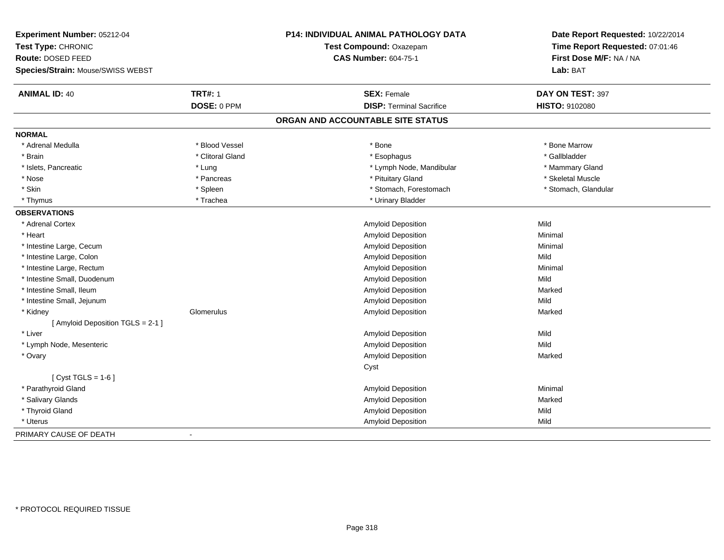| Experiment Number: 05212-04             |                  | <b>P14: INDIVIDUAL ANIMAL PATHOLOGY DATA</b> | Date Report Requested: 10/22/2014                          |
|-----------------------------------------|------------------|----------------------------------------------|------------------------------------------------------------|
| Test Type: CHRONIC<br>Route: DOSED FEED |                  | Test Compound: Oxazepam                      | Time Report Requested: 07:01:46<br>First Dose M/F: NA / NA |
|                                         |                  | <b>CAS Number: 604-75-1</b>                  |                                                            |
| Species/Strain: Mouse/SWISS WEBST       |                  |                                              | Lab: BAT                                                   |
| <b>ANIMAL ID: 40</b>                    | <b>TRT#: 1</b>   | <b>SEX: Female</b>                           | DAY ON TEST: 397                                           |
|                                         | DOSE: 0 PPM      | <b>DISP: Terminal Sacrifice</b>              | HISTO: 9102080                                             |
|                                         |                  | ORGAN AND ACCOUNTABLE SITE STATUS            |                                                            |
| <b>NORMAL</b>                           |                  |                                              |                                                            |
| * Adrenal Medulla                       | * Blood Vessel   | * Bone                                       | * Bone Marrow                                              |
| * Brain                                 | * Clitoral Gland | * Esophagus                                  | * Gallbladder                                              |
| * Islets, Pancreatic                    | * Lung           | * Lymph Node, Mandibular                     | * Mammary Gland                                            |
| * Nose                                  | * Pancreas       | * Pituitary Gland                            | * Skeletal Muscle                                          |
| * Skin                                  | * Spleen         | * Stomach, Forestomach                       | * Stomach, Glandular                                       |
| * Thymus                                | * Trachea        | * Urinary Bladder                            |                                                            |
| <b>OBSERVATIONS</b>                     |                  |                                              |                                                            |
| * Adrenal Cortex                        |                  | Amyloid Deposition                           | Mild                                                       |
| * Heart                                 |                  | Amyloid Deposition                           | Minimal                                                    |
| * Intestine Large, Cecum                |                  | Amyloid Deposition                           | Minimal                                                    |
| * Intestine Large, Colon                |                  | Amyloid Deposition                           | Mild                                                       |
| * Intestine Large, Rectum               |                  | Amyloid Deposition                           | Minimal                                                    |
| * Intestine Small, Duodenum             |                  | <b>Amyloid Deposition</b>                    | Mild                                                       |
| * Intestine Small, Ileum                |                  | Amyloid Deposition                           | Marked                                                     |
| * Intestine Small, Jejunum              |                  | <b>Amyloid Deposition</b>                    | Mild                                                       |
| * Kidney                                | Glomerulus       | <b>Amyloid Deposition</b>                    | Marked                                                     |
| [ Amyloid Deposition TGLS = 2-1 ]       |                  |                                              |                                                            |
| * Liver                                 |                  | <b>Amyloid Deposition</b>                    | Mild                                                       |
| * Lymph Node, Mesenteric                |                  | Amyloid Deposition                           | Mild                                                       |
| * Ovary                                 |                  | <b>Amyloid Deposition</b>                    | Marked                                                     |
|                                         |                  | Cyst                                         |                                                            |
| [ $Cyst TGLS = 1-6$ ]                   |                  |                                              |                                                            |
| * Parathyroid Gland                     |                  | Amyloid Deposition                           | Minimal                                                    |
| * Salivary Glands                       |                  | Amyloid Deposition                           | Marked                                                     |
| * Thyroid Gland                         |                  | <b>Amyloid Deposition</b>                    | Mild                                                       |
| * Uterus                                |                  | Amyloid Deposition                           | Mild                                                       |
| PRIMARY CAUSE OF DEATH                  |                  |                                              |                                                            |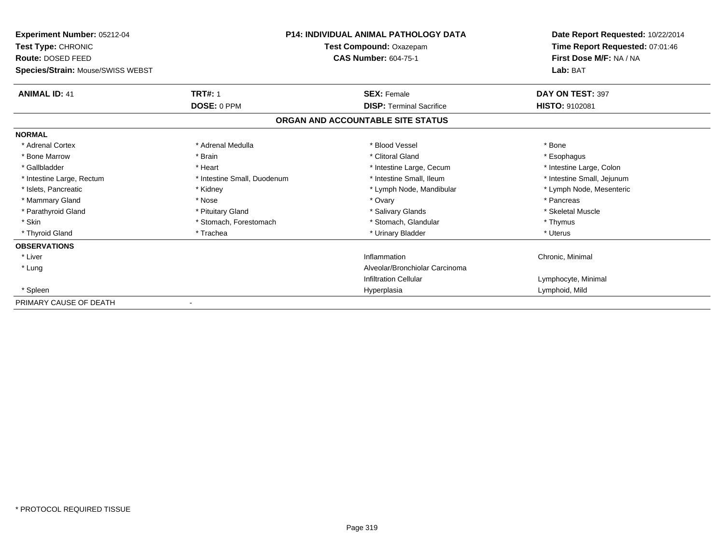| <b>Experiment Number: 05212-04</b> |                             | <b>P14: INDIVIDUAL ANIMAL PATHOLOGY DATA</b> | Date Report Requested: 10/22/2014<br>Time Report Requested: 07:01:46 |
|------------------------------------|-----------------------------|----------------------------------------------|----------------------------------------------------------------------|
| Test Type: CHRONIC                 |                             | Test Compound: Oxazepam                      |                                                                      |
| Route: DOSED FEED                  |                             | <b>CAS Number: 604-75-1</b>                  | First Dose M/F: NA / NA                                              |
| Species/Strain: Mouse/SWISS WEBST  |                             |                                              | Lab: BAT                                                             |
| <b>ANIMAL ID: 41</b>               | <b>TRT#: 1</b>              | <b>SEX: Female</b>                           | DAY ON TEST: 397                                                     |
|                                    | DOSE: 0 PPM                 | <b>DISP: Terminal Sacrifice</b>              | <b>HISTO: 9102081</b>                                                |
|                                    |                             | ORGAN AND ACCOUNTABLE SITE STATUS            |                                                                      |
| <b>NORMAL</b>                      |                             |                                              |                                                                      |
| * Adrenal Cortex                   | * Adrenal Medulla           | * Blood Vessel                               | * Bone                                                               |
| * Bone Marrow                      | * Brain                     | * Clitoral Gland                             | * Esophagus                                                          |
| * Gallbladder                      | * Heart                     | * Intestine Large, Cecum                     | * Intestine Large, Colon                                             |
| * Intestine Large, Rectum          | * Intestine Small, Duodenum | * Intestine Small. Ileum                     | * Intestine Small, Jejunum                                           |
| * Islets, Pancreatic               | * Kidney                    | * Lymph Node, Mandibular                     | * Lymph Node, Mesenteric                                             |
| * Mammary Gland                    | * Nose                      | * Ovary                                      | * Pancreas                                                           |
| * Parathyroid Gland                | * Pituitary Gland           | * Salivary Glands                            | * Skeletal Muscle                                                    |
| * Skin                             | * Stomach, Forestomach      | * Stomach, Glandular                         | * Thymus                                                             |
| * Thyroid Gland                    | * Trachea                   | * Urinary Bladder                            | * Uterus                                                             |
| <b>OBSERVATIONS</b>                |                             |                                              |                                                                      |
| * Liver                            |                             | Inflammation                                 | Chronic, Minimal                                                     |
| * Lung                             |                             | Alveolar/Bronchiolar Carcinoma               |                                                                      |
|                                    |                             | <b>Infiltration Cellular</b>                 | Lymphocyte, Minimal                                                  |
| * Spleen                           |                             | Hyperplasia                                  | Lymphoid, Mild                                                       |
| PRIMARY CAUSE OF DEATH             |                             |                                              |                                                                      |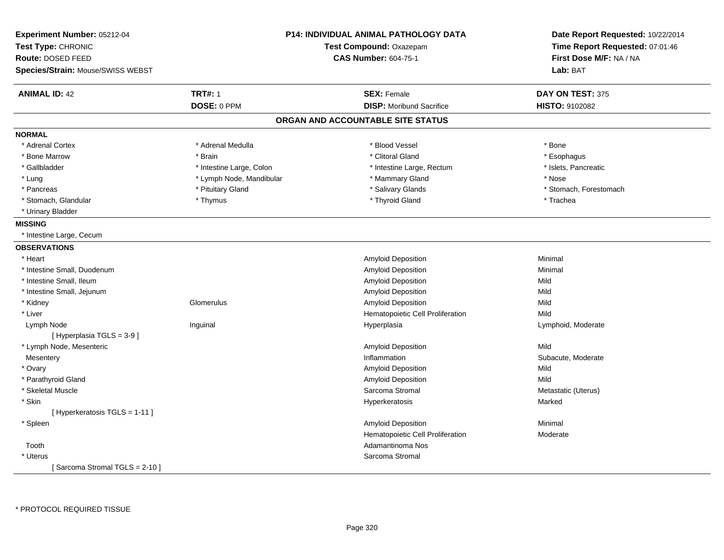| Experiment Number: 05212-04<br>Test Type: CHRONIC<br>Route: DOSED FEED<br>Species/Strain: Mouse/SWISS WEBST |                          | P14: INDIVIDUAL ANIMAL PATHOLOGY DATA<br>Test Compound: Oxazepam<br><b>CAS Number: 604-75-1</b> | Date Report Requested: 10/22/2014<br>Time Report Requested: 07:01:46<br>First Dose M/F: NA / NA<br>Lab: BAT |
|-------------------------------------------------------------------------------------------------------------|--------------------------|-------------------------------------------------------------------------------------------------|-------------------------------------------------------------------------------------------------------------|
| <b>ANIMAL ID: 42</b>                                                                                        | <b>TRT#: 1</b>           | <b>SEX: Female</b>                                                                              | DAY ON TEST: 375                                                                                            |
|                                                                                                             | DOSE: 0 PPM              | <b>DISP:</b> Moribund Sacrifice                                                                 | <b>HISTO: 9102082</b>                                                                                       |
|                                                                                                             |                          | ORGAN AND ACCOUNTABLE SITE STATUS                                                               |                                                                                                             |
| <b>NORMAL</b>                                                                                               |                          |                                                                                                 |                                                                                                             |
| * Adrenal Cortex                                                                                            | * Adrenal Medulla        | * Blood Vessel                                                                                  | * Bone                                                                                                      |
| * Bone Marrow                                                                                               | * Brain                  | * Clitoral Gland                                                                                | * Esophagus                                                                                                 |
| * Gallbladder                                                                                               | * Intestine Large, Colon | * Intestine Large, Rectum                                                                       | * Islets, Pancreatic                                                                                        |
| * Lung                                                                                                      | * Lymph Node, Mandibular | * Mammary Gland                                                                                 | * Nose                                                                                                      |
| * Pancreas                                                                                                  | * Pituitary Gland        | * Salivary Glands                                                                               | * Stomach, Forestomach                                                                                      |
| * Stomach, Glandular                                                                                        | * Thymus                 | * Thyroid Gland                                                                                 | * Trachea                                                                                                   |
| * Urinary Bladder                                                                                           |                          |                                                                                                 |                                                                                                             |
| <b>MISSING</b>                                                                                              |                          |                                                                                                 |                                                                                                             |
| * Intestine Large, Cecum                                                                                    |                          |                                                                                                 |                                                                                                             |
| <b>OBSERVATIONS</b>                                                                                         |                          |                                                                                                 |                                                                                                             |
| * Heart                                                                                                     |                          | Amyloid Deposition                                                                              | Minimal                                                                                                     |
| * Intestine Small, Duodenum                                                                                 |                          | Amyloid Deposition                                                                              | Minimal                                                                                                     |
| * Intestine Small, Ileum                                                                                    |                          | Amyloid Deposition                                                                              | Mild                                                                                                        |
| * Intestine Small, Jejunum                                                                                  |                          | Amyloid Deposition                                                                              | Mild                                                                                                        |
| * Kidney                                                                                                    | Glomerulus               | Amyloid Deposition                                                                              | Mild                                                                                                        |
| * Liver                                                                                                     |                          | Hematopoietic Cell Proliferation                                                                | Mild                                                                                                        |
| Lymph Node                                                                                                  | Inguinal                 | Hyperplasia                                                                                     | Lymphoid, Moderate                                                                                          |
| [Hyperplasia TGLS = 3-9]                                                                                    |                          |                                                                                                 |                                                                                                             |
| * Lymph Node, Mesenteric                                                                                    |                          | <b>Amyloid Deposition</b>                                                                       | Mild                                                                                                        |
| Mesentery                                                                                                   |                          | Inflammation                                                                                    | Subacute, Moderate                                                                                          |
| * Ovary                                                                                                     |                          | Amyloid Deposition                                                                              | Mild                                                                                                        |
| * Parathyroid Gland                                                                                         |                          | Amyloid Deposition                                                                              | Mild                                                                                                        |
| * Skeletal Muscle                                                                                           |                          | Sarcoma Stromal                                                                                 | Metastatic (Uterus)                                                                                         |
| * Skin                                                                                                      |                          | Hyperkeratosis                                                                                  | Marked                                                                                                      |
| [ Hyperkeratosis TGLS = 1-11 ]                                                                              |                          |                                                                                                 |                                                                                                             |
| * Spleen                                                                                                    |                          | Amyloid Deposition                                                                              | Minimal                                                                                                     |
|                                                                                                             |                          | Hematopoietic Cell Proliferation                                                                | Moderate                                                                                                    |
| Tooth                                                                                                       |                          | Adamantinoma Nos                                                                                |                                                                                                             |
| * Uterus                                                                                                    |                          | Sarcoma Stromal                                                                                 |                                                                                                             |
| [Sarcoma Stromal TGLS = 2-10]                                                                               |                          |                                                                                                 |                                                                                                             |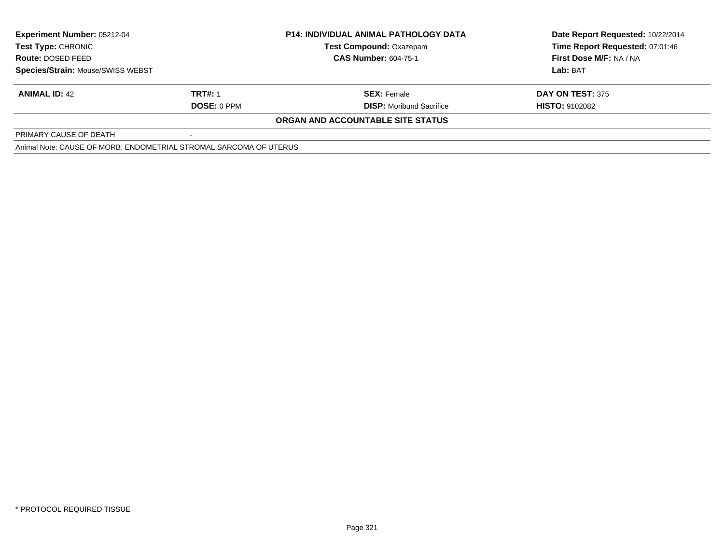| <b>Experiment Number: 05212-04</b>                                |                    | <b>P14: INDIVIDUAL ANIMAL PATHOLOGY DATA</b> | Date Report Requested: 10/22/2014 |  |
|-------------------------------------------------------------------|--------------------|----------------------------------------------|-----------------------------------|--|
| Test Type: CHRONIC                                                |                    | <b>Test Compound: Oxazepam</b>               | Time Report Requested: 07:01:46   |  |
| <b>Route: DOSED FEED</b>                                          |                    | <b>CAS Number: 604-75-1</b>                  | First Dose M/F: NA / NA           |  |
| <b>Species/Strain: Mouse/SWISS WEBST</b>                          |                    |                                              | Lab: BAT                          |  |
| <b>ANIMAL ID: 42</b>                                              | <b>TRT#: 1</b>     | <b>SEX:</b> Female                           | DAY ON TEST: 375                  |  |
|                                                                   | <b>DOSE: 0 PPM</b> | <b>DISP:</b> Moribund Sacrifice              | <b>HISTO: 9102082</b>             |  |
|                                                                   |                    | ORGAN AND ACCOUNTABLE SITE STATUS            |                                   |  |
| PRIMARY CAUSE OF DEATH                                            |                    |                                              |                                   |  |
| Animal Note: CAUSE OF MORB: ENDOMETRIAL STROMAL SARCOMA OF UTERUS |                    |                                              |                                   |  |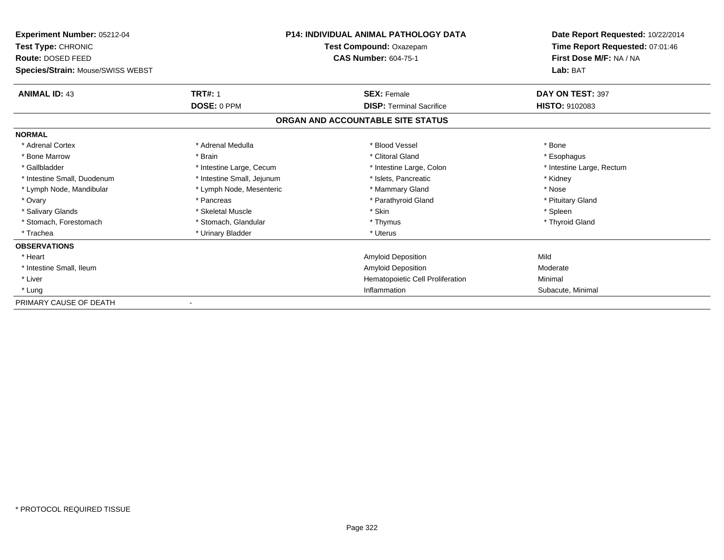| Experiment Number: 05212-04       |                            | <b>P14: INDIVIDUAL ANIMAL PATHOLOGY DATA</b> | Date Report Requested: 10/22/2014 |
|-----------------------------------|----------------------------|----------------------------------------------|-----------------------------------|
| Test Type: CHRONIC                |                            | Test Compound: Oxazepam                      | Time Report Requested: 07:01:46   |
| Route: DOSED FEED                 |                            | <b>CAS Number: 604-75-1</b>                  | First Dose M/F: NA / NA           |
| Species/Strain: Mouse/SWISS WEBST |                            |                                              | Lab: BAT                          |
| <b>ANIMAL ID: 43</b>              | <b>TRT#: 1</b>             | <b>SEX: Female</b>                           | DAY ON TEST: 397                  |
|                                   | DOSE: 0 PPM                | <b>DISP: Terminal Sacrifice</b>              | <b>HISTO: 9102083</b>             |
|                                   |                            | ORGAN AND ACCOUNTABLE SITE STATUS            |                                   |
| <b>NORMAL</b>                     |                            |                                              |                                   |
| * Adrenal Cortex                  | * Adrenal Medulla          | * Blood Vessel                               | * Bone                            |
| * Bone Marrow                     | * Brain                    | * Clitoral Gland                             | * Esophagus                       |
| * Gallbladder                     | * Intestine Large, Cecum   | * Intestine Large, Colon                     | * Intestine Large, Rectum         |
| * Intestine Small, Duodenum       | * Intestine Small, Jejunum | * Islets, Pancreatic                         | * Kidney                          |
| * Lymph Node, Mandibular          | * Lymph Node, Mesenteric   | * Mammary Gland                              | * Nose                            |
| * Ovary                           | * Pancreas                 | * Parathyroid Gland                          | * Pituitary Gland                 |
| * Salivary Glands                 | * Skeletal Muscle          | * Skin                                       | * Spleen                          |
| * Stomach, Forestomach            | * Stomach, Glandular       | * Thymus                                     | * Thyroid Gland                   |
| * Trachea                         | * Urinary Bladder          | * Uterus                                     |                                   |
| <b>OBSERVATIONS</b>               |                            |                                              |                                   |
| * Heart                           |                            | Amyloid Deposition                           | Mild                              |
| * Intestine Small, Ileum          |                            | Amyloid Deposition                           | Moderate                          |
| * Liver                           |                            | Hematopoietic Cell Proliferation             | Minimal                           |
| * Lung                            |                            | Inflammation                                 | Subacute, Minimal                 |
| PRIMARY CAUSE OF DEATH            |                            |                                              |                                   |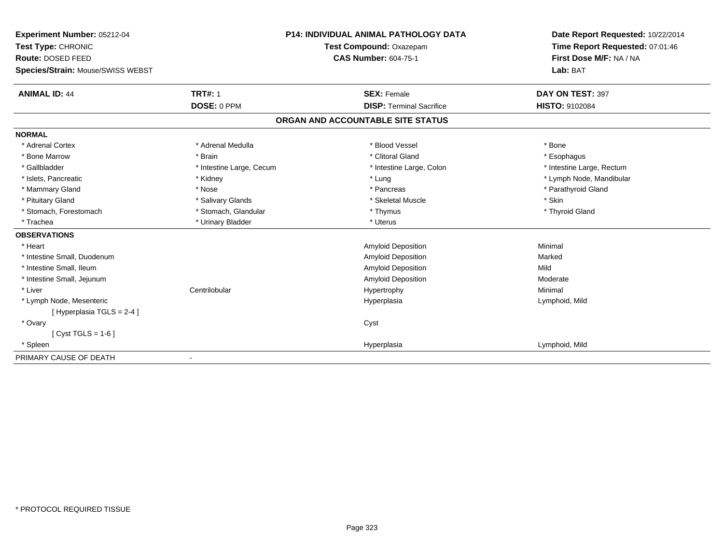| Experiment Number: 05212-04       |                          | <b>P14: INDIVIDUAL ANIMAL PATHOLOGY DATA</b> | Date Report Requested: 10/22/2014 |
|-----------------------------------|--------------------------|----------------------------------------------|-----------------------------------|
| Test Type: CHRONIC                |                          | Test Compound: Oxazepam                      | Time Report Requested: 07:01:46   |
| Route: DOSED FEED                 |                          | <b>CAS Number: 604-75-1</b>                  | First Dose M/F: NA / NA           |
| Species/Strain: Mouse/SWISS WEBST |                          |                                              | Lab: BAT                          |
| <b>ANIMAL ID: 44</b>              | <b>TRT#: 1</b>           | <b>SEX: Female</b>                           | DAY ON TEST: 397                  |
|                                   | DOSE: 0 PPM              | <b>DISP: Terminal Sacrifice</b>              | HISTO: 9102084                    |
|                                   |                          | ORGAN AND ACCOUNTABLE SITE STATUS            |                                   |
| <b>NORMAL</b>                     |                          |                                              |                                   |
| * Adrenal Cortex                  | * Adrenal Medulla        | * Blood Vessel                               | * Bone                            |
| * Bone Marrow                     | * Brain                  | * Clitoral Gland                             | * Esophagus                       |
| * Gallbladder                     | * Intestine Large, Cecum | * Intestine Large, Colon                     | * Intestine Large, Rectum         |
| * Islets, Pancreatic              | * Kidney                 | * Lung                                       | * Lymph Node, Mandibular          |
| * Mammary Gland                   | * Nose                   | * Pancreas                                   | * Parathyroid Gland               |
| * Pituitary Gland                 | * Salivary Glands        | * Skeletal Muscle                            | * Skin                            |
| * Stomach, Forestomach            | * Stomach, Glandular     | * Thymus                                     | * Thyroid Gland                   |
| * Trachea                         | * Urinary Bladder        | * Uterus                                     |                                   |
| <b>OBSERVATIONS</b>               |                          |                                              |                                   |
| * Heart                           |                          | Amyloid Deposition                           | Minimal                           |
| * Intestine Small. Duodenum       |                          | Amyloid Deposition                           | Marked                            |
| * Intestine Small, Ileum          |                          | <b>Amyloid Deposition</b>                    | Mild                              |
| * Intestine Small, Jejunum        |                          | Amyloid Deposition                           | Moderate                          |
| * Liver                           | Centrilobular            | Hypertrophy                                  | Minimal                           |
| * Lymph Node, Mesenteric          |                          | Hyperplasia                                  | Lymphoid, Mild                    |
| [Hyperplasia TGLS = 2-4]          |                          |                                              |                                   |
| * Ovary                           |                          | Cyst                                         |                                   |
| [ $Cyst TGLS = 1-6$ ]             |                          |                                              |                                   |
| * Spleen                          |                          | Hyperplasia                                  | Lymphoid, Mild                    |
| PRIMARY CAUSE OF DEATH            |                          |                                              |                                   |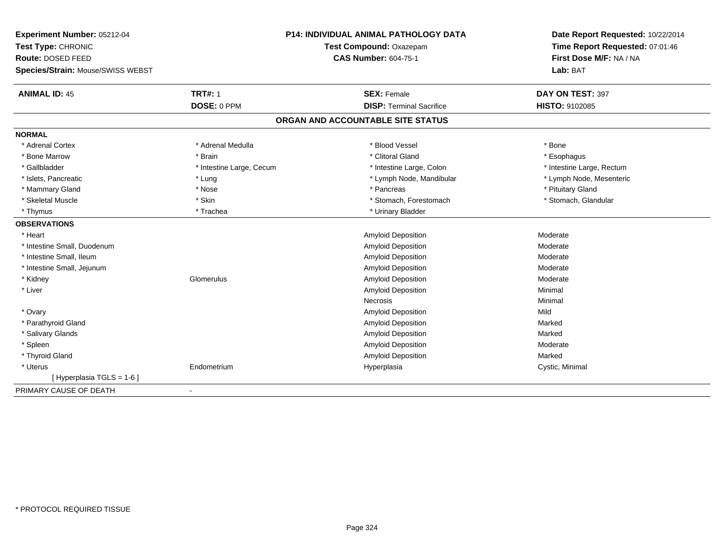| Experiment Number: 05212-04       |                          | <b>P14: INDIVIDUAL ANIMAL PATHOLOGY DATA</b> | Date Report Requested: 10/22/2014 |
|-----------------------------------|--------------------------|----------------------------------------------|-----------------------------------|
| Test Type: CHRONIC                | Test Compound: Oxazepam  |                                              | Time Report Requested: 07:01:46   |
| Route: DOSED FEED                 |                          | <b>CAS Number: 604-75-1</b>                  | First Dose M/F: NA / NA           |
| Species/Strain: Mouse/SWISS WEBST |                          |                                              | Lab: BAT                          |
| <b>ANIMAL ID: 45</b>              | <b>TRT#: 1</b>           | <b>SEX: Female</b>                           | DAY ON TEST: 397                  |
|                                   | DOSE: 0 PPM              | <b>DISP: Terminal Sacrifice</b>              | <b>HISTO: 9102085</b>             |
|                                   |                          | ORGAN AND ACCOUNTABLE SITE STATUS            |                                   |
| <b>NORMAL</b>                     |                          |                                              |                                   |
| * Adrenal Cortex                  | * Adrenal Medulla        | * Blood Vessel                               | * Bone                            |
| * Bone Marrow                     | * Brain                  | * Clitoral Gland                             | * Esophagus                       |
| * Gallbladder                     | * Intestine Large, Cecum | * Intestine Large, Colon                     | * Intestine Large, Rectum         |
| * Islets, Pancreatic              | * Lung                   | * Lymph Node, Mandibular                     | * Lymph Node, Mesenteric          |
| * Mammary Gland                   | * Nose                   | * Pancreas                                   | * Pituitary Gland                 |
| * Skeletal Muscle                 | * Skin                   | * Stomach, Forestomach                       | * Stomach, Glandular              |
| * Thymus                          | * Trachea                | * Urinary Bladder                            |                                   |
| <b>OBSERVATIONS</b>               |                          |                                              |                                   |
| * Heart                           |                          | Amyloid Deposition                           | Moderate                          |
| * Intestine Small, Duodenum       |                          | Amyloid Deposition                           | Moderate                          |
| * Intestine Small, Ileum          |                          | <b>Amyloid Deposition</b>                    | Moderate                          |
| * Intestine Small, Jejunum        |                          | Amyloid Deposition                           | Moderate                          |
| * Kidney                          | Glomerulus               | Amyloid Deposition                           | Moderate                          |
| * Liver                           |                          | <b>Amyloid Deposition</b>                    | Minimal                           |
|                                   |                          | <b>Necrosis</b>                              | Minimal                           |
| * Ovary                           |                          | Amyloid Deposition                           | Mild                              |
| * Parathyroid Gland               |                          | Amyloid Deposition                           | Marked                            |
| * Salivary Glands                 |                          | <b>Amyloid Deposition</b>                    | Marked                            |
| * Spleen                          |                          | Amyloid Deposition                           | Moderate                          |
| * Thyroid Gland                   |                          | Amyloid Deposition                           | Marked                            |
| * Uterus                          | Endometrium              | Hyperplasia                                  | Cystic, Minimal                   |
| [ Hyperplasia TGLS = 1-6 ]        |                          |                                              |                                   |
| PRIMARY CAUSE OF DEATH            |                          |                                              |                                   |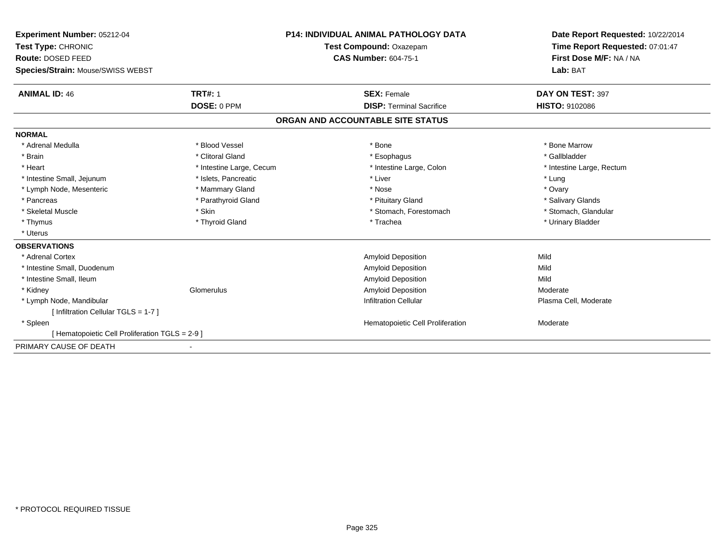| Experiment Number: 05212-04                     |                                                        | <b>P14: INDIVIDUAL ANIMAL PATHOLOGY DATA</b> | Date Report Requested: 10/22/2014<br>Time Report Requested: 07:01:47 |
|-------------------------------------------------|--------------------------------------------------------|----------------------------------------------|----------------------------------------------------------------------|
| Test Type: CHRONIC                              | Test Compound: Oxazepam<br><b>CAS Number: 604-75-1</b> |                                              |                                                                      |
| Route: DOSED FEED                               |                                                        |                                              | First Dose M/F: NA / NA                                              |
| Species/Strain: Mouse/SWISS WEBST               |                                                        |                                              | Lab: BAT                                                             |
| <b>ANIMAL ID: 46</b>                            | <b>TRT#: 1</b>                                         | <b>SEX: Female</b>                           | DAY ON TEST: 397                                                     |
|                                                 | DOSE: 0 PPM                                            | <b>DISP: Terminal Sacrifice</b>              | <b>HISTO: 9102086</b>                                                |
|                                                 |                                                        | ORGAN AND ACCOUNTABLE SITE STATUS            |                                                                      |
| <b>NORMAL</b>                                   |                                                        |                                              |                                                                      |
| * Adrenal Medulla                               | * Blood Vessel                                         | * Bone                                       | * Bone Marrow                                                        |
| * Brain                                         | * Clitoral Gland                                       | * Esophagus                                  | * Gallbladder                                                        |
| * Heart                                         | * Intestine Large, Cecum                               | * Intestine Large, Colon                     | * Intestine Large, Rectum                                            |
| * Intestine Small, Jejunum                      | * Islets, Pancreatic                                   | * Liver                                      | * Lung                                                               |
| * Lymph Node, Mesenteric                        | * Mammary Gland                                        | * Nose                                       | * Ovary                                                              |
| * Pancreas                                      | * Parathyroid Gland                                    | * Pituitary Gland                            | * Salivary Glands                                                    |
| * Skeletal Muscle                               | * Skin                                                 | * Stomach, Forestomach                       | * Stomach, Glandular                                                 |
| * Thymus                                        | * Thyroid Gland                                        | * Trachea                                    | * Urinary Bladder                                                    |
| * Uterus                                        |                                                        |                                              |                                                                      |
| <b>OBSERVATIONS</b>                             |                                                        |                                              |                                                                      |
| * Adrenal Cortex                                |                                                        | <b>Amyloid Deposition</b>                    | Mild                                                                 |
| * Intestine Small, Duodenum                     |                                                        | <b>Amyloid Deposition</b>                    | Mild                                                                 |
| * Intestine Small, Ileum                        |                                                        | Amyloid Deposition                           | Mild                                                                 |
| * Kidney                                        | Glomerulus                                             | Amyloid Deposition                           | Moderate                                                             |
| * Lymph Node, Mandibular                        |                                                        | <b>Infiltration Cellular</b>                 | Plasma Cell, Moderate                                                |
| [ Infiltration Cellular TGLS = 1-7 ]            |                                                        |                                              |                                                                      |
| * Spleen                                        |                                                        | Hematopoietic Cell Proliferation             | Moderate                                                             |
| [ Hematopoietic Cell Proliferation TGLS = 2-9 ] |                                                        |                                              |                                                                      |
| PRIMARY CAUSE OF DEATH                          |                                                        |                                              |                                                                      |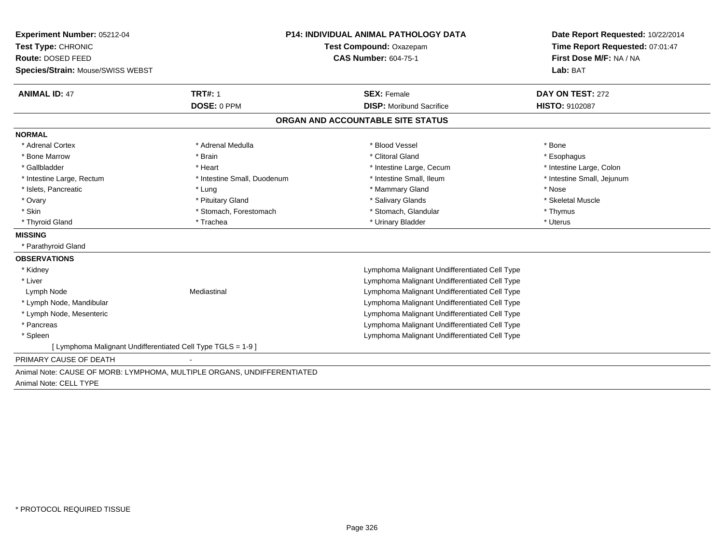| Experiment Number: 05212-04<br>Test Type: CHRONIC                       | <b>P14: INDIVIDUAL ANIMAL PATHOLOGY DATA</b><br>Test Compound: Oxazepam |                                               | Date Report Requested: 10/22/2014<br>Time Report Requested: 07:01:47 |  |
|-------------------------------------------------------------------------|-------------------------------------------------------------------------|-----------------------------------------------|----------------------------------------------------------------------|--|
| Route: DOSED FEED                                                       |                                                                         | <b>CAS Number: 604-75-1</b>                   | First Dose M/F: NA / NA<br>Lab: BAT                                  |  |
| Species/Strain: Mouse/SWISS WEBST                                       |                                                                         |                                               |                                                                      |  |
| <b>ANIMAL ID: 47</b>                                                    | <b>TRT#: 1</b>                                                          | <b>SEX: Female</b>                            | DAY ON TEST: 272                                                     |  |
|                                                                         | DOSE: 0 PPM                                                             | <b>DISP:</b> Moribund Sacrifice               | <b>HISTO: 9102087</b>                                                |  |
|                                                                         |                                                                         | ORGAN AND ACCOUNTABLE SITE STATUS             |                                                                      |  |
| <b>NORMAL</b>                                                           |                                                                         |                                               |                                                                      |  |
| * Adrenal Cortex                                                        | * Adrenal Medulla                                                       | * Blood Vessel                                | * Bone                                                               |  |
| * Bone Marrow                                                           | * Brain                                                                 | * Clitoral Gland                              | * Esophagus                                                          |  |
| * Gallbladder                                                           | * Heart                                                                 | * Intestine Large, Cecum                      | * Intestine Large, Colon                                             |  |
| * Intestine Large, Rectum                                               | * Intestine Small, Duodenum                                             | * Intestine Small, Ileum                      | * Intestine Small, Jejunum                                           |  |
| * Islets, Pancreatic                                                    | * Lung                                                                  | * Mammary Gland                               | * Nose                                                               |  |
| * Ovary                                                                 | * Pituitary Gland                                                       | * Salivary Glands                             | * Skeletal Muscle                                                    |  |
| * Skin                                                                  | * Stomach, Forestomach                                                  | * Stomach, Glandular                          | * Thymus                                                             |  |
| * Thyroid Gland                                                         | * Trachea                                                               | * Urinary Bladder                             | * Uterus                                                             |  |
| <b>MISSING</b>                                                          |                                                                         |                                               |                                                                      |  |
| * Parathyroid Gland                                                     |                                                                         |                                               |                                                                      |  |
| <b>OBSERVATIONS</b>                                                     |                                                                         |                                               |                                                                      |  |
| * Kidney                                                                |                                                                         | Lymphoma Malignant Undifferentiated Cell Type |                                                                      |  |
| * Liver                                                                 |                                                                         | Lymphoma Malignant Undifferentiated Cell Type |                                                                      |  |
| Lymph Node                                                              | Mediastinal                                                             | Lymphoma Malignant Undifferentiated Cell Type |                                                                      |  |
| * Lymph Node, Mandibular                                                |                                                                         | Lymphoma Malignant Undifferentiated Cell Type |                                                                      |  |
| * Lymph Node, Mesenteric                                                |                                                                         | Lymphoma Malignant Undifferentiated Cell Type |                                                                      |  |
| * Pancreas                                                              |                                                                         | Lymphoma Malignant Undifferentiated Cell Type |                                                                      |  |
| * Spleen                                                                |                                                                         | Lymphoma Malignant Undifferentiated Cell Type |                                                                      |  |
| [ Lymphoma Malignant Undifferentiated Cell Type TGLS = 1-9 ]            |                                                                         |                                               |                                                                      |  |
| PRIMARY CAUSE OF DEATH                                                  |                                                                         |                                               |                                                                      |  |
| Animal Note: CAUSE OF MORB: LYMPHOMA, MULTIPLE ORGANS, UNDIFFERENTIATED |                                                                         |                                               |                                                                      |  |
| Animal Note: CELL TYPE                                                  |                                                                         |                                               |                                                                      |  |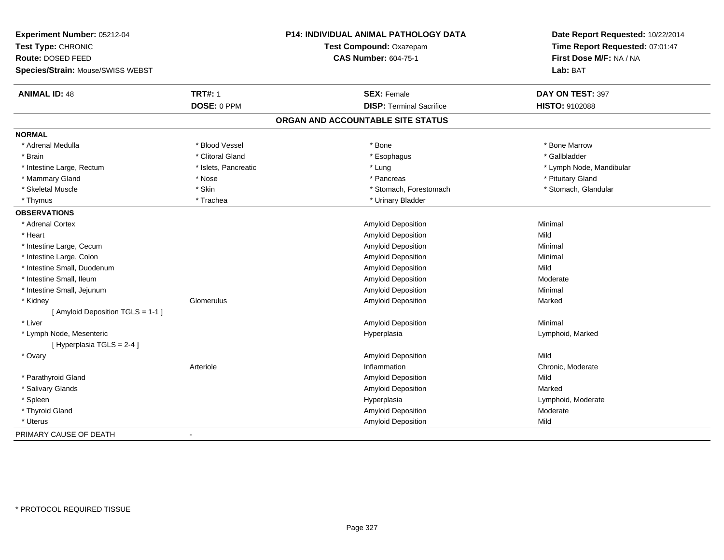| Experiment Number: 05212-04<br>Test Type: CHRONIC |                      | P14: INDIVIDUAL ANIMAL PATHOLOGY DATA | Date Report Requested: 10/22/2014<br>Time Report Requested: 07:01:47 |
|---------------------------------------------------|----------------------|---------------------------------------|----------------------------------------------------------------------|
|                                                   |                      | Test Compound: Oxazepam               |                                                                      |
| <b>Route: DOSED FEED</b>                          |                      | <b>CAS Number: 604-75-1</b>           | First Dose M/F: NA / NA                                              |
| Species/Strain: Mouse/SWISS WEBST                 |                      |                                       | Lab: BAT                                                             |
| <b>ANIMAL ID: 48</b>                              | <b>TRT#: 1</b>       | <b>SEX: Female</b>                    | DAY ON TEST: 397                                                     |
|                                                   | DOSE: 0 PPM          | <b>DISP: Terminal Sacrifice</b>       | HISTO: 9102088                                                       |
|                                                   |                      | ORGAN AND ACCOUNTABLE SITE STATUS     |                                                                      |
| <b>NORMAL</b>                                     |                      |                                       |                                                                      |
| * Adrenal Medulla                                 | * Blood Vessel       | * Bone                                | * Bone Marrow                                                        |
| * Brain                                           | * Clitoral Gland     | * Esophagus                           | * Gallbladder                                                        |
| * Intestine Large, Rectum                         | * Islets, Pancreatic | * Lung                                | * Lymph Node, Mandibular                                             |
| * Mammary Gland                                   | * Nose               | * Pancreas                            | * Pituitary Gland                                                    |
| * Skeletal Muscle                                 | * Skin               | * Stomach, Forestomach                | * Stomach, Glandular                                                 |
| * Thymus                                          | * Trachea            | * Urinary Bladder                     |                                                                      |
| <b>OBSERVATIONS</b>                               |                      |                                       |                                                                      |
| * Adrenal Cortex                                  |                      | Amyloid Deposition                    | Minimal                                                              |
| * Heart                                           |                      | <b>Amyloid Deposition</b>             | Mild                                                                 |
| * Intestine Large, Cecum                          |                      | Amyloid Deposition                    | Minimal                                                              |
| * Intestine Large, Colon                          |                      | <b>Amyloid Deposition</b>             | Minimal                                                              |
| * Intestine Small, Duodenum                       |                      | Amyloid Deposition                    | Mild                                                                 |
| * Intestine Small, Ileum                          |                      | <b>Amyloid Deposition</b>             | Moderate                                                             |
| * Intestine Small, Jejunum                        |                      | Amyloid Deposition                    | Minimal                                                              |
| * Kidney                                          | Glomerulus           | Amyloid Deposition                    | Marked                                                               |
| [ Amyloid Deposition TGLS = 1-1 ]                 |                      |                                       |                                                                      |
| * Liver                                           |                      | Amyloid Deposition                    | Minimal                                                              |
| * Lymph Node, Mesenteric                          |                      | Hyperplasia                           | Lymphoid, Marked                                                     |
| [Hyperplasia TGLS = 2-4]                          |                      |                                       |                                                                      |
| * Ovary                                           |                      | <b>Amyloid Deposition</b>             | Mild                                                                 |
|                                                   | Arteriole            | Inflammation                          | Chronic, Moderate                                                    |
| * Parathyroid Gland                               |                      | <b>Amyloid Deposition</b>             | Mild                                                                 |
| * Salivary Glands                                 |                      | Amyloid Deposition                    | Marked                                                               |
| * Spleen                                          |                      | Hyperplasia                           | Lymphoid, Moderate                                                   |
| * Thyroid Gland                                   |                      | Amyloid Deposition                    | Moderate                                                             |
| * Uterus                                          |                      | Amyloid Deposition                    | Mild                                                                 |
| PRIMARY CAUSE OF DEATH                            | $\blacksquare$       |                                       |                                                                      |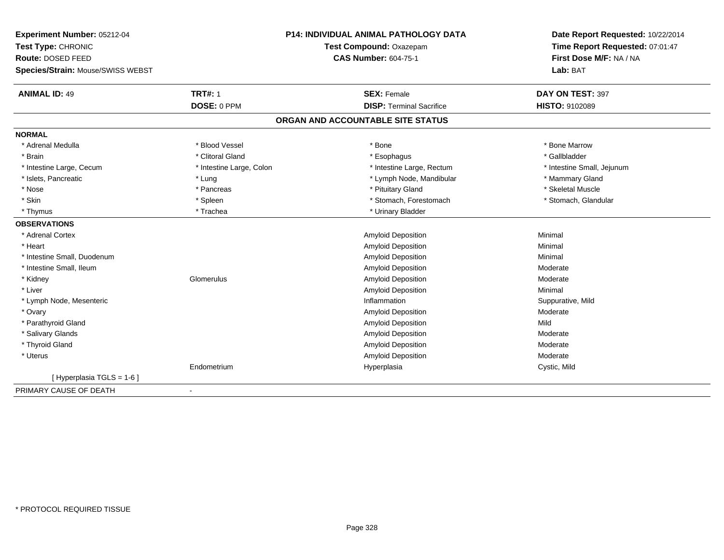| Experiment Number: 05212-04              | <b>P14: INDIVIDUAL ANIMAL PATHOLOGY DATA</b> |                                   | Date Report Requested: 10/22/2014                          |
|------------------------------------------|----------------------------------------------|-----------------------------------|------------------------------------------------------------|
| Test Type: CHRONIC                       |                                              | Test Compound: Oxazepam           | Time Report Requested: 07:01:47<br>First Dose M/F: NA / NA |
| Route: DOSED FEED                        |                                              | <b>CAS Number: 604-75-1</b>       |                                                            |
| Species/Strain: Mouse/SWISS WEBST        |                                              |                                   | Lab: BAT                                                   |
| <b>ANIMAL ID: 49</b>                     | <b>TRT#: 1</b>                               | <b>SEX: Female</b>                | DAY ON TEST: 397                                           |
|                                          | DOSE: 0 PPM                                  | <b>DISP: Terminal Sacrifice</b>   | HISTO: 9102089                                             |
|                                          |                                              | ORGAN AND ACCOUNTABLE SITE STATUS |                                                            |
| <b>NORMAL</b>                            |                                              |                                   |                                                            |
| * Adrenal Medulla                        | * Blood Vessel                               | * Bone                            | * Bone Marrow                                              |
| * Brain                                  | * Clitoral Gland                             | * Esophagus                       | * Gallbladder                                              |
| * Intestine Large, Cecum                 | * Intestine Large, Colon                     | * Intestine Large, Rectum         | * Intestine Small, Jejunum                                 |
| * Islets, Pancreatic                     | * Lung                                       | * Lymph Node, Mandibular          | * Mammary Gland                                            |
| * Nose                                   | * Pancreas                                   | * Pituitary Gland                 | * Skeletal Muscle                                          |
| * Skin                                   | * Spleen                                     | * Stomach, Forestomach            | * Stomach, Glandular                                       |
| * Thymus                                 | * Trachea                                    | * Urinary Bladder                 |                                                            |
| <b>OBSERVATIONS</b>                      |                                              |                                   |                                                            |
| * Adrenal Cortex                         |                                              | <b>Amyloid Deposition</b>         | Minimal                                                    |
| * Heart                                  |                                              | Amyloid Deposition                | Minimal                                                    |
| * Intestine Small, Duodenum              |                                              | Amyloid Deposition                | Minimal                                                    |
| * Intestine Small, Ileum                 |                                              | Amyloid Deposition                | Moderate                                                   |
| * Kidney                                 | Glomerulus                                   | Amyloid Deposition                | Moderate                                                   |
| * Liver                                  |                                              | Amyloid Deposition                | Minimal                                                    |
| * Lymph Node, Mesenteric                 |                                              | Inflammation                      | Suppurative, Mild                                          |
| * Ovary                                  |                                              | Amyloid Deposition                | Moderate                                                   |
| * Parathyroid Gland                      |                                              | Amyloid Deposition                | Mild                                                       |
| * Salivary Glands                        |                                              | Amyloid Deposition                | Moderate                                                   |
| * Thyroid Gland                          |                                              | Amyloid Deposition                | Moderate                                                   |
| * Uterus                                 |                                              | Amyloid Deposition                | Moderate                                                   |
|                                          | Endometrium                                  | Hyperplasia                       | Cystic, Mild                                               |
| [Hyperplasia TGLS = 1-6]                 |                                              |                                   |                                                            |
| PRIMARY CAUSE OF DEATH<br>$\blacksquare$ |                                              |                                   |                                                            |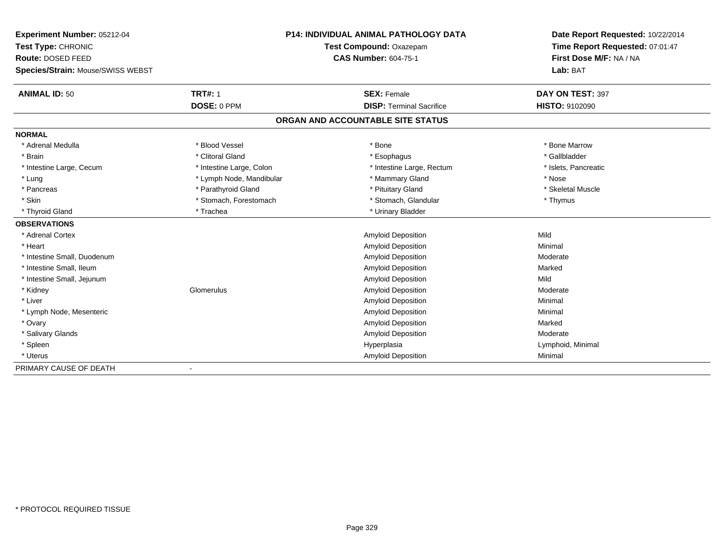| Experiment Number: 05212-04       | <b>P14: INDIVIDUAL ANIMAL PATHOLOGY DATA</b> |                                   | Date Report Requested: 10/22/2014 |
|-----------------------------------|----------------------------------------------|-----------------------------------|-----------------------------------|
| Test Type: CHRONIC                |                                              | Test Compound: Oxazepam           | Time Report Requested: 07:01:47   |
| Route: DOSED FEED                 |                                              | <b>CAS Number: 604-75-1</b>       | First Dose M/F: NA / NA           |
| Species/Strain: Mouse/SWISS WEBST |                                              |                                   | Lab: BAT                          |
| <b>ANIMAL ID: 50</b>              | <b>TRT#: 1</b>                               | <b>SEX: Female</b>                | DAY ON TEST: 397                  |
|                                   | DOSE: 0 PPM                                  | <b>DISP: Terminal Sacrifice</b>   | <b>HISTO: 9102090</b>             |
|                                   |                                              | ORGAN AND ACCOUNTABLE SITE STATUS |                                   |
| <b>NORMAL</b>                     |                                              |                                   |                                   |
| * Adrenal Medulla                 | * Blood Vessel                               | * Bone                            | * Bone Marrow                     |
| * Brain                           | * Clitoral Gland                             | * Esophagus                       | * Gallbladder                     |
| * Intestine Large, Cecum          | * Intestine Large, Colon                     | * Intestine Large, Rectum         | * Islets, Pancreatic              |
| * Lung                            | * Lymph Node, Mandibular                     | * Mammary Gland                   | * Nose                            |
| * Pancreas                        | * Parathyroid Gland                          | * Pituitary Gland                 | * Skeletal Muscle                 |
| * Skin                            | * Stomach, Forestomach                       | * Stomach, Glandular              | * Thymus                          |
| * Thyroid Gland                   | * Trachea                                    | * Urinary Bladder                 |                                   |
| <b>OBSERVATIONS</b>               |                                              |                                   |                                   |
| * Adrenal Cortex                  |                                              | Amyloid Deposition                | Mild                              |
| * Heart                           |                                              | Amyloid Deposition                | Minimal                           |
| * Intestine Small, Duodenum       |                                              | Amyloid Deposition                | Moderate                          |
| * Intestine Small, Ileum          |                                              | Amyloid Deposition                | Marked                            |
| * Intestine Small, Jejunum        |                                              | <b>Amyloid Deposition</b>         | Mild                              |
| * Kidney                          | Glomerulus                                   | Amyloid Deposition                | Moderate                          |
| * Liver                           |                                              | Amyloid Deposition                | Minimal                           |
| * Lymph Node, Mesenteric          |                                              | Amyloid Deposition                | Minimal                           |
| * Ovary                           |                                              | Amyloid Deposition                | Marked                            |
| * Salivary Glands                 |                                              | Amyloid Deposition                | Moderate                          |
| * Spleen                          |                                              | Hyperplasia                       | Lymphoid, Minimal                 |
| * Uterus                          |                                              | <b>Amyloid Deposition</b>         | Minimal                           |
| PRIMARY CAUSE OF DEATH            |                                              |                                   |                                   |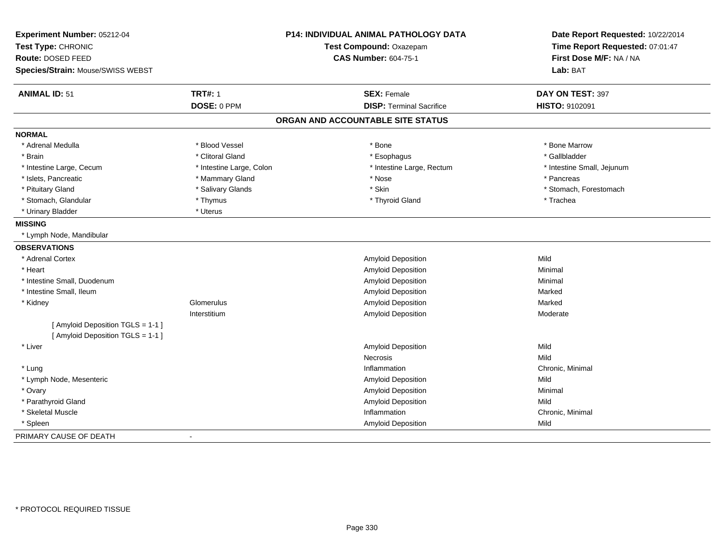| Experiment Number: 05212-04             |                          | P14: INDIVIDUAL ANIMAL PATHOLOGY DATA | Date Report Requested: 10/22/2014                          |
|-----------------------------------------|--------------------------|---------------------------------------|------------------------------------------------------------|
| Test Type: CHRONIC<br>Route: DOSED FEED |                          | Test Compound: Oxazepam               | Time Report Requested: 07:01:47<br>First Dose M/F: NA / NA |
|                                         |                          | <b>CAS Number: 604-75-1</b>           |                                                            |
| Species/Strain: Mouse/SWISS WEBST       |                          |                                       | Lab: BAT                                                   |
| <b>ANIMAL ID: 51</b>                    | <b>TRT#: 1</b>           | <b>SEX: Female</b>                    | DAY ON TEST: 397                                           |
|                                         | DOSE: 0 PPM              | <b>DISP: Terminal Sacrifice</b>       | HISTO: 9102091                                             |
|                                         |                          | ORGAN AND ACCOUNTABLE SITE STATUS     |                                                            |
| <b>NORMAL</b>                           |                          |                                       |                                                            |
| * Adrenal Medulla                       | * Blood Vessel           | * Bone                                | * Bone Marrow                                              |
| * Brain                                 | * Clitoral Gland         | * Esophagus                           | * Gallbladder                                              |
| * Intestine Large, Cecum                | * Intestine Large, Colon | * Intestine Large, Rectum             | * Intestine Small, Jejunum                                 |
| * Islets, Pancreatic                    | * Mammary Gland          | * Nose                                | * Pancreas                                                 |
| * Pituitary Gland                       | * Salivary Glands        | * Skin                                | * Stomach, Forestomach                                     |
| * Stomach, Glandular                    | * Thymus                 | * Thyroid Gland                       | * Trachea                                                  |
| * Urinary Bladder                       | * Uterus                 |                                       |                                                            |
| <b>MISSING</b>                          |                          |                                       |                                                            |
| * Lymph Node, Mandibular                |                          |                                       |                                                            |
| <b>OBSERVATIONS</b>                     |                          |                                       |                                                            |
| * Adrenal Cortex                        |                          | Amyloid Deposition                    | Mild                                                       |
| * Heart                                 |                          | Amyloid Deposition                    | Minimal                                                    |
| * Intestine Small, Duodenum             |                          | Amyloid Deposition                    | Minimal                                                    |
| * Intestine Small, Ileum                |                          | Amyloid Deposition                    | Marked                                                     |
| * Kidney                                | Glomerulus               | <b>Amyloid Deposition</b>             | Marked                                                     |
|                                         | Interstitium             | Amyloid Deposition                    | Moderate                                                   |
| [ Amyloid Deposition TGLS = 1-1 ]       |                          |                                       |                                                            |
| [ Amyloid Deposition TGLS = 1-1 ]       |                          |                                       |                                                            |
| * Liver                                 |                          | Amyloid Deposition                    | Mild                                                       |
|                                         |                          | <b>Necrosis</b>                       | Mild                                                       |
| * Lung                                  |                          | Inflammation                          | Chronic, Minimal                                           |
| * Lymph Node, Mesenteric                |                          | Amyloid Deposition                    | Mild                                                       |
| * Ovary                                 |                          | <b>Amyloid Deposition</b>             | Minimal                                                    |
| * Parathyroid Gland                     |                          | Amyloid Deposition                    | Mild                                                       |
| * Skeletal Muscle                       |                          | Inflammation                          | Chronic, Minimal                                           |
| * Spleen                                |                          | <b>Amyloid Deposition</b>             | Mild                                                       |
| PRIMARY CAUSE OF DEATH                  |                          |                                       |                                                            |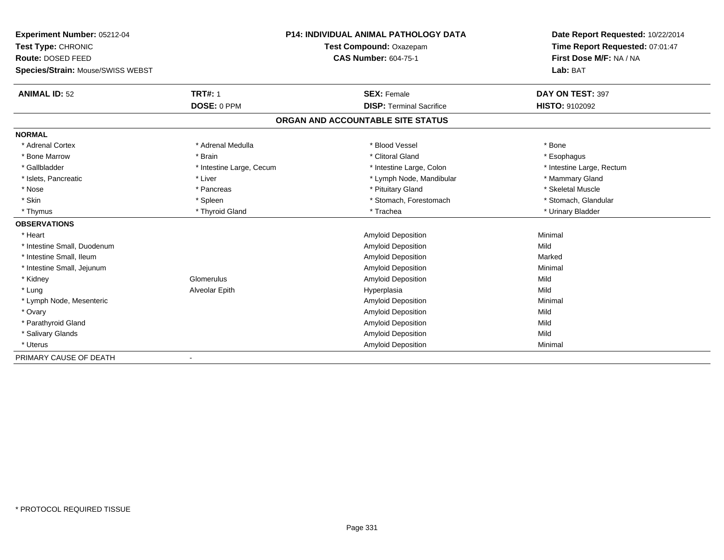| Experiment Number: 05212-04       | <b>P14: INDIVIDUAL ANIMAL PATHOLOGY DATA</b> |                                   | Date Report Requested: 10/22/2014 |
|-----------------------------------|----------------------------------------------|-----------------------------------|-----------------------------------|
| Test Type: CHRONIC                |                                              | Test Compound: Oxazepam           | Time Report Requested: 07:01:47   |
| Route: DOSED FEED                 |                                              | <b>CAS Number: 604-75-1</b>       | First Dose M/F: NA / NA           |
| Species/Strain: Mouse/SWISS WEBST |                                              |                                   | Lab: BAT                          |
| <b>ANIMAL ID: 52</b>              | <b>TRT#: 1</b>                               | <b>SEX: Female</b>                | DAY ON TEST: 397                  |
|                                   | DOSE: 0 PPM                                  | <b>DISP: Terminal Sacrifice</b>   | HISTO: 9102092                    |
|                                   |                                              | ORGAN AND ACCOUNTABLE SITE STATUS |                                   |
| <b>NORMAL</b>                     |                                              |                                   |                                   |
| * Adrenal Cortex                  | * Adrenal Medulla                            | * Blood Vessel                    | * Bone                            |
| * Bone Marrow                     | * Brain                                      | * Clitoral Gland                  | * Esophagus                       |
| * Gallbladder                     | * Intestine Large, Cecum                     | * Intestine Large, Colon          | * Intestine Large, Rectum         |
| * Islets, Pancreatic              | * Liver                                      | * Lymph Node, Mandibular          | * Mammary Gland                   |
| * Nose                            | * Pancreas                                   | * Pituitary Gland                 | * Skeletal Muscle                 |
| * Skin                            | * Spleen                                     | * Stomach, Forestomach            | * Stomach, Glandular              |
| * Thymus                          | * Thyroid Gland                              | * Trachea                         | * Urinary Bladder                 |
| <b>OBSERVATIONS</b>               |                                              |                                   |                                   |
| * Heart                           |                                              | Amyloid Deposition                | Minimal                           |
| * Intestine Small, Duodenum       |                                              | Amyloid Deposition                | Mild                              |
| * Intestine Small, Ileum          |                                              | Amyloid Deposition                | Marked                            |
| * Intestine Small, Jejunum        |                                              | <b>Amyloid Deposition</b>         | Minimal                           |
| * Kidney                          | Glomerulus                                   | Amyloid Deposition                | Mild                              |
| * Lung                            | Alveolar Epith                               | Hyperplasia                       | Mild                              |
| * Lymph Node, Mesenteric          |                                              | Amyloid Deposition                | Minimal                           |
| * Ovary                           |                                              | Amyloid Deposition                | Mild                              |
| * Parathyroid Gland               |                                              | Amyloid Deposition                | Mild                              |
| * Salivary Glands                 |                                              | Amyloid Deposition                | Mild                              |
| * Uterus                          |                                              | <b>Amyloid Deposition</b>         | Minimal                           |
| PRIMARY CAUSE OF DEATH            |                                              |                                   |                                   |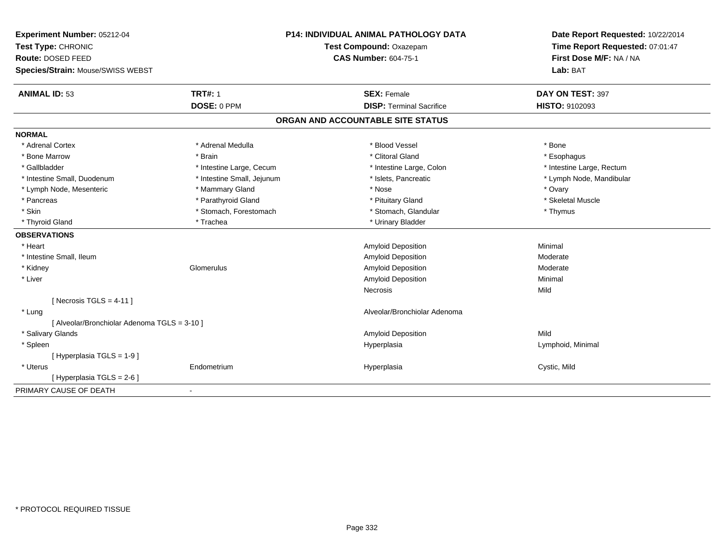| Experiment Number: 05212-04                  | <b>P14: INDIVIDUAL ANIMAL PATHOLOGY DATA</b> |                                   | Date Report Requested: 10/22/2014 |
|----------------------------------------------|----------------------------------------------|-----------------------------------|-----------------------------------|
| Test Type: CHRONIC                           |                                              | Test Compound: Oxazepam           | Time Report Requested: 07:01:47   |
| Route: DOSED FEED                            |                                              | <b>CAS Number: 604-75-1</b>       | First Dose M/F: NA / NA           |
| Species/Strain: Mouse/SWISS WEBST            |                                              |                                   | Lab: BAT                          |
| <b>ANIMAL ID: 53</b>                         | <b>TRT#: 1</b>                               | <b>SEX: Female</b>                | DAY ON TEST: 397                  |
|                                              | DOSE: 0 PPM                                  | <b>DISP: Terminal Sacrifice</b>   | HISTO: 9102093                    |
|                                              |                                              | ORGAN AND ACCOUNTABLE SITE STATUS |                                   |
| <b>NORMAL</b>                                |                                              |                                   |                                   |
| * Adrenal Cortex                             | * Adrenal Medulla                            | * Blood Vessel                    | * Bone                            |
| * Bone Marrow                                | * Brain                                      | * Clitoral Gland                  | * Esophagus                       |
| * Gallbladder                                | * Intestine Large, Cecum                     | * Intestine Large, Colon          | * Intestine Large, Rectum         |
| * Intestine Small, Duodenum                  | * Intestine Small, Jejunum                   | * Islets, Pancreatic              | * Lymph Node, Mandibular          |
| * Lymph Node, Mesenteric                     | * Mammary Gland                              | * Nose                            | * Ovary                           |
| * Pancreas                                   | * Parathyroid Gland                          | * Pituitary Gland                 | * Skeletal Muscle                 |
| * Skin                                       | * Stomach, Forestomach                       | * Stomach, Glandular              | * Thymus                          |
| * Thyroid Gland                              | * Trachea                                    | * Urinary Bladder                 |                                   |
| <b>OBSERVATIONS</b>                          |                                              |                                   |                                   |
| * Heart                                      |                                              | Amyloid Deposition                | Minimal                           |
| * Intestine Small, Ileum                     |                                              | Amyloid Deposition                | Moderate                          |
| * Kidney                                     | Glomerulus                                   | Amyloid Deposition                | Moderate                          |
| * Liver                                      |                                              | Amyloid Deposition                | Minimal                           |
|                                              |                                              | Necrosis                          | Mild                              |
| [Necrosis TGLS = $4-11$ ]                    |                                              |                                   |                                   |
| * Lung                                       |                                              | Alveolar/Bronchiolar Adenoma      |                                   |
| [ Alveolar/Bronchiolar Adenoma TGLS = 3-10 ] |                                              |                                   |                                   |
| * Salivary Glands                            |                                              | Amyloid Deposition                | Mild                              |
| * Spleen                                     |                                              | Hyperplasia                       | Lymphoid, Minimal                 |
| [Hyperplasia TGLS = 1-9]                     |                                              |                                   |                                   |
| * Uterus                                     | Endometrium                                  | Hyperplasia                       | Cystic, Mild                      |
| [ Hyperplasia TGLS = 2-6 ]                   |                                              |                                   |                                   |
| PRIMARY CAUSE OF DEATH                       |                                              |                                   |                                   |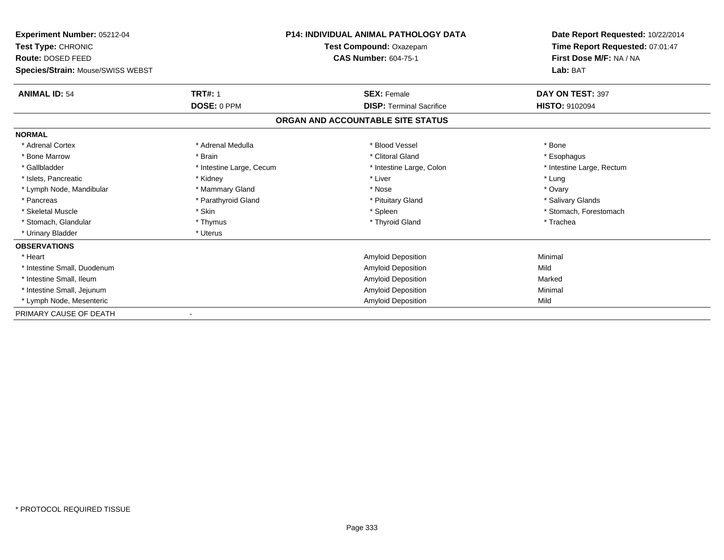| Experiment Number: 05212-04<br>Test Type: CHRONIC      |                          | <b>P14: INDIVIDUAL ANIMAL PATHOLOGY DATA</b><br>Test Compound: Oxazepam | Date Report Requested: 10/22/2014<br>Time Report Requested: 07:01:47 |  |
|--------------------------------------------------------|--------------------------|-------------------------------------------------------------------------|----------------------------------------------------------------------|--|
| Route: DOSED FEED<br>Species/Strain: Mouse/SWISS WEBST |                          | <b>CAS Number: 604-75-1</b>                                             | First Dose M/F: NA / NA<br>Lab: BAT                                  |  |
| <b>ANIMAL ID: 54</b>                                   | <b>TRT#: 1</b>           | <b>SEX: Female</b>                                                      | DAY ON TEST: 397                                                     |  |
|                                                        | DOSE: 0 PPM              | <b>DISP: Terminal Sacrifice</b>                                         | <b>HISTO: 9102094</b>                                                |  |
|                                                        |                          | ORGAN AND ACCOUNTABLE SITE STATUS                                       |                                                                      |  |
| <b>NORMAL</b>                                          |                          |                                                                         |                                                                      |  |
| * Adrenal Cortex                                       | * Adrenal Medulla        | * Blood Vessel                                                          | * Bone                                                               |  |
| * Bone Marrow                                          | * Brain                  | * Clitoral Gland                                                        | * Esophagus                                                          |  |
| * Gallbladder                                          | * Intestine Large, Cecum | * Intestine Large, Colon                                                | * Intestine Large, Rectum                                            |  |
| * Islets, Pancreatic                                   | * Kidney                 | * Liver                                                                 | * Lung                                                               |  |
| * Lymph Node, Mandibular                               | * Mammary Gland          | * Nose                                                                  | * Ovary                                                              |  |
| * Pancreas                                             | * Parathyroid Gland      | * Pituitary Gland                                                       | * Salivary Glands                                                    |  |
| * Skeletal Muscle                                      | * Skin                   | * Spleen                                                                | * Stomach, Forestomach                                               |  |
| * Stomach, Glandular                                   | * Thymus                 | * Thyroid Gland                                                         | * Trachea                                                            |  |
| * Urinary Bladder                                      | * Uterus                 |                                                                         |                                                                      |  |
| <b>OBSERVATIONS</b>                                    |                          |                                                                         |                                                                      |  |
| * Heart                                                |                          | <b>Amyloid Deposition</b>                                               | Minimal                                                              |  |
| * Intestine Small, Duodenum                            |                          | <b>Amyloid Deposition</b>                                               | Mild                                                                 |  |
| * Intestine Small, Ileum                               |                          | <b>Amyloid Deposition</b>                                               | Marked                                                               |  |
| * Intestine Small, Jejunum                             |                          | <b>Amyloid Deposition</b>                                               | Minimal                                                              |  |
| * Lymph Node, Mesenteric                               |                          | Amyloid Deposition                                                      | Mild                                                                 |  |
| PRIMARY CAUSE OF DEATH                                 |                          |                                                                         |                                                                      |  |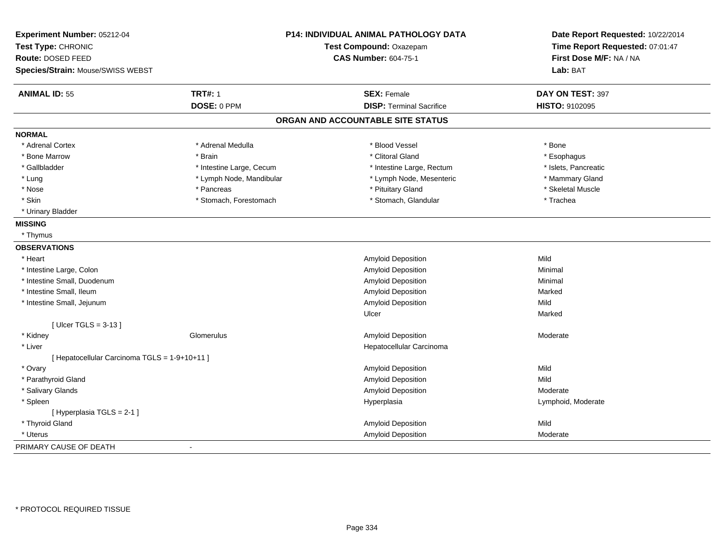| Experiment Number: 05212-04<br>Test Type: CHRONIC<br>Route: DOSED FEED<br>Species/Strain: Mouse/SWISS WEBST | P14: INDIVIDUAL ANIMAL PATHOLOGY DATA<br>Test Compound: Oxazepam<br><b>CAS Number: 604-75-1</b> |                                   | Date Report Requested: 10/22/2014<br>Time Report Requested: 07:01:47<br>First Dose M/F: NA / NA<br>Lab: BAT |
|-------------------------------------------------------------------------------------------------------------|-------------------------------------------------------------------------------------------------|-----------------------------------|-------------------------------------------------------------------------------------------------------------|
| <b>ANIMAL ID: 55</b>                                                                                        | <b>TRT#: 1</b>                                                                                  | <b>SEX: Female</b>                | DAY ON TEST: 397                                                                                            |
|                                                                                                             | DOSE: 0 PPM                                                                                     | <b>DISP: Terminal Sacrifice</b>   | HISTO: 9102095                                                                                              |
|                                                                                                             |                                                                                                 | ORGAN AND ACCOUNTABLE SITE STATUS |                                                                                                             |
| <b>NORMAL</b>                                                                                               |                                                                                                 |                                   |                                                                                                             |
| * Adrenal Cortex                                                                                            | * Adrenal Medulla                                                                               | * Blood Vessel                    | * Bone                                                                                                      |
| * Bone Marrow                                                                                               | * Brain                                                                                         | * Clitoral Gland                  | * Esophagus                                                                                                 |
| * Gallbladder                                                                                               | * Intestine Large, Cecum                                                                        | * Intestine Large, Rectum         | * Islets, Pancreatic                                                                                        |
| * Lung                                                                                                      | * Lymph Node, Mandibular                                                                        | * Lymph Node, Mesenteric          | * Mammary Gland                                                                                             |
| * Nose                                                                                                      | * Pancreas                                                                                      | * Pituitary Gland                 | * Skeletal Muscle                                                                                           |
| * Skin                                                                                                      | * Stomach, Forestomach                                                                          | * Stomach, Glandular              | * Trachea                                                                                                   |
| * Urinary Bladder                                                                                           |                                                                                                 |                                   |                                                                                                             |
| <b>MISSING</b>                                                                                              |                                                                                                 |                                   |                                                                                                             |
| * Thymus                                                                                                    |                                                                                                 |                                   |                                                                                                             |
| <b>OBSERVATIONS</b>                                                                                         |                                                                                                 |                                   |                                                                                                             |
| * Heart                                                                                                     |                                                                                                 | Amyloid Deposition                | Mild                                                                                                        |
| * Intestine Large, Colon                                                                                    |                                                                                                 | Amyloid Deposition                | Minimal                                                                                                     |
| * Intestine Small, Duodenum                                                                                 |                                                                                                 | Amyloid Deposition                | Minimal                                                                                                     |
| * Intestine Small, Ileum                                                                                    |                                                                                                 | Amyloid Deposition                | Marked                                                                                                      |
| * Intestine Small, Jejunum                                                                                  |                                                                                                 | Amyloid Deposition                | Mild                                                                                                        |
|                                                                                                             |                                                                                                 | Ulcer                             | Marked                                                                                                      |
| [Ulcer TGLS = $3-13$ ]                                                                                      |                                                                                                 |                                   |                                                                                                             |
| * Kidney                                                                                                    | Glomerulus                                                                                      | Amyloid Deposition                | Moderate                                                                                                    |
| * Liver                                                                                                     |                                                                                                 | Hepatocellular Carcinoma          |                                                                                                             |
| [ Hepatocellular Carcinoma TGLS = 1-9+10+11 ]                                                               |                                                                                                 |                                   |                                                                                                             |
| * Ovary                                                                                                     |                                                                                                 | Amyloid Deposition                | Mild                                                                                                        |
| * Parathyroid Gland                                                                                         |                                                                                                 | Amyloid Deposition                | Mild                                                                                                        |
| * Salivary Glands                                                                                           |                                                                                                 | Amyloid Deposition                | Moderate                                                                                                    |
| * Spleen                                                                                                    |                                                                                                 | Hyperplasia                       | Lymphoid, Moderate                                                                                          |
| [ Hyperplasia TGLS = 2-1 ]                                                                                  |                                                                                                 |                                   |                                                                                                             |
| * Thyroid Gland                                                                                             |                                                                                                 | Amyloid Deposition                | Mild                                                                                                        |
| * Uterus                                                                                                    |                                                                                                 | Amyloid Deposition                | Moderate                                                                                                    |
| PRIMARY CAUSE OF DEATH                                                                                      |                                                                                                 |                                   |                                                                                                             |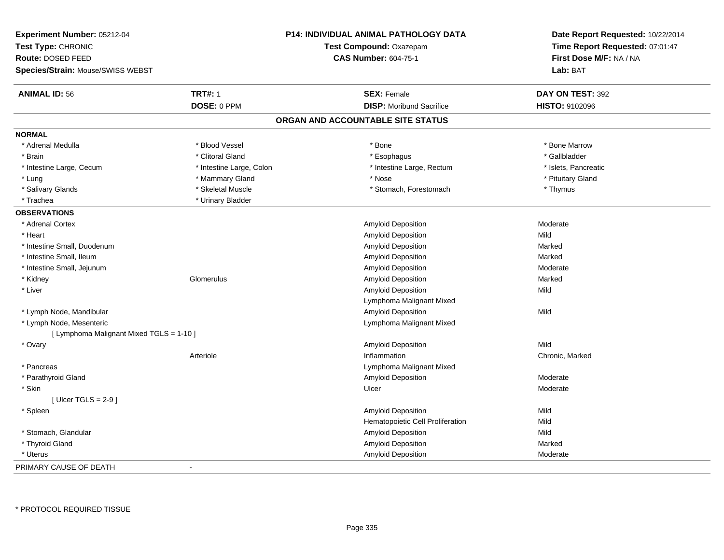| <b>Experiment Number: 05212-04</b><br>Test Type: CHRONIC<br>Route: DOSED FEED<br>Species/Strain: Mouse/SWISS WEBST |                          | P14: INDIVIDUAL ANIMAL PATHOLOGY DATA<br>Test Compound: Oxazepam<br><b>CAS Number: 604-75-1</b> | Date Report Requested: 10/22/2014<br>Time Report Requested: 07:01:47<br>First Dose M/F: NA / NA<br>Lab: BAT |
|--------------------------------------------------------------------------------------------------------------------|--------------------------|-------------------------------------------------------------------------------------------------|-------------------------------------------------------------------------------------------------------------|
| <b>ANIMAL ID: 56</b>                                                                                               | <b>TRT#: 1</b>           | <b>SEX: Female</b>                                                                              | DAY ON TEST: 392                                                                                            |
|                                                                                                                    | DOSE: 0 PPM              | <b>DISP:</b> Moribund Sacrifice                                                                 | <b>HISTO: 9102096</b>                                                                                       |
|                                                                                                                    |                          | ORGAN AND ACCOUNTABLE SITE STATUS                                                               |                                                                                                             |
| <b>NORMAL</b>                                                                                                      |                          |                                                                                                 |                                                                                                             |
| * Adrenal Medulla                                                                                                  | * Blood Vessel           | * Bone                                                                                          | * Bone Marrow                                                                                               |
| * Brain                                                                                                            | * Clitoral Gland         | * Esophagus                                                                                     | * Gallbladder                                                                                               |
| * Intestine Large, Cecum                                                                                           | * Intestine Large, Colon | * Intestine Large, Rectum                                                                       | * Islets, Pancreatic                                                                                        |
| * Lung                                                                                                             | * Mammary Gland          | * Nose                                                                                          | * Pituitary Gland                                                                                           |
| * Salivary Glands                                                                                                  | * Skeletal Muscle        | * Stomach, Forestomach                                                                          | * Thymus                                                                                                    |
| * Trachea                                                                                                          | * Urinary Bladder        |                                                                                                 |                                                                                                             |
| <b>OBSERVATIONS</b>                                                                                                |                          |                                                                                                 |                                                                                                             |
| * Adrenal Cortex                                                                                                   |                          | Amyloid Deposition                                                                              | Moderate                                                                                                    |
| * Heart                                                                                                            |                          | Amyloid Deposition                                                                              | Mild                                                                                                        |
| * Intestine Small, Duodenum                                                                                        |                          | Amyloid Deposition                                                                              | Marked                                                                                                      |
| * Intestine Small, Ileum                                                                                           |                          | Amyloid Deposition                                                                              | Marked                                                                                                      |
| * Intestine Small, Jejunum                                                                                         |                          | Amyloid Deposition                                                                              | Moderate                                                                                                    |
| * Kidney                                                                                                           | Glomerulus               | Amyloid Deposition                                                                              | Marked                                                                                                      |
| * Liver                                                                                                            |                          | Amyloid Deposition                                                                              | Mild                                                                                                        |
|                                                                                                                    |                          | Lymphoma Malignant Mixed                                                                        |                                                                                                             |
| * Lymph Node, Mandibular                                                                                           |                          | <b>Amyloid Deposition</b>                                                                       | Mild                                                                                                        |
| * Lymph Node, Mesenteric                                                                                           |                          | Lymphoma Malignant Mixed                                                                        |                                                                                                             |
| [ Lymphoma Malignant Mixed TGLS = 1-10 ]                                                                           |                          |                                                                                                 |                                                                                                             |
| * Ovary                                                                                                            |                          | Amyloid Deposition                                                                              | Mild                                                                                                        |
|                                                                                                                    | Arteriole                | Inflammation                                                                                    | Chronic, Marked                                                                                             |
| * Pancreas                                                                                                         |                          | Lymphoma Malignant Mixed                                                                        |                                                                                                             |
| * Parathyroid Gland                                                                                                |                          | Amyloid Deposition                                                                              | Moderate                                                                                                    |
| * Skin                                                                                                             |                          | Ulcer                                                                                           | Moderate                                                                                                    |
| [ Ulcer TGLS = $2-9$ ]                                                                                             |                          |                                                                                                 |                                                                                                             |
| * Spleen                                                                                                           |                          | Amyloid Deposition                                                                              | Mild                                                                                                        |
|                                                                                                                    |                          | Hematopoietic Cell Proliferation                                                                | Mild                                                                                                        |
| * Stomach, Glandular                                                                                               |                          | Amyloid Deposition                                                                              | Mild                                                                                                        |
| * Thyroid Gland                                                                                                    |                          | Amyloid Deposition                                                                              | Marked                                                                                                      |
| * Uterus                                                                                                           |                          | Amyloid Deposition                                                                              | Moderate                                                                                                    |
| PRIMARY CAUSE OF DEATH                                                                                             |                          |                                                                                                 |                                                                                                             |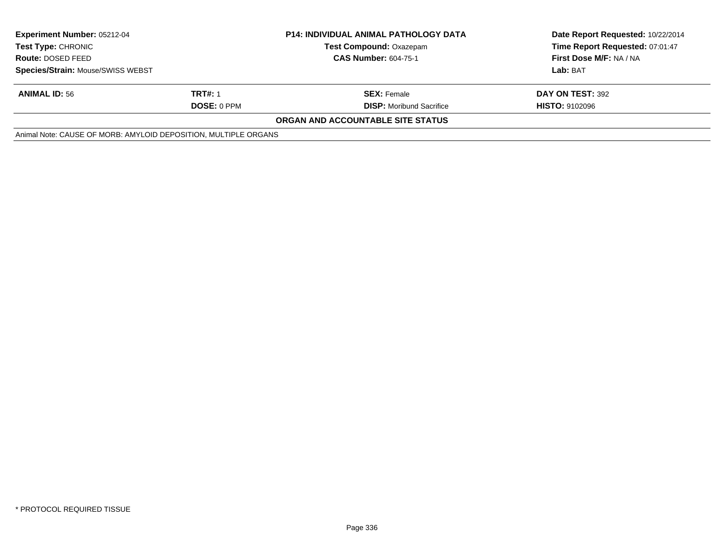| <b>Experiment Number: 05212-04</b><br><b>Test Type: CHRONIC</b> |                    | <b>P14: INDIVIDUAL ANIMAL PATHOLOGY DATA</b> | Date Report Requested: 10/22/2014<br>Time Report Requested: 07:01:47 |
|-----------------------------------------------------------------|--------------------|----------------------------------------------|----------------------------------------------------------------------|
|                                                                 |                    | <b>Test Compound: Oxazepam</b>               |                                                                      |
| <b>Route: DOSED FEED</b>                                        |                    | <b>CAS Number: 604-75-1</b>                  | First Dose M/F: NA / NA                                              |
| Species/Strain: Mouse/SWISS WEBST                               |                    |                                              | Lab: BAT                                                             |
| <b>ANIMAL ID: 56</b>                                            | <b>TRT#: 1</b>     | <b>SEX: Female</b>                           | DAY ON TEST: 392                                                     |
|                                                                 | <b>DOSE: 0 PPM</b> | <b>DISP:</b> Moribund Sacrifice              | <b>HISTO: 9102096</b>                                                |
|                                                                 |                    | <b>ORGAN AND ACCOUNTABLE SITE STATUS</b>     |                                                                      |
| Animal Note: CAUSE OF MORB: AMYLOID DEPOSITION, MULTIPLE ORGANS |                    |                                              |                                                                      |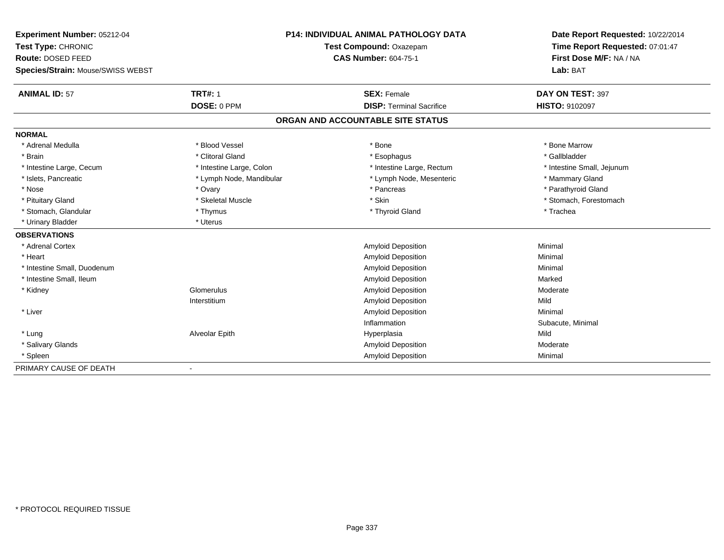| Experiment Number: 05212-04              | <b>P14: INDIVIDUAL ANIMAL PATHOLOGY DATA</b><br>Test Compound: Oxazepam |                                   | Date Report Requested: 10/22/2014 |  |
|------------------------------------------|-------------------------------------------------------------------------|-----------------------------------|-----------------------------------|--|
| Test Type: CHRONIC                       |                                                                         |                                   | Time Report Requested: 07:01:47   |  |
| Route: DOSED FEED                        |                                                                         | <b>CAS Number: 604-75-1</b>       | First Dose M/F: NA / NA           |  |
| <b>Species/Strain: Mouse/SWISS WEBST</b> |                                                                         |                                   | Lab: BAT                          |  |
| <b>ANIMAL ID: 57</b>                     | <b>TRT#: 1</b>                                                          | <b>SEX: Female</b>                | DAY ON TEST: 397                  |  |
|                                          | DOSE: 0 PPM                                                             | <b>DISP: Terminal Sacrifice</b>   | <b>HISTO: 9102097</b>             |  |
|                                          |                                                                         | ORGAN AND ACCOUNTABLE SITE STATUS |                                   |  |
| <b>NORMAL</b>                            |                                                                         |                                   |                                   |  |
| * Adrenal Medulla                        | * Blood Vessel                                                          | * Bone                            | * Bone Marrow                     |  |
| * Brain                                  | * Clitoral Gland                                                        | * Esophagus                       | * Gallbladder                     |  |
| * Intestine Large, Cecum                 | * Intestine Large, Colon                                                | * Intestine Large, Rectum         | * Intestine Small, Jejunum        |  |
| * Islets, Pancreatic                     | * Lymph Node, Mandibular                                                | * Lymph Node, Mesenteric          | * Mammary Gland                   |  |
| * Nose                                   | * Ovary                                                                 | * Pancreas                        | * Parathyroid Gland               |  |
| * Pituitary Gland                        | * Skeletal Muscle                                                       | * Skin                            | * Stomach, Forestomach            |  |
| * Stomach, Glandular                     | * Thymus                                                                | * Thyroid Gland                   | * Trachea                         |  |
| * Urinary Bladder                        | * Uterus                                                                |                                   |                                   |  |
| <b>OBSERVATIONS</b>                      |                                                                         |                                   |                                   |  |
| * Adrenal Cortex                         |                                                                         | <b>Amyloid Deposition</b>         | Minimal                           |  |
| * Heart                                  |                                                                         | Amyloid Deposition                | Minimal                           |  |
| * Intestine Small, Duodenum              |                                                                         | Amyloid Deposition                | Minimal                           |  |
| * Intestine Small, Ileum                 |                                                                         | Amyloid Deposition                | Marked                            |  |
| * Kidney                                 | Glomerulus                                                              | Amyloid Deposition                | Moderate                          |  |
|                                          | Interstitium                                                            | Amyloid Deposition                | Mild                              |  |
| * Liver                                  |                                                                         | Amyloid Deposition                | Minimal                           |  |
|                                          |                                                                         | Inflammation                      | Subacute, Minimal                 |  |
| * Lung                                   | Alveolar Epith                                                          | Hyperplasia                       | Mild                              |  |
| * Salivary Glands                        |                                                                         | Amyloid Deposition                | Moderate                          |  |
| * Spleen                                 |                                                                         | <b>Amyloid Deposition</b>         | Minimal                           |  |
| PRIMARY CAUSE OF DEATH                   | $\blacksquare$                                                          |                                   |                                   |  |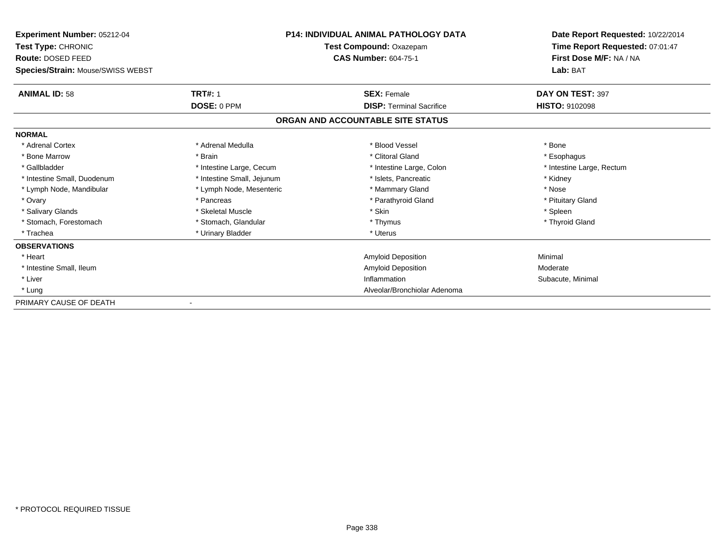| Experiment Number: 05212-04       |                            | <b>P14: INDIVIDUAL ANIMAL PATHOLOGY DATA</b> | Date Report Requested: 10/22/2014 |
|-----------------------------------|----------------------------|----------------------------------------------|-----------------------------------|
| Test Type: CHRONIC                |                            | Test Compound: Oxazepam                      | Time Report Requested: 07:01:47   |
| Route: DOSED FEED                 |                            | <b>CAS Number: 604-75-1</b>                  | First Dose M/F: NA / NA           |
| Species/Strain: Mouse/SWISS WEBST |                            |                                              | Lab: BAT                          |
| <b>ANIMAL ID: 58</b>              | <b>TRT#: 1</b>             | <b>SEX: Female</b>                           | DAY ON TEST: 397                  |
|                                   | DOSE: 0 PPM                | <b>DISP: Terminal Sacrifice</b>              | <b>HISTO: 9102098</b>             |
|                                   |                            | ORGAN AND ACCOUNTABLE SITE STATUS            |                                   |
| <b>NORMAL</b>                     |                            |                                              |                                   |
| * Adrenal Cortex                  | * Adrenal Medulla          | * Blood Vessel                               | * Bone                            |
| * Bone Marrow                     | * Brain                    | * Clitoral Gland                             | * Esophagus                       |
| * Gallbladder                     | * Intestine Large, Cecum   | * Intestine Large, Colon                     | * Intestine Large, Rectum         |
| * Intestine Small, Duodenum       | * Intestine Small, Jejunum | * Islets, Pancreatic                         | * Kidney                          |
| * Lymph Node, Mandibular          | * Lymph Node, Mesenteric   | * Mammary Gland                              | * Nose                            |
| * Ovary                           | * Pancreas                 | * Parathyroid Gland                          | * Pituitary Gland                 |
| * Salivary Glands                 | * Skeletal Muscle          | * Skin                                       | * Spleen                          |
| * Stomach, Forestomach            | * Stomach, Glandular       | * Thymus                                     | * Thyroid Gland                   |
| * Trachea                         | * Urinary Bladder          | * Uterus                                     |                                   |
| <b>OBSERVATIONS</b>               |                            |                                              |                                   |
| * Heart                           |                            | Amyloid Deposition                           | Minimal                           |
| * Intestine Small, Ileum          |                            | <b>Amyloid Deposition</b>                    | Moderate                          |
| * Liver                           |                            | Inflammation                                 | Subacute, Minimal                 |
| * Lung                            |                            | Alveolar/Bronchiolar Adenoma                 |                                   |
| PRIMARY CAUSE OF DEATH            |                            |                                              |                                   |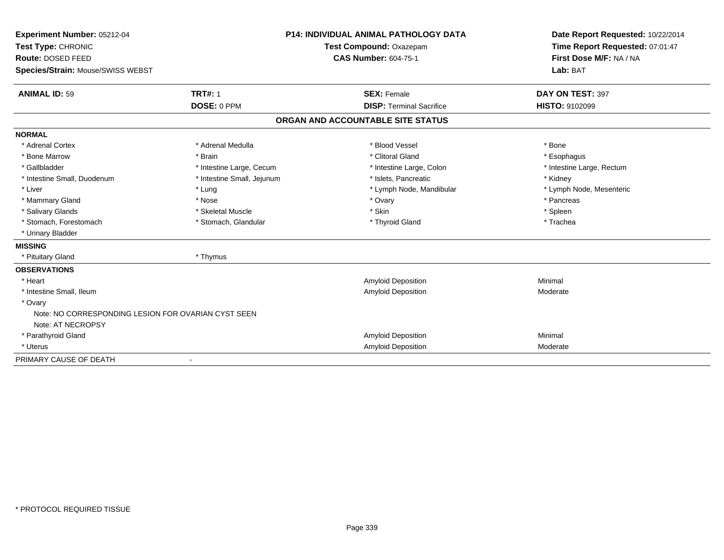| Experiment Number: 05212-04                                    |                            | <b>P14: INDIVIDUAL ANIMAL PATHOLOGY DATA</b> | Date Report Requested: 10/22/2014<br>Time Report Requested: 07:01:47 |
|----------------------------------------------------------------|----------------------------|----------------------------------------------|----------------------------------------------------------------------|
| Test Type: CHRONIC                                             |                            | Test Compound: Oxazepam                      |                                                                      |
| Route: DOSED FEED                                              |                            | <b>CAS Number: 604-75-1</b>                  | First Dose M/F: NA / NA                                              |
| Species/Strain: Mouse/SWISS WEBST                              |                            |                                              | Lab: BAT                                                             |
| <b>ANIMAL ID: 59</b>                                           | <b>TRT#: 1</b>             | <b>SEX: Female</b>                           | DAY ON TEST: 397                                                     |
|                                                                | DOSE: 0 PPM                | <b>DISP: Terminal Sacrifice</b>              | <b>HISTO: 9102099</b>                                                |
|                                                                |                            | ORGAN AND ACCOUNTABLE SITE STATUS            |                                                                      |
| <b>NORMAL</b>                                                  |                            |                                              |                                                                      |
| * Adrenal Cortex                                               | * Adrenal Medulla          | * Blood Vessel                               | * Bone                                                               |
| * Bone Marrow                                                  | * Brain                    | * Clitoral Gland                             | * Esophagus                                                          |
| * Gallbladder                                                  | * Intestine Large, Cecum   | * Intestine Large, Colon                     | * Intestine Large, Rectum                                            |
| * Intestine Small, Duodenum                                    | * Intestine Small, Jejunum | * Islets. Pancreatic                         | * Kidney                                                             |
| * Liver                                                        | * Lung                     | * Lymph Node, Mandibular                     | * Lymph Node, Mesenteric                                             |
| * Mammary Gland                                                | * Nose                     | * Ovary                                      | * Pancreas                                                           |
| * Salivary Glands                                              | * Skeletal Muscle          | * Skin                                       | * Spleen                                                             |
| * Stomach, Forestomach                                         | * Stomach, Glandular       | * Thyroid Gland                              | * Trachea                                                            |
| * Urinary Bladder                                              |                            |                                              |                                                                      |
| <b>MISSING</b>                                                 |                            |                                              |                                                                      |
| * Pituitary Gland                                              | * Thymus                   |                                              |                                                                      |
| <b>OBSERVATIONS</b>                                            |                            |                                              |                                                                      |
| * Heart                                                        |                            | <b>Amyloid Deposition</b>                    | Minimal                                                              |
| * Intestine Small, Ileum                                       |                            | <b>Amyloid Deposition</b>                    | Moderate                                                             |
| * Ovary<br>Note: NO CORRESPONDING LESION FOR OVARIAN CYST SEEN |                            |                                              |                                                                      |
| Note: AT NECROPSY                                              |                            |                                              |                                                                      |
| * Parathyroid Gland                                            |                            | <b>Amyloid Deposition</b>                    | Minimal                                                              |
| * Uterus                                                       |                            | <b>Amyloid Deposition</b>                    | Moderate                                                             |
| PRIMARY CAUSE OF DEATH                                         |                            |                                              |                                                                      |
|                                                                |                            |                                              |                                                                      |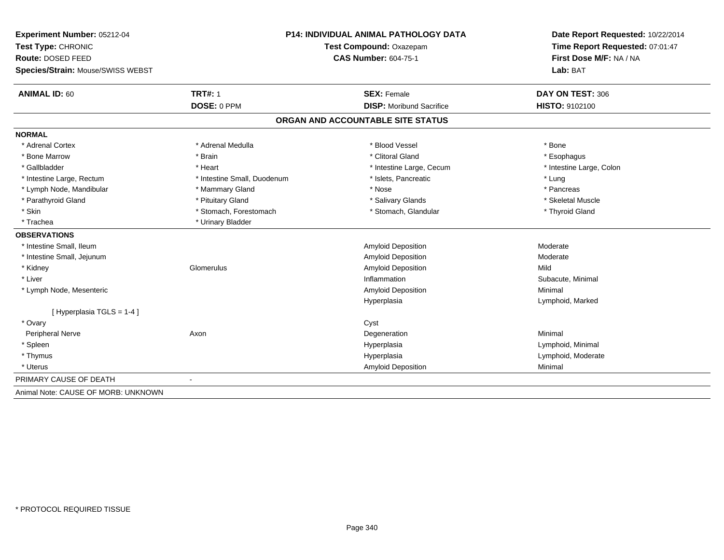| Experiment Number: 05212-04         | P14: INDIVIDUAL ANIMAL PATHOLOGY DATA<br>Test Compound: Oxazepam |                                   | Date Report Requested: 10/22/2014<br>Time Report Requested: 07:01:47 |
|-------------------------------------|------------------------------------------------------------------|-----------------------------------|----------------------------------------------------------------------|
| Test Type: CHRONIC                  |                                                                  |                                   |                                                                      |
| Route: DOSED FEED                   |                                                                  | <b>CAS Number: 604-75-1</b>       | First Dose M/F: NA / NA                                              |
| Species/Strain: Mouse/SWISS WEBST   |                                                                  |                                   | Lab: BAT                                                             |
| <b>ANIMAL ID: 60</b>                | <b>TRT#: 1</b>                                                   | <b>SEX: Female</b>                | DAY ON TEST: 306                                                     |
|                                     | DOSE: 0 PPM                                                      | <b>DISP:</b> Moribund Sacrifice   | HISTO: 9102100                                                       |
|                                     |                                                                  | ORGAN AND ACCOUNTABLE SITE STATUS |                                                                      |
| <b>NORMAL</b>                       |                                                                  |                                   |                                                                      |
| * Adrenal Cortex                    | * Adrenal Medulla                                                | * Blood Vessel                    | * Bone                                                               |
| * Bone Marrow                       | * Brain                                                          | * Clitoral Gland                  | * Esophagus                                                          |
| * Gallbladder                       | * Heart                                                          | * Intestine Large, Cecum          | * Intestine Large, Colon                                             |
| * Intestine Large, Rectum           | * Intestine Small, Duodenum                                      | * Islets, Pancreatic              | * Lung                                                               |
| * Lymph Node, Mandibular            | * Mammary Gland                                                  | * Nose                            | * Pancreas                                                           |
| * Parathyroid Gland                 | * Pituitary Gland                                                | * Salivary Glands                 | * Skeletal Muscle                                                    |
| * Skin                              | * Stomach, Forestomach                                           | * Stomach, Glandular              | * Thyroid Gland                                                      |
| * Trachea                           | * Urinary Bladder                                                |                                   |                                                                      |
| <b>OBSERVATIONS</b>                 |                                                                  |                                   |                                                                      |
| * Intestine Small, Ileum            |                                                                  | Amyloid Deposition                | Moderate                                                             |
| * Intestine Small, Jejunum          |                                                                  | Amyloid Deposition                | Moderate                                                             |
| * Kidney                            | Glomerulus                                                       | Amyloid Deposition                | Mild                                                                 |
| * Liver                             |                                                                  | Inflammation                      | Subacute, Minimal                                                    |
| * Lymph Node, Mesenteric            |                                                                  | Amyloid Deposition                | Minimal                                                              |
|                                     |                                                                  | Hyperplasia                       | Lymphoid, Marked                                                     |
| [Hyperplasia TGLS = 1-4]            |                                                                  |                                   |                                                                      |
| * Ovary                             |                                                                  | Cyst                              |                                                                      |
| Peripheral Nerve                    | Axon                                                             | Degeneration                      | Minimal                                                              |
| * Spleen                            |                                                                  | Hyperplasia                       | Lymphoid, Minimal                                                    |
| * Thymus                            |                                                                  | Hyperplasia                       | Lymphoid, Moderate                                                   |
| * Uterus                            |                                                                  | Amyloid Deposition                | Minimal                                                              |
| PRIMARY CAUSE OF DEATH              |                                                                  |                                   |                                                                      |
| Animal Note: CAUSE OF MORB: UNKNOWN |                                                                  |                                   |                                                                      |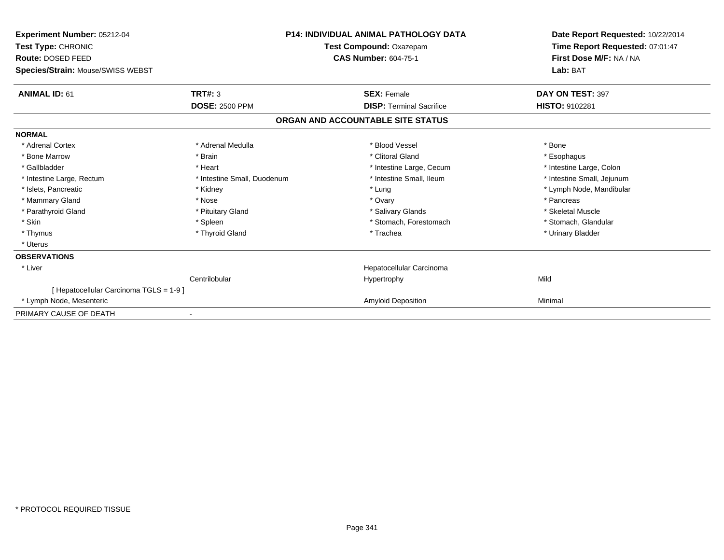| Experiment Number: 05212-04<br><b>Test Type: CHRONIC</b><br>Route: DOSED FEED<br>Species/Strain: Mouse/SWISS WEBST |                             | <b>P14: INDIVIDUAL ANIMAL PATHOLOGY DATA</b><br>Test Compound: Oxazepam<br><b>CAS Number: 604-75-1</b> | Date Report Requested: 10/22/2014<br>Time Report Requested: 07:01:47<br>First Dose M/F: NA / NA<br>Lab: BAT |
|--------------------------------------------------------------------------------------------------------------------|-----------------------------|--------------------------------------------------------------------------------------------------------|-------------------------------------------------------------------------------------------------------------|
| <b>ANIMAL ID: 61</b>                                                                                               | TRT#: 3                     | <b>SEX: Female</b>                                                                                     | DAY ON TEST: 397                                                                                            |
|                                                                                                                    | <b>DOSE: 2500 PPM</b>       | <b>DISP: Terminal Sacrifice</b>                                                                        | HISTO: 9102281                                                                                              |
|                                                                                                                    |                             | ORGAN AND ACCOUNTABLE SITE STATUS                                                                      |                                                                                                             |
| <b>NORMAL</b>                                                                                                      |                             |                                                                                                        |                                                                                                             |
| * Adrenal Cortex                                                                                                   | * Adrenal Medulla           | * Blood Vessel                                                                                         | * Bone                                                                                                      |
| * Bone Marrow                                                                                                      | * Brain                     | * Clitoral Gland                                                                                       | * Esophagus                                                                                                 |
| * Gallbladder                                                                                                      | * Heart                     | * Intestine Large, Cecum                                                                               | * Intestine Large, Colon                                                                                    |
| * Intestine Large, Rectum                                                                                          | * Intestine Small, Duodenum | * Intestine Small, Ileum                                                                               | * Intestine Small, Jejunum                                                                                  |
| * Islets, Pancreatic                                                                                               | * Kidney                    | * Lung                                                                                                 | * Lymph Node, Mandibular                                                                                    |
| * Mammary Gland                                                                                                    | * Nose                      | * Ovary                                                                                                | * Pancreas                                                                                                  |
| * Parathyroid Gland                                                                                                | * Pituitary Gland           | * Salivary Glands                                                                                      | * Skeletal Muscle                                                                                           |
| * Skin                                                                                                             | * Spleen                    | * Stomach, Forestomach                                                                                 | * Stomach, Glandular                                                                                        |
| * Thymus                                                                                                           | * Thyroid Gland             | * Trachea                                                                                              | * Urinary Bladder                                                                                           |
| * Uterus                                                                                                           |                             |                                                                                                        |                                                                                                             |
| <b>OBSERVATIONS</b>                                                                                                |                             |                                                                                                        |                                                                                                             |
| * Liver                                                                                                            |                             | Hepatocellular Carcinoma                                                                               |                                                                                                             |
|                                                                                                                    | Centrilobular               | Hypertrophy                                                                                            | Mild                                                                                                        |
| [ Hepatocellular Carcinoma TGLS = 1-9 ]                                                                            |                             |                                                                                                        |                                                                                                             |
| * Lymph Node, Mesenteric                                                                                           |                             | <b>Amyloid Deposition</b>                                                                              | Minimal                                                                                                     |
| PRIMARY CAUSE OF DEATH                                                                                             |                             |                                                                                                        |                                                                                                             |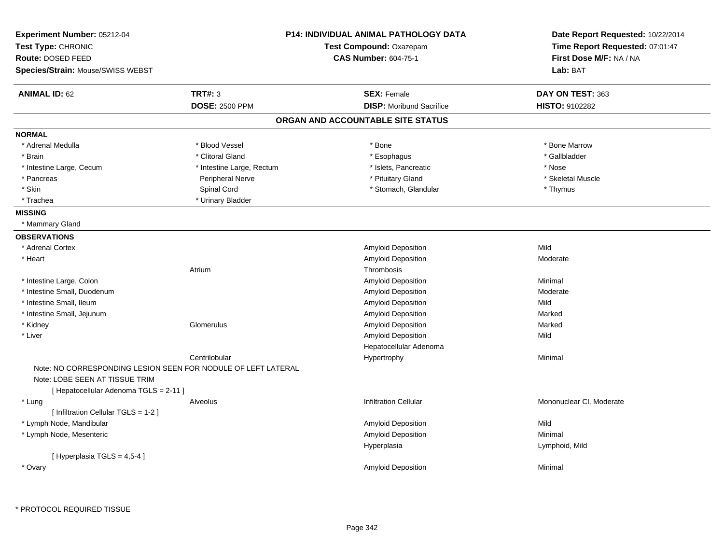| Experiment Number: 05212-04                                              |                                                               | <b>P14: INDIVIDUAL ANIMAL PATHOLOGY DATA</b> | Date Report Requested: 10/22/2014 |
|--------------------------------------------------------------------------|---------------------------------------------------------------|----------------------------------------------|-----------------------------------|
| Test Type: CHRONIC                                                       |                                                               | Test Compound: Oxazepam                      | Time Report Requested: 07:01:47   |
| Route: DOSED FEED                                                        |                                                               | <b>CAS Number: 604-75-1</b>                  | First Dose M/F: NA / NA           |
| Species/Strain: Mouse/SWISS WEBST                                        |                                                               |                                              | Lab: BAT                          |
| <b>ANIMAL ID: 62</b>                                                     | <b>TRT#: 3</b>                                                | <b>SEX: Female</b>                           | DAY ON TEST: 363                  |
|                                                                          | <b>DOSE: 2500 PPM</b>                                         | <b>DISP:</b> Moribund Sacrifice              | <b>HISTO: 9102282</b>             |
|                                                                          |                                                               | ORGAN AND ACCOUNTABLE SITE STATUS            |                                   |
| <b>NORMAL</b>                                                            |                                                               |                                              |                                   |
| * Adrenal Medulla                                                        | * Blood Vessel                                                | * Bone                                       | * Bone Marrow                     |
| * Brain                                                                  | * Clitoral Gland                                              | * Esophagus                                  | * Gallbladder                     |
| * Intestine Large, Cecum                                                 | * Intestine Large, Rectum                                     | * Islets, Pancreatic                         | * Nose                            |
| * Pancreas                                                               | Peripheral Nerve                                              | * Pituitary Gland                            | * Skeletal Muscle                 |
| * Skin                                                                   | Spinal Cord                                                   | * Stomach, Glandular                         | * Thymus                          |
| * Trachea                                                                | * Urinary Bladder                                             |                                              |                                   |
| <b>MISSING</b>                                                           |                                                               |                                              |                                   |
| * Mammary Gland                                                          |                                                               |                                              |                                   |
| <b>OBSERVATIONS</b>                                                      |                                                               |                                              |                                   |
| * Adrenal Cortex                                                         |                                                               | Amyloid Deposition                           | Mild                              |
| * Heart                                                                  |                                                               | Amyloid Deposition                           | Moderate                          |
|                                                                          | Atrium                                                        | Thrombosis                                   |                                   |
| * Intestine Large, Colon                                                 |                                                               | Amyloid Deposition                           | Minimal                           |
| * Intestine Small, Duodenum                                              |                                                               | Amyloid Deposition                           | Moderate                          |
| * Intestine Small, Ileum                                                 |                                                               | Amyloid Deposition                           | Mild                              |
| * Intestine Small, Jejunum                                               |                                                               | Amyloid Deposition                           | Marked                            |
| * Kidney                                                                 | Glomerulus                                                    | Amyloid Deposition                           | Marked                            |
| * Liver                                                                  |                                                               | Amyloid Deposition                           | Mild                              |
|                                                                          |                                                               | Hepatocellular Adenoma                       |                                   |
|                                                                          | Centrilobular                                                 | Hypertrophy                                  | Minimal                           |
|                                                                          | Note: NO CORRESPONDING LESION SEEN FOR NODULE OF LEFT LATERAL |                                              |                                   |
| Note: LOBE SEEN AT TISSUE TRIM<br>[ Hepatocellular Adenoma TGLS = 2-11 ] |                                                               |                                              |                                   |
| * Lung                                                                   | Alveolus                                                      | <b>Infiltration Cellular</b>                 | Mononuclear CI, Moderate          |
| [ Infiltration Cellular TGLS = 1-2 ]                                     |                                                               |                                              |                                   |
| * Lymph Node, Mandibular                                                 |                                                               | Amyloid Deposition                           | Mild                              |
| * Lymph Node, Mesenteric                                                 |                                                               | <b>Amyloid Deposition</b>                    | Minimal                           |
|                                                                          |                                                               | Hyperplasia                                  | Lymphoid, Mild                    |
| [ Hyperplasia TGLS = 4,5-4 ]                                             |                                                               |                                              |                                   |
| * Ovary                                                                  |                                                               | <b>Amyloid Deposition</b>                    | Minimal                           |
|                                                                          |                                                               |                                              |                                   |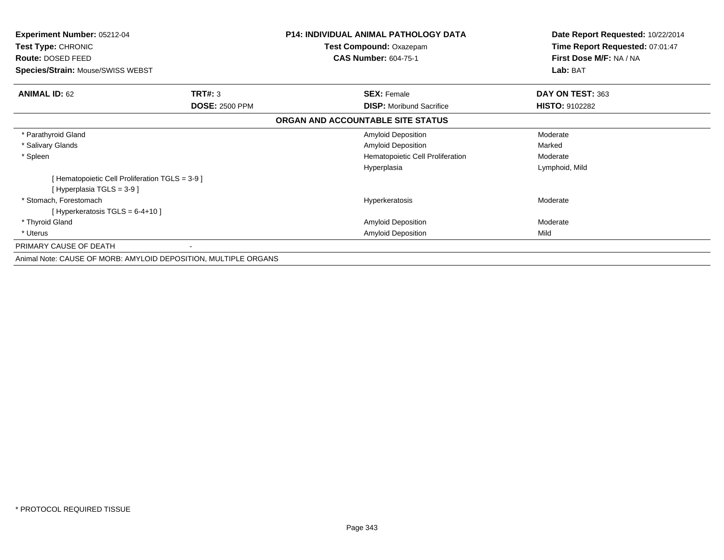| <b>Experiment Number: 05212-04</b><br>Test Type: CHRONIC<br>Route: DOSED FEED<br>Species/Strain: Mouse/SWISS WEBST |                                                                 | <b>P14: INDIVIDUAL ANIMAL PATHOLOGY DATA</b><br>Test Compound: Oxazepam<br><b>CAS Number: 604-75-1</b> | Date Report Requested: 10/22/2014<br>Time Report Requested: 07:01:47<br>First Dose M/F: NA / NA<br>Lab: BAT |
|--------------------------------------------------------------------------------------------------------------------|-----------------------------------------------------------------|--------------------------------------------------------------------------------------------------------|-------------------------------------------------------------------------------------------------------------|
|                                                                                                                    |                                                                 |                                                                                                        |                                                                                                             |
| <b>ANIMAL ID: 62</b>                                                                                               | TRT#: 3                                                         | <b>SEX: Female</b>                                                                                     | DAY ON TEST: 363                                                                                            |
|                                                                                                                    | <b>DOSE: 2500 PPM</b>                                           | <b>DISP:</b> Moribund Sacrifice                                                                        | <b>HISTO: 9102282</b>                                                                                       |
|                                                                                                                    |                                                                 | ORGAN AND ACCOUNTABLE SITE STATUS                                                                      |                                                                                                             |
| * Parathyroid Gland                                                                                                |                                                                 | <b>Amyloid Deposition</b>                                                                              | Moderate                                                                                                    |
| * Salivary Glands                                                                                                  |                                                                 | <b>Amyloid Deposition</b>                                                                              | Marked                                                                                                      |
| * Spleen                                                                                                           |                                                                 | Hematopoietic Cell Proliferation                                                                       | Moderate                                                                                                    |
|                                                                                                                    |                                                                 | Hyperplasia                                                                                            | Lymphoid, Mild                                                                                              |
| [Hematopoietic Cell Proliferation TGLS = 3-9 ]                                                                     |                                                                 |                                                                                                        |                                                                                                             |
| [Hyperplasia TGLS = 3-9 ]                                                                                          |                                                                 |                                                                                                        |                                                                                                             |
| * Stomach, Forestomach                                                                                             |                                                                 | Hyperkeratosis                                                                                         | Moderate                                                                                                    |
| [Hyperkeratosis TGLS = $6-4+10$ ]                                                                                  |                                                                 |                                                                                                        |                                                                                                             |
| * Thyroid Gland                                                                                                    |                                                                 | Amyloid Deposition                                                                                     | Moderate                                                                                                    |
| * Uterus                                                                                                           |                                                                 | <b>Amyloid Deposition</b>                                                                              | Mild                                                                                                        |
| PRIMARY CAUSE OF DEATH                                                                                             |                                                                 |                                                                                                        |                                                                                                             |
|                                                                                                                    | Animal Note: CAUSE OF MORB: AMYLOID DEPOSITION, MULTIPLE ORGANS |                                                                                                        |                                                                                                             |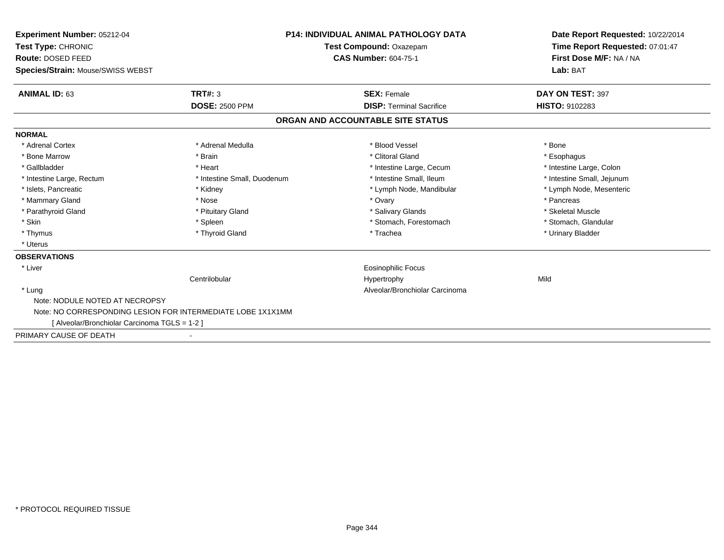| Experiment Number: 05212-04<br>Test Type: CHRONIC           |                             | <b>P14: INDIVIDUAL ANIMAL PATHOLOGY DATA</b><br>Test Compound: Oxazepam | Date Report Requested: 10/22/2014<br>Time Report Requested: 07:01:47 |
|-------------------------------------------------------------|-----------------------------|-------------------------------------------------------------------------|----------------------------------------------------------------------|
| Route: DOSED FEED                                           | <b>CAS Number: 604-75-1</b> |                                                                         | First Dose M/F: NA / NA                                              |
| Species/Strain: Mouse/SWISS WEBST                           |                             |                                                                         | Lab: BAT                                                             |
| <b>ANIMAL ID: 63</b>                                        | TRT#: 3                     | <b>SEX: Female</b>                                                      | DAY ON TEST: 397                                                     |
|                                                             | <b>DOSE: 2500 PPM</b>       | <b>DISP: Terminal Sacrifice</b>                                         | <b>HISTO: 9102283</b>                                                |
|                                                             |                             | ORGAN AND ACCOUNTABLE SITE STATUS                                       |                                                                      |
| <b>NORMAL</b>                                               |                             |                                                                         |                                                                      |
| * Adrenal Cortex                                            | * Adrenal Medulla           | * Blood Vessel                                                          | * Bone                                                               |
| * Bone Marrow                                               | * Brain                     | * Clitoral Gland                                                        | * Esophagus                                                          |
| * Gallbladder                                               | * Heart                     | * Intestine Large, Cecum                                                | * Intestine Large, Colon                                             |
| * Intestine Large, Rectum                                   | * Intestine Small, Duodenum | * Intestine Small, Ileum                                                | * Intestine Small, Jejunum                                           |
| * Islets, Pancreatic                                        | * Kidney                    | * Lymph Node, Mandibular                                                | * Lymph Node, Mesenteric                                             |
| * Mammary Gland                                             | * Nose                      | * Ovary                                                                 | * Pancreas                                                           |
| * Parathyroid Gland                                         | * Pituitary Gland           | * Salivary Glands                                                       | * Skeletal Muscle                                                    |
| * Skin                                                      | * Spleen                    | * Stomach, Forestomach                                                  | * Stomach, Glandular                                                 |
| * Thymus                                                    | * Thyroid Gland             | * Trachea                                                               | * Urinary Bladder                                                    |
| * Uterus                                                    |                             |                                                                         |                                                                      |
| <b>OBSERVATIONS</b>                                         |                             |                                                                         |                                                                      |
| * Liver                                                     |                             | <b>Eosinophilic Focus</b>                                               |                                                                      |
|                                                             | Centrilobular               | Hypertrophy                                                             | Mild                                                                 |
| * Lung                                                      |                             | Alveolar/Bronchiolar Carcinoma                                          |                                                                      |
| Note: NODULE NOTED AT NECROPSY                              |                             |                                                                         |                                                                      |
| Note: NO CORRESPONDING LESION FOR INTERMEDIATE LOBE 1X1X1MM |                             |                                                                         |                                                                      |
| [Alveolar/Bronchiolar Carcinoma TGLS = 1-2 ]                |                             |                                                                         |                                                                      |
| PRIMARY CAUSE OF DEATH                                      |                             |                                                                         |                                                                      |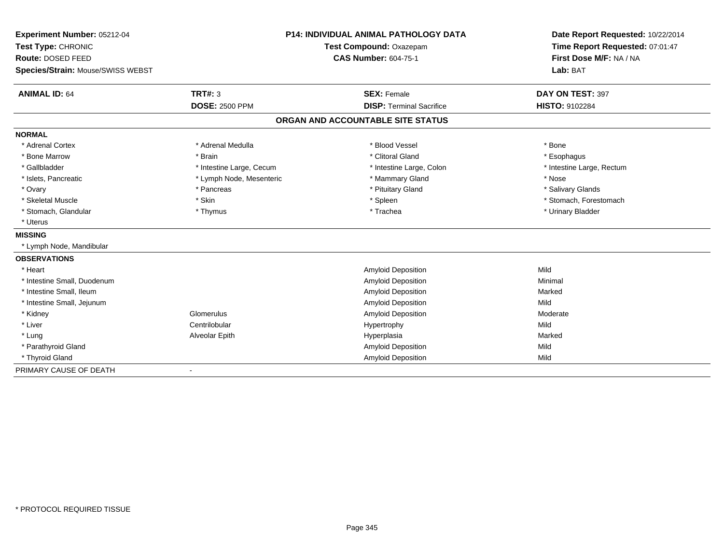| Experiment Number: 05212-04       | <b>P14: INDIVIDUAL ANIMAL PATHOLOGY DATA</b><br>Test Compound: Oxazepam |                                   | Date Report Requested: 10/22/2014 |
|-----------------------------------|-------------------------------------------------------------------------|-----------------------------------|-----------------------------------|
| Test Type: CHRONIC                |                                                                         |                                   | Time Report Requested: 07:01:47   |
| Route: DOSED FEED                 |                                                                         | <b>CAS Number: 604-75-1</b>       | First Dose M/F: NA / NA           |
| Species/Strain: Mouse/SWISS WEBST |                                                                         |                                   | Lab: BAT                          |
| <b>ANIMAL ID: 64</b>              | <b>TRT#: 3</b>                                                          | <b>SEX: Female</b>                | DAY ON TEST: 397                  |
|                                   | <b>DOSE: 2500 PPM</b>                                                   | <b>DISP: Terminal Sacrifice</b>   | <b>HISTO: 9102284</b>             |
|                                   |                                                                         | ORGAN AND ACCOUNTABLE SITE STATUS |                                   |
| <b>NORMAL</b>                     |                                                                         |                                   |                                   |
| * Adrenal Cortex                  | * Adrenal Medulla                                                       | * Blood Vessel                    | * Bone                            |
| * Bone Marrow                     | * Brain                                                                 | * Clitoral Gland                  | * Esophagus                       |
| * Gallbladder                     | * Intestine Large, Cecum                                                | * Intestine Large, Colon          | * Intestine Large, Rectum         |
| * Islets, Pancreatic              | * Lymph Node, Mesenteric                                                | * Mammary Gland                   | * Nose                            |
| * Ovary                           | * Pancreas                                                              | * Pituitary Gland                 | * Salivary Glands                 |
| * Skeletal Muscle                 | * Skin                                                                  | * Spleen                          | * Stomach, Forestomach            |
| * Stomach, Glandular              | * Thymus                                                                | * Trachea                         | * Urinary Bladder                 |
| * Uterus                          |                                                                         |                                   |                                   |
| <b>MISSING</b>                    |                                                                         |                                   |                                   |
| * Lymph Node, Mandibular          |                                                                         |                                   |                                   |
| <b>OBSERVATIONS</b>               |                                                                         |                                   |                                   |
| * Heart                           |                                                                         | <b>Amyloid Deposition</b>         | Mild                              |
| * Intestine Small, Duodenum       |                                                                         | <b>Amyloid Deposition</b>         | Minimal                           |
| * Intestine Small, Ileum          |                                                                         | <b>Amyloid Deposition</b>         | Marked                            |
| * Intestine Small, Jejunum        |                                                                         | <b>Amyloid Deposition</b>         | Mild                              |
| * Kidney                          | Glomerulus                                                              | <b>Amyloid Deposition</b>         | Moderate                          |
| * Liver                           | Centrilobular                                                           | Hypertrophy                       | Mild                              |
| * Lung                            | Alveolar Epith                                                          | Hyperplasia                       | Marked                            |
| * Parathyroid Gland               |                                                                         | Amyloid Deposition                | Mild                              |
| * Thyroid Gland                   |                                                                         | <b>Amyloid Deposition</b>         | Mild                              |
| PRIMARY CAUSE OF DEATH            |                                                                         |                                   |                                   |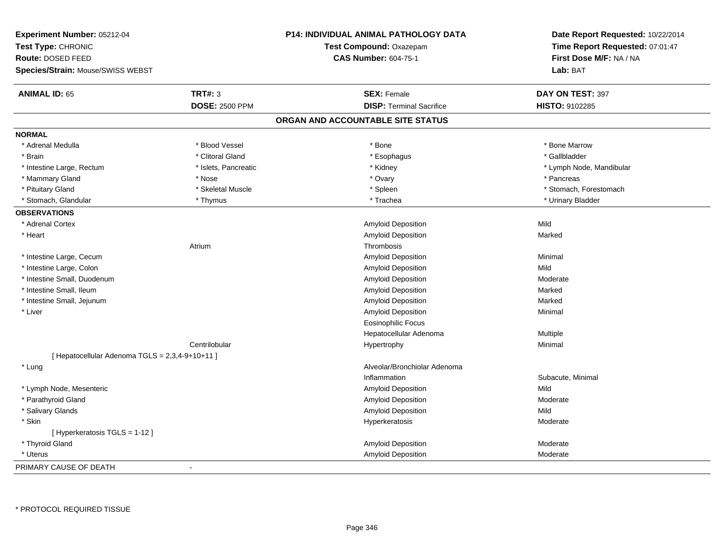| Experiment Number: 05212-04                     |                       | P14: INDIVIDUAL ANIMAL PATHOLOGY DATA | Date Report Requested: 10/22/2014 |
|-------------------------------------------------|-----------------------|---------------------------------------|-----------------------------------|
| Test Type: CHRONIC                              |                       | Test Compound: Oxazepam               | Time Report Requested: 07:01:47   |
| <b>Route: DOSED FEED</b>                        |                       | <b>CAS Number: 604-75-1</b>           | First Dose M/F: NA / NA           |
| Species/Strain: Mouse/SWISS WEBST               |                       |                                       | Lab: BAT                          |
| <b>ANIMAL ID: 65</b>                            | TRT#: 3               | <b>SEX: Female</b>                    | DAY ON TEST: 397                  |
|                                                 | <b>DOSE: 2500 PPM</b> | <b>DISP: Terminal Sacrifice</b>       | <b>HISTO: 9102285</b>             |
|                                                 |                       | ORGAN AND ACCOUNTABLE SITE STATUS     |                                   |
| <b>NORMAL</b>                                   |                       |                                       |                                   |
| * Adrenal Medulla                               | * Blood Vessel        | * Bone                                | * Bone Marrow                     |
| * Brain                                         | * Clitoral Gland      | * Esophagus                           | * Gallbladder                     |
| * Intestine Large, Rectum                       | * Islets, Pancreatic  | * Kidney                              | * Lymph Node, Mandibular          |
| * Mammary Gland                                 | * Nose                | * Ovary                               | * Pancreas                        |
| * Pituitary Gland                               | * Skeletal Muscle     | * Spleen                              | * Stomach, Forestomach            |
| * Stomach, Glandular                            | * Thymus              | * Trachea                             | * Urinary Bladder                 |
| <b>OBSERVATIONS</b>                             |                       |                                       |                                   |
| * Adrenal Cortex                                |                       | Amyloid Deposition                    | Mild                              |
| * Heart                                         |                       | <b>Amyloid Deposition</b>             | Marked                            |
|                                                 | Atrium                | Thrombosis                            |                                   |
| * Intestine Large, Cecum                        |                       | Amyloid Deposition                    | Minimal                           |
| * Intestine Large, Colon                        |                       | Amyloid Deposition                    | Mild                              |
| * Intestine Small, Duodenum                     |                       | Amyloid Deposition                    | Moderate                          |
| * Intestine Small, Ileum                        |                       | <b>Amyloid Deposition</b>             | Marked                            |
| * Intestine Small, Jejunum                      |                       | Amyloid Deposition                    | Marked                            |
| * Liver                                         |                       | Amyloid Deposition                    | Minimal                           |
|                                                 |                       | <b>Eosinophilic Focus</b>             |                                   |
|                                                 |                       | Hepatocellular Adenoma                | Multiple                          |
|                                                 | Centrilobular         | Hypertrophy                           | Minimal                           |
| [ Hepatocellular Adenoma TGLS = 2,3,4-9+10+11 ] |                       |                                       |                                   |
| * Lung                                          |                       | Alveolar/Bronchiolar Adenoma          |                                   |
|                                                 |                       | Inflammation                          | Subacute, Minimal                 |
| * Lymph Node, Mesenteric                        |                       | Amyloid Deposition                    | Mild                              |
| * Parathyroid Gland                             |                       | Amyloid Deposition                    | Moderate                          |
| * Salivary Glands                               |                       | Amyloid Deposition                    | Mild                              |
| * Skin                                          |                       | Hyperkeratosis                        | Moderate                          |
| [Hyperkeratosis $TGLS = 1-12$ ]                 |                       |                                       |                                   |
| * Thyroid Gland                                 |                       | <b>Amyloid Deposition</b>             | Moderate                          |
| * Uterus                                        |                       | Amyloid Deposition                    | Moderate                          |
| PRIMARY CAUSE OF DEATH                          | $\ddot{\phantom{a}}$  |                                       |                                   |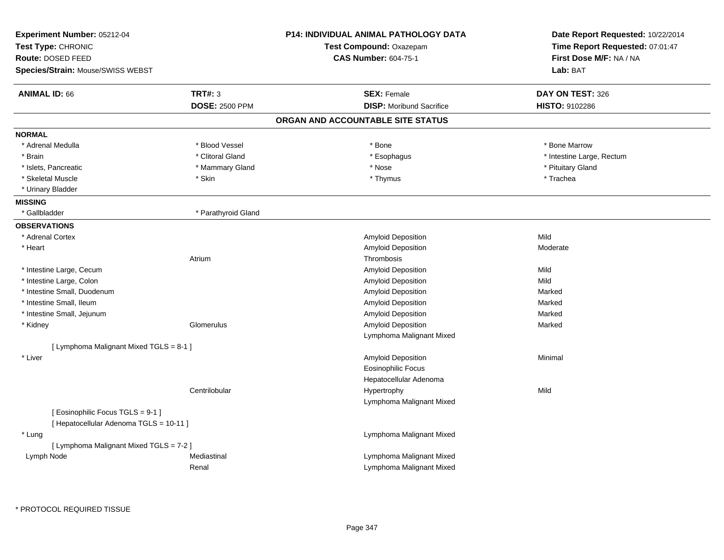| Experiment Number: 05212-04                                                 |                       | P14: INDIVIDUAL ANIMAL PATHOLOGY DATA | Date Report Requested: 10/22/2014 |
|-----------------------------------------------------------------------------|-----------------------|---------------------------------------|-----------------------------------|
| Test Type: CHRONIC                                                          |                       | Test Compound: Oxazepam               | Time Report Requested: 07:01:47   |
| <b>Route: DOSED FEED</b>                                                    |                       | <b>CAS Number: 604-75-1</b>           | First Dose M/F: NA / NA           |
| <b>Species/Strain: Mouse/SWISS WEBST</b>                                    |                       |                                       | Lab: BAT                          |
| <b>ANIMAL ID: 66</b>                                                        | <b>TRT#: 3</b>        | <b>SEX: Female</b>                    | DAY ON TEST: 326                  |
|                                                                             | <b>DOSE: 2500 PPM</b> | <b>DISP: Moribund Sacrifice</b>       | HISTO: 9102286                    |
|                                                                             |                       | ORGAN AND ACCOUNTABLE SITE STATUS     |                                   |
| <b>NORMAL</b>                                                               |                       |                                       |                                   |
| * Adrenal Medulla                                                           | * Blood Vessel        | * Bone                                | * Bone Marrow                     |
| * Brain                                                                     | * Clitoral Gland      | * Esophagus                           | * Intestine Large, Rectum         |
| * Islets, Pancreatic                                                        | * Mammary Gland       | * Nose                                | * Pituitary Gland                 |
| * Skeletal Muscle                                                           | * Skin                | * Thymus                              | * Trachea                         |
| * Urinary Bladder                                                           |                       |                                       |                                   |
| <b>MISSING</b>                                                              |                       |                                       |                                   |
| * Gallbladder                                                               | * Parathyroid Gland   |                                       |                                   |
| <b>OBSERVATIONS</b>                                                         |                       |                                       |                                   |
| * Adrenal Cortex                                                            |                       | Amyloid Deposition                    | Mild                              |
| * Heart                                                                     |                       | Amyloid Deposition                    | Moderate                          |
|                                                                             | Atrium                | Thrombosis                            |                                   |
| * Intestine Large, Cecum                                                    |                       | Amyloid Deposition                    | Mild                              |
| * Intestine Large, Colon                                                    |                       | Amyloid Deposition                    | Mild                              |
| * Intestine Small, Duodenum                                                 |                       | Amyloid Deposition                    | Marked                            |
| * Intestine Small, Ileum                                                    |                       | Amyloid Deposition                    | Marked                            |
| * Intestine Small, Jejunum                                                  |                       | Amyloid Deposition                    | Marked                            |
| * Kidney                                                                    | Glomerulus            | Amyloid Deposition                    | Marked                            |
|                                                                             |                       | Lymphoma Malignant Mixed              |                                   |
| [ Lymphoma Malignant Mixed TGLS = 8-1 ]                                     |                       |                                       |                                   |
| * Liver                                                                     |                       | Amyloid Deposition                    | Minimal                           |
|                                                                             |                       | <b>Eosinophilic Focus</b>             |                                   |
|                                                                             |                       | Hepatocellular Adenoma                |                                   |
|                                                                             | Centrilobular         | Hypertrophy                           | Mild                              |
|                                                                             |                       | Lymphoma Malignant Mixed              |                                   |
| [Eosinophilic Focus TGLS = 9-1 ]<br>[ Hepatocellular Adenoma TGLS = 10-11 ] |                       |                                       |                                   |
| * Lung                                                                      |                       | Lymphoma Malignant Mixed              |                                   |
| [ Lymphoma Malignant Mixed TGLS = 7-2 ]                                     |                       |                                       |                                   |
| Lymph Node                                                                  | Mediastinal           | Lymphoma Malignant Mixed              |                                   |
|                                                                             | Renal                 | Lymphoma Malignant Mixed              |                                   |
|                                                                             |                       |                                       |                                   |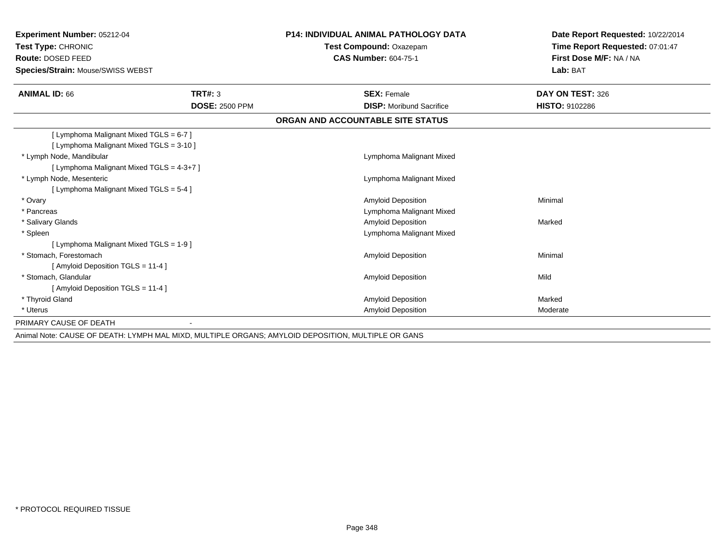| <b>Experiment Number: 05212-04</b>                                                                      |                       | <b>P14: INDIVIDUAL ANIMAL PATHOLOGY DATA</b>           | Date Report Requested: 10/22/2014                          |
|---------------------------------------------------------------------------------------------------------|-----------------------|--------------------------------------------------------|------------------------------------------------------------|
| Test Type: CHRONIC<br>Route: DOSED FEED                                                                 |                       | Test Compound: Oxazepam<br><b>CAS Number: 604-75-1</b> | Time Report Requested: 07:01:47<br>First Dose M/F: NA / NA |
|                                                                                                         |                       |                                                        | Lab: BAT                                                   |
| Species/Strain: Mouse/SWISS WEBST                                                                       |                       |                                                        |                                                            |
| <b>ANIMAL ID: 66</b>                                                                                    | TRT#: 3               | <b>SEX: Female</b>                                     | DAY ON TEST: 326                                           |
|                                                                                                         | <b>DOSE: 2500 PPM</b> | <b>DISP:</b> Moribund Sacrifice                        | HISTO: 9102286                                             |
|                                                                                                         |                       | ORGAN AND ACCOUNTABLE SITE STATUS                      |                                                            |
| [ Lymphoma Malignant Mixed TGLS = 6-7 ]                                                                 |                       |                                                        |                                                            |
| [ Lymphoma Malignant Mixed TGLS = 3-10 ]                                                                |                       |                                                        |                                                            |
| * Lymph Node, Mandibular                                                                                |                       | Lymphoma Malignant Mixed                               |                                                            |
| [ Lymphoma Malignant Mixed TGLS = 4-3+7 ]                                                               |                       |                                                        |                                                            |
| * Lymph Node, Mesenteric                                                                                |                       | Lymphoma Malignant Mixed                               |                                                            |
| [ Lymphoma Malignant Mixed TGLS = 5-4 ]                                                                 |                       |                                                        |                                                            |
| * Ovary                                                                                                 |                       | <b>Amyloid Deposition</b>                              | Minimal                                                    |
| * Pancreas                                                                                              |                       | Lymphoma Malignant Mixed                               |                                                            |
| * Salivary Glands                                                                                       |                       | <b>Amyloid Deposition</b>                              | Marked                                                     |
| * Spleen                                                                                                |                       | Lymphoma Malignant Mixed                               |                                                            |
| [ Lymphoma Malignant Mixed TGLS = 1-9 ]                                                                 |                       |                                                        |                                                            |
| * Stomach. Forestomach                                                                                  |                       | <b>Amyloid Deposition</b>                              | Minimal                                                    |
| [ Amyloid Deposition TGLS = 11-4 ]                                                                      |                       |                                                        |                                                            |
| * Stomach. Glandular                                                                                    |                       | <b>Amyloid Deposition</b>                              | Mild                                                       |
| [Amyloid Deposition TGLS = 11-4 ]                                                                       |                       |                                                        |                                                            |
| * Thyroid Gland                                                                                         |                       | <b>Amyloid Deposition</b>                              | Marked                                                     |
| * Uterus                                                                                                |                       | <b>Amyloid Deposition</b>                              | Moderate                                                   |
| PRIMARY CAUSE OF DEATH                                                                                  |                       |                                                        |                                                            |
| Animal Nata: CALICE OF DEATH: LVAIDLLMAL MIVD, MUILTIDLE ODCANG: AMVI OID DEDOCITION, MUILTIDLE OD CANG |                       |                                                        |                                                            |

Animal Note: CAUSE OF DEATH: LYMPH MAL MIXD, MULTIPLE ORGANS; AMYLOID DEPOSITION, MULTIPLE OR GANS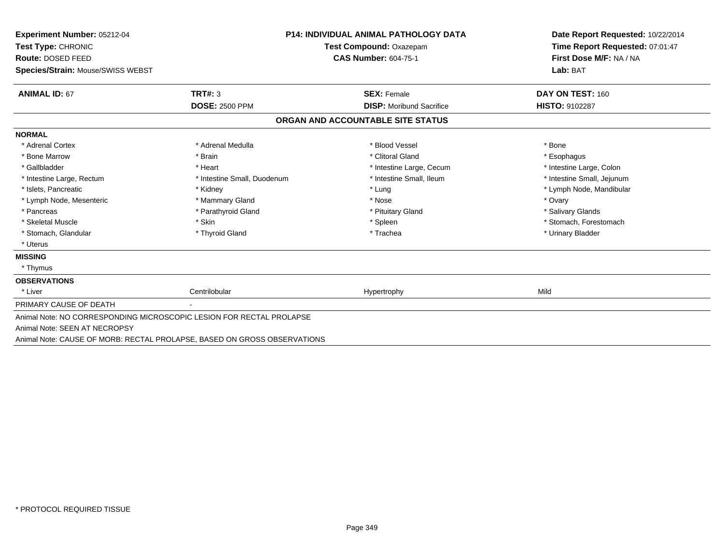| Experiment Number: 05212-04                                              |                             | <b>P14: INDIVIDUAL ANIMAL PATHOLOGY DATA</b> | Date Report Requested: 10/22/2014<br>Time Report Requested: 07:01:47<br>First Dose M/F: NA / NA |
|--------------------------------------------------------------------------|-----------------------------|----------------------------------------------|-------------------------------------------------------------------------------------------------|
| Test Type: CHRONIC                                                       |                             | <b>Test Compound: Oxazepam</b>               |                                                                                                 |
| <b>Route: DOSED FEED</b>                                                 |                             | <b>CAS Number: 604-75-1</b>                  |                                                                                                 |
| Species/Strain: Mouse/SWISS WEBST                                        |                             |                                              | Lab: BAT                                                                                        |
| <b>ANIMAL ID: 67</b>                                                     | TRT#: 3                     | <b>SEX: Female</b>                           | DAY ON TEST: 160                                                                                |
|                                                                          | <b>DOSE: 2500 PPM</b>       | <b>DISP:</b> Moribund Sacrifice              | <b>HISTO: 9102287</b>                                                                           |
|                                                                          |                             | ORGAN AND ACCOUNTABLE SITE STATUS            |                                                                                                 |
| <b>NORMAL</b>                                                            |                             |                                              |                                                                                                 |
| * Adrenal Cortex                                                         | * Adrenal Medulla           | * Blood Vessel                               | * Bone                                                                                          |
| * Bone Marrow                                                            | * Brain                     | * Clitoral Gland                             | * Esophagus                                                                                     |
| * Gallbladder                                                            | * Heart                     | * Intestine Large, Cecum                     | * Intestine Large, Colon                                                                        |
| * Intestine Large, Rectum                                                | * Intestine Small, Duodenum | * Intestine Small, Ileum                     | * Intestine Small, Jejunum                                                                      |
| * Islets, Pancreatic                                                     | * Kidney                    | * Lung                                       | * Lymph Node, Mandibular                                                                        |
| * Lymph Node, Mesenteric                                                 | * Mammary Gland             | * Nose                                       | * Ovary                                                                                         |
| * Pancreas                                                               | * Parathyroid Gland         | * Pituitary Gland                            | * Salivary Glands                                                                               |
| * Skeletal Muscle                                                        | * Skin                      | * Spleen                                     | * Stomach, Forestomach                                                                          |
| * Stomach, Glandular                                                     | * Thyroid Gland             | * Trachea                                    | * Urinary Bladder                                                                               |
| * Uterus                                                                 |                             |                                              |                                                                                                 |
| <b>MISSING</b>                                                           |                             |                                              |                                                                                                 |
| * Thymus                                                                 |                             |                                              |                                                                                                 |
| <b>OBSERVATIONS</b>                                                      |                             |                                              |                                                                                                 |
| * Liver                                                                  | Centrilobular               | Hypertrophy                                  | Mild                                                                                            |
| PRIMARY CAUSE OF DEATH                                                   |                             |                                              |                                                                                                 |
| Animal Note: NO CORRESPONDING MICROSCOPIC LESION FOR RECTAL PROLAPSE     |                             |                                              |                                                                                                 |
| Animal Note: SEEN AT NECROPSY                                            |                             |                                              |                                                                                                 |
| Animal Note: CAUSE OF MORB: RECTAL PROLAPSE, BASED ON GROSS OBSERVATIONS |                             |                                              |                                                                                                 |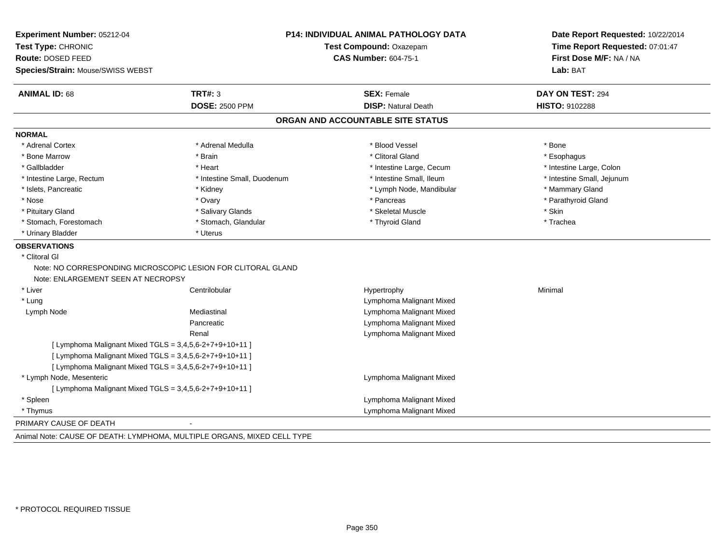| Experiment Number: 05212-04<br>Test Type: CHRONIC<br>Route: DOSED FEED |                                                              | P14: INDIVIDUAL ANIMAL PATHOLOGY DATA<br>Test Compound: Oxazepam<br><b>CAS Number: 604-75-1</b> | Date Report Requested: 10/22/2014<br>Time Report Requested: 07:01:47<br>First Dose M/F: NA / NA |
|------------------------------------------------------------------------|--------------------------------------------------------------|-------------------------------------------------------------------------------------------------|-------------------------------------------------------------------------------------------------|
| Species/Strain: Mouse/SWISS WEBST                                      |                                                              |                                                                                                 | Lab: BAT                                                                                        |
| <b>ANIMAL ID: 68</b>                                                   | <b>TRT#: 3</b>                                               | <b>SEX: Female</b>                                                                              | DAY ON TEST: 294                                                                                |
|                                                                        | <b>DOSE: 2500 PPM</b>                                        | <b>DISP: Natural Death</b>                                                                      | HISTO: 9102288                                                                                  |
|                                                                        |                                                              | ORGAN AND ACCOUNTABLE SITE STATUS                                                               |                                                                                                 |
| <b>NORMAL</b>                                                          |                                                              |                                                                                                 |                                                                                                 |
| * Adrenal Cortex                                                       | * Adrenal Medulla                                            | * Blood Vessel                                                                                  | * Bone                                                                                          |
| * Bone Marrow                                                          | * Brain                                                      | * Clitoral Gland                                                                                | * Esophagus                                                                                     |
| * Gallbladder                                                          | * Heart                                                      | * Intestine Large, Cecum                                                                        | * Intestine Large, Colon                                                                        |
| * Intestine Large, Rectum                                              | * Intestine Small, Duodenum                                  | * Intestine Small, Ileum                                                                        | * Intestine Small, Jejunum                                                                      |
| * Islets, Pancreatic                                                   | * Kidney                                                     | * Lymph Node, Mandibular                                                                        | * Mammary Gland                                                                                 |
| * Nose                                                                 | * Ovary                                                      | * Pancreas                                                                                      | * Parathyroid Gland                                                                             |
| * Pituitary Gland                                                      | * Salivary Glands                                            | * Skeletal Muscle                                                                               | * Skin                                                                                          |
| * Stomach, Forestomach                                                 | * Stomach, Glandular                                         | * Thyroid Gland                                                                                 | * Trachea                                                                                       |
| * Urinary Bladder                                                      | * Uterus                                                     |                                                                                                 |                                                                                                 |
| <b>OBSERVATIONS</b>                                                    |                                                              |                                                                                                 |                                                                                                 |
| * Clitoral GI                                                          |                                                              |                                                                                                 |                                                                                                 |
| Note: ENLARGEMENT SEEN AT NECROPSY                                     | Note: NO CORRESPONDING MICROSCOPIC LESION FOR CLITORAL GLAND |                                                                                                 |                                                                                                 |
| * Liver                                                                | Centrilobular                                                | Hypertrophy                                                                                     | Minimal                                                                                         |
| * Lung                                                                 |                                                              | Lymphoma Malignant Mixed                                                                        |                                                                                                 |
| Lymph Node                                                             | Mediastinal                                                  | Lymphoma Malignant Mixed                                                                        |                                                                                                 |
|                                                                        | Pancreatic                                                   | Lymphoma Malignant Mixed                                                                        |                                                                                                 |
|                                                                        | Renal                                                        | Lymphoma Malignant Mixed                                                                        |                                                                                                 |
|                                                                        | [ Lymphoma Malignant Mixed TGLS = $3,4,5,6-2+7+9+10+11$ ]    |                                                                                                 |                                                                                                 |
|                                                                        | [ Lymphoma Malignant Mixed TGLS = 3,4,5,6-2+7+9+10+11 ]      |                                                                                                 |                                                                                                 |
|                                                                        | [ Lymphoma Malignant Mixed TGLS = $3,4,5,6-2+7+9+10+11$ ]    |                                                                                                 |                                                                                                 |
| * Lymph Node, Mesenteric                                               |                                                              | Lymphoma Malignant Mixed                                                                        |                                                                                                 |
|                                                                        | [ Lymphoma Malignant Mixed TGLS = 3,4,5,6-2+7+9+10+11 ]      |                                                                                                 |                                                                                                 |
| * Spleen                                                               |                                                              | Lymphoma Malignant Mixed                                                                        |                                                                                                 |
| * Thymus                                                               |                                                              | Lymphoma Malignant Mixed                                                                        |                                                                                                 |
| PRIMARY CAUSE OF DEATH                                                 | $\sim$                                                       |                                                                                                 |                                                                                                 |

Animal Note: CAUSE OF DEATH: LYMPHOMA, MULTIPLE ORGANS, MIXED CELL TYPE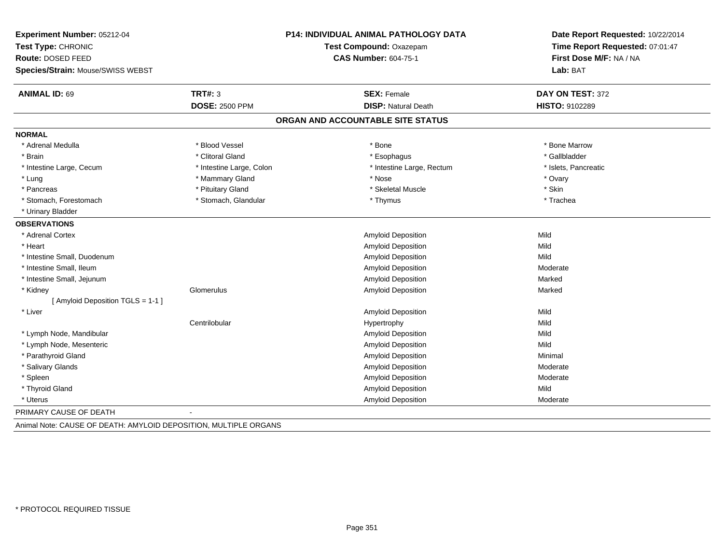| Experiment Number: 05212-04       |                          | <b>P14: INDIVIDUAL ANIMAL PATHOLOGY DATA</b> | Date Report Requested: 10/22/2014<br>Time Report Requested: 07:01:47 |
|-----------------------------------|--------------------------|----------------------------------------------|----------------------------------------------------------------------|
| Test Type: CHRONIC                |                          | <b>Test Compound: Oxazepam</b>               |                                                                      |
| Route: DOSED FEED                 |                          | <b>CAS Number: 604-75-1</b>                  | First Dose M/F: NA / NA                                              |
| Species/Strain: Mouse/SWISS WEBST |                          |                                              | Lab: BAT                                                             |
| <b>ANIMAL ID: 69</b>              | <b>TRT#: 3</b>           | <b>SEX: Female</b>                           | DAY ON TEST: 372                                                     |
|                                   | <b>DOSE: 2500 PPM</b>    | <b>DISP: Natural Death</b>                   | HISTO: 9102289                                                       |
|                                   |                          | ORGAN AND ACCOUNTABLE SITE STATUS            |                                                                      |
| <b>NORMAL</b>                     |                          |                                              |                                                                      |
| * Adrenal Medulla                 | * Blood Vessel           | * Bone                                       | * Bone Marrow                                                        |
| * Brain                           | * Clitoral Gland         | * Esophagus                                  | * Gallbladder                                                        |
| * Intestine Large, Cecum          | * Intestine Large, Colon | * Intestine Large, Rectum                    | * Islets, Pancreatic                                                 |
| * Lung                            | * Mammary Gland          | * Nose                                       | * Ovary                                                              |
| * Pancreas                        | * Pituitary Gland        | * Skeletal Muscle                            | * Skin                                                               |
| * Stomach, Forestomach            | * Stomach, Glandular     | * Thymus                                     | * Trachea                                                            |
| * Urinary Bladder                 |                          |                                              |                                                                      |
| <b>OBSERVATIONS</b>               |                          |                                              |                                                                      |
| * Adrenal Cortex                  |                          | Amyloid Deposition                           | Mild                                                                 |
| * Heart                           |                          | <b>Amyloid Deposition</b>                    | Mild                                                                 |
| * Intestine Small, Duodenum       |                          | <b>Amyloid Deposition</b>                    | Mild                                                                 |
| * Intestine Small, Ileum          |                          | Amyloid Deposition                           | Moderate                                                             |
| * Intestine Small, Jejunum        |                          | <b>Amyloid Deposition</b>                    | Marked                                                               |
| * Kidney                          | Glomerulus               | Amyloid Deposition                           | Marked                                                               |
| [ Amyloid Deposition TGLS = 1-1 ] |                          |                                              |                                                                      |
| * Liver                           |                          | <b>Amyloid Deposition</b>                    | Mild                                                                 |
|                                   | Centrilobular            | Hypertrophy                                  | Mild                                                                 |
| * Lymph Node, Mandibular          |                          | Amyloid Deposition                           | Mild                                                                 |
| * Lymph Node, Mesenteric          |                          | <b>Amyloid Deposition</b>                    | Mild                                                                 |
| * Parathyroid Gland               |                          | Amyloid Deposition                           | Minimal                                                              |
| * Salivary Glands                 |                          | Amyloid Deposition                           | Moderate                                                             |
| * Spleen                          |                          | Amyloid Deposition                           | Moderate                                                             |
| * Thyroid Gland                   |                          | Amyloid Deposition                           | Mild                                                                 |
| * Uterus                          |                          | Amyloid Deposition                           | Moderate                                                             |
| PRIMARY CAUSE OF DEATH            | $\overline{\phantom{a}}$ |                                              |                                                                      |

Animal Note: CAUSE OF DEATH: AMYLOID DEPOSITION, MULTIPLE ORGANS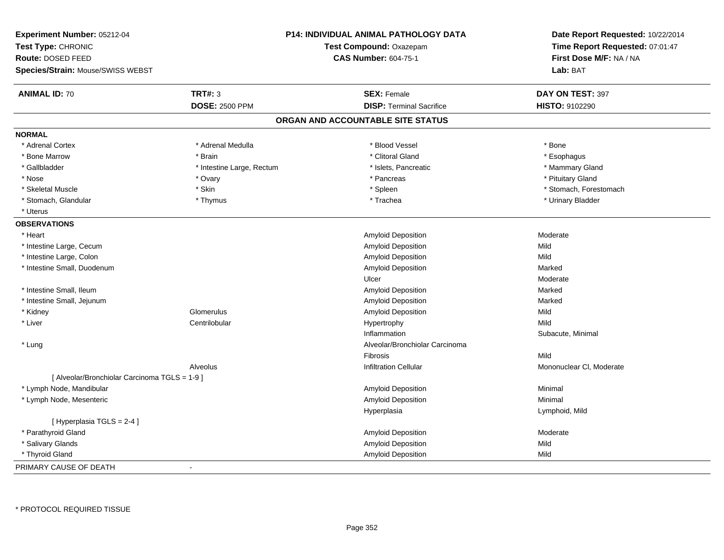| Experiment Number: 05212-04<br>Test Type: CHRONIC<br><b>Route: DOSED FEED</b><br>Species/Strain: Mouse/SWISS WEBST |                           | P14: INDIVIDUAL ANIMAL PATHOLOGY DATA<br>Test Compound: Oxazepam<br><b>CAS Number: 604-75-1</b> | Date Report Requested: 10/22/2014<br>Time Report Requested: 07:01:47<br>First Dose M/F: NA / NA<br>Lab: BAT |
|--------------------------------------------------------------------------------------------------------------------|---------------------------|-------------------------------------------------------------------------------------------------|-------------------------------------------------------------------------------------------------------------|
| <b>ANIMAL ID: 70</b>                                                                                               | <b>TRT#: 3</b>            | <b>SEX: Female</b>                                                                              | DAY ON TEST: 397                                                                                            |
|                                                                                                                    | <b>DOSE: 2500 PPM</b>     | <b>DISP: Terminal Sacrifice</b>                                                                 | <b>HISTO: 9102290</b>                                                                                       |
|                                                                                                                    |                           | ORGAN AND ACCOUNTABLE SITE STATUS                                                               |                                                                                                             |
| <b>NORMAL</b>                                                                                                      |                           |                                                                                                 |                                                                                                             |
| * Adrenal Cortex                                                                                                   | * Adrenal Medulla         | * Blood Vessel                                                                                  | * Bone                                                                                                      |
| * Bone Marrow                                                                                                      | * Brain                   | * Clitoral Gland                                                                                | * Esophagus                                                                                                 |
| * Gallbladder                                                                                                      | * Intestine Large, Rectum | * Islets, Pancreatic                                                                            | * Mammary Gland                                                                                             |
| * Nose                                                                                                             | * Ovary                   | * Pancreas                                                                                      | * Pituitary Gland                                                                                           |
| * Skeletal Muscle                                                                                                  | * Skin                    | * Spleen                                                                                        | * Stomach, Forestomach                                                                                      |
| * Stomach, Glandular                                                                                               | * Thymus                  | * Trachea                                                                                       | * Urinary Bladder                                                                                           |
| * Uterus                                                                                                           |                           |                                                                                                 |                                                                                                             |
| <b>OBSERVATIONS</b>                                                                                                |                           |                                                                                                 |                                                                                                             |
| * Heart                                                                                                            |                           | Amyloid Deposition                                                                              | Moderate                                                                                                    |
| * Intestine Large, Cecum                                                                                           |                           | Amyloid Deposition                                                                              | Mild                                                                                                        |
| * Intestine Large, Colon                                                                                           |                           | Amyloid Deposition                                                                              | Mild                                                                                                        |
| * Intestine Small, Duodenum                                                                                        |                           | Amyloid Deposition                                                                              | Marked                                                                                                      |
|                                                                                                                    |                           | Ulcer                                                                                           | Moderate                                                                                                    |
| * Intestine Small, Ileum                                                                                           |                           | <b>Amyloid Deposition</b>                                                                       | Marked                                                                                                      |
| * Intestine Small, Jejunum                                                                                         |                           | Amyloid Deposition                                                                              | Marked                                                                                                      |
| * Kidney                                                                                                           | Glomerulus                | <b>Amyloid Deposition</b>                                                                       | Mild                                                                                                        |
| * Liver                                                                                                            | Centrilobular             | Hypertrophy                                                                                     | Mild                                                                                                        |
|                                                                                                                    |                           | Inflammation                                                                                    | Subacute, Minimal                                                                                           |
| * Lung                                                                                                             |                           | Alveolar/Bronchiolar Carcinoma                                                                  |                                                                                                             |
|                                                                                                                    |                           | Fibrosis                                                                                        | Mild                                                                                                        |
|                                                                                                                    | Alveolus                  | <b>Infiltration Cellular</b>                                                                    | Mononuclear CI, Moderate                                                                                    |
| [ Alveolar/Bronchiolar Carcinoma TGLS = 1-9 ]                                                                      |                           |                                                                                                 |                                                                                                             |
| * Lymph Node, Mandibular                                                                                           |                           | Amyloid Deposition                                                                              | Minimal                                                                                                     |
| * Lymph Node, Mesenteric                                                                                           |                           | Amyloid Deposition                                                                              | Minimal                                                                                                     |
|                                                                                                                    |                           | Hyperplasia                                                                                     | Lymphoid, Mild                                                                                              |
| [Hyperplasia TGLS = 2-4]                                                                                           |                           |                                                                                                 |                                                                                                             |
| * Parathyroid Gland                                                                                                |                           | Amyloid Deposition                                                                              | Moderate                                                                                                    |
| * Salivary Glands                                                                                                  |                           | Amyloid Deposition                                                                              | Mild                                                                                                        |
| * Thyroid Gland                                                                                                    |                           | Amyloid Deposition                                                                              | Mild                                                                                                        |
| PRIMARY CAUSE OF DEATH                                                                                             |                           |                                                                                                 |                                                                                                             |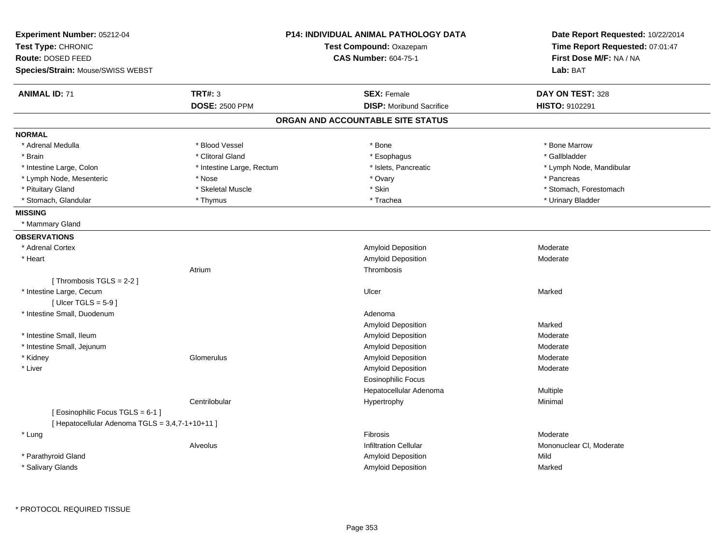| Experiment Number: 05212-04<br>Test Type: CHRONIC<br>Route: DOSED FEED<br>Species/Strain: Mouse/SWISS WEBST |                           | <b>P14: INDIVIDUAL ANIMAL PATHOLOGY DATA</b><br>Test Compound: Oxazepam<br><b>CAS Number: 604-75-1</b> | Date Report Requested: 10/22/2014<br>Time Report Requested: 07:01:47<br>First Dose M/F: NA / NA<br>Lab: BAT |
|-------------------------------------------------------------------------------------------------------------|---------------------------|--------------------------------------------------------------------------------------------------------|-------------------------------------------------------------------------------------------------------------|
|                                                                                                             |                           |                                                                                                        |                                                                                                             |
| <b>ANIMAL ID: 71</b>                                                                                        | <b>TRT#: 3</b>            | <b>SEX: Female</b>                                                                                     | DAY ON TEST: 328                                                                                            |
|                                                                                                             | <b>DOSE: 2500 PPM</b>     | <b>DISP:</b> Moribund Sacrifice                                                                        | HISTO: 9102291                                                                                              |
|                                                                                                             |                           | ORGAN AND ACCOUNTABLE SITE STATUS                                                                      |                                                                                                             |
| <b>NORMAL</b>                                                                                               |                           |                                                                                                        |                                                                                                             |
| * Adrenal Medulla                                                                                           | * Blood Vessel            | * Bone                                                                                                 | * Bone Marrow                                                                                               |
| * Brain                                                                                                     | * Clitoral Gland          | * Esophagus                                                                                            | * Gallbladder                                                                                               |
| * Intestine Large, Colon                                                                                    | * Intestine Large, Rectum | * Islets, Pancreatic                                                                                   | * Lymph Node, Mandibular                                                                                    |
| * Lymph Node, Mesenteric                                                                                    | * Nose                    | * Ovary                                                                                                | * Pancreas                                                                                                  |
| * Pituitary Gland                                                                                           | * Skeletal Muscle         | * Skin                                                                                                 | * Stomach, Forestomach                                                                                      |
| * Stomach, Glandular                                                                                        | * Thymus                  | * Trachea                                                                                              | * Urinary Bladder                                                                                           |
| <b>MISSING</b>                                                                                              |                           |                                                                                                        |                                                                                                             |
| * Mammary Gland                                                                                             |                           |                                                                                                        |                                                                                                             |
| <b>OBSERVATIONS</b>                                                                                         |                           |                                                                                                        |                                                                                                             |
| * Adrenal Cortex                                                                                            |                           | Amyloid Deposition                                                                                     | Moderate                                                                                                    |
| * Heart                                                                                                     |                           | Amyloid Deposition                                                                                     | Moderate                                                                                                    |
|                                                                                                             | Atrium                    | Thrombosis                                                                                             |                                                                                                             |
| [Thrombosis TGLS = 2-2]                                                                                     |                           |                                                                                                        |                                                                                                             |
| * Intestine Large, Cecum                                                                                    |                           | Ulcer                                                                                                  | Marked                                                                                                      |
| [Ulcer TGLS = $5-9$ ]                                                                                       |                           |                                                                                                        |                                                                                                             |
| * Intestine Small, Duodenum                                                                                 |                           | Adenoma                                                                                                |                                                                                                             |
|                                                                                                             |                           | Amyloid Deposition                                                                                     | Marked                                                                                                      |
| * Intestine Small, Ileum                                                                                    |                           | Amyloid Deposition                                                                                     | Moderate                                                                                                    |
| * Intestine Small, Jejunum                                                                                  |                           | Amyloid Deposition                                                                                     | Moderate                                                                                                    |
| * Kidney                                                                                                    | Glomerulus                | Amyloid Deposition                                                                                     | Moderate                                                                                                    |
| * Liver                                                                                                     |                           | Amyloid Deposition                                                                                     | Moderate                                                                                                    |
|                                                                                                             |                           | <b>Eosinophilic Focus</b>                                                                              |                                                                                                             |
|                                                                                                             |                           | Hepatocellular Adenoma                                                                                 | Multiple                                                                                                    |
|                                                                                                             | Centrilobular             | Hypertrophy                                                                                            | Minimal                                                                                                     |
| [ Eosinophilic Focus TGLS = 6-1 ]                                                                           |                           |                                                                                                        |                                                                                                             |
| [ Hepatocellular Adenoma TGLS = 3,4,7-1+10+11 ]                                                             |                           |                                                                                                        |                                                                                                             |
| * Lung                                                                                                      |                           | <b>Fibrosis</b>                                                                                        | Moderate                                                                                                    |
|                                                                                                             | Alveolus                  | <b>Infiltration Cellular</b>                                                                           | Mononuclear CI, Moderate                                                                                    |
| * Parathyroid Gland                                                                                         |                           | Amyloid Deposition                                                                                     | Mild                                                                                                        |
| * Salivary Glands                                                                                           |                           | Amyloid Deposition                                                                                     | Marked                                                                                                      |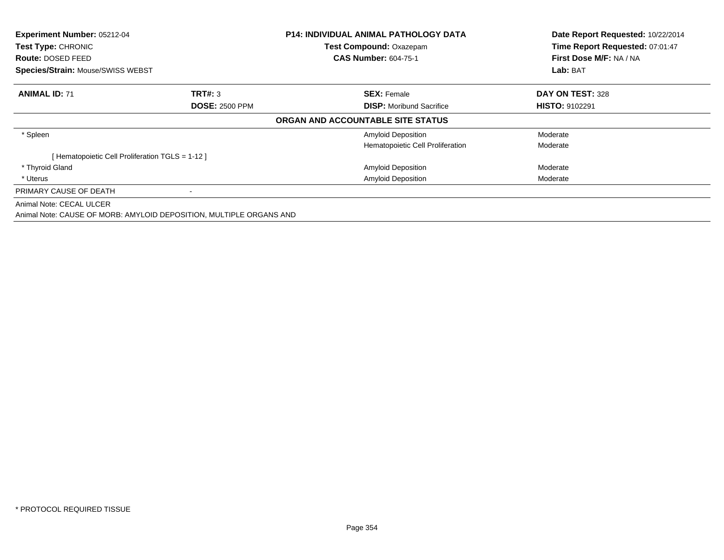| Experiment Number: 05212-04<br><b>Test Type: CHRONIC</b><br>Route: DOSED FEED<br>Species/Strain: Mouse/SWISS WEBST |                                                                     | <b>P14: INDIVIDUAL ANIMAL PATHOLOGY DATA</b><br>Test Compound: Oxazepam<br><b>CAS Number: 604-75-1</b> | Date Report Requested: 10/22/2014<br>Time Report Requested: 07:01:47<br>First Dose M/F: NA / NA |
|--------------------------------------------------------------------------------------------------------------------|---------------------------------------------------------------------|--------------------------------------------------------------------------------------------------------|-------------------------------------------------------------------------------------------------|
|                                                                                                                    |                                                                     |                                                                                                        | Lab: BAT                                                                                        |
| <b>ANIMAL ID: 71</b>                                                                                               | TRT#: 3                                                             | <b>SEX: Female</b>                                                                                     | DAY ON TEST: 328                                                                                |
|                                                                                                                    | <b>DOSE: 2500 PPM</b>                                               | <b>DISP:</b> Moribund Sacrifice                                                                        | <b>HISTO: 9102291</b>                                                                           |
|                                                                                                                    |                                                                     | ORGAN AND ACCOUNTABLE SITE STATUS                                                                      |                                                                                                 |
| * Spleen                                                                                                           |                                                                     | <b>Amyloid Deposition</b>                                                                              | Moderate                                                                                        |
|                                                                                                                    |                                                                     | Hematopoietic Cell Proliferation                                                                       | Moderate                                                                                        |
| [Hematopoietic Cell Proliferation TGLS = 1-12]                                                                     |                                                                     |                                                                                                        |                                                                                                 |
| * Thyroid Gland                                                                                                    |                                                                     | Amyloid Deposition                                                                                     | Moderate                                                                                        |
| * Uterus                                                                                                           |                                                                     | <b>Amyloid Deposition</b>                                                                              | Moderate                                                                                        |
| PRIMARY CAUSE OF DEATH                                                                                             |                                                                     |                                                                                                        |                                                                                                 |
| Animal Note: CECAL ULCER                                                                                           |                                                                     |                                                                                                        |                                                                                                 |
|                                                                                                                    | Animal Note: CAUSE OF MORB: AMYLOID DEPOSITION, MULTIPLE ORGANS AND |                                                                                                        |                                                                                                 |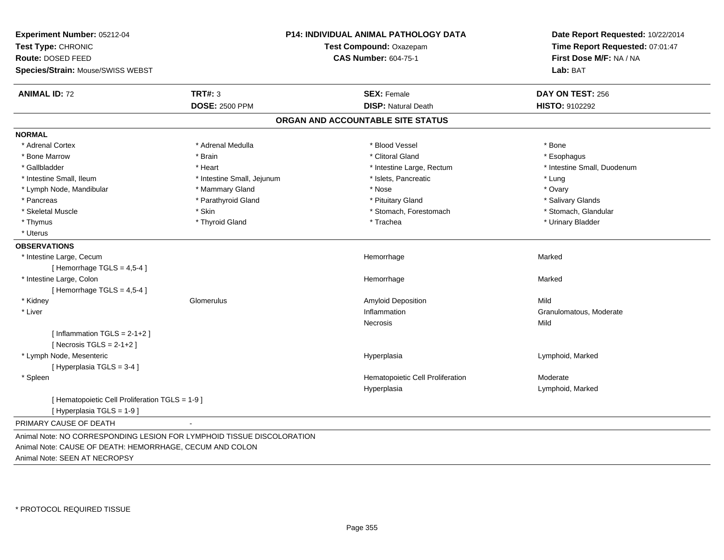| Experiment Number: 05212-04<br>Test Type: CHRONIC<br>Route: DOSED FEED        | P14: INDIVIDUAL ANIMAL PATHOLOGY DATA<br>Test Compound: Oxazepam<br><b>CAS Number: 604-75-1</b> |                                   | Date Report Requested: 10/22/2014<br>Time Report Requested: 07:01:47<br>First Dose M/F: NA / NA |
|-------------------------------------------------------------------------------|-------------------------------------------------------------------------------------------------|-----------------------------------|-------------------------------------------------------------------------------------------------|
| Species/Strain: Mouse/SWISS WEBST                                             |                                                                                                 |                                   | Lab: BAT                                                                                        |
| <b>ANIMAL ID: 72</b>                                                          | <b>TRT#: 3</b>                                                                                  | <b>SEX: Female</b>                | DAY ON TEST: 256                                                                                |
|                                                                               | <b>DOSE: 2500 PPM</b>                                                                           | <b>DISP: Natural Death</b>        | HISTO: 9102292                                                                                  |
|                                                                               |                                                                                                 | ORGAN AND ACCOUNTABLE SITE STATUS |                                                                                                 |
| <b>NORMAL</b>                                                                 |                                                                                                 |                                   |                                                                                                 |
| * Adrenal Cortex                                                              | * Adrenal Medulla                                                                               | * Blood Vessel                    | * Bone                                                                                          |
| * Bone Marrow                                                                 | * Brain                                                                                         | * Clitoral Gland                  | * Esophagus                                                                                     |
| * Gallbladder                                                                 | * Heart                                                                                         | * Intestine Large, Rectum         | * Intestine Small, Duodenum                                                                     |
| * Intestine Small, Ileum                                                      | * Intestine Small, Jejunum                                                                      | * Islets, Pancreatic              | * Lung                                                                                          |
| * Lymph Node, Mandibular                                                      | * Mammary Gland                                                                                 | * Nose                            | * Ovary                                                                                         |
| * Pancreas                                                                    | * Parathyroid Gland                                                                             | * Pituitary Gland                 | * Salivary Glands                                                                               |
| * Skeletal Muscle                                                             | * Skin                                                                                          | * Stomach, Forestomach            | * Stomach, Glandular                                                                            |
| * Thymus                                                                      | * Thyroid Gland                                                                                 | * Trachea                         | * Urinary Bladder                                                                               |
| * Uterus                                                                      |                                                                                                 |                                   |                                                                                                 |
| <b>OBSERVATIONS</b>                                                           |                                                                                                 |                                   |                                                                                                 |
| * Intestine Large, Cecum                                                      |                                                                                                 | Hemorrhage                        | Marked                                                                                          |
| [Hemorrhage TGLS = $4,5-4$ ]                                                  |                                                                                                 |                                   |                                                                                                 |
| * Intestine Large, Colon                                                      |                                                                                                 | Hemorrhage                        | Marked                                                                                          |
| [Hemorrhage TGLS = 4,5-4]                                                     |                                                                                                 |                                   |                                                                                                 |
| * Kidney                                                                      | Glomerulus                                                                                      | Amyloid Deposition                | Mild                                                                                            |
| * Liver                                                                       |                                                                                                 | Inflammation                      | Granulomatous, Moderate                                                                         |
|                                                                               |                                                                                                 | <b>Necrosis</b>                   | Mild                                                                                            |
| [Inflammation TGLS = $2-1+2$ ]                                                |                                                                                                 |                                   |                                                                                                 |
| [Necrosis TGLS = $2-1+2$ ]                                                    |                                                                                                 |                                   |                                                                                                 |
| * Lymph Node, Mesenteric                                                      |                                                                                                 | Hyperplasia                       | Lymphoid, Marked                                                                                |
| [Hyperplasia TGLS = 3-4]                                                      |                                                                                                 |                                   |                                                                                                 |
| * Spleen                                                                      |                                                                                                 | Hematopoietic Cell Proliferation  | Moderate                                                                                        |
|                                                                               |                                                                                                 | Hyperplasia                       | Lymphoid, Marked                                                                                |
| [ Hematopoietic Cell Proliferation TGLS = 1-9 ]<br>[ Hyperplasia TGLS = 1-9 ] |                                                                                                 |                                   |                                                                                                 |
| PRIMARY CAUSE OF DEATH                                                        |                                                                                                 |                                   |                                                                                                 |
| Animal Note: NO CORRESPONDING LESION FOR LYMPHOID TISSUE DISCOLORATION        |                                                                                                 |                                   |                                                                                                 |
| Animal Note: CAUSE OF DEATH: HEMORRHAGE, CECUM AND COLON                      |                                                                                                 |                                   |                                                                                                 |
| Animal Note: SEEN AT NECROPSY                                                 |                                                                                                 |                                   |                                                                                                 |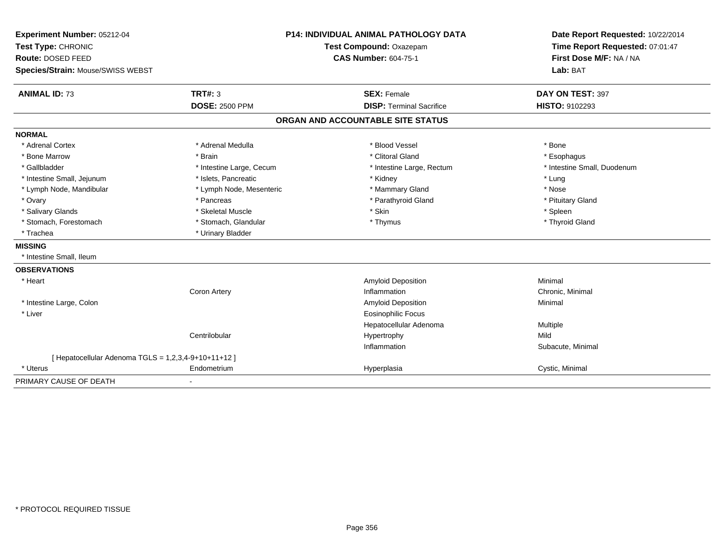| Experiment Number: 05212-04                          |                          | <b>P14: INDIVIDUAL ANIMAL PATHOLOGY DATA</b> | Date Report Requested: 10/22/2014 |  |
|------------------------------------------------------|--------------------------|----------------------------------------------|-----------------------------------|--|
| Test Type: CHRONIC                                   | Test Compound: Oxazepam  |                                              | Time Report Requested: 07:01:47   |  |
| Route: DOSED FEED                                    |                          | <b>CAS Number: 604-75-1</b>                  | First Dose M/F: NA / NA           |  |
| <b>Species/Strain: Mouse/SWISS WEBST</b>             |                          |                                              | Lab: BAT                          |  |
| <b>ANIMAL ID: 73</b>                                 | <b>TRT#: 3</b>           | <b>SEX: Female</b>                           | DAY ON TEST: 397                  |  |
|                                                      | <b>DOSE: 2500 PPM</b>    | <b>DISP: Terminal Sacrifice</b>              | HISTO: 9102293                    |  |
|                                                      |                          | ORGAN AND ACCOUNTABLE SITE STATUS            |                                   |  |
| <b>NORMAL</b>                                        |                          |                                              |                                   |  |
| * Adrenal Cortex                                     | * Adrenal Medulla        | * Blood Vessel                               | * Bone                            |  |
| * Bone Marrow                                        | * Brain                  | * Clitoral Gland                             | * Esophagus                       |  |
| * Gallbladder                                        | * Intestine Large, Cecum | * Intestine Large, Rectum                    | * Intestine Small, Duodenum       |  |
| * Intestine Small, Jejunum                           | * Islets, Pancreatic     | * Kidney                                     | * Lung                            |  |
| * Lymph Node, Mandibular                             | * Lymph Node, Mesenteric | * Mammary Gland                              | * Nose                            |  |
| * Ovary                                              | * Pancreas               | * Parathyroid Gland                          | * Pituitary Gland                 |  |
| * Salivary Glands                                    | * Skeletal Muscle        | * Skin                                       | * Spleen                          |  |
| * Stomach, Forestomach                               | * Stomach, Glandular     | * Thymus                                     | * Thyroid Gland                   |  |
| * Trachea                                            | * Urinary Bladder        |                                              |                                   |  |
| <b>MISSING</b>                                       |                          |                                              |                                   |  |
| * Intestine Small. Ileum                             |                          |                                              |                                   |  |
| <b>OBSERVATIONS</b>                                  |                          |                                              |                                   |  |
| * Heart                                              |                          | <b>Amyloid Deposition</b>                    | Minimal                           |  |
|                                                      | Coron Artery             | Inflammation                                 | Chronic, Minimal                  |  |
| * Intestine Large, Colon                             |                          | <b>Amyloid Deposition</b>                    | Minimal                           |  |
| * Liver                                              |                          | <b>Eosinophilic Focus</b>                    |                                   |  |
|                                                      |                          | Hepatocellular Adenoma                       | Multiple                          |  |
|                                                      | Centrilobular            | Hypertrophy                                  | Mild                              |  |
|                                                      |                          | Inflammation                                 | Subacute, Minimal                 |  |
| [ Hepatocellular Adenoma TGLS = 1,2,3,4-9+10+11+12 ] |                          |                                              |                                   |  |
| * Uterus                                             | Endometrium              | Hyperplasia                                  | Cystic, Minimal                   |  |
| PRIMARY CAUSE OF DEATH                               | $\blacksquare$           |                                              |                                   |  |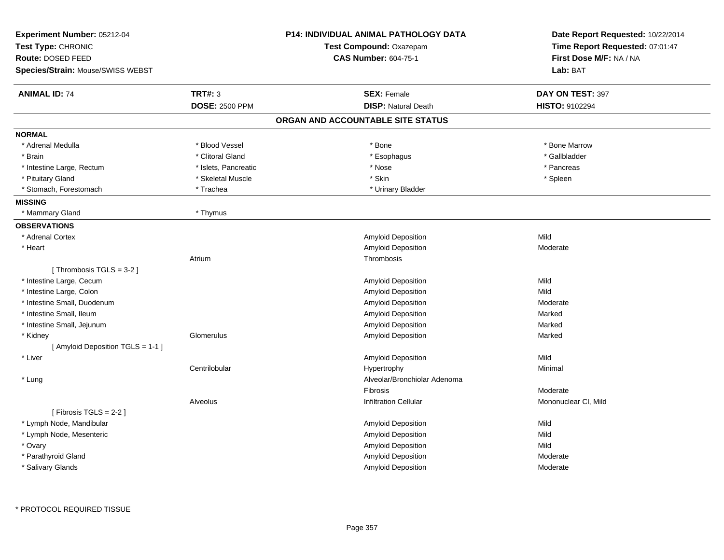| <b>Experiment Number: 05212-04</b> |                       | <b>P14: INDIVIDUAL ANIMAL PATHOLOGY DATA</b> | Date Report Requested: 10/22/2014 |  |
|------------------------------------|-----------------------|----------------------------------------------|-----------------------------------|--|
| Test Type: CHRONIC                 |                       | Test Compound: Oxazepam                      | Time Report Requested: 07:01:47   |  |
| Route: DOSED FEED                  |                       | <b>CAS Number: 604-75-1</b>                  | First Dose M/F: NA / NA           |  |
| Species/Strain: Mouse/SWISS WEBST  |                       |                                              | Lab: BAT                          |  |
| <b>ANIMAL ID: 74</b>               | <b>TRT#: 3</b>        | <b>SEX: Female</b>                           | DAY ON TEST: 397                  |  |
|                                    | <b>DOSE: 2500 PPM</b> | <b>DISP: Natural Death</b>                   | HISTO: 9102294                    |  |
|                                    |                       | ORGAN AND ACCOUNTABLE SITE STATUS            |                                   |  |
| <b>NORMAL</b>                      |                       |                                              |                                   |  |
| * Adrenal Medulla                  | * Blood Vessel        | * Bone                                       | * Bone Marrow                     |  |
| * Brain                            | * Clitoral Gland      | * Esophagus                                  | * Gallbladder                     |  |
| * Intestine Large, Rectum          | * Islets, Pancreatic  | * Nose                                       | * Pancreas                        |  |
| * Pituitary Gland                  | * Skeletal Muscle     | * Skin                                       | * Spleen                          |  |
| * Stomach, Forestomach             | * Trachea             | * Urinary Bladder                            |                                   |  |
| <b>MISSING</b>                     |                       |                                              |                                   |  |
| * Mammary Gland                    | * Thymus              |                                              |                                   |  |
| <b>OBSERVATIONS</b>                |                       |                                              |                                   |  |
| * Adrenal Cortex                   |                       | Amyloid Deposition                           | Mild                              |  |
| * Heart                            |                       | Amyloid Deposition                           | Moderate                          |  |
| Atrium                             |                       | Thrombosis                                   |                                   |  |
| [Thrombosis TGLS = 3-2]            |                       |                                              |                                   |  |
| * Intestine Large, Cecum           |                       | Amyloid Deposition                           | Mild                              |  |
| * Intestine Large, Colon           |                       | Amyloid Deposition                           | Mild                              |  |
| * Intestine Small, Duodenum        |                       | Amyloid Deposition                           | Moderate                          |  |
| * Intestine Small, Ileum           |                       | Amyloid Deposition                           | Marked                            |  |
| * Intestine Small, Jejunum         |                       | Amyloid Deposition                           | Marked                            |  |
| * Kidney                           | Glomerulus            | Amyloid Deposition                           | Marked                            |  |
| [ Amyloid Deposition TGLS = 1-1 ]  |                       |                                              |                                   |  |
| * Liver                            |                       | Amyloid Deposition                           | Mild                              |  |
|                                    | Centrilobular         | Hypertrophy                                  | Minimal                           |  |
| * Lung                             |                       | Alveolar/Bronchiolar Adenoma                 |                                   |  |
|                                    |                       | Fibrosis                                     | Moderate                          |  |
| Alveolus                           |                       | <b>Infiltration Cellular</b>                 | Mononuclear CI, Mild              |  |
| [Fibrosis TGLS = $2-2$ ]           |                       |                                              |                                   |  |
| * Lymph Node, Mandibular           |                       | Amyloid Deposition                           | Mild                              |  |
| * Lymph Node, Mesenteric           |                       | Amyloid Deposition                           | Mild                              |  |
| * Ovary                            |                       | Amyloid Deposition                           | Mild                              |  |
| * Parathyroid Gland                |                       | Amyloid Deposition                           | Moderate                          |  |
| * Salivary Glands                  |                       | Amyloid Deposition                           | Moderate                          |  |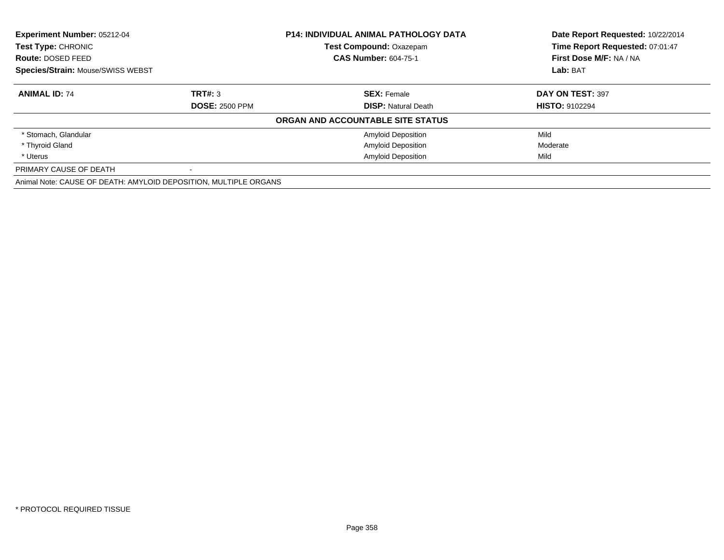| <b>Experiment Number: 05212-04</b><br><b>Test Type: CHRONIC</b>  |                       | <b>P14: INDIVIDUAL ANIMAL PATHOLOGY DATA</b> | Date Report Requested: 10/22/2014 |  |
|------------------------------------------------------------------|-----------------------|----------------------------------------------|-----------------------------------|--|
|                                                                  |                       | <b>Test Compound: Oxazepam</b>               | Time Report Requested: 07:01:47   |  |
| Route: DOSED FEED                                                |                       | <b>CAS Number: 604-75-1</b>                  | First Dose M/F: NA / NA           |  |
| <b>Species/Strain: Mouse/SWISS WEBST</b>                         |                       |                                              | Lab: BAT                          |  |
| <b>ANIMAL ID: 74</b>                                             | TRT#: 3               | <b>SEX: Female</b>                           | DAY ON TEST: 397                  |  |
|                                                                  | <b>DOSE: 2500 PPM</b> | <b>DISP:</b> Natural Death                   | <b>HISTO: 9102294</b>             |  |
|                                                                  |                       | ORGAN AND ACCOUNTABLE SITE STATUS            |                                   |  |
| * Stomach, Glandular                                             |                       | <b>Amyloid Deposition</b>                    | Mild                              |  |
| * Thyroid Gland                                                  |                       | <b>Amyloid Deposition</b>                    | Moderate                          |  |
| * Uterus                                                         |                       | <b>Amyloid Deposition</b>                    | Mild                              |  |
| PRIMARY CAUSE OF DEATH                                           |                       |                                              |                                   |  |
| Animal Note: CAUSE OF DEATH: AMYLOID DEPOSITION, MULTIPLE ORGANS |                       |                                              |                                   |  |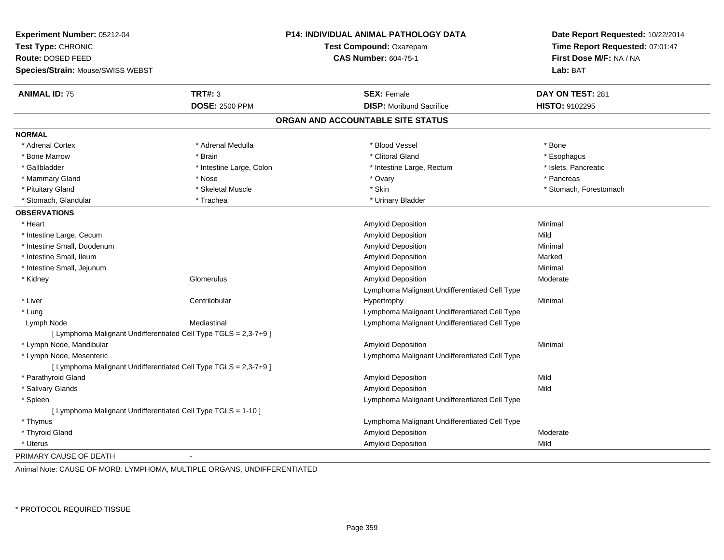| Experiment Number: 05212-04<br>Test Type: CHRONIC<br>Route: DOSED FEED<br>Species/Strain: Mouse/SWISS WEBST |                                                                  | <b>P14: INDIVIDUAL ANIMAL PATHOLOGY DATA</b><br>Test Compound: Oxazepam<br><b>CAS Number: 604-75-1</b> | Date Report Requested: 10/22/2014<br>Time Report Requested: 07:01:47<br>First Dose M/F: NA / NA<br>Lab: BAT |
|-------------------------------------------------------------------------------------------------------------|------------------------------------------------------------------|--------------------------------------------------------------------------------------------------------|-------------------------------------------------------------------------------------------------------------|
|                                                                                                             |                                                                  |                                                                                                        |                                                                                                             |
| <b>ANIMAL ID: 75</b>                                                                                        | <b>TRT#: 3</b>                                                   | <b>SEX: Female</b>                                                                                     | DAY ON TEST: 281                                                                                            |
|                                                                                                             | <b>DOSE: 2500 PPM</b>                                            | <b>DISP:</b> Moribund Sacrifice                                                                        | HISTO: 9102295                                                                                              |
|                                                                                                             |                                                                  | ORGAN AND ACCOUNTABLE SITE STATUS                                                                      |                                                                                                             |
| <b>NORMAL</b>                                                                                               |                                                                  |                                                                                                        |                                                                                                             |
| * Adrenal Cortex                                                                                            | * Adrenal Medulla                                                | * Blood Vessel                                                                                         | * Bone                                                                                                      |
| * Bone Marrow                                                                                               | * Brain                                                          | * Clitoral Gland                                                                                       | * Esophagus                                                                                                 |
| * Gallbladder                                                                                               | * Intestine Large, Colon                                         | * Intestine Large, Rectum                                                                              | * Islets, Pancreatic                                                                                        |
| * Mammary Gland                                                                                             | * Nose                                                           | * Ovary                                                                                                | * Pancreas                                                                                                  |
| * Pituitary Gland                                                                                           | * Skeletal Muscle                                                | * Skin                                                                                                 | * Stomach, Forestomach                                                                                      |
| * Stomach, Glandular                                                                                        | * Trachea                                                        | * Urinary Bladder                                                                                      |                                                                                                             |
| <b>OBSERVATIONS</b>                                                                                         |                                                                  |                                                                                                        |                                                                                                             |
| * Heart                                                                                                     |                                                                  | Amyloid Deposition                                                                                     | Minimal                                                                                                     |
| * Intestine Large, Cecum                                                                                    |                                                                  | Amyloid Deposition                                                                                     | Mild                                                                                                        |
| * Intestine Small, Duodenum                                                                                 |                                                                  | Amyloid Deposition                                                                                     | Minimal                                                                                                     |
| * Intestine Small, Ileum                                                                                    |                                                                  | Amyloid Deposition                                                                                     | Marked                                                                                                      |
| * Intestine Small, Jejunum                                                                                  |                                                                  | Amyloid Deposition                                                                                     | Minimal                                                                                                     |
| * Kidney                                                                                                    | Glomerulus                                                       | <b>Amyloid Deposition</b>                                                                              | Moderate                                                                                                    |
|                                                                                                             |                                                                  | Lymphoma Malignant Undifferentiated Cell Type                                                          |                                                                                                             |
| * Liver                                                                                                     | Centrilobular                                                    | Hypertrophy                                                                                            | Minimal                                                                                                     |
| * Lung                                                                                                      |                                                                  | Lymphoma Malignant Undifferentiated Cell Type                                                          |                                                                                                             |
| Lymph Node                                                                                                  | Mediastinal                                                      | Lymphoma Malignant Undifferentiated Cell Type                                                          |                                                                                                             |
|                                                                                                             | [ Lymphoma Malignant Undifferentiated Cell Type TGLS = 2,3-7+9 ] |                                                                                                        |                                                                                                             |
| * Lymph Node, Mandibular                                                                                    |                                                                  | <b>Amyloid Deposition</b>                                                                              | Minimal                                                                                                     |
| * Lymph Node, Mesenteric                                                                                    |                                                                  | Lymphoma Malignant Undifferentiated Cell Type                                                          |                                                                                                             |
|                                                                                                             | [ Lymphoma Malignant Undifferentiated Cell Type TGLS = 2,3-7+9 ] |                                                                                                        |                                                                                                             |
| * Parathyroid Gland                                                                                         |                                                                  | <b>Amyloid Deposition</b>                                                                              | Mild                                                                                                        |
| * Salivary Glands                                                                                           |                                                                  | <b>Amyloid Deposition</b>                                                                              | Mild                                                                                                        |
| * Spleen                                                                                                    |                                                                  | Lymphoma Malignant Undifferentiated Cell Type                                                          |                                                                                                             |
| [ Lymphoma Malignant Undifferentiated Cell Type TGLS = 1-10 ]                                               |                                                                  |                                                                                                        |                                                                                                             |
| * Thymus                                                                                                    |                                                                  | Lymphoma Malignant Undifferentiated Cell Type                                                          |                                                                                                             |
| * Thyroid Gland                                                                                             |                                                                  | Amyloid Deposition                                                                                     | Moderate                                                                                                    |
| * Uterus                                                                                                    |                                                                  | <b>Amyloid Deposition</b>                                                                              | Mild                                                                                                        |
| PRIMARY CAUSE OF DEATH                                                                                      |                                                                  |                                                                                                        |                                                                                                             |

Animal Note: CAUSE OF MORB: LYMPHOMA, MULTIPLE ORGANS, UNDIFFERENTIATED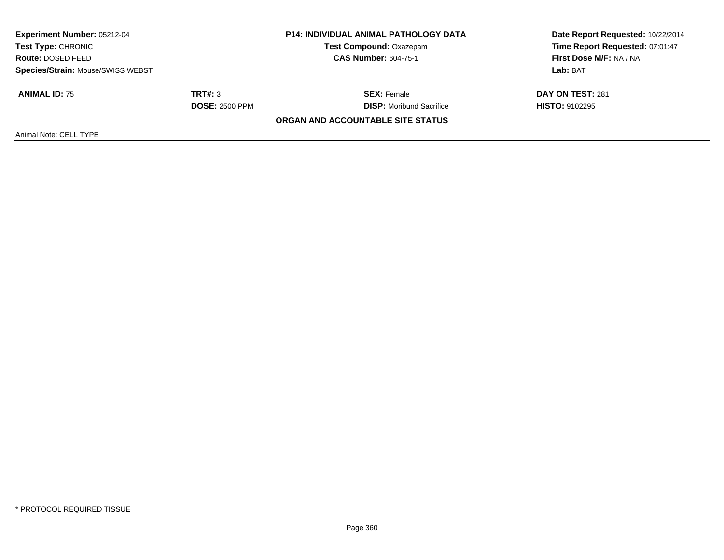| <b>Experiment Number: 05212-04</b><br><b>Test Type: CHRONIC</b><br>Route: DOSED FEED |                       | <b>P14: INDIVIDUAL ANIMAL PATHOLOGY DATA</b> | Date Report Requested: 10/22/2014 |
|--------------------------------------------------------------------------------------|-----------------------|----------------------------------------------|-----------------------------------|
|                                                                                      |                       | Test Compound: Oxazepam                      | Time Report Requested: 07:01:47   |
|                                                                                      |                       | <b>CAS Number: 604-75-1</b>                  | <b>First Dose M/F: NA / NA</b>    |
| <b>Species/Strain: Mouse/SWISS WEBST</b>                                             |                       |                                              | Lab: BAT                          |
| <b>ANIMAL ID: 75</b>                                                                 | TRT#: 3               | <b>SEX:</b> Female                           | DAY ON TEST: 281                  |
|                                                                                      | <b>DOSE: 2500 PPM</b> | <b>DISP:</b> Moribund Sacrifice              | <b>HISTO: 9102295</b>             |
|                                                                                      |                       | ORGAN AND ACCOUNTABLE SITE STATUS            |                                   |
| Animal Note: CELL TYPE                                                               |                       |                                              |                                   |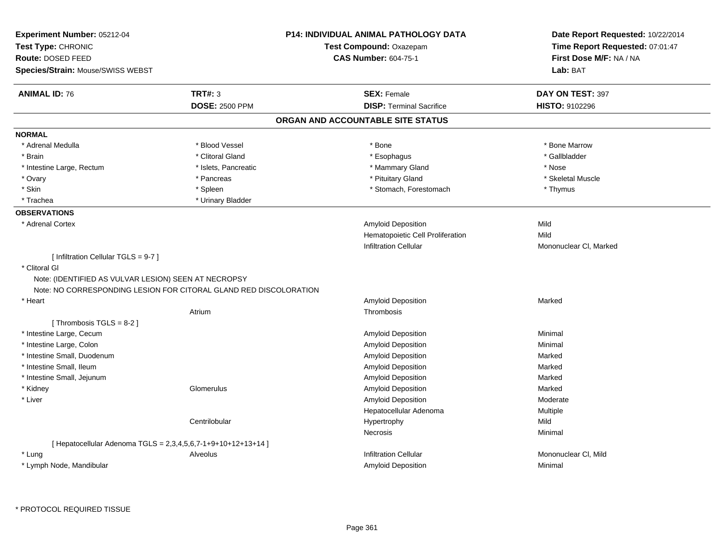| Experiment Number: 05212-04<br>Test Type: CHRONIC<br>Route: DOSED FEED<br>Species/Strain: Mouse/SWISS WEBST                                                                        |                       | <b>P14: INDIVIDUAL ANIMAL PATHOLOGY DATA</b><br>Test Compound: Oxazepam<br><b>CAS Number: 604-75-1</b> | Date Report Requested: 10/22/2014<br>Time Report Requested: 07:01:47<br>First Dose M/F: NA / NA<br>Lab: BAT |
|------------------------------------------------------------------------------------------------------------------------------------------------------------------------------------|-----------------------|--------------------------------------------------------------------------------------------------------|-------------------------------------------------------------------------------------------------------------|
| <b>ANIMAL ID: 76</b>                                                                                                                                                               | <b>TRT#: 3</b>        | <b>SEX: Female</b>                                                                                     | DAY ON TEST: 397                                                                                            |
|                                                                                                                                                                                    | <b>DOSE: 2500 PPM</b> | <b>DISP: Terminal Sacrifice</b>                                                                        | <b>HISTO: 9102296</b>                                                                                       |
|                                                                                                                                                                                    |                       | ORGAN AND ACCOUNTABLE SITE STATUS                                                                      |                                                                                                             |
| <b>NORMAL</b>                                                                                                                                                                      |                       |                                                                                                        |                                                                                                             |
| * Adrenal Medulla                                                                                                                                                                  | * Blood Vessel        | * Bone                                                                                                 | * Bone Marrow                                                                                               |
| * Brain                                                                                                                                                                            | * Clitoral Gland      | * Esophagus                                                                                            | * Gallbladder                                                                                               |
| * Intestine Large, Rectum                                                                                                                                                          | * Islets, Pancreatic  | * Mammary Gland                                                                                        | * Nose                                                                                                      |
| * Ovary                                                                                                                                                                            | * Pancreas            | * Pituitary Gland                                                                                      | * Skeletal Muscle                                                                                           |
| * Skin                                                                                                                                                                             | * Spleen              | * Stomach, Forestomach                                                                                 | * Thymus                                                                                                    |
| * Trachea                                                                                                                                                                          | * Urinary Bladder     |                                                                                                        |                                                                                                             |
| <b>OBSERVATIONS</b>                                                                                                                                                                |                       |                                                                                                        |                                                                                                             |
| * Adrenal Cortex                                                                                                                                                                   |                       | Amyloid Deposition                                                                                     | Mild                                                                                                        |
|                                                                                                                                                                                    |                       | Hematopoietic Cell Proliferation                                                                       | Mild                                                                                                        |
|                                                                                                                                                                                    |                       | <b>Infiltration Cellular</b>                                                                           | Mononuclear CI, Marked                                                                                      |
| [ Infiltration Cellular TGLS = 9-7 ]<br>* Clitoral GI<br>Note: (IDENTIFIED AS VULVAR LESION) SEEN AT NECROPSY<br>Note: NO CORRESPONDING LESION FOR CITORAL GLAND RED DISCOLORATION |                       |                                                                                                        |                                                                                                             |
| * Heart                                                                                                                                                                            |                       | Amyloid Deposition                                                                                     | Marked                                                                                                      |
|                                                                                                                                                                                    | Atrium                | Thrombosis                                                                                             |                                                                                                             |
| [Thrombosis TGLS = $8-2$ ]                                                                                                                                                         |                       |                                                                                                        |                                                                                                             |
| * Intestine Large, Cecum                                                                                                                                                           |                       | Amyloid Deposition                                                                                     | Minimal                                                                                                     |
| * Intestine Large, Colon                                                                                                                                                           |                       | Amyloid Deposition                                                                                     | Minimal                                                                                                     |
| * Intestine Small, Duodenum                                                                                                                                                        |                       | Amyloid Deposition                                                                                     | Marked                                                                                                      |
| * Intestine Small, Ileum                                                                                                                                                           |                       | Amyloid Deposition                                                                                     | Marked                                                                                                      |
| * Intestine Small, Jejunum                                                                                                                                                         |                       | Amyloid Deposition                                                                                     | Marked                                                                                                      |
| * Kidney                                                                                                                                                                           | Glomerulus            | Amyloid Deposition                                                                                     | Marked                                                                                                      |
| * Liver                                                                                                                                                                            |                       | Amyloid Deposition                                                                                     | Moderate                                                                                                    |
|                                                                                                                                                                                    |                       | Hepatocellular Adenoma                                                                                 | Multiple                                                                                                    |
|                                                                                                                                                                                    | Centrilobular         | Hypertrophy                                                                                            | Mild                                                                                                        |
|                                                                                                                                                                                    |                       | <b>Necrosis</b>                                                                                        | Minimal                                                                                                     |
| [ Hepatocellular Adenoma TGLS = 2,3,4,5,6,7-1+9+10+12+13+14 ]                                                                                                                      |                       |                                                                                                        |                                                                                                             |
| * Lung                                                                                                                                                                             | Alveolus              | <b>Infiltration Cellular</b>                                                                           | Mononuclear CI, Mild                                                                                        |
|                                                                                                                                                                                    |                       |                                                                                                        |                                                                                                             |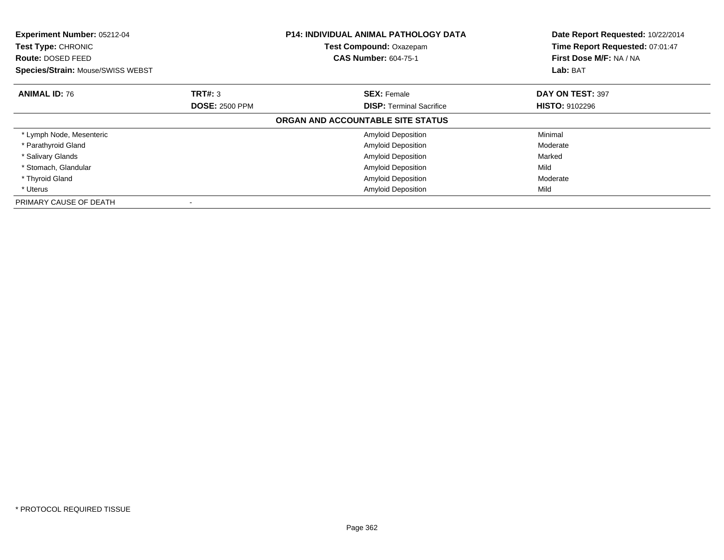| <b>Experiment Number: 05212-04</b><br>Test Type: CHRONIC<br><b>Route: DOSED FEED</b> |                       | <b>P14: INDIVIDUAL ANIMAL PATHOLOGY DATA</b><br><b>Test Compound: Oxazepam</b><br><b>CAS Number: 604-75-1</b> | Date Report Requested: 10/22/2014<br>Time Report Requested: 07:01:47<br>First Dose M/F: NA / NA<br>Lab: BAT |
|--------------------------------------------------------------------------------------|-----------------------|---------------------------------------------------------------------------------------------------------------|-------------------------------------------------------------------------------------------------------------|
| <b>Species/Strain: Mouse/SWISS WEBST</b>                                             |                       |                                                                                                               |                                                                                                             |
| <b>ANIMAL ID: 76</b>                                                                 | TRT#: 3               | <b>SEX: Female</b>                                                                                            | DAY ON TEST: 397                                                                                            |
|                                                                                      | <b>DOSE: 2500 PPM</b> | <b>DISP:</b> Terminal Sacrifice                                                                               | <b>HISTO: 9102296</b>                                                                                       |
|                                                                                      |                       | ORGAN AND ACCOUNTABLE SITE STATUS                                                                             |                                                                                                             |
| * Lymph Node, Mesenteric                                                             |                       | <b>Amyloid Deposition</b>                                                                                     | Minimal                                                                                                     |
| * Parathyroid Gland                                                                  |                       | <b>Amyloid Deposition</b>                                                                                     | Moderate                                                                                                    |
| * Salivary Glands                                                                    |                       | <b>Amyloid Deposition</b>                                                                                     | Marked                                                                                                      |
| * Stomach, Glandular                                                                 |                       | <b>Amyloid Deposition</b>                                                                                     | Mild                                                                                                        |
| * Thyroid Gland                                                                      |                       | <b>Amyloid Deposition</b>                                                                                     | Moderate                                                                                                    |
| * Uterus                                                                             |                       | <b>Amyloid Deposition</b>                                                                                     | Mild                                                                                                        |
| PRIMARY CAUSE OF DEATH                                                               |                       |                                                                                                               |                                                                                                             |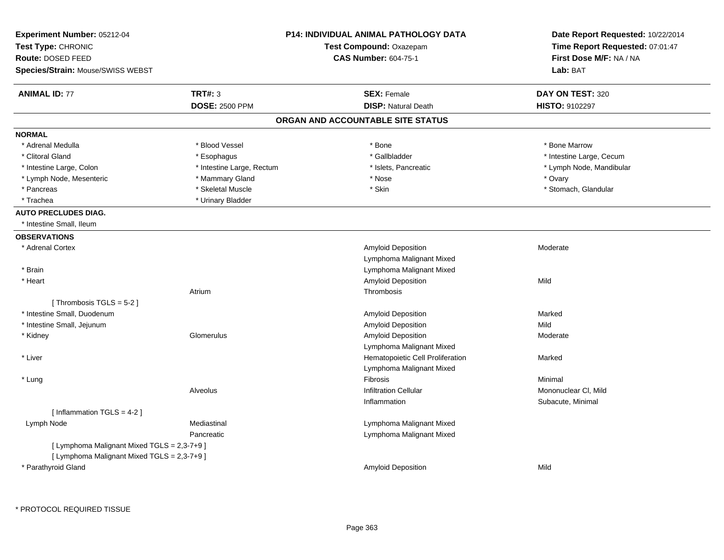| <b>ANIMAL ID: 77</b><br>TRT#: 3<br>DAY ON TEST: 320<br><b>SEX: Female</b><br><b>DOSE: 2500 PPM</b><br><b>DISP: Natural Death</b><br>HISTO: 9102297<br>ORGAN AND ACCOUNTABLE SITE STATUS<br><b>NORMAL</b><br>* Blood Vessel<br>* Bone<br>* Bone Marrow<br>* Adrenal Medulla<br>* Gallbladder<br>* Intestine Large, Cecum<br>* Clitoral Gland<br>* Esophagus<br>* Intestine Large, Rectum<br>* Islets, Pancreatic<br>* Lymph Node, Mandibular<br>* Intestine Large, Colon<br>* Lymph Node, Mesenteric<br>* Mammary Gland<br>* Nose<br>* Ovary<br>* Skin<br>* Skeletal Muscle<br>* Stomach, Glandular<br>* Pancreas<br>* Trachea<br>* Urinary Bladder<br><b>AUTO PRECLUDES DIAG.</b><br>* Intestine Small, Ileum<br><b>OBSERVATIONS</b><br>* Adrenal Cortex<br>Amyloid Deposition<br>Moderate<br>Lymphoma Malignant Mixed<br>* Brain<br>Lymphoma Malignant Mixed<br>Amyloid Deposition<br>Mild<br>* Heart<br>Thrombosis<br>Atrium<br>[Thrombosis TGLS = $5-2$ ]<br>* Intestine Small, Duodenum<br>Amyloid Deposition<br>Marked<br>* Intestine Small, Jejunum<br>Amyloid Deposition<br>Mild<br>Amyloid Deposition<br>* Kidney<br>Glomerulus<br>Moderate<br>Lymphoma Malignant Mixed<br>* Liver<br>Hematopoietic Cell Proliferation<br>Marked<br>Lymphoma Malignant Mixed<br>Fibrosis<br>Minimal<br>* Lung<br><b>Infiltration Cellular</b><br>Mononuclear CI, Mild<br>Alveolus<br>Subacute, Minimal<br>Inflammation<br>[Inflammation TGLS = 4-2]<br>Lymph Node<br>Mediastinal<br>Lymphoma Malignant Mixed<br>Lymphoma Malignant Mixed<br>Pancreatic<br>[ Lymphoma Malignant Mixed TGLS = 2,3-7+9 ]<br>[ Lymphoma Malignant Mixed TGLS = 2,3-7+9 ]<br>* Parathyroid Gland<br>Mild<br><b>Amyloid Deposition</b> | Experiment Number: 05212-04<br>Test Type: CHRONIC<br>Route: DOSED FEED<br>Species/Strain: Mouse/SWISS WEBST | <b>P14: INDIVIDUAL ANIMAL PATHOLOGY DATA</b><br>Test Compound: Oxazepam<br><b>CAS Number: 604-75-1</b> | Date Report Requested: 10/22/2014<br>Time Report Requested: 07:01:47<br>First Dose M/F: NA / NA<br>Lab: BAT |
|----------------------------------------------------------------------------------------------------------------------------------------------------------------------------------------------------------------------------------------------------------------------------------------------------------------------------------------------------------------------------------------------------------------------------------------------------------------------------------------------------------------------------------------------------------------------------------------------------------------------------------------------------------------------------------------------------------------------------------------------------------------------------------------------------------------------------------------------------------------------------------------------------------------------------------------------------------------------------------------------------------------------------------------------------------------------------------------------------------------------------------------------------------------------------------------------------------------------------------------------------------------------------------------------------------------------------------------------------------------------------------------------------------------------------------------------------------------------------------------------------------------------------------------------------------------------------------------------------------------------------------------------------------------------------------------------------------|-------------------------------------------------------------------------------------------------------------|--------------------------------------------------------------------------------------------------------|-------------------------------------------------------------------------------------------------------------|
|                                                                                                                                                                                                                                                                                                                                                                                                                                                                                                                                                                                                                                                                                                                                                                                                                                                                                                                                                                                                                                                                                                                                                                                                                                                                                                                                                                                                                                                                                                                                                                                                                                                                                                          |                                                                                                             |                                                                                                        |                                                                                                             |
|                                                                                                                                                                                                                                                                                                                                                                                                                                                                                                                                                                                                                                                                                                                                                                                                                                                                                                                                                                                                                                                                                                                                                                                                                                                                                                                                                                                                                                                                                                                                                                                                                                                                                                          |                                                                                                             |                                                                                                        |                                                                                                             |
|                                                                                                                                                                                                                                                                                                                                                                                                                                                                                                                                                                                                                                                                                                                                                                                                                                                                                                                                                                                                                                                                                                                                                                                                                                                                                                                                                                                                                                                                                                                                                                                                                                                                                                          |                                                                                                             |                                                                                                        |                                                                                                             |
|                                                                                                                                                                                                                                                                                                                                                                                                                                                                                                                                                                                                                                                                                                                                                                                                                                                                                                                                                                                                                                                                                                                                                                                                                                                                                                                                                                                                                                                                                                                                                                                                                                                                                                          |                                                                                                             |                                                                                                        |                                                                                                             |
|                                                                                                                                                                                                                                                                                                                                                                                                                                                                                                                                                                                                                                                                                                                                                                                                                                                                                                                                                                                                                                                                                                                                                                                                                                                                                                                                                                                                                                                                                                                                                                                                                                                                                                          |                                                                                                             |                                                                                                        |                                                                                                             |
|                                                                                                                                                                                                                                                                                                                                                                                                                                                                                                                                                                                                                                                                                                                                                                                                                                                                                                                                                                                                                                                                                                                                                                                                                                                                                                                                                                                                                                                                                                                                                                                                                                                                                                          |                                                                                                             |                                                                                                        |                                                                                                             |
|                                                                                                                                                                                                                                                                                                                                                                                                                                                                                                                                                                                                                                                                                                                                                                                                                                                                                                                                                                                                                                                                                                                                                                                                                                                                                                                                                                                                                                                                                                                                                                                                                                                                                                          |                                                                                                             |                                                                                                        |                                                                                                             |
|                                                                                                                                                                                                                                                                                                                                                                                                                                                                                                                                                                                                                                                                                                                                                                                                                                                                                                                                                                                                                                                                                                                                                                                                                                                                                                                                                                                                                                                                                                                                                                                                                                                                                                          |                                                                                                             |                                                                                                        |                                                                                                             |
|                                                                                                                                                                                                                                                                                                                                                                                                                                                                                                                                                                                                                                                                                                                                                                                                                                                                                                                                                                                                                                                                                                                                                                                                                                                                                                                                                                                                                                                                                                                                                                                                                                                                                                          |                                                                                                             |                                                                                                        |                                                                                                             |
|                                                                                                                                                                                                                                                                                                                                                                                                                                                                                                                                                                                                                                                                                                                                                                                                                                                                                                                                                                                                                                                                                                                                                                                                                                                                                                                                                                                                                                                                                                                                                                                                                                                                                                          |                                                                                                             |                                                                                                        |                                                                                                             |
|                                                                                                                                                                                                                                                                                                                                                                                                                                                                                                                                                                                                                                                                                                                                                                                                                                                                                                                                                                                                                                                                                                                                                                                                                                                                                                                                                                                                                                                                                                                                                                                                                                                                                                          |                                                                                                             |                                                                                                        |                                                                                                             |
|                                                                                                                                                                                                                                                                                                                                                                                                                                                                                                                                                                                                                                                                                                                                                                                                                                                                                                                                                                                                                                                                                                                                                                                                                                                                                                                                                                                                                                                                                                                                                                                                                                                                                                          |                                                                                                             |                                                                                                        |                                                                                                             |
|                                                                                                                                                                                                                                                                                                                                                                                                                                                                                                                                                                                                                                                                                                                                                                                                                                                                                                                                                                                                                                                                                                                                                                                                                                                                                                                                                                                                                                                                                                                                                                                                                                                                                                          |                                                                                                             |                                                                                                        |                                                                                                             |
|                                                                                                                                                                                                                                                                                                                                                                                                                                                                                                                                                                                                                                                                                                                                                                                                                                                                                                                                                                                                                                                                                                                                                                                                                                                                                                                                                                                                                                                                                                                                                                                                                                                                                                          |                                                                                                             |                                                                                                        |                                                                                                             |
|                                                                                                                                                                                                                                                                                                                                                                                                                                                                                                                                                                                                                                                                                                                                                                                                                                                                                                                                                                                                                                                                                                                                                                                                                                                                                                                                                                                                                                                                                                                                                                                                                                                                                                          |                                                                                                             |                                                                                                        |                                                                                                             |
|                                                                                                                                                                                                                                                                                                                                                                                                                                                                                                                                                                                                                                                                                                                                                                                                                                                                                                                                                                                                                                                                                                                                                                                                                                                                                                                                                                                                                                                                                                                                                                                                                                                                                                          |                                                                                                             |                                                                                                        |                                                                                                             |
|                                                                                                                                                                                                                                                                                                                                                                                                                                                                                                                                                                                                                                                                                                                                                                                                                                                                                                                                                                                                                                                                                                                                                                                                                                                                                                                                                                                                                                                                                                                                                                                                                                                                                                          |                                                                                                             |                                                                                                        |                                                                                                             |
|                                                                                                                                                                                                                                                                                                                                                                                                                                                                                                                                                                                                                                                                                                                                                                                                                                                                                                                                                                                                                                                                                                                                                                                                                                                                                                                                                                                                                                                                                                                                                                                                                                                                                                          |                                                                                                             |                                                                                                        |                                                                                                             |
|                                                                                                                                                                                                                                                                                                                                                                                                                                                                                                                                                                                                                                                                                                                                                                                                                                                                                                                                                                                                                                                                                                                                                                                                                                                                                                                                                                                                                                                                                                                                                                                                                                                                                                          |                                                                                                             |                                                                                                        |                                                                                                             |
|                                                                                                                                                                                                                                                                                                                                                                                                                                                                                                                                                                                                                                                                                                                                                                                                                                                                                                                                                                                                                                                                                                                                                                                                                                                                                                                                                                                                                                                                                                                                                                                                                                                                                                          |                                                                                                             |                                                                                                        |                                                                                                             |
|                                                                                                                                                                                                                                                                                                                                                                                                                                                                                                                                                                                                                                                                                                                                                                                                                                                                                                                                                                                                                                                                                                                                                                                                                                                                                                                                                                                                                                                                                                                                                                                                                                                                                                          |                                                                                                             |                                                                                                        |                                                                                                             |
|                                                                                                                                                                                                                                                                                                                                                                                                                                                                                                                                                                                                                                                                                                                                                                                                                                                                                                                                                                                                                                                                                                                                                                                                                                                                                                                                                                                                                                                                                                                                                                                                                                                                                                          |                                                                                                             |                                                                                                        |                                                                                                             |
|                                                                                                                                                                                                                                                                                                                                                                                                                                                                                                                                                                                                                                                                                                                                                                                                                                                                                                                                                                                                                                                                                                                                                                                                                                                                                                                                                                                                                                                                                                                                                                                                                                                                                                          |                                                                                                             |                                                                                                        |                                                                                                             |
|                                                                                                                                                                                                                                                                                                                                                                                                                                                                                                                                                                                                                                                                                                                                                                                                                                                                                                                                                                                                                                                                                                                                                                                                                                                                                                                                                                                                                                                                                                                                                                                                                                                                                                          |                                                                                                             |                                                                                                        |                                                                                                             |
|                                                                                                                                                                                                                                                                                                                                                                                                                                                                                                                                                                                                                                                                                                                                                                                                                                                                                                                                                                                                                                                                                                                                                                                                                                                                                                                                                                                                                                                                                                                                                                                                                                                                                                          |                                                                                                             |                                                                                                        |                                                                                                             |
|                                                                                                                                                                                                                                                                                                                                                                                                                                                                                                                                                                                                                                                                                                                                                                                                                                                                                                                                                                                                                                                                                                                                                                                                                                                                                                                                                                                                                                                                                                                                                                                                                                                                                                          |                                                                                                             |                                                                                                        |                                                                                                             |
|                                                                                                                                                                                                                                                                                                                                                                                                                                                                                                                                                                                                                                                                                                                                                                                                                                                                                                                                                                                                                                                                                                                                                                                                                                                                                                                                                                                                                                                                                                                                                                                                                                                                                                          |                                                                                                             |                                                                                                        |                                                                                                             |
|                                                                                                                                                                                                                                                                                                                                                                                                                                                                                                                                                                                                                                                                                                                                                                                                                                                                                                                                                                                                                                                                                                                                                                                                                                                                                                                                                                                                                                                                                                                                                                                                                                                                                                          |                                                                                                             |                                                                                                        |                                                                                                             |
|                                                                                                                                                                                                                                                                                                                                                                                                                                                                                                                                                                                                                                                                                                                                                                                                                                                                                                                                                                                                                                                                                                                                                                                                                                                                                                                                                                                                                                                                                                                                                                                                                                                                                                          |                                                                                                             |                                                                                                        |                                                                                                             |
|                                                                                                                                                                                                                                                                                                                                                                                                                                                                                                                                                                                                                                                                                                                                                                                                                                                                                                                                                                                                                                                                                                                                                                                                                                                                                                                                                                                                                                                                                                                                                                                                                                                                                                          |                                                                                                             |                                                                                                        |                                                                                                             |
|                                                                                                                                                                                                                                                                                                                                                                                                                                                                                                                                                                                                                                                                                                                                                                                                                                                                                                                                                                                                                                                                                                                                                                                                                                                                                                                                                                                                                                                                                                                                                                                                                                                                                                          |                                                                                                             |                                                                                                        |                                                                                                             |
|                                                                                                                                                                                                                                                                                                                                                                                                                                                                                                                                                                                                                                                                                                                                                                                                                                                                                                                                                                                                                                                                                                                                                                                                                                                                                                                                                                                                                                                                                                                                                                                                                                                                                                          |                                                                                                             |                                                                                                        |                                                                                                             |
|                                                                                                                                                                                                                                                                                                                                                                                                                                                                                                                                                                                                                                                                                                                                                                                                                                                                                                                                                                                                                                                                                                                                                                                                                                                                                                                                                                                                                                                                                                                                                                                                                                                                                                          |                                                                                                             |                                                                                                        |                                                                                                             |
|                                                                                                                                                                                                                                                                                                                                                                                                                                                                                                                                                                                                                                                                                                                                                                                                                                                                                                                                                                                                                                                                                                                                                                                                                                                                                                                                                                                                                                                                                                                                                                                                                                                                                                          |                                                                                                             |                                                                                                        |                                                                                                             |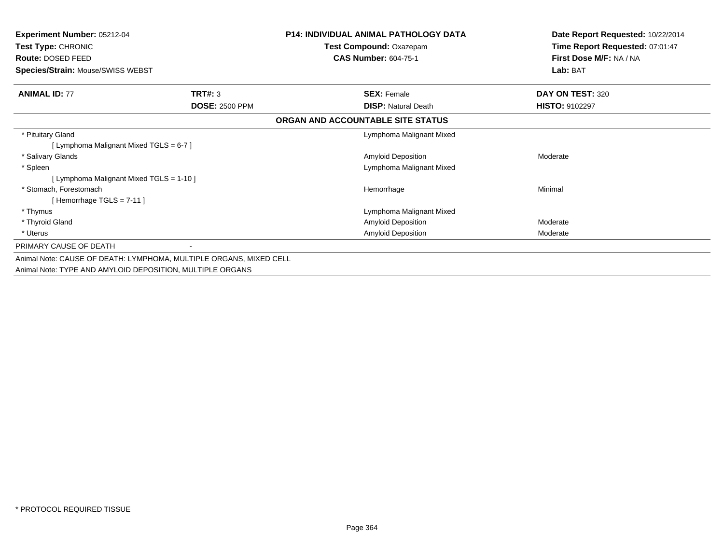| <b>Experiment Number: 05212-04</b><br><b>Test Type: CHRONIC</b> |                                                                    | <b>P14: INDIVIDUAL ANIMAL PATHOLOGY DATA</b><br>Test Compound: Oxazepam | Date Report Requested: 10/22/2014<br>Time Report Requested: 07:01:47 |
|-----------------------------------------------------------------|--------------------------------------------------------------------|-------------------------------------------------------------------------|----------------------------------------------------------------------|
| Route: DOSED FEED                                               |                                                                    | <b>CAS Number: 604-75-1</b>                                             | First Dose M/F: NA / NA                                              |
| Species/Strain: Mouse/SWISS WEBST                               |                                                                    |                                                                         | Lab: BAT                                                             |
| <b>ANIMAL ID: 77</b>                                            | TRT#: 3                                                            | <b>SEX: Female</b>                                                      | DAY ON TEST: 320                                                     |
|                                                                 | <b>DOSE: 2500 PPM</b>                                              | <b>DISP: Natural Death</b>                                              | <b>HISTO: 9102297</b>                                                |
|                                                                 |                                                                    | ORGAN AND ACCOUNTABLE SITE STATUS                                       |                                                                      |
| * Pituitary Gland                                               |                                                                    | Lymphoma Malignant Mixed                                                |                                                                      |
| [ Lymphoma Malignant Mixed TGLS = 6-7 ]                         |                                                                    |                                                                         |                                                                      |
| * Salivary Glands                                               |                                                                    | <b>Amyloid Deposition</b>                                               | Moderate                                                             |
| * Spleen                                                        |                                                                    | Lymphoma Malignant Mixed                                                |                                                                      |
| [ Lymphoma Malignant Mixed TGLS = 1-10 ]                        |                                                                    |                                                                         |                                                                      |
| * Stomach, Forestomach                                          |                                                                    | Hemorrhage                                                              | Minimal                                                              |
| [Hemorrhage TGLS = $7-11$ ]                                     |                                                                    |                                                                         |                                                                      |
| * Thymus                                                        |                                                                    | Lymphoma Malignant Mixed                                                |                                                                      |
| * Thyroid Gland                                                 |                                                                    | Amyloid Deposition                                                      | Moderate                                                             |
| * Uterus                                                        |                                                                    | <b>Amyloid Deposition</b>                                               | Moderate                                                             |
| PRIMARY CAUSE OF DEATH                                          |                                                                    |                                                                         |                                                                      |
|                                                                 | Animal Note: CAUSE OF DEATH: LYMPHOMA, MULTIPLE ORGANS, MIXED CELL |                                                                         |                                                                      |
| Animal Note: TYPE AND AMYLOID DEPOSITION, MULTIPLE ORGANS       |                                                                    |                                                                         |                                                                      |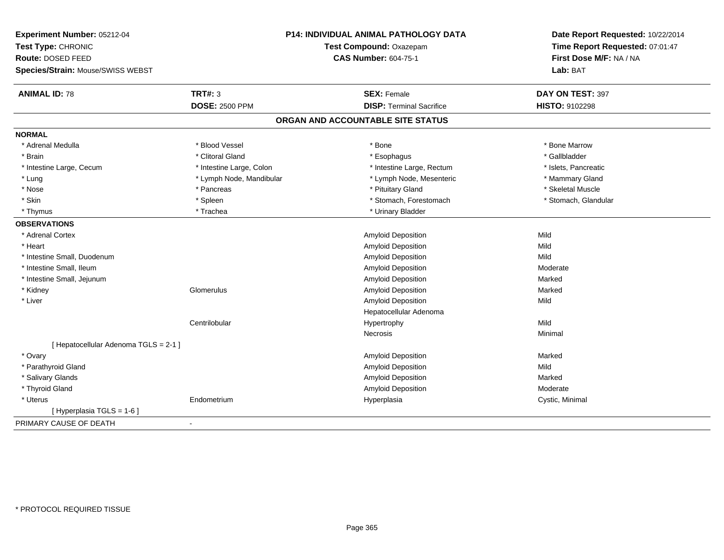| Experiment Number: 05212-04           | <b>P14: INDIVIDUAL ANIMAL PATHOLOGY DATA</b><br>Test Compound: Oxazepam |                                   | Date Report Requested: 10/22/2014<br>Time Report Requested: 07:01:47 |
|---------------------------------------|-------------------------------------------------------------------------|-----------------------------------|----------------------------------------------------------------------|
| Test Type: CHRONIC                    |                                                                         |                                   |                                                                      |
| Route: DOSED FEED                     |                                                                         | <b>CAS Number: 604-75-1</b>       | First Dose M/F: NA / NA                                              |
| Species/Strain: Mouse/SWISS WEBST     |                                                                         |                                   | Lab: BAT                                                             |
| <b>ANIMAL ID: 78</b>                  | <b>TRT#: 3</b>                                                          | <b>SEX: Female</b>                | DAY ON TEST: 397                                                     |
|                                       | <b>DOSE: 2500 PPM</b>                                                   | <b>DISP: Terminal Sacrifice</b>   | HISTO: 9102298                                                       |
|                                       |                                                                         | ORGAN AND ACCOUNTABLE SITE STATUS |                                                                      |
| <b>NORMAL</b>                         |                                                                         |                                   |                                                                      |
| * Adrenal Medulla                     | * Blood Vessel                                                          | * Bone                            | * Bone Marrow                                                        |
| * Brain                               | * Clitoral Gland                                                        | * Esophagus                       | * Gallbladder                                                        |
| * Intestine Large, Cecum              | * Intestine Large, Colon                                                | * Intestine Large, Rectum         | * Islets, Pancreatic                                                 |
| * Lung                                | * Lymph Node, Mandibular                                                | * Lymph Node, Mesenteric          | * Mammary Gland                                                      |
| * Nose                                | * Pancreas                                                              | * Pituitary Gland                 | * Skeletal Muscle                                                    |
| * Skin                                | * Spleen                                                                | * Stomach, Forestomach            | * Stomach, Glandular                                                 |
| * Thymus                              | * Trachea                                                               | * Urinary Bladder                 |                                                                      |
| <b>OBSERVATIONS</b>                   |                                                                         |                                   |                                                                      |
| * Adrenal Cortex                      |                                                                         | Amyloid Deposition                | Mild                                                                 |
| * Heart                               |                                                                         | <b>Amyloid Deposition</b>         | Mild                                                                 |
| * Intestine Small, Duodenum           |                                                                         | <b>Amyloid Deposition</b>         | Mild                                                                 |
| * Intestine Small, Ileum              |                                                                         | Amyloid Deposition                | Moderate                                                             |
| * Intestine Small, Jejunum            |                                                                         | <b>Amyloid Deposition</b>         | Marked                                                               |
| * Kidney                              | Glomerulus                                                              | Amyloid Deposition                | Marked                                                               |
| * Liver                               |                                                                         | Amyloid Deposition                | Mild                                                                 |
|                                       |                                                                         | Hepatocellular Adenoma            |                                                                      |
|                                       | Centrilobular                                                           | Hypertrophy                       | Mild                                                                 |
|                                       |                                                                         | Necrosis                          | Minimal                                                              |
| [ Hepatocellular Adenoma TGLS = 2-1 ] |                                                                         |                                   |                                                                      |
| * Ovary                               |                                                                         | <b>Amyloid Deposition</b>         | Marked                                                               |
| * Parathyroid Gland                   |                                                                         | Amyloid Deposition                | Mild                                                                 |
| * Salivary Glands                     |                                                                         | <b>Amyloid Deposition</b>         | Marked                                                               |
| * Thyroid Gland                       |                                                                         | Amyloid Deposition                | Moderate                                                             |
| * Uterus                              | Endometrium                                                             | Hyperplasia                       | Cystic, Minimal                                                      |
| [ Hyperplasia TGLS = 1-6 ]            |                                                                         |                                   |                                                                      |
| PRIMARY CAUSE OF DEATH                | $\blacksquare$                                                          |                                   |                                                                      |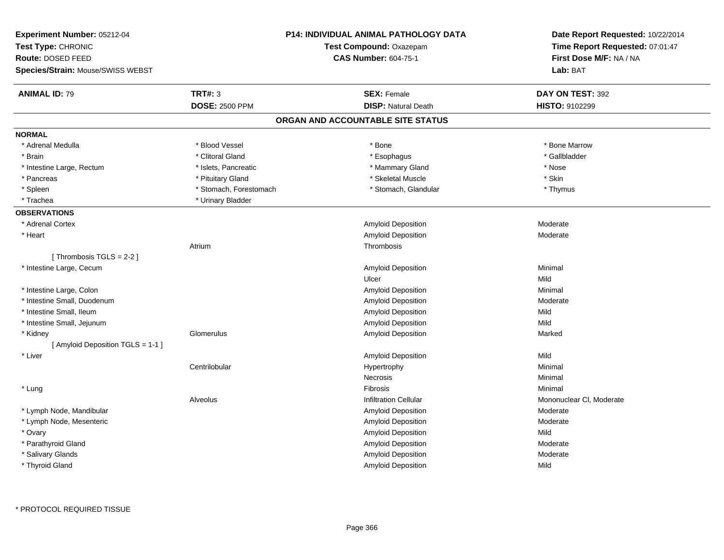| Experiment Number: 05212-04<br>Test Type: CHRONIC<br>Route: DOSED FEED<br>Species/Strain: Mouse/SWISS WEBST |                        | <b>P14: INDIVIDUAL ANIMAL PATHOLOGY DATA</b><br>Test Compound: Oxazepam<br><b>CAS Number: 604-75-1</b> | Date Report Requested: 10/22/2014<br>Time Report Requested: 07:01:47<br>First Dose M/F: NA / NA<br>Lab: BAT |
|-------------------------------------------------------------------------------------------------------------|------------------------|--------------------------------------------------------------------------------------------------------|-------------------------------------------------------------------------------------------------------------|
| <b>ANIMAL ID: 79</b>                                                                                        | <b>TRT#: 3</b>         | <b>SEX: Female</b>                                                                                     | DAY ON TEST: 392                                                                                            |
|                                                                                                             | <b>DOSE: 2500 PPM</b>  | <b>DISP: Natural Death</b>                                                                             | HISTO: 9102299                                                                                              |
|                                                                                                             |                        | ORGAN AND ACCOUNTABLE SITE STATUS                                                                      |                                                                                                             |
| <b>NORMAL</b>                                                                                               |                        |                                                                                                        |                                                                                                             |
| * Adrenal Medulla                                                                                           | * Blood Vessel         | $^*$ Bone                                                                                              | * Bone Marrow                                                                                               |
| * Brain                                                                                                     | * Clitoral Gland       | * Esophagus                                                                                            | * Gallbladder                                                                                               |
| * Intestine Large, Rectum                                                                                   | * Islets, Pancreatic   | * Mammary Gland                                                                                        | * Nose                                                                                                      |
| * Pancreas                                                                                                  | * Pituitary Gland      | * Skeletal Muscle                                                                                      | * Skin                                                                                                      |
| * Spleen                                                                                                    | * Stomach, Forestomach | * Stomach, Glandular                                                                                   | * Thymus                                                                                                    |
| * Trachea                                                                                                   | * Urinary Bladder      |                                                                                                        |                                                                                                             |
| <b>OBSERVATIONS</b>                                                                                         |                        |                                                                                                        |                                                                                                             |
| * Adrenal Cortex                                                                                            |                        | Amyloid Deposition                                                                                     | Moderate                                                                                                    |
| * Heart                                                                                                     |                        | Amyloid Deposition                                                                                     | Moderate                                                                                                    |
|                                                                                                             | Atrium                 | Thrombosis                                                                                             |                                                                                                             |
| [Thrombosis TGLS = 2-2]                                                                                     |                        |                                                                                                        |                                                                                                             |
| * Intestine Large, Cecum                                                                                    |                        | Amyloid Deposition                                                                                     | Minimal                                                                                                     |
|                                                                                                             |                        | Ulcer                                                                                                  | Mild                                                                                                        |
| * Intestine Large, Colon                                                                                    |                        | Amyloid Deposition                                                                                     | Minimal                                                                                                     |
| * Intestine Small, Duodenum                                                                                 |                        | <b>Amyloid Deposition</b>                                                                              | Moderate                                                                                                    |
| * Intestine Small, Ileum                                                                                    |                        | <b>Amyloid Deposition</b>                                                                              | Mild                                                                                                        |
| * Intestine Small, Jejunum                                                                                  |                        | Amyloid Deposition                                                                                     | Mild                                                                                                        |
| * Kidney                                                                                                    | Glomerulus             | Amyloid Deposition                                                                                     | Marked                                                                                                      |
| [ Amyloid Deposition TGLS = 1-1 ]                                                                           |                        |                                                                                                        |                                                                                                             |
| * Liver                                                                                                     |                        | Amyloid Deposition                                                                                     | Mild                                                                                                        |
|                                                                                                             | Centrilobular          | Hypertrophy                                                                                            | Minimal                                                                                                     |
|                                                                                                             |                        | Necrosis                                                                                               | Minimal                                                                                                     |
| * Lung                                                                                                      |                        | Fibrosis                                                                                               | Minimal                                                                                                     |
|                                                                                                             | Alveolus               | <b>Infiltration Cellular</b>                                                                           | Mononuclear CI, Moderate                                                                                    |
| * Lymph Node, Mandibular                                                                                    |                        | Amyloid Deposition                                                                                     | Moderate                                                                                                    |
| * Lymph Node, Mesenteric                                                                                    |                        | Amyloid Deposition                                                                                     | Moderate                                                                                                    |
| * Ovary                                                                                                     |                        | Amyloid Deposition                                                                                     | Mild                                                                                                        |
| * Parathyroid Gland                                                                                         |                        | Amyloid Deposition                                                                                     | Moderate                                                                                                    |
| * Salivary Glands                                                                                           |                        | Amyloid Deposition                                                                                     | Moderate                                                                                                    |
| * Thyroid Gland                                                                                             |                        | Amyloid Deposition                                                                                     | Mild                                                                                                        |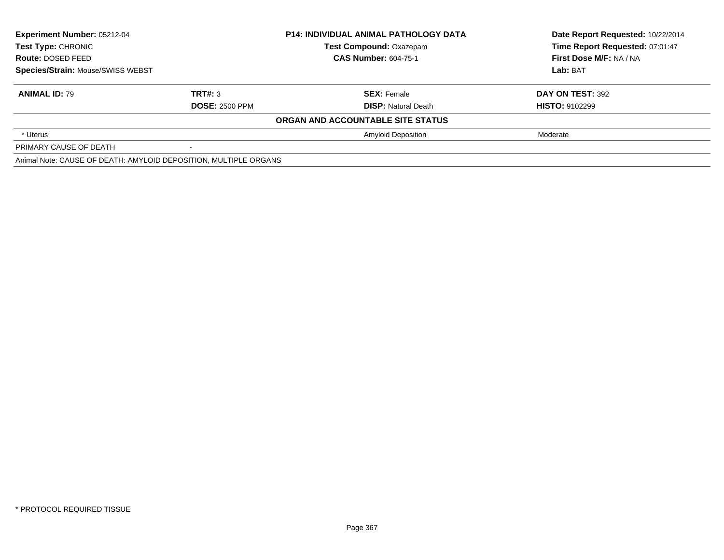| <b>Experiment Number: 05212-04</b><br>Test Type: CHRONIC<br><b>Route: DOSED FEED</b><br>Species/Strain: Mouse/SWISS WEBST |                       | <b>P14: INDIVIDUAL ANIMAL PATHOLOGY DATA</b> | Date Report Requested: 10/22/2014 |
|---------------------------------------------------------------------------------------------------------------------------|-----------------------|----------------------------------------------|-----------------------------------|
|                                                                                                                           |                       | <b>Test Compound: Oxazepam</b>               | Time Report Requested: 07:01:47   |
|                                                                                                                           |                       | <b>CAS Number: 604-75-1</b>                  | First Dose M/F: NA / NA           |
|                                                                                                                           |                       |                                              | Lab: BAT                          |
| <b>ANIMAL ID: 79</b>                                                                                                      | TRT#: 3               | <b>SEX: Female</b>                           | DAY ON TEST: 392                  |
|                                                                                                                           | <b>DOSE: 2500 PPM</b> | <b>DISP:</b> Natural Death                   | <b>HISTO: 9102299</b>             |
|                                                                                                                           |                       | ORGAN AND ACCOUNTABLE SITE STATUS            |                                   |
| * Uterus                                                                                                                  |                       | <b>Amyloid Deposition</b>                    | Moderate                          |
| PRIMARY CAUSE OF DEATH                                                                                                    |                       |                                              |                                   |
| Animal Note: CAUSE OF DEATH: AMYLOID DEPOSITION, MULTIPLE ORGANS                                                          |                       |                                              |                                   |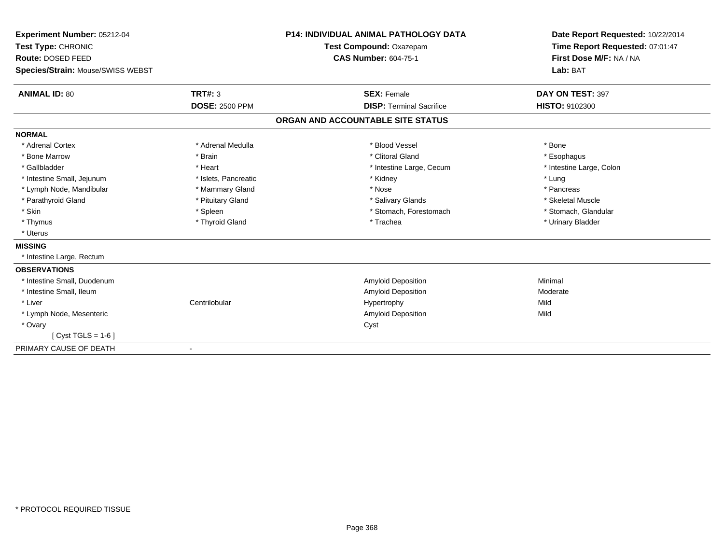| Experiment Number: 05212-04<br>Test Type: CHRONIC |                       | <b>P14: INDIVIDUAL ANIMAL PATHOLOGY DATA</b> | Date Report Requested: 10/22/2014<br>Time Report Requested: 07:01:47 |
|---------------------------------------------------|-----------------------|----------------------------------------------|----------------------------------------------------------------------|
|                                                   |                       | Test Compound: Oxazepam                      |                                                                      |
| Route: DOSED FEED                                 |                       | <b>CAS Number: 604-75-1</b>                  | First Dose M/F: NA / NA                                              |
| Species/Strain: Mouse/SWISS WEBST                 |                       |                                              | Lab: BAT                                                             |
| <b>ANIMAL ID: 80</b>                              | <b>TRT#: 3</b>        | <b>SEX: Female</b>                           | DAY ON TEST: 397                                                     |
|                                                   | <b>DOSE: 2500 PPM</b> | <b>DISP:</b> Terminal Sacrifice              | <b>HISTO: 9102300</b>                                                |
|                                                   |                       | ORGAN AND ACCOUNTABLE SITE STATUS            |                                                                      |
| <b>NORMAL</b>                                     |                       |                                              |                                                                      |
| * Adrenal Cortex                                  | * Adrenal Medulla     | * Blood Vessel                               | * Bone                                                               |
| * Bone Marrow                                     | * Brain               | * Clitoral Gland                             | * Esophagus                                                          |
| * Gallbladder                                     | * Heart               | * Intestine Large, Cecum                     | * Intestine Large, Colon                                             |
| * Intestine Small, Jejunum                        | * Islets, Pancreatic  | * Kidney                                     | * Lung                                                               |
| * Lymph Node, Mandibular                          | * Mammary Gland       | * Nose                                       | * Pancreas                                                           |
| * Parathyroid Gland                               | * Pituitary Gland     | * Salivary Glands                            | * Skeletal Muscle                                                    |
| * Skin                                            | * Spleen              | * Stomach, Forestomach                       | * Stomach, Glandular                                                 |
| * Thymus                                          | * Thyroid Gland       | * Trachea                                    | * Urinary Bladder                                                    |
| * Uterus                                          |                       |                                              |                                                                      |
| <b>MISSING</b>                                    |                       |                                              |                                                                      |
| * Intestine Large, Rectum                         |                       |                                              |                                                                      |
| <b>OBSERVATIONS</b>                               |                       |                                              |                                                                      |
| * Intestine Small, Duodenum                       |                       | Amyloid Deposition                           | Minimal                                                              |
| * Intestine Small, Ileum                          |                       | <b>Amyloid Deposition</b>                    | Moderate                                                             |
| * Liver                                           | Centrilobular         | Hypertrophy                                  | Mild                                                                 |
| * Lymph Node, Mesenteric                          |                       | <b>Amyloid Deposition</b>                    | Mild                                                                 |
| * Ovary                                           |                       | Cyst                                         |                                                                      |
| [ $Cyst TGLS = 1-6$ ]                             |                       |                                              |                                                                      |
| PRIMARY CAUSE OF DEATH                            | $\blacksquare$        |                                              |                                                                      |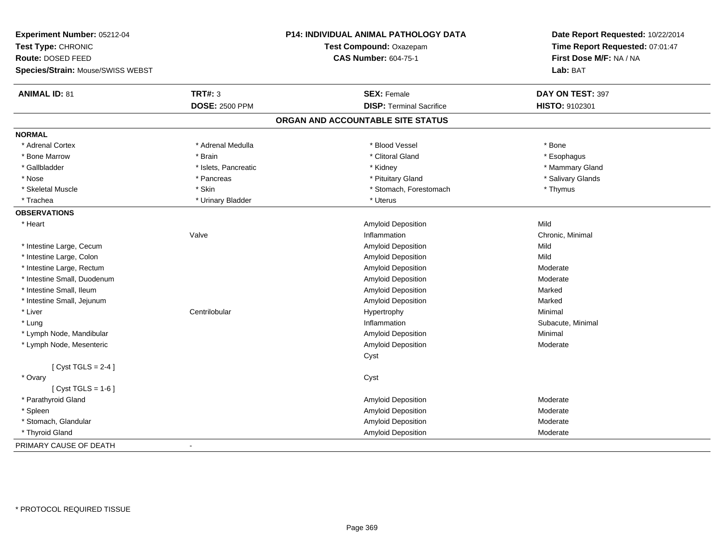| Experiment Number: 05212-04<br>Test Type: CHRONIC<br>Route: DOSED FEED<br>Species/Strain: Mouse/SWISS WEBST |                       | P14: INDIVIDUAL ANIMAL PATHOLOGY DATA<br>Test Compound: Oxazepam<br><b>CAS Number: 604-75-1</b> | Date Report Requested: 10/22/2014<br>Time Report Requested: 07:01:47<br>First Dose M/F: NA / NA<br>Lab: BAT |
|-------------------------------------------------------------------------------------------------------------|-----------------------|-------------------------------------------------------------------------------------------------|-------------------------------------------------------------------------------------------------------------|
|                                                                                                             |                       |                                                                                                 |                                                                                                             |
| <b>ANIMAL ID: 81</b>                                                                                        | <b>TRT#: 3</b>        | <b>SEX: Female</b>                                                                              | DAY ON TEST: 397                                                                                            |
|                                                                                                             | <b>DOSE: 2500 PPM</b> | <b>DISP: Terminal Sacrifice</b>                                                                 | HISTO: 9102301                                                                                              |
|                                                                                                             |                       | ORGAN AND ACCOUNTABLE SITE STATUS                                                               |                                                                                                             |
| <b>NORMAL</b>                                                                                               |                       |                                                                                                 |                                                                                                             |
| * Adrenal Cortex                                                                                            | * Adrenal Medulla     | * Blood Vessel                                                                                  | * Bone                                                                                                      |
| * Bone Marrow                                                                                               | * Brain               | * Clitoral Gland                                                                                | * Esophagus                                                                                                 |
| * Gallbladder                                                                                               | * Islets, Pancreatic  | * Kidney                                                                                        | * Mammary Gland                                                                                             |
| * Nose                                                                                                      | * Pancreas            | * Pituitary Gland                                                                               | * Salivary Glands                                                                                           |
| * Skeletal Muscle                                                                                           | * Skin                | * Stomach, Forestomach                                                                          | * Thymus                                                                                                    |
| * Trachea                                                                                                   | * Urinary Bladder     | * Uterus                                                                                        |                                                                                                             |
| <b>OBSERVATIONS</b>                                                                                         |                       |                                                                                                 |                                                                                                             |
| * Heart                                                                                                     |                       | Amyloid Deposition                                                                              | Mild                                                                                                        |
|                                                                                                             | Valve                 | Inflammation                                                                                    | Chronic, Minimal                                                                                            |
| * Intestine Large, Cecum                                                                                    |                       | Amyloid Deposition                                                                              | Mild                                                                                                        |
| * Intestine Large, Colon                                                                                    |                       | Amyloid Deposition                                                                              | Mild                                                                                                        |
| * Intestine Large, Rectum                                                                                   |                       | Amyloid Deposition                                                                              | Moderate                                                                                                    |
| * Intestine Small, Duodenum                                                                                 |                       | Amyloid Deposition                                                                              | Moderate                                                                                                    |
| * Intestine Small, Ileum                                                                                    |                       | Amyloid Deposition                                                                              | Marked                                                                                                      |
| * Intestine Small, Jejunum                                                                                  |                       | Amyloid Deposition                                                                              | Marked                                                                                                      |
| * Liver                                                                                                     | Centrilobular         | Hypertrophy                                                                                     | Minimal                                                                                                     |
| * Lung                                                                                                      |                       | Inflammation                                                                                    | Subacute, Minimal                                                                                           |
| * Lymph Node, Mandibular                                                                                    |                       | <b>Amyloid Deposition</b>                                                                       | Minimal                                                                                                     |
| * Lymph Node, Mesenteric                                                                                    |                       | Amyloid Deposition                                                                              | Moderate                                                                                                    |
|                                                                                                             |                       | Cyst                                                                                            |                                                                                                             |
| [Cyst TGLS = $2-4$ ]                                                                                        |                       |                                                                                                 |                                                                                                             |
| * Ovary                                                                                                     |                       | Cyst                                                                                            |                                                                                                             |
| [Cyst TGLS = $1-6$ ]                                                                                        |                       |                                                                                                 |                                                                                                             |
| * Parathyroid Gland                                                                                         |                       | Amyloid Deposition                                                                              | Moderate                                                                                                    |
| * Spleen                                                                                                    |                       | Amyloid Deposition                                                                              | Moderate                                                                                                    |
| * Stomach, Glandular                                                                                        |                       | Amyloid Deposition                                                                              | Moderate                                                                                                    |
| * Thyroid Gland                                                                                             |                       | Amyloid Deposition                                                                              | Moderate                                                                                                    |
| PRIMARY CAUSE OF DEATH                                                                                      |                       |                                                                                                 |                                                                                                             |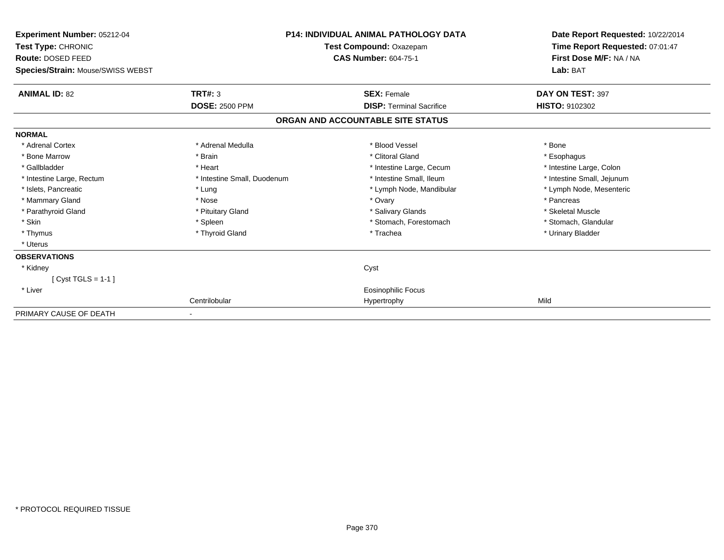| Experiment Number: 05212-04<br>Test Type: CHRONIC |                             | <b>P14: INDIVIDUAL ANIMAL PATHOLOGY DATA</b><br>Test Compound: Oxazepam | Date Report Requested: 10/22/2014<br>Time Report Requested: 07:01:47 |
|---------------------------------------------------|-----------------------------|-------------------------------------------------------------------------|----------------------------------------------------------------------|
| Route: DOSED FEED                                 |                             | <b>CAS Number: 604-75-1</b>                                             | First Dose M/F: NA / NA                                              |
| Species/Strain: Mouse/SWISS WEBST                 |                             |                                                                         | Lab: BAT                                                             |
| <b>ANIMAL ID: 82</b>                              | <b>TRT#: 3</b>              | <b>SEX: Female</b>                                                      | DAY ON TEST: 397                                                     |
|                                                   | <b>DOSE: 2500 PPM</b>       | <b>DISP: Terminal Sacrifice</b>                                         | HISTO: 9102302                                                       |
|                                                   |                             | ORGAN AND ACCOUNTABLE SITE STATUS                                       |                                                                      |
| <b>NORMAL</b>                                     |                             |                                                                         |                                                                      |
| * Adrenal Cortex                                  | * Adrenal Medulla           | * Blood Vessel                                                          | * Bone                                                               |
| * Bone Marrow                                     | * Brain                     | * Clitoral Gland                                                        | * Esophagus                                                          |
| * Gallbladder                                     | * Heart                     | * Intestine Large, Cecum                                                | * Intestine Large, Colon                                             |
| * Intestine Large, Rectum                         | * Intestine Small, Duodenum | * Intestine Small, Ileum                                                | * Intestine Small, Jejunum                                           |
| * Islets, Pancreatic                              | * Lung                      | * Lymph Node, Mandibular                                                | * Lymph Node, Mesenteric                                             |
| * Mammary Gland                                   | * Nose                      | * Ovary                                                                 | * Pancreas                                                           |
| * Parathyroid Gland                               | * Pituitary Gland           | * Salivary Glands                                                       | * Skeletal Muscle                                                    |
| * Skin                                            | * Spleen                    | * Stomach, Forestomach                                                  | * Stomach, Glandular                                                 |
| * Thymus                                          | * Thyroid Gland             | * Trachea                                                               | * Urinary Bladder                                                    |
| * Uterus                                          |                             |                                                                         |                                                                      |
| <b>OBSERVATIONS</b>                               |                             |                                                                         |                                                                      |
| * Kidney                                          |                             | Cyst                                                                    |                                                                      |
| [ $Cyst TGLS = 1-1$ ]                             |                             |                                                                         |                                                                      |
| * Liver                                           |                             | <b>Eosinophilic Focus</b>                                               |                                                                      |
|                                                   | Centrilobular               | Hypertrophy                                                             | Mild                                                                 |
| PRIMARY CAUSE OF DEATH                            |                             |                                                                         |                                                                      |

-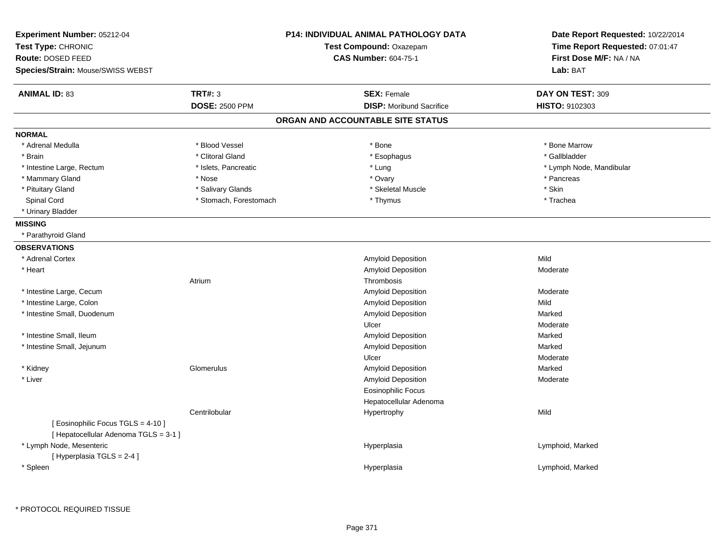| Experiment Number: 05212-04<br>Test Type: CHRONIC                           |                        | <b>P14: INDIVIDUAL ANIMAL PATHOLOGY DATA</b><br>Test Compound: Oxazepam | Date Report Requested: 10/22/2014<br>Time Report Requested: 07:01:47 |
|-----------------------------------------------------------------------------|------------------------|-------------------------------------------------------------------------|----------------------------------------------------------------------|
| Route: DOSED FEED                                                           |                        | <b>CAS Number: 604-75-1</b>                                             | First Dose M/F: NA / NA                                              |
| Species/Strain: Mouse/SWISS WEBST                                           |                        |                                                                         | Lab: BAT                                                             |
| <b>ANIMAL ID: 83</b>                                                        | <b>TRT#: 3</b>         | <b>SEX: Female</b>                                                      | DAY ON TEST: 309                                                     |
|                                                                             | <b>DOSE: 2500 PPM</b>  | <b>DISP:</b> Moribund Sacrifice                                         | HISTO: 9102303                                                       |
|                                                                             |                        | ORGAN AND ACCOUNTABLE SITE STATUS                                       |                                                                      |
| <b>NORMAL</b>                                                               |                        |                                                                         |                                                                      |
| * Adrenal Medulla                                                           | * Blood Vessel         | * Bone                                                                  | * Bone Marrow                                                        |
| * Brain                                                                     | * Clitoral Gland       | * Esophagus                                                             | * Gallbladder                                                        |
| * Intestine Large, Rectum                                                   | * Islets, Pancreatic   | * Lung                                                                  | * Lymph Node, Mandibular                                             |
| * Mammary Gland                                                             | * Nose                 | * Ovary                                                                 | * Pancreas                                                           |
| * Pituitary Gland                                                           | * Salivary Glands      | * Skeletal Muscle                                                       | * Skin                                                               |
| Spinal Cord                                                                 | * Stomach, Forestomach | * Thymus                                                                | * Trachea                                                            |
| * Urinary Bladder                                                           |                        |                                                                         |                                                                      |
| <b>MISSING</b>                                                              |                        |                                                                         |                                                                      |
| * Parathyroid Gland                                                         |                        |                                                                         |                                                                      |
| <b>OBSERVATIONS</b>                                                         |                        |                                                                         |                                                                      |
| * Adrenal Cortex                                                            |                        | Amyloid Deposition                                                      | Mild                                                                 |
| * Heart                                                                     |                        | Amyloid Deposition                                                      | Moderate                                                             |
|                                                                             | Atrium                 | Thrombosis                                                              |                                                                      |
| * Intestine Large, Cecum                                                    |                        | Amyloid Deposition                                                      | Moderate                                                             |
| * Intestine Large, Colon                                                    |                        | Amyloid Deposition                                                      | Mild                                                                 |
| * Intestine Small, Duodenum                                                 |                        | Amyloid Deposition                                                      | Marked                                                               |
|                                                                             |                        | Ulcer                                                                   | Moderate                                                             |
| * Intestine Small, Ileum                                                    |                        | Amyloid Deposition                                                      | Marked                                                               |
| * Intestine Small, Jejunum                                                  |                        | Amyloid Deposition                                                      | Marked                                                               |
|                                                                             |                        | Ulcer                                                                   | Moderate                                                             |
| * Kidney                                                                    | Glomerulus             | Amyloid Deposition                                                      | Marked                                                               |
| * Liver                                                                     |                        | Amyloid Deposition                                                      | Moderate                                                             |
|                                                                             |                        | <b>Eosinophilic Focus</b>                                               |                                                                      |
|                                                                             |                        | Hepatocellular Adenoma                                                  |                                                                      |
|                                                                             | Centrilobular          | Hypertrophy                                                             | Mild                                                                 |
| [ Eosinophilic Focus TGLS = 4-10 ]<br>[ Hepatocellular Adenoma TGLS = 3-1 ] |                        |                                                                         |                                                                      |
| * Lymph Node, Mesenteric<br>[Hyperplasia TGLS = 2-4]                        |                        | Hyperplasia                                                             | Lymphoid, Marked                                                     |
| * Spleen                                                                    |                        | Hyperplasia                                                             | Lymphoid, Marked                                                     |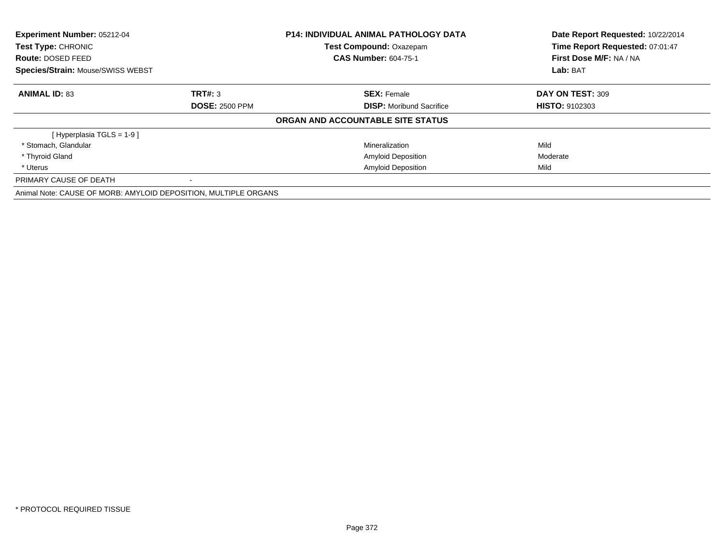| Experiment Number: 05212-04<br>Test Type: CHRONIC               |                       | <b>P14: INDIVIDUAL ANIMAL PATHOLOGY DATA</b> | Date Report Requested: 10/22/2014 |  |
|-----------------------------------------------------------------|-----------------------|----------------------------------------------|-----------------------------------|--|
|                                                                 |                       | Test Compound: Oxazepam                      | Time Report Requested: 07:01:47   |  |
| <b>Route: DOSED FEED</b>                                        |                       | <b>CAS Number: 604-75-1</b>                  | First Dose M/F: NA / NA           |  |
| Species/Strain: Mouse/SWISS WEBST                               |                       |                                              | Lab: BAT                          |  |
| <b>ANIMAL ID: 83</b>                                            | TRT#: 3               | <b>SEX: Female</b>                           | DAY ON TEST: 309                  |  |
|                                                                 | <b>DOSE: 2500 PPM</b> | <b>DISP:</b> Moribund Sacrifice              | <b>HISTO: 9102303</b>             |  |
|                                                                 |                       | ORGAN AND ACCOUNTABLE SITE STATUS            |                                   |  |
| [Hyperplasia TGLS = 1-9 ]                                       |                       |                                              |                                   |  |
| * Stomach, Glandular                                            |                       | Mineralization                               | Mild                              |  |
| * Thyroid Gland                                                 |                       | <b>Amyloid Deposition</b>                    | Moderate                          |  |
| * Uterus                                                        |                       | <b>Amyloid Deposition</b>                    | Mild                              |  |
| PRIMARY CAUSE OF DEATH                                          |                       |                                              |                                   |  |
| Animal Note: CAUSE OF MORB: AMYLOID DEPOSITION, MULTIPLE ORGANS |                       |                                              |                                   |  |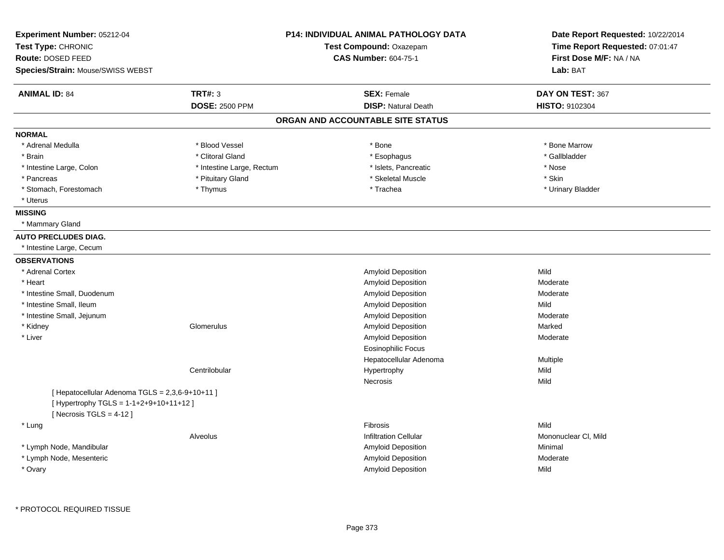| Experiment Number: 05212-04                     |                           | P14: INDIVIDUAL ANIMAL PATHOLOGY DATA | Date Report Requested: 10/22/2014<br>Time Report Requested: 07:01:47 |
|-------------------------------------------------|---------------------------|---------------------------------------|----------------------------------------------------------------------|
| Test Type: CHRONIC                              |                           | Test Compound: Oxazepam               |                                                                      |
| Route: DOSED FEED                               |                           | <b>CAS Number: 604-75-1</b>           | First Dose M/F: NA / NA                                              |
| Species/Strain: Mouse/SWISS WEBST               |                           |                                       | Lab: BAT                                                             |
| <b>ANIMAL ID: 84</b>                            | <b>TRT#: 3</b>            | <b>SEX: Female</b>                    | DAY ON TEST: 367                                                     |
|                                                 | <b>DOSE: 2500 PPM</b>     | <b>DISP: Natural Death</b>            | HISTO: 9102304                                                       |
|                                                 |                           | ORGAN AND ACCOUNTABLE SITE STATUS     |                                                                      |
| <b>NORMAL</b>                                   |                           |                                       |                                                                      |
| * Adrenal Medulla                               | * Blood Vessel            | * Bone                                | * Bone Marrow                                                        |
| * Brain                                         | * Clitoral Gland          | * Esophagus                           | * Gallbladder                                                        |
| * Intestine Large, Colon                        | * Intestine Large, Rectum | * Islets, Pancreatic                  | * Nose                                                               |
| * Pancreas                                      | * Pituitary Gland         | * Skeletal Muscle                     | * Skin                                                               |
| * Stomach, Forestomach                          | * Thymus                  | * Trachea                             | * Urinary Bladder                                                    |
| * Uterus                                        |                           |                                       |                                                                      |
| <b>MISSING</b>                                  |                           |                                       |                                                                      |
| * Mammary Gland                                 |                           |                                       |                                                                      |
| <b>AUTO PRECLUDES DIAG.</b>                     |                           |                                       |                                                                      |
| * Intestine Large, Cecum                        |                           |                                       |                                                                      |
| <b>OBSERVATIONS</b>                             |                           |                                       |                                                                      |
| * Adrenal Cortex                                |                           | Amyloid Deposition                    | Mild                                                                 |
| * Heart                                         |                           | Amyloid Deposition                    | Moderate                                                             |
| * Intestine Small, Duodenum                     |                           | Amyloid Deposition                    | Moderate                                                             |
| * Intestine Small, Ileum                        |                           | Amyloid Deposition                    | Mild                                                                 |
| * Intestine Small, Jejunum                      |                           | Amyloid Deposition                    | Moderate                                                             |
| * Kidney                                        | Glomerulus                | Amyloid Deposition                    | Marked                                                               |
| * Liver                                         |                           | Amyloid Deposition                    | Moderate                                                             |
|                                                 |                           | <b>Eosinophilic Focus</b>             |                                                                      |
|                                                 |                           | Hepatocellular Adenoma                | Multiple                                                             |
|                                                 | Centrilobular             | Hypertrophy                           | Mild                                                                 |
|                                                 |                           | Necrosis                              | Mild                                                                 |
| [ Hepatocellular Adenoma TGLS = 2,3,6-9+10+11 ] |                           |                                       |                                                                      |
| [ Hypertrophy TGLS = 1-1+2+9+10+11+12 ]         |                           |                                       |                                                                      |
| [Necrosis TGLS = $4-12$ ]                       |                           |                                       |                                                                      |
| * Lung                                          |                           | Fibrosis                              | Mild                                                                 |
|                                                 | Alveolus                  | <b>Infiltration Cellular</b>          | Mononuclear CI, Mild                                                 |
| * Lymph Node, Mandibular                        |                           | <b>Amyloid Deposition</b>             | Minimal                                                              |
| * Lymph Node, Mesenteric                        |                           | Amyloid Deposition                    | Moderate                                                             |
| * Ovary                                         |                           | Amyloid Deposition                    | Mild                                                                 |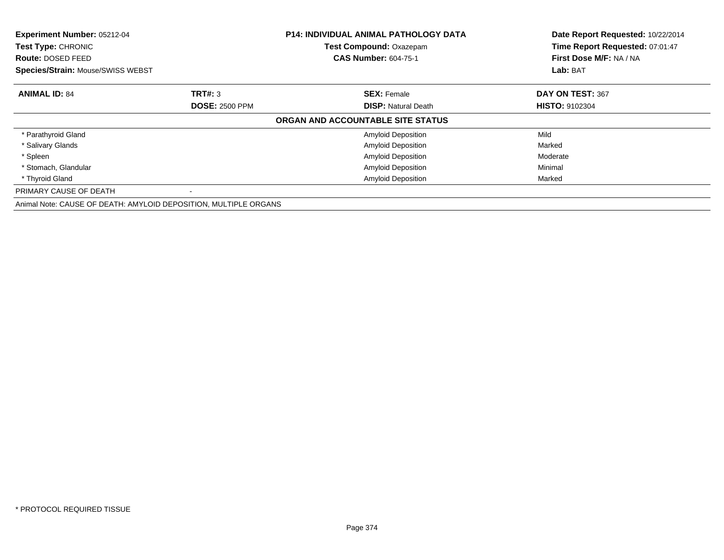| Experiment Number: 05212-04<br>Test Type: CHRONIC<br><b>Route: DOSED FEED</b> | <b>P14: INDIVIDUAL ANIMAL PATHOLOGY DATA</b><br>Test Compound: Oxazepam<br><b>CAS Number: 604-75-1</b> |                                   | Date Report Requested: 10/22/2014<br>Time Report Requested: 07:01:47<br>First Dose M/F: NA / NA |
|-------------------------------------------------------------------------------|--------------------------------------------------------------------------------------------------------|-----------------------------------|-------------------------------------------------------------------------------------------------|
| <b>Species/Strain: Mouse/SWISS WEBST</b>                                      |                                                                                                        |                                   | Lab: BAT                                                                                        |
| <b>ANIMAL ID: 84</b>                                                          | TRT#: 3                                                                                                | <b>SEX: Female</b>                | DAY ON TEST: 367                                                                                |
|                                                                               | <b>DOSE: 2500 PPM</b>                                                                                  | <b>DISP:</b> Natural Death        | <b>HISTO: 9102304</b>                                                                           |
|                                                                               |                                                                                                        | ORGAN AND ACCOUNTABLE SITE STATUS |                                                                                                 |
| * Parathyroid Gland                                                           |                                                                                                        | <b>Amyloid Deposition</b>         | Mild                                                                                            |
| * Salivary Glands                                                             |                                                                                                        | <b>Amyloid Deposition</b>         | Marked                                                                                          |
| * Spleen                                                                      |                                                                                                        | <b>Amyloid Deposition</b>         | Moderate                                                                                        |
| * Stomach, Glandular                                                          |                                                                                                        | <b>Amyloid Deposition</b>         | Minimal                                                                                         |
| * Thyroid Gland                                                               |                                                                                                        | <b>Amyloid Deposition</b>         | Marked                                                                                          |
| PRIMARY CAUSE OF DEATH                                                        |                                                                                                        |                                   |                                                                                                 |
| Animal Note: CAUSE OF DEATH: AMYLOID DEPOSITION, MULTIPLE ORGANS              |                                                                                                        |                                   |                                                                                                 |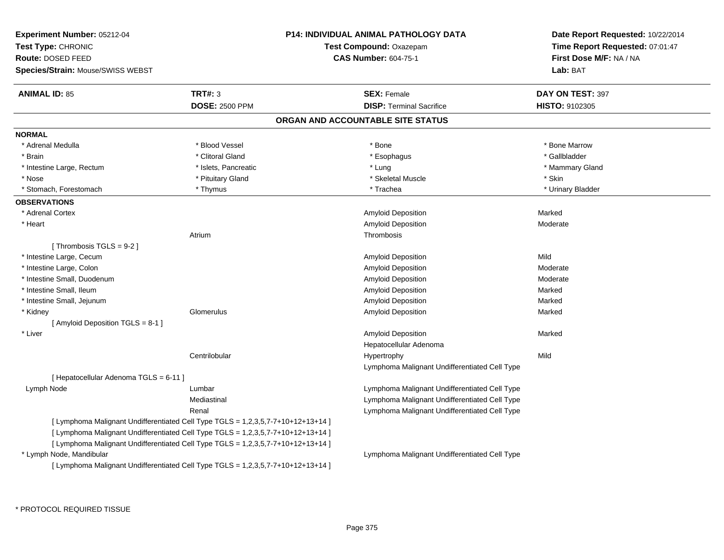| <b>Experiment Number: 05212-04</b>     |                                                                                  | <b>P14: INDIVIDUAL ANIMAL PATHOLOGY DATA</b>  | Date Report Requested: 10/22/2014 |
|----------------------------------------|----------------------------------------------------------------------------------|-----------------------------------------------|-----------------------------------|
| Test Type: CHRONIC                     |                                                                                  | <b>Test Compound: Oxazepam</b>                | Time Report Requested: 07:01:47   |
| Route: DOSED FEED                      |                                                                                  | <b>CAS Number: 604-75-1</b>                   | First Dose M/F: NA / NA           |
| Species/Strain: Mouse/SWISS WEBST      |                                                                                  |                                               | Lab: BAT                          |
| <b>ANIMAL ID: 85</b>                   | TRT#: 3                                                                          | <b>SEX: Female</b>                            | DAY ON TEST: 397                  |
|                                        | <b>DOSE: 2500 PPM</b>                                                            | <b>DISP: Terminal Sacrifice</b>               | <b>HISTO: 9102305</b>             |
|                                        |                                                                                  | ORGAN AND ACCOUNTABLE SITE STATUS             |                                   |
| <b>NORMAL</b>                          |                                                                                  |                                               |                                   |
| * Adrenal Medulla                      | * Blood Vessel                                                                   | * Bone                                        | * Bone Marrow                     |
| * Brain                                | * Clitoral Gland                                                                 | * Esophagus                                   | * Gallbladder                     |
| * Intestine Large, Rectum              | * Islets, Pancreatic                                                             | * Lung                                        | * Mammary Gland                   |
| * Nose                                 | * Pituitary Gland                                                                | * Skeletal Muscle                             | * Skin                            |
| * Stomach, Forestomach                 | * Thymus                                                                         | * Trachea                                     | * Urinary Bladder                 |
| <b>OBSERVATIONS</b>                    |                                                                                  |                                               |                                   |
| * Adrenal Cortex                       |                                                                                  | Amyloid Deposition                            | Marked                            |
| * Heart                                |                                                                                  | Amyloid Deposition                            | Moderate                          |
|                                        | Atrium                                                                           | Thrombosis                                    |                                   |
| [Thrombosis $TGLS = 9-2$ ]             |                                                                                  |                                               |                                   |
| * Intestine Large, Cecum               |                                                                                  | Amyloid Deposition                            | Mild                              |
| * Intestine Large, Colon               |                                                                                  | Amyloid Deposition                            | Moderate                          |
| * Intestine Small, Duodenum            |                                                                                  | Amyloid Deposition                            | Moderate                          |
| * Intestine Small, Ileum               |                                                                                  | Amyloid Deposition                            | Marked                            |
| * Intestine Small, Jejunum             |                                                                                  | Amyloid Deposition                            | Marked                            |
| * Kidney                               | Glomerulus                                                                       | <b>Amyloid Deposition</b>                     | Marked                            |
| [ Amyloid Deposition TGLS = 8-1 ]      |                                                                                  |                                               |                                   |
| * Liver                                |                                                                                  | <b>Amyloid Deposition</b>                     | Marked                            |
|                                        |                                                                                  | Hepatocellular Adenoma                        |                                   |
|                                        | Centrilobular                                                                    | Hypertrophy                                   | Mild                              |
|                                        |                                                                                  | Lymphoma Malignant Undifferentiated Cell Type |                                   |
| [ Hepatocellular Adenoma TGLS = 6-11 ] |                                                                                  |                                               |                                   |
| Lymph Node                             | Lumbar                                                                           | Lymphoma Malignant Undifferentiated Cell Type |                                   |
|                                        | Mediastinal                                                                      | Lymphoma Malignant Undifferentiated Cell Type |                                   |
|                                        | Renal                                                                            | Lymphoma Malignant Undifferentiated Cell Type |                                   |
|                                        | [ Lymphoma Malignant Undifferentiated Cell Type TGLS = 1,2,3,5,7-7+10+12+13+14 ] |                                               |                                   |
|                                        | [ Lymphoma Malignant Undifferentiated Cell Type TGLS = 1,2,3,5,7-7+10+12+13+14 ] |                                               |                                   |
|                                        | [ Lymphoma Malignant Undifferentiated Cell Type TGLS = 1,2,3,5,7-7+10+12+13+14 ] |                                               |                                   |
| * Lymph Node, Mandibular               |                                                                                  | Lymphoma Malignant Undifferentiated Cell Type |                                   |
|                                        | [ Lymphoma Malignant Undifferentiated Cell Type TGLS = 1,2,3,5,7-7+10+12+13+14 ] |                                               |                                   |
|                                        |                                                                                  |                                               |                                   |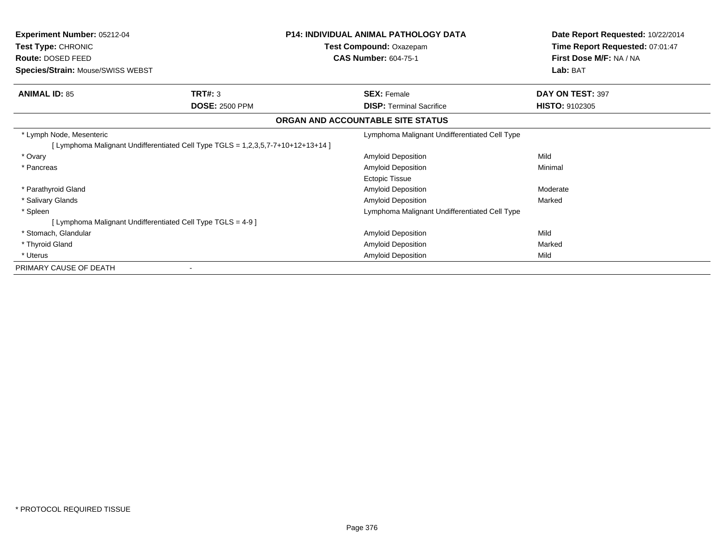| <b>Experiment Number: 05212-04</b><br>Test Type: CHRONIC<br><b>Route: DOSED FEED</b><br>Species/Strain: Mouse/SWISS WEBST |                                  | <b>P14: INDIVIDUAL ANIMAL PATHOLOGY DATA</b><br>Test Compound: Oxazepam<br><b>CAS Number: 604-75-1</b> | Date Report Requested: 10/22/2014<br>Time Report Requested: 07:01:47<br>First Dose M/F: NA / NA<br>Lab: BAT |
|---------------------------------------------------------------------------------------------------------------------------|----------------------------------|--------------------------------------------------------------------------------------------------------|-------------------------------------------------------------------------------------------------------------|
| <b>ANIMAL ID: 85</b>                                                                                                      | TRT#: 3<br><b>DOSE: 2500 PPM</b> | <b>SEX: Female</b><br><b>DISP: Terminal Sacrifice</b>                                                  | DAY ON TEST: 397<br><b>HISTO: 9102305</b>                                                                   |
|                                                                                                                           |                                  | ORGAN AND ACCOUNTABLE SITE STATUS                                                                      |                                                                                                             |
| * Lymph Node, Mesenteric<br>[Lymphoma Malignant Undifferentiated Cell Type TGLS = 1,2,3,5,7-7+10+12+13+14 ]               |                                  | Lymphoma Malignant Undifferentiated Cell Type                                                          |                                                                                                             |
| * Ovary                                                                                                                   |                                  | <b>Amyloid Deposition</b>                                                                              | Mild                                                                                                        |
| * Pancreas                                                                                                                |                                  | <b>Amyloid Deposition</b><br><b>Ectopic Tissue</b>                                                     | Minimal                                                                                                     |
| * Parathyroid Gland                                                                                                       |                                  | Amyloid Deposition                                                                                     | Moderate                                                                                                    |
| * Salivary Glands                                                                                                         |                                  | Amyloid Deposition                                                                                     | Marked                                                                                                      |
| * Spleen                                                                                                                  |                                  | Lymphoma Malignant Undifferentiated Cell Type                                                          |                                                                                                             |
| [ Lymphoma Malignant Undifferentiated Cell Type TGLS = 4-9 ]                                                              |                                  |                                                                                                        |                                                                                                             |
| * Stomach, Glandular                                                                                                      |                                  | Amyloid Deposition                                                                                     | Mild                                                                                                        |
| * Thyroid Gland                                                                                                           |                                  | Amyloid Deposition                                                                                     | Marked                                                                                                      |
| * Uterus                                                                                                                  |                                  | <b>Amyloid Deposition</b>                                                                              | Mild                                                                                                        |
| PRIMARY CAUSE OF DEATH                                                                                                    |                                  |                                                                                                        |                                                                                                             |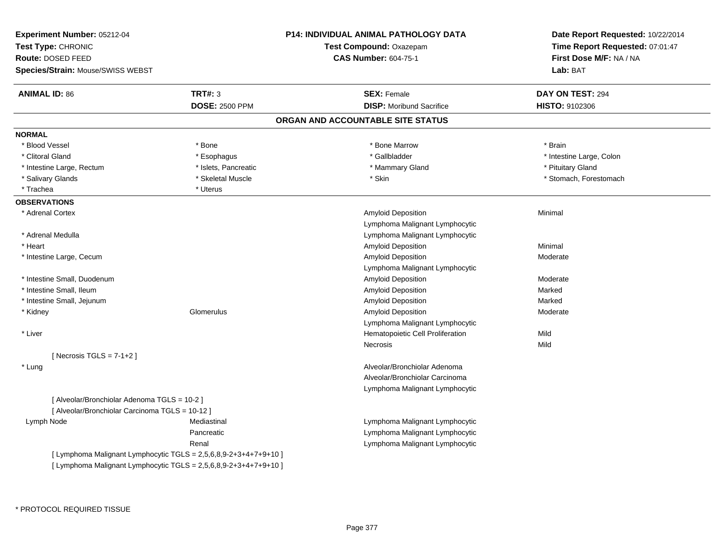| Experiment Number: 05212-04<br>Test Type: CHRONIC                |                       | <b>P14: INDIVIDUAL ANIMAL PATHOLOGY DATA</b><br><b>Test Compound: Oxazepam</b> | Date Report Requested: 10/22/2014<br>Time Report Requested: 07:01:47 |  |
|------------------------------------------------------------------|-----------------------|--------------------------------------------------------------------------------|----------------------------------------------------------------------|--|
| Route: DOSED FEED                                                |                       | <b>CAS Number: 604-75-1</b>                                                    | First Dose M/F: NA / NA                                              |  |
| Species/Strain: Mouse/SWISS WEBST                                |                       |                                                                                | Lab: BAT                                                             |  |
| <b>ANIMAL ID: 86</b>                                             | <b>TRT#: 3</b>        | <b>SEX: Female</b>                                                             | DAY ON TEST: 294                                                     |  |
|                                                                  | <b>DOSE: 2500 PPM</b> | <b>DISP:</b> Moribund Sacrifice                                                | HISTO: 9102306                                                       |  |
|                                                                  |                       | ORGAN AND ACCOUNTABLE SITE STATUS                                              |                                                                      |  |
| <b>NORMAL</b>                                                    |                       |                                                                                |                                                                      |  |
| * Blood Vessel                                                   | * Bone                | * Bone Marrow                                                                  | * Brain                                                              |  |
| * Clitoral Gland                                                 | * Esophagus           | * Gallbladder                                                                  | * Intestine Large, Colon                                             |  |
| * Intestine Large, Rectum                                        | * Islets, Pancreatic  | * Mammary Gland                                                                | * Pituitary Gland                                                    |  |
| * Salivary Glands                                                | * Skeletal Muscle     | * Skin                                                                         | * Stomach, Forestomach                                               |  |
| * Trachea                                                        | * Uterus              |                                                                                |                                                                      |  |
| <b>OBSERVATIONS</b>                                              |                       |                                                                                |                                                                      |  |
| * Adrenal Cortex                                                 |                       | Amyloid Deposition                                                             | Minimal                                                              |  |
|                                                                  |                       | Lymphoma Malignant Lymphocytic                                                 |                                                                      |  |
| * Adrenal Medulla                                                |                       | Lymphoma Malignant Lymphocytic                                                 |                                                                      |  |
| * Heart                                                          |                       | Amyloid Deposition                                                             | Minimal                                                              |  |
| * Intestine Large, Cecum                                         |                       | <b>Amyloid Deposition</b>                                                      | Moderate                                                             |  |
|                                                                  |                       | Lymphoma Malignant Lymphocytic                                                 |                                                                      |  |
| * Intestine Small, Duodenum                                      |                       | Amyloid Deposition                                                             | Moderate                                                             |  |
| * Intestine Small, Ileum                                         |                       | Amyloid Deposition                                                             | Marked                                                               |  |
| * Intestine Small, Jejunum                                       |                       | <b>Amyloid Deposition</b>                                                      | Marked                                                               |  |
| * Kidney                                                         | Glomerulus            | Amyloid Deposition                                                             | Moderate                                                             |  |
|                                                                  |                       | Lymphoma Malignant Lymphocytic                                                 |                                                                      |  |
| * Liver                                                          |                       | Hematopoietic Cell Proliferation                                               | Mild                                                                 |  |
|                                                                  |                       | Necrosis                                                                       | Mild                                                                 |  |
| [Necrosis TGLS = $7-1+2$ ]                                       |                       |                                                                                |                                                                      |  |
| * Lung                                                           |                       | Alveolar/Bronchiolar Adenoma                                                   |                                                                      |  |
|                                                                  |                       | Alveolar/Bronchiolar Carcinoma                                                 |                                                                      |  |
|                                                                  |                       | Lymphoma Malignant Lymphocytic                                                 |                                                                      |  |
| [ Alveolar/Bronchiolar Adenoma TGLS = 10-2 ]                     |                       |                                                                                |                                                                      |  |
| [ Alveolar/Bronchiolar Carcinoma TGLS = 10-12 ]                  |                       |                                                                                |                                                                      |  |
| Lymph Node                                                       | Mediastinal           | Lymphoma Malignant Lymphocytic                                                 |                                                                      |  |
|                                                                  | Pancreatic            | Lymphoma Malignant Lymphocytic                                                 |                                                                      |  |
|                                                                  | Renal                 | Lymphoma Malignant Lymphocytic                                                 |                                                                      |  |
| [ Lymphoma Malignant Lymphocytic TGLS = 2,5,6,8,9-2+3+4+7+9+10 ] |                       |                                                                                |                                                                      |  |
| [ Lymphoma Malignant Lymphocytic TGLS = 2,5,6,8,9-2+3+4+7+9+10 ] |                       |                                                                                |                                                                      |  |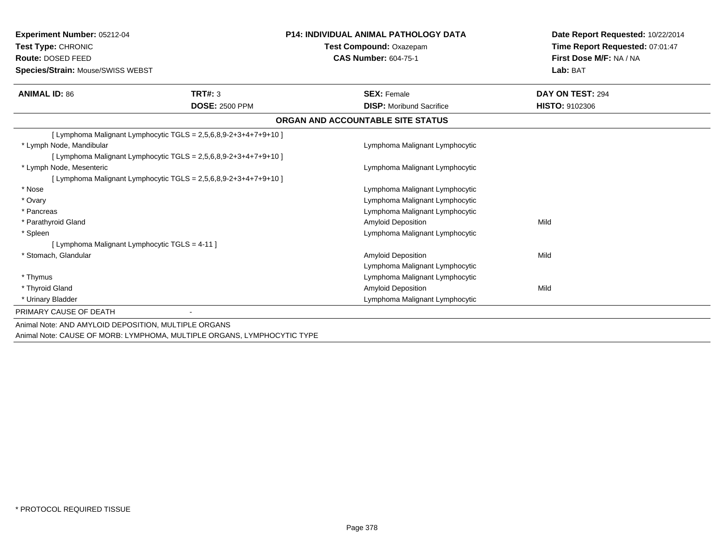| <b>Experiment Number: 05212-04</b><br>Test Type: CHRONIC                |                                                                   | <b>P14: INDIVIDUAL ANIMAL PATHOLOGY DATA</b> | Date Report Requested: 10/22/2014<br>Time Report Requested: 07:01:47 |  |
|-------------------------------------------------------------------------|-------------------------------------------------------------------|----------------------------------------------|----------------------------------------------------------------------|--|
|                                                                         |                                                                   | Test Compound: Oxazepam                      |                                                                      |  |
| Route: DOSED FEED                                                       |                                                                   | <b>CAS Number: 604-75-1</b>                  | First Dose M/F: NA / NA                                              |  |
| Species/Strain: Mouse/SWISS WEBST                                       |                                                                   |                                              | Lab: BAT                                                             |  |
| <b>ANIMAL ID: 86</b>                                                    | TRT#: 3                                                           | <b>SEX: Female</b>                           | DAY ON TEST: 294                                                     |  |
|                                                                         | <b>DOSE: 2500 PPM</b>                                             | <b>DISP:</b> Moribund Sacrifice              | HISTO: 9102306                                                       |  |
|                                                                         |                                                                   | ORGAN AND ACCOUNTABLE SITE STATUS            |                                                                      |  |
| [ Lymphoma Malignant Lymphocytic TGLS = 2,5,6,8,9-2+3+4+7+9+10 ]        |                                                                   |                                              |                                                                      |  |
| * Lymph Node, Mandibular                                                |                                                                   | Lymphoma Malignant Lymphocytic               |                                                                      |  |
| [ Lymphoma Malignant Lymphocytic TGLS = $2,5,6,8,9-2+3+4+7+9+10$ ]      |                                                                   |                                              |                                                                      |  |
| * Lymph Node, Mesenteric                                                |                                                                   | Lymphoma Malignant Lymphocytic               |                                                                      |  |
|                                                                         | [Lymphoma Malignant Lymphocytic TGLS = $2,5,6,8,9-2+3+4+7+9+10$ ] |                                              |                                                                      |  |
| * Nose                                                                  |                                                                   | Lymphoma Malignant Lymphocytic               |                                                                      |  |
| * Ovary                                                                 |                                                                   | Lymphoma Malignant Lymphocytic               |                                                                      |  |
| * Pancreas                                                              |                                                                   | Lymphoma Malignant Lymphocytic               |                                                                      |  |
| * Parathyroid Gland                                                     |                                                                   | <b>Amyloid Deposition</b>                    | Mild                                                                 |  |
| * Spleen                                                                |                                                                   | Lymphoma Malignant Lymphocytic               |                                                                      |  |
| [ Lymphoma Malignant Lymphocytic TGLS = 4-11 ]                          |                                                                   |                                              |                                                                      |  |
| * Stomach, Glandular                                                    |                                                                   | <b>Amyloid Deposition</b>                    | Mild                                                                 |  |
|                                                                         |                                                                   | Lymphoma Malignant Lymphocytic               |                                                                      |  |
| * Thymus                                                                |                                                                   | Lymphoma Malignant Lymphocytic               |                                                                      |  |
| * Thyroid Gland                                                         |                                                                   | <b>Amyloid Deposition</b>                    | Mild                                                                 |  |
| * Urinary Bladder                                                       |                                                                   | Lymphoma Malignant Lymphocytic               |                                                                      |  |
| PRIMARY CAUSE OF DEATH                                                  |                                                                   |                                              |                                                                      |  |
| Animal Note: AND AMYLOID DEPOSITION, MULTIPLE ORGANS                    |                                                                   |                                              |                                                                      |  |
| Animal Note: CAUSE OF MORB: LYMPHOMA, MULTIPLE ORGANS, LYMPHOCYTIC TYPE |                                                                   |                                              |                                                                      |  |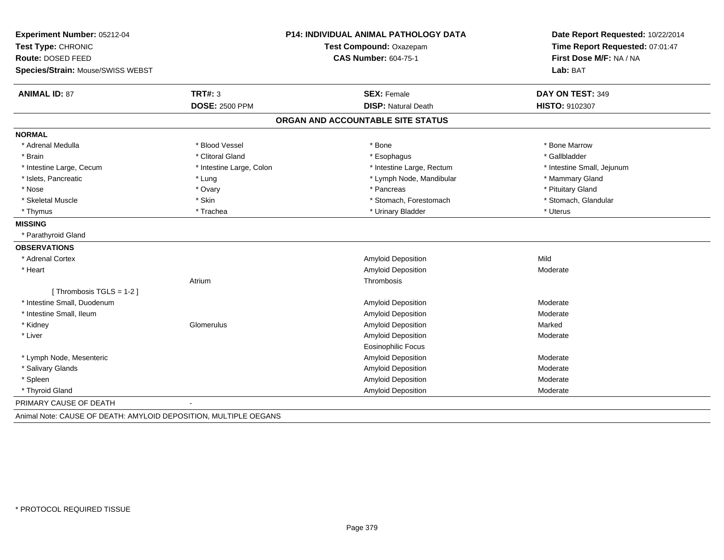| Experiment Number: 05212-04       | <b>P14: INDIVIDUAL ANIMAL PATHOLOGY DATA</b><br>Test Compound: Oxazepam |                                   | Date Report Requested: 10/22/2014 |  |
|-----------------------------------|-------------------------------------------------------------------------|-----------------------------------|-----------------------------------|--|
| Test Type: CHRONIC                |                                                                         |                                   | Time Report Requested: 07:01:47   |  |
| <b>Route: DOSED FEED</b>          |                                                                         | <b>CAS Number: 604-75-1</b>       | First Dose M/F: NA / NA           |  |
| Species/Strain: Mouse/SWISS WEBST |                                                                         |                                   | Lab: BAT                          |  |
| <b>ANIMAL ID: 87</b>              | TRT#: 3                                                                 | <b>SEX: Female</b>                | DAY ON TEST: 349                  |  |
|                                   | <b>DOSE: 2500 PPM</b>                                                   | <b>DISP: Natural Death</b>        | <b>HISTO: 9102307</b>             |  |
|                                   |                                                                         | ORGAN AND ACCOUNTABLE SITE STATUS |                                   |  |
| <b>NORMAL</b>                     |                                                                         |                                   |                                   |  |
| * Adrenal Medulla                 | * Blood Vessel                                                          | * Bone                            | * Bone Marrow                     |  |
| * Brain                           | * Clitoral Gland                                                        | * Esophagus                       | * Gallbladder                     |  |
| * Intestine Large, Cecum          | * Intestine Large, Colon                                                | * Intestine Large, Rectum         | * Intestine Small, Jejunum        |  |
| * Islets, Pancreatic              | * Lung                                                                  | * Lymph Node, Mandibular          | * Mammary Gland                   |  |
| * Nose                            | * Ovary                                                                 | * Pancreas                        | * Pituitary Gland                 |  |
| * Skeletal Muscle                 | * Skin                                                                  | * Stomach, Forestomach            | * Stomach, Glandular              |  |
| * Thymus                          | * Trachea                                                               | * Urinary Bladder                 | * Uterus                          |  |
| <b>MISSING</b>                    |                                                                         |                                   |                                   |  |
| * Parathyroid Gland               |                                                                         |                                   |                                   |  |
| <b>OBSERVATIONS</b>               |                                                                         |                                   |                                   |  |
| * Adrenal Cortex                  |                                                                         | Amyloid Deposition                | Mild                              |  |
| * Heart                           |                                                                         | Amyloid Deposition                | Moderate                          |  |
|                                   | Atrium                                                                  | Thrombosis                        |                                   |  |
| [Thrombosis TGLS = 1-2]           |                                                                         |                                   |                                   |  |
| * Intestine Small, Duodenum       |                                                                         | Amyloid Deposition                | Moderate                          |  |
| * Intestine Small, Ileum          |                                                                         | Amyloid Deposition                | Moderate                          |  |
| * Kidney                          | Glomerulus                                                              | Amyloid Deposition                | Marked                            |  |
| * Liver                           |                                                                         | Amyloid Deposition                | Moderate                          |  |
|                                   |                                                                         | <b>Eosinophilic Focus</b>         |                                   |  |
| * Lymph Node, Mesenteric          |                                                                         | Amyloid Deposition                | Moderate                          |  |
| * Salivary Glands                 |                                                                         | <b>Amyloid Deposition</b>         | Moderate                          |  |
| * Spleen                          |                                                                         | Amyloid Deposition                | Moderate                          |  |
| * Thyroid Gland                   |                                                                         | <b>Amyloid Deposition</b>         | Moderate                          |  |
| PRIMARY CAUSE OF DEATH            |                                                                         |                                   |                                   |  |

Animal Note: CAUSE OF DEATH: AMYLOID DEPOSITION, MULTIPLE OEGANS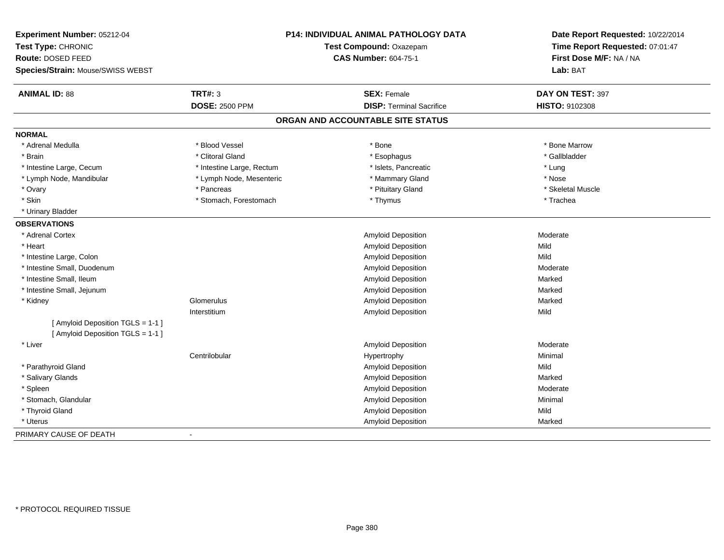| Experiment Number: 05212-04<br>Test Type: CHRONIC<br>Route: DOSED FEED<br>Species/Strain: Mouse/SWISS WEBST |                           | <b>P14: INDIVIDUAL ANIMAL PATHOLOGY DATA</b><br>Test Compound: Oxazepam<br><b>CAS Number: 604-75-1</b> | Date Report Requested: 10/22/2014<br>Time Report Requested: 07:01:47<br>First Dose M/F: NA / NA<br>Lab: BAT |
|-------------------------------------------------------------------------------------------------------------|---------------------------|--------------------------------------------------------------------------------------------------------|-------------------------------------------------------------------------------------------------------------|
| <b>ANIMAL ID: 88</b>                                                                                        | <b>TRT#: 3</b>            | <b>SEX: Female</b>                                                                                     | DAY ON TEST: 397                                                                                            |
|                                                                                                             | <b>DOSE: 2500 PPM</b>     | <b>DISP: Terminal Sacrifice</b>                                                                        | HISTO: 9102308                                                                                              |
|                                                                                                             |                           | ORGAN AND ACCOUNTABLE SITE STATUS                                                                      |                                                                                                             |
| <b>NORMAL</b>                                                                                               |                           |                                                                                                        |                                                                                                             |
| * Adrenal Medulla                                                                                           | * Blood Vessel            | * Bone                                                                                                 | * Bone Marrow                                                                                               |
| * Brain                                                                                                     | * Clitoral Gland          | * Esophagus                                                                                            | * Gallbladder                                                                                               |
| * Intestine Large, Cecum                                                                                    | * Intestine Large, Rectum | * Islets, Pancreatic                                                                                   | * Lung                                                                                                      |
| * Lymph Node, Mandibular                                                                                    | * Lymph Node, Mesenteric  | * Mammary Gland                                                                                        | * Nose                                                                                                      |
| * Ovary                                                                                                     | * Pancreas                | * Pituitary Gland                                                                                      | * Skeletal Muscle                                                                                           |
| * Skin                                                                                                      | * Stomach, Forestomach    | * Thymus                                                                                               | * Trachea                                                                                                   |
| * Urinary Bladder                                                                                           |                           |                                                                                                        |                                                                                                             |
| <b>OBSERVATIONS</b>                                                                                         |                           |                                                                                                        |                                                                                                             |
| * Adrenal Cortex                                                                                            |                           | Amyloid Deposition                                                                                     | Moderate                                                                                                    |
| * Heart                                                                                                     |                           | Amyloid Deposition                                                                                     | Mild                                                                                                        |
| * Intestine Large, Colon                                                                                    |                           | Amyloid Deposition                                                                                     | Mild                                                                                                        |
| * Intestine Small, Duodenum                                                                                 |                           | Amyloid Deposition                                                                                     | Moderate                                                                                                    |
| * Intestine Small, Ileum                                                                                    |                           | Amyloid Deposition                                                                                     | Marked                                                                                                      |
| * Intestine Small, Jejunum                                                                                  |                           | Amyloid Deposition                                                                                     | Marked                                                                                                      |
| * Kidney                                                                                                    | Glomerulus                | Amyloid Deposition                                                                                     | Marked                                                                                                      |
|                                                                                                             | Interstitium              | Amyloid Deposition                                                                                     | Mild                                                                                                        |
| [ Amyloid Deposition TGLS = 1-1 ]<br>[ Amyloid Deposition TGLS = 1-1 ]                                      |                           |                                                                                                        |                                                                                                             |
| * Liver                                                                                                     |                           | Amyloid Deposition                                                                                     | Moderate                                                                                                    |
|                                                                                                             | Centrilobular             | Hypertrophy                                                                                            | Minimal                                                                                                     |
| * Parathyroid Gland                                                                                         |                           | Amyloid Deposition                                                                                     | Mild                                                                                                        |
| * Salivary Glands                                                                                           |                           | Amyloid Deposition                                                                                     | Marked                                                                                                      |
| * Spleen                                                                                                    |                           | Amyloid Deposition                                                                                     | Moderate                                                                                                    |
| * Stomach, Glandular                                                                                        |                           | Amyloid Deposition                                                                                     | Minimal                                                                                                     |
| * Thyroid Gland                                                                                             |                           | Amyloid Deposition                                                                                     | Mild                                                                                                        |
| * Uterus                                                                                                    |                           | Amyloid Deposition                                                                                     | Marked                                                                                                      |
| PRIMARY CAUSE OF DEATH                                                                                      |                           |                                                                                                        |                                                                                                             |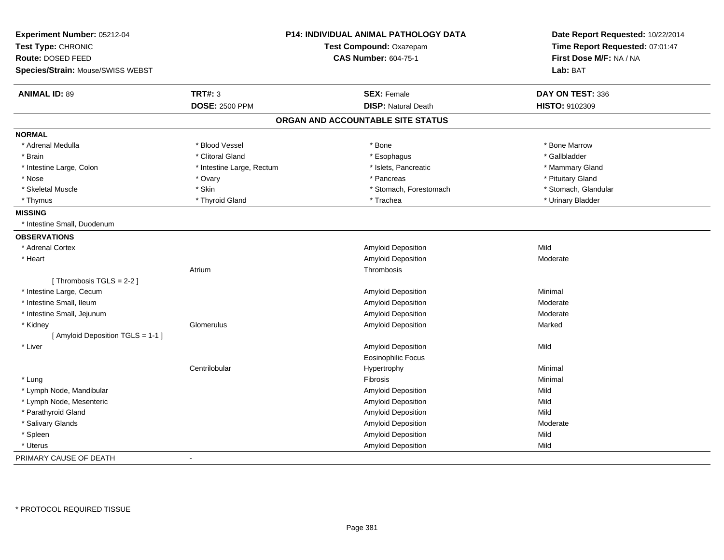| Experiment Number: 05212-04       |                           | P14: INDIVIDUAL ANIMAL PATHOLOGY DATA | Date Report Requested: 10/22/2014 |
|-----------------------------------|---------------------------|---------------------------------------|-----------------------------------|
| Test Type: CHRONIC                | Test Compound: Oxazepam   |                                       | Time Report Requested: 07:01:47   |
| Route: DOSED FEED                 |                           | <b>CAS Number: 604-75-1</b>           | First Dose M/F: NA / NA           |
| Species/Strain: Mouse/SWISS WEBST |                           |                                       | Lab: BAT                          |
| <b>ANIMAL ID: 89</b>              | <b>TRT#: 3</b>            | <b>SEX: Female</b>                    | DAY ON TEST: 336                  |
|                                   | <b>DOSE: 2500 PPM</b>     | <b>DISP: Natural Death</b>            | HISTO: 9102309                    |
|                                   |                           | ORGAN AND ACCOUNTABLE SITE STATUS     |                                   |
| <b>NORMAL</b>                     |                           |                                       |                                   |
| * Adrenal Medulla                 | * Blood Vessel            | * Bone                                | * Bone Marrow                     |
| * Brain                           | * Clitoral Gland          | * Esophagus                           | * Gallbladder                     |
| * Intestine Large, Colon          | * Intestine Large, Rectum | * Islets, Pancreatic                  | * Mammary Gland                   |
| * Nose                            | * Ovary                   | * Pancreas                            | * Pituitary Gland                 |
| * Skeletal Muscle                 | * Skin                    | * Stomach, Forestomach                | * Stomach, Glandular              |
| * Thymus                          | * Thyroid Gland           | * Trachea                             | * Urinary Bladder                 |
| <b>MISSING</b>                    |                           |                                       |                                   |
| * Intestine Small, Duodenum       |                           |                                       |                                   |
| <b>OBSERVATIONS</b>               |                           |                                       |                                   |
| * Adrenal Cortex                  |                           | Amyloid Deposition                    | Mild                              |
| * Heart                           |                           | Amyloid Deposition                    | Moderate                          |
|                                   | Atrium                    | Thrombosis                            |                                   |
| [Thrombosis TGLS = 2-2]           |                           |                                       |                                   |
| * Intestine Large, Cecum          |                           | Amyloid Deposition                    | Minimal                           |
| * Intestine Small, Ileum          |                           | <b>Amyloid Deposition</b>             | Moderate                          |
| * Intestine Small, Jejunum        |                           | Amyloid Deposition                    | Moderate                          |
| * Kidney                          | Glomerulus                | Amyloid Deposition                    | Marked                            |
| [ Amyloid Deposition TGLS = 1-1 ] |                           |                                       |                                   |
| * Liver                           |                           | Amyloid Deposition                    | Mild                              |
|                                   |                           | <b>Eosinophilic Focus</b>             |                                   |
|                                   | Centrilobular             | Hypertrophy                           | Minimal                           |
| * Lung                            |                           | Fibrosis                              | Minimal                           |
| * Lymph Node, Mandibular          |                           | Amyloid Deposition                    | Mild                              |
| * Lymph Node, Mesenteric          |                           | Amyloid Deposition                    | Mild                              |
| * Parathyroid Gland               |                           | Amyloid Deposition                    | Mild                              |
| * Salivary Glands                 |                           | <b>Amyloid Deposition</b>             | Moderate                          |
| * Spleen                          |                           | Amyloid Deposition                    | Mild                              |
| * Uterus                          |                           | Amyloid Deposition                    | Mild                              |
| PRIMARY CAUSE OF DEATH            | $\sim$                    |                                       |                                   |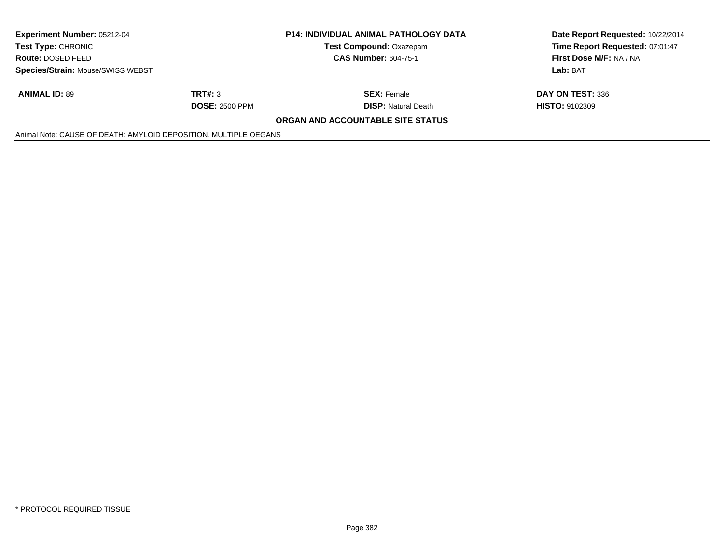| <b>Experiment Number: 05212-04</b><br><b>Test Type:</b> CHRONIC  | <b>P14: INDIVIDUAL ANIMAL PATHOLOGY DATA</b><br><b>Test Compound: Oxazepam</b> |                                   | Date Report Requested: 10/22/2014<br>Time Report Requested: 07:01:47 |
|------------------------------------------------------------------|--------------------------------------------------------------------------------|-----------------------------------|----------------------------------------------------------------------|
| <b>Route: DOSED FEED</b>                                         |                                                                                | <b>CAS Number: 604-75-1</b>       | First Dose M/F: NA / NA                                              |
| <b>Species/Strain: Mouse/SWISS WEBST</b>                         |                                                                                |                                   | Lab: BAT                                                             |
| <b>ANIMAL ID: 89</b>                                             | TRT#: 3                                                                        | <b>SEX: Female</b>                | DAY ON TEST: 336                                                     |
|                                                                  | <b>DOSE: 2500 PPM</b>                                                          | <b>DISP:</b> Natural Death        | <b>HISTO: 9102309</b>                                                |
|                                                                  |                                                                                | ORGAN AND ACCOUNTABLE SITE STATUS |                                                                      |
| Animal Note: CAUSE OF DEATH: AMYLOID DEPOSITION, MULTIPLE OEGANS |                                                                                |                                   |                                                                      |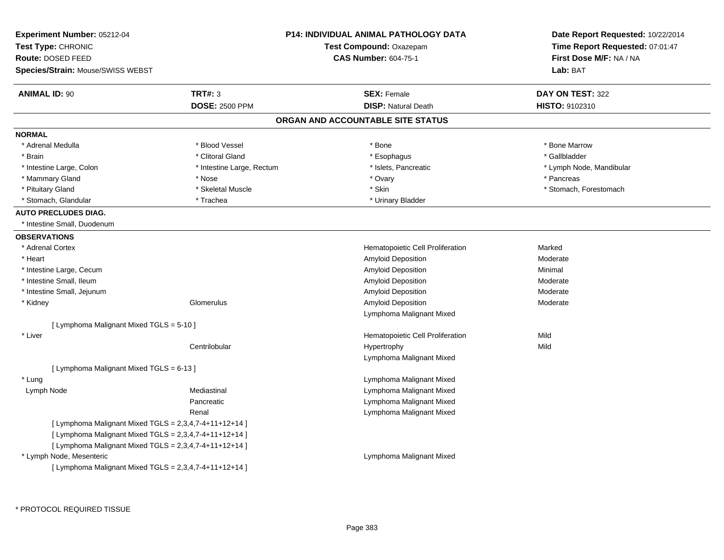| Experiment Number: 05212-04<br>Test Type: CHRONIC        |                           | <b>P14: INDIVIDUAL ANIMAL PATHOLOGY DATA</b><br>Test Compound: Oxazepam | Date Report Requested: 10/22/2014<br>Time Report Requested: 07:01:47 |
|----------------------------------------------------------|---------------------------|-------------------------------------------------------------------------|----------------------------------------------------------------------|
| Route: DOSED FEED                                        |                           | <b>CAS Number: 604-75-1</b>                                             | First Dose M/F: NA / NA                                              |
| <b>Species/Strain: Mouse/SWISS WEBST</b>                 |                           |                                                                         | Lab: BAT                                                             |
| <b>ANIMAL ID: 90</b>                                     | TRT#: 3                   | <b>SEX: Female</b>                                                      | DAY ON TEST: 322                                                     |
|                                                          | <b>DOSE: 2500 PPM</b>     | <b>DISP: Natural Death</b>                                              | HISTO: 9102310                                                       |
|                                                          |                           | ORGAN AND ACCOUNTABLE SITE STATUS                                       |                                                                      |
| <b>NORMAL</b>                                            |                           |                                                                         |                                                                      |
| * Adrenal Medulla                                        | * Blood Vessel            | * Bone                                                                  | * Bone Marrow                                                        |
| * Brain                                                  | * Clitoral Gland          | * Esophagus                                                             | * Gallbladder                                                        |
| * Intestine Large, Colon                                 | * Intestine Large, Rectum | * Islets, Pancreatic                                                    | * Lymph Node, Mandibular                                             |
| * Mammary Gland                                          | * Nose                    | * Ovary                                                                 | * Pancreas                                                           |
| * Pituitary Gland                                        | * Skeletal Muscle         | * Skin                                                                  | * Stomach, Forestomach                                               |
| * Stomach, Glandular                                     | * Trachea                 | * Urinary Bladder                                                       |                                                                      |
| <b>AUTO PRECLUDES DIAG.</b>                              |                           |                                                                         |                                                                      |
| * Intestine Small, Duodenum                              |                           |                                                                         |                                                                      |
| <b>OBSERVATIONS</b>                                      |                           |                                                                         |                                                                      |
| * Adrenal Cortex                                         |                           | Hematopoietic Cell Proliferation                                        | Marked                                                               |
| * Heart                                                  |                           | Amyloid Deposition                                                      | Moderate                                                             |
| * Intestine Large, Cecum                                 |                           | Amyloid Deposition                                                      | Minimal                                                              |
| * Intestine Small, Ileum                                 |                           | Amyloid Deposition                                                      | Moderate                                                             |
| * Intestine Small, Jejunum                               |                           | Amyloid Deposition                                                      | Moderate                                                             |
| * Kidney                                                 | Glomerulus                | Amyloid Deposition                                                      | Moderate                                                             |
|                                                          |                           | Lymphoma Malignant Mixed                                                |                                                                      |
| [ Lymphoma Malignant Mixed TGLS = 5-10 ]                 |                           |                                                                         |                                                                      |
| * Liver                                                  |                           | Hematopoietic Cell Proliferation                                        | Mild                                                                 |
|                                                          | Centrilobular             | Hypertrophy                                                             | Mild                                                                 |
|                                                          |                           | Lymphoma Malignant Mixed                                                |                                                                      |
| [ Lymphoma Malignant Mixed TGLS = 6-13 ]                 |                           |                                                                         |                                                                      |
| * Lung                                                   |                           | Lymphoma Malignant Mixed                                                |                                                                      |
| Lymph Node                                               | Mediastinal               | Lymphoma Malignant Mixed                                                |                                                                      |
|                                                          | Pancreatic                | Lymphoma Malignant Mixed                                                |                                                                      |
|                                                          | Renal                     | Lymphoma Malignant Mixed                                                |                                                                      |
| [ Lymphoma Malignant Mixed TGLS = 2,3,4,7-4+11+12+14 ]   |                           |                                                                         |                                                                      |
| [ Lymphoma Malignant Mixed TGLS = 2,3,4,7-4+11+12+14 ]   |                           |                                                                         |                                                                      |
| [ Lymphoma Malignant Mixed TGLS = 2,3,4,7-4+11+12+14 ]   |                           |                                                                         |                                                                      |
| * Lymph Node, Mesenteric                                 |                           | Lymphoma Malignant Mixed                                                |                                                                      |
| [ Lymphoma Malignant Mixed TGLS = $2,3,4,7-4+11+12+14$ ] |                           |                                                                         |                                                                      |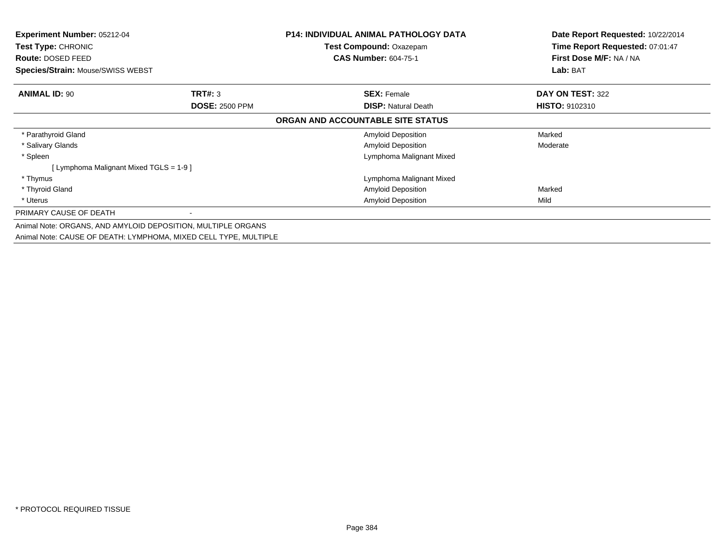| <b>Experiment Number: 05212-04</b><br><b>Test Type: CHRONIC</b><br>Route: DOSED FEED |                                                                  | <b>P14: INDIVIDUAL ANIMAL PATHOLOGY DATA</b><br><b>Test Compound: Oxazepam</b><br><b>CAS Number: 604-75-1</b> | Date Report Requested: 10/22/2014<br>Time Report Requested: 07:01:47<br>First Dose M/F: NA / NA |
|--------------------------------------------------------------------------------------|------------------------------------------------------------------|---------------------------------------------------------------------------------------------------------------|-------------------------------------------------------------------------------------------------|
| Species/Strain: Mouse/SWISS WEBST                                                    |                                                                  |                                                                                                               | Lab: BAT                                                                                        |
| <b>ANIMAL ID: 90</b>                                                                 | <b>TRT#: 3</b>                                                   | <b>SEX: Female</b>                                                                                            | DAY ON TEST: 322                                                                                |
|                                                                                      | <b>DOSE: 2500 PPM</b>                                            | <b>DISP: Natural Death</b>                                                                                    | <b>HISTO: 9102310</b>                                                                           |
|                                                                                      |                                                                  | ORGAN AND ACCOUNTABLE SITE STATUS                                                                             |                                                                                                 |
| * Parathyroid Gland                                                                  |                                                                  | <b>Amyloid Deposition</b>                                                                                     | Marked                                                                                          |
| * Salivary Glands                                                                    |                                                                  | Amyloid Deposition                                                                                            | Moderate                                                                                        |
| * Spleen                                                                             |                                                                  | Lymphoma Malignant Mixed                                                                                      |                                                                                                 |
| [ Lymphoma Malignant Mixed TGLS = 1-9 ]                                              |                                                                  |                                                                                                               |                                                                                                 |
| * Thymus                                                                             |                                                                  | Lymphoma Malignant Mixed                                                                                      |                                                                                                 |
| * Thyroid Gland                                                                      |                                                                  | Amyloid Deposition                                                                                            | Marked                                                                                          |
| * Uterus                                                                             |                                                                  | <b>Amyloid Deposition</b>                                                                                     | Mild                                                                                            |
| PRIMARY CAUSE OF DEATH                                                               |                                                                  |                                                                                                               |                                                                                                 |
|                                                                                      | Animal Note: ORGANS, AND AMYLOID DEPOSITION, MULTIPLE ORGANS     |                                                                                                               |                                                                                                 |
|                                                                                      | Animal Note: CAUSE OF DEATH: LYMPHOMA, MIXED CELL TYPE, MULTIPLE |                                                                                                               |                                                                                                 |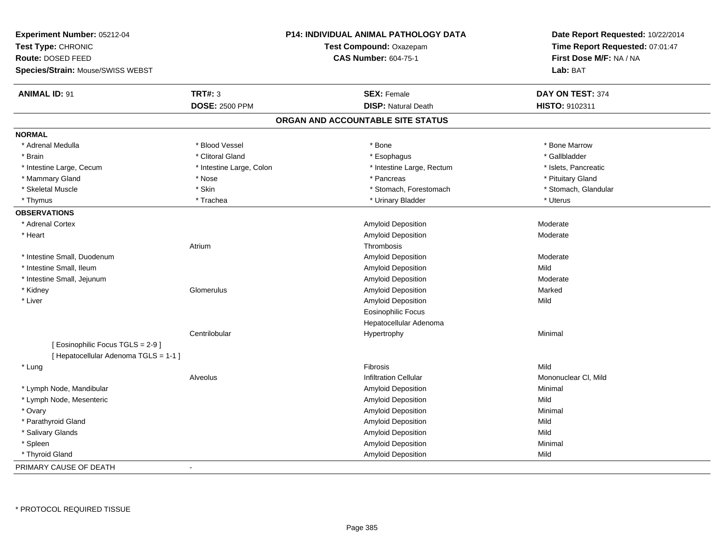| <b>Experiment Number: 05212-04</b>    |                          |                                   | <b>P14: INDIVIDUAL ANIMAL PATHOLOGY DATA</b> | Date Report Requested: 10/22/2014 |  |
|---------------------------------------|--------------------------|-----------------------------------|----------------------------------------------|-----------------------------------|--|
| Test Type: CHRONIC                    | Test Compound: Oxazepam  |                                   | Time Report Requested: 07:01:47              |                                   |  |
| Route: DOSED FEED                     |                          |                                   | <b>CAS Number: 604-75-1</b>                  | First Dose M/F: NA / NA           |  |
| Species/Strain: Mouse/SWISS WEBST     |                          |                                   |                                              | Lab: BAT                          |  |
| <b>ANIMAL ID: 91</b>                  | <b>TRT#: 3</b>           |                                   | <b>SEX: Female</b>                           | DAY ON TEST: 374                  |  |
|                                       | <b>DOSE: 2500 PPM</b>    |                                   | <b>DISP: Natural Death</b>                   | HISTO: 9102311                    |  |
|                                       |                          | ORGAN AND ACCOUNTABLE SITE STATUS |                                              |                                   |  |
| <b>NORMAL</b>                         |                          |                                   |                                              |                                   |  |
| * Adrenal Medulla                     | * Blood Vessel           |                                   | * Bone                                       | * Bone Marrow                     |  |
| * Brain                               | * Clitoral Gland         |                                   | * Esophagus                                  | * Gallbladder                     |  |
| * Intestine Large, Cecum              | * Intestine Large, Colon |                                   | * Intestine Large, Rectum                    | * Islets, Pancreatic              |  |
| * Mammary Gland                       | * Nose                   |                                   | * Pancreas                                   | * Pituitary Gland                 |  |
| * Skeletal Muscle                     | * Skin                   |                                   | * Stomach, Forestomach                       | * Stomach, Glandular              |  |
| * Thymus                              | * Trachea                |                                   | * Urinary Bladder                            | * Uterus                          |  |
| <b>OBSERVATIONS</b>                   |                          |                                   |                                              |                                   |  |
| * Adrenal Cortex                      |                          |                                   | <b>Amyloid Deposition</b>                    | Moderate                          |  |
| * Heart                               |                          |                                   | Amyloid Deposition                           | Moderate                          |  |
|                                       | Atrium                   |                                   | Thrombosis                                   |                                   |  |
| * Intestine Small, Duodenum           |                          |                                   | Amyloid Deposition                           | Moderate                          |  |
| * Intestine Small, Ileum              |                          |                                   | Amyloid Deposition                           | Mild                              |  |
| * Intestine Small, Jejunum            |                          |                                   | Amyloid Deposition                           | Moderate                          |  |
| * Kidney                              | Glomerulus               |                                   | Amyloid Deposition                           | Marked                            |  |
| * Liver                               |                          |                                   | Amyloid Deposition                           | Mild                              |  |
|                                       |                          |                                   | <b>Eosinophilic Focus</b>                    |                                   |  |
|                                       |                          |                                   | Hepatocellular Adenoma                       |                                   |  |
|                                       | Centrilobular            |                                   | Hypertrophy                                  | Minimal                           |  |
| [ Eosinophilic Focus TGLS = 2-9 ]     |                          |                                   |                                              |                                   |  |
| [ Hepatocellular Adenoma TGLS = 1-1 ] |                          |                                   |                                              |                                   |  |
| * Lung                                |                          |                                   | Fibrosis                                     | Mild                              |  |
|                                       | Alveolus                 |                                   | <b>Infiltration Cellular</b>                 | Mononuclear CI, Mild              |  |
| * Lymph Node, Mandibular              |                          |                                   | Amyloid Deposition                           | Minimal                           |  |
| * Lymph Node, Mesenteric              |                          |                                   | <b>Amyloid Deposition</b>                    | Mild                              |  |
| * Ovary                               |                          |                                   | Amyloid Deposition                           | Minimal                           |  |
| * Parathyroid Gland                   |                          |                                   | Amyloid Deposition                           | Mild                              |  |
| * Salivary Glands                     |                          |                                   | Amyloid Deposition                           | Mild                              |  |
| * Spleen                              |                          |                                   | Amyloid Deposition                           | Minimal                           |  |
| * Thyroid Gland                       |                          |                                   | Amyloid Deposition                           | Mild                              |  |
| PRIMARY CAUSE OF DEATH                |                          |                                   |                                              |                                   |  |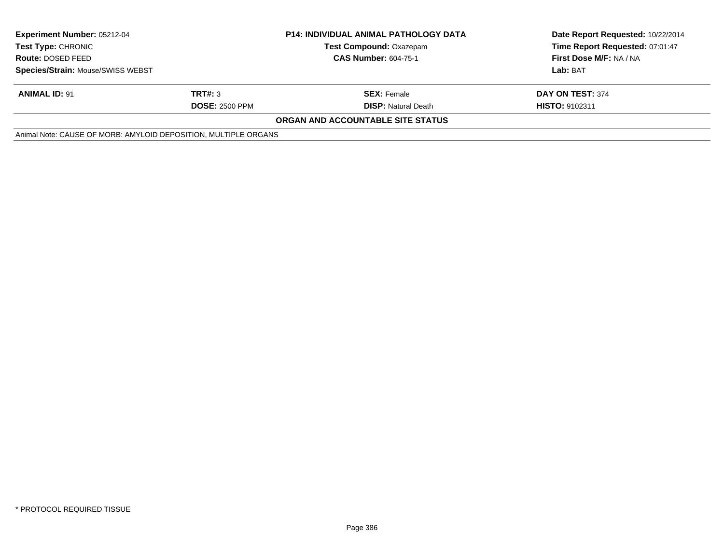| <b>Experiment Number: 05212-04</b><br><b>Test Type: CHRONIC</b> |                       | <b>P14: INDIVIDUAL ANIMAL PATHOLOGY DATA</b> | Date Report Requested: 10/22/2014<br>Time Report Requested: 07:01:47 |
|-----------------------------------------------------------------|-----------------------|----------------------------------------------|----------------------------------------------------------------------|
|                                                                 |                       | <b>Test Compound: Oxazepam</b>               |                                                                      |
| <b>Route: DOSED FEED</b>                                        |                       | <b>CAS Number: 604-75-1</b>                  | First Dose M/F: NA / NA                                              |
| Species/Strain: Mouse/SWISS WEBST                               |                       |                                              | Lab: BAT                                                             |
| <b>ANIMAL ID: 91</b>                                            | TRT#: 3               | <b>SEX: Female</b>                           | DAY ON TEST: 374                                                     |
|                                                                 | <b>DOSE: 2500 PPM</b> | <b>DISP:</b> Natural Death                   | <b>HISTO: 9102311</b>                                                |
|                                                                 |                       | <b>ORGAN AND ACCOUNTABLE SITE STATUS</b>     |                                                                      |
| Animal Note: CAUSE OF MORB: AMYLOID DEPOSITION, MULTIPLE ORGANS |                       |                                              |                                                                      |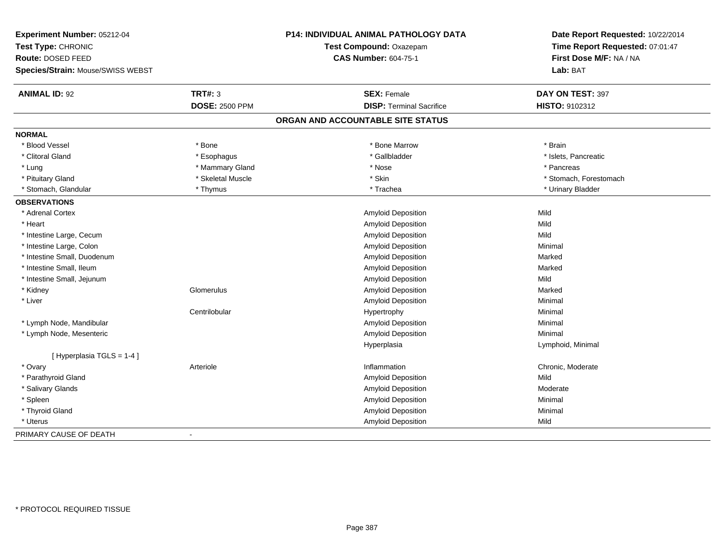| Experiment Number: 05212-04       |                       | <b>P14: INDIVIDUAL ANIMAL PATHOLOGY DATA</b> | Date Report Requested: 10/22/2014 |
|-----------------------------------|-----------------------|----------------------------------------------|-----------------------------------|
| Test Type: CHRONIC                |                       | Test Compound: Oxazepam                      | Time Report Requested: 07:01:47   |
| Route: DOSED FEED                 |                       | <b>CAS Number: 604-75-1</b>                  | First Dose M/F: NA / NA           |
| Species/Strain: Mouse/SWISS WEBST |                       |                                              | Lab: BAT                          |
| <b>ANIMAL ID: 92</b>              | <b>TRT#: 3</b>        | <b>SEX: Female</b>                           | DAY ON TEST: 397                  |
|                                   | <b>DOSE: 2500 PPM</b> | <b>DISP: Terminal Sacrifice</b>              | HISTO: 9102312                    |
|                                   |                       | ORGAN AND ACCOUNTABLE SITE STATUS            |                                   |
| <b>NORMAL</b>                     |                       |                                              |                                   |
| * Blood Vessel                    | * Bone                | * Bone Marrow                                | * Brain                           |
| * Clitoral Gland                  | * Esophagus           | * Gallbladder                                | * Islets, Pancreatic              |
| * Lung                            | * Mammary Gland       | * Nose                                       | * Pancreas                        |
| * Pituitary Gland                 | * Skeletal Muscle     | * Skin                                       | * Stomach, Forestomach            |
| * Stomach, Glandular              | * Thymus              | * Trachea                                    | * Urinary Bladder                 |
| <b>OBSERVATIONS</b>               |                       |                                              |                                   |
| * Adrenal Cortex                  |                       | Amyloid Deposition                           | Mild                              |
| * Heart                           |                       | Amyloid Deposition                           | Mild                              |
| * Intestine Large, Cecum          |                       | Amyloid Deposition                           | Mild                              |
| * Intestine Large, Colon          |                       | Amyloid Deposition                           | Minimal                           |
| * Intestine Small, Duodenum       |                       | Amyloid Deposition                           | Marked                            |
| * Intestine Small, Ileum          |                       | Amyloid Deposition                           | Marked                            |
| * Intestine Small, Jejunum        |                       | Amyloid Deposition                           | Mild                              |
| * Kidney                          | Glomerulus            | Amyloid Deposition                           | Marked                            |
| * Liver                           |                       | Amyloid Deposition                           | Minimal                           |
|                                   | Centrilobular         | Hypertrophy                                  | Minimal                           |
| * Lymph Node, Mandibular          |                       | Amyloid Deposition                           | Minimal                           |
| * Lymph Node, Mesenteric          |                       | Amyloid Deposition                           | Minimal                           |
|                                   |                       | Hyperplasia                                  | Lymphoid, Minimal                 |
| [ Hyperplasia TGLS = 1-4 ]        |                       |                                              |                                   |
| * Ovary                           | Arteriole             | Inflammation                                 | Chronic, Moderate                 |
| * Parathyroid Gland               |                       | Amyloid Deposition                           | Mild                              |
| * Salivary Glands                 |                       | Amyloid Deposition                           | Moderate                          |
| * Spleen                          |                       | Amyloid Deposition                           | Minimal                           |
| * Thyroid Gland                   |                       | Amyloid Deposition                           | Minimal                           |
| * Uterus                          |                       | Amyloid Deposition                           | Mild                              |
| PRIMARY CAUSE OF DEATH            | $\sim$                |                                              |                                   |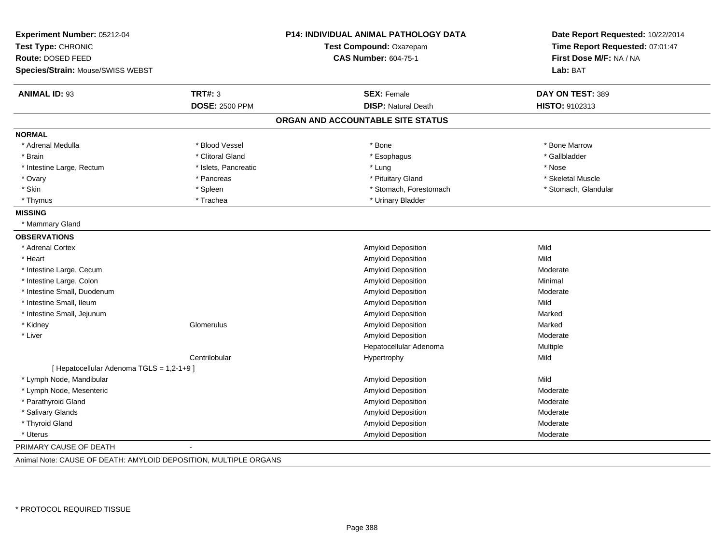| Experiment Number: 05212-04                                      |                       | <b>P14: INDIVIDUAL ANIMAL PATHOLOGY DATA</b> | Date Report Requested: 10/22/2014   |  |
|------------------------------------------------------------------|-----------------------|----------------------------------------------|-------------------------------------|--|
| Test Type: CHRONIC                                               |                       | Test Compound: Oxazepam                      | Time Report Requested: 07:01:47     |  |
| Route: DOSED FEED                                                |                       | <b>CAS Number: 604-75-1</b>                  | First Dose M/F: NA / NA<br>Lab: BAT |  |
| Species/Strain: Mouse/SWISS WEBST                                |                       |                                              |                                     |  |
| <b>ANIMAL ID: 93</b>                                             | <b>TRT#: 3</b>        | <b>SEX: Female</b>                           | DAY ON TEST: 389                    |  |
|                                                                  | <b>DOSE: 2500 PPM</b> | <b>DISP: Natural Death</b>                   | HISTO: 9102313                      |  |
|                                                                  |                       | ORGAN AND ACCOUNTABLE SITE STATUS            |                                     |  |
| <b>NORMAL</b>                                                    |                       |                                              |                                     |  |
| * Adrenal Medulla                                                | * Blood Vessel        | * Bone                                       | * Bone Marrow                       |  |
| * Brain                                                          | * Clitoral Gland      | * Esophagus                                  | * Gallbladder                       |  |
| * Intestine Large, Rectum                                        | * Islets, Pancreatic  | * Lung                                       | * Nose                              |  |
| * Ovary                                                          | * Pancreas            | * Pituitary Gland                            | * Skeletal Muscle                   |  |
| * Skin                                                           | * Spleen              | * Stomach, Forestomach                       | * Stomach, Glandular                |  |
| * Thymus                                                         | * Trachea             | * Urinary Bladder                            |                                     |  |
| <b>MISSING</b>                                                   |                       |                                              |                                     |  |
| * Mammary Gland                                                  |                       |                                              |                                     |  |
| <b>OBSERVATIONS</b>                                              |                       |                                              |                                     |  |
| * Adrenal Cortex                                                 |                       | Amyloid Deposition                           | Mild                                |  |
| * Heart                                                          |                       | Amyloid Deposition                           | Mild                                |  |
| * Intestine Large, Cecum                                         |                       | Amyloid Deposition                           | Moderate                            |  |
| * Intestine Large, Colon                                         |                       | Amyloid Deposition                           | Minimal                             |  |
| * Intestine Small. Duodenum                                      |                       | Amyloid Deposition                           | Moderate                            |  |
| * Intestine Small, Ileum                                         |                       | Amyloid Deposition                           | Mild                                |  |
| * Intestine Small, Jejunum                                       |                       | Amyloid Deposition                           | Marked                              |  |
| * Kidney                                                         | Glomerulus            | Amyloid Deposition                           | Marked                              |  |
| * Liver                                                          |                       | Amyloid Deposition                           | Moderate                            |  |
|                                                                  |                       | Hepatocellular Adenoma                       | Multiple                            |  |
|                                                                  | Centrilobular         | Hypertrophy                                  | Mild                                |  |
| [ Hepatocellular Adenoma TGLS = 1,2-1+9]                         |                       |                                              |                                     |  |
| * Lymph Node, Mandibular                                         |                       | Amyloid Deposition                           | Mild                                |  |
| * Lymph Node, Mesenteric                                         |                       | Amyloid Deposition                           | Moderate                            |  |
| * Parathyroid Gland                                              |                       | Amyloid Deposition                           | Moderate                            |  |
| * Salivary Glands                                                |                       | Amyloid Deposition                           | Moderate                            |  |
| * Thyroid Gland                                                  |                       | Amyloid Deposition                           | Moderate                            |  |
| * Uterus                                                         |                       | Amyloid Deposition                           | Moderate                            |  |
| PRIMARY CAUSE OF DEATH                                           |                       |                                              |                                     |  |
| Animal Note: CAUSE OF DEATH: AMYLOID DEPOSITION, MULTIPLE ORGANS |                       |                                              |                                     |  |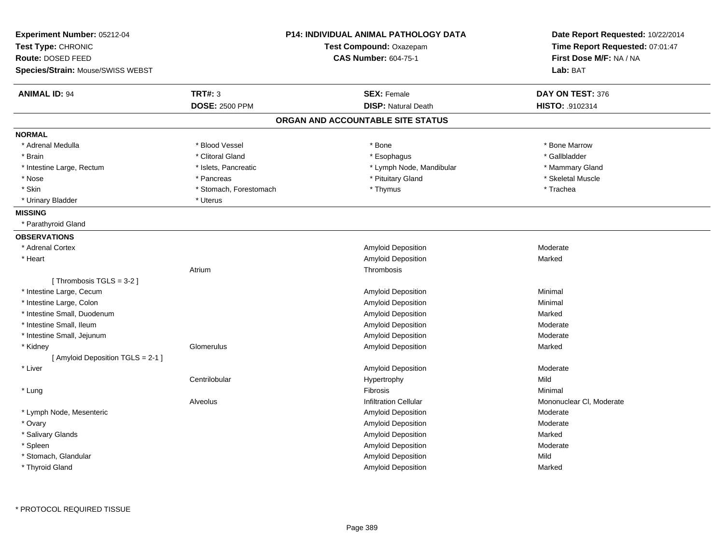| Experiment Number: 05212-04<br>Test Type: CHRONIC<br>Route: DOSED FEED<br>Species/Strain: Mouse/SWISS WEBST |                        | <b>P14: INDIVIDUAL ANIMAL PATHOLOGY DATA</b><br>Test Compound: Oxazepam<br><b>CAS Number: 604-75-1</b> | Date Report Requested: 10/22/2014<br>Time Report Requested: 07:01:47<br>First Dose M/F: NA / NA<br>Lab: BAT |
|-------------------------------------------------------------------------------------------------------------|------------------------|--------------------------------------------------------------------------------------------------------|-------------------------------------------------------------------------------------------------------------|
| <b>ANIMAL ID: 94</b>                                                                                        | <b>TRT#: 3</b>         | <b>SEX: Female</b>                                                                                     | DAY ON TEST: 376                                                                                            |
|                                                                                                             | <b>DOSE: 2500 PPM</b>  | <b>DISP: Natural Death</b>                                                                             | HISTO: .9102314                                                                                             |
|                                                                                                             |                        | ORGAN AND ACCOUNTABLE SITE STATUS                                                                      |                                                                                                             |
| <b>NORMAL</b>                                                                                               |                        |                                                                                                        |                                                                                                             |
| * Adrenal Medulla                                                                                           | * Blood Vessel         | * Bone                                                                                                 | * Bone Marrow                                                                                               |
| * Brain                                                                                                     | * Clitoral Gland       | * Esophagus                                                                                            | * Gallbladder                                                                                               |
| * Intestine Large, Rectum                                                                                   | * Islets, Pancreatic   | * Lymph Node, Mandibular                                                                               | * Mammary Gland                                                                                             |
| * Nose                                                                                                      | * Pancreas             | * Pituitary Gland                                                                                      | * Skeletal Muscle                                                                                           |
| * Skin                                                                                                      | * Stomach, Forestomach | * Thymus                                                                                               | * Trachea                                                                                                   |
| * Urinary Bladder                                                                                           | * Uterus               |                                                                                                        |                                                                                                             |
| <b>MISSING</b>                                                                                              |                        |                                                                                                        |                                                                                                             |
| * Parathyroid Gland                                                                                         |                        |                                                                                                        |                                                                                                             |
| <b>OBSERVATIONS</b>                                                                                         |                        |                                                                                                        |                                                                                                             |
| * Adrenal Cortex                                                                                            |                        | Amyloid Deposition                                                                                     | Moderate                                                                                                    |
| * Heart                                                                                                     |                        | Amyloid Deposition                                                                                     | Marked                                                                                                      |
|                                                                                                             | Atrium                 | Thrombosis                                                                                             |                                                                                                             |
| [Thrombosis TGLS = $3-2$ ]                                                                                  |                        |                                                                                                        |                                                                                                             |
| * Intestine Large, Cecum                                                                                    |                        | Amyloid Deposition                                                                                     | Minimal                                                                                                     |
| * Intestine Large, Colon                                                                                    |                        | Amyloid Deposition                                                                                     | Minimal                                                                                                     |
| * Intestine Small, Duodenum                                                                                 |                        | Amyloid Deposition                                                                                     | Marked                                                                                                      |
| * Intestine Small, Ileum                                                                                    |                        | Amyloid Deposition                                                                                     | Moderate                                                                                                    |
| * Intestine Small, Jejunum                                                                                  |                        | Amyloid Deposition                                                                                     | Moderate                                                                                                    |
| * Kidney                                                                                                    | Glomerulus             | Amyloid Deposition                                                                                     | Marked                                                                                                      |
| [ Amyloid Deposition TGLS = 2-1 ]                                                                           |                        |                                                                                                        |                                                                                                             |
| * Liver                                                                                                     |                        | Amyloid Deposition                                                                                     | Moderate                                                                                                    |
|                                                                                                             | Centrilobular          | Hypertrophy                                                                                            | Mild                                                                                                        |
| * Lung                                                                                                      |                        | Fibrosis                                                                                               | Minimal                                                                                                     |
|                                                                                                             | Alveolus               | <b>Infiltration Cellular</b>                                                                           | Mononuclear CI, Moderate                                                                                    |
| * Lymph Node, Mesenteric                                                                                    |                        | Amyloid Deposition                                                                                     | Moderate                                                                                                    |
| * Ovary                                                                                                     |                        | Amyloid Deposition                                                                                     | Moderate                                                                                                    |
| * Salivary Glands                                                                                           |                        | Amyloid Deposition                                                                                     | Marked                                                                                                      |
| * Spleen                                                                                                    |                        | Amyloid Deposition                                                                                     | Moderate                                                                                                    |
| * Stomach, Glandular                                                                                        |                        | Amyloid Deposition                                                                                     | Mild                                                                                                        |
| * Thyroid Gland                                                                                             |                        | Amyloid Deposition                                                                                     | Marked                                                                                                      |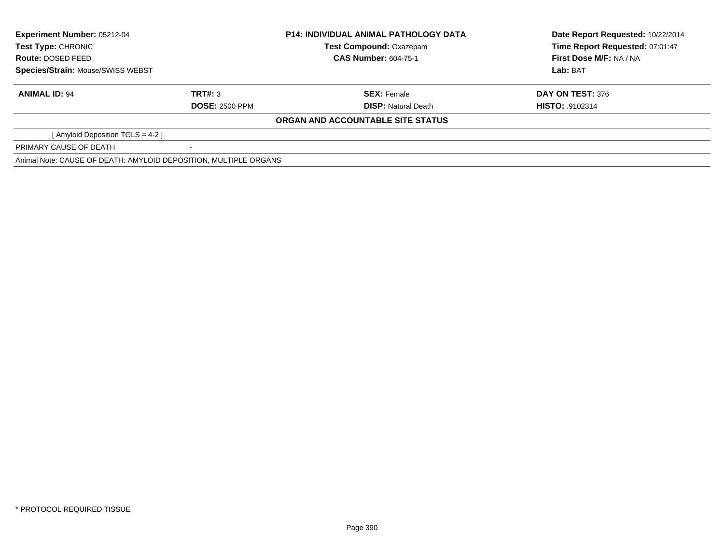| <b>Experiment Number: 05212-04</b><br><b>Test Type: CHRONIC</b><br>Route: DOSED FEED<br>Species/Strain: Mouse/SWISS WEBST |                       | <b>P14: INDIVIDUAL ANIMAL PATHOLOGY DATA</b> | Date Report Requested: 10/22/2014 |
|---------------------------------------------------------------------------------------------------------------------------|-----------------------|----------------------------------------------|-----------------------------------|
|                                                                                                                           |                       | <b>Test Compound: Oxazepam</b>               | Time Report Requested: 07:01:47   |
|                                                                                                                           |                       | <b>CAS Number: 604-75-1</b>                  | First Dose M/F: NA / NA           |
|                                                                                                                           |                       |                                              | Lab: BAT                          |
| <b>ANIMAL ID: 94</b>                                                                                                      | TRT#: 3               | <b>SEX:</b> Female                           | DAY ON TEST: 376                  |
|                                                                                                                           | <b>DOSE: 2500 PPM</b> | <b>DISP:</b> Natural Death                   | <b>HISTO: 9102314</b>             |
|                                                                                                                           |                       | ORGAN AND ACCOUNTABLE SITE STATUS            |                                   |
| [ Amyloid Deposition TGLS = 4-2 ]                                                                                         |                       |                                              |                                   |
| PRIMARY CAUSE OF DEATH                                                                                                    |                       |                                              |                                   |
| Animal Note: CAUSE OF DEATH: AMYLOID DEPOSITION, MULTIPLE ORGANS                                                          |                       |                                              |                                   |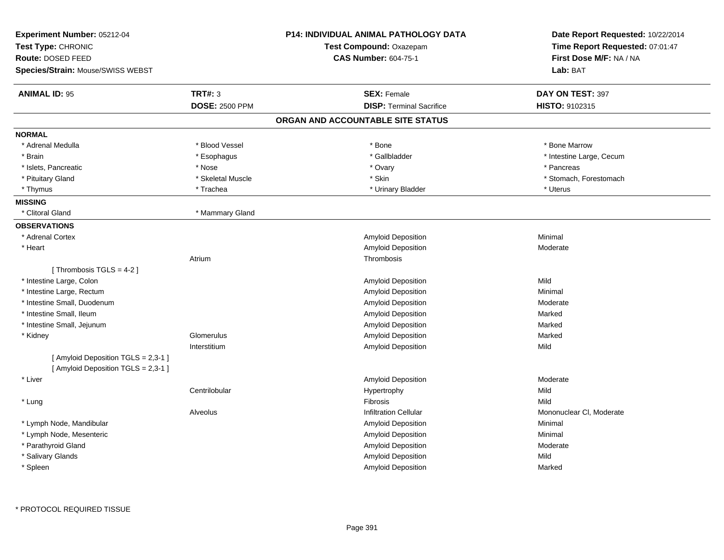| Experiment Number: 05212-04                                                |                       | <b>P14: INDIVIDUAL ANIMAL PATHOLOGY DATA</b> | Date Report Requested: 10/22/2014 |  |
|----------------------------------------------------------------------------|-----------------------|----------------------------------------------|-----------------------------------|--|
| Test Type: CHRONIC                                                         |                       | Test Compound: Oxazepam                      | Time Report Requested: 07:01:47   |  |
| Route: DOSED FEED                                                          |                       | <b>CAS Number: 604-75-1</b>                  | First Dose M/F: NA / NA           |  |
| Species/Strain: Mouse/SWISS WEBST                                          |                       |                                              | Lab: BAT                          |  |
| <b>ANIMAL ID: 95</b>                                                       | <b>TRT#: 3</b>        | <b>SEX: Female</b>                           | DAY ON TEST: 397                  |  |
|                                                                            | <b>DOSE: 2500 PPM</b> | <b>DISP: Terminal Sacrifice</b>              | HISTO: 9102315                    |  |
|                                                                            |                       | ORGAN AND ACCOUNTABLE SITE STATUS            |                                   |  |
| <b>NORMAL</b>                                                              |                       |                                              |                                   |  |
| * Adrenal Medulla                                                          | * Blood Vessel        | * Bone                                       | * Bone Marrow                     |  |
| * Brain                                                                    | * Esophagus           | * Gallbladder                                | * Intestine Large, Cecum          |  |
| * Islets, Pancreatic                                                       | * Nose                | * Ovary                                      | * Pancreas                        |  |
| * Pituitary Gland                                                          | * Skeletal Muscle     | * Skin                                       | * Stomach, Forestomach            |  |
| * Thymus                                                                   | * Trachea             | * Urinary Bladder                            | * Uterus                          |  |
| <b>MISSING</b>                                                             |                       |                                              |                                   |  |
| * Clitoral Gland                                                           | * Mammary Gland       |                                              |                                   |  |
| <b>OBSERVATIONS</b>                                                        |                       |                                              |                                   |  |
| * Adrenal Cortex                                                           |                       | Amyloid Deposition                           | Minimal                           |  |
| * Heart                                                                    |                       | Amyloid Deposition                           | Moderate                          |  |
|                                                                            | Atrium                | Thrombosis                                   |                                   |  |
| [Thrombosis TGLS = $4-2$ ]                                                 |                       |                                              |                                   |  |
| * Intestine Large, Colon                                                   |                       | Amyloid Deposition                           | Mild                              |  |
| * Intestine Large, Rectum                                                  |                       | Amyloid Deposition                           | Minimal                           |  |
| * Intestine Small, Duodenum                                                |                       | Amyloid Deposition                           | Moderate                          |  |
| * Intestine Small, Ileum                                                   |                       | Amyloid Deposition                           | Marked                            |  |
| * Intestine Small, Jejunum                                                 |                       | Amyloid Deposition                           | Marked                            |  |
| * Kidney                                                                   | Glomerulus            | Amyloid Deposition                           | Marked                            |  |
|                                                                            | Interstitium          | Amyloid Deposition                           | Mild                              |  |
| [ Amyloid Deposition TGLS = 2,3-1 ]<br>[ Amyloid Deposition TGLS = 2,3-1 ] |                       |                                              |                                   |  |
| * Liver                                                                    |                       | Amyloid Deposition                           | Moderate                          |  |
|                                                                            | Centrilobular         | Hypertrophy                                  | Mild                              |  |
| * Lung                                                                     |                       | Fibrosis                                     | Mild                              |  |
|                                                                            | Alveolus              | <b>Infiltration Cellular</b>                 | Mononuclear CI, Moderate          |  |
| * Lymph Node, Mandibular                                                   |                       | Amyloid Deposition                           | Minimal                           |  |
| * Lymph Node, Mesenteric                                                   |                       | Amyloid Deposition                           | Minimal                           |  |
| * Parathyroid Gland                                                        |                       | Amyloid Deposition                           | Moderate                          |  |
| * Salivary Glands                                                          |                       | Amyloid Deposition                           | Mild                              |  |
| * Spleen                                                                   |                       | Amyloid Deposition                           | Marked                            |  |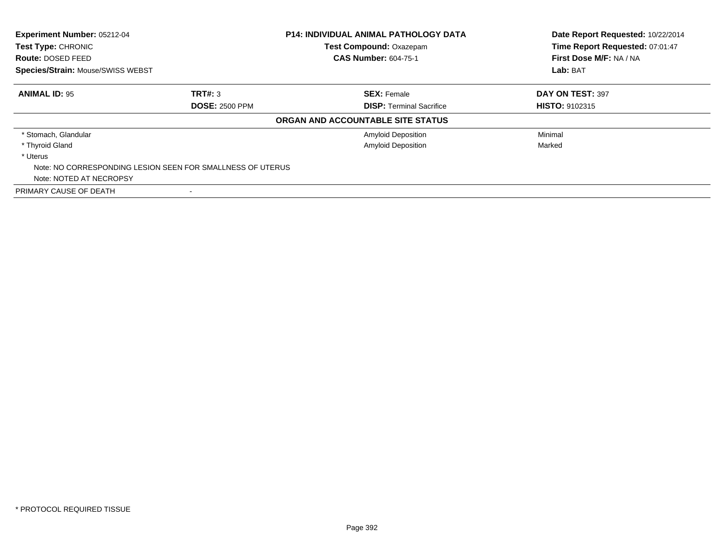| Experiment Number: 05212-04              |                                                            | <b>P14: INDIVIDUAL ANIMAL PATHOLOGY DATA</b> | Date Report Requested: 10/22/2014 |
|------------------------------------------|------------------------------------------------------------|----------------------------------------------|-----------------------------------|
| <b>Test Type: CHRONIC</b>                |                                                            | Test Compound: Oxazepam                      | Time Report Requested: 07:01:47   |
| Route: DOSED FEED                        |                                                            | <b>CAS Number: 604-75-1</b>                  | First Dose M/F: NA / NA           |
| <b>Species/Strain: Mouse/SWISS WEBST</b> |                                                            |                                              | Lab: BAT                          |
| <b>ANIMAL ID: 95</b>                     | TRT#: 3                                                    | <b>SEX: Female</b>                           | DAY ON TEST: 397                  |
|                                          | <b>DOSE: 2500 PPM</b>                                      | <b>DISP: Terminal Sacrifice</b>              | <b>HISTO: 9102315</b>             |
|                                          |                                                            | ORGAN AND ACCOUNTABLE SITE STATUS            |                                   |
| * Stomach, Glandular                     |                                                            | <b>Amyloid Deposition</b>                    | Minimal                           |
| * Thyroid Gland                          |                                                            | Amyloid Deposition                           | Marked                            |
| * Uterus                                 |                                                            |                                              |                                   |
|                                          | Note: NO CORRESPONDING LESION SEEN FOR SMALLNESS OF UTERUS |                                              |                                   |
| Note: NOTED AT NECROPSY                  |                                                            |                                              |                                   |
| PRIMARY CAUSE OF DEATH                   |                                                            |                                              |                                   |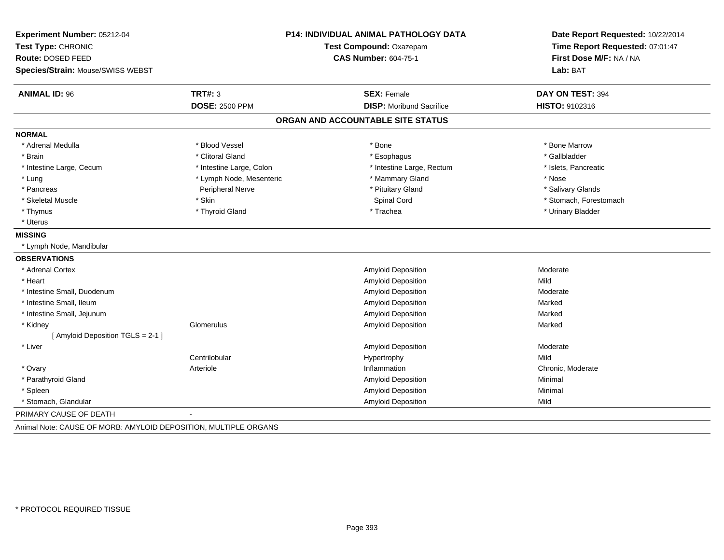| Experiment Number: 05212-04       |                          | <b>P14: INDIVIDUAL ANIMAL PATHOLOGY DATA</b> | Date Report Requested: 10/22/2014 |
|-----------------------------------|--------------------------|----------------------------------------------|-----------------------------------|
| Test Type: CHRONIC                |                          | Test Compound: Oxazepam                      | Time Report Requested: 07:01:47   |
| Route: DOSED FEED                 |                          | <b>CAS Number: 604-75-1</b>                  | First Dose M/F: NA / NA           |
| Species/Strain: Mouse/SWISS WEBST |                          |                                              | Lab: BAT                          |
| <b>ANIMAL ID: 96</b>              | TRT#: 3                  | <b>SEX: Female</b>                           | DAY ON TEST: 394                  |
|                                   | <b>DOSE: 2500 PPM</b>    | <b>DISP:</b> Moribund Sacrifice              | HISTO: 9102316                    |
|                                   |                          | ORGAN AND ACCOUNTABLE SITE STATUS            |                                   |
| <b>NORMAL</b>                     |                          |                                              |                                   |
| * Adrenal Medulla                 | * Blood Vessel           | * Bone                                       | * Bone Marrow                     |
| * Brain                           | * Clitoral Gland         | * Esophagus                                  | * Gallbladder                     |
| * Intestine Large, Cecum          | * Intestine Large, Colon | * Intestine Large, Rectum                    | * Islets, Pancreatic              |
| * Lung                            | * Lymph Node, Mesenteric | * Mammary Gland                              | * Nose                            |
| * Pancreas                        | Peripheral Nerve         | * Pituitary Gland                            | * Salivary Glands                 |
| * Skeletal Muscle                 | * Skin                   | Spinal Cord                                  | * Stomach, Forestomach            |
| * Thymus                          | * Thyroid Gland          | * Trachea                                    | * Urinary Bladder                 |
| * Uterus                          |                          |                                              |                                   |
| <b>MISSING</b>                    |                          |                                              |                                   |
| * Lymph Node, Mandibular          |                          |                                              |                                   |
| <b>OBSERVATIONS</b>               |                          |                                              |                                   |
| * Adrenal Cortex                  |                          | Amyloid Deposition                           | Moderate                          |
| * Heart                           |                          | <b>Amyloid Deposition</b>                    | Mild                              |
| * Intestine Small, Duodenum       |                          | Amyloid Deposition                           | Moderate                          |
| * Intestine Small, Ileum          |                          | Amyloid Deposition                           | Marked                            |
| * Intestine Small, Jejunum        |                          | Amyloid Deposition                           | Marked                            |
| * Kidney                          | Glomerulus               | Amyloid Deposition                           | Marked                            |
| [ Amyloid Deposition TGLS = 2-1 ] |                          |                                              |                                   |
| * Liver                           |                          | Amyloid Deposition                           | Moderate                          |
|                                   | Centrilobular            | Hypertrophy                                  | Mild                              |
| * Ovary                           | Arteriole                | Inflammation                                 | Chronic, Moderate                 |
| * Parathyroid Gland               |                          | Amyloid Deposition                           | Minimal                           |
| * Spleen                          |                          | Amyloid Deposition                           | Minimal                           |
| * Stomach, Glandular              |                          | Amyloid Deposition                           | Mild                              |
| PRIMARY CAUSE OF DEATH            |                          |                                              |                                   |

Animal Note: CAUSE OF MORB: AMYLOID DEPOSITION, MULTIPLE ORGANS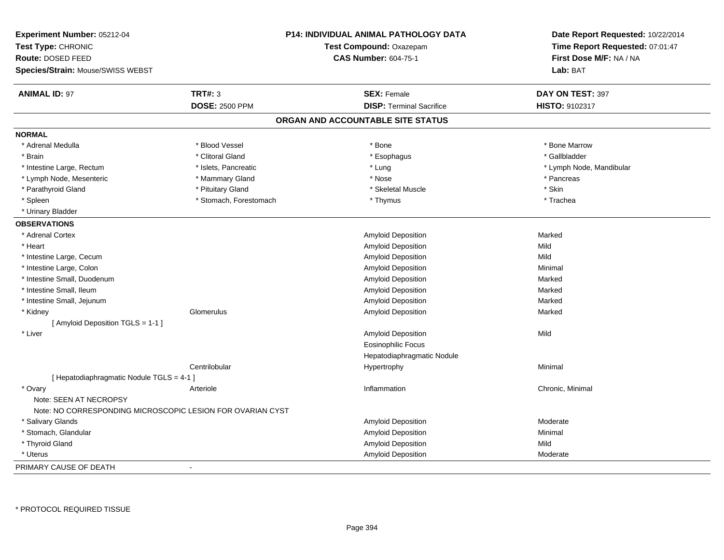| Experiment Number: 05212-04<br>Test Type: CHRONIC<br>Route: DOSED FEED<br>Species/Strain: Mouse/SWISS WEBST |                        | <b>P14: INDIVIDUAL ANIMAL PATHOLOGY DATA</b><br>Test Compound: Oxazepam<br><b>CAS Number: 604-75-1</b> | Date Report Requested: 10/22/2014<br>Time Report Requested: 07:01:47<br>First Dose M/F: NA / NA<br>Lab: BAT |
|-------------------------------------------------------------------------------------------------------------|------------------------|--------------------------------------------------------------------------------------------------------|-------------------------------------------------------------------------------------------------------------|
| <b>ANIMAL ID: 97</b>                                                                                        | <b>TRT#: 3</b>         | <b>SEX: Female</b>                                                                                     | DAY ON TEST: 397                                                                                            |
|                                                                                                             | <b>DOSE: 2500 PPM</b>  | <b>DISP: Terminal Sacrifice</b>                                                                        | HISTO: 9102317                                                                                              |
|                                                                                                             |                        | ORGAN AND ACCOUNTABLE SITE STATUS                                                                      |                                                                                                             |
| <b>NORMAL</b>                                                                                               |                        |                                                                                                        |                                                                                                             |
| * Adrenal Medulla                                                                                           | * Blood Vessel         | * Bone                                                                                                 | * Bone Marrow                                                                                               |
| * Brain                                                                                                     | * Clitoral Gland       | * Esophagus                                                                                            | * Gallbladder                                                                                               |
| * Intestine Large, Rectum                                                                                   | * Islets, Pancreatic   | * Lung                                                                                                 | * Lymph Node, Mandibular                                                                                    |
| * Lymph Node, Mesenteric                                                                                    | * Mammary Gland        | * Nose                                                                                                 | * Pancreas                                                                                                  |
| * Parathyroid Gland                                                                                         | * Pituitary Gland      | * Skeletal Muscle                                                                                      | * Skin                                                                                                      |
| * Spleen                                                                                                    | * Stomach, Forestomach | * Thymus                                                                                               | * Trachea                                                                                                   |
| * Urinary Bladder                                                                                           |                        |                                                                                                        |                                                                                                             |
| <b>OBSERVATIONS</b>                                                                                         |                        |                                                                                                        |                                                                                                             |
| * Adrenal Cortex                                                                                            |                        | Amyloid Deposition                                                                                     | Marked                                                                                                      |
| * Heart                                                                                                     |                        | Amyloid Deposition                                                                                     | Mild                                                                                                        |
| * Intestine Large, Cecum                                                                                    |                        | <b>Amyloid Deposition</b>                                                                              | Mild                                                                                                        |
| * Intestine Large, Colon                                                                                    |                        | Amyloid Deposition                                                                                     | Minimal                                                                                                     |
| * Intestine Small, Duodenum                                                                                 |                        | Amyloid Deposition                                                                                     | Marked                                                                                                      |
| * Intestine Small, Ileum                                                                                    |                        | Amyloid Deposition                                                                                     | Marked                                                                                                      |
| * Intestine Small, Jejunum                                                                                  |                        | Amyloid Deposition                                                                                     | Marked                                                                                                      |
| * Kidney                                                                                                    | Glomerulus             | Amyloid Deposition                                                                                     | Marked                                                                                                      |
| [ Amyloid Deposition TGLS = 1-1 ]                                                                           |                        |                                                                                                        |                                                                                                             |
| * Liver                                                                                                     |                        | Amyloid Deposition                                                                                     | Mild                                                                                                        |
|                                                                                                             |                        | <b>Eosinophilic Focus</b>                                                                              |                                                                                                             |
|                                                                                                             |                        | Hepatodiaphragmatic Nodule                                                                             |                                                                                                             |
|                                                                                                             | Centrilobular          | Hypertrophy                                                                                            | Minimal                                                                                                     |
| [ Hepatodiaphragmatic Nodule TGLS = 4-1 ]                                                                   |                        |                                                                                                        |                                                                                                             |
| * Ovary                                                                                                     | Arteriole              | Inflammation                                                                                           | Chronic, Minimal                                                                                            |
| Note: SEEN AT NECROPSY                                                                                      |                        |                                                                                                        |                                                                                                             |
| Note: NO CORRESPONDING MICROSCOPIC LESION FOR OVARIAN CYST                                                  |                        |                                                                                                        |                                                                                                             |
| * Salivary Glands                                                                                           |                        | <b>Amyloid Deposition</b>                                                                              | Moderate                                                                                                    |
| * Stomach, Glandular                                                                                        |                        | Amyloid Deposition                                                                                     | Minimal                                                                                                     |
| * Thyroid Gland                                                                                             |                        | Amyloid Deposition                                                                                     | Mild                                                                                                        |
| * Uterus                                                                                                    |                        | Amyloid Deposition                                                                                     | Moderate                                                                                                    |
| PRIMARY CAUSE OF DEATH                                                                                      |                        |                                                                                                        |                                                                                                             |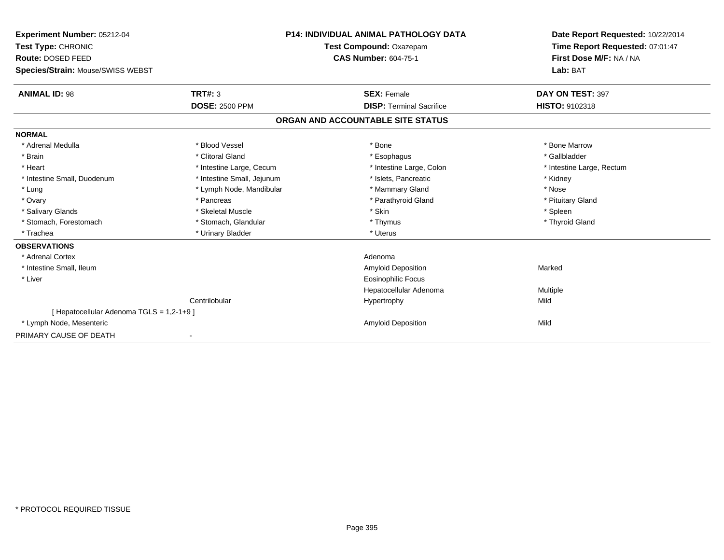| Experiment Number: 05212-04              |                            | <b>P14: INDIVIDUAL ANIMAL PATHOLOGY DATA</b> | Date Report Requested: 10/22/2014 |  |
|------------------------------------------|----------------------------|----------------------------------------------|-----------------------------------|--|
| Test Type: CHRONIC                       | Test Compound: Oxazepam    |                                              | Time Report Requested: 07:01:47   |  |
| <b>Route: DOSED FEED</b>                 |                            | <b>CAS Number: 604-75-1</b>                  | First Dose M/F: NA / NA           |  |
| Species/Strain: Mouse/SWISS WEBST        |                            |                                              | Lab: BAT                          |  |
| <b>ANIMAL ID: 98</b>                     | TRT#: 3                    | <b>SEX: Female</b>                           | DAY ON TEST: 397                  |  |
|                                          | <b>DOSE: 2500 PPM</b>      | <b>DISP: Terminal Sacrifice</b>              | <b>HISTO: 9102318</b>             |  |
|                                          |                            | ORGAN AND ACCOUNTABLE SITE STATUS            |                                   |  |
| <b>NORMAL</b>                            |                            |                                              |                                   |  |
| * Adrenal Medulla                        | * Blood Vessel             | * Bone                                       | * Bone Marrow                     |  |
| * Brain                                  | * Clitoral Gland           | * Esophagus                                  | * Gallbladder                     |  |
| * Heart                                  | * Intestine Large, Cecum   | * Intestine Large, Colon                     | * Intestine Large, Rectum         |  |
| * Intestine Small, Duodenum              | * Intestine Small, Jejunum | * Islets, Pancreatic                         | * Kidney                          |  |
| * Lung                                   | * Lymph Node, Mandibular   | * Mammary Gland                              | * Nose                            |  |
| * Ovary                                  | * Pancreas                 | * Parathyroid Gland                          | * Pituitary Gland                 |  |
| * Salivary Glands                        | * Skeletal Muscle          | * Skin                                       | * Spleen                          |  |
| * Stomach, Forestomach                   | * Stomach, Glandular       | * Thymus                                     | * Thyroid Gland                   |  |
| * Trachea                                | * Urinary Bladder          | * Uterus                                     |                                   |  |
| <b>OBSERVATIONS</b>                      |                            |                                              |                                   |  |
| * Adrenal Cortex                         |                            | Adenoma                                      |                                   |  |
| * Intestine Small, Ileum                 |                            | <b>Amyloid Deposition</b>                    | Marked                            |  |
| * Liver                                  |                            | <b>Eosinophilic Focus</b>                    |                                   |  |
|                                          |                            | Hepatocellular Adenoma                       | Multiple                          |  |
|                                          | Centrilobular              | Hypertrophy                                  | Mild                              |  |
| [ Hepatocellular Adenoma TGLS = 1,2-1+9] |                            |                                              |                                   |  |
| * Lymph Node, Mesenteric                 |                            | <b>Amyloid Deposition</b>                    | Mild                              |  |
| PRIMARY CAUSE OF DEATH                   |                            |                                              |                                   |  |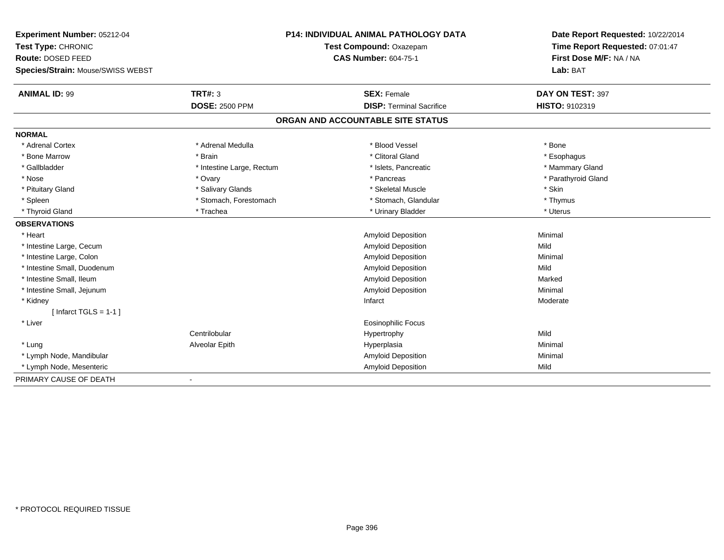| Experiment Number: 05212-04       |                           | <b>P14: INDIVIDUAL ANIMAL PATHOLOGY DATA</b> | Date Report Requested: 10/22/2014 |  |
|-----------------------------------|---------------------------|----------------------------------------------|-----------------------------------|--|
| Test Type: CHRONIC                |                           | Test Compound: Oxazepam                      | Time Report Requested: 07:01:47   |  |
| <b>Route: DOSED FEED</b>          |                           | <b>CAS Number: 604-75-1</b>                  | First Dose M/F: NA / NA           |  |
| Species/Strain: Mouse/SWISS WEBST |                           |                                              | Lab: BAT                          |  |
| <b>ANIMAL ID: 99</b>              | <b>TRT#: 3</b>            | <b>SEX: Female</b>                           | DAY ON TEST: 397                  |  |
|                                   | <b>DOSE: 2500 PPM</b>     | <b>DISP: Terminal Sacrifice</b>              | HISTO: 9102319                    |  |
|                                   |                           | ORGAN AND ACCOUNTABLE SITE STATUS            |                                   |  |
| <b>NORMAL</b>                     |                           |                                              |                                   |  |
| * Adrenal Cortex                  | * Adrenal Medulla         | * Blood Vessel                               | * Bone                            |  |
| * Bone Marrow                     | * Brain                   | * Clitoral Gland                             | * Esophagus                       |  |
| * Gallbladder                     | * Intestine Large, Rectum | * Islets, Pancreatic                         | * Mammary Gland                   |  |
| * Nose                            | * Ovary                   | * Pancreas                                   | * Parathyroid Gland               |  |
| * Pituitary Gland                 | * Salivary Glands         | * Skeletal Muscle                            | * Skin                            |  |
| * Spleen                          | * Stomach, Forestomach    | * Stomach, Glandular                         | * Thymus                          |  |
| * Thyroid Gland                   | * Trachea                 | * Urinary Bladder                            | * Uterus                          |  |
| <b>OBSERVATIONS</b>               |                           |                                              |                                   |  |
| * Heart                           |                           | Amyloid Deposition                           | Minimal                           |  |
| * Intestine Large, Cecum          |                           | <b>Amyloid Deposition</b>                    | Mild                              |  |
| * Intestine Large, Colon          |                           | Amyloid Deposition                           | Minimal                           |  |
| * Intestine Small, Duodenum       |                           | <b>Amyloid Deposition</b>                    | Mild                              |  |
| * Intestine Small, Ileum          |                           | Amyloid Deposition                           | Marked                            |  |
| * Intestine Small, Jejunum        |                           | <b>Amyloid Deposition</b>                    | Minimal                           |  |
| * Kidney                          |                           | Infarct                                      | Moderate                          |  |
| [Infarct TGLS = $1-1$ ]           |                           |                                              |                                   |  |
| * Liver                           |                           | Eosinophilic Focus                           |                                   |  |
|                                   | Centrilobular             | Hypertrophy                                  | Mild                              |  |
| * Lung                            | Alveolar Epith            | Hyperplasia                                  | Minimal                           |  |
| * Lymph Node, Mandibular          |                           | Amyloid Deposition                           | Minimal                           |  |
| * Lymph Node, Mesenteric          |                           | <b>Amyloid Deposition</b>                    | Mild                              |  |
| PRIMARY CAUSE OF DEATH            |                           |                                              |                                   |  |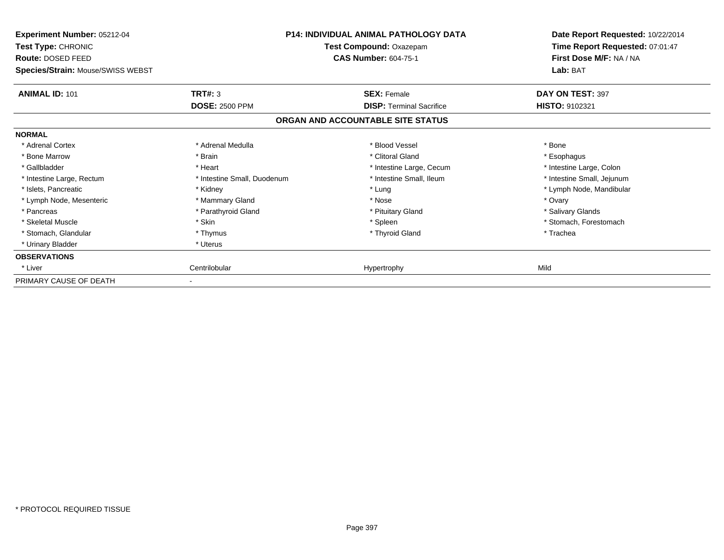| <b>Experiment Number: 05212-04</b><br>Test Type: CHRONIC<br>Route: DOSED FEED<br>Species/Strain: Mouse/SWISS WEBST |                             | <b>P14: INDIVIDUAL ANIMAL PATHOLOGY DATA</b><br>Test Compound: Oxazepam<br><b>CAS Number: 604-75-1</b> | Date Report Requested: 10/22/2014<br>Time Report Requested: 07:01:47<br>First Dose M/F: NA / NA<br>Lab: BAT |
|--------------------------------------------------------------------------------------------------------------------|-----------------------------|--------------------------------------------------------------------------------------------------------|-------------------------------------------------------------------------------------------------------------|
| <b>ANIMAL ID: 101</b>                                                                                              | TRT#: 3                     | <b>SEX: Female</b>                                                                                     | DAY ON TEST: 397                                                                                            |
|                                                                                                                    | <b>DOSE: 2500 PPM</b>       | <b>DISP: Terminal Sacrifice</b>                                                                        | HISTO: 9102321                                                                                              |
|                                                                                                                    |                             | ORGAN AND ACCOUNTABLE SITE STATUS                                                                      |                                                                                                             |
| <b>NORMAL</b>                                                                                                      |                             |                                                                                                        |                                                                                                             |
| * Adrenal Cortex                                                                                                   | * Adrenal Medulla           | * Blood Vessel                                                                                         | * Bone                                                                                                      |
| * Bone Marrow                                                                                                      | * Brain                     | * Clitoral Gland                                                                                       | * Esophagus                                                                                                 |
| * Gallbladder                                                                                                      | * Heart                     | * Intestine Large, Cecum                                                                               | * Intestine Large, Colon                                                                                    |
| * Intestine Large, Rectum                                                                                          | * Intestine Small, Duodenum | * Intestine Small, Ileum                                                                               | * Intestine Small, Jejunum                                                                                  |
| * Islets, Pancreatic                                                                                               | * Kidney                    | * Lung                                                                                                 | * Lymph Node, Mandibular                                                                                    |
| * Lymph Node, Mesenteric                                                                                           | * Mammary Gland             | * Nose                                                                                                 | * Ovary                                                                                                     |
| * Pancreas                                                                                                         | * Parathyroid Gland         | * Pituitary Gland                                                                                      | * Salivary Glands                                                                                           |
| * Skeletal Muscle                                                                                                  | * Skin                      | * Spleen                                                                                               | * Stomach, Forestomach                                                                                      |
| * Stomach, Glandular                                                                                               | * Thymus                    | * Thyroid Gland                                                                                        | * Trachea                                                                                                   |
| * Urinary Bladder                                                                                                  | * Uterus                    |                                                                                                        |                                                                                                             |
| <b>OBSERVATIONS</b>                                                                                                |                             |                                                                                                        |                                                                                                             |
| * Liver                                                                                                            | Centrilobular               | Hypertrophy                                                                                            | Mild                                                                                                        |
| PRIMARY CAUSE OF DEATH                                                                                             |                             |                                                                                                        |                                                                                                             |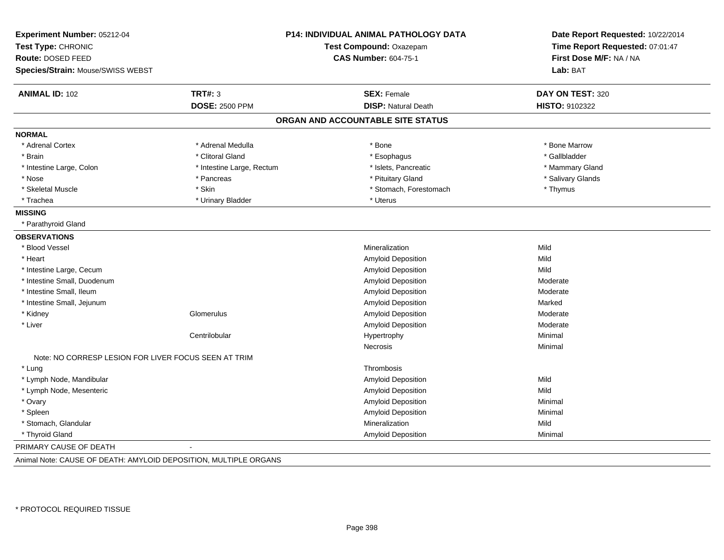| Experiment Number: 05212-04                                      |                           | P14: INDIVIDUAL ANIMAL PATHOLOGY DATA | Date Report Requested: 10/22/2014<br>Time Report Requested: 07:01:47<br>First Dose M/F: NA / NA |
|------------------------------------------------------------------|---------------------------|---------------------------------------|-------------------------------------------------------------------------------------------------|
| Test Type: CHRONIC                                               |                           | Test Compound: Oxazepam               |                                                                                                 |
| Route: DOSED FEED                                                |                           | <b>CAS Number: 604-75-1</b>           |                                                                                                 |
| Species/Strain: Mouse/SWISS WEBST                                |                           |                                       | Lab: BAT                                                                                        |
| <b>ANIMAL ID: 102</b>                                            | <b>TRT#: 3</b>            | <b>SEX: Female</b>                    | DAY ON TEST: 320                                                                                |
|                                                                  | <b>DOSE: 2500 PPM</b>     | <b>DISP: Natural Death</b>            | HISTO: 9102322                                                                                  |
|                                                                  |                           | ORGAN AND ACCOUNTABLE SITE STATUS     |                                                                                                 |
| <b>NORMAL</b>                                                    |                           |                                       |                                                                                                 |
| * Adrenal Cortex                                                 | * Adrenal Medulla         | * Bone                                | * Bone Marrow                                                                                   |
| * Brain                                                          | * Clitoral Gland          | * Esophagus                           | * Gallbladder                                                                                   |
| * Intestine Large, Colon                                         | * Intestine Large, Rectum | * Islets, Pancreatic                  | * Mammary Gland                                                                                 |
| * Nose                                                           | * Pancreas                | * Pituitary Gland                     | * Salivary Glands                                                                               |
| * Skeletal Muscle                                                | * Skin                    | * Stomach, Forestomach                | * Thymus                                                                                        |
| * Trachea                                                        | * Urinary Bladder         | * Uterus                              |                                                                                                 |
| <b>MISSING</b>                                                   |                           |                                       |                                                                                                 |
| * Parathyroid Gland                                              |                           |                                       |                                                                                                 |
| <b>OBSERVATIONS</b>                                              |                           |                                       |                                                                                                 |
| * Blood Vessel                                                   |                           | Mineralization                        | Mild                                                                                            |
| * Heart                                                          |                           | Amyloid Deposition                    | Mild                                                                                            |
| * Intestine Large, Cecum                                         |                           | Amyloid Deposition                    | Mild                                                                                            |
| * Intestine Small, Duodenum                                      |                           | Amyloid Deposition                    | Moderate                                                                                        |
| * Intestine Small, Ileum                                         |                           | <b>Amyloid Deposition</b>             | Moderate                                                                                        |
| * Intestine Small, Jejunum                                       |                           | Amyloid Deposition                    | Marked                                                                                          |
| * Kidney                                                         | Glomerulus                | Amyloid Deposition                    | Moderate                                                                                        |
| * Liver                                                          |                           | Amyloid Deposition                    | Moderate                                                                                        |
|                                                                  | Centrilobular             | Hypertrophy                           | Minimal                                                                                         |
|                                                                  |                           | <b>Necrosis</b>                       | Minimal                                                                                         |
| Note: NO CORRESP LESION FOR LIVER FOCUS SEEN AT TRIM             |                           |                                       |                                                                                                 |
| * Lung                                                           |                           | Thrombosis                            |                                                                                                 |
| * Lymph Node, Mandibular                                         |                           | <b>Amyloid Deposition</b>             | Mild                                                                                            |
| * Lymph Node, Mesenteric                                         |                           | Amyloid Deposition                    | Mild                                                                                            |
| * Ovary                                                          |                           | Amyloid Deposition                    | Minimal                                                                                         |
| * Spleen                                                         |                           | Amyloid Deposition                    | Minimal                                                                                         |
| * Stomach, Glandular                                             |                           | Mineralization                        | Mild                                                                                            |
| * Thyroid Gland                                                  |                           | <b>Amyloid Deposition</b>             | Minimal                                                                                         |
| PRIMARY CAUSE OF DEATH                                           |                           |                                       |                                                                                                 |
| Animal Note: CAUSE OF DEATH: AMYLOID DEPOSITION, MULTIPLE ORGANS |                           |                                       |                                                                                                 |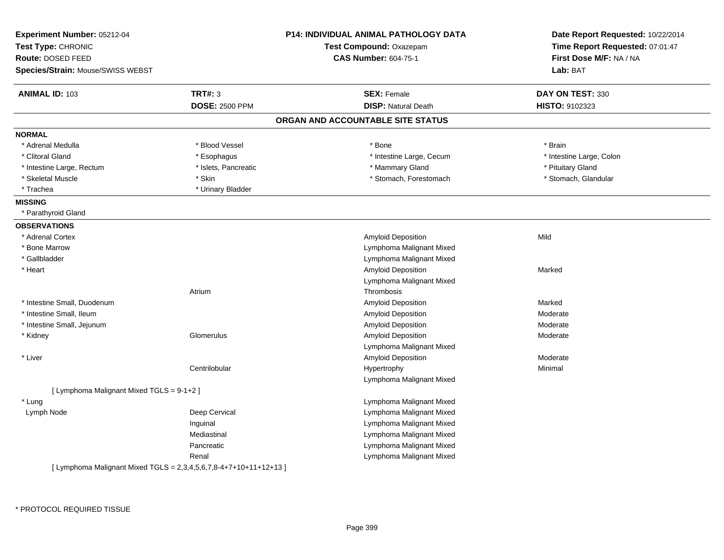| Experiment Number: 05212-04<br>Test Type: CHRONIC<br>Route: DOSED FEED |                       | <b>P14: INDIVIDUAL ANIMAL PATHOLOGY DATA</b><br>Test Compound: Oxazepam<br><b>CAS Number: 604-75-1</b> | Date Report Requested: 10/22/2014<br>Time Report Requested: 07:01:47<br>First Dose M/F: NA / NA |
|------------------------------------------------------------------------|-----------------------|--------------------------------------------------------------------------------------------------------|-------------------------------------------------------------------------------------------------|
| Species/Strain: Mouse/SWISS WEBST                                      |                       |                                                                                                        | Lab: BAT                                                                                        |
| <b>ANIMAL ID: 103</b>                                                  | <b>TRT#: 3</b>        | <b>SEX: Female</b>                                                                                     | DAY ON TEST: 330                                                                                |
|                                                                        | <b>DOSE: 2500 PPM</b> | <b>DISP: Natural Death</b>                                                                             | HISTO: 9102323                                                                                  |
|                                                                        |                       | ORGAN AND ACCOUNTABLE SITE STATUS                                                                      |                                                                                                 |
| <b>NORMAL</b>                                                          |                       |                                                                                                        |                                                                                                 |
| * Adrenal Medulla                                                      | * Blood Vessel        | * Bone                                                                                                 | * Brain                                                                                         |
| * Clitoral Gland                                                       | * Esophagus           | * Intestine Large, Cecum                                                                               | * Intestine Large, Colon                                                                        |
| * Intestine Large, Rectum                                              | * Islets, Pancreatic  | * Mammary Gland                                                                                        | * Pituitary Gland                                                                               |
| * Skeletal Muscle                                                      | * Skin                | * Stomach, Forestomach                                                                                 | * Stomach, Glandular                                                                            |
| * Trachea                                                              | * Urinary Bladder     |                                                                                                        |                                                                                                 |
| <b>MISSING</b>                                                         |                       |                                                                                                        |                                                                                                 |
| * Parathyroid Gland                                                    |                       |                                                                                                        |                                                                                                 |
| <b>OBSERVATIONS</b>                                                    |                       |                                                                                                        |                                                                                                 |
| * Adrenal Cortex                                                       |                       | Amyloid Deposition                                                                                     | Mild                                                                                            |
| * Bone Marrow                                                          |                       | Lymphoma Malignant Mixed                                                                               |                                                                                                 |
| * Gallbladder                                                          |                       | Lymphoma Malignant Mixed                                                                               |                                                                                                 |
| * Heart                                                                |                       | Amyloid Deposition                                                                                     | Marked                                                                                          |
|                                                                        |                       | Lymphoma Malignant Mixed                                                                               |                                                                                                 |
|                                                                        | Atrium                | Thrombosis                                                                                             |                                                                                                 |
| * Intestine Small, Duodenum                                            |                       | Amyloid Deposition                                                                                     | Marked                                                                                          |
| * Intestine Small, Ileum                                               |                       | Amyloid Deposition                                                                                     | Moderate                                                                                        |
| * Intestine Small, Jejunum                                             |                       | Amyloid Deposition                                                                                     | Moderate                                                                                        |
| * Kidney                                                               | Glomerulus            | Amyloid Deposition                                                                                     | Moderate                                                                                        |
|                                                                        |                       | Lymphoma Malignant Mixed                                                                               |                                                                                                 |
| * Liver                                                                |                       | Amyloid Deposition                                                                                     | Moderate                                                                                        |
|                                                                        | Centrilobular         | Hypertrophy                                                                                            | Minimal                                                                                         |
|                                                                        |                       | Lymphoma Malignant Mixed                                                                               |                                                                                                 |
| [ Lymphoma Malignant Mixed TGLS = 9-1+2 ]                              |                       |                                                                                                        |                                                                                                 |
| * Lung                                                                 |                       | Lymphoma Malignant Mixed                                                                               |                                                                                                 |
| Lymph Node                                                             | Deep Cervical         | Lymphoma Malignant Mixed                                                                               |                                                                                                 |
|                                                                        | Inguinal              | Lymphoma Malignant Mixed                                                                               |                                                                                                 |
|                                                                        | Mediastinal           | Lymphoma Malignant Mixed                                                                               |                                                                                                 |
|                                                                        | Pancreatic            | Lymphoma Malignant Mixed                                                                               |                                                                                                 |
|                                                                        | Renal                 | Lymphoma Malignant Mixed                                                                               |                                                                                                 |
| [ Lymphoma Malignant Mixed TGLS = 2,3,4,5,6,7,8-4+7+10+11+12+13 ]      |                       |                                                                                                        |                                                                                                 |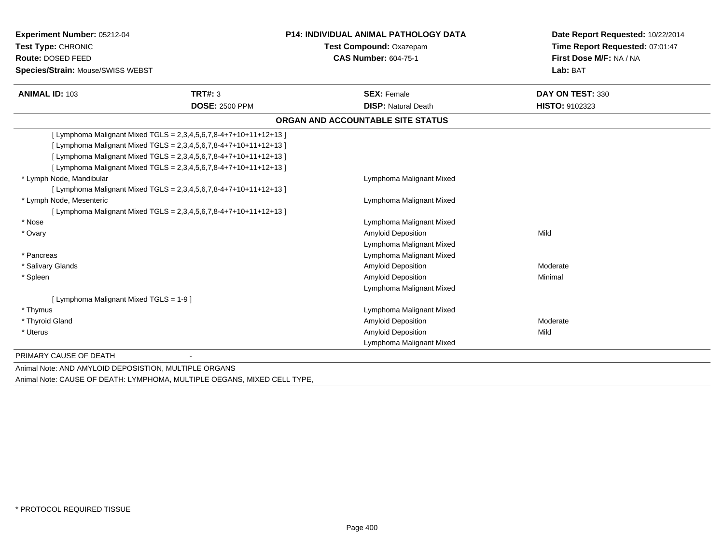| Experiment Number: 05212-04                           |                                                                     | <b>P14: INDIVIDUAL ANIMAL PATHOLOGY DATA</b> | Date Report Requested: 10/22/2014                          |  |
|-------------------------------------------------------|---------------------------------------------------------------------|----------------------------------------------|------------------------------------------------------------|--|
| Test Type: CHRONIC                                    |                                                                     | Test Compound: Oxazepam                      | Time Report Requested: 07:01:47<br>First Dose M/F: NA / NA |  |
| Route: DOSED FEED                                     |                                                                     | <b>CAS Number: 604-75-1</b>                  |                                                            |  |
| <b>Species/Strain: Mouse/SWISS WEBST</b>              |                                                                     |                                              | Lab: BAT                                                   |  |
| <b>ANIMAL ID: 103</b>                                 | TRT#: 3                                                             | <b>SEX: Female</b>                           | DAY ON TEST: 330                                           |  |
|                                                       | <b>DOSE: 2500 PPM</b>                                               | <b>DISP: Natural Death</b>                   | HISTO: 9102323                                             |  |
|                                                       |                                                                     | ORGAN AND ACCOUNTABLE SITE STATUS            |                                                            |  |
|                                                       | [ Lymphoma Malignant Mixed TGLS = 2,3,4,5,6,7,8-4+7+10+11+12+13 ]   |                                              |                                                            |  |
|                                                       | [ Lymphoma Malignant Mixed TGLS = 2,3,4,5,6,7,8-4+7+10+11+12+13 ]   |                                              |                                                            |  |
|                                                       | [ Lymphoma Malignant Mixed TGLS = 2,3,4,5,6,7,8-4+7+10+11+12+13 ]   |                                              |                                                            |  |
|                                                       | [ Lymphoma Malignant Mixed TGLS = 2,3,4,5,6,7,8-4+7+10+11+12+13 ]   |                                              |                                                            |  |
| * Lymph Node, Mandibular                              |                                                                     | Lymphoma Malignant Mixed                     |                                                            |  |
|                                                       | [ Lymphoma Malignant Mixed TGLS = $2,3,4,5,6,7,8-4+7+10+11+12+13$ ] |                                              |                                                            |  |
| * Lymph Node, Mesenteric                              |                                                                     | Lymphoma Malignant Mixed                     |                                                            |  |
|                                                       | [ Lymphoma Malignant Mixed TGLS = 2,3,4,5,6,7,8-4+7+10+11+12+13 ]   |                                              |                                                            |  |
| * Nose                                                |                                                                     | Lymphoma Malignant Mixed                     |                                                            |  |
| * Ovary                                               |                                                                     | <b>Amyloid Deposition</b>                    | Mild                                                       |  |
|                                                       |                                                                     | Lymphoma Malignant Mixed                     |                                                            |  |
| * Pancreas                                            |                                                                     | Lymphoma Malignant Mixed                     |                                                            |  |
| * Salivary Glands                                     |                                                                     | <b>Amyloid Deposition</b>                    | Moderate                                                   |  |
| * Spleen                                              |                                                                     | <b>Amyloid Deposition</b>                    | Minimal                                                    |  |
|                                                       |                                                                     | Lymphoma Malignant Mixed                     |                                                            |  |
| [ Lymphoma Malignant Mixed TGLS = 1-9 ]               |                                                                     |                                              |                                                            |  |
| * Thymus                                              |                                                                     | Lymphoma Malignant Mixed                     |                                                            |  |
| * Thyroid Gland                                       |                                                                     | <b>Amyloid Deposition</b>                    | Moderate                                                   |  |
| * Uterus                                              |                                                                     | <b>Amyloid Deposition</b>                    | Mild                                                       |  |
|                                                       |                                                                     | Lymphoma Malignant Mixed                     |                                                            |  |
| PRIMARY CAUSE OF DEATH                                |                                                                     |                                              |                                                            |  |
| Animal Note: AND AMYLOID DEPOSISTION, MULTIPLE ORGANS |                                                                     |                                              |                                                            |  |

Animal Note: CAUSE OF DEATH: LYMPHOMA, MULTIPLE OEGANS, MIXED CELL TYPE,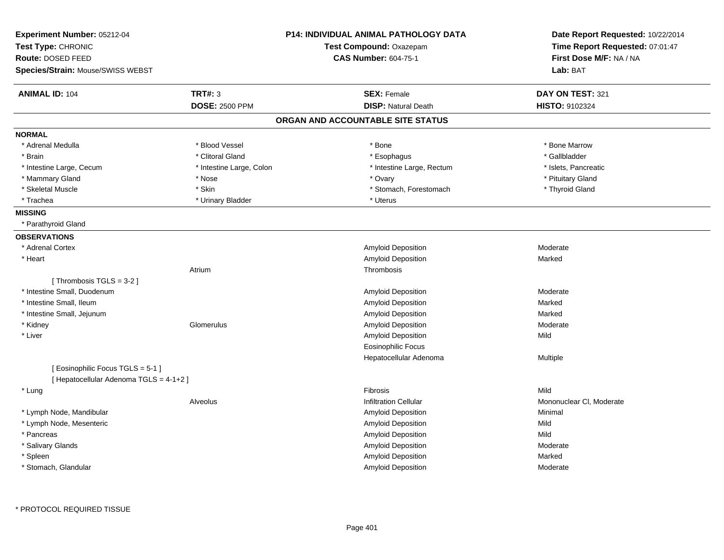| Experiment Number: 05212-04             |                          | <b>P14: INDIVIDUAL ANIMAL PATHOLOGY DATA</b> | Date Report Requested: 10/22/2014<br>Time Report Requested: 07:01:47 |
|-----------------------------------------|--------------------------|----------------------------------------------|----------------------------------------------------------------------|
| Test Type: CHRONIC                      |                          | Test Compound: Oxazepam                      |                                                                      |
| Route: DOSED FEED                       |                          | <b>CAS Number: 604-75-1</b>                  | First Dose M/F: NA / NA                                              |
| Species/Strain: Mouse/SWISS WEBST       |                          |                                              | Lab: BAT                                                             |
| <b>ANIMAL ID: 104</b>                   | <b>TRT#: 3</b>           | <b>SEX: Female</b>                           | DAY ON TEST: 321                                                     |
|                                         | <b>DOSE: 2500 PPM</b>    | <b>DISP: Natural Death</b>                   | HISTO: 9102324                                                       |
|                                         |                          | ORGAN AND ACCOUNTABLE SITE STATUS            |                                                                      |
| <b>NORMAL</b>                           |                          |                                              |                                                                      |
| * Adrenal Medulla                       | * Blood Vessel           | $*$ Bone                                     | * Bone Marrow                                                        |
| * Brain                                 | * Clitoral Gland         | * Esophagus                                  | * Gallbladder                                                        |
| * Intestine Large, Cecum                | * Intestine Large, Colon | * Intestine Large, Rectum                    | * Islets, Pancreatic                                                 |
| * Mammary Gland                         | * Nose                   | * Ovary                                      | * Pituitary Gland                                                    |
| * Skeletal Muscle                       | * Skin                   | * Stomach, Forestomach                       | * Thyroid Gland                                                      |
| * Trachea                               | * Urinary Bladder        | * Uterus                                     |                                                                      |
| <b>MISSING</b>                          |                          |                                              |                                                                      |
| * Parathyroid Gland                     |                          |                                              |                                                                      |
| <b>OBSERVATIONS</b>                     |                          |                                              |                                                                      |
| * Adrenal Cortex                        |                          | <b>Amyloid Deposition</b>                    | Moderate                                                             |
| * Heart                                 |                          | Amyloid Deposition                           | Marked                                                               |
|                                         | Atrium                   | Thrombosis                                   |                                                                      |
| [Thrombosis TGLS = 3-2]                 |                          |                                              |                                                                      |
| * Intestine Small, Duodenum             |                          | Amyloid Deposition                           | Moderate                                                             |
| * Intestine Small, Ileum                |                          | Amyloid Deposition                           | Marked                                                               |
| * Intestine Small, Jejunum              |                          | Amyloid Deposition                           | Marked                                                               |
| * Kidney                                | Glomerulus               | Amyloid Deposition                           | Moderate                                                             |
| * Liver                                 |                          | Amyloid Deposition                           | Mild                                                                 |
|                                         |                          | <b>Eosinophilic Focus</b>                    |                                                                      |
|                                         |                          | Hepatocellular Adenoma                       | Multiple                                                             |
| [Eosinophilic Focus TGLS = 5-1]         |                          |                                              |                                                                      |
| [ Hepatocellular Adenoma TGLS = 4-1+2 ] |                          |                                              |                                                                      |
| * Lung                                  |                          | Fibrosis                                     | Mild                                                                 |
|                                         | Alveolus                 | <b>Infiltration Cellular</b>                 | Mononuclear CI, Moderate                                             |
| * Lymph Node, Mandibular                |                          | <b>Amyloid Deposition</b>                    | Minimal                                                              |
| * Lymph Node, Mesenteric                |                          | Amyloid Deposition                           | Mild                                                                 |
| * Pancreas                              |                          | Amyloid Deposition                           | Mild                                                                 |
| * Salivary Glands                       |                          | Amyloid Deposition                           | Moderate                                                             |
| * Spleen                                |                          | Amyloid Deposition                           | Marked                                                               |
| * Stomach, Glandular                    |                          | Amyloid Deposition                           | Moderate                                                             |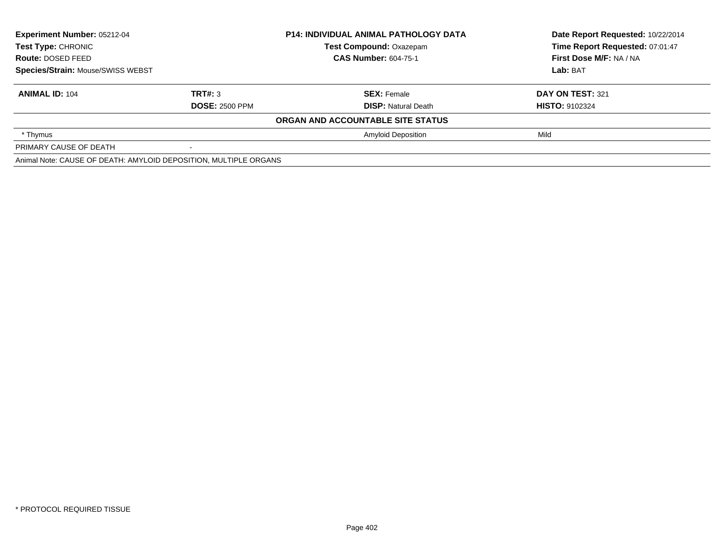| <b>Experiment Number: 05212-04</b><br><b>Test Type: CHRONIC</b><br>Route: DOSED FEED<br>Species/Strain: Mouse/SWISS WEBST |                       | <b>P14: INDIVIDUAL ANIMAL PATHOLOGY DATA</b> | Date Report Requested: 10/22/2014 |
|---------------------------------------------------------------------------------------------------------------------------|-----------------------|----------------------------------------------|-----------------------------------|
|                                                                                                                           |                       | <b>Test Compound: Oxazepam</b>               | Time Report Requested: 07:01:47   |
|                                                                                                                           |                       | <b>CAS Number: 604-75-1</b>                  | First Dose M/F: NA / NA           |
|                                                                                                                           |                       |                                              | Lab: BAT                          |
| <b>ANIMAL ID: 104</b>                                                                                                     | TRT#: 3               | <b>SEX: Female</b>                           | DAY ON TEST: 321                  |
|                                                                                                                           | <b>DOSE: 2500 PPM</b> | <b>DISP:</b> Natural Death                   | <b>HISTO: 9102324</b>             |
|                                                                                                                           |                       | ORGAN AND ACCOUNTABLE SITE STATUS            |                                   |
| * Thymus                                                                                                                  |                       | <b>Amyloid Deposition</b>                    | Mild                              |
| PRIMARY CAUSE OF DEATH                                                                                                    |                       |                                              |                                   |
| Animal Note: CAUSE OF DEATH: AMYLOID DEPOSITION, MULTIPLE ORGANS                                                          |                       |                                              |                                   |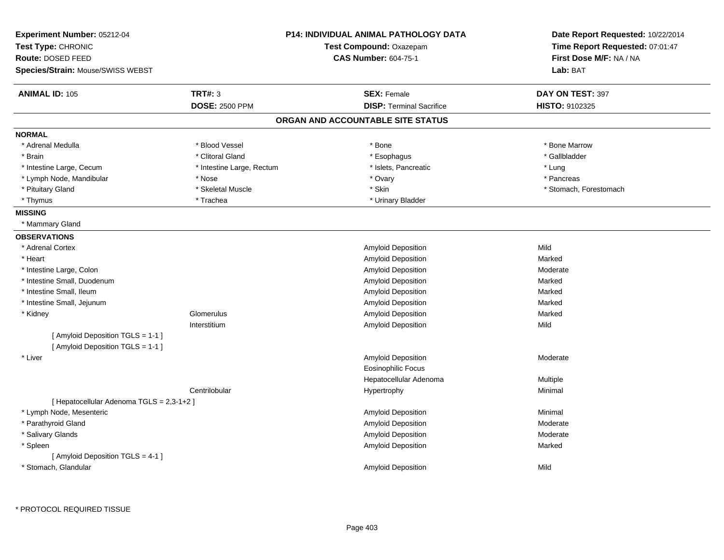| Experiment Number: 05212-04                                            |                           | <b>P14: INDIVIDUAL ANIMAL PATHOLOGY DATA</b> | Date Report Requested: 10/22/2014 |
|------------------------------------------------------------------------|---------------------------|----------------------------------------------|-----------------------------------|
| Test Type: CHRONIC                                                     | Test Compound: Oxazepam   |                                              | Time Report Requested: 07:01:47   |
| Route: DOSED FEED                                                      |                           | <b>CAS Number: 604-75-1</b>                  | First Dose M/F: NA / NA           |
| Species/Strain: Mouse/SWISS WEBST                                      |                           |                                              | Lab: BAT                          |
| <b>ANIMAL ID: 105</b>                                                  | <b>TRT#: 3</b>            | <b>SEX: Female</b>                           | DAY ON TEST: 397                  |
|                                                                        | <b>DOSE: 2500 PPM</b>     | <b>DISP: Terminal Sacrifice</b>              | HISTO: 9102325                    |
|                                                                        |                           | ORGAN AND ACCOUNTABLE SITE STATUS            |                                   |
| <b>NORMAL</b>                                                          |                           |                                              |                                   |
| * Adrenal Medulla                                                      | * Blood Vessel            | * Bone                                       | * Bone Marrow                     |
| * Brain                                                                | * Clitoral Gland          | * Esophagus                                  | * Gallbladder                     |
| * Intestine Large, Cecum                                               | * Intestine Large, Rectum | * Islets, Pancreatic                         | * Lung                            |
| * Lymph Node, Mandibular                                               | * Nose                    | * Ovary                                      | * Pancreas                        |
| * Pituitary Gland                                                      | * Skeletal Muscle         | * Skin                                       | * Stomach, Forestomach            |
| * Thymus                                                               | * Trachea                 | * Urinary Bladder                            |                                   |
| <b>MISSING</b>                                                         |                           |                                              |                                   |
| * Mammary Gland                                                        |                           |                                              |                                   |
| <b>OBSERVATIONS</b>                                                    |                           |                                              |                                   |
| * Adrenal Cortex                                                       |                           | Amyloid Deposition                           | Mild                              |
| * Heart                                                                |                           | Amyloid Deposition                           | Marked                            |
| * Intestine Large, Colon                                               |                           | Amyloid Deposition                           | Moderate                          |
| * Intestine Small, Duodenum                                            |                           | Amyloid Deposition                           | Marked                            |
| * Intestine Small, Ileum                                               |                           | Amyloid Deposition                           | Marked                            |
| * Intestine Small, Jejunum                                             |                           | Amyloid Deposition                           | Marked                            |
| * Kidney                                                               | Glomerulus                | Amyloid Deposition                           | Marked                            |
|                                                                        | Interstitium              | Amyloid Deposition                           | Mild                              |
| [ Amyloid Deposition TGLS = 1-1 ]<br>[ Amyloid Deposition TGLS = 1-1 ] |                           |                                              |                                   |
| * Liver                                                                |                           | Amyloid Deposition                           | Moderate                          |
|                                                                        |                           | <b>Eosinophilic Focus</b>                    |                                   |
|                                                                        |                           | Hepatocellular Adenoma                       | Multiple                          |
|                                                                        | Centrilobular             | Hypertrophy                                  | Minimal                           |
| [ Hepatocellular Adenoma TGLS = 2,3-1+2 ]                              |                           |                                              |                                   |
| * Lymph Node, Mesenteric                                               |                           | Amyloid Deposition                           | Minimal                           |
| * Parathyroid Gland                                                    |                           | Amyloid Deposition                           | Moderate                          |
| * Salivary Glands                                                      |                           | Amyloid Deposition                           | Moderate                          |
| * Spleen                                                               |                           | Amyloid Deposition                           | Marked                            |
| [ Amyloid Deposition TGLS = 4-1 ]                                      |                           |                                              |                                   |
| * Stomach, Glandular                                                   |                           | <b>Amyloid Deposition</b>                    | Mild                              |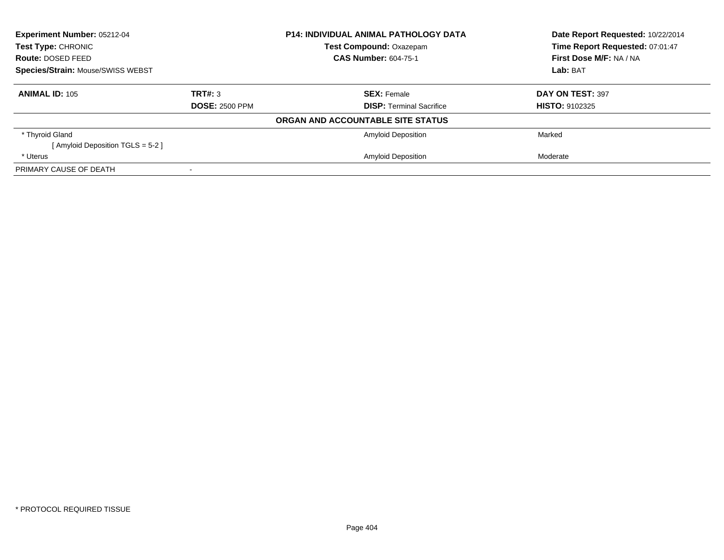| Experiment Number: 05212-04<br>Test Type: CHRONIC<br>Route: DOSED FEED |                       | <b>P14: INDIVIDUAL ANIMAL PATHOLOGY DATA</b> | Date Report Requested: 10/22/2014 |
|------------------------------------------------------------------------|-----------------------|----------------------------------------------|-----------------------------------|
|                                                                        |                       | Test Compound: Oxazepam                      | Time Report Requested: 07:01:47   |
|                                                                        |                       | <b>CAS Number: 604-75-1</b>                  | First Dose M/F: NA / NA           |
| Species/Strain: Mouse/SWISS WEBST                                      |                       |                                              | Lab: BAT                          |
| <b>ANIMAL ID: 105</b>                                                  | TRT#: 3               | <b>SEX: Female</b>                           | DAY ON TEST: 397                  |
|                                                                        | <b>DOSE: 2500 PPM</b> | <b>DISP:</b> Terminal Sacrifice              | <b>HISTO: 9102325</b>             |
|                                                                        |                       | ORGAN AND ACCOUNTABLE SITE STATUS            |                                   |
| * Thyroid Gland                                                        |                       | <b>Amyloid Deposition</b>                    | Marked                            |
| [Amyloid Deposition TGLS = 5-2]                                        |                       |                                              |                                   |
| * Uterus                                                               |                       | <b>Amyloid Deposition</b>                    | Moderate                          |
| PRIMARY CAUSE OF DEATH                                                 |                       |                                              |                                   |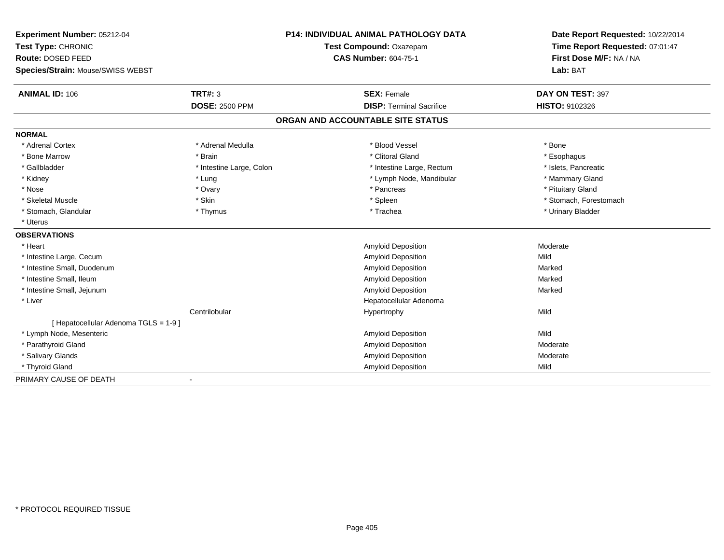| Experiment Number: 05212-04           |                          | <b>P14: INDIVIDUAL ANIMAL PATHOLOGY DATA</b> | Date Report Requested: 10/22/2014 |
|---------------------------------------|--------------------------|----------------------------------------------|-----------------------------------|
| Test Type: CHRONIC                    | Test Compound: Oxazepam  |                                              | Time Report Requested: 07:01:47   |
| Route: DOSED FEED                     |                          | <b>CAS Number: 604-75-1</b>                  | First Dose M/F: NA / NA           |
| Species/Strain: Mouse/SWISS WEBST     |                          |                                              | Lab: BAT                          |
| <b>ANIMAL ID: 106</b>                 | <b>TRT#: 3</b>           | <b>SEX: Female</b>                           | DAY ON TEST: 397                  |
|                                       | <b>DOSE: 2500 PPM</b>    | <b>DISP: Terminal Sacrifice</b>              | HISTO: 9102326                    |
|                                       |                          | ORGAN AND ACCOUNTABLE SITE STATUS            |                                   |
| <b>NORMAL</b>                         |                          |                                              |                                   |
| * Adrenal Cortex                      | * Adrenal Medulla        | * Blood Vessel                               | * Bone                            |
| * Bone Marrow                         | * Brain                  | * Clitoral Gland                             | * Esophagus                       |
| * Gallbladder                         | * Intestine Large, Colon | * Intestine Large, Rectum                    | * Islets, Pancreatic              |
| * Kidney                              | * Lung                   | * Lymph Node, Mandibular                     | * Mammary Gland                   |
| * Nose                                | * Ovary                  | * Pancreas                                   | * Pituitary Gland                 |
| * Skeletal Muscle                     | * Skin                   | * Spleen                                     | * Stomach, Forestomach            |
| * Stomach, Glandular                  | * Thymus                 | * Trachea                                    | * Urinary Bladder                 |
| * Uterus                              |                          |                                              |                                   |
| <b>OBSERVATIONS</b>                   |                          |                                              |                                   |
| * Heart                               |                          | <b>Amyloid Deposition</b>                    | Moderate                          |
| * Intestine Large, Cecum              |                          | <b>Amyloid Deposition</b>                    | Mild                              |
| * Intestine Small, Duodenum           |                          | <b>Amyloid Deposition</b>                    | Marked                            |
| * Intestine Small, Ileum              |                          | <b>Amyloid Deposition</b>                    | Marked                            |
| * Intestine Small, Jejunum            |                          | Amyloid Deposition                           | Marked                            |
| * Liver                               |                          | Hepatocellular Adenoma                       |                                   |
|                                       | Centrilobular            | Hypertrophy                                  | Mild                              |
| [ Hepatocellular Adenoma TGLS = 1-9 ] |                          |                                              |                                   |
| * Lymph Node, Mesenteric              |                          | Amyloid Deposition                           | Mild                              |
| * Parathyroid Gland                   |                          | <b>Amyloid Deposition</b>                    | Moderate                          |
| * Salivary Glands                     |                          | Amyloid Deposition                           | Moderate                          |
| * Thyroid Gland                       |                          | Amyloid Deposition                           | Mild                              |
| PRIMARY CAUSE OF DEATH                |                          |                                              |                                   |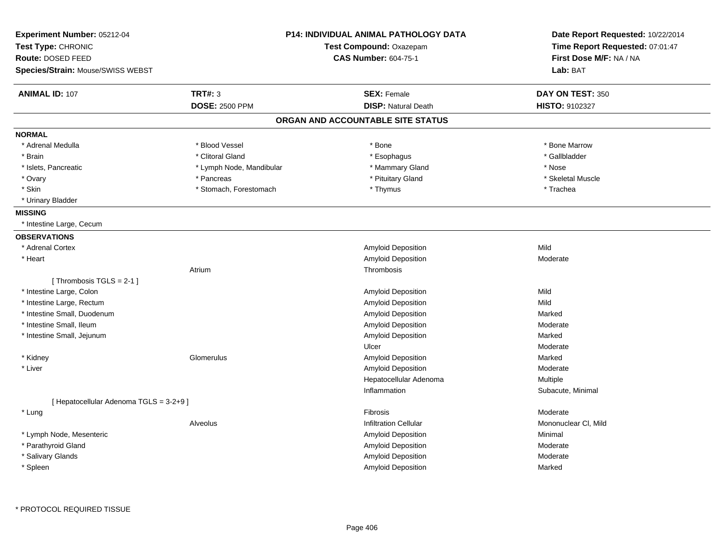| Experiment Number: 05212-04<br>Test Type: CHRONIC      |                          | <b>P14: INDIVIDUAL ANIMAL PATHOLOGY DATA</b><br>Test Compound: Oxazepam | Date Report Requested: 10/22/2014<br>Time Report Requested: 07:01:47 |  |
|--------------------------------------------------------|--------------------------|-------------------------------------------------------------------------|----------------------------------------------------------------------|--|
| Route: DOSED FEED<br>Species/Strain: Mouse/SWISS WEBST |                          | <b>CAS Number: 604-75-1</b>                                             | First Dose M/F: NA / NA<br>Lab: BAT                                  |  |
|                                                        |                          |                                                                         |                                                                      |  |
| <b>ANIMAL ID: 107</b>                                  | <b>TRT#: 3</b>           | <b>SEX: Female</b>                                                      | DAY ON TEST: 350                                                     |  |
|                                                        | <b>DOSE: 2500 PPM</b>    | <b>DISP: Natural Death</b>                                              | HISTO: 9102327                                                       |  |
|                                                        |                          | ORGAN AND ACCOUNTABLE SITE STATUS                                       |                                                                      |  |
| <b>NORMAL</b>                                          |                          |                                                                         |                                                                      |  |
| * Adrenal Medulla                                      | * Blood Vessel           | * Bone                                                                  | * Bone Marrow                                                        |  |
| * Brain                                                | * Clitoral Gland         | * Esophagus                                                             | * Gallbladder                                                        |  |
| * Islets, Pancreatic                                   | * Lymph Node, Mandibular | * Mammary Gland                                                         | * Nose                                                               |  |
| * Ovary                                                | * Pancreas               | * Pituitary Gland                                                       | * Skeletal Muscle                                                    |  |
| * Skin                                                 | * Stomach, Forestomach   | * Thymus                                                                | * Trachea                                                            |  |
| * Urinary Bladder                                      |                          |                                                                         |                                                                      |  |
| <b>MISSING</b>                                         |                          |                                                                         |                                                                      |  |
| * Intestine Large, Cecum                               |                          |                                                                         |                                                                      |  |
| <b>OBSERVATIONS</b>                                    |                          |                                                                         |                                                                      |  |
| * Adrenal Cortex                                       |                          | Amyloid Deposition                                                      | Mild                                                                 |  |
| * Heart                                                |                          | <b>Amyloid Deposition</b>                                               | Moderate                                                             |  |
|                                                        | Atrium                   | Thrombosis                                                              |                                                                      |  |
| [Thrombosis $TGLS = 2-1$ ]                             |                          |                                                                         |                                                                      |  |
| * Intestine Large, Colon                               |                          | Amyloid Deposition                                                      | Mild                                                                 |  |
| * Intestine Large, Rectum                              |                          | Amyloid Deposition                                                      | Mild                                                                 |  |
| * Intestine Small, Duodenum                            |                          | <b>Amyloid Deposition</b>                                               | Marked                                                               |  |
| * Intestine Small, Ileum                               |                          | Amyloid Deposition                                                      | Moderate                                                             |  |
| * Intestine Small, Jejunum                             |                          | Amyloid Deposition                                                      | Marked                                                               |  |
|                                                        |                          | Ulcer                                                                   | Moderate                                                             |  |
| * Kidney                                               | Glomerulus               | Amyloid Deposition                                                      | Marked                                                               |  |
| * Liver                                                |                          | <b>Amyloid Deposition</b>                                               | Moderate                                                             |  |
|                                                        |                          | Hepatocellular Adenoma                                                  | <b>Multiple</b>                                                      |  |
|                                                        |                          | Inflammation                                                            | Subacute, Minimal                                                    |  |
| [ Hepatocellular Adenoma TGLS = 3-2+9 ]                |                          |                                                                         |                                                                      |  |
| * Lung                                                 |                          | Fibrosis                                                                | Moderate                                                             |  |
|                                                        | Alveolus                 | <b>Infiltration Cellular</b>                                            | Mononuclear CI, Mild                                                 |  |
| * Lymph Node, Mesenteric                               |                          | Amyloid Deposition                                                      | Minimal                                                              |  |
| * Parathyroid Gland                                    |                          | Amyloid Deposition                                                      | Moderate                                                             |  |
| * Salivary Glands                                      |                          | Amyloid Deposition                                                      | Moderate                                                             |  |
| * Spleen                                               |                          | Amyloid Deposition                                                      | Marked                                                               |  |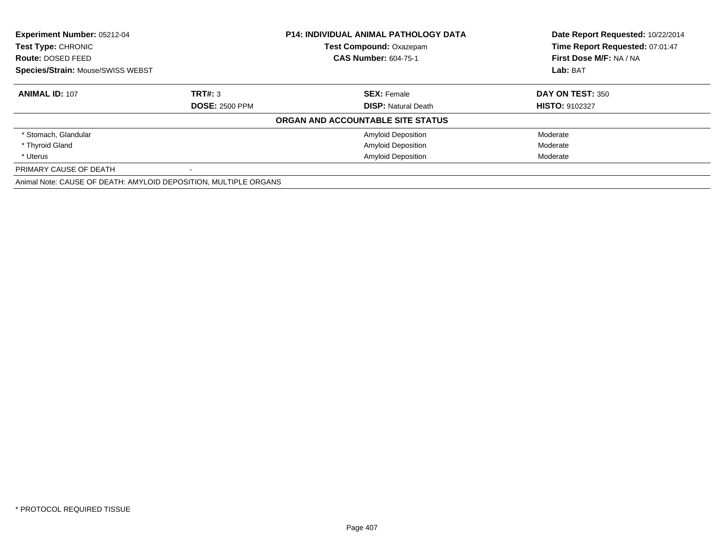| Experiment Number: 05212-04<br>Test Type: CHRONIC                |                       | <b>P14: INDIVIDUAL ANIMAL PATHOLOGY DATA</b> | Date Report Requested: 10/22/2014 |  |
|------------------------------------------------------------------|-----------------------|----------------------------------------------|-----------------------------------|--|
|                                                                  |                       | <b>Test Compound: Oxazepam</b>               | Time Report Requested: 07:01:47   |  |
| <b>Route: DOSED FEED</b>                                         |                       | <b>CAS Number: 604-75-1</b>                  | First Dose M/F: NA / NA           |  |
| <b>Species/Strain: Mouse/SWISS WEBST</b>                         |                       |                                              | Lab: BAT                          |  |
| <b>ANIMAL ID: 107</b>                                            | TRT#: 3               | <b>SEX: Female</b>                           | DAY ON TEST: 350                  |  |
|                                                                  | <b>DOSE: 2500 PPM</b> | <b>DISP: Natural Death</b>                   | <b>HISTO: 9102327</b>             |  |
|                                                                  |                       | ORGAN AND ACCOUNTABLE SITE STATUS            |                                   |  |
| * Stomach, Glandular                                             |                       | <b>Amyloid Deposition</b>                    | Moderate                          |  |
| * Thyroid Gland                                                  |                       | <b>Amyloid Deposition</b>                    | Moderate                          |  |
| * Uterus                                                         |                       | <b>Amyloid Deposition</b>                    | Moderate                          |  |
| PRIMARY CAUSE OF DEATH                                           |                       |                                              |                                   |  |
| Animal Note: CAUSE OF DEATH: AMYLOID DEPOSITION, MULTIPLE ORGANS |                       |                                              |                                   |  |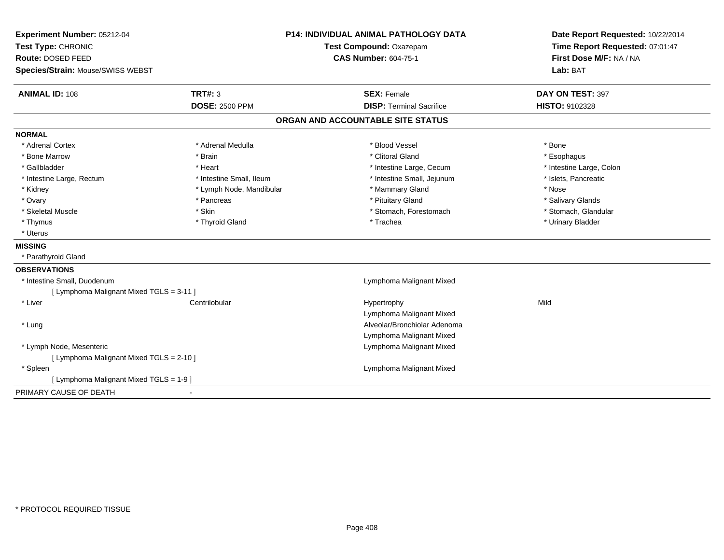| Experiment Number: 05212-04              |                                | <b>P14: INDIVIDUAL ANIMAL PATHOLOGY DATA</b> | Date Report Requested: 10/22/2014 |
|------------------------------------------|--------------------------------|----------------------------------------------|-----------------------------------|
| Test Type: CHRONIC                       | <b>Test Compound: Oxazepam</b> |                                              | Time Report Requested: 07:01:47   |
| Route: DOSED FEED                        |                                | <b>CAS Number: 604-75-1</b>                  | First Dose M/F: NA / NA           |
| Species/Strain: Mouse/SWISS WEBST        |                                |                                              | Lab: BAT                          |
| <b>ANIMAL ID: 108</b>                    | TRT#: 3                        | <b>SEX: Female</b>                           | DAY ON TEST: 397                  |
|                                          | <b>DOSE: 2500 PPM</b>          | <b>DISP: Terminal Sacrifice</b>              | HISTO: 9102328                    |
|                                          |                                | ORGAN AND ACCOUNTABLE SITE STATUS            |                                   |
| <b>NORMAL</b>                            |                                |                                              |                                   |
| * Adrenal Cortex                         | * Adrenal Medulla              | * Blood Vessel                               | * Bone                            |
| * Bone Marrow                            | * Brain                        | * Clitoral Gland                             | * Esophagus                       |
| * Gallbladder                            | * Heart                        | * Intestine Large, Cecum                     | * Intestine Large, Colon          |
| * Intestine Large, Rectum                | * Intestine Small, Ileum       | * Intestine Small, Jejunum                   | * Islets, Pancreatic              |
| * Kidney                                 | * Lymph Node, Mandibular       | * Mammary Gland                              | * Nose                            |
| * Ovary                                  | * Pancreas                     | * Pituitary Gland                            | * Salivary Glands                 |
| * Skeletal Muscle                        | * Skin                         | * Stomach, Forestomach                       | * Stomach, Glandular              |
| * Thymus                                 | * Thyroid Gland                | * Trachea                                    | * Urinary Bladder                 |
| * Uterus                                 |                                |                                              |                                   |
| <b>MISSING</b>                           |                                |                                              |                                   |
| * Parathyroid Gland                      |                                |                                              |                                   |
| <b>OBSERVATIONS</b>                      |                                |                                              |                                   |
| * Intestine Small, Duodenum              |                                | Lymphoma Malignant Mixed                     |                                   |
| [ Lymphoma Malignant Mixed TGLS = 3-11 ] |                                |                                              |                                   |
| * Liver                                  | Centrilobular                  | Hypertrophy                                  | Mild                              |
|                                          |                                | Lymphoma Malignant Mixed                     |                                   |
| * Lung                                   |                                | Alveolar/Bronchiolar Adenoma                 |                                   |
|                                          |                                | Lymphoma Malignant Mixed                     |                                   |
| * Lymph Node, Mesenteric                 |                                | Lymphoma Malignant Mixed                     |                                   |
| [ Lymphoma Malignant Mixed TGLS = 2-10 ] |                                |                                              |                                   |
| * Spleen                                 |                                | Lymphoma Malignant Mixed                     |                                   |
| [ Lymphoma Malignant Mixed TGLS = 1-9 ]  |                                |                                              |                                   |
| PRIMARY CAUSE OF DEATH                   |                                |                                              |                                   |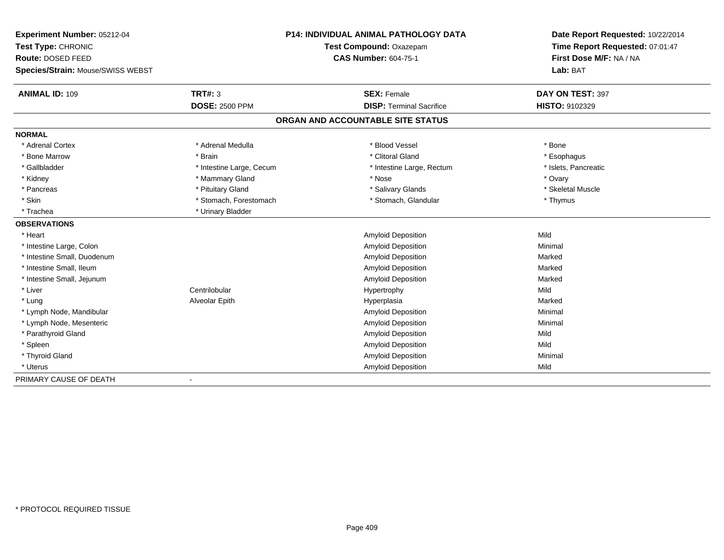| Experiment Number: 05212-04       | <b>P14: INDIVIDUAL ANIMAL PATHOLOGY DATA</b> |                                   | Date Report Requested: 10/22/2014                          |
|-----------------------------------|----------------------------------------------|-----------------------------------|------------------------------------------------------------|
| Test Type: CHRONIC                |                                              | Test Compound: Oxazepam           | Time Report Requested: 07:01:47<br>First Dose M/F: NA / NA |
| Route: DOSED FEED                 |                                              | <b>CAS Number: 604-75-1</b>       |                                                            |
| Species/Strain: Mouse/SWISS WEBST |                                              |                                   | Lab: BAT                                                   |
| <b>ANIMAL ID: 109</b>             | <b>TRT#: 3</b>                               | <b>SEX: Female</b>                | DAY ON TEST: 397                                           |
|                                   | <b>DOSE: 2500 PPM</b>                        | <b>DISP: Terminal Sacrifice</b>   | HISTO: 9102329                                             |
|                                   |                                              | ORGAN AND ACCOUNTABLE SITE STATUS |                                                            |
| <b>NORMAL</b>                     |                                              |                                   |                                                            |
| * Adrenal Cortex                  | * Adrenal Medulla                            | * Blood Vessel                    | * Bone                                                     |
| * Bone Marrow                     | * Brain                                      | * Clitoral Gland                  | * Esophagus                                                |
| * Gallbladder                     | * Intestine Large, Cecum                     | * Intestine Large, Rectum         | * Islets, Pancreatic                                       |
| * Kidney                          | * Mammary Gland                              | * Nose                            | * Ovary                                                    |
| * Pancreas                        | * Pituitary Gland                            | * Salivary Glands                 | * Skeletal Muscle                                          |
| * Skin                            | * Stomach, Forestomach                       | * Stomach, Glandular              | * Thymus                                                   |
| * Trachea                         | * Urinary Bladder                            |                                   |                                                            |
| <b>OBSERVATIONS</b>               |                                              |                                   |                                                            |
| * Heart                           |                                              | Amyloid Deposition                | Mild                                                       |
| * Intestine Large, Colon          |                                              | Amyloid Deposition                | Minimal                                                    |
| * Intestine Small, Duodenum       |                                              | Amyloid Deposition                | Marked                                                     |
| * Intestine Small, Ileum          |                                              | Amyloid Deposition                | Marked                                                     |
| * Intestine Small, Jejunum        |                                              | <b>Amyloid Deposition</b>         | Marked                                                     |
| * Liver                           | Centrilobular                                | Hypertrophy                       | Mild                                                       |
| * Lung                            | Alveolar Epith                               | Hyperplasia                       | Marked                                                     |
| * Lymph Node, Mandibular          |                                              | Amyloid Deposition                | Minimal                                                    |
| * Lymph Node, Mesenteric          |                                              | Amyloid Deposition                | Minimal                                                    |
| * Parathyroid Gland               |                                              | Amyloid Deposition                | Mild                                                       |
| * Spleen                          |                                              | Amyloid Deposition                | Mild                                                       |
| * Thyroid Gland                   |                                              | Amyloid Deposition                | Minimal                                                    |
| * Uterus                          |                                              | Amyloid Deposition                | Mild                                                       |
| PRIMARY CAUSE OF DEATH            |                                              |                                   |                                                            |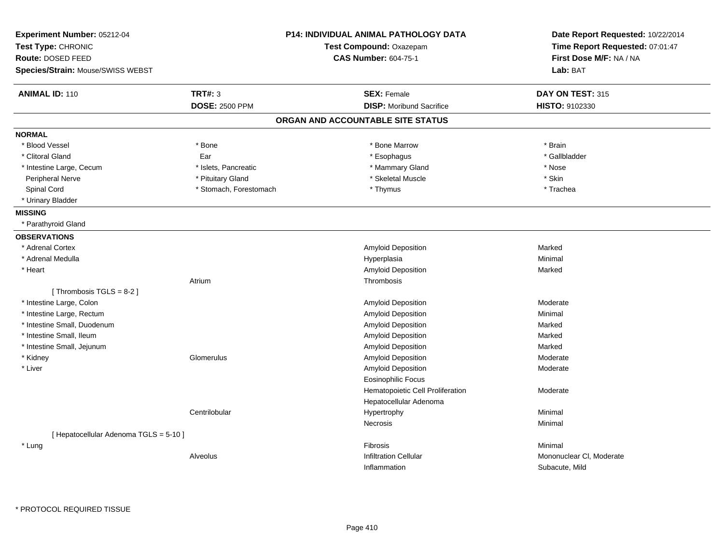| Species/Strain: Mouse/SWISS WEBST<br><b>TRT#: 3</b><br><b>ANIMAL ID: 110</b><br><b>SEX: Female</b><br><b>DOSE: 2500 PPM</b><br><b>DISP:</b> Moribund Sacrifice<br>ORGAN AND ACCOUNTABLE SITE STATUS<br><b>NORMAL</b> | Lab: BAT<br>DAY ON TEST: 315<br>HISTO: 9102330<br>* Brain<br>* Gallbladder<br>* Nose<br>* Skin<br>* Trachea |
|----------------------------------------------------------------------------------------------------------------------------------------------------------------------------------------------------------------------|-------------------------------------------------------------------------------------------------------------|
|                                                                                                                                                                                                                      |                                                                                                             |
|                                                                                                                                                                                                                      |                                                                                                             |
|                                                                                                                                                                                                                      |                                                                                                             |
|                                                                                                                                                                                                                      |                                                                                                             |
|                                                                                                                                                                                                                      |                                                                                                             |
| * Bone<br>* Blood Vessel<br>* Bone Marrow                                                                                                                                                                            |                                                                                                             |
| * Clitoral Gland<br>Ear<br>* Esophagus                                                                                                                                                                               |                                                                                                             |
| * Islets, Pancreatic<br>* Mammary Gland<br>* Intestine Large, Cecum                                                                                                                                                  |                                                                                                             |
| * Skeletal Muscle<br>Peripheral Nerve<br>* Pituitary Gland                                                                                                                                                           |                                                                                                             |
| Spinal Cord<br>* Stomach, Forestomach<br>* Thymus                                                                                                                                                                    |                                                                                                             |
| * Urinary Bladder                                                                                                                                                                                                    |                                                                                                             |
| <b>MISSING</b>                                                                                                                                                                                                       |                                                                                                             |
| * Parathyroid Gland                                                                                                                                                                                                  |                                                                                                             |
| <b>OBSERVATIONS</b>                                                                                                                                                                                                  |                                                                                                             |
| * Adrenal Cortex<br>Amyloid Deposition                                                                                                                                                                               | Marked                                                                                                      |
| * Adrenal Medulla<br>Hyperplasia                                                                                                                                                                                     | Minimal                                                                                                     |
| * Heart<br><b>Amyloid Deposition</b>                                                                                                                                                                                 | Marked                                                                                                      |
| Atrium<br>Thrombosis                                                                                                                                                                                                 |                                                                                                             |
| [Thrombosis TGLS = 8-2]                                                                                                                                                                                              |                                                                                                             |
| * Intestine Large, Colon<br>Amyloid Deposition                                                                                                                                                                       | Moderate                                                                                                    |
| * Intestine Large, Rectum<br>Amyloid Deposition                                                                                                                                                                      | Minimal                                                                                                     |
| * Intestine Small, Duodenum<br>Amyloid Deposition                                                                                                                                                                    | Marked                                                                                                      |
| * Intestine Small, Ileum<br>Amyloid Deposition                                                                                                                                                                       | Marked                                                                                                      |
| Amyloid Deposition<br>* Intestine Small, Jejunum                                                                                                                                                                     | Marked                                                                                                      |
| Amyloid Deposition<br>* Kidney<br>Glomerulus                                                                                                                                                                         | Moderate                                                                                                    |
| * Liver<br>Amyloid Deposition                                                                                                                                                                                        | Moderate                                                                                                    |
| <b>Eosinophilic Focus</b>                                                                                                                                                                                            |                                                                                                             |
| Hematopoietic Cell Proliferation                                                                                                                                                                                     | Moderate                                                                                                    |
| Hepatocellular Adenoma                                                                                                                                                                                               |                                                                                                             |
| Centrilobular<br>Hypertrophy                                                                                                                                                                                         | Minimal                                                                                                     |
| Necrosis                                                                                                                                                                                                             | Minimal                                                                                                     |
| [ Hepatocellular Adenoma TGLS = 5-10 ]                                                                                                                                                                               |                                                                                                             |
| * Lung<br>Fibrosis                                                                                                                                                                                                   | Minimal                                                                                                     |
| <b>Infiltration Cellular</b><br>Alveolus                                                                                                                                                                             | Mononuclear CI, Moderate                                                                                    |
| Inflammation                                                                                                                                                                                                         | Subacute, Mild                                                                                              |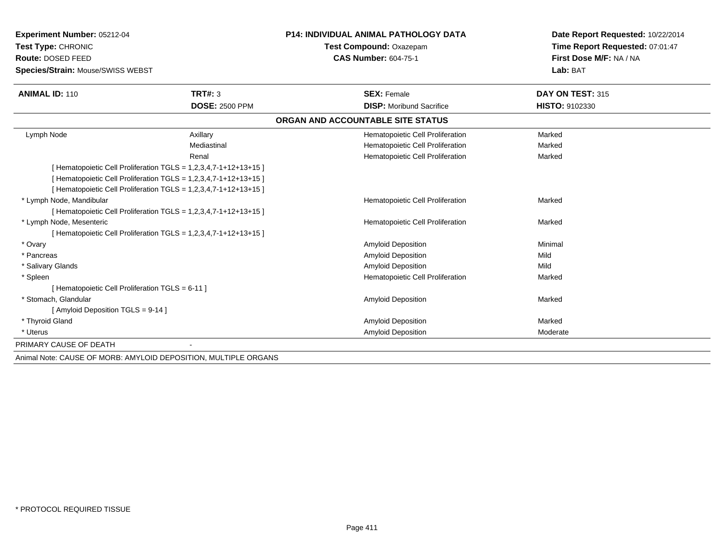| Experiment Number: 05212-04                    |                                                                | <b>P14: INDIVIDUAL ANIMAL PATHOLOGY DATA</b> | Date Report Requested: 10/22/2014 |
|------------------------------------------------|----------------------------------------------------------------|----------------------------------------------|-----------------------------------|
| Test Type: CHRONIC                             |                                                                | Test Compound: Oxazepam                      | Time Report Requested: 07:01:47   |
| Route: DOSED FEED                              |                                                                | <b>CAS Number: 604-75-1</b>                  | First Dose M/F: NA / NA           |
| Species/Strain: Mouse/SWISS WEBST              |                                                                |                                              | Lab: BAT                          |
| <b>ANIMAL ID: 110</b>                          | <b>TRT#: 3</b>                                                 | <b>SEX: Female</b>                           | DAY ON TEST: 315                  |
|                                                | <b>DOSE: 2500 PPM</b>                                          | <b>DISP:</b> Moribund Sacrifice              | <b>HISTO: 9102330</b>             |
|                                                |                                                                | ORGAN AND ACCOUNTABLE SITE STATUS            |                                   |
| Lymph Node                                     | Axillary                                                       | Hematopoietic Cell Proliferation             | Marked                            |
|                                                | Mediastinal                                                    | Hematopoietic Cell Proliferation             | Marked                            |
|                                                | Renal                                                          | Hematopoietic Cell Proliferation             | Marked                            |
|                                                | [Hematopoietic Cell Proliferation TGLS = 1,2,3,4,7-1+12+13+15] |                                              |                                   |
|                                                | [Hematopoietic Cell Proliferation TGLS = 1,2,3,4,7-1+12+13+15] |                                              |                                   |
|                                                | [Hematopoietic Cell Proliferation TGLS = 1,2,3,4,7-1+12+13+15] |                                              |                                   |
| * Lymph Node, Mandibular                       |                                                                | Hematopoietic Cell Proliferation             | Marked                            |
|                                                | [Hematopoietic Cell Proliferation TGLS = 1,2,3,4,7-1+12+13+15] |                                              |                                   |
| * Lymph Node, Mesenteric                       |                                                                | Hematopoietic Cell Proliferation             | Marked                            |
|                                                | [Hematopoietic Cell Proliferation TGLS = 1,2,3,4,7-1+12+13+15] |                                              |                                   |
| * Ovary                                        |                                                                | <b>Amyloid Deposition</b>                    | Minimal                           |
| * Pancreas                                     |                                                                | <b>Amyloid Deposition</b>                    | Mild                              |
| * Salivary Glands                              |                                                                | <b>Amyloid Deposition</b>                    | Mild                              |
| * Spleen                                       |                                                                | Hematopoietic Cell Proliferation             | Marked                            |
| [Hematopoietic Cell Proliferation TGLS = 6-11] |                                                                |                                              |                                   |
| * Stomach. Glandular                           |                                                                | <b>Amyloid Deposition</b>                    | Marked                            |
| [Amyloid Deposition TGLS = 9-14]               |                                                                |                                              |                                   |
| * Thyroid Gland                                |                                                                | <b>Amyloid Deposition</b>                    | Marked                            |
| * Uterus                                       |                                                                | <b>Amyloid Deposition</b>                    | Moderate                          |
| PRIMARY CAUSE OF DEATH                         |                                                                |                                              |                                   |
|                                                |                                                                |                                              |                                   |

Animal Note: CAUSE OF MORB: AMYLOID DEPOSITION, MULTIPLE ORGANS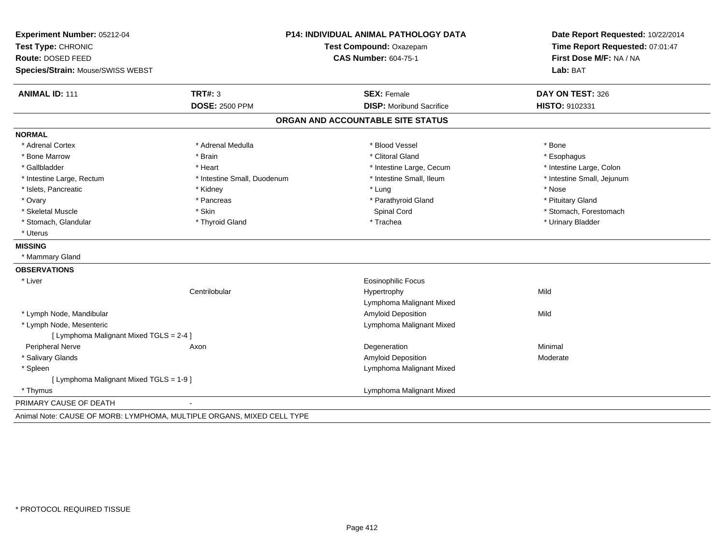| Experiment Number: 05212-04                                            | <b>P14: INDIVIDUAL ANIMAL PATHOLOGY DATA</b> |                                   | Date Report Requested: 10/22/2014                          |
|------------------------------------------------------------------------|----------------------------------------------|-----------------------------------|------------------------------------------------------------|
| Test Type: CHRONIC                                                     |                                              | Test Compound: Oxazepam           | Time Report Requested: 07:01:47<br>First Dose M/F: NA / NA |
| Route: DOSED FEED                                                      |                                              | <b>CAS Number: 604-75-1</b>       |                                                            |
| Species/Strain: Mouse/SWISS WEBST                                      |                                              |                                   | Lab: BAT                                                   |
| <b>ANIMAL ID: 111</b>                                                  | <b>TRT#: 3</b>                               | <b>SEX: Female</b>                | DAY ON TEST: 326                                           |
|                                                                        | <b>DOSE: 2500 PPM</b>                        | <b>DISP:</b> Moribund Sacrifice   | HISTO: 9102331                                             |
|                                                                        |                                              | ORGAN AND ACCOUNTABLE SITE STATUS |                                                            |
| <b>NORMAL</b>                                                          |                                              |                                   |                                                            |
| * Adrenal Cortex                                                       | * Adrenal Medulla                            | * Blood Vessel                    | * Bone                                                     |
| * Bone Marrow                                                          | * Brain                                      | * Clitoral Gland                  | * Esophagus                                                |
| * Gallbladder                                                          | * Heart                                      | * Intestine Large, Cecum          | * Intestine Large, Colon                                   |
| * Intestine Large, Rectum                                              | * Intestine Small, Duodenum                  | * Intestine Small, Ileum          | * Intestine Small, Jejunum                                 |
| * Islets, Pancreatic                                                   | * Kidney                                     | * Lung                            | * Nose                                                     |
| * Ovary                                                                | * Pancreas                                   | * Parathyroid Gland               | * Pituitary Gland                                          |
| * Skeletal Muscle                                                      | * Skin                                       | Spinal Cord                       | * Stomach, Forestomach                                     |
| * Stomach, Glandular                                                   | * Thyroid Gland                              | * Trachea                         | * Urinary Bladder                                          |
| * Uterus                                                               |                                              |                                   |                                                            |
| <b>MISSING</b>                                                         |                                              |                                   |                                                            |
| * Mammary Gland                                                        |                                              |                                   |                                                            |
| <b>OBSERVATIONS</b>                                                    |                                              |                                   |                                                            |
| * Liver                                                                |                                              | <b>Eosinophilic Focus</b>         |                                                            |
|                                                                        | Centrilobular                                | Hypertrophy                       | Mild                                                       |
|                                                                        |                                              | Lymphoma Malignant Mixed          |                                                            |
| * Lymph Node, Mandibular                                               |                                              | Amyloid Deposition                | Mild                                                       |
| * Lymph Node, Mesenteric                                               |                                              | Lymphoma Malignant Mixed          |                                                            |
| [ Lymphoma Malignant Mixed TGLS = 2-4 ]                                |                                              |                                   |                                                            |
| Peripheral Nerve                                                       | Axon                                         | Degeneration                      | Minimal                                                    |
| * Salivary Glands                                                      |                                              | Amyloid Deposition                | Moderate                                                   |
| * Spleen                                                               |                                              | Lymphoma Malignant Mixed          |                                                            |
| [ Lymphoma Malignant Mixed TGLS = 1-9 ]                                |                                              |                                   |                                                            |
| * Thymus                                                               |                                              | Lymphoma Malignant Mixed          |                                                            |
| PRIMARY CAUSE OF DEATH                                                 |                                              |                                   |                                                            |
| Animal Note: CAUSE OF MORB: LYMPHOMA, MULTIPLE ORGANS, MIXED CELL TYPE |                                              |                                   |                                                            |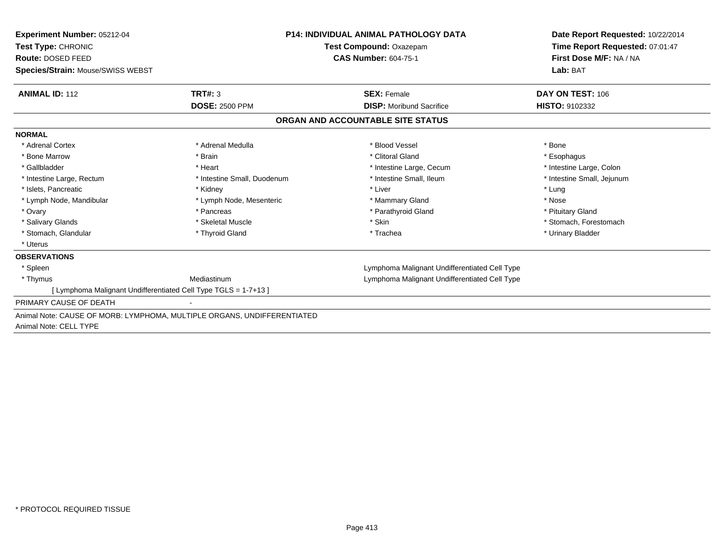| Experiment Number: 05212-04<br><b>Test Type: CHRONIC</b>                |                             | <b>P14: INDIVIDUAL ANIMAL PATHOLOGY DATA</b>  | Date Report Requested: 10/22/2014 |
|-------------------------------------------------------------------------|-----------------------------|-----------------------------------------------|-----------------------------------|
|                                                                         |                             | Test Compound: Oxazepam                       | Time Report Requested: 07:01:47   |
| Route: DOSED FEED                                                       |                             | <b>CAS Number: 604-75-1</b>                   | First Dose M/F: NA / NA           |
| Species/Strain: Mouse/SWISS WEBST                                       |                             |                                               | Lab: BAT                          |
| <b>ANIMAL ID: 112</b>                                                   | TRT#: 3                     | <b>SEX: Female</b>                            | DAY ON TEST: 106                  |
|                                                                         | <b>DOSE: 2500 PPM</b>       | <b>DISP:</b> Moribund Sacrifice               | <b>HISTO: 9102332</b>             |
|                                                                         |                             | ORGAN AND ACCOUNTABLE SITE STATUS             |                                   |
| <b>NORMAL</b>                                                           |                             |                                               |                                   |
| * Adrenal Cortex                                                        | * Adrenal Medulla           | * Blood Vessel                                | * Bone                            |
| * Bone Marrow                                                           | * Brain                     | * Clitoral Gland                              | * Esophagus                       |
| * Gallbladder                                                           | * Heart                     | * Intestine Large, Cecum                      | * Intestine Large, Colon          |
| * Intestine Large, Rectum                                               | * Intestine Small, Duodenum | * Intestine Small, Ileum                      | * Intestine Small, Jejunum        |
| * Islets, Pancreatic                                                    | * Kidney                    | * Liver                                       | * Lung                            |
| * Lymph Node, Mandibular                                                | * Lymph Node, Mesenteric    | * Mammary Gland                               | * Nose                            |
| * Ovary                                                                 | * Pancreas                  | * Parathyroid Gland                           | * Pituitary Gland                 |
| * Salivary Glands                                                       | * Skeletal Muscle           | * Skin                                        | * Stomach. Forestomach            |
| * Stomach, Glandular                                                    | * Thyroid Gland             | * Trachea                                     | * Urinary Bladder                 |
| * Uterus                                                                |                             |                                               |                                   |
| <b>OBSERVATIONS</b>                                                     |                             |                                               |                                   |
| * Spleen                                                                |                             | Lymphoma Malignant Undifferentiated Cell Type |                                   |
| * Thymus                                                                | Mediastinum                 | Lymphoma Malignant Undifferentiated Cell Type |                                   |
| [ Lymphoma Malignant Undifferentiated Cell Type TGLS = 1-7+13 ]         |                             |                                               |                                   |
| PRIMARY CAUSE OF DEATH                                                  |                             |                                               |                                   |
| Animal Note: CAUSE OF MORB: LYMPHOMA, MULTIPLE ORGANS, UNDIFFERENTIATED |                             |                                               |                                   |
| Animal Note: CELL TYPE                                                  |                             |                                               |                                   |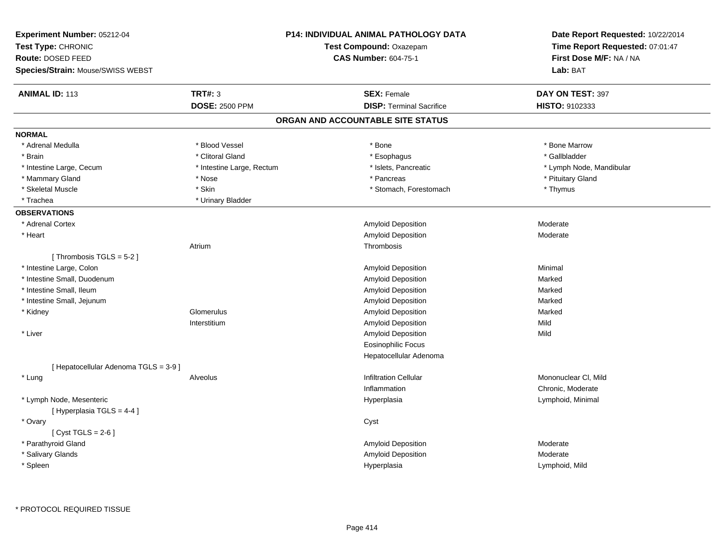| Experiment Number: 05212-04<br>Test Type: CHRONIC<br>Route: DOSED FEED<br>Species/Strain: Mouse/SWISS WEBST |                           | <b>P14: INDIVIDUAL ANIMAL PATHOLOGY DATA</b><br>Test Compound: Oxazepam<br><b>CAS Number: 604-75-1</b> | Date Report Requested: 10/22/2014<br>Time Report Requested: 07:01:47<br>First Dose M/F: NA / NA<br>Lab: BAT |
|-------------------------------------------------------------------------------------------------------------|---------------------------|--------------------------------------------------------------------------------------------------------|-------------------------------------------------------------------------------------------------------------|
| <b>ANIMAL ID: 113</b>                                                                                       | <b>TRT#: 3</b>            | <b>SEX: Female</b>                                                                                     | DAY ON TEST: 397                                                                                            |
|                                                                                                             | <b>DOSE: 2500 PPM</b>     | <b>DISP: Terminal Sacrifice</b>                                                                        | HISTO: 9102333                                                                                              |
|                                                                                                             |                           | ORGAN AND ACCOUNTABLE SITE STATUS                                                                      |                                                                                                             |
| <b>NORMAL</b>                                                                                               |                           |                                                                                                        |                                                                                                             |
| * Adrenal Medulla                                                                                           | * Blood Vessel            | * Bone                                                                                                 | * Bone Marrow                                                                                               |
| * Brain                                                                                                     | * Clitoral Gland          | * Esophagus                                                                                            | * Gallbladder                                                                                               |
| * Intestine Large, Cecum                                                                                    | * Intestine Large, Rectum | * Islets, Pancreatic                                                                                   | * Lymph Node, Mandibular                                                                                    |
| * Mammary Gland                                                                                             | * Nose                    | * Pancreas                                                                                             | * Pituitary Gland                                                                                           |
| * Skeletal Muscle                                                                                           | * Skin                    | * Stomach, Forestomach                                                                                 | * Thymus                                                                                                    |
| * Trachea                                                                                                   | * Urinary Bladder         |                                                                                                        |                                                                                                             |
| <b>OBSERVATIONS</b>                                                                                         |                           |                                                                                                        |                                                                                                             |
| * Adrenal Cortex                                                                                            |                           | Amyloid Deposition                                                                                     | Moderate                                                                                                    |
| * Heart                                                                                                     |                           | Amyloid Deposition                                                                                     | Moderate                                                                                                    |
|                                                                                                             | Atrium                    | Thrombosis                                                                                             |                                                                                                             |
| [Thrombosis TGLS = 5-2]                                                                                     |                           |                                                                                                        |                                                                                                             |
| * Intestine Large, Colon                                                                                    |                           | Amyloid Deposition                                                                                     | Minimal                                                                                                     |
| * Intestine Small, Duodenum                                                                                 |                           | Amyloid Deposition                                                                                     | Marked                                                                                                      |
| * Intestine Small, Ileum                                                                                    |                           | Amyloid Deposition                                                                                     | Marked                                                                                                      |
| * Intestine Small, Jejunum                                                                                  |                           | Amyloid Deposition                                                                                     | Marked                                                                                                      |
| * Kidney                                                                                                    | Glomerulus                | Amyloid Deposition                                                                                     | Marked                                                                                                      |
|                                                                                                             | Interstitium              | Amyloid Deposition                                                                                     | Mild                                                                                                        |
| * Liver                                                                                                     |                           | Amyloid Deposition                                                                                     | Mild                                                                                                        |
|                                                                                                             |                           | Eosinophilic Focus                                                                                     |                                                                                                             |
|                                                                                                             |                           | Hepatocellular Adenoma                                                                                 |                                                                                                             |
| [ Hepatocellular Adenoma TGLS = 3-9 ]                                                                       |                           |                                                                                                        |                                                                                                             |
| * Lung                                                                                                      | Alveolus                  | <b>Infiltration Cellular</b>                                                                           | Mononuclear CI, Mild                                                                                        |
|                                                                                                             |                           | Inflammation                                                                                           | Chronic, Moderate                                                                                           |
| * Lymph Node, Mesenteric<br>[Hyperplasia TGLS = 4-4]                                                        |                           | Hyperplasia                                                                                            | Lymphoid, Minimal                                                                                           |
| * Ovary<br>[Cyst TGLS = $2-6$ ]                                                                             |                           | Cyst                                                                                                   |                                                                                                             |
| * Parathyroid Gland                                                                                         |                           | Amyloid Deposition                                                                                     | Moderate                                                                                                    |
| * Salivary Glands                                                                                           |                           | Amyloid Deposition                                                                                     | Moderate                                                                                                    |
| * Spleen                                                                                                    |                           | Hyperplasia                                                                                            | Lymphoid, Mild                                                                                              |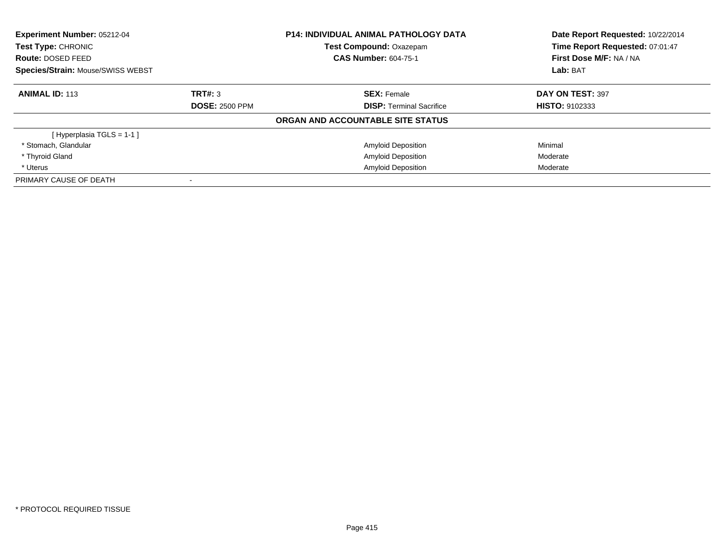| <b>Experiment Number: 05212-04</b><br>Test Type: CHRONIC |                       | <b>P14: INDIVIDUAL ANIMAL PATHOLOGY DATA</b><br>Test Compound: Oxazepam | Date Report Requested: 10/22/2014<br>Time Report Requested: 07:01:47 |
|----------------------------------------------------------|-----------------------|-------------------------------------------------------------------------|----------------------------------------------------------------------|
| Route: DOSED FEED                                        |                       | <b>CAS Number: 604-75-1</b>                                             | First Dose M/F: NA / NA                                              |
| <b>Species/Strain: Mouse/SWISS WEBST</b>                 |                       |                                                                         | Lab: BAT                                                             |
| <b>ANIMAL ID: 113</b>                                    | TRT#: 3               | <b>SEX:</b> Female                                                      | DAY ON TEST: 397                                                     |
|                                                          | <b>DOSE: 2500 PPM</b> | <b>DISP:</b> Terminal Sacrifice                                         | <b>HISTO: 9102333</b>                                                |
|                                                          |                       | ORGAN AND ACCOUNTABLE SITE STATUS                                       |                                                                      |
| [Hyperplasia TGLS = $1-1$ ]                              |                       |                                                                         |                                                                      |
| * Stomach, Glandular                                     |                       | <b>Amyloid Deposition</b>                                               | Minimal                                                              |
| * Thyroid Gland                                          |                       | <b>Amyloid Deposition</b>                                               | Moderate                                                             |
| * Uterus                                                 |                       | <b>Amyloid Deposition</b>                                               | Moderate                                                             |
| PRIMARY CAUSE OF DEATH                                   |                       |                                                                         |                                                                      |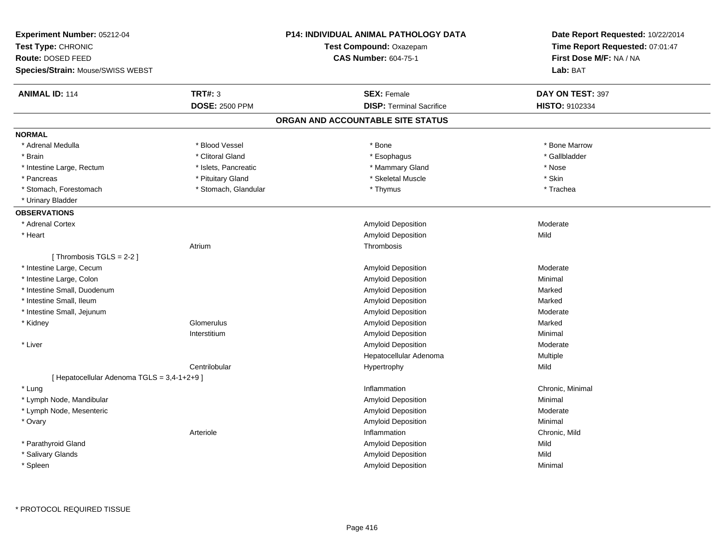| Experiment Number: 05212-04<br>Test Type: CHRONIC<br><b>Route: DOSED FEED</b><br>Species/Strain: Mouse/SWISS WEBST |                       | <b>P14: INDIVIDUAL ANIMAL PATHOLOGY DATA</b><br>Test Compound: Oxazepam<br><b>CAS Number: 604-75-1</b> | Date Report Requested: 10/22/2014<br>Time Report Requested: 07:01:47<br>First Dose M/F: NA / NA<br>Lab: BAT |
|--------------------------------------------------------------------------------------------------------------------|-----------------------|--------------------------------------------------------------------------------------------------------|-------------------------------------------------------------------------------------------------------------|
| <b>ANIMAL ID: 114</b>                                                                                              | <b>TRT#: 3</b>        | <b>SEX: Female</b>                                                                                     | DAY ON TEST: 397                                                                                            |
|                                                                                                                    | <b>DOSE: 2500 PPM</b> | <b>DISP: Terminal Sacrifice</b>                                                                        | <b>HISTO: 9102334</b>                                                                                       |
|                                                                                                                    |                       | ORGAN AND ACCOUNTABLE SITE STATUS                                                                      |                                                                                                             |
| <b>NORMAL</b>                                                                                                      |                       |                                                                                                        |                                                                                                             |
| * Adrenal Medulla                                                                                                  | * Blood Vessel        | * Bone                                                                                                 | * Bone Marrow                                                                                               |
| * Brain                                                                                                            | * Clitoral Gland      | * Esophagus                                                                                            | * Gallbladder                                                                                               |
| * Intestine Large, Rectum                                                                                          | * Islets, Pancreatic  | * Mammary Gland                                                                                        | $^{\star}$ Nose                                                                                             |
| * Pancreas                                                                                                         | * Pituitary Gland     | * Skeletal Muscle                                                                                      | * Skin                                                                                                      |
| * Stomach, Forestomach                                                                                             | * Stomach, Glandular  | * Thymus                                                                                               | * Trachea                                                                                                   |
| * Urinary Bladder                                                                                                  |                       |                                                                                                        |                                                                                                             |
| <b>OBSERVATIONS</b>                                                                                                |                       |                                                                                                        |                                                                                                             |
| * Adrenal Cortex                                                                                                   |                       | Amyloid Deposition                                                                                     | Moderate                                                                                                    |
| * Heart                                                                                                            |                       | Amyloid Deposition                                                                                     | Mild                                                                                                        |
|                                                                                                                    | Atrium                | Thrombosis                                                                                             |                                                                                                             |
| [Thrombosis TGLS = $2-2$ ]                                                                                         |                       |                                                                                                        |                                                                                                             |
| * Intestine Large, Cecum                                                                                           |                       | Amyloid Deposition                                                                                     | Moderate                                                                                                    |
| * Intestine Large, Colon                                                                                           |                       | Amyloid Deposition                                                                                     | Minimal                                                                                                     |
| * Intestine Small, Duodenum                                                                                        |                       | Amyloid Deposition                                                                                     | Marked                                                                                                      |
| * Intestine Small, Ileum                                                                                           |                       | Amyloid Deposition                                                                                     | Marked                                                                                                      |
| * Intestine Small, Jejunum                                                                                         |                       | Amyloid Deposition                                                                                     | Moderate                                                                                                    |
| * Kidney                                                                                                           | Glomerulus            | Amyloid Deposition                                                                                     | Marked                                                                                                      |
|                                                                                                                    | Interstitium          | Amyloid Deposition                                                                                     | Minimal                                                                                                     |
| * Liver                                                                                                            |                       | Amyloid Deposition                                                                                     | Moderate                                                                                                    |
|                                                                                                                    |                       | Hepatocellular Adenoma                                                                                 | Multiple                                                                                                    |
|                                                                                                                    | Centrilobular         | Hypertrophy                                                                                            | Mild                                                                                                        |
| [ Hepatocellular Adenoma TGLS = 3,4-1+2+9 ]                                                                        |                       |                                                                                                        |                                                                                                             |
| * Lung                                                                                                             |                       | Inflammation                                                                                           | Chronic, Minimal                                                                                            |
| * Lymph Node, Mandibular                                                                                           |                       | <b>Amyloid Deposition</b>                                                                              | Minimal                                                                                                     |
| * Lymph Node, Mesenteric                                                                                           |                       | <b>Amyloid Deposition</b>                                                                              | Moderate                                                                                                    |
| * Ovary                                                                                                            |                       | Amyloid Deposition                                                                                     | Minimal                                                                                                     |
|                                                                                                                    | Arteriole             | Inflammation                                                                                           | Chronic, Mild                                                                                               |
| * Parathyroid Gland                                                                                                |                       | Amyloid Deposition                                                                                     | Mild                                                                                                        |
| * Salivary Glands                                                                                                  |                       | Amyloid Deposition                                                                                     | Mild                                                                                                        |
| * Spleen                                                                                                           |                       | Amyloid Deposition                                                                                     | Minimal                                                                                                     |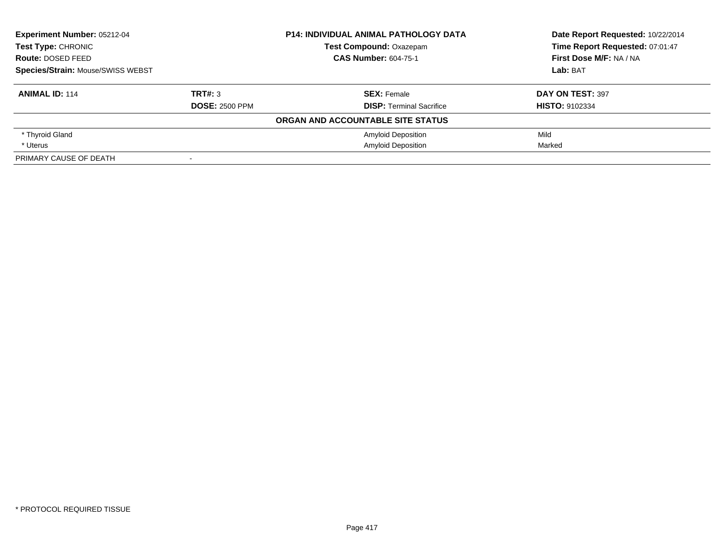| <b>Experiment Number: 05212-04</b>             |                       | <b>P14: INDIVIDUAL ANIMAL PATHOLOGY DATA</b> | Date Report Requested: 10/22/2014 |
|------------------------------------------------|-----------------------|----------------------------------------------|-----------------------------------|
| <b>Test Type: CHRONIC</b><br>Route: DOSED FEED |                       | <b>Test Compound: Oxazepam</b>               | Time Report Requested: 07:01:47   |
|                                                |                       | <b>CAS Number: 604-75-1</b>                  | First Dose M/F: NA / NA           |
| <b>Species/Strain: Mouse/SWISS WEBST</b>       |                       |                                              | Lab: BAT                          |
| <b>ANIMAL ID: 114</b>                          | TRT#: 3               | <b>SEX: Female</b>                           | DAY ON TEST: 397                  |
|                                                | <b>DOSE: 2500 PPM</b> | <b>DISP:</b> Terminal Sacrifice              | <b>HISTO: 9102334</b>             |
|                                                |                       | ORGAN AND ACCOUNTABLE SITE STATUS            |                                   |
| * Thyroid Gland                                |                       | <b>Amyloid Deposition</b>                    | Mild                              |
| * Uterus                                       |                       | <b>Amyloid Deposition</b>                    | Marked                            |
| PRIMARY CAUSE OF DEATH                         |                       |                                              |                                   |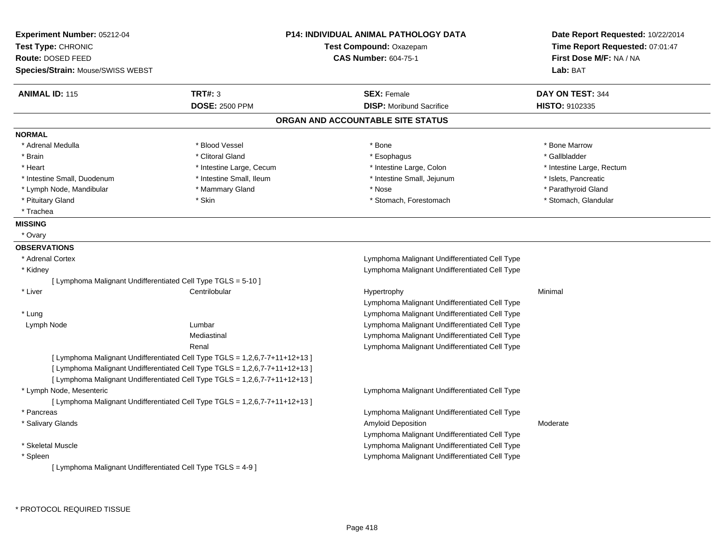| <b>Experiment Number: 05212-04</b>                            |                                                                             | <b>P14: INDIVIDUAL ANIMAL PATHOLOGY DATA</b>  | Date Report Requested: 10/22/2014 |
|---------------------------------------------------------------|-----------------------------------------------------------------------------|-----------------------------------------------|-----------------------------------|
| Test Type: CHRONIC                                            |                                                                             | Test Compound: Oxazepam                       | Time Report Requested: 07:01:47   |
| Route: DOSED FEED                                             |                                                                             | <b>CAS Number: 604-75-1</b>                   | First Dose M/F: NA / NA           |
| Species/Strain: Mouse/SWISS WEBST                             |                                                                             |                                               | Lab: BAT                          |
| <b>ANIMAL ID: 115</b>                                         | <b>TRT#: 3</b>                                                              | <b>SEX: Female</b>                            | DAY ON TEST: 344                  |
|                                                               | <b>DOSE: 2500 PPM</b>                                                       | <b>DISP:</b> Moribund Sacrifice               | <b>HISTO: 9102335</b>             |
|                                                               |                                                                             | ORGAN AND ACCOUNTABLE SITE STATUS             |                                   |
| <b>NORMAL</b>                                                 |                                                                             |                                               |                                   |
| * Adrenal Medulla                                             | * Blood Vessel                                                              | * Bone                                        | * Bone Marrow                     |
| * Brain                                                       | * Clitoral Gland                                                            | * Esophagus                                   | * Gallbladder                     |
| * Heart                                                       | * Intestine Large, Cecum                                                    | * Intestine Large, Colon                      | * Intestine Large, Rectum         |
| * Intestine Small, Duodenum                                   | * Intestine Small, Ileum                                                    | * Intestine Small, Jejunum                    | * Islets, Pancreatic              |
| * Lymph Node, Mandibular                                      | * Mammary Gland                                                             | * Nose                                        | * Parathyroid Gland               |
| * Pituitary Gland                                             | * Skin                                                                      | * Stomach, Forestomach                        | * Stomach, Glandular              |
| * Trachea                                                     |                                                                             |                                               |                                   |
| <b>MISSING</b>                                                |                                                                             |                                               |                                   |
| * Ovary                                                       |                                                                             |                                               |                                   |
| <b>OBSERVATIONS</b>                                           |                                                                             |                                               |                                   |
| * Adrenal Cortex                                              |                                                                             | Lymphoma Malignant Undifferentiated Cell Type |                                   |
| * Kidney                                                      |                                                                             | Lymphoma Malignant Undifferentiated Cell Type |                                   |
| [ Lymphoma Malignant Undifferentiated Cell Type TGLS = 5-10 ] |                                                                             |                                               |                                   |
| * Liver                                                       | Centrilobular                                                               | Hypertrophy                                   | Minimal                           |
|                                                               |                                                                             | Lymphoma Malignant Undifferentiated Cell Type |                                   |
| * Lung                                                        |                                                                             | Lymphoma Malignant Undifferentiated Cell Type |                                   |
| Lymph Node                                                    | Lumbar                                                                      | Lymphoma Malignant Undifferentiated Cell Type |                                   |
|                                                               | Mediastinal                                                                 | Lymphoma Malignant Undifferentiated Cell Type |                                   |
|                                                               | Renal                                                                       | Lymphoma Malignant Undifferentiated Cell Type |                                   |
|                                                               | [Lymphoma Malignant Undifferentiated Cell Type TGLS = 1,2,6,7-7+11+12+13]   |                                               |                                   |
|                                                               | [ Lymphoma Malignant Undifferentiated Cell Type TGLS = 1,2,6,7-7+11+12+13 ] |                                               |                                   |
|                                                               | [Lymphoma Malignant Undifferentiated Cell Type TGLS = 1,2,6,7-7+11+12+13]   |                                               |                                   |
| * Lymph Node, Mesenteric                                      |                                                                             | Lymphoma Malignant Undifferentiated Cell Type |                                   |
|                                                               | [Lymphoma Malignant Undifferentiated Cell Type TGLS = 1,2,6,7-7+11+12+13]   |                                               |                                   |
| * Pancreas                                                    |                                                                             | Lymphoma Malignant Undifferentiated Cell Type |                                   |
| * Salivary Glands                                             |                                                                             | Amyloid Deposition                            | Moderate                          |
|                                                               |                                                                             | Lymphoma Malignant Undifferentiated Cell Type |                                   |
| * Skeletal Muscle                                             |                                                                             | Lymphoma Malignant Undifferentiated Cell Type |                                   |
| * Spleen                                                      |                                                                             | Lymphoma Malignant Undifferentiated Cell Type |                                   |
| [ Lymphoma Malignant Undifferentiated Cell Type TGLS = 4-9 ]  |                                                                             |                                               |                                   |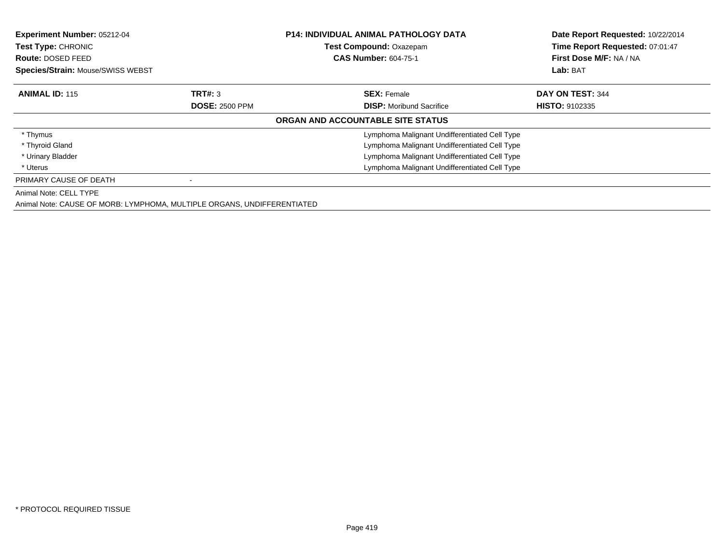| <b>Experiment Number: 05212-04</b><br><b>Test Type: CHRONIC</b><br><b>Route: DOSED FEED</b><br>Species/Strain: Mouse/SWISS WEBST |                       | <b>P14: INDIVIDUAL ANIMAL PATHOLOGY DATA</b><br>Test Compound: Oxazepam<br><b>CAS Number: 604-75-1</b> | Date Report Requested: 10/22/2014<br>Time Report Requested: 07:01:47<br>First Dose M/F: NA / NA<br>Lab: BAT |
|----------------------------------------------------------------------------------------------------------------------------------|-----------------------|--------------------------------------------------------------------------------------------------------|-------------------------------------------------------------------------------------------------------------|
| <b>ANIMAL ID: 115</b>                                                                                                            | TRT#: 3               | <b>SEX: Female</b>                                                                                     | DAY ON TEST: 344                                                                                            |
|                                                                                                                                  | <b>DOSE: 2500 PPM</b> | <b>DISP:</b> Moribund Sacrifice                                                                        | <b>HISTO: 9102335</b>                                                                                       |
|                                                                                                                                  |                       | ORGAN AND ACCOUNTABLE SITE STATUS                                                                      |                                                                                                             |
| * Thymus                                                                                                                         |                       | Lymphoma Malignant Undifferentiated Cell Type                                                          |                                                                                                             |
| * Thyroid Gland                                                                                                                  |                       | Lymphoma Malignant Undifferentiated Cell Type                                                          |                                                                                                             |
| * Urinary Bladder                                                                                                                |                       | Lymphoma Malignant Undifferentiated Cell Type                                                          |                                                                                                             |
| * Uterus                                                                                                                         |                       | Lymphoma Malignant Undifferentiated Cell Type                                                          |                                                                                                             |
| PRIMARY CAUSE OF DEATH                                                                                                           |                       |                                                                                                        |                                                                                                             |
| Animal Note: CELL TYPE                                                                                                           |                       |                                                                                                        |                                                                                                             |
| Animal Note: CAUSE OF MORB: LYMPHOMA, MULTIPLE ORGANS, UNDIFFERENTIATED                                                          |                       |                                                                                                        |                                                                                                             |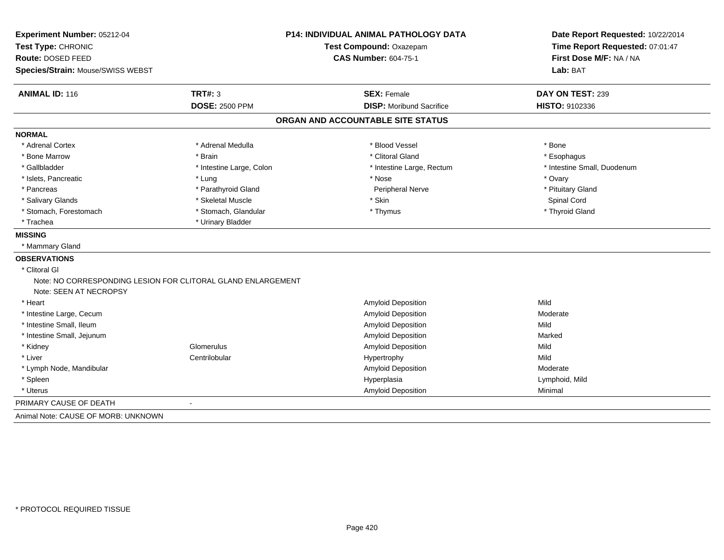| Experiment Number: 05212-04                                                            | <b>P14: INDIVIDUAL ANIMAL PATHOLOGY DATA</b> |                                   | Date Report Requested: 10/22/2014                          |  |
|----------------------------------------------------------------------------------------|----------------------------------------------|-----------------------------------|------------------------------------------------------------|--|
| Test Type: CHRONIC                                                                     |                                              | Test Compound: Oxazepam           | Time Report Requested: 07:01:47<br>First Dose M/F: NA / NA |  |
| Route: DOSED FEED                                                                      |                                              | <b>CAS Number: 604-75-1</b>       |                                                            |  |
| Species/Strain: Mouse/SWISS WEBST                                                      |                                              |                                   | Lab: BAT                                                   |  |
| <b>ANIMAL ID: 116</b>                                                                  | <b>TRT#: 3</b>                               | <b>SEX: Female</b>                | DAY ON TEST: 239                                           |  |
|                                                                                        | <b>DOSE: 2500 PPM</b>                        | <b>DISP: Moribund Sacrifice</b>   | HISTO: 9102336                                             |  |
|                                                                                        |                                              | ORGAN AND ACCOUNTABLE SITE STATUS |                                                            |  |
| <b>NORMAL</b>                                                                          |                                              |                                   |                                                            |  |
| * Adrenal Cortex                                                                       | * Adrenal Medulla                            | * Blood Vessel                    | * Bone                                                     |  |
| * Bone Marrow                                                                          | * Brain                                      | * Clitoral Gland                  | * Esophagus                                                |  |
| * Gallbladder                                                                          | * Intestine Large, Colon                     | * Intestine Large, Rectum         | * Intestine Small, Duodenum                                |  |
| * Islets, Pancreatic                                                                   | * Lung                                       | * Nose                            | * Ovary                                                    |  |
| * Pancreas                                                                             | * Parathyroid Gland                          | Peripheral Nerve                  | * Pituitary Gland                                          |  |
| * Salivary Glands                                                                      | * Skeletal Muscle                            | * Skin                            | Spinal Cord                                                |  |
| * Stomach, Forestomach                                                                 | * Stomach, Glandular                         | * Thymus                          | * Thyroid Gland                                            |  |
| * Trachea                                                                              | * Urinary Bladder                            |                                   |                                                            |  |
| <b>MISSING</b>                                                                         |                                              |                                   |                                                            |  |
| * Mammary Gland                                                                        |                                              |                                   |                                                            |  |
| <b>OBSERVATIONS</b>                                                                    |                                              |                                   |                                                            |  |
| * Clitoral GI                                                                          |                                              |                                   |                                                            |  |
| Note: NO CORRESPONDING LESION FOR CLITORAL GLAND ENLARGEMENT<br>Note: SEEN AT NECROPSY |                                              |                                   |                                                            |  |
| * Heart                                                                                |                                              | Amyloid Deposition                | Mild                                                       |  |
| * Intestine Large, Cecum                                                               |                                              | <b>Amyloid Deposition</b>         | Moderate                                                   |  |
| * Intestine Small, Ileum                                                               |                                              | <b>Amyloid Deposition</b>         | Mild                                                       |  |
| * Intestine Small, Jejunum                                                             |                                              | <b>Amyloid Deposition</b>         | Marked                                                     |  |
| * Kidney                                                                               | Glomerulus                                   | <b>Amyloid Deposition</b>         | Mild                                                       |  |
| * Liver                                                                                | Centrilobular                                | Hypertrophy                       | Mild                                                       |  |
| * Lymph Node, Mandibular                                                               |                                              | Amyloid Deposition                | Moderate                                                   |  |
| * Spleen                                                                               |                                              | Hyperplasia                       | Lymphoid, Mild                                             |  |
| * Uterus                                                                               |                                              | <b>Amyloid Deposition</b>         | Minimal                                                    |  |
| PRIMARY CAUSE OF DEATH                                                                 | $\overline{\phantom{a}}$                     |                                   |                                                            |  |
| Animal Note: CAUSE OF MORB: UNKNOWN                                                    |                                              |                                   |                                                            |  |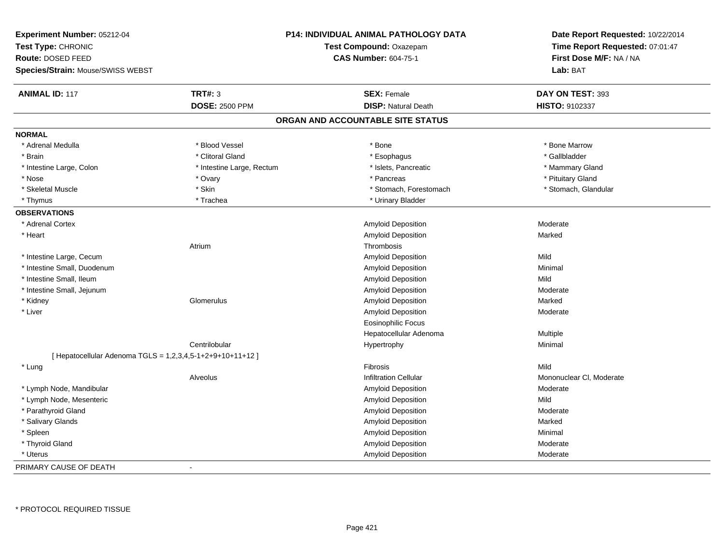| Experiment Number: 05212-04<br>Test Type: CHRONIC<br>Route: DOSED FEED<br>Species/Strain: Mouse/SWISS WEBST |                           | <b>P14: INDIVIDUAL ANIMAL PATHOLOGY DATA</b><br>Test Compound: Oxazepam<br><b>CAS Number: 604-75-1</b> | Date Report Requested: 10/22/2014<br>Time Report Requested: 07:01:47<br>First Dose M/F: NA / NA<br>Lab: BAT |
|-------------------------------------------------------------------------------------------------------------|---------------------------|--------------------------------------------------------------------------------------------------------|-------------------------------------------------------------------------------------------------------------|
| <b>ANIMAL ID: 117</b>                                                                                       | <b>TRT#: 3</b>            | <b>SEX: Female</b>                                                                                     | DAY ON TEST: 393                                                                                            |
|                                                                                                             | <b>DOSE: 2500 PPM</b>     | <b>DISP: Natural Death</b>                                                                             | HISTO: 9102337                                                                                              |
|                                                                                                             |                           | ORGAN AND ACCOUNTABLE SITE STATUS                                                                      |                                                                                                             |
| <b>NORMAL</b>                                                                                               |                           |                                                                                                        |                                                                                                             |
| * Adrenal Medulla                                                                                           | * Blood Vessel            | * Bone                                                                                                 | * Bone Marrow                                                                                               |
| * Brain                                                                                                     | * Clitoral Gland          | * Esophagus                                                                                            | * Gallbladder                                                                                               |
| * Intestine Large, Colon                                                                                    | * Intestine Large, Rectum | * Islets, Pancreatic                                                                                   | * Mammary Gland                                                                                             |
| * Nose                                                                                                      | * Ovary                   | * Pancreas                                                                                             | * Pituitary Gland                                                                                           |
| * Skeletal Muscle                                                                                           | * Skin                    | * Stomach, Forestomach                                                                                 | * Stomach, Glandular                                                                                        |
| * Thymus                                                                                                    | * Trachea                 | * Urinary Bladder                                                                                      |                                                                                                             |
| <b>OBSERVATIONS</b>                                                                                         |                           |                                                                                                        |                                                                                                             |
| * Adrenal Cortex                                                                                            |                           | Amyloid Deposition                                                                                     | Moderate                                                                                                    |
| * Heart                                                                                                     |                           | Amyloid Deposition                                                                                     | Marked                                                                                                      |
|                                                                                                             | Atrium                    | Thrombosis                                                                                             |                                                                                                             |
| * Intestine Large, Cecum                                                                                    |                           | <b>Amyloid Deposition</b>                                                                              | Mild                                                                                                        |
| * Intestine Small, Duodenum                                                                                 |                           | Amyloid Deposition                                                                                     | Minimal                                                                                                     |
| * Intestine Small, Ileum                                                                                    |                           | Amyloid Deposition                                                                                     | Mild                                                                                                        |
| * Intestine Small, Jejunum                                                                                  |                           | Amyloid Deposition                                                                                     | Moderate                                                                                                    |
| * Kidney                                                                                                    | Glomerulus                | Amyloid Deposition                                                                                     | Marked                                                                                                      |
| * Liver                                                                                                     |                           | Amyloid Deposition                                                                                     | Moderate                                                                                                    |
|                                                                                                             |                           | <b>Eosinophilic Focus</b>                                                                              |                                                                                                             |
|                                                                                                             |                           | Hepatocellular Adenoma                                                                                 | Multiple                                                                                                    |
|                                                                                                             | Centrilobular             | Hypertrophy                                                                                            | Minimal                                                                                                     |
| [ Hepatocellular Adenoma TGLS = 1,2,3,4,5-1+2+9+10+11+12 ]                                                  |                           |                                                                                                        |                                                                                                             |
| * Lung                                                                                                      |                           | Fibrosis                                                                                               | Mild                                                                                                        |
|                                                                                                             | Alveolus                  | <b>Infiltration Cellular</b>                                                                           | Mononuclear CI, Moderate                                                                                    |
| * Lymph Node, Mandibular                                                                                    |                           | <b>Amyloid Deposition</b>                                                                              | Moderate                                                                                                    |
| * Lymph Node, Mesenteric                                                                                    |                           | Amyloid Deposition                                                                                     | Mild                                                                                                        |
| * Parathyroid Gland                                                                                         |                           | Amyloid Deposition                                                                                     | Moderate                                                                                                    |
| * Salivary Glands                                                                                           |                           | Amyloid Deposition                                                                                     | Marked                                                                                                      |
| * Spleen                                                                                                    |                           | Amyloid Deposition                                                                                     | Minimal                                                                                                     |
| * Thyroid Gland                                                                                             |                           | Amyloid Deposition                                                                                     | Moderate                                                                                                    |
| * Uterus                                                                                                    |                           | Amyloid Deposition                                                                                     | Moderate                                                                                                    |
| PRIMARY CAUSE OF DEATH                                                                                      | $\sim$                    |                                                                                                        |                                                                                                             |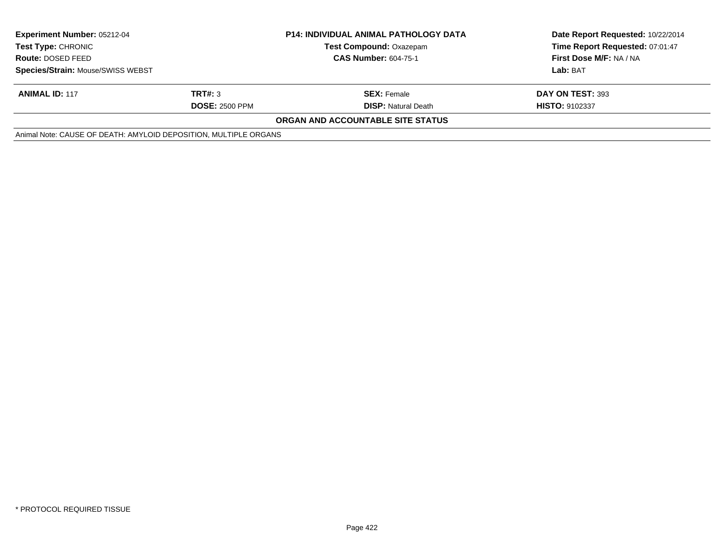| <b>Experiment Number: 05212-04</b><br><b>Test Type: CHRONIC</b><br>Route: DOSED FEED |                       | <b>P14: INDIVIDUAL ANIMAL PATHOLOGY DATA</b><br><b>Test Compound: Oxazepam</b> | Date Report Requested: 10/22/2014<br>Time Report Requested: 07:01:47 |
|--------------------------------------------------------------------------------------|-----------------------|--------------------------------------------------------------------------------|----------------------------------------------------------------------|
|                                                                                      |                       | <b>CAS Number: 604-75-1</b>                                                    | First Dose M/F: NA / NA                                              |
| Species/Strain: Mouse/SWISS WEBST                                                    |                       |                                                                                | Lab: BAT                                                             |
| <b>ANIMAL ID: 117</b>                                                                | TRT#: 3               | <b>SEX: Female</b>                                                             | DAY ON TEST: 393                                                     |
|                                                                                      | <b>DOSE: 2500 PPM</b> | <b>DISP:</b> Natural Death                                                     | <b>HISTO: 9102337</b>                                                |
|                                                                                      |                       | <b>ORGAN AND ACCOUNTABLE SITE STATUS</b>                                       |                                                                      |
| Animal Note: CAUSE OF DEATH: AMYLOID DEPOSITION, MULTIPLE ORGANS                     |                       |                                                                                |                                                                      |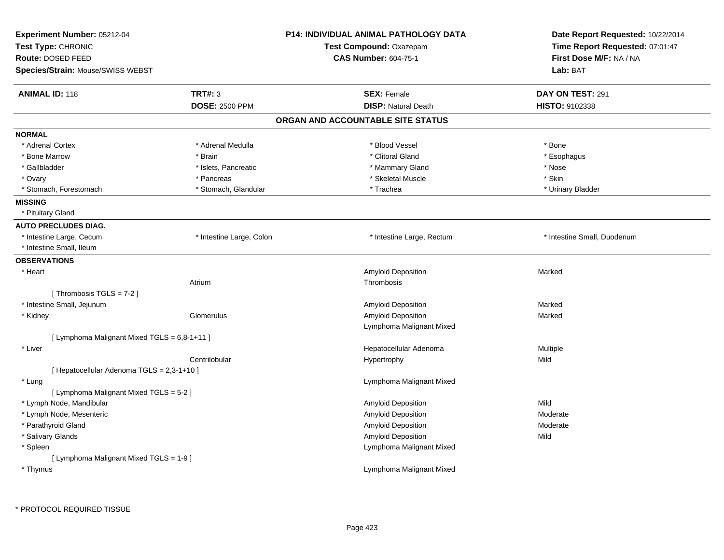| Experiment Number: 05212-04<br>Test Type: CHRONIC<br>Route: DOSED FEED<br>Species/Strain: Mouse/SWISS WEBST |                          | <b>P14: INDIVIDUAL ANIMAL PATHOLOGY DATA</b><br><b>Test Compound: Oxazepam</b><br><b>CAS Number: 604-75-1</b> | Date Report Requested: 10/22/2014<br>Time Report Requested: 07:01:47<br>First Dose M/F: NA / NA<br>Lab: BAT |
|-------------------------------------------------------------------------------------------------------------|--------------------------|---------------------------------------------------------------------------------------------------------------|-------------------------------------------------------------------------------------------------------------|
| <b>ANIMAL ID: 118</b>                                                                                       | <b>TRT#: 3</b>           | <b>SEX: Female</b>                                                                                            | DAY ON TEST: 291                                                                                            |
|                                                                                                             | <b>DOSE: 2500 PPM</b>    | <b>DISP: Natural Death</b>                                                                                    | HISTO: 9102338                                                                                              |
|                                                                                                             |                          | ORGAN AND ACCOUNTABLE SITE STATUS                                                                             |                                                                                                             |
| <b>NORMAL</b>                                                                                               |                          |                                                                                                               |                                                                                                             |
| * Adrenal Cortex                                                                                            | * Adrenal Medulla        | * Blood Vessel                                                                                                | * Bone                                                                                                      |
| * Bone Marrow                                                                                               | * Brain                  | * Clitoral Gland                                                                                              | * Esophagus                                                                                                 |
| * Gallbladder                                                                                               | * Islets, Pancreatic     | * Mammary Gland                                                                                               | * Nose                                                                                                      |
| * Ovary                                                                                                     | * Pancreas               | * Skeletal Muscle                                                                                             | * Skin                                                                                                      |
| * Stomach, Forestomach                                                                                      | * Stomach, Glandular     | * Trachea                                                                                                     | * Urinary Bladder                                                                                           |
| <b>MISSING</b>                                                                                              |                          |                                                                                                               |                                                                                                             |
| * Pituitary Gland                                                                                           |                          |                                                                                                               |                                                                                                             |
| <b>AUTO PRECLUDES DIAG.</b>                                                                                 |                          |                                                                                                               |                                                                                                             |
| * Intestine Large, Cecum                                                                                    | * Intestine Large, Colon | * Intestine Large, Rectum                                                                                     | * Intestine Small, Duodenum                                                                                 |
| * Intestine Small, Ileum                                                                                    |                          |                                                                                                               |                                                                                                             |
| <b>OBSERVATIONS</b>                                                                                         |                          |                                                                                                               |                                                                                                             |
| * Heart                                                                                                     |                          | Amyloid Deposition                                                                                            | Marked                                                                                                      |
|                                                                                                             | Atrium                   | Thrombosis                                                                                                    |                                                                                                             |
| [Thrombosis TGLS = 7-2]                                                                                     |                          |                                                                                                               |                                                                                                             |
| * Intestine Small, Jejunum                                                                                  |                          | Amyloid Deposition                                                                                            | Marked                                                                                                      |
| * Kidney                                                                                                    | Glomerulus               | Amyloid Deposition                                                                                            | Marked                                                                                                      |
|                                                                                                             |                          | Lymphoma Malignant Mixed                                                                                      |                                                                                                             |
| [ Lymphoma Malignant Mixed TGLS = 6,8-1+11 ]                                                                |                          |                                                                                                               |                                                                                                             |
| * Liver                                                                                                     |                          | Hepatocellular Adenoma                                                                                        | Multiple                                                                                                    |
|                                                                                                             | Centrilobular            | Hypertrophy                                                                                                   | Mild                                                                                                        |
| [ Hepatocellular Adenoma TGLS = 2,3-1+10 ]                                                                  |                          |                                                                                                               |                                                                                                             |
| * Lung                                                                                                      |                          | Lymphoma Malignant Mixed                                                                                      |                                                                                                             |
| [ Lymphoma Malignant Mixed TGLS = 5-2 ]                                                                     |                          |                                                                                                               |                                                                                                             |
| * Lymph Node, Mandibular                                                                                    |                          | Amyloid Deposition                                                                                            | Mild                                                                                                        |
| * Lymph Node, Mesenteric                                                                                    |                          | Amyloid Deposition                                                                                            | Moderate                                                                                                    |
| * Parathyroid Gland                                                                                         |                          | <b>Amyloid Deposition</b>                                                                                     | Moderate                                                                                                    |
| * Salivary Glands                                                                                           |                          | Amyloid Deposition                                                                                            | Mild                                                                                                        |
| * Spleen                                                                                                    |                          | Lymphoma Malignant Mixed                                                                                      |                                                                                                             |
| [ Lymphoma Malignant Mixed TGLS = 1-9 ]                                                                     |                          |                                                                                                               |                                                                                                             |
| * Thymus                                                                                                    |                          | Lymphoma Malignant Mixed                                                                                      |                                                                                                             |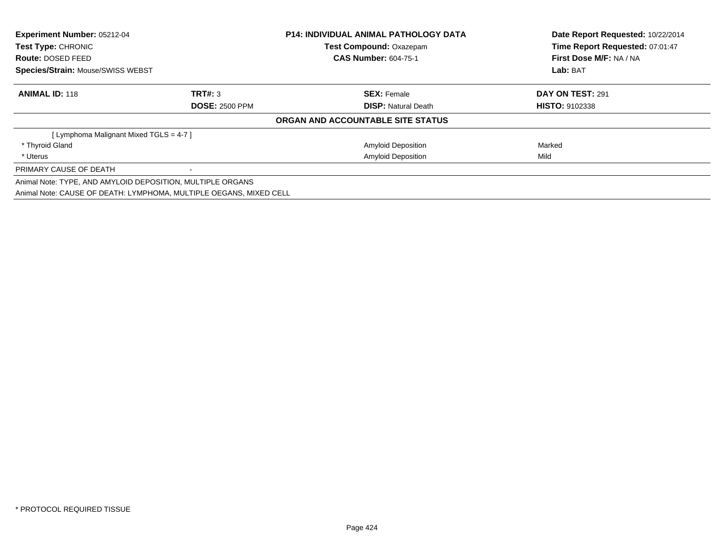| <b>Experiment Number: 05212-04</b><br>Test Type: CHRONIC   |                                                                    | <b>P14: INDIVIDUAL ANIMAL PATHOLOGY DATA</b> | Date Report Requested: 10/22/2014 |  |
|------------------------------------------------------------|--------------------------------------------------------------------|----------------------------------------------|-----------------------------------|--|
|                                                            |                                                                    | Test Compound: Oxazepam                      | Time Report Requested: 07:01:47   |  |
| <b>Route: DOSED FEED</b>                                   |                                                                    | <b>CAS Number: 604-75-1</b>                  | First Dose M/F: NA / NA           |  |
| <b>Species/Strain: Mouse/SWISS WEBST</b>                   |                                                                    |                                              | Lab: BAT                          |  |
| <b>ANIMAL ID: 118</b>                                      | TRT#: 3                                                            | <b>SEX: Female</b>                           | <b>DAY ON TEST: 291</b>           |  |
|                                                            | <b>DOSE: 2500 PPM</b>                                              | <b>DISP:</b> Natural Death                   | <b>HISTO: 9102338</b>             |  |
|                                                            |                                                                    | ORGAN AND ACCOUNTABLE SITE STATUS            |                                   |  |
| [ Lymphoma Malignant Mixed TGLS = 4-7 ]                    |                                                                    |                                              |                                   |  |
| * Thyroid Gland                                            |                                                                    | <b>Amyloid Deposition</b>                    | Marked                            |  |
| * Uterus                                                   |                                                                    | <b>Amyloid Deposition</b>                    | Mild                              |  |
| PRIMARY CAUSE OF DEATH                                     |                                                                    |                                              |                                   |  |
| Animal Note: TYPE, AND AMYLOID DEPOSITION, MULTIPLE ORGANS |                                                                    |                                              |                                   |  |
|                                                            | Animal Note: CAUSE OF DEATH: LYMPHOMA, MULTIPLE OEGANS, MIXED CELL |                                              |                                   |  |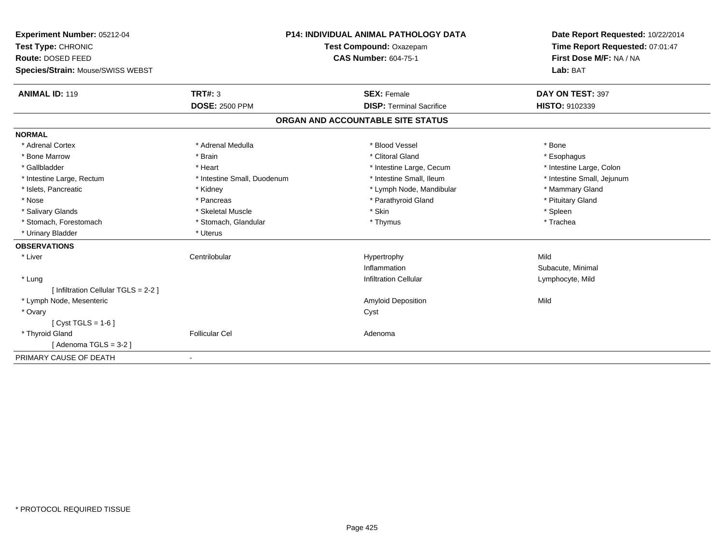| Experiment Number: 05212-04          | <b>P14: INDIVIDUAL ANIMAL PATHOLOGY DATA</b><br>Test Compound: Oxazepam |                                   | Date Report Requested: 10/22/2014<br>Time Report Requested: 07:01:47 |
|--------------------------------------|-------------------------------------------------------------------------|-----------------------------------|----------------------------------------------------------------------|
| Test Type: CHRONIC                   |                                                                         |                                   |                                                                      |
| Route: DOSED FEED                    |                                                                         | <b>CAS Number: 604-75-1</b>       | First Dose M/F: NA / NA                                              |
| Species/Strain: Mouse/SWISS WEBST    |                                                                         |                                   | Lab: BAT                                                             |
| <b>ANIMAL ID: 119</b>                | TRT#: 3                                                                 | <b>SEX: Female</b>                | DAY ON TEST: 397                                                     |
|                                      | <b>DOSE: 2500 PPM</b>                                                   | <b>DISP: Terminal Sacrifice</b>   | HISTO: 9102339                                                       |
|                                      |                                                                         | ORGAN AND ACCOUNTABLE SITE STATUS |                                                                      |
| <b>NORMAL</b>                        |                                                                         |                                   |                                                                      |
| * Adrenal Cortex                     | * Adrenal Medulla                                                       | * Blood Vessel                    | * Bone                                                               |
| * Bone Marrow                        | * Brain                                                                 | * Clitoral Gland                  | * Esophagus                                                          |
| * Gallbladder                        | * Heart                                                                 | * Intestine Large, Cecum          | * Intestine Large, Colon                                             |
| * Intestine Large, Rectum            | * Intestine Small, Duodenum                                             | * Intestine Small, Ileum          | * Intestine Small, Jejunum                                           |
| * Islets, Pancreatic                 | * Kidney                                                                | * Lymph Node, Mandibular          | * Mammary Gland                                                      |
| * Nose                               | * Pancreas                                                              | * Parathyroid Gland               | * Pituitary Gland                                                    |
| * Salivary Glands                    | * Skeletal Muscle                                                       | * Skin                            | * Spleen                                                             |
| * Stomach, Forestomach               | * Stomach, Glandular                                                    | * Thymus                          | * Trachea                                                            |
| * Urinary Bladder                    | * Uterus                                                                |                                   |                                                                      |
| <b>OBSERVATIONS</b>                  |                                                                         |                                   |                                                                      |
| * Liver                              | Centrilobular                                                           | Hypertrophy                       | Mild                                                                 |
|                                      |                                                                         | Inflammation                      | Subacute, Minimal                                                    |
| * Lung                               |                                                                         | <b>Infiltration Cellular</b>      | Lymphocyte, Mild                                                     |
| [ Infiltration Cellular TGLS = 2-2 ] |                                                                         |                                   |                                                                      |
| * Lymph Node, Mesenteric             |                                                                         | <b>Amyloid Deposition</b>         | Mild                                                                 |
| * Ovary                              |                                                                         | Cyst                              |                                                                      |
| [Cyst TGLS = $1-6$ ]                 |                                                                         |                                   |                                                                      |
| * Thyroid Gland                      | <b>Follicular Cel</b>                                                   | Adenoma                           |                                                                      |
| [Adenoma TGLS = 3-2]                 |                                                                         |                                   |                                                                      |
| PRIMARY CAUSE OF DEATH               |                                                                         |                                   |                                                                      |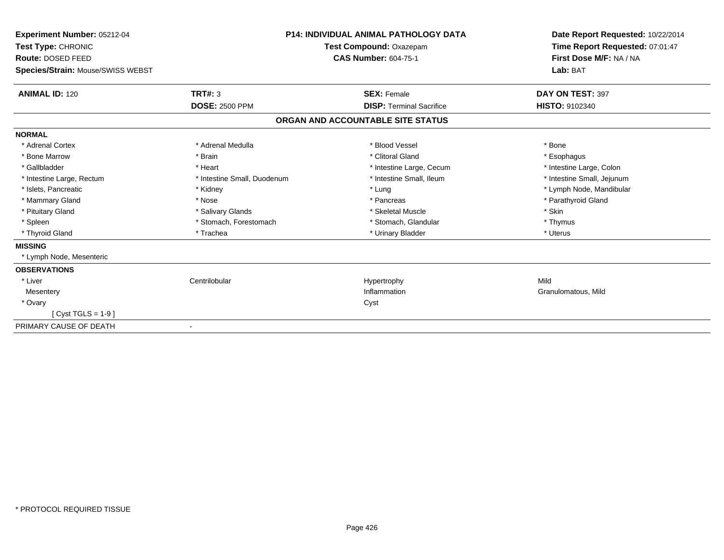| Experiment Number: 05212-04<br>Test Type: CHRONIC<br>Route: DOSED FEED<br>Species/Strain: Mouse/SWISS WEBST |                             | <b>P14: INDIVIDUAL ANIMAL PATHOLOGY DATA</b><br><b>Test Compound: Oxazepam</b><br><b>CAS Number: 604-75-1</b> | Date Report Requested: 10/22/2014<br>Time Report Requested: 07:01:47<br>First Dose M/F: NA / NA<br>Lab: BAT |
|-------------------------------------------------------------------------------------------------------------|-----------------------------|---------------------------------------------------------------------------------------------------------------|-------------------------------------------------------------------------------------------------------------|
| <b>ANIMAL ID: 120</b>                                                                                       | TRT#: 3                     | <b>SEX: Female</b>                                                                                            | DAY ON TEST: 397                                                                                            |
|                                                                                                             | <b>DOSE: 2500 PPM</b>       | <b>DISP: Terminal Sacrifice</b>                                                                               | HISTO: 9102340                                                                                              |
|                                                                                                             |                             | ORGAN AND ACCOUNTABLE SITE STATUS                                                                             |                                                                                                             |
| <b>NORMAL</b>                                                                                               |                             |                                                                                                               |                                                                                                             |
| * Adrenal Cortex                                                                                            | * Adrenal Medulla           | * Blood Vessel                                                                                                | * Bone                                                                                                      |
| * Bone Marrow                                                                                               | * Brain                     | * Clitoral Gland                                                                                              | * Esophagus                                                                                                 |
| * Gallbladder                                                                                               | * Heart                     | * Intestine Large, Cecum                                                                                      | * Intestine Large, Colon                                                                                    |
| * Intestine Large, Rectum                                                                                   | * Intestine Small, Duodenum | * Intestine Small, Ileum                                                                                      | * Intestine Small, Jejunum                                                                                  |
| * Islets, Pancreatic                                                                                        | * Kidney                    | * Lung                                                                                                        | * Lymph Node, Mandibular                                                                                    |
| * Mammary Gland                                                                                             | * Nose                      | * Pancreas                                                                                                    | * Parathyroid Gland                                                                                         |
| * Pituitary Gland                                                                                           | * Salivary Glands           | * Skeletal Muscle                                                                                             | * Skin                                                                                                      |
| * Spleen                                                                                                    | * Stomach, Forestomach      | * Stomach, Glandular                                                                                          | * Thymus                                                                                                    |
| * Thyroid Gland                                                                                             | * Trachea                   | * Urinary Bladder                                                                                             | * Uterus                                                                                                    |
| <b>MISSING</b>                                                                                              |                             |                                                                                                               |                                                                                                             |
| * Lymph Node, Mesenteric                                                                                    |                             |                                                                                                               |                                                                                                             |
| <b>OBSERVATIONS</b>                                                                                         |                             |                                                                                                               |                                                                                                             |
| * Liver                                                                                                     | Centrilobular               | Hypertrophy                                                                                                   | Mild                                                                                                        |
| Mesentery                                                                                                   |                             | Inflammation                                                                                                  | Granulomatous, Mild                                                                                         |
| * Ovary                                                                                                     |                             | Cyst                                                                                                          |                                                                                                             |
| $Cvst TGLS = 1-9$                                                                                           |                             |                                                                                                               |                                                                                                             |
| PRIMARY CAUSE OF DEATH                                                                                      |                             |                                                                                                               |                                                                                                             |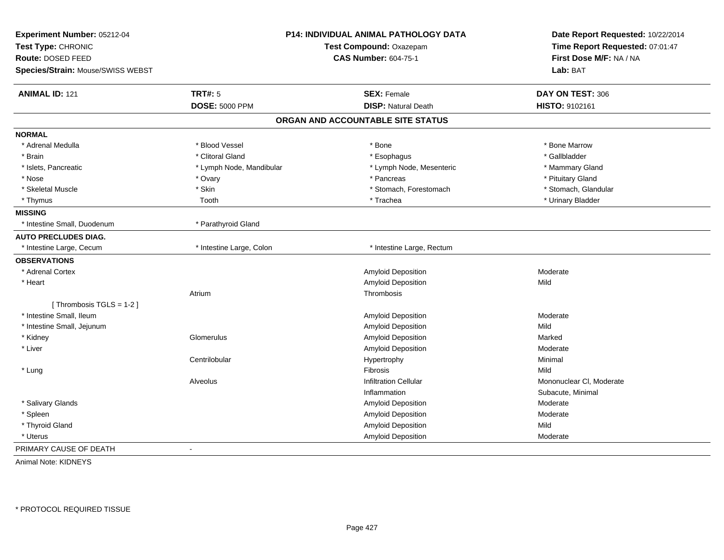| Experiment Number: 05212-04       | <b>P14: INDIVIDUAL ANIMAL PATHOLOGY DATA</b><br>Test Compound: Oxazepam |                                   | Date Report Requested: 10/22/2014<br>Time Report Requested: 07:01:47 |
|-----------------------------------|-------------------------------------------------------------------------|-----------------------------------|----------------------------------------------------------------------|
| Test Type: CHRONIC                |                                                                         |                                   |                                                                      |
| Route: DOSED FEED                 |                                                                         | <b>CAS Number: 604-75-1</b>       | First Dose M/F: NA / NA                                              |
| Species/Strain: Mouse/SWISS WEBST |                                                                         |                                   | Lab: BAT                                                             |
| <b>ANIMAL ID: 121</b>             | <b>TRT#: 5</b>                                                          | <b>SEX: Female</b>                | DAY ON TEST: 306                                                     |
|                                   | <b>DOSE: 5000 PPM</b>                                                   | <b>DISP: Natural Death</b>        | HISTO: 9102161                                                       |
|                                   |                                                                         | ORGAN AND ACCOUNTABLE SITE STATUS |                                                                      |
| <b>NORMAL</b>                     |                                                                         |                                   |                                                                      |
| * Adrenal Medulla                 | * Blood Vessel                                                          | $*$ Bone                          | * Bone Marrow                                                        |
| * Brain                           | * Clitoral Gland                                                        | * Esophagus                       | * Gallbladder                                                        |
| * Islets, Pancreatic              | * Lymph Node, Mandibular                                                | * Lymph Node, Mesenteric          | * Mammary Gland                                                      |
| * Nose                            | * Ovary                                                                 | * Pancreas                        | * Pituitary Gland                                                    |
| * Skeletal Muscle                 | * Skin                                                                  | * Stomach, Forestomach            | * Stomach, Glandular                                                 |
| * Thymus                          | Tooth                                                                   | * Trachea                         | * Urinary Bladder                                                    |
| <b>MISSING</b>                    |                                                                         |                                   |                                                                      |
| * Intestine Small, Duodenum       | * Parathyroid Gland                                                     |                                   |                                                                      |
| <b>AUTO PRECLUDES DIAG.</b>       |                                                                         |                                   |                                                                      |
| * Intestine Large, Cecum          | * Intestine Large, Colon                                                | * Intestine Large, Rectum         |                                                                      |
| <b>OBSERVATIONS</b>               |                                                                         |                                   |                                                                      |
| * Adrenal Cortex                  |                                                                         | Amyloid Deposition                | Moderate                                                             |
| * Heart                           |                                                                         | <b>Amyloid Deposition</b>         | Mild                                                                 |
|                                   | Atrium                                                                  | Thrombosis                        |                                                                      |
| [Thrombosis TGLS = 1-2]           |                                                                         |                                   |                                                                      |
| * Intestine Small, Ileum          |                                                                         | Amyloid Deposition                | Moderate                                                             |
| * Intestine Small, Jejunum        |                                                                         | Amyloid Deposition                | Mild                                                                 |
| * Kidney                          | Glomerulus                                                              | Amyloid Deposition                | Marked                                                               |
| * Liver                           |                                                                         | Amyloid Deposition                | Moderate                                                             |
|                                   | Centrilobular                                                           | Hypertrophy                       | Minimal                                                              |
| * Lung                            |                                                                         | Fibrosis                          | Mild                                                                 |
|                                   | Alveolus                                                                | <b>Infiltration Cellular</b>      | Mononuclear CI, Moderate                                             |
|                                   |                                                                         | Inflammation                      | Subacute, Minimal                                                    |
| * Salivary Glands                 |                                                                         | Amyloid Deposition                | Moderate                                                             |
| * Spleen                          |                                                                         | Amyloid Deposition                | Moderate                                                             |
| * Thyroid Gland                   |                                                                         | Amyloid Deposition                | Mild                                                                 |
| * Uterus                          |                                                                         | Amyloid Deposition                | Moderate                                                             |
| PRIMARY CAUSE OF DEATH            |                                                                         |                                   |                                                                      |

Animal Note: KIDNEYS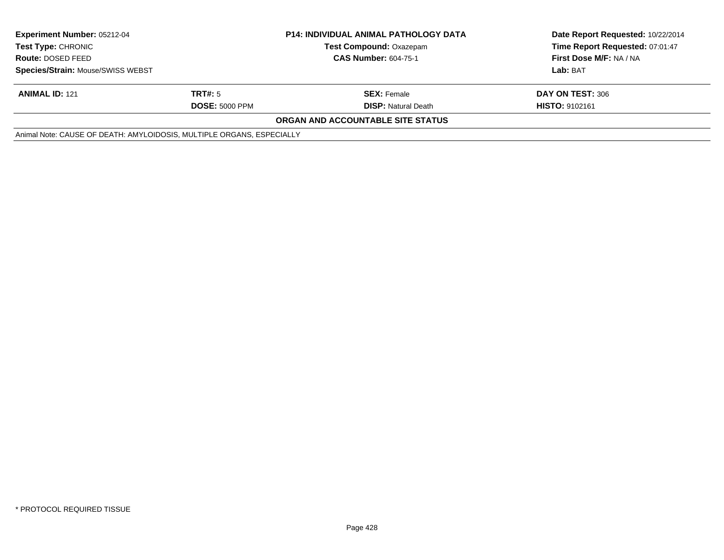| <b>Experiment Number: 05212-04</b><br><b>Test Type: CHRONIC</b><br>Route: DOSED FEED |                       | <b>P14: INDIVIDUAL ANIMAL PATHOLOGY DATA</b><br><b>Test Compound: Oxazepam</b><br><b>CAS Number: 604-75-1</b> | Date Report Requested: 10/22/2014<br>Time Report Requested: 07:01:47<br>First Dose M/F: NA / NA |
|--------------------------------------------------------------------------------------|-----------------------|---------------------------------------------------------------------------------------------------------------|-------------------------------------------------------------------------------------------------|
| Species/Strain: Mouse/SWISS WEBST                                                    |                       |                                                                                                               | Lab: BAT                                                                                        |
| <b>ANIMAL ID: 121</b>                                                                | TRT#: 5               | <b>SEX: Female</b>                                                                                            | DAY ON TEST: 306                                                                                |
|                                                                                      | <b>DOSE: 5000 PPM</b> | <b>DISP:</b> Natural Death                                                                                    | <b>HISTO: 9102161</b>                                                                           |
|                                                                                      |                       | ORGAN AND ACCOUNTABLE SITE STATUS                                                                             |                                                                                                 |
| Animal Note: CAUSE OF DEATH: AMYLOIDOSIS, MULTIPLE ORGANS, ESPECIALLY                |                       |                                                                                                               |                                                                                                 |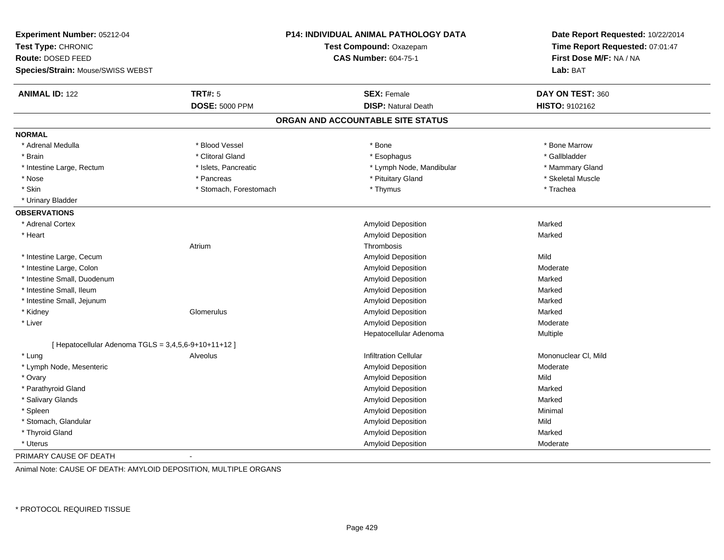| Experiment Number: 05212-04<br>Test Type: CHRONIC<br>Route: DOSED FEED<br>Species/Strain: Mouse/SWISS WEBST |                        | P14: INDIVIDUAL ANIMAL PATHOLOGY DATA<br>Test Compound: Oxazepam<br><b>CAS Number: 604-75-1</b> | Date Report Requested: 10/22/2014<br>Time Report Requested: 07:01:47<br>First Dose M/F: NA / NA<br>Lab: BAT |
|-------------------------------------------------------------------------------------------------------------|------------------------|-------------------------------------------------------------------------------------------------|-------------------------------------------------------------------------------------------------------------|
| <b>ANIMAL ID: 122</b>                                                                                       | <b>TRT#: 5</b>         | <b>SEX: Female</b>                                                                              | DAY ON TEST: 360                                                                                            |
|                                                                                                             | <b>DOSE: 5000 PPM</b>  | <b>DISP: Natural Death</b>                                                                      | <b>HISTO: 9102162</b>                                                                                       |
|                                                                                                             |                        | ORGAN AND ACCOUNTABLE SITE STATUS                                                               |                                                                                                             |
| <b>NORMAL</b>                                                                                               |                        |                                                                                                 |                                                                                                             |
| * Adrenal Medulla                                                                                           | * Blood Vessel         | * Bone                                                                                          | * Bone Marrow                                                                                               |
| * Brain                                                                                                     | * Clitoral Gland       | * Esophagus                                                                                     | * Gallbladder                                                                                               |
| * Intestine Large, Rectum                                                                                   | * Islets, Pancreatic   | * Lymph Node, Mandibular                                                                        | * Mammary Gland                                                                                             |
| * Nose                                                                                                      | * Pancreas             | * Pituitary Gland                                                                               | * Skeletal Muscle                                                                                           |
| * Skin                                                                                                      | * Stomach, Forestomach | * Thymus                                                                                        | * Trachea                                                                                                   |
| * Urinary Bladder                                                                                           |                        |                                                                                                 |                                                                                                             |
| <b>OBSERVATIONS</b>                                                                                         |                        |                                                                                                 |                                                                                                             |
| * Adrenal Cortex                                                                                            |                        | Amyloid Deposition                                                                              | Marked                                                                                                      |
| * Heart                                                                                                     |                        | Amyloid Deposition                                                                              | Marked                                                                                                      |
|                                                                                                             | Atrium                 | Thrombosis                                                                                      |                                                                                                             |
| * Intestine Large, Cecum                                                                                    |                        | Amyloid Deposition                                                                              | Mild                                                                                                        |
| * Intestine Large, Colon                                                                                    |                        | Amyloid Deposition                                                                              | Moderate                                                                                                    |
| * Intestine Small, Duodenum                                                                                 |                        | Amyloid Deposition                                                                              | Marked                                                                                                      |
| * Intestine Small, Ileum                                                                                    |                        | Amyloid Deposition                                                                              | Marked                                                                                                      |
| * Intestine Small, Jejunum                                                                                  |                        | Amyloid Deposition                                                                              | Marked                                                                                                      |
| * Kidney                                                                                                    | Glomerulus             | Amyloid Deposition                                                                              | Marked                                                                                                      |
| * Liver                                                                                                     |                        | <b>Amyloid Deposition</b>                                                                       | Moderate                                                                                                    |
|                                                                                                             |                        | Hepatocellular Adenoma                                                                          | Multiple                                                                                                    |
| [ Hepatocellular Adenoma TGLS = 3,4,5,6-9+10+11+12 ]                                                        |                        |                                                                                                 |                                                                                                             |
| * Lung                                                                                                      | Alveolus               | <b>Infiltration Cellular</b>                                                                    | Mononuclear CI, Mild                                                                                        |
| * Lymph Node, Mesenteric                                                                                    |                        | Amyloid Deposition                                                                              | Moderate                                                                                                    |
| * Ovary                                                                                                     |                        | Amyloid Deposition                                                                              | Mild                                                                                                        |
| * Parathyroid Gland                                                                                         |                        | Amyloid Deposition                                                                              | Marked                                                                                                      |
| * Salivary Glands                                                                                           |                        | Amyloid Deposition                                                                              | Marked                                                                                                      |
| * Spleen                                                                                                    |                        | Amyloid Deposition                                                                              | Minimal                                                                                                     |
| * Stomach, Glandular                                                                                        |                        | Amyloid Deposition                                                                              | Mild                                                                                                        |
| * Thyroid Gland                                                                                             |                        | <b>Amyloid Deposition</b>                                                                       | Marked                                                                                                      |
| * Uterus                                                                                                    |                        | <b>Amyloid Deposition</b>                                                                       | Moderate                                                                                                    |
| PRIMARY CAUSE OF DEATH                                                                                      |                        |                                                                                                 |                                                                                                             |

Animal Note: CAUSE OF DEATH: AMYLOID DEPOSITION, MULTIPLE ORGANS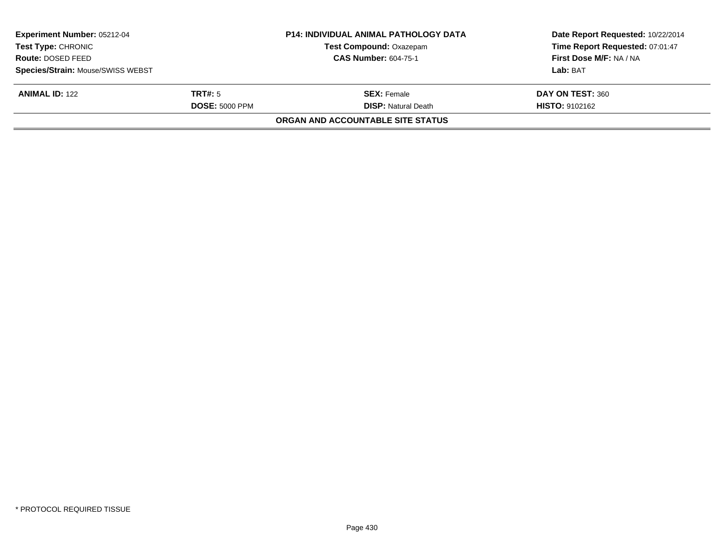| Experiment Number: 05212-04       |                       | <b>P14: INDIVIDUAL ANIMAL PATHOLOGY DATA</b> | Date Report Requested: 10/22/2014 |
|-----------------------------------|-----------------------|----------------------------------------------|-----------------------------------|
| <b>Test Type: CHRONIC</b>         |                       | <b>Test Compound: Oxazepam</b>               | Time Report Requested: 07:01:47   |
| Route: DOSED FEED                 |                       | <b>CAS Number: 604-75-1</b>                  | First Dose M/F: NA / NA           |
| Species/Strain: Mouse/SWISS WEBST |                       |                                              | Lab: BAT                          |
| <b>ANIMAL ID: 122</b>             | TRT#: 5               | <b>SEX:</b> Female                           | DAY ON TEST: 360                  |
|                                   | <b>DOSE: 5000 PPM</b> | <b>DISP: Natural Death</b>                   | <b>HISTO: 9102162</b>             |
|                                   |                       | ORGAN AND ACCOUNTABLE SITE STATUS            |                                   |
|                                   |                       |                                              |                                   |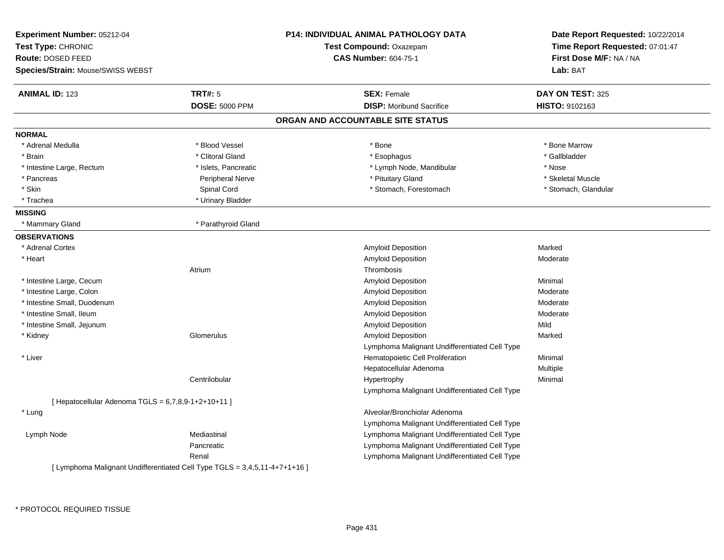| <b>Experiment Number: 05212-04</b><br>Test Type: CHRONIC<br>Route: DOSED FEED<br>Species/Strain: Mouse/SWISS WEBST |                       | <b>P14: INDIVIDUAL ANIMAL PATHOLOGY DATA</b><br>Test Compound: Oxazepam<br><b>CAS Number: 604-75-1</b> | Date Report Requested: 10/22/2014<br>Time Report Requested: 07:01:47<br>First Dose M/F: NA / NA<br>Lab: BAT |
|--------------------------------------------------------------------------------------------------------------------|-----------------------|--------------------------------------------------------------------------------------------------------|-------------------------------------------------------------------------------------------------------------|
| <b>ANIMAL ID: 123</b>                                                                                              | <b>TRT#: 5</b>        | <b>SEX: Female</b>                                                                                     | DAY ON TEST: 325                                                                                            |
|                                                                                                                    | <b>DOSE: 5000 PPM</b> | <b>DISP:</b> Moribund Sacrifice                                                                        | <b>HISTO: 9102163</b>                                                                                       |
|                                                                                                                    |                       | ORGAN AND ACCOUNTABLE SITE STATUS                                                                      |                                                                                                             |
| <b>NORMAL</b>                                                                                                      |                       |                                                                                                        |                                                                                                             |
| * Adrenal Medulla                                                                                                  | * Blood Vessel        | * Bone                                                                                                 | * Bone Marrow                                                                                               |
| * Brain                                                                                                            | * Clitoral Gland      | * Esophagus                                                                                            | * Gallbladder                                                                                               |
| * Intestine Large, Rectum                                                                                          | * Islets, Pancreatic  | * Lymph Node, Mandibular                                                                               | * Nose                                                                                                      |
| * Pancreas                                                                                                         | Peripheral Nerve      | * Pituitary Gland                                                                                      | * Skeletal Muscle                                                                                           |
| * Skin                                                                                                             | Spinal Cord           | * Stomach, Forestomach                                                                                 | * Stomach, Glandular                                                                                        |
| * Trachea                                                                                                          | * Urinary Bladder     |                                                                                                        |                                                                                                             |
| <b>MISSING</b>                                                                                                     |                       |                                                                                                        |                                                                                                             |
| * Mammary Gland                                                                                                    | * Parathyroid Gland   |                                                                                                        |                                                                                                             |
| <b>OBSERVATIONS</b>                                                                                                |                       |                                                                                                        |                                                                                                             |
| * Adrenal Cortex                                                                                                   |                       | Amyloid Deposition                                                                                     | Marked                                                                                                      |
| * Heart                                                                                                            |                       | <b>Amyloid Deposition</b>                                                                              | Moderate                                                                                                    |
|                                                                                                                    | Atrium                | Thrombosis                                                                                             |                                                                                                             |
| * Intestine Large, Cecum                                                                                           |                       | Amyloid Deposition                                                                                     | Minimal                                                                                                     |
| * Intestine Large, Colon                                                                                           |                       | <b>Amyloid Deposition</b>                                                                              | Moderate                                                                                                    |
| * Intestine Small, Duodenum                                                                                        |                       | <b>Amyloid Deposition</b>                                                                              | Moderate                                                                                                    |
| * Intestine Small, Ileum                                                                                           |                       | <b>Amyloid Deposition</b>                                                                              | Moderate                                                                                                    |
| * Intestine Small, Jejunum                                                                                         |                       | Amyloid Deposition                                                                                     | Mild                                                                                                        |
| * Kidney                                                                                                           | Glomerulus            | Amyloid Deposition                                                                                     | Marked                                                                                                      |
|                                                                                                                    |                       | Lymphoma Malignant Undifferentiated Cell Type                                                          |                                                                                                             |
| * Liver                                                                                                            |                       | Hematopoietic Cell Proliferation                                                                       | Minimal                                                                                                     |
|                                                                                                                    |                       | Hepatocellular Adenoma                                                                                 | Multiple                                                                                                    |
|                                                                                                                    | Centrilobular         | Hypertrophy                                                                                            | Minimal                                                                                                     |
|                                                                                                                    |                       | Lymphoma Malignant Undifferentiated Cell Type                                                          |                                                                                                             |
| [ Hepatocellular Adenoma TGLS = $6,7,8,9-1+2+10+11$ ]                                                              |                       |                                                                                                        |                                                                                                             |
| * Lung                                                                                                             |                       | Alveolar/Bronchiolar Adenoma                                                                           |                                                                                                             |
|                                                                                                                    |                       | Lymphoma Malignant Undifferentiated Cell Type                                                          |                                                                                                             |
| Lymph Node                                                                                                         | Mediastinal           | Lymphoma Malignant Undifferentiated Cell Type                                                          |                                                                                                             |
|                                                                                                                    | Pancreatic            | Lymphoma Malignant Undifferentiated Cell Type                                                          |                                                                                                             |
| [ Lymphoma Malignant Undifferentiated Cell Type TGLS = 3,4,5,11-4+7+1+16 ]                                         | Renal                 | Lymphoma Malignant Undifferentiated Cell Type                                                          |                                                                                                             |

\* PROTOCOL REQUIRED TISSUE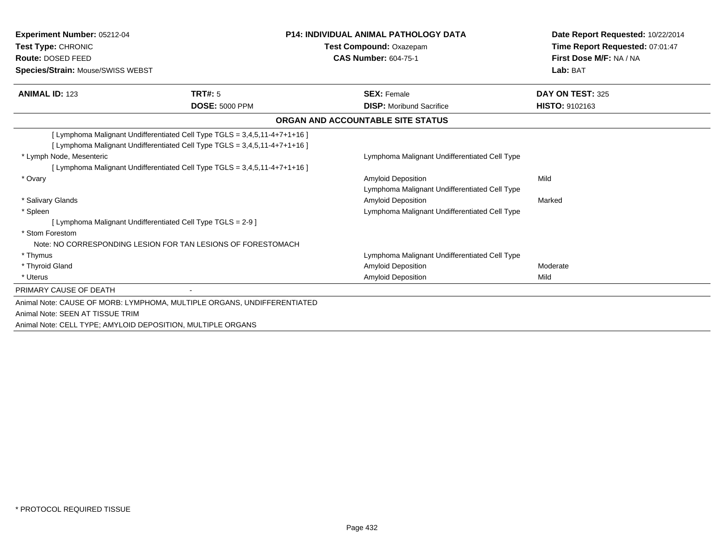| <b>Experiment Number: 05212-04</b><br>Test Type: CHRONIC<br>Route: DOSED FEED<br><b>Species/Strain: Mouse/SWISS WEBST</b>                                                  |                                                                            | <b>P14: INDIVIDUAL ANIMAL PATHOLOGY DATA</b><br>Test Compound: Oxazepam<br><b>CAS Number: 604-75-1</b> | Date Report Requested: 10/22/2014<br>Time Report Requested: 07:01:47<br>First Dose M/F: NA / NA<br>Lab: BAT |
|----------------------------------------------------------------------------------------------------------------------------------------------------------------------------|----------------------------------------------------------------------------|--------------------------------------------------------------------------------------------------------|-------------------------------------------------------------------------------------------------------------|
| <b>ANIMAL ID: 123</b>                                                                                                                                                      | <b>TRT#: 5</b><br><b>DOSE: 5000 PPM</b>                                    | <b>SEX: Female</b><br><b>DISP:</b> Moribund Sacrifice                                                  | DAY ON TEST: 325<br><b>HISTO: 9102163</b>                                                                   |
|                                                                                                                                                                            |                                                                            | ORGAN AND ACCOUNTABLE SITE STATUS                                                                      |                                                                                                             |
|                                                                                                                                                                            | [Lymphoma Malignant Undifferentiated Cell Type TGLS = 3,4,5,11-4+7+1+16 ]  |                                                                                                        |                                                                                                             |
| * Lymph Node, Mesenteric                                                                                                                                                   | [ Lymphoma Malignant Undifferentiated Cell Type TGLS = 3,4,5,11-4+7+1+16 ] | Lymphoma Malignant Undifferentiated Cell Type                                                          |                                                                                                             |
| * Ovary                                                                                                                                                                    | [ Lymphoma Malignant Undifferentiated Cell Type TGLS = 3,4,5,11-4+7+1+16 ] | <b>Amyloid Deposition</b><br>Lymphoma Malignant Undifferentiated Cell Type                             | Mild                                                                                                        |
| * Salivary Glands<br>* Spleen                                                                                                                                              |                                                                            | <b>Amyloid Deposition</b><br>Lymphoma Malignant Undifferentiated Cell Type                             | Marked                                                                                                      |
| [ Lymphoma Malignant Undifferentiated Cell Type TGLS = 2-9 ]<br>* Stom Forestom<br>Note: NO CORRESPONDING LESION FOR TAN LESIONS OF FORESTOMACH                            |                                                                            |                                                                                                        |                                                                                                             |
| * Thymus<br>* Thyroid Gland                                                                                                                                                |                                                                            | Lymphoma Malignant Undifferentiated Cell Type<br><b>Amyloid Deposition</b>                             | Moderate                                                                                                    |
| * Uterus                                                                                                                                                                   |                                                                            | <b>Amyloid Deposition</b>                                                                              | Mild                                                                                                        |
| PRIMARY CAUSE OF DEATH                                                                                                                                                     |                                                                            |                                                                                                        |                                                                                                             |
| Animal Note: CAUSE OF MORB: LYMPHOMA, MULTIPLE ORGANS, UNDIFFERENTIATED<br>Animal Note: SEEN AT TISSUE TRIM<br>Animal Note: CELL TYPE; AMYLOID DEPOSITION, MULTIPLE ORGANS |                                                                            |                                                                                                        |                                                                                                             |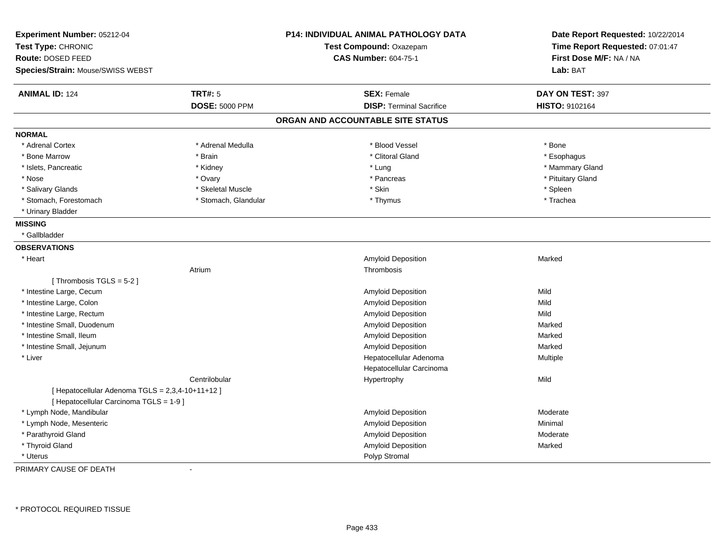| Experiment Number: 05212-04<br>Test Type: CHRONIC<br>Route: DOSED FEED |                       | P14: INDIVIDUAL ANIMAL PATHOLOGY DATA<br>Test Compound: Oxazepam<br><b>CAS Number: 604-75-1</b> | Date Report Requested: 10/22/2014<br>Time Report Requested: 07:01:47<br>First Dose M/F: NA / NA |
|------------------------------------------------------------------------|-----------------------|-------------------------------------------------------------------------------------------------|-------------------------------------------------------------------------------------------------|
| Species/Strain: Mouse/SWISS WEBST                                      |                       |                                                                                                 | Lab: BAT                                                                                        |
| <b>ANIMAL ID: 124</b>                                                  | <b>TRT#: 5</b>        | <b>SEX: Female</b>                                                                              | DAY ON TEST: 397                                                                                |
|                                                                        | <b>DOSE: 5000 PPM</b> | <b>DISP: Terminal Sacrifice</b>                                                                 | HISTO: 9102164                                                                                  |
|                                                                        |                       | ORGAN AND ACCOUNTABLE SITE STATUS                                                               |                                                                                                 |
| <b>NORMAL</b>                                                          |                       |                                                                                                 |                                                                                                 |
| * Adrenal Cortex                                                       | * Adrenal Medulla     | * Blood Vessel                                                                                  | * Bone                                                                                          |
| * Bone Marrow                                                          | * Brain               | * Clitoral Gland                                                                                | * Esophagus                                                                                     |
| * Islets, Pancreatic                                                   | * Kidney              | * Lung                                                                                          | * Mammary Gland                                                                                 |
| * Nose                                                                 | * Ovary               | * Pancreas                                                                                      | * Pituitary Gland                                                                               |
| * Salivary Glands                                                      | * Skeletal Muscle     | * Skin                                                                                          | * Spleen                                                                                        |
| * Stomach, Forestomach                                                 | * Stomach, Glandular  | * Thymus                                                                                        | * Trachea                                                                                       |
| * Urinary Bladder                                                      |                       |                                                                                                 |                                                                                                 |
| <b>MISSING</b>                                                         |                       |                                                                                                 |                                                                                                 |
| * Gallbladder                                                          |                       |                                                                                                 |                                                                                                 |
| <b>OBSERVATIONS</b>                                                    |                       |                                                                                                 |                                                                                                 |
| * Heart                                                                |                       | Amyloid Deposition                                                                              | Marked                                                                                          |
|                                                                        | Atrium                | Thrombosis                                                                                      |                                                                                                 |
| [Thrombosis $TGLS = 5-2$ ]                                             |                       |                                                                                                 |                                                                                                 |
| * Intestine Large, Cecum                                               |                       | Amyloid Deposition                                                                              | Mild                                                                                            |
| * Intestine Large, Colon                                               |                       | Amyloid Deposition                                                                              | Mild                                                                                            |
| * Intestine Large, Rectum                                              |                       | Amyloid Deposition                                                                              | Mild                                                                                            |
| * Intestine Small, Duodenum                                            |                       | Amyloid Deposition                                                                              | Marked                                                                                          |
| * Intestine Small, Ileum                                               |                       | Amyloid Deposition                                                                              | Marked                                                                                          |
| * Intestine Small, Jejunum                                             |                       | Amyloid Deposition                                                                              | Marked                                                                                          |
| * Liver                                                                |                       | Hepatocellular Adenoma                                                                          | Multiple                                                                                        |
|                                                                        |                       | Hepatocellular Carcinoma                                                                        |                                                                                                 |
|                                                                        | Centrilobular         | Hypertrophy                                                                                     | Mild                                                                                            |
| [ Hepatocellular Adenoma TGLS = 2,3,4-10+11+12 ]                       |                       |                                                                                                 |                                                                                                 |
| [ Hepatocellular Carcinoma TGLS = 1-9 ]                                |                       |                                                                                                 |                                                                                                 |
| * Lymph Node, Mandibular                                               |                       | Amyloid Deposition                                                                              | Moderate                                                                                        |
| * Lymph Node, Mesenteric                                               |                       | Amyloid Deposition                                                                              | Minimal                                                                                         |
| * Parathyroid Gland                                                    |                       | Amyloid Deposition                                                                              | Moderate                                                                                        |
| * Thyroid Gland                                                        |                       | Amyloid Deposition                                                                              | Marked                                                                                          |
| * Uterus                                                               |                       | Polyp Stromal                                                                                   |                                                                                                 |

PRIMARY CAUSE OF DEATH-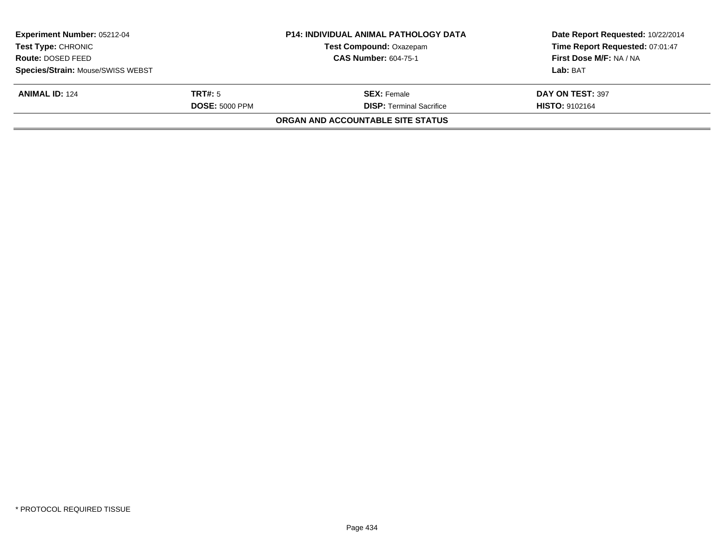| <b>Experiment Number: 05212-04</b><br><b>Test Type: CHRONIC</b> |                       | <b>P14: INDIVIDUAL ANIMAL PATHOLOGY DATA</b><br><b>Test Compound: Oxazepam</b> | Date Report Requested: 10/22/2014<br>Time Report Requested: 07:01:47 |
|-----------------------------------------------------------------|-----------------------|--------------------------------------------------------------------------------|----------------------------------------------------------------------|
| Route: DOSED FEED                                               |                       | <b>CAS Number: 604-75-1</b>                                                    | First Dose M/F: NA / NA                                              |
| Species/Strain: Mouse/SWISS WEBST                               |                       |                                                                                | Lab: BAT                                                             |
| <b>ANIMAL ID: 124</b>                                           | TRT#: 5               | <b>SEX: Female</b>                                                             | DAY ON TEST: 397                                                     |
|                                                                 | <b>DOSE: 5000 PPM</b> | <b>DISP: Terminal Sacrifice</b>                                                | <b>HISTO: 9102164</b>                                                |
|                                                                 |                       | <b>ORGAN AND ACCOUNTABLE SITE STATUS</b>                                       |                                                                      |
|                                                                 |                       |                                                                                |                                                                      |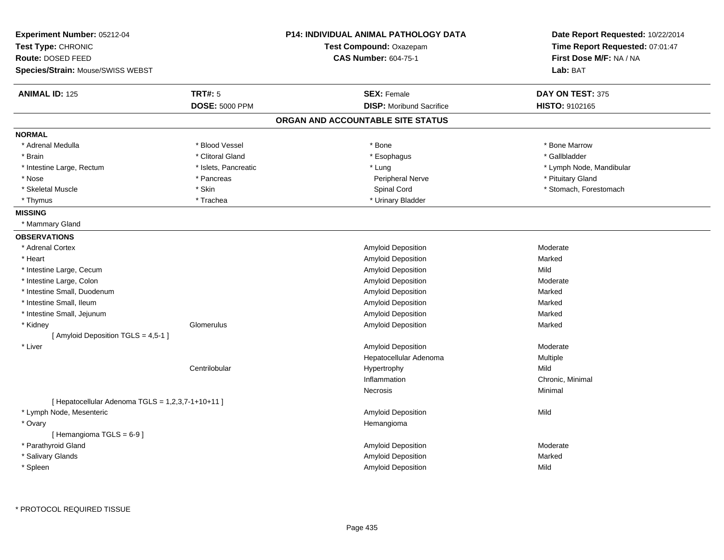| Experiment Number: 05212-04<br>Test Type: CHRONIC<br>Route: DOSED FEED |                       | <b>P14: INDIVIDUAL ANIMAL PATHOLOGY DATA</b> | Date Report Requested: 10/22/2014 |  |
|------------------------------------------------------------------------|-----------------------|----------------------------------------------|-----------------------------------|--|
|                                                                        |                       | Test Compound: Oxazepam                      | Time Report Requested: 07:01:47   |  |
|                                                                        |                       | <b>CAS Number: 604-75-1</b>                  | First Dose M/F: NA / NA           |  |
| <b>Species/Strain: Mouse/SWISS WEBST</b>                               |                       |                                              | Lab: BAT                          |  |
| <b>ANIMAL ID: 125</b>                                                  | TRT#: 5               | <b>SEX: Female</b>                           | DAY ON TEST: 375                  |  |
|                                                                        | <b>DOSE: 5000 PPM</b> | <b>DISP:</b> Moribund Sacrifice              | HISTO: 9102165                    |  |
|                                                                        |                       | ORGAN AND ACCOUNTABLE SITE STATUS            |                                   |  |
| <b>NORMAL</b>                                                          |                       |                                              |                                   |  |
| * Adrenal Medulla                                                      | * Blood Vessel        | * Bone                                       | * Bone Marrow                     |  |
| * Brain                                                                | * Clitoral Gland      | * Esophagus                                  | * Gallbladder                     |  |
| * Intestine Large, Rectum                                              | * Islets, Pancreatic  | * Lung                                       | * Lymph Node, Mandibular          |  |
| * Nose                                                                 | * Pancreas            | Peripheral Nerve                             | * Pituitary Gland                 |  |
| * Skeletal Muscle                                                      | * Skin                | Spinal Cord                                  | * Stomach, Forestomach            |  |
| * Thymus                                                               | * Trachea             | * Urinary Bladder                            |                                   |  |
| <b>MISSING</b>                                                         |                       |                                              |                                   |  |
| * Mammary Gland                                                        |                       |                                              |                                   |  |
| <b>OBSERVATIONS</b>                                                    |                       |                                              |                                   |  |
| * Adrenal Cortex                                                       |                       | Amyloid Deposition                           | Moderate                          |  |
| * Heart                                                                |                       | Amyloid Deposition                           | Marked                            |  |
| * Intestine Large, Cecum                                               |                       | Amyloid Deposition                           | Mild                              |  |
| * Intestine Large, Colon                                               |                       | Amyloid Deposition                           | Moderate                          |  |
| * Intestine Small, Duodenum                                            |                       | Amyloid Deposition                           | Marked                            |  |
| * Intestine Small, Ileum                                               |                       | Amyloid Deposition                           | Marked                            |  |
| * Intestine Small, Jejunum                                             |                       | <b>Amyloid Deposition</b>                    | Marked                            |  |
| * Kidney                                                               | Glomerulus            | Amyloid Deposition                           | Marked                            |  |
| [ Amyloid Deposition TGLS = 4,5-1 ]                                    |                       |                                              |                                   |  |
| * Liver                                                                |                       | Amyloid Deposition                           | Moderate                          |  |
|                                                                        |                       | Hepatocellular Adenoma                       | Multiple                          |  |
|                                                                        | Centrilobular         | Hypertrophy                                  | Mild                              |  |
|                                                                        |                       | Inflammation                                 | Chronic, Minimal                  |  |
|                                                                        |                       | Necrosis                                     | Minimal                           |  |
| [ Hepatocellular Adenoma $TGLS = 1,2,3,7-1+10+11$ ]                    |                       |                                              |                                   |  |
| * Lymph Node, Mesenteric                                               |                       | Amyloid Deposition                           | Mild                              |  |
| * Ovary                                                                |                       | Hemangioma                                   |                                   |  |
| [Hemangioma TGLS = 6-9]                                                |                       |                                              |                                   |  |
| * Parathyroid Gland                                                    |                       | Amyloid Deposition                           | Moderate                          |  |
| * Salivary Glands                                                      |                       | Amyloid Deposition                           | Marked                            |  |
| * Spleen                                                               |                       | Amyloid Deposition                           | Mild                              |  |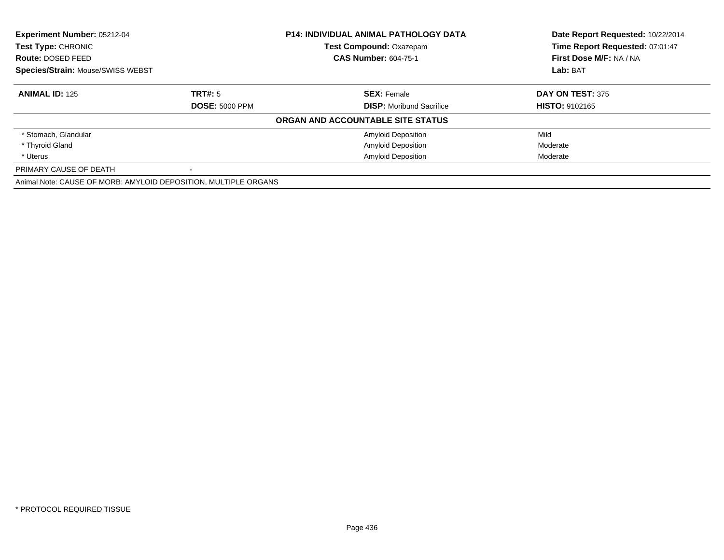| Experiment Number: 05212-04<br><b>P14: INDIVIDUAL ANIMAL PATHOLOGY DATA</b><br>Test Compound: Oxazepam<br>Test Type: CHRONIC<br><b>CAS Number: 604-75-1</b><br><b>Route: DOSED FEED</b><br><b>Species/Strain: Mouse/SWISS WEBST</b> |                       |                                   | Date Report Requested: 10/22/2014 |
|-------------------------------------------------------------------------------------------------------------------------------------------------------------------------------------------------------------------------------------|-----------------------|-----------------------------------|-----------------------------------|
|                                                                                                                                                                                                                                     |                       |                                   | Time Report Requested: 07:01:47   |
|                                                                                                                                                                                                                                     |                       |                                   | First Dose M/F: NA / NA           |
|                                                                                                                                                                                                                                     |                       |                                   | Lab: BAT                          |
| <b>ANIMAL ID: 125</b>                                                                                                                                                                                                               | TRT#: 5               | <b>SEX: Female</b>                | DAY ON TEST: 375                  |
|                                                                                                                                                                                                                                     | <b>DOSE: 5000 PPM</b> | <b>DISP:</b> Moribund Sacrifice   | <b>HISTO: 9102165</b>             |
|                                                                                                                                                                                                                                     |                       | ORGAN AND ACCOUNTABLE SITE STATUS |                                   |
| * Stomach, Glandular                                                                                                                                                                                                                |                       | <b>Amyloid Deposition</b>         | Mild                              |
| * Thyroid Gland                                                                                                                                                                                                                     |                       | <b>Amyloid Deposition</b>         | Moderate                          |
| * Uterus                                                                                                                                                                                                                            |                       | <b>Amyloid Deposition</b>         | Moderate                          |
| PRIMARY CAUSE OF DEATH                                                                                                                                                                                                              |                       |                                   |                                   |
| Animal Note: CAUSE OF MORB: AMYLOID DEPOSITION, MULTIPLE ORGANS                                                                                                                                                                     |                       |                                   |                                   |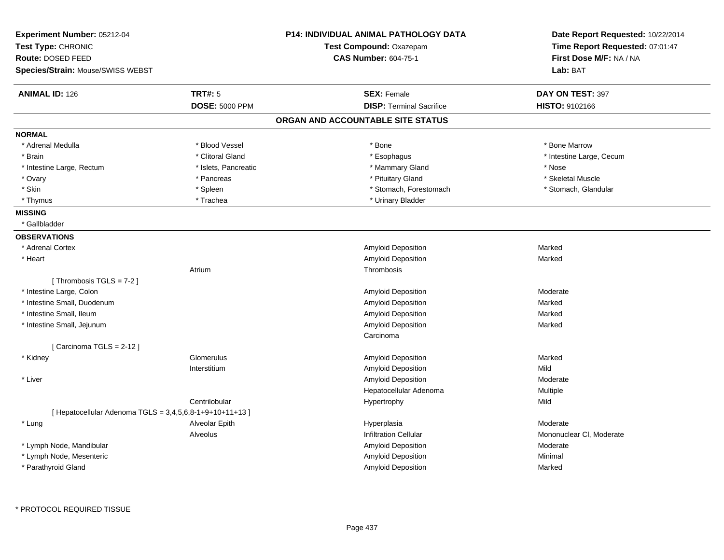| Experiment Number: 05212-04<br>Test Type: CHRONIC          |                       | <b>P14: INDIVIDUAL ANIMAL PATHOLOGY DATA</b> | Date Report Requested: 10/22/2014<br>Time Report Requested: 07:01:47 |  |
|------------------------------------------------------------|-----------------------|----------------------------------------------|----------------------------------------------------------------------|--|
|                                                            |                       | Test Compound: Oxazepam                      |                                                                      |  |
| Route: DOSED FEED                                          |                       | <b>CAS Number: 604-75-1</b>                  | First Dose M/F: NA / NA                                              |  |
| <b>Species/Strain: Mouse/SWISS WEBST</b>                   |                       |                                              | Lab: BAT                                                             |  |
| <b>ANIMAL ID: 126</b>                                      | <b>TRT#: 5</b>        | <b>SEX: Female</b>                           | DAY ON TEST: 397                                                     |  |
|                                                            | <b>DOSE: 5000 PPM</b> | <b>DISP: Terminal Sacrifice</b>              | HISTO: 9102166                                                       |  |
|                                                            |                       | ORGAN AND ACCOUNTABLE SITE STATUS            |                                                                      |  |
| <b>NORMAL</b>                                              |                       |                                              |                                                                      |  |
| * Adrenal Medulla                                          | * Blood Vessel        | * Bone                                       | * Bone Marrow                                                        |  |
| * Brain                                                    | * Clitoral Gland      | * Esophagus                                  | * Intestine Large, Cecum                                             |  |
| * Intestine Large, Rectum                                  | * Islets, Pancreatic  | * Mammary Gland                              | * Nose                                                               |  |
| * Ovary                                                    | * Pancreas            | * Pituitary Gland                            | * Skeletal Muscle                                                    |  |
| * Skin                                                     | * Spleen              | * Stomach, Forestomach                       | * Stomach, Glandular                                                 |  |
| * Thymus                                                   | * Trachea             | * Urinary Bladder                            |                                                                      |  |
| <b>MISSING</b>                                             |                       |                                              |                                                                      |  |
| * Gallbladder                                              |                       |                                              |                                                                      |  |
| <b>OBSERVATIONS</b>                                        |                       |                                              |                                                                      |  |
| * Adrenal Cortex                                           |                       | Amyloid Deposition                           | Marked                                                               |  |
| * Heart                                                    |                       | Amyloid Deposition                           | Marked                                                               |  |
|                                                            | Atrium                | Thrombosis                                   |                                                                      |  |
| [Thrombosis TGLS = $7-2$ ]                                 |                       |                                              |                                                                      |  |
| * Intestine Large, Colon                                   |                       | Amyloid Deposition                           | Moderate                                                             |  |
| * Intestine Small, Duodenum                                |                       | Amyloid Deposition                           | Marked                                                               |  |
| * Intestine Small, Ileum                                   |                       | Amyloid Deposition                           | Marked                                                               |  |
| * Intestine Small, Jejunum                                 |                       | Amyloid Deposition                           | Marked                                                               |  |
|                                                            |                       | Carcinoma                                    |                                                                      |  |
| [Carcinoma TGLS = $2-12$ ]                                 |                       |                                              |                                                                      |  |
| * Kidney                                                   | Glomerulus            | Amyloid Deposition                           | Marked                                                               |  |
|                                                            | Interstitium          | Amyloid Deposition                           | Mild                                                                 |  |
| * Liver                                                    |                       | <b>Amyloid Deposition</b>                    | Moderate                                                             |  |
|                                                            |                       | Hepatocellular Adenoma                       | Multiple                                                             |  |
|                                                            | Centrilobular         | Hypertrophy                                  | Mild                                                                 |  |
| [ Hepatocellular Adenoma TGLS = $3,4,5,6,8-1+9+10+11+13$ ] |                       |                                              |                                                                      |  |
| * Lung                                                     | Alveolar Epith        | Hyperplasia                                  | Moderate                                                             |  |
|                                                            | Alveolus              | <b>Infiltration Cellular</b>                 | Mononuclear CI, Moderate                                             |  |
| * Lymph Node, Mandibular                                   |                       | Amyloid Deposition                           | Moderate                                                             |  |
| * Lymph Node, Mesenteric                                   |                       | Amyloid Deposition                           | Minimal                                                              |  |
| * Parathyroid Gland                                        |                       | <b>Amyloid Deposition</b>                    | Marked                                                               |  |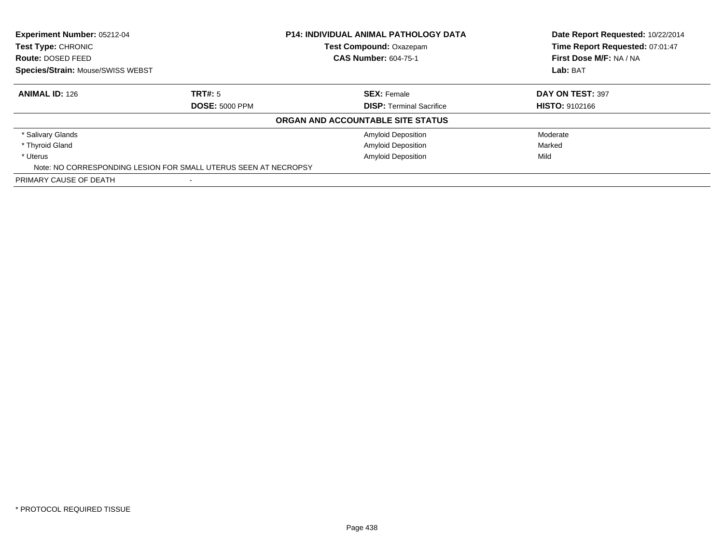| Experiment Number: 05212-04<br>Test Type: CHRONIC |                                                                 | <b>P14: INDIVIDUAL ANIMAL PATHOLOGY DATA</b><br>Test Compound: Oxazepam | Date Report Requested: 10/22/2014<br>Time Report Requested: 07:01:47 |
|---------------------------------------------------|-----------------------------------------------------------------|-------------------------------------------------------------------------|----------------------------------------------------------------------|
| Route: DOSED FEED                                 |                                                                 | <b>CAS Number: 604-75-1</b>                                             | First Dose M/F: NA / NA                                              |
| Species/Strain: Mouse/SWISS WEBST                 |                                                                 |                                                                         | Lab: BAT                                                             |
| <b>ANIMAL ID: 126</b>                             | TRT#: 5                                                         | <b>SEX: Female</b>                                                      | <b>DAY ON TEST: 397</b>                                              |
|                                                   | <b>DOSE: 5000 PPM</b>                                           | <b>DISP: Terminal Sacrifice</b>                                         | <b>HISTO: 9102166</b>                                                |
|                                                   |                                                                 | ORGAN AND ACCOUNTABLE SITE STATUS                                       |                                                                      |
| * Salivary Glands                                 |                                                                 | <b>Amyloid Deposition</b>                                               | Moderate                                                             |
| * Thyroid Gland                                   |                                                                 | <b>Amyloid Deposition</b>                                               | Marked                                                               |
| * Uterus                                          |                                                                 | <b>Amyloid Deposition</b>                                               | Mild                                                                 |
|                                                   | Note: NO CORRESPONDING LESION FOR SMALL UTERUS SEEN AT NECROPSY |                                                                         |                                                                      |
| PRIMARY CAUSE OF DEATH                            |                                                                 |                                                                         |                                                                      |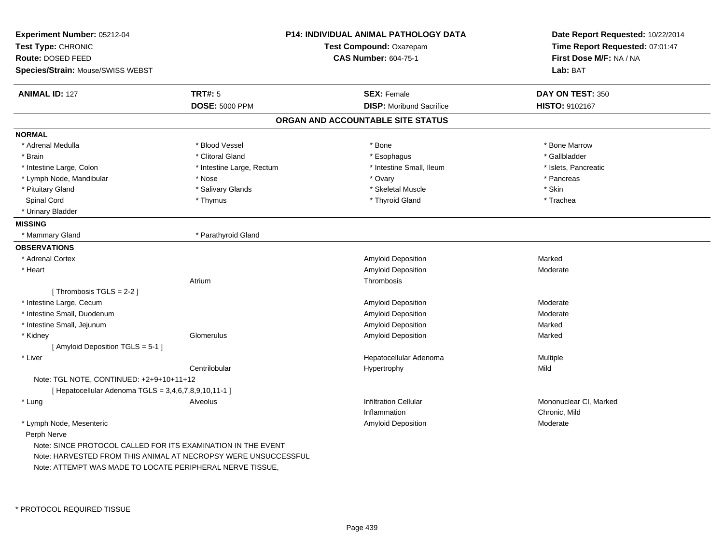| Route: DOSED FEED<br><b>CAS Number: 604-75-1</b><br>Species/Strain: Mouse/SWISS WEBST<br><b>TRT#: 5</b><br><b>ANIMAL ID: 127</b><br><b>SEX: Female</b><br><b>DISP:</b> Moribund Sacrifice<br><b>DOSE: 5000 PPM</b><br>ORGAN AND ACCOUNTABLE SITE STATUS<br><b>NORMAL</b><br>* Adrenal Medulla<br>* Blood Vessel<br>* Bone<br>* Clitoral Gland<br>* Brain<br>* Esophagus<br>* Intestine Large, Colon<br>* Intestine Large, Rectum<br>* Intestine Small, Ileum<br>* Lymph Node, Mandibular<br>* Nose<br>* Ovary<br>* Pituitary Gland<br>* Salivary Glands<br>* Skeletal Muscle<br>* Thyroid Gland<br>Spinal Cord<br>* Thymus<br>* Urinary Bladder<br><b>MISSING</b><br>* Parathyroid Gland<br>* Mammary Gland<br><b>OBSERVATIONS</b><br>* Adrenal Cortex<br>Amyloid Deposition<br>Amyloid Deposition<br>* Heart<br>Atrium<br>Thrombosis | First Dose M/F: NA / NA<br>Lab: BAT<br>DAY ON TEST: 350 |
|---------------------------------------------------------------------------------------------------------------------------------------------------------------------------------------------------------------------------------------------------------------------------------------------------------------------------------------------------------------------------------------------------------------------------------------------------------------------------------------------------------------------------------------------------------------------------------------------------------------------------------------------------------------------------------------------------------------------------------------------------------------------------------------------------------------------------------------|---------------------------------------------------------|
|                                                                                                                                                                                                                                                                                                                                                                                                                                                                                                                                                                                                                                                                                                                                                                                                                                       |                                                         |
|                                                                                                                                                                                                                                                                                                                                                                                                                                                                                                                                                                                                                                                                                                                                                                                                                                       |                                                         |
|                                                                                                                                                                                                                                                                                                                                                                                                                                                                                                                                                                                                                                                                                                                                                                                                                                       | HISTO: 9102167                                          |
|                                                                                                                                                                                                                                                                                                                                                                                                                                                                                                                                                                                                                                                                                                                                                                                                                                       |                                                         |
|                                                                                                                                                                                                                                                                                                                                                                                                                                                                                                                                                                                                                                                                                                                                                                                                                                       |                                                         |
|                                                                                                                                                                                                                                                                                                                                                                                                                                                                                                                                                                                                                                                                                                                                                                                                                                       |                                                         |
|                                                                                                                                                                                                                                                                                                                                                                                                                                                                                                                                                                                                                                                                                                                                                                                                                                       | * Bone Marrow                                           |
|                                                                                                                                                                                                                                                                                                                                                                                                                                                                                                                                                                                                                                                                                                                                                                                                                                       | * Gallbladder                                           |
|                                                                                                                                                                                                                                                                                                                                                                                                                                                                                                                                                                                                                                                                                                                                                                                                                                       | * Islets, Pancreatic                                    |
|                                                                                                                                                                                                                                                                                                                                                                                                                                                                                                                                                                                                                                                                                                                                                                                                                                       | * Pancreas                                              |
|                                                                                                                                                                                                                                                                                                                                                                                                                                                                                                                                                                                                                                                                                                                                                                                                                                       | * Skin                                                  |
|                                                                                                                                                                                                                                                                                                                                                                                                                                                                                                                                                                                                                                                                                                                                                                                                                                       | * Trachea                                               |
|                                                                                                                                                                                                                                                                                                                                                                                                                                                                                                                                                                                                                                                                                                                                                                                                                                       |                                                         |
|                                                                                                                                                                                                                                                                                                                                                                                                                                                                                                                                                                                                                                                                                                                                                                                                                                       |                                                         |
|                                                                                                                                                                                                                                                                                                                                                                                                                                                                                                                                                                                                                                                                                                                                                                                                                                       |                                                         |
|                                                                                                                                                                                                                                                                                                                                                                                                                                                                                                                                                                                                                                                                                                                                                                                                                                       |                                                         |
|                                                                                                                                                                                                                                                                                                                                                                                                                                                                                                                                                                                                                                                                                                                                                                                                                                       | Marked                                                  |
|                                                                                                                                                                                                                                                                                                                                                                                                                                                                                                                                                                                                                                                                                                                                                                                                                                       | Moderate                                                |
|                                                                                                                                                                                                                                                                                                                                                                                                                                                                                                                                                                                                                                                                                                                                                                                                                                       |                                                         |
| [Thrombosis TGLS = $2-2$ ]                                                                                                                                                                                                                                                                                                                                                                                                                                                                                                                                                                                                                                                                                                                                                                                                            |                                                         |
| * Intestine Large, Cecum<br>Amyloid Deposition                                                                                                                                                                                                                                                                                                                                                                                                                                                                                                                                                                                                                                                                                                                                                                                        | Moderate                                                |
| * Intestine Small, Duodenum<br>Amyloid Deposition                                                                                                                                                                                                                                                                                                                                                                                                                                                                                                                                                                                                                                                                                                                                                                                     | Moderate                                                |
| * Intestine Small, Jejunum<br>Amyloid Deposition                                                                                                                                                                                                                                                                                                                                                                                                                                                                                                                                                                                                                                                                                                                                                                                      | Marked                                                  |
| * Kidney<br>Glomerulus<br>Amyloid Deposition                                                                                                                                                                                                                                                                                                                                                                                                                                                                                                                                                                                                                                                                                                                                                                                          | Marked                                                  |
| [ Amyloid Deposition TGLS = 5-1 ]                                                                                                                                                                                                                                                                                                                                                                                                                                                                                                                                                                                                                                                                                                                                                                                                     |                                                         |
| Hepatocellular Adenoma<br>* Liver                                                                                                                                                                                                                                                                                                                                                                                                                                                                                                                                                                                                                                                                                                                                                                                                     | Multiple                                                |
| Centrilobular<br>Hypertrophy                                                                                                                                                                                                                                                                                                                                                                                                                                                                                                                                                                                                                                                                                                                                                                                                          | Mild                                                    |
| Note: TGL NOTE, CONTINUED: +2+9+10+11+12                                                                                                                                                                                                                                                                                                                                                                                                                                                                                                                                                                                                                                                                                                                                                                                              |                                                         |
| [ Hepatocellular Adenoma TGLS = 3,4,6,7,8,9,10,11-1 ]                                                                                                                                                                                                                                                                                                                                                                                                                                                                                                                                                                                                                                                                                                                                                                                 |                                                         |
| * Lung<br>Alveolus<br><b>Infiltration Cellular</b>                                                                                                                                                                                                                                                                                                                                                                                                                                                                                                                                                                                                                                                                                                                                                                                    | Mononuclear CI, Marked                                  |
| Inflammation                                                                                                                                                                                                                                                                                                                                                                                                                                                                                                                                                                                                                                                                                                                                                                                                                          | Chronic, Mild                                           |
| * Lymph Node, Mesenteric<br><b>Amyloid Deposition</b>                                                                                                                                                                                                                                                                                                                                                                                                                                                                                                                                                                                                                                                                                                                                                                                 | Moderate                                                |
| Perph Nerve                                                                                                                                                                                                                                                                                                                                                                                                                                                                                                                                                                                                                                                                                                                                                                                                                           |                                                         |
| Note: SINCE PROTOCOL CALLED FOR ITS EXAMINATION IN THE EVENT                                                                                                                                                                                                                                                                                                                                                                                                                                                                                                                                                                                                                                                                                                                                                                          |                                                         |
| Note: HARVESTED FROM THIS ANIMAL AT NECROPSY WERE UNSUCCESSFUL                                                                                                                                                                                                                                                                                                                                                                                                                                                                                                                                                                                                                                                                                                                                                                        |                                                         |
| Note: ATTEMPT WAS MADE TO LOCATE PERIPHERAL NERVE TISSUE,                                                                                                                                                                                                                                                                                                                                                                                                                                                                                                                                                                                                                                                                                                                                                                             |                                                         |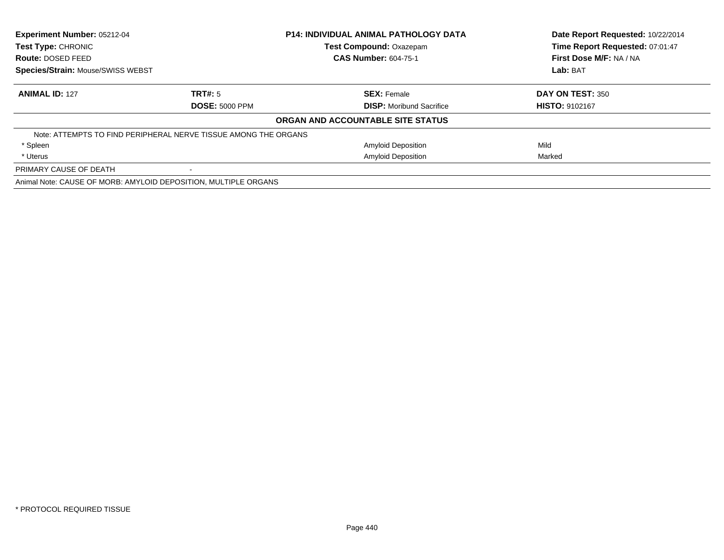| Experiment Number: 05212-04<br><b>Test Type: CHRONIC</b>        |                       | <b>P14: INDIVIDUAL ANIMAL PATHOLOGY DATA</b> | Date Report Requested: 10/22/2014<br>Time Report Requested: 07:01:47 |  |
|-----------------------------------------------------------------|-----------------------|----------------------------------------------|----------------------------------------------------------------------|--|
|                                                                 |                       | <b>Test Compound: Oxazepam</b>               |                                                                      |  |
| <b>Route: DOSED FEED</b>                                        |                       | <b>CAS Number: 604-75-1</b>                  | First Dose M/F: NA / NA                                              |  |
| <b>Species/Strain: Mouse/SWISS WEBST</b>                        |                       |                                              | Lab: BAT                                                             |  |
| <b>ANIMAL ID: 127</b>                                           | TRT#: 5               | <b>SEX: Female</b>                           | DAY ON TEST: 350                                                     |  |
|                                                                 | <b>DOSE: 5000 PPM</b> | <b>DISP:</b> Moribund Sacrifice              | <b>HISTO: 9102167</b>                                                |  |
|                                                                 |                       | ORGAN AND ACCOUNTABLE SITE STATUS            |                                                                      |  |
| Note: ATTEMPTS TO FIND PERIPHERAL NERVE TISSUE AMONG THE ORGANS |                       |                                              |                                                                      |  |
| * Spleen                                                        |                       | <b>Amyloid Deposition</b>                    | Mild                                                                 |  |
| * Uterus                                                        |                       | <b>Amyloid Deposition</b>                    | Marked                                                               |  |
| PRIMARY CAUSE OF DEATH                                          |                       |                                              |                                                                      |  |
| Animal Note: CAUSE OF MORB: AMYLOID DEPOSITION, MULTIPLE ORGANS |                       |                                              |                                                                      |  |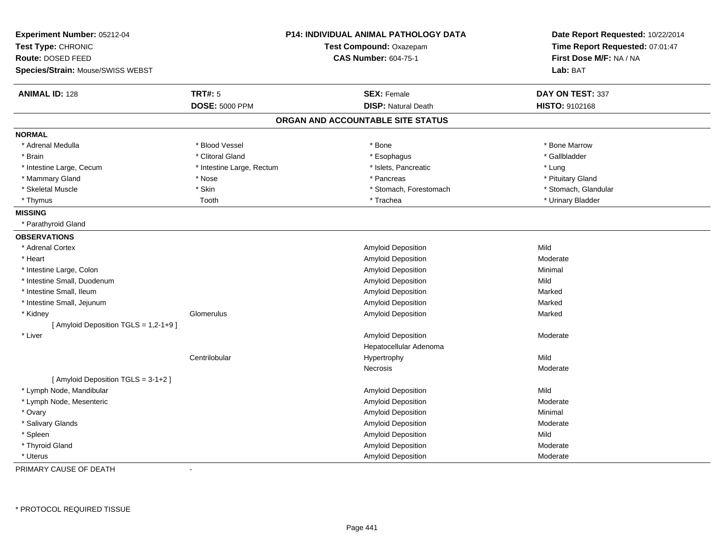| Experiment Number: 05212-04<br>Test Type: CHRONIC<br>Route: DOSED FEED | <b>P14: INDIVIDUAL ANIMAL PATHOLOGY DATA</b><br>Test Compound: Oxazepam<br><b>CAS Number: 604-75-1</b> |  | Date Report Requested: 10/22/2014<br>Time Report Requested: 07:01:47<br>First Dose M/F: NA / NA |                      |
|------------------------------------------------------------------------|--------------------------------------------------------------------------------------------------------|--|-------------------------------------------------------------------------------------------------|----------------------|
| Species/Strain: Mouse/SWISS WEBST                                      |                                                                                                        |  |                                                                                                 | Lab: BAT             |
| <b>ANIMAL ID: 128</b>                                                  | <b>TRT#: 5</b>                                                                                         |  | <b>SEX: Female</b>                                                                              | DAY ON TEST: 337     |
|                                                                        | <b>DOSE: 5000 PPM</b>                                                                                  |  | <b>DISP: Natural Death</b>                                                                      | HISTO: 9102168       |
|                                                                        |                                                                                                        |  | ORGAN AND ACCOUNTABLE SITE STATUS                                                               |                      |
| <b>NORMAL</b>                                                          |                                                                                                        |  |                                                                                                 |                      |
| * Adrenal Medulla                                                      | * Blood Vessel                                                                                         |  | * Bone                                                                                          | * Bone Marrow        |
| * Brain                                                                | * Clitoral Gland                                                                                       |  | * Esophagus                                                                                     | * Gallbladder        |
| * Intestine Large, Cecum                                               | * Intestine Large, Rectum                                                                              |  | * Islets, Pancreatic                                                                            | * Lung               |
| * Mammary Gland                                                        | * Nose                                                                                                 |  | * Pancreas                                                                                      | * Pituitary Gland    |
| * Skeletal Muscle                                                      | * Skin                                                                                                 |  | * Stomach, Forestomach                                                                          | * Stomach, Glandular |
| * Thymus                                                               | Tooth                                                                                                  |  | * Trachea                                                                                       | * Urinary Bladder    |
| <b>MISSING</b>                                                         |                                                                                                        |  |                                                                                                 |                      |
| * Parathyroid Gland                                                    |                                                                                                        |  |                                                                                                 |                      |
| <b>OBSERVATIONS</b>                                                    |                                                                                                        |  |                                                                                                 |                      |
| * Adrenal Cortex                                                       |                                                                                                        |  | Amyloid Deposition                                                                              | Mild                 |
| * Heart                                                                |                                                                                                        |  | Amyloid Deposition                                                                              | Moderate             |
| * Intestine Large, Colon                                               |                                                                                                        |  | <b>Amyloid Deposition</b>                                                                       | Minimal              |
| * Intestine Small, Duodenum                                            |                                                                                                        |  | Amyloid Deposition                                                                              | Mild                 |
| * Intestine Small, Ileum                                               |                                                                                                        |  | Amyloid Deposition                                                                              | Marked               |
| * Intestine Small, Jejunum                                             |                                                                                                        |  | Amyloid Deposition                                                                              | Marked               |
| * Kidney                                                               | Glomerulus                                                                                             |  | <b>Amyloid Deposition</b>                                                                       | Marked               |
| [Amyloid Deposition TGLS = 1,2-1+9]                                    |                                                                                                        |  |                                                                                                 |                      |
| * Liver                                                                |                                                                                                        |  | <b>Amyloid Deposition</b>                                                                       | Moderate             |
|                                                                        |                                                                                                        |  | Hepatocellular Adenoma                                                                          |                      |
|                                                                        | Centrilobular                                                                                          |  | Hypertrophy                                                                                     | Mild                 |
|                                                                        |                                                                                                        |  | Necrosis                                                                                        | Moderate             |
| [ Amyloid Deposition TGLS = 3-1+2 ]                                    |                                                                                                        |  |                                                                                                 |                      |
| * Lymph Node, Mandibular                                               |                                                                                                        |  | Amyloid Deposition                                                                              | Mild                 |
| * Lymph Node, Mesenteric                                               |                                                                                                        |  | Amyloid Deposition                                                                              | Moderate             |
| * Ovary                                                                |                                                                                                        |  | <b>Amyloid Deposition</b>                                                                       | Minimal              |
| * Salivary Glands                                                      |                                                                                                        |  | <b>Amyloid Deposition</b>                                                                       | Moderate             |
| * Spleen                                                               |                                                                                                        |  | Amyloid Deposition                                                                              | Mild                 |
| * Thyroid Gland                                                        |                                                                                                        |  | Amyloid Deposition                                                                              | Moderate             |
| * Uterus                                                               |                                                                                                        |  | <b>Amyloid Deposition</b>                                                                       | Moderate             |

PRIMARY CAUSE OF DEATH-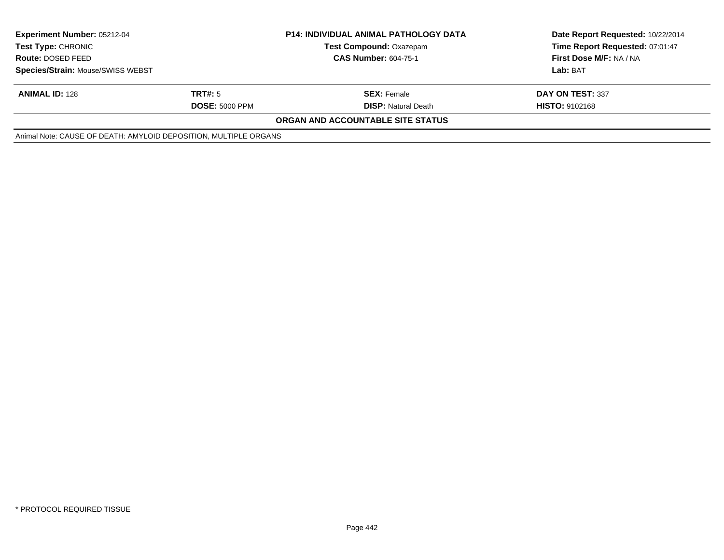| <b>Experiment Number: 05212-04</b><br><b>Test Type: CHRONIC</b><br><b>Route: DOSED FEED</b><br>Species/Strain: Mouse/SWISS WEBST |                       | <b>P14: INDIVIDUAL ANIMAL PATHOLOGY DATA</b><br><b>Test Compound: Oxazepam</b> | Date Report Requested: 10/22/2014<br>Time Report Requested: 07:01:47 |
|----------------------------------------------------------------------------------------------------------------------------------|-----------------------|--------------------------------------------------------------------------------|----------------------------------------------------------------------|
|                                                                                                                                  |                       | <b>CAS Number: 604-75-1</b>                                                    | First Dose M/F: NA / NA                                              |
|                                                                                                                                  |                       |                                                                                | Lab: BAT                                                             |
| <b>ANIMAL ID: 128</b>                                                                                                            | TRT#: 5               | <b>SEX: Female</b>                                                             | DAY ON TEST: 337                                                     |
|                                                                                                                                  | <b>DOSE: 5000 PPM</b> | <b>DISP:</b> Natural Death                                                     | <b>HISTO: 9102168</b>                                                |
|                                                                                                                                  |                       | <b>ORGAN AND ACCOUNTABLE SITE STATUS</b>                                       |                                                                      |
| Animal Note: CAUSE OF DEATH: AMYLOID DEPOSITION, MULTIPLE ORGANS                                                                 |                       |                                                                                |                                                                      |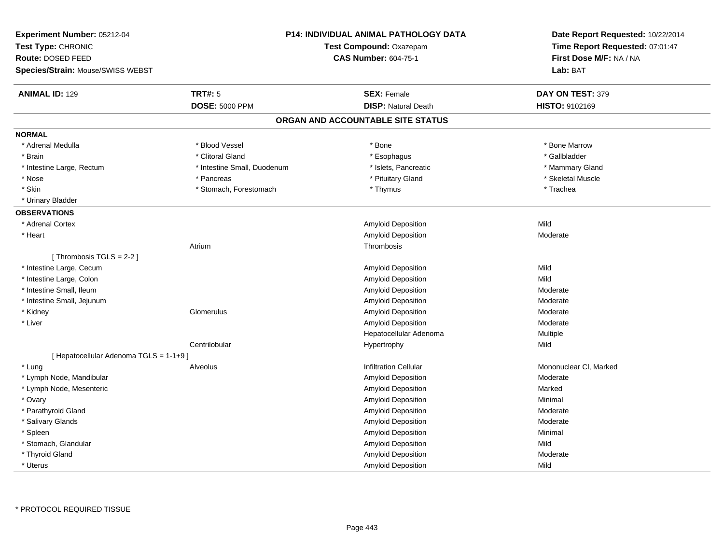| Experiment Number: 05212-04<br>Test Type: CHRONIC<br>Route: DOSED FEED<br>Species/Strain: Mouse/SWISS WEBST | P14: INDIVIDUAL ANIMAL PATHOLOGY DATA<br>Test Compound: Oxazepam<br><b>CAS Number: 604-75-1</b> |                                   | Date Report Requested: 10/22/2014<br>Time Report Requested: 07:01:47<br>First Dose M/F: NA / NA<br>Lab: BAT |  |
|-------------------------------------------------------------------------------------------------------------|-------------------------------------------------------------------------------------------------|-----------------------------------|-------------------------------------------------------------------------------------------------------------|--|
| <b>ANIMAL ID: 129</b>                                                                                       | <b>TRT#: 5</b>                                                                                  | <b>SEX: Female</b>                | DAY ON TEST: 379                                                                                            |  |
|                                                                                                             | <b>DOSE: 5000 PPM</b>                                                                           | <b>DISP: Natural Death</b>        | HISTO: 9102169                                                                                              |  |
|                                                                                                             |                                                                                                 | ORGAN AND ACCOUNTABLE SITE STATUS |                                                                                                             |  |
| <b>NORMAL</b>                                                                                               |                                                                                                 |                                   |                                                                                                             |  |
| * Adrenal Medulla                                                                                           | * Blood Vessel                                                                                  | * Bone                            | * Bone Marrow                                                                                               |  |
| * Brain                                                                                                     | * Clitoral Gland                                                                                | * Esophagus                       | * Gallbladder                                                                                               |  |
| * Intestine Large, Rectum                                                                                   | * Intestine Small, Duodenum                                                                     | * Islets, Pancreatic              | * Mammary Gland                                                                                             |  |
| * Nose                                                                                                      | * Pancreas                                                                                      | * Pituitary Gland                 | * Skeletal Muscle                                                                                           |  |
| * Skin                                                                                                      | * Stomach, Forestomach                                                                          | * Thymus                          | * Trachea                                                                                                   |  |
| * Urinary Bladder                                                                                           |                                                                                                 |                                   |                                                                                                             |  |
| <b>OBSERVATIONS</b>                                                                                         |                                                                                                 |                                   |                                                                                                             |  |
| * Adrenal Cortex                                                                                            |                                                                                                 | Amyloid Deposition                | Mild                                                                                                        |  |
| * Heart                                                                                                     |                                                                                                 | <b>Amyloid Deposition</b>         | Moderate                                                                                                    |  |
|                                                                                                             | Atrium                                                                                          | Thrombosis                        |                                                                                                             |  |
| [Thrombosis TGLS = $2-2$ ]                                                                                  |                                                                                                 |                                   |                                                                                                             |  |
| * Intestine Large, Cecum                                                                                    |                                                                                                 | Amyloid Deposition                | Mild                                                                                                        |  |
| * Intestine Large, Colon                                                                                    |                                                                                                 | <b>Amyloid Deposition</b>         | Mild                                                                                                        |  |
| * Intestine Small, Ileum                                                                                    |                                                                                                 | Amyloid Deposition                | Moderate                                                                                                    |  |
| * Intestine Small, Jejunum                                                                                  |                                                                                                 | Amyloid Deposition                | Moderate                                                                                                    |  |
| * Kidney                                                                                                    | Glomerulus                                                                                      | Amyloid Deposition                | Moderate                                                                                                    |  |
| * Liver                                                                                                     |                                                                                                 | <b>Amyloid Deposition</b>         | Moderate                                                                                                    |  |
|                                                                                                             |                                                                                                 | Hepatocellular Adenoma            | Multiple                                                                                                    |  |
|                                                                                                             | Centrilobular                                                                                   | Hypertrophy                       | Mild                                                                                                        |  |
| [ Hepatocellular Adenoma TGLS = 1-1+9 ]                                                                     |                                                                                                 |                                   |                                                                                                             |  |
| * Lung                                                                                                      | Alveolus                                                                                        | <b>Infiltration Cellular</b>      | Mononuclear CI, Marked                                                                                      |  |
| * Lymph Node, Mandibular                                                                                    |                                                                                                 | Amyloid Deposition                | Moderate                                                                                                    |  |
| * Lymph Node, Mesenteric                                                                                    |                                                                                                 | Amyloid Deposition                | Marked                                                                                                      |  |
| * Ovary                                                                                                     |                                                                                                 | Amyloid Deposition                | Minimal                                                                                                     |  |
| * Parathyroid Gland                                                                                         |                                                                                                 | <b>Amyloid Deposition</b>         | Moderate                                                                                                    |  |
| * Salivary Glands                                                                                           |                                                                                                 | Amyloid Deposition                | Moderate                                                                                                    |  |
| * Spleen                                                                                                    |                                                                                                 | Amyloid Deposition                | Minimal                                                                                                     |  |
| * Stomach, Glandular                                                                                        |                                                                                                 | Amyloid Deposition                | Mild                                                                                                        |  |
| * Thyroid Gland                                                                                             |                                                                                                 | Amyloid Deposition                | Moderate                                                                                                    |  |
| * Uterus                                                                                                    |                                                                                                 | Amyloid Deposition                | Mild                                                                                                        |  |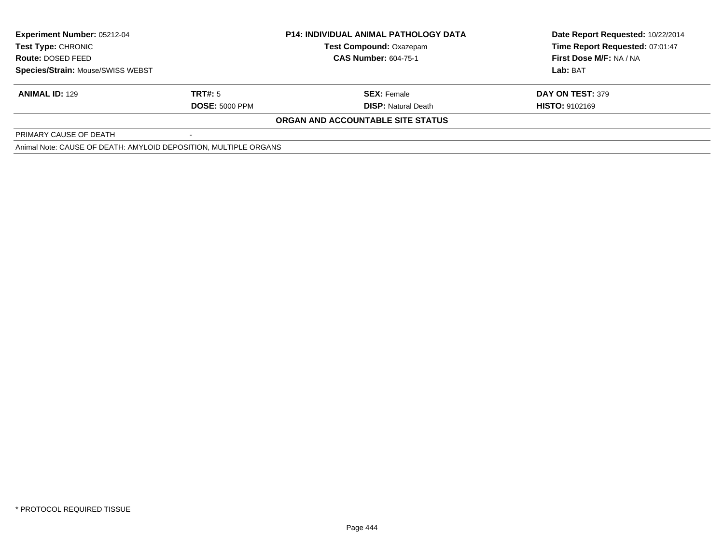| <b>Experiment Number: 05212-04</b>                               |                       | <b>P14: INDIVIDUAL ANIMAL PATHOLOGY DATA</b> | Date Report Requested: 10/22/2014 |
|------------------------------------------------------------------|-----------------------|----------------------------------------------|-----------------------------------|
| Test Type: CHRONIC                                               |                       | <b>Test Compound: Oxazepam</b>               | Time Report Requested: 07:01:47   |
| <b>Route: DOSED FEED</b>                                         |                       | <b>CAS Number: 604-75-1</b>                  | First Dose M/F: NA / NA           |
| <b>Species/Strain: Mouse/SWISS WEBST</b>                         |                       |                                              | Lab: BAT                          |
| <b>ANIMAL ID: 129</b>                                            | TRT#: 5               | <b>SEX: Female</b>                           | DAY ON TEST: 379                  |
|                                                                  | <b>DOSE: 5000 PPM</b> | <b>DISP:</b> Natural Death                   | <b>HISTO: 9102169</b>             |
|                                                                  |                       | ORGAN AND ACCOUNTABLE SITE STATUS            |                                   |
| PRIMARY CAUSE OF DEATH                                           |                       |                                              |                                   |
| Animal Note: CAUSE OF DEATH: AMYLOID DEPOSITION, MULTIPLE ORGANS |                       |                                              |                                   |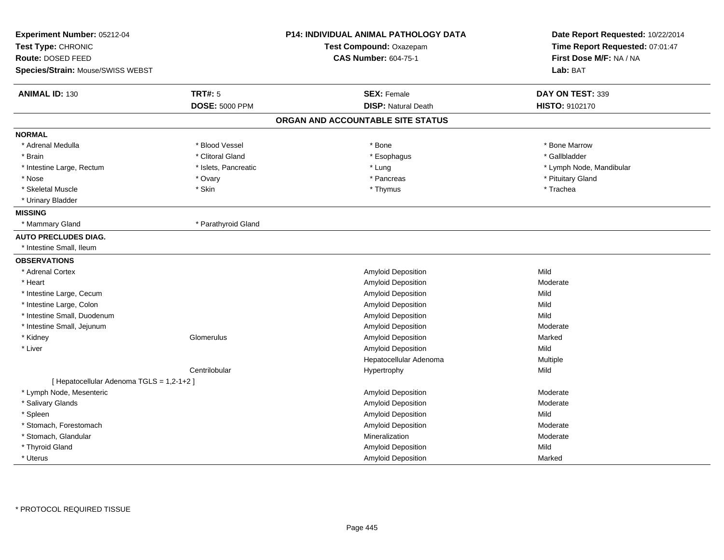| Experiment Number: 05212-04<br>Test Type: CHRONIC<br>Route: DOSED FEED<br>Species/Strain: Mouse/SWISS WEBST |                       | <b>P14: INDIVIDUAL ANIMAL PATHOLOGY DATA</b><br>Test Compound: Oxazepam<br><b>CAS Number: 604-75-1</b> | Date Report Requested: 10/22/2014<br>Time Report Requested: 07:01:47<br>First Dose M/F: NA / NA<br>Lab: BAT |
|-------------------------------------------------------------------------------------------------------------|-----------------------|--------------------------------------------------------------------------------------------------------|-------------------------------------------------------------------------------------------------------------|
| <b>ANIMAL ID: 130</b>                                                                                       | <b>TRT#: 5</b>        | <b>SEX: Female</b>                                                                                     |                                                                                                             |
|                                                                                                             | <b>DOSE: 5000 PPM</b> | <b>DISP: Natural Death</b>                                                                             | DAY ON TEST: 339<br>HISTO: 9102170                                                                          |
|                                                                                                             |                       |                                                                                                        |                                                                                                             |
|                                                                                                             |                       | ORGAN AND ACCOUNTABLE SITE STATUS                                                                      |                                                                                                             |
| <b>NORMAL</b>                                                                                               |                       |                                                                                                        |                                                                                                             |
| * Adrenal Medulla                                                                                           | * Blood Vessel        | * Bone                                                                                                 | * Bone Marrow                                                                                               |
| * Brain                                                                                                     | * Clitoral Gland      | * Esophagus                                                                                            | * Gallbladder                                                                                               |
| * Intestine Large, Rectum                                                                                   | * Islets, Pancreatic  | * Lung                                                                                                 | * Lymph Node, Mandibular                                                                                    |
| * Nose                                                                                                      | * Ovary               | * Pancreas                                                                                             | * Pituitary Gland                                                                                           |
| * Skeletal Muscle                                                                                           | * Skin                | * Thymus                                                                                               | * Trachea                                                                                                   |
| * Urinary Bladder                                                                                           |                       |                                                                                                        |                                                                                                             |
| <b>MISSING</b>                                                                                              |                       |                                                                                                        |                                                                                                             |
| * Mammary Gland                                                                                             | * Parathyroid Gland   |                                                                                                        |                                                                                                             |
| <b>AUTO PRECLUDES DIAG.</b>                                                                                 |                       |                                                                                                        |                                                                                                             |
| * Intestine Small, Ileum                                                                                    |                       |                                                                                                        |                                                                                                             |
| <b>OBSERVATIONS</b>                                                                                         |                       |                                                                                                        |                                                                                                             |
| * Adrenal Cortex                                                                                            |                       | Amyloid Deposition                                                                                     | Mild                                                                                                        |
| * Heart                                                                                                     |                       | <b>Amyloid Deposition</b>                                                                              | Moderate                                                                                                    |
| * Intestine Large, Cecum                                                                                    |                       | Amyloid Deposition                                                                                     | Mild                                                                                                        |
| * Intestine Large, Colon                                                                                    |                       | Amyloid Deposition                                                                                     | Mild                                                                                                        |
| * Intestine Small, Duodenum                                                                                 |                       | Amyloid Deposition                                                                                     | Mild                                                                                                        |
| * Intestine Small, Jejunum                                                                                  |                       | Amyloid Deposition                                                                                     | Moderate                                                                                                    |
| * Kidney                                                                                                    | Glomerulus            | Amyloid Deposition                                                                                     | Marked                                                                                                      |
| * Liver                                                                                                     |                       | Amyloid Deposition                                                                                     | Mild                                                                                                        |
|                                                                                                             |                       | Hepatocellular Adenoma                                                                                 | Multiple                                                                                                    |
|                                                                                                             | Centrilobular         | Hypertrophy                                                                                            | Mild                                                                                                        |
| [ Hepatocellular Adenoma TGLS = 1,2-1+2 ]                                                                   |                       |                                                                                                        |                                                                                                             |
| * Lymph Node, Mesenteric                                                                                    |                       | Amyloid Deposition                                                                                     | Moderate                                                                                                    |
| * Salivary Glands                                                                                           |                       | Amyloid Deposition                                                                                     | Moderate                                                                                                    |
| * Spleen                                                                                                    |                       | Amyloid Deposition                                                                                     | Mild                                                                                                        |
| * Stomach, Forestomach                                                                                      |                       | <b>Amyloid Deposition</b>                                                                              | Moderate                                                                                                    |
| * Stomach, Glandular                                                                                        |                       | Mineralization                                                                                         | Moderate                                                                                                    |
| * Thyroid Gland                                                                                             |                       | Amyloid Deposition                                                                                     | Mild                                                                                                        |
| * Uterus                                                                                                    |                       | Amyloid Deposition                                                                                     | Marked                                                                                                      |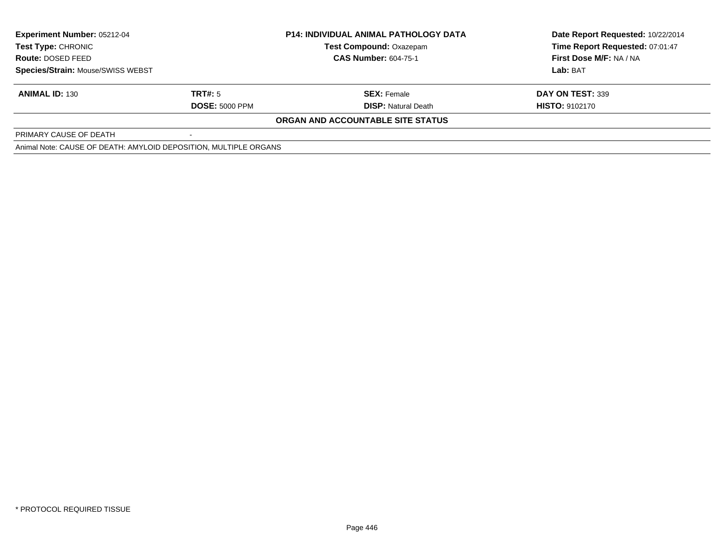| <b>Experiment Number: 05212-04</b>                               |                       | <b>P14: INDIVIDUAL ANIMAL PATHOLOGY DATA</b> | Date Report Requested: 10/22/2014 |
|------------------------------------------------------------------|-----------------------|----------------------------------------------|-----------------------------------|
| Test Type: CHRONIC                                               |                       | <b>Test Compound: Oxazepam</b>               | Time Report Requested: 07:01:47   |
| <b>Route: DOSED FEED</b>                                         |                       | <b>CAS Number: 604-75-1</b>                  | First Dose M/F: NA / NA           |
| <b>Species/Strain: Mouse/SWISS WEBST</b>                         |                       |                                              | Lab: BAT                          |
| <b>ANIMAL ID: 130</b>                                            | TRT#: 5               | <b>SEX: Female</b>                           | DAY ON TEST: 339                  |
|                                                                  | <b>DOSE: 5000 PPM</b> | <b>DISP:</b> Natural Death                   | <b>HISTO: 9102170</b>             |
|                                                                  |                       | ORGAN AND ACCOUNTABLE SITE STATUS            |                                   |
| PRIMARY CAUSE OF DEATH                                           |                       |                                              |                                   |
| Animal Note: CAUSE OF DEATH: AMYLOID DEPOSITION, MULTIPLE ORGANS |                       |                                              |                                   |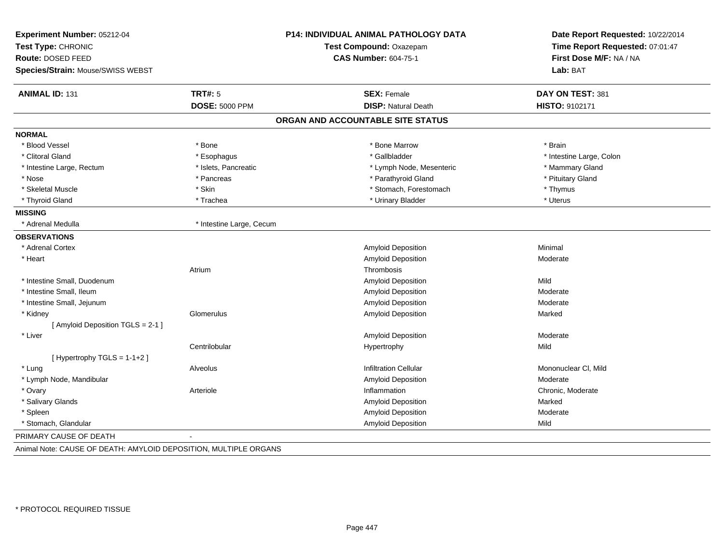| Experiment Number: 05212-04<br>Test Type: CHRONIC<br><b>Route: DOSED FEED</b><br>Species/Strain: Mouse/SWISS WEBST |                          | P14: INDIVIDUAL ANIMAL PATHOLOGY DATA<br>Test Compound: Oxazepam<br><b>CAS Number: 604-75-1</b> | Date Report Requested: 10/22/2014<br>Time Report Requested: 07:01:47<br>First Dose M/F: NA / NA<br>Lab: BAT |
|--------------------------------------------------------------------------------------------------------------------|--------------------------|-------------------------------------------------------------------------------------------------|-------------------------------------------------------------------------------------------------------------|
| <b>ANIMAL ID: 131</b>                                                                                              | <b>TRT#: 5</b>           | <b>SEX: Female</b>                                                                              | DAY ON TEST: 381                                                                                            |
|                                                                                                                    | <b>DOSE: 5000 PPM</b>    | <b>DISP: Natural Death</b>                                                                      | HISTO: 9102171                                                                                              |
|                                                                                                                    |                          | ORGAN AND ACCOUNTABLE SITE STATUS                                                               |                                                                                                             |
| <b>NORMAL</b>                                                                                                      |                          |                                                                                                 |                                                                                                             |
| * Blood Vessel                                                                                                     | * Bone                   | * Bone Marrow                                                                                   | * Brain                                                                                                     |
| * Clitoral Gland                                                                                                   | * Esophagus              | * Gallbladder                                                                                   | * Intestine Large, Colon                                                                                    |
| * Intestine Large, Rectum                                                                                          | * Islets, Pancreatic     | * Lymph Node, Mesenteric                                                                        | * Mammary Gland                                                                                             |
| * Nose                                                                                                             | * Pancreas               | * Parathyroid Gland                                                                             | * Pituitary Gland                                                                                           |
| * Skeletal Muscle                                                                                                  | * Skin                   | * Stomach, Forestomach                                                                          | * Thymus                                                                                                    |
| * Thyroid Gland                                                                                                    | * Trachea                | * Urinary Bladder                                                                               | * Uterus                                                                                                    |
| <b>MISSING</b>                                                                                                     |                          |                                                                                                 |                                                                                                             |
| * Adrenal Medulla                                                                                                  | * Intestine Large, Cecum |                                                                                                 |                                                                                                             |
| <b>OBSERVATIONS</b>                                                                                                |                          |                                                                                                 |                                                                                                             |
| * Adrenal Cortex                                                                                                   |                          | Amyloid Deposition                                                                              | Minimal                                                                                                     |
| * Heart                                                                                                            |                          | Amyloid Deposition                                                                              | Moderate                                                                                                    |
|                                                                                                                    | Atrium                   | Thrombosis                                                                                      |                                                                                                             |
| * Intestine Small, Duodenum                                                                                        |                          | Amyloid Deposition                                                                              | Mild                                                                                                        |
| * Intestine Small, Ileum                                                                                           |                          | Amyloid Deposition                                                                              | Moderate                                                                                                    |
| * Intestine Small, Jejunum                                                                                         |                          | Amyloid Deposition                                                                              | Moderate                                                                                                    |
| * Kidney                                                                                                           | Glomerulus               | Amyloid Deposition                                                                              | Marked                                                                                                      |
| [ Amyloid Deposition TGLS = 2-1 ]                                                                                  |                          |                                                                                                 |                                                                                                             |
| * Liver                                                                                                            |                          | Amyloid Deposition                                                                              | Moderate                                                                                                    |
|                                                                                                                    | Centrilobular            | Hypertrophy                                                                                     | Mild                                                                                                        |
| [Hypertrophy TGLS = $1-1+2$ ]                                                                                      |                          |                                                                                                 |                                                                                                             |
| * Lung                                                                                                             | Alveolus                 | <b>Infiltration Cellular</b>                                                                    | Mononuclear CI, Mild                                                                                        |
| * Lymph Node, Mandibular                                                                                           |                          | Amyloid Deposition                                                                              | Moderate                                                                                                    |
| * Ovary                                                                                                            | Arteriole                | Inflammation                                                                                    | Chronic, Moderate                                                                                           |
| * Salivary Glands                                                                                                  |                          | Amyloid Deposition                                                                              | Marked                                                                                                      |
| * Spleen                                                                                                           |                          | Amyloid Deposition                                                                              | Moderate                                                                                                    |
| * Stomach, Glandular                                                                                               |                          | <b>Amyloid Deposition</b>                                                                       | Mild                                                                                                        |
| PRIMARY CAUSE OF DEATH                                                                                             | $\blacksquare$           |                                                                                                 |                                                                                                             |

Animal Note: CAUSE OF DEATH: AMYLOID DEPOSITION, MULTIPLE ORGANS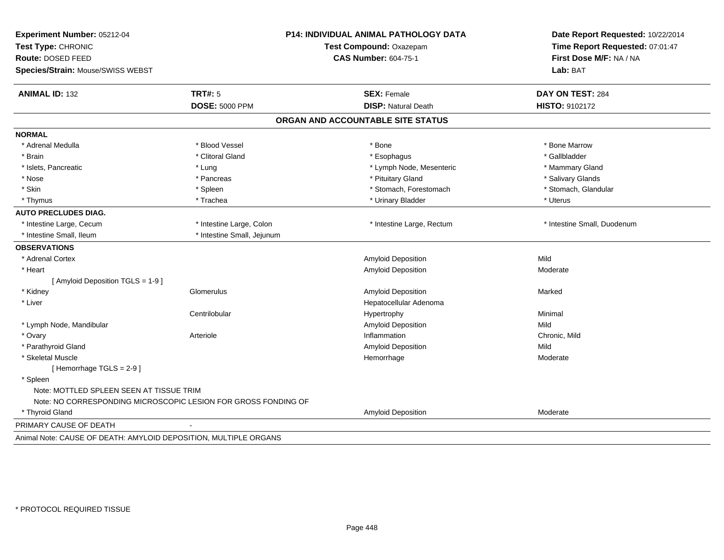| Experiment Number: 05212-04<br>Test Type: CHRONIC<br>Route: DOSED FEED<br>Species/Strain: Mouse/SWISS WEBST |                                                                | P14: INDIVIDUAL ANIMAL PATHOLOGY DATA<br>Test Compound: Oxazepam<br><b>CAS Number: 604-75-1</b> | Date Report Requested: 10/22/2014<br>Time Report Requested: 07:01:47<br>First Dose M/F: NA / NA<br>Lab: BAT |
|-------------------------------------------------------------------------------------------------------------|----------------------------------------------------------------|-------------------------------------------------------------------------------------------------|-------------------------------------------------------------------------------------------------------------|
| <b>ANIMAL ID: 132</b>                                                                                       | <b>TRT#: 5</b>                                                 | <b>SEX: Female</b>                                                                              | DAY ON TEST: 284                                                                                            |
|                                                                                                             | <b>DOSE: 5000 PPM</b>                                          | <b>DISP: Natural Death</b>                                                                      | HISTO: 9102172                                                                                              |
|                                                                                                             |                                                                | ORGAN AND ACCOUNTABLE SITE STATUS                                                               |                                                                                                             |
| <b>NORMAL</b>                                                                                               |                                                                |                                                                                                 |                                                                                                             |
| * Adrenal Medulla                                                                                           | * Blood Vessel                                                 | * Bone                                                                                          | * Bone Marrow                                                                                               |
| * Brain                                                                                                     | * Clitoral Gland                                               | * Esophagus                                                                                     | * Gallbladder                                                                                               |
| * Islets, Pancreatic                                                                                        | * Lung                                                         | * Lymph Node, Mesenteric                                                                        | * Mammary Gland                                                                                             |
| * Nose                                                                                                      | * Pancreas                                                     | * Pituitary Gland                                                                               | * Salivary Glands                                                                                           |
| * Skin                                                                                                      | * Spleen                                                       | * Stomach, Forestomach                                                                          | * Stomach, Glandular                                                                                        |
| * Thymus                                                                                                    | * Trachea                                                      | * Urinary Bladder                                                                               | * Uterus                                                                                                    |
| <b>AUTO PRECLUDES DIAG.</b>                                                                                 |                                                                |                                                                                                 |                                                                                                             |
| * Intestine Large, Cecum                                                                                    | * Intestine Large, Colon                                       | * Intestine Large, Rectum                                                                       | * Intestine Small, Duodenum                                                                                 |
| * Intestine Small, Ileum                                                                                    | * Intestine Small, Jejunum                                     |                                                                                                 |                                                                                                             |
| <b>OBSERVATIONS</b>                                                                                         |                                                                |                                                                                                 |                                                                                                             |
| * Adrenal Cortex                                                                                            |                                                                | Amyloid Deposition                                                                              | Mild                                                                                                        |
| * Heart                                                                                                     |                                                                | <b>Amyloid Deposition</b>                                                                       | Moderate                                                                                                    |
| [ Amyloid Deposition TGLS = 1-9 ]                                                                           |                                                                |                                                                                                 |                                                                                                             |
| * Kidney                                                                                                    | Glomerulus                                                     | Amyloid Deposition                                                                              | Marked                                                                                                      |
| * Liver                                                                                                     |                                                                | Hepatocellular Adenoma                                                                          |                                                                                                             |
|                                                                                                             | Centrilobular                                                  | Hypertrophy                                                                                     | Minimal                                                                                                     |
| * Lymph Node, Mandibular                                                                                    |                                                                | Amyloid Deposition                                                                              | Mild                                                                                                        |
| * Ovary                                                                                                     | Arteriole                                                      | Inflammation                                                                                    | Chronic, Mild                                                                                               |
| * Parathyroid Gland                                                                                         |                                                                | <b>Amyloid Deposition</b>                                                                       | Mild                                                                                                        |
| * Skeletal Muscle                                                                                           |                                                                | Hemorrhage                                                                                      | Moderate                                                                                                    |
| [Hemorrhage TGLS = 2-9]                                                                                     |                                                                |                                                                                                 |                                                                                                             |
| * Spleen                                                                                                    |                                                                |                                                                                                 |                                                                                                             |
| Note: MOTTLED SPLEEN SEEN AT TISSUE TRIM                                                                    |                                                                |                                                                                                 |                                                                                                             |
|                                                                                                             | Note: NO CORRESPONDING MICROSCOPIC LESION FOR GROSS FONDING OF |                                                                                                 |                                                                                                             |
| * Thyroid Gland                                                                                             |                                                                | Amyloid Deposition                                                                              | Moderate                                                                                                    |
| PRIMARY CAUSE OF DEATH                                                                                      |                                                                |                                                                                                 |                                                                                                             |
| Animal Note: CAUSE OF DEATH: AMYLOID DEPOSITION, MULTIPLE ORGANS                                            |                                                                |                                                                                                 |                                                                                                             |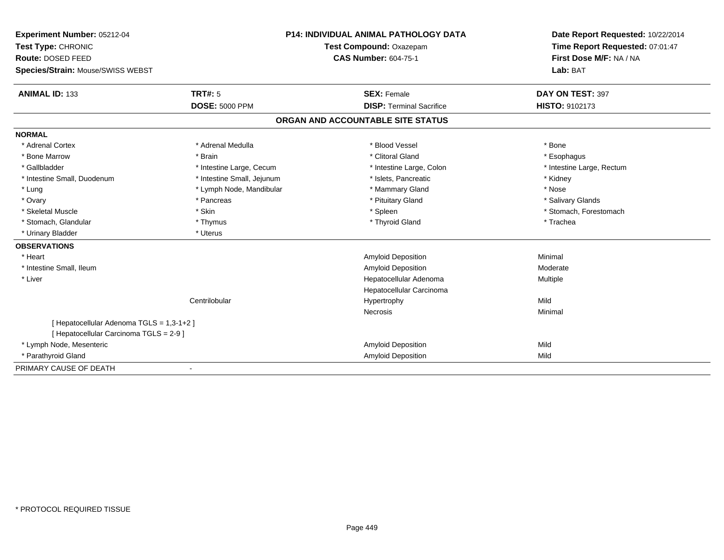| Experiment Number: 05212-04               | <b>P14: INDIVIDUAL ANIMAL PATHOLOGY DATA</b> |                                   | Date Report Requested: 10/22/2014 |
|-------------------------------------------|----------------------------------------------|-----------------------------------|-----------------------------------|
| Test Type: CHRONIC                        |                                              | Test Compound: Oxazepam           | Time Report Requested: 07:01:47   |
| Route: DOSED FEED                         |                                              | <b>CAS Number: 604-75-1</b>       | First Dose M/F: NA / NA           |
| Species/Strain: Mouse/SWISS WEBST         |                                              |                                   | Lab: BAT                          |
| <b>ANIMAL ID: 133</b>                     | TRT#: 5                                      | <b>SEX: Female</b>                | DAY ON TEST: 397                  |
|                                           | <b>DOSE: 5000 PPM</b>                        | <b>DISP: Terminal Sacrifice</b>   | <b>HISTO: 9102173</b>             |
|                                           |                                              | ORGAN AND ACCOUNTABLE SITE STATUS |                                   |
| <b>NORMAL</b>                             |                                              |                                   |                                   |
| * Adrenal Cortex                          | * Adrenal Medulla                            | * Blood Vessel                    | * Bone                            |
| * Bone Marrow                             | * Brain                                      | * Clitoral Gland                  | * Esophagus                       |
| * Gallbladder                             | * Intestine Large, Cecum                     | * Intestine Large, Colon          | * Intestine Large, Rectum         |
| * Intestine Small, Duodenum               | * Intestine Small, Jejunum                   | * Islets, Pancreatic              | * Kidney                          |
| * Lung                                    | * Lymph Node, Mandibular                     | * Mammary Gland                   | * Nose                            |
| * Ovary                                   | * Pancreas                                   | * Pituitary Gland                 | * Salivary Glands                 |
| * Skeletal Muscle                         | * Skin                                       | * Spleen                          | * Stomach, Forestomach            |
| * Stomach, Glandular                      | * Thymus                                     | * Thyroid Gland                   | * Trachea                         |
| * Urinary Bladder                         | * Uterus                                     |                                   |                                   |
| <b>OBSERVATIONS</b>                       |                                              |                                   |                                   |
| * Heart                                   |                                              | <b>Amyloid Deposition</b>         | Minimal                           |
| * Intestine Small, Ileum                  |                                              | Amyloid Deposition                | Moderate                          |
| * Liver                                   |                                              | Hepatocellular Adenoma            | Multiple                          |
|                                           |                                              | Hepatocellular Carcinoma          |                                   |
|                                           | Centrilobular                                | Hypertrophy                       | Mild                              |
|                                           |                                              | Necrosis                          | Minimal                           |
| [ Hepatocellular Adenoma TGLS = 1,3-1+2 ] |                                              |                                   |                                   |
| [ Hepatocellular Carcinoma TGLS = 2-9 ]   |                                              |                                   |                                   |
| * Lymph Node, Mesenteric                  |                                              | Amyloid Deposition                | Mild                              |
| * Parathyroid Gland                       |                                              | <b>Amyloid Deposition</b>         | Mild                              |
| PRIMARY CAUSE OF DEATH                    |                                              |                                   |                                   |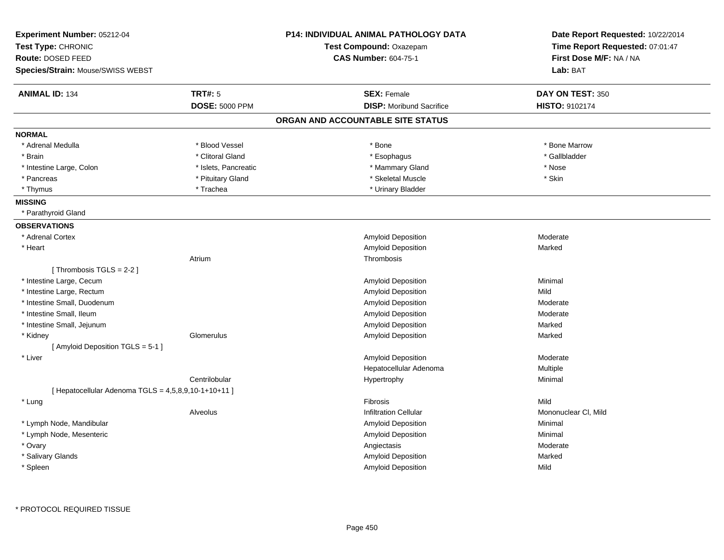| Experiment Number: 05212-04<br>Test Type: CHRONIC      |                       | <b>P14: INDIVIDUAL ANIMAL PATHOLOGY DATA</b><br>Test Compound: Oxazepam | Date Report Requested: 10/22/2014<br>Time Report Requested: 07:01:47 |  |
|--------------------------------------------------------|-----------------------|-------------------------------------------------------------------------|----------------------------------------------------------------------|--|
| Route: DOSED FEED                                      |                       | <b>CAS Number: 604-75-1</b>                                             | First Dose M/F: NA / NA                                              |  |
| Species/Strain: Mouse/SWISS WEBST                      |                       |                                                                         | Lab: BAT                                                             |  |
| <b>ANIMAL ID: 134</b>                                  | <b>TRT#: 5</b>        | <b>SEX: Female</b>                                                      | DAY ON TEST: 350                                                     |  |
|                                                        | <b>DOSE: 5000 PPM</b> | <b>DISP:</b> Moribund Sacrifice                                         | HISTO: 9102174                                                       |  |
|                                                        |                       | ORGAN AND ACCOUNTABLE SITE STATUS                                       |                                                                      |  |
| <b>NORMAL</b>                                          |                       |                                                                         |                                                                      |  |
| * Adrenal Medulla                                      | * Blood Vessel        | * Bone                                                                  | * Bone Marrow                                                        |  |
| * Brain                                                | * Clitoral Gland      | * Esophagus                                                             | * Gallbladder                                                        |  |
| * Intestine Large, Colon                               | * Islets, Pancreatic  | * Mammary Gland                                                         | * Nose                                                               |  |
| * Pancreas                                             | * Pituitary Gland     | * Skeletal Muscle                                                       | * Skin                                                               |  |
| * Thymus                                               | * Trachea             | * Urinary Bladder                                                       |                                                                      |  |
| <b>MISSING</b>                                         |                       |                                                                         |                                                                      |  |
| * Parathyroid Gland                                    |                       |                                                                         |                                                                      |  |
| <b>OBSERVATIONS</b>                                    |                       |                                                                         |                                                                      |  |
| * Adrenal Cortex                                       |                       | <b>Amyloid Deposition</b>                                               | Moderate                                                             |  |
| * Heart                                                |                       | Amyloid Deposition                                                      | Marked                                                               |  |
|                                                        | Atrium                | Thrombosis                                                              |                                                                      |  |
| [Thrombosis TGLS = 2-2]                                |                       |                                                                         |                                                                      |  |
| * Intestine Large, Cecum                               |                       | Amyloid Deposition                                                      | Minimal                                                              |  |
| * Intestine Large, Rectum                              |                       | <b>Amyloid Deposition</b>                                               | Mild                                                                 |  |
| * Intestine Small, Duodenum                            |                       | <b>Amyloid Deposition</b>                                               | Moderate                                                             |  |
| * Intestine Small, Ileum                               |                       | Amyloid Deposition                                                      | Moderate                                                             |  |
| * Intestine Small, Jejunum                             |                       | Amyloid Deposition                                                      | Marked                                                               |  |
| * Kidney                                               | Glomerulus            | Amyloid Deposition                                                      | Marked                                                               |  |
| [ Amyloid Deposition TGLS = 5-1 ]                      |                       |                                                                         |                                                                      |  |
| * Liver                                                |                       | <b>Amyloid Deposition</b>                                               | Moderate                                                             |  |
|                                                        |                       | Hepatocellular Adenoma                                                  | Multiple                                                             |  |
|                                                        | Centrilobular         | Hypertrophy                                                             | Minimal                                                              |  |
| [ Hepatocellular Adenoma TGLS = $4,5,8,9,10-1+10+11$ ] |                       |                                                                         |                                                                      |  |
| * Lung                                                 |                       | Fibrosis                                                                | Mild                                                                 |  |
|                                                        | Alveolus              | <b>Infiltration Cellular</b>                                            | Mononuclear CI, Mild                                                 |  |
| * Lymph Node, Mandibular                               |                       | Amyloid Deposition                                                      | Minimal                                                              |  |
| * Lymph Node, Mesenteric                               |                       | <b>Amyloid Deposition</b>                                               | Minimal                                                              |  |
| * Ovary                                                |                       | Angiectasis                                                             | Moderate                                                             |  |
| * Salivary Glands                                      |                       | Amyloid Deposition                                                      | Marked                                                               |  |
| * Spleen                                               |                       | <b>Amyloid Deposition</b>                                               | Mild                                                                 |  |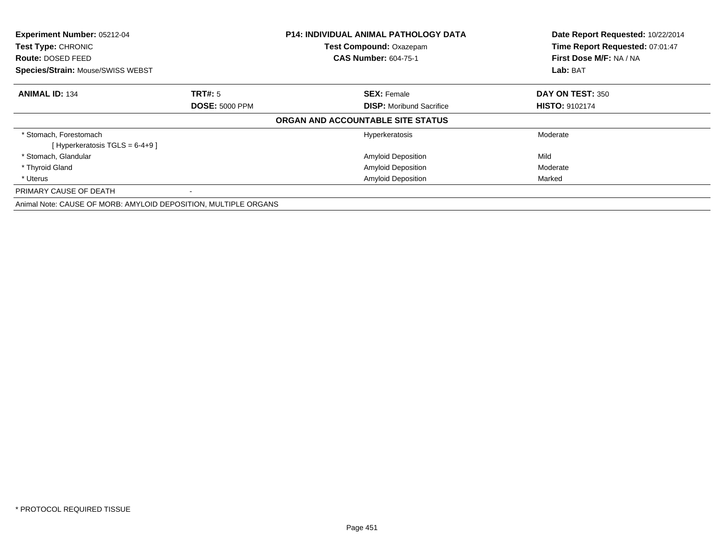| Experiment Number: 05212-04                                     |                       | <b>P14: INDIVIDUAL ANIMAL PATHOLOGY DATA</b> | Date Report Requested: 10/22/2014 |
|-----------------------------------------------------------------|-----------------------|----------------------------------------------|-----------------------------------|
| Test Type: CHRONIC                                              |                       | Test Compound: Oxazepam                      | Time Report Requested: 07:01:47   |
| <b>Route: DOSED FEED</b>                                        |                       | <b>CAS Number: 604-75-1</b>                  | First Dose M/F: NA / NA           |
| <b>Species/Strain: Mouse/SWISS WEBST</b>                        |                       |                                              | Lab: BAT                          |
| <b>ANIMAL ID: 134</b>                                           | <b>TRT#:</b> 5        | <b>SEX: Female</b>                           | DAY ON TEST: 350                  |
|                                                                 | <b>DOSE: 5000 PPM</b> | <b>DISP:</b> Moribund Sacrifice              | <b>HISTO: 9102174</b>             |
|                                                                 |                       | ORGAN AND ACCOUNTABLE SITE STATUS            |                                   |
| * Stomach, Forestomach                                          |                       | Hyperkeratosis                               | Moderate                          |
| [Hyperkeratosis TGLS = $6-4+9$ ]                                |                       |                                              |                                   |
| * Stomach, Glandular                                            |                       | <b>Amyloid Deposition</b>                    | Mild                              |
| * Thyroid Gland                                                 |                       | <b>Amyloid Deposition</b>                    | Moderate                          |
| * Uterus                                                        |                       | <b>Amyloid Deposition</b>                    | Marked                            |
| PRIMARY CAUSE OF DEATH                                          |                       |                                              |                                   |
| Animal Note: CAUSE OF MORB: AMYLOID DEPOSITION, MULTIPLE ORGANS |                       |                                              |                                   |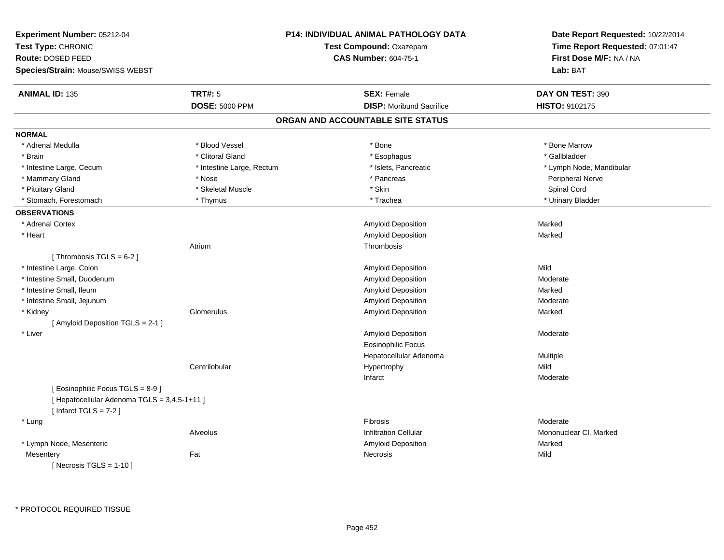| Experiment Number: 05212-04<br>Test Type: CHRONIC<br>Route: DOSED FEED<br>Species/Strain: Mouse/SWISS WEBST |                           | P14: INDIVIDUAL ANIMAL PATHOLOGY DATA<br>Test Compound: Oxazepam<br><b>CAS Number: 604-75-1</b> | Date Report Requested: 10/22/2014<br>Time Report Requested: 07:01:47<br>First Dose M/F: NA / NA<br>Lab: BAT |
|-------------------------------------------------------------------------------------------------------------|---------------------------|-------------------------------------------------------------------------------------------------|-------------------------------------------------------------------------------------------------------------|
| <b>ANIMAL ID: 135</b>                                                                                       | <b>TRT#: 5</b>            | <b>SEX: Female</b>                                                                              | DAY ON TEST: 390                                                                                            |
|                                                                                                             | <b>DOSE: 5000 PPM</b>     | <b>DISP:</b> Moribund Sacrifice                                                                 | HISTO: 9102175                                                                                              |
|                                                                                                             |                           | ORGAN AND ACCOUNTABLE SITE STATUS                                                               |                                                                                                             |
| <b>NORMAL</b>                                                                                               |                           |                                                                                                 |                                                                                                             |
| * Adrenal Medulla                                                                                           | * Blood Vessel            | * Bone                                                                                          | * Bone Marrow                                                                                               |
| * Brain                                                                                                     | * Clitoral Gland          | * Esophagus                                                                                     | * Gallbladder                                                                                               |
| * Intestine Large, Cecum                                                                                    | * Intestine Large, Rectum | * Islets, Pancreatic                                                                            | * Lymph Node, Mandibular                                                                                    |
| * Mammary Gland                                                                                             | * Nose                    | * Pancreas                                                                                      | Peripheral Nerve                                                                                            |
| * Pituitary Gland                                                                                           | * Skeletal Muscle         | * Skin                                                                                          | Spinal Cord                                                                                                 |
| * Stomach, Forestomach                                                                                      | * Thymus                  | * Trachea                                                                                       | * Urinary Bladder                                                                                           |
| <b>OBSERVATIONS</b>                                                                                         |                           |                                                                                                 |                                                                                                             |
| * Adrenal Cortex                                                                                            |                           | Amyloid Deposition                                                                              | Marked                                                                                                      |
| * Heart                                                                                                     |                           | <b>Amyloid Deposition</b>                                                                       | Marked                                                                                                      |
|                                                                                                             | Atrium                    | Thrombosis                                                                                      |                                                                                                             |
| [Thrombosis TGLS = $6-2$ ]                                                                                  |                           |                                                                                                 |                                                                                                             |
| * Intestine Large, Colon                                                                                    |                           | Amyloid Deposition                                                                              | Mild                                                                                                        |
| * Intestine Small, Duodenum                                                                                 |                           | Amyloid Deposition                                                                              | Moderate                                                                                                    |
| * Intestine Small, Ileum                                                                                    |                           | Amyloid Deposition                                                                              | Marked                                                                                                      |
| * Intestine Small, Jejunum                                                                                  |                           | Amyloid Deposition                                                                              | Moderate                                                                                                    |
| * Kidney                                                                                                    | Glomerulus                | Amyloid Deposition                                                                              | Marked                                                                                                      |
| [Amyloid Deposition TGLS = 2-1]                                                                             |                           |                                                                                                 |                                                                                                             |
| * Liver                                                                                                     |                           | Amyloid Deposition                                                                              | Moderate                                                                                                    |
|                                                                                                             |                           | <b>Eosinophilic Focus</b>                                                                       |                                                                                                             |
|                                                                                                             |                           | Hepatocellular Adenoma                                                                          | Multiple                                                                                                    |
|                                                                                                             | Centrilobular             | Hypertrophy                                                                                     | Mild                                                                                                        |
|                                                                                                             |                           | Infarct                                                                                         | Moderate                                                                                                    |
| [Eosinophilic Focus TGLS = 8-9]                                                                             |                           |                                                                                                 |                                                                                                             |
| [ Hepatocellular Adenoma TGLS = 3,4,5-1+11 ]<br>[Infarct TGLS = $7-2$ ]                                     |                           |                                                                                                 |                                                                                                             |
| * Lung                                                                                                      |                           | Fibrosis                                                                                        | Moderate                                                                                                    |
|                                                                                                             | Alveolus                  | <b>Infiltration Cellular</b>                                                                    | Mononuclear CI, Marked                                                                                      |
| * Lymph Node, Mesenteric                                                                                    |                           | Amyloid Deposition                                                                              | Marked                                                                                                      |
| Mesentery                                                                                                   | Fat                       | Necrosis                                                                                        | Mild                                                                                                        |
| [ Necrosis TGLS = $1-10$ ]                                                                                  |                           |                                                                                                 |                                                                                                             |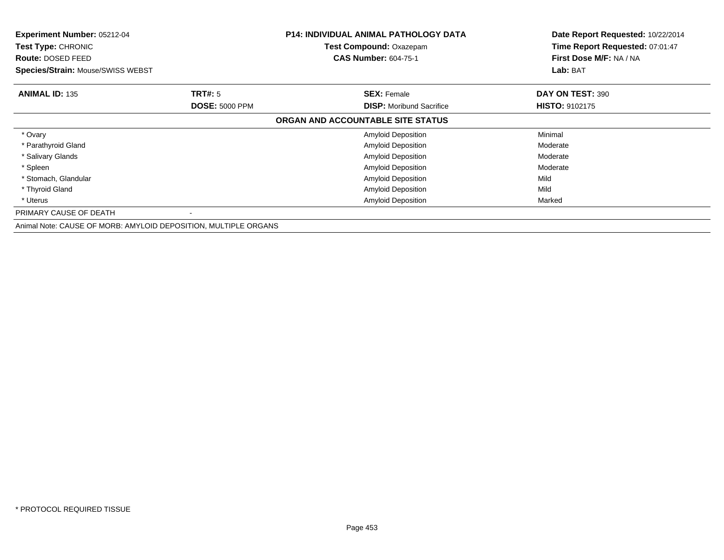| Experiment Number: 05212-04<br><b>Test Type: CHRONIC</b><br>Route: DOSED FEED<br>Species/Strain: Mouse/SWISS WEBST |                       | <b>P14: INDIVIDUAL ANIMAL PATHOLOGY DATA</b><br>Test Compound: Oxazepam<br><b>CAS Number: 604-75-1</b> | Date Report Requested: 10/22/2014<br>Time Report Requested: 07:01:47<br>First Dose M/F: NA / NA<br>Lab: BAT |
|--------------------------------------------------------------------------------------------------------------------|-----------------------|--------------------------------------------------------------------------------------------------------|-------------------------------------------------------------------------------------------------------------|
| <b>ANIMAL ID: 135</b>                                                                                              | <b>TRT#: 5</b>        | <b>SEX: Female</b>                                                                                     | DAY ON TEST: 390                                                                                            |
|                                                                                                                    | <b>DOSE: 5000 PPM</b> | <b>DISP:</b> Moribund Sacrifice                                                                        | <b>HISTO: 9102175</b>                                                                                       |
|                                                                                                                    |                       | ORGAN AND ACCOUNTABLE SITE STATUS                                                                      |                                                                                                             |
| * Ovary                                                                                                            |                       | <b>Amyloid Deposition</b>                                                                              | Minimal                                                                                                     |
| * Parathyroid Gland                                                                                                |                       | <b>Amyloid Deposition</b>                                                                              | Moderate                                                                                                    |
| * Salivary Glands                                                                                                  |                       | <b>Amyloid Deposition</b>                                                                              | Moderate                                                                                                    |
| * Spleen                                                                                                           |                       | Amyloid Deposition                                                                                     | Moderate                                                                                                    |
| * Stomach, Glandular                                                                                               |                       | Amyloid Deposition                                                                                     | Mild                                                                                                        |
| * Thyroid Gland                                                                                                    |                       | Amyloid Deposition                                                                                     | Mild                                                                                                        |
| * Uterus                                                                                                           |                       | <b>Amyloid Deposition</b>                                                                              | Marked                                                                                                      |
| PRIMARY CAUSE OF DEATH                                                                                             |                       |                                                                                                        |                                                                                                             |
| Animal Note: CAUSE OF MORB: AMYLOID DEPOSITION, MULTIPLE ORGANS                                                    |                       |                                                                                                        |                                                                                                             |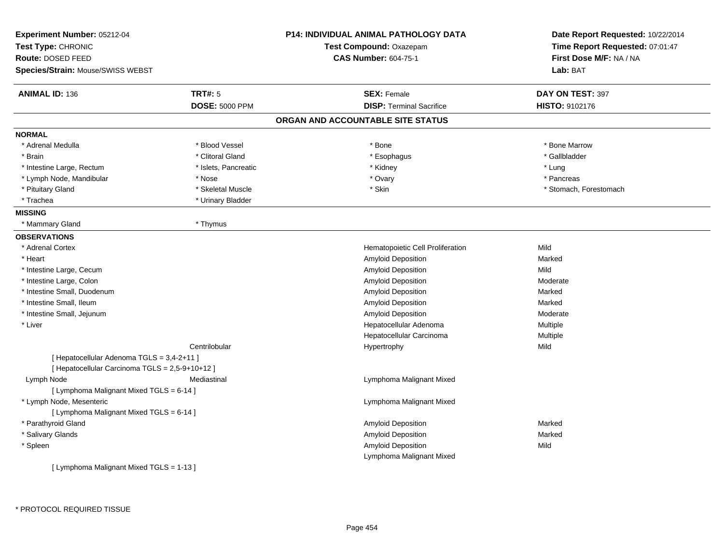| Experiment Number: 05212-04                     |                       | <b>P14: INDIVIDUAL ANIMAL PATHOLOGY DATA</b> | Date Report Requested: 10/22/2014 |
|-------------------------------------------------|-----------------------|----------------------------------------------|-----------------------------------|
| Test Type: CHRONIC                              |                       | Test Compound: Oxazepam                      | Time Report Requested: 07:01:47   |
| Route: DOSED FEED                               |                       | <b>CAS Number: 604-75-1</b>                  | First Dose M/F: NA / NA           |
| Species/Strain: Mouse/SWISS WEBST               |                       |                                              | Lab: BAT                          |
| <b>ANIMAL ID: 136</b>                           | <b>TRT#: 5</b>        | <b>SEX: Female</b>                           | DAY ON TEST: 397                  |
|                                                 | <b>DOSE: 5000 PPM</b> | <b>DISP: Terminal Sacrifice</b>              | HISTO: 9102176                    |
|                                                 |                       | ORGAN AND ACCOUNTABLE SITE STATUS            |                                   |
| <b>NORMAL</b>                                   |                       |                                              |                                   |
| * Adrenal Medulla                               | * Blood Vessel        | * Bone                                       | * Bone Marrow                     |
| * Brain                                         | * Clitoral Gland      | * Esophagus                                  | * Gallbladder                     |
| * Intestine Large, Rectum                       | * Islets, Pancreatic  | * Kidney                                     | * Lung                            |
| * Lymph Node, Mandibular                        | * Nose                | * Ovary                                      | * Pancreas                        |
| * Pituitary Gland                               | * Skeletal Muscle     | * Skin                                       | * Stomach, Forestomach            |
| * Trachea                                       | * Urinary Bladder     |                                              |                                   |
| <b>MISSING</b>                                  |                       |                                              |                                   |
| * Mammary Gland                                 | * Thymus              |                                              |                                   |
| <b>OBSERVATIONS</b>                             |                       |                                              |                                   |
| * Adrenal Cortex                                |                       | Hematopoietic Cell Proliferation             | Mild                              |
| * Heart                                         |                       | Amyloid Deposition                           | Marked                            |
| * Intestine Large, Cecum                        |                       | <b>Amyloid Deposition</b>                    | Mild                              |
| * Intestine Large, Colon                        |                       | Amyloid Deposition                           | Moderate                          |
| * Intestine Small, Duodenum                     |                       | Amyloid Deposition                           | Marked                            |
| * Intestine Small, Ileum                        |                       | Amyloid Deposition                           | Marked                            |
| * Intestine Small, Jejunum                      |                       | Amyloid Deposition                           | Moderate                          |
| * Liver                                         |                       | Hepatocellular Adenoma                       | Multiple                          |
|                                                 |                       | Hepatocellular Carcinoma                     | Multiple                          |
|                                                 | Centrilobular         | Hypertrophy                                  | Mild                              |
| [ Hepatocellular Adenoma TGLS = 3,4-2+11 ]      |                       |                                              |                                   |
| [ Hepatocellular Carcinoma TGLS = 2,5-9+10+12 ] |                       |                                              |                                   |
| Lymph Node                                      | Mediastinal           | Lymphoma Malignant Mixed                     |                                   |
| [ Lymphoma Malignant Mixed TGLS = 6-14 ]        |                       |                                              |                                   |
| * Lymph Node, Mesenteric                        |                       | Lymphoma Malignant Mixed                     |                                   |
| [ Lymphoma Malignant Mixed TGLS = 6-14 ]        |                       |                                              |                                   |
| * Parathyroid Gland                             |                       | Amyloid Deposition                           | Marked                            |
| * Salivary Glands                               |                       | <b>Amyloid Deposition</b>                    | Marked                            |
| * Spleen                                        |                       | Amyloid Deposition                           | Mild                              |
|                                                 |                       | Lymphoma Malignant Mixed                     |                                   |
| [ Lymphoma Malignant Mixed TGLS = 1-13 ]        |                       |                                              |                                   |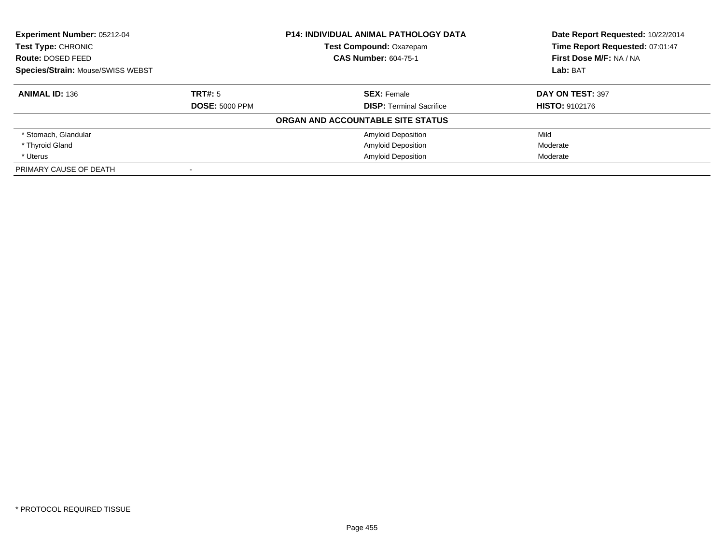| <b>Experiment Number: 05212-04</b> |                       | <b>P14: INDIVIDUAL ANIMAL PATHOLOGY DATA</b> | Date Report Requested: 10/22/2014 |
|------------------------------------|-----------------------|----------------------------------------------|-----------------------------------|
| Test Type: CHRONIC                 |                       | <b>Test Compound: Oxazepam</b>               | Time Report Requested: 07:01:47   |
| Route: DOSED FEED                  |                       | <b>CAS Number: 604-75-1</b>                  | First Dose M/F: NA / NA           |
| Species/Strain: Mouse/SWISS WEBST  |                       |                                              | Lab: BAT                          |
| <b>ANIMAL ID: 136</b>              | TRT#: 5               | <b>SEX: Female</b>                           | DAY ON TEST: 397                  |
|                                    | <b>DOSE: 5000 PPM</b> | <b>DISP:</b> Terminal Sacrifice              | <b>HISTO: 9102176</b>             |
|                                    |                       | ORGAN AND ACCOUNTABLE SITE STATUS            |                                   |
| * Stomach, Glandular               |                       | <b>Amyloid Deposition</b>                    | Mild                              |
| * Thyroid Gland                    |                       | <b>Amyloid Deposition</b>                    | Moderate                          |
| * Uterus                           |                       | <b>Amyloid Deposition</b>                    | Moderate                          |
| PRIMARY CAUSE OF DEATH             |                       |                                              |                                   |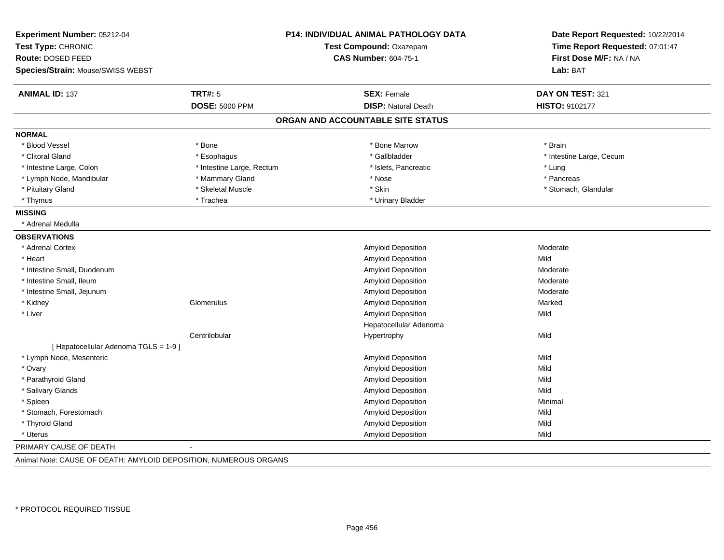| Experiment Number: 05212-04<br>Test Type: CHRONIC<br>Route: DOSED FEED |                           | <b>P14: INDIVIDUAL ANIMAL PATHOLOGY DATA</b><br>Test Compound: Oxazepam<br><b>CAS Number: 604-75-1</b> | Date Report Requested: 10/22/2014<br>Time Report Requested: 07:01:47<br>First Dose M/F: NA / NA |
|------------------------------------------------------------------------|---------------------------|--------------------------------------------------------------------------------------------------------|-------------------------------------------------------------------------------------------------|
| Species/Strain: Mouse/SWISS WEBST                                      |                           |                                                                                                        | Lab: BAT                                                                                        |
| <b>ANIMAL ID: 137</b>                                                  | <b>TRT#: 5</b>            | <b>SEX: Female</b>                                                                                     | DAY ON TEST: 321                                                                                |
|                                                                        | <b>DOSE: 5000 PPM</b>     | <b>DISP: Natural Death</b>                                                                             | HISTO: 9102177                                                                                  |
|                                                                        |                           | ORGAN AND ACCOUNTABLE SITE STATUS                                                                      |                                                                                                 |
| <b>NORMAL</b>                                                          |                           |                                                                                                        |                                                                                                 |
| * Blood Vessel                                                         | * Bone                    | * Bone Marrow                                                                                          | * Brain                                                                                         |
| * Clitoral Gland                                                       | * Esophagus               | * Gallbladder                                                                                          | * Intestine Large, Cecum                                                                        |
| * Intestine Large, Colon                                               | * Intestine Large, Rectum | * Islets, Pancreatic                                                                                   | * Lung                                                                                          |
| * Lymph Node, Mandibular                                               | * Mammary Gland           | * Nose                                                                                                 | * Pancreas                                                                                      |
| * Pituitary Gland                                                      | * Skeletal Muscle         | * Skin                                                                                                 | * Stomach, Glandular                                                                            |
| * Thymus                                                               | * Trachea                 | * Urinary Bladder                                                                                      |                                                                                                 |
| <b>MISSING</b>                                                         |                           |                                                                                                        |                                                                                                 |
| * Adrenal Medulla                                                      |                           |                                                                                                        |                                                                                                 |
| <b>OBSERVATIONS</b>                                                    |                           |                                                                                                        |                                                                                                 |
| * Adrenal Cortex                                                       |                           | Amyloid Deposition                                                                                     | Moderate                                                                                        |
| * Heart                                                                |                           | Amyloid Deposition                                                                                     | Mild                                                                                            |
| * Intestine Small, Duodenum                                            |                           | Amyloid Deposition                                                                                     | Moderate                                                                                        |
| * Intestine Small, Ileum                                               |                           | Amyloid Deposition                                                                                     | Moderate                                                                                        |
| * Intestine Small, Jejunum                                             |                           | Amyloid Deposition                                                                                     | Moderate                                                                                        |
| * Kidney                                                               | Glomerulus                | Amyloid Deposition                                                                                     | Marked                                                                                          |
| * Liver                                                                |                           | Amyloid Deposition                                                                                     | Mild                                                                                            |
|                                                                        |                           | Hepatocellular Adenoma                                                                                 |                                                                                                 |
|                                                                        | Centrilobular             | Hypertrophy                                                                                            | Mild                                                                                            |
| [ Hepatocellular Adenoma TGLS = 1-9 ]                                  |                           |                                                                                                        |                                                                                                 |
| * Lymph Node, Mesenteric                                               |                           | Amyloid Deposition                                                                                     | Mild                                                                                            |
| * Ovary                                                                |                           | Amyloid Deposition                                                                                     | Mild                                                                                            |
| * Parathyroid Gland                                                    |                           | Amyloid Deposition                                                                                     | Mild                                                                                            |
| * Salivary Glands                                                      |                           | Amyloid Deposition                                                                                     | Mild                                                                                            |
| * Spleen                                                               |                           | Amyloid Deposition                                                                                     | Minimal                                                                                         |
| * Stomach, Forestomach                                                 |                           | Amyloid Deposition                                                                                     | Mild                                                                                            |
| * Thyroid Gland                                                        |                           | Amyloid Deposition                                                                                     | Mild                                                                                            |
| * Uterus                                                               |                           | Amyloid Deposition                                                                                     | Mild                                                                                            |
| PRIMARY CAUSE OF DEATH                                                 |                           |                                                                                                        |                                                                                                 |
| Animal Note: CAUSE OF DEATH: AMYLOID DEPOSITION, NUMEROUS ORGANS       |                           |                                                                                                        |                                                                                                 |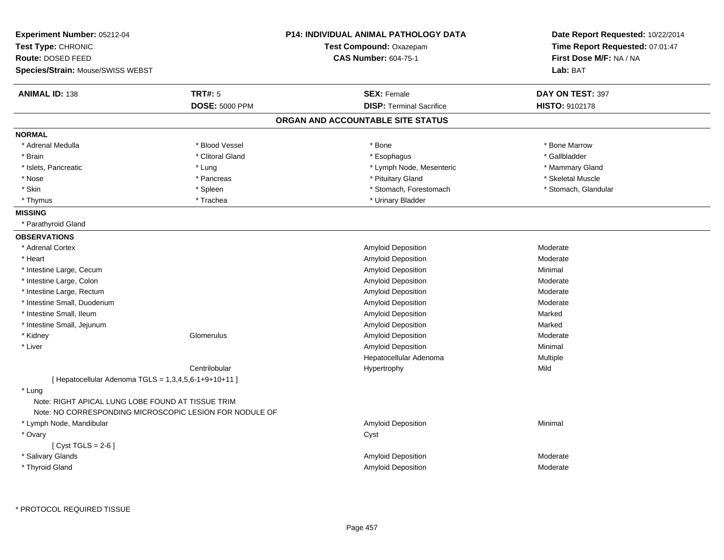| Experiment Number: 05212-04                                                                                  |                       | <b>P14: INDIVIDUAL ANIMAL PATHOLOGY DATA</b> | Date Report Requested: 10/22/2014 |  |
|--------------------------------------------------------------------------------------------------------------|-----------------------|----------------------------------------------|-----------------------------------|--|
| Test Type: CHRONIC                                                                                           |                       | Test Compound: Oxazepam                      | Time Report Requested: 07:01:47   |  |
| <b>Route: DOSED FEED</b>                                                                                     |                       | <b>CAS Number: 604-75-1</b>                  | First Dose M/F: NA / NA           |  |
| Species/Strain: Mouse/SWISS WEBST                                                                            |                       |                                              | Lab: BAT                          |  |
| <b>ANIMAL ID: 138</b>                                                                                        | <b>TRT#: 5</b>        | <b>SEX: Female</b>                           | DAY ON TEST: 397                  |  |
|                                                                                                              | <b>DOSE: 5000 PPM</b> | <b>DISP: Terminal Sacrifice</b>              | <b>HISTO: 9102178</b>             |  |
|                                                                                                              |                       | ORGAN AND ACCOUNTABLE SITE STATUS            |                                   |  |
| <b>NORMAL</b>                                                                                                |                       |                                              |                                   |  |
| * Adrenal Medulla                                                                                            | * Blood Vessel        | * Bone                                       | * Bone Marrow                     |  |
| * Brain                                                                                                      | * Clitoral Gland      | * Esophagus                                  | * Gallbladder                     |  |
| * Islets, Pancreatic                                                                                         | * Lung                | * Lymph Node, Mesenteric                     | * Mammary Gland                   |  |
| $*$ Nose                                                                                                     | * Pancreas            | * Pituitary Gland                            | * Skeletal Muscle                 |  |
| * Skin                                                                                                       | * Spleen              | * Stomach, Forestomach                       | * Stomach, Glandular              |  |
| * Thymus                                                                                                     | * Trachea             | * Urinary Bladder                            |                                   |  |
| <b>MISSING</b>                                                                                               |                       |                                              |                                   |  |
| * Parathyroid Gland                                                                                          |                       |                                              |                                   |  |
| <b>OBSERVATIONS</b>                                                                                          |                       |                                              |                                   |  |
| * Adrenal Cortex                                                                                             |                       | Amyloid Deposition                           | Moderate                          |  |
| * Heart                                                                                                      |                       | Amyloid Deposition                           | Moderate                          |  |
| * Intestine Large, Cecum                                                                                     |                       | Amyloid Deposition                           | Minimal                           |  |
| * Intestine Large, Colon                                                                                     |                       | Amyloid Deposition                           | Moderate                          |  |
| * Intestine Large, Rectum                                                                                    |                       | Amyloid Deposition                           | Moderate                          |  |
| * Intestine Small, Duodenum                                                                                  |                       | Amyloid Deposition                           | Moderate                          |  |
| * Intestine Small, Ileum                                                                                     |                       | Amyloid Deposition                           | Marked                            |  |
| * Intestine Small, Jejunum                                                                                   |                       | Amyloid Deposition                           | Marked                            |  |
| * Kidney                                                                                                     | Glomerulus            | Amyloid Deposition                           | Moderate                          |  |
| * Liver                                                                                                      |                       | Amyloid Deposition                           | Minimal                           |  |
|                                                                                                              |                       | Hepatocellular Adenoma                       | Multiple                          |  |
|                                                                                                              | Centrilobular         | Hypertrophy                                  | Mild                              |  |
| [ Hepatocellular Adenoma TGLS = 1,3,4,5,6-1+9+10+11 ]                                                        |                       |                                              |                                   |  |
| * Lung                                                                                                       |                       |                                              |                                   |  |
| Note: RIGHT APICAL LUNG LOBE FOUND AT TISSUE TRIM<br>Note: NO CORRESPONDING MICROSCOPIC LESION FOR NODULE OF |                       |                                              |                                   |  |
| * Lymph Node, Mandibular                                                                                     |                       | Amyloid Deposition                           | Minimal                           |  |
| * Ovary                                                                                                      |                       | Cyst                                         |                                   |  |
| [Cyst TGLS = $2-6$ ]                                                                                         |                       |                                              |                                   |  |
| * Salivary Glands                                                                                            |                       | Amyloid Deposition                           | Moderate                          |  |
| * Thyroid Gland                                                                                              |                       | Amyloid Deposition                           | Moderate                          |  |
|                                                                                                              |                       |                                              |                                   |  |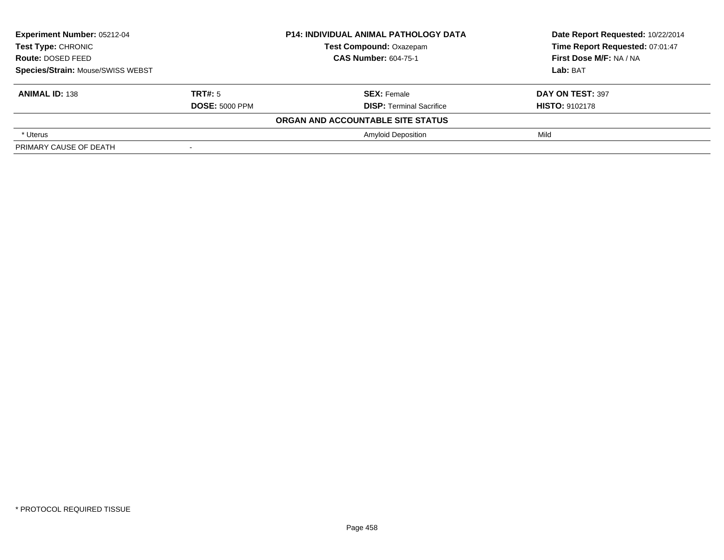| Experiment Number: 05212-04<br><b>Test Type: CHRONIC</b><br>Route: DOSED FEED |                       | <b>P14: INDIVIDUAL ANIMAL PATHOLOGY DATA</b> | Date Report Requested: 10/22/2014 |
|-------------------------------------------------------------------------------|-----------------------|----------------------------------------------|-----------------------------------|
|                                                                               |                       | <b>Test Compound: Oxazepam</b>               | Time Report Requested: 07:01:47   |
|                                                                               |                       | <b>CAS Number: 604-75-1</b>                  | First Dose M/F: NA / NA           |
| Species/Strain: Mouse/SWISS WEBST                                             |                       |                                              | Lab: BAT                          |
| <b>ANIMAL ID: 138</b>                                                         | TRT#: 5               | <b>SEX: Female</b>                           | DAY ON TEST: 397                  |
|                                                                               | <b>DOSE: 5000 PPM</b> | <b>DISP:</b> Terminal Sacrifice              | <b>HISTO: 9102178</b>             |
|                                                                               |                       | ORGAN AND ACCOUNTABLE SITE STATUS            |                                   |
| * Uterus                                                                      |                       | <b>Amyloid Deposition</b>                    | Mild                              |
| PRIMARY CAUSE OF DEATH                                                        |                       |                                              |                                   |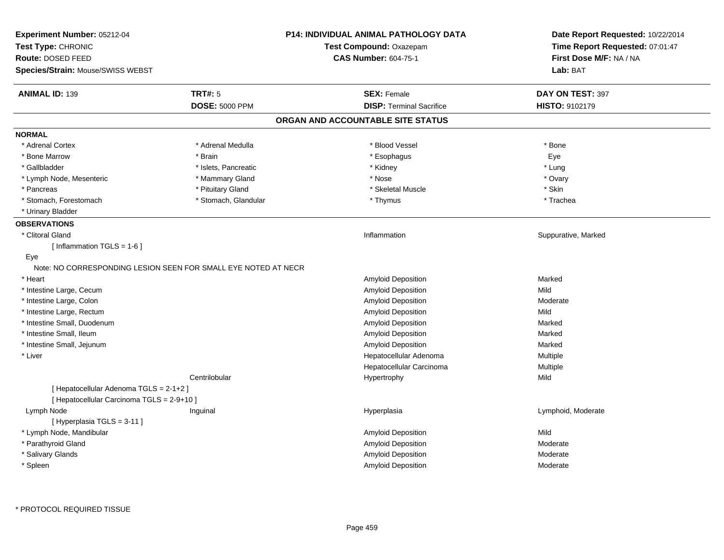| Experiment Number: 05212-04<br>Test Type: CHRONIC<br>Route: DOSED FEED<br>Species/Strain: Mouse/SWISS WEBST |                       | <b>P14: INDIVIDUAL ANIMAL PATHOLOGY DATA</b><br>Test Compound: Oxazepam<br><b>CAS Number: 604-75-1</b> | Date Report Requested: 10/22/2014<br>Time Report Requested: 07:01:47<br>First Dose M/F: NA / NA<br>Lab: BAT |
|-------------------------------------------------------------------------------------------------------------|-----------------------|--------------------------------------------------------------------------------------------------------|-------------------------------------------------------------------------------------------------------------|
| <b>ANIMAL ID: 139</b>                                                                                       | <b>TRT#: 5</b>        | <b>SEX: Female</b>                                                                                     | DAY ON TEST: 397                                                                                            |
|                                                                                                             | <b>DOSE: 5000 PPM</b> | <b>DISP: Terminal Sacrifice</b>                                                                        | HISTO: 9102179                                                                                              |
|                                                                                                             |                       | ORGAN AND ACCOUNTABLE SITE STATUS                                                                      |                                                                                                             |
| <b>NORMAL</b>                                                                                               |                       |                                                                                                        |                                                                                                             |
| * Adrenal Cortex                                                                                            | * Adrenal Medulla     | * Blood Vessel                                                                                         | * Bone                                                                                                      |
| * Bone Marrow                                                                                               | * Brain               | * Esophagus                                                                                            | Eye                                                                                                         |
| * Gallbladder                                                                                               | * Islets, Pancreatic  | * Kidney                                                                                               | * Lung                                                                                                      |
| * Lymph Node, Mesenteric                                                                                    | * Mammary Gland       | * Nose                                                                                                 | * Ovary                                                                                                     |
| * Pancreas                                                                                                  | * Pituitary Gland     | * Skeletal Muscle                                                                                      | * Skin                                                                                                      |
| * Stomach, Forestomach                                                                                      | * Stomach, Glandular  | * Thymus                                                                                               | * Trachea                                                                                                   |
| * Urinary Bladder                                                                                           |                       |                                                                                                        |                                                                                                             |
| <b>OBSERVATIONS</b>                                                                                         |                       |                                                                                                        |                                                                                                             |
| * Clitoral Gland                                                                                            |                       | Inflammation                                                                                           | Suppurative, Marked                                                                                         |
| [Inflammation $TGLS = 1-6$ ]<br>Eye                                                                         |                       |                                                                                                        |                                                                                                             |
| Note: NO CORRESPONDING LESION SEEN FOR SMALL EYE NOTED AT NECR                                              |                       |                                                                                                        |                                                                                                             |
| * Heart                                                                                                     |                       | Amyloid Deposition                                                                                     | Marked                                                                                                      |
| * Intestine Large, Cecum                                                                                    |                       | Amyloid Deposition                                                                                     | Mild                                                                                                        |
| * Intestine Large, Colon                                                                                    |                       | Amyloid Deposition                                                                                     | Moderate                                                                                                    |
| * Intestine Large, Rectum                                                                                   |                       | Amyloid Deposition                                                                                     | Mild                                                                                                        |
| * Intestine Small, Duodenum                                                                                 |                       | Amyloid Deposition                                                                                     | Marked                                                                                                      |
| * Intestine Small, Ileum                                                                                    |                       | Amyloid Deposition                                                                                     | Marked                                                                                                      |
| * Intestine Small, Jejunum                                                                                  |                       | Amyloid Deposition                                                                                     | Marked                                                                                                      |
| * Liver                                                                                                     |                       | Hepatocellular Adenoma                                                                                 | Multiple                                                                                                    |
|                                                                                                             |                       | Hepatocellular Carcinoma                                                                               | Multiple                                                                                                    |
|                                                                                                             | Centrilobular         | Hypertrophy                                                                                            | Mild                                                                                                        |
| [ Hepatocellular Adenoma TGLS = 2-1+2 ]<br>[ Hepatocellular Carcinoma TGLS = 2-9+10 ]                       |                       |                                                                                                        |                                                                                                             |
| Lymph Node                                                                                                  | Inguinal              | Hyperplasia                                                                                            | Lymphoid, Moderate                                                                                          |
| [Hyperplasia TGLS = 3-11]                                                                                   |                       |                                                                                                        |                                                                                                             |
| * Lymph Node, Mandibular                                                                                    |                       | Amyloid Deposition                                                                                     | Mild                                                                                                        |
| * Parathyroid Gland                                                                                         |                       | Amyloid Deposition                                                                                     | Moderate                                                                                                    |
| * Salivary Glands                                                                                           |                       | <b>Amyloid Deposition</b>                                                                              | Moderate                                                                                                    |
| * Spleen                                                                                                    |                       | Amyloid Deposition                                                                                     | Moderate                                                                                                    |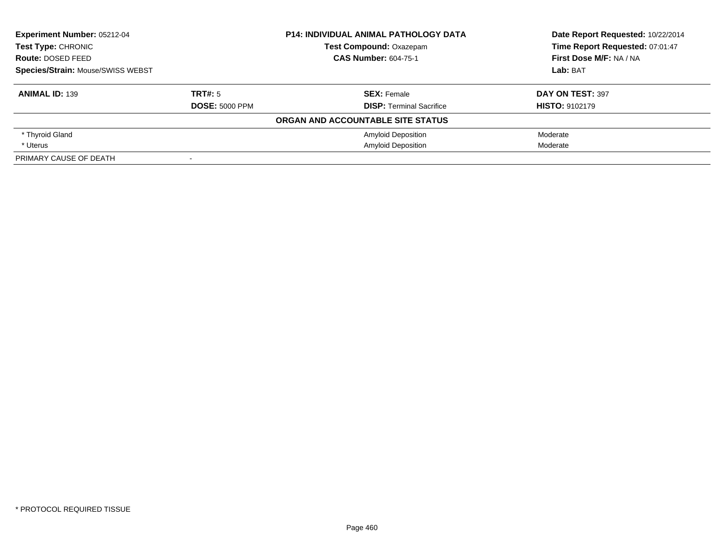| <b>Experiment Number: 05212-04</b>       |                       | <b>P14: INDIVIDUAL ANIMAL PATHOLOGY DATA</b> | Date Report Requested: 10/22/2014 |
|------------------------------------------|-----------------------|----------------------------------------------|-----------------------------------|
| Test Type: CHRONIC                       |                       | <b>Test Compound: Oxazepam</b>               | Time Report Requested: 07:01:47   |
| Route: DOSED FEED                        |                       | <b>CAS Number: 604-75-1</b>                  | First Dose M/F: NA / NA           |
| <b>Species/Strain: Mouse/SWISS WEBST</b> |                       |                                              | Lab: BAT                          |
| <b>ANIMAL ID: 139</b>                    | TRT#: 5               | <b>SEX: Female</b>                           | DAY ON TEST: 397                  |
|                                          | <b>DOSE: 5000 PPM</b> | <b>DISP:</b> Terminal Sacrifice              | <b>HISTO: 9102179</b>             |
|                                          |                       | ORGAN AND ACCOUNTABLE SITE STATUS            |                                   |
| * Thyroid Gland                          |                       | <b>Amyloid Deposition</b>                    | Moderate                          |
| * Uterus                                 |                       | <b>Amyloid Deposition</b>                    | Moderate                          |
| PRIMARY CAUSE OF DEATH                   |                       |                                              |                                   |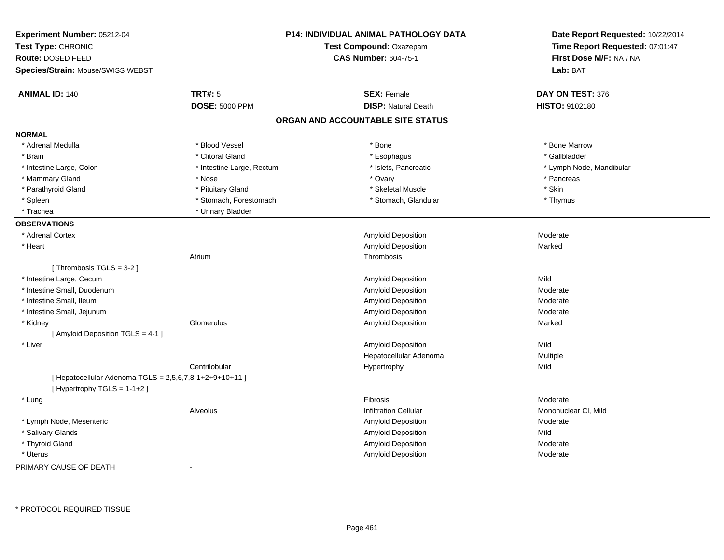| Experiment Number: 05212-04<br>Test Type: CHRONIC<br>Route: DOSED FEED<br>Species/Strain: Mouse/SWISS WEBST |                           | P14: INDIVIDUAL ANIMAL PATHOLOGY DATA<br>Test Compound: Oxazepam<br><b>CAS Number: 604-75-1</b> | Date Report Requested: 10/22/2014<br>Time Report Requested: 07:01:47<br>First Dose M/F: NA / NA<br>Lab: BAT |
|-------------------------------------------------------------------------------------------------------------|---------------------------|-------------------------------------------------------------------------------------------------|-------------------------------------------------------------------------------------------------------------|
| <b>ANIMAL ID: 140</b>                                                                                       | <b>TRT#: 5</b>            | <b>SEX: Female</b>                                                                              | DAY ON TEST: 376                                                                                            |
|                                                                                                             | <b>DOSE: 5000 PPM</b>     | <b>DISP: Natural Death</b>                                                                      | <b>HISTO: 9102180</b>                                                                                       |
|                                                                                                             |                           | ORGAN AND ACCOUNTABLE SITE STATUS                                                               |                                                                                                             |
| <b>NORMAL</b>                                                                                               |                           |                                                                                                 |                                                                                                             |
| * Adrenal Medulla                                                                                           | * Blood Vessel            | * Bone                                                                                          | * Bone Marrow                                                                                               |
| * Brain                                                                                                     | * Clitoral Gland          | * Esophagus                                                                                     | * Gallbladder                                                                                               |
| * Intestine Large, Colon                                                                                    | * Intestine Large, Rectum | * Islets, Pancreatic                                                                            | * Lymph Node, Mandibular                                                                                    |
| * Mammary Gland                                                                                             | * Nose                    | * Ovary                                                                                         | * Pancreas                                                                                                  |
| * Parathyroid Gland                                                                                         | * Pituitary Gland         | * Skeletal Muscle                                                                               | * Skin                                                                                                      |
| * Spleen                                                                                                    | * Stomach, Forestomach    | * Stomach, Glandular                                                                            | * Thymus                                                                                                    |
| * Trachea                                                                                                   | * Urinary Bladder         |                                                                                                 |                                                                                                             |
| <b>OBSERVATIONS</b>                                                                                         |                           |                                                                                                 |                                                                                                             |
| * Adrenal Cortex                                                                                            |                           | Amyloid Deposition                                                                              | Moderate                                                                                                    |
| * Heart                                                                                                     |                           | Amyloid Deposition                                                                              | Marked                                                                                                      |
|                                                                                                             | Atrium                    | Thrombosis                                                                                      |                                                                                                             |
| [Thrombosis TGLS = $3-2$ ]                                                                                  |                           |                                                                                                 |                                                                                                             |
| * Intestine Large, Cecum                                                                                    |                           | Amyloid Deposition                                                                              | Mild                                                                                                        |
| * Intestine Small, Duodenum                                                                                 |                           | Amyloid Deposition                                                                              | Moderate                                                                                                    |
| * Intestine Small, Ileum                                                                                    |                           | Amyloid Deposition                                                                              | Moderate                                                                                                    |
| * Intestine Small, Jejunum                                                                                  |                           | <b>Amyloid Deposition</b>                                                                       | Moderate                                                                                                    |
| * Kidney                                                                                                    | Glomerulus                | <b>Amyloid Deposition</b>                                                                       | Marked                                                                                                      |
| [ Amyloid Deposition TGLS = 4-1 ]                                                                           |                           |                                                                                                 |                                                                                                             |
| * Liver                                                                                                     |                           | Amyloid Deposition                                                                              | Mild                                                                                                        |
|                                                                                                             |                           | Hepatocellular Adenoma                                                                          | Multiple                                                                                                    |
|                                                                                                             | Centrilobular             | Hypertrophy                                                                                     | Mild                                                                                                        |
| [ Hepatocellular Adenoma TGLS = 2,5,6,7,8-1+2+9+10+11 ]<br>[Hypertrophy TGLS = 1-1+2]                       |                           |                                                                                                 |                                                                                                             |
| * Lung                                                                                                      |                           | Fibrosis                                                                                        | Moderate                                                                                                    |
|                                                                                                             | Alveolus                  | <b>Infiltration Cellular</b>                                                                    | Mononuclear CI, Mild                                                                                        |
| * Lymph Node, Mesenteric                                                                                    |                           | Amyloid Deposition                                                                              | Moderate                                                                                                    |
| * Salivary Glands                                                                                           |                           | <b>Amyloid Deposition</b>                                                                       | Mild                                                                                                        |
| * Thyroid Gland                                                                                             |                           | Amyloid Deposition                                                                              | Moderate                                                                                                    |
| * Uterus                                                                                                    |                           | Amyloid Deposition                                                                              | Moderate                                                                                                    |
| PRIMARY CAUSE OF DEATH                                                                                      | $\blacksquare$            |                                                                                                 |                                                                                                             |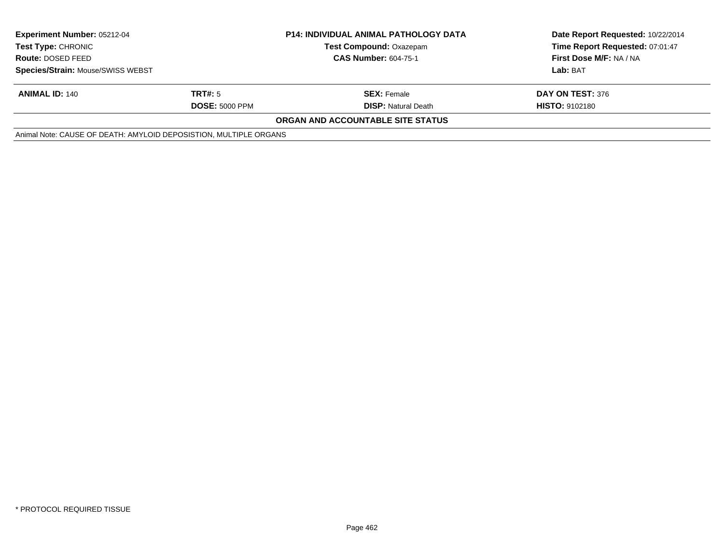| <b>Experiment Number: 05212-04</b><br><b>Test Type: CHRONIC</b>   |                       | <b>P14: INDIVIDUAL ANIMAL PATHOLOGY DATA</b><br><b>Test Compound: Oxazepam</b> | Date Report Requested: 10/22/2014<br>Time Report Requested: 07:01:47 |
|-------------------------------------------------------------------|-----------------------|--------------------------------------------------------------------------------|----------------------------------------------------------------------|
| <b>Route: DOSED FEED</b>                                          |                       | <b>CAS Number: 604-75-1</b>                                                    | First Dose M/F: NA / NA                                              |
| Species/Strain: Mouse/SWISS WEBST                                 |                       |                                                                                | Lab: BAT                                                             |
| <b>ANIMAL ID: 140</b>                                             | TRT#: 5               | <b>SEX: Female</b>                                                             | DAY ON TEST: 376                                                     |
|                                                                   | <b>DOSE: 5000 PPM</b> | <b>DISP:</b> Natural Death                                                     | <b>HISTO: 9102180</b>                                                |
|                                                                   |                       | <b>ORGAN AND ACCOUNTABLE SITE STATUS</b>                                       |                                                                      |
| Animal Note: CAUSE OF DEATH: AMYLOID DEPOSISTION, MULTIPLE ORGANS |                       |                                                                                |                                                                      |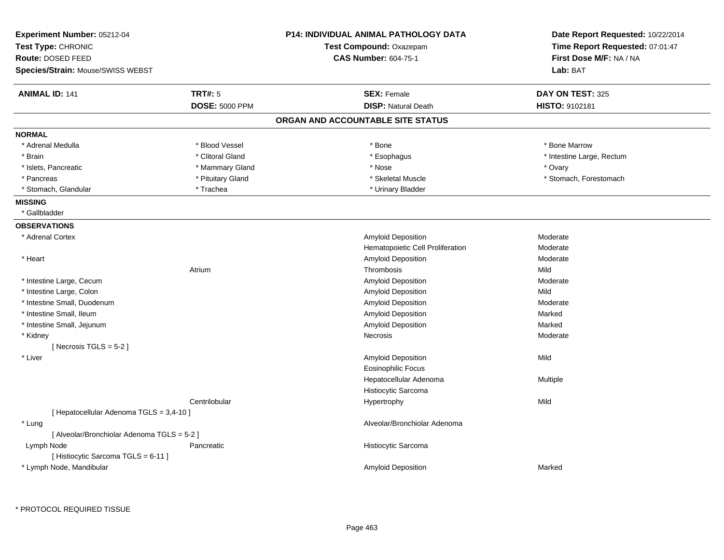| Experiment Number: 05212-04<br>Test Type: CHRONIC<br>Route: DOSED FEED<br>Species/Strain: Mouse/SWISS WEBST |                       | <b>P14: INDIVIDUAL ANIMAL PATHOLOGY DATA</b><br>Test Compound: Oxazepam<br><b>CAS Number: 604-75-1</b> | Date Report Requested: 10/22/2014<br>Time Report Requested: 07:01:47<br>First Dose M/F: NA / NA<br>Lab: BAT |
|-------------------------------------------------------------------------------------------------------------|-----------------------|--------------------------------------------------------------------------------------------------------|-------------------------------------------------------------------------------------------------------------|
| <b>ANIMAL ID: 141</b>                                                                                       | <b>TRT#: 5</b>        | <b>SEX: Female</b>                                                                                     | DAY ON TEST: 325                                                                                            |
|                                                                                                             | <b>DOSE: 5000 PPM</b> | <b>DISP: Natural Death</b>                                                                             | HISTO: 9102181                                                                                              |
|                                                                                                             |                       | ORGAN AND ACCOUNTABLE SITE STATUS                                                                      |                                                                                                             |
| <b>NORMAL</b>                                                                                               |                       |                                                                                                        |                                                                                                             |
| * Adrenal Medulla                                                                                           | * Blood Vessel        | $*$ Bone                                                                                               | * Bone Marrow                                                                                               |
| * Brain                                                                                                     | * Clitoral Gland      | * Esophagus                                                                                            | * Intestine Large, Rectum                                                                                   |
| * Islets, Pancreatic                                                                                        | * Mammary Gland       | * Nose                                                                                                 | * Ovary                                                                                                     |
| * Pancreas                                                                                                  | * Pituitary Gland     | * Skeletal Muscle                                                                                      | * Stomach, Forestomach                                                                                      |
| * Stomach, Glandular                                                                                        | * Trachea             | * Urinary Bladder                                                                                      |                                                                                                             |
| <b>MISSING</b>                                                                                              |                       |                                                                                                        |                                                                                                             |
| * Gallbladder                                                                                               |                       |                                                                                                        |                                                                                                             |
| <b>OBSERVATIONS</b>                                                                                         |                       |                                                                                                        |                                                                                                             |
| * Adrenal Cortex                                                                                            |                       | Amyloid Deposition                                                                                     | Moderate                                                                                                    |
|                                                                                                             |                       | Hematopoietic Cell Proliferation                                                                       | Moderate                                                                                                    |
| * Heart                                                                                                     |                       | Amyloid Deposition                                                                                     | Moderate                                                                                                    |
|                                                                                                             | Atrium                | Thrombosis                                                                                             | Mild                                                                                                        |
| * Intestine Large, Cecum                                                                                    |                       | Amyloid Deposition                                                                                     | Moderate                                                                                                    |
| * Intestine Large, Colon                                                                                    |                       | Amyloid Deposition                                                                                     | Mild                                                                                                        |
| * Intestine Small, Duodenum                                                                                 |                       | Amyloid Deposition                                                                                     | Moderate                                                                                                    |
| * Intestine Small, Ileum                                                                                    |                       | Amyloid Deposition                                                                                     | Marked                                                                                                      |
| * Intestine Small, Jejunum                                                                                  |                       | Amyloid Deposition                                                                                     | Marked                                                                                                      |
| * Kidney                                                                                                    |                       | <b>Necrosis</b>                                                                                        | Moderate                                                                                                    |
| [Necrosis TGLS = $5-2$ ]                                                                                    |                       |                                                                                                        |                                                                                                             |
| * Liver                                                                                                     |                       | Amyloid Deposition                                                                                     | Mild                                                                                                        |
|                                                                                                             |                       | Eosinophilic Focus                                                                                     |                                                                                                             |
|                                                                                                             |                       | Hepatocellular Adenoma                                                                                 | Multiple                                                                                                    |
|                                                                                                             |                       | Histiocytic Sarcoma                                                                                    |                                                                                                             |
|                                                                                                             | Centrilobular         | Hypertrophy                                                                                            | Mild                                                                                                        |
| [ Hepatocellular Adenoma TGLS = 3,4-10 ]                                                                    |                       |                                                                                                        |                                                                                                             |
| * Lung                                                                                                      |                       | Alveolar/Bronchiolar Adenoma                                                                           |                                                                                                             |
| [ Alveolar/Bronchiolar Adenoma TGLS = 5-2 ]                                                                 |                       |                                                                                                        |                                                                                                             |
| Lymph Node                                                                                                  | Pancreatic            | Histiocytic Sarcoma                                                                                    |                                                                                                             |
| [Histiocytic Sarcoma TGLS = 6-11]                                                                           |                       |                                                                                                        |                                                                                                             |
| * Lymph Node, Mandibular                                                                                    |                       | Amyloid Deposition                                                                                     | Marked                                                                                                      |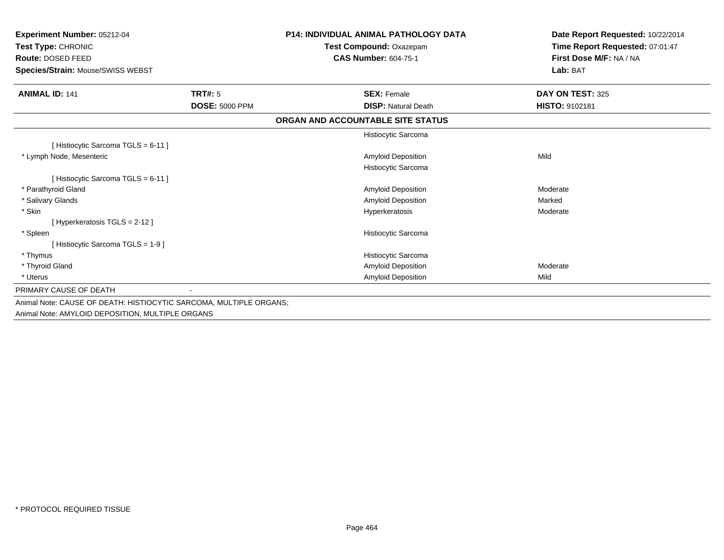| <b>Experiment Number: 05212-04</b><br>Test Type: CHRONIC<br><b>Route: DOSED FEED</b><br>Species/Strain: Mouse/SWISS WEBST |                       | <b>P14: INDIVIDUAL ANIMAL PATHOLOGY DATA</b><br>Test Compound: Oxazepam<br><b>CAS Number: 604-75-1</b> | Date Report Requested: 10/22/2014<br>Time Report Requested: 07:01:47<br>First Dose M/F: NA / NA<br>Lab: BAT |
|---------------------------------------------------------------------------------------------------------------------------|-----------------------|--------------------------------------------------------------------------------------------------------|-------------------------------------------------------------------------------------------------------------|
| <b>ANIMAL ID: 141</b>                                                                                                     | <b>TRT#: 5</b>        | <b>SEX: Female</b>                                                                                     | DAY ON TEST: 325                                                                                            |
|                                                                                                                           | <b>DOSE: 5000 PPM</b> | <b>DISP: Natural Death</b>                                                                             | HISTO: 9102181                                                                                              |
|                                                                                                                           |                       | ORGAN AND ACCOUNTABLE SITE STATUS                                                                      |                                                                                                             |
|                                                                                                                           |                       | Histiocytic Sarcoma                                                                                    |                                                                                                             |
| [Histiocytic Sarcoma TGLS = 6-11]                                                                                         |                       |                                                                                                        |                                                                                                             |
| * Lymph Node, Mesenteric                                                                                                  |                       | <b>Amyloid Deposition</b>                                                                              | Mild                                                                                                        |
|                                                                                                                           |                       | Histiocytic Sarcoma                                                                                    |                                                                                                             |
| [Histiocytic Sarcoma TGLS = 6-11]                                                                                         |                       |                                                                                                        |                                                                                                             |
| * Parathyroid Gland                                                                                                       |                       | <b>Amyloid Deposition</b>                                                                              | Moderate                                                                                                    |
| * Salivary Glands                                                                                                         |                       | <b>Amyloid Deposition</b>                                                                              | Marked                                                                                                      |
| * Skin                                                                                                                    |                       | Hyperkeratosis                                                                                         | Moderate                                                                                                    |
| [Hyperkeratosis $TGLS = 2-12$ ]                                                                                           |                       |                                                                                                        |                                                                                                             |
| * Spleen                                                                                                                  |                       | Histiocytic Sarcoma                                                                                    |                                                                                                             |
| [Histiocytic Sarcoma TGLS = 1-9]                                                                                          |                       |                                                                                                        |                                                                                                             |
| * Thymus                                                                                                                  |                       | Histiocytic Sarcoma                                                                                    |                                                                                                             |
| * Thyroid Gland                                                                                                           |                       | Amyloid Deposition                                                                                     | Moderate                                                                                                    |
| * Uterus                                                                                                                  |                       | <b>Amyloid Deposition</b>                                                                              | Mild                                                                                                        |
| PRIMARY CAUSE OF DEATH                                                                                                    |                       |                                                                                                        |                                                                                                             |
| Animal Note: CAUSE OF DEATH: HISTIOCYTIC SARCOMA, MULTIPLE ORGANS;                                                        |                       |                                                                                                        |                                                                                                             |
| Animal Note: AMYLOID DEPOSITION, MULTIPLE ORGANS                                                                          |                       |                                                                                                        |                                                                                                             |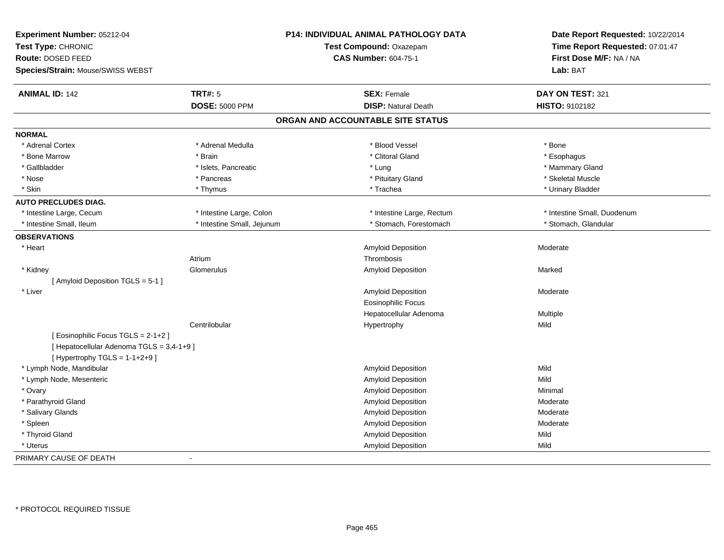| Experiment Number: 05212-04               |                            | <b>P14: INDIVIDUAL ANIMAL PATHOLOGY DATA</b> | Date Report Requested: 10/22/2014 |
|-------------------------------------------|----------------------------|----------------------------------------------|-----------------------------------|
| Test Type: CHRONIC                        |                            | Test Compound: Oxazepam                      | Time Report Requested: 07:01:47   |
| Route: DOSED FEED                         |                            | <b>CAS Number: 604-75-1</b>                  | First Dose M/F: NA / NA           |
| Species/Strain: Mouse/SWISS WEBST         |                            |                                              | Lab: BAT                          |
| <b>ANIMAL ID: 142</b>                     | <b>TRT#: 5</b>             | <b>SEX: Female</b>                           | DAY ON TEST: 321                  |
|                                           | <b>DOSE: 5000 PPM</b>      | <b>DISP: Natural Death</b>                   | HISTO: 9102182                    |
|                                           |                            | ORGAN AND ACCOUNTABLE SITE STATUS            |                                   |
| <b>NORMAL</b>                             |                            |                                              |                                   |
| * Adrenal Cortex                          | * Adrenal Medulla          | * Blood Vessel                               | * Bone                            |
| * Bone Marrow                             | * Brain                    | * Clitoral Gland                             | * Esophagus                       |
| * Gallbladder                             | * Islets, Pancreatic       | * Lung                                       | * Mammary Gland                   |
| * Nose                                    | * Pancreas                 | * Pituitary Gland                            | * Skeletal Muscle                 |
| * Skin                                    | * Thymus                   | * Trachea                                    | * Urinary Bladder                 |
| <b>AUTO PRECLUDES DIAG.</b>               |                            |                                              |                                   |
| * Intestine Large, Cecum                  | * Intestine Large, Colon   | * Intestine Large, Rectum                    | * Intestine Small, Duodenum       |
| * Intestine Small, Ileum                  | * Intestine Small, Jejunum | * Stomach, Forestomach                       | * Stomach, Glandular              |
| <b>OBSERVATIONS</b>                       |                            |                                              |                                   |
| * Heart                                   |                            | Amyloid Deposition                           | Moderate                          |
|                                           | Atrium                     | Thrombosis                                   |                                   |
| * Kidney                                  | Glomerulus                 | Amyloid Deposition                           | Marked                            |
| [ Amyloid Deposition TGLS = 5-1 ]         |                            |                                              |                                   |
| * Liver                                   |                            | <b>Amyloid Deposition</b>                    | Moderate                          |
|                                           |                            | <b>Eosinophilic Focus</b>                    |                                   |
|                                           |                            | Hepatocellular Adenoma                       | Multiple                          |
|                                           | Centrilobular              | Hypertrophy                                  | Mild                              |
| [Eosinophilic Focus TGLS = 2-1+2]         |                            |                                              |                                   |
| [ Hepatocellular Adenoma TGLS = 3,4-1+9 ] |                            |                                              |                                   |
| [Hypertrophy TGLS = $1-1+2+9$ ]           |                            |                                              |                                   |
| * Lymph Node, Mandibular                  |                            | Amyloid Deposition                           | Mild                              |
| * Lymph Node, Mesenteric                  |                            | <b>Amyloid Deposition</b>                    | Mild                              |
| * Ovary                                   |                            | Amyloid Deposition                           | Minimal                           |
| * Parathyroid Gland                       |                            | Amyloid Deposition                           | Moderate                          |
| * Salivary Glands                         |                            | Amyloid Deposition                           | Moderate                          |
| * Spleen                                  |                            | Amyloid Deposition                           | Moderate                          |
| * Thyroid Gland                           |                            | Amyloid Deposition                           | Mild                              |
| * Uterus                                  |                            | Amyloid Deposition                           | Mild                              |
| PRIMARY CAUSE OF DEATH                    | $\sim$                     |                                              |                                   |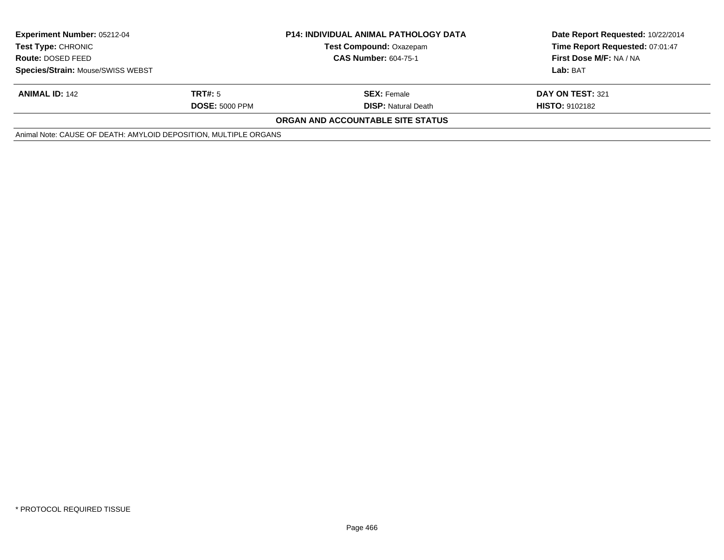| <b>Experiment Number: 05212-04</b>                               |                       | <b>P14: INDIVIDUAL ANIMAL PATHOLOGY DATA</b> | Date Report Requested: 10/22/2014 |
|------------------------------------------------------------------|-----------------------|----------------------------------------------|-----------------------------------|
| <b>Test Type: CHRONIC</b><br><b>Route: DOSED FEED</b>            |                       | <b>Test Compound: Oxazepam</b>               | Time Report Requested: 07:01:47   |
|                                                                  |                       | <b>CAS Number: 604-75-1</b>                  | First Dose M/F: NA / NA           |
| Species/Strain: Mouse/SWISS WEBST                                |                       |                                              | Lab: BAT                          |
| <b>ANIMAL ID: 142</b>                                            | TRT#: 5               | <b>SEX:</b> Female                           | DAY ON TEST: 321                  |
|                                                                  | <b>DOSE: 5000 PPM</b> | <b>DISP: Natural Death</b>                   | <b>HISTO: 9102182</b>             |
|                                                                  |                       | <b>ORGAN AND ACCOUNTABLE SITE STATUS</b>     |                                   |
| Animal Note: CAUSE OF DEATH: AMYLOID DEPOSITION, MULTIPLE ORGANS |                       |                                              |                                   |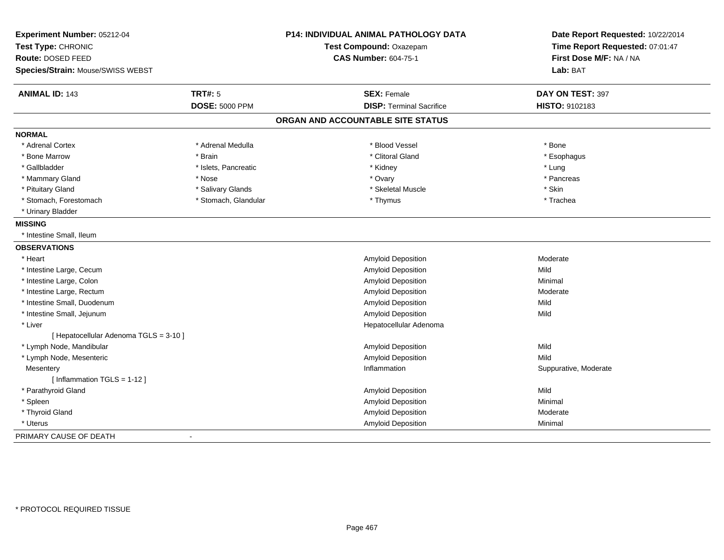| Experiment Number: 05212-04<br>Test Type: CHRONIC<br>Route: DOSED FEED<br>Species/Strain: Mouse/SWISS WEBST |                       | <b>P14: INDIVIDUAL ANIMAL PATHOLOGY DATA</b><br>Test Compound: Oxazepam<br><b>CAS Number: 604-75-1</b> | Date Report Requested: 10/22/2014<br>Time Report Requested: 07:01:47<br>First Dose M/F: NA / NA<br>Lab: BAT |
|-------------------------------------------------------------------------------------------------------------|-----------------------|--------------------------------------------------------------------------------------------------------|-------------------------------------------------------------------------------------------------------------|
|                                                                                                             |                       |                                                                                                        |                                                                                                             |
| <b>ANIMAL ID: 143</b>                                                                                       | <b>TRT#: 5</b>        | <b>SEX: Female</b>                                                                                     | DAY ON TEST: 397                                                                                            |
|                                                                                                             | <b>DOSE: 5000 PPM</b> | <b>DISP: Terminal Sacrifice</b>                                                                        | HISTO: 9102183                                                                                              |
|                                                                                                             |                       | ORGAN AND ACCOUNTABLE SITE STATUS                                                                      |                                                                                                             |
| <b>NORMAL</b>                                                                                               |                       |                                                                                                        |                                                                                                             |
| * Adrenal Cortex                                                                                            | * Adrenal Medulla     | * Blood Vessel                                                                                         | * Bone                                                                                                      |
| * Bone Marrow                                                                                               | * Brain               | * Clitoral Gland                                                                                       | * Esophagus                                                                                                 |
| * Gallbladder                                                                                               | * Islets, Pancreatic  | * Kidney                                                                                               | * Lung                                                                                                      |
| * Mammary Gland                                                                                             | * Nose                | * Ovary                                                                                                | * Pancreas                                                                                                  |
| * Pituitary Gland                                                                                           | * Salivary Glands     | * Skeletal Muscle                                                                                      | * Skin                                                                                                      |
| * Stomach, Forestomach                                                                                      | * Stomach, Glandular  | * Thymus                                                                                               | * Trachea                                                                                                   |
| * Urinary Bladder                                                                                           |                       |                                                                                                        |                                                                                                             |
| <b>MISSING</b>                                                                                              |                       |                                                                                                        |                                                                                                             |
| * Intestine Small, Ileum                                                                                    |                       |                                                                                                        |                                                                                                             |
| <b>OBSERVATIONS</b>                                                                                         |                       |                                                                                                        |                                                                                                             |
| * Heart                                                                                                     |                       | Amyloid Deposition                                                                                     | Moderate                                                                                                    |
| * Intestine Large, Cecum                                                                                    |                       | Amyloid Deposition                                                                                     | Mild                                                                                                        |
| * Intestine Large, Colon                                                                                    |                       | Amyloid Deposition                                                                                     | Minimal                                                                                                     |
| * Intestine Large, Rectum                                                                                   |                       | Amyloid Deposition                                                                                     | Moderate                                                                                                    |
| * Intestine Small, Duodenum                                                                                 |                       | Amyloid Deposition                                                                                     | Mild                                                                                                        |
| * Intestine Small, Jejunum                                                                                  |                       | Amyloid Deposition                                                                                     | Mild                                                                                                        |
| * Liver                                                                                                     |                       | Hepatocellular Adenoma                                                                                 |                                                                                                             |
| [ Hepatocellular Adenoma TGLS = 3-10 ]                                                                      |                       |                                                                                                        |                                                                                                             |
| * Lymph Node, Mandibular                                                                                    |                       | Amyloid Deposition                                                                                     | Mild                                                                                                        |
| * Lymph Node, Mesenteric                                                                                    |                       | Amyloid Deposition                                                                                     | Mild                                                                                                        |
| Mesentery                                                                                                   |                       | Inflammation                                                                                           | Suppurative, Moderate                                                                                       |
| [Inflammation TGLS = 1-12]                                                                                  |                       |                                                                                                        |                                                                                                             |
| * Parathyroid Gland                                                                                         |                       | <b>Amyloid Deposition</b>                                                                              | Mild                                                                                                        |
| * Spleen                                                                                                    |                       | Amyloid Deposition                                                                                     | Minimal                                                                                                     |
| * Thyroid Gland                                                                                             |                       | Amyloid Deposition                                                                                     | Moderate                                                                                                    |
| * Uterus                                                                                                    |                       | <b>Amyloid Deposition</b>                                                                              | Minimal                                                                                                     |
| PRIMARY CAUSE OF DEATH                                                                                      |                       |                                                                                                        |                                                                                                             |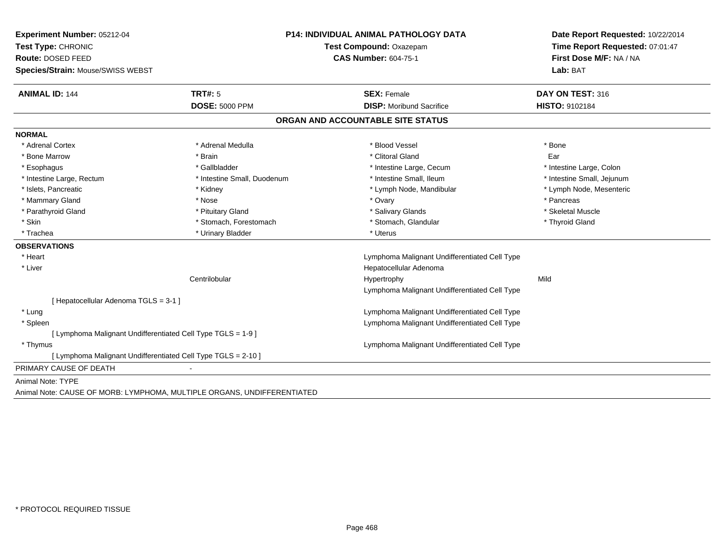| Experiment Number: 05212-04         |                                                                         | <b>P14: INDIVIDUAL ANIMAL PATHOLOGY DATA</b>  | Date Report Requested: 10/22/2014 |
|-------------------------------------|-------------------------------------------------------------------------|-----------------------------------------------|-----------------------------------|
| Test Type: CHRONIC                  |                                                                         | Test Compound: Oxazepam                       |                                   |
| Route: DOSED FEED                   |                                                                         | <b>CAS Number: 604-75-1</b>                   | First Dose M/F: NA / NA           |
| Species/Strain: Mouse/SWISS WEBST   |                                                                         |                                               | Lab: BAT                          |
| <b>ANIMAL ID: 144</b>               | <b>TRT#: 5</b>                                                          | <b>SEX: Female</b>                            | DAY ON TEST: 316                  |
|                                     | <b>DOSE: 5000 PPM</b>                                                   | <b>DISP:</b> Moribund Sacrifice               | HISTO: 9102184                    |
|                                     |                                                                         | ORGAN AND ACCOUNTABLE SITE STATUS             |                                   |
| <b>NORMAL</b>                       |                                                                         |                                               |                                   |
| * Adrenal Cortex                    | * Adrenal Medulla                                                       | * Blood Vessel                                | <b>Bone</b>                       |
| * Bone Marrow                       | * Brain                                                                 | * Clitoral Gland                              | Ear                               |
| * Esophagus                         | * Gallbladder                                                           | * Intestine Large, Cecum                      | * Intestine Large, Colon          |
| * Intestine Large, Rectum           | * Intestine Small, Duodenum                                             | * Intestine Small, Ileum                      | * Intestine Small, Jejunum        |
| * Islets, Pancreatic                | * Kidney                                                                | * Lymph Node, Mandibular                      | * Lymph Node, Mesenteric          |
| * Mammary Gland                     | * Nose                                                                  | * Ovary                                       | * Pancreas                        |
| * Parathyroid Gland                 | * Pituitary Gland                                                       | * Salivary Glands                             | * Skeletal Muscle                 |
| * Skin                              | * Stomach, Forestomach                                                  | * Stomach, Glandular                          | * Thyroid Gland                   |
| * Trachea                           | * Urinary Bladder                                                       | * Uterus                                      |                                   |
| <b>OBSERVATIONS</b>                 |                                                                         |                                               |                                   |
| * Heart                             |                                                                         | Lymphoma Malignant Undifferentiated Cell Type |                                   |
| * Liver                             |                                                                         | Hepatocellular Adenoma                        |                                   |
|                                     | Centrilobular                                                           | Hypertrophy                                   | Mild                              |
|                                     |                                                                         | Lymphoma Malignant Undifferentiated Cell Type |                                   |
| [Hepatocellular Adenoma TGLS = 3-1] |                                                                         |                                               |                                   |
| * Lung                              |                                                                         | Lymphoma Malignant Undifferentiated Cell Type |                                   |
| * Spleen                            |                                                                         | Lymphoma Malignant Undifferentiated Cell Type |                                   |
|                                     | [ Lymphoma Malignant Undifferentiated Cell Type TGLS = 1-9 ]            |                                               |                                   |
| * Thymus                            |                                                                         | Lymphoma Malignant Undifferentiated Cell Type |                                   |
|                                     | [ Lymphoma Malignant Undifferentiated Cell Type TGLS = 2-10 ]           |                                               |                                   |
| PRIMARY CAUSE OF DEATH              |                                                                         |                                               |                                   |
| Animal Note: TYPE                   |                                                                         |                                               |                                   |
|                                     | Animal Note: CAUSE OF MORB: LYMPHOMA, MULTIPLE ORGANS, UNDIFFERENTIATED |                                               |                                   |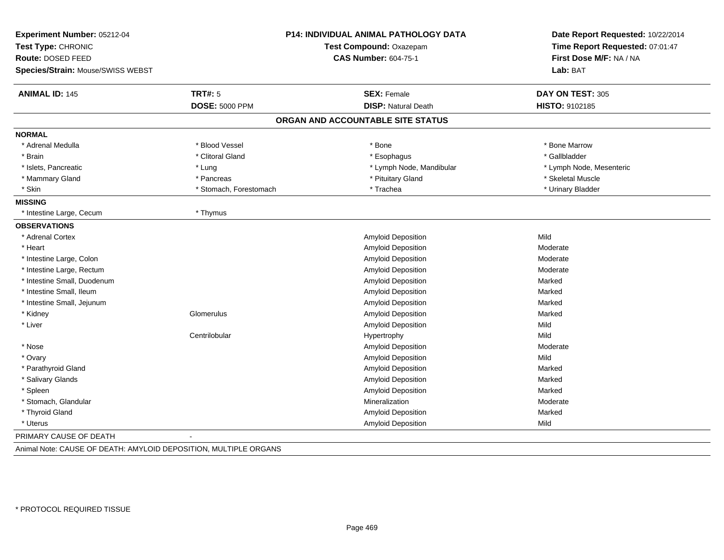| Experiment Number: 05212-04<br>Test Type: CHRONIC<br>Route: DOSED FEED |                        | <b>P14: INDIVIDUAL ANIMAL PATHOLOGY DATA</b><br>Test Compound: Oxazepam<br><b>CAS Number: 604-75-1</b> | Date Report Requested: 10/22/2014<br>Time Report Requested: 07:01:47<br>First Dose M/F: NA / NA |
|------------------------------------------------------------------------|------------------------|--------------------------------------------------------------------------------------------------------|-------------------------------------------------------------------------------------------------|
| Species/Strain: Mouse/SWISS WEBST                                      |                        |                                                                                                        | Lab: BAT                                                                                        |
| <b>ANIMAL ID: 145</b>                                                  | <b>TRT#: 5</b>         | <b>SEX: Female</b>                                                                                     | DAY ON TEST: 305                                                                                |
|                                                                        | <b>DOSE: 5000 PPM</b>  | <b>DISP: Natural Death</b>                                                                             | HISTO: 9102185                                                                                  |
|                                                                        |                        | ORGAN AND ACCOUNTABLE SITE STATUS                                                                      |                                                                                                 |
| <b>NORMAL</b>                                                          |                        |                                                                                                        |                                                                                                 |
| * Adrenal Medulla                                                      | * Blood Vessel         | * Bone                                                                                                 | * Bone Marrow                                                                                   |
| * Brain                                                                | * Clitoral Gland       | * Esophagus                                                                                            | * Gallbladder                                                                                   |
| * Islets, Pancreatic                                                   | * Lung                 | * Lymph Node, Mandibular                                                                               | * Lymph Node, Mesenteric                                                                        |
| * Mammary Gland                                                        | * Pancreas             | * Pituitary Gland                                                                                      | * Skeletal Muscle                                                                               |
| * Skin                                                                 | * Stomach, Forestomach | * Trachea                                                                                              | * Urinary Bladder                                                                               |
| <b>MISSING</b>                                                         |                        |                                                                                                        |                                                                                                 |
| * Intestine Large, Cecum                                               | * Thymus               |                                                                                                        |                                                                                                 |
| <b>OBSERVATIONS</b>                                                    |                        |                                                                                                        |                                                                                                 |
| * Adrenal Cortex                                                       |                        | Amyloid Deposition                                                                                     | Mild                                                                                            |
| * Heart                                                                |                        | Amyloid Deposition                                                                                     | Moderate                                                                                        |
| * Intestine Large, Colon                                               |                        | <b>Amyloid Deposition</b>                                                                              | Moderate                                                                                        |
| * Intestine Large, Rectum                                              |                        | Amyloid Deposition                                                                                     | Moderate                                                                                        |
| * Intestine Small, Duodenum                                            |                        | Amyloid Deposition                                                                                     | Marked                                                                                          |
| * Intestine Small, Ileum                                               |                        | Amyloid Deposition                                                                                     | Marked                                                                                          |
| * Intestine Small, Jejunum                                             |                        | Amyloid Deposition                                                                                     | Marked                                                                                          |
| * Kidney                                                               | Glomerulus             | Amyloid Deposition                                                                                     | Marked                                                                                          |
| * Liver                                                                |                        | Amyloid Deposition                                                                                     | Mild                                                                                            |
|                                                                        | Centrilobular          | Hypertrophy                                                                                            | Mild                                                                                            |
| * Nose                                                                 |                        | Amyloid Deposition                                                                                     | Moderate                                                                                        |
| * Ovary                                                                |                        | Amyloid Deposition                                                                                     | Mild                                                                                            |
| * Parathyroid Gland                                                    |                        | <b>Amyloid Deposition</b>                                                                              | Marked                                                                                          |
| * Salivary Glands                                                      |                        | Amyloid Deposition                                                                                     | Marked                                                                                          |
| * Spleen                                                               |                        | Amyloid Deposition                                                                                     | Marked                                                                                          |
| * Stomach, Glandular                                                   |                        | Mineralization                                                                                         | Moderate                                                                                        |
| * Thyroid Gland                                                        |                        | Amyloid Deposition                                                                                     | Marked                                                                                          |
| * Uterus                                                               |                        | Amyloid Deposition                                                                                     | Mild                                                                                            |
| PRIMARY CAUSE OF DEATH                                                 |                        |                                                                                                        |                                                                                                 |

Animal Note: CAUSE OF DEATH: AMYLOID DEPOSITION, MULTIPLE ORGANS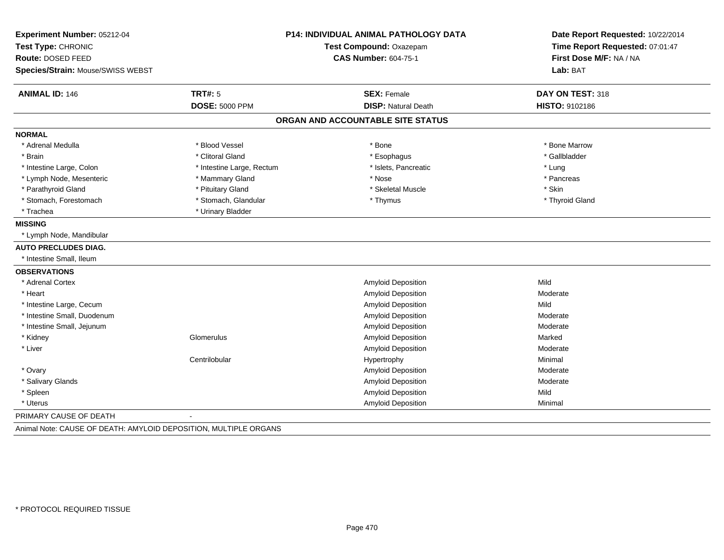| Experiment Number: 05212-04       |                           | <b>P14: INDIVIDUAL ANIMAL PATHOLOGY DATA</b> | Date Report Requested: 10/22/2014<br>Time Report Requested: 07:01:47 |
|-----------------------------------|---------------------------|----------------------------------------------|----------------------------------------------------------------------|
| Test Type: CHRONIC                |                           | Test Compound: Oxazepam                      |                                                                      |
| Route: DOSED FEED                 |                           | <b>CAS Number: 604-75-1</b>                  | First Dose M/F: NA / NA                                              |
| Species/Strain: Mouse/SWISS WEBST |                           |                                              | Lab: BAT                                                             |
| <b>ANIMAL ID: 146</b>             | <b>TRT#: 5</b>            | <b>SEX: Female</b>                           | DAY ON TEST: 318                                                     |
|                                   | <b>DOSE: 5000 PPM</b>     | <b>DISP: Natural Death</b>                   | HISTO: 9102186                                                       |
|                                   |                           | ORGAN AND ACCOUNTABLE SITE STATUS            |                                                                      |
| <b>NORMAL</b>                     |                           |                                              |                                                                      |
| * Adrenal Medulla                 | * Blood Vessel            | * Bone                                       | * Bone Marrow                                                        |
| * Brain                           | * Clitoral Gland          | * Esophagus                                  | * Gallbladder                                                        |
| * Intestine Large, Colon          | * Intestine Large, Rectum | * Islets, Pancreatic                         | * Lung                                                               |
| * Lymph Node, Mesenteric          | * Mammary Gland           | * Nose                                       | * Pancreas                                                           |
| * Parathyroid Gland               | * Pituitary Gland         | * Skeletal Muscle                            | * Skin                                                               |
| * Stomach, Forestomach            | * Stomach, Glandular      | * Thymus                                     | * Thyroid Gland                                                      |
| * Trachea                         | * Urinary Bladder         |                                              |                                                                      |
| <b>MISSING</b>                    |                           |                                              |                                                                      |
| * Lymph Node, Mandibular          |                           |                                              |                                                                      |
| <b>AUTO PRECLUDES DIAG.</b>       |                           |                                              |                                                                      |
| * Intestine Small, Ileum          |                           |                                              |                                                                      |
| <b>OBSERVATIONS</b>               |                           |                                              |                                                                      |
| * Adrenal Cortex                  |                           | <b>Amyloid Deposition</b>                    | Mild                                                                 |
| * Heart                           |                           | <b>Amyloid Deposition</b>                    | Moderate                                                             |
| * Intestine Large, Cecum          |                           | Amyloid Deposition                           | Mild                                                                 |
| * Intestine Small, Duodenum       |                           | Amyloid Deposition                           | Moderate                                                             |
| * Intestine Small, Jejunum        |                           | Amyloid Deposition                           | Moderate                                                             |
| * Kidney                          | Glomerulus                | <b>Amyloid Deposition</b>                    | Marked                                                               |
| * Liver                           |                           | Amyloid Deposition                           | Moderate                                                             |
|                                   | Centrilobular             | Hypertrophy                                  | Minimal                                                              |
| * Ovary                           |                           | <b>Amyloid Deposition</b>                    | Moderate                                                             |
| * Salivary Glands                 |                           | Amyloid Deposition                           | Moderate                                                             |
| * Spleen                          |                           | Amyloid Deposition                           | Mild                                                                 |
| * Uterus                          |                           | Amyloid Deposition                           | Minimal                                                              |
| PRIMARY CAUSE OF DEATH            |                           |                                              |                                                                      |

Animal Note: CAUSE OF DEATH: AMYLOID DEPOSITION, MULTIPLE ORGANS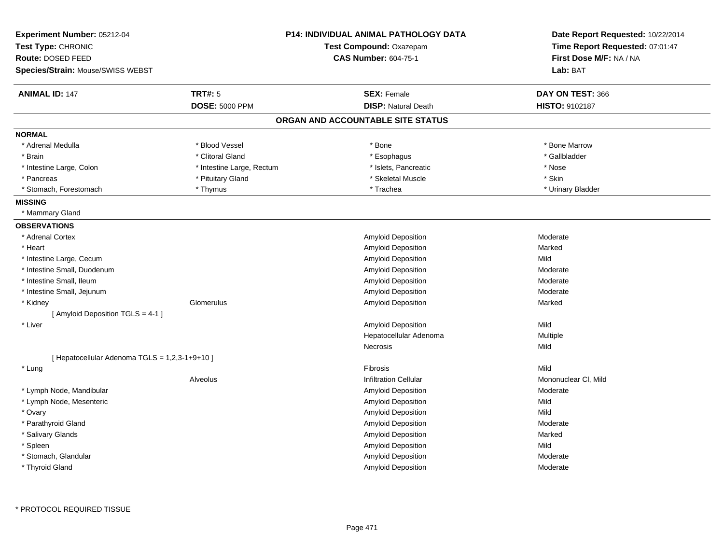| Experiment Number: 05212-04                    |                           | <b>P14: INDIVIDUAL ANIMAL PATHOLOGY DATA</b> | Date Report Requested: 10/22/2014 |
|------------------------------------------------|---------------------------|----------------------------------------------|-----------------------------------|
| Test Type: CHRONIC                             |                           | Test Compound: Oxazepam                      | Time Report Requested: 07:01:47   |
| Route: DOSED FEED                              |                           | <b>CAS Number: 604-75-1</b>                  | First Dose M/F: NA / NA           |
| Species/Strain: Mouse/SWISS WEBST              |                           |                                              | Lab: BAT                          |
| <b>ANIMAL ID: 147</b>                          | <b>TRT#: 5</b>            | <b>SEX: Female</b>                           | DAY ON TEST: 366                  |
|                                                | <b>DOSE: 5000 PPM</b>     | <b>DISP: Natural Death</b>                   | <b>HISTO: 9102187</b>             |
|                                                |                           | ORGAN AND ACCOUNTABLE SITE STATUS            |                                   |
| <b>NORMAL</b>                                  |                           |                                              |                                   |
| * Adrenal Medulla                              | * Blood Vessel            | * Bone                                       | * Bone Marrow                     |
| * Brain                                        | * Clitoral Gland          | * Esophagus                                  | * Gallbladder                     |
| * Intestine Large, Colon                       | * Intestine Large, Rectum | * Islets, Pancreatic                         | * Nose                            |
| * Pancreas                                     | * Pituitary Gland         | * Skeletal Muscle                            | * Skin                            |
| * Stomach, Forestomach                         | * Thymus                  | * Trachea                                    | * Urinary Bladder                 |
| <b>MISSING</b>                                 |                           |                                              |                                   |
| * Mammary Gland                                |                           |                                              |                                   |
| <b>OBSERVATIONS</b>                            |                           |                                              |                                   |
| * Adrenal Cortex                               |                           | Amyloid Deposition                           | Moderate                          |
| * Heart                                        |                           | <b>Amyloid Deposition</b>                    | Marked                            |
| * Intestine Large, Cecum                       |                           | Amyloid Deposition                           | Mild                              |
| * Intestine Small, Duodenum                    |                           | <b>Amyloid Deposition</b>                    | Moderate                          |
| * Intestine Small, Ileum                       |                           | Amyloid Deposition                           | Moderate                          |
| * Intestine Small, Jejunum                     |                           | Amyloid Deposition                           | Moderate                          |
| * Kidney                                       | Glomerulus                | <b>Amyloid Deposition</b>                    | Marked                            |
| [ Amyloid Deposition TGLS = 4-1 ]              |                           |                                              |                                   |
| * Liver                                        |                           | Amyloid Deposition                           | Mild                              |
|                                                |                           | Hepatocellular Adenoma                       | Multiple                          |
|                                                |                           | <b>Necrosis</b>                              | Mild                              |
| [ Hepatocellular Adenoma TGLS = 1,2,3-1+9+10 ] |                           |                                              |                                   |
| * Lung                                         |                           | Fibrosis                                     | Mild                              |
|                                                | Alveolus                  | <b>Infiltration Cellular</b>                 | Mononuclear CI, Mild              |
| * Lymph Node, Mandibular                       |                           | Amyloid Deposition                           | Moderate                          |
| * Lymph Node, Mesenteric                       |                           | Amyloid Deposition                           | Mild                              |
| * Ovary                                        |                           | <b>Amyloid Deposition</b>                    | Mild                              |
| * Parathyroid Gland                            |                           | Amyloid Deposition                           | Moderate                          |
| * Salivary Glands                              |                           | Amyloid Deposition                           | Marked                            |
| * Spleen                                       |                           | <b>Amyloid Deposition</b>                    | Mild                              |
| * Stomach, Glandular                           |                           | Amyloid Deposition                           | Moderate                          |
| * Thyroid Gland                                |                           | Amyloid Deposition                           | Moderate                          |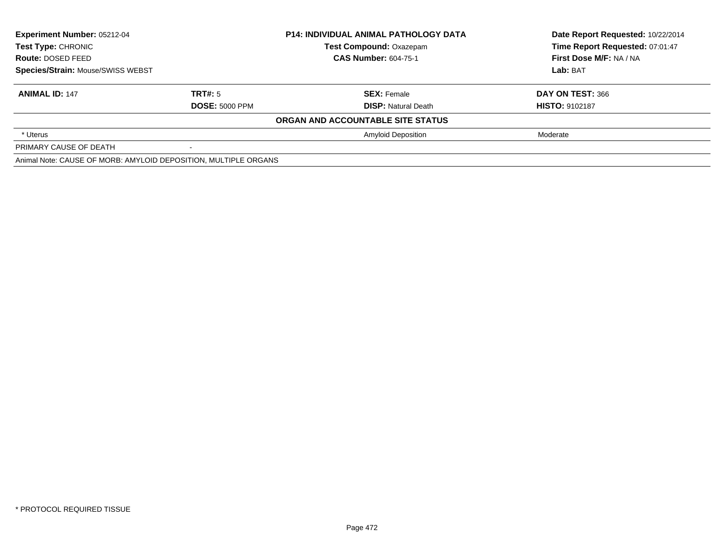| Experiment Number: 05212-04<br>Test Type: CHRONIC<br>Route: DOSED FEED<br>Species/Strain: Mouse/SWISS WEBST |                       | <b>P14: INDIVIDUAL ANIMAL PATHOLOGY DATA</b> | Date Report Requested: 10/22/2014 |
|-------------------------------------------------------------------------------------------------------------|-----------------------|----------------------------------------------|-----------------------------------|
|                                                                                                             |                       | <b>Test Compound: Oxazepam</b>               | Time Report Requested: 07:01:47   |
|                                                                                                             |                       | <b>CAS Number: 604-75-1</b>                  | First Dose M/F: NA / NA           |
|                                                                                                             |                       |                                              | Lab: BAT                          |
| <b>ANIMAL ID: 147</b>                                                                                       | TRT#: 5               | <b>SEX: Female</b>                           | DAY ON TEST: 366                  |
|                                                                                                             | <b>DOSE: 5000 PPM</b> | <b>DISP:</b> Natural Death                   | <b>HISTO: 9102187</b>             |
|                                                                                                             |                       | ORGAN AND ACCOUNTABLE SITE STATUS            |                                   |
| * Uterus                                                                                                    |                       | <b>Amyloid Deposition</b>                    | Moderate                          |
| PRIMARY CAUSE OF DEATH                                                                                      |                       |                                              |                                   |
| Animal Note: CAUSE OF MORB: AMYLOID DEPOSITION, MULTIPLE ORGANS                                             |                       |                                              |                                   |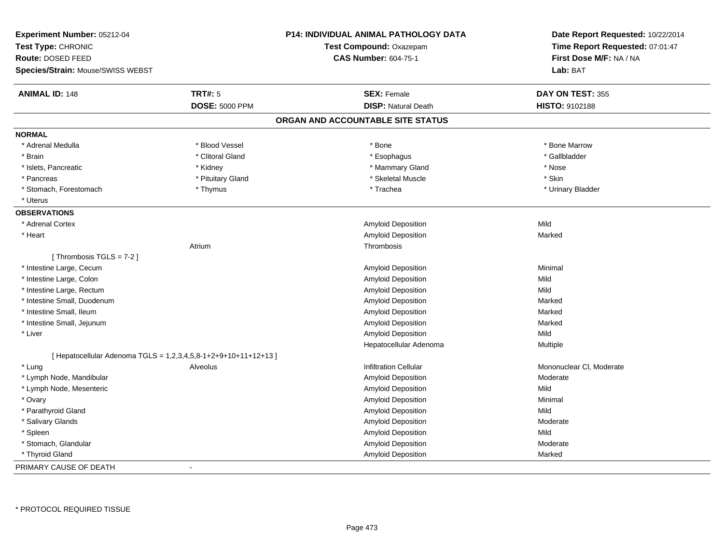| Experiment Number: 05212-04<br>Test Type: CHRONIC               |                       | <b>P14: INDIVIDUAL ANIMAL PATHOLOGY DATA</b><br>Test Compound: Oxazepam | Date Report Requested: 10/22/2014<br>Time Report Requested: 07:01:47 |
|-----------------------------------------------------------------|-----------------------|-------------------------------------------------------------------------|----------------------------------------------------------------------|
| <b>Route: DOSED FEED</b>                                        |                       | <b>CAS Number: 604-75-1</b>                                             | First Dose M/F: NA / NA                                              |
| Species/Strain: Mouse/SWISS WEBST                               |                       |                                                                         | Lab: BAT                                                             |
| <b>ANIMAL ID: 148</b>                                           | <b>TRT#: 5</b>        | <b>SEX: Female</b>                                                      | DAY ON TEST: 355                                                     |
|                                                                 | <b>DOSE: 5000 PPM</b> | <b>DISP: Natural Death</b>                                              | HISTO: 9102188                                                       |
|                                                                 |                       | ORGAN AND ACCOUNTABLE SITE STATUS                                       |                                                                      |
| <b>NORMAL</b>                                                   |                       |                                                                         |                                                                      |
| * Adrenal Medulla                                               | * Blood Vessel        | $*$ Bone                                                                | * Bone Marrow                                                        |
| * Brain                                                         | * Clitoral Gland      | * Esophagus                                                             | * Gallbladder                                                        |
| * Islets, Pancreatic                                            | * Kidney              | * Mammary Gland                                                         | * Nose                                                               |
| * Pancreas                                                      | * Pituitary Gland     | * Skeletal Muscle                                                       | * Skin                                                               |
| * Stomach, Forestomach                                          | * Thymus              | * Trachea                                                               | * Urinary Bladder                                                    |
| * Uterus                                                        |                       |                                                                         |                                                                      |
| <b>OBSERVATIONS</b>                                             |                       |                                                                         |                                                                      |
| * Adrenal Cortex                                                |                       | Amyloid Deposition                                                      | Mild                                                                 |
| * Heart                                                         |                       | Amyloid Deposition                                                      | Marked                                                               |
|                                                                 | Atrium                | Thrombosis                                                              |                                                                      |
| [Thrombosis TGLS = 7-2]                                         |                       |                                                                         |                                                                      |
| * Intestine Large, Cecum                                        |                       | Amyloid Deposition                                                      | Minimal                                                              |
| * Intestine Large, Colon                                        |                       | Amyloid Deposition                                                      | Mild                                                                 |
| * Intestine Large, Rectum                                       |                       | <b>Amyloid Deposition</b>                                               | Mild                                                                 |
| * Intestine Small, Duodenum                                     |                       | Amyloid Deposition                                                      | Marked                                                               |
| * Intestine Small, Ileum                                        |                       | <b>Amyloid Deposition</b>                                               | Marked                                                               |
| * Intestine Small, Jejunum                                      |                       | Amyloid Deposition                                                      | Marked                                                               |
| * Liver                                                         |                       | Amyloid Deposition                                                      | Mild                                                                 |
|                                                                 |                       | Hepatocellular Adenoma                                                  | Multiple                                                             |
| [ Hepatocellular Adenoma TGLS = 1,2,3,4,5,8-1+2+9+10+11+12+13 ] |                       |                                                                         |                                                                      |
| * Lung                                                          | Alveolus              | <b>Infiltration Cellular</b>                                            | Mononuclear CI, Moderate                                             |
| * Lymph Node, Mandibular                                        |                       | Amyloid Deposition                                                      | Moderate                                                             |
| * Lymph Node, Mesenteric                                        |                       | Amyloid Deposition                                                      | Mild                                                                 |
| * Ovary                                                         |                       | Amyloid Deposition                                                      | Minimal                                                              |
| * Parathyroid Gland                                             |                       | Amyloid Deposition                                                      | Mild                                                                 |
| * Salivary Glands                                               |                       | Amyloid Deposition                                                      | Moderate                                                             |
| * Spleen                                                        |                       | Amyloid Deposition                                                      | Mild                                                                 |
| * Stomach, Glandular                                            |                       | Amyloid Deposition                                                      | Moderate                                                             |
| * Thyroid Gland                                                 |                       | Amyloid Deposition                                                      | Marked                                                               |
| PRIMARY CAUSE OF DEATH                                          | $\blacksquare$        |                                                                         |                                                                      |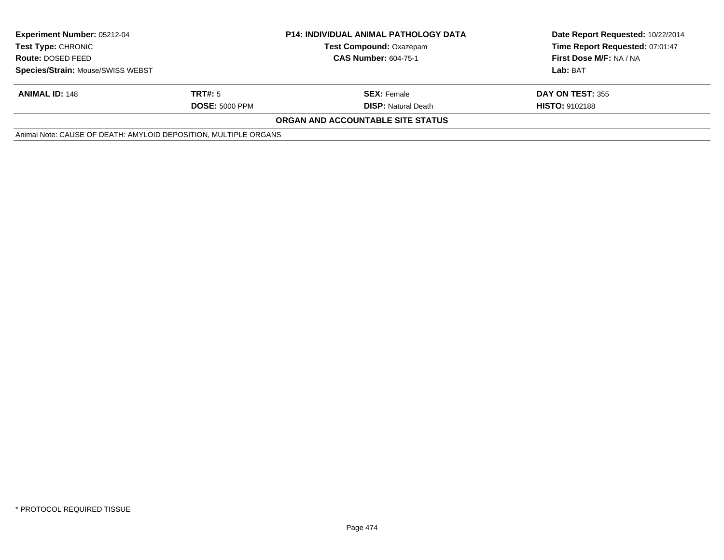| <b>Experiment Number: 05212-04</b><br><b>Test Type: CHRONIC</b><br><b>Route: DOSED FEED</b> |                       | <b>P14: INDIVIDUAL ANIMAL PATHOLOGY DATA</b> | Date Report Requested: 10/22/2014 |
|---------------------------------------------------------------------------------------------|-----------------------|----------------------------------------------|-----------------------------------|
|                                                                                             |                       | <b>Test Compound: Oxazepam</b>               | Time Report Requested: 07:01:47   |
|                                                                                             |                       | <b>CAS Number: 604-75-1</b>                  | First Dose M/F: NA / NA           |
| Species/Strain: Mouse/SWISS WEBST                                                           |                       |                                              | Lab: BAT                          |
| <b>ANIMAL ID: 148</b>                                                                       | TRT#: 5               | <b>SEX: Female</b>                           | <b>DAY ON TEST: 355</b>           |
|                                                                                             | <b>DOSE: 5000 PPM</b> | <b>DISP:</b> Natural Death                   | <b>HISTO: 9102188</b>             |
|                                                                                             |                       | <b>ORGAN AND ACCOUNTABLE SITE STATUS</b>     |                                   |
| Animal Note: CAUSE OF DEATH: AMYLOID DEPOSITION, MULTIPLE ORGANS                            |                       |                                              |                                   |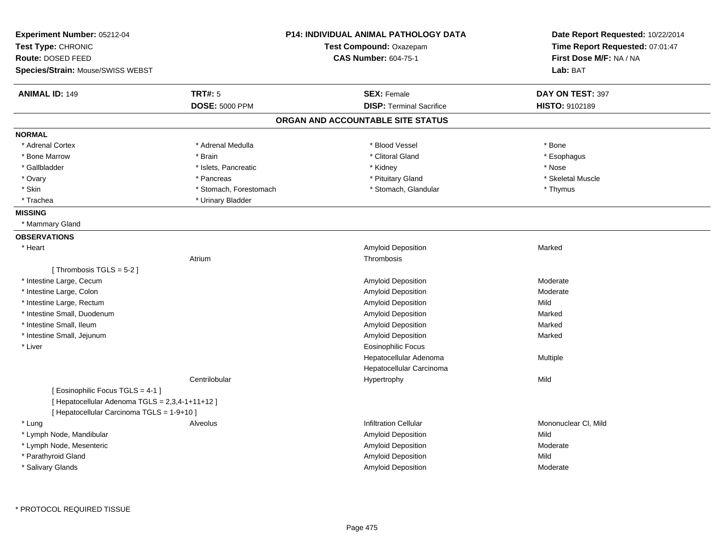| Experiment Number: 05212-04<br>Test Type: CHRONIC<br>Route: DOSED FEED<br>Species/Strain: Mouse/SWISS WEBST |                                         | <b>P14: INDIVIDUAL ANIMAL PATHOLOGY DATA</b><br>Test Compound: Oxazepam<br><b>CAS Number: 604-75-1</b> | Date Report Requested: 10/22/2014<br>Time Report Requested: 07:01:47<br>First Dose M/F: NA / NA<br>Lab: BAT |
|-------------------------------------------------------------------------------------------------------------|-----------------------------------------|--------------------------------------------------------------------------------------------------------|-------------------------------------------------------------------------------------------------------------|
| <b>ANIMAL ID: 149</b>                                                                                       | <b>TRT#: 5</b><br><b>DOSE: 5000 PPM</b> | <b>SEX: Female</b><br><b>DISP: Terminal Sacrifice</b>                                                  | DAY ON TEST: 397<br><b>HISTO: 9102189</b>                                                                   |
|                                                                                                             |                                         | ORGAN AND ACCOUNTABLE SITE STATUS                                                                      |                                                                                                             |
| <b>NORMAL</b>                                                                                               |                                         |                                                                                                        |                                                                                                             |
| * Adrenal Cortex                                                                                            | * Adrenal Medulla                       | * Blood Vessel                                                                                         | * Bone                                                                                                      |
| * Bone Marrow                                                                                               | * Brain                                 | * Clitoral Gland                                                                                       | * Esophagus                                                                                                 |
| * Gallbladder                                                                                               | * Islets, Pancreatic                    | * Kidney                                                                                               | * Nose                                                                                                      |
| * Ovary                                                                                                     | * Pancreas                              | * Pituitary Gland                                                                                      | * Skeletal Muscle                                                                                           |
| * Skin                                                                                                      | * Stomach, Forestomach                  | * Stomach, Glandular                                                                                   | * Thymus                                                                                                    |
| * Trachea                                                                                                   | * Urinary Bladder                       |                                                                                                        |                                                                                                             |
| <b>MISSING</b>                                                                                              |                                         |                                                                                                        |                                                                                                             |
| * Mammary Gland                                                                                             |                                         |                                                                                                        |                                                                                                             |
| <b>OBSERVATIONS</b>                                                                                         |                                         |                                                                                                        |                                                                                                             |
| * Heart                                                                                                     |                                         | Amyloid Deposition                                                                                     | Marked                                                                                                      |
|                                                                                                             | Atrium                                  | Thrombosis                                                                                             |                                                                                                             |
| [Thrombosis TGLS = 5-2]                                                                                     |                                         |                                                                                                        |                                                                                                             |
| * Intestine Large, Cecum                                                                                    |                                         | Amyloid Deposition                                                                                     | Moderate                                                                                                    |
| * Intestine Large, Colon                                                                                    |                                         | Amyloid Deposition                                                                                     | Moderate                                                                                                    |
| * Intestine Large, Rectum                                                                                   |                                         | Amyloid Deposition                                                                                     | Mild                                                                                                        |
| * Intestine Small, Duodenum                                                                                 |                                         | Amyloid Deposition                                                                                     | Marked                                                                                                      |
| * Intestine Small, Ileum                                                                                    |                                         | Amyloid Deposition                                                                                     | Marked                                                                                                      |
| * Intestine Small, Jejunum                                                                                  |                                         | Amyloid Deposition                                                                                     | Marked                                                                                                      |
| * Liver                                                                                                     |                                         | Eosinophilic Focus                                                                                     |                                                                                                             |
|                                                                                                             |                                         | Hepatocellular Adenoma                                                                                 | Multiple                                                                                                    |
|                                                                                                             |                                         | Hepatocellular Carcinoma                                                                               |                                                                                                             |
|                                                                                                             | Centrilobular                           | Hypertrophy                                                                                            | Mild                                                                                                        |
| [ Eosinophilic Focus TGLS = 4-1 ]                                                                           |                                         |                                                                                                        |                                                                                                             |
| [ Hepatocellular Adenoma TGLS = 2,3,4-1+11+12 ]                                                             |                                         |                                                                                                        |                                                                                                             |
| [ Hepatocellular Carcinoma TGLS = 1-9+10 ]                                                                  |                                         |                                                                                                        |                                                                                                             |
| * Lung                                                                                                      | Alveolus                                | <b>Infiltration Cellular</b>                                                                           | Mononuclear CI, Mild                                                                                        |
| * Lymph Node, Mandibular                                                                                    |                                         | Amyloid Deposition                                                                                     | Mild                                                                                                        |
| * Lymph Node, Mesenteric                                                                                    |                                         | Amyloid Deposition                                                                                     | Moderate                                                                                                    |
| * Parathyroid Gland                                                                                         |                                         | Amyloid Deposition                                                                                     | Mild                                                                                                        |
| * Salivary Glands                                                                                           |                                         | Amyloid Deposition                                                                                     | Moderate                                                                                                    |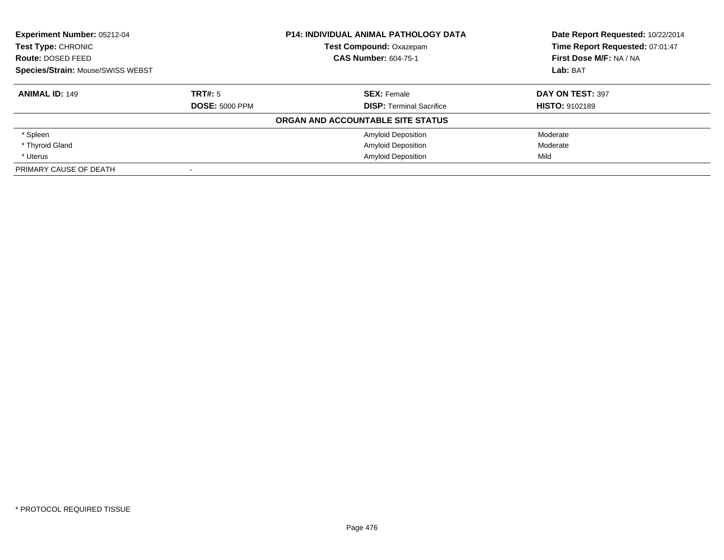| <b>Experiment Number: 05212-04</b>               |                       | <b>P14: INDIVIDUAL ANIMAL PATHOLOGY DATA</b> | Date Report Requested: 10/22/2014 |
|--------------------------------------------------|-----------------------|----------------------------------------------|-----------------------------------|
| Test Type: CHRONIC                               |                       | <b>Test Compound: Oxazepam</b>               | Time Report Requested: 07:01:47   |
| <b>CAS Number: 604-75-1</b><br>Route: DOSED FEED |                       | First Dose M/F: NA / NA                      |                                   |
| Species/Strain: Mouse/SWISS WEBST                |                       |                                              | Lab: BAT                          |
| <b>ANIMAL ID: 149</b>                            | TRT#: 5               | <b>SEX: Female</b>                           | DAY ON TEST: 397                  |
|                                                  | <b>DOSE: 5000 PPM</b> | <b>DISP:</b> Terminal Sacrifice              | <b>HISTO: 9102189</b>             |
|                                                  |                       | ORGAN AND ACCOUNTABLE SITE STATUS            |                                   |
| * Spleen                                         |                       | <b>Amyloid Deposition</b>                    | Moderate                          |
| * Thyroid Gland                                  |                       | <b>Amyloid Deposition</b>                    | Moderate                          |
| * Uterus                                         |                       | <b>Amyloid Deposition</b>                    | Mild                              |
| PRIMARY CAUSE OF DEATH                           |                       |                                              |                                   |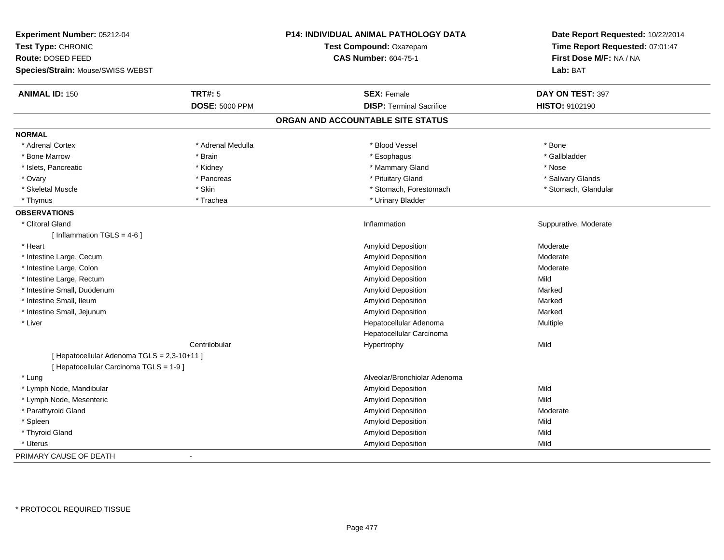| Experiment Number: 05212-04<br>Test Type: CHRONIC<br>Route: DOSED FEED<br>Species/Strain: Mouse/SWISS WEBST |                       | P14: INDIVIDUAL ANIMAL PATHOLOGY DATA<br>Test Compound: Oxazepam<br><b>CAS Number: 604-75-1</b> | Date Report Requested: 10/22/2014<br>Time Report Requested: 07:01:47<br>First Dose M/F: NA / NA<br>Lab: BAT |
|-------------------------------------------------------------------------------------------------------------|-----------------------|-------------------------------------------------------------------------------------------------|-------------------------------------------------------------------------------------------------------------|
| <b>ANIMAL ID: 150</b>                                                                                       | <b>TRT#: 5</b>        | <b>SEX: Female</b>                                                                              | DAY ON TEST: 397                                                                                            |
|                                                                                                             | <b>DOSE: 5000 PPM</b> | <b>DISP: Terminal Sacrifice</b>                                                                 | <b>HISTO: 9102190</b>                                                                                       |
|                                                                                                             |                       | ORGAN AND ACCOUNTABLE SITE STATUS                                                               |                                                                                                             |
| <b>NORMAL</b>                                                                                               |                       |                                                                                                 |                                                                                                             |
| * Adrenal Cortex                                                                                            | * Adrenal Medulla     | * Blood Vessel                                                                                  | * Bone                                                                                                      |
| * Bone Marrow                                                                                               | * Brain               | * Esophagus                                                                                     | * Gallbladder                                                                                               |
| * Islets, Pancreatic                                                                                        | * Kidney              | * Mammary Gland                                                                                 | * Nose                                                                                                      |
| * Ovary                                                                                                     | * Pancreas            | * Pituitary Gland                                                                               | * Salivary Glands                                                                                           |
| * Skeletal Muscle                                                                                           | * Skin                | * Stomach, Forestomach                                                                          | * Stomach, Glandular                                                                                        |
| * Thymus                                                                                                    | * Trachea             | * Urinary Bladder                                                                               |                                                                                                             |
| <b>OBSERVATIONS</b>                                                                                         |                       |                                                                                                 |                                                                                                             |
| * Clitoral Gland                                                                                            |                       | Inflammation                                                                                    | Suppurative, Moderate                                                                                       |
| [ Inflammation TGLS = $4-6$ ]                                                                               |                       |                                                                                                 |                                                                                                             |
| * Heart                                                                                                     |                       | Amyloid Deposition                                                                              | Moderate                                                                                                    |
| * Intestine Large, Cecum                                                                                    |                       | Amyloid Deposition                                                                              | Moderate                                                                                                    |
| * Intestine Large, Colon                                                                                    |                       | <b>Amyloid Deposition</b>                                                                       | Moderate                                                                                                    |
| * Intestine Large, Rectum                                                                                   |                       | Amyloid Deposition                                                                              | Mild                                                                                                        |
| * Intestine Small, Duodenum                                                                                 |                       | Amyloid Deposition                                                                              | Marked                                                                                                      |
| * Intestine Small, Ileum                                                                                    |                       | Amyloid Deposition                                                                              | Marked                                                                                                      |
| * Intestine Small, Jejunum                                                                                  |                       | Amyloid Deposition                                                                              | Marked                                                                                                      |
| * Liver                                                                                                     |                       | Hepatocellular Adenoma                                                                          | Multiple                                                                                                    |
|                                                                                                             |                       | Hepatocellular Carcinoma                                                                        |                                                                                                             |
|                                                                                                             | Centrilobular         | Hypertrophy                                                                                     | Mild                                                                                                        |
| [ Hepatocellular Adenoma TGLS = 2,3-10+11 ]                                                                 |                       |                                                                                                 |                                                                                                             |
| [ Hepatocellular Carcinoma TGLS = 1-9 ]                                                                     |                       |                                                                                                 |                                                                                                             |
| * Lung                                                                                                      |                       | Alveolar/Bronchiolar Adenoma                                                                    |                                                                                                             |
| * Lymph Node, Mandibular                                                                                    |                       | Amyloid Deposition                                                                              | Mild                                                                                                        |
| * Lymph Node, Mesenteric                                                                                    |                       | Amyloid Deposition                                                                              | Mild                                                                                                        |
| * Parathyroid Gland                                                                                         |                       | Amyloid Deposition                                                                              | Moderate                                                                                                    |
| * Spleen                                                                                                    |                       | Amyloid Deposition                                                                              | Mild                                                                                                        |
| * Thyroid Gland                                                                                             |                       | Amyloid Deposition                                                                              | Mild                                                                                                        |
| * Uterus                                                                                                    |                       | <b>Amyloid Deposition</b>                                                                       | Mild                                                                                                        |
| PRIMARY CAUSE OF DEATH                                                                                      | $\blacksquare$        |                                                                                                 |                                                                                                             |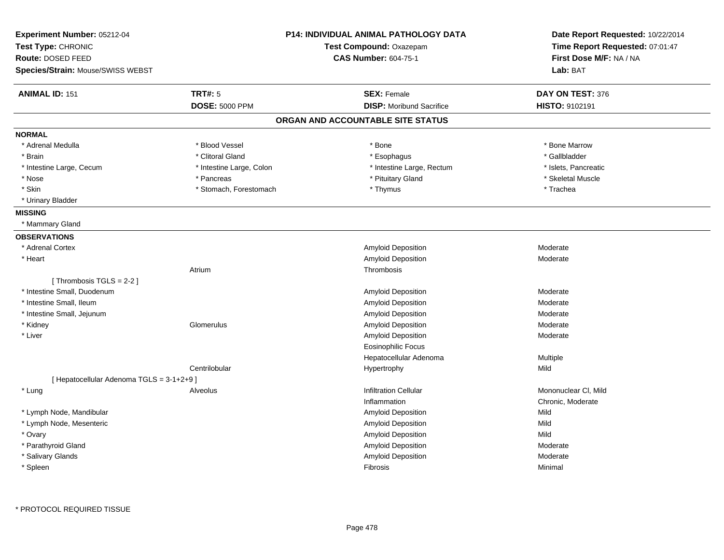| Experiment Number: 05212-04<br>Test Type: CHRONIC<br>Route: DOSED FEED<br><b>Species/Strain: Mouse/SWISS WEBST</b> |                          | <b>P14: INDIVIDUAL ANIMAL PATHOLOGY DATA</b><br>Test Compound: Oxazepam<br><b>CAS Number: 604-75-1</b> | Date Report Requested: 10/22/2014<br>Time Report Requested: 07:01:47<br>First Dose M/F: NA / NA<br>Lab: BAT |
|--------------------------------------------------------------------------------------------------------------------|--------------------------|--------------------------------------------------------------------------------------------------------|-------------------------------------------------------------------------------------------------------------|
| <b>ANIMAL ID: 151</b>                                                                                              | <b>TRT#: 5</b>           | <b>SEX: Female</b>                                                                                     | DAY ON TEST: 376                                                                                            |
|                                                                                                                    | <b>DOSE: 5000 PPM</b>    | <b>DISP:</b> Moribund Sacrifice                                                                        | HISTO: 9102191                                                                                              |
|                                                                                                                    |                          | ORGAN AND ACCOUNTABLE SITE STATUS                                                                      |                                                                                                             |
| <b>NORMAL</b>                                                                                                      |                          |                                                                                                        |                                                                                                             |
| * Adrenal Medulla                                                                                                  | * Blood Vessel           | * Bone                                                                                                 | * Bone Marrow                                                                                               |
| * Brain                                                                                                            | * Clitoral Gland         | * Esophagus                                                                                            | * Gallbladder                                                                                               |
| * Intestine Large, Cecum                                                                                           | * Intestine Large, Colon | * Intestine Large, Rectum                                                                              | * Islets, Pancreatic                                                                                        |
| * Nose                                                                                                             | * Pancreas               | * Pituitary Gland                                                                                      | * Skeletal Muscle                                                                                           |
| * Skin                                                                                                             | * Stomach, Forestomach   | * Thymus                                                                                               | * Trachea                                                                                                   |
| * Urinary Bladder                                                                                                  |                          |                                                                                                        |                                                                                                             |
| <b>MISSING</b>                                                                                                     |                          |                                                                                                        |                                                                                                             |
| * Mammary Gland                                                                                                    |                          |                                                                                                        |                                                                                                             |
| <b>OBSERVATIONS</b>                                                                                                |                          |                                                                                                        |                                                                                                             |
| * Adrenal Cortex                                                                                                   |                          | Amyloid Deposition                                                                                     | Moderate                                                                                                    |
| * Heart                                                                                                            |                          | Amyloid Deposition                                                                                     | Moderate                                                                                                    |
|                                                                                                                    | Atrium                   | Thrombosis                                                                                             |                                                                                                             |
| [Thrombosis TGLS = $2-2$ ]                                                                                         |                          |                                                                                                        |                                                                                                             |
| * Intestine Small, Duodenum                                                                                        |                          | Amyloid Deposition                                                                                     | Moderate                                                                                                    |
| * Intestine Small, Ileum                                                                                           |                          | Amyloid Deposition                                                                                     | Moderate                                                                                                    |
| * Intestine Small, Jejunum                                                                                         |                          | Amyloid Deposition                                                                                     | Moderate                                                                                                    |
| * Kidney                                                                                                           | Glomerulus               | Amyloid Deposition                                                                                     | Moderate                                                                                                    |
| * Liver                                                                                                            |                          | Amyloid Deposition                                                                                     | Moderate                                                                                                    |
|                                                                                                                    |                          | <b>Eosinophilic Focus</b>                                                                              |                                                                                                             |
|                                                                                                                    |                          | Hepatocellular Adenoma                                                                                 | Multiple                                                                                                    |
|                                                                                                                    | Centrilobular            | Hypertrophy                                                                                            | Mild                                                                                                        |
| [ Hepatocellular Adenoma TGLS = 3-1+2+9]                                                                           |                          |                                                                                                        |                                                                                                             |
| * Lung                                                                                                             | Alveolus                 | <b>Infiltration Cellular</b>                                                                           | Mononuclear CI, Mild                                                                                        |
|                                                                                                                    |                          | Inflammation                                                                                           | Chronic, Moderate                                                                                           |
| * Lymph Node, Mandibular                                                                                           |                          | Amyloid Deposition                                                                                     | Mild                                                                                                        |
| * Lymph Node, Mesenteric                                                                                           |                          | Amyloid Deposition                                                                                     | Mild                                                                                                        |
| * Ovary                                                                                                            |                          | Amyloid Deposition                                                                                     | Mild                                                                                                        |
| * Parathyroid Gland                                                                                                |                          | Amyloid Deposition                                                                                     | Moderate                                                                                                    |
| * Salivary Glands                                                                                                  |                          | Amyloid Deposition                                                                                     | Moderate                                                                                                    |
| * Spleen                                                                                                           |                          | Fibrosis                                                                                               | Minimal                                                                                                     |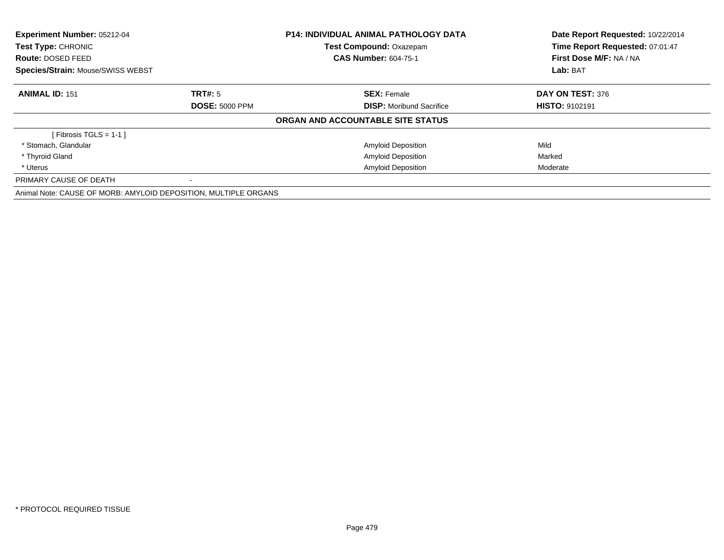| Experiment Number: 05212-04<br><b>P14: INDIVIDUAL ANIMAL PATHOLOGY DATA</b><br>Test Compound: Oxazepam<br><b>Test Type: CHRONIC</b><br><b>CAS Number: 604-75-1</b><br>Route: DOSED FEED<br>Species/Strain: Mouse/SWISS WEBST |                       |                                   | Date Report Requested: 10/22/2014<br>Time Report Requested: 07:01:47 |
|------------------------------------------------------------------------------------------------------------------------------------------------------------------------------------------------------------------------------|-----------------------|-----------------------------------|----------------------------------------------------------------------|
|                                                                                                                                                                                                                              |                       |                                   |                                                                      |
|                                                                                                                                                                                                                              |                       |                                   | First Dose M/F: NA / NA                                              |
|                                                                                                                                                                                                                              |                       |                                   | Lab: BAT                                                             |
| <b>ANIMAL ID: 151</b>                                                                                                                                                                                                        | TRT#: 5               | <b>SEX: Female</b>                | DAY ON TEST: 376                                                     |
|                                                                                                                                                                                                                              | <b>DOSE: 5000 PPM</b> | <b>DISP:</b> Moribund Sacrifice   | <b>HISTO: 9102191</b>                                                |
|                                                                                                                                                                                                                              |                       | ORGAN AND ACCOUNTABLE SITE STATUS |                                                                      |
| [Fibrosis TGLS = $1-1$ ]                                                                                                                                                                                                     |                       |                                   |                                                                      |
| * Stomach, Glandular                                                                                                                                                                                                         |                       | <b>Amyloid Deposition</b>         | Mild                                                                 |
| * Thyroid Gland                                                                                                                                                                                                              |                       | <b>Amyloid Deposition</b>         | Marked                                                               |
| * Uterus                                                                                                                                                                                                                     |                       | <b>Amyloid Deposition</b>         | Moderate                                                             |
| PRIMARY CAUSE OF DEATH                                                                                                                                                                                                       |                       |                                   |                                                                      |
| Animal Note: CAUSE OF MORB: AMYLOID DEPOSITION, MULTIPLE ORGANS                                                                                                                                                              |                       |                                   |                                                                      |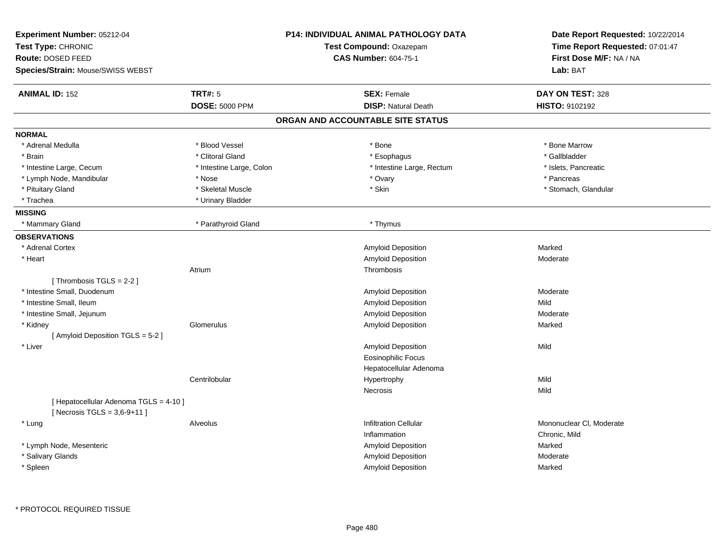| Experiment Number: 05212-04<br>Test Type: CHRONIC<br>Route: DOSED FEED<br>Species/Strain: Mouse/SWISS WEBST |                          | P14: INDIVIDUAL ANIMAL PATHOLOGY DATA<br>Test Compound: Oxazepam<br><b>CAS Number: 604-75-1</b> | Date Report Requested: 10/22/2014<br>Time Report Requested: 07:01:47<br>First Dose M/F: NA / NA<br>Lab: BAT |
|-------------------------------------------------------------------------------------------------------------|--------------------------|-------------------------------------------------------------------------------------------------|-------------------------------------------------------------------------------------------------------------|
| <b>ANIMAL ID: 152</b>                                                                                       | <b>TRT#: 5</b>           | <b>SEX: Female</b>                                                                              | DAY ON TEST: 328                                                                                            |
|                                                                                                             | <b>DOSE: 5000 PPM</b>    | <b>DISP: Natural Death</b>                                                                      | HISTO: 9102192                                                                                              |
|                                                                                                             |                          | ORGAN AND ACCOUNTABLE SITE STATUS                                                               |                                                                                                             |
| <b>NORMAL</b>                                                                                               |                          |                                                                                                 |                                                                                                             |
| * Adrenal Medulla                                                                                           | * Blood Vessel           | * Bone                                                                                          | * Bone Marrow                                                                                               |
| * Brain                                                                                                     | * Clitoral Gland         | * Esophagus                                                                                     | * Gallbladder                                                                                               |
| * Intestine Large, Cecum                                                                                    | * Intestine Large, Colon | * Intestine Large, Rectum                                                                       | * Islets, Pancreatic                                                                                        |
| * Lymph Node, Mandibular                                                                                    | * Nose                   | * Ovary                                                                                         | * Pancreas                                                                                                  |
| * Pituitary Gland                                                                                           | * Skeletal Muscle        | * Skin                                                                                          | * Stomach, Glandular                                                                                        |
| * Trachea                                                                                                   | * Urinary Bladder        |                                                                                                 |                                                                                                             |
| <b>MISSING</b>                                                                                              |                          |                                                                                                 |                                                                                                             |
| * Mammary Gland                                                                                             | * Parathyroid Gland      | * Thymus                                                                                        |                                                                                                             |
| <b>OBSERVATIONS</b>                                                                                         |                          |                                                                                                 |                                                                                                             |
| * Adrenal Cortex                                                                                            |                          | Amyloid Deposition                                                                              | Marked                                                                                                      |
| * Heart                                                                                                     |                          | Amyloid Deposition                                                                              | Moderate                                                                                                    |
|                                                                                                             | Atrium                   | Thrombosis                                                                                      |                                                                                                             |
| [Thrombosis TGLS = 2-2]                                                                                     |                          |                                                                                                 |                                                                                                             |
| * Intestine Small, Duodenum                                                                                 |                          | <b>Amyloid Deposition</b>                                                                       | Moderate                                                                                                    |
| * Intestine Small, Ileum                                                                                    |                          | Amyloid Deposition                                                                              | Mild                                                                                                        |
| * Intestine Small, Jejunum                                                                                  |                          | Amyloid Deposition                                                                              | Moderate                                                                                                    |
| * Kidney                                                                                                    | Glomerulus               | Amyloid Deposition                                                                              | Marked                                                                                                      |
| [Amyloid Deposition TGLS = 5-2]                                                                             |                          |                                                                                                 |                                                                                                             |
| * Liver                                                                                                     |                          | Amyloid Deposition                                                                              | Mild                                                                                                        |
|                                                                                                             |                          | <b>Eosinophilic Focus</b>                                                                       |                                                                                                             |
|                                                                                                             |                          | Hepatocellular Adenoma                                                                          |                                                                                                             |
|                                                                                                             | Centrilobular            | Hypertrophy                                                                                     | Mild                                                                                                        |
|                                                                                                             |                          | Necrosis                                                                                        | Mild                                                                                                        |
| [ Hepatocellular Adenoma TGLS = 4-10 ]<br>[ Necrosis TGLS = $3,6-9+11$ ]                                    |                          |                                                                                                 |                                                                                                             |
| * Lung                                                                                                      | Alveolus                 | <b>Infiltration Cellular</b>                                                                    | Mononuclear CI, Moderate                                                                                    |
|                                                                                                             |                          | Inflammation                                                                                    | Chronic, Mild                                                                                               |
| * Lymph Node, Mesenteric                                                                                    |                          | <b>Amyloid Deposition</b>                                                                       | Marked                                                                                                      |
| * Salivary Glands                                                                                           |                          | <b>Amyloid Deposition</b>                                                                       | Moderate                                                                                                    |
| * Spleen                                                                                                    |                          | Amyloid Deposition                                                                              | Marked                                                                                                      |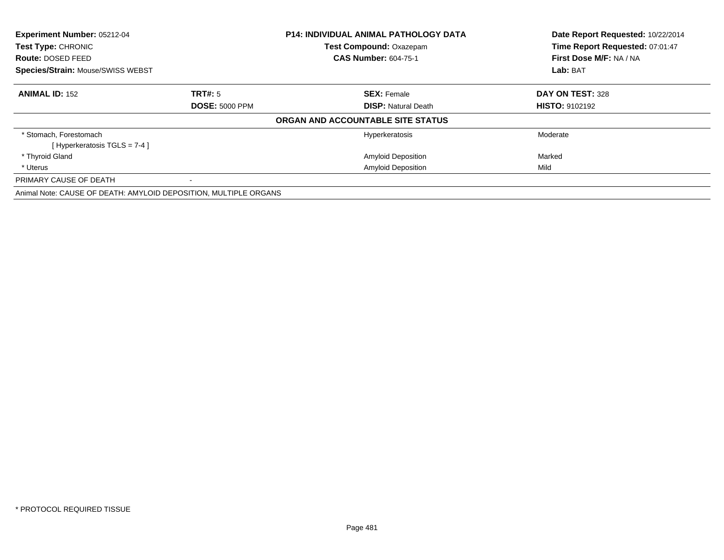| <b>Experiment Number: 05212-04</b><br>Test Type: CHRONIC         |                       | P14: INDIVIDUAL ANIMAL PATHOLOGY DATA | Date Report Requested: 10/22/2014<br>Time Report Requested: 07:01:47 |  |
|------------------------------------------------------------------|-----------------------|---------------------------------------|----------------------------------------------------------------------|--|
|                                                                  |                       | <b>Test Compound: Oxazepam</b>        |                                                                      |  |
| Route: DOSED FEED                                                |                       | <b>CAS Number: 604-75-1</b>           | First Dose M/F: NA / NA                                              |  |
| <b>Species/Strain: Mouse/SWISS WEBST</b>                         |                       |                                       | Lab: BAT                                                             |  |
| <b>ANIMAL ID: 152</b>                                            | TRT#: 5               | <b>SEX: Female</b>                    | DAY ON TEST: 328                                                     |  |
|                                                                  | <b>DOSE: 5000 PPM</b> | <b>DISP: Natural Death</b>            | <b>HISTO: 9102192</b>                                                |  |
|                                                                  |                       | ORGAN AND ACCOUNTABLE SITE STATUS     |                                                                      |  |
| * Stomach, Forestomach                                           |                       | Hyperkeratosis                        | Moderate                                                             |  |
| [Hyperkeratosis $TGLS = 7-4$ ]                                   |                       |                                       |                                                                      |  |
| * Thyroid Gland                                                  |                       | <b>Amyloid Deposition</b>             | Marked                                                               |  |
| * Uterus                                                         |                       | <b>Amyloid Deposition</b>             | Mild                                                                 |  |
| PRIMARY CAUSE OF DEATH                                           |                       |                                       |                                                                      |  |
| Animal Note: CAUSE OF DEATH: AMYLOID DEPOSITION, MULTIPLE ORGANS |                       |                                       |                                                                      |  |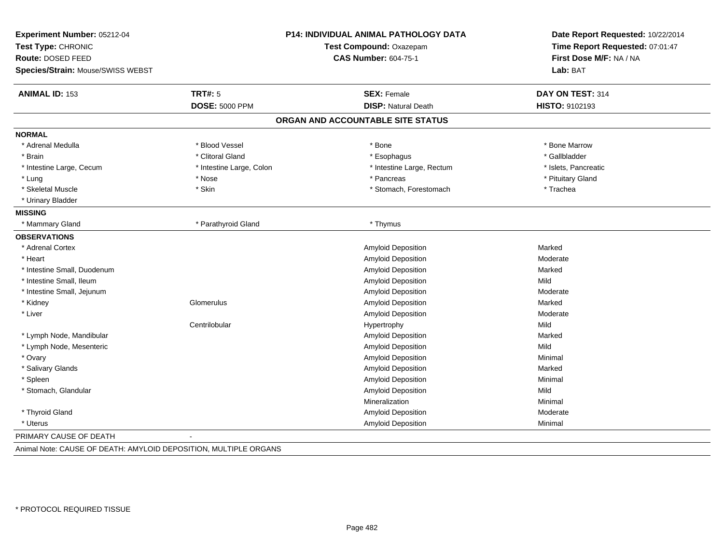| Experiment Number: 05212-04<br>Test Type: CHRONIC<br>Route: DOSED FEED |                          | <b>P14: INDIVIDUAL ANIMAL PATHOLOGY DATA</b><br>Test Compound: Oxazepam<br><b>CAS Number: 604-75-1</b> | Date Report Requested: 10/22/2014<br>Time Report Requested: 07:01:47<br>First Dose M/F: NA / NA |
|------------------------------------------------------------------------|--------------------------|--------------------------------------------------------------------------------------------------------|-------------------------------------------------------------------------------------------------|
| Species/Strain: Mouse/SWISS WEBST                                      |                          |                                                                                                        | Lab: BAT                                                                                        |
| <b>ANIMAL ID: 153</b>                                                  | <b>TRT#: 5</b>           | <b>SEX: Female</b>                                                                                     | DAY ON TEST: 314                                                                                |
|                                                                        | <b>DOSE: 5000 PPM</b>    | <b>DISP: Natural Death</b>                                                                             | HISTO: 9102193                                                                                  |
|                                                                        |                          | ORGAN AND ACCOUNTABLE SITE STATUS                                                                      |                                                                                                 |
| <b>NORMAL</b>                                                          |                          |                                                                                                        |                                                                                                 |
| * Adrenal Medulla                                                      | * Blood Vessel           | * Bone                                                                                                 | * Bone Marrow                                                                                   |
| * Brain                                                                | * Clitoral Gland         | * Esophagus                                                                                            | * Gallbladder                                                                                   |
| * Intestine Large, Cecum                                               | * Intestine Large, Colon | * Intestine Large, Rectum                                                                              | * Islets, Pancreatic                                                                            |
| * Lung                                                                 | * Nose                   | * Pancreas                                                                                             | * Pituitary Gland                                                                               |
| * Skeletal Muscle                                                      | * Skin                   | * Stomach, Forestomach                                                                                 | * Trachea                                                                                       |
| * Urinary Bladder                                                      |                          |                                                                                                        |                                                                                                 |
| <b>MISSING</b>                                                         |                          |                                                                                                        |                                                                                                 |
| * Mammary Gland                                                        | * Parathyroid Gland      | * Thymus                                                                                               |                                                                                                 |
| <b>OBSERVATIONS</b>                                                    |                          |                                                                                                        |                                                                                                 |
| * Adrenal Cortex                                                       |                          | <b>Amyloid Deposition</b>                                                                              | Marked                                                                                          |
| * Heart                                                                |                          | <b>Amyloid Deposition</b>                                                                              | Moderate                                                                                        |
| * Intestine Small, Duodenum                                            |                          | <b>Amyloid Deposition</b>                                                                              | Marked                                                                                          |
| * Intestine Small, Ileum                                               |                          | Amyloid Deposition                                                                                     | Mild                                                                                            |
| * Intestine Small, Jejunum                                             |                          | <b>Amyloid Deposition</b>                                                                              | Moderate                                                                                        |
| * Kidney                                                               | Glomerulus               | Amyloid Deposition                                                                                     | Marked                                                                                          |
| * Liver                                                                |                          | Amyloid Deposition                                                                                     | Moderate                                                                                        |
|                                                                        | Centrilobular            | Hypertrophy                                                                                            | Mild                                                                                            |
| * Lymph Node, Mandibular                                               |                          | Amyloid Deposition                                                                                     | Marked                                                                                          |
| * Lymph Node, Mesenteric                                               |                          | Amyloid Deposition                                                                                     | Mild                                                                                            |
| * Ovary                                                                |                          | <b>Amyloid Deposition</b>                                                                              | Minimal                                                                                         |
| * Salivary Glands                                                      |                          | <b>Amyloid Deposition</b>                                                                              | Marked                                                                                          |
| * Spleen                                                               |                          | Amyloid Deposition                                                                                     | Minimal                                                                                         |
| * Stomach, Glandular                                                   |                          | Amyloid Deposition                                                                                     | Mild                                                                                            |
|                                                                        |                          | Mineralization                                                                                         | Minimal                                                                                         |
| * Thyroid Gland                                                        |                          | Amyloid Deposition                                                                                     | Moderate                                                                                        |
| * Uterus                                                               |                          | Amyloid Deposition                                                                                     | Minimal                                                                                         |
| PRIMARY CAUSE OF DEATH                                                 | $\blacksquare$           |                                                                                                        |                                                                                                 |

Animal Note: CAUSE OF DEATH: AMYLOID DEPOSITION, MULTIPLE ORGANS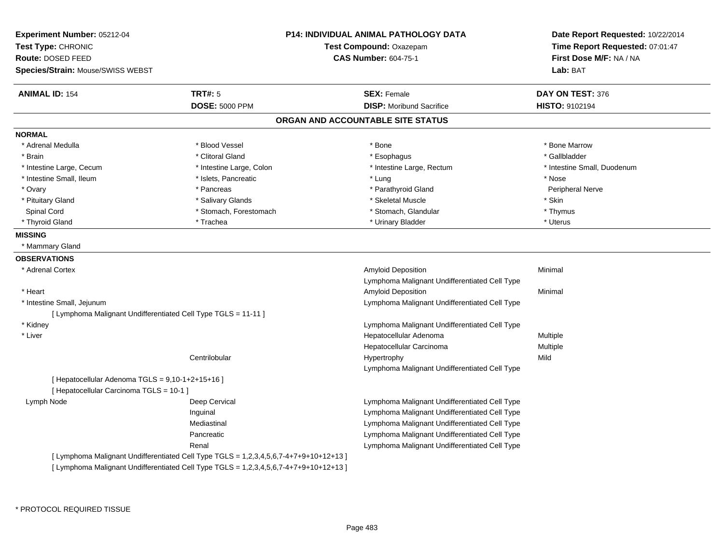| Experiment Number: 05212-04                                    | <b>P14: INDIVIDUAL ANIMAL PATHOLOGY DATA</b>                                          |                                               | Date Report Requested: 10/22/2014 |
|----------------------------------------------------------------|---------------------------------------------------------------------------------------|-----------------------------------------------|-----------------------------------|
| Test Type: CHRONIC                                             |                                                                                       | Test Compound: Oxazepam                       | Time Report Requested: 07:01:47   |
| Route: DOSED FEED                                              |                                                                                       | <b>CAS Number: 604-75-1</b>                   | First Dose M/F: NA / NA           |
| Species/Strain: Mouse/SWISS WEBST                              |                                                                                       |                                               | Lab: BAT                          |
| <b>ANIMAL ID: 154</b>                                          | <b>TRT#: 5</b>                                                                        | <b>SEX: Female</b>                            | DAY ON TEST: 376                  |
|                                                                | <b>DOSE: 5000 PPM</b>                                                                 | <b>DISP:</b> Moribund Sacrifice               | HISTO: 9102194                    |
|                                                                |                                                                                       | ORGAN AND ACCOUNTABLE SITE STATUS             |                                   |
| <b>NORMAL</b>                                                  |                                                                                       |                                               |                                   |
| * Adrenal Medulla                                              | * Blood Vessel                                                                        | * Bone                                        | * Bone Marrow                     |
| * Brain                                                        | * Clitoral Gland                                                                      | * Esophagus                                   | * Gallbladder                     |
| * Intestine Large, Cecum                                       | * Intestine Large, Colon                                                              | * Intestine Large, Rectum                     | * Intestine Small, Duodenum       |
| * Intestine Small, Ileum                                       | * Islets, Pancreatic                                                                  | * Lung                                        | * Nose                            |
| * Ovary                                                        | * Pancreas                                                                            | * Parathyroid Gland                           | Peripheral Nerve                  |
| * Pituitary Gland                                              | * Salivary Glands                                                                     | * Skeletal Muscle                             | * Skin                            |
| Spinal Cord                                                    | * Stomach, Forestomach                                                                | * Stomach, Glandular                          | * Thymus                          |
| * Thyroid Gland                                                | * Trachea                                                                             | * Urinary Bladder                             | * Uterus                          |
| <b>MISSING</b>                                                 |                                                                                       |                                               |                                   |
| * Mammary Gland                                                |                                                                                       |                                               |                                   |
| <b>OBSERVATIONS</b>                                            |                                                                                       |                                               |                                   |
| * Adrenal Cortex                                               |                                                                                       | Amyloid Deposition                            | Minimal                           |
|                                                                |                                                                                       | Lymphoma Malignant Undifferentiated Cell Type |                                   |
| * Heart                                                        |                                                                                       | Amyloid Deposition                            | Minimal                           |
| * Intestine Small, Jejunum                                     |                                                                                       | Lymphoma Malignant Undifferentiated Cell Type |                                   |
| [ Lymphoma Malignant Undifferentiated Cell Type TGLS = 11-11 ] |                                                                                       |                                               |                                   |
| * Kidney                                                       |                                                                                       | Lymphoma Malignant Undifferentiated Cell Type |                                   |
| * Liver                                                        |                                                                                       | Hepatocellular Adenoma                        | Multiple                          |
|                                                                |                                                                                       | Hepatocellular Carcinoma                      | Multiple                          |
|                                                                | Centrilobular                                                                         | Hypertrophy                                   | Mild                              |
|                                                                |                                                                                       | Lymphoma Malignant Undifferentiated Cell Type |                                   |
| [ Hepatocellular Adenoma TGLS = 9,10-1+2+15+16 ]               |                                                                                       |                                               |                                   |
| [ Hepatocellular Carcinoma TGLS = 10-1 ]                       |                                                                                       |                                               |                                   |
| Lymph Node                                                     | Deep Cervical                                                                         | Lymphoma Malignant Undifferentiated Cell Type |                                   |
|                                                                | Inguinal                                                                              | Lymphoma Malignant Undifferentiated Cell Type |                                   |
|                                                                | Mediastinal                                                                           | Lymphoma Malignant Undifferentiated Cell Type |                                   |
|                                                                | Pancreatic                                                                            | Lymphoma Malignant Undifferentiated Cell Type |                                   |
|                                                                | Renal                                                                                 | Lymphoma Malignant Undifferentiated Cell Type |                                   |
|                                                                | [ Lymphoma Malignant Undifferentiated Cell Type TGLS = 1,2,3,4,5,6,7-4+7+9+10+12+13 ] |                                               |                                   |
|                                                                | [ Lymphoma Malignant Undifferentiated Cell Type TGLS = 1,2,3,4,5,6,7-4+7+9+10+12+13 ] |                                               |                                   |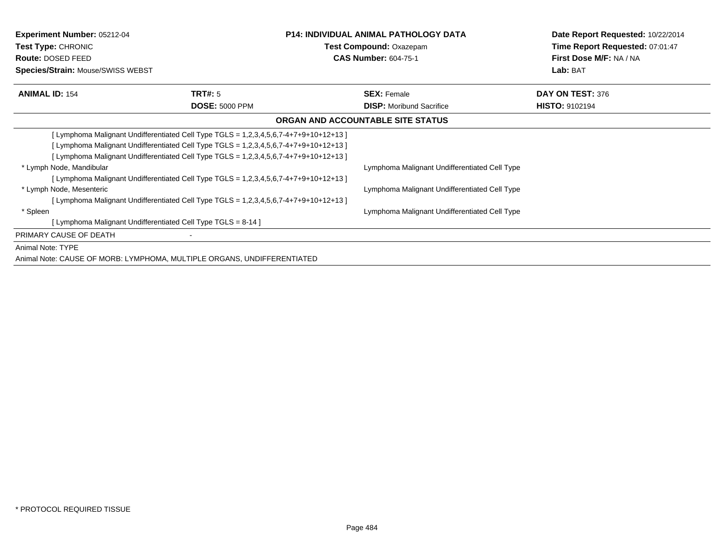| <b>Experiment Number: 05212-04</b><br><b>Test Type: CHRONIC</b><br>Route: DOSED FEED<br>Species/Strain: Mouse/SWISS WEBST |                                                                                                                                                                                                                                                                     | <b>P14: INDIVIDUAL ANIMAL PATHOLOGY DATA</b><br>Test Compound: Oxazepam<br><b>CAS Number: 604-75-1</b> | Date Report Requested: 10/22/2014<br>Time Report Requested: 07:01:47<br>First Dose M/F: NA / NA<br>Lab: BAT |
|---------------------------------------------------------------------------------------------------------------------------|---------------------------------------------------------------------------------------------------------------------------------------------------------------------------------------------------------------------------------------------------------------------|--------------------------------------------------------------------------------------------------------|-------------------------------------------------------------------------------------------------------------|
|                                                                                                                           |                                                                                                                                                                                                                                                                     |                                                                                                        |                                                                                                             |
| <b>ANIMAL ID: 154</b>                                                                                                     | <b>TRT#:</b> 5<br><b>DOSE: 5000 PPM</b>                                                                                                                                                                                                                             | <b>SEX: Female</b><br><b>DISP:</b> Moribund Sacrifice                                                  | DAY ON TEST: 376<br><b>HISTO: 9102194</b>                                                                   |
|                                                                                                                           |                                                                                                                                                                                                                                                                     | ORGAN AND ACCOUNTABLE SITE STATUS                                                                      |                                                                                                             |
| * Lymph Node, Mandibular                                                                                                  | [Lymphoma Malignant Undifferentiated Cell Type TGLS = 1,2,3,4,5,6,7-4+7+9+10+12+13]<br>[ Lymphoma Malignant Undifferentiated Cell Type TGLS = 1,2,3,4,5,6,7-4+7+9+10+12+13 ]<br>[Lymphoma Malignant Undifferentiated Cell Type TGLS = 1,2,3,4,5,6,7-4+7+9+10+12+13] | Lymphoma Malignant Undifferentiated Cell Type                                                          |                                                                                                             |
| * Lymph Node, Mesenteric                                                                                                  | [Lymphoma Malignant Undifferentiated Cell Type TGLS = 1,2,3,4,5,6,7-4+7+9+10+12+13]<br>[Lymphoma Malignant Undifferentiated Cell Type TGLS = 1,2,3,4,5,6,7-4+7+9+10+12+13]                                                                                          | Lymphoma Malignant Undifferentiated Cell Type                                                          |                                                                                                             |
| * Spleen<br>[ Lymphoma Malignant Undifferentiated Cell Type TGLS = 8-14 ]                                                 |                                                                                                                                                                                                                                                                     | Lymphoma Malignant Undifferentiated Cell Type                                                          |                                                                                                             |
| PRIMARY CAUSE OF DEATH                                                                                                    |                                                                                                                                                                                                                                                                     |                                                                                                        |                                                                                                             |
| Animal Note: TYPE<br>Animal Note: CAUSE OF MORB: LYMPHOMA, MULTIPLE ORGANS, UNDIFFERENTIATED                              |                                                                                                                                                                                                                                                                     |                                                                                                        |                                                                                                             |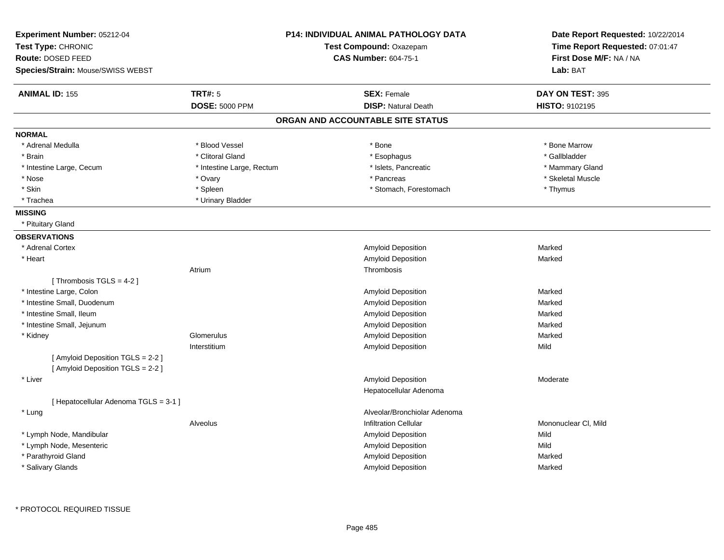| Experiment Number: 05212-04<br>Test Type: CHRONIC<br>Route: DOSED FEED<br>Species/Strain: Mouse/SWISS WEBST |                           | <b>P14: INDIVIDUAL ANIMAL PATHOLOGY DATA</b><br>Test Compound: Oxazepam<br><b>CAS Number: 604-75-1</b> | Date Report Requested: 10/22/2014<br>Time Report Requested: 07:01:47<br>First Dose M/F: NA / NA<br>Lab: BAT |
|-------------------------------------------------------------------------------------------------------------|---------------------------|--------------------------------------------------------------------------------------------------------|-------------------------------------------------------------------------------------------------------------|
| <b>ANIMAL ID: 155</b>                                                                                       | <b>TRT#: 5</b>            | <b>SEX: Female</b>                                                                                     | DAY ON TEST: 395                                                                                            |
|                                                                                                             | <b>DOSE: 5000 PPM</b>     | <b>DISP: Natural Death</b>                                                                             | <b>HISTO: 9102195</b>                                                                                       |
|                                                                                                             |                           | ORGAN AND ACCOUNTABLE SITE STATUS                                                                      |                                                                                                             |
| <b>NORMAL</b>                                                                                               |                           |                                                                                                        |                                                                                                             |
| * Adrenal Medulla                                                                                           | * Blood Vessel            | * Bone                                                                                                 | * Bone Marrow                                                                                               |
| * Brain                                                                                                     | * Clitoral Gland          | * Esophagus                                                                                            | * Gallbladder                                                                                               |
| * Intestine Large, Cecum                                                                                    | * Intestine Large, Rectum | * Islets, Pancreatic                                                                                   | * Mammary Gland                                                                                             |
| * Nose                                                                                                      | * Ovary                   | * Pancreas                                                                                             | * Skeletal Muscle                                                                                           |
| * Skin                                                                                                      | * Spleen                  | * Stomach, Forestomach                                                                                 | * Thymus                                                                                                    |
| * Trachea                                                                                                   | * Urinary Bladder         |                                                                                                        |                                                                                                             |
| <b>MISSING</b>                                                                                              |                           |                                                                                                        |                                                                                                             |
| * Pituitary Gland                                                                                           |                           |                                                                                                        |                                                                                                             |
| <b>OBSERVATIONS</b>                                                                                         |                           |                                                                                                        |                                                                                                             |
| * Adrenal Cortex                                                                                            |                           | Amyloid Deposition                                                                                     | Marked                                                                                                      |
| * Heart                                                                                                     |                           | <b>Amyloid Deposition</b>                                                                              | Marked                                                                                                      |
|                                                                                                             | Atrium                    | Thrombosis                                                                                             |                                                                                                             |
| [Thrombosis TGLS = 4-2]                                                                                     |                           |                                                                                                        |                                                                                                             |
| * Intestine Large, Colon                                                                                    |                           | Amyloid Deposition                                                                                     | Marked                                                                                                      |
| * Intestine Small, Duodenum                                                                                 |                           | Amyloid Deposition                                                                                     | Marked                                                                                                      |
| * Intestine Small, Ileum                                                                                    |                           | Amyloid Deposition                                                                                     | Marked                                                                                                      |
| * Intestine Small, Jejunum                                                                                  |                           | Amyloid Deposition                                                                                     | Marked                                                                                                      |
| * Kidney                                                                                                    | Glomerulus                | <b>Amyloid Deposition</b>                                                                              | Marked                                                                                                      |
|                                                                                                             | Interstitium              | <b>Amyloid Deposition</b>                                                                              | Mild                                                                                                        |
| [Amyloid Deposition TGLS = 2-2]<br>[Amyloid Deposition TGLS = 2-2]                                          |                           |                                                                                                        |                                                                                                             |
| * Liver                                                                                                     |                           | <b>Amyloid Deposition</b>                                                                              | Moderate                                                                                                    |
|                                                                                                             |                           | Hepatocellular Adenoma                                                                                 |                                                                                                             |
| [ Hepatocellular Adenoma TGLS = 3-1 ]                                                                       |                           |                                                                                                        |                                                                                                             |
| * Lung                                                                                                      |                           | Alveolar/Bronchiolar Adenoma                                                                           |                                                                                                             |
|                                                                                                             | Alveolus                  | <b>Infiltration Cellular</b>                                                                           | Mononuclear CI, Mild                                                                                        |
| * Lymph Node, Mandibular                                                                                    |                           | <b>Amyloid Deposition</b>                                                                              | Mild                                                                                                        |
| * Lymph Node, Mesenteric                                                                                    |                           | Amyloid Deposition                                                                                     | Mild                                                                                                        |
| * Parathyroid Gland                                                                                         |                           | Amyloid Deposition                                                                                     | Marked                                                                                                      |
| * Salivary Glands                                                                                           |                           | Amyloid Deposition                                                                                     | Marked                                                                                                      |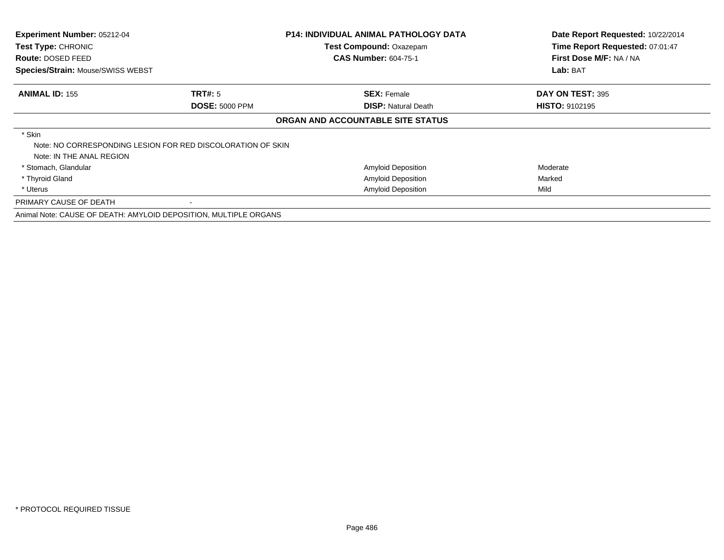| Experiment Number: 05212-04<br>Test Type: CHRONIC<br>Route: DOSED FEED<br>Species/Strain: Mouse/SWISS WEBST |                                                                  | <b>P14: INDIVIDUAL ANIMAL PATHOLOGY DATA</b><br>Test Compound: Oxazepam<br><b>CAS Number: 604-75-1</b> | Date Report Requested: 10/22/2014<br>Time Report Requested: 07:01:47<br>First Dose M/F: NA / NA |
|-------------------------------------------------------------------------------------------------------------|------------------------------------------------------------------|--------------------------------------------------------------------------------------------------------|-------------------------------------------------------------------------------------------------|
|                                                                                                             |                                                                  |                                                                                                        | Lab: BAT                                                                                        |
| <b>ANIMAL ID: 155</b>                                                                                       | TRT#: 5                                                          | <b>SEX: Female</b>                                                                                     | DAY ON TEST: 395                                                                                |
|                                                                                                             | <b>DOSE: 5000 PPM</b>                                            | <b>DISP:</b> Natural Death                                                                             | <b>HISTO: 9102195</b>                                                                           |
|                                                                                                             |                                                                  | ORGAN AND ACCOUNTABLE SITE STATUS                                                                      |                                                                                                 |
| * Skin<br>Note: IN THE ANAL REGION                                                                          | Note: NO CORRESPONDING LESION FOR RED DISCOLORATION OF SKIN      |                                                                                                        |                                                                                                 |
| * Stomach, Glandular                                                                                        |                                                                  | Amyloid Deposition                                                                                     | Moderate                                                                                        |
| * Thyroid Gland                                                                                             |                                                                  | Amyloid Deposition                                                                                     | Marked                                                                                          |
| * Uterus                                                                                                    |                                                                  | <b>Amyloid Deposition</b>                                                                              | Mild                                                                                            |
| PRIMARY CAUSE OF DEATH                                                                                      |                                                                  |                                                                                                        |                                                                                                 |
|                                                                                                             | Animal Note: CAUSE OF DEATH: AMYLOID DEPOSITION, MULTIPLE ORGANS |                                                                                                        |                                                                                                 |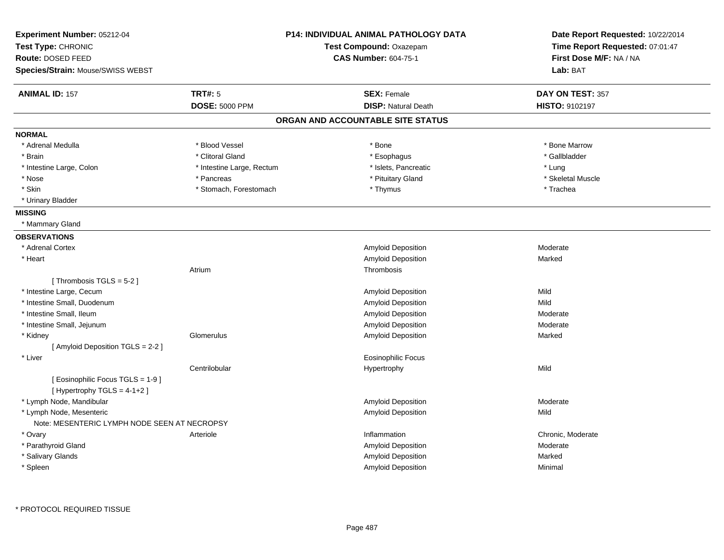| Experiment Number: 05212-04<br>Test Type: CHRONIC<br>Route: DOSED FEED<br>Species/Strain: Mouse/SWISS WEBST |                           | P14: INDIVIDUAL ANIMAL PATHOLOGY DATA<br><b>Test Compound: Oxazepam</b><br><b>CAS Number: 604-75-1</b> | Date Report Requested: 10/22/2014<br>Time Report Requested: 07:01:47<br>First Dose M/F: NA / NA<br>Lab: BAT |
|-------------------------------------------------------------------------------------------------------------|---------------------------|--------------------------------------------------------------------------------------------------------|-------------------------------------------------------------------------------------------------------------|
| <b>ANIMAL ID: 157</b>                                                                                       | TRT#: 5                   | <b>SEX: Female</b>                                                                                     | DAY ON TEST: 357                                                                                            |
|                                                                                                             | <b>DOSE: 5000 PPM</b>     | <b>DISP: Natural Death</b>                                                                             | <b>HISTO: 9102197</b>                                                                                       |
|                                                                                                             |                           | ORGAN AND ACCOUNTABLE SITE STATUS                                                                      |                                                                                                             |
| <b>NORMAL</b>                                                                                               |                           |                                                                                                        |                                                                                                             |
| * Adrenal Medulla                                                                                           | * Blood Vessel            | * Bone                                                                                                 | * Bone Marrow                                                                                               |
| * Brain                                                                                                     | * Clitoral Gland          | * Esophagus                                                                                            | * Gallbladder                                                                                               |
| * Intestine Large, Colon                                                                                    | * Intestine Large, Rectum | * Islets, Pancreatic                                                                                   | * Lung                                                                                                      |
| * Nose                                                                                                      | * Pancreas                | * Pituitary Gland                                                                                      | * Skeletal Muscle                                                                                           |
| * Skin                                                                                                      | * Stomach, Forestomach    | * Thymus                                                                                               | * Trachea                                                                                                   |
| * Urinary Bladder                                                                                           |                           |                                                                                                        |                                                                                                             |
| <b>MISSING</b>                                                                                              |                           |                                                                                                        |                                                                                                             |
| * Mammary Gland                                                                                             |                           |                                                                                                        |                                                                                                             |
| <b>OBSERVATIONS</b>                                                                                         |                           |                                                                                                        |                                                                                                             |
| * Adrenal Cortex                                                                                            |                           | <b>Amyloid Deposition</b>                                                                              | Moderate                                                                                                    |
| * Heart                                                                                                     |                           | Amyloid Deposition                                                                                     | Marked                                                                                                      |
|                                                                                                             | Atrium                    | Thrombosis                                                                                             |                                                                                                             |
| [Thrombosis TGLS = 5-2]                                                                                     |                           |                                                                                                        |                                                                                                             |
| * Intestine Large, Cecum                                                                                    |                           | Amyloid Deposition                                                                                     | Mild                                                                                                        |
| * Intestine Small, Duodenum                                                                                 |                           | Amyloid Deposition                                                                                     | Mild                                                                                                        |
| * Intestine Small, Ileum                                                                                    |                           | Amyloid Deposition                                                                                     | Moderate                                                                                                    |
| * Intestine Small, Jejunum                                                                                  |                           | Amyloid Deposition                                                                                     | Moderate                                                                                                    |
| * Kidney                                                                                                    | Glomerulus                | Amyloid Deposition                                                                                     | Marked                                                                                                      |
| [ Amyloid Deposition TGLS = 2-2 ]                                                                           |                           |                                                                                                        |                                                                                                             |
| * Liver                                                                                                     |                           | <b>Eosinophilic Focus</b>                                                                              |                                                                                                             |
|                                                                                                             | Centrilobular             | Hypertrophy                                                                                            | Mild                                                                                                        |
| [ Eosinophilic Focus TGLS = 1-9 ]                                                                           |                           |                                                                                                        |                                                                                                             |
| [Hypertrophy TGLS = 4-1+2]                                                                                  |                           |                                                                                                        |                                                                                                             |
| * Lymph Node, Mandibular                                                                                    |                           | Amyloid Deposition                                                                                     | Moderate                                                                                                    |
| * Lymph Node, Mesenteric                                                                                    |                           | <b>Amyloid Deposition</b>                                                                              | Mild                                                                                                        |
| Note: MESENTERIC LYMPH NODE SEEN AT NECROPSY                                                                |                           |                                                                                                        |                                                                                                             |
| * Ovary                                                                                                     | Arteriole                 | Inflammation                                                                                           | Chronic, Moderate                                                                                           |
| * Parathyroid Gland                                                                                         |                           | Amyloid Deposition                                                                                     | Moderate                                                                                                    |
| * Salivary Glands                                                                                           |                           | Amyloid Deposition                                                                                     | Marked                                                                                                      |
| * Spleen                                                                                                    |                           | Amyloid Deposition                                                                                     | Minimal                                                                                                     |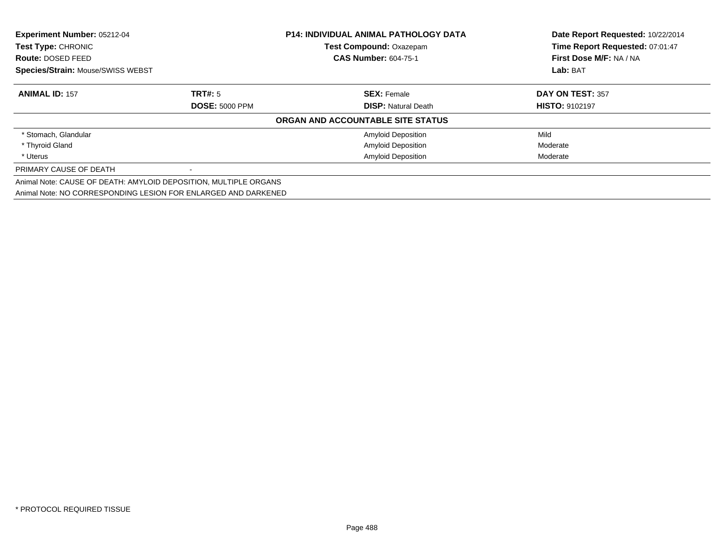| <b>Experiment Number: 05212-04</b><br>Test Type: CHRONIC         |                       | <b>P14: INDIVIDUAL ANIMAL PATHOLOGY DATA</b> | Date Report Requested: 10/22/2014<br>Time Report Requested: 07:01:47 |
|------------------------------------------------------------------|-----------------------|----------------------------------------------|----------------------------------------------------------------------|
|                                                                  |                       | Test Compound: Oxazepam                      |                                                                      |
| Route: DOSED FEED                                                |                       | <b>CAS Number: 604-75-1</b>                  | First Dose M/F: NA / NA                                              |
| <b>Species/Strain: Mouse/SWISS WEBST</b>                         |                       |                                              | Lab: BAT                                                             |
| <b>ANIMAL ID: 157</b>                                            | TRT#: 5               | <b>SEX: Female</b>                           | DAY ON TEST: 357                                                     |
|                                                                  | <b>DOSE: 5000 PPM</b> | <b>DISP:</b> Natural Death                   | <b>HISTO: 9102197</b>                                                |
|                                                                  |                       | ORGAN AND ACCOUNTABLE SITE STATUS            |                                                                      |
| * Stomach, Glandular                                             |                       | <b>Amyloid Deposition</b>                    | Mild                                                                 |
| * Thyroid Gland                                                  |                       | <b>Amyloid Deposition</b>                    | Moderate                                                             |
| * Uterus                                                         |                       | <b>Amyloid Deposition</b>                    | Moderate                                                             |
| PRIMARY CAUSE OF DEATH                                           |                       |                                              |                                                                      |
| Animal Note: CAUSE OF DEATH: AMYLOID DEPOSITION, MULTIPLE ORGANS |                       |                                              |                                                                      |
| Animal Note: NO CORRESPONDING LESION FOR ENLARGED AND DARKENED   |                       |                                              |                                                                      |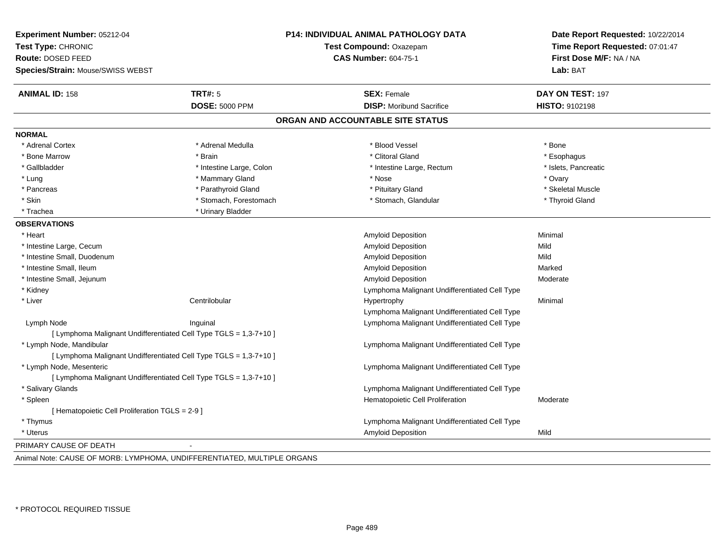| Experiment Number: 05212-04<br>Test Type: CHRONIC<br>Route: DOSED FEED |                                                                         | <b>P14: INDIVIDUAL ANIMAL PATHOLOGY DATA</b><br>Test Compound: Oxazepam<br><b>CAS Number: 604-75-1</b> | Date Report Requested: 10/22/2014<br>Time Report Requested: 07:01:47<br>First Dose M/F: NA / NA |
|------------------------------------------------------------------------|-------------------------------------------------------------------------|--------------------------------------------------------------------------------------------------------|-------------------------------------------------------------------------------------------------|
| Species/Strain: Mouse/SWISS WEBST                                      |                                                                         |                                                                                                        | Lab: BAT                                                                                        |
| <b>ANIMAL ID: 158</b>                                                  | <b>TRT#: 5</b>                                                          | <b>SEX: Female</b>                                                                                     | DAY ON TEST: 197                                                                                |
|                                                                        | <b>DOSE: 5000 PPM</b>                                                   | <b>DISP:</b> Moribund Sacrifice                                                                        | HISTO: 9102198                                                                                  |
|                                                                        |                                                                         | ORGAN AND ACCOUNTABLE SITE STATUS                                                                      |                                                                                                 |
| <b>NORMAL</b>                                                          |                                                                         |                                                                                                        |                                                                                                 |
| * Adrenal Cortex                                                       | * Adrenal Medulla                                                       | * Blood Vessel                                                                                         | * Bone                                                                                          |
| * Bone Marrow                                                          | * Brain                                                                 | * Clitoral Gland                                                                                       | * Esophagus                                                                                     |
| * Gallbladder                                                          | * Intestine Large, Colon                                                | * Intestine Large, Rectum                                                                              | * Islets, Pancreatic                                                                            |
| * Lung                                                                 | * Mammary Gland                                                         | * Nose                                                                                                 | * Ovary                                                                                         |
| * Pancreas                                                             | * Parathyroid Gland                                                     | * Pituitary Gland                                                                                      | * Skeletal Muscle                                                                               |
| * Skin                                                                 | * Stomach, Forestomach                                                  | * Stomach, Glandular                                                                                   | * Thyroid Gland                                                                                 |
| * Trachea                                                              | * Urinary Bladder                                                       |                                                                                                        |                                                                                                 |
| <b>OBSERVATIONS</b>                                                    |                                                                         |                                                                                                        |                                                                                                 |
| * Heart                                                                |                                                                         | Amyloid Deposition                                                                                     | Minimal                                                                                         |
| * Intestine Large, Cecum                                               |                                                                         | <b>Amyloid Deposition</b>                                                                              | Mild                                                                                            |
| * Intestine Small, Duodenum                                            |                                                                         | Amyloid Deposition                                                                                     | Mild                                                                                            |
| * Intestine Small, Ileum                                               |                                                                         | Amyloid Deposition                                                                                     | Marked                                                                                          |
| * Intestine Small, Jejunum                                             |                                                                         | Amyloid Deposition                                                                                     | Moderate                                                                                        |
| * Kidney                                                               |                                                                         | Lymphoma Malignant Undifferentiated Cell Type                                                          |                                                                                                 |
| * Liver                                                                | Centrilobular                                                           | Hypertrophy                                                                                            | Minimal                                                                                         |
|                                                                        |                                                                         | Lymphoma Malignant Undifferentiated Cell Type                                                          |                                                                                                 |
| Lymph Node                                                             | Inguinal                                                                | Lymphoma Malignant Undifferentiated Cell Type                                                          |                                                                                                 |
|                                                                        | [ Lymphoma Malignant Undifferentiated Cell Type TGLS = 1,3-7+10 ]       |                                                                                                        |                                                                                                 |
| * Lymph Node, Mandibular                                               |                                                                         | Lymphoma Malignant Undifferentiated Cell Type                                                          |                                                                                                 |
|                                                                        | [ Lymphoma Malignant Undifferentiated Cell Type TGLS = 1,3-7+10 ]       |                                                                                                        |                                                                                                 |
| * Lymph Node, Mesenteric                                               |                                                                         | Lymphoma Malignant Undifferentiated Cell Type                                                          |                                                                                                 |
|                                                                        | [ Lymphoma Malignant Undifferentiated Cell Type TGLS = 1,3-7+10 ]       |                                                                                                        |                                                                                                 |
| * Salivary Glands                                                      |                                                                         | Lymphoma Malignant Undifferentiated Cell Type                                                          |                                                                                                 |
| * Spleen                                                               |                                                                         | Hematopoietic Cell Proliferation                                                                       | Moderate                                                                                        |
| [ Hematopoietic Cell Proliferation TGLS = 2-9 ]                        |                                                                         |                                                                                                        |                                                                                                 |
| * Thymus                                                               |                                                                         | Lymphoma Malignant Undifferentiated Cell Type                                                          |                                                                                                 |
| * Uterus                                                               |                                                                         | <b>Amyloid Deposition</b>                                                                              | Mild                                                                                            |
| PRIMARY CAUSE OF DEATH                                                 |                                                                         |                                                                                                        |                                                                                                 |
|                                                                        | Animal Note: CAUSE OF MORB: LYMPHOMA, UNDIFFERENTIATED, MULTIPLE ORGANS |                                                                                                        |                                                                                                 |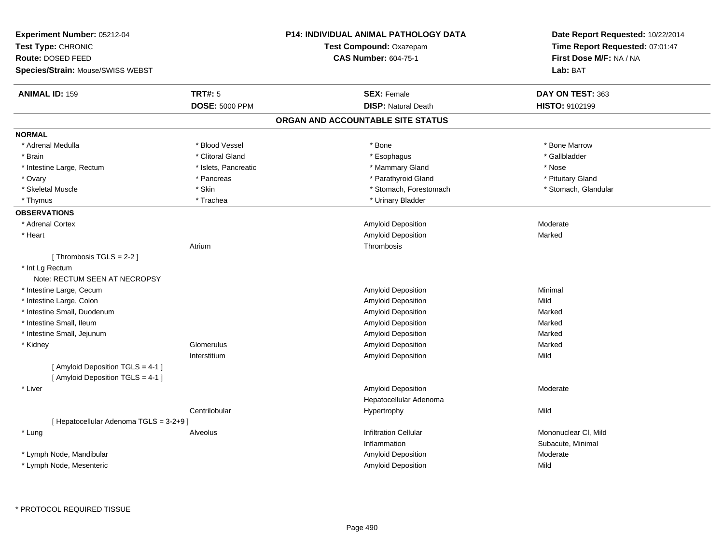| Experiment Number: 05212-04<br>Test Type: CHRONIC<br>Route: DOSED FEED<br>Species/Strain: Mouse/SWISS WEBST | P14: INDIVIDUAL ANIMAL PATHOLOGY DATA<br>Test Compound: Oxazepam<br><b>CAS Number: 604-75-1</b> | Date Report Requested: 10/22/2014<br>Time Report Requested: 07:01:47<br>First Dose M/F: NA / NA<br>Lab: BAT |
|-------------------------------------------------------------------------------------------------------------|-------------------------------------------------------------------------------------------------|-------------------------------------------------------------------------------------------------------------|
|                                                                                                             |                                                                                                 |                                                                                                             |
| <b>TRT#: 5</b><br><b>ANIMAL ID: 159</b>                                                                     | <b>SEX: Female</b>                                                                              | DAY ON TEST: 363                                                                                            |
| <b>DOSE: 5000 PPM</b>                                                                                       | <b>DISP: Natural Death</b>                                                                      | HISTO: 9102199                                                                                              |
|                                                                                                             | ORGAN AND ACCOUNTABLE SITE STATUS                                                               |                                                                                                             |
| <b>NORMAL</b>                                                                                               |                                                                                                 |                                                                                                             |
| * Blood Vessel<br>* Adrenal Medulla                                                                         | * Bone                                                                                          | * Bone Marrow                                                                                               |
| * Clitoral Gland<br>* Brain                                                                                 | * Esophagus                                                                                     | * Gallbladder                                                                                               |
| * Intestine Large, Rectum<br>* Islets, Pancreatic                                                           | * Mammary Gland                                                                                 | * Nose                                                                                                      |
| * Ovary<br>* Pancreas                                                                                       | * Parathyroid Gland                                                                             | * Pituitary Gland                                                                                           |
| * Skeletal Muscle<br>* Skin                                                                                 | * Stomach, Forestomach                                                                          | * Stomach, Glandular                                                                                        |
| * Trachea<br>* Thymus                                                                                       | * Urinary Bladder                                                                               |                                                                                                             |
| <b>OBSERVATIONS</b>                                                                                         |                                                                                                 |                                                                                                             |
| * Adrenal Cortex                                                                                            | Amyloid Deposition                                                                              | Moderate                                                                                                    |
| * Heart                                                                                                     | Amyloid Deposition                                                                              | Marked                                                                                                      |
| Atrium                                                                                                      | Thrombosis                                                                                      |                                                                                                             |
| [Thrombosis TGLS = $2-2$ ]                                                                                  |                                                                                                 |                                                                                                             |
| * Int Lg Rectum                                                                                             |                                                                                                 |                                                                                                             |
| Note: RECTUM SEEN AT NECROPSY                                                                               |                                                                                                 |                                                                                                             |
| * Intestine Large, Cecum                                                                                    | Amyloid Deposition                                                                              | Minimal                                                                                                     |
| * Intestine Large, Colon                                                                                    | Amyloid Deposition                                                                              | Mild                                                                                                        |
| * Intestine Small, Duodenum                                                                                 | Amyloid Deposition                                                                              | Marked                                                                                                      |
| * Intestine Small, Ileum                                                                                    | Amyloid Deposition                                                                              | Marked                                                                                                      |
| * Intestine Small, Jejunum                                                                                  | Amyloid Deposition                                                                              | Marked                                                                                                      |
| * Kidney<br>Glomerulus                                                                                      | Amyloid Deposition                                                                              | Marked                                                                                                      |
| Interstitium                                                                                                | Amyloid Deposition                                                                              | Mild                                                                                                        |
| [ Amyloid Deposition TGLS = 4-1 ]                                                                           |                                                                                                 |                                                                                                             |
| [ Amyloid Deposition TGLS = 4-1 ]                                                                           |                                                                                                 |                                                                                                             |
| * Liver                                                                                                     | Amyloid Deposition                                                                              | Moderate                                                                                                    |
|                                                                                                             | Hepatocellular Adenoma                                                                          |                                                                                                             |
| Centrilobular                                                                                               | Hypertrophy                                                                                     | Mild                                                                                                        |
| [ Hepatocellular Adenoma TGLS = 3-2+9 ]                                                                     |                                                                                                 |                                                                                                             |
| Alveolus<br>* Lung                                                                                          | <b>Infiltration Cellular</b>                                                                    | Mononuclear CI, Mild                                                                                        |
|                                                                                                             | Inflammation                                                                                    | Subacute, Minimal                                                                                           |
| * Lymph Node, Mandibular                                                                                    |                                                                                                 |                                                                                                             |
|                                                                                                             | Amyloid Deposition                                                                              | Moderate                                                                                                    |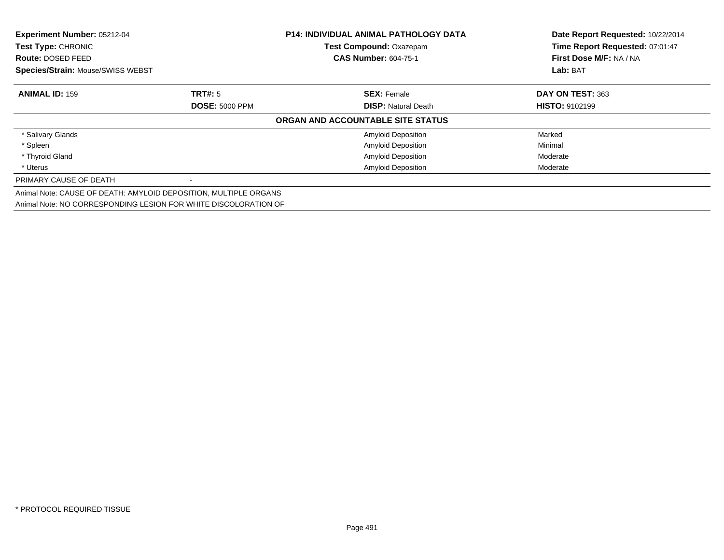| Experiment Number: 05212-04<br>Test Type: CHRONIC                |                       | <b>P14: INDIVIDUAL ANIMAL PATHOLOGY DATA</b><br>Test Compound: Oxazepam | Date Report Requested: 10/22/2014<br>Time Report Requested: 07:01:47 |
|------------------------------------------------------------------|-----------------------|-------------------------------------------------------------------------|----------------------------------------------------------------------|
| <b>Route: DOSED FEED</b>                                         |                       | <b>CAS Number: 604-75-1</b>                                             | First Dose M/F: NA / NA                                              |
| Species/Strain: Mouse/SWISS WEBST                                |                       |                                                                         | Lab: BAT                                                             |
| <b>ANIMAL ID: 159</b>                                            | <b>TRT#:</b> 5        | <b>SEX: Female</b>                                                      | DAY ON TEST: 363                                                     |
|                                                                  | <b>DOSE: 5000 PPM</b> | <b>DISP:</b> Natural Death                                              | <b>HISTO: 9102199</b>                                                |
|                                                                  |                       | ORGAN AND ACCOUNTABLE SITE STATUS                                       |                                                                      |
| * Salivary Glands                                                |                       | <b>Amyloid Deposition</b>                                               | Marked                                                               |
| * Spleen                                                         |                       | <b>Amyloid Deposition</b>                                               | Minimal                                                              |
| * Thyroid Gland                                                  |                       | <b>Amyloid Deposition</b>                                               | Moderate                                                             |
| * Uterus                                                         |                       | <b>Amyloid Deposition</b>                                               | Moderate                                                             |
| PRIMARY CAUSE OF DEATH                                           |                       |                                                                         |                                                                      |
| Animal Note: CAUSE OF DEATH: AMYLOID DEPOSITION, MULTIPLE ORGANS |                       |                                                                         |                                                                      |
| Animal Note: NO CORRESPONDING LESION FOR WHITE DISCOLORATION OF  |                       |                                                                         |                                                                      |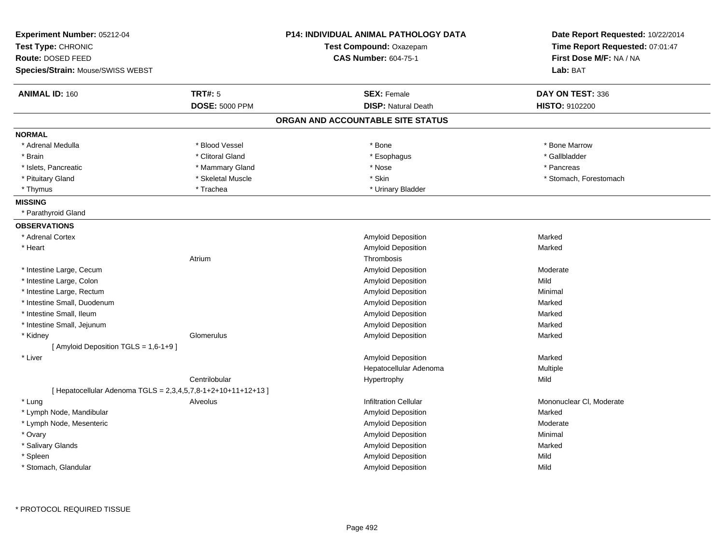| Experiment Number: 05212-04<br>Test Type: CHRONIC<br>Route: DOSED FEED<br>Species/Strain: Mouse/SWISS WEBST |                       | <b>P14: INDIVIDUAL ANIMAL PATHOLOGY DATA</b><br>Test Compound: Oxazepam<br><b>CAS Number: 604-75-1</b> | Date Report Requested: 10/22/2014<br>Time Report Requested: 07:01:47<br>First Dose M/F: NA / NA<br>Lab: BAT |
|-------------------------------------------------------------------------------------------------------------|-----------------------|--------------------------------------------------------------------------------------------------------|-------------------------------------------------------------------------------------------------------------|
| <b>ANIMAL ID: 160</b>                                                                                       | <b>TRT#: 5</b>        | <b>SEX: Female</b>                                                                                     | DAY ON TEST: 336                                                                                            |
|                                                                                                             | <b>DOSE: 5000 PPM</b> | <b>DISP: Natural Death</b>                                                                             | HISTO: 9102200                                                                                              |
|                                                                                                             |                       | ORGAN AND ACCOUNTABLE SITE STATUS                                                                      |                                                                                                             |
| <b>NORMAL</b>                                                                                               |                       |                                                                                                        |                                                                                                             |
| * Adrenal Medulla                                                                                           | * Blood Vessel        | $*$ Bone                                                                                               | * Bone Marrow                                                                                               |
| * Brain                                                                                                     | * Clitoral Gland      | * Esophagus                                                                                            | * Gallbladder                                                                                               |
| * Islets, Pancreatic                                                                                        | * Mammary Gland       | * Nose                                                                                                 | * Pancreas                                                                                                  |
| * Pituitary Gland                                                                                           | * Skeletal Muscle     | * Skin                                                                                                 | * Stomach, Forestomach                                                                                      |
| * Thymus                                                                                                    | * Trachea             | * Urinary Bladder                                                                                      |                                                                                                             |
| <b>MISSING</b>                                                                                              |                       |                                                                                                        |                                                                                                             |
| * Parathyroid Gland                                                                                         |                       |                                                                                                        |                                                                                                             |
| <b>OBSERVATIONS</b>                                                                                         |                       |                                                                                                        |                                                                                                             |
| * Adrenal Cortex                                                                                            |                       | Amyloid Deposition                                                                                     | Marked                                                                                                      |
| * Heart                                                                                                     |                       | Amyloid Deposition                                                                                     | Marked                                                                                                      |
|                                                                                                             | Atrium                | Thrombosis                                                                                             |                                                                                                             |
| * Intestine Large, Cecum                                                                                    |                       | Amyloid Deposition                                                                                     | Moderate                                                                                                    |
| * Intestine Large, Colon                                                                                    |                       | Amyloid Deposition                                                                                     | Mild                                                                                                        |
| * Intestine Large, Rectum                                                                                   |                       | Amyloid Deposition                                                                                     | Minimal                                                                                                     |
| * Intestine Small, Duodenum                                                                                 |                       | Amyloid Deposition                                                                                     | Marked                                                                                                      |
| * Intestine Small, Ileum                                                                                    |                       | Amyloid Deposition                                                                                     | Marked                                                                                                      |
| * Intestine Small, Jejunum                                                                                  |                       | <b>Amyloid Deposition</b>                                                                              | Marked                                                                                                      |
| * Kidney                                                                                                    | Glomerulus            | Amyloid Deposition                                                                                     | Marked                                                                                                      |
| [ Amyloid Deposition TGLS = 1,6-1+9 ]                                                                       |                       |                                                                                                        |                                                                                                             |
| * Liver                                                                                                     |                       | Amyloid Deposition                                                                                     | Marked                                                                                                      |
|                                                                                                             |                       | Hepatocellular Adenoma                                                                                 | Multiple                                                                                                    |
|                                                                                                             | Centrilobular         | Hypertrophy                                                                                            | Mild                                                                                                        |
| [ Hepatocellular Adenoma TGLS = 2,3,4,5,7,8-1+2+10+11+12+13 ]                                               |                       |                                                                                                        |                                                                                                             |
| * Lung                                                                                                      | Alveolus              | <b>Infiltration Cellular</b>                                                                           | Mononuclear CI, Moderate                                                                                    |
| * Lymph Node, Mandibular                                                                                    |                       | Amyloid Deposition                                                                                     | Marked                                                                                                      |
| * Lymph Node, Mesenteric                                                                                    |                       | Amyloid Deposition                                                                                     | Moderate                                                                                                    |
| * Ovary                                                                                                     |                       | Amyloid Deposition                                                                                     | Minimal                                                                                                     |
| * Salivary Glands                                                                                           |                       | Amyloid Deposition                                                                                     | Marked                                                                                                      |
| * Spleen                                                                                                    |                       | Amyloid Deposition                                                                                     | Mild                                                                                                        |
| * Stomach, Glandular                                                                                        |                       | Amyloid Deposition                                                                                     | Mild                                                                                                        |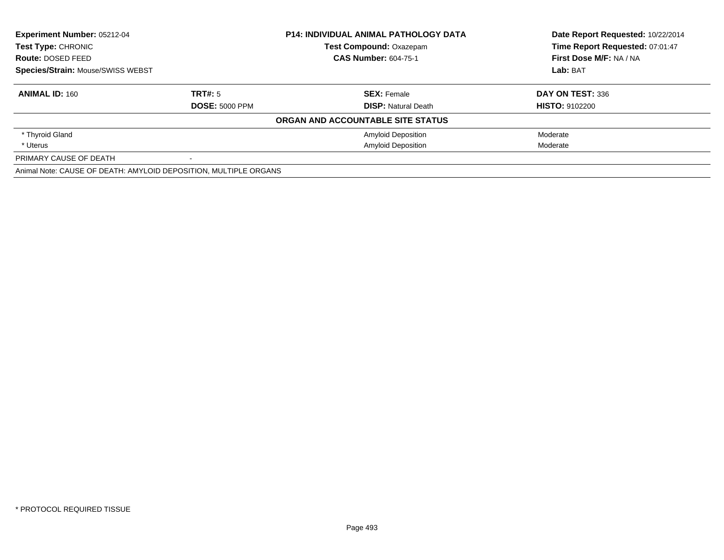| Experiment Number: 05212-04                                      |                       | <b>P14: INDIVIDUAL ANIMAL PATHOLOGY DATA</b> | Date Report Requested: 10/22/2014 |
|------------------------------------------------------------------|-----------------------|----------------------------------------------|-----------------------------------|
| <b>Test Type: CHRONIC</b>                                        |                       | <b>Test Compound: Oxazepam</b>               | Time Report Requested: 07:01:47   |
| Route: DOSED FEED                                                |                       | <b>CAS Number: 604-75-1</b>                  | First Dose M/F: NA / NA           |
| <b>Species/Strain: Mouse/SWISS WEBST</b>                         |                       |                                              | Lab: BAT                          |
| <b>ANIMAL ID: 160</b>                                            | TRT#: 5               | <b>SEX: Female</b>                           | DAY ON TEST: 336                  |
|                                                                  | <b>DOSE: 5000 PPM</b> | <b>DISP: Natural Death</b>                   | <b>HISTO: 9102200</b>             |
|                                                                  |                       | ORGAN AND ACCOUNTABLE SITE STATUS            |                                   |
| * Thyroid Gland                                                  |                       | <b>Amyloid Deposition</b>                    | Moderate                          |
| * Uterus                                                         |                       | <b>Amyloid Deposition</b>                    | Moderate                          |
| PRIMARY CAUSE OF DEATH                                           | $\,$                  |                                              |                                   |
| Animal Note: CAUSE OF DEATH: AMYLOID DEPOSITION, MULTIPLE ORGANS |                       |                                              |                                   |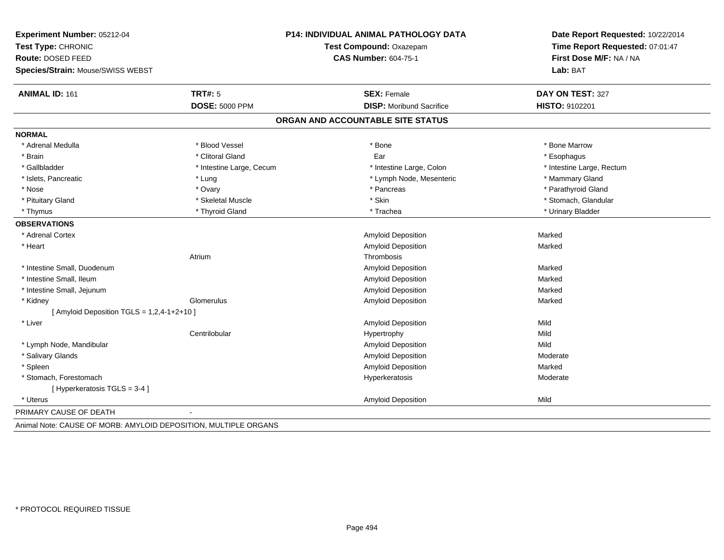| Experiment Number: 05212-04                  |                          | <b>P14: INDIVIDUAL ANIMAL PATHOLOGY DATA</b> | Date Report Requested: 10/22/2014<br>Time Report Requested: 07:01:47 |
|----------------------------------------------|--------------------------|----------------------------------------------|----------------------------------------------------------------------|
| Test Type: CHRONIC                           |                          | Test Compound: Oxazepam                      |                                                                      |
| Route: DOSED FEED                            |                          | <b>CAS Number: 604-75-1</b>                  | First Dose M/F: NA / NA                                              |
| Species/Strain: Mouse/SWISS WEBST            |                          |                                              | Lab: BAT                                                             |
| <b>ANIMAL ID: 161</b>                        | <b>TRT#: 5</b>           | <b>SEX: Female</b>                           | DAY ON TEST: 327                                                     |
|                                              | <b>DOSE: 5000 PPM</b>    | <b>DISP:</b> Moribund Sacrifice              | <b>HISTO: 9102201</b>                                                |
|                                              |                          | ORGAN AND ACCOUNTABLE SITE STATUS            |                                                                      |
| <b>NORMAL</b>                                |                          |                                              |                                                                      |
| * Adrenal Medulla                            | * Blood Vessel           | * Bone                                       | * Bone Marrow                                                        |
| * Brain                                      | * Clitoral Gland         | Ear                                          | * Esophagus                                                          |
| * Gallbladder                                | * Intestine Large, Cecum | * Intestine Large, Colon                     | * Intestine Large, Rectum                                            |
| * Islets, Pancreatic                         | * Lung                   | * Lymph Node, Mesenteric                     | * Mammary Gland                                                      |
| * Nose                                       | * Ovary                  | * Pancreas                                   | * Parathyroid Gland                                                  |
| * Pituitary Gland                            | * Skeletal Muscle        | * Skin                                       | * Stomach, Glandular                                                 |
| * Thymus                                     | * Thyroid Gland          | * Trachea                                    | * Urinary Bladder                                                    |
| <b>OBSERVATIONS</b>                          |                          |                                              |                                                                      |
| * Adrenal Cortex                             |                          | <b>Amyloid Deposition</b>                    | Marked                                                               |
| * Heart                                      |                          | <b>Amyloid Deposition</b>                    | Marked                                                               |
|                                              | Atrium                   | Thrombosis                                   |                                                                      |
| * Intestine Small, Duodenum                  |                          | Amyloid Deposition                           | Marked                                                               |
| * Intestine Small, Ileum                     |                          | Amyloid Deposition                           | Marked                                                               |
| * Intestine Small, Jejunum                   |                          | Amyloid Deposition                           | Marked                                                               |
| * Kidney                                     | Glomerulus               | Amyloid Deposition                           | Marked                                                               |
| [ Amyloid Deposition TGLS = $1,2,4-1+2+10$ ] |                          |                                              |                                                                      |
| * Liver                                      |                          | <b>Amyloid Deposition</b>                    | Mild                                                                 |
|                                              | Centrilobular            | Hypertrophy                                  | Mild                                                                 |
| * Lymph Node, Mandibular                     |                          | Amyloid Deposition                           | Mild                                                                 |
| * Salivary Glands                            |                          | <b>Amyloid Deposition</b>                    | Moderate                                                             |
| * Spleen                                     |                          | Amyloid Deposition                           | Marked                                                               |
| * Stomach, Forestomach                       |                          | Hyperkeratosis                               | Moderate                                                             |
| [ Hyperkeratosis TGLS = 3-4 ]                |                          |                                              |                                                                      |
| * Uterus                                     |                          | Amyloid Deposition                           | Mild                                                                 |
| PRIMARY CAUSE OF DEATH                       |                          |                                              |                                                                      |
|                                              | $\cdots$                 |                                              |                                                                      |

Animal Note: CAUSE OF MORB: AMYLOID DEPOSITION, MULTIPLE ORGANS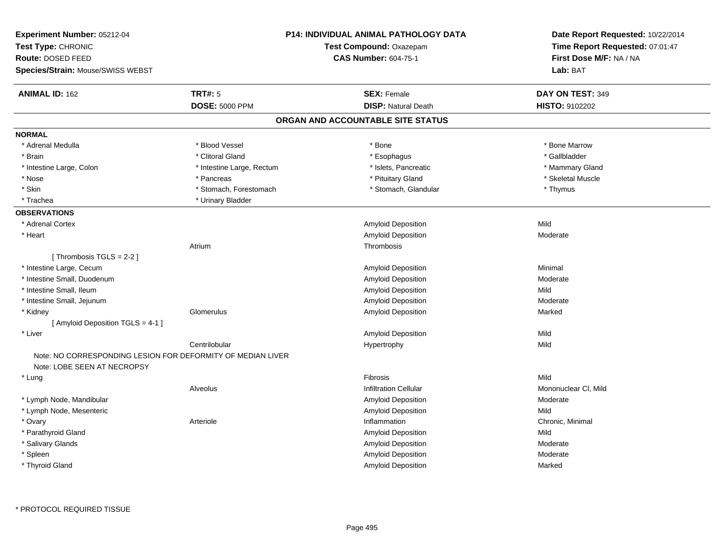| Experiment Number: 05212-04<br>Test Type: CHRONIC<br>Route: DOSED FEED |                                                             | P14: INDIVIDUAL ANIMAL PATHOLOGY DATA<br>Test Compound: Oxazepam<br><b>CAS Number: 604-75-1</b> | Date Report Requested: 10/22/2014<br>Time Report Requested: 07:01:47<br>First Dose M/F: NA / NA<br>Lab: BAT |
|------------------------------------------------------------------------|-------------------------------------------------------------|-------------------------------------------------------------------------------------------------|-------------------------------------------------------------------------------------------------------------|
| Species/Strain: Mouse/SWISS WEBST                                      |                                                             |                                                                                                 |                                                                                                             |
| <b>ANIMAL ID: 162</b>                                                  | <b>TRT#: 5</b>                                              | <b>SEX: Female</b>                                                                              | DAY ON TEST: 349                                                                                            |
|                                                                        | <b>DOSE: 5000 PPM</b>                                       | <b>DISP: Natural Death</b>                                                                      | HISTO: 9102202                                                                                              |
|                                                                        |                                                             | ORGAN AND ACCOUNTABLE SITE STATUS                                                               |                                                                                                             |
| <b>NORMAL</b>                                                          |                                                             |                                                                                                 |                                                                                                             |
| * Adrenal Medulla                                                      | * Blood Vessel                                              | * Bone                                                                                          | * Bone Marrow                                                                                               |
| * Brain                                                                | * Clitoral Gland                                            | * Esophagus                                                                                     | * Gallbladder                                                                                               |
| * Intestine Large, Colon                                               | * Intestine Large, Rectum                                   | * Islets, Pancreatic                                                                            | * Mammary Gland                                                                                             |
| $*$ Nose                                                               | * Pancreas                                                  | * Pituitary Gland                                                                               | * Skeletal Muscle                                                                                           |
| * Skin                                                                 | * Stomach, Forestomach                                      | * Stomach, Glandular                                                                            | * Thymus                                                                                                    |
| * Trachea                                                              | * Urinary Bladder                                           |                                                                                                 |                                                                                                             |
| <b>OBSERVATIONS</b>                                                    |                                                             |                                                                                                 |                                                                                                             |
| * Adrenal Cortex                                                       |                                                             | Amyloid Deposition                                                                              | Mild                                                                                                        |
| * Heart                                                                |                                                             | <b>Amyloid Deposition</b>                                                                       | Moderate                                                                                                    |
|                                                                        | Atrium                                                      | Thrombosis                                                                                      |                                                                                                             |
| [Thrombosis TGLS = 2-2]                                                |                                                             |                                                                                                 |                                                                                                             |
| * Intestine Large, Cecum                                               |                                                             | Amyloid Deposition                                                                              | Minimal                                                                                                     |
| * Intestine Small, Duodenum                                            |                                                             | <b>Amyloid Deposition</b>                                                                       | Moderate                                                                                                    |
| * Intestine Small, Ileum                                               |                                                             | <b>Amyloid Deposition</b>                                                                       | Mild                                                                                                        |
| * Intestine Small, Jejunum                                             |                                                             | <b>Amyloid Deposition</b>                                                                       | Moderate                                                                                                    |
| * Kidney                                                               | Glomerulus                                                  | Amyloid Deposition                                                                              | Marked                                                                                                      |
| [ Amyloid Deposition TGLS = 4-1 ]                                      |                                                             |                                                                                                 |                                                                                                             |
| * Liver                                                                |                                                             | <b>Amyloid Deposition</b>                                                                       | Mild                                                                                                        |
|                                                                        | Centrilobular                                               | Hypertrophy                                                                                     | Mild                                                                                                        |
|                                                                        | Note: NO CORRESPONDING LESION FOR DEFORMITY OF MEDIAN LIVER |                                                                                                 |                                                                                                             |
| Note: LOBE SEEN AT NECROPSY                                            |                                                             |                                                                                                 |                                                                                                             |
| * Lung                                                                 |                                                             | Fibrosis                                                                                        | Mild                                                                                                        |
|                                                                        | Alveolus                                                    | <b>Infiltration Cellular</b>                                                                    | Mononuclear CI, Mild                                                                                        |
| * Lymph Node, Mandibular                                               |                                                             | <b>Amyloid Deposition</b>                                                                       | Moderate                                                                                                    |
| * Lymph Node, Mesenteric                                               |                                                             | <b>Amyloid Deposition</b>                                                                       | Mild                                                                                                        |
| * Ovary                                                                | Arteriole                                                   | Inflammation                                                                                    | Chronic, Minimal                                                                                            |
| * Parathyroid Gland                                                    |                                                             | <b>Amyloid Deposition</b>                                                                       | Mild                                                                                                        |
| * Salivary Glands                                                      |                                                             | <b>Amyloid Deposition</b>                                                                       | Moderate                                                                                                    |
| * Spleen                                                               |                                                             | Amyloid Deposition                                                                              | Moderate                                                                                                    |
| * Thyroid Gland                                                        |                                                             | Amyloid Deposition                                                                              | Marked                                                                                                      |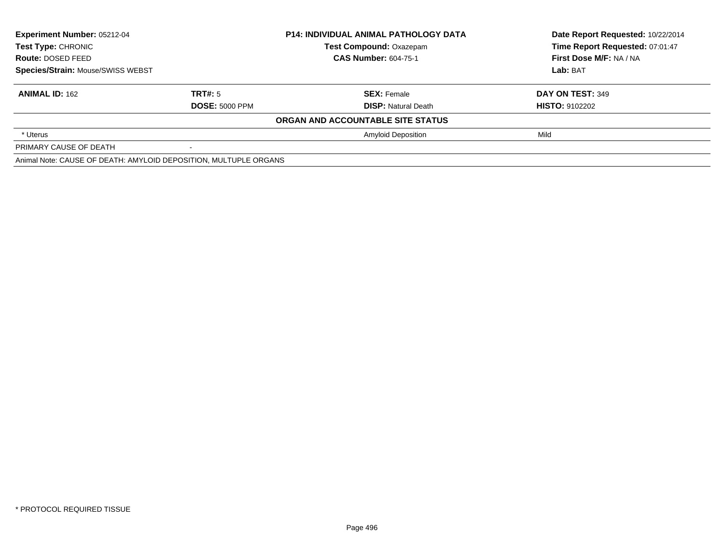| Experiment Number: 05212-04<br><b>Test Type: CHRONIC</b>         |                       | <b>P14: INDIVIDUAL ANIMAL PATHOLOGY DATA</b> | Date Report Requested: 10/22/2014 |
|------------------------------------------------------------------|-----------------------|----------------------------------------------|-----------------------------------|
|                                                                  |                       | <b>Test Compound: Oxazepam</b>               | Time Report Requested: 07:01:47   |
| Route: DOSED FEED                                                |                       | <b>CAS Number: 604-75-1</b>                  | First Dose M/F: NA / NA           |
| Species/Strain: Mouse/SWISS WEBST                                |                       |                                              | Lab: BAT                          |
| <b>ANIMAL ID: 162</b>                                            | TRT#: 5               | <b>SEX: Female</b>                           | DAY ON TEST: 349                  |
|                                                                  | <b>DOSE: 5000 PPM</b> | <b>DISP:</b> Natural Death                   | <b>HISTO: 9102202</b>             |
|                                                                  |                       | ORGAN AND ACCOUNTABLE SITE STATUS            |                                   |
| * Uterus                                                         |                       | <b>Amyloid Deposition</b>                    | Mild                              |
| PRIMARY CAUSE OF DEATH                                           |                       |                                              |                                   |
| Animal Note: CAUSE OF DEATH: AMYLOID DEPOSITION, MULTUPLE ORGANS |                       |                                              |                                   |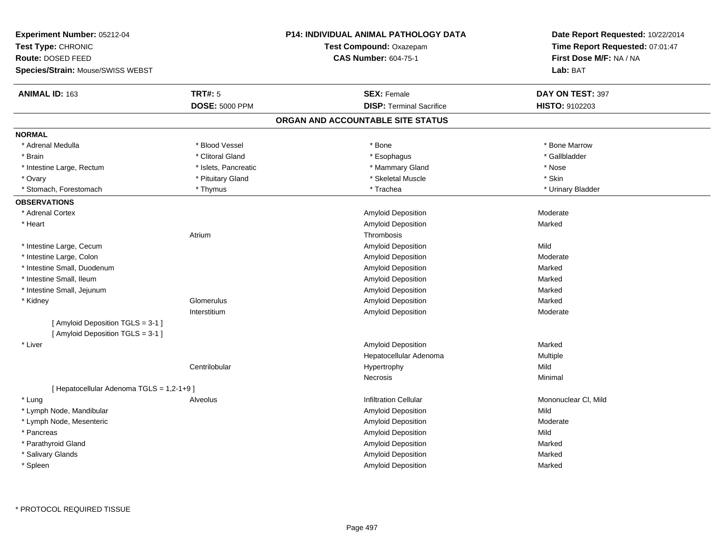| Experiment Number: 05212-04<br>Test Type: CHRONIC |                       | <b>P14: INDIVIDUAL ANIMAL PATHOLOGY DATA</b><br>Test Compound: Oxazepam | Date Report Requested: 10/22/2014<br>Time Report Requested: 07:01:47 |  |
|---------------------------------------------------|-----------------------|-------------------------------------------------------------------------|----------------------------------------------------------------------|--|
| Route: DOSED FEED                                 |                       | <b>CAS Number: 604-75-1</b>                                             | First Dose M/F: NA / NA                                              |  |
| Species/Strain: Mouse/SWISS WEBST                 |                       |                                                                         | Lab: BAT                                                             |  |
| ANIMAL ID: 163                                    | <b>TRT#: 5</b>        | <b>SEX: Female</b>                                                      | DAY ON TEST: 397                                                     |  |
|                                                   | <b>DOSE: 5000 PPM</b> | <b>DISP: Terminal Sacrifice</b>                                         | HISTO: 9102203                                                       |  |
|                                                   |                       | ORGAN AND ACCOUNTABLE SITE STATUS                                       |                                                                      |  |
| <b>NORMAL</b>                                     |                       |                                                                         |                                                                      |  |
| * Adrenal Medulla                                 | * Blood Vessel        | * Bone                                                                  | * Bone Marrow                                                        |  |
| * Brain                                           | * Clitoral Gland      | * Esophagus                                                             | * Gallbladder                                                        |  |
| * Intestine Large, Rectum                         | * Islets, Pancreatic  | * Mammary Gland                                                         | * Nose                                                               |  |
| * Ovary                                           | * Pituitary Gland     | * Skeletal Muscle                                                       | * Skin                                                               |  |
| * Stomach, Forestomach                            | * Thymus              | * Trachea                                                               | * Urinary Bladder                                                    |  |
| <b>OBSERVATIONS</b>                               |                       |                                                                         |                                                                      |  |
| * Adrenal Cortex                                  |                       | Amyloid Deposition                                                      | Moderate                                                             |  |
| * Heart                                           |                       | Amyloid Deposition                                                      | Marked                                                               |  |
|                                                   | Atrium                | Thrombosis                                                              |                                                                      |  |
| * Intestine Large, Cecum                          |                       | Amyloid Deposition                                                      | Mild                                                                 |  |
| * Intestine Large, Colon                          |                       | Amyloid Deposition                                                      | Moderate                                                             |  |
| * Intestine Small, Duodenum                       |                       | Amyloid Deposition                                                      | Marked                                                               |  |
| * Intestine Small, Ileum                          |                       | Amyloid Deposition                                                      | Marked                                                               |  |
| * Intestine Small, Jejunum                        |                       | Amyloid Deposition                                                      | Marked                                                               |  |
| * Kidney                                          | Glomerulus            | Amyloid Deposition                                                      | Marked                                                               |  |
|                                                   | Interstitium          | <b>Amyloid Deposition</b>                                               | Moderate                                                             |  |
| [ Amyloid Deposition TGLS = 3-1 ]                 |                       |                                                                         |                                                                      |  |
| [Amyloid Deposition TGLS = 3-1]                   |                       |                                                                         |                                                                      |  |
| * Liver                                           |                       | <b>Amyloid Deposition</b>                                               | Marked                                                               |  |
|                                                   |                       | Hepatocellular Adenoma                                                  | Multiple                                                             |  |
|                                                   | Centrilobular         | Hypertrophy                                                             | Mild                                                                 |  |
|                                                   |                       | Necrosis                                                                | Minimal                                                              |  |
| [ Hepatocellular Adenoma TGLS = 1,2-1+9]          |                       |                                                                         |                                                                      |  |
| * Lung                                            | Alveolus              | <b>Infiltration Cellular</b>                                            | Mononuclear CI, Mild                                                 |  |
| * Lymph Node, Mandibular                          |                       | Amyloid Deposition                                                      | Mild                                                                 |  |
| * Lymph Node, Mesenteric                          |                       | Amyloid Deposition                                                      | Moderate                                                             |  |
| * Pancreas                                        |                       | Amyloid Deposition                                                      | Mild                                                                 |  |
| * Parathyroid Gland                               |                       | Amyloid Deposition                                                      | Marked                                                               |  |
| * Salivary Glands                                 |                       | Amyloid Deposition                                                      | Marked                                                               |  |
| * Spleen                                          |                       | Amyloid Deposition                                                      | Marked                                                               |  |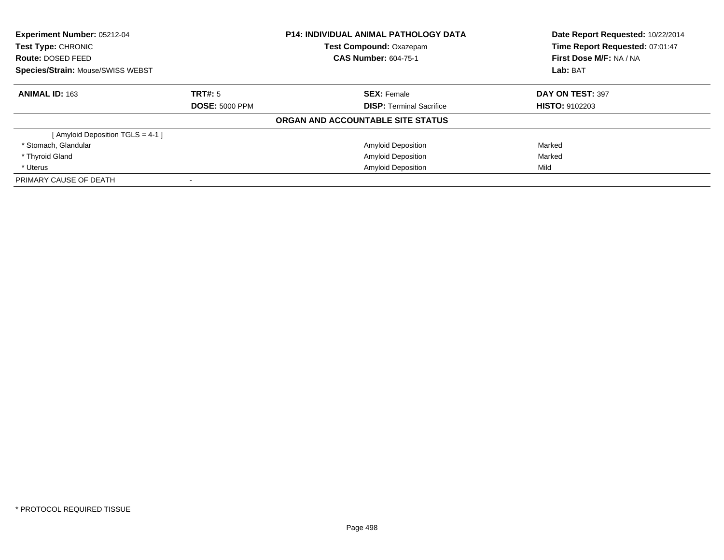| <b>Experiment Number: 05212-04</b><br>Test Type: CHRONIC<br>Route: DOSED FEED<br><b>Species/Strain: Mouse/SWISS WEBST</b> |                       | <b>P14: INDIVIDUAL ANIMAL PATHOLOGY DATA</b><br><b>Test Compound: Oxazepam</b> | Date Report Requested: 10/22/2014<br>Time Report Requested: 07:01:47<br>First Dose M/F: NA / NA<br>Lab: BAT |
|---------------------------------------------------------------------------------------------------------------------------|-----------------------|--------------------------------------------------------------------------------|-------------------------------------------------------------------------------------------------------------|
|                                                                                                                           |                       | <b>CAS Number: 604-75-1</b>                                                    |                                                                                                             |
|                                                                                                                           |                       |                                                                                |                                                                                                             |
| <b>ANIMAL ID: 163</b>                                                                                                     | TRT#: 5               | <b>SEX:</b> Female                                                             | DAY ON TEST: 397                                                                                            |
|                                                                                                                           | <b>DOSE: 5000 PPM</b> | <b>DISP:</b> Terminal Sacrifice                                                | <b>HISTO: 9102203</b>                                                                                       |
|                                                                                                                           |                       | ORGAN AND ACCOUNTABLE SITE STATUS                                              |                                                                                                             |
| [ Amyloid Deposition TGLS = 4-1 ]                                                                                         |                       |                                                                                |                                                                                                             |
| * Stomach, Glandular                                                                                                      |                       | <b>Amyloid Deposition</b>                                                      | Marked                                                                                                      |
| * Thyroid Gland                                                                                                           |                       | <b>Amyloid Deposition</b>                                                      | Marked                                                                                                      |
| * Uterus                                                                                                                  |                       | <b>Amyloid Deposition</b>                                                      | Mild                                                                                                        |
| PRIMARY CAUSE OF DEATH                                                                                                    |                       |                                                                                |                                                                                                             |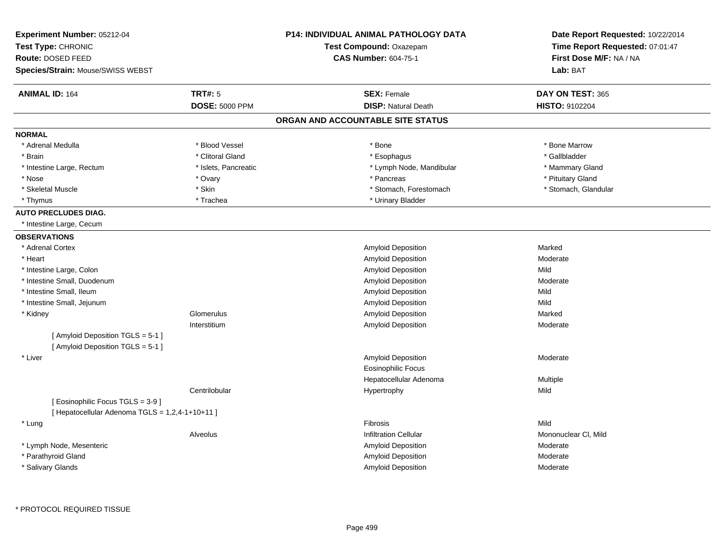| Experiment Number: 05212-04                                            | <b>P14: INDIVIDUAL ANIMAL PATHOLOGY DATA</b> | Date Report Requested: 10/22/2014 |
|------------------------------------------------------------------------|----------------------------------------------|-----------------------------------|
| Test Type: CHRONIC                                                     | Test Compound: Oxazepam                      | Time Report Requested: 07:01:47   |
| Route: DOSED FEED                                                      | <b>CAS Number: 604-75-1</b>                  | First Dose M/F: NA / NA           |
| Species/Strain: Mouse/SWISS WEBST                                      |                                              | Lab: BAT                          |
| <b>ANIMAL ID: 164</b><br><b>TRT#: 5</b>                                | <b>SEX: Female</b>                           | DAY ON TEST: 365                  |
| <b>DOSE: 5000 PPM</b>                                                  | <b>DISP: Natural Death</b>                   | HISTO: 9102204                    |
|                                                                        | ORGAN AND ACCOUNTABLE SITE STATUS            |                                   |
| <b>NORMAL</b>                                                          |                                              |                                   |
| * Blood Vessel<br>* Adrenal Medulla                                    | * Bone                                       | * Bone Marrow                     |
| * Clitoral Gland<br>* Brain                                            | * Esophagus                                  | * Gallbladder                     |
| * Intestine Large, Rectum<br>* Islets, Pancreatic                      | * Lymph Node, Mandibular                     | * Mammary Gland                   |
| * Ovary<br>* Nose                                                      | * Pancreas                                   | * Pituitary Gland                 |
| * Skin<br>* Skeletal Muscle                                            | * Stomach, Forestomach                       | * Stomach, Glandular              |
| * Thymus<br>* Trachea                                                  | * Urinary Bladder                            |                                   |
| <b>AUTO PRECLUDES DIAG.</b>                                            |                                              |                                   |
| * Intestine Large, Cecum                                               |                                              |                                   |
| <b>OBSERVATIONS</b>                                                    |                                              |                                   |
| * Adrenal Cortex                                                       | Amyloid Deposition                           | Marked                            |
| * Heart                                                                | Amyloid Deposition                           | Moderate                          |
| * Intestine Large, Colon                                               | <b>Amyloid Deposition</b>                    | Mild                              |
| * Intestine Small, Duodenum                                            | Amyloid Deposition                           | Moderate                          |
| * Intestine Small, Ileum                                               | Amyloid Deposition                           | Mild                              |
| * Intestine Small, Jejunum                                             | Amyloid Deposition                           | Mild                              |
| * Kidney<br>Glomerulus                                                 | Amyloid Deposition                           | Marked                            |
| Interstitium                                                           | Amyloid Deposition                           | Moderate                          |
| [ Amyloid Deposition TGLS = 5-1 ]<br>[ Amyloid Deposition TGLS = 5-1 ] |                                              |                                   |
| * Liver                                                                | <b>Amyloid Deposition</b>                    | Moderate                          |
|                                                                        | <b>Eosinophilic Focus</b>                    |                                   |
|                                                                        | Hepatocellular Adenoma                       | Multiple                          |
| Centrilobular                                                          | Hypertrophy                                  | Mild                              |
| [ Eosinophilic Focus TGLS = 3-9 ]                                      |                                              |                                   |
| [Hepatocellular Adenoma TGLS = 1,2,4-1+10+11]                          |                                              |                                   |
| * Lung                                                                 | Fibrosis                                     | Mild                              |
| Alveolus                                                               | Infiltration Cellular                        | Mononuclear CI, Mild              |
| * Lymph Node, Mesenteric                                               | Amyloid Deposition                           | Moderate                          |
| * Parathyroid Gland                                                    | Amyloid Deposition                           | Moderate                          |
| * Salivary Glands                                                      | <b>Amyloid Deposition</b>                    | Moderate                          |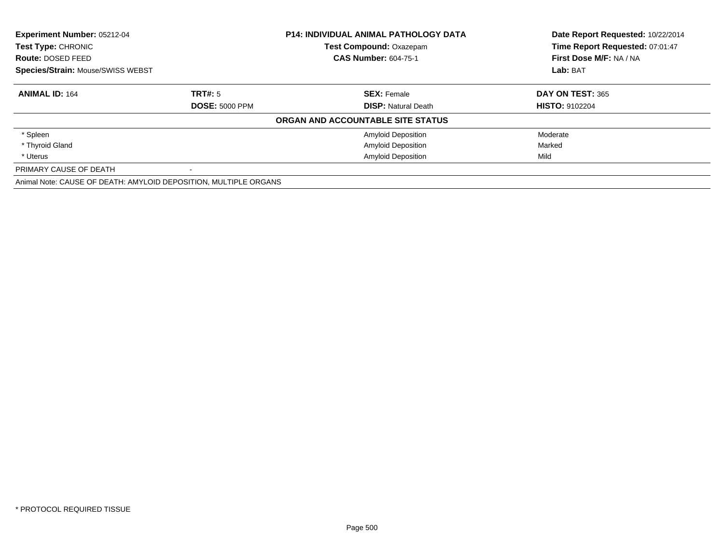| Experiment Number: 05212-04<br>Test Type: CHRONIC                |                       | <b>P14: INDIVIDUAL ANIMAL PATHOLOGY DATA</b> | Date Report Requested: 10/22/2014 |
|------------------------------------------------------------------|-----------------------|----------------------------------------------|-----------------------------------|
|                                                                  |                       | Test Compound: Oxazepam                      | Time Report Requested: 07:01:47   |
| <b>Route: DOSED FEED</b>                                         |                       | <b>CAS Number: 604-75-1</b>                  | First Dose M/F: NA / NA           |
| <b>Species/Strain: Mouse/SWISS WEBST</b>                         |                       |                                              | Lab: BAT                          |
| <b>ANIMAL ID: 164</b>                                            | TRT#: 5               | <b>SEX: Female</b>                           | DAY ON TEST: 365                  |
|                                                                  | <b>DOSE: 5000 PPM</b> | <b>DISP:</b> Natural Death                   | <b>HISTO: 9102204</b>             |
|                                                                  |                       | ORGAN AND ACCOUNTABLE SITE STATUS            |                                   |
| * Spleen                                                         |                       | <b>Amyloid Deposition</b>                    | Moderate                          |
| * Thyroid Gland                                                  |                       | <b>Amyloid Deposition</b>                    | Marked                            |
| * Uterus                                                         |                       | <b>Amyloid Deposition</b>                    | Mild                              |
| PRIMARY CAUSE OF DEATH                                           |                       |                                              |                                   |
| Animal Note: CAUSE OF DEATH: AMYLOID DEPOSITION, MULTIPLE ORGANS |                       |                                              |                                   |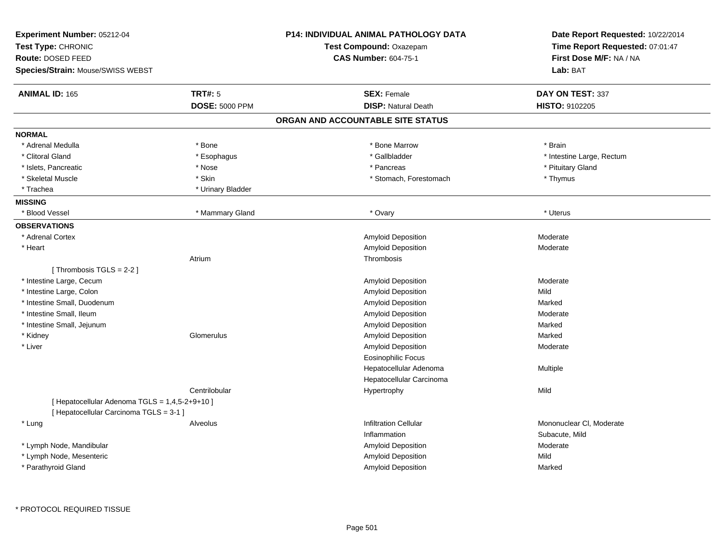| Experiment Number: 05212-04<br>Test Type: CHRONIC<br>Route: DOSED FEED<br><b>Species/Strain: Mouse/SWISS WEBST</b> |                       | <b>P14: INDIVIDUAL ANIMAL PATHOLOGY DATA</b><br>Test Compound: Oxazepam<br><b>CAS Number: 604-75-1</b> | Date Report Requested: 10/22/2014<br>Time Report Requested: 07:01:47<br>First Dose M/F: NA / NA<br>Lab: BAT |
|--------------------------------------------------------------------------------------------------------------------|-----------------------|--------------------------------------------------------------------------------------------------------|-------------------------------------------------------------------------------------------------------------|
| <b>ANIMAL ID: 165</b>                                                                                              | <b>TRT#: 5</b>        | <b>SEX: Female</b>                                                                                     | DAY ON TEST: 337                                                                                            |
|                                                                                                                    | <b>DOSE: 5000 PPM</b> | <b>DISP: Natural Death</b>                                                                             | <b>HISTO: 9102205</b>                                                                                       |
|                                                                                                                    |                       | ORGAN AND ACCOUNTABLE SITE STATUS                                                                      |                                                                                                             |
| <b>NORMAL</b>                                                                                                      |                       |                                                                                                        |                                                                                                             |
| * Adrenal Medulla                                                                                                  | * Bone                | * Bone Marrow                                                                                          | * Brain                                                                                                     |
| * Clitoral Gland                                                                                                   | * Esophagus           | * Gallbladder                                                                                          | * Intestine Large, Rectum                                                                                   |
| * Islets, Pancreatic                                                                                               | * Nose                | * Pancreas                                                                                             | * Pituitary Gland                                                                                           |
| * Skeletal Muscle                                                                                                  | * Skin                | * Stomach, Forestomach                                                                                 | * Thymus                                                                                                    |
| * Trachea                                                                                                          | * Urinary Bladder     |                                                                                                        |                                                                                                             |
| <b>MISSING</b>                                                                                                     |                       |                                                                                                        |                                                                                                             |
| * Blood Vessel                                                                                                     | * Mammary Gland       | * Ovary                                                                                                | * Uterus                                                                                                    |
| <b>OBSERVATIONS</b>                                                                                                |                       |                                                                                                        |                                                                                                             |
| * Adrenal Cortex                                                                                                   |                       | Amyloid Deposition                                                                                     | Moderate                                                                                                    |
| * Heart                                                                                                            |                       | Amyloid Deposition                                                                                     | Moderate                                                                                                    |
|                                                                                                                    | Atrium                | Thrombosis                                                                                             |                                                                                                             |
| [Thrombosis TGLS = $2-2$ ]                                                                                         |                       |                                                                                                        |                                                                                                             |
| * Intestine Large, Cecum                                                                                           |                       | Amyloid Deposition                                                                                     | Moderate                                                                                                    |
| * Intestine Large, Colon                                                                                           |                       | Amyloid Deposition                                                                                     | Mild                                                                                                        |
| * Intestine Small, Duodenum                                                                                        |                       | Amyloid Deposition                                                                                     | Marked                                                                                                      |
| * Intestine Small, Ileum                                                                                           |                       | Amyloid Deposition                                                                                     | Moderate                                                                                                    |
| * Intestine Small, Jejunum                                                                                         |                       | Amyloid Deposition                                                                                     | Marked                                                                                                      |
| * Kidney                                                                                                           | Glomerulus            | Amyloid Deposition                                                                                     | Marked                                                                                                      |
| * Liver                                                                                                            |                       | Amyloid Deposition                                                                                     | Moderate                                                                                                    |
|                                                                                                                    |                       | Eosinophilic Focus                                                                                     |                                                                                                             |
|                                                                                                                    |                       | Hepatocellular Adenoma                                                                                 | Multiple                                                                                                    |
|                                                                                                                    |                       | Hepatocellular Carcinoma                                                                               |                                                                                                             |
|                                                                                                                    | Centrilobular         | Hypertrophy                                                                                            | Mild                                                                                                        |
| [ Hepatocellular Adenoma TGLS = 1,4,5-2+9+10 ]<br>[ Hepatocellular Carcinoma TGLS = 3-1 ]                          |                       |                                                                                                        |                                                                                                             |
| * Lung                                                                                                             | Alveolus              | <b>Infiltration Cellular</b>                                                                           | Mononuclear CI, Moderate                                                                                    |
|                                                                                                                    |                       | Inflammation                                                                                           | Subacute, Mild                                                                                              |
| * Lymph Node, Mandibular                                                                                           |                       | Amyloid Deposition                                                                                     | Moderate                                                                                                    |
| * Lymph Node, Mesenteric                                                                                           |                       | Amyloid Deposition                                                                                     | Mild                                                                                                        |
| * Parathyroid Gland                                                                                                |                       | Amyloid Deposition                                                                                     | Marked                                                                                                      |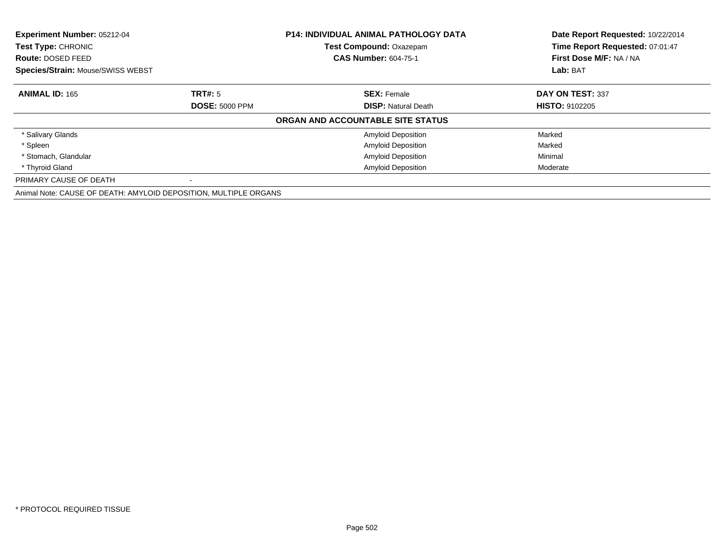| Experiment Number: 05212-04<br>Test Type: CHRONIC                |                       | <b>P14: INDIVIDUAL ANIMAL PATHOLOGY DATA</b> | Date Report Requested: 10/22/2014<br>Time Report Requested: 07:01:47 |
|------------------------------------------------------------------|-----------------------|----------------------------------------------|----------------------------------------------------------------------|
|                                                                  |                       | Test Compound: Oxazepam                      |                                                                      |
| <b>Route: DOSED FEED</b>                                         |                       | <b>CAS Number: 604-75-1</b>                  | First Dose M/F: NA / NA                                              |
| Species/Strain: Mouse/SWISS WEBST                                |                       |                                              | Lab: BAT                                                             |
| <b>ANIMAL ID: 165</b>                                            | TRT#: 5               | <b>SEX: Female</b>                           | DAY ON TEST: 337                                                     |
|                                                                  | <b>DOSE: 5000 PPM</b> | <b>DISP:</b> Natural Death                   | <b>HISTO: 9102205</b>                                                |
|                                                                  |                       | ORGAN AND ACCOUNTABLE SITE STATUS            |                                                                      |
| * Salivary Glands                                                |                       | <b>Amyloid Deposition</b>                    | Marked                                                               |
| * Spleen                                                         |                       | <b>Amyloid Deposition</b>                    | Marked                                                               |
| * Stomach, Glandular                                             |                       | <b>Amyloid Deposition</b>                    | Minimal                                                              |
| * Thyroid Gland                                                  |                       | <b>Amyloid Deposition</b>                    | Moderate                                                             |
| PRIMARY CAUSE OF DEATH                                           |                       |                                              |                                                                      |
| Animal Note: CAUSE OF DEATH: AMYLOID DEPOSITION, MULTIPLE ORGANS |                       |                                              |                                                                      |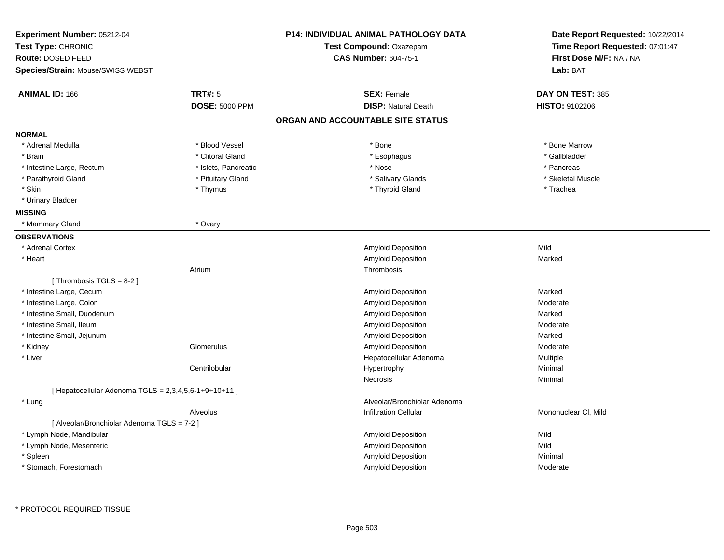| Experiment Number: 05212-04<br>Test Type: CHRONIC<br>Route: DOSED FEED<br>Species/Strain: Mouse/SWISS WEBST |                       | <b>P14: INDIVIDUAL ANIMAL PATHOLOGY DATA</b><br>Test Compound: Oxazepam<br><b>CAS Number: 604-75-1</b> | Date Report Requested: 10/22/2014<br>Time Report Requested: 07:01:47<br>First Dose M/F: NA / NA<br>Lab: BAT |
|-------------------------------------------------------------------------------------------------------------|-----------------------|--------------------------------------------------------------------------------------------------------|-------------------------------------------------------------------------------------------------------------|
| <b>ANIMAL ID: 166</b>                                                                                       | <b>TRT#: 5</b>        | <b>SEX: Female</b>                                                                                     | DAY ON TEST: 385                                                                                            |
|                                                                                                             | <b>DOSE: 5000 PPM</b> | <b>DISP: Natural Death</b>                                                                             | <b>HISTO: 9102206</b>                                                                                       |
|                                                                                                             |                       | ORGAN AND ACCOUNTABLE SITE STATUS                                                                      |                                                                                                             |
| <b>NORMAL</b>                                                                                               |                       |                                                                                                        |                                                                                                             |
| * Adrenal Medulla                                                                                           | * Blood Vessel        | * Bone                                                                                                 | * Bone Marrow                                                                                               |
| * Brain                                                                                                     | * Clitoral Gland      | * Esophagus                                                                                            | * Gallbladder                                                                                               |
| * Intestine Large, Rectum                                                                                   | * Islets, Pancreatic  | * Nose                                                                                                 | * Pancreas                                                                                                  |
| * Parathyroid Gland                                                                                         | * Pituitary Gland     | * Salivary Glands                                                                                      | * Skeletal Muscle                                                                                           |
| * Skin                                                                                                      | * Thymus              | * Thyroid Gland                                                                                        | * Trachea                                                                                                   |
| * Urinary Bladder                                                                                           |                       |                                                                                                        |                                                                                                             |
| <b>MISSING</b>                                                                                              |                       |                                                                                                        |                                                                                                             |
| * Mammary Gland                                                                                             | * Ovary               |                                                                                                        |                                                                                                             |
| <b>OBSERVATIONS</b>                                                                                         |                       |                                                                                                        |                                                                                                             |
| * Adrenal Cortex                                                                                            |                       | <b>Amyloid Deposition</b>                                                                              | Mild                                                                                                        |
| * Heart                                                                                                     |                       | Amyloid Deposition                                                                                     | Marked                                                                                                      |
|                                                                                                             | Atrium                | Thrombosis                                                                                             |                                                                                                             |
| [Thrombosis $TGLS = 8-2$ ]                                                                                  |                       |                                                                                                        |                                                                                                             |
| * Intestine Large, Cecum                                                                                    |                       | Amyloid Deposition                                                                                     | Marked                                                                                                      |
| * Intestine Large, Colon                                                                                    |                       | Amyloid Deposition                                                                                     | Moderate                                                                                                    |
| * Intestine Small, Duodenum                                                                                 |                       | Amyloid Deposition                                                                                     | Marked                                                                                                      |
| * Intestine Small, Ileum                                                                                    |                       | Amyloid Deposition                                                                                     | Moderate                                                                                                    |
| * Intestine Small, Jejunum                                                                                  |                       | Amyloid Deposition                                                                                     | Marked                                                                                                      |
| * Kidney                                                                                                    | Glomerulus            | Amyloid Deposition                                                                                     | Moderate                                                                                                    |
| * Liver                                                                                                     |                       | Hepatocellular Adenoma                                                                                 | Multiple                                                                                                    |
|                                                                                                             | Centrilobular         | Hypertrophy                                                                                            | Minimal                                                                                                     |
|                                                                                                             |                       | Necrosis                                                                                               | Minimal                                                                                                     |
| [ Hepatocellular Adenoma TGLS = $2,3,4,5,6-1+9+10+11$ ]                                                     |                       |                                                                                                        |                                                                                                             |
| * Lung                                                                                                      |                       | Alveolar/Bronchiolar Adenoma                                                                           |                                                                                                             |
|                                                                                                             | Alveolus              | <b>Infiltration Cellular</b>                                                                           | Mononuclear CI, Mild                                                                                        |
| [ Alveolar/Bronchiolar Adenoma TGLS = 7-2 ]                                                                 |                       |                                                                                                        |                                                                                                             |
| * Lymph Node, Mandibular                                                                                    |                       | Amyloid Deposition                                                                                     | Mild                                                                                                        |
| * Lymph Node, Mesenteric                                                                                    |                       | Amyloid Deposition                                                                                     | Mild                                                                                                        |
| * Spleen                                                                                                    |                       | Amyloid Deposition                                                                                     | Minimal                                                                                                     |
| * Stomach, Forestomach                                                                                      |                       | Amyloid Deposition                                                                                     | Moderate                                                                                                    |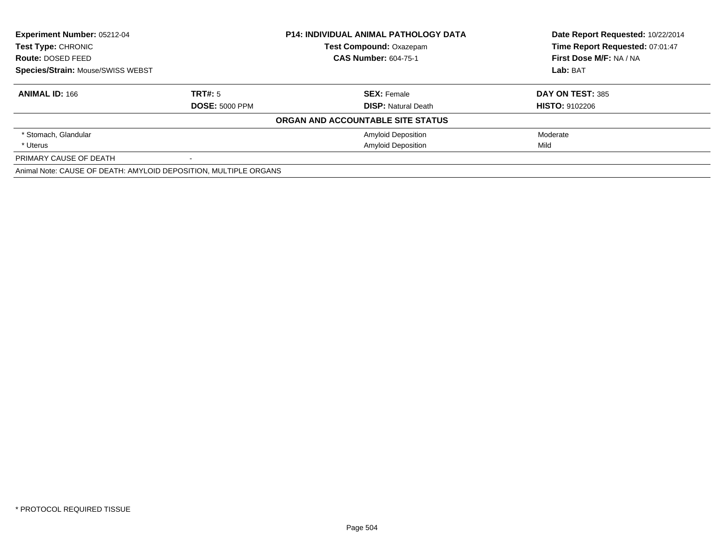| <b>Experiment Number: 05212-04</b>                               |                       | <b>P14: INDIVIDUAL ANIMAL PATHOLOGY DATA</b> | Date Report Requested: 10/22/2014 |
|------------------------------------------------------------------|-----------------------|----------------------------------------------|-----------------------------------|
| <b>Test Type: CHRONIC</b>                                        |                       | <b>Test Compound: Oxazepam</b>               | Time Report Requested: 07:01:47   |
| Route: DOSED FEED                                                |                       | <b>CAS Number: 604-75-1</b>                  | First Dose M/F: NA / NA           |
| <b>Species/Strain: Mouse/SWISS WEBST</b>                         |                       |                                              | Lab: BAT                          |
| <b>ANIMAL ID: 166</b>                                            | TRT#: 5               | <b>SEX: Female</b>                           | DAY ON TEST: 385                  |
|                                                                  | <b>DOSE: 5000 PPM</b> | <b>DISP:</b> Natural Death                   | <b>HISTO: 9102206</b>             |
|                                                                  |                       | ORGAN AND ACCOUNTABLE SITE STATUS            |                                   |
| * Stomach, Glandular                                             |                       | <b>Amyloid Deposition</b>                    | Moderate                          |
| * Uterus                                                         |                       | <b>Amyloid Deposition</b>                    | Mild                              |
| PRIMARY CAUSE OF DEATH                                           |                       |                                              |                                   |
| Animal Note: CAUSE OF DEATH: AMYLOID DEPOSITION, MULTIPLE ORGANS |                       |                                              |                                   |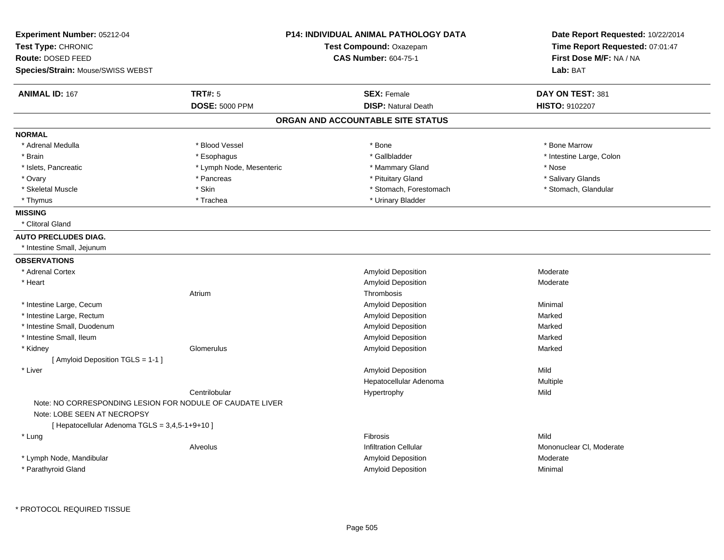| Experiment Number: 05212-04<br>Test Type: CHRONIC<br>Route: DOSED FEED                   |                          | P14: INDIVIDUAL ANIMAL PATHOLOGY DATA<br>Test Compound: Oxazepam<br><b>CAS Number: 604-75-1</b> | Date Report Requested: 10/22/2014<br>Time Report Requested: 07:01:47<br>First Dose M/F: NA / NA |
|------------------------------------------------------------------------------------------|--------------------------|-------------------------------------------------------------------------------------------------|-------------------------------------------------------------------------------------------------|
| <b>Species/Strain: Mouse/SWISS WEBST</b>                                                 |                          |                                                                                                 | Lab: BAT                                                                                        |
| <b>ANIMAL ID: 167</b>                                                                    | <b>TRT#: 5</b>           | <b>SEX: Female</b>                                                                              | DAY ON TEST: 381                                                                                |
|                                                                                          | <b>DOSE: 5000 PPM</b>    | <b>DISP: Natural Death</b>                                                                      | <b>HISTO: 9102207</b>                                                                           |
|                                                                                          |                          | ORGAN AND ACCOUNTABLE SITE STATUS                                                               |                                                                                                 |
| <b>NORMAL</b>                                                                            |                          |                                                                                                 |                                                                                                 |
| * Adrenal Medulla                                                                        | * Blood Vessel           | * Bone                                                                                          | * Bone Marrow                                                                                   |
| * Brain                                                                                  | * Esophagus              | * Gallbladder                                                                                   | * Intestine Large, Colon                                                                        |
| * Islets, Pancreatic                                                                     | * Lymph Node, Mesenteric | * Mammary Gland                                                                                 | * Nose                                                                                          |
| * Ovary                                                                                  | * Pancreas               | * Pituitary Gland                                                                               | * Salivary Glands                                                                               |
| * Skeletal Muscle                                                                        | * Skin                   | * Stomach, Forestomach                                                                          | * Stomach, Glandular                                                                            |
| * Thymus                                                                                 | * Trachea                | * Urinary Bladder                                                                               |                                                                                                 |
| <b>MISSING</b>                                                                           |                          |                                                                                                 |                                                                                                 |
| * Clitoral Gland                                                                         |                          |                                                                                                 |                                                                                                 |
| <b>AUTO PRECLUDES DIAG.</b>                                                              |                          |                                                                                                 |                                                                                                 |
| * Intestine Small, Jejunum                                                               |                          |                                                                                                 |                                                                                                 |
| <b>OBSERVATIONS</b>                                                                      |                          |                                                                                                 |                                                                                                 |
| * Adrenal Cortex                                                                         |                          | <b>Amyloid Deposition</b>                                                                       | Moderate                                                                                        |
| * Heart                                                                                  |                          | Amyloid Deposition                                                                              | Moderate                                                                                        |
|                                                                                          | Atrium                   | Thrombosis                                                                                      |                                                                                                 |
| * Intestine Large, Cecum                                                                 |                          | <b>Amyloid Deposition</b>                                                                       | Minimal                                                                                         |
| * Intestine Large, Rectum                                                                |                          | Amyloid Deposition                                                                              | Marked                                                                                          |
| * Intestine Small, Duodenum                                                              |                          | Amyloid Deposition                                                                              | Marked                                                                                          |
| * Intestine Small, Ileum                                                                 |                          | Amyloid Deposition                                                                              | Marked                                                                                          |
| * Kidney                                                                                 | Glomerulus               | Amyloid Deposition                                                                              | Marked                                                                                          |
| [ Amyloid Deposition TGLS = 1-1 ]                                                        |                          |                                                                                                 |                                                                                                 |
| * Liver                                                                                  |                          | <b>Amyloid Deposition</b>                                                                       | Mild                                                                                            |
|                                                                                          |                          | Hepatocellular Adenoma                                                                          | Multiple                                                                                        |
|                                                                                          | Centrilobular            | Hypertrophy                                                                                     | Mild                                                                                            |
| Note: NO CORRESPONDING LESION FOR NODULE OF CAUDATE LIVER<br>Note: LOBE SEEN AT NECROPSY |                          |                                                                                                 |                                                                                                 |
| [ Hepatocellular Adenoma TGLS = 3,4,5-1+9+10 ]                                           |                          |                                                                                                 |                                                                                                 |
| * Lung                                                                                   |                          | Fibrosis                                                                                        | Mild                                                                                            |
|                                                                                          | Alveolus                 | Infiltration Cellular                                                                           | Mononuclear CI, Moderate                                                                        |
| * Lymph Node, Mandibular                                                                 |                          | <b>Amyloid Deposition</b>                                                                       | Moderate                                                                                        |
| * Parathyroid Gland                                                                      |                          | Amyloid Deposition                                                                              | Minimal                                                                                         |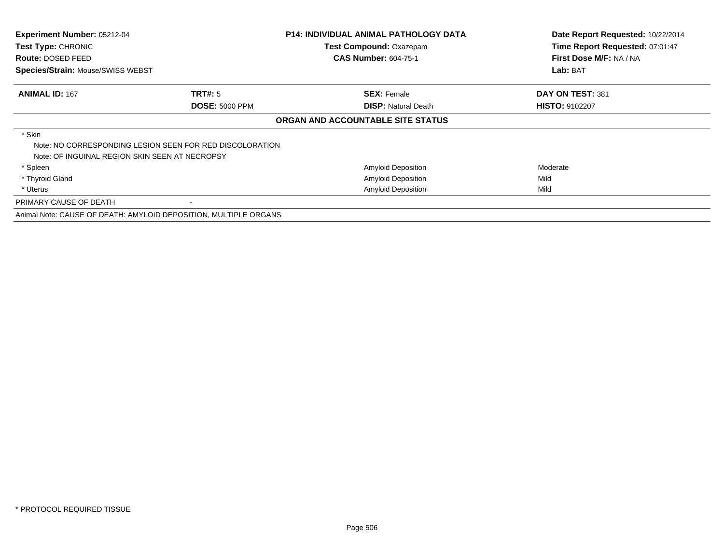| Experiment Number: 05212-04<br>Test Type: CHRONIC<br><b>Route: DOSED FEED</b><br>Species/Strain: Mouse/SWISS WEBST |                                                                  | <b>P14: INDIVIDUAL ANIMAL PATHOLOGY DATA</b><br>Test Compound: Oxazepam<br><b>CAS Number: 604-75-1</b> | Date Report Requested: 10/22/2014<br>Time Report Requested: 07:01:47<br>First Dose M/F: NA / NA<br>Lab: BAT |
|--------------------------------------------------------------------------------------------------------------------|------------------------------------------------------------------|--------------------------------------------------------------------------------------------------------|-------------------------------------------------------------------------------------------------------------|
| <b>ANIMAL ID: 167</b>                                                                                              | TRT#: 5<br><b>DOSE: 5000 PPM</b>                                 | <b>SEX: Female</b><br><b>DISP:</b> Natural Death                                                       | DAY ON TEST: 381<br><b>HISTO: 9102207</b>                                                                   |
|                                                                                                                    |                                                                  | ORGAN AND ACCOUNTABLE SITE STATUS                                                                      |                                                                                                             |
| * Skin<br>Note: OF INGUINAL REGION SKIN SEEN AT NECROPSY                                                           | Note: NO CORRESPONDING LESION SEEN FOR RED DISCOLORATION         |                                                                                                        |                                                                                                             |
| * Spleen                                                                                                           |                                                                  | <b>Amyloid Deposition</b>                                                                              | Moderate                                                                                                    |
| * Thyroid Gland                                                                                                    |                                                                  | <b>Amyloid Deposition</b>                                                                              | Mild                                                                                                        |
| * Uterus                                                                                                           |                                                                  | <b>Amyloid Deposition</b>                                                                              | Mild                                                                                                        |
| PRIMARY CAUSE OF DEATH                                                                                             |                                                                  |                                                                                                        |                                                                                                             |
|                                                                                                                    | Animal Note: CAUSE OF DEATH: AMYLOID DEPOSITION, MULTIPLE ORGANS |                                                                                                        |                                                                                                             |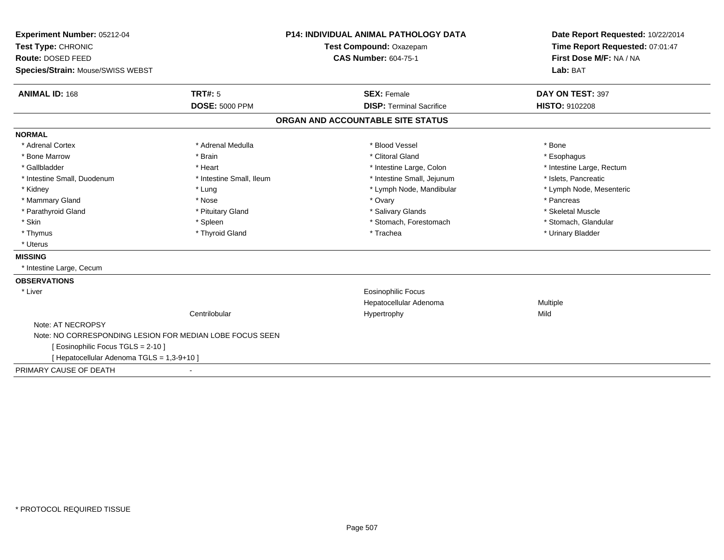| Experiment Number: 05212-04                              | <b>P14: INDIVIDUAL ANIMAL PATHOLOGY DATA</b><br>Test Compound: Oxazepam |                                   | Date Report Requested: 10/22/2014 |  |
|----------------------------------------------------------|-------------------------------------------------------------------------|-----------------------------------|-----------------------------------|--|
| Test Type: CHRONIC                                       |                                                                         |                                   | Time Report Requested: 07:01:47   |  |
| Route: DOSED FEED                                        |                                                                         | <b>CAS Number: 604-75-1</b>       | First Dose M/F: NA / NA           |  |
| Species/Strain: Mouse/SWISS WEBST                        |                                                                         |                                   | Lab: BAT                          |  |
| <b>ANIMAL ID: 168</b>                                    | TRT#: 5                                                                 | <b>SEX: Female</b>                | DAY ON TEST: 397                  |  |
|                                                          | <b>DOSE: 5000 PPM</b>                                                   | <b>DISP: Terminal Sacrifice</b>   | <b>HISTO: 9102208</b>             |  |
|                                                          |                                                                         | ORGAN AND ACCOUNTABLE SITE STATUS |                                   |  |
| <b>NORMAL</b>                                            |                                                                         |                                   |                                   |  |
| * Adrenal Cortex                                         | * Adrenal Medulla                                                       | * Blood Vessel                    | * Bone                            |  |
| * Bone Marrow                                            | * Brain                                                                 | * Clitoral Gland                  | * Esophagus                       |  |
| * Gallbladder                                            | * Heart                                                                 | * Intestine Large, Colon          | * Intestine Large, Rectum         |  |
| * Intestine Small, Duodenum                              | * Intestine Small, Ileum                                                | * Intestine Small, Jejunum        | * Islets, Pancreatic              |  |
| * Kidney                                                 | * Lung                                                                  | * Lymph Node, Mandibular          | * Lymph Node, Mesenteric          |  |
| * Mammary Gland                                          | * Nose                                                                  | * Ovary                           | * Pancreas                        |  |
| * Parathyroid Gland                                      | * Pituitary Gland                                                       | * Salivary Glands                 | * Skeletal Muscle                 |  |
| * Skin                                                   | * Spleen                                                                | * Stomach, Forestomach            | * Stomach, Glandular              |  |
| * Thymus                                                 | * Thyroid Gland                                                         | * Trachea                         | * Urinary Bladder                 |  |
| * Uterus                                                 |                                                                         |                                   |                                   |  |
| <b>MISSING</b>                                           |                                                                         |                                   |                                   |  |
| * Intestine Large, Cecum                                 |                                                                         |                                   |                                   |  |
| <b>OBSERVATIONS</b>                                      |                                                                         |                                   |                                   |  |
| * Liver                                                  |                                                                         | <b>Eosinophilic Focus</b>         |                                   |  |
|                                                          |                                                                         | Hepatocellular Adenoma            | Multiple                          |  |
|                                                          | Centrilobular                                                           | Hypertrophy                       | Mild                              |  |
| Note: AT NECROPSY                                        |                                                                         |                                   |                                   |  |
| Note: NO CORRESPONDING LESION FOR MEDIAN LOBE FOCUS SEEN |                                                                         |                                   |                                   |  |
| [ Eosinophilic Focus TGLS = 2-10 ]                       |                                                                         |                                   |                                   |  |
| [ Hepatocellular Adenoma TGLS = 1,3-9+10 ]               |                                                                         |                                   |                                   |  |
| PRIMARY CAUSE OF DEATH                                   |                                                                         |                                   |                                   |  |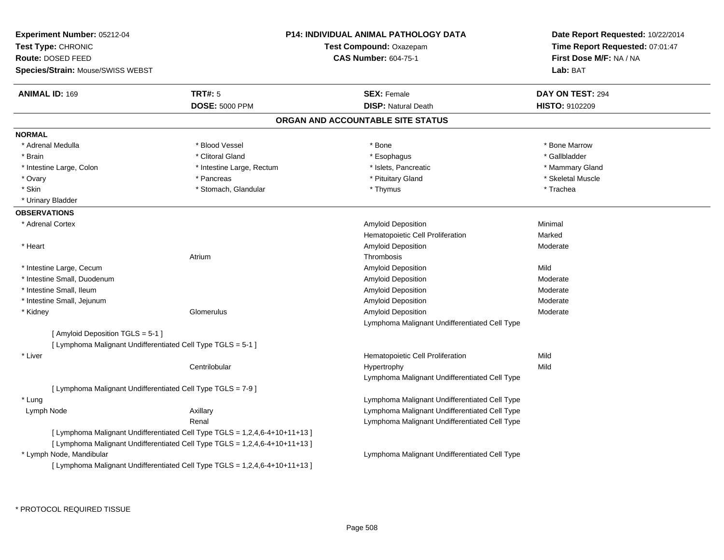| Experiment Number: 05212-04<br>Test Type: CHRONIC<br>Route: DOSED FEED<br>Species/Strain: Mouse/SWISS WEBST |                           | <b>P14: INDIVIDUAL ANIMAL PATHOLOGY DATA</b><br>Test Compound: Oxazepam<br><b>CAS Number: 604-75-1</b> | Date Report Requested: 10/22/2014<br>Time Report Requested: 07:01:47<br>First Dose M/F: NA / NA<br>Lab: BAT |
|-------------------------------------------------------------------------------------------------------------|---------------------------|--------------------------------------------------------------------------------------------------------|-------------------------------------------------------------------------------------------------------------|
| <b>ANIMAL ID: 169</b>                                                                                       | <b>TRT#: 5</b>            | <b>SEX: Female</b>                                                                                     | DAY ON TEST: 294                                                                                            |
|                                                                                                             | <b>DOSE: 5000 PPM</b>     | <b>DISP: Natural Death</b>                                                                             | HISTO: 9102209                                                                                              |
|                                                                                                             |                           | ORGAN AND ACCOUNTABLE SITE STATUS                                                                      |                                                                                                             |
| <b>NORMAL</b>                                                                                               |                           |                                                                                                        |                                                                                                             |
| * Adrenal Medulla                                                                                           | * Blood Vessel            | * Bone                                                                                                 | * Bone Marrow                                                                                               |
| * Brain                                                                                                     | * Clitoral Gland          | * Esophagus                                                                                            | * Gallbladder                                                                                               |
| * Intestine Large, Colon                                                                                    | * Intestine Large, Rectum | * Islets, Pancreatic                                                                                   | * Mammary Gland                                                                                             |
| * Ovary                                                                                                     | * Pancreas                | * Pituitary Gland                                                                                      | * Skeletal Muscle                                                                                           |
| * Skin                                                                                                      | * Stomach, Glandular      | * Thymus                                                                                               | * Trachea                                                                                                   |
| * Urinary Bladder                                                                                           |                           |                                                                                                        |                                                                                                             |
| <b>OBSERVATIONS</b>                                                                                         |                           |                                                                                                        |                                                                                                             |
| * Adrenal Cortex                                                                                            |                           | <b>Amyloid Deposition</b>                                                                              | Minimal                                                                                                     |
|                                                                                                             |                           | Hematopoietic Cell Proliferation                                                                       | Marked                                                                                                      |
| * Heart                                                                                                     |                           | Amyloid Deposition                                                                                     | Moderate                                                                                                    |
|                                                                                                             | Atrium                    | Thrombosis                                                                                             |                                                                                                             |
| * Intestine Large, Cecum                                                                                    |                           | Amyloid Deposition                                                                                     | Mild                                                                                                        |
| * Intestine Small, Duodenum                                                                                 |                           | Amyloid Deposition                                                                                     | Moderate                                                                                                    |
| * Intestine Small, Ileum                                                                                    |                           | Amyloid Deposition                                                                                     | Moderate                                                                                                    |
| * Intestine Small, Jejunum                                                                                  |                           | Amyloid Deposition                                                                                     | Moderate                                                                                                    |
| * Kidney                                                                                                    | Glomerulus                | Amyloid Deposition                                                                                     | Moderate                                                                                                    |
|                                                                                                             |                           | Lymphoma Malignant Undifferentiated Cell Type                                                          |                                                                                                             |
| [ Amyloid Deposition TGLS = 5-1 ]                                                                           |                           |                                                                                                        |                                                                                                             |
| [ Lymphoma Malignant Undifferentiated Cell Type TGLS = 5-1 ]                                                |                           |                                                                                                        |                                                                                                             |
| * Liver                                                                                                     |                           | Hematopoietic Cell Proliferation                                                                       | Mild                                                                                                        |
|                                                                                                             | Centrilobular             | Hypertrophy                                                                                            | Mild                                                                                                        |
|                                                                                                             |                           | Lymphoma Malignant Undifferentiated Cell Type                                                          |                                                                                                             |
| [ Lymphoma Malignant Undifferentiated Cell Type TGLS = 7-9 ]                                                |                           |                                                                                                        |                                                                                                             |
| * Lung                                                                                                      |                           | Lymphoma Malignant Undifferentiated Cell Type                                                          |                                                                                                             |
| Lymph Node                                                                                                  | Axillary                  | Lymphoma Malignant Undifferentiated Cell Type                                                          |                                                                                                             |
|                                                                                                             | Renal                     | Lymphoma Malignant Undifferentiated Cell Type                                                          |                                                                                                             |
| [ Lymphoma Malignant Undifferentiated Cell Type TGLS = 1,2,4,6-4+10+11+13 ]                                 |                           |                                                                                                        |                                                                                                             |
| [ Lymphoma Malignant Undifferentiated Cell Type TGLS = 1,2,4,6-4+10+11+13 ]                                 |                           |                                                                                                        |                                                                                                             |
| * Lymph Node, Mandibular                                                                                    |                           | Lymphoma Malignant Undifferentiated Cell Type                                                          |                                                                                                             |
| [Lymphoma Malignant Undifferentiated Cell Type TGLS = 1,2,4,6-4+10+11+13]                                   |                           |                                                                                                        |                                                                                                             |

\* PROTOCOL REQUIRED TISSUE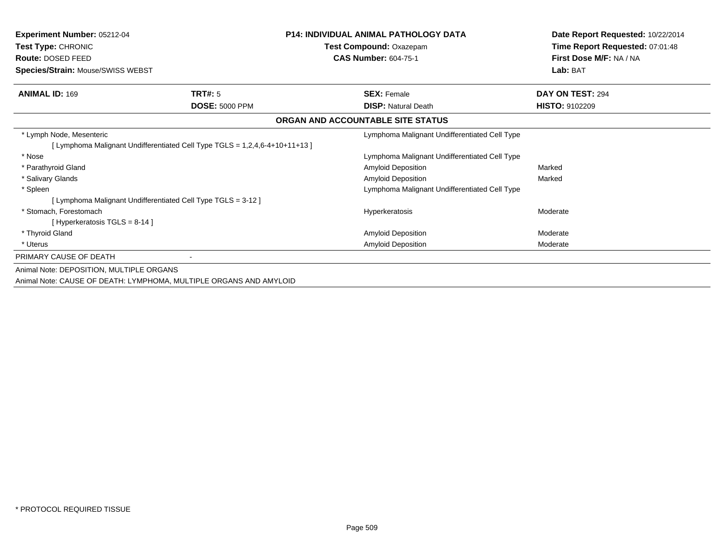| <b>Experiment Number: 05212-04</b><br>Test Type: CHRONIC<br>Route: DOSED FEED<br>Species/Strain: Mouse/SWISS WEBST |                                                                             | <b>P14: INDIVIDUAL ANIMAL PATHOLOGY DATA</b><br>Test Compound: Oxazepam<br><b>CAS Number: 604-75-1</b> | Date Report Requested: 10/22/2014<br>Time Report Requested: 07:01:48<br>First Dose M/F: NA / NA<br>Lab: BAT |
|--------------------------------------------------------------------------------------------------------------------|-----------------------------------------------------------------------------|--------------------------------------------------------------------------------------------------------|-------------------------------------------------------------------------------------------------------------|
| <b>ANIMAL ID: 169</b>                                                                                              | TRT#: 5                                                                     | <b>SEX: Female</b>                                                                                     | DAY ON TEST: 294                                                                                            |
|                                                                                                                    | <b>DOSE: 5000 PPM</b>                                                       | <b>DISP: Natural Death</b>                                                                             | <b>HISTO: 9102209</b>                                                                                       |
|                                                                                                                    |                                                                             | ORGAN AND ACCOUNTABLE SITE STATUS                                                                      |                                                                                                             |
| * Lymph Node, Mesenteric                                                                                           |                                                                             | Lymphoma Malignant Undifferentiated Cell Type                                                          |                                                                                                             |
|                                                                                                                    | [ Lymphoma Malignant Undifferentiated Cell Type TGLS = 1,2,4,6-4+10+11+13 ] |                                                                                                        |                                                                                                             |
| * Nose                                                                                                             |                                                                             | Lymphoma Malignant Undifferentiated Cell Type                                                          |                                                                                                             |
| * Parathyroid Gland                                                                                                |                                                                             | Amyloid Deposition                                                                                     | Marked                                                                                                      |
| * Salivary Glands                                                                                                  |                                                                             | Amyloid Deposition                                                                                     | Marked                                                                                                      |
| * Spleen                                                                                                           |                                                                             | Lymphoma Malignant Undifferentiated Cell Type                                                          |                                                                                                             |
| [ Lymphoma Malignant Undifferentiated Cell Type TGLS = 3-12 ]                                                      |                                                                             |                                                                                                        |                                                                                                             |
| * Stomach, Forestomach                                                                                             |                                                                             | Hyperkeratosis                                                                                         | Moderate                                                                                                    |
| [Hyperkeratosis $TGLS = 8-14$ ]                                                                                    |                                                                             |                                                                                                        |                                                                                                             |
| * Thyroid Gland                                                                                                    |                                                                             | Amyloid Deposition                                                                                     | Moderate                                                                                                    |
| * Uterus                                                                                                           |                                                                             | Amyloid Deposition                                                                                     | Moderate                                                                                                    |
| PRIMARY CAUSE OF DEATH                                                                                             |                                                                             |                                                                                                        |                                                                                                             |
| Animal Note: DEPOSITION, MULTIPLE ORGANS                                                                           |                                                                             |                                                                                                        |                                                                                                             |
| Animal Note: CAUSE OF DEATH: LYMPHOMA, MULTIPLE ORGANS AND AMYLOID                                                 |                                                                             |                                                                                                        |                                                                                                             |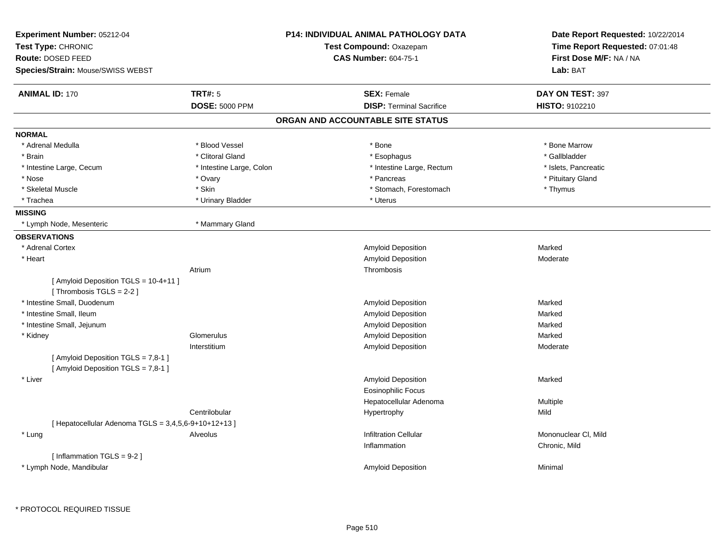| Experiment Number: 05212-04<br>Test Type: CHRONIC<br>Route: DOSED FEED<br>Species/Strain: Mouse/SWISS WEBST |                          | <b>P14: INDIVIDUAL ANIMAL PATHOLOGY DATA</b><br>Test Compound: Oxazepam<br><b>CAS Number: 604-75-1</b> | Date Report Requested: 10/22/2014<br>Time Report Requested: 07:01:48<br>First Dose M/F: NA / NA<br>Lab: BAT |
|-------------------------------------------------------------------------------------------------------------|--------------------------|--------------------------------------------------------------------------------------------------------|-------------------------------------------------------------------------------------------------------------|
| <b>ANIMAL ID: 170</b>                                                                                       | <b>TRT#: 5</b>           | <b>SEX: Female</b>                                                                                     | DAY ON TEST: 397                                                                                            |
|                                                                                                             | <b>DOSE: 5000 PPM</b>    | <b>DISP: Terminal Sacrifice</b>                                                                        | HISTO: 9102210                                                                                              |
|                                                                                                             |                          | ORGAN AND ACCOUNTABLE SITE STATUS                                                                      |                                                                                                             |
| <b>NORMAL</b>                                                                                               |                          |                                                                                                        |                                                                                                             |
| * Adrenal Medulla                                                                                           | * Blood Vessel           | * Bone                                                                                                 | * Bone Marrow                                                                                               |
| * Brain                                                                                                     | * Clitoral Gland         | * Esophagus                                                                                            | * Gallbladder                                                                                               |
| * Intestine Large, Cecum                                                                                    | * Intestine Large, Colon | * Intestine Large, Rectum                                                                              | * Islets, Pancreatic                                                                                        |
| * Nose                                                                                                      | * Ovary                  | * Pancreas                                                                                             | * Pituitary Gland                                                                                           |
| * Skeletal Muscle                                                                                           | * Skin                   | * Stomach, Forestomach                                                                                 | * Thymus                                                                                                    |
| * Trachea                                                                                                   | * Urinary Bladder        | * Uterus                                                                                               |                                                                                                             |
| <b>MISSING</b>                                                                                              |                          |                                                                                                        |                                                                                                             |
| * Lymph Node, Mesenteric                                                                                    | * Mammary Gland          |                                                                                                        |                                                                                                             |
| <b>OBSERVATIONS</b>                                                                                         |                          |                                                                                                        |                                                                                                             |
| * Adrenal Cortex                                                                                            |                          | Amyloid Deposition                                                                                     | Marked                                                                                                      |
| * Heart                                                                                                     |                          | Amyloid Deposition                                                                                     | Moderate                                                                                                    |
|                                                                                                             | Atrium                   | Thrombosis                                                                                             |                                                                                                             |
| [ Amyloid Deposition TGLS = 10-4+11 ]                                                                       |                          |                                                                                                        |                                                                                                             |
| [Thrombosis TGLS = 2-2]                                                                                     |                          |                                                                                                        |                                                                                                             |
| * Intestine Small, Duodenum                                                                                 |                          | <b>Amyloid Deposition</b>                                                                              | Marked                                                                                                      |
| * Intestine Small, Ileum                                                                                    |                          | <b>Amyloid Deposition</b>                                                                              | Marked                                                                                                      |
| * Intestine Small, Jejunum                                                                                  |                          | Amyloid Deposition                                                                                     | Marked                                                                                                      |
| * Kidney                                                                                                    | Glomerulus               | Amyloid Deposition                                                                                     | Marked                                                                                                      |
|                                                                                                             | Interstitium             | Amyloid Deposition                                                                                     | Moderate                                                                                                    |
| [ Amyloid Deposition TGLS = 7,8-1 ]<br>[ Amyloid Deposition TGLS = 7,8-1 ]                                  |                          |                                                                                                        |                                                                                                             |
| * Liver                                                                                                     |                          | <b>Amyloid Deposition</b>                                                                              | Marked                                                                                                      |
|                                                                                                             |                          | <b>Eosinophilic Focus</b>                                                                              |                                                                                                             |
|                                                                                                             |                          | Hepatocellular Adenoma                                                                                 | Multiple                                                                                                    |
|                                                                                                             | Centrilobular            | Hypertrophy                                                                                            | Mild                                                                                                        |
| [ Hepatocellular Adenoma TGLS = 3,4,5,6-9+10+12+13 ]                                                        |                          |                                                                                                        |                                                                                                             |
| * Lung                                                                                                      | Alveolus                 | <b>Infiltration Cellular</b>                                                                           | Mononuclear CI, Mild                                                                                        |
|                                                                                                             |                          | Inflammation                                                                                           | Chronic, Mild                                                                                               |
| [ Inflammation TGLS = 9-2 ]                                                                                 |                          |                                                                                                        |                                                                                                             |
| * Lymph Node, Mandibular                                                                                    |                          | <b>Amyloid Deposition</b>                                                                              | Minimal                                                                                                     |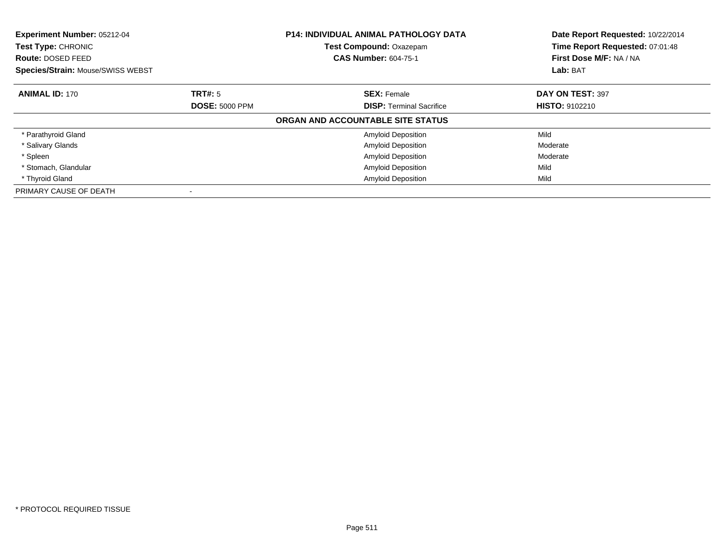| Experiment Number: 05212-04<br><b>Test Type: CHRONIC</b><br>Route: DOSED FEED |                       | <b>P14: INDIVIDUAL ANIMAL PATHOLOGY DATA</b><br>Test Compound: Oxazepam<br><b>CAS Number: 604-75-1</b> | Date Report Requested: 10/22/2014<br>Time Report Requested: 07:01:48<br>First Dose M/F: NA / NA |
|-------------------------------------------------------------------------------|-----------------------|--------------------------------------------------------------------------------------------------------|-------------------------------------------------------------------------------------------------|
| <b>Species/Strain: Mouse/SWISS WEBST</b>                                      |                       |                                                                                                        | Lab: BAT                                                                                        |
| <b>ANIMAL ID: 170</b>                                                         | TRT#: 5               | <b>SEX: Female</b>                                                                                     | DAY ON TEST: 397                                                                                |
|                                                                               | <b>DOSE: 5000 PPM</b> | <b>DISP:</b> Terminal Sacrifice                                                                        | <b>HISTO: 9102210</b>                                                                           |
|                                                                               |                       | ORGAN AND ACCOUNTABLE SITE STATUS                                                                      |                                                                                                 |
| * Parathyroid Gland                                                           |                       | <b>Amyloid Deposition</b>                                                                              | Mild                                                                                            |
| * Salivary Glands                                                             |                       | <b>Amyloid Deposition</b>                                                                              | Moderate                                                                                        |
| * Spleen                                                                      |                       | <b>Amyloid Deposition</b>                                                                              | Moderate                                                                                        |
| * Stomach, Glandular                                                          |                       | <b>Amyloid Deposition</b>                                                                              | Mild                                                                                            |
| * Thyroid Gland                                                               |                       | <b>Amyloid Deposition</b>                                                                              | Mild                                                                                            |
| PRIMARY CAUSE OF DEATH                                                        |                       |                                                                                                        |                                                                                                 |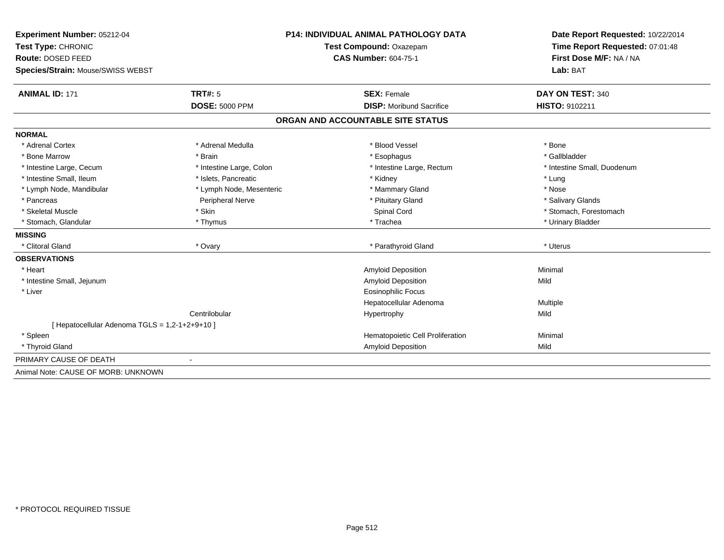| Experiment Number: 05212-04                    | <b>P14: INDIVIDUAL ANIMAL PATHOLOGY DATA</b><br>Test Compound: Oxazepam |                                   | Date Report Requested: 10/22/2014<br>Time Report Requested: 07:01:48 |  |
|------------------------------------------------|-------------------------------------------------------------------------|-----------------------------------|----------------------------------------------------------------------|--|
| Test Type: CHRONIC                             |                                                                         |                                   |                                                                      |  |
| Route: DOSED FEED                              |                                                                         | <b>CAS Number: 604-75-1</b>       | First Dose M/F: NA / NA                                              |  |
| Species/Strain: Mouse/SWISS WEBST              |                                                                         |                                   | Lab: BAT                                                             |  |
| <b>ANIMAL ID: 171</b>                          | TRT#: 5                                                                 | <b>SEX: Female</b>                | DAY ON TEST: 340                                                     |  |
|                                                | <b>DOSE: 5000 PPM</b>                                                   | <b>DISP:</b> Moribund Sacrifice   | HISTO: 9102211                                                       |  |
|                                                |                                                                         | ORGAN AND ACCOUNTABLE SITE STATUS |                                                                      |  |
| <b>NORMAL</b>                                  |                                                                         |                                   |                                                                      |  |
| * Adrenal Cortex                               | * Adrenal Medulla                                                       | * Blood Vessel                    | * Bone                                                               |  |
| * Bone Marrow                                  | * Brain                                                                 | * Esophagus                       | * Gallbladder                                                        |  |
| * Intestine Large, Cecum                       | * Intestine Large, Colon                                                | * Intestine Large, Rectum         | * Intestine Small, Duodenum                                          |  |
| * Intestine Small, Ileum                       | * Islets, Pancreatic                                                    | * Kidney                          | * Lung                                                               |  |
| * Lymph Node, Mandibular                       | * Lymph Node, Mesenteric                                                | * Mammary Gland                   | * Nose                                                               |  |
| * Pancreas                                     | Peripheral Nerve                                                        | * Pituitary Gland                 | * Salivary Glands                                                    |  |
| * Skeletal Muscle                              | * Skin                                                                  | Spinal Cord                       | * Stomach, Forestomach                                               |  |
| * Stomach, Glandular                           | * Thymus                                                                | * Trachea                         | * Urinary Bladder                                                    |  |
| <b>MISSING</b>                                 |                                                                         |                                   |                                                                      |  |
| * Clitoral Gland                               | * Ovary                                                                 | * Parathyroid Gland               | * Uterus                                                             |  |
| <b>OBSERVATIONS</b>                            |                                                                         |                                   |                                                                      |  |
| * Heart                                        |                                                                         | <b>Amyloid Deposition</b>         | Minimal                                                              |  |
| * Intestine Small, Jejunum                     |                                                                         | Amyloid Deposition                | Mild                                                                 |  |
| * Liver                                        |                                                                         | <b>Eosinophilic Focus</b>         |                                                                      |  |
|                                                |                                                                         | Hepatocellular Adenoma            | Multiple                                                             |  |
|                                                | Centrilobular                                                           | Hypertrophy                       | Mild                                                                 |  |
| [ Hepatocellular Adenoma TGLS = 1,2-1+2+9+10 ] |                                                                         |                                   |                                                                      |  |
| * Spleen                                       |                                                                         | Hematopoietic Cell Proliferation  | Minimal                                                              |  |
| * Thyroid Gland                                |                                                                         | Amyloid Deposition                | Mild                                                                 |  |
| PRIMARY CAUSE OF DEATH                         |                                                                         |                                   |                                                                      |  |
| Animal Note: CAUSE OF MORB: UNKNOWN            |                                                                         |                                   |                                                                      |  |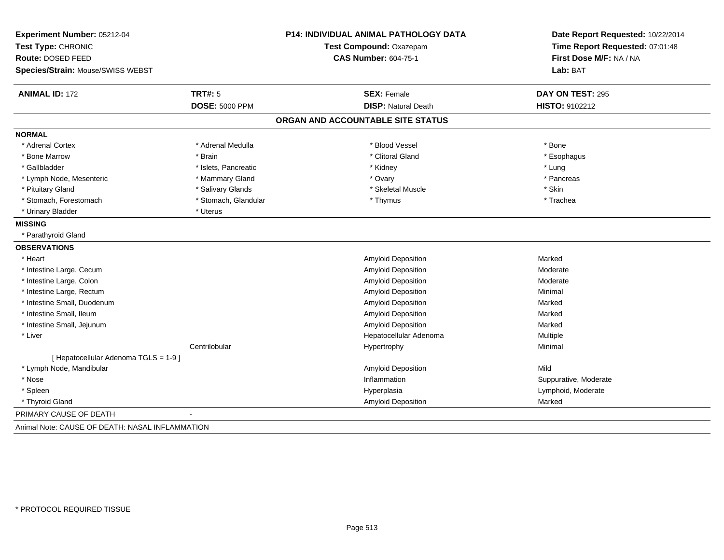| Experiment Number: 05212-04                     |                       | P14: INDIVIDUAL ANIMAL PATHOLOGY DATA | Date Report Requested: 10/22/2014                          |  |
|-------------------------------------------------|-----------------------|---------------------------------------|------------------------------------------------------------|--|
| Test Type: CHRONIC                              |                       | Test Compound: Oxazepam               | Time Report Requested: 07:01:48<br>First Dose M/F: NA / NA |  |
| Route: DOSED FEED                               |                       | <b>CAS Number: 604-75-1</b>           |                                                            |  |
| Species/Strain: Mouse/SWISS WEBST               |                       |                                       | Lab: BAT                                                   |  |
| <b>ANIMAL ID: 172</b>                           | TRT#: 5               | <b>SEX: Female</b>                    | DAY ON TEST: 295                                           |  |
|                                                 | <b>DOSE: 5000 PPM</b> | <b>DISP: Natural Death</b>            | <b>HISTO: 9102212</b>                                      |  |
|                                                 |                       | ORGAN AND ACCOUNTABLE SITE STATUS     |                                                            |  |
| <b>NORMAL</b>                                   |                       |                                       |                                                            |  |
| * Adrenal Cortex                                | * Adrenal Medulla     | * Blood Vessel                        | * Bone                                                     |  |
| * Bone Marrow                                   | * Brain               | * Clitoral Gland                      | * Esophagus                                                |  |
| * Gallbladder                                   | * Islets, Pancreatic  | * Kidney                              | * Lung                                                     |  |
| * Lymph Node, Mesenteric                        | * Mammary Gland       | * Ovary                               | * Pancreas                                                 |  |
| * Pituitary Gland                               | * Salivary Glands     | * Skeletal Muscle                     | * Skin                                                     |  |
| * Stomach, Forestomach                          | * Stomach, Glandular  | * Thymus                              | * Trachea                                                  |  |
| * Urinary Bladder                               | * Uterus              |                                       |                                                            |  |
| <b>MISSING</b>                                  |                       |                                       |                                                            |  |
| * Parathyroid Gland                             |                       |                                       |                                                            |  |
| <b>OBSERVATIONS</b>                             |                       |                                       |                                                            |  |
| * Heart                                         |                       | Amyloid Deposition                    | Marked                                                     |  |
| * Intestine Large, Cecum                        |                       | Amyloid Deposition                    | Moderate                                                   |  |
| * Intestine Large, Colon                        |                       | Amyloid Deposition                    | Moderate                                                   |  |
| * Intestine Large, Rectum                       |                       | Amyloid Deposition                    | Minimal                                                    |  |
| * Intestine Small, Duodenum                     |                       | Amyloid Deposition                    | Marked                                                     |  |
| * Intestine Small, Ileum                        |                       | Amyloid Deposition                    | Marked                                                     |  |
| * Intestine Small, Jejunum                      |                       | <b>Amyloid Deposition</b>             | Marked                                                     |  |
| * Liver                                         |                       | Hepatocellular Adenoma                | Multiple                                                   |  |
|                                                 | Centrilobular         | Hypertrophy                           | Minimal                                                    |  |
| [ Hepatocellular Adenoma TGLS = 1-9 ]           |                       |                                       |                                                            |  |
| * Lymph Node, Mandibular                        |                       | Amyloid Deposition                    | Mild                                                       |  |
| * Nose                                          |                       | Inflammation                          | Suppurative, Moderate                                      |  |
| * Spleen                                        |                       | Hyperplasia                           | Lymphoid, Moderate                                         |  |
| * Thyroid Gland                                 |                       | <b>Amyloid Deposition</b>             | Marked                                                     |  |
| PRIMARY CAUSE OF DEATH                          |                       |                                       |                                                            |  |
| Animal Note: CAUSE OF DEATH: NASAL INFLAMMATION |                       |                                       |                                                            |  |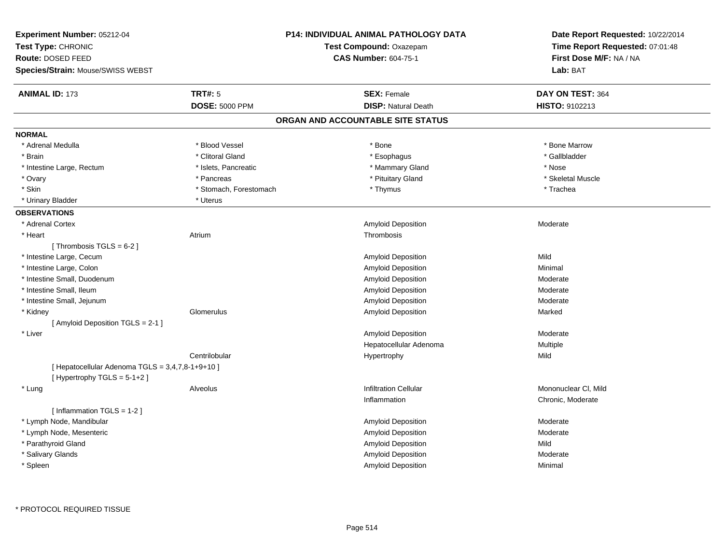| <b>ANIMAL ID: 173</b><br><b>TRT#: 5</b><br>DAY ON TEST: 364<br><b>SEX: Female</b><br><b>DISP: Natural Death</b><br><b>DOSE: 5000 PPM</b><br>HISTO: 9102213<br>ORGAN AND ACCOUNTABLE SITE STATUS<br><b>NORMAL</b><br>* Adrenal Medulla<br>* Blood Vessel<br>* Bone Marrow<br>* Bone<br>* Clitoral Gland<br>* Esophagus<br>* Gallbladder<br>* Brain<br>* Mammary Gland<br>* Nose<br>* Intestine Large, Rectum<br>* Islets, Pancreatic<br>* Pituitary Gland<br>* Ovary<br>* Pancreas<br>* Skeletal Muscle<br>* Skin<br>* Stomach, Forestomach<br>* Thymus<br>* Trachea<br>* Urinary Bladder<br>* Uterus<br><b>OBSERVATIONS</b><br>* Adrenal Cortex<br>Amyloid Deposition<br>Moderate<br>* Heart<br>Atrium<br>Thrombosis<br>[Thrombosis TGLS = $6-2$ ]<br>* Intestine Large, Cecum<br>Amyloid Deposition<br>Mild<br>* Intestine Large, Colon<br>Amyloid Deposition<br>Minimal<br>* Intestine Small, Duodenum<br>Amyloid Deposition<br>Moderate<br>* Intestine Small, Ileum<br>Amyloid Deposition<br>Moderate<br>* Intestine Small, Jejunum<br>Amyloid Deposition<br>Moderate<br>Glomerulus<br>Amyloid Deposition<br>Marked<br>* Kidney<br>[ Amyloid Deposition TGLS = 2-1 ]<br>* Liver<br>Amyloid Deposition<br>Moderate<br>Hepatocellular Adenoma<br>Multiple<br>Centrilobular<br>Hypertrophy<br>Mild<br>[ Hepatocellular Adenoma TGLS = 3,4,7,8-1+9+10 ]<br>[Hypertrophy TGLS = $5-1+2$ ]<br><b>Infiltration Cellular</b><br>Mononuclear CI, Mild<br>Alveolus<br>* Lung<br>Inflammation<br>Chronic, Moderate<br>[ Inflammation TGLS = 1-2 ]<br>* Lymph Node, Mandibular<br>Amyloid Deposition<br>Moderate<br>Amyloid Deposition<br>* Lymph Node, Mesenteric<br>Moderate<br>* Parathyroid Gland<br>Amyloid Deposition<br>Mild<br>* Salivary Glands<br>Amyloid Deposition<br>Moderate<br>* Spleen<br><b>Amyloid Deposition</b><br>Minimal | Experiment Number: 05212-04<br>Test Type: CHRONIC<br>Route: DOSED FEED<br>Species/Strain: Mouse/SWISS WEBST | P14: INDIVIDUAL ANIMAL PATHOLOGY DATA<br>Test Compound: Oxazepam<br><b>CAS Number: 604-75-1</b> | Date Report Requested: 10/22/2014<br>Time Report Requested: 07:01:48<br>First Dose M/F: NA / NA<br>Lab: BAT |
|---------------------------------------------------------------------------------------------------------------------------------------------------------------------------------------------------------------------------------------------------------------------------------------------------------------------------------------------------------------------------------------------------------------------------------------------------------------------------------------------------------------------------------------------------------------------------------------------------------------------------------------------------------------------------------------------------------------------------------------------------------------------------------------------------------------------------------------------------------------------------------------------------------------------------------------------------------------------------------------------------------------------------------------------------------------------------------------------------------------------------------------------------------------------------------------------------------------------------------------------------------------------------------------------------------------------------------------------------------------------------------------------------------------------------------------------------------------------------------------------------------------------------------------------------------------------------------------------------------------------------------------------------------------------------------------------------------------------------------------------------------------------------------------------------------------------------------------|-------------------------------------------------------------------------------------------------------------|-------------------------------------------------------------------------------------------------|-------------------------------------------------------------------------------------------------------------|
|                                                                                                                                                                                                                                                                                                                                                                                                                                                                                                                                                                                                                                                                                                                                                                                                                                                                                                                                                                                                                                                                                                                                                                                                                                                                                                                                                                                                                                                                                                                                                                                                                                                                                                                                                                                                                                       |                                                                                                             |                                                                                                 |                                                                                                             |
|                                                                                                                                                                                                                                                                                                                                                                                                                                                                                                                                                                                                                                                                                                                                                                                                                                                                                                                                                                                                                                                                                                                                                                                                                                                                                                                                                                                                                                                                                                                                                                                                                                                                                                                                                                                                                                       |                                                                                                             |                                                                                                 |                                                                                                             |
|                                                                                                                                                                                                                                                                                                                                                                                                                                                                                                                                                                                                                                                                                                                                                                                                                                                                                                                                                                                                                                                                                                                                                                                                                                                                                                                                                                                                                                                                                                                                                                                                                                                                                                                                                                                                                                       |                                                                                                             |                                                                                                 |                                                                                                             |
|                                                                                                                                                                                                                                                                                                                                                                                                                                                                                                                                                                                                                                                                                                                                                                                                                                                                                                                                                                                                                                                                                                                                                                                                                                                                                                                                                                                                                                                                                                                                                                                                                                                                                                                                                                                                                                       |                                                                                                             |                                                                                                 |                                                                                                             |
|                                                                                                                                                                                                                                                                                                                                                                                                                                                                                                                                                                                                                                                                                                                                                                                                                                                                                                                                                                                                                                                                                                                                                                                                                                                                                                                                                                                                                                                                                                                                                                                                                                                                                                                                                                                                                                       |                                                                                                             |                                                                                                 |                                                                                                             |
|                                                                                                                                                                                                                                                                                                                                                                                                                                                                                                                                                                                                                                                                                                                                                                                                                                                                                                                                                                                                                                                                                                                                                                                                                                                                                                                                                                                                                                                                                                                                                                                                                                                                                                                                                                                                                                       |                                                                                                             |                                                                                                 |                                                                                                             |
|                                                                                                                                                                                                                                                                                                                                                                                                                                                                                                                                                                                                                                                                                                                                                                                                                                                                                                                                                                                                                                                                                                                                                                                                                                                                                                                                                                                                                                                                                                                                                                                                                                                                                                                                                                                                                                       |                                                                                                             |                                                                                                 |                                                                                                             |
|                                                                                                                                                                                                                                                                                                                                                                                                                                                                                                                                                                                                                                                                                                                                                                                                                                                                                                                                                                                                                                                                                                                                                                                                                                                                                                                                                                                                                                                                                                                                                                                                                                                                                                                                                                                                                                       |                                                                                                             |                                                                                                 |                                                                                                             |
|                                                                                                                                                                                                                                                                                                                                                                                                                                                                                                                                                                                                                                                                                                                                                                                                                                                                                                                                                                                                                                                                                                                                                                                                                                                                                                                                                                                                                                                                                                                                                                                                                                                                                                                                                                                                                                       |                                                                                                             |                                                                                                 |                                                                                                             |
|                                                                                                                                                                                                                                                                                                                                                                                                                                                                                                                                                                                                                                                                                                                                                                                                                                                                                                                                                                                                                                                                                                                                                                                                                                                                                                                                                                                                                                                                                                                                                                                                                                                                                                                                                                                                                                       |                                                                                                             |                                                                                                 |                                                                                                             |
|                                                                                                                                                                                                                                                                                                                                                                                                                                                                                                                                                                                                                                                                                                                                                                                                                                                                                                                                                                                                                                                                                                                                                                                                                                                                                                                                                                                                                                                                                                                                                                                                                                                                                                                                                                                                                                       |                                                                                                             |                                                                                                 |                                                                                                             |
|                                                                                                                                                                                                                                                                                                                                                                                                                                                                                                                                                                                                                                                                                                                                                                                                                                                                                                                                                                                                                                                                                                                                                                                                                                                                                                                                                                                                                                                                                                                                                                                                                                                                                                                                                                                                                                       |                                                                                                             |                                                                                                 |                                                                                                             |
|                                                                                                                                                                                                                                                                                                                                                                                                                                                                                                                                                                                                                                                                                                                                                                                                                                                                                                                                                                                                                                                                                                                                                                                                                                                                                                                                                                                                                                                                                                                                                                                                                                                                                                                                                                                                                                       |                                                                                                             |                                                                                                 |                                                                                                             |
|                                                                                                                                                                                                                                                                                                                                                                                                                                                                                                                                                                                                                                                                                                                                                                                                                                                                                                                                                                                                                                                                                                                                                                                                                                                                                                                                                                                                                                                                                                                                                                                                                                                                                                                                                                                                                                       |                                                                                                             |                                                                                                 |                                                                                                             |
|                                                                                                                                                                                                                                                                                                                                                                                                                                                                                                                                                                                                                                                                                                                                                                                                                                                                                                                                                                                                                                                                                                                                                                                                                                                                                                                                                                                                                                                                                                                                                                                                                                                                                                                                                                                                                                       |                                                                                                             |                                                                                                 |                                                                                                             |
|                                                                                                                                                                                                                                                                                                                                                                                                                                                                                                                                                                                                                                                                                                                                                                                                                                                                                                                                                                                                                                                                                                                                                                                                                                                                                                                                                                                                                                                                                                                                                                                                                                                                                                                                                                                                                                       |                                                                                                             |                                                                                                 |                                                                                                             |
|                                                                                                                                                                                                                                                                                                                                                                                                                                                                                                                                                                                                                                                                                                                                                                                                                                                                                                                                                                                                                                                                                                                                                                                                                                                                                                                                                                                                                                                                                                                                                                                                                                                                                                                                                                                                                                       |                                                                                                             |                                                                                                 |                                                                                                             |
|                                                                                                                                                                                                                                                                                                                                                                                                                                                                                                                                                                                                                                                                                                                                                                                                                                                                                                                                                                                                                                                                                                                                                                                                                                                                                                                                                                                                                                                                                                                                                                                                                                                                                                                                                                                                                                       |                                                                                                             |                                                                                                 |                                                                                                             |
|                                                                                                                                                                                                                                                                                                                                                                                                                                                                                                                                                                                                                                                                                                                                                                                                                                                                                                                                                                                                                                                                                                                                                                                                                                                                                                                                                                                                                                                                                                                                                                                                                                                                                                                                                                                                                                       |                                                                                                             |                                                                                                 |                                                                                                             |
|                                                                                                                                                                                                                                                                                                                                                                                                                                                                                                                                                                                                                                                                                                                                                                                                                                                                                                                                                                                                                                                                                                                                                                                                                                                                                                                                                                                                                                                                                                                                                                                                                                                                                                                                                                                                                                       |                                                                                                             |                                                                                                 |                                                                                                             |
|                                                                                                                                                                                                                                                                                                                                                                                                                                                                                                                                                                                                                                                                                                                                                                                                                                                                                                                                                                                                                                                                                                                                                                                                                                                                                                                                                                                                                                                                                                                                                                                                                                                                                                                                                                                                                                       |                                                                                                             |                                                                                                 |                                                                                                             |
|                                                                                                                                                                                                                                                                                                                                                                                                                                                                                                                                                                                                                                                                                                                                                                                                                                                                                                                                                                                                                                                                                                                                                                                                                                                                                                                                                                                                                                                                                                                                                                                                                                                                                                                                                                                                                                       |                                                                                                             |                                                                                                 |                                                                                                             |
|                                                                                                                                                                                                                                                                                                                                                                                                                                                                                                                                                                                                                                                                                                                                                                                                                                                                                                                                                                                                                                                                                                                                                                                                                                                                                                                                                                                                                                                                                                                                                                                                                                                                                                                                                                                                                                       |                                                                                                             |                                                                                                 |                                                                                                             |
|                                                                                                                                                                                                                                                                                                                                                                                                                                                                                                                                                                                                                                                                                                                                                                                                                                                                                                                                                                                                                                                                                                                                                                                                                                                                                                                                                                                                                                                                                                                                                                                                                                                                                                                                                                                                                                       |                                                                                                             |                                                                                                 |                                                                                                             |
|                                                                                                                                                                                                                                                                                                                                                                                                                                                                                                                                                                                                                                                                                                                                                                                                                                                                                                                                                                                                                                                                                                                                                                                                                                                                                                                                                                                                                                                                                                                                                                                                                                                                                                                                                                                                                                       |                                                                                                             |                                                                                                 |                                                                                                             |
|                                                                                                                                                                                                                                                                                                                                                                                                                                                                                                                                                                                                                                                                                                                                                                                                                                                                                                                                                                                                                                                                                                                                                                                                                                                                                                                                                                                                                                                                                                                                                                                                                                                                                                                                                                                                                                       |                                                                                                             |                                                                                                 |                                                                                                             |
|                                                                                                                                                                                                                                                                                                                                                                                                                                                                                                                                                                                                                                                                                                                                                                                                                                                                                                                                                                                                                                                                                                                                                                                                                                                                                                                                                                                                                                                                                                                                                                                                                                                                                                                                                                                                                                       |                                                                                                             |                                                                                                 |                                                                                                             |
|                                                                                                                                                                                                                                                                                                                                                                                                                                                                                                                                                                                                                                                                                                                                                                                                                                                                                                                                                                                                                                                                                                                                                                                                                                                                                                                                                                                                                                                                                                                                                                                                                                                                                                                                                                                                                                       |                                                                                                             |                                                                                                 |                                                                                                             |
|                                                                                                                                                                                                                                                                                                                                                                                                                                                                                                                                                                                                                                                                                                                                                                                                                                                                                                                                                                                                                                                                                                                                                                                                                                                                                                                                                                                                                                                                                                                                                                                                                                                                                                                                                                                                                                       |                                                                                                             |                                                                                                 |                                                                                                             |
|                                                                                                                                                                                                                                                                                                                                                                                                                                                                                                                                                                                                                                                                                                                                                                                                                                                                                                                                                                                                                                                                                                                                                                                                                                                                                                                                                                                                                                                                                                                                                                                                                                                                                                                                                                                                                                       |                                                                                                             |                                                                                                 |                                                                                                             |
|                                                                                                                                                                                                                                                                                                                                                                                                                                                                                                                                                                                                                                                                                                                                                                                                                                                                                                                                                                                                                                                                                                                                                                                                                                                                                                                                                                                                                                                                                                                                                                                                                                                                                                                                                                                                                                       |                                                                                                             |                                                                                                 |                                                                                                             |
|                                                                                                                                                                                                                                                                                                                                                                                                                                                                                                                                                                                                                                                                                                                                                                                                                                                                                                                                                                                                                                                                                                                                                                                                                                                                                                                                                                                                                                                                                                                                                                                                                                                                                                                                                                                                                                       |                                                                                                             |                                                                                                 |                                                                                                             |
|                                                                                                                                                                                                                                                                                                                                                                                                                                                                                                                                                                                                                                                                                                                                                                                                                                                                                                                                                                                                                                                                                                                                                                                                                                                                                                                                                                                                                                                                                                                                                                                                                                                                                                                                                                                                                                       |                                                                                                             |                                                                                                 |                                                                                                             |
|                                                                                                                                                                                                                                                                                                                                                                                                                                                                                                                                                                                                                                                                                                                                                                                                                                                                                                                                                                                                                                                                                                                                                                                                                                                                                                                                                                                                                                                                                                                                                                                                                                                                                                                                                                                                                                       |                                                                                                             |                                                                                                 |                                                                                                             |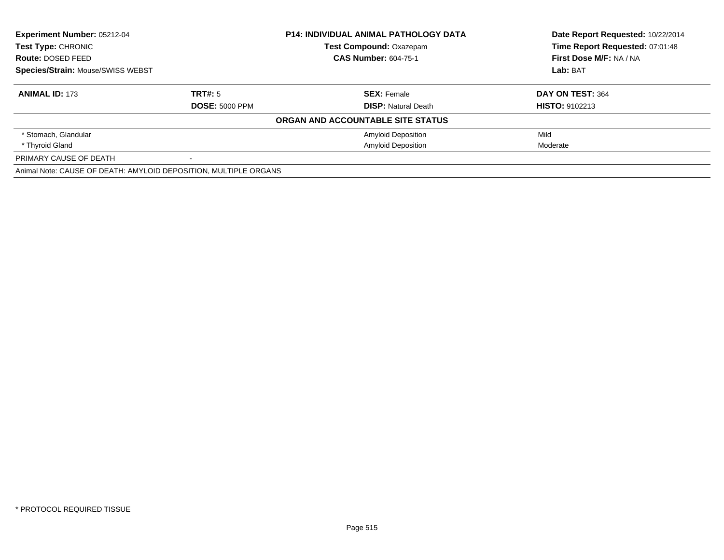| <b>Experiment Number: 05212-04</b>                               |                       | <b>P14: INDIVIDUAL ANIMAL PATHOLOGY DATA</b> | Date Report Requested: 10/22/2014 |
|------------------------------------------------------------------|-----------------------|----------------------------------------------|-----------------------------------|
| <b>Test Type: CHRONIC</b>                                        |                       | <b>Test Compound: Oxazepam</b>               | Time Report Requested: 07:01:48   |
| Route: DOSED FEED                                                |                       | <b>CAS Number: 604-75-1</b>                  | First Dose M/F: NA / NA           |
| <b>Species/Strain: Mouse/SWISS WEBST</b>                         |                       |                                              | Lab: BAT                          |
| <b>ANIMAL ID: 173</b>                                            | TRT#: 5               | <b>SEX: Female</b>                           | DAY ON TEST: 364                  |
|                                                                  | <b>DOSE: 5000 PPM</b> | <b>DISP:</b> Natural Death                   | <b>HISTO: 9102213</b>             |
|                                                                  |                       | ORGAN AND ACCOUNTABLE SITE STATUS            |                                   |
| * Stomach, Glandular                                             |                       | <b>Amyloid Deposition</b>                    | Mild                              |
| * Thyroid Gland                                                  |                       | <b>Amyloid Deposition</b>                    | Moderate                          |
| PRIMARY CAUSE OF DEATH                                           |                       |                                              |                                   |
| Animal Note: CAUSE OF DEATH: AMYLOID DEPOSITION, MULTIPLE ORGANS |                       |                                              |                                   |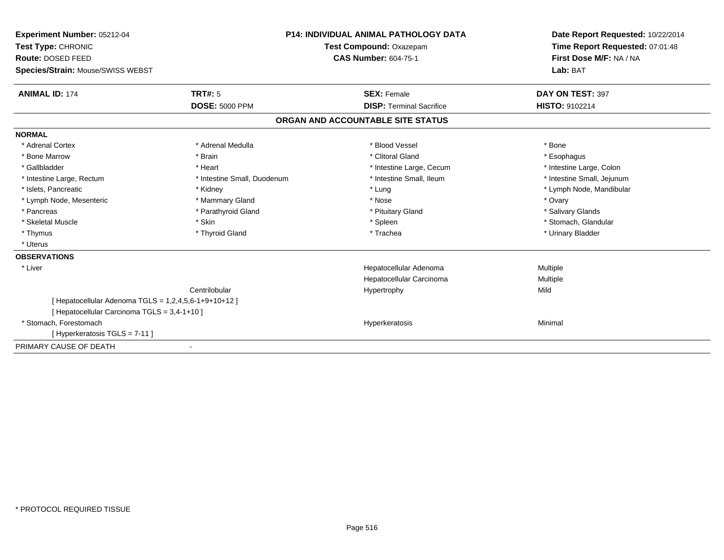| Experiment Number: 05212-04<br>Test Type: CHRONIC     |                             | <b>P14: INDIVIDUAL ANIMAL PATHOLOGY DATA</b><br>Test Compound: Oxazepam | Date Report Requested: 10/22/2014<br>Time Report Requested: 07:01:48 |
|-------------------------------------------------------|-----------------------------|-------------------------------------------------------------------------|----------------------------------------------------------------------|
| Route: DOSED FEED                                     |                             | <b>CAS Number: 604-75-1</b>                                             | First Dose M/F: NA / NA                                              |
| Species/Strain: Mouse/SWISS WEBST                     |                             |                                                                         | Lab: BAT                                                             |
| <b>ANIMAL ID: 174</b>                                 | TRT#: 5                     | <b>SEX: Female</b>                                                      | DAY ON TEST: 397                                                     |
|                                                       | <b>DOSE: 5000 PPM</b>       | <b>DISP: Terminal Sacrifice</b>                                         | <b>HISTO: 9102214</b>                                                |
|                                                       |                             | ORGAN AND ACCOUNTABLE SITE STATUS                                       |                                                                      |
| <b>NORMAL</b>                                         |                             |                                                                         |                                                                      |
| * Adrenal Cortex                                      | * Adrenal Medulla           | * Blood Vessel                                                          | * Bone                                                               |
| * Bone Marrow                                         | * Brain                     | * Clitoral Gland                                                        | * Esophagus                                                          |
| * Gallbladder                                         | * Heart                     | * Intestine Large, Cecum                                                | * Intestine Large, Colon                                             |
| * Intestine Large, Rectum                             | * Intestine Small, Duodenum | * Intestine Small, Ileum                                                | * Intestine Small, Jejunum                                           |
| * Islets, Pancreatic                                  | * Kidney                    | * Lung                                                                  | * Lymph Node, Mandibular                                             |
| * Lymph Node, Mesenteric                              | * Mammary Gland             | * Nose                                                                  | * Ovary                                                              |
| * Pancreas                                            | * Parathyroid Gland         | * Pituitary Gland                                                       | * Salivary Glands                                                    |
| * Skeletal Muscle                                     | * Skin                      | * Spleen                                                                | * Stomach, Glandular                                                 |
| * Thymus                                              | * Thyroid Gland             | * Trachea                                                               | * Urinary Bladder                                                    |
| * Uterus                                              |                             |                                                                         |                                                                      |
| <b>OBSERVATIONS</b>                                   |                             |                                                                         |                                                                      |
| * Liver                                               |                             | Hepatocellular Adenoma                                                  | Multiple                                                             |
|                                                       |                             | Hepatocellular Carcinoma                                                | Multiple                                                             |
|                                                       | Centrilobular               | Hypertrophy                                                             | Mild                                                                 |
| [ Hepatocellular Adenoma TGLS = 1,2,4,5,6-1+9+10+12 ] |                             |                                                                         |                                                                      |
| [ Hepatocellular Carcinoma TGLS = 3,4-1+10 ]          |                             |                                                                         |                                                                      |
| * Stomach, Forestomach                                |                             | Hyperkeratosis                                                          | Minimal                                                              |
| [Hyperkeratosis TGLS = 7-11]                          |                             |                                                                         |                                                                      |
| PRIMARY CAUSE OF DEATH                                |                             |                                                                         |                                                                      |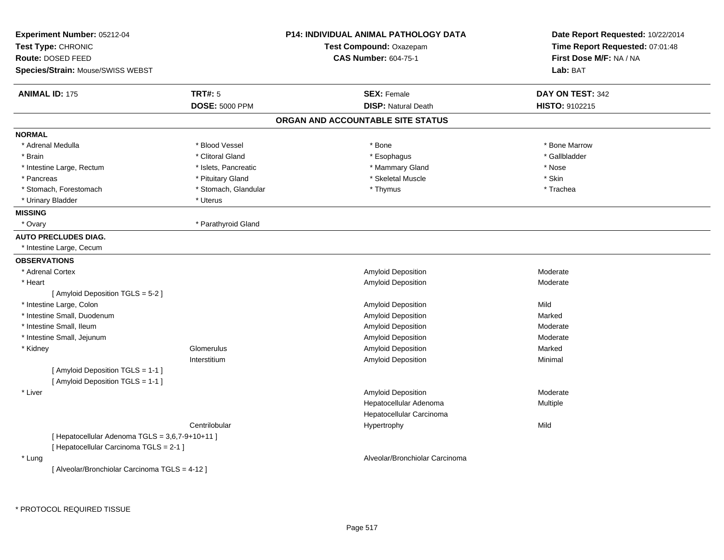| Experiment Number: 05212-04<br>Test Type: CHRONIC<br>Route: DOSED FEED<br>Species/Strain: Mouse/SWISS WEBST |                       | <b>P14: INDIVIDUAL ANIMAL PATHOLOGY DATA</b><br>Test Compound: Oxazepam<br><b>CAS Number: 604-75-1</b> | Date Report Requested: 10/22/2014<br>Time Report Requested: 07:01:48<br>First Dose M/F: NA / NA<br>Lab: BAT |
|-------------------------------------------------------------------------------------------------------------|-----------------------|--------------------------------------------------------------------------------------------------------|-------------------------------------------------------------------------------------------------------------|
| <b>ANIMAL ID: 175</b>                                                                                       | <b>TRT#: 5</b>        | <b>SEX: Female</b>                                                                                     | DAY ON TEST: 342                                                                                            |
|                                                                                                             | <b>DOSE: 5000 PPM</b> | <b>DISP: Natural Death</b>                                                                             | HISTO: 9102215                                                                                              |
|                                                                                                             |                       | ORGAN AND ACCOUNTABLE SITE STATUS                                                                      |                                                                                                             |
| <b>NORMAL</b>                                                                                               |                       |                                                                                                        |                                                                                                             |
| * Adrenal Medulla                                                                                           | * Blood Vessel        | * Bone                                                                                                 | * Bone Marrow                                                                                               |
| * Brain                                                                                                     | * Clitoral Gland      | * Esophagus                                                                                            | * Gallbladder                                                                                               |
| * Intestine Large, Rectum                                                                                   | * Islets, Pancreatic  | * Mammary Gland                                                                                        | * Nose                                                                                                      |
| * Pancreas                                                                                                  | * Pituitary Gland     | * Skeletal Muscle                                                                                      | * Skin                                                                                                      |
| * Stomach, Forestomach                                                                                      | * Stomach, Glandular  | * Thymus                                                                                               | * Trachea                                                                                                   |
| * Urinary Bladder                                                                                           | * Uterus              |                                                                                                        |                                                                                                             |
| <b>MISSING</b>                                                                                              |                       |                                                                                                        |                                                                                                             |
| * Ovary                                                                                                     | * Parathyroid Gland   |                                                                                                        |                                                                                                             |
| <b>AUTO PRECLUDES DIAG.</b>                                                                                 |                       |                                                                                                        |                                                                                                             |
| * Intestine Large, Cecum                                                                                    |                       |                                                                                                        |                                                                                                             |
| <b>OBSERVATIONS</b>                                                                                         |                       |                                                                                                        |                                                                                                             |
| * Adrenal Cortex                                                                                            |                       | <b>Amyloid Deposition</b>                                                                              | Moderate                                                                                                    |
| * Heart                                                                                                     |                       | Amyloid Deposition                                                                                     | Moderate                                                                                                    |
| [ Amyloid Deposition TGLS = 5-2 ]                                                                           |                       |                                                                                                        |                                                                                                             |
| * Intestine Large, Colon                                                                                    |                       | <b>Amyloid Deposition</b>                                                                              | Mild                                                                                                        |
| * Intestine Small, Duodenum                                                                                 |                       | Amyloid Deposition                                                                                     | Marked                                                                                                      |
| * Intestine Small, Ileum                                                                                    |                       | <b>Amyloid Deposition</b>                                                                              | Moderate                                                                                                    |
| * Intestine Small, Jejunum                                                                                  |                       | <b>Amyloid Deposition</b>                                                                              | Moderate                                                                                                    |
| * Kidney                                                                                                    | Glomerulus            | Amyloid Deposition                                                                                     | Marked                                                                                                      |
|                                                                                                             | Interstitium          | Amyloid Deposition                                                                                     | Minimal                                                                                                     |
| [ Amyloid Deposition TGLS = 1-1 ]                                                                           |                       |                                                                                                        |                                                                                                             |
| [ Amyloid Deposition TGLS = 1-1 ]                                                                           |                       |                                                                                                        |                                                                                                             |
| * Liver                                                                                                     |                       | <b>Amyloid Deposition</b>                                                                              | Moderate                                                                                                    |
|                                                                                                             |                       | Hepatocellular Adenoma                                                                                 | <b>Multiple</b>                                                                                             |
|                                                                                                             |                       | Hepatocellular Carcinoma                                                                               |                                                                                                             |
|                                                                                                             | Centrilobular         | Hypertrophy                                                                                            | Mild                                                                                                        |
| [ Hepatocellular Adenoma TGLS = 3,6,7-9+10+11 ]                                                             |                       |                                                                                                        |                                                                                                             |
| [ Hepatocellular Carcinoma TGLS = 2-1 ]                                                                     |                       |                                                                                                        |                                                                                                             |
| * Lung                                                                                                      |                       | Alveolar/Bronchiolar Carcinoma                                                                         |                                                                                                             |
| [ Alveolar/Bronchiolar Carcinoma TGLS = 4-12 ]                                                              |                       |                                                                                                        |                                                                                                             |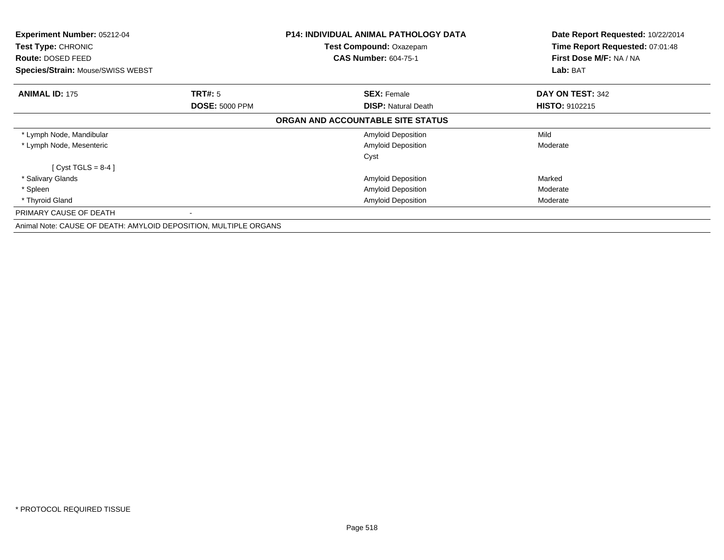| Experiment Number: 05212-04                                      |                       | <b>P14: INDIVIDUAL ANIMAL PATHOLOGY DATA</b> | Date Report Requested: 10/22/2014                          |
|------------------------------------------------------------------|-----------------------|----------------------------------------------|------------------------------------------------------------|
| Test Type: CHRONIC                                               |                       | Test Compound: Oxazepam                      | Time Report Requested: 07:01:48<br>First Dose M/F: NA / NA |
| <b>Route: DOSED FEED</b>                                         |                       | <b>CAS Number: 604-75-1</b>                  |                                                            |
| Species/Strain: Mouse/SWISS WEBST                                |                       |                                              | Lab: BAT                                                   |
| <b>ANIMAL ID: 175</b>                                            | <b>TRT#: 5</b>        | <b>SEX: Female</b>                           | DAY ON TEST: 342                                           |
|                                                                  | <b>DOSE: 5000 PPM</b> | <b>DISP:</b> Natural Death                   | <b>HISTO: 9102215</b>                                      |
|                                                                  |                       | ORGAN AND ACCOUNTABLE SITE STATUS            |                                                            |
| * Lymph Node, Mandibular                                         |                       | <b>Amyloid Deposition</b>                    | Mild                                                       |
| * Lymph Node, Mesenteric                                         |                       | <b>Amyloid Deposition</b>                    | Moderate                                                   |
|                                                                  |                       | Cyst                                         |                                                            |
| $Cyst TGLS = 8-4$ ]                                              |                       |                                              |                                                            |
| * Salivary Glands                                                |                       | <b>Amyloid Deposition</b>                    | Marked                                                     |
| * Spleen                                                         |                       | Amyloid Deposition                           | Moderate                                                   |
| * Thyroid Gland                                                  |                       | Amyloid Deposition                           | Moderate                                                   |
| PRIMARY CAUSE OF DEATH                                           |                       |                                              |                                                            |
| Animal Note: CAUSE OF DEATH: AMYLOID DEPOSITION, MULTIPLE ORGANS |                       |                                              |                                                            |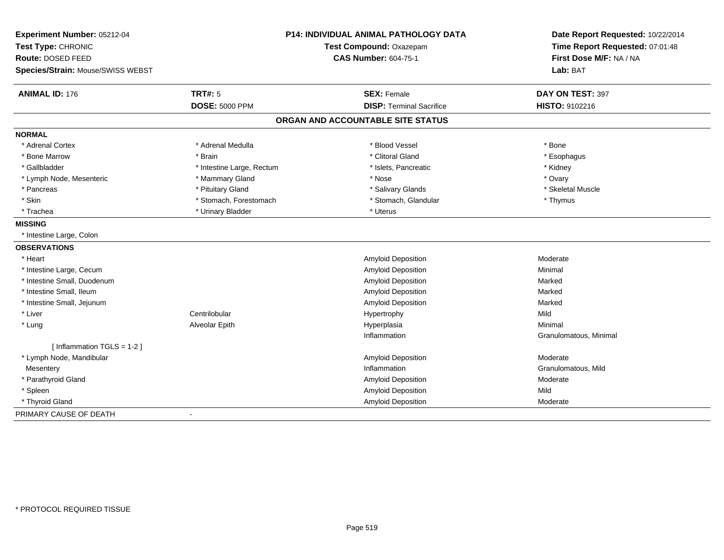| Experiment Number: 05212-04<br>Test Type: CHRONIC<br>Route: DOSED FEED<br>Species/Strain: Mouse/SWISS WEBST | <b>P14: INDIVIDUAL ANIMAL PATHOLOGY DATA</b><br>Test Compound: Oxazepam<br><b>CAS Number: 604-75-1</b> |                                   | Date Report Requested: 10/22/2014<br>Time Report Requested: 07:01:48<br>First Dose M/F: NA / NA<br>Lab: BAT |
|-------------------------------------------------------------------------------------------------------------|--------------------------------------------------------------------------------------------------------|-----------------------------------|-------------------------------------------------------------------------------------------------------------|
|                                                                                                             |                                                                                                        |                                   |                                                                                                             |
| <b>ANIMAL ID: 176</b>                                                                                       | <b>TRT#: 5</b>                                                                                         | <b>SEX: Female</b>                | DAY ON TEST: 397                                                                                            |
|                                                                                                             | <b>DOSE: 5000 PPM</b>                                                                                  | <b>DISP: Terminal Sacrifice</b>   | HISTO: 9102216                                                                                              |
|                                                                                                             |                                                                                                        | ORGAN AND ACCOUNTABLE SITE STATUS |                                                                                                             |
| <b>NORMAL</b>                                                                                               |                                                                                                        |                                   |                                                                                                             |
| * Adrenal Cortex                                                                                            | * Adrenal Medulla                                                                                      | * Blood Vessel                    | * Bone                                                                                                      |
| * Bone Marrow                                                                                               | * Brain                                                                                                | * Clitoral Gland                  | * Esophagus                                                                                                 |
| * Gallbladder                                                                                               | * Intestine Large, Rectum                                                                              | * Islets, Pancreatic              | * Kidney                                                                                                    |
| * Lymph Node, Mesenteric                                                                                    | * Mammary Gland                                                                                        | * Nose                            | * Ovary                                                                                                     |
| * Pancreas                                                                                                  | * Pituitary Gland                                                                                      | * Salivary Glands                 | * Skeletal Muscle                                                                                           |
| * Skin                                                                                                      | * Stomach, Forestomach                                                                                 | * Stomach, Glandular              | * Thymus                                                                                                    |
| * Trachea                                                                                                   | * Urinary Bladder                                                                                      | * Uterus                          |                                                                                                             |
| <b>MISSING</b>                                                                                              |                                                                                                        |                                   |                                                                                                             |
| * Intestine Large, Colon                                                                                    |                                                                                                        |                                   |                                                                                                             |
| <b>OBSERVATIONS</b>                                                                                         |                                                                                                        |                                   |                                                                                                             |
| * Heart                                                                                                     |                                                                                                        | Amyloid Deposition                | Moderate                                                                                                    |
| * Intestine Large, Cecum                                                                                    |                                                                                                        | <b>Amyloid Deposition</b>         | Minimal                                                                                                     |
| * Intestine Small, Duodenum                                                                                 |                                                                                                        | Amyloid Deposition                | Marked                                                                                                      |
| * Intestine Small, Ileum                                                                                    |                                                                                                        | Amyloid Deposition                | Marked                                                                                                      |
| * Intestine Small, Jejunum                                                                                  |                                                                                                        | Amyloid Deposition                | Marked                                                                                                      |
| * Liver                                                                                                     | Centrilobular                                                                                          | Hypertrophy                       | Mild                                                                                                        |
| * Lung                                                                                                      | Alveolar Epith                                                                                         | Hyperplasia                       | Minimal                                                                                                     |
|                                                                                                             |                                                                                                        | Inflammation                      | Granulomatous, Minimal                                                                                      |
| [ Inflammation TGLS = 1-2 ]                                                                                 |                                                                                                        |                                   |                                                                                                             |
| * Lymph Node, Mandibular                                                                                    |                                                                                                        | <b>Amyloid Deposition</b>         | Moderate                                                                                                    |
| Mesentery                                                                                                   |                                                                                                        | Inflammation                      | Granulomatous, Mild                                                                                         |
| * Parathyroid Gland                                                                                         |                                                                                                        | <b>Amyloid Deposition</b>         | Moderate                                                                                                    |
| * Spleen                                                                                                    |                                                                                                        | <b>Amyloid Deposition</b>         | Mild                                                                                                        |
| * Thyroid Gland                                                                                             |                                                                                                        | Amyloid Deposition                | Moderate                                                                                                    |
| PRIMARY CAUSE OF DEATH                                                                                      | $\overline{\phantom{a}}$                                                                               |                                   |                                                                                                             |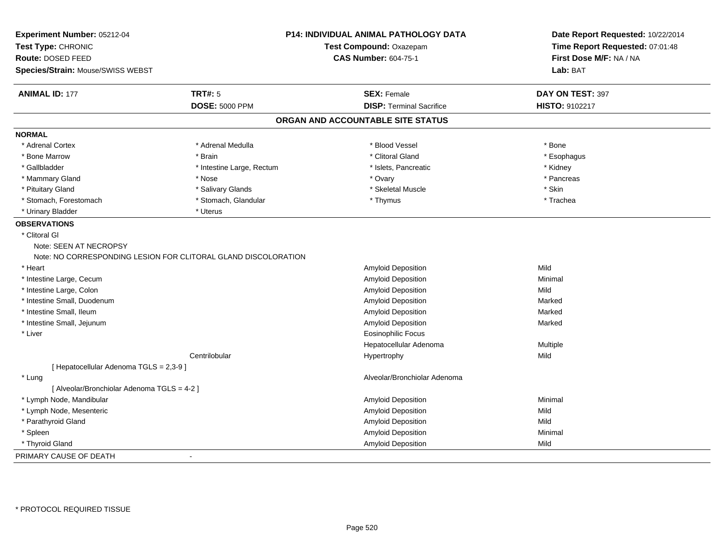| Experiment Number: 05212-04                                    |                           | P14: INDIVIDUAL ANIMAL PATHOLOGY DATA | Date Report Requested: 10/22/2014   |
|----------------------------------------------------------------|---------------------------|---------------------------------------|-------------------------------------|
| Test Type: CHRONIC                                             | Test Compound: Oxazepam   |                                       | Time Report Requested: 07:01:48     |
| Route: DOSED FEED                                              |                           | <b>CAS Number: 604-75-1</b>           | First Dose M/F: NA / NA<br>Lab: BAT |
| Species/Strain: Mouse/SWISS WEBST                              |                           |                                       |                                     |
| <b>ANIMAL ID: 177</b>                                          | <b>TRT#: 5</b>            | <b>SEX: Female</b>                    | DAY ON TEST: 397                    |
|                                                                | <b>DOSE: 5000 PPM</b>     | <b>DISP: Terminal Sacrifice</b>       | HISTO: 9102217                      |
|                                                                |                           | ORGAN AND ACCOUNTABLE SITE STATUS     |                                     |
| <b>NORMAL</b>                                                  |                           |                                       |                                     |
| * Adrenal Cortex                                               | * Adrenal Medulla         | * Blood Vessel                        | * Bone                              |
| * Bone Marrow                                                  | * Brain                   | * Clitoral Gland                      | * Esophagus                         |
| * Gallbladder                                                  | * Intestine Large, Rectum | * Islets, Pancreatic                  | * Kidney                            |
| * Mammary Gland                                                | * Nose                    | * Ovary                               | * Pancreas                          |
| * Pituitary Gland                                              | * Salivary Glands         | * Skeletal Muscle                     | * Skin                              |
| * Stomach, Forestomach                                         | * Stomach, Glandular      | * Thymus                              | * Trachea                           |
| * Urinary Bladder                                              | * Uterus                  |                                       |                                     |
| <b>OBSERVATIONS</b>                                            |                           |                                       |                                     |
| * Clitoral Gl                                                  |                           |                                       |                                     |
| Note: SEEN AT NECROPSY                                         |                           |                                       |                                     |
| Note: NO CORRESPONDING LESION FOR CLITORAL GLAND DISCOLORATION |                           |                                       |                                     |
| * Heart                                                        |                           | Amyloid Deposition                    | Mild                                |
| * Intestine Large, Cecum                                       |                           | Amyloid Deposition                    | Minimal                             |
| * Intestine Large, Colon                                       |                           | Amyloid Deposition                    | Mild                                |
| * Intestine Small, Duodenum                                    |                           | Amyloid Deposition                    | Marked                              |
| * Intestine Small, Ileum                                       |                           | Amyloid Deposition                    | Marked                              |
| * Intestine Small, Jejunum                                     |                           | Amyloid Deposition                    | Marked                              |
| * Liver                                                        |                           | <b>Eosinophilic Focus</b>             |                                     |
|                                                                |                           | Hepatocellular Adenoma                | Multiple                            |
|                                                                | Centrilobular             | Hypertrophy                           | Mild                                |
| [ Hepatocellular Adenoma TGLS = 2,3-9 ]                        |                           |                                       |                                     |
| * Lung                                                         |                           | Alveolar/Bronchiolar Adenoma          |                                     |
| [ Alveolar/Bronchiolar Adenoma TGLS = 4-2 ]                    |                           |                                       |                                     |
| * Lymph Node, Mandibular                                       |                           | Amyloid Deposition                    | Minimal                             |
| * Lymph Node, Mesenteric                                       |                           | Amyloid Deposition                    | Mild                                |
| * Parathyroid Gland                                            |                           | Amyloid Deposition                    | Mild                                |
| * Spleen                                                       |                           | Amyloid Deposition                    | Minimal                             |
| * Thyroid Gland                                                |                           | Amyloid Deposition                    | Mild                                |
| PRIMARY CAUSE OF DEATH                                         |                           |                                       |                                     |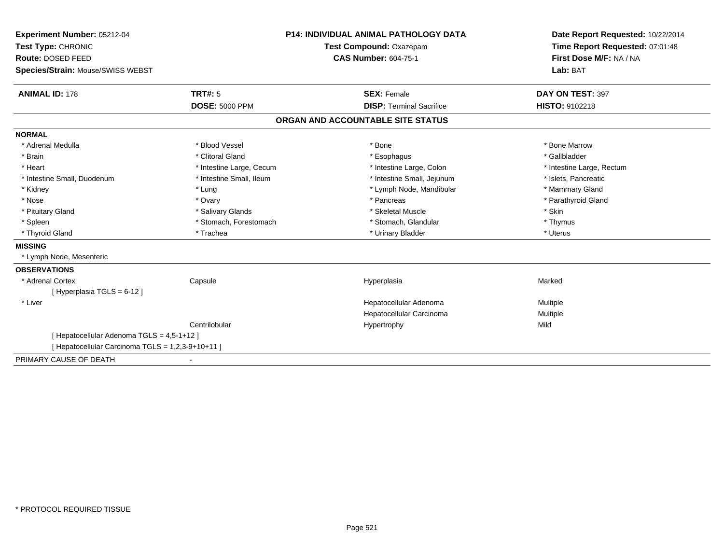| Experiment Number: 05212-04                       | <b>P14: INDIVIDUAL ANIMAL PATHOLOGY DATA</b><br>Test Compound: Oxazepam |                                   | Date Report Requested: 10/22/2014   |  |
|---------------------------------------------------|-------------------------------------------------------------------------|-----------------------------------|-------------------------------------|--|
| Test Type: CHRONIC                                |                                                                         |                                   | Time Report Requested: 07:01:48     |  |
| <b>Route: DOSED FEED</b>                          |                                                                         | <b>CAS Number: 604-75-1</b>       | First Dose M/F: NA / NA<br>Lab: BAT |  |
| Species/Strain: Mouse/SWISS WEBST                 |                                                                         |                                   |                                     |  |
| <b>ANIMAL ID: 178</b>                             | TRT#: 5                                                                 | <b>SEX: Female</b>                | DAY ON TEST: 397                    |  |
|                                                   | <b>DOSE: 5000 PPM</b>                                                   | <b>DISP: Terminal Sacrifice</b>   | HISTO: 9102218                      |  |
|                                                   |                                                                         | ORGAN AND ACCOUNTABLE SITE STATUS |                                     |  |
| <b>NORMAL</b>                                     |                                                                         |                                   |                                     |  |
| * Adrenal Medulla                                 | * Blood Vessel                                                          | * Bone                            | * Bone Marrow                       |  |
| * Brain                                           | * Clitoral Gland                                                        | * Esophagus                       | * Gallbladder                       |  |
| * Heart                                           | * Intestine Large, Cecum                                                | * Intestine Large, Colon          | * Intestine Large, Rectum           |  |
| * Intestine Small, Duodenum                       | * Intestine Small, Ileum                                                | * Intestine Small, Jejunum        | * Islets, Pancreatic                |  |
| * Kidney                                          | * Lung                                                                  | * Lymph Node, Mandibular          | * Mammary Gland                     |  |
| * Nose                                            | * Ovary                                                                 | * Pancreas                        | * Parathyroid Gland                 |  |
| * Pituitary Gland                                 | * Salivary Glands                                                       | * Skeletal Muscle                 | * Skin                              |  |
| * Spleen                                          | * Stomach, Forestomach                                                  | * Stomach, Glandular              | * Thymus                            |  |
| * Thyroid Gland                                   | * Trachea                                                               | * Urinary Bladder                 | * Uterus                            |  |
| <b>MISSING</b>                                    |                                                                         |                                   |                                     |  |
| * Lymph Node, Mesenteric                          |                                                                         |                                   |                                     |  |
| <b>OBSERVATIONS</b>                               |                                                                         |                                   |                                     |  |
| * Adrenal Cortex                                  | Capsule                                                                 | Hyperplasia                       | Marked                              |  |
| [Hyperplasia TGLS = 6-12]                         |                                                                         |                                   |                                     |  |
| * Liver                                           |                                                                         | Hepatocellular Adenoma            | Multiple                            |  |
|                                                   |                                                                         | Hepatocellular Carcinoma          | Multiple                            |  |
|                                                   | Centrilobular                                                           | Hypertrophy                       | Mild                                |  |
| [ Hepatocellular Adenoma TGLS = 4,5-1+12 ]        |                                                                         |                                   |                                     |  |
| [ Hepatocellular Carcinoma TGLS = 1,2,3-9+10+11 ] |                                                                         |                                   |                                     |  |
| PRIMARY CAUSE OF DEATH                            |                                                                         |                                   |                                     |  |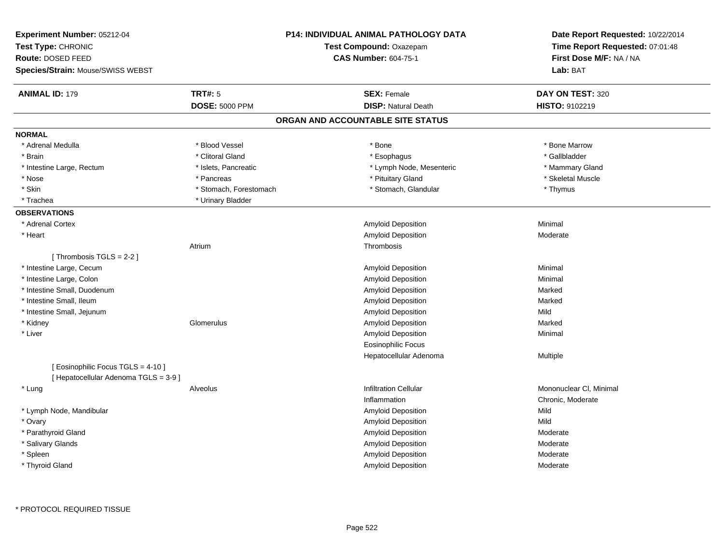| <b>TRT#: 5</b><br><b>ANIMAL ID: 179</b><br><b>SEX: Female</b><br>DAY ON TEST: 320<br><b>DOSE: 5000 PPM</b><br><b>DISP: Natural Death</b><br>HISTO: 9102219<br>ORGAN AND ACCOUNTABLE SITE STATUS<br><b>NORMAL</b><br>* Blood Vessel<br>* Bone Marrow<br>* Adrenal Medulla<br>* Bone<br>* Clitoral Gland<br>* Gallbladder<br>* Brain<br>* Esophagus<br>* Lymph Node, Mesenteric<br>* Mammary Gland<br>* Intestine Large, Rectum<br>* Islets, Pancreatic<br>* Nose<br>* Pituitary Gland<br>* Skeletal Muscle<br>* Pancreas<br>* Skin<br>* Stomach, Forestomach<br>* Stomach, Glandular<br>* Thymus<br>* Urinary Bladder<br>* Trachea<br><b>OBSERVATIONS</b><br>Amyloid Deposition<br>Minimal<br>* Adrenal Cortex<br>Amyloid Deposition<br>* Heart<br>Moderate<br>Atrium<br>Thrombosis<br>[Thrombosis TGLS = 2-2]<br>* Intestine Large, Cecum<br>Amyloid Deposition<br>Minimal<br>* Intestine Large, Colon<br><b>Amyloid Deposition</b><br>Minimal<br>* Intestine Small, Duodenum<br>Amyloid Deposition<br>Marked<br>* Intestine Small, Ileum<br>Amyloid Deposition<br>Marked<br>* Intestine Small, Jejunum<br>Amyloid Deposition<br>Mild<br>* Kidney<br>Glomerulus<br>Amyloid Deposition<br>Marked<br>* Liver<br>Amyloid Deposition<br>Minimal<br><b>Eosinophilic Focus</b><br>Hepatocellular Adenoma<br>Multiple<br>[ Eosinophilic Focus TGLS = 4-10 ]<br>[ Hepatocellular Adenoma TGLS = 3-9]<br><b>Infiltration Cellular</b><br>Mononuclear CI, Minimal<br>* Lung<br>Alveolus<br>Inflammation<br>Chronic, Moderate<br>Amyloid Deposition<br>Mild<br>* Lymph Node, Mandibular<br>* Ovary<br><b>Amyloid Deposition</b><br>Mild<br>* Parathyroid Gland<br><b>Amyloid Deposition</b><br>Moderate<br>Amyloid Deposition<br>* Salivary Glands<br>Moderate<br>Amyloid Deposition<br>* Spleen<br>Moderate<br>* Thyroid Gland<br>Amyloid Deposition<br>Moderate | Experiment Number: 05212-04<br>Test Type: CHRONIC<br>Route: DOSED FEED<br>Species/Strain: Mouse/SWISS WEBST | <b>P14: INDIVIDUAL ANIMAL PATHOLOGY DATA</b><br>Test Compound: Oxazepam<br><b>CAS Number: 604-75-1</b> | Date Report Requested: 10/22/2014<br>Time Report Requested: 07:01:48<br>First Dose M/F: NA / NA<br>Lab: BAT |
|--------------------------------------------------------------------------------------------------------------------------------------------------------------------------------------------------------------------------------------------------------------------------------------------------------------------------------------------------------------------------------------------------------------------------------------------------------------------------------------------------------------------------------------------------------------------------------------------------------------------------------------------------------------------------------------------------------------------------------------------------------------------------------------------------------------------------------------------------------------------------------------------------------------------------------------------------------------------------------------------------------------------------------------------------------------------------------------------------------------------------------------------------------------------------------------------------------------------------------------------------------------------------------------------------------------------------------------------------------------------------------------------------------------------------------------------------------------------------------------------------------------------------------------------------------------------------------------------------------------------------------------------------------------------------------------------------------------------------------------------------------------------------------------------------------------------------------------------------------|-------------------------------------------------------------------------------------------------------------|--------------------------------------------------------------------------------------------------------|-------------------------------------------------------------------------------------------------------------|
|                                                                                                                                                                                                                                                                                                                                                                                                                                                                                                                                                                                                                                                                                                                                                                                                                                                                                                                                                                                                                                                                                                                                                                                                                                                                                                                                                                                                                                                                                                                                                                                                                                                                                                                                                                                                                                                        |                                                                                                             |                                                                                                        |                                                                                                             |
|                                                                                                                                                                                                                                                                                                                                                                                                                                                                                                                                                                                                                                                                                                                                                                                                                                                                                                                                                                                                                                                                                                                                                                                                                                                                                                                                                                                                                                                                                                                                                                                                                                                                                                                                                                                                                                                        |                                                                                                             |                                                                                                        |                                                                                                             |
|                                                                                                                                                                                                                                                                                                                                                                                                                                                                                                                                                                                                                                                                                                                                                                                                                                                                                                                                                                                                                                                                                                                                                                                                                                                                                                                                                                                                                                                                                                                                                                                                                                                                                                                                                                                                                                                        |                                                                                                             |                                                                                                        |                                                                                                             |
|                                                                                                                                                                                                                                                                                                                                                                                                                                                                                                                                                                                                                                                                                                                                                                                                                                                                                                                                                                                                                                                                                                                                                                                                                                                                                                                                                                                                                                                                                                                                                                                                                                                                                                                                                                                                                                                        |                                                                                                             |                                                                                                        |                                                                                                             |
|                                                                                                                                                                                                                                                                                                                                                                                                                                                                                                                                                                                                                                                                                                                                                                                                                                                                                                                                                                                                                                                                                                                                                                                                                                                                                                                                                                                                                                                                                                                                                                                                                                                                                                                                                                                                                                                        |                                                                                                             |                                                                                                        |                                                                                                             |
|                                                                                                                                                                                                                                                                                                                                                                                                                                                                                                                                                                                                                                                                                                                                                                                                                                                                                                                                                                                                                                                                                                                                                                                                                                                                                                                                                                                                                                                                                                                                                                                                                                                                                                                                                                                                                                                        |                                                                                                             |                                                                                                        |                                                                                                             |
|                                                                                                                                                                                                                                                                                                                                                                                                                                                                                                                                                                                                                                                                                                                                                                                                                                                                                                                                                                                                                                                                                                                                                                                                                                                                                                                                                                                                                                                                                                                                                                                                                                                                                                                                                                                                                                                        |                                                                                                             |                                                                                                        |                                                                                                             |
|                                                                                                                                                                                                                                                                                                                                                                                                                                                                                                                                                                                                                                                                                                                                                                                                                                                                                                                                                                                                                                                                                                                                                                                                                                                                                                                                                                                                                                                                                                                                                                                                                                                                                                                                                                                                                                                        |                                                                                                             |                                                                                                        |                                                                                                             |
|                                                                                                                                                                                                                                                                                                                                                                                                                                                                                                                                                                                                                                                                                                                                                                                                                                                                                                                                                                                                                                                                                                                                                                                                                                                                                                                                                                                                                                                                                                                                                                                                                                                                                                                                                                                                                                                        |                                                                                                             |                                                                                                        |                                                                                                             |
|                                                                                                                                                                                                                                                                                                                                                                                                                                                                                                                                                                                                                                                                                                                                                                                                                                                                                                                                                                                                                                                                                                                                                                                                                                                                                                                                                                                                                                                                                                                                                                                                                                                                                                                                                                                                                                                        |                                                                                                             |                                                                                                        |                                                                                                             |
|                                                                                                                                                                                                                                                                                                                                                                                                                                                                                                                                                                                                                                                                                                                                                                                                                                                                                                                                                                                                                                                                                                                                                                                                                                                                                                                                                                                                                                                                                                                                                                                                                                                                                                                                                                                                                                                        |                                                                                                             |                                                                                                        |                                                                                                             |
|                                                                                                                                                                                                                                                                                                                                                                                                                                                                                                                                                                                                                                                                                                                                                                                                                                                                                                                                                                                                                                                                                                                                                                                                                                                                                                                                                                                                                                                                                                                                                                                                                                                                                                                                                                                                                                                        |                                                                                                             |                                                                                                        |                                                                                                             |
|                                                                                                                                                                                                                                                                                                                                                                                                                                                                                                                                                                                                                                                                                                                                                                                                                                                                                                                                                                                                                                                                                                                                                                                                                                                                                                                                                                                                                                                                                                                                                                                                                                                                                                                                                                                                                                                        |                                                                                                             |                                                                                                        |                                                                                                             |
|                                                                                                                                                                                                                                                                                                                                                                                                                                                                                                                                                                                                                                                                                                                                                                                                                                                                                                                                                                                                                                                                                                                                                                                                                                                                                                                                                                                                                                                                                                                                                                                                                                                                                                                                                                                                                                                        |                                                                                                             |                                                                                                        |                                                                                                             |
|                                                                                                                                                                                                                                                                                                                                                                                                                                                                                                                                                                                                                                                                                                                                                                                                                                                                                                                                                                                                                                                                                                                                                                                                                                                                                                                                                                                                                                                                                                                                                                                                                                                                                                                                                                                                                                                        |                                                                                                             |                                                                                                        |                                                                                                             |
|                                                                                                                                                                                                                                                                                                                                                                                                                                                                                                                                                                                                                                                                                                                                                                                                                                                                                                                                                                                                                                                                                                                                                                                                                                                                                                                                                                                                                                                                                                                                                                                                                                                                                                                                                                                                                                                        |                                                                                                             |                                                                                                        |                                                                                                             |
|                                                                                                                                                                                                                                                                                                                                                                                                                                                                                                                                                                                                                                                                                                                                                                                                                                                                                                                                                                                                                                                                                                                                                                                                                                                                                                                                                                                                                                                                                                                                                                                                                                                                                                                                                                                                                                                        |                                                                                                             |                                                                                                        |                                                                                                             |
|                                                                                                                                                                                                                                                                                                                                                                                                                                                                                                                                                                                                                                                                                                                                                                                                                                                                                                                                                                                                                                                                                                                                                                                                                                                                                                                                                                                                                                                                                                                                                                                                                                                                                                                                                                                                                                                        |                                                                                                             |                                                                                                        |                                                                                                             |
|                                                                                                                                                                                                                                                                                                                                                                                                                                                                                                                                                                                                                                                                                                                                                                                                                                                                                                                                                                                                                                                                                                                                                                                                                                                                                                                                                                                                                                                                                                                                                                                                                                                                                                                                                                                                                                                        |                                                                                                             |                                                                                                        |                                                                                                             |
|                                                                                                                                                                                                                                                                                                                                                                                                                                                                                                                                                                                                                                                                                                                                                                                                                                                                                                                                                                                                                                                                                                                                                                                                                                                                                                                                                                                                                                                                                                                                                                                                                                                                                                                                                                                                                                                        |                                                                                                             |                                                                                                        |                                                                                                             |
|                                                                                                                                                                                                                                                                                                                                                                                                                                                                                                                                                                                                                                                                                                                                                                                                                                                                                                                                                                                                                                                                                                                                                                                                                                                                                                                                                                                                                                                                                                                                                                                                                                                                                                                                                                                                                                                        |                                                                                                             |                                                                                                        |                                                                                                             |
|                                                                                                                                                                                                                                                                                                                                                                                                                                                                                                                                                                                                                                                                                                                                                                                                                                                                                                                                                                                                                                                                                                                                                                                                                                                                                                                                                                                                                                                                                                                                                                                                                                                                                                                                                                                                                                                        |                                                                                                             |                                                                                                        |                                                                                                             |
|                                                                                                                                                                                                                                                                                                                                                                                                                                                                                                                                                                                                                                                                                                                                                                                                                                                                                                                                                                                                                                                                                                                                                                                                                                                                                                                                                                                                                                                                                                                                                                                                                                                                                                                                                                                                                                                        |                                                                                                             |                                                                                                        |                                                                                                             |
|                                                                                                                                                                                                                                                                                                                                                                                                                                                                                                                                                                                                                                                                                                                                                                                                                                                                                                                                                                                                                                                                                                                                                                                                                                                                                                                                                                                                                                                                                                                                                                                                                                                                                                                                                                                                                                                        |                                                                                                             |                                                                                                        |                                                                                                             |
|                                                                                                                                                                                                                                                                                                                                                                                                                                                                                                                                                                                                                                                                                                                                                                                                                                                                                                                                                                                                                                                                                                                                                                                                                                                                                                                                                                                                                                                                                                                                                                                                                                                                                                                                                                                                                                                        |                                                                                                             |                                                                                                        |                                                                                                             |
|                                                                                                                                                                                                                                                                                                                                                                                                                                                                                                                                                                                                                                                                                                                                                                                                                                                                                                                                                                                                                                                                                                                                                                                                                                                                                                                                                                                                                                                                                                                                                                                                                                                                                                                                                                                                                                                        |                                                                                                             |                                                                                                        |                                                                                                             |
|                                                                                                                                                                                                                                                                                                                                                                                                                                                                                                                                                                                                                                                                                                                                                                                                                                                                                                                                                                                                                                                                                                                                                                                                                                                                                                                                                                                                                                                                                                                                                                                                                                                                                                                                                                                                                                                        |                                                                                                             |                                                                                                        |                                                                                                             |
|                                                                                                                                                                                                                                                                                                                                                                                                                                                                                                                                                                                                                                                                                                                                                                                                                                                                                                                                                                                                                                                                                                                                                                                                                                                                                                                                                                                                                                                                                                                                                                                                                                                                                                                                                                                                                                                        |                                                                                                             |                                                                                                        |                                                                                                             |
|                                                                                                                                                                                                                                                                                                                                                                                                                                                                                                                                                                                                                                                                                                                                                                                                                                                                                                                                                                                                                                                                                                                                                                                                                                                                                                                                                                                                                                                                                                                                                                                                                                                                                                                                                                                                                                                        |                                                                                                             |                                                                                                        |                                                                                                             |
|                                                                                                                                                                                                                                                                                                                                                                                                                                                                                                                                                                                                                                                                                                                                                                                                                                                                                                                                                                                                                                                                                                                                                                                                                                                                                                                                                                                                                                                                                                                                                                                                                                                                                                                                                                                                                                                        |                                                                                                             |                                                                                                        |                                                                                                             |
|                                                                                                                                                                                                                                                                                                                                                                                                                                                                                                                                                                                                                                                                                                                                                                                                                                                                                                                                                                                                                                                                                                                                                                                                                                                                                                                                                                                                                                                                                                                                                                                                                                                                                                                                                                                                                                                        |                                                                                                             |                                                                                                        |                                                                                                             |
|                                                                                                                                                                                                                                                                                                                                                                                                                                                                                                                                                                                                                                                                                                                                                                                                                                                                                                                                                                                                                                                                                                                                                                                                                                                                                                                                                                                                                                                                                                                                                                                                                                                                                                                                                                                                                                                        |                                                                                                             |                                                                                                        |                                                                                                             |
|                                                                                                                                                                                                                                                                                                                                                                                                                                                                                                                                                                                                                                                                                                                                                                                                                                                                                                                                                                                                                                                                                                                                                                                                                                                                                                                                                                                                                                                                                                                                                                                                                                                                                                                                                                                                                                                        |                                                                                                             |                                                                                                        |                                                                                                             |
|                                                                                                                                                                                                                                                                                                                                                                                                                                                                                                                                                                                                                                                                                                                                                                                                                                                                                                                                                                                                                                                                                                                                                                                                                                                                                                                                                                                                                                                                                                                                                                                                                                                                                                                                                                                                                                                        |                                                                                                             |                                                                                                        |                                                                                                             |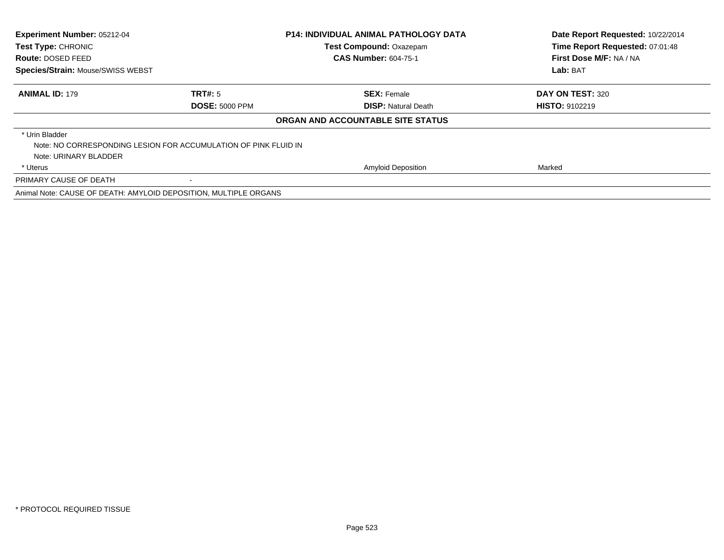| Experiment Number: 05212-04<br><b>Test Type: CHRONIC</b>         |                                                                 | <b>P14: INDIVIDUAL ANIMAL PATHOLOGY DATA</b> | Date Report Requested: 10/22/2014 |
|------------------------------------------------------------------|-----------------------------------------------------------------|----------------------------------------------|-----------------------------------|
|                                                                  |                                                                 | <b>Test Compound: Oxazepam</b>               | Time Report Requested: 07:01:48   |
| Route: DOSED FEED                                                |                                                                 | <b>CAS Number: 604-75-1</b>                  | First Dose M/F: NA / NA           |
| Species/Strain: Mouse/SWISS WEBST                                |                                                                 |                                              | Lab: BAT                          |
| <b>ANIMAL ID: 179</b>                                            | TRT#: 5                                                         | <b>SEX: Female</b>                           | DAY ON TEST: 320                  |
|                                                                  | <b>DOSE: 5000 PPM</b>                                           | <b>DISP: Natural Death</b>                   | <b>HISTO: 9102219</b>             |
|                                                                  |                                                                 | ORGAN AND ACCOUNTABLE SITE STATUS            |                                   |
| * Urin Bladder                                                   |                                                                 |                                              |                                   |
|                                                                  | Note: NO CORRESPONDING LESION FOR ACCUMULATION OF PINK FLUID IN |                                              |                                   |
| Note: URINARY BLADDER                                            |                                                                 |                                              |                                   |
| * Uterus                                                         |                                                                 | <b>Amyloid Deposition</b>                    | Marked                            |
| PRIMARY CAUSE OF DEATH                                           |                                                                 |                                              |                                   |
| Animal Note: CAUSE OF DEATH: AMYLOID DEPOSITION, MULTIPLE ORGANS |                                                                 |                                              |                                   |